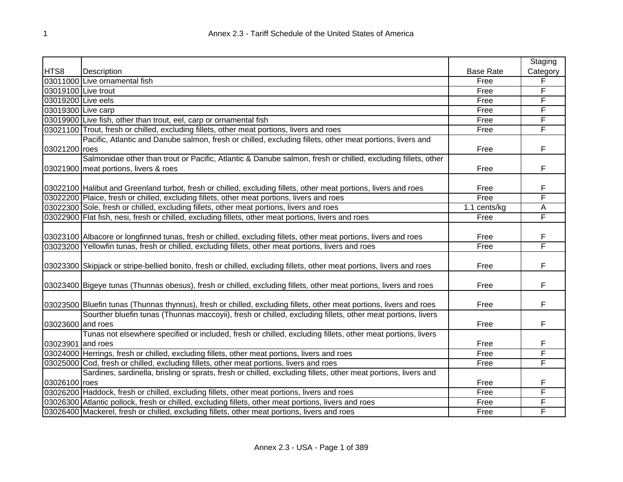|                    |                                                                                                                       |                  | Staging  |
|--------------------|-----------------------------------------------------------------------------------------------------------------------|------------------|----------|
| HTS8               | Description                                                                                                           | <b>Base Rate</b> | Category |
|                    | 03011000 Live ornamental fish                                                                                         | Free             | F        |
|                    | 03019100 Live trout                                                                                                   | Free             | F        |
| 03019200 Live eels |                                                                                                                       | Free             | F        |
| 03019300 Live carp |                                                                                                                       | Free             | F        |
|                    | 03019900 Live fish, other than trout, eel, carp or ornamental fish                                                    | Free             | F        |
|                    | 03021100 Trout, fresh or chilled, excluding fillets, other meat portions, livers and roes                             | Free             | F        |
|                    | Pacific, Atlantic and Danube salmon, fresh or chilled, excluding fillets, other meat portions, livers and             |                  |          |
| 03021200 roes      |                                                                                                                       | Free             | F        |
|                    | Salmonidae other than trout or Pacific, Atlantic & Danube salmon, fresh or chilled, excluding fillets, other          |                  |          |
|                    | 03021900 meat portions, livers & roes                                                                                 | Free             | F        |
|                    |                                                                                                                       |                  |          |
|                    | 03022100 Halibut and Greenland turbot, fresh or chilled, excluding fillets, other meat portions, livers and roes      | Free             | F        |
|                    | 03022200 Plaice, fresh or chilled, excluding fillets, other meat portions, livers and roes                            | Free             | F        |
|                    | 03022300 Sole, fresh or chilled, excluding fillets, other meat portions, livers and roes                              | 1.1 cents/kg     | A        |
|                    | 03022900 Flat fish, nesi, fresh or chilled, excluding fillets, other meat portions, livers and roes                   | Free             | F        |
|                    |                                                                                                                       |                  |          |
|                    | 03023100 Albacore or longfinned tunas, fresh or chilled, excluding fillets, other meat portions, livers and roes      | Free             | F        |
|                    | 03023200 Yellowfin tunas, fresh or chilled, excluding fillets, other meat portions, livers and roes                   | Free             | F        |
|                    |                                                                                                                       |                  |          |
|                    | 03023300 Skipjack or stripe-bellied bonito, fresh or chilled, excluding fillets, other meat portions, livers and roes | Free             | F        |
|                    |                                                                                                                       |                  |          |
|                    | 03023400 Bigeye tunas (Thunnas obesus), fresh or chilled, excluding fillets, other meat portions, livers and roes     | Free             | F        |
|                    |                                                                                                                       |                  |          |
|                    | 03023500 Bluefin tunas (Thunnas thynnus), fresh or chilled, excluding fillets, other meat portions, livers and roes   | Free             | F        |
|                    | Sourther bluefin tunas (Thunnas maccoyii), fresh or chilled, excluding fillets, other meat portions, livers           |                  |          |
| 03023600 and roes  |                                                                                                                       | Free             | F        |
|                    | Tunas not elsewhere specified or included, fresh or chilled, excluding fillets, other meat portions, livers           |                  |          |
| 03023901 and roes  |                                                                                                                       | Free             | F        |
|                    | 03024000 Herrings, fresh or chilled, excluding fillets, other meat portions, livers and roes                          | Free             | F        |
|                    | 03025000 Cod, fresh or chilled, excluding fillets, other meat portions, livers and roes                               | Free             | F        |
|                    | Sardines, sardinella, brisling or sprats, fresh or chilled, excluding fillets, other meat portions, livers and        |                  |          |
| 03026100 roes      |                                                                                                                       | Free             | F        |
|                    | 03026200 Haddock, fresh or chilled, excluding fillets, other meat portions, livers and roes                           | Free             | F        |
|                    | 03026300 Atlantic pollock, fresh or chilled, excluding fillets, other meat portions, livers and roes                  | Free             | F        |
|                    | 03026400 Mackerel, fresh or chilled, excluding fillets, other meat portions, livers and roes                          | Free             | F        |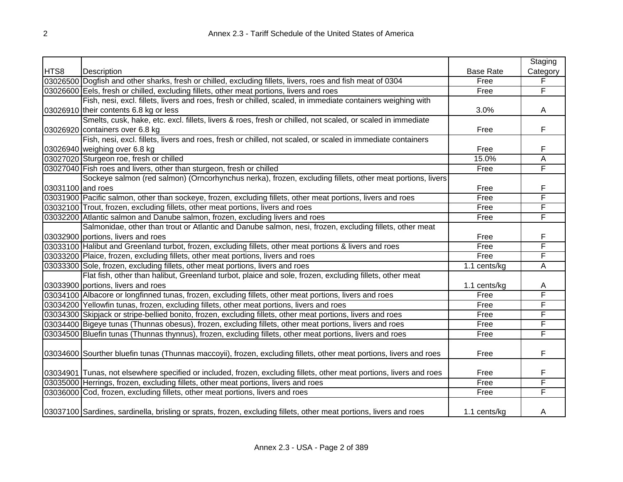|                   |                                                                                                                      |                  | Staging  |
|-------------------|----------------------------------------------------------------------------------------------------------------------|------------------|----------|
| HTS8              | Description                                                                                                          | <b>Base Rate</b> | Category |
|                   | 03026500 Dogfish and other sharks, fresh or chilled, excluding fillets, livers, roes and fish meat of 0304           | Free             | F        |
|                   | 03026600 Eels, fresh or chilled, excluding fillets, other meat portions, livers and roes                             | Free             | F        |
|                   | Fish, nesi, excl. fillets, livers and roes, fresh or chilled, scaled, in immediate containers weighing with          |                  |          |
|                   | 03026910 their contents 6.8 kg or less                                                                               | 3.0%             | A        |
|                   | Smelts, cusk, hake, etc. excl. fillets, livers & roes, fresh or chilled, not scaled, or scaled in immediate          |                  |          |
|                   | 03026920 containers over 6.8 kg                                                                                      | Free             | F        |
|                   | Fish, nesi, excl. fillets, livers and roes, fresh or chilled, not scaled, or scaled in immediate containers          |                  |          |
|                   | 03026940 weighing over 6.8 kg                                                                                        | Free             | F        |
|                   | 03027020 Sturgeon roe, fresh or chilled                                                                              | 15.0%            | А        |
|                   | 03027040 Fish roes and livers, other than sturgeon, fresh or chilled                                                 | Free             | F        |
|                   | Sockeye salmon (red salmon) (Orncorhynchus nerka), frozen, excluding fillets, other meat portions, livers            |                  |          |
| 03031100 and roes |                                                                                                                      | Free             | F        |
|                   | 03031900 Pacific salmon, other than sockeye, frozen, excluding fillets, other meat portions, livers and roes         | Free             | F        |
|                   | 03032100 Trout, frozen, excluding fillets, other meat portions, livers and roes                                      | Free             | F        |
|                   | 03032200 Atlantic salmon and Danube salmon, frozen, excluding livers and roes                                        | Free             | F        |
|                   | Salmonidae, other than trout or Atlantic and Danube salmon, nesi, frozen, excluding fillets, other meat              |                  |          |
|                   | 03032900 portions, livers and roes                                                                                   | Free             | F        |
|                   | 03033100 Halibut and Greenland turbot, frozen, excluding fillets, other meat portions & livers and roes              | Free             | F        |
|                   | 03033200 Plaice, frozen, excluding fillets, other meat portions, livers and roes                                     | Free             | F        |
|                   | 03033300 Sole, frozen, excluding fillets, other meat portions, livers and roes                                       | 1.1 cents/kg     | А        |
|                   | Flat fish, other than halibut, Greenland turbot, plaice and sole, frozen, excluding fillets, other meat              |                  |          |
|                   | 03033900 portions, livers and roes                                                                                   | 1.1 cents/kg     | A        |
|                   | 03034100 Albacore or longfinned tunas, frozen, excluding fillets, other meat portions, livers and roes               | Free             | F        |
|                   | 03034200 Yellowfin tunas, frozen, excluding fillets, other meat portions, livers and roes                            | Free             | F        |
|                   | 03034300 Skipjack or stripe-bellied bonito, frozen, excluding fillets, other meat portions, livers and roes          | Free             | F        |
|                   | 03034400 Bigeye tunas (Thunnas obesus), frozen, excluding fillets, other meat portions, livers and roes              | Free             | F        |
|                   | 03034500 Bluefin tunas (Thunnas thynnus), frozen, excluding fillets, other meat portions, livers and roes            | Free             | F        |
|                   |                                                                                                                      |                  |          |
|                   | 03034600 Sourther bluefin tunas (Thunnas maccoyii), frozen, excluding fillets, other meat portions, livers and roes  | Free             | F        |
|                   | 03034901 Tunas, not elsewhere specified or included, frozen, excluding fillets, other meat portions, livers and roes | Free             | F        |
|                   | 03035000 Herrings, frozen, excluding fillets, other meat portions, livers and roes                                   | Free             | F        |
|                   | 03036000 Cod, frozen, excluding fillets, other meat portions, livers and roes                                        | Free             | F        |
|                   | 03037100 Sardines, sardinella, brisling or sprats, frozen, excluding fillets, other meat portions, livers and roes   | 1.1 cents/kg     | A        |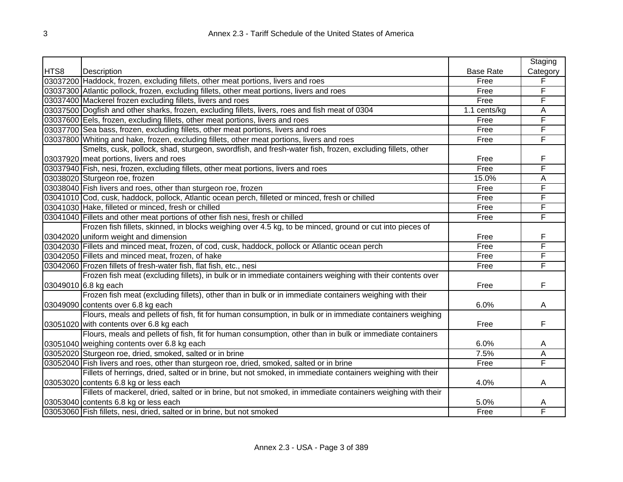| Description<br><b>Base Rate</b><br>Category<br>03037200 Haddock, frozen, excluding fillets, other meat portions, livers and roes<br>F<br>Free<br>F<br>03037300 Atlantic pollock, frozen, excluding fillets, other meat portions, livers and roes<br>Free<br>F<br>03037400 Mackerel frozen excluding fillets, livers and roes<br>Free<br>03037500 Dogfish and other sharks, frozen, excluding fillets, livers, roes and fish meat of 0304<br>A<br>1.1 cents/kg<br>F<br>03037600 Eels, frozen, excluding fillets, other meat portions, livers and roes<br>Free<br>F<br>03037700 Sea bass, frozen, excluding fillets, other meat portions, livers and roes<br>Free<br>F<br>03037800 Whiting and hake, frozen, excluding fillets, other meat portions, livers and roes<br>Free<br>Smelts, cusk, pollock, shad, sturgeon, swordfish, and fresh-water fish, frozen, excluding fillets, other<br>03037920 meat portions, livers and roes<br>F<br>Free<br>F<br>03037940 Fish, nesi, frozen, excluding fillets, other meat portions, livers and roes<br>Free<br>03038020 Sturgeon roe, frozen<br>15.0%<br>Α<br>F<br>03038040 Fish livers and roes, other than sturgeon roe, frozen<br>Free<br>F<br>03041010 Cod, cusk, haddock, pollock, Atlantic ocean perch, filleted or minced, fresh or chilled<br>Free<br>F<br>03041030 Hake, filleted or minced, fresh or chilled<br>Free<br>F<br>03041040 Fillets and other meat portions of other fish nesi, fresh or chilled<br>Free<br>Frozen fish fillets, skinned, in blocks weighing over 4.5 kg, to be minced, ground or cut into pieces of<br>F<br>03042020 uniform weight and dimension<br>Free<br>F<br>03042030 Fillets and minced meat, frozen, of cod, cusk, haddock, pollock or Atlantic ocean perch<br>Free<br>F<br>03042050 Fillets and minced meat, frozen, of hake<br>Free<br>F<br>03042060 Frozen fillets of fresh-water fish, flat fish, etc., nesi<br>Free<br>Frozen fish meat (excluding fillets), in bulk or in immediate containers weighing with their contents over<br>F<br>03049010 6.8 kg each<br>Free<br>Frozen fish meat (excluding fillets), other than in bulk or in immediate containers weighing with their<br>03049090 contents over 6.8 kg each<br>6.0%<br>A<br>Flours, meals and pellets of fish, fit for human consumption, in bulk or in immediate containers weighing<br>F<br>03051020 with contents over 6.8 kg each<br>Free<br>Flours, meals and pellets of fish, fit for human consumption, other than in bulk or immediate containers<br>03051040 weighing contents over 6.8 kg each<br>6.0%<br>A<br>03052020 Sturgeon roe, dried, smoked, salted or in brine<br>7.5%<br>Α<br>F<br>03052040 Fish livers and roes, other than sturgeon roe, dried, smoked, salted or in brine<br>Free<br>Fillets of herrings, dried, salted or in brine, but not smoked, in immediate containers weighing with their<br>03053020 contents 6.8 kg or less each<br>4.0%<br>A<br>Fillets of mackerel, dried, salted or in brine, but not smoked, in immediate containers weighing with their<br>03053040 contents 6.8 kg or less each<br>5.0%<br>Α<br>F<br>03053060 Fish fillets, nesi, dried, salted or in brine, but not smoked<br>Free |      |  | Staging |
|------------------------------------------------------------------------------------------------------------------------------------------------------------------------------------------------------------------------------------------------------------------------------------------------------------------------------------------------------------------------------------------------------------------------------------------------------------------------------------------------------------------------------------------------------------------------------------------------------------------------------------------------------------------------------------------------------------------------------------------------------------------------------------------------------------------------------------------------------------------------------------------------------------------------------------------------------------------------------------------------------------------------------------------------------------------------------------------------------------------------------------------------------------------------------------------------------------------------------------------------------------------------------------------------------------------------------------------------------------------------------------------------------------------------------------------------------------------------------------------------------------------------------------------------------------------------------------------------------------------------------------------------------------------------------------------------------------------------------------------------------------------------------------------------------------------------------------------------------------------------------------------------------------------------------------------------------------------------------------------------------------------------------------------------------------------------------------------------------------------------------------------------------------------------------------------------------------------------------------------------------------------------------------------------------------------------------------------------------------------------------------------------------------------------------------------------------------------------------------------------------------------------------------------------------------------------------------------------------------------------------------------------------------------------------------------------------------------------------------------------------------------------------------------------------------------------------------------------------------------------------------------------------------------------------------------------------------------------------------------------------------------------------------------------------------------------------------------------------------------------------------------------------------------------------------------------|------|--|---------|
|                                                                                                                                                                                                                                                                                                                                                                                                                                                                                                                                                                                                                                                                                                                                                                                                                                                                                                                                                                                                                                                                                                                                                                                                                                                                                                                                                                                                                                                                                                                                                                                                                                                                                                                                                                                                                                                                                                                                                                                                                                                                                                                                                                                                                                                                                                                                                                                                                                                                                                                                                                                                                                                                                                                                                                                                                                                                                                                                                                                                                                                                                                                                                                                                | HTS8 |  |         |
|                                                                                                                                                                                                                                                                                                                                                                                                                                                                                                                                                                                                                                                                                                                                                                                                                                                                                                                                                                                                                                                                                                                                                                                                                                                                                                                                                                                                                                                                                                                                                                                                                                                                                                                                                                                                                                                                                                                                                                                                                                                                                                                                                                                                                                                                                                                                                                                                                                                                                                                                                                                                                                                                                                                                                                                                                                                                                                                                                                                                                                                                                                                                                                                                |      |  |         |
|                                                                                                                                                                                                                                                                                                                                                                                                                                                                                                                                                                                                                                                                                                                                                                                                                                                                                                                                                                                                                                                                                                                                                                                                                                                                                                                                                                                                                                                                                                                                                                                                                                                                                                                                                                                                                                                                                                                                                                                                                                                                                                                                                                                                                                                                                                                                                                                                                                                                                                                                                                                                                                                                                                                                                                                                                                                                                                                                                                                                                                                                                                                                                                                                |      |  |         |
|                                                                                                                                                                                                                                                                                                                                                                                                                                                                                                                                                                                                                                                                                                                                                                                                                                                                                                                                                                                                                                                                                                                                                                                                                                                                                                                                                                                                                                                                                                                                                                                                                                                                                                                                                                                                                                                                                                                                                                                                                                                                                                                                                                                                                                                                                                                                                                                                                                                                                                                                                                                                                                                                                                                                                                                                                                                                                                                                                                                                                                                                                                                                                                                                |      |  |         |
|                                                                                                                                                                                                                                                                                                                                                                                                                                                                                                                                                                                                                                                                                                                                                                                                                                                                                                                                                                                                                                                                                                                                                                                                                                                                                                                                                                                                                                                                                                                                                                                                                                                                                                                                                                                                                                                                                                                                                                                                                                                                                                                                                                                                                                                                                                                                                                                                                                                                                                                                                                                                                                                                                                                                                                                                                                                                                                                                                                                                                                                                                                                                                                                                |      |  |         |
|                                                                                                                                                                                                                                                                                                                                                                                                                                                                                                                                                                                                                                                                                                                                                                                                                                                                                                                                                                                                                                                                                                                                                                                                                                                                                                                                                                                                                                                                                                                                                                                                                                                                                                                                                                                                                                                                                                                                                                                                                                                                                                                                                                                                                                                                                                                                                                                                                                                                                                                                                                                                                                                                                                                                                                                                                                                                                                                                                                                                                                                                                                                                                                                                |      |  |         |
|                                                                                                                                                                                                                                                                                                                                                                                                                                                                                                                                                                                                                                                                                                                                                                                                                                                                                                                                                                                                                                                                                                                                                                                                                                                                                                                                                                                                                                                                                                                                                                                                                                                                                                                                                                                                                                                                                                                                                                                                                                                                                                                                                                                                                                                                                                                                                                                                                                                                                                                                                                                                                                                                                                                                                                                                                                                                                                                                                                                                                                                                                                                                                                                                |      |  |         |
|                                                                                                                                                                                                                                                                                                                                                                                                                                                                                                                                                                                                                                                                                                                                                                                                                                                                                                                                                                                                                                                                                                                                                                                                                                                                                                                                                                                                                                                                                                                                                                                                                                                                                                                                                                                                                                                                                                                                                                                                                                                                                                                                                                                                                                                                                                                                                                                                                                                                                                                                                                                                                                                                                                                                                                                                                                                                                                                                                                                                                                                                                                                                                                                                |      |  |         |
|                                                                                                                                                                                                                                                                                                                                                                                                                                                                                                                                                                                                                                                                                                                                                                                                                                                                                                                                                                                                                                                                                                                                                                                                                                                                                                                                                                                                                                                                                                                                                                                                                                                                                                                                                                                                                                                                                                                                                                                                                                                                                                                                                                                                                                                                                                                                                                                                                                                                                                                                                                                                                                                                                                                                                                                                                                                                                                                                                                                                                                                                                                                                                                                                |      |  |         |
|                                                                                                                                                                                                                                                                                                                                                                                                                                                                                                                                                                                                                                                                                                                                                                                                                                                                                                                                                                                                                                                                                                                                                                                                                                                                                                                                                                                                                                                                                                                                                                                                                                                                                                                                                                                                                                                                                                                                                                                                                                                                                                                                                                                                                                                                                                                                                                                                                                                                                                                                                                                                                                                                                                                                                                                                                                                                                                                                                                                                                                                                                                                                                                                                |      |  |         |
|                                                                                                                                                                                                                                                                                                                                                                                                                                                                                                                                                                                                                                                                                                                                                                                                                                                                                                                                                                                                                                                                                                                                                                                                                                                                                                                                                                                                                                                                                                                                                                                                                                                                                                                                                                                                                                                                                                                                                                                                                                                                                                                                                                                                                                                                                                                                                                                                                                                                                                                                                                                                                                                                                                                                                                                                                                                                                                                                                                                                                                                                                                                                                                                                |      |  |         |
|                                                                                                                                                                                                                                                                                                                                                                                                                                                                                                                                                                                                                                                                                                                                                                                                                                                                                                                                                                                                                                                                                                                                                                                                                                                                                                                                                                                                                                                                                                                                                                                                                                                                                                                                                                                                                                                                                                                                                                                                                                                                                                                                                                                                                                                                                                                                                                                                                                                                                                                                                                                                                                                                                                                                                                                                                                                                                                                                                                                                                                                                                                                                                                                                |      |  |         |
|                                                                                                                                                                                                                                                                                                                                                                                                                                                                                                                                                                                                                                                                                                                                                                                                                                                                                                                                                                                                                                                                                                                                                                                                                                                                                                                                                                                                                                                                                                                                                                                                                                                                                                                                                                                                                                                                                                                                                                                                                                                                                                                                                                                                                                                                                                                                                                                                                                                                                                                                                                                                                                                                                                                                                                                                                                                                                                                                                                                                                                                                                                                                                                                                |      |  |         |
|                                                                                                                                                                                                                                                                                                                                                                                                                                                                                                                                                                                                                                                                                                                                                                                                                                                                                                                                                                                                                                                                                                                                                                                                                                                                                                                                                                                                                                                                                                                                                                                                                                                                                                                                                                                                                                                                                                                                                                                                                                                                                                                                                                                                                                                                                                                                                                                                                                                                                                                                                                                                                                                                                                                                                                                                                                                                                                                                                                                                                                                                                                                                                                                                |      |  |         |
|                                                                                                                                                                                                                                                                                                                                                                                                                                                                                                                                                                                                                                                                                                                                                                                                                                                                                                                                                                                                                                                                                                                                                                                                                                                                                                                                                                                                                                                                                                                                                                                                                                                                                                                                                                                                                                                                                                                                                                                                                                                                                                                                                                                                                                                                                                                                                                                                                                                                                                                                                                                                                                                                                                                                                                                                                                                                                                                                                                                                                                                                                                                                                                                                |      |  |         |
|                                                                                                                                                                                                                                                                                                                                                                                                                                                                                                                                                                                                                                                                                                                                                                                                                                                                                                                                                                                                                                                                                                                                                                                                                                                                                                                                                                                                                                                                                                                                                                                                                                                                                                                                                                                                                                                                                                                                                                                                                                                                                                                                                                                                                                                                                                                                                                                                                                                                                                                                                                                                                                                                                                                                                                                                                                                                                                                                                                                                                                                                                                                                                                                                |      |  |         |
|                                                                                                                                                                                                                                                                                                                                                                                                                                                                                                                                                                                                                                                                                                                                                                                                                                                                                                                                                                                                                                                                                                                                                                                                                                                                                                                                                                                                                                                                                                                                                                                                                                                                                                                                                                                                                                                                                                                                                                                                                                                                                                                                                                                                                                                                                                                                                                                                                                                                                                                                                                                                                                                                                                                                                                                                                                                                                                                                                                                                                                                                                                                                                                                                |      |  |         |
|                                                                                                                                                                                                                                                                                                                                                                                                                                                                                                                                                                                                                                                                                                                                                                                                                                                                                                                                                                                                                                                                                                                                                                                                                                                                                                                                                                                                                                                                                                                                                                                                                                                                                                                                                                                                                                                                                                                                                                                                                                                                                                                                                                                                                                                                                                                                                                                                                                                                                                                                                                                                                                                                                                                                                                                                                                                                                                                                                                                                                                                                                                                                                                                                |      |  |         |
|                                                                                                                                                                                                                                                                                                                                                                                                                                                                                                                                                                                                                                                                                                                                                                                                                                                                                                                                                                                                                                                                                                                                                                                                                                                                                                                                                                                                                                                                                                                                                                                                                                                                                                                                                                                                                                                                                                                                                                                                                                                                                                                                                                                                                                                                                                                                                                                                                                                                                                                                                                                                                                                                                                                                                                                                                                                                                                                                                                                                                                                                                                                                                                                                |      |  |         |
|                                                                                                                                                                                                                                                                                                                                                                                                                                                                                                                                                                                                                                                                                                                                                                                                                                                                                                                                                                                                                                                                                                                                                                                                                                                                                                                                                                                                                                                                                                                                                                                                                                                                                                                                                                                                                                                                                                                                                                                                                                                                                                                                                                                                                                                                                                                                                                                                                                                                                                                                                                                                                                                                                                                                                                                                                                                                                                                                                                                                                                                                                                                                                                                                |      |  |         |
|                                                                                                                                                                                                                                                                                                                                                                                                                                                                                                                                                                                                                                                                                                                                                                                                                                                                                                                                                                                                                                                                                                                                                                                                                                                                                                                                                                                                                                                                                                                                                                                                                                                                                                                                                                                                                                                                                                                                                                                                                                                                                                                                                                                                                                                                                                                                                                                                                                                                                                                                                                                                                                                                                                                                                                                                                                                                                                                                                                                                                                                                                                                                                                                                |      |  |         |
|                                                                                                                                                                                                                                                                                                                                                                                                                                                                                                                                                                                                                                                                                                                                                                                                                                                                                                                                                                                                                                                                                                                                                                                                                                                                                                                                                                                                                                                                                                                                                                                                                                                                                                                                                                                                                                                                                                                                                                                                                                                                                                                                                                                                                                                                                                                                                                                                                                                                                                                                                                                                                                                                                                                                                                                                                                                                                                                                                                                                                                                                                                                                                                                                |      |  |         |
|                                                                                                                                                                                                                                                                                                                                                                                                                                                                                                                                                                                                                                                                                                                                                                                                                                                                                                                                                                                                                                                                                                                                                                                                                                                                                                                                                                                                                                                                                                                                                                                                                                                                                                                                                                                                                                                                                                                                                                                                                                                                                                                                                                                                                                                                                                                                                                                                                                                                                                                                                                                                                                                                                                                                                                                                                                                                                                                                                                                                                                                                                                                                                                                                |      |  |         |
|                                                                                                                                                                                                                                                                                                                                                                                                                                                                                                                                                                                                                                                                                                                                                                                                                                                                                                                                                                                                                                                                                                                                                                                                                                                                                                                                                                                                                                                                                                                                                                                                                                                                                                                                                                                                                                                                                                                                                                                                                                                                                                                                                                                                                                                                                                                                                                                                                                                                                                                                                                                                                                                                                                                                                                                                                                                                                                                                                                                                                                                                                                                                                                                                |      |  |         |
|                                                                                                                                                                                                                                                                                                                                                                                                                                                                                                                                                                                                                                                                                                                                                                                                                                                                                                                                                                                                                                                                                                                                                                                                                                                                                                                                                                                                                                                                                                                                                                                                                                                                                                                                                                                                                                                                                                                                                                                                                                                                                                                                                                                                                                                                                                                                                                                                                                                                                                                                                                                                                                                                                                                                                                                                                                                                                                                                                                                                                                                                                                                                                                                                |      |  |         |
|                                                                                                                                                                                                                                                                                                                                                                                                                                                                                                                                                                                                                                                                                                                                                                                                                                                                                                                                                                                                                                                                                                                                                                                                                                                                                                                                                                                                                                                                                                                                                                                                                                                                                                                                                                                                                                                                                                                                                                                                                                                                                                                                                                                                                                                                                                                                                                                                                                                                                                                                                                                                                                                                                                                                                                                                                                                                                                                                                                                                                                                                                                                                                                                                |      |  |         |
|                                                                                                                                                                                                                                                                                                                                                                                                                                                                                                                                                                                                                                                                                                                                                                                                                                                                                                                                                                                                                                                                                                                                                                                                                                                                                                                                                                                                                                                                                                                                                                                                                                                                                                                                                                                                                                                                                                                                                                                                                                                                                                                                                                                                                                                                                                                                                                                                                                                                                                                                                                                                                                                                                                                                                                                                                                                                                                                                                                                                                                                                                                                                                                                                |      |  |         |
|                                                                                                                                                                                                                                                                                                                                                                                                                                                                                                                                                                                                                                                                                                                                                                                                                                                                                                                                                                                                                                                                                                                                                                                                                                                                                                                                                                                                                                                                                                                                                                                                                                                                                                                                                                                                                                                                                                                                                                                                                                                                                                                                                                                                                                                                                                                                                                                                                                                                                                                                                                                                                                                                                                                                                                                                                                                                                                                                                                                                                                                                                                                                                                                                |      |  |         |
|                                                                                                                                                                                                                                                                                                                                                                                                                                                                                                                                                                                                                                                                                                                                                                                                                                                                                                                                                                                                                                                                                                                                                                                                                                                                                                                                                                                                                                                                                                                                                                                                                                                                                                                                                                                                                                                                                                                                                                                                                                                                                                                                                                                                                                                                                                                                                                                                                                                                                                                                                                                                                                                                                                                                                                                                                                                                                                                                                                                                                                                                                                                                                                                                |      |  |         |
|                                                                                                                                                                                                                                                                                                                                                                                                                                                                                                                                                                                                                                                                                                                                                                                                                                                                                                                                                                                                                                                                                                                                                                                                                                                                                                                                                                                                                                                                                                                                                                                                                                                                                                                                                                                                                                                                                                                                                                                                                                                                                                                                                                                                                                                                                                                                                                                                                                                                                                                                                                                                                                                                                                                                                                                                                                                                                                                                                                                                                                                                                                                                                                                                |      |  |         |
|                                                                                                                                                                                                                                                                                                                                                                                                                                                                                                                                                                                                                                                                                                                                                                                                                                                                                                                                                                                                                                                                                                                                                                                                                                                                                                                                                                                                                                                                                                                                                                                                                                                                                                                                                                                                                                                                                                                                                                                                                                                                                                                                                                                                                                                                                                                                                                                                                                                                                                                                                                                                                                                                                                                                                                                                                                                                                                                                                                                                                                                                                                                                                                                                |      |  |         |
|                                                                                                                                                                                                                                                                                                                                                                                                                                                                                                                                                                                                                                                                                                                                                                                                                                                                                                                                                                                                                                                                                                                                                                                                                                                                                                                                                                                                                                                                                                                                                                                                                                                                                                                                                                                                                                                                                                                                                                                                                                                                                                                                                                                                                                                                                                                                                                                                                                                                                                                                                                                                                                                                                                                                                                                                                                                                                                                                                                                                                                                                                                                                                                                                |      |  |         |
|                                                                                                                                                                                                                                                                                                                                                                                                                                                                                                                                                                                                                                                                                                                                                                                                                                                                                                                                                                                                                                                                                                                                                                                                                                                                                                                                                                                                                                                                                                                                                                                                                                                                                                                                                                                                                                                                                                                                                                                                                                                                                                                                                                                                                                                                                                                                                                                                                                                                                                                                                                                                                                                                                                                                                                                                                                                                                                                                                                                                                                                                                                                                                                                                |      |  |         |
|                                                                                                                                                                                                                                                                                                                                                                                                                                                                                                                                                                                                                                                                                                                                                                                                                                                                                                                                                                                                                                                                                                                                                                                                                                                                                                                                                                                                                                                                                                                                                                                                                                                                                                                                                                                                                                                                                                                                                                                                                                                                                                                                                                                                                                                                                                                                                                                                                                                                                                                                                                                                                                                                                                                                                                                                                                                                                                                                                                                                                                                                                                                                                                                                |      |  |         |
|                                                                                                                                                                                                                                                                                                                                                                                                                                                                                                                                                                                                                                                                                                                                                                                                                                                                                                                                                                                                                                                                                                                                                                                                                                                                                                                                                                                                                                                                                                                                                                                                                                                                                                                                                                                                                                                                                                                                                                                                                                                                                                                                                                                                                                                                                                                                                                                                                                                                                                                                                                                                                                                                                                                                                                                                                                                                                                                                                                                                                                                                                                                                                                                                |      |  |         |
|                                                                                                                                                                                                                                                                                                                                                                                                                                                                                                                                                                                                                                                                                                                                                                                                                                                                                                                                                                                                                                                                                                                                                                                                                                                                                                                                                                                                                                                                                                                                                                                                                                                                                                                                                                                                                                                                                                                                                                                                                                                                                                                                                                                                                                                                                                                                                                                                                                                                                                                                                                                                                                                                                                                                                                                                                                                                                                                                                                                                                                                                                                                                                                                                |      |  |         |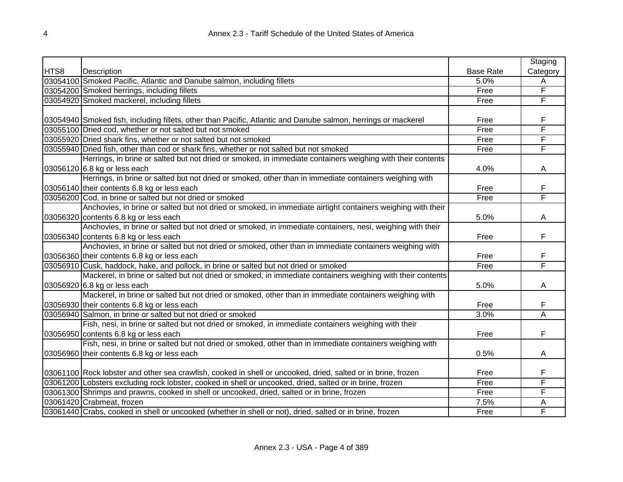|      |                                                                                                               |                  | Staging        |
|------|---------------------------------------------------------------------------------------------------------------|------------------|----------------|
| HTS8 | Description                                                                                                   | <b>Base Rate</b> | Category       |
|      | 03054100 Smoked Pacific, Atlantic and Danube salmon, including fillets                                        | 5.0%             | Α              |
|      | 03054200 Smoked herrings, including fillets                                                                   | Free             | F              |
|      | 03054920 Smoked mackerel, including fillets                                                                   | Free             | F              |
|      |                                                                                                               |                  |                |
|      | 03054940 Smoked fish, including fillets, other than Pacific, Atlantic and Danube salmon, herrings or mackerel | Free             | F              |
|      | 03055100 Dried cod, whether or not salted but not smoked                                                      | Free             | F              |
|      | 03055920 Dried shark fins, whether or not salted but not smoked                                               | Free             | F              |
|      | 03055940 Dried fish, other than cod or shark fins, whether or not salted but not smoked                       | Free             | F              |
|      | Herrings, in brine or salted but not dried or smoked, in immediate containers weighing with their contents    |                  |                |
|      | 03056120 6.8 kg or less each                                                                                  | 4.0%             | Α              |
|      | Herrings, in brine or salted but not dried or smoked, other than in immediate containers weighing with        |                  |                |
|      | 03056140 their contents 6.8 kg or less each                                                                   | Free             | F              |
|      | 03056200 Cod, in brine or salted but not dried or smoked                                                      | Free             | F              |
|      | Anchovies, in brine or salted but not dried or smoked, in immediate airtight containers weighing with their   |                  |                |
|      | 03056320 contents 6.8 kg or less each                                                                         | 5.0%             | A              |
|      | Anchovies, in brine or salted but not dried or smoked, in immediate containers, nesi, weighing with their     |                  |                |
|      | 03056340 contents 6.8 kg or less each                                                                         | Free             | F              |
|      | Anchovies, in brine or salted but not dried or smoked, other than in immediate containers weighing with       |                  |                |
|      | 03056360 their contents 6.8 kg or less each                                                                   | Free             | F              |
|      | 03056910 Cusk, haddock, hake, and pollock, in brine or salted but not dried or smoked                         | Free             | F              |
|      | Mackerel, in brine or salted but not dried or smoked, in immediate containers weighing with their contents    |                  |                |
|      | 03056920 6.8 kg or less each                                                                                  | 5.0%             | A              |
|      | Mackerel, in brine or salted but not dried or smoked, other than in immediate containers weighing with        |                  |                |
|      | 03056930 their contents 6.8 kg or less each                                                                   | Free             | F              |
|      | 03056940 Salmon, in brine or salted but not dried or smoked                                                   | 3.0%             | $\overline{A}$ |
|      | Fish, nesi, in brine or salted but not dried or smoked, in immediate containers weighing with their           |                  |                |
|      | 03056950 contents 6.8 kg or less each                                                                         | Free             | F              |
|      | Fish, nesi, in brine or salted but not dried or smoked, other than in immediate containers weighing with      |                  |                |
|      | 03056960 their contents 6.8 kg or less each                                                                   | 0.5%             | A              |
|      |                                                                                                               |                  |                |
|      | 03061100 Rock lobster and other sea crawfish, cooked in shell or uncooked, dried, salted or in brine, frozen  | Free             | F              |
|      | 03061200 Lobsters excluding rock lobster, cooked in shell or uncooked, dried, salted or in brine, frozen      | Free             | F              |
|      | 03061300 Shrimps and prawns, cooked in shell or uncooked, dried, salted or in brine, frozen                   | Free             | F              |
|      | 03061420 Crabmeat, frozen                                                                                     | 7.5%             | A              |
|      | 03061440 Crabs, cooked in shell or uncooked (whether in shell or not), dried, salted or in brine, frozen      | Free             | F              |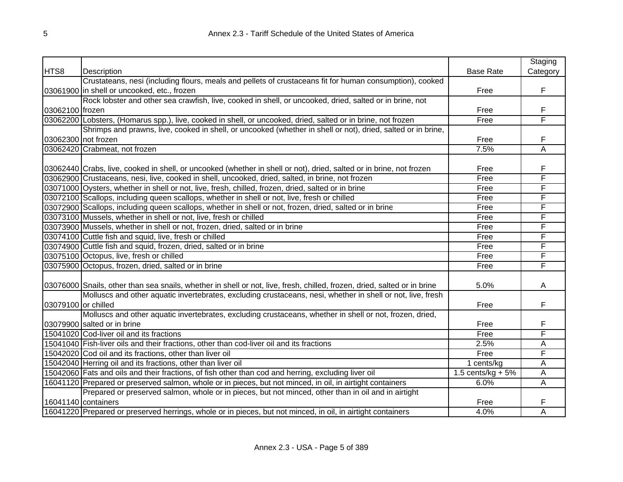|                     |                                                                                                                          |                    | Staging  |
|---------------------|--------------------------------------------------------------------------------------------------------------------------|--------------------|----------|
| HTS8                | Description                                                                                                              | <b>Base Rate</b>   | Category |
|                     | Crustateans, nesi (including flours, meals and pellets of crustaceans fit for human consumption), cooked                 |                    |          |
|                     | 03061900 in shell or uncooked, etc., frozen                                                                              | Free               | F        |
|                     | Rock lobster and other sea crawfish, live, cooked in shell, or uncooked, dried, salted or in brine, not                  |                    |          |
| 03062100 frozen     |                                                                                                                          | Free               | F        |
|                     | 03062200 Lobsters, (Homarus spp.), live, cooked in shell, or uncooked, dried, salted or in brine, not frozen             | Free               | F        |
|                     | Shrimps and prawns, live, cooked in shell, or uncooked (whether in shell or not), dried, salted or in brine,             |                    |          |
| 03062300 not frozen |                                                                                                                          | Free               | F        |
|                     | 03062420 Crabmeat, not frozen                                                                                            | 7.5%               | A        |
|                     |                                                                                                                          |                    |          |
|                     | 03062440 Crabs, live, cooked in shell, or uncooked (whether in shell or not), dried, salted or in brine, not frozen      | Free               | F        |
|                     | 03062900 Crustaceans, nesi, live, cooked in shell, uncooked, dried, salted, in brine, not frozen                         | Free               | F        |
|                     | 03071000 Oysters, whether in shell or not, live, fresh, chilled, frozen, dried, salted or in brine                       | Free               | F        |
|                     | 03072100 Scallops, including queen scallops, whether in shell or not, live, fresh or chilled                             | Free               | F        |
|                     | 03072900 Scallops, including queen scallops, whether in shell or not, frozen, dried, salted or in brine                  | Free               | F        |
|                     | 03073100 Mussels, whether in shell or not, live, fresh or chilled                                                        | Free               | F        |
|                     | 03073900 Mussels, whether in shell or not, frozen, dried, salted or in brine                                             | Free               | F        |
|                     | 03074100 Cuttle fish and squid, live, fresh or chilled                                                                   | Free               | F        |
|                     | 03074900 Cuttle fish and squid, frozen, dried, salted or in brine                                                        | Free               | F        |
|                     | 03075100 Octopus, live, fresh or chilled                                                                                 | Free               | F        |
|                     | 03075900 Octopus, frozen, dried, salted or in brine                                                                      | Free               | F        |
|                     |                                                                                                                          |                    |          |
|                     | 03076000 Snails, other than sea snails, whether in shell or not, live, fresh, chilled, frozen, dried, salted or in brine | 5.0%               | A        |
|                     | Molluscs and other aquatic invertebrates, excluding crustaceans, nesi, whether in shell or not, live, fresh              |                    |          |
| 03079100 or chilled |                                                                                                                          | Free               | F        |
|                     | Molluscs and other aquatic invertebrates, excluding crustaceans, whether in shell or not, frozen, dried,                 |                    |          |
|                     | 03079900 salted or in brine                                                                                              | Free               | F        |
|                     | 15041020 Cod-liver oil and its fractions                                                                                 | Free               | F        |
|                     | 15041040 Fish-liver oils and their fractions, other than cod-liver oil and its fractions                                 | 2.5%               | A        |
|                     | 15042020 Cod oil and its fractions, other than liver oil                                                                 | Free               | F        |
|                     | 15042040 Herring oil and its fractions, other than liver oil                                                             | 1 cents/kg         | A        |
|                     | 15042060 Fats and oils and their fractions, of fish other than cod and herring, excluding liver oil                      | 1.5 cents/kg $+5%$ | А        |
|                     | 16041120 Prepared or preserved salmon, whole or in pieces, but not minced, in oil, in airtight containers                | 6.0%               | Α        |
|                     | Prepared or preserved salmon, whole or in pieces, but not minced, other than in oil and in airtight                      |                    |          |
|                     | 16041140 containers                                                                                                      | Free               | F        |
|                     | 16041220 Prepared or preserved herrings, whole or in pieces, but not minced, in oil, in airtight containers              | 4.0%               | Α        |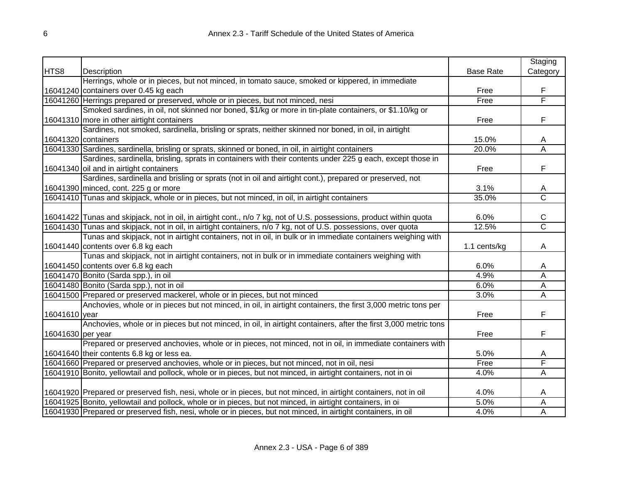|                   |                                                                                                                     |                  | Staging                 |
|-------------------|---------------------------------------------------------------------------------------------------------------------|------------------|-------------------------|
| HTS8              | Description                                                                                                         | <b>Base Rate</b> | Category                |
|                   | Herrings, whole or in pieces, but not minced, in tomato sauce, smoked or kippered, in immediate                     |                  |                         |
|                   | 16041240 containers over 0.45 kg each                                                                               | Free             | F                       |
|                   | 16041260 Herrings prepared or preserved, whole or in pieces, but not minced, nesi                                   | Free             | F                       |
|                   | Smoked sardines, in oil, not skinned nor boned, \$1/kg or more in tin-plate containers, or \$1.10/kg or             |                  |                         |
|                   | 16041310 more in other airtight containers                                                                          | Free             | F                       |
|                   | Sardines, not smoked, sardinella, brisling or sprats, neither skinned nor boned, in oil, in airtight                |                  |                         |
|                   | 16041320 containers                                                                                                 | 15.0%            | A                       |
|                   | 16041330 Sardines, sardinella, brisling or sprats, skinned or boned, in oil, in airtight containers                 | 20.0%            | $\overline{\mathsf{A}}$ |
|                   | Sardines, sardinella, brisling, sprats in containers with their contents under 225 g each, except those in          |                  |                         |
|                   | 16041340 oil and in airtight containers                                                                             | Free             | F                       |
|                   | Sardines, sardinella and brisling or sprats (not in oil and airtight cont.), prepared or preserved, not             |                  |                         |
|                   | 16041390 minced, cont. 225 g or more                                                                                | 3.1%             | A                       |
|                   | 16041410 Tunas and skipjack, whole or in pieces, but not minced, in oil, in airtight containers                     | 35.0%            | $\overline{\text{c}}$   |
|                   |                                                                                                                     |                  |                         |
|                   | 16041422 Tunas and skipjack, not in oil, in airtight cont., n/o 7 kg, not of U.S. possessions, product within quota | 6.0%             | C                       |
|                   | 16041430 Tunas and skipjack, not in oil, in airtight containers, n/o 7 kg, not of U.S. possessions, over quota      | 12.5%            | $\overline{\text{C}}$   |
|                   | Tunas and skipjack, not in airtight containers, not in oil, in bulk or in immediate containers weighing with        |                  |                         |
|                   | 16041440 contents over 6.8 kg each                                                                                  | 1.1 cents/kg     | A                       |
|                   | Tunas and skipjack, not in airtight containers, not in bulk or in immediate containers weighing with                |                  |                         |
|                   | 16041450 contents over 6.8 kg each                                                                                  | 6.0%             | A                       |
|                   | 16041470 Bonito (Sarda spp.), in oil                                                                                | 4.9%             | А                       |
|                   | 16041480 Bonito (Sarda spp.), not in oil                                                                            | 6.0%             | Α                       |
|                   | 16041500 Prepared or preserved mackerel, whole or in pieces, but not minced                                         | 3.0%             | A                       |
|                   | Anchovies, whole or in pieces but not minced, in oil, in airtight containers, the first 3,000 metric tons per       |                  |                         |
| 16041610 year     |                                                                                                                     | Free             | F                       |
|                   | Anchovies, whole or in pieces but not minced, in oil, in airtight containers, after the first 3,000 metric tons     |                  |                         |
| 16041630 per year |                                                                                                                     | Free             | F                       |
|                   | Prepared or preserved anchovies, whole or in pieces, not minced, not in oil, in immediate containers with           |                  |                         |
|                   | 16041640 their contents 6.8 kg or less ea.                                                                          | 5.0%             | A                       |
|                   | 16041660 Prepared or preserved anchovies, whole or in pieces, but not minced, not in oil, nesi                      | Free             | F                       |
|                   | 16041910 Bonito, yellowtail and pollock, whole or in pieces, but not minced, in airtight containers, not in oi      | 4.0%             | А                       |
|                   |                                                                                                                     |                  |                         |
|                   | 16041920 Prepared or preserved fish, nesi, whole or in pieces, but not minced, in airtight containers, not in oil   | 4.0%             | A                       |
|                   | 16041925 Bonito, yellowtail and pollock, whole or in pieces, but not minced, in airtight containers, in oil         | 5.0%             | A                       |
|                   | 16041930 Prepared or preserved fish, nesi, whole or in pieces, but not minced, in airtight containers, in oil       | 4.0%             | A                       |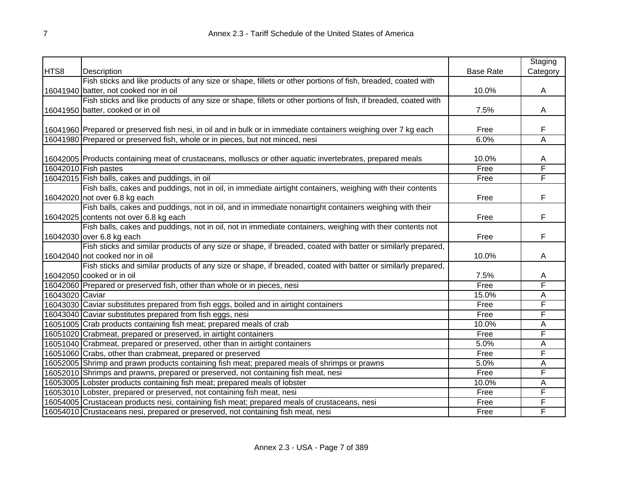|                 |                                                                                                                 |                  | Staging  |
|-----------------|-----------------------------------------------------------------------------------------------------------------|------------------|----------|
| HTS8            | Description                                                                                                     | <b>Base Rate</b> | Category |
|                 | Fish sticks and like products of any size or shape, fillets or other portions of fish, breaded, coated with     |                  |          |
|                 | 16041940 batter, not cooked nor in oil                                                                          | 10.0%            | A        |
|                 | Fish sticks and like products of any size or shape, fillets or other portions of fish, if breaded, coated with  |                  |          |
|                 | 16041950 batter, cooked or in oil                                                                               | 7.5%             | Α        |
|                 |                                                                                                                 |                  |          |
|                 | 16041960 Prepared or preserved fish nesi, in oil and in bulk or in immediate containers weighing over 7 kg each | Free             | F        |
|                 | 16041980 Prepared or preserved fish, whole or in pieces, but not minced, nesi                                   | 6.0%             | A        |
|                 |                                                                                                                 |                  |          |
|                 | 16042005 Products containing meat of crustaceans, molluscs or other aquatic invertebrates, prepared meals       | 10.0%            | A        |
|                 | 16042010 Fish pastes                                                                                            | Free             | F        |
|                 | 16042015 Fish balls, cakes and puddings, in oil                                                                 | Free             | F        |
|                 | Fish balls, cakes and puddings, not in oil, in immediate airtight containers, weighing with their contents      |                  |          |
|                 | 16042020 not over 6.8 kg each                                                                                   | Free             | F        |
|                 | Fish balls, cakes and puddings, not in oil, and in immediate nonairtight containers weighing with their         |                  |          |
|                 | 16042025 contents not over 6.8 kg each                                                                          | Free             | F        |
|                 | Fish balls, cakes and puddings, not in oil, not in immediate containers, weighing with their contents not       |                  |          |
|                 | 16042030 over 6.8 kg each                                                                                       | Free             | F        |
|                 | Fish sticks and similar products of any size or shape, if breaded, coated with batter or similarly prepared,    |                  |          |
|                 | 16042040 not cooked nor in oil                                                                                  | 10.0%            | А        |
|                 | Fish sticks and similar products of any size or shape, if breaded, coated with batter or similarly prepared,    |                  |          |
|                 | 16042050 cooked or in oil                                                                                       | 7.5%             | Α        |
|                 | 16042060 Prepared or preserved fish, other than whole or in pieces, nesi                                        | Free             | F        |
| 16043020 Caviar |                                                                                                                 | 15.0%            | А        |
|                 | 16043030 Caviar substitutes prepared from fish eggs, boiled and in airtight containers                          | Free             | F        |
|                 | 16043040 Caviar substitutes prepared from fish eggs, nesi                                                       | Free             | F        |
|                 | 16051005 Crab products containing fish meat; prepared meals of crab                                             | 10.0%            | Α        |
|                 | 16051020 Crabmeat, prepared or preserved, in airtight containers                                                | Free             | F        |
|                 | 16051040 Crabmeat, prepared or preserved, other than in airtight containers                                     | 5.0%             | A        |
|                 | 16051060 Crabs, other than crabmeat, prepared or preserved                                                      | Free             | F        |
|                 | 16052005 Shrimp and prawn products containing fish meat; prepared meals of shrimps or prawns                    | 5.0%             | Α        |
|                 | 16052010 Shrimps and prawns, prepared or preserved, not containing fish meat, nesi                              | Free             | F        |
|                 | 16053005 Lobster products containing fish meat; prepared meals of lobster                                       | 10.0%            | A        |
|                 | 16053010 Lobster, prepared or preserved, not containing fish meat, nesi                                         | Free             | F        |
|                 | 16054005 Crustacean products nesi, containing fish meat; prepared meals of crustaceans, nesi                    | Free             | F        |
|                 | 16054010 Crustaceans nesi, prepared or preserved, not containing fish meat, nesi                                | Free             | F        |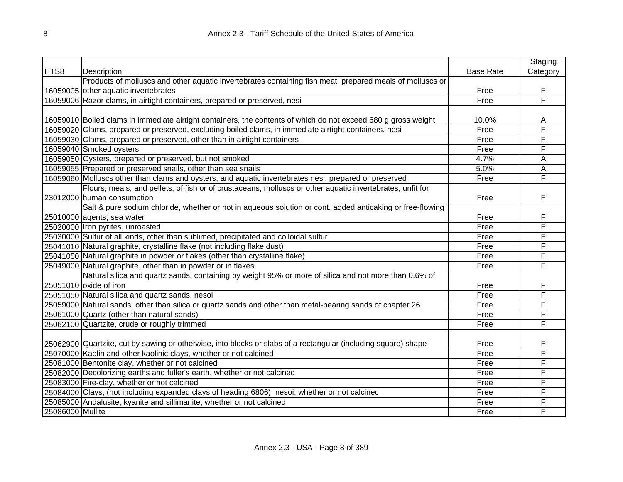|                  |                                                                                                                  |                  | Staging  |
|------------------|------------------------------------------------------------------------------------------------------------------|------------------|----------|
| HTS8             | Description                                                                                                      | <b>Base Rate</b> | Category |
|                  | Products of molluscs and other aquatic invertebrates containing fish meat; prepared meals of molluscs or         |                  |          |
|                  | 16059005 other aquatic invertebrates                                                                             | Free             | F        |
|                  | 16059006 Razor clams, in airtight containers, prepared or preserved, nesi                                        | Free             | F        |
|                  |                                                                                                                  |                  |          |
|                  | 16059010 Boiled clams in immediate airtight containers, the contents of which do not exceed 680 g gross weight   | 10.0%            | Α        |
|                  | 16059020 Clams, prepared or preserved, excluding boiled clams, in immediate airtight containers, nesi            | Free             | F        |
|                  | 16059030 Clams, prepared or preserved, other than in airtight containers                                         | Free             | F        |
|                  | 16059040 Smoked oysters                                                                                          | Free             | F        |
|                  | 16059050 Oysters, prepared or preserved, but not smoked                                                          | 4.7%             | A        |
|                  | 16059055 Prepared or preserved snails, other than sea snails                                                     | 5.0%             | A        |
|                  | 16059060 Molluscs other than clams and oysters, and aquatic invertebrates nesi, prepared or preserved            | Free             | F        |
|                  | Flours, meals, and pellets, of fish or of crustaceans, molluscs or other aquatic invertebrates, unfit for        |                  |          |
|                  | 23012000 human consumption                                                                                       | Free             | F        |
|                  | Salt & pure sodium chloride, whether or not in aqueous solution or cont. added anticaking or free-flowing        |                  |          |
|                  | 25010000 agents; sea water                                                                                       | Free             | F        |
|                  | 25020000 Iron pyrites, unroasted                                                                                 | Free             | F        |
|                  | 25030000 Sulfur of all kinds, other than sublimed, precipitated and colloidal sulfur                             | Free             | F        |
|                  | 25041010 Natural graphite, crystalline flake (not including flake dust)                                          | Free             | F        |
|                  | 25041050 Natural graphite in powder or flakes (other than crystalline flake)                                     | Free             | F        |
|                  | 25049000 Natural graphite, other than in powder or in flakes                                                     | Free             | F        |
|                  | Natural silica and quartz sands, containing by weight 95% or more of silica and not more than 0.6% of            |                  |          |
|                  | 25051010 oxide of iron                                                                                           | Free             | F        |
|                  | 25051050 Natural silica and quartz sands, nesoi                                                                  | Free             | F        |
|                  | 25059000 Natural sands, other than silica or quartz sands and other than metal-bearing sands of chapter 26       | Free             | F        |
|                  | 25061000 Quartz (other than natural sands)                                                                       | Free             | F        |
|                  | 25062100 Quartzite, crude or roughly trimmed                                                                     | Free             | F        |
|                  |                                                                                                                  |                  |          |
|                  | [25062900] Quartzite, cut by sawing or otherwise, into blocks or slabs of a rectangular (including square) shape | Free             | F        |
|                  | 25070000 Kaolin and other kaolinic clays, whether or not calcined                                                | Free             | F        |
|                  | 25081000 Bentonite clay, whether or not calcined                                                                 | Free             | F        |
|                  | 25082000 Decolorizing earths and fuller's earth, whether or not calcined                                         | Free             | F        |
|                  | 25083000 Fire-clay, whether or not calcined                                                                      | Free             | F        |
|                  | 25084000 Clays, (not including expanded clays of heading 6806), nesoi, whether or not calcined                   | Free             | F        |
|                  | 25085000 Andalusite, kyanite and sillimanite, whether or not calcined                                            | Free             | F        |
| 25086000 Mullite |                                                                                                                  | Free             | F        |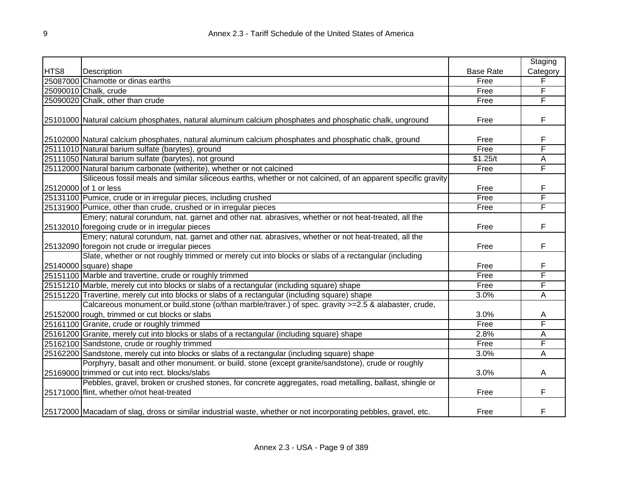|      |                                                                                                                   |                  | Staging  |
|------|-------------------------------------------------------------------------------------------------------------------|------------------|----------|
| HTS8 | Description                                                                                                       | <b>Base Rate</b> | Category |
|      | 25087000 Chamotte or dinas earths                                                                                 | Free             | F        |
|      | 25090010 Chalk, crude                                                                                             | Free             | F        |
|      | 25090020 Chalk, other than crude                                                                                  | Free             | F        |
|      |                                                                                                                   |                  |          |
|      | 25101000 Natural calcium phosphates, natural aluminum calcium phosphates and phosphatic chalk, unground           | Free             | F        |
|      |                                                                                                                   |                  |          |
|      | 25102000 Natural calcium phosphates, natural aluminum calcium phosphates and phosphatic chalk, ground             | Free             | F        |
|      | 25111010 Natural barium sulfate (barytes), ground                                                                 | Free             | F        |
|      | 25111050 Natural barium sulfate (barytes), not ground                                                             | \$1.25/t         | A        |
|      | 25112000 Natural barium carbonate (witherite), whether or not calcined                                            | Free             | F        |
|      | Siliceous fossil meals and similar siliceous earths, whether or not calcined, of an apparent specific gravity     |                  |          |
|      | 25120000 of 1 or less                                                                                             | Free             | F        |
|      | 25131100 Pumice, crude or in irregular pieces, including crushed                                                  | Free             | F        |
|      | 25131900 Pumice, other than crude, crushed or in irregular pieces                                                 | Free             | F        |
|      | Emery; natural corundum, nat. garnet and other nat. abrasives, whether or not heat-treated, all the               |                  |          |
|      | 25132010 foregoing crude or in irregular pieces                                                                   | Free             | F        |
|      | Emery; natural corundum, nat. garnet and other nat. abrasives, whether or not heat-treated, all the               |                  |          |
|      | 25132090 foregoin not crude or irregular pieces                                                                   | Free             | F        |
|      | Slate, whether or not roughly trimmed or merely cut into blocks or slabs of a rectangular (including              |                  |          |
|      | $25140000$ square) shape                                                                                          | Free             | F        |
|      | 25151100 Marble and travertine, crude or roughly trimmed                                                          | Free             | F        |
|      | 25151210 Marble, merely cut into blocks or slabs of a rectangular (including square) shape                        | Free             | F        |
|      | 25151220 Travertine, merely cut into blocks or slabs of a rectangular (including square) shape                    | 3.0%             | Α        |
|      | Calcareous monument.or build.stone (o/than marble/traver.) of spec. gravity >=2.5 & alabaster, crude,             |                  |          |
|      | 25152000 rough, trimmed or cut blocks or slabs                                                                    | 3.0%             | A        |
|      | 25161100 Granite, crude or roughly trimmed                                                                        | Free             | F        |
|      | 25161200 Granite, merely cut into blocks or slabs of a rectangular (including square) shape                       | 2.8%             | A        |
|      | 25162100 Sandstone, crude or roughly trimmed                                                                      | Free             | F        |
|      | 25162200 Sandstone, merely cut into blocks or slabs of a rectangular (including square) shape                     | 3.0%             | A        |
|      | Porphyry, basalt and other monument. or build. stone (except granite/sandstone), crude or roughly                 |                  |          |
|      | 25169000 trimmed or cut into rect. blocks/slabs                                                                   | 3.0%             | Α        |
|      | Pebbles, gravel, broken or crushed stones, for concrete aggregates, road metalling, ballast, shingle or           |                  |          |
|      | 25171000 flint, whether o/not heat-treated                                                                        | Free             | F        |
|      |                                                                                                                   |                  |          |
|      | [25172000] Macadam of slag, dross or similar industrial waste, whether or not incorporating pebbles, gravel, etc. | Free             | F        |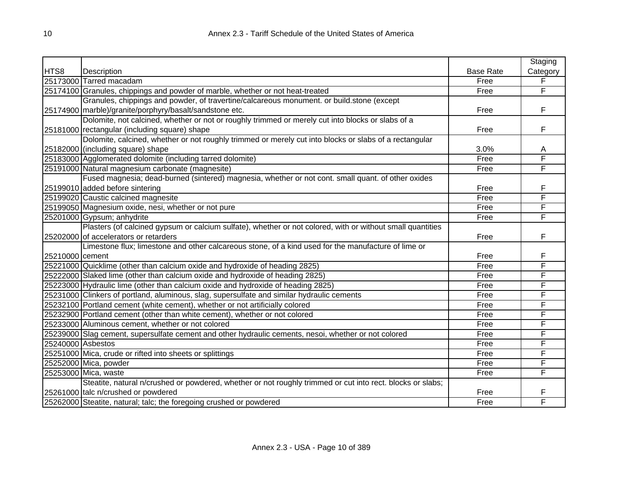|                   |                                                                                                            |                  | Staging  |
|-------------------|------------------------------------------------------------------------------------------------------------|------------------|----------|
| HTS8              | Description                                                                                                | <b>Base Rate</b> | Category |
|                   | 25173000 Tarred macadam                                                                                    | Free             | F        |
|                   | 25174100 Granules, chippings and powder of marble, whether or not heat-treated                             | Free             | F        |
|                   | Granules, chippings and powder, of travertine/calcareous monument. or build.stone (except                  |                  |          |
|                   | 25174900 marble)/granite/porphyry/basalt/sandstone etc.                                                    | Free             | F        |
|                   | Dolomite, not calcined, whether or not or roughly trimmed or merely cut into blocks or slabs of a          |                  |          |
|                   | 25181000 rectangular (including square) shape                                                              | Free             | F        |
|                   | Dolomite, calcined, whether or not roughly trimmed or merely cut into blocks or slabs of a rectangular     |                  |          |
|                   | 25182000 (including square) shape                                                                          | 3.0%             | A        |
|                   | 25183000 Agglomerated dolomite (including tarred dolomite)                                                 | Free             | F        |
|                   | 25191000 Natural magnesium carbonate (magnesite)                                                           | Free             | F        |
|                   | Fused magnesia; dead-burned (sintered) magnesia, whether or not cont. small quant. of other oxides         |                  |          |
|                   | 25199010 added before sintering                                                                            | Free             | F        |
|                   | 25199020 Caustic calcined magnesite                                                                        | Free             | F        |
|                   | 25199050 Magnesium oxide, nesi, whether or not pure                                                        | Free             | F        |
|                   | 25201000 Gypsum; anhydrite                                                                                 | Free             | F        |
|                   | Plasters (of calcined gypsum or calcium sulfate), whether or not colored, with or without small quantities |                  |          |
|                   | 25202000 of accelerators or retarders                                                                      | Free             | F        |
|                   | Limestone flux; limestone and other calcareous stone, of a kind used for the manufacture of lime or        |                  |          |
| 25210000 cement   |                                                                                                            | Free             | F        |
|                   | 25221000 Quicklime (other than calcium oxide and hydroxide of heading 2825)                                | Free             | F        |
|                   | 25222000 Slaked lime (other than calcium oxide and hydroxide of heading 2825)                              | Free             | F        |
|                   | 25223000 Hydraulic lime (other than calcium oxide and hydroxide of heading 2825)                           | Free             | F        |
|                   | 25231000 Clinkers of portland, aluminous, slag, supersulfate and similar hydraulic cements                 | Free             | F        |
|                   | 25232100 Portland cement (white cement), whether or not artificially colored                               | Free             | F        |
|                   | 25232900 Portland cement (other than white cement), whether or not colored                                 | Free             | F        |
|                   | 25233000 Aluminous cement, whether or not colored                                                          | Free             | F        |
|                   | 25239000 Slag cement, supersulfate cement and other hydraulic cements, nesoi, whether or not colored       | Free             | F        |
| 25240000 Asbestos |                                                                                                            | Free             | F        |
|                   | 25251000 Mica, crude or rifted into sheets or splittings                                                   | Free             | F        |
|                   | 25252000 Mica, powder                                                                                      | Free             | F        |
|                   | 25253000 Mica, waste                                                                                       | Free             | F        |
|                   | Steatite, natural n/crushed or powdered, whether or not roughly trimmed or cut into rect. blocks or slabs; |                  |          |
|                   | 25261000 talc n/crushed or powdered                                                                        | Free             | F        |
|                   | 25262000 Steatite, natural; talc; the foregoing crushed or powdered                                        | Free             | F        |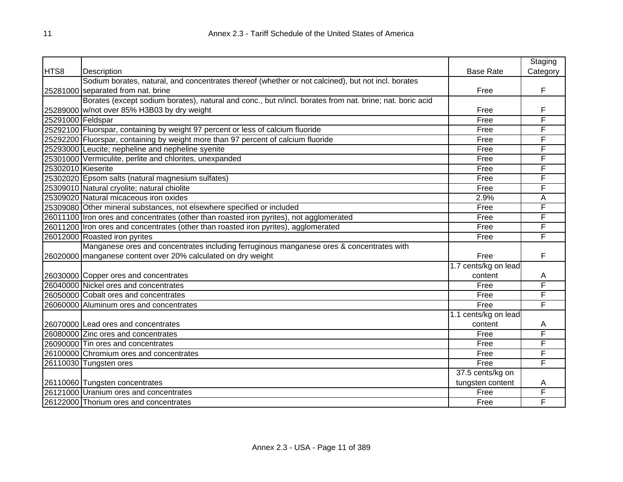|                    |                                                                                                          |                      | Staging  |
|--------------------|----------------------------------------------------------------------------------------------------------|----------------------|----------|
| HTS8               | Description                                                                                              | <b>Base Rate</b>     | Category |
|                    | Sodium borates, natural, and concentrates thereof (whether or not calcined), but not incl. borates       |                      |          |
|                    | 25281000 separated from nat. brine                                                                       | Free                 | F        |
|                    | Borates (except sodium borates), natural and conc., but n/incl. borates from nat. brine; nat. boric acid |                      |          |
|                    | 25289000 w/not over 85% H3B03 by dry weight                                                              | Free                 | F        |
| 25291000 Feldspar  |                                                                                                          | Free                 | F        |
|                    | 25292100 Fluorspar, containing by weight 97 percent or less of calcium fluoride                          | Free                 | F        |
|                    | 25292200 Fluorspar, containing by weight more than 97 percent of calcium fluoride                        | Free                 | F        |
|                    | 25293000 Leucite; nepheline and nepheline syenite                                                        | Free                 | F        |
|                    | 25301000 Vermiculite, perlite and chlorites, unexpanded                                                  | Free                 | F        |
| 25302010 Kieserite |                                                                                                          | Free                 | F        |
|                    | 25302020 Epsom salts (natural magnesium sulfates)                                                        | Free                 | F        |
|                    | 25309010 Natural cryolite; natural chiolite                                                              | Free                 | F        |
|                    | 25309020 Natural micaceous iron oxides                                                                   | 2.9%                 | A        |
|                    | 25309080 Other mineral substances, not elsewhere specified or included                                   | Free                 | F        |
|                    | 26011100 Iron ores and concentrates (other than roasted iron pyrites), not agglomerated                  | Free                 | F        |
|                    | 26011200 Iron ores and concentrates (other than roasted iron pyrites), agglomerated                      | Free                 | F        |
|                    | 26012000 Roasted iron pyrites                                                                            | Free                 | F        |
|                    | Manganese ores and concentrates including ferruginous manganese ores & concentrates with                 |                      |          |
|                    | 26020000 manganese content over 20% calculated on dry weight                                             | Free                 | F        |
|                    |                                                                                                          | 1.7 cents/kg on lead |          |
|                    | 26030000 Copper ores and concentrates                                                                    | content              | A        |
|                    | 26040000 Nickel ores and concentrates                                                                    | Free                 | F        |
|                    | 26050000 Cobalt ores and concentrates                                                                    | Free                 | F        |
|                    | 26060000 Aluminum ores and concentrates                                                                  | Free                 | F        |
|                    |                                                                                                          | 1.1 cents/kg on lead |          |
|                    | 26070000 Lead ores and concentrates                                                                      | content              | A        |
|                    | 26080000 Zinc ores and concentrates                                                                      | Free                 | F        |
|                    | 26090000 Tin ores and concentrates                                                                       | Free                 | F        |
|                    | 26100000 Chromium ores and concentrates                                                                  | Free                 | F        |
|                    | 26110030 Tungsten ores                                                                                   | Free                 | F        |
|                    |                                                                                                          | 37.5 cents/kg on     |          |
|                    | 26110060 Tungsten concentrates                                                                           | tungsten content     | A        |
|                    | 26121000 Uranium ores and concentrates                                                                   | Free                 | F        |
|                    | 26122000 Thorium ores and concentrates                                                                   | Free                 | F        |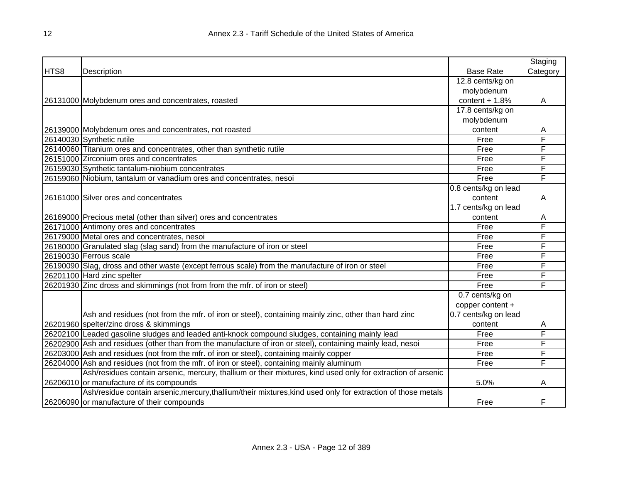|      |                                                                                                              |                      | Staging  |
|------|--------------------------------------------------------------------------------------------------------------|----------------------|----------|
| HTS8 | Description                                                                                                  | <b>Base Rate</b>     | Category |
|      |                                                                                                              | 12.8 cents/kg on     |          |
|      |                                                                                                              | molybdenum           |          |
|      | 26131000 Molybdenum ores and concentrates, roasted                                                           | content $+1.8%$      | A        |
|      |                                                                                                              | 17.8 cents/kg on     |          |
|      |                                                                                                              | molybdenum           |          |
|      | 26139000 Molybdenum ores and concentrates, not roasted                                                       | content              | A        |
|      | 26140030 Synthetic rutile                                                                                    | Free                 | F        |
|      | 26140060 Titanium ores and concentrates, other than synthetic rutile                                         | Free                 | F        |
|      | 26151000 Zirconium ores and concentrates                                                                     | Free                 | F        |
|      | 26159030 Synthetic tantalum-niobium concentrates                                                             | Free                 | F        |
|      | 26159060 Niobium, tantalum or vanadium ores and concentrates, nesoi                                          | Free                 | F        |
|      |                                                                                                              | 0.8 cents/kg on lead |          |
|      | 26161000 Silver ores and concentrates                                                                        | content              | A        |
|      |                                                                                                              | 1.7 cents/kg on lead |          |
|      | 26169000 Precious metal (other than silver) ores and concentrates                                            | content              | A        |
|      | 26171000 Antimony ores and concentrates                                                                      | Free                 | F        |
|      | 26179000 Metal ores and concentrates, nesoi                                                                  | Free                 | F        |
|      | 26180000 Granulated slag (slag sand) from the manufacture of iron or steel                                   | Free                 | F        |
|      | 26190030 Ferrous scale                                                                                       | Free                 | F        |
|      | 26190090 Slag, dross and other waste (except ferrous scale) from the manufacture of iron or steel            | Free                 | F        |
|      | 26201100 Hard zinc spelter                                                                                   | Free                 | F        |
|      | 26201930 Zinc dross and skimmings (not from from the mfr. of iron or steel)                                  | Free                 | F        |
|      |                                                                                                              | 0.7 cents/kg on      |          |
|      |                                                                                                              | copper content +     |          |
|      | Ash and residues (not from the mfr. of iron or steel), containing mainly zinc, other than hard zinc          | 0.7 cents/kg on lead |          |
|      | 26201960 spelter/zinc dross & skimmings                                                                      | content              | A        |
|      | 26202100 Leaded gasoline sludges and leaded anti-knock compound sludges, containing mainly lead              | Free                 | F        |
|      | 26202900 Ash and residues (other than from the manufacture of iron or steel), containing mainly lead, nesoi  | Free                 | F        |
|      | 26203000 Ash and residues (not from the mfr. of iron or steel), containing mainly copper                     | Free                 | F        |
|      | 26204000 Ash and residues (not from the mfr. of iron or steel), containing mainly aluminum                   | Free                 | F        |
|      | Ash/residues contain arsenic, mercury, thallium or their mixtures, kind used only for extraction of arsenic  |                      |          |
|      | 26206010 or manufacture of its compounds                                                                     | 5.0%                 | A        |
|      | Ash/residue contain arsenic, mercury, thallium/their mixtures, kind used only for extraction of those metals |                      |          |
|      | 26206090 or manufacture of their compounds                                                                   | Free                 | F        |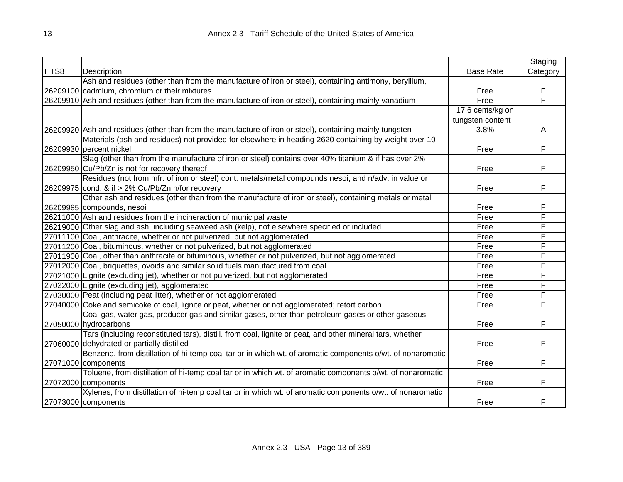|      |                                                                                                            |                    | Staging  |
|------|------------------------------------------------------------------------------------------------------------|--------------------|----------|
| HTS8 | Description                                                                                                | <b>Base Rate</b>   | Category |
|      | Ash and residues (other than from the manufacture of iron or steel), containing antimony, beryllium,       |                    |          |
|      | 26209100 cadmium, chromium or their mixtures                                                               | Free               | F        |
|      | 26209910 Ash and residues (other than from the manufacture of iron or steel), containing mainly vanadium   | Free               | F        |
|      |                                                                                                            | 17.6 cents/kg on   |          |
|      |                                                                                                            | tungsten content + |          |
|      | [26209920] Ash and residues (other than from the manufacture of iron or steel), containing mainly tungsten | 3.8%               | A        |
|      | Materials (ash and residues) not provided for elsewhere in heading 2620 containing by weight over 10       |                    |          |
|      | 26209930 percent nickel                                                                                    | Free               | F        |
|      | Slag (other than from the manufacture of iron or steel) contains over 40% titanium & if has over 2%        |                    |          |
|      | 26209950 Cu/Pb/Zn is not for recovery thereof                                                              | Free               | F        |
|      | Residues (not from mfr. of iron or steel) cont. metals/metal compounds nesoi, and n/adv. in value or       |                    |          |
|      | 26209975 cond. & if > 2% Cu/Pb/Zn n/for recovery                                                           | Free               | F        |
|      | Other ash and residues (other than from the manufacture of iron or steel), containing metals or metal      |                    |          |
|      | 26209985 compounds, nesoi                                                                                  | Free               | F        |
|      | 26211000 Ash and residues from the incineraction of municipal waste                                        | Free               | F        |
|      | 26219000 Other slag and ash, including seaweed ash (kelp), not elsewhere specified or included             | Free               | F        |
|      | 27011100 Coal, anthracite, whether or not pulverized, but not agglomerated                                 | Free               | F        |
|      | 27011200 Coal, bituminous, whether or not pulverized, but not agglomerated                                 | Free               | F        |
|      | 27011900 Coal, other than anthracite or bituminous, whether or not pulverized, but not agglomerated        | Free               | F        |
|      | 27012000 Coal, briquettes, ovoids and similar solid fuels manufactured from coal                           | Free               | F        |
|      | 27021000 Lignite (excluding jet), whether or not pulverized, but not agglomerated                          | Free               | F        |
|      | 27022000 Lignite (excluding jet), agglomerated                                                             | Free               | F        |
|      | 27030000 Peat (including peat litter), whether or not agglomerated                                         | Free               | F        |
|      | 27040000 Coke and semicoke of coal, lignite or peat, whether or not agglomerated; retort carbon            | Free               | F        |
|      | Coal gas, water gas, producer gas and similar gases, other than petroleum gases or other gaseous           |                    |          |
|      | 27050000 hydrocarbons                                                                                      | Free               | F        |
|      | Tars (including reconstituted tars), distill. from coal, lignite or peat, and other mineral tars, whether  |                    |          |
|      | 27060000 dehydrated or partially distilled                                                                 | Free               | F        |
|      | Benzene, from distillation of hi-temp coal tar or in which wt. of aromatic components o/wt. of nonaromatic |                    |          |
|      | 27071000 components                                                                                        | Free               | F        |
|      | Toluene, from distillation of hi-temp coal tar or in which wt. of aromatic components o/wt. of nonaromatic |                    |          |
|      | 27072000 components                                                                                        | Free               | F        |
|      | Xylenes, from distillation of hi-temp coal tar or in which wt. of aromatic components o/wt. of nonaromatic |                    |          |
|      | 27073000 components                                                                                        | Free               | F        |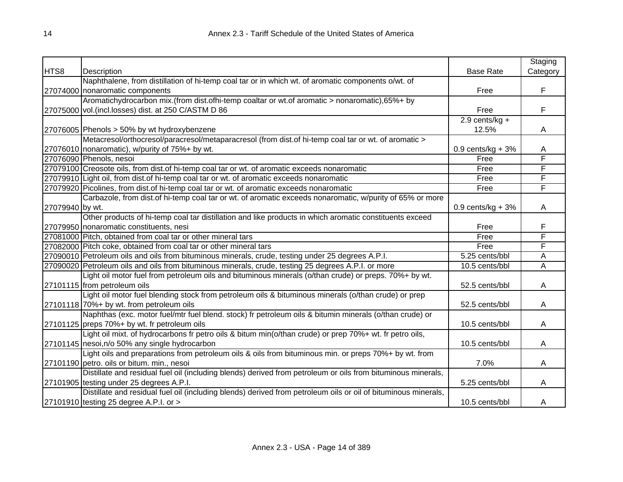|                 |                                                                                                                |                       | Staging                 |
|-----------------|----------------------------------------------------------------------------------------------------------------|-----------------------|-------------------------|
| HTS8            | Description                                                                                                    | <b>Base Rate</b>      | Category                |
|                 | Naphthalene, from distillation of hi-temp coal tar or in which wt. of aromatic components o/wt. of             |                       |                         |
|                 | 27074000 nonaromatic components                                                                                | Free                  | F                       |
|                 | Aromatichydrocarbon mix.(from dist.ofhi-temp coaltar or wt.of aromatic > nonaromatic),65%+ by                  |                       |                         |
|                 | 27075000 vol. (incl.losses) dist. at 250 C/ASTM D 86                                                           | Free                  | F                       |
|                 |                                                                                                                | $2.9$ cents/kg +      |                         |
|                 | 27076005 Phenols > 50% by wt hydroxybenzene                                                                    | 12.5%                 | A                       |
|                 | Metacresol/orthocresol/paracresol/metaparacresol (from dist.of hi-temp coal tar or wt. of aromatic >           |                       |                         |
|                 | 27076010 nonaromatic), w/purity of 75%+ by wt.                                                                 | $0.9$ cents/kg + $3%$ | A                       |
|                 | 27076090 Phenols, nesoi                                                                                        | Free                  | F                       |
|                 | 27079100 Creosote oils, from dist.of hi-temp coal tar or wt. of aromatic exceeds nonaromatic                   | Free                  | F                       |
|                 | 27079910 Light oil, from dist of hi-temp coal tar or wt. of aromatic exceeds nonaromatic                       | Free                  | F                       |
|                 | 27079920 Picolines, from dist.of hi-temp coal tar or wt. of aromatic exceeds nonaromatic                       | Free                  | F                       |
|                 | Carbazole, from dist.of hi-temp coal tar or wt. of aromatic exceeds nonaromatic, w/purity of 65% or more       |                       |                         |
| 27079940 by wt. |                                                                                                                | $0.9$ cents/kg + 3%   | A                       |
|                 | Other products of hi-temp coal tar distillation and like products in which aromatic constituents exceed        |                       |                         |
|                 | 27079950 nonaromatic constituents, nesi                                                                        | Free                  | F                       |
|                 | 27081000 Pitch, obtained from coal tar or other mineral tars                                                   | Free                  | F                       |
|                 | 27082000 Pitch coke, obtained from coal tar or other mineral tars                                              | Free                  | F                       |
|                 | 27090010 Petroleum oils and oils from bituminous minerals, crude, testing under 25 degrees A.P.I.              | 5.25 cents/bbl        | Α                       |
|                 | 27090020 Petroleum oils and oils from bituminous minerals, crude, testing 25 degrees A.P.I. or more            | 10.5 cents/bbl        | $\overline{\mathsf{A}}$ |
|                 | Light oil motor fuel from petroleum oils and bituminous minerals (o/than crude) or preps. 70%+ by wt.          |                       |                         |
|                 | 27101115 from petroleum oils                                                                                   | 52.5 cents/bbl        | A                       |
|                 | Light oil motor fuel blending stock from petroleum oils & bituminous minerals (o/than crude) or prep           |                       |                         |
|                 | 27101118 70%+ by wt. from petroleum oils                                                                       | 52.5 cents/bbl        | Α                       |
|                 | Naphthas (exc. motor fuel/mtr fuel blend. stock) fr petroleum oils & bitumin minerals (o/than crude) or        |                       |                         |
|                 | 27101125 preps 70%+ by wt. fr petroleum oils                                                                   | 10.5 cents/bbl        | Α                       |
|                 | Light oil mixt. of hydrocarbons fr petro oils & bitum min(o/than crude) or prep 70%+ wt. fr petro oils,        |                       |                         |
|                 | 27101145 nesoi, n/o 50% any single hydrocarbon                                                                 | 10.5 cents/bbl        | A                       |
|                 | Light oils and preparations from petroleum oils & oils from bituminous min. or preps 70%+ by wt. from          |                       |                         |
|                 | 27101190 petro. oils or bitum. min., nesoi                                                                     | 7.0%                  | A                       |
|                 | Distillate and residual fuel oil (including blends) derived from petroleum or oils from bituminous minerals,   |                       |                         |
|                 | 27101905 testing under 25 degrees A.P.I.                                                                       | 5.25 cents/bbl        | A                       |
|                 | Distillate and residual fuel oil (including blends) derived from petroleum oils or oil of bituminous minerals, |                       |                         |
|                 | 27101910 testing 25 degree A.P.I. or >                                                                         | 10.5 cents/bbl        | Α                       |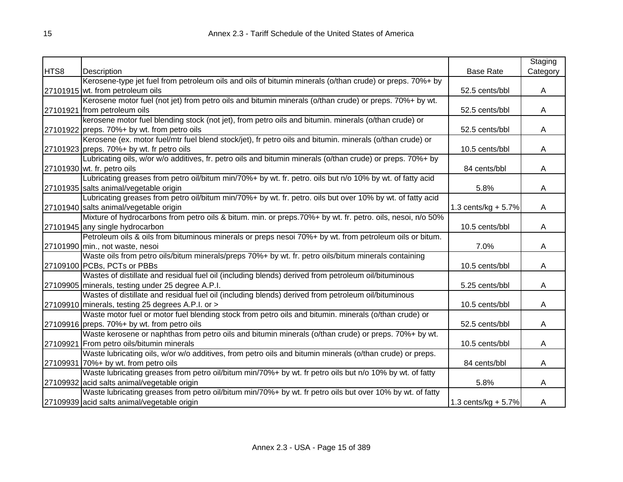|      |                                                                                                            |                       | Staging  |
|------|------------------------------------------------------------------------------------------------------------|-----------------------|----------|
| HTS8 | Description                                                                                                | <b>Base Rate</b>      | Category |
|      | Kerosene-type jet fuel from petroleum oils and oils of bitumin minerals (o/than crude) or preps. 70%+ by   |                       |          |
|      | 27101915 wt. from petroleum oils                                                                           | 52.5 cents/bbl        | A        |
|      | Kerosene motor fuel (not jet) from petro oils and bitumin minerals (o/than crude) or preps. 70%+ by wt.    |                       |          |
|      | 27101921 from petroleum oils                                                                               | 52.5 cents/bbl        | A        |
|      | kerosene motor fuel blending stock (not jet), from petro oils and bitumin. minerals (o/than crude) or      |                       |          |
|      | 27101922 preps. 70%+ by wt. from petro oils                                                                | 52.5 cents/bbl        | A        |
|      | Kerosene (ex. motor fuel/mtr fuel blend stock/jet), fr petro oils and bitumin. minerals (o/than crude) or  |                       |          |
|      | $27101923$ preps. $70\%$ + by wt. fr petro oils                                                            | 10.5 cents/bbl        | A        |
|      | Lubricating oils, w/or w/o additives, fr. petro oils and bitumin minerals (o/than crude) or preps. 70%+ by |                       |          |
|      | 27101930 wt. fr. petro oils                                                                                | 84 cents/bbl          | A        |
|      | Lubricating greases from petro oil/bitum min/70%+ by wt. fr. petro. oils but n/o 10% by wt. of fatty acid  |                       |          |
|      | 27101935 salts animal/vegetable origin                                                                     | 5.8%                  | Α        |
|      | Lubricating greases from petro oil/bitum min/70%+ by wt. fr. petro. oils but over 10% by wt. of fatty acid |                       |          |
|      | 27101940 salts animal/vegetable origin                                                                     | 1.3 cents/kg + 5.7%   | A        |
|      | Mixture of hydrocarbons from petro oils & bitum. min. or preps.70%+ by wt. fr. petro. oils, nesoi, n/o 50% |                       |          |
|      | 27101945 any single hydrocarbon                                                                            | 10.5 cents/bbl        | A        |
|      | Petroleum oils & oils from bituminous minerals or preps nesoi 70%+ by wt. from petroleum oils or bitum.    |                       |          |
|      | 27101990 min., not waste, nesoi                                                                            | 7.0%                  | A        |
|      | Waste oils from petro oils/bitum minerals/preps 70%+ by wt. fr. petro oils/bitum minerals containing       |                       |          |
|      | 27109100 PCBs, PCTs or PBBs                                                                                | 10.5 cents/bbl        | A        |
|      | Wastes of distillate and residual fuel oil (including blends) derived from petroleum oil/bituminous        |                       |          |
|      | 27109905 minerals, testing under 25 degree A.P.I.                                                          | 5.25 cents/bbl        | A        |
|      | Wastes of distillate and residual fuel oil (including blends) derived from petroleum oil/bituminous        |                       |          |
|      | 27109910 minerals, testing 25 degrees A.P.I. or >                                                          | 10.5 cents/bbl        | Α        |
|      | Waste motor fuel or motor fuel blending stock from petro oils and bitumin. minerals (o/than crude) or      |                       |          |
|      | 27109916 preps. 70%+ by wt. from petro oils                                                                | 52.5 cents/bbl        | A        |
|      | Waste kerosene or naphthas from petro oils and bitumin minerals (o/than crude) or preps. 70%+ by wt.       |                       |          |
|      | 27109921 From petro oils/bitumin minerals                                                                  | 10.5 cents/bbl        | A        |
|      | Waste lubricating oils, w/or w/o additives, from petro oils and bitumin minerals (o/than crude) or preps.  |                       |          |
|      | 27109931 70%+ by wt. from petro oils                                                                       | 84 cents/bbl          | A        |
|      | Waste lubricating greases from petro oil/bitum min/70%+ by wt. fr petro oils but n/o 10% by wt. of fatty   |                       |          |
|      | 27109932 acid salts animal/vegetable origin                                                                | 5.8%                  | A        |
|      | Waste lubricating greases from petro oil/bitum min/70%+ by wt. fr petro oils but over 10% by wt. of fatty  |                       |          |
|      | 27109939 acid salts animal/vegetable origin                                                                | 1.3 cents/kg + $5.7%$ | A        |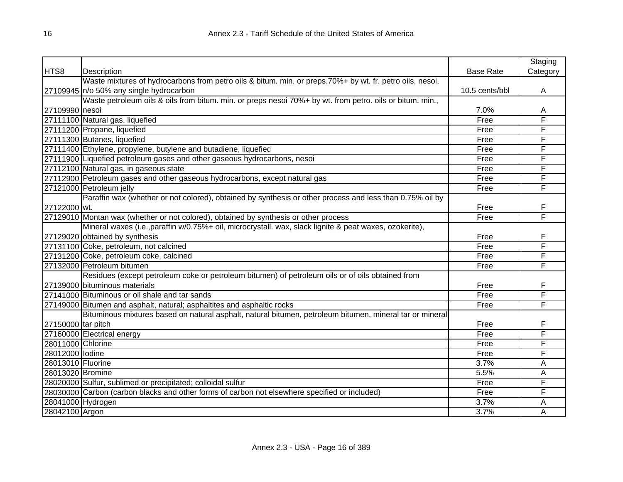|                    |                                                                                                          |                  | Staging  |
|--------------------|----------------------------------------------------------------------------------------------------------|------------------|----------|
| HTS8               | Description                                                                                              | <b>Base Rate</b> | Category |
|                    | Waste mixtures of hydrocarbons from petro oils & bitum. min. or preps.70%+ by wt. fr. petro oils, nesoi, |                  |          |
|                    | 27109945 n/o 50% any single hydrocarbon                                                                  | 10.5 cents/bbl   | A        |
|                    | Waste petroleum oils & oils from bitum. min. or preps nesoi 70%+ by wt. from petro. oils or bitum. min., |                  |          |
| 27109990 nesoi     |                                                                                                          | 7.0%             | A        |
|                    | 27111100 Natural gas, liquefied                                                                          | Free             | F        |
|                    | 27111200 Propane, liquefied                                                                              | Free             | F        |
|                    | 27111300 Butanes, liquefied                                                                              | Free             | F        |
|                    | 27111400 Ethylene, propylene, butylene and butadiene, liquefied                                          | Free             | F        |
|                    | 27111900 Liquefied petroleum gases and other gaseous hydrocarbons, nesoi                                 | Free             | F        |
|                    | 27112100 Natural gas, in gaseous state                                                                   | Free             | F        |
|                    | 27112900 Petroleum gases and other gaseous hydrocarbons, except natural gas                              | Free             | F        |
|                    | 27121000 Petroleum jelly                                                                                 | Free             | F        |
|                    | Paraffin wax (whether or not colored), obtained by synthesis or other process and less than 0.75% oil by |                  |          |
| 27122000 wt.       |                                                                                                          | Free             | F        |
|                    | 27129010 Montan wax (whether or not colored), obtained by synthesis or other process                     | Free             | F        |
|                    | Mineral waxes (i.e., paraffin w/0.75%+ oil, microcrystall. wax, slack lignite & peat waxes, ozokerite),  |                  |          |
|                    | 27129020 obtained by synthesis                                                                           | Free             | F        |
|                    | 27131100 Coke, petroleum, not calcined                                                                   | Free             | F        |
|                    | 27131200 Coke, petroleum coke, calcined                                                                  | Free             | F        |
|                    | 27132000 Petroleum bitumen                                                                               | Free             | F        |
|                    | Residues (except petroleum coke or petroleum bitumen) of petroleum oils or of oils obtained from         |                  |          |
|                    | 27139000 bituminous materials                                                                            | Free             | F        |
|                    | 27141000 Bituminous or oil shale and tar sands                                                           | Free             | F        |
|                    | 27149000 Bitumen and asphalt, natural; asphaltites and asphaltic rocks                                   | Free             | F        |
|                    | Bituminous mixtures based on natural asphalt, natural bitumen, petroleum bitumen, mineral tar or mineral |                  |          |
| 27150000 tar pitch |                                                                                                          | Free             | F        |
|                    | 27160000 Electrical energy                                                                               | Free             | F        |
| 28011000 Chlorine  |                                                                                                          | Free             | Ē        |
| 28012000 lodine    |                                                                                                          | Free             | F        |
| 28013010 Fluorine  |                                                                                                          | 3.7%             | Α        |
| 28013020 Bromine   |                                                                                                          | 5.5%             | A        |
|                    | 28020000 Sulfur, sublimed or precipitated; colloidal sulfur                                              | Free             | F        |
|                    | 28030000 Carbon (carbon blacks and other forms of carbon not elsewhere specified or included)            | Free             | F        |
|                    | 28041000 Hydrogen                                                                                        | 3.7%             | A        |
| 28042100 Argon     |                                                                                                          | 3.7%             | Α        |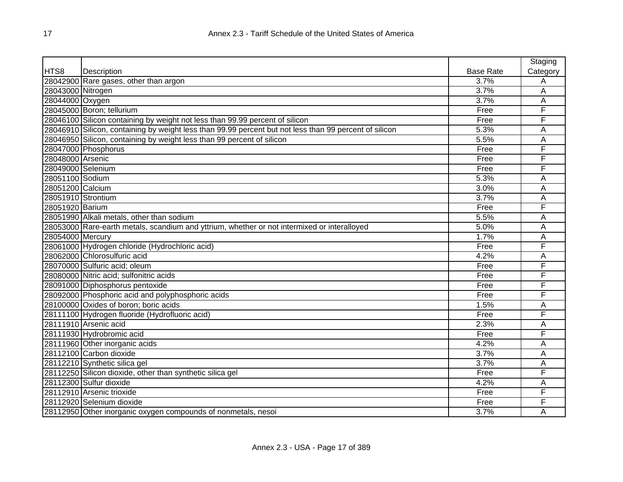|                    |                                                                                                        |                  | Staging  |
|--------------------|--------------------------------------------------------------------------------------------------------|------------------|----------|
| HTS8               | Description                                                                                            | <b>Base Rate</b> | Category |
|                    | 28042900 Rare gases, other than argon                                                                  | 3.7%             | Α        |
| 28043000 Nitrogen  |                                                                                                        | 3.7%             | A        |
| 28044000 Oxygen    |                                                                                                        | 3.7%             | Α        |
|                    | 28045000 Boron; tellurium                                                                              | Free             | F        |
|                    | 28046100 Silicon containing by weight not less than 99.99 percent of silicon                           | Free             | F        |
|                    | 28046910 Silicon, containing by weight less than 99.99 percent but not less than 99 percent of silicon | 5.3%             | Α        |
|                    | 28046950 Silicon, containing by weight less than 99 percent of silicon                                 | 5.5%             | A        |
|                    | 28047000 Phosphorus                                                                                    | Free             | F        |
| 28048000 Arsenic   |                                                                                                        | Free             | F        |
| 28049000 Selenium  |                                                                                                        | Free             | F        |
| 28051100 Sodium    |                                                                                                        | 5.3%             | Α        |
| 28051200 Calcium   |                                                                                                        | 3.0%             | Α        |
| 28051910 Strontium |                                                                                                        | 3.7%             | A        |
| 28051920 Barium    |                                                                                                        | Free             | F        |
|                    | 28051990 Alkali metals, other than sodium                                                              | 5.5%             | A        |
|                    | 28053000 Rare-earth metals, scandium and yttrium, whether or not intermixed or interalloyed            | 5.0%             | Α        |
| 28054000 Mercury   |                                                                                                        | 1.7%             | Α        |
|                    | 28061000 Hydrogen chloride (Hydrochloric acid)                                                         | Free             | F        |
|                    | 28062000 Chlorosulfuric acid                                                                           | 4.2%             | Α        |
|                    | 28070000 Sulfuric acid; oleum                                                                          | Free             | F        |
|                    | 28080000 Nitric acid; sulfonitric acids                                                                | Free             | F        |
|                    | 28091000 Diphosphorus pentoxide                                                                        | Free             | F        |
|                    | 28092000 Phosphoric acid and polyphosphoric acids                                                      | Free             | F        |
|                    | 28100000 Oxides of boron; boric acids                                                                  | 1.5%             | A        |
|                    | 28111100 Hydrogen fluoride (Hydrofluoric acid)                                                         | Free             | F        |
|                    | 28111910 Arsenic acid                                                                                  | 2.3%             | A        |
|                    | 28111930 Hydrobromic acid                                                                              | Free             | F        |
|                    | 28111960 Other inorganic acids                                                                         | 4.2%             | Α        |
|                    | 28112100 Carbon dioxide                                                                                | 3.7%             | Α        |
|                    | 28112210 Synthetic silica gel                                                                          | 3.7%             | Α        |
|                    | 28112250 Silicon dioxide, other than synthetic silica gel                                              | Free             | F        |
|                    | 28112300 Sulfur dioxide                                                                                | 4.2%             | Α        |
|                    | 28112910 Arsenic trioxide                                                                              | Free             | F        |
|                    | 28112920 Selenium dioxide                                                                              | Free             | F        |
|                    | 28112950 Other inorganic oxygen compounds of nonmetals, nesoi                                          | 3.7%             | Α        |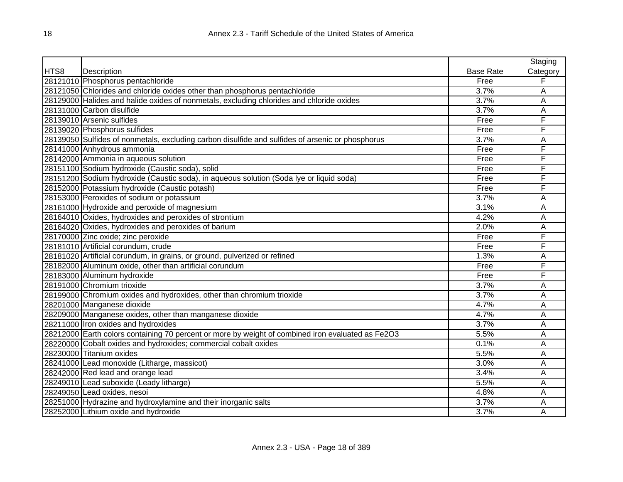|      |                                                                                                   |                  | Staging  |
|------|---------------------------------------------------------------------------------------------------|------------------|----------|
| HTS8 | Description                                                                                       | <b>Base Rate</b> | Category |
|      | 28121010 Phosphorus pentachloride                                                                 | Free             | F        |
|      | 28121050 Chlorides and chloride oxides other than phosphorus pentachloride                        | 3.7%             | A        |
|      | 28129000 Halides and halide oxides of nonmetals, excluding chlorides and chloride oxides          | 3.7%             | A        |
|      | 28131000 Carbon disulfide                                                                         | 3.7%             | A        |
|      | 28139010 Arsenic sulfides                                                                         | Free             | F        |
|      | 28139020 Phosphorus sulfides                                                                      | Free             | F        |
|      | 28139050 Sulfides of nonmetals, excluding carbon disulfide and sulfides of arsenic or phosphorus  | 3.7%             | Α        |
|      | 28141000 Anhydrous ammonia                                                                        | Free             | F        |
|      | 28142000 Ammonia in aqueous solution                                                              | Free             | F        |
|      | 28151100 Sodium hydroxide (Caustic soda), solid                                                   | Free             | F        |
|      | 28151200 Sodium hydroxide (Caustic soda), in aqueous solution (Soda lye or liquid soda)           | Free             | F        |
|      | 28152000 Potassium hydroxide (Caustic potash)                                                     | Free             | F        |
|      | 28153000 Peroxides of sodium or potassium                                                         | 3.7%             | Α        |
|      | 28161000 Hydroxide and peroxide of magnesium                                                      | 3.1%             | Α        |
|      | 28164010 Oxides, hydroxides and peroxides of strontium                                            | 4.2%             | Α        |
|      | 28164020 Oxides, hydroxides and peroxides of barium                                               | 2.0%             | Α        |
|      | 28170000 Zinc oxide; zinc peroxide                                                                | Free             | F        |
|      | 28181010 Artificial corundum, crude                                                               | Free             | F        |
|      | 28181020 Artificial corundum, in grains, or ground, pulverized or refined                         | 1.3%             | Α        |
|      | 28182000 Aluminum oxide, other than artificial corundum                                           | Free             | F        |
|      | 28183000 Aluminum hydroxide                                                                       | Free             | F        |
|      | 28191000 Chromium trioxide                                                                        | 3.7%             | A        |
|      | 28199000 Chromium oxides and hydroxides, other than chromium trioxide                             | 3.7%             | Α        |
|      | 28201000 Manganese dioxide                                                                        | 4.7%             | Α        |
|      | 28209000 Manganese oxides, other than manganese dioxide                                           | 4.7%             | Α        |
|      | 28211000 Iron oxides and hydroxides                                                               | 3.7%             | Α        |
|      | 28212000 Earth colors containing 70 percent or more by weight of combined iron evaluated as Fe2O3 | 5.5%             | Α        |
|      | 28220000 Cobalt oxides and hydroxides; commercial cobalt oxides                                   | 0.1%             | Α        |
|      | 28230000 Titanium oxides                                                                          | 5.5%             | Α        |
|      | 28241000 Lead monoxide (Litharge, massicot)                                                       | 3.0%             | Α        |
|      | 28242000 Red lead and orange lead                                                                 | 3.4%             | Α        |
|      | 28249010 Lead suboxide (Leady litharge)                                                           | 5.5%             | Α        |
|      | 28249050 Lead oxides, nesoi                                                                       | 4.8%             | Α        |
|      | 28251000 Hydrazine and hydroxylamine and their inorganic salts                                    | 3.7%             | Α        |
|      | 28252000 Lithium oxide and hydroxide                                                              | 3.7%             | Α        |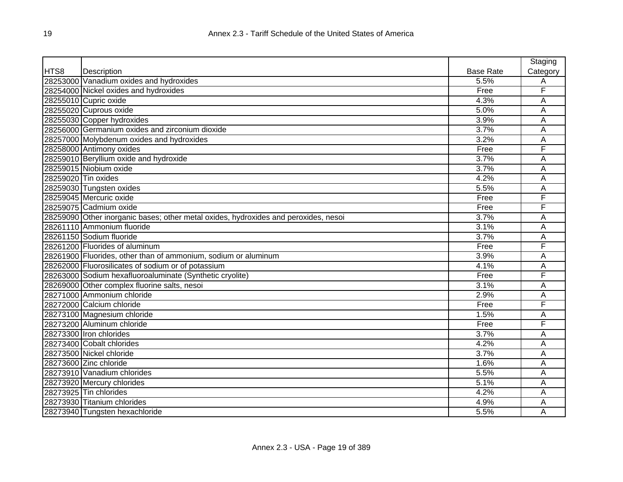|                     |                                                                                     |                  | Staging  |
|---------------------|-------------------------------------------------------------------------------------|------------------|----------|
| HTS8                | Description                                                                         | <b>Base Rate</b> | Category |
|                     | 28253000 Vanadium oxides and hydroxides                                             | 5.5%             | A        |
|                     | 28254000 Nickel oxides and hydroxides                                               | Free             | F        |
|                     | 28255010 Cupric oxide                                                               | 4.3%             | A        |
|                     | 28255020 Cuprous oxide                                                              | 5.0%             | A        |
|                     | 28255030 Copper hydroxides                                                          | 3.9%             | Α        |
|                     | 28256000 Germanium oxides and zirconium dioxide                                     | 3.7%             | Α        |
|                     | 28257000 Molybdenum oxides and hydroxides                                           | 3.2%             | Α        |
|                     | 28258000 Antimony oxides                                                            | Free             | F        |
|                     | 28259010 Beryllium oxide and hydroxide                                              | 3.7%             | A        |
|                     | 28259015 Niobium oxide                                                              | 3.7%             | Α        |
| 28259020 Tin oxides |                                                                                     | 4.2%             | A        |
|                     | 28259030 Tungsten oxides                                                            | 5.5%             | Α        |
|                     | 28259045 Mercuric oxide                                                             | Free             | F        |
|                     | 28259075 Cadmium oxide                                                              | Free             | F        |
|                     | 28259090 Other inorganic bases; other metal oxides, hydroxides and peroxides, nesoi | 3.7%             | Α        |
|                     | 28261110 Ammonium fluoride                                                          | 3.1%             | A        |
|                     | 28261150 Sodium fluoride                                                            | 3.7%             | A        |
|                     | 28261200 Fluorides of aluminum                                                      | Free             | F        |
|                     | 28261900 Fluorides, other than of ammonium, sodium or aluminum                      | 3.9%             | A        |
|                     | 28262000 Fluorosilicates of sodium or of potassium                                  | 4.1%             | A        |
|                     | 28263000 Sodium hexafluoroaluminate (Synthetic cryolite)                            | Free             | F        |
|                     | 28269000 Other complex fluorine salts, nesoi                                        | 3.1%             | Ā        |
|                     | 28271000 Ammonium chloride                                                          | 2.9%             | Α        |
|                     | 28272000 Calcium chloride                                                           | Free             | F        |
|                     | 28273100 Magnesium chloride                                                         | 1.5%             | Α        |
|                     | 28273200 Aluminum chloride                                                          | Free             | F        |
|                     | 28273300 Iron chlorides                                                             | 3.7%             | Α        |
|                     | 28273400 Cobalt chlorides                                                           | 4.2%             | Α        |
|                     | 28273500 Nickel chloride                                                            | 3.7%             | Ā        |
|                     | 28273600 Zinc chloride                                                              | 1.6%             | Α        |
|                     | 28273910 Vanadium chlorides                                                         | 5.5%             | A        |
|                     | 28273920 Mercury chlorides                                                          | 5.1%             | A        |
|                     | 28273925 Tin chlorides                                                              | 4.2%             | Α        |
|                     | 28273930 Titanium chlorides                                                         | 4.9%             | Α        |
|                     | 28273940 Tungsten hexachloride                                                      | 5.5%             | Α        |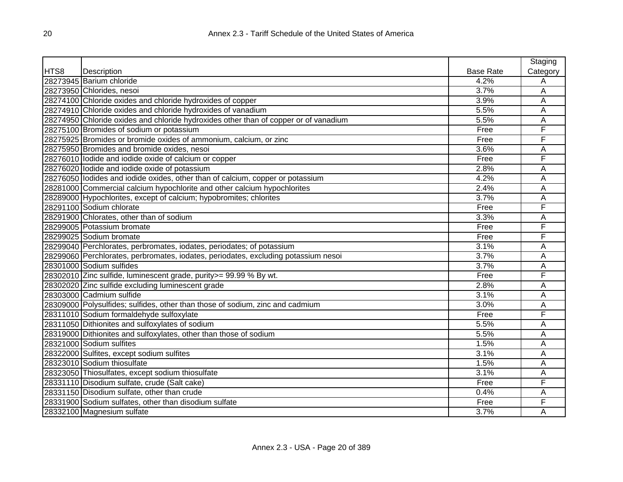|      |                                                                                      |                  | Staging  |
|------|--------------------------------------------------------------------------------------|------------------|----------|
| HTS8 | Description                                                                          | <b>Base Rate</b> | Category |
|      | 28273945 Barium chloride                                                             | 4.2%             | Α        |
|      | 28273950 Chlorides, nesoi                                                            | 3.7%             | A        |
|      | 28274100 Chloride oxides and chloride hydroxides of copper                           | 3.9%             | Α        |
|      | 28274910 Chloride oxides and chloride hydroxides of vanadium                         | 5.5%             | Α        |
|      | 28274950 Chloride oxides and chloride hydroxides other than of copper or of vanadium | 5.5%             | Α        |
|      | 28275100 Bromides of sodium or potassium                                             | Free             | F        |
|      | 28275925 Bromides or bromide oxides of ammonium, calcium, or zinc                    | Free             | F        |
|      | 28275950 Bromides and bromide oxides, nesoi                                          | 3.6%             | A        |
|      | 28276010 lodide and iodide oxide of calcium or copper                                | Free             | F        |
|      | 28276020 lodide and iodide oxide of potassium                                        | 2.8%             | Α        |
|      | 28276050 lodides and iodide oxides, other than of calcium, copper or potassium       | 4.2%             | Α        |
|      | 28281000 Commercial calcium hypochlorite and other calcium hypochlorites             | 2.4%             | Α        |
|      | 28289000 Hypochlorites, except of calcium; hypobromites; chlorites                   | 3.7%             | A        |
|      | 28291100 Sodium chlorate                                                             | Free             | F        |
|      | 28291900 Chlorates, other than of sodium                                             | 3.3%             | Α        |
|      | 28299005 Potassium bromate                                                           | Free             | F        |
|      | 28299025 Sodium bromate                                                              | Free             | F        |
|      | 28299040 Perchlorates, perbromates, iodates, periodates; of potassium                | 3.1%             | Α        |
|      | 28299060 Perchlorates, perbromates, iodates, periodates, excluding potassium nesoi   | 3.7%             | Α        |
|      | 28301000 Sodium sulfides                                                             | 3.7%             | Α        |
|      | 28302010 Zinc sulfide, luminescent grade, purity>= 99.99 % By wt.                    | Free             | F        |
|      | 28302020 Zinc sulfide excluding luminescent grade                                    | 2.8%             | Α        |
|      | 28303000 Cadmium sulfide                                                             | 3.1%             | Α        |
|      | 28309000 Polysulfides; sulfides, other than those of sodium, zinc and cadmium        | 3.0%             | Α        |
|      | 28311010 Sodium formaldehyde sulfoxylate                                             | Free             | F        |
|      | 28311050 Dithionites and sulfoxylates of sodium                                      | 5.5%             | A        |
|      | 28319000 Dithionites and sulfoxylates, other than those of sodium                    | 5.5%             | Α        |
|      | 28321000 Sodium sulfites                                                             | 1.5%             | Α        |
|      | 28322000 Sulfites, except sodium sulfites                                            | 3.1%             | Α        |
|      | 28323010 Sodium thiosulfate                                                          | 1.5%             | Α        |
|      | 28323050 Thiosulfates, except sodium thiosulfate                                     | 3.1%             | A        |
|      | 28331110 Disodium sulfate, crude (Salt cake)                                         | Free             | F        |
|      | 28331150 Disodium sulfate, other than crude                                          | 0.4%             | Α        |
|      | 28331900 Sodium sulfates, other than disodium sulfate                                | Free             | F        |
|      | 28332100 Magnesium sulfate                                                           | 3.7%             | Α        |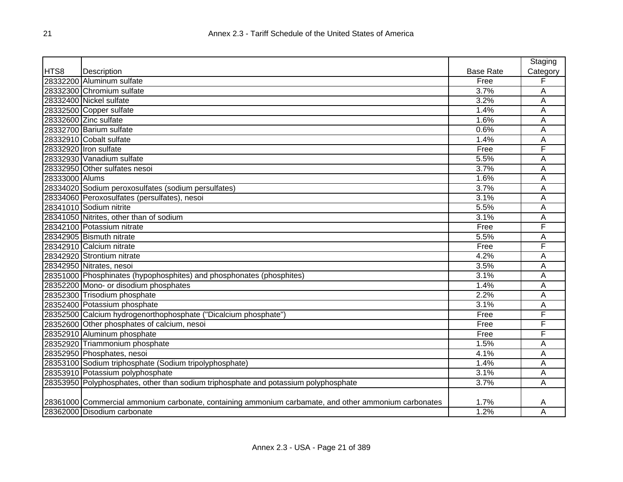|                |                                                                                                      |                  | Staging  |
|----------------|------------------------------------------------------------------------------------------------------|------------------|----------|
| HTS8           | Description                                                                                          | <b>Base Rate</b> | Category |
|                | 28332200 Aluminum sulfate                                                                            | Free             | F        |
|                | 28332300 Chromium sulfate                                                                            | 3.7%             | Α        |
|                | 28332400 Nickel sulfate                                                                              | 3.2%             | Α        |
|                | 28332500 Copper sulfate                                                                              | 1.4%             | Α        |
|                | 28332600 Zinc sulfate                                                                                | 1.6%             | A        |
|                | 28332700 Barium sulfate                                                                              | 0.6%             | A        |
|                | 28332910 Cobalt sulfate                                                                              | 1.4%             | A        |
|                | 28332920 Tron sulfate                                                                                | Free             | F        |
|                | 28332930 Vanadium sulfate                                                                            | 5.5%             | A        |
|                | 28332950 Other sulfates nesoi                                                                        | 3.7%             | A        |
| 28333000 Alums |                                                                                                      | 1.6%             | A        |
|                | 28334020 Sodium peroxosulfates (sodium persulfates)                                                  | 3.7%             | Α        |
|                | 28334060 Peroxosulfates (persulfates), nesoi                                                         | 3.1%             | Α        |
|                | 28341010 Sodium nitrite                                                                              | 5.5%             | A        |
|                | 28341050 Nitrites, other than of sodium                                                              | 3.1%             | Α        |
|                | 28342100 Potassium nitrate                                                                           | Free             | F        |
|                | 28342905 Bismuth nitrate                                                                             | 5.5%             | Α        |
|                | 28342910 Calcium nitrate                                                                             | Free             | F        |
|                | 28342920 Strontium nitrate                                                                           | 4.2%             | A        |
|                | 28342950 Nitrates, nesoi                                                                             | 3.5%             | Α        |
|                | 28351000 Phosphinates (hypophosphites) and phosphonates (phosphites)                                 | 3.1%             | Α        |
|                | 28352200 Mono- or disodium phosphates                                                                | 1.4%             | Α        |
|                | 28352300 Trisodium phosphate                                                                         | 2.2%             | A        |
|                | 28352400 Potassium phosphate                                                                         | 3.1%             | A        |
|                | 28352500 Calcium hydrogenorthophosphate ("Dicalcium phosphate")                                      | Free             | F        |
|                | 28352600 Other phosphates of calcium, nesoi                                                          | Free             | F        |
|                | 28352910 Aluminum phosphate                                                                          | Free             | F        |
|                | 28352920 Triammonium phosphate                                                                       | 1.5%             | A        |
|                | 28352950 Phosphates, nesoi                                                                           | 4.1%             | Α        |
|                | 28353100 Sodium triphosphate (Sodium tripolyphosphate)                                               | 1.4%             | A        |
|                | 28353910 Potassium polyphosphate                                                                     | 3.1%             | A        |
|                | 28353950 Polyphosphates, other than sodium triphosphate and potassium polyphosphate                  | 3.7%             | Α        |
|                |                                                                                                      |                  |          |
|                | 28361000 Commercial ammonium carbonate, containing ammonium carbamate, and other ammonium carbonates | 1.7%             | A        |
|                | 28362000 Disodium carbonate                                                                          | 1.2%             | Α        |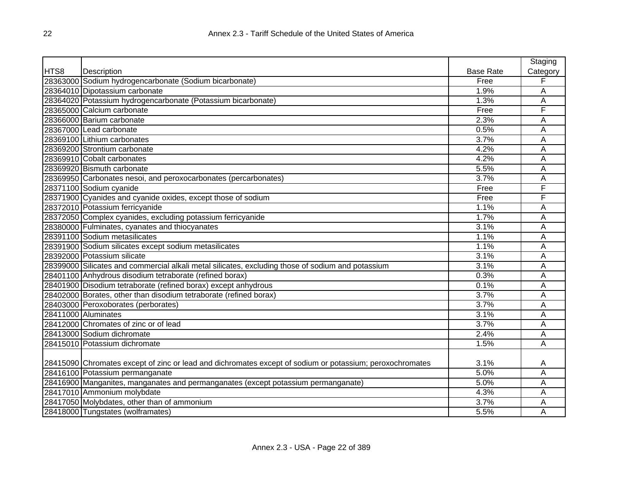|      |                                                                                                          |                  | Staging  |
|------|----------------------------------------------------------------------------------------------------------|------------------|----------|
| HTS8 | Description                                                                                              | <b>Base Rate</b> | Category |
|      | 28363000 Sodium hydrogencarbonate (Sodium bicarbonate)                                                   | Free             | F        |
|      | 28364010 Dipotassium carbonate                                                                           | 1.9%             | A        |
|      | 28364020 Potassium hydrogencarbonate (Potassium bicarbonate)                                             | 1.3%             | A        |
|      | 28365000 Calcium carbonate                                                                               | Free             | F        |
|      | 28366000 Barium carbonate                                                                                | 2.3%             | A        |
|      | 28367000 Lead carbonate                                                                                  | 0.5%             | A        |
|      | 28369100 Lithium carbonates                                                                              | 3.7%             | A        |
|      | 28369200 Strontium carbonate                                                                             | 4.2%             | A        |
|      | 28369910 Cobalt carbonates                                                                               | 4.2%             | A        |
|      | 28369920 Bismuth carbonate                                                                               | 5.5%             | A        |
|      | 28369950 Carbonates nesoi, and peroxocarbonates (percarbonates)                                          | 3.7%             | Α        |
|      | 28371100 Sodium cyanide                                                                                  | Free             | F        |
|      | 28371900 Cyanides and cyanide oxides, except those of sodium                                             | Free             | F        |
|      | 28372010 Potassium ferricyanide                                                                          | 1.1%             | A        |
|      | 28372050 Complex cyanides, excluding potassium ferricyanide                                              | 1.7%             | A        |
|      | 28380000 Fulminates, cyanates and thiocyanates                                                           | 3.1%             | A        |
|      | 28391100 Sodium metasilicates                                                                            | 1.1%             | Α        |
|      | 28391900 Sodium silicates except sodium metasilicates                                                    | 1.1%             | A        |
|      | 28392000 Potassium silicate                                                                              | 3.1%             | Α        |
|      | 28399000 Silicates and commercial alkali metal silicates, excluding those of sodium and potassium        | 3.1%             | Α        |
|      | 28401100 Anhydrous disodium tetraborate (refined borax)                                                  | 0.3%             | A        |
|      | 28401900 Disodium tetraborate (refined borax) except anhydrous                                           | 0.1%             | A        |
|      | 28402000 Borates, other than disodium tetraborate (refined borax)                                        | 3.7%             | A        |
|      | 28403000 Peroxoborates (perborates)                                                                      | 3.7%             | A        |
|      | 28411000 Aluminates                                                                                      | 3.1%             | A        |
|      | 28412000 Chromates of zinc or of lead                                                                    | 3.7%             | A        |
|      | 28413000 Sodium dichromate                                                                               | 2.4%             | Α        |
|      | 28415010 Potassium dichromate                                                                            | 1.5%             | A        |
|      |                                                                                                          |                  |          |
|      | 28415090 Chromates except of zinc or lead and dichromates except of sodium or potassium; peroxochromates | 3.1%             | A        |
|      | 28416100 Potassium permanganate                                                                          | 5.0%             | A        |
|      | 28416900 Manganites, manganates and permanganates (except potassium permanganate)                        | 5.0%             | A        |
|      | 28417010 Ammonium molybdate                                                                              | 4.3%             | Α        |
|      | 28417050 Molybdates, other than of ammonium                                                              | 3.7%             | A        |
|      | 28418000 Tungstates (wolframates)                                                                        | 5.5%             | A        |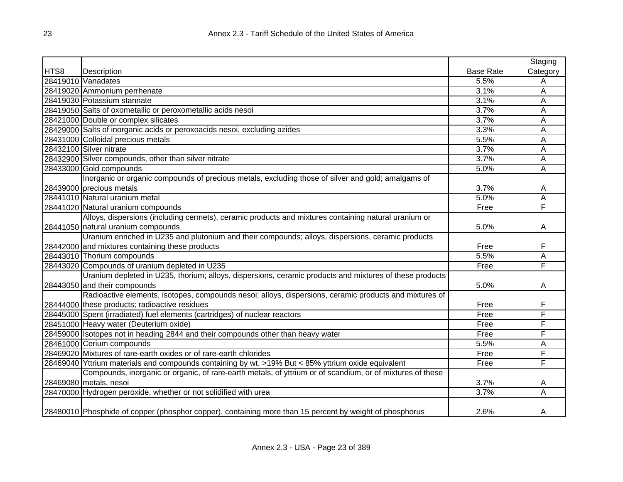|      |                                                                                                           |                  | Staging  |
|------|-----------------------------------------------------------------------------------------------------------|------------------|----------|
| HTS8 | Description                                                                                               | <b>Base Rate</b> | Category |
|      | 28419010 Vanadates                                                                                        | 5.5%             | Α        |
|      | 28419020 Ammonium perrhenate                                                                              | 3.1%             | A        |
|      | 28419030 Potassium stannate                                                                               | 3.1%             | A        |
|      | 28419050 Salts of oxometallic or peroxometallic acids nesoi                                               | 3.7%             | Α        |
|      | 28421000 Double or complex silicates                                                                      | 3.7%             | A        |
|      | 28429000 Salts of inorganic acids or peroxoacids nesoi, excluding azides                                  | 3.3%             | A        |
|      | 28431000 Colloidal precious metals                                                                        | 5.5%             | A        |
|      | 28432100 Silver nitrate                                                                                   | 3.7%             | Α        |
|      | 28432900 Silver compounds, other than silver nitrate                                                      | 3.7%             | A        |
|      | 28433000 Gold compounds                                                                                   | 5.0%             | A        |
|      | Inorganic or organic compounds of precious metals, excluding those of silver and gold; amalgams of        |                  |          |
|      | 28439000 precious metals                                                                                  | 3.7%             | A        |
|      | 28441010 Natural uranium metal                                                                            | 5.0%             | Α        |
|      | 28441020 Natural uranium compounds                                                                        | Free             | F        |
|      | Alloys, dispersions (including cermets), ceramic products and mixtures containing natural uranium or      |                  |          |
|      | 28441050 natural uranium compounds                                                                        | 5.0%             | A        |
|      | Uranium enriched in U235 and plutonium and their compounds; alloys, dispersions, ceramic products         |                  |          |
|      | 28442000 and mixtures containing these products                                                           | Free             | F        |
|      | 28443010 Thorium compounds                                                                                | 5.5%             | Α        |
|      | 28443020 Compounds of uranium depleted in U235                                                            | Free             | F        |
|      | Uranium depleted in U235, thorium; alloys, dispersions, ceramic products and mixtures of these products   |                  |          |
|      | 28443050 and their compounds                                                                              | 5.0%             | A        |
|      | Radioactive elements, isotopes, compounds nesoi; alloys, dispersions, ceramic products and mixtures of    |                  |          |
|      | 28444000 these products; radioactive residues                                                             | Free             | F        |
|      | 28445000 Spent (irradiated) fuel elements (cartridges) of nuclear reactors                                | Free             | F        |
|      | 28451000 Heavy water (Deuterium oxide)                                                                    | Free             | F        |
|      | 28459000 Isotopes not in heading 2844 and their compounds other than heavy water                          | Free             | F        |
|      | 28461000 Cerium compounds                                                                                 | 5.5%             | A        |
|      | 28469020 Mixtures of rare-earth oxides or of rare-earth chlorides                                         | Free             | F        |
|      | 28469040 Yttrium materials and compounds containing by wt. >19% But < 85% yttrium oxide equivalent        | Free             | F        |
|      | Compounds, inorganic or organic, of rare-earth metals, of yttrium or of scandium, or of mixtures of these |                  |          |
|      | 28469080 metals, nesoi                                                                                    | 3.7%             | A        |
|      | 28470000 Hydrogen peroxide, whether or not solidified with urea                                           | 3.7%             | Α        |
|      |                                                                                                           |                  |          |
|      | 28480010 Phosphide of copper (phosphor copper), containing more than 15 percent by weight of phosphorus   | 2.6%             | A        |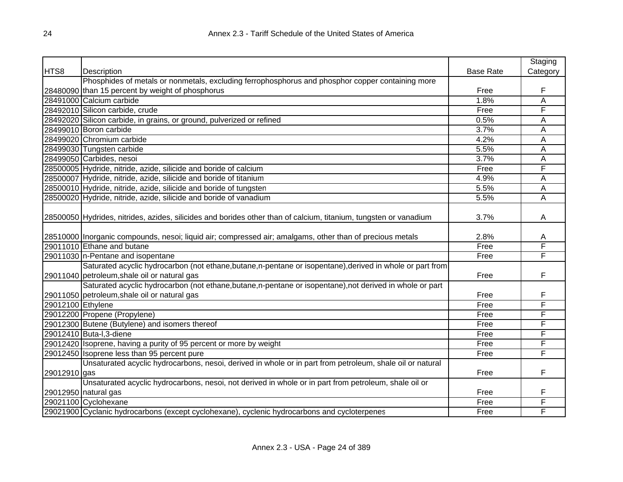|                   |                                                                                                                                                            |                  | Staging  |
|-------------------|------------------------------------------------------------------------------------------------------------------------------------------------------------|------------------|----------|
| HTS8              | Description                                                                                                                                                | <b>Base Rate</b> | Category |
|                   | Phosphides of metals or nonmetals, excluding ferrophosphorus and phosphor copper containing more                                                           |                  |          |
|                   | 28480090 than 15 percent by weight of phosphorus                                                                                                           | Free             | F        |
|                   | 28491000 Calcium carbide                                                                                                                                   | 1.8%             | A        |
|                   | 28492010 Silicon carbide, crude                                                                                                                            | Free             | F        |
|                   | 28492020 Silicon carbide, in grains, or ground, pulverized or refined                                                                                      | 0.5%             | А        |
|                   | 28499010 Boron carbide                                                                                                                                     | 3.7%             | A        |
|                   | 28499020 Chromium carbide                                                                                                                                  | 4.2%             | Α        |
|                   | 28499030 Tungsten carbide                                                                                                                                  | 5.5%             | Α        |
|                   | 28499050 Carbides, nesoi                                                                                                                                   | 3.7%             | A        |
|                   | 28500005 Hydride, nitride, azide, silicide and boride of calcium                                                                                           | Free             | F        |
|                   | 28500007 Hydride, nitride, azide, silicide and boride of titanium                                                                                          | 4.9%             | A        |
|                   | 28500010 Hydride, nitride, azide, silicide and boride of tungsten                                                                                          | 5.5%             | A        |
|                   | 28500020 Hydride, nitride, azide, silicide and boride of vanadium                                                                                          | 5.5%             | Ā        |
|                   | 28500050 Hydrides, nitrides, azides, silicides and borides other than of calcium, titanium, tungsten or vanadium                                           | 3.7%             | A        |
|                   | 28510000 Inorganic compounds, nesoi; liquid air; compressed air; amalgams, other than of precious metals                                                   | 2.8%             | A        |
|                   | 29011010 Ethane and butane                                                                                                                                 | Free             | F        |
|                   | 29011030  n-Pentane and isopentane                                                                                                                         | Free             | F        |
|                   | Saturated acyclic hydrocarbon (not ethane, butane, n-pentane or isopentane), derived in whole or part from<br>29011040 petroleum, shale oil or natural gas | Free             | F        |
|                   | Saturated acyclic hydrocarbon (not ethane, butane, n-pentane or isopentane), not derived in whole or part                                                  |                  |          |
|                   | 29011050 petroleum, shale oil or natural gas                                                                                                               | Free             | F        |
| 29012100 Ethylene |                                                                                                                                                            | Free             | F        |
|                   | 29012200 Propene (Propylene)                                                                                                                               | Free             | F        |
|                   | 29012300 Butene (Butylene) and isomers thereof                                                                                                             | Free             | F        |
|                   | 29012410 Buta-I, 3-diene                                                                                                                                   | Free             | F        |
|                   | 29012420 Isoprene, having a purity of 95 percent or more by weight                                                                                         | Free             | F        |
|                   | 29012450 Isoprene less than 95 percent pure                                                                                                                | Free             | F        |
|                   | Unsaturated acyclic hydrocarbons, nesoi, derived in whole or in part from petroleum, shale oil or natural                                                  |                  |          |
| 29012910 gas      |                                                                                                                                                            | Free             | F        |
|                   | Unsaturated acyclic hydrocarbons, nesoi, not derived in whole or in part from petroleum, shale oil or                                                      |                  |          |
|                   | 29012950 natural gas                                                                                                                                       | Free             | F        |
|                   | 29021100 Cyclohexane                                                                                                                                       | Free             | F        |
|                   | 29021900 Cyclanic hydrocarbons (except cyclohexane), cyclenic hydrocarbons and cycloterpenes                                                               | Free             | F        |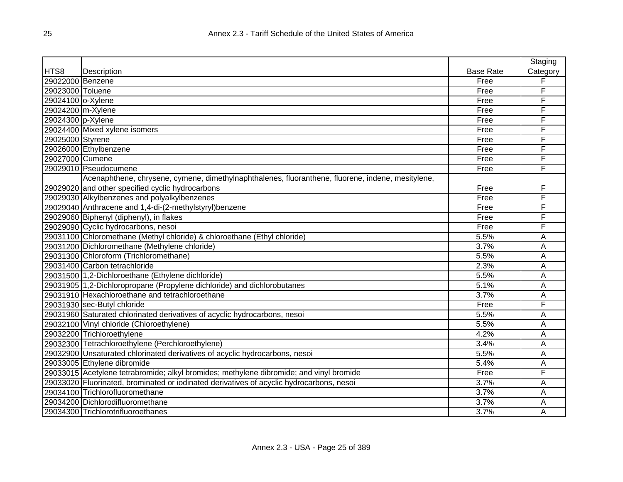|                   |                                                                                                   |                  | Staging  |
|-------------------|---------------------------------------------------------------------------------------------------|------------------|----------|
| HTS8              | Description                                                                                       | <b>Base Rate</b> | Category |
| 29022000 Benzene  |                                                                                                   | Free             | F        |
| 29023000 Toluene  |                                                                                                   | Free             | F        |
| 29024100 o-Xylene |                                                                                                   | Free             | F        |
| 29024200 m-Xylene |                                                                                                   | Free             | F        |
| 29024300 p-Xylene |                                                                                                   | Free             | F        |
|                   | 29024400 Mixed xylene isomers                                                                     | Free             | F        |
| 29025000 Styrene  |                                                                                                   | Free             | F        |
|                   | 29026000 Ethylbenzene                                                                             | Free             | F        |
| 29027000 Cumene   |                                                                                                   | Free             | F        |
|                   | 29029010 Pseudocumene                                                                             | Free             | F        |
|                   | Acenaphthene, chrysene, cymene, dimethylnaphthalenes, fluoranthene, fluorene, indene, mesitylene, |                  |          |
|                   | 29029020 and other specified cyclic hydrocarbons                                                  | Free             | F        |
|                   | 29029030 Alkylbenzenes and polyalkylbenzenes                                                      | Free             | F        |
|                   | 29029040 Anthracene and 1,4-di-(2-methylstyryl)benzene                                            | Free             | F        |
|                   | 29029060 Biphenyl (diphenyl), in flakes                                                           | Free             | F        |
|                   | 29029090 Cyclic hydrocarbons, nesoi                                                               | Free             | F        |
|                   | 29031100 Chloromethane (Methyl chloride) & chloroethane (Ethyl chloride)                          | 5.5%             | Α        |
|                   | 29031200 Dichloromethane (Methylene chloride)                                                     | 3.7%             | A        |
|                   | 29031300 Chloroform (Trichloromethane)                                                            | 5.5%             | Α        |
|                   | 29031400 Carbon tetrachloride                                                                     | 2.3%             | A        |
|                   | 29031500 1,2-Dichloroethane (Ethylene dichloride)                                                 | 5.5%             | A        |
|                   | 29031905 1,2-Dichloropropane (Propylene dichloride) and dichlorobutanes                           | 5.1%             | Α        |
|                   | 29031910 Hexachloroethane and tetrachloroethane                                                   | 3.7%             | A        |
|                   | 29031930 sec-Butyl chloride                                                                       | Free             | F        |
|                   | 29031960 Saturated chlorinated derivatives of acyclic hydrocarbons, nesoi                         | 5.5%             | A        |
|                   | 29032100 Vinyl chloride (Chloroethylene)                                                          | 5.5%             | A        |
|                   | 29032200 Trichloroethylene                                                                        | 4.2%             | Α        |
|                   | 29032300 Tetrachloroethylene (Perchloroethylene)                                                  | 3.4%             | A        |
|                   | 29032900 Unsaturated chlorinated derivatives of acyclic hydrocarbons, nesoi                       | 5.5%             | A        |
|                   | 29033005 Ethylene dibromide                                                                       | 5.4%             | A        |
|                   | 29033015 Acetylene tetrabromide; alkyl bromides; methylene dibromide; and vinyl bromide           | Free             | F        |
|                   | 29033020 Fluorinated, brominated or iodinated derivatives of acyclic hydrocarbons, nesoi          | 3.7%             | A        |
|                   | 29034100 Trichlorofluoromethane                                                                   | 3.7%             | Α        |
|                   | 29034200 Dichlorodifluoromethane                                                                  | 3.7%             | A        |
|                   | 29034300 Trichlorotrifluoroethanes                                                                | 3.7%             | A        |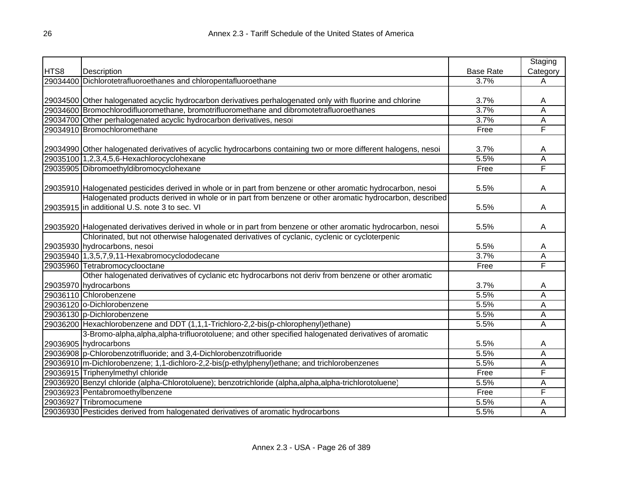|      |                                                                                                                 |                    | Staging        |
|------|-----------------------------------------------------------------------------------------------------------------|--------------------|----------------|
| HTS8 | Description                                                                                                     | <b>Base Rate</b>   | Category       |
|      | 29034400 Dichlorotetrafluoroethanes and chloropentafluoroethane                                                 | 3.7%               | Α              |
|      |                                                                                                                 |                    |                |
|      | 29034500 Other halogenated acyclic hydrocarbon derivatives perhalogenated only with fluorine and chlorine       | 3.7%               | Α              |
|      | 29034600 Bromochlorodifluoromethane, bromotrifluoromethane and dibromotetrafluoroethanes                        | 3.7%               | Ā              |
|      | 29034700 Other perhalogenated acyclic hydrocarbon derivatives, nesoi                                            | 3.7%               | Ā              |
|      | 29034910 Bromochloromethane                                                                                     | Free               | F              |
|      |                                                                                                                 |                    |                |
|      | 29034990 Other halogenated derivatives of acyclic hydrocarbons containing two or more different halogens, nesoi | 3.7%               | A              |
|      | 29035100 1, 2, 3, 4, 5, 6-Hexachlorocyclohexane                                                                 | 5.5%               | $\overline{A}$ |
|      | 29035905 Dibromoethyldibromocyclohexane                                                                         | Free               | F              |
|      |                                                                                                                 |                    |                |
|      | 29035910 Halogenated pesticides derived in whole or in part from benzene or other aromatic hydrocarbon, nesoi   | 5.5%               | Α              |
|      | Halogenated products derived in whole or in part from benzene or other aromatic hydrocarbon, described          |                    |                |
|      | 29035915 in additional U.S. note 3 to sec. VI                                                                   | 5.5%               | A              |
|      |                                                                                                                 |                    |                |
|      | 29035920 Halogenated derivatives derived in whole or in part from benzene or other aromatic hydrocarbon, nesoi  | 5.5%               | A              |
|      | Chlorinated, but not otherwise halogenated derivatives of cyclanic, cyclenic or cycloterpenic                   |                    |                |
|      | 29035930 hydrocarbons, nesoi                                                                                    | 5.5%               | A              |
|      | 29035940 1,3,5,7,9,11-Hexabromocyclododecane                                                                    | 3.7%               | Ā              |
|      | 29035960 Tetrabromocyclooctane                                                                                  | Free               | F              |
|      | Other halogenated derivatives of cyclanic etc hydrocarbons not deriv from benzene or other aromatic             |                    |                |
|      | 29035970 hydrocarbons                                                                                           | 3.7%               | A              |
|      | 29036110 Chlorobenzene                                                                                          | 5.5%               | Α              |
|      | 29036120 o-Dichlorobenzene                                                                                      | 5.5%               | Α              |
|      | 29036130 p-Dichlorobenzene                                                                                      | 5.5%               | Α              |
|      | 29036200 Hexachlorobenzene and DDT (1,1,1-Trichloro-2,2-bis(p-chlorophenyl)ethane)                              | 5.5%               | A              |
|      | 3-Bromo-alpha, alpha, alpha-trifluorotoluene; and other specified halogenated derivatives of aromatic           |                    |                |
|      | 29036905 hydrocarbons                                                                                           | 5.5%               | Α              |
|      | 29036908 p-Chlorobenzotrifluoride; and 3,4-Dichlorobenzotrifluoride                                             | $\overline{5.5\%}$ | Α              |
|      | 29036910 m-Dichlorobenzene; 1,1-dichloro-2,2-bis(p-ethylphenyl)ethane; and trichlorobenzenes                    | 5.5%               | Α              |
|      | 29036915 Triphenylmethyl chloride                                                                               | Free               | F              |
|      | [29036920 Benzyl chloride (alpha-Chlorotoluene); benzotrichloride (alpha,alpha,alpha-trichlorotoluene)          | 5.5%               | Α              |
|      | 29036923 Pentabromoethylbenzene                                                                                 | Free               | F              |
|      | 29036927 Tribromocumene                                                                                         | 5.5%               | Α              |
|      | 29036930 Pesticides derived from halogenated derivatives of aromatic hydrocarbons                               | 5.5%               | Ā              |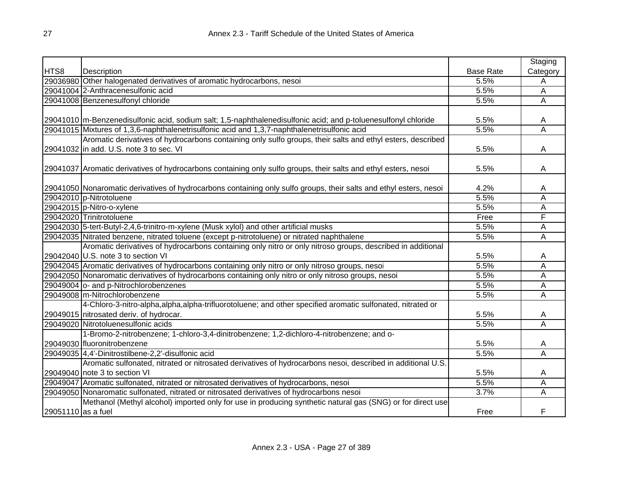|                    |                                                                                                                    |                  | Staging                 |
|--------------------|--------------------------------------------------------------------------------------------------------------------|------------------|-------------------------|
| HTS8               | Description                                                                                                        | <b>Base Rate</b> | Category                |
|                    | 29036980 Other halogenated derivatives of aromatic hydrocarbons, nesoi                                             | 5.5%             | Α                       |
|                    | 29041004 2-Anthracenesulfonic acid                                                                                 | 5.5%             | Α                       |
|                    | 29041008 Benzenesulfonyl chloride                                                                                  | 5.5%             | A                       |
|                    |                                                                                                                    |                  |                         |
|                    | 29041010 m-Benzenedisulfonic acid, sodium salt; 1,5-naphthalenedisulfonic acid; and p-toluenesulfonyl chloride     | 5.5%             | A                       |
|                    | 29041015 Mixtures of 1,3,6-naphthalenetrisulfonic acid and 1,3,7-naphthalenetrisulfonic acid                       | 5.5%             | $\overline{\mathsf{A}}$ |
|                    | Aromatic derivatives of hydrocarbons containing only sulfo groups, their salts and ethyl esters, described         |                  |                         |
|                    | 29041032 in add. U.S. note 3 to sec. VI                                                                            | 5.5%             | Α                       |
|                    |                                                                                                                    |                  |                         |
|                    | 29041037 Aromatic derivatives of hydrocarbons containing only sulfo groups, their salts and ethyl esters, nesoi    | 5.5%             | A                       |
|                    |                                                                                                                    |                  |                         |
|                    | 29041050 Nonaromatic derivatives of hydrocarbons containing only sulfo groups, their salts and ethyl esters, nesoi | 4.2%             | Α                       |
|                    | 29042010 p-Nitrotoluene                                                                                            | 5.5%             | Α                       |
|                    | 29042015 p-Nitro-o-xylene                                                                                          | 5.5%             | Α                       |
|                    | 29042020 Trinitrotoluene                                                                                           | Free             | F                       |
|                    | 29042030 5-tert-Butyl-2,4,6-trinitro-m-xylene (Musk xylol) and other artificial musks                              | 5.5%             | Α                       |
|                    | 29042035 Nitrated benzene, nitrated toluene (except p-nitrotoluene) or nitrated naphthalene                        | 5.5%             | Α                       |
|                    | Aromatic derivatives of hydrocarbons containing only nitro or only nitroso groups, described in additional         |                  |                         |
|                    | 29042040 U.S. note 3 to section VI                                                                                 | 5.5%             | A                       |
|                    | 29042045 Aromatic derivatives of hydrocarbons containing only nitro or only nitroso groups, nesol                  | 5.5%             | Α                       |
|                    | 29042050 Nonaromatic derivatives of hydrocarbons containing only nitro or only nitroso groups, nesoi               | 5.5%             | Α                       |
|                    | 29049004 o- and p-Nitrochlorobenzenes                                                                              | 5.5%             | Α                       |
|                    | 29049008 m-Nitrochlorobenzene                                                                                      | 5.5%             | A                       |
|                    | 4-Chloro-3-nitro-alpha, alpha, alpha-trifluorotoluene; and other specified aromatic sulfonated, nitrated or        |                  |                         |
|                    | 29049015 nitrosated deriv. of hydrocar.                                                                            | 5.5%             | A                       |
|                    | 29049020 Nitrotoluenesulfonic acids                                                                                | 5.5%             | $\overline{\mathsf{A}}$ |
|                    | 1-Bromo-2-nitrobenzene; 1-chloro-3,4-dinitrobenzene; 1,2-dichloro-4-nitrobenzene; and o-                           |                  |                         |
|                    | 29049030 fluoronitrobenzene                                                                                        | 5.5%             | A                       |
|                    | 29049035 4,4'-Dinitrostilbene-2,2'-disulfonic acid                                                                 | 5.5%             | $\overline{\mathsf{A}}$ |
|                    | Aromatic sulfonated, nitrated or nitrosated derivatives of hydrocarbons nesoi, described in additional U.S.        |                  |                         |
|                    | 29049040 note 3 to section VI                                                                                      | 5.5%             | A                       |
|                    | 29049047 Aromatic sulfonated, nitrated or nitrosated derivatives of hydrocarbons, nesoi                            | 5.5%             | Α                       |
|                    | 29049050 Nonaromatic sulfonated, nitrated or nitrosated derivatives of hydrocarbons nesoi                          | 3.7%             | A                       |
|                    | Methanol (Methyl alcohol) imported only for use in producing synthetic natural gas (SNG) or for direct use         |                  |                         |
| 29051110 as a fuel |                                                                                                                    | Free             | F                       |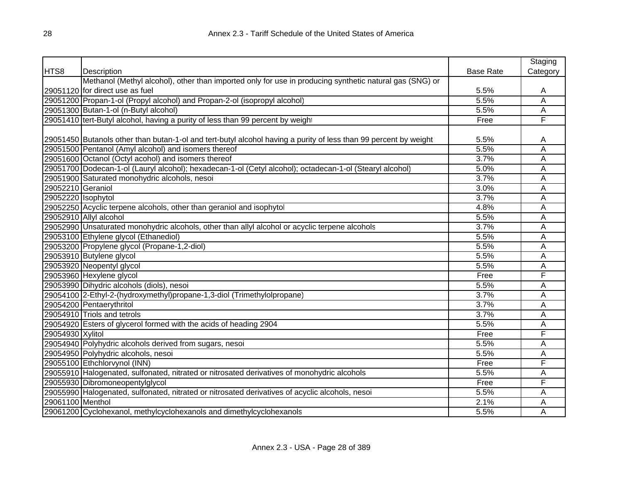|                    |                                                                                                                  |                  | Staging                 |
|--------------------|------------------------------------------------------------------------------------------------------------------|------------------|-------------------------|
| HTS8               | Description                                                                                                      | <b>Base Rate</b> | Category                |
|                    | Methanol (Methyl alcohol), other than imported only for use in producing synthetic natural gas (SNG) or          |                  |                         |
|                    | 29051120 for direct use as fuel                                                                                  | 5.5%             | Α                       |
|                    | 29051200 Propan-1-ol (Propyl alcohol) and Propan-2-ol (isopropyl alcohol)                                        | 5.5%             | A                       |
|                    | 29051300 Butan-1-ol (n-Butyl alcohol)                                                                            | 5.5%             | Α                       |
|                    | 29051410 tert-Butyl alcohol, having a purity of less than 99 percent by weight                                   | Free             | F                       |
|                    |                                                                                                                  |                  |                         |
|                    | 29051450 Butanols other than butan-1-ol and tert-butyl alcohol having a purity of less than 99 percent by weight | 5.5%             | A                       |
|                    | 29051500 Pentanol (Amyl alcohol) and isomers thereof                                                             | 5.5%             | $\overline{\mathsf{A}}$ |
|                    | 29051600 Octanol (Octyl acohol) and isomers thereof                                                              | 3.7%             | A                       |
|                    | 29051700 Dodecan-1-ol (Lauryl alcohol); hexadecan-1-ol (Cetyl alcohol); octadecan-1-ol (Stearyl alcohol)         | 5.0%             | $\overline{\mathsf{A}}$ |
|                    | 29051900 Saturated monohydric alcohols, nesoi                                                                    | 3.7%             | Ā                       |
| 29052210 Geraniol  |                                                                                                                  | 3.0%             | $\overline{\mathsf{A}}$ |
| 29052220 Isophytol |                                                                                                                  | 3.7%             | A                       |
|                    | 29052250 Acyclic terpene alcohols, other than geraniol and isophytol                                             | 4.8%             | A                       |
|                    | 29052910 Allyl alcohol                                                                                           | 5.5%             | Α                       |
|                    | 29052990 Unsaturated monohydric alcohols, other than allyl alcohol or acyclic terpene alcohols                   | 3.7%             | A                       |
|                    | 29053100 Ethylene glycol (Ethanediol)                                                                            | 5.5%             | Α                       |
|                    | 29053200 Propylene glycol (Propane-1,2-diol)                                                                     | 5.5%             | A                       |
|                    | 29053910 Butylene glycol                                                                                         | 5.5%             | A                       |
|                    | 29053920 Neopentyl glycol                                                                                        | 5.5%             | Α                       |
|                    | 29053960 Hexylene glycol                                                                                         | Free             | F                       |
|                    | 29053990 Dihydric alcohols (diols), nesoi                                                                        | 5.5%             | Α                       |
|                    | 29054100 2-Ethyl-2-(hydroxymethyl)propane-1,3-diol (Trimethylolpropane)                                          | 3.7%             | Α                       |
|                    | 29054200 Pentaerythritol                                                                                         | 3.7%             | A                       |
|                    | 29054910 Triols and tetrols                                                                                      | 3.7%             | Α                       |
|                    | 29054920 Esters of glycerol formed with the acids of heading 2904                                                | 5.5%             | Α                       |
| 29054930 Xylitol   |                                                                                                                  | Free             | F                       |
|                    | 29054940 Polyhydric alcohols derived from sugars, nesoi                                                          | 5.5%             | Α                       |
|                    | 29054950 Polyhydric alcohols, nesoi                                                                              | 5.5%             | Α                       |
|                    | 29055100 Ethchlorvynol (INN)                                                                                     | Free             | F                       |
|                    | 29055910 Halogenated, sulfonated, nitrated or nitrosated derivatives of monohydric alcohols                      | 5.5%             | Α                       |
|                    | 29055930 Dibromoneopentylglycol                                                                                  | Free             | F                       |
|                    | 29055990 Halogenated, sulfonated, nitrated or nitrosated derivatives of acyclic alcohols, nesoi                  | 5.5%             | A                       |
| 29061100 Menthol   |                                                                                                                  | 2.1%             | Α                       |
|                    | 29061200 Cyclohexanol, methylcyclohexanols and dimethylcyclohexanols                                             | 5.5%             | A                       |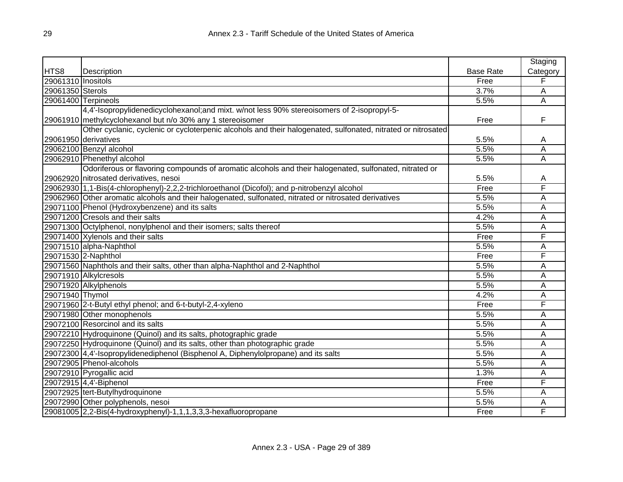|                    |                                                                                                              |                  | Staging  |
|--------------------|--------------------------------------------------------------------------------------------------------------|------------------|----------|
| HTS8               | Description                                                                                                  | <b>Base Rate</b> | Category |
| 29061310 Inositols |                                                                                                              | Free             | F        |
| 29061350 Sterols   |                                                                                                              | 3.7%             | Α        |
|                    | 29061400 Terpineols                                                                                          | 5.5%             | Α        |
|                    | 4,4'-Isopropylidenedicyclohexanol;and mixt. w/not less 90% stereoisomers of 2-isopropyl-5-                   |                  |          |
|                    | 29061910 methylcyclohexanol but n/o 30% any 1 stereoisomer                                                   | Free             | F        |
|                    | Other cyclanic, cyclenic or cycloterpenic alcohols and their halogenated, sulfonated, nitrated or nitrosated |                  |          |
|                    | 29061950 derivatives                                                                                         | 5.5%             | Α        |
|                    | 29062100 Benzyl alcohol                                                                                      | 5.5%             | Α        |
|                    | 29062910 Phenethyl alcohol                                                                                   | 5.5%             | A        |
|                    | Odoriferous or flavoring compounds of aromatic alcohols and their halogenated, sulfonated, nitrated or       |                  |          |
|                    | 29062920 nitrosated derivatives, nesoi                                                                       | 5.5%             | Α        |
|                    | 29062930 1,1-Bis(4-chlorophenyl)-2,2,2-trichloroethanol (Dicofol); and p-nitrobenzyl alcohol                 | Free             | F        |
|                    | 29062960 Other aromatic alcohols and their halogenated, sulfonated, nitrated or nitrosated derivatives       | 5.5%             | Α        |
|                    | 29071100 Phenol (Hydroxybenzene) and its salts                                                               | 5.5%             | A        |
|                    | 29071200 Cresols and their salts                                                                             | 4.2%             | Α        |
|                    | 29071300 Octylphenol, nonylphenol and their isomers; salts thereof                                           | 5.5%             | Α        |
|                    | 29071400 Xylenols and their salts                                                                            | Free             | F        |
|                    | 29071510 alpha-Naphthol                                                                                      | 5.5%             | A        |
|                    | 29071530 2-Naphthol                                                                                          | Free             | F        |
|                    | 29071560 Naphthols and their salts, other than alpha-Naphthol and 2-Naphthol                                 | 5.5%             | A        |
|                    | 29071910 Alkylcresols                                                                                        | 5.5%             | A        |
|                    | 29071920 Alkylphenols                                                                                        | 5.5%             | A        |
| 29071940 Thymol    |                                                                                                              | 4.2%             | A        |
|                    | 29071960 2-t-Butyl ethyl phenol; and 6-t-butyl-2,4-xyleno                                                    | Free             | F        |
|                    | 29071980 Other monophenols                                                                                   | 5.5%             | A        |
|                    | 29072100 Resorcinol and its salts                                                                            | 5.5%             | A        |
|                    | 29072210 Hydroquinone (Quinol) and its salts, photographic grade                                             | 5.5%             | Α        |
|                    | 29072250 Hydroquinone (Quinol) and its salts, other than photographic grade                                  | 5.5%             | Α        |
|                    | 29072300 4,4'-Isopropylidenediphenol (Bisphenol A, Diphenylolpropane) and its salts                          | 5.5%             | Α        |
|                    | 29072905 Phenol-alcohols                                                                                     | 5.5%             | Α        |
|                    | 29072910 Pyrogallic acid                                                                                     | 1.3%             | A        |
|                    | 29072915 4,4'-Biphenol                                                                                       | Free             | F        |
|                    | 29072925 tert-Butylhydroquinone                                                                              | 5.5%             | Α        |
|                    | 29072990 Other polyphenols, nesoi                                                                            | 5.5%             | Α        |
|                    | 29081005 2,2-Bis(4-hydroxyphenyl)-1,1,1,3,3,3-hexafluoropropane                                              | Free             | F        |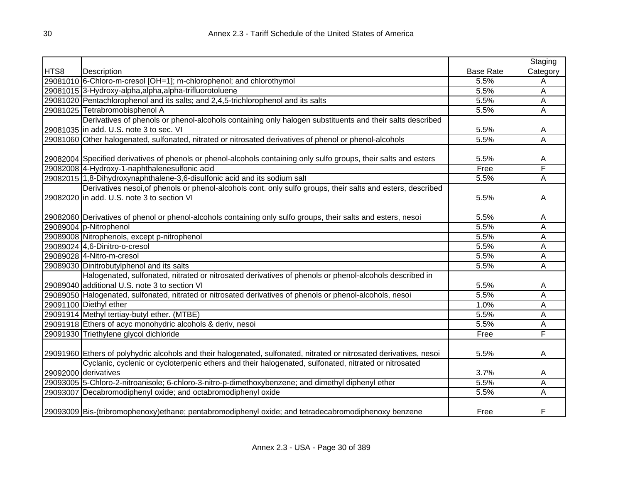|      |                                                                                                                     |                  | Staging  |
|------|---------------------------------------------------------------------------------------------------------------------|------------------|----------|
| HTS8 | Description                                                                                                         | <b>Base Rate</b> | Category |
|      | 29081010 6-Chloro-m-cresol [OH=1]; m-chlorophenol; and chlorothymol                                                 | 5.5%             | Α        |
|      | 29081015 3-Hydroxy-alpha, alpha, alpha-trifluorotoluene                                                             | 5.5%             | A        |
|      | 29081020 Pentachlorophenol and its salts; and 2,4,5-trichlorophenol and its salts                                   | 5.5%             | A        |
|      | 29081025 Tetrabromobisphenol A                                                                                      | 5.5%             | Ā        |
|      | Derivatives of phenols or phenol-alcohols containing only halogen substituents and their salts described            |                  |          |
|      | 29081035 in add. U.S. note 3 to sec. VI                                                                             | 5.5%             | A        |
|      | 29081060 Other halogenated, sulfonated, nitrated or nitrosated derivatives of phenol or phenol-alcohols             | 5.5%             | Α        |
|      |                                                                                                                     |                  |          |
|      | 29082004 Specified derivatives of phenols or phenol-alcohols containing only sulfo groups, their salts and esters   | 5.5%             | Α        |
|      | 29082008 4-Hydroxy-1-naphthalenesulfonic acid                                                                       | Free             | F        |
|      | 29082015 1,8-Dihydroxynaphthalene-3,6-disulfonic acid and its sodium salt                                           | 5.5%             | A        |
|      | Derivatives nesoi, of phenols or phenol-alcohols cont. only sulfo groups, their salts and esters, described         |                  |          |
|      | 29082020 in add. U.S. note 3 to section VI                                                                          | 5.5%             | A        |
|      |                                                                                                                     |                  |          |
|      | 29082060 Derivatives of phenol or phenol-alcohols containing only sulfo groups, their salts and esters, nesoi       | 5.5%             | Α        |
|      | 29089004 p-Nitrophenol                                                                                              | 5.5%             | A        |
|      | 29089008 Nitrophenols, except p-nitrophenol                                                                         | 5.5%             | Ā        |
|      | 29089024 4,6-Dinitro-o-cresol                                                                                       | 5.5%             | Ā        |
|      | 29089028 4-Nitro-m-cresol                                                                                           | 5.5%             | Ā        |
|      | 29089030 Dinitrobutylphenol and its salts                                                                           | 5.5%             | Ā        |
|      | Halogenated, sulfonated, nitrated or nitrosated derivatives of phenols or phenol-alcohols described in              |                  |          |
|      | 29089040 additional U.S. note 3 to section VI                                                                       | 5.5%             | Α        |
|      | 29089050 Halogenated, sulfonated, nitrated or nitrosated derivatives of phenols or phenol-alcohols, nesoi           | 5.5%             | Ā        |
|      | 29091100 Diethyl ether                                                                                              | 1.0%             | Ā        |
|      | 29091914 Methyl tertiay-butyl ether. (MTBE)                                                                         | 5.5%             | A        |
|      | 29091918 Ethers of acyc monohydric alcohols & deriv, nesoi                                                          | 5.5%             | A        |
|      | 29091930 Triethylene glycol dichloride                                                                              | Free             | F        |
|      |                                                                                                                     |                  |          |
|      | 29091960 Ethers of polyhydric alcohols and their halogenated, sulfonated, nitrated or nitrosated derivatives, nesoi | 5.5%             | A        |
|      | Cyclanic, cyclenic or cycloterpenic ethers and their halogenated, sulfonated, nitrated or nitrosated                |                  |          |
|      | 29092000 derivatives                                                                                                | 3.7%             | A        |
|      | 29093005 5-Chloro-2-nitroanisole; 6-chloro-3-nitro-p-dimethoxybenzene; and dimethyl diphenyl ether                  | 5.5%             | Α        |
|      | 29093007 Decabromodiphenyl oxide; and octabromodiphenyl oxide                                                       | 5.5%             | Α        |
|      | 29093009 Bis-(tribromophenoxy)ethane; pentabromodiphenyl oxide; and tetradecabromodiphenoxy benzene                 | Free             | F        |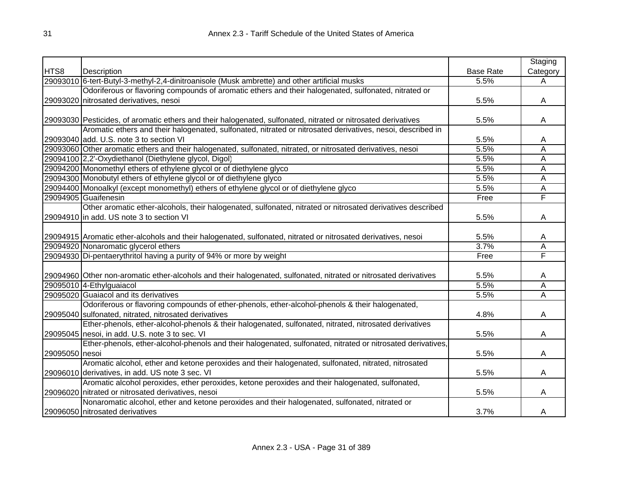|                |                                                                                                                  |                  | Staging                 |
|----------------|------------------------------------------------------------------------------------------------------------------|------------------|-------------------------|
| HTS8           | Description                                                                                                      | <b>Base Rate</b> | Category                |
|                | 29093010 6-tert-Butyl-3-methyl-2,4-dinitroanisole (Musk ambrette) and other artificial musks                     | 5.5%             | Α                       |
|                | Odoriferous or flavoring compounds of aromatic ethers and their halogenated, sulfonated, nitrated or             |                  |                         |
|                | 29093020 nitrosated derivatives, nesoi                                                                           | 5.5%             | A                       |
|                |                                                                                                                  |                  |                         |
|                | 29093030 Pesticides, of aromatic ethers and their halogenated, sulfonated, nitrated or nitrosated derivatives    | 5.5%             | A                       |
|                | Aromatic ethers and their halogenated, sulfonated, nitrated or nitrosated derivatives, nesoi, described in       |                  |                         |
|                | 29093040 add. U.S. note 3 to section VI                                                                          | 5.5%             | Α                       |
|                | 29093060 Other aromatic ethers and their halogenated, sulfonated, nitrated, or nitrosated derivatives, nesoi     | 5.5%             | A                       |
|                | 29094100 2,2'-Oxydiethanol (Diethylene glycol, Digol)                                                            | 5.5%             | A                       |
|                | 29094200 Monomethyl ethers of ethylene glycol or of diethylene glyco                                             | 5.5%             | A                       |
|                | 29094300 Monobutyl ethers of ethylene glycol or of diethylene glyco                                              | 5.5%             | A                       |
|                | 29094400 Monoalkyl (except monomethyl) ethers of ethylene glycol or of diethylene glyco                          | 5.5%             | A                       |
|                | 29094905 Guaifenesin                                                                                             | Free             | F                       |
|                | Other aromatic ether-alcohols, their halogenated, sulfonated, nitrated or nitrosated derivatives described       |                  |                         |
|                | 29094910 in add. US note 3 to section VI                                                                         | 5.5%             | A                       |
|                |                                                                                                                  |                  |                         |
|                | 29094915 Aromatic ether-alcohols and their halogenated, sulfonated, nitrated or nitrosated derivatives, nesoi    | 5.5%             | A                       |
|                | 29094920 Nonaromatic glycerol ethers                                                                             | 3.7%             | $\overline{\mathsf{A}}$ |
|                | 29094930 Di-pentaerythritol having a purity of 94% or more by weight                                             | Free             | F                       |
|                |                                                                                                                  |                  |                         |
|                | 29094960 Other non-aromatic ether-alcohols and their halogenated, sulfonated, nitrated or nitrosated derivatives | 5.5%             | A                       |
|                | 29095010 4-Ethylguaiacol                                                                                         | 5.5%             | Ā                       |
|                | 29095020 Guaiacol and its derivatives                                                                            | 5.5%             | Ā                       |
|                | Odoriferous or flavoring compounds of ether-phenols, ether-alcohol-phenols & their halogenated,                  |                  |                         |
|                | 29095040 sulfonated, nitrated, nitrosated derivatives                                                            | 4.8%             | A                       |
|                | Ether-phenols, ether-alcohol-phenols & their halogenated, sulfonated, nitrated, nitrosated derivatives           |                  |                         |
|                | 29095045 nesoi, in add. U.S. note 3 to sec. VI                                                                   | 5.5%             | A                       |
|                | Ether-phenols, ether-alcohol-phenols and their halogenated, sulfonated, nitrated or nitrosated derivatives,      |                  |                         |
| 29095050 nesoi |                                                                                                                  | 5.5%             | A                       |
|                | Aromatic alcohol, ether and ketone peroxides and their halogenated, sulfonated, nitrated, nitrosated             |                  |                         |
|                | 29096010 derivatives, in add. US note 3 sec. VI                                                                  | 5.5%             | A                       |
|                | Aromatic alcohol peroxides, ether peroxides, ketone peroxides and their halogenated, sulfonated,                 |                  |                         |
|                | 29096020 nitrated or nitrosated derivatives, nesoi                                                               | 5.5%             | A                       |
|                | Nonaromatic alcohol, ether and ketone peroxides and their halogenated, sulfonated, nitrated or                   |                  |                         |
|                | 29096050 nitrosated derivatives                                                                                  | 3.7%             | A                       |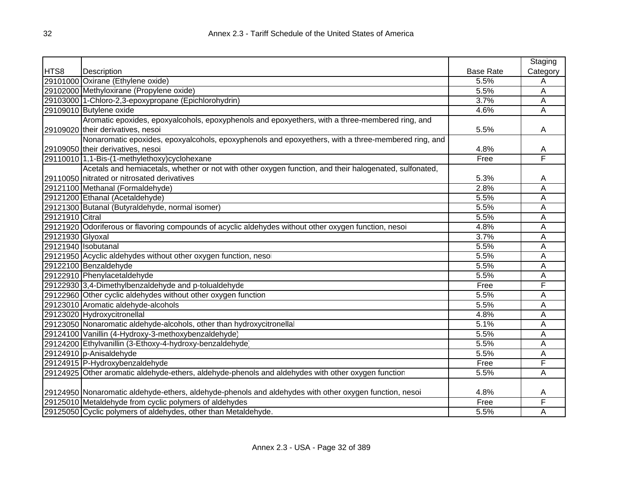|                  |                                                                                                        |                  | Staging                 |
|------------------|--------------------------------------------------------------------------------------------------------|------------------|-------------------------|
| HTS8             | Description                                                                                            | <b>Base Rate</b> | Category                |
|                  | 29101000 Oxirane (Ethylene oxide)                                                                      | 5.5%             | Α                       |
|                  | 29102000 Methyloxirane (Propylene oxide)                                                               | 5.5%             | A                       |
|                  | 29103000 1-Chloro-2,3-epoxypropane (Epichlorohydrin)                                                   | 3.7%             | Α                       |
|                  | 29109010 Butylene oxide                                                                                | 4.6%             | A                       |
|                  | Aromatic epoxides, epoxyalcohols, epoxyphenols and epoxyethers, with a three-membered ring, and        |                  |                         |
|                  | 29109020 their derivatives, nesoi                                                                      | 5.5%             | Α                       |
|                  | Nonaromatic epoxides, epoxyalcohols, epoxyphenols and epoxyethers, with a three-membered ring, and     |                  |                         |
|                  | 29109050 their derivatives, nesoi                                                                      | 4.8%             | A                       |
|                  | 29110010 1,1-Bis-(1-methylethoxy)cyclohexane                                                           | Free             | $\overline{\mathsf{F}}$ |
|                  | Acetals and hemiacetals, whether or not with other oxygen function, and their halogenated, sulfonated, |                  |                         |
|                  | 29110050 nitrated or nitrosated derivatives                                                            | 5.3%             | Α                       |
|                  | 29121100 Methanal (Formaldehyde)                                                                       | 2.8%             | A                       |
|                  | 29121200 Ethanal (Acetaldehyde)                                                                        | 5.5%             | A                       |
|                  | 29121300 Butanal (Butyraldehyde, normal isomer)                                                        | 5.5%             | A                       |
| 29121910 Citral  |                                                                                                        | 5.5%             | A                       |
|                  | 29121920 Odoriferous or flavoring compounds of acyclic aldehydes without other oxygen function, nesoi  | 4.8%             | A                       |
| 29121930 Glyoxal |                                                                                                        | 3.7%             | A                       |
|                  | 29121940 Isobutanal                                                                                    | 5.5%             | A                       |
|                  | 29121950 Acyclic aldehydes without other oxygen function, nesoi                                        | 5.5%             | A                       |
|                  | 29122100 Benzaldehyde                                                                                  | 5.5%             | A                       |
|                  | 29122910 Phenylacetaldehyde                                                                            | 5.5%             | A                       |
|                  | 29122930 3,4-Dimethylbenzaldehyde and p-tolualdehyde                                                   | Free             | F                       |
|                  | 29122960 Other cyclic aldehydes without other oxygen function                                          | 5.5%             | A                       |
|                  | 29123010 Aromatic aldehyde-alcohols                                                                    | 5.5%             | A                       |
|                  | 29123020 Hydroxycitronellal                                                                            | 4.8%             | A                       |
|                  | 29123050 Nonaromatic aldehyde-alcohols, other than hydroxycitronellal                                  | 5.1%             | A                       |
|                  | 29124100 Vanillin (4-Hydroxy-3-methoxybenzaldehyde)                                                    | 5.5%             | A                       |
|                  | 29124200 Ethylvanillin (3-Ethoxy-4-hydroxy-benzaldehyde)                                               | 5.5%             | A                       |
|                  | 29124910 p-Anisaldehyde                                                                                | 5.5%             | Α                       |
|                  | 29124915 P-Hydroxybenzaldehyde                                                                         | Free             | F                       |
|                  | 29124925 Other aromatic aldehyde-ethers, aldehyde-phenols and aldehydes with other oxygen function     | 5.5%             | A                       |
|                  |                                                                                                        |                  |                         |
|                  | 29124950 Nonaromatic aldehyde-ethers, aldehyde-phenols and aldehydes with other oxygen function, nesoi | 4.8%             | A                       |
|                  | 29125010 Metaldehyde from cyclic polymers of aldehydes                                                 | Free             | F                       |
|                  | 29125050 Cyclic polymers of aldehydes, other than Metaldehyde.                                         | 5.5%             | Α                       |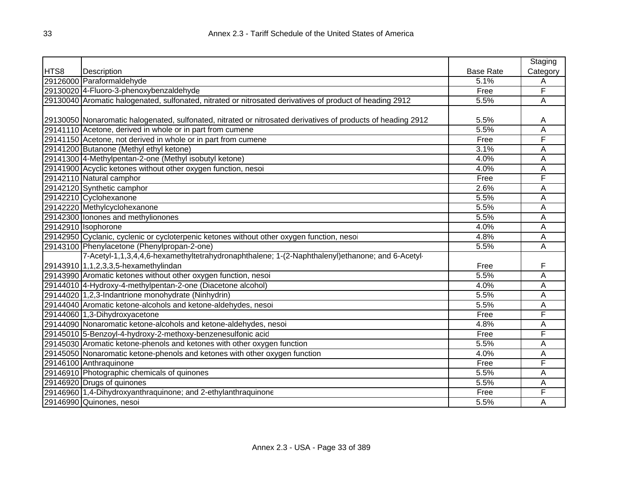|      |                                                                                                              |                  | Staging                 |
|------|--------------------------------------------------------------------------------------------------------------|------------------|-------------------------|
| HTS8 | Description                                                                                                  | <b>Base Rate</b> | Category                |
|      | 29126000 Paraformaldehyde                                                                                    | 5.1%             | A                       |
|      | 29130020 4-Fluoro-3-phenoxybenzaldehyde                                                                      | Free             | F                       |
|      | 29130040 Aromatic halogenated, sulfonated, nitrated or nitrosated derivatives of product of heading 2912     | 5.5%             | Α                       |
|      |                                                                                                              |                  |                         |
|      | 29130050 Nonaromatic halogenated, sulfonated, nitrated or nitrosated derivatives of products of heading 2912 | 5.5%             | A                       |
|      | 29141110 Acetone, derived in whole or in part from cumene                                                    | 5.5%             | A                       |
|      | 29141150 Acetone, not derived in whole or in part from cumene                                                | Free             | F                       |
|      | 29141200 Butanone (Methyl ethyl ketone)                                                                      | 3.1%             | A                       |
|      | 29141300 4-Methylpentan-2-one (Methyl isobutyl ketone)                                                       | 4.0%             | Α                       |
|      | 29141900 Acyclic ketones without other oxygen function, nesoi                                                | 4.0%             | Α                       |
|      | 29142110 Natural camphor                                                                                     | Free             | F                       |
|      | 29142120 Synthetic camphor                                                                                   | 2.6%             | A                       |
|      | 29142210 Cyclohexanone                                                                                       | 5.5%             | Α                       |
|      | 29142220 Methylcyclohexanone                                                                                 | 5.5%             | $\overline{\mathsf{A}}$ |
|      | 29142300 Ionones and methylionones                                                                           | 5.5%             | A                       |
|      | 29142910 Isophorone                                                                                          | 4.0%             | Α                       |
|      | 29142950 Cyclanic, cyclenic or cycloterpenic ketones without other oxygen function, nesoi                    | 4.8%             | Α                       |
|      | 29143100 Phenylacetone (Phenylpropan-2-one)                                                                  | 5.5%             | Α                       |
|      | 7-Acetyl-1,1,3,4,4,6-hexamethyltetrahydronaphthalene; 1-(2-Naphthalenyl)ethanone; and 6-Acetyl-              |                  |                         |
|      | 29143910 1,1,2,3,3,5-hexamethylindan                                                                         | Free             | F                       |
|      | 29143990 Aromatic ketones without other oxygen function, nesoi                                               | 5.5%             | Ā                       |
|      | 29144010 4-Hydroxy-4-methylpentan-2-one (Diacetone alcohol)                                                  | 4.0%             | Α                       |
|      | 29144020 1,2,3-Indantrione monohydrate (Ninhydrin)                                                           | 5.5%             | A                       |
|      | 29144040 Aromatic ketone-alcohols and ketone-aldehydes, nesoi                                                | 5.5%             | Α                       |
|      | 29144060 1,3-Dihydroxyacetone                                                                                | Free             | F                       |
|      | 29144090 Nonaromatic ketone-alcohols and ketone-aldehydes, nesoi                                             | 4.8%             | Α                       |
|      | 29145010 5-Benzoyl-4-hydroxy-2-methoxy-benzenesulfonic acid                                                  | Free             | F                       |
|      | 29145030 Aromatic ketone-phenols and ketones with other oxygen function                                      | 5.5%             | Α                       |
|      | 29145050 Nonaromatic ketone-phenols and ketones with other oxygen function                                   | 4.0%             | Α                       |
|      | 29146100 Anthraquinone                                                                                       | Free             | F                       |
|      | 29146910 Photographic chemicals of quinones                                                                  | 5.5%             | Α                       |
|      | 29146920 Drugs of quinones                                                                                   | 5.5%             | Α                       |
|      | 29146960 1,4-Dihydroxyanthraquinone; and 2-ethylanthraquinone                                                | Free             | F                       |
|      | 29146990 Quinones, nesoi                                                                                     | 5.5%             | A                       |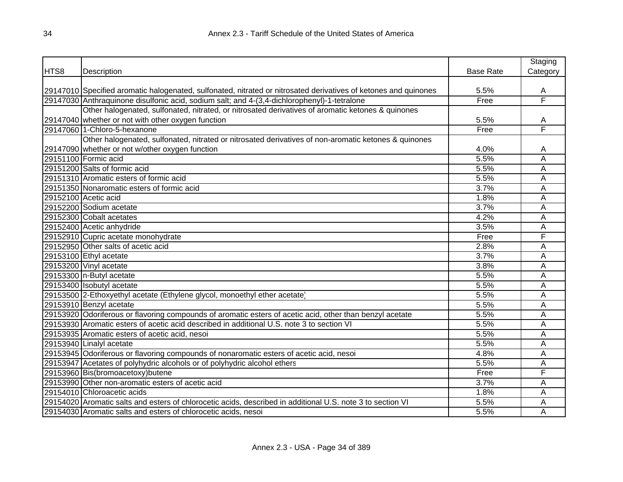|      |                                                                                                                   |                  | Staging  |
|------|-------------------------------------------------------------------------------------------------------------------|------------------|----------|
| HTS8 | Description                                                                                                       | <b>Base Rate</b> | Category |
|      |                                                                                                                   |                  |          |
|      | [29147010] Specified aromatic halogenated, sulfonated, nitrated or nitrosated derivatives of ketones and quinones | 5.5%             | A        |
|      | 29147030 Anthraquinone disulfonic acid, sodium salt; and 4-(3,4-dichlorophenyl)-1-tetralone                       | Free             | F        |
|      | Other halogenated, sulfonated, nitrated, or nitrosated derivatives of aromatic ketones & quinones                 |                  |          |
|      | 29147040 whether or not with other oxygen function                                                                | 5.5%             | A        |
|      | 29147060 1-Chloro-5-hexanone                                                                                      | Free             | F        |
|      | Other halogenated, sulfonated, nitrated or nitrosated derivatives of non-aromatic ketones & quinones              |                  |          |
|      | 29147090 whether or not w/other oxygen function                                                                   | 4.0%             | A        |
|      | 29151100 Formic acid                                                                                              | 5.5%             | Α        |
|      | 29151200 Salts of formic acid                                                                                     | 5.5%             | Α        |
|      | 29151310 Aromatic esters of formic acid                                                                           | 5.5%             | Α        |
|      | 29151350 Nonaromatic esters of formic acid                                                                        | 3.7%             | Α        |
|      | 29152100 Acetic acid                                                                                              | 1.8%             | A        |
|      | 29152200 Sodium acetate                                                                                           | 3.7%             | Α        |
|      | 29152300 Cobalt acetates                                                                                          | 4.2%             | Α        |
|      | 29152400 Acetic anhydride                                                                                         | 3.5%             | Α        |
|      | 29152910 Cupric acetate monohydrate                                                                               | Free             | F        |
|      | 29152950 Other salts of acetic acid                                                                               | 2.8%             | Α        |
|      | 29153100 Ethyl acetate                                                                                            | 3.7%             | Α        |
|      | 29153200 Vinyl acetate                                                                                            | 3.8%             | Α        |
|      | 29153300 n-Butyl acetate                                                                                          | 5.5%             | Α        |
|      | 29153400 Isobutyl acetate                                                                                         | 5.5%             | Α        |
|      | 29153500 2-Ethoxyethyl acetate (Ethylene glycol, monoethyl ether acetate)                                         | 5.5%             | Α        |
|      | 29153910 Benzyl acetate                                                                                           | 5.5%             | Α        |
|      | 29153920 Odoriferous or flavoring compounds of aromatic esters of acetic acid, other than benzyl acetate          | 5.5%             | Α        |
|      | 29153930 Aromatic esters of acetic acid described in additional U.S. note 3 to section VI                         | 5.5%             | Α        |
|      | 29153935 Aromatic esters of acetic acid, nesoi                                                                    | 5.5%             | A        |
|      | 29153940 Linalyl acetate                                                                                          | 5.5%             | Α        |
|      | 29153945 Odoriferous or flavoring compounds of nonaromatic esters of acetic acid, nesoi                           | 4.8%             | Α        |
|      | 29153947 Acetates of polyhydric alcohols or of polyhydric alcohol ethers                                          | 5.5%             | A        |
|      | 29153960 Bis(bromoacetoxy) butene                                                                                 | Free             | F        |
|      | 29153990 Other non-aromatic esters of acetic acid                                                                 | 3.7%             | Α        |
|      | 29154010 Chloroacetic acids                                                                                       | 1.8%             | Α        |
|      | 29154020 Aromatic salts and esters of chlorocetic acids, described in additional U.S. note 3 to section VI        | 5.5%             | Α        |
|      | 29154030 Aromatic salts and esters of chlorocetic acids, nesoi                                                    | 5.5%             | A        |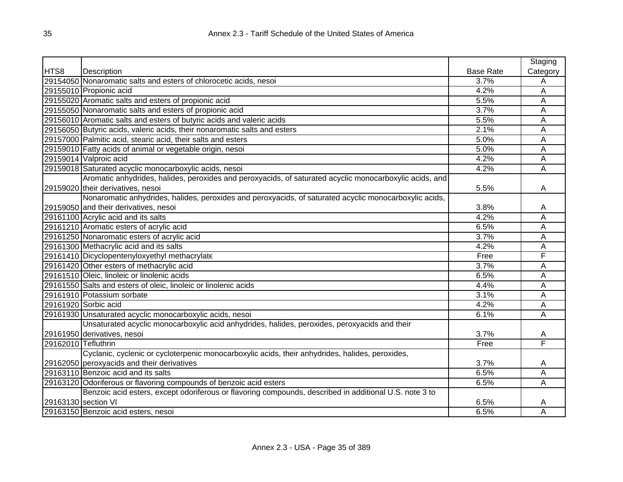|                     |                                                                                                         |                  | Staging  |
|---------------------|---------------------------------------------------------------------------------------------------------|------------------|----------|
| HTS8                | Description                                                                                             | <b>Base Rate</b> | Category |
|                     | 29154050 Nonaromatic salts and esters of chlorocetic acids, nesoi                                       | 3.7%             | Α        |
|                     | 29155010 Propionic acid                                                                                 | 4.2%             | A        |
|                     | 29155020 Aromatic salts and esters of propionic acid                                                    | 5.5%             | A        |
|                     | 29155050 Nonaromatic salts and esters of propionic acid                                                 | 3.7%             | A        |
|                     | 29156010 Aromatic salts and esters of butyric acids and valeric acids                                   | 5.5%             | A        |
|                     | 29156050 Butyric acids, valeric acids, their nonaromatic salts and esters                               | 2.1%             | A        |
|                     | 29157000 Palmitic acid, stearic acid, their salts and esters                                            | 5.0%             | A        |
|                     | 29159010 Fatty acids of animal or vegetable origin, nesoi                                               | 5.0%             | A        |
|                     | 29159014 Valproic acid                                                                                  | 4.2%             | Α        |
|                     | 29159018 Saturated acyclic monocarboxylic acids, nesoi                                                  | 4.2%             | Α        |
|                     | Aromatic anhydrides, halides, peroxides and peroxyacids, of saturated acyclic monocarboxylic acids, and |                  |          |
|                     | 29159020 their derivatives, nesoi                                                                       | 5.5%             | A        |
|                     | Nonaromatic anhydrides, halides, peroxides and peroxyacids, of saturated acyclic monocarboxylic acids,  |                  |          |
|                     | 29159050 and their derivatives, nesoi                                                                   | 3.8%             | A        |
|                     | 29161100 Acrylic acid and its salts                                                                     | 4.2%             | Α        |
|                     | 29161210 Aromatic esters of acrylic acid                                                                | 6.5%             | A        |
|                     | 29161250 Nonaromatic esters of acrylic acid                                                             | 3.7%             | A        |
|                     | 29161300 Methacrylic acid and its salts                                                                 | 4.2%             | Α        |
|                     | 29161410 Dicyclopentenyloxyethyl methacrylate                                                           | Free             | F        |
|                     | 29161420 Other esters of methacrylic acid                                                               | 3.7%             | A        |
|                     | 29161510 Oleic, linoleic or linolenic acids                                                             | 6.5%             | A        |
|                     | 29161550 Salts and esters of oleic, linoleic or linolenic acids                                         | 4.4%             | A        |
|                     | 29161910 Potassium sorbate                                                                              | 3.1%             | A        |
|                     | 29161920 Sorbic acid                                                                                    | 4.2%             | A        |
|                     | 29161930 Unsaturated acyclic monocarboxylic acids, nesoi                                                | 6.1%             | Α        |
|                     | Unsaturated acyclic monocarboxylic acid anhydrides, halides, peroxides, peroxyacids and their           |                  |          |
|                     | 29161950 derivatives, nesoi                                                                             | 3.7%             | A        |
| 29162010 Tefluthrin |                                                                                                         | Free             | F        |
|                     | Cyclanic, cyclenic or cycloterpenic monocarboxylic acids, their anhydrides, halides, peroxides,         |                  |          |
|                     | 29162050 peroxyacids and their derivatives                                                              | 3.7%             | A        |
|                     | 29163110 Benzoic acid and its salts                                                                     | 6.5%             | A        |
|                     | 29163120 Odoriferous or flavoring compounds of benzoic acid esters                                      | 6.5%             | A        |
|                     | Benzoic acid esters, except odoriferous or flavoring compounds, described in additional U.S. note 3 to  |                  |          |
| 29163130 section VI |                                                                                                         | 6.5%             | A        |
|                     | 29163150 Benzoic acid esters, nesoi                                                                     | 6.5%             | Α        |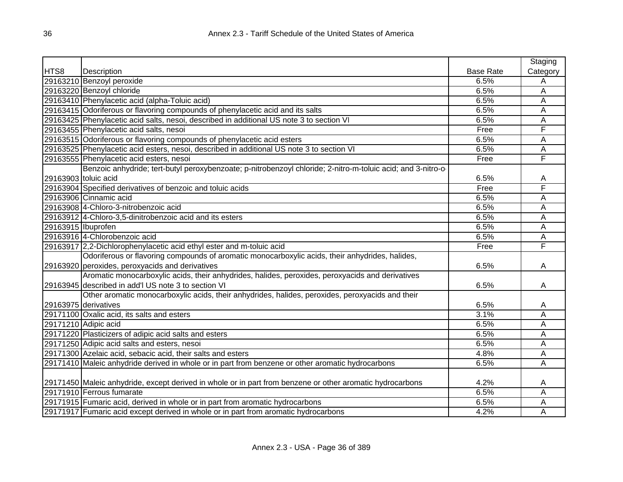|                      |                                                                                                              |                  | Staging  |
|----------------------|--------------------------------------------------------------------------------------------------------------|------------------|----------|
| HTS8                 | Description                                                                                                  | <b>Base Rate</b> | Category |
|                      | 29163210 Benzoyl peroxide                                                                                    | 6.5%             | Α        |
|                      | 29163220 Benzoyl chloride                                                                                    | 6.5%             | A        |
|                      | 29163410 Phenylacetic acid (alpha-Toluic acid)                                                               | 6.5%             | A        |
|                      | 29163415 Odoriferous or flavoring compounds of phenylacetic acid and its salts                               | 6.5%             | Α        |
|                      | 29163425 Phenylacetic acid salts, nesoi, described in additional US note 3 to section VI                     | 6.5%             | Α        |
|                      | 29163455 Phenylacetic acid salts, nesoi                                                                      | Free             | F        |
|                      | 29163515 Odoriferous or flavoring compounds of phenylacetic acid esters                                      | 6.5%             | A        |
|                      | 29163525 Phenylacetic acid esters, nesoi, described in additional US note 3 to section VI                    | 6.5%             | A        |
|                      | 29163555 Phenylacetic acid esters, nesoi                                                                     | Free             | F        |
|                      | Benzoic anhydride; tert-butyl peroxybenzoate; p-nitrobenzoyl chloride; 2-nitro-m-toluic acid; and 3-nitro-o- |                  |          |
| 29163903 toluic acid |                                                                                                              | 6.5%             | Α        |
|                      | 29163904 Specified derivatives of benzoic and toluic acids                                                   | Free             | F        |
|                      | 29163906 Cinnamic acid                                                                                       | 6.5%             | Α        |
|                      | 29163908 4-Chloro-3-nitrobenzoic acid                                                                        | 6.5%             | Α        |
|                      | 29163912 4-Chloro-3,5-dinitrobenzoic acid and its esters                                                     | 6.5%             | A        |
| 29163915 Ibuprofen   |                                                                                                              | 6.5%             | Α        |
|                      | 29163916 4-Chlorobenzoic acid                                                                                | 6.5%             | A        |
|                      | 29163917 2,2-Dichlorophenylacetic acid ethyl ester and m-toluic acid                                         | Free             | F        |
|                      | Odoriferous or flavoring compounds of aromatic monocarboxylic acids, their anhydrides, halides,              |                  |          |
|                      | 29163920 peroxides, peroxyacids and derivatives                                                              | 6.5%             | A        |
|                      | Aromatic monocarboxylic acids, their anhydrides, halides, peroxides, peroxyacids and derivatives             |                  |          |
|                      | 29163945 described in add'l US note 3 to section VI                                                          | 6.5%             | A        |
|                      | Other aromatic monocarboxylic acids, their anhydrides, halides, peroxides, peroxyacids and their             |                  |          |
|                      | 29163975 derivatives                                                                                         | 6.5%             | A        |
|                      | 29171100 Oxalic acid, its salts and esters                                                                   | 3.1%             | Ā        |
|                      | 29171210 Adipic acid                                                                                         | 6.5%             | Ā        |
|                      | 29171220 Plasticizers of adipic acid salts and esters                                                        | 6.5%             | A        |
|                      | 29171250 Adipic acid salts and esters, nesoi                                                                 | 6.5%             | A        |
|                      | 29171300 Azelaic acid, sebacic acid, their salts and esters                                                  | 4.8%             | A        |
|                      | 29171410 Maleic anhydride derived in whole or in part from benzene or other aromatic hydrocarbons            | 6.5%             | Ā        |
|                      |                                                                                                              |                  |          |
|                      | 29171450 Maleic anhydride, except derived in whole or in part from benzene or other aromatic hydrocarbons    | 4.2%             | A        |
|                      | 29171910 Ferrous fumarate                                                                                    | 6.5%             | Α        |
|                      | 29171915 Fumaric acid, derived in whole or in part from aromatic hydrocarbons                                | 6.5%             | Α        |
|                      | 29171917 Fumaric acid except derived in whole or in part from aromatic hydrocarbons                          | 4.2%             | Α        |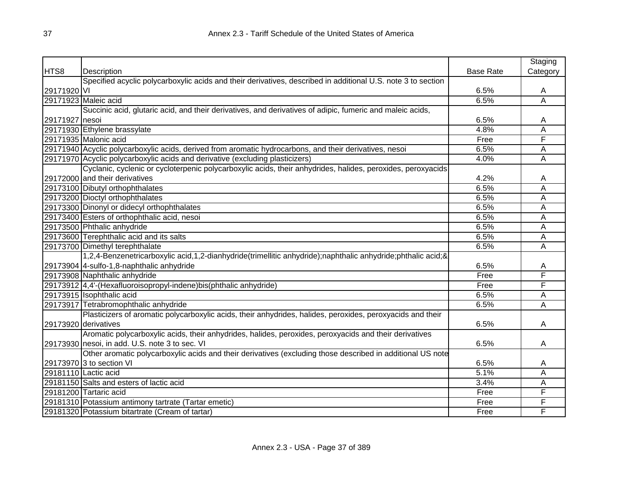|                |                                                                                                              |                  | Staging                 |
|----------------|--------------------------------------------------------------------------------------------------------------|------------------|-------------------------|
| HTS8           | Description                                                                                                  | <b>Base Rate</b> | Category                |
|                | Specified acyclic polycarboxylic acids and their derivatives, described in additional U.S. note 3 to section |                  |                         |
| 29171920 VI    |                                                                                                              | 6.5%             | A                       |
|                | 29171923 Maleic acid                                                                                         | 6.5%             | $\overline{\mathsf{A}}$ |
|                | Succinic acid, glutaric acid, and their derivatives, and derivatives of adipic, fumeric and maleic acids,    |                  |                         |
| 29171927 nesoi |                                                                                                              | 6.5%             | A                       |
|                | 29171930 Ethylene brassylate                                                                                 | 4.8%             | $\overline{\mathsf{A}}$ |
|                | 29171935 Malonic acid                                                                                        | Free             | F                       |
|                | 29171940 Acyclic polycarboxylic acids, derived from aromatic hydrocarbons, and their derivatives, nesoi      | 6.5%             | Α                       |
|                | 29171970 Acyclic polycarboxylic acids and derivative (excluding plasticizers)                                | 4.0%             | Α                       |
|                | Cyclanic, cyclenic or cycloterpenic polycarboxylic acids, their anhydrides, halides, peroxides, peroxyacids  |                  |                         |
|                | 29172000 and their derivatives                                                                               | 4.2%             | Α                       |
|                | 29173100 Dibutyl orthophthalates                                                                             | 6.5%             | A                       |
|                | 29173200 Dioctyl orthophthalates                                                                             | 6.5%             | A                       |
|                | 29173300 Dinonyl or didecyl orthophthalates                                                                  | 6.5%             | A                       |
|                | 29173400 Esters of orthophthalic acid, nesoi                                                                 | 6.5%             | A                       |
|                | 29173500 Phthalic anhydride                                                                                  | 6.5%             | A                       |
|                | 29173600 Terephthalic acid and its salts                                                                     | 6.5%             | A                       |
|                | 29173700 Dimethyl terephthalate                                                                              | 6.5%             | $\overline{\mathsf{A}}$ |
|                | 1,2,4-Benzenetricarboxylic acid,1,2-dianhydride(trimellitic anhydride);naphthalic anhydride;phthalic acid;&  |                  |                         |
|                | 29173904 4-sulfo-1,8-naphthalic anhydride                                                                    | 6.5%             | A                       |
|                | 29173908 Naphthalic anhydride                                                                                | Free             | F                       |
|                | 29173912 4,4'-(Hexafluoroisopropyl-indene)bis(phthalic anhydride)                                            | Free             | F                       |
|                | 29173915 Isophthalic acid                                                                                    | 6.5%             | А                       |
|                | 29173917 Tetrabromophthalic anhydride                                                                        | 6.5%             | Α                       |
|                | Plasticizers of aromatic polycarboxylic acids, their anhydrides, halides, peroxides, peroxyacids and their   |                  |                         |
|                | 29173920 derivatives                                                                                         | 6.5%             | A                       |
|                | Aromatic polycarboxylic acids, their anhydrides, halides, peroxides, peroxyacids and their derivatives       |                  |                         |
|                | 29173930 nesoi, in add. U.S. note 3 to sec. VI                                                               | 6.5%             | Α                       |
|                | Other aromatic polycarboxylic acids and their derivatives (excluding those described in additional US note   |                  |                         |
|                | 29173970 3 to section VI                                                                                     | 6.5%             | A                       |
|                | 29181110 Lactic acid                                                                                         | 5.1%             | Α                       |
|                | 29181150 Salts and esters of lactic acid                                                                     | 3.4%             | Α                       |
|                | 29181200 Tartaric acid                                                                                       | Free             | F                       |
|                | 29181310 Potassium antimony tartrate (Tartar emetic)                                                         | Free             | F                       |
|                | 29181320 Potassium bitartrate (Cream of tartar)                                                              | Free             | F                       |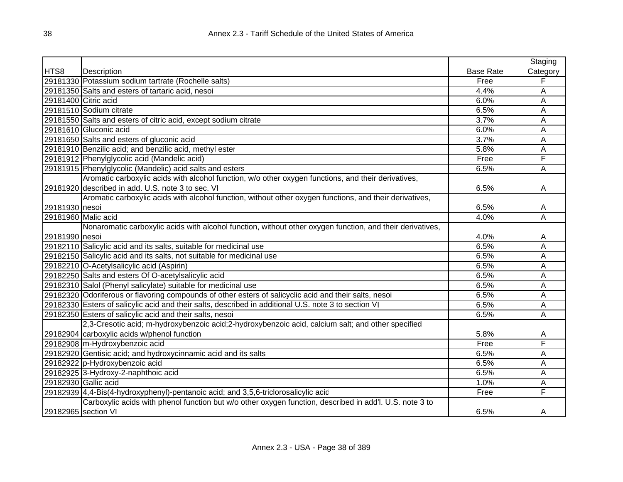|                     |                                                                                                           |                  | Staging  |
|---------------------|-----------------------------------------------------------------------------------------------------------|------------------|----------|
| HTS8                | Description                                                                                               | <b>Base Rate</b> | Category |
|                     | 29181330 Potassium sodium tartrate (Rochelle salts)                                                       | Free             | F        |
|                     | 29181350 Salts and esters of tartaric acid, nesoi                                                         | 4.4%             | A        |
|                     | 29181400 Citric acid                                                                                      | 6.0%             | A        |
|                     | 29181510 Sodium citrate                                                                                   | 6.5%             | A        |
|                     | 29181550 Salts and esters of citric acid, except sodium citrate                                           | 3.7%             | A        |
|                     | 29181610 Gluconic acid                                                                                    | 6.0%             | A        |
|                     | 29181650 Salts and esters of gluconic acid                                                                | 3.7%             | A        |
|                     | 29181910 Benzilic acid; and benzilic acid, methyl ester                                                   | 5.8%             | A        |
|                     | 29181912 Phenylglycolic acid (Mandelic acid)                                                              | Free             | F        |
|                     | 29181915 Phenylglycolic (Mandelic) acid salts and esters                                                  | 6.5%             | A        |
|                     | Aromatic carboxylic acids with alcohol function, w/o other oxygen functions, and their derivatives,       |                  |          |
|                     | 29181920 described in add. U.S. note 3 to sec. VI                                                         | 6.5%             | A        |
|                     | Aromatic carboxylic acids with alcohol function, without other oxygen functions, and their derivatives,   |                  |          |
| 29181930 nesoi      |                                                                                                           | 6.5%             | A        |
|                     | 29181960 Malic acid                                                                                       | 4.0%             | Α        |
|                     | Nonaromatic carboxylic acids with alcohol function, without other oxygen function, and their derivatives, |                  |          |
| 29181990 nesoi      |                                                                                                           | 4.0%             | A        |
|                     | 29182110 Salicylic acid and its salts, suitable for medicinal use                                         | 6.5%             | A        |
|                     | 29182150 Salicylic acid and its salts, not suitable for medicinal use                                     | 6.5%             | A        |
|                     | 29182210 O-Acetylsalicylic acid (Aspirin)                                                                 | 6.5%             | Α        |
|                     | 29182250 Salts and esters Of O-acetylsalicylic acid                                                       | 6.5%             | A        |
|                     | 29182310 Salol (Phenyl salicylate) suitable for medicinal use                                             | 6.5%             | Α        |
|                     | 29182320 Odoriferous or flavoring compounds of other esters of salicyclic acid and their salts, nesoi     | 6.5%             | A        |
|                     | 29182330 Esters of salicylic acid and their salts, described in additional U.S. note 3 to section VI      | 6.5%             | A        |
|                     | 29182350 Esters of salicylic acid and their salts, nesoi                                                  | 6.5%             | A        |
|                     | 2,3-Cresotic acid; m-hydroxybenzoic acid;2-hydroxybenzoic acid, calcium salt; and other specified         |                  |          |
|                     | 29182904 carboxylic acids w/phenol function                                                               | 5.8%             | A        |
|                     | 29182908 m-Hydroxybenzoic acid                                                                            | Free             | F        |
|                     | 29182920 Gentisic acid; and hydroxycinnamic acid and its salts                                            | 6.5%             | A        |
|                     | 29182922 p-Hydroxybenzoic acid                                                                            | 6.5%             | Α        |
|                     | 29182925 3-Hydroxy-2-naphthoic acid                                                                       | 6.5%             | A        |
|                     | 29182930 Gallic acid                                                                                      | 1.0%             | A        |
|                     | 29182939 4,4-Bis(4-hydroxyphenyl)-pentanoic acid; and 3,5,6-triclorosalicylic acid                        | Free             | F        |
|                     | Carboxylic acids with phenol function but w/o other oxygen function, described in add'l. U.S. note 3 to   |                  |          |
| 29182965 section VI |                                                                                                           | 6.5%             | A        |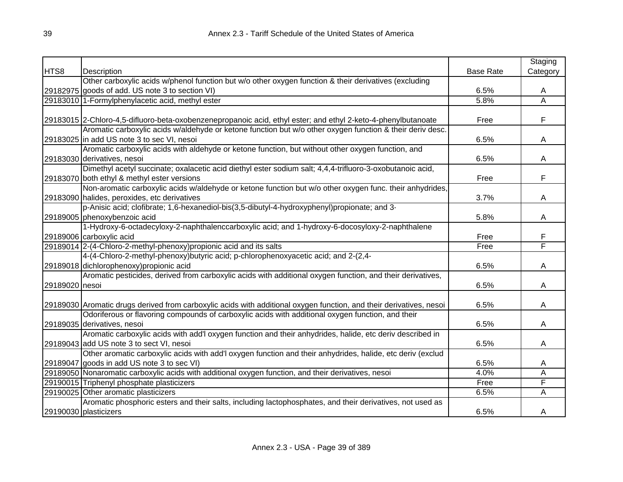|                |                                                                                                                     |                  | Staging  |
|----------------|---------------------------------------------------------------------------------------------------------------------|------------------|----------|
| HTS8           | Description                                                                                                         | <b>Base Rate</b> | Category |
|                | Other carboxylic acids w/phenol function but w/o other oxygen function & their derivatives (excluding               |                  |          |
|                | 29182975 goods of add. US note 3 to section VI)                                                                     | 6.5%             | A        |
|                | 29183010 1-Formylphenylacetic acid, methyl ester                                                                    | 5.8%             | A        |
|                |                                                                                                                     |                  |          |
|                | 29183015 2-Chloro-4,5-difluoro-beta-oxobenzenepropanoic acid, ethyl ester; and ethyl 2-keto-4-phenylbutanoate       | Free             | F        |
|                | Aromatic carboxylic acids w/aldehyde or ketone function but w/o other oxygen function & their deriv desc.           |                  |          |
|                | 29183025 in add US note 3 to sec VI, nesoi                                                                          | 6.5%             | A        |
|                | Aromatic carboxylic acids with aldehyde or ketone function, but without other oxygen function, and                  |                  |          |
|                | 29183030 derivatives, nesoi                                                                                         | 6.5%             | A        |
|                | Dimethyl acetyl succinate; oxalacetic acid diethyl ester sodium salt; 4,4,4-trifluoro-3-oxobutanoic acid,           |                  |          |
|                | 29183070 both ethyl & methyl ester versions                                                                         | Free             | F        |
|                | Non-aromatic carboxylic acids w/aldehyde or ketone function but w/o other oxygen func. their anhydrides,            |                  |          |
|                | 29183090 halides, peroxides, etc derivatives                                                                        | 3.7%             | A        |
|                | p-Anisic acid; clofibrate; 1,6-hexanediol-bis(3,5-dibutyl-4-hydroxyphenyl)propionate; and 3-                        |                  |          |
|                | 29189005 phenoxybenzoic acid                                                                                        | 5.8%             | Α        |
|                | 1-Hydroxy-6-octadecyloxy-2-naphthalenccarboxylic acid; and 1-hydroxy-6-docosyloxy-2-naphthalene                     |                  |          |
|                | 29189006 carboxylic acid                                                                                            | Free             | F        |
|                | 29189014 2-(4-Chloro-2-methyl-phenoxy) propionic acid and its salts                                                 | Free             | F        |
|                | 4-(4-Chloro-2-methyl-phenoxy)butyric acid; p-chlorophenoxyacetic acid; and 2-(2,4-                                  |                  |          |
|                | 29189018 dichlorophenoxy) propionic acid                                                                            | 6.5%             | A        |
|                | Aromatic pesticides, derived from carboxylic acids with additional oxygen function, and their derivatives,          |                  |          |
| 29189020 nesoi |                                                                                                                     | 6.5%             | Α        |
|                |                                                                                                                     |                  |          |
|                | 29189030 Aromatic drugs derived from carboxylic acids with additional oxygen function, and their derivatives, nesoi | 6.5%             | A        |
|                | Odoriferous or flavoring compounds of carboxylic acids with additional oxygen function, and their                   |                  |          |
|                | 29189035 derivatives, nesoi                                                                                         | 6.5%             | A        |
|                | Aromatic carboxylic acids with add'l oxygen function and their anhydrides, halide, etc deriv described in           |                  |          |
|                | 29189043 add US note 3 to sect VI, nesoi                                                                            | 6.5%             | A        |
|                | Other aromatic carboxylic acids with add'l oxygen function and their anhydrides, halide, etc deriv (exclud          |                  |          |
|                | 29189047 goods in add US note 3 to sec VI)                                                                          | 6.5%             | A        |
|                | 29189050 Nonaromatic carboxylic acids with additional oxygen function, and their derivatives, nesoi                 | 4.0%             | Α        |
|                | 29190015 Triphenyl phosphate plasticizers                                                                           | Free             | F        |
|                | 29190025 Other aromatic plasticizers                                                                                | 6.5%             | A        |
|                | Aromatic phosphoric esters and their salts, including lactophosphates, and their derivatives, not used as           |                  |          |
|                | 29190030 plasticizers                                                                                               | 6.5%             | A        |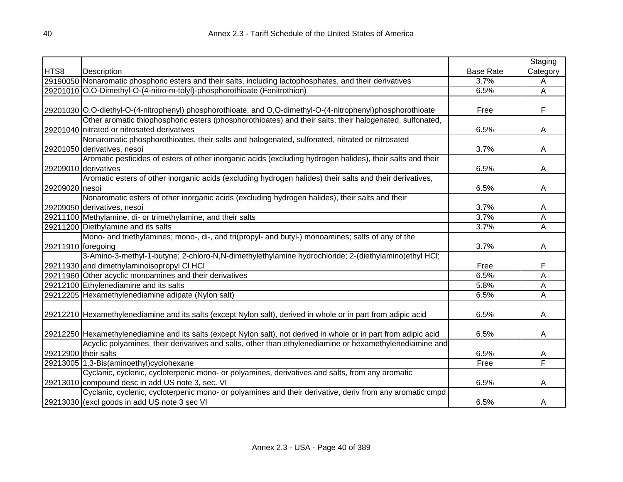|                      |                                                                                                                   |                  | Staging                 |
|----------------------|-------------------------------------------------------------------------------------------------------------------|------------------|-------------------------|
| HTS8                 | Description                                                                                                       | <b>Base Rate</b> | Category                |
|                      | 29190050 Nonaromatic phosphoric esters and their salts, including lactophosphates, and their derivatives          | 3.7%             | A                       |
|                      | 29201010 O,O-Dimethyl-O-(4-nitro-m-tolyl)-phosphorothioate (Fenitrothion)                                         | 6.5%             | A                       |
|                      |                                                                                                                   |                  |                         |
|                      | 29201030 O,O-diethyl-O-(4-nitrophenyl) phosphorothioate; and O,O-dimethyl-O-(4-nitrophenyl)phosphorothioate       | Free             | F                       |
|                      | Other aromatic thiophosphoric esters (phosphorothioates) and their salts; their halogenated, sulfonated,          |                  |                         |
|                      | 29201040 nitrated or nitrosated derivatives                                                                       | 6.5%             | A                       |
|                      | Nonaromatic phosphorothioates, their salts and halogenated, sulfonated, nitrated or nitrosated                    |                  |                         |
|                      | 29201050 derivatives, nesoi                                                                                       | 3.7%             | A                       |
|                      | Aromatic pesticides of esters of other inorganic acids (excluding hydrogen halides), their salts and their        |                  |                         |
|                      | 29209010 derivatives                                                                                              | 6.5%             | A                       |
|                      | Aromatic esters of other inorganic acids (excluding hydrogen halides) their salts and their derivatives,          |                  |                         |
| 29209020 nesoi       |                                                                                                                   | 6.5%             | Α                       |
|                      | Nonaromatic esters of other inorganic acids (excluding hydrogen halides), their salts and their                   |                  |                         |
|                      | 29209050 derivatives, nesoi                                                                                       | 3.7%             | A                       |
|                      | 29211100 Methylamine, di- or trimethylamine, and their salts                                                      | 3.7%             | A                       |
|                      | 29211200 Diethylamine and its salts                                                                               | 3.7%             | Α                       |
|                      | Mono- and triethylamines; mono-, di-, and tri(propyl- and butyl-) monoamines; salts of any of the                 |                  |                         |
| 29211910 foregoing   |                                                                                                                   | 3.7%             | A                       |
|                      | 3-Amino-3-methyl-1-butyne; 2-chloro-N,N-dimethylethylamine hydrochloride; 2-(diethylamino)ethyl HCl;              |                  |                         |
|                      | 29211930 and dimethylaminoisopropyl CI HCI                                                                        | Free             | F                       |
|                      | 29211960 Other acyclic monoamines and their derivatives                                                           | 6.5%             | Α                       |
|                      | 29212100 Ethylenediamine and its salts                                                                            | 5.8%             | Α                       |
|                      | 29212205 Hexamethylenediamine adipate (Nylon salt)                                                                | 6.5%             | $\overline{\mathsf{A}}$ |
|                      |                                                                                                                   |                  |                         |
|                      | 29212210 Hexamethylenediamine and its salts (except Nylon salt), derived in whole or in part from adipic acid     | 6.5%             | Α                       |
|                      |                                                                                                                   |                  |                         |
|                      | 29212250 Hexamethylenediamine and its salts (except Nylon salt), not derived in whole or in part from adipic acid | 6.5%             | A                       |
|                      | Acyclic polyamines, their derivatives and salts, other than ethylenediamine or hexamethylenediamine and           |                  |                         |
| 29212900 their salts |                                                                                                                   | 6.5%             | A                       |
|                      | 29213005 1,3-Bis(aminoethyl)cyclohexane                                                                           | Free             | F                       |
|                      | Cyclanic, cyclenic, cycloterpenic mono- or polyamines, derivatives and salts, from any aromatic                   |                  |                         |
|                      | 29213010 compound desc in add US note 3, sec. VI                                                                  | 6.5%             | A                       |
|                      | Cyclanic, cyclenic, cycloterpenic mono- or polyamines and their derivative, deriv from any aromatic cmpd          |                  |                         |
|                      | 29213030 (excl goods in add US note 3 sec VI                                                                      | 6.5%             | Α                       |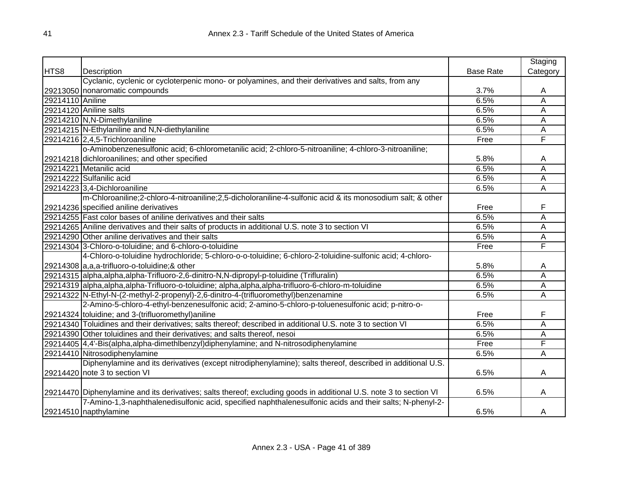|                  |                                                                                                                    |                  | Staging  |
|------------------|--------------------------------------------------------------------------------------------------------------------|------------------|----------|
| HTS8             | Description                                                                                                        | <b>Base Rate</b> | Category |
|                  | Cyclanic, cyclenic or cycloterpenic mono- or polyamines, and their derivatives and salts, from any                 |                  |          |
|                  | 29213050 nonaromatic compounds                                                                                     | 3.7%             | A        |
| 29214110 Aniline |                                                                                                                    | 6.5%             | A        |
|                  | 29214120 Aniline salts                                                                                             | 6.5%             | A        |
|                  | 29214210 N,N-Dimethylaniline                                                                                       | 6.5%             | A        |
|                  | 29214215 N-Ethylaniline and N,N-diethylaniline                                                                     | 6.5%             | A        |
|                  | 29214216 2,4,5-Trichloroaniline                                                                                    | Free             | F        |
|                  | o-Aminobenzenesulfonic acid; 6-chlorometanilic acid; 2-chloro-5-nitroaniline; 4-chloro-3-nitroaniline;             |                  |          |
|                  | 29214218 dichloroanilines; and other specified                                                                     | 5.8%             | Α        |
|                  | 29214221 Metanilic acid                                                                                            | 6.5%             | A        |
|                  | 29214222 Sulfanilic acid                                                                                           | 6.5%             | A        |
|                  | 29214223 3,4-Dichloroaniline                                                                                       | 6.5%             | Α        |
|                  | m-Chloroaniline;2-chloro-4-nitroaniline;2,5-dicholoraniline-4-sulfonic acid & its monosodium salt; & other         |                  |          |
|                  | 29214236 specified aniline derivatives                                                                             | Free             | F        |
|                  | 29214255 Fast color bases of aniline derivatives and their salts                                                   | 6.5%             | A        |
|                  | 29214265 Aniline derivatives and their salts of products in additional U.S. note 3 to section VI                   | 6.5%             | A        |
|                  | 29214290 Other aniline derivatives and their salts                                                                 | 6.5%             | A        |
|                  | 29214304 3-Chloro-o-toluidine; and 6-chloro-o-toluidine                                                            | Free             | F        |
|                  | 4-Chloro-o-toluidine hydrochloride; 5-chloro-o-o-toluidine; 6-chloro-2-toluidine-sulfonic acid; 4-chloro-          |                  |          |
|                  | 29214308 a,a,a-trifluoro-o-toluidine;& other                                                                       | 5.8%             | A        |
|                  | 29214315 alpha, alpha, alpha-Trifluoro-2, 6-dinitro-N, N-dipropyl-p-toluidine (Trifluralin)                        | 6.5%             | A        |
|                  | 29214319 alpha, alpha, alpha-Trifluoro-o-toluidine; alpha, alpha, alpha-trifluoro-6-chloro-m-toluidine             | 6.5%             | A        |
|                  | 29214322 N-Ethyl-N-(2-methyl-2-propenyl)-2,6-dinitro-4-(trifluoromethyl)benzenamine                                | 6.5%             | A        |
|                  | 2-Amino-5-chloro-4-ethyl-benzenesulfonic acid; 2-amino-5-chloro-p-toluenesulfonic acid; p-nitro-o-                 |                  |          |
|                  | 29214324 toluidine; and 3-(trifluoromethyl) aniline                                                                | Free             | F        |
|                  | 29214340 Toluidines and their derivatives; salts thereof; described in additional U.S. note 3 to section VI        | 6.5%             | A        |
|                  | 29214390 Other toluidines and their derivatives; and salts thereof, nesoi                                          | 6.5%             | A        |
|                  | 29214405 4,4'-Bis(alpha,alpha-dimethlbenzyl)diphenylamine; and N-nitrosodiphenylamine                              | Free             | F        |
|                  | 29214410 Nitrosodiphenylamine                                                                                      | 6.5%             | A        |
|                  | Diphenylamine and its derivatives (except nitrodiphenylamine); salts thereof, described in additional U.S.         |                  |          |
|                  | 29214420 note 3 to section VI                                                                                      | 6.5%             | A        |
|                  |                                                                                                                    |                  |          |
|                  | 29214470 Diphenylamine and its derivatives; salts thereof; excluding goods in additional U.S. note 3 to section VI | 6.5%             | Α        |
|                  | 7-Amino-1,3-naphthalenedisulfonic acid, specified naphthalenesulfonic acids and their salts; N-phenyl-2-           |                  |          |
|                  | 29214510 napthylamine                                                                                              | 6.5%             | Α        |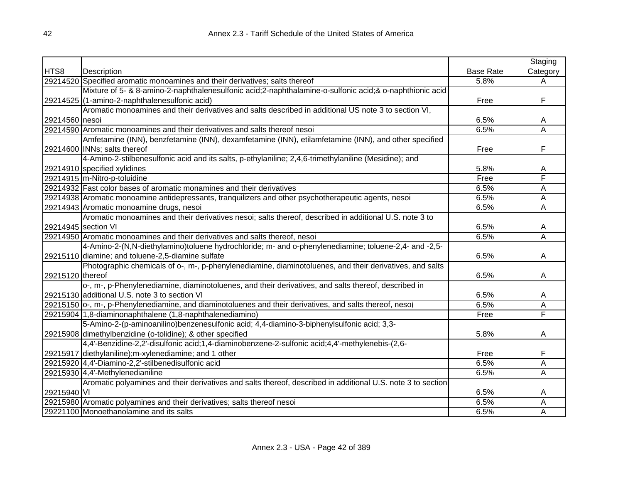|                  |                                                                                                             |                  | Staging                 |
|------------------|-------------------------------------------------------------------------------------------------------------|------------------|-------------------------|
| HTS8             | Description                                                                                                 | <b>Base Rate</b> | Category                |
|                  | 29214520 Specified aromatic monoamines and their derivatives; salts thereof                                 | 5.8%             | A                       |
|                  | Mixture of 5- & 8-amino-2-naphthalenesulfonic acid;2-naphthalamine-o-sulfonic acid;& o-naphthionic acid     |                  |                         |
|                  | 29214525 (1-amino-2-naphthalenesulfonic acid)                                                               | Free             | F                       |
|                  | Aromatic monoamines and their derivatives and salts described in additional US note 3 to section VI,        |                  |                         |
| 29214560 nesoi   |                                                                                                             | 6.5%             | A                       |
|                  | 29214590 Aromatic monoamines and their derivatives and salts thereof nesoi                                  | 6.5%             | Ā                       |
|                  | Amfetamine (INN), benzfetamine (INN), dexamfetamine (INN), etilamfetamine (INN), and other specified        |                  |                         |
|                  | 29214600 INNs; salts thereof                                                                                | Free             | F                       |
|                  | 4-Amino-2-stilbenesulfonic acid and its salts, p-ethylaniline; 2,4,6-trimethylaniline (Mesidine); and       |                  |                         |
|                  | 29214910 specified xylidines                                                                                | 5.8%             | A                       |
|                  | 29214915 m-Nitro-p-toluidine                                                                                | Free             | F                       |
|                  | 29214932 Fast color bases of aromatic monamines and their derivatives                                       | 6.5%             | A                       |
|                  | 29214938 Aromatic monoamine antidepressants, tranquilizers and other psychotherapeutic agents, nesoi        | 6.5%             | Ā                       |
|                  | 29214943 Aromatic monoamine drugs, nesoi                                                                    | 6.5%             | $\overline{\mathsf{A}}$ |
|                  | Aromatic monoamines and their derivatives nesoi; salts thereof, described in additional U.S. note 3 to      |                  |                         |
|                  | 29214945 section VI                                                                                         | 6.5%             | A                       |
|                  | 29214950 Aromatic monoamines and their derivatives and salts thereof, nesoi                                 | 6.5%             | $\overline{\mathsf{A}}$ |
|                  | 4-Amino-2-(N,N-diethylamino)toluene hydrochloride; m- and o-phenylenediamine; toluene-2,4- and -2,5-        |                  |                         |
|                  | 29215110 diamine; and toluene-2,5-diamine sulfate                                                           | 6.5%             | A                       |
|                  | Photographic chemicals of o-, m-, p-phenylenediamine, diaminotoluenes, and their derivatives, and salts     |                  |                         |
| 29215120 thereof |                                                                                                             | 6.5%             | A                       |
|                  | o-, m-, p-Phenylenediamine, diaminotoluenes, and their derivatives, and salts thereof, described in         |                  |                         |
|                  | 29215130 additional U.S. note 3 to section VI                                                               | 6.5%             | A                       |
|                  | 29215150 o-, m-, p-Phenylenediamine, and diaminotoluenes and their derivatives, and salts thereof, nesoi    | 6.5%             | Ā                       |
|                  | 29215904 1,8-diaminonaphthalene (1,8-naphthalenediamino)                                                    | Free             | F                       |
|                  | 5-Amino-2-(p-aminoanilino)benzenesulfonic acid; 4,4-diamino-3-biphenylsulfonic acid; 3,3-                   |                  |                         |
|                  | 29215908 dimethylbenzidine (o-tolidine); & other specified                                                  | 5.8%             | A                       |
|                  | 4,4'-Benzidine-2,2'-disulfonic acid;1,4-diaminobenzene-2-sulfonic acid;4,4'-methylenebis-(2,6-              |                  |                         |
|                  | 29215917 diethylaniline); m-xylenediamine; and 1 other                                                      | Free             | F                       |
|                  | 29215920 4,4'-Diamino-2,2'-stilbenedisulfonic acid                                                          | 6.5%             | Α                       |
|                  | 29215930 4,4'-Methylenedianiline                                                                            | 6.5%             | Α                       |
|                  | Aromatic polyamines and their derivatives and salts thereof, described in additional U.S. note 3 to section |                  |                         |
| 29215940 VI      |                                                                                                             | 6.5%             | A                       |
|                  | 29215980 Aromatic polyamines and their derivatives; salts thereof nesoi                                     | 6.5%             | Α                       |
|                  | 29221100 Monoethanolamine and its salts                                                                     | 6.5%             | Α                       |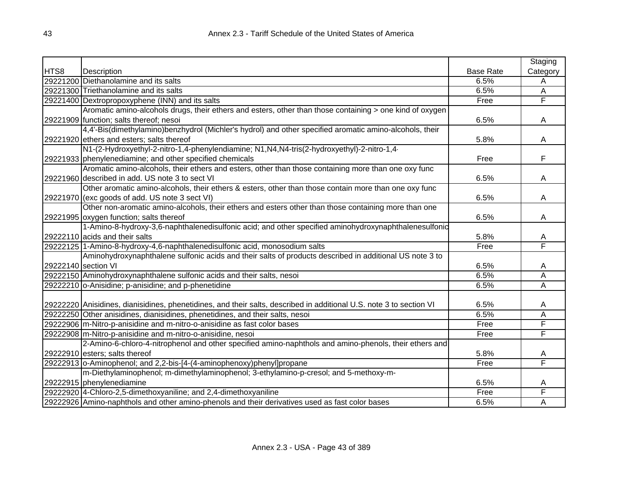|      |                                                                                                                     |                  | Staging  |
|------|---------------------------------------------------------------------------------------------------------------------|------------------|----------|
| HTS8 | Description                                                                                                         | <b>Base Rate</b> | Category |
|      | 29221200 Diethanolamine and its salts                                                                               | 6.5%             | Α        |
|      | 29221300 Triethanolamine and its salts                                                                              | 6.5%             | Α        |
|      | 29221400 Dextropropoxyphene (INN) and its salts                                                                     | Free             | F        |
|      | Aromatic amino-alcohols drugs, their ethers and esters, other than those containing > one kind of oxygen            |                  |          |
|      | 29221909 function; salts thereof; nesoi                                                                             | 6.5%             | A        |
|      | 4,4'-Bis(dimethylamino)benzhydrol (Michler's hydrol) and other specified aromatic amino-alcohols, their             |                  |          |
|      | 29221920 ethers and esters; salts thereof                                                                           | 5.8%             | A        |
|      | N1-(2-Hydroxyethyl-2-nitro-1,4-phenylendiamine; N1,N4,N4-tris(2-hydroxyethyl)-2-nitro-1,4-                          |                  |          |
|      | 29221933 phenylenediamine; and other specified chemicals                                                            | Free             | F        |
|      | Aromatic amino-alcohols, their ethers and esters, other than those containing more than one oxy func                |                  |          |
|      | 29221960 described in add. US note 3 to sect VI                                                                     | 6.5%             | A        |
|      | Other aromatic amino-alcohols, their ethers & esters, other than those contain more than one oxy func               |                  |          |
|      | 29221970 (exc goods of add. US note 3 sect VI)                                                                      | 6.5%             | Α        |
|      | Other non-aromatic amino-alcohols, their ethers and esters other than those containing more than one                |                  |          |
|      | 29221995 oxygen function; salts thereof                                                                             | 6.5%             | Α        |
|      | 1-Amino-8-hydroxy-3,6-naphthalenedisulfonic acid; and other specified aminohydroxynaphthalenesulfonid               |                  |          |
|      | 29222110 acids and their salts                                                                                      | 5.8%             | A        |
|      | 29222125 1-Amino-8-hydroxy-4,6-naphthalenedisulfonic acid, monosodium salts                                         | Free             | F        |
|      | Aminohydroxynaphthalene sulfonic acids and their salts of products described in additional US note 3 to             |                  |          |
|      | 29222140 section VI                                                                                                 | 6.5%             | A        |
|      | 29222150 Aminohydroxynaphthalene sulfonic acids and their salts, nesoi                                              | 6.5%             | A        |
|      | 29222210 o-Anisidine; p-anisidine; and p-phenetidine                                                                | 6.5%             | A        |
|      |                                                                                                                     |                  |          |
|      | 29222220 Anisidines, dianisidines, phenetidines, and their salts, described in additional U.S. note 3 to section VI | 6.5%             | A        |
|      | 29222250 Other anisidines, dianisidines, phenetidines, and their salts, nesoi                                       | 6.5%             | A        |
|      | 29222906 m-Nitro-p-anisidine and m-nitro-o-anisidine as fast color bases                                            | Free             | F        |
|      | 29222908 m-Nitro-p-anisidine and m-nitro-o-anisidine, nesoi                                                         | Free             | F        |
|      | 2-Amino-6-chloro-4-nitrophenol and other specified amino-naphthols and amino-phenols, their ethers and              |                  |          |
|      | 29222910 esters; salts thereof                                                                                      | 5.8%             | A        |
|      | 29222913 o-Aminophenol; and 2,2-bis-[4-(4-aminophenoxy) phenyl] propane                                             | Free             | F        |
|      | m-Diethylaminophenol; m-dimethylaminophenol; 3-ethylamino-p-cresol; and 5-methoxy-m-                                |                  |          |
|      | 29222915 phenylenediamine                                                                                           | 6.5%             | A        |
|      | 29222920 4-Chloro-2,5-dimethoxyaniline; and 2,4-dimethoxyaniline                                                    | Free             | F        |
|      | 29222926 Amino-naphthols and other amino-phenols and their derivatives used as fast color bases                     | 6.5%             | A        |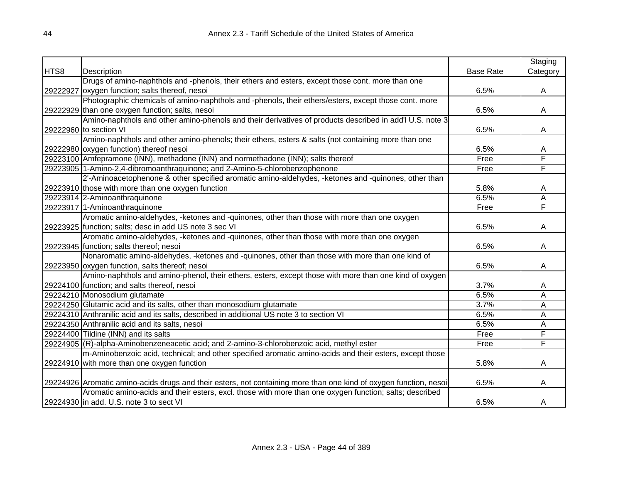|      |                                                                                                                   |                  | Staging  |
|------|-------------------------------------------------------------------------------------------------------------------|------------------|----------|
| HTS8 | Description                                                                                                       | <b>Base Rate</b> | Category |
|      | Drugs of amino-naphthols and -phenols, their ethers and esters, except those cont. more than one                  |                  |          |
|      | 29222927 oxygen function; salts thereof, nesoi                                                                    | 6.5%             | A        |
|      | Photographic chemicals of amino-naphthols and -phenols, their ethers/esters, except those cont. more              |                  |          |
|      | 29222929 than one oxygen function; salts, nesoi                                                                   | 6.5%             | A        |
|      | Amino-naphthols and other amino-phenols and their derivatives of products described in add'l U.S. note 3          |                  |          |
|      | 29222960 to section VI                                                                                            | 6.5%             | A        |
|      | Amino-naphthols and other amino-phenols; their ethers, esters & salts (not containing more than one               |                  |          |
|      | 29222980 oxygen function) thereof nesoi                                                                           | 6.5%             | A        |
|      | 29223100 Amfepramone (INN), methadone (INN) and normethadone (INN); salts thereof                                 | Free             | F        |
|      | 29223905 1-Amino-2,4-dibromoanthraquinone; and 2-Amino-5-chlorobenzophenone                                       | Free             | F        |
|      | 2'-Aminoacetophenone & other specified aromatic amino-aldehydes, -ketones and -quinones, other than               |                  |          |
|      | 29223910 those with more than one oxygen function                                                                 | 5.8%             | A        |
|      | 29223914 2-Aminoanthraquinone                                                                                     | 6.5%             | Α        |
|      | 29223917 1-Aminoanthraquinone                                                                                     | Free             | F        |
|      | Aromatic amino-aldehydes, -ketones and -quinones, other than those with more than one oxygen                      |                  |          |
|      | 29223925 function; salts; desc in add US note 3 sec VI                                                            | 6.5%             | A        |
|      | Aromatic amino-aldehydes, -ketones and -quinones, other than those with more than one oxygen                      |                  |          |
|      | 29223945 function; salts thereof; nesoi                                                                           | 6.5%             | A        |
|      | Nonaromatic amino-aldehydes, -ketones and -quinones, other than those with more than one kind of                  |                  |          |
|      | 29223950 oxygen function, salts thereof; nesoi                                                                    | 6.5%             | A        |
|      | Amino-naphthols and amino-phenol, their ethers, esters, except those with more than one kind of oxygen            |                  |          |
|      | 29224100 function; and salts thereof, nesoi                                                                       | 3.7%             | A        |
|      | 29224210 Monosodium glutamate                                                                                     | 6.5%             | Α        |
|      | 29224250 Glutamic acid and its salts, other than monosodium glutamate                                             | 3.7%             | A        |
|      | 29224310 Anthranilic acid and its salts, described in additional US note 3 to section VI                          | 6.5%             | A        |
|      | 29224350 Anthranilic acid and its salts, nesoi                                                                    | 6.5%             | A        |
|      | 29224400 Tildine (INN) and its salts                                                                              | Free             | F        |
|      | 29224905 (R)-alpha-Aminobenzeneacetic acid; and 2-amino-3-chlorobenzoic acid, methyl ester                        | Free             | F        |
|      | m-Aminobenzoic acid, technical; and other specified aromatic amino-acids and their esters, except those           |                  |          |
|      | 29224910 with more than one oxygen function                                                                       | 5.8%             | A        |
|      |                                                                                                                   |                  |          |
|      | 29224926 Aromatic amino-acids drugs and their esters, not containing more than one kind of oxygen function, nesoi | 6.5%             | A        |
|      | Aromatic amino-acids and their esters, excl. those with more than one oxygen function; salts; described           |                  |          |
|      | 29224930 in add. U.S. note 3 to sect VI                                                                           | 6.5%             | A        |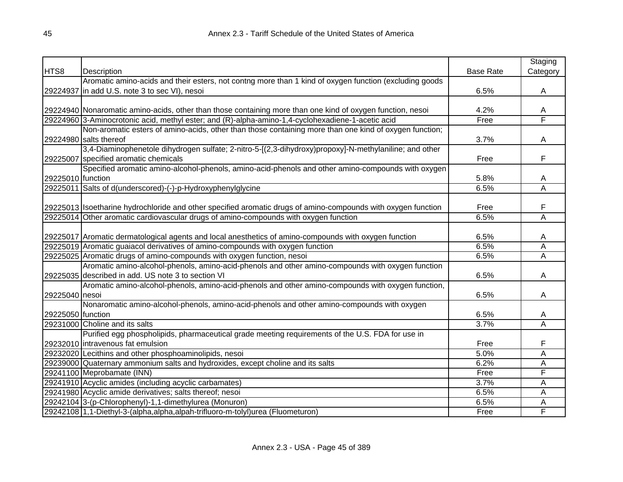|                   |                                                                                                               |                  | Staging  |
|-------------------|---------------------------------------------------------------------------------------------------------------|------------------|----------|
| HTS8              | Description                                                                                                   | <b>Base Rate</b> | Category |
|                   | Aromatic amino-acids and their esters, not contng more than 1 kind of oxygen function (excluding goods        |                  |          |
|                   | 29224937 in add U.S. note 3 to sec VI), nesoi                                                                 | 6.5%             | A        |
|                   |                                                                                                               |                  |          |
|                   | 29224940 Nonaromatic amino-acids, other than those containing more than one kind of oxygen function, nesoi    | 4.2%             | Α        |
|                   | 29224960 3-Aminocrotonic acid, methyl ester; and (R)-alpha-amino-1,4-cyclohexadiene-1-acetic acid             | Free             | F        |
|                   | Non-aromatic esters of amino-acids, other than those containing more than one kind of oxygen function;        |                  |          |
|                   | 29224980 salts thereof                                                                                        | 3.7%             | A        |
|                   | 3,4-Diaminophenetole dihydrogen sulfate; 2-nitro-5-[(2,3-dihydroxy)propoxy]-N-methylaniline; and other        |                  |          |
|                   | 29225007 specified aromatic chemicals                                                                         | Free             | F        |
|                   | Specified aromatic amino-alcohol-phenols, amino-acid-phenols and other amino-compounds with oxygen            |                  |          |
| 29225010 function |                                                                                                               | 5.8%             | A        |
|                   | 29225011 Salts of d(underscored)-(-)-p-Hydroxyphenylglycine                                                   | 6.5%             | A        |
|                   |                                                                                                               |                  |          |
|                   | 29225013 Isoetharine hydrochloride and other specified aromatic drugs of amino-compounds with oxygen function | Free             | F        |
|                   | 29225014 Other aromatic cardiovascular drugs of amino-compounds with oxygen function                          | 6.5%             | A        |
|                   |                                                                                                               |                  |          |
|                   | 29225017 Aromatic dermatological agents and local anesthetics of amino-compounds with oxygen function         | 6.5%             | A        |
|                   | 29225019 Aromatic guaiacol derivatives of amino-compounds with oxygen function                                | 6.5%             | A        |
|                   | 29225025 Aromatic drugs of amino-compounds with oxygen function, nesoi                                        | 6.5%             | A        |
|                   | Aromatic amino-alcohol-phenols, amino-acid-phenols and other amino-compounds with oxygen function             |                  |          |
|                   | 29225035 described in add. US note 3 to section VI                                                            | 6.5%             | A        |
|                   | Aromatic amino-alcohol-phenols, amino-acid-phenols and other amino-compounds with oxygen function,            |                  |          |
| 29225040 nesoi    |                                                                                                               | 6.5%             | A        |
|                   | Nonaromatic amino-alcohol-phenols, amino-acid-phenols and other amino-compounds with oxygen                   |                  |          |
| 29225050 function |                                                                                                               | 6.5%             | A        |
|                   | 29231000 Choline and its salts                                                                                | 3.7%             | A        |
|                   | Purified egg phospholipids, pharmaceutical grade meeting requirements of the U.S. FDA for use in              |                  |          |
|                   | 29232010 intravenous fat emulsion                                                                             | Free             | F        |
|                   | 29232020 Lecithins and other phosphoaminolipids, nesoi                                                        | 5.0%             | A        |
|                   | 29239000 Quaternary ammonium salts and hydroxides, except choline and its salts                               | 6.2%             | A        |
|                   | 29241100 Meprobamate (INN)                                                                                    | Free             | F        |
|                   | 29241910 Acyclic amides (including acyclic carbamates)                                                        | 3.7%             | Α        |
|                   | 29241980 Acyclic amide derivatives; salts thereof; nesoi                                                      | 6.5%             | A        |
|                   | 29242104 3-(p-Chlorophenyl)-1,1-dimethylurea (Monuron)                                                        | 6.5%             | A        |
|                   | 29242108 1,1-Diethyl-3-(alpha,alpha,alpah-trifluoro-m-tolyl)urea (Fluometuron)                                | Free             | F        |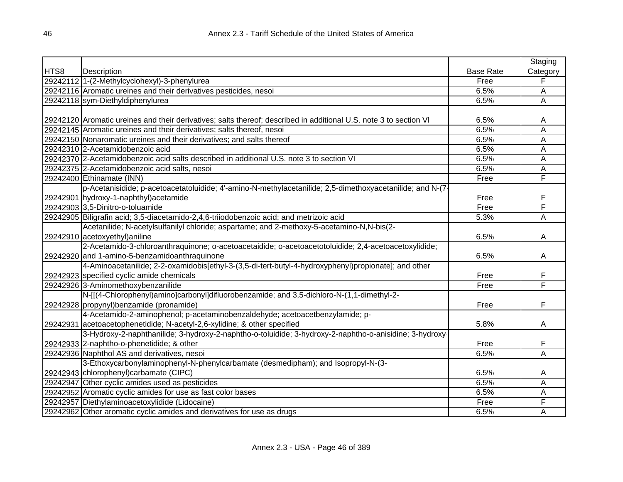|      |                                                                                                                   |                  | Staging  |
|------|-------------------------------------------------------------------------------------------------------------------|------------------|----------|
| HTS8 | Description                                                                                                       | <b>Base Rate</b> | Category |
|      | 29242112 1-(2-Methylcyclohexyl)-3-phenylurea                                                                      | Free             | F        |
|      | 29242116 Aromatic ureines and their derivatives pesticides, nesoi                                                 | 6.5%             | A        |
|      | 29242118 sym-Diethyldiphenylurea                                                                                  | 6.5%             | Ā        |
|      |                                                                                                                   |                  |          |
|      | 29242120 Aromatic ureines and their derivatives; salts thereof; described in additional U.S. note 3 to section VI | 6.5%             | A        |
|      | 29242145 Aromatic ureines and their derivatives; salts thereof, nesoi                                             | 6.5%             | Α        |
|      | 29242150 Nonaromatic ureines and their derivatives; and salts thereof                                             | 6.5%             | Α        |
|      | 29242310 2-Acetamidobenzoic acid                                                                                  | 6.5%             | A        |
|      | 29242370 2-Acetamidobenzoic acid salts described in additional U.S. note 3 to section VI                          | 6.5%             | A        |
|      | 29242375 2-Acetamidobenzoic acid salts, nesoi                                                                     | 6.5%             | A        |
|      | 29242400 Ethinamate (INN)                                                                                         | Free             | F        |
|      | p-Acetanisidide; p-acetoacetatoluidide; 4'-amino-N-methylacetanilide; 2,5-dimethoxyacetanilide; and N-(7-         |                  |          |
|      | 29242901 hydroxy-1-naphthyl) acetamide                                                                            | Free             | F        |
|      | 29242903 3,5-Dinitro-o-toluamide                                                                                  | Free             | F        |
|      | 29242905 Biligrafin acid; 3,5-diacetamido-2,4,6-triiodobenzoic acid; and metrizoic acid                           | 5.3%             | Α        |
|      | Acetanilide; N-acetylsulfanilyl chloride; aspartame; and 2-methoxy-5-acetamino-N,N-bis(2-                         |                  |          |
|      | 29242910 acetoxyethyl) aniline                                                                                    | 6.5%             | A        |
|      | 2-Acetamido-3-chloroanthraquinone; o-acetoacetaidide; o-acetoacetotoluidide; 2,4-acetoacetoxylidide;              |                  |          |
|      | 29242920 and 1-amino-5-benzamidoanthraquinone                                                                     | 6.5%             | A        |
|      | 4-Aminoacetanilide; 2-2-oxamidobis[ethyl-3-(3,5-di-tert-butyl-4-hydroxyphenyl)propionate]; and other              |                  |          |
|      | 29242923 specified cyclic amide chemicals                                                                         | Free             | F        |
|      | 29242926 3-Aminomethoxybenzanilide                                                                                | Free             | F        |
|      | N-[[(4-Chlorophenyl)amino]carbonyl]difluorobenzamide; and 3,5-dichloro-N-(1,1-dimethyl-2-                         |                  |          |
|      | 29242928 propynyl) benzamide (pronamide)                                                                          | Free             | F        |
|      | 4-Acetamido-2-aminophenol; p-acetaminobenzaldehyde; acetoacetbenzylamide; p-                                      |                  |          |
|      | 29242931 acetoacetophenetidide; N-acetyl-2,6-xylidine; & other specified                                          | 5.8%             | A        |
|      | 3-Hydroxy-2-naphthanilide; 3-hydroxy-2-naphtho-o-toluidide; 3-hydroxy-2-naphtho-o-anisidine; 3-hydroxy-           |                  |          |
|      | 29242933 2-naphtho-o-phenetidide; & other                                                                         | Free             | F        |
|      | 29242936 Naphthol AS and derivatives, nesoi                                                                       | 6.5%             | Α        |
|      | 3-Ethoxycarbonylaminophenyl-N-phenylcarbamate (desmedipham); and Isopropyl-N-(3-                                  |                  |          |
|      | 29242943 chlorophenyl) carbamate (CIPC)                                                                           | 6.5%             | A        |
|      | 29242947 Other cyclic amides used as pesticides                                                                   | 6.5%             | A        |
|      | 29242952 Aromatic cyclic amides for use as fast color bases                                                       | 6.5%             | Α        |
|      | 29242957 Diethylaminoacetoxylidide (Lidocaine)                                                                    | Free             | F        |
|      | 29242962 Other aromatic cyclic amides and derivatives for use as drugs                                            | 6.5%             | Α        |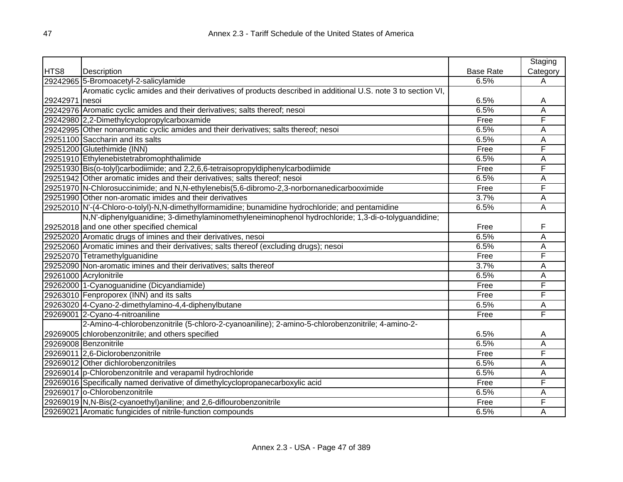|                |                                                                                                             |                  | Staging  |
|----------------|-------------------------------------------------------------------------------------------------------------|------------------|----------|
| HTS8           | Description                                                                                                 | <b>Base Rate</b> | Category |
|                | 29242965 5-Bromoacetyl-2-salicylamide                                                                       | 6.5%             | A        |
|                | Aromatic cyclic amides and their derivatives of products described in additional U.S. note 3 to section VI, |                  |          |
| 29242971 nesoi |                                                                                                             | 6.5%             | Α        |
|                | 29242976 Aromatic cyclic amides and their derivatives; salts thereof; nesoi                                 | 6.5%             | Ā        |
|                | 29242980 2,2-Dimethylcyclopropylcarboxamide                                                                 | Free             | F        |
|                | 29242995 Other nonaromatic cyclic amides and their derivatives; salts thereof; nesoi                        | 6.5%             | A        |
|                | 29251100 Saccharin and its salts                                                                            | 6.5%             | Α        |
|                | 29251200 Glutethimide (INN)                                                                                 | Free             | F        |
|                | 29251910 Ethylenebistetrabromophthalimide                                                                   | 6.5%             | Α        |
|                | 29251930 Bis(o-tolyl)carbodiimide; and 2,2,6,6-tetraisopropyldiphenylcarbodiimide                           | Free             | F        |
|                | 29251942 Other aromatic imides and their derivatives; salts thereof; nesoi                                  | 6.5%             | A        |
|                | 29251970 N-Chlorosuccinimide; and N,N-ethylenebis(5,6-dibromo-2,3-norbornanedicarbooximide                  | Free             | F        |
|                | 29251990 Other non-aromatic imides and their derivatives                                                    | 3.7%             | А        |
|                | 29252010 N'-(4-Chloro-o-tolyl)-N,N-dimethylformamidine; bunamidine hydrochloride; and pentamidine           | 6.5%             | Ā        |
|                | N,N'-diphenylguanidine; 3-dimethylaminomethyleneiminophenol hydrochloride; 1,3-di-o-tolyguandidine;         |                  |          |
|                | 29252018 and one other specified chemical                                                                   | Free             | F        |
|                | 29252020 Aromatic drugs of imines and their derivatives, nesoi                                              | 6.5%             | A        |
|                | 29252060 Aromatic imines and their derivatives; salts thereof (excluding drugs); nesoi                      | 6.5%             | Ā        |
|                | 29252070 Tetramethylguanidine                                                                               | Free             | F        |
|                | 29252090 Non-aromatic imines and their derivatives; salts thereof                                           | 3.7%             | A        |
|                | 29261000 Acrylonitrile                                                                                      | 6.5%             | А        |
|                | 29262000 1-Cyanoguanidine (Dicyandiamide)                                                                   | Free             | F        |
|                | 29263010 Fenproporex (INN) and its salts                                                                    | Free             | F        |
|                | 29263020 4-Cyano-2-dimethylamino-4,4-diphenylbutane                                                         | 6.5%             | Α        |
|                | 29269001 2-Cyano-4-nitroaniline                                                                             | Free             | F        |
|                | 2-Amino-4-chlorobenzonitrile (5-chloro-2-cyanoaniline); 2-amino-5-chlorobenzonitrile; 4-amino-2-            |                  |          |
|                | 29269005 chlorobenzonitrile; and others specified                                                           | 6.5%             | A        |
|                | 29269008 Benzonitrile                                                                                       | 6.5%             | Α        |
|                | 29269011 2,6-Diclorobenzonitrile                                                                            | Free             | F        |
|                | 29269012 Other dichlorobenzonitriles                                                                        | 6.5%             | Α        |
|                | 29269014 p-Chlorobenzonitrile and verapamil hydrochloride                                                   | 6.5%             | Α        |
|                | 29269016 Specifically named derivative of dimethylcyclopropanecarboxylic acid                               | Free             | F        |
|                | 29269017 o-Chlorobenzonitrile                                                                               | 6.5%             | Α        |
|                | 29269019 N, N-Bis(2-cyanoethyl) aniline; and 2,6-diflourobenzonitrile                                       | Free             | F        |
|                | 29269021 Aromatic fungicides of nitrile-function compounds                                                  | 6.5%             | A        |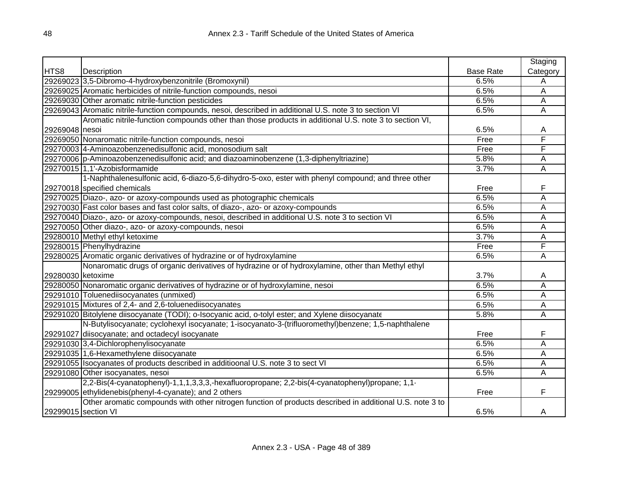|                     |                                                                                                          |                  | Staging        |
|---------------------|----------------------------------------------------------------------------------------------------------|------------------|----------------|
| HTS8                | Description                                                                                              | <b>Base Rate</b> | Category       |
|                     | 29269023 3,5-Dibromo-4-hydroxybenzonitrile (Bromoxynil)                                                  | 6.5%             | A              |
|                     | 29269025 Aromatic herbicides of nitrile-function compounds, nesoi                                        | 6.5%             | A              |
|                     | 29269030 Other aromatic nitrile-function pesticides                                                      | 6.5%             | A              |
|                     | 29269043 Aromatic nitrile-function compounds, nesoi, described in additional U.S. note 3 to section VI   | 6.5%             | $\overline{A}$ |
|                     | Aromatic nitrile-function compounds other than those products in additional U.S. note 3 to section VI,   |                  |                |
| 29269048 nesoi      |                                                                                                          | 6.5%             | A              |
|                     | 29269050 Nonaromatic nitrile-function compounds, nesoi                                                   | Free             | F              |
|                     | 29270003 4-Aminoazobenzenedisulfonic acid, monosodium salt                                               | Free             | F              |
|                     | 29270006 p-Aminoazobenzenedisulfonic acid; and diazoaminobenzene (1,3-diphenyltriazine)                  | 5.8%             | A              |
|                     | 29270015 1,1'-Azobisformamide                                                                            | 3.7%             | A              |
|                     | 1-Naphthalenesulfonic acid, 6-diazo-5,6-dihydro-5-oxo, ester with phenyl compound; and three other       |                  |                |
|                     | 29270018 specified chemicals                                                                             | Free             | F              |
|                     | 29270025 Diazo-, azo- or azoxy-compounds used as photographic chemicals                                  | 6.5%             | A              |
|                     | 29270030 Fast color bases and fast color salts, of diazo-, azo- or azoxy-compounds                       | 6.5%             | Α              |
|                     | 29270040 Diazo-, azo- or azoxy-compounds, nesoi, described in additional U.S. note 3 to section VI       | 6.5%             | A              |
|                     | 29270050 Other diazo-, azo- or azoxy-compounds, nesoi                                                    | 6.5%             | A              |
|                     | 29280010 Methyl ethyl ketoxime                                                                           | 3.7%             | A              |
|                     | 29280015 Phenylhydrazine                                                                                 | Free             | F              |
|                     | 29280025 Aromatic organic derivatives of hydrazine or of hydroxylamine                                   | 6.5%             | A              |
|                     | Nonaromatic drugs of organic derivatives of hydrazine or of hydroxylamine, other than Methyl ethyl       |                  |                |
| 29280030 ketoxime   |                                                                                                          | 3.7%             | A              |
|                     | 29280050 Nonaromatic organic derivatives of hydrazine or of hydroxylamine, nesoi                         | 6.5%             | A              |
|                     | 29291010 Toluenediisocyanates (unmixed)                                                                  | 6.5%             | Α              |
|                     | 29291015 Mixtures of 2,4- and 2,6-toluenediisocyanates                                                   | 6.5%             | A              |
|                     | 29291020 Bitolylene diisocyanate (TODI); o-Isocyanic acid, o-tolyl ester; and Xylene diisocyanate        | 5.8%             | A              |
|                     | N-Butylisocyanate; cyclohexyl isocyanate; 1-isocyanato-3-(trifluoromethyl)benzene; 1,5-naphthalene       |                  |                |
|                     | 29291027 diisocyanate; and octadecyl isocyanate                                                          | Free             | F              |
|                     | 29291030 3,4-Dichlorophenylisocyanate                                                                    | 6.5%             | A              |
|                     | 29291035 1,6-Hexamethylene diisocyanate                                                                  | 6.5%             | A              |
|                     | 29291055 Isocyanates of products described in additioonal U.S. note 3 to sect VI                         | 6.5%             | Α              |
|                     | 29291080 Other isocyanates, nesoi                                                                        | 6.5%             | A              |
|                     | 2,2-Bis(4-cyanatophenyl)-1,1,1,3,3,3,-hexafluoropropane; 2,2-bis(4-cyanatophenyl)propane; 1,1-           |                  |                |
|                     | 29299005 ethylidenebis(phenyl-4-cyanate); and 2 others                                                   | Free             | F              |
|                     | Other aromatic compounds with other nitrogen function of products described in additional U.S. note 3 to |                  |                |
| 29299015 section VI |                                                                                                          | 6.5%             | Α              |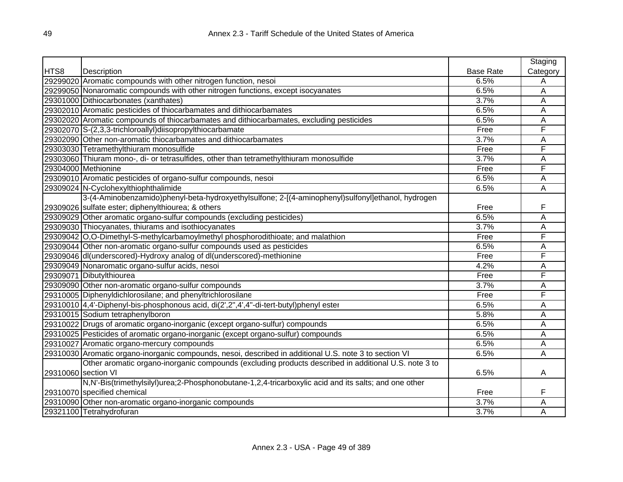|                     |                                                                                                        |                  | Staging  |
|---------------------|--------------------------------------------------------------------------------------------------------|------------------|----------|
| HTS8                | Description                                                                                            | <b>Base Rate</b> | Category |
|                     | 29299020 Aromatic compounds with other nitrogen function, nesoi                                        | 6.5%             | A        |
|                     | 29299050 Nonaromatic compounds with other nitrogen functions, except isocyanates                       | 6.5%             | A        |
|                     | 29301000 Dithiocarbonates (xanthates)                                                                  | 3.7%             | A        |
|                     | 29302010 Aromatic pesticides of thiocarbamates and dithiocarbamates                                    | 6.5%             | A        |
|                     | 29302020 Aromatic compounds of thiocarbamates and dithiocarbamates, excluding pesticides               | 6.5%             | A        |
|                     | 29302070 S-(2,3,3-trichloroallyl) diisopropylthiocarbamate                                             | Free             | F        |
|                     | 29302090 Other non-aromatic thiocarbamates and dithiocarbamates                                        | 3.7%             | Α        |
|                     | 29303030 Tetramethylthiuram monosulfide                                                                | Free             | F        |
|                     | 29303060 Thiuram mono-, di- or tetrasulfides, other than tetramethylthiuram monosulfide                | 3.7%             | A        |
|                     | 29304000 Methionine                                                                                    | Free             | F        |
|                     | 29309010 Aromatic pesticides of organo-sulfur compounds, nesoi                                         | 6.5%             | A        |
|                     | 29309024 N-Cyclohexylthiophthalimide                                                                   | 6.5%             | A        |
|                     | 3-(4-Aminobenzamido)phenyl-beta-hydroxyethylsulfone; 2-[(4-aminophenyl)sulfonyl]ethanol, hydrogen      |                  |          |
|                     | 29309026 sulfate ester; diphenylthiourea; & others                                                     | Free             | F        |
|                     | 29309029 Other aromatic organo-sulfur compounds (excluding pesticides)                                 | 6.5%             | A        |
|                     | 29309030 Thiocyanates, thiurams and isothiocyanates                                                    | 3.7%             | Α        |
|                     | 29309042 O,O-Dimethyl-S-methylcarbamoylmethyl phosphorodithioate; and malathion                        | Free             | F        |
|                     | 29309044 Other non-aromatic organo-sulfur compounds used as pesticides                                 | 6.5%             | Α        |
|                     | 29309046 dl(underscored)-Hydroxy analog of dl(underscored)-methionine                                  | Free             | F        |
|                     | 29309049 Nonaromatic organo-sulfur acids, nesoi                                                        | 4.2%             | Α        |
|                     | 29309071 Dibutylthiourea                                                                               | Free             | F        |
|                     | 29309090 Other non-aromatic organo-sulfur compounds                                                    | 3.7%             | Α        |
|                     | 29310005 Diphenyldichlorosilane; and phenyltrichlorosilane                                             | Free             | F        |
|                     | 29310010 4,4'-Diphenyl-bis-phosphonous acid, di(2',2",4',4"-di-tert-butyl)phenyl ester                 | 6.5%             | Α        |
|                     | 29310015 Sodium tetraphenylboron                                                                       | 5.8%             | A        |
|                     | 29310022 Drugs of aromatic organo-inorganic (except organo-sulfur) compounds                           | 6.5%             | A        |
|                     | 29310025 Pesticides of aromatic organo-inorganic (except organo-sulfur) compounds                      | 6.5%             | A        |
|                     | 29310027 Aromatic organo-mercury compounds                                                             | 6.5%             | A        |
|                     | 29310030 Aromatic organo-inorganic compounds, nesoi, described in additional U.S. note 3 to section VI | 6.5%             | A        |
|                     | Other aromatic organo-inorganic compounds (excluding products described in additional U.S. note 3 to   |                  |          |
| 29310060 section VI |                                                                                                        | 6.5%             | Α        |
|                     | N,N'-Bis(trimethylsilyl)urea;2-Phosphonobutane-1,2,4-tricarboxylic acid and its salts; and one other   |                  |          |
|                     | 29310070 specified chemical                                                                            | Free             | F        |
|                     | 29310090 Other non-aromatic organo-inorganic compounds                                                 | 3.7%             | A        |
|                     | 29321100 Tetrahydrofuran                                                                               | 3.7%             | A        |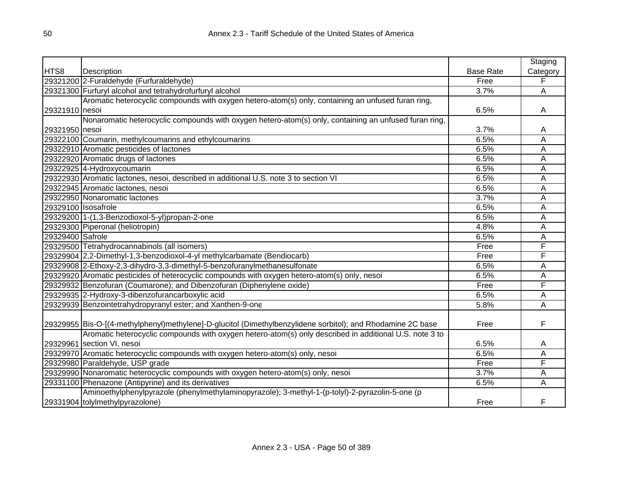|                     |                                                                                                             |                  | Staging  |
|---------------------|-------------------------------------------------------------------------------------------------------------|------------------|----------|
| HTS8                | Description                                                                                                 | <b>Base Rate</b> | Category |
|                     | 29321200 2-Furaldehyde (Furfuraldehyde)                                                                     | Free             | F        |
|                     | 29321300 Furfuryl alcohol and tetrahydrofurfuryl alcohol                                                    | 3.7%             | Α        |
|                     | Aromatic heterocyclic compounds with oxygen hetero-atom(s) only, containing an unfused furan ring,          |                  |          |
| 29321910 nesoi      |                                                                                                             | 6.5%             | A        |
|                     | Nonaromatic heterocyclic compounds with oxygen hetero-atom(s) only, containing an unfused furan ring,       |                  |          |
| 29321950 nesoi      |                                                                                                             | 3.7%             | A        |
|                     | 29322100 Coumarin, methylcoumarins and ethylcoumarins                                                       | 6.5%             | A        |
|                     | 29322910 Aromatic pesticides of lactones                                                                    | 6.5%             | A        |
|                     | 29322920 Aromatic drugs of lactones                                                                         | 6.5%             | Α        |
|                     | 29322925 4-Hydroxycoumarin                                                                                  | 6.5%             | Α        |
|                     | 29322930 Aromatic lactones, nesoi, described in additional U.S. note 3 to section VI                        | 6.5%             | Α        |
|                     | 29322945 Aromatic lactones, nesoi                                                                           | 6.5%             | Ā        |
|                     | 29322950 Nonaromatic lactones                                                                               | 3.7%             | Α        |
| 29329100 Isosafrole |                                                                                                             | 6.5%             | Α        |
|                     | 29329200 1-(1,3-Benzodioxol-5-yl)propan-2-one                                                               | 6.5%             | A        |
|                     | 29329300 Piperonal (heliotropin)                                                                            | 4.8%             | A        |
| 29329400 Safrole    |                                                                                                             | 6.5%             | Α        |
|                     | 29329500 Tetrahydrocannabinols (all isomers)                                                                | Free             | F        |
|                     | 29329904 2,2-Dimethyl-1,3-benzodioxol-4-yl methylcarbamate (Bendiocarb)                                     | Free             | F        |
|                     | 29329908 2-Ethoxy-2,3-dihydro-3,3-dimethyl-5-benzofuranylmethanesulfonate                                   | 6.5%             | Α        |
|                     | 29329920 Aromatic pesticides of heterocyclic compounds with oxygen hetero-atom(s) only, nesoi               | 6.5%             | Α        |
|                     | 29329932 Benzofuran (Coumarone); and Dibenzofuran (Diphenylene oxide)                                       | Free             | F        |
|                     | 29329935 2-Hydroxy-3-dibenzofurancarboxylic acid                                                            | 6.5%             | Α        |
|                     | 29329939 Benzointetrahydropyranyl ester; and Xanthen-9-one                                                  | 5.8%             | Α        |
|                     |                                                                                                             |                  |          |
|                     | 29329955 Bis-O-[(4-methylphenyl)methylene]-D-glucitol (Dimethylbenzylidene sorbitol); and Rhodamine 2C base | Free             | F        |
|                     | Aromatic heterocyclic compounds with oxygen hetero-atom(s) only described in additional U.S. note 3 to      |                  |          |
|                     | 29329961 section VI, nesoi                                                                                  | 6.5%             | A        |
|                     | 29329970 Aromatic heterocyclic compounds with oxygen hetero-atom(s) only, nesoi                             | 6.5%             | А        |
|                     | 29329980 Paraldehyde, USP grade                                                                             | Free             | F        |
|                     | 29329990 Nonaromatic heterocyclic compounds with oxygen hetero-atom(s) only, nesoi                          | 3.7%             | Α        |
|                     | 29331100 Phenazone (Antipyrine) and its derivatives                                                         | 6.5%             | Α        |
|                     | Aminoethylphenylpyrazole (phenylmethylaminopyrazole); 3-methyl-1-(p-tolyl)-2-pyrazolin-5-one (p             |                  |          |
|                     | 29331904 tolylmethylpyrazolone)                                                                             | Free             | F        |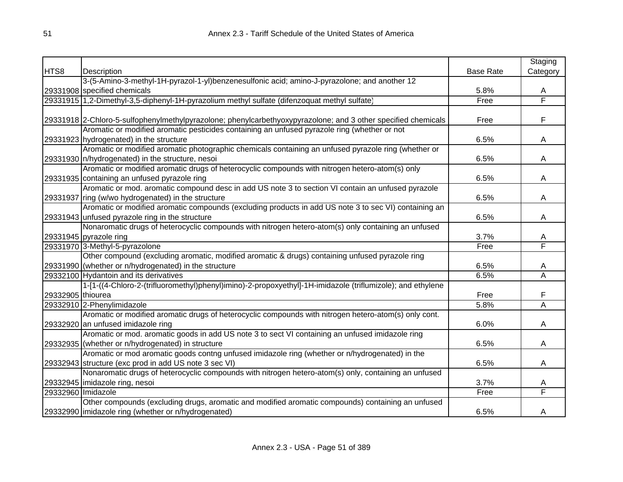|                    |                                                                                                               |                  | Staging                 |
|--------------------|---------------------------------------------------------------------------------------------------------------|------------------|-------------------------|
| HTS8               | Description                                                                                                   | <b>Base Rate</b> | Category                |
|                    | 3-(5-Amino-3-methyl-1H-pyrazol-1-yl)benzenesulfonic acid; amino-J-pyrazolone; and another 12                  |                  |                         |
|                    | 29331908 specified chemicals                                                                                  | 5.8%             | A                       |
|                    | 29331915 1,2-Dimethyl-3,5-diphenyl-1H-pyrazolium methyl sulfate (difenzoquat methyl sulfate)                  | Free             | F                       |
|                    |                                                                                                               |                  |                         |
|                    | 29331918 2-Chloro-5-sulfophenylmethylpyrazolone; phenylcarbethyoxypyrazolone; and 3 other specified chemicals | Free             | F                       |
|                    | Aromatic or modified aromatic pesticides containing an unfused pyrazole ring (whether or not                  |                  |                         |
|                    | 29331923 hydrogenated) in the structure                                                                       | 6.5%             | A                       |
|                    | Aromatic or modified aromatic photographic chemicals containing an unfused pyrazole ring (whether or          |                  |                         |
|                    | 29331930   n/hydrogenated) in the structure, nesoi                                                            | 6.5%             | A                       |
|                    | Aromatic or modified aromatic drugs of heterocyclic compounds with nitrogen hetero-atom(s) only               |                  |                         |
|                    | 29331935 containing an unfused pyrazole ring                                                                  | 6.5%             | A                       |
|                    | Aromatic or mod. aromatic compound desc in add US note 3 to section VI contain an unfused pyrazole            |                  |                         |
|                    | 29331937 ring (w/wo hydrogenated) in the structure                                                            | 6.5%             | A                       |
|                    | Aromatic or modified aromatic compounds (excluding products in add US note 3 to sec VI) containing an         |                  |                         |
|                    | 29331943 unfused pyrazole ring in the structure                                                               | 6.5%             | A                       |
|                    | Nonaromatic drugs of heterocyclic compounds with nitrogen hetero-atom(s) only containing an unfused           |                  |                         |
|                    | 29331945 pyrazole ring                                                                                        | 3.7%             | Α                       |
|                    | 29331970 3-Methyl-5-pyrazolone                                                                                | Free             | F                       |
|                    | Other compound (excluding aromatic, modified aromatic & drugs) containing unfused pyrazole ring               |                  |                         |
|                    | 29331990 (whether or n/hydrogenated) in the structure                                                         | 6.5%             | A                       |
|                    | 29332100 Hydantoin and its derivatives                                                                        | 6.5%             | $\overline{\mathsf{A}}$ |
|                    | 1-[1-((4-Chloro-2-(trifluoromethyl)phenyl)imino)-2-propoxyethyl]-1H-imidazole (triflumizole); and ethylene    |                  |                         |
| 29332905 thiourea  |                                                                                                               | Free             | F                       |
|                    | 29332910 2-Phenylimidazole                                                                                    | 5.8%             | Ā                       |
|                    | Aromatic or modified aromatic drugs of heterocyclic compounds with nitrogen hetero-atom(s) only cont.         |                  |                         |
|                    | 29332920 an unfused imidazole ring                                                                            | 6.0%             | A                       |
|                    | Aromatic or mod. aromatic goods in add US note 3 to sect VI containing an unfused imidazole ring              |                  |                         |
|                    | 29332935 (whether or n/hydrogenated) in structure                                                             | 6.5%             | A                       |
|                    | Aromatic or mod aromatic goods contng unfused imidazole ring (whether or n/hydrogenated) in the               |                  |                         |
|                    | 29332943 structure (exc prod in add US note 3 sec VI)                                                         | 6.5%             | A                       |
|                    | Nonaromatic drugs of heterocyclic compounds with nitrogen hetero-atom(s) only, containing an unfused          |                  |                         |
|                    | 29332945 imidazole ring, nesoi                                                                                | 3.7%             | A                       |
| 29332960 Imidazole |                                                                                                               | Free             | F                       |
|                    | Other compounds (excluding drugs, aromatic and modified aromatic compounds) containing an unfused             |                  |                         |
|                    | 29332990 limidazole ring (whether or n/hydrogenated)                                                          | 6.5%             | A                       |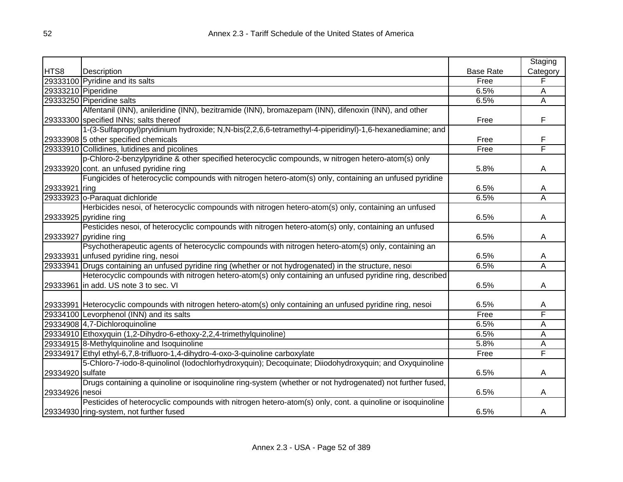|                  |                                                                                                                |                  | Staging  |
|------------------|----------------------------------------------------------------------------------------------------------------|------------------|----------|
| HTS8             | Description                                                                                                    | <b>Base Rate</b> | Category |
|                  | 29333100 Pyridine and its salts                                                                                | Free             | F        |
|                  | 29333210 Piperidine                                                                                            | 6.5%             | Α        |
|                  | 29333250 Piperidine salts                                                                                      | 6.5%             | Α        |
|                  | Alfentanil (INN), anileridine (INN), bezitramide (INN), bromazepam (INN), difenoxin (INN), and other           |                  |          |
|                  | 29333300 specified INNs; salts thereof                                                                         | Free             | F        |
|                  | 1-(3-Sulfapropyl)pryidinium hydroxide; N,N-bis(2,2,6,6-tetramethyl-4-piperidinyl)-1,6-hexanediamine; and       |                  |          |
|                  | 29333908 5 other specified chemicals                                                                           | Free             | F        |
|                  | 29333910 Collidines, lutidines and picolines                                                                   | Free             | F        |
|                  | p-Chloro-2-benzylpyridine & other specified heterocyclic compounds, w nitrogen hetero-atom(s) only             |                  |          |
|                  | 29333920 cont. an unfused pyridine ring                                                                        | 5.8%             | Α        |
|                  | Fungicides of heterocyclic compounds with nitrogen hetero-atom(s) only, containing an unfused pyridine         |                  |          |
| 29333921 ring    |                                                                                                                | 6.5%             | Α        |
|                  | 29333923 o-Paraquat dichloride                                                                                 | 6.5%             | A        |
|                  | Herbicides nesoi, of heterocyclic compounds with nitrogen hetero-atom(s) only, containing an unfused           |                  |          |
|                  | 29333925 pyridine ring                                                                                         | 6.5%             | A        |
|                  | Pesticides nesoi, of heterocyclic compounds with nitrogen hetero-atom(s) only, containing an unfused           |                  |          |
|                  | 29333927 pyridine ring                                                                                         | 6.5%             | A        |
|                  | Psychotherapeutic agents of heterocyclic compounds with nitrogen hetero-atom(s) only, containing an            |                  |          |
|                  | 29333931 unfused pyridine ring, nesoi                                                                          | 6.5%             | Α        |
|                  | 29333941 Drugs containing an unfused pyridine ring (whether or not hydrogenated) in the structure, nesoi       | 6.5%             | A        |
|                  | Heterocyclic compounds with nitrogen hetero-atom(s) only containing an unfused pyridine ring, described        |                  |          |
|                  | 29333961 in add. US note 3 to sec. VI                                                                          | 6.5%             | Α        |
|                  |                                                                                                                |                  |          |
|                  | [29333991] Heterocyclic compounds with nitrogen hetero-atom(s) only containing an unfused pyridine ring, nesoi | 6.5%             | A        |
|                  | 29334100 Levorphenol (INN) and its salts                                                                       | Free             | F        |
|                  | 29334908 4,7-Dichloroquinoline                                                                                 | 6.5%             | A        |
|                  | 29334910 Ethoxyquin (1,2-Dihydro-6-ethoxy-2,2,4-trimethylquinoline)                                            | 6.5%             | A        |
|                  | 29334915 8-Methylquinoline and Isoquinoline                                                                    | 5.8%             | Α        |
|                  | 29334917 Ethyl ethyl-6,7,8-trifluoro-1,4-dihydro-4-oxo-3-quinoline carboxylate                                 | Free             | F        |
|                  | 5-Chloro-7-iodo-8-quinolinol (lodochlorhydroxyquin); Decoquinate; Diiodohydroxyquin; and Oxyquinoline          |                  |          |
| 29334920 sulfate |                                                                                                                | 6.5%             | A        |
|                  | Drugs containing a quinoline or isoquinoline ring-system (whether or not hydrogenated) not further fused,      |                  |          |
| 29334926 nesoi   |                                                                                                                | 6.5%             | Α        |
|                  | Pesticides of heterocyclic compounds with nitrogen hetero-atom(s) only, cont. a quinoline or isoquinoline      |                  |          |
|                  | 29334930 ring-system, not further fused                                                                        | 6.5%             | A        |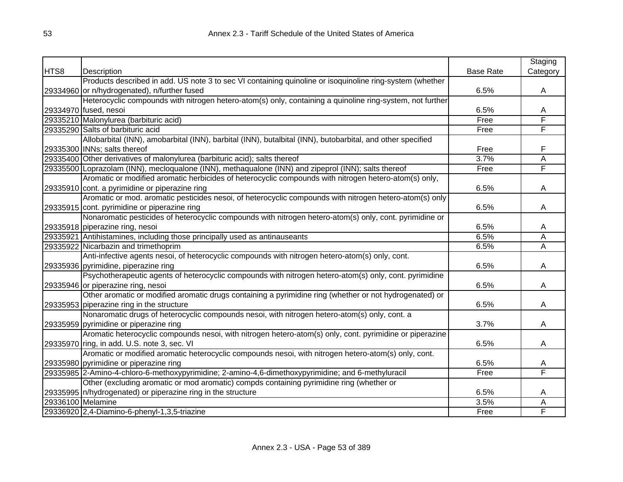|                   |                                                                                                            |                  | Staging  |
|-------------------|------------------------------------------------------------------------------------------------------------|------------------|----------|
| HTS8              | Description                                                                                                | <b>Base Rate</b> | Category |
|                   | Products described in add. US note 3 to sec VI containing quinoline or isoquinoline ring-system (whether   |                  |          |
|                   | 29334960 or n/hydrogenated), n/further fused                                                               | 6.5%             | A        |
|                   | Heterocyclic compounds with nitrogen hetero-atom(s) only, containing a quinoline ring-system, not further  |                  |          |
|                   | 29334970 fused, nesoi                                                                                      | 6.5%             | A        |
|                   | 29335210 Malonylurea (barbituric acid)                                                                     | Free             | F        |
|                   | 29335290 Salts of barbituric acid                                                                          | Free             | F        |
|                   | Allobarbital (INN), amobarbital (INN), barbital (INN), butalbital (INN), butobarbital, and other specified |                  |          |
|                   | 29335300 INNs; salts thereof                                                                               | Free             | F        |
|                   | 29335400 Other derivatives of malonylurea (barbituric acid); salts thereof                                 | 3.7%             | A        |
|                   | 29335500 Loprazolam (INN), mecloqualone (INN), methaqualone (INN) and zipeprol (INN); salts thereof        | Free             | F        |
|                   | Aromatic or modified aromatic herbicides of heterocyclic compounds with nitrogen hetero-atom(s) only,      |                  |          |
|                   | 29335910 cont. a pyrimidine or piperazine ring                                                             | 6.5%             | A        |
|                   | Aromatic or mod. aromatic pesticides nesoi, of heterocyclic compounds with nitrogen hetero-atom(s) only    |                  |          |
|                   | 29335915 cont. pyrimidine or piperazine ring                                                               | 6.5%             | A        |
|                   | Nonaromatic pesticides of heterocyclic compounds with nitrogen hetero-atom(s) only, cont. pyrimidine or    |                  |          |
|                   | 29335918 piperazine ring, nesoi                                                                            | 6.5%             | A        |
|                   | 29335921 Antihistamines, including those principally used as antinauseants                                 | 6.5%             | Ā        |
|                   | 29335922 Nicarbazin and trimethoprim                                                                       | 6.5%             | Ā        |
|                   | Anti-infective agents nesoi, of heterocyclic compounds with nitrogen hetero-atom(s) only, cont.            |                  |          |
|                   | 29335936 pyrimidine, piperazine ring                                                                       | 6.5%             | A        |
|                   | Psychotherapeutic agents of heterocyclic compounds with nitrogen hetero-atom(s) only, cont. pyrimidine     |                  |          |
|                   | 29335946 or piperazine ring, nesoi                                                                         | 6.5%             | A        |
|                   | Other aromatic or modified aromatic drugs containing a pyrimidine ring (whether or not hydrogenated) or    |                  |          |
|                   | 29335953 piperazine ring in the structure                                                                  | 6.5%             | A        |
|                   | Nonaromatic drugs of heterocyclic compounds nesoi, with nitrogen hetero-atom(s) only, cont. a              |                  |          |
|                   | 29335959 pyrimidine or piperazine ring                                                                     | 3.7%             | A        |
|                   | Aromatic heterocyclic compounds nesoi, with nitrogen hetero-atom(s) only, cont. pyrimidine or piperazine   |                  |          |
|                   | 29335970 ring, in add. U.S. note 3, sec. VI                                                                | 6.5%             | A        |
|                   | Aromatic or modified aromatic heterocyclic compounds nesoi, with nitrogen hetero-atom(s) only, cont.       |                  |          |
|                   | 29335980 pyrimidine or piperazine ring                                                                     | 6.5%             | A        |
|                   | 29335985 2-Amino-4-chloro-6-methoxypyrimidine; 2-amino-4,6-dimethoxypyrimidine; and 6-methyluracil         | Free             | F        |
|                   | Other (excluding aromatic or mod aromatic) compds containing pyrimidine ring (whether or                   |                  |          |
|                   | 29335995  n/hydrogenated) or piperazine ring in the structure                                              | 6.5%             | A        |
| 29336100 Melamine |                                                                                                            | 3.5%             | Α        |
|                   | 29336920 2,4-Diamino-6-phenyl-1,3,5-triazine                                                               | Free             | F        |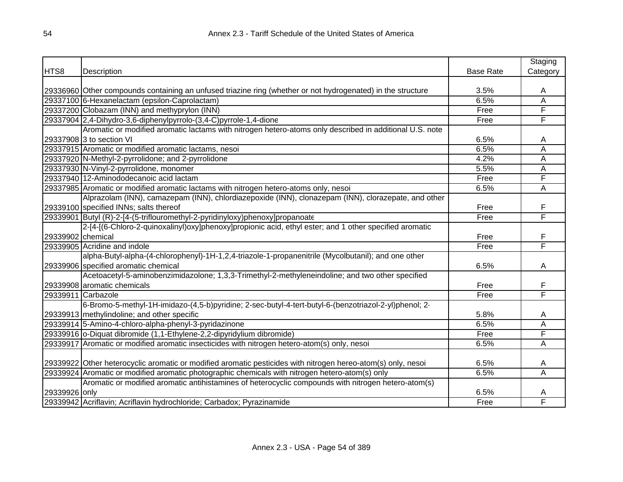|                   |                                                                                                              |                  | Staging  |
|-------------------|--------------------------------------------------------------------------------------------------------------|------------------|----------|
| HTS8              | Description                                                                                                  | <b>Base Rate</b> | Category |
|                   |                                                                                                              |                  |          |
|                   | 29336960 Other compounds containing an unfused triazine ring (whether or not hydrogenated) in the structure  | 3.5%             | A        |
|                   | 29337100 6-Hexanelactam (epsilon-Caprolactam)                                                                | 6.5%             | A        |
|                   | 29337200 Clobazam (INN) and methyprylon (INN)                                                                | Free             | F        |
|                   | 29337904 2,4-Dihydro-3,6-diphenylpyrrolo-(3,4-C)pyrrole-1,4-dione                                            | Free             | F        |
|                   | Aromatic or modified aromatic lactams with nitrogen hetero-atoms only described in additional U.S. note      |                  |          |
|                   | 29337908 3 to section VI                                                                                     | 6.5%             | A        |
|                   | 29337915 Aromatic or modified aromatic lactams, nesoi                                                        | 6.5%             | A        |
|                   | 29337920 N-Methyl-2-pyrrolidone; and 2-pyrrolidone                                                           | 4.2%             | A        |
|                   | 29337930 N-Vinyl-2-pyrrolidone, monomer                                                                      | 5.5%             | A        |
|                   | 29337940 12-Aminododecanoic acid lactam                                                                      | Free             | F        |
|                   | 29337985 Aromatic or modified aromatic lactams with nitrogen hetero-atoms only, nesoi                        | 6.5%             | Α        |
|                   | Alprazolam (INN), camazepam (INN), chlordiazepoxide (INN), clonazepam (INN), clorazepate, and other          |                  |          |
|                   | 29339100 specified INNs; salts thereof                                                                       | Free             | F        |
|                   | 29339901 Butyl (R)-2-[4-(5-triflouromethyl-2-pyridinyloxy)phenoxy]propanoate                                 | Free             | F        |
|                   | 2-[4-[(6-Chloro-2-quinoxalinyl)oxy]phenoxy]propionic acid, ethyl ester; and 1 other specified aromatic       |                  |          |
| 29339902 chemical |                                                                                                              | Free             | F        |
|                   | 29339905 Acridine and indole                                                                                 | Free             | F        |
|                   | alpha-Butyl-alpha-(4-chlorophenyl)-1H-1,2,4-triazole-1-propanenitrile (Mycolbutanil); and one other          |                  |          |
|                   | 29339906 specified aromatic chemical                                                                         | 6.5%             | A        |
|                   | Acetoacetyl-5-aminobenzimidazolone; 1,3,3-Trimethyl-2-methyleneindoline; and two other specified             |                  |          |
|                   | 29339908 aromatic chemicals                                                                                  | Free             | F        |
|                   | 29339911 Carbazole                                                                                           | Free             | F        |
|                   | 6-Bromo-5-methyl-1H-imidazo-(4,5-b)pyridine; 2-sec-butyl-4-tert-butyl-6-(benzotriazol-2-yl)phenol; 2-        |                  |          |
|                   | 29339913 methylindoline; and other specific                                                                  | 5.8%             | A        |
|                   | 29339914 5-Amino-4-chloro-alpha-phenyl-3-pyridazinone                                                        | 6.5%             | A        |
|                   | 29339916 o-Diquat dibromide (1,1-Ethylene-2,2-dipyridylium dibromide)                                        | Free             | F        |
|                   | 29339917 Aromatic or modified aromatic insecticides with nitrogen hetero-atom(s) only, nesoi                 | 6.5%             | A        |
|                   |                                                                                                              |                  |          |
|                   | 29339922 Other heterocyclic aromatic or modified aromatic pesticides with nitrogen hereo-atom(s) only, nesoi | 6.5%             | A        |
|                   | 29339924 Aromatic or modified aromatic photographic chemicals with nitrogen hetero-atom(s) only              | 6.5%             | Α        |
|                   | Aromatic or modified aromatic antihistamines of heterocyclic compounds with nitrogen hetero-atom(s)          |                  |          |
| 29339926 only     |                                                                                                              | 6.5%             | A        |
|                   | 29339942 Acriflavin; Acriflavin hydrochloride; Carbadox; Pyrazinamide                                        | Free             | F        |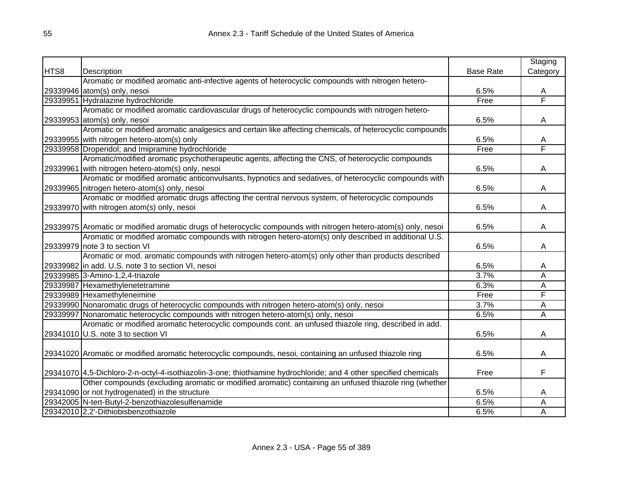|      |                                                                                                                   |                  | Staging  |
|------|-------------------------------------------------------------------------------------------------------------------|------------------|----------|
| HTS8 | Description                                                                                                       | <b>Base Rate</b> | Category |
|      | Aromatic or modified aromatic anti-infective agents of heterocyclic compounds with nitrogen hetero-               |                  |          |
|      | 29339946 atom(s) only, nesoi                                                                                      | 6.5%             | А        |
|      | 29339951 Hydralazine hydrochloride                                                                                | Free             | F        |
|      | Aromatic or modified aromatic cardiovascular drugs of heterocyclic compounds with nitrogen hetero-                |                  |          |
|      | 29339953 atom(s) only, nesoi                                                                                      | 6.5%             | A        |
|      | Aromatic or modified aromatic analgesics and certain like affecting chemicals, of heterocyclic compounds          |                  |          |
|      | 29339955 with nitrogen hetero-atom(s) only                                                                        | 6.5%             | A        |
|      | 29339958 Droperidol; and Imipramine hydrochloride                                                                 | Free             | F        |
|      | Aromatic/modified aromatic psychotherapeutic agents, affecting the CNS, of heterocyclic compounds                 |                  |          |
|      | 29339961 with nitrogen hetero-atom(s) only, nesoi                                                                 | 6.5%             | A        |
|      | Aromatic or modified aromatic anticonvulsants, hypnotics and sedatives, of heterocyclic compounds with            |                  |          |
|      | 29339965 nitrogen hetero-atom(s) only, nesoi                                                                      | 6.5%             | A        |
|      | Aromatic or modified aromatic drugs affecting the central nervous system, of heterocyclic compounds               |                  |          |
|      | 29339970 with nitrogen atom(s) only, nesoi                                                                        | 6.5%             | A        |
|      |                                                                                                                   |                  |          |
|      | 29339975 Aromatic or modified aromatic drugs of heterocyclic compounds with nitrogen hetero-atom(s) only, nesoi   | 6.5%             | Α        |
|      | Aromatic or modified aromatic compounds with nitrogen hetero-atom(s) only described in additional U.S.            |                  |          |
|      | 29339979 note 3 to section VI                                                                                     | 6.5%             | A        |
|      | Aromatic or mod. aromatic compounds with nitrogen hetero-atom(s) only other than products described               |                  |          |
|      | 29339982 in add. U.S. note 3 to section VI, nesoi                                                                 | 6.5%             | A        |
|      | 29339985 3-Amino-1,2,4-triazole                                                                                   | 3.7%             | Ā        |
|      | 29339987 Hexamethylenetetramine                                                                                   | 6.3%             | Ā        |
|      | 29339989 Hexamethyleneimine                                                                                       | Free             | F        |
|      | 29339990 Nonaromatic drugs of heterocyclic compounds with nitrogen hetero-atom(s) only, nesoi                     | 3.7%             | A        |
|      | 29339997 Nonaromatic heterocyclic compounds with nitrogen hetero-atom(s) only, nesoi                              | 6.5%             | Ā        |
|      | Aromatic or modified aromatic heterocyclic compounds cont. an unfused thiazole ring, described in add.            |                  |          |
|      | 29341010 U.S. note 3 to section VI                                                                                | 6.5%             | A        |
|      |                                                                                                                   |                  |          |
|      | 29341020 Aromatic or modified aromatic heterocyclic compounds, nesoi, containing an unfused thiazole ring         | 6.5%             | A        |
|      |                                                                                                                   |                  |          |
|      | 29341070 4,5-Dichloro-2-n-octyl-4-isothiazolin-3-one; thiothiamine hydrochloride; and 4 other specified chemicals | Free             | F        |
|      | Other compounds (excluding aromatic or modified aromatic) containing an unfused thiazole ring (whether            |                  |          |
|      | 29341090 or not hydrogenated) in the structure                                                                    | 6.5%             | A        |
|      | 29342005 N-tert-Butyl-2-benzothiazolesulfenamide                                                                  | 6.5%             | Α        |
|      | 29342010 2,2'-Dithiobisbenzothiazole                                                                              | 6.5%             | Α        |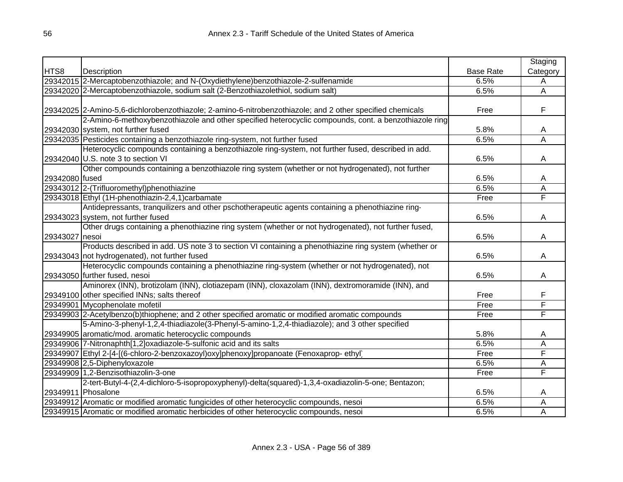|                |                                                                                                           |                  | Staging  |
|----------------|-----------------------------------------------------------------------------------------------------------|------------------|----------|
| HTS8           | Description                                                                                               | <b>Base Rate</b> | Category |
|                | 29342015 2-Mercaptobenzothiazole; and N-(Oxydiethylene)benzothiazole-2-sulfenamide                        | 6.5%             | Α        |
|                | 29342020 2-Mercaptobenzothiazole, sodium salt (2-Benzothiazolethiol, sodium salt)                         | 6.5%             | Ā        |
|                |                                                                                                           |                  |          |
|                | 29342025 2-Amino-5,6-dichlorobenzothiazole; 2-amino-6-nitrobenzothiazole; and 2 other specified chemicals | Free             | F        |
|                | 2-Amino-6-methoxybenzothiazole and other specified heterocyclic compounds, cont. a benzothiazole ring     |                  |          |
|                | 29342030 system, not further fused                                                                        | 5.8%             | A        |
|                | 29342035 Pesticides containing a benzothiazole ring-system, not further fused                             | 6.5%             | Α        |
|                | Heterocyclic compounds containing a benzothiazole ring-system, not further fused, described in add.       |                  |          |
|                | 29342040 U.S. note 3 to section VI                                                                        | 6.5%             | A        |
|                | Other compounds containing a benzothiazole ring system (whether or not hydrogenated), not further         |                  |          |
| 29342080 fused |                                                                                                           | 6.5%             | A        |
|                | 29343012 2-(Trifluoromethyl)phenothiazine                                                                 | 6.5%             | A        |
|                | 29343018 Ethyl (1H-phenothiazin-2,4,1) carbamate                                                          | Free             | F        |
|                | Antidepressants, tranquilizers and other pschotherapeutic agents containing a phenothiazine ring-         |                  |          |
|                | 29343023 system, not further fused                                                                        | 6.5%             | A        |
|                | Other drugs containing a phenothiazine ring system (whether or not hydrogenated), not further fused,      |                  |          |
| 29343027 nesoi |                                                                                                           | 6.5%             | A        |
|                | Products described in add. US note 3 to section VI containing a phenothiazine ring system (whether or     |                  |          |
|                | 29343043 not hydrogenated), not further fused                                                             | 6.5%             | A        |
|                | Heterocyclic compounds containing a phenothiazine ring-system (whether or not hydrogenated), not          |                  |          |
|                | 29343050 further fused, nesoi                                                                             | 6.5%             | A        |
|                | Aminorex (INN), brotizolam (INN), clotiazepam (INN), cloxazolam (INN), dextromoramide (INN), and          |                  |          |
|                | 29349100 other specified INNs; salts thereof                                                              | Free             | F        |
|                | 29349901 Mycophenolate mofetil                                                                            | Free             | F        |
|                | 29349903 2-Acetylbenzo(b)thiophene; and 2 other specified aromatic or modified aromatic compounds         | Free             | F        |
|                | 5-Amino-3-phenyl-1,2,4-thiadiazole(3-Phenyl-5-amino-1,2,4-thiadiazole); and 3 other specified             |                  |          |
|                | 29349905 aromatic/mod. aromatic heterocyclic compounds                                                    | 5.8%             | A        |
|                | 29349906 7-Nitronaphth[1,2]oxadiazole-5-sulfonic acid and its salts                                       | 6.5%             | Α        |
|                | 29349907 Ethyl 2-[4-[(6-chloro-2-benzoxazoyl)oxy]phenoxy]propanoate (Fenoxaprop-ethyl)                    | Free             | F        |
|                | 29349908 2,5-Diphenyloxazole                                                                              | 6.5%             | A        |
|                | 29349909 1,2-Benzisothiazolin-3-one                                                                       | Free             | F        |
|                | 2-tert-Butyl-4-(2,4-dichloro-5-isopropoxyphenyl)-delta(squared)-1,3,4-oxadiazolin-5-one; Bentazon;        |                  |          |
|                | 29349911 Phosalone                                                                                        | 6.5%             | A        |
|                | 29349912 Aromatic or modified aromatic fungicides of other heterocyclic compounds, nesoi                  | 6.5%             | A        |
|                | 29349915 Aromatic or modified aromatic herbicides of other heterocyclic compounds, nesoi                  | 6.5%             | Α        |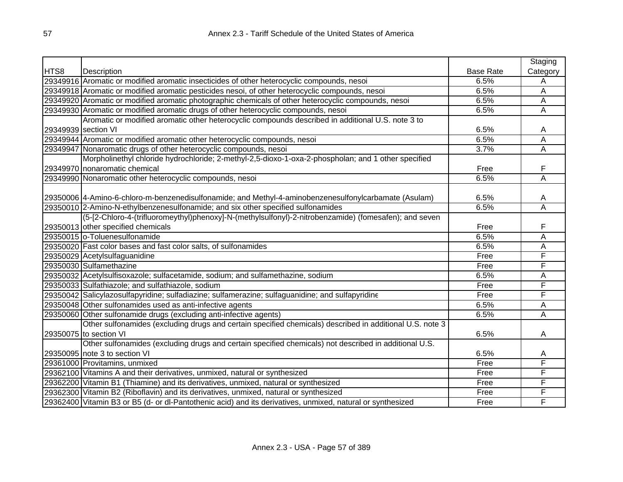|                     |                                                                                                            |                  | Staging                 |
|---------------------|------------------------------------------------------------------------------------------------------------|------------------|-------------------------|
| HTS8                | <b>Description</b>                                                                                         | <b>Base Rate</b> | Category                |
|                     | 29349916 Aromatic or modified aromatic insecticides of other heterocyclic compounds, nesoi                 | 6.5%             | Α                       |
|                     | 29349918 Aromatic or modified aromatic pesticides nesoi, of other heterocyclic compounds, nesoi            | 6.5%             | Α                       |
|                     | 29349920 Aromatic or modified aromatic photographic chemicals of other heterocyclic compounds, nesoi       | 6.5%             | Α                       |
|                     | 29349930 Aromatic or modified aromatic drugs of other heterocyclic compounds, nesoi                        | 6.5%             | Α                       |
|                     | Aromatic or modified aromatic other heterocyclic compounds described in additional U.S. note 3 to          |                  |                         |
| 29349939 section VI |                                                                                                            | 6.5%             | A                       |
|                     | 29349944 Aromatic or modified aromatic other heterocyclic compounds, nesoi                                 | 6.5%             | A                       |
|                     | 29349947 Nonaromatic drugs of other heterocyclic compounds, nesoi                                          | 3.7%             | A                       |
|                     | Morpholinethyl chloride hydrochloride; 2-methyl-2,5-dioxo-1-oxa-2-phospholan; and 1 other specified        |                  |                         |
|                     | 29349970 nonaromatic chemical                                                                              | Free             | F                       |
|                     | 29349990 Nonaromatic other heterocyclic compounds, nesoi                                                   | 6.5%             | Ā                       |
|                     |                                                                                                            |                  |                         |
|                     | (29350006 4-Amino-6-chloro-m-benzenedisulfonamide; and Methyl-4-aminobenzenesulfonylcarbamate (Asulam)     | 6.5%             | A                       |
|                     | 29350010 2-Amino-N-ethylbenzenesulfonamide; and six other specified sulfonamides                           | 6.5%             | $\overline{\mathsf{A}}$ |
|                     | (5-[2-Chloro-4-(trifluoromeythyl)phenoxy]-N-(methylsulfonyl)-2-nitrobenzamide) (fomesafen); and seven      |                  |                         |
|                     | 29350013 other specified chemicals                                                                         | Free             | F                       |
|                     | 29350015 o-Toluenesulfonamide                                                                              | 6.5%             | A                       |
|                     | 29350020 Fast color bases and fast color salts, of sulfonamides                                            | 6.5%             | Α                       |
|                     | 29350029 Acetylsulfaguanidine                                                                              | Free             | F                       |
|                     | 29350030 Sulfamethazine                                                                                    | Free             | F                       |
|                     | 29350032 Acetylsulfisoxazole; sulfacetamide, sodium; and sulfamethazine, sodium                            | 6.5%             | A                       |
|                     | 29350033 Sulfathiazole; and sulfathiazole, sodium                                                          | Free             | F                       |
|                     | 29350042 Salicylazosulfapyridine; sulfadiazine; sulfamerazine; sulfaguanidine; and sulfapyridine           | Free             | F                       |
|                     | 29350048 Other sulfonamides used as anti-infective agents                                                  | 6.5%             | A                       |
|                     | 29350060 Other sulfonamide drugs (excluding anti-infective agents)                                         | 6.5%             | A                       |
|                     | Other sulfonamides (excluding drugs and certain specified chemicals) described in additional U.S. note 3   |                  |                         |
|                     | 29350075 to section VI                                                                                     | 6.5%             | A                       |
|                     | Other sulfonamides (excluding drugs and certain specified chemicals) not described in additional U.S.      |                  |                         |
|                     | 29350095 note 3 to section VI                                                                              | 6.5%             | A                       |
|                     | 29361000 Provitamins, unmixed                                                                              | Free             | F                       |
|                     | 29362100 Vitamins A and their derivatives, unmixed, natural or synthesized                                 | Free             | F                       |
|                     | 29362200 Vitamin B1 (Thiamine) and its derivatives, unmixed, natural or synthesized                        | Free             | F                       |
|                     | 29362300 Vitamin B2 (Riboflavin) and its derivatives, unmixed, natural or synthesized                      | Free             | F                       |
|                     | 29362400 Vitamin B3 or B5 (d- or dl-Pantothenic acid) and its derivatives, unmixed, natural or synthesized | Free             | F                       |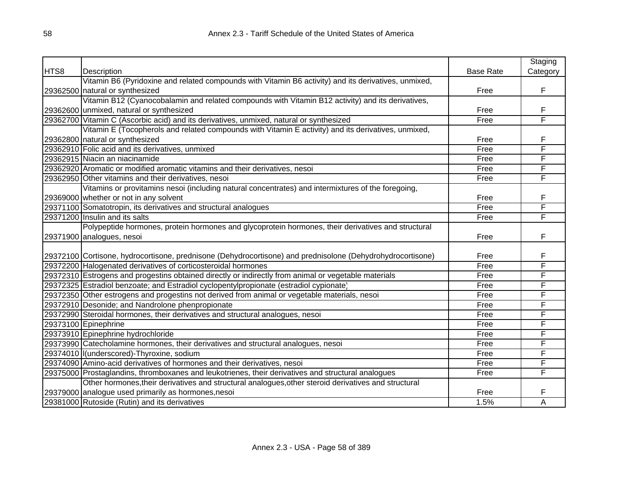|      |                                                                                                             |                  | Staging  |
|------|-------------------------------------------------------------------------------------------------------------|------------------|----------|
| HTS8 | Description                                                                                                 | <b>Base Rate</b> | Category |
|      | Vitamin B6 (Pyridoxine and related compounds with Vitamin B6 activity) and its derivatives, unmixed,        |                  |          |
|      | 29362500 natural or synthesized                                                                             | Free             | F        |
|      | Vitamin B12 (Cyanocobalamin and related compounds with Vitamin B12 activity) and its derivatives,           |                  |          |
|      | 29362600 unmixed, natural or synthesized                                                                    | Free             | F        |
|      | 29362700 Vitamin C (Ascorbic acid) and its derivatives, unmixed, natural or synthesized                     | Free             | F        |
|      | Vitamin E (Tocopherols and related compounds with Vitamin E activity) and its derivatives, unmixed,         |                  |          |
|      | 29362800 natural or synthesized                                                                             | Free             | F        |
|      | 29362910 Folic acid and its derivatives, unmixed                                                            | Free             | F        |
|      | 29362915 Niacin an niacinamide                                                                              | Free             | F        |
|      | 29362920 Aromatic or modified aromatic vitamins and their derivatives, nesoi                                | Free             | F        |
|      | 29362950 Other vitamins and their derivatives, nesoi                                                        | Free             | F        |
|      | Vitamins or provitamins nesoi (including natural concentrates) and intermixtures of the foregoing,          |                  |          |
|      | 29369000 whether or not in any solvent                                                                      | Free             | F        |
|      | 29371100 Somatotropin, its derivatives and structural analogues                                             | Free             | F        |
|      | 29371200 Insulin and its salts                                                                              | Free             | F        |
|      | Polypeptide hormones, protein hormones and glycoprotein hormones, their derivatives and structural          |                  |          |
|      | 29371900 analogues, nesoi                                                                                   | Free             | F        |
|      |                                                                                                             |                  |          |
|      | (29372100 Cortisone, hydrocortisone, prednisone (Dehydrocortisone) and prednisolone (Dehydrohydrocortisone) | Free             | F        |
|      | 29372200 Halogenated derivatives of corticosteroidal hormones                                               | Free             | F        |
|      | 29372310 Estrogens and progestins obtained directly or indirectly from animal or vegetable materials        | Free             | F        |
|      | 29372325 Estradiol benzoate; and Estradiol cyclopentylpropionate (estradiol cypionate)                      | Free             | F        |
|      | 29372350 Other estrogens and progestins not derived from animal or vegetable materials, nesoi               | Free             | F        |
|      | 29372910 Desonide; and Nandrolone phenpropionate                                                            | Free             | F        |
|      | 29372990 Steroidal hormones, their derivatives and structural analogues, nesoi                              | Free             | F        |
|      | 29373100 Epinephrine                                                                                        | Free             | F        |
|      | 29373910 Epinephrine hydrochloride                                                                          | Free             | F        |
|      | 29373990 Catecholamine hormones, their derivatives and structural analogues, nesoi                          | Free             | F        |
|      | 29374010 I(underscored)-Thyroxine, sodium                                                                   | Free             | F        |
|      | 29374090 Amino-acid derivatives of hormones and their derivatives, nesoi                                    | Free             | F        |
|      | 29375000 Prostaglandins, thromboxanes and leukotrienes, their derivatives and structural analogues          | Free             | F        |
|      | Other hormones, their derivatives and structural analogues, other steroid derivatives and structural        |                  |          |
|      | 29379000 analogue used primarily as hormones, nesoi                                                         | Free             | F        |
|      | 29381000 Rutoside (Rutin) and its derivatives                                                               | 1.5%             | A        |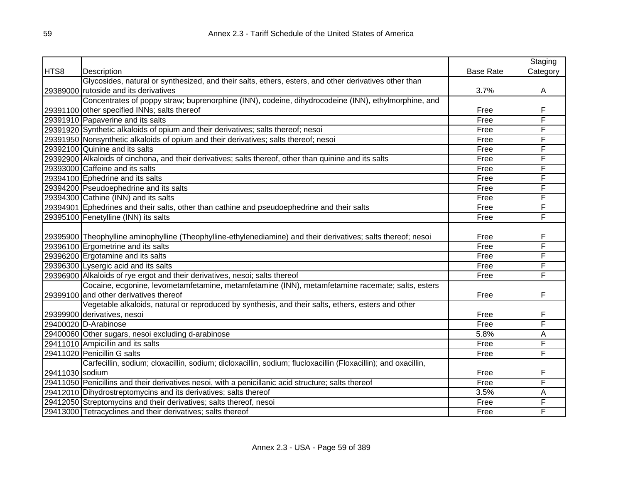|                 |                                                                                                                                            |                  | Staging  |
|-----------------|--------------------------------------------------------------------------------------------------------------------------------------------|------------------|----------|
| HTS8            | Description                                                                                                                                | <b>Base Rate</b> | Category |
|                 | Glycosides, natural or synthesized, and their salts, ethers, esters, and other derivatives other than                                      |                  |          |
|                 | 29389000 rutoside and its derivatives                                                                                                      | 3.7%             | A        |
|                 | Concentrates of poppy straw; buprenorphine (INN), codeine, dihydrocodeine (INN), ethylmorphine, and                                        |                  |          |
|                 | 29391100 other specified INNs; salts thereof                                                                                               | Free             | F        |
|                 | 29391910 Papaverine and its salts                                                                                                          | Free             | F        |
|                 | 29391920 Synthetic alkaloids of opium and their derivatives; salts thereof; nesoi                                                          | Free             | F        |
|                 | 29391950 Nonsynthetic alkaloids of opium and their derivatives; salts thereof; nesoi                                                       | Free             | F        |
|                 | 29392100 Quinine and its salts                                                                                                             | Free             | F        |
|                 | 29392900 Alkaloids of cinchona, and their derivatives; salts thereof, other than quinine and its salts                                     | Free             | F        |
|                 | 29393000 Caffeine and its salts                                                                                                            | Free             | F        |
|                 | 29394100 Ephedrine and its salts                                                                                                           | Free             | F        |
|                 | 29394200 Pseudoephedrine and its salts                                                                                                     | Free             | F        |
|                 | 29394300 Cathine (INN) and its salts                                                                                                       | Free             | F        |
|                 | 29394901 Ephedrines and their salts, other than cathine and pseudoephedrine and their salts                                                | Free             | F        |
|                 | 29395100 Fenetylline (INN) its salts                                                                                                       | Free             | F        |
|                 | [29395900]Theophylline aminophylline (Theophylline-ethylenediamine) and their derivatives; salts thereof; nesoi                            | Free             | F        |
|                 | 29396100 Ergometrine and its salts                                                                                                         | Free             | F        |
|                 | 29396200 Ergotamine and its salts                                                                                                          | Free             | F        |
|                 | 29396300 Lysergic acid and its salts                                                                                                       | Free             | F        |
|                 | 29396900 Alkaloids of rye ergot and their derivatives, nesoi; salts thereof                                                                | Free             | F        |
|                 | Cocaine, ecgonine, levometamfetamine, metamfetamine (INN), metamfetamine racemate; salts, esters<br>29399100 and other derivatives thereof | Free             | F        |
|                 | Vegetable alkaloids, natural or reproduced by synthesis, and their salts, ethers, esters and other                                         |                  |          |
|                 | 29399900 derivatives, nesoi                                                                                                                | Free             | F        |
|                 | 29400020 D-Arabinose                                                                                                                       | Free             | F        |
|                 | 29400060 Other sugars, nesoi excluding d-arabinose                                                                                         | 5.8%             | A        |
|                 | 29411010 Ampicillin and its salts                                                                                                          | Free             | F        |
|                 | 29411020 Penicillin G salts                                                                                                                | Free             | F        |
|                 | Carfecillin, sodium; cloxacillin, sodium; dicloxacillin, sodium; flucloxacillin (Floxacillin); and oxacillin,                              |                  |          |
| 29411030 sodium |                                                                                                                                            | Free             | F        |
|                 | 29411050 Penicillins and their derivatives nesoi, with a penicillanic acid structure; salts thereof                                        | Free             | F        |
|                 | 29412010 Dihydrostreptomycins and its derivatives; salts thereof                                                                           | 3.5%             | Α        |
|                 | 29412050 Streptomycins and their derivatives; salts thereof, nesoi                                                                         | Free             | F        |
|                 | 29413000 Tetracyclines and their derivatives; salts thereof                                                                                | Free             | F        |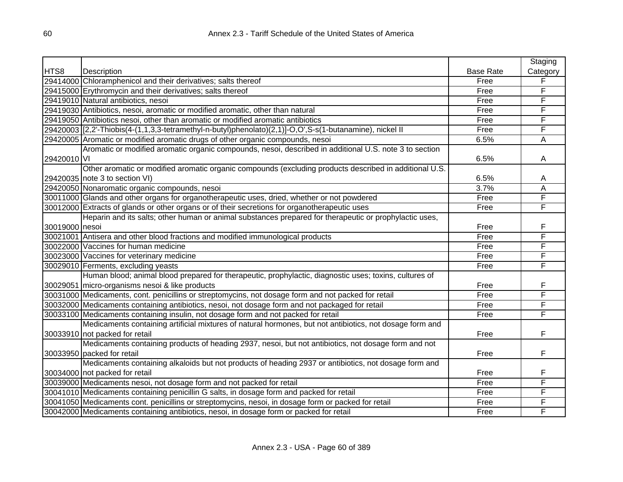|                |                                                                                                          |                  | Staging  |
|----------------|----------------------------------------------------------------------------------------------------------|------------------|----------|
| HTS8           | Description                                                                                              | <b>Base Rate</b> | Category |
|                | 29414000 Chloramphenicol and their derivatives; salts thereof                                            | Free             | F        |
|                | 29415000 Erythromycin and their derivatives; salts thereof                                               | Free             | F        |
|                | 29419010 Natural antibiotics, nesoi                                                                      | Free             | F        |
|                | 29419030 Antibiotics, nesoi, aromatic or modified aromatic, other than natural                           | Free             | F        |
|                | 29419050 Antibiotics nesoi, other than aromatic or modified aromatic antibiotics                         | Free             | F        |
|                | 29420003 [2,2'-Thiobis(4-(1,1,3,3-tetramethyl-n-butyl)phenolato)(2,1)]-O,O',S-s(1-butanamine), nickel II | Free             | F        |
|                | 29420005 Aromatic or modified aromatic drugs of other organic compounds, nesoi                           | 6.5%             | A        |
|                | Aromatic or modified aromatic organic compounds, nesoi, described in additional U.S. note 3 to section   |                  |          |
| 29420010 VI    |                                                                                                          | 6.5%             | A        |
|                | Other aromatic or modified aromatic organic compounds (excluding products described in additional U.S.   |                  |          |
|                | 29420035 note 3 to section VI)                                                                           | 6.5%             | Α        |
|                | 29420050 Nonaromatic organic compounds, nesoi                                                            | 3.7%             | Α        |
|                | 30011000 Glands and other organs for organotherapeutic uses, dried, whether or not powdered              | Free             | F        |
|                | 30012000 Extracts of glands or other organs or of their secretions for organotherapeutic uses            | Free             | F        |
|                | Heparin and its salts; other human or animal substances prepared for therapeutic or prophylactic uses,   |                  |          |
| 30019000 nesoi |                                                                                                          | Free             | F        |
|                | 30021001 Antisera and other blood fractions and modified immunological products                          | Free             | F        |
|                | 30022000 Vaccines for human medicine                                                                     | Free             | F        |
|                | 30023000 Vaccines for veterinary medicine                                                                | Free             | F        |
|                | 30029010 Ferments, excluding yeasts                                                                      | Free             | F        |
|                | Human blood; animal blood prepared for therapeutic, prophylactic, diagnostic uses; toxins, cultures of   |                  |          |
|                | 30029051 micro-organisms nesoi & like products                                                           | Free             | F        |
|                | 30031000 Medicaments, cont. penicillins or streptomycins, not dosage form and not packed for retail      | Free             | F        |
|                | 30032000 Medicaments containing antibiotics, nesoi, not dosage form and not packaged for retail          | Free             | F        |
|                | 30033100 Medicaments containing insulin, not dosage form and not packed for retail                       | Free             | F        |
|                | Medicaments containing artificial mixtures of natural hormones, but not antibiotics, not dosage form and |                  |          |
|                | 30033910 not packed for retail                                                                           | Free             | F        |
|                | Medicaments containing products of heading 2937, nesoi, but not antibiotics, not dosage form and not     |                  |          |
|                | 30033950 packed for retail                                                                               | Free             | F        |
|                | Medicaments containing alkaloids but not products of heading 2937 or antibiotics, not dosage form and    |                  |          |
|                | 30034000 not packed for retail                                                                           | Free             | F        |
|                | 30039000 Medicaments nesoi, not dosage form and not packed for retail                                    | Free             | F        |
|                | 30041010 Medicaments containing penicillin G salts, in dosage form and packed for retail                 | Free             | F        |
|                | 30041050 Medicaments cont. penicillins or streptomycins, nesoi, in dosage form or packed for retail      | Free             | F        |
|                | 30042000 Medicaments containing antibiotics, nesoi, in dosage form or packed for retail                  | Free             | F        |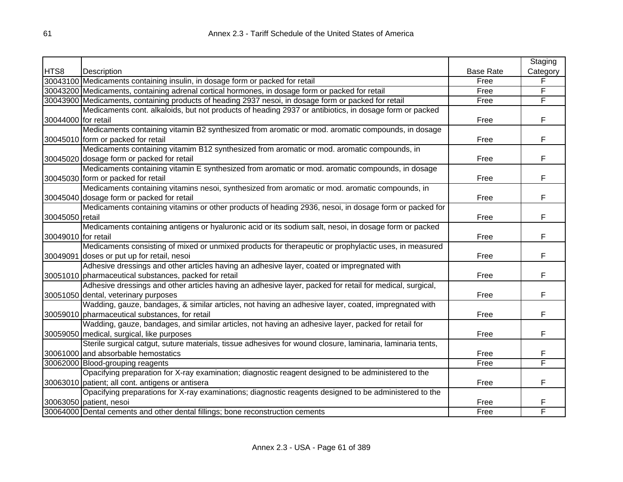|                     |                                                                                                            |                  | Staging  |
|---------------------|------------------------------------------------------------------------------------------------------------|------------------|----------|
| HTS8                | Description                                                                                                | <b>Base Rate</b> | Category |
|                     | 30043100 Medicaments containing insulin, in dosage form or packed for retail                               | Free             | F        |
|                     | 30043200 Medicaments, containing adrenal cortical hormones, in dosage form or packed for retail            | Free             | F        |
|                     | 30043900 Medicaments, containing products of heading 2937 nesoi, in dosage form or packed for retail       | Free             | F        |
|                     | Medicaments cont. alkaloids, but not products of heading 2937 or antibiotics, in dosage form or packed     |                  |          |
| 30044000 for retail |                                                                                                            | Free             | F        |
|                     | Medicaments containing vitamin B2 synthesized from aromatic or mod. aromatic compounds, in dosage          |                  |          |
|                     | 30045010 form or packed for retail                                                                         | Free             | F        |
|                     | Medicaments containing vitamim B12 synthesized from aromatic or mod. aromatic compounds, in                |                  |          |
|                     | 30045020 dosage form or packed for retail                                                                  | Free             | F        |
|                     | Medicaments containing vitamin E synthesized from aromatic or mod. aromatic compounds, in dosage           |                  |          |
|                     | 30045030 form or packed for retail                                                                         | Free             | F        |
|                     | Medicaments containing vitamins nesoi, synthesized from aromatic or mod. aromatic compounds, in            |                  |          |
|                     | 30045040 dosage form or packed for retail                                                                  | Free             | F        |
|                     | Medicaments containing vitamins or other products of heading 2936, nesoi, in dosage form or packed for     |                  |          |
| 30045050 retail     |                                                                                                            | Free             | F        |
|                     | Medicaments containing antigens or hyaluronic acid or its sodium salt, nesoi, in dosage form or packed     |                  |          |
| 30049010 for retail |                                                                                                            | Free             | F        |
|                     | Medicaments consisting of mixed or unmixed products for therapeutic or prophylactic uses, in measured      |                  |          |
|                     | 30049091 doses or put up for retail, nesoi                                                                 | Free             | F.       |
|                     | Adhesive dressings and other articles having an adhesive layer, coated or impregnated with                 |                  |          |
|                     | 30051010 pharmaceutical substances, packed for retail                                                      | Free             | F        |
|                     | Adhesive dressings and other articles having an adhesive layer, packed for retail for medical, surgical,   |                  |          |
|                     | 30051050 dental, veterinary purposes                                                                       | Free             | F        |
|                     | Wadding, gauze, bandages, & similar articles, not having an adhesive layer, coated, impregnated with       |                  |          |
|                     | 30059010 pharmaceutical substances, for retail                                                             | Free             | F        |
|                     | Wadding, gauze, bandages, and similar articles, not having an adhesive layer, packed for retail for        |                  |          |
|                     | 30059050 medical, surgical, like purposes                                                                  | Free             | F        |
|                     | Sterile surgical catgut, suture materials, tissue adhesives for wound closure, laminaria, laminaria tents, |                  |          |
|                     | 30061000 and absorbable hemostatics                                                                        | Free             | F        |
|                     | 30062000 Blood-grouping reagents                                                                           | Free             | F        |
|                     | Opacifying preparation for X-ray examination; diagnostic reagent designed to be administered to the        |                  |          |
|                     | 30063010 patient; all cont. antigens or antisera                                                           | Free             | F        |
|                     | Opacifying preparations for X-ray examinations; diagnostic reagents designed to be administered to the     |                  |          |
|                     | 30063050 patient, nesoi                                                                                    | Free             | F        |
|                     | 30064000 Dental cements and other dental fillings; bone reconstruction cements                             | Free             | F        |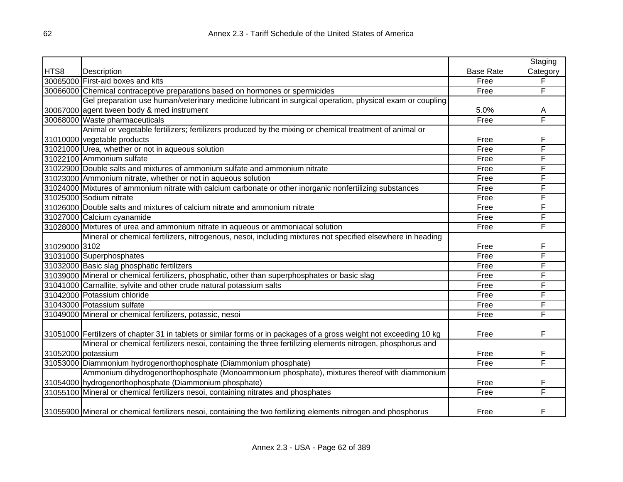|               |                                                                                                                     |                  | Staging  |
|---------------|---------------------------------------------------------------------------------------------------------------------|------------------|----------|
| HTS8          | Description                                                                                                         | <b>Base Rate</b> | Category |
|               | 30065000 First-aid boxes and kits                                                                                   | Free             | F        |
|               | 30066000 Chemical contraceptive preparations based on hormones or spermicides                                       | Free             | F        |
|               | Gel preparation use human/veterinary medicine lubricant in surgical operation, physical exam or coupling            |                  |          |
|               | 30067000 agent tween body & med instrument                                                                          | 5.0%             | A        |
|               | 30068000 Waste pharmaceuticals                                                                                      | Free             | F        |
|               | Animal or vegetable fertilizers; fertilizers produced by the mixing or chemical treatment of animal or              |                  |          |
|               | 31010000 vegetable products                                                                                         | Free             | F        |
|               | 31021000 Urea, whether or not in aqueous solution                                                                   | Free             | F        |
|               | 31022100 Ammonium sulfate                                                                                           | Free             | F        |
|               | 31022900 Double salts and mixtures of ammonium sulfate and ammonium nitrate                                         | Free             | F        |
|               | 31023000 Ammonium nitrate, whether or not in aqueous solution                                                       | Free             | F        |
|               | 31024000 Mixtures of ammonium nitrate with calcium carbonate or other inorganic nonfertilizing substances           | Free             | F        |
|               | 31025000 Sodium nitrate                                                                                             | Free             | F        |
|               | 31026000 Double salts and mixtures of calcium nitrate and ammonium nitrate                                          | Free             | F        |
|               | 31027000 Calcium cyanamide                                                                                          | Free             | F        |
|               | 31028000 Mixtures of urea and ammonium nitrate in aqueous or ammoniacal solution                                    | Free             | F        |
|               | Mineral or chemical fertilizers, nitrogenous, nesoi, including mixtures not specified elsewhere in heading          |                  |          |
| 31029000 3102 |                                                                                                                     | Free             | F        |
|               | 31031000 Superphosphates                                                                                            | Free             | F        |
|               | 31032000 Basic slag phosphatic fertilizers                                                                          | Free             | F        |
|               | 31039000 Mineral or chemical fertilizers, phosphatic, other than superphosphates or basic slag                      | Free             | F        |
|               | 31041000 Carnallite, sylvite and other crude natural potassium salts                                                | Free             | F        |
|               | 31042000 Potassium chloride                                                                                         | Free             | F        |
|               | 31043000 Potassium sulfate                                                                                          | Free             | F        |
|               | 31049000 Mineral or chemical fertilizers, potassic, nesoi                                                           | Free             | F        |
|               |                                                                                                                     |                  |          |
|               | 31051000 Fertilizers of chapter 31 in tablets or similar forms or in packages of a gross weight not exceeding 10 kg | Free             | F        |
|               | Mineral or chemical fertilizers nesoi, containing the three fertilizing elements nitrogen, phosphorus and           |                  |          |
|               | 31052000 potassium                                                                                                  | Free             | F        |
|               | 31053000 Diammonium hydrogenorthophosphate (Diammonium phosphate)                                                   | Free             | F        |
|               | Ammonium dihydrogenorthophosphate (Monoammonium phosphate), mixtures thereof with diammonium                        |                  |          |
|               | 31054000 hydrogenorthophosphate (Diammonium phosphate)                                                              | Free             | F        |
|               | 31055100 Mineral or chemical fertilizers nesoi, containing nitrates and phosphates                                  | Free             | F        |
|               |                                                                                                                     |                  |          |
|               | 31055900 Mineral or chemical fertilizers nesoi, containing the two fertilizing elements nitrogen and phosphorus     | Free             | F        |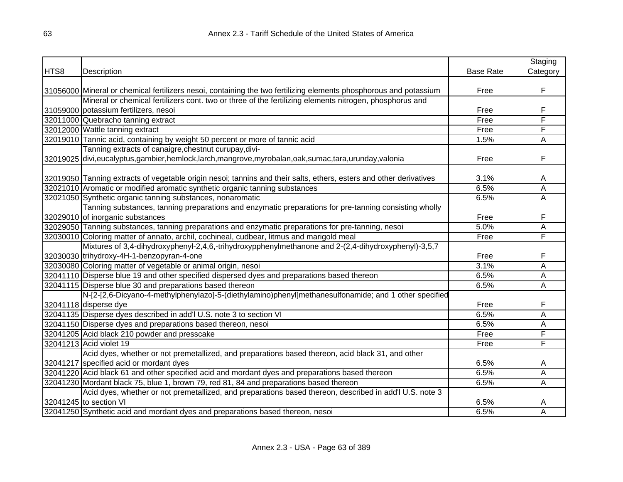|      |                                                                                                                    |                  | Staging  |
|------|--------------------------------------------------------------------------------------------------------------------|------------------|----------|
| HTS8 | Description                                                                                                        | <b>Base Rate</b> | Category |
|      |                                                                                                                    |                  |          |
|      | 31056000 Mineral or chemical fertilizers nesoi, containing the two fertilizing elements phosphorous and potassium  | Free             | F        |
|      | Mineral or chemical fertilizers cont. two or three of the fertilizing elements nitrogen, phosphorus and            |                  |          |
|      | 31059000 potassium fertilizers, nesoi                                                                              | Free             | F        |
|      | 32011000 Quebracho tanning extract                                                                                 | Free             | F        |
|      | 32012000 Wattle tanning extract                                                                                    | Free             | F        |
|      | 32019010 Tannic acid, containing by weight 50 percent or more of tannic acid                                       | 1.5%             | A        |
|      | Tanning extracts of canaigre, chestnut curupay, divi-                                                              |                  |          |
|      | 32019025 divi,eucalyptus,gambier,hemlock,larch,mangrove,myrobalan,oak,sumac,tara,urunday,valonia                   | Free             | F        |
|      |                                                                                                                    |                  |          |
|      | 32019050 Tanning extracts of vegetable origin nesoi; tannins and their salts, ethers, esters and other derivatives | 3.1%             | A        |
|      | 32021010 Aromatic or modified aromatic synthetic organic tanning substances                                        | 6.5%             | A        |
|      | 32021050 Synthetic organic tanning substances, nonaromatic                                                         | 6.5%             | Ā        |
|      | Tanning substances, tanning preparations and enzymatic preparations for pre-tanning consisting wholly              |                  |          |
|      | 32029010 of inorganic substances                                                                                   | Free             | F        |
|      | 32029050 Tanning substances, tanning preparations and enzymatic preparations for pre-tanning, nesoi                | 5.0%             | А        |
|      | 32030010 Coloring matter of annato, archil, cochineal, cudbear, litmus and marigold meal                           | Free             | F        |
|      | Mixtures of 3,4-dihydroxyphenyl-2,4,6,-trihydroxypphenylmethanone and 2-(2,4-dihydroxyphenyl)-3,5,7                |                  |          |
|      | 32030030 trihydroxy-4H-1-benzopyran-4-one                                                                          | Free             | F        |
|      | 32030080 Coloring matter of vegetable or animal origin, nesoi                                                      | 3.1%             | Α        |
|      | 32041110 Disperse blue 19 and other specified dispersed dyes and preparations based thereon                        | 6.5%             | Α        |
|      | 32041115 Disperse blue 30 and preparations based thereon                                                           | 6.5%             | Α        |
|      | N-[2-[2,6-Dicyano-4-methylphenylazo]-5-(diethylamino)phenyl]methanesulfonamide; and 1 other specified              |                  |          |
|      | 32041118 disperse dye                                                                                              | Free             | F        |
|      | 32041135 Disperse dyes described in add'l U.S. note 3 to section VI                                                | 6.5%             | A        |
|      | 32041150 Disperse dyes and preparations based thereon, nesoi                                                       | 6.5%             | A        |
|      | 32041205 Acid black 210 powder and presscake                                                                       | Free             | F        |
|      | 32041213 Acid violet 19                                                                                            | Free             | F        |
|      | Acid dyes, whether or not premetallized, and preparations based thereon, acid black 31, and other                  |                  |          |
|      | 32041217 specified acid or mordant dyes                                                                            | 6.5%             | A        |
|      | 32041220 Acid black 61 and other specified acid and mordant dyes and preparations based thereon                    | 6.5%             | Α        |
|      | 32041230 Mordant black 75, blue 1, brown 79, red 81, 84 and preparations based thereon                             | 6.5%             | Α        |
|      | Acid dyes, whether or not premetallized, and preparations based thereon, described in add'l U.S. note 3            |                  |          |
|      | 32041245 to section VI                                                                                             | 6.5%             | Α        |
|      | 32041250 Synthetic acid and mordant dyes and preparations based thereon, nesoi                                     | 6.5%             | Α        |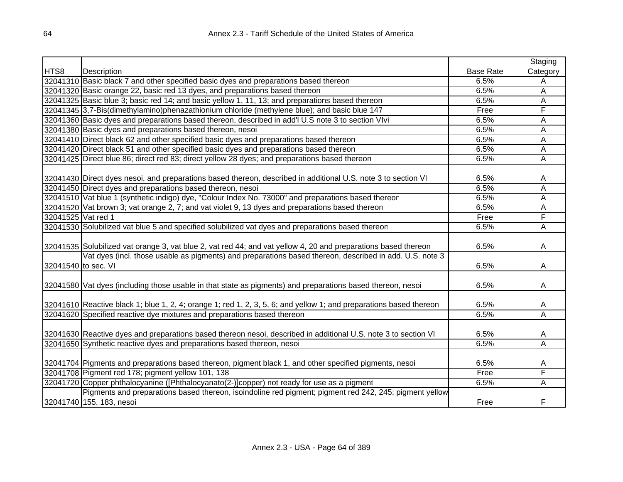|                     |                                                                                                                                    |                  | Staging                 |
|---------------------|------------------------------------------------------------------------------------------------------------------------------------|------------------|-------------------------|
| HTS8                | Description                                                                                                                        | <b>Base Rate</b> | Category                |
|                     | 32041310 Basic black 7 and other specified basic dyes and preparations based thereon                                               | 6.5%             | Α                       |
|                     | 32041320 Basic orange 22, basic red 13 dyes, and preparations based thereon                                                        | 6.5%             | A                       |
|                     | 32041325 Basic blue 3; basic red 14; and basic yellow 1, 11, 13; and preparations based thereon                                    | 6.5%             | Α                       |
|                     | 32041345 3,7-Bis(dimethylamino)phenazathionium chloride (methylene blue); and basic blue 147                                       | Free             | F                       |
|                     | 32041360 Basic dyes and preparations based thereon, described in add'l U.S note 3 to section Vlvi                                  | 6.5%             | Α                       |
|                     | 32041380 Basic dyes and preparations based thereon, nesoi                                                                          | 6.5%             | A                       |
|                     | 32041410 Direct black 62 and other specified basic dyes and preparations based thereon                                             | 6.5%             | Α                       |
|                     | 32041420 Direct black 51 and other specified basic dyes and preparations based thereon                                             | 6.5%             | A                       |
|                     | 32041425 Direct blue 86; direct red 83; direct yellow 28 dyes; and preparations based thereon                                      | 6.5%             | A                       |
|                     |                                                                                                                                    |                  |                         |
|                     | 32041430 Direct dyes nesoi, and preparations based thereon, described in additional U.S. note 3 to section VI                      | 6.5%             | A                       |
|                     | 32041450 Direct dyes and preparations based thereon, nesoi                                                                         | 6.5%             | A                       |
|                     | 32041510 Vat blue 1 (synthetic indigo) dye, "Colour Index No. 73000" and preparations based thereon                                | 6.5%             | А                       |
|                     | 32041520 Vat brown 3; vat orange 2, 7; and vat violet 9, 13 dyes and preparations based thereon                                    | 6.5%             | Ā                       |
| 32041525 Vat red 1  |                                                                                                                                    | Free             | F                       |
|                     | 32041530 Solubilized vat blue 5 and specified solubilized vat dyes and preparations based thereor                                  | 6.5%             | Α                       |
|                     | 32041535 Solubilized vat orange 3, vat blue 2, vat red 44; and vat yellow 4, 20 and preparations based thereon                     | 6.5%             | A                       |
|                     | Vat dyes (incl. those usable as pigments) and preparations based thereon, described in add. U.S. note 3                            |                  |                         |
| 32041540 to sec. VI |                                                                                                                                    | 6.5%             | A                       |
|                     | 32041580 Vat dyes (including those usable in that state as pigments) and preparations based thereon, nesoi                         | 6.5%             | A                       |
|                     | 32041610 Reactive black 1; blue 1, 2, 4; orange 1; red 1, 2, 3, 5, 6; and yellow 1; and preparations based thereon                 | 6.5%             | A                       |
|                     | 32041620 Specified reactive dye mixtures and preparations based thereon                                                            | 6.5%             | $\overline{\mathsf{A}}$ |
|                     | 32041630 Reactive dyes and preparations based thereon nesoi, described in additional U.S. note 3 to section VI                     | 6.5%             | A                       |
|                     | 32041650 Synthetic reactive dyes and preparations based thereon, nesoi                                                             | 6.5%             | Α                       |
|                     | 32041704 Pigments and preparations based thereon, pigment black 1, and other specified pigments, nesoi                             | 6.5%             | A                       |
|                     | 32041708 Pigment red 178; pigment yellow 101, 138                                                                                  | Free             | F                       |
|                     | 32041720 Copper phthalocyanine ([Phthalocyanato(2-)]copper) not ready for use as a pigment                                         | 6.5%             | Α                       |
|                     | Pigments and preparations based thereon, isoindoline red pigment; pigment red 242, 245; pigment yellow<br>32041740 155, 183, nesoi | Free             | F                       |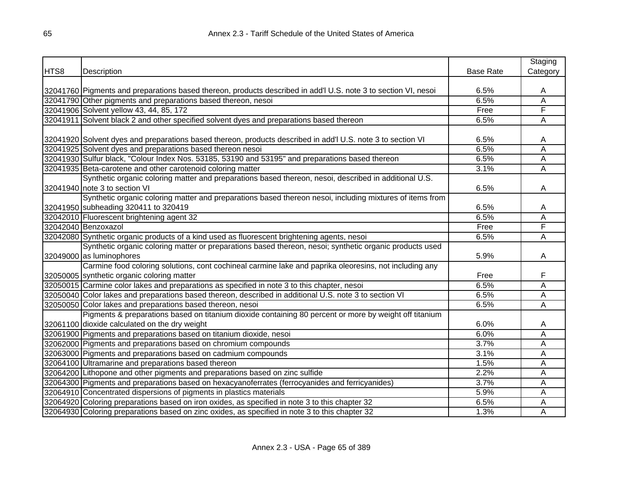|      |                                                                                                                |                  | Staging        |
|------|----------------------------------------------------------------------------------------------------------------|------------------|----------------|
| HTS8 | Description                                                                                                    | <b>Base Rate</b> | Category       |
|      |                                                                                                                |                  |                |
|      | 32041760 Pigments and preparations based thereon, products described in add'I U.S. note 3 to section VI, nesoi | 6.5%             | A              |
|      | 32041790 Other pigments and preparations based thereon, nesoi                                                  | 6.5%             | $\overline{A}$ |
|      | 32041906 Solvent yellow 43, 44, 85, 172                                                                        | Free             | F              |
|      | 32041911 Solvent black 2 and other specified solvent dyes and preparations based thereon                       | 6.5%             | A              |
|      |                                                                                                                |                  |                |
|      | 32041920 Solvent dyes and preparations based thereon, products described in add'l U.S. note 3 to section VI    | 6.5%             | Α              |
|      | 32041925 Solvent dyes and preparations based thereon nesoi                                                     | 6.5%             | A              |
|      | 32041930 Sulfur black, "Colour Index Nos. 53185, 53190 and 53195" and preparations based thereon               | 6.5%             | A              |
|      | 32041935 Beta-carotene and other carotenoid coloring matter                                                    | 3.1%             | A              |
|      | Synthetic organic coloring matter and preparations based thereon, nesoi, described in additional U.S.          |                  |                |
|      | 32041940 note 3 to section VI                                                                                  | 6.5%             | A              |
|      | Synthetic organic coloring matter and preparations based thereon nesoi, including mixtures of items from       |                  |                |
|      | 32041950 subheading 320411 to 320419                                                                           | 6.5%             | A              |
|      | 32042010 Fluorescent brightening agent 32                                                                      | 6.5%             | Α              |
|      | 32042040 Benzoxazol                                                                                            | Free             | F              |
|      | 32042080 Synthetic organic products of a kind used as fluorescent brightening agents, nesoi                    | 6.5%             | A              |
|      | Synthetic organic coloring matter or preparations based thereon, nesoi; synthetic organic products used        |                  |                |
|      | 32049000 as luminophores                                                                                       | 5.9%             | A              |
|      | Carmine food coloring solutions, cont cochineal carmine lake and paprika oleoresins, not including any         |                  |                |
|      | 32050005 synthetic organic coloring matter                                                                     | Free             | F              |
|      | 32050015 Carmine color lakes and preparations as specified in note 3 to this chapter, nesoi                    | 6.5%             | Α              |
|      | 32050040 Color lakes and preparations based thereon, described in additional U.S. note 3 to section VI         | 6.5%             | A              |
|      | 32050050 Color lakes and preparations based thereon, nesoi                                                     | 6.5%             | A              |
|      | Pigments & preparations based on titanium dioxide containing 80 percent or more by weight off titanium         |                  |                |
|      | 32061100 dioxide calculated on the dry weight                                                                  | 6.0%             | A              |
|      | 32061900 Pigments and preparations based on titanium dioxide, nesoi                                            | 6.0%             | A              |
|      | 32062000 Pigments and preparations based on chromium compounds                                                 | 3.7%             | A              |
|      | 32063000 Pigments and preparations based on cadmium compounds                                                  | 3.1%             | A              |
|      | 32064100 Ultramarine and preparations based thereon                                                            | 1.5%             | A              |
|      | 32064200 Lithopone and other pigments and preparations based on zinc sulfide                                   | 2.2%             | A              |
|      | 32064300 Pigments and preparations based on hexacyanoferrates (ferrocyanides and ferricyanides)                | 3.7%             | Α              |
|      | 32064910 Concentrated dispersions of pigments in plastics materials                                            | 5.9%             | A              |
|      | 32064920 Coloring preparations based on iron oxides, as specified in note 3 to this chapter 32                 | 6.5%             | A              |
|      | 32064930 Coloring preparations based on zinc oxides, as specified in note 3 to this chapter 32                 | 1.3%             | A              |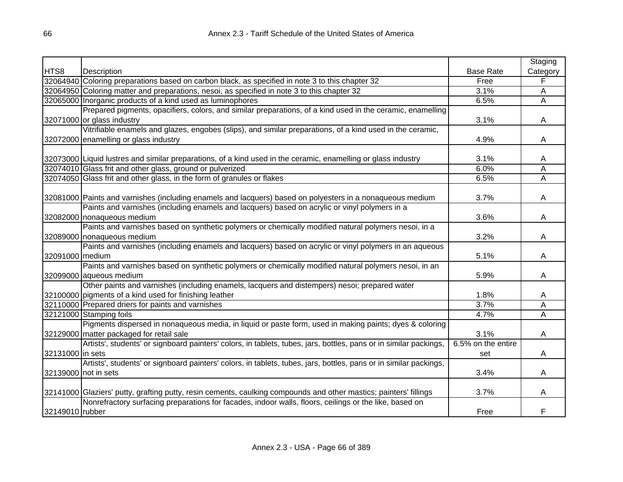|                  |                                                                                                                   |                    | Staging  |
|------------------|-------------------------------------------------------------------------------------------------------------------|--------------------|----------|
| HTS8             | Description                                                                                                       | <b>Base Rate</b>   | Category |
|                  | 32064940 Coloring preparations based on carbon black, as specified in note 3 to this chapter 32                   | Free               | F        |
|                  | 32064950 Coloring matter and preparations, nesoi, as specified in note 3 to this chapter 32                       | 3.1%               | A        |
|                  | 32065000 Inorganic products of a kind used as luminophores                                                        | 6.5%               | Ā        |
|                  | Prepared pigments, opacifiers, colors, and similar preparations, of a kind used in the ceramic, enamelling        |                    |          |
|                  | 32071000 or glass industry                                                                                        | 3.1%               | A        |
|                  | Vitrifiable enamels and glazes, engobes (slips), and similar preparations, of a kind used in the ceramic,         |                    |          |
|                  | 32072000 enamelling or glass industry                                                                             | 4.9%               | A        |
|                  |                                                                                                                   |                    |          |
|                  | 32073000 Liquid lustres and similar preparations, of a kind used in the ceramic, enamelling or glass industry     | 3.1%               | A        |
|                  | 32074010 Glass frit and other glass, ground or pulverized                                                         | 6.0%               | Α        |
|                  | 32074050 Glass frit and other glass, in the form of granules or flakes                                            | 6.5%               | Ā        |
|                  |                                                                                                                   |                    |          |
|                  | 32081000 Paints and varnishes (including enamels and lacquers) based on polyesters in a nonaqueous medium         | 3.7%               | A        |
|                  | Paints and varnishes (including enamels and lacquers) based on acrylic or vinyl polymers in a                     |                    |          |
|                  | 32082000 nonaqueous medium                                                                                        | 3.6%               | A        |
|                  | Paints and varnishes based on synthetic polymers or chemically modified natural polymers nesoi, in a              |                    |          |
|                  | 32089000 nonaqueous medium                                                                                        | 3.2%               | A        |
|                  | Paints and varnishes (including enamels and lacquers) based on acrylic or vinyl polymers in an aqueous            |                    |          |
| 32091000 medium  |                                                                                                                   | 5.1%               | A        |
|                  | Paints and varnishes based on synthetic polymers or chemically modified natural polymers nesoi, in an             |                    |          |
|                  | 32099000 aqueous medium                                                                                           | 5.9%               | A        |
|                  | Other paints and varnishes (including enamels, lacquers and distempers) nesoi; prepared water                     |                    |          |
|                  | 32100000 pigments of a kind used for finishing leather                                                            | 1.8%               | A        |
|                  | 32110000 Prepared driers for paints and varnishes                                                                 | 3.7%               | Α        |
|                  | 32121000 Stamping foils                                                                                           | 4.7%               | A        |
|                  | Pigments dispersed in nonaqueous media, in liquid or paste form, used in making paints; dyes & coloring           |                    |          |
|                  | 32129000 matter packaged for retail sale                                                                          | 3.1%               | A        |
|                  | Artists', students' or signboard painters' colors, in tablets, tubes, jars, bottles, pans or in similar packings, | 6.5% on the entire |          |
| 32131000 in sets |                                                                                                                   | set                | A        |
|                  | Artists', students' or signboard painters' colors, in tablets, tubes, jars, bottles, pans or in similar packings, |                    |          |
|                  | 32139000 not in sets                                                                                              | 3.4%               | A        |
|                  |                                                                                                                   |                    |          |
|                  | 32141000 Glaziers' putty, grafting putty, resin cements, caulking compounds and other mastics; painters' fillings | 3.7%               | A        |
|                  | Nonrefractory surfacing preparations for facades, indoor walls, floors, ceilings or the like, based on            |                    |          |
| 32149010 rubber  |                                                                                                                   | Free               | F        |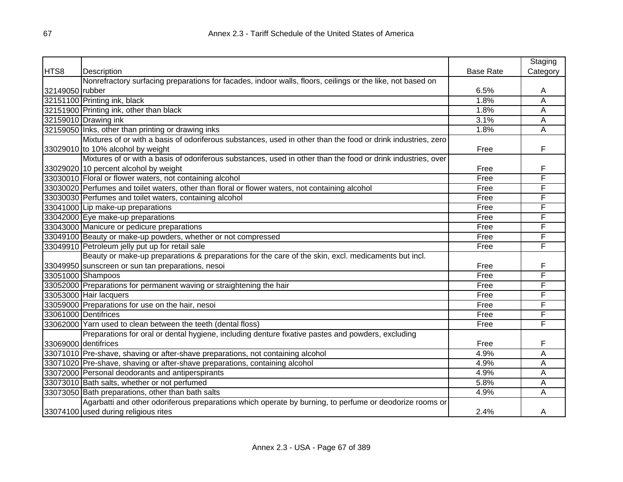|                 |                                                                                                              |                  | Staging        |
|-----------------|--------------------------------------------------------------------------------------------------------------|------------------|----------------|
| HTS8            | Description                                                                                                  | <b>Base Rate</b> | Category       |
|                 | Nonrefractory surfacing preparations for facades, indoor walls, floors, ceilings or the like, not based on   |                  |                |
| 32149050 rubber |                                                                                                              | 6.5%             | Α              |
|                 | 32151100 Printing ink, black                                                                                 | 1.8%             | $\overline{A}$ |
|                 | 32151900 Printing ink, other than black                                                                      | 1.8%             | $\overline{A}$ |
|                 | 32159010 Drawing ink                                                                                         | 3.1%             | A              |
|                 | 32159050 Inks, other than printing or drawing inks                                                           | 1.8%             | A              |
|                 | Mixtures of or with a basis of odoriferous substances, used in other than the food or drink industries, zero |                  |                |
|                 | 33029010 to 10% alcohol by weight                                                                            | Free             | F              |
|                 | Mixtures of or with a basis of odoriferous substances, used in other than the food or drink industries, over |                  |                |
|                 | 33029020 10 percent alcohol by weight                                                                        | Free             | F              |
|                 | 33030010 Floral or flower waters, not containing alcohol                                                     | Free             | F              |
|                 | 33030020 Perfumes and toilet waters, other than floral or flower waters, not containing alcohol              | Free             | F              |
|                 | 33030030 Perfumes and toilet waters, containing alcohol                                                      | Free             | F              |
|                 | 33041000 Lip make-up preparations                                                                            | Free             | F              |
|                 | 33042000 Eye make-up preparations                                                                            | Free             | F              |
|                 | 33043000 Manicure or pedicure preparations                                                                   | Free             | F              |
|                 | 33049100 Beauty or make-up powders, whether or not compressed                                                | Free             | F              |
|                 | 33049910 Petroleum jelly put up for retail sale                                                              | Free             | F              |
|                 | Beauty or make-up preparations & preparations for the care of the skin, excl. medicaments but incl.          |                  |                |
|                 | 33049950 sunscreen or sun tan preparations, nesoi                                                            | Free             | F              |
|                 | 33051000 Shampoos                                                                                            | Free             | F              |
|                 | 33052000 Preparations for permanent waving or straightening the hair                                         | Free             | F              |
|                 | 33053000 Hair lacquers                                                                                       | Free             | F              |
|                 | 33059000 Preparations for use on the hair, nesoi                                                             | Free             | F              |
|                 | 33061000 Dentifrices                                                                                         | Free             | F              |
|                 | 33062000 Yarn used to clean between the teeth (dental floss)                                                 | Free             | F              |
|                 | Preparations for oral or dental hygiene, including denture fixative pastes and powders, excluding            |                  |                |
|                 | 33069000 dentifrices                                                                                         | Free             | F              |
|                 | 33071010 Pre-shave, shaving or after-shave preparations, not containing alcohol                              | 4.9%             | A              |
|                 | 33071020 Pre-shave, shaving or after-shave preparations, containing alcohol                                  | 4.9%             | A              |
|                 | 33072000 Personal deodorants and antiperspirants                                                             | 4.9%             | A              |
|                 | 33073010 Bath salts, whether or not perfumed                                                                 | 5.8%             | A              |
|                 | 33073050 Bath preparations, other than bath salts                                                            | 4.9%             | A              |
|                 | Agarbatti and other odoriferous preparations which operate by burning, to perfume or deodorize rooms or      |                  |                |
|                 | 33074100 used during religious rites                                                                         | 2.4%             | A              |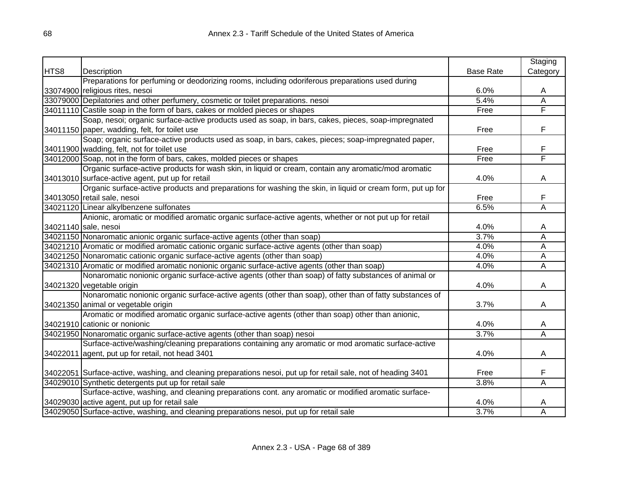|      |                                                                                                                |                  | Staging  |
|------|----------------------------------------------------------------------------------------------------------------|------------------|----------|
| HTS8 | Description                                                                                                    | <b>Base Rate</b> | Category |
|      | Preparations for perfuming or deodorizing rooms, including odoriferous preparations used during                |                  |          |
|      | 33074900 religious rites, nesoi                                                                                | 6.0%             | A        |
|      | 33079000 Depilatories and other perfumery, cosmetic or toilet preparations. nesoi                              | 5.4%             | Ā        |
|      | 34011110 Castile soap in the form of bars, cakes or molded pieces or shapes                                    | Free             | F        |
|      | Soap, nesoi; organic surface-active products used as soap, in bars, cakes, pieces, soap-impregnated            |                  |          |
|      | 34011150 paper, wadding, felt, for toilet use                                                                  | Free             | F        |
|      | Soap; organic surface-active products used as soap, in bars, cakes, pieces; soap-impregnated paper,            |                  |          |
|      | 34011900 wadding, felt, not for toilet use                                                                     | Free             | F        |
|      | 34012000 Soap, not in the form of bars, cakes, molded pieces or shapes                                         | Free             | F        |
|      | Organic surface-active products for wash skin, in liquid or cream, contain any aromatic/mod aromatic           |                  |          |
|      | 34013010 surface-active agent, put up for retail                                                               | 4.0%             | A        |
|      | Organic surface-active products and preparations for washing the skin, in liquid or cream form, put up for     |                  |          |
|      | 34013050 retail sale, nesoi                                                                                    | Free             | F        |
|      | 34021120 Linear alkylbenzene sulfonates                                                                        | 6.5%             | Α        |
|      | Anionic, aromatic or modified aromatic organic surface-active agents, whether or not put up for retail         |                  |          |
|      | 34021140 sale, nesoi                                                                                           | 4.0%             | A        |
|      | 34021150 Nonaromatic anionic organic surface-active agents (other than soap)                                   | 3.7%             | Ā        |
|      | 34021210 Aromatic or modified aromatic cationic organic surface-active agents (other than soap)                | 4.0%             | Ā        |
|      | 34021250 Nonaromatic cationic organic surface-active agents (other than soap)                                  | 4.0%             | A        |
|      | 34021310 Aromatic or modified aromatic nonionic organic surface-active agents (other than soap)                | 4.0%             | Ā        |
|      | Nonaromatic nonionic organic surface-active agents (other than soap) of fatty substances of animal or          |                  |          |
|      | 34021320 vegetable origin                                                                                      | 4.0%             | A        |
|      | Nonaromatic nonionic organic surface-active agents (other than soap), other than of fatty substances of        |                  |          |
|      | 34021350 animal or vegetable origin                                                                            | 3.7%             | A        |
|      | Aromatic or modified aromatic organic surface-active agents (other than soap) other than anionic,              |                  |          |
|      | 34021910 cationic or nonionic                                                                                  | 4.0%             | A        |
|      | 34021950 Nonaromatic organic surface-active agents (other than soap) nesoi                                     | 3.7%             | Ā        |
|      | Surface-active/washing/cleaning preparations containing any aromatic or mod aromatic surface-active            |                  |          |
|      | 34022011 agent, put up for retail, not head 3401                                                               | 4.0%             | A        |
|      | 34022051 Surface-active, washing, and cleaning preparations nesoi, put up for retail sale, not of heading 3401 | Free             | F        |
|      | 34029010 Synthetic detergents put up for retail sale                                                           | 3.8%             | A        |
|      | Surface-active, washing, and cleaning preparations cont. any aromatic or modified aromatic surface-            |                  |          |
|      | 34029030 active agent, put up for retail sale                                                                  | 4.0%             | A        |
|      | 34029050 Surface-active, washing, and cleaning preparations nesoi, put up for retail sale                      | 3.7%             | Α        |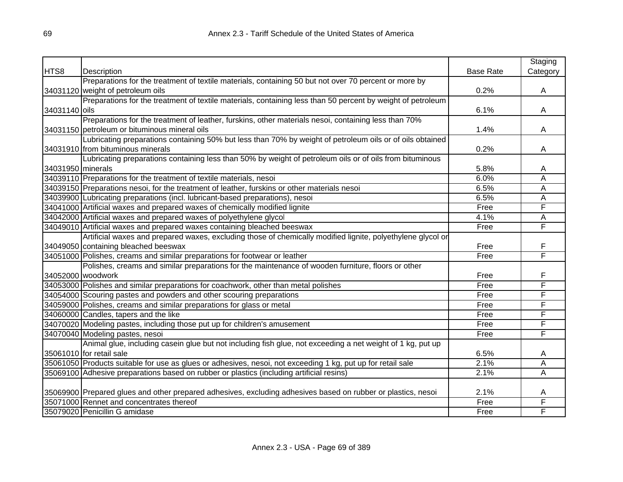|                   |                                                                                                              |                  | Staging  |
|-------------------|--------------------------------------------------------------------------------------------------------------|------------------|----------|
| HTS8              | Description                                                                                                  | <b>Base Rate</b> | Category |
|                   | Preparations for the treatment of textile materials, containing 50 but not over 70 percent or more by        |                  |          |
|                   | 34031120 weight of petroleum oils                                                                            | 0.2%             | A        |
|                   | Preparations for the treatment of textile materials, containing less than 50 percent by weight of petroleum  |                  |          |
| 34031140 oils     |                                                                                                              | 6.1%             | A        |
|                   | Preparations for the treatment of leather, furskins, other materials nesoi, containing less than 70%         |                  |          |
|                   | 34031150 petroleum or bituminous mineral oils                                                                | 1.4%             | A        |
|                   | Lubricating preparations containing 50% but less than 70% by weight of petroleum oils or of oils obtained    |                  |          |
|                   | 34031910 from bituminous minerals                                                                            | 0.2%             | A        |
|                   | Lubricating preparations containing less than 50% by weight of petroleum oils or of oils from bituminous     |                  |          |
| 34031950 minerals |                                                                                                              | 5.8%             | Α        |
|                   | 34039110 Preparations for the treatment of textile materials, nesoi                                          | 6.0%             | Α        |
|                   | 34039150 Preparations nesoi, for the treatment of leather, furskins or other materials nesoi                 | 6.5%             | Α        |
|                   | 34039900 Lubricating preparations (incl. lubricant-based preparations), nesoi                                | 6.5%             | A        |
|                   | 34041000 Artificial waxes and prepared waxes of chemically modified lignite                                  | Free             | F        |
|                   | 34042000 Artificial waxes and prepared waxes of polyethylene glycol                                          | 4.1%             | Α        |
|                   | 34049010 Artificial waxes and prepared waxes containing bleached beeswax                                     | Free             | F        |
|                   | Artificial waxes and prepared waxes, excluding those of chemically modified lignite, polyethylene glycol or  |                  |          |
|                   | 34049050 containing bleached beeswax                                                                         | Free             | F        |
|                   | 34051000 Polishes, creams and similar preparations for footwear or leather                                   | Free             | F        |
|                   | Polishes, creams and similar preparations for the maintenance of wooden furniture, floors or other           |                  |          |
|                   | 34052000 woodwork                                                                                            | Free             | F        |
|                   | 34053000 Polishes and similar preparations for coachwork, other than metal polishes                          | Free             | F        |
|                   | 34054000 Scouring pastes and powders and other scouring preparations                                         | Free             | F        |
|                   | 34059000 Polishes, creams and similar preparations for glass or metal                                        | Free             | F        |
|                   | 34060000 Candles, tapers and the like                                                                        | Free             | F        |
|                   | 34070020 Modeling pastes, including those put up for children's amusement                                    | Free             | F        |
|                   | 34070040 Modeling pastes, nesoi                                                                              | Free             | F        |
|                   | Animal glue, including casein glue but not including fish glue, not exceeding a net weight of 1 kg, put up   |                  |          |
|                   | 35061010 for retail sale                                                                                     | 6.5%             | A        |
|                   | 35061050 Products suitable for use as glues or adhesives, nesoi, not exceeding 1 kg, put up for retail sale  | 2.1%             | Ā        |
|                   | 35069100 Adhesive preparations based on rubber or plastics (including artificial resins)                     | 2.1%             | A        |
|                   |                                                                                                              |                  |          |
|                   | 35069900 Prepared glues and other prepared adhesives, excluding adhesives based on rubber or plastics, nesoi | 2.1%             | A        |
|                   | 35071000 Rennet and concentrates thereof                                                                     | Free             | F        |
|                   | 35079020 Penicillin G amidase                                                                                | Free             | F        |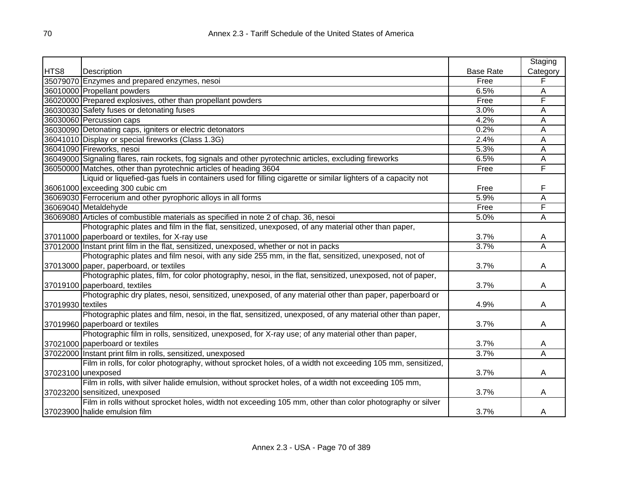|                   |                                                                                                              |                  | Staging  |
|-------------------|--------------------------------------------------------------------------------------------------------------|------------------|----------|
| HTS8              | Description                                                                                                  | <b>Base Rate</b> | Category |
|                   | 35079070 Enzymes and prepared enzymes, nesoi                                                                 | Free             | F        |
|                   | 36010000 Propellant powders                                                                                  | 6.5%             | A        |
|                   | 36020000 Prepared explosives, other than propellant powders                                                  | Free             | F        |
|                   | 36030030 Safety fuses or detonating fuses                                                                    | 3.0%             | A        |
|                   | 36030060 Percussion caps                                                                                     | 4.2%             | A        |
|                   | 36030090 Detonating caps, igniters or electric detonators                                                    | 0.2%             | A        |
|                   | 36041010 Display or special fireworks (Class 1.3G)                                                           | 2.4%             | A        |
|                   | 36041090 Fireworks, nesoi                                                                                    | 5.3%             | A        |
|                   | 36049000 Signaling flares, rain rockets, fog signals and other pyrotechnic articles, excluding fireworks     | 6.5%             | Α        |
|                   | 36050000 Matches, other than pyrotechnic articles of heading 3604                                            | Free             | F        |
|                   | Liquid or liquefied-gas fuels in containers used for filling cigarette or similar lighters of a capacity not |                  |          |
|                   | 36061000 exceeding 300 cubic cm                                                                              | Free             | F        |
|                   | 36069030 Ferrocerium and other pyrophoric alloys in all forms                                                | 5.9%             | A        |
|                   | 36069040 Metaldehyde                                                                                         | Free             | F        |
|                   | 36069080 Articles of combustible materials as specified in note 2 of chap. 36, nesoi                         | 5.0%             | A        |
|                   | Photographic plates and film in the flat, sensitized, unexposed, of any material other than paper,           |                  |          |
|                   | 37011000 paperboard or textiles, for X-ray use                                                               | 3.7%             | A        |
|                   | 37012000 Instant print film in the flat, sensitized, unexposed, whether or not in packs                      | 3.7%             | Α        |
|                   | Photographic plates and film nesoi, with any side 255 mm, in the flat, sensitized, unexposed, not of         |                  |          |
|                   | 37013000 paper, paperboard, or textiles                                                                      | 3.7%             | A        |
|                   | Photographic plates, film, for color photography, nesoi, in the flat, sensitized, unexposed, not of paper,   |                  |          |
|                   | 37019100 paperboard, textiles                                                                                | 3.7%             | A        |
|                   | Photographic dry plates, nesoi, sensitized, unexposed, of any material other than paper, paperboard or       |                  |          |
| 37019930 textiles |                                                                                                              | 4.9%             | A        |
|                   | Photographic plates and film, nesoi, in the flat, sensitized, unexposed, of any material other than paper,   |                  |          |
|                   | 37019960 paperboard or textiles                                                                              | 3.7%             | A        |
|                   | Photographic film in rolls, sensitized, unexposed, for X-ray use; of any material other than paper,          |                  |          |
|                   | 37021000 paperboard or textiles                                                                              | 3.7%             | A        |
|                   | 37022000 Instant print film in rolls, sensitized, unexposed                                                  | 3.7%             | Α        |
|                   | Film in rolls, for color photography, without sprocket holes, of a width not exceeding 105 mm, sensitized,   |                  |          |
|                   | 37023100 unexposed                                                                                           | 3.7%             | A        |
|                   | Film in rolls, with silver halide emulsion, without sprocket holes, of a width not exceeding 105 mm,         |                  |          |
|                   | 37023200 sensitized, unexposed                                                                               | 3.7%             | A        |
|                   | Film in rolls without sprocket holes, width not exceeding 105 mm, other than color photography or silver     |                  |          |
|                   | 37023900 halide emulsion film                                                                                | 3.7%             | A        |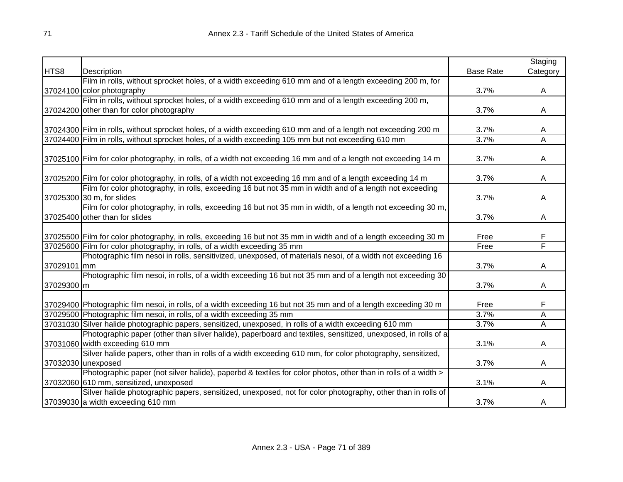|             |                                                                                                                   |                  | Staging      |
|-------------|-------------------------------------------------------------------------------------------------------------------|------------------|--------------|
| HTS8        | Description                                                                                                       | <b>Base Rate</b> | Category     |
|             | Film in rolls, without sprocket holes, of a width exceeding 610 mm and of a length exceeding 200 m, for           |                  |              |
|             | 37024100 color photography                                                                                        | 3.7%             | A            |
|             | Film in rolls, without sprocket holes, of a width exceeding 610 mm and of a length exceeding 200 m,               |                  |              |
|             | 37024200 other than for color photography                                                                         | 3.7%             | A            |
|             |                                                                                                                   |                  |              |
|             | 37024300 Film in rolls, without sprocket holes, of a width exceeding 610 mm and of a length not exceeding 200 m   | 3.7%             | A            |
|             | 37024400 Film in rolls, without sprocket holes, of a width exceeding 105 mm but not exceeding 610 mm              | 3.7%             | A            |
|             |                                                                                                                   |                  |              |
|             | 37025100 Film for color photography, in rolls, of a width not exceeding 16 mm and of a length not exceeding 14 m  | 3.7%             | A            |
|             |                                                                                                                   |                  |              |
|             | 37025200 Film for color photography, in rolls, of a width not exceeding 16 mm and of a length exceeding 14 m      | 3.7%             | A            |
|             | Film for color photography, in rolls, exceeding 16 but not 35 mm in width and of a length not exceeding           |                  |              |
|             | 37025300 30 m, for slides                                                                                         | 3.7%             | Α            |
|             | Film for color photography, in rolls, exceeding 16 but not 35 mm in width, of a length not exceeding 30 m,        |                  |              |
|             | 37025400 other than for slides                                                                                    | 3.7%             | Α            |
|             |                                                                                                                   |                  |              |
|             | 37025500 Film for color photography, in rolls, exceeding 16 but not 35 mm in width and of a length exceeding 30 m | Free             | F            |
|             | 37025600 Film for color photography, in rolls, of a width exceeding 35 mm                                         | Free             | F            |
|             | Photographic film nesoi in rolls, sensitivized, unexposed, of materials nesoi, of a width not exceeding 16        |                  |              |
| 37029101 mm |                                                                                                                   | 3.7%             | A            |
|             | Photographic film nesoi, in rolls, of a width exceeding 16 but not 35 mm and of a length not exceeding 30         |                  |              |
| 37029300 m  |                                                                                                                   | 3.7%             | $\mathsf{A}$ |
|             | 37029400 Photographic film nesoi, in rolls, of a width exceeding 16 but not 35 mm and of a length exceeding 30 m  | Free             | F            |
|             | 37029500 Photographic film nesoi, in rolls, of a width exceeding 35 mm                                            | 3.7%             | Α            |
|             | 37031030 Silver halide photographic papers, sensitized, unexposed, in rolls of a width exceeding 610 mm           | 3.7%             | A            |
|             | Photographic paper (other than silver halide), paperboard and textiles, sensitized, unexposed, in rolls of a      |                  |              |
|             | 37031060 width exceeding 610 mm                                                                                   | 3.1%             | A            |
|             | Silver halide papers, other than in rolls of a width exceeding 610 mm, for color photography, sensitized,         |                  |              |
|             | 37032030 unexposed                                                                                                | 3.7%             | A            |
|             | Photographic paper (not silver halide), paperbd & textiles for color photos, other than in rolls of a width >     |                  |              |
|             | 37032060 610 mm, sensitized, unexposed                                                                            | 3.1%             | A            |
|             | Silver halide photographic papers, sensitized, unexposed, not for color photography, other than in rolls of       |                  |              |
|             | 37039030 a width exceeding 610 mm                                                                                 | 3.7%             | A            |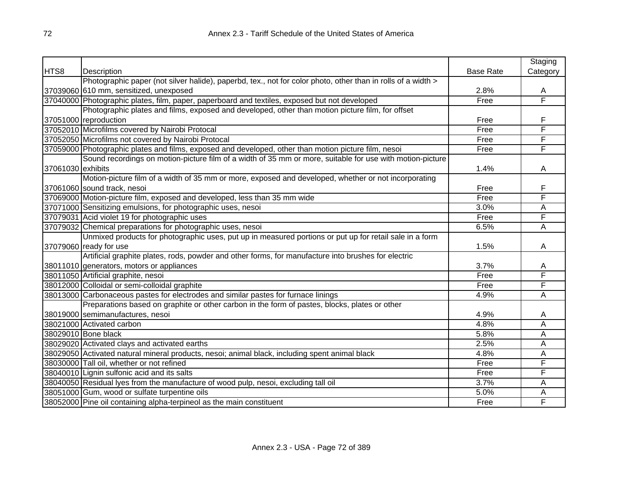|                   |                                                                                                              |                  | Staging  |
|-------------------|--------------------------------------------------------------------------------------------------------------|------------------|----------|
| HTS8              | Description                                                                                                  | <b>Base Rate</b> | Category |
|                   | Photographic paper (not silver halide), paperbd, tex., not for color photo, other than in rolls of a width > |                  |          |
|                   | 37039060 610 mm, sensitized, unexposed                                                                       | 2.8%             | A        |
|                   | 37040000 Photographic plates, film, paper, paperboard and textiles, exposed but not developed                | Free             | F        |
|                   | Photographic plates and films, exposed and developed, other than motion picture film, for offset             |                  |          |
|                   | 37051000 reproduction                                                                                        | Free             | F        |
|                   | 37052010 Microfilms covered by Nairobi Protocal                                                              | Free             | F        |
|                   | 37052050 Microfilms not covered by Nairobi Protocal                                                          | Free             | F        |
|                   | 37059000 Photographic plates and films, exposed and developed, other than motion picture film, nesoi         | Free             | F        |
|                   | Sound recordings on motion-picture film of a width of 35 mm or more, suitable for use with motion-picture    |                  |          |
| 37061030 exhibits |                                                                                                              | 1.4%             | A        |
|                   | Motion-picture film of a width of 35 mm or more, exposed and developed, whether or not incorporating         |                  |          |
|                   | 37061060 sound track, nesoi                                                                                  | Free             | F        |
|                   | 37069000 Motion-picture film, exposed and developed, less than 35 mm wide                                    | Free             | F        |
|                   | 37071000 Sensitizing emulsions, for photographic uses, nesoi                                                 | 3.0%             | A        |
|                   | 37079031 Acid violet 19 for photographic uses                                                                | Free             | F        |
|                   | 37079032 Chemical preparations for photographic uses, nesoi                                                  | 6.5%             | Α        |
|                   | Unmixed products for photographic uses, put up in measured portions or put up for retail sale in a form      |                  |          |
|                   | 37079060 ready for use                                                                                       | 1.5%             | A        |
|                   | Artificial graphite plates, rods, powder and other forms, for manufacture into brushes for electric          |                  |          |
|                   | 38011010 generators, motors or appliances                                                                    | 3.7%             | A        |
|                   | 38011050 Artificial graphite, nesoi                                                                          | Free             | F        |
|                   | 38012000 Colloidal or semi-colloidal graphite                                                                | Free             | F        |
|                   | 38013000 Carbonaceous pastes for electrodes and similar pastes for furnace linings                           | 4.9%             | Α        |
|                   | Preparations based on graphite or other carbon in the form of pastes, blocks, plates or other                |                  |          |
|                   | 38019000 semimanufactures, nesoi                                                                             | 4.9%             | A        |
|                   | 38021000 Activated carbon                                                                                    | 4.8%             | Α        |
|                   | 38029010 Bone black                                                                                          | 5.8%             | Α        |
|                   | 38029020 Activated clays and activated earths                                                                | 2.5%             | Ā        |
|                   | 38029050 Activated natural mineral products, nesoi; animal black, including spent animal black               | 4.8%             | Α        |
|                   | 38030000 Tall oil, whether or not refined                                                                    | Free             | F        |
|                   | 38040010 Lignin sulfonic acid and its salts                                                                  | Free             | F        |
|                   | 38040050 Residual lyes from the manufacture of wood pulp, nesoi, excluding tall oil                          | 3.7%             | A        |
|                   | 38051000 Gum, wood or sulfate turpentine oils                                                                | 5.0%             | Α        |
|                   | 38052000 Pine oil containing alpha-terpineol as the main constituent                                         | Free             | F        |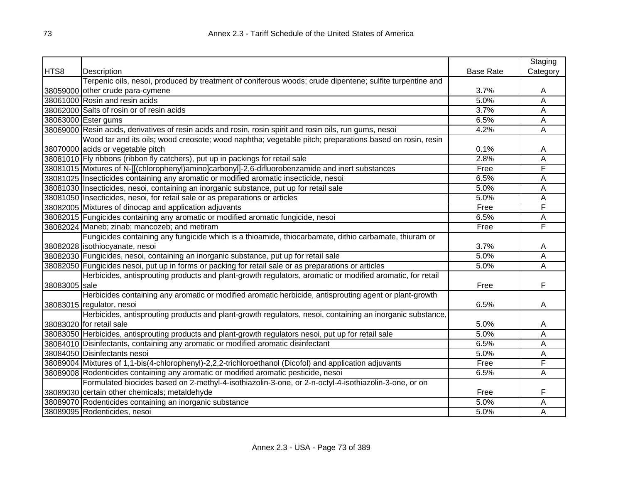|               |                                                                                                           |                  | Staging                 |
|---------------|-----------------------------------------------------------------------------------------------------------|------------------|-------------------------|
| HTS8          | Description                                                                                               | <b>Base Rate</b> | Category                |
|               | Terpenic oils, nesoi, produced by treatment of coniferous woods; crude dipentene; sulfite turpentine and  |                  |                         |
|               | 38059000 other crude para-cymene                                                                          | 3.7%             | A                       |
|               | 38061000 Rosin and resin acids                                                                            | 5.0%             | Ā                       |
|               | 38062000 Salts of rosin or of resin acids                                                                 | 3.7%             | Ā                       |
|               | 38063000 Ester gums                                                                                       | 6.5%             | A                       |
|               | 38069000 Resin acids, derivatives of resin acids and rosin, rosin spirit and rosin oils, run gums, nesoi  | 4.2%             | Ā                       |
|               | Wood tar and its oils; wood creosote; wood naphtha; vegetable pitch; preparations based on rosin, resin   |                  |                         |
|               | 38070000 acids or vegetable pitch                                                                         | 0.1%             | A                       |
|               | 38081010 Fly ribbons (ribbon fly catchers), put up in packings for retail sale                            | 2.8%             | A                       |
|               | 38081015 Mixtures of N-[[(chlorophenyl)amino]carbonyl]-2,6-difluorobenzamide and inert substances         | Free             | F                       |
|               | 38081025 Insecticides containing any aromatic or modified aromatic insecticide, nesoi                     | 6.5%             | A                       |
|               | 38081030 Insecticides, nesoi, containing an inorganic substance, put up for retail sale                   | 5.0%             | A                       |
|               | 38081050 Insecticides, nesoi, for retail sale or as preparations or articles                              | 5.0%             | Ā                       |
|               | 38082005 Mixtures of dinocap and application adjuvants                                                    | Free             | F                       |
|               | 38082015 Fungicides containing any aromatic or modified aromatic fungicide, nesoi                         | 6.5%             | А                       |
|               | 38082024 Maneb; zinab; mancozeb; and metiram                                                              | Free             | F                       |
|               | Fungicides containing any fungicide which is a thioamide, thiocarbamate, dithio carbamate, thiuram or     |                  |                         |
|               | 38082028 isothiocyanate, nesoi                                                                            | 3.7%             | A                       |
|               | 38082030 Fungicides, nesoi, containing an inorganic substance, put up for retail sale                     | 5.0%             | A                       |
|               | 38082050 Fungicides nesoi, put up in forms or packing for retail sale or as preparations or articles      | 5.0%             | $\overline{\mathsf{A}}$ |
|               | Herbicides, antisprouting products and plant-growth regulators, aromatic or modified aromatic, for retail |                  |                         |
| 38083005 sale |                                                                                                           | Free             | F                       |
|               | Herbicides containing any aromatic or modified aromatic herbicide, antisprouting agent or plant-growth    |                  |                         |
|               | 38083015 regulator, nesoi                                                                                 | 6.5%             | A                       |
|               | Herbicides, antisprouting products and plant-growth regulators, nesoi, containing an inorganic substance, |                  |                         |
|               | 38083020 for retail sale                                                                                  | 5.0%             | A                       |
|               | 38083050 Herbicides, antisprouting products and plant-growth regulators nesoi, put up for retail sale     | 5.0%             | A                       |
|               | 38084010 Disinfectants, containing any aromatic or modified aromatic disinfectant                         | 6.5%             | A                       |
|               | 38084050 Disinfectants nesoi                                                                              | 5.0%             | Α                       |
|               | 38089004 Mixtures of 1,1-bis(4-chlorophenyl)-2,2,2-trichloroethanol (Dicofol) and application adjuvants   | Free             | F                       |
|               | 38089008 Rodenticides containing any aromatic or modified aromatic pesticide, nesoi                       | 6.5%             | Α                       |
|               | Formulated biocides based on 2-methyl-4-isothiazolin-3-one, or 2-n-octyl-4-isothiazolin-3-one, or on      |                  |                         |
|               | 38089030 certain other chemicals; metaldehyde                                                             | Free             | F                       |
|               | 38089070 Rodenticides containing an inorganic substance                                                   | 5.0%             | Α                       |
|               | 38089095 Rodenticides, nesoi                                                                              | 5.0%             | Α                       |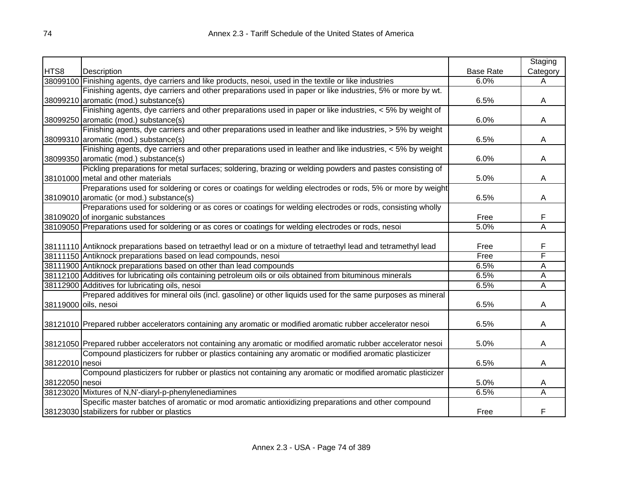|                |                                                                                                                  |                  | Staging  |
|----------------|------------------------------------------------------------------------------------------------------------------|------------------|----------|
| HTS8           | Description                                                                                                      | <b>Base Rate</b> | Category |
|                | 38099100 Finishing agents, dye carriers and like products, nesoi, used in the textile or like industries         | 6.0%             | A        |
|                | Finishing agents, dye carriers and other preparations used in paper or like industries, 5% or more by wt.        |                  |          |
|                | 38099210 aromatic (mod.) substance(s)                                                                            | 6.5%             | A        |
|                | Finishing agents, dye carriers and other preparations used in paper or like industries, < 5% by weight of        |                  |          |
|                | 38099250 aromatic (mod.) substance(s)                                                                            | 6.0%             | A        |
|                | Finishing agents, dye carriers and other preparations used in leather and like industries, > 5% by weight        |                  |          |
|                | 38099310 aromatic (mod.) substance(s)                                                                            | 6.5%             | A        |
|                | Finishing agents, dye carriers and other preparations used in leather and like industries, < 5% by weight        |                  |          |
|                | 38099350 aromatic (mod.) substance(s)                                                                            | 6.0%             | A        |
|                | Pickling preparations for metal surfaces; soldering, brazing or welding powders and pastes consisting of         |                  |          |
|                | 38101000 metal and other materials                                                                               | 5.0%             | A        |
|                | Preparations used for soldering or cores or coatings for welding electrodes or rods, 5% or more by weight        |                  |          |
|                | 38109010 aromatic (or mod.) substance(s)                                                                         | 6.5%             | A        |
|                | Preparations used for soldering or as cores or coatings for welding electrodes or rods, consisting wholly        |                  |          |
|                | 38109020 of inorganic substances                                                                                 | Free             | F        |
|                | 38109050 Preparations used for soldering or as cores or coatings for welding electrodes or rods, nesoi           | 5.0%             | Ā        |
|                |                                                                                                                  |                  |          |
|                | 38111110 Antiknock preparations based on tetraethyl lead or on a mixture of tetraethyl lead and tetramethyl lead | Free             | F        |
|                | 38111150 Antiknock preparations based on lead compounds, nesoi                                                   | Free             | F        |
|                | 38111900 Antiknock preparations based on other than lead compounds                                               | 6.5%             | Α        |
|                | 38112100 Additives for lubricating oils containing petroleum oils or oils obtained from bituminous minerals      | 6.5%             | Α        |
|                | 38112900 Additives for lubricating oils, nesoi                                                                   | 6.5%             | A        |
|                | Prepared additives for mineral oils (incl. gasoline) or other liquids used for the same purposes as mineral      |                  |          |
|                | 38119000 oils, nesoi                                                                                             | 6.5%             | A        |
|                |                                                                                                                  |                  |          |
|                | 38121010 Prepared rubber accelerators containing any aromatic or modified aromatic rubber accelerator nesoi      | 6.5%             | A        |
|                |                                                                                                                  |                  |          |
|                | 38121050 Prepared rubber accelerators not containing any aromatic or modified aromatic rubber accelerator nesoi  | 5.0%             | A        |
|                | Compound plasticizers for rubber or plastics containing any aromatic or modified aromatic plasticizer            |                  |          |
| 38122010 nesoi |                                                                                                                  | 6.5%             | Α        |
|                | Compound plasticizers for rubber or plastics not containing any aromatic or modified aromatic plasticizer        |                  |          |
| 38122050 nesoi |                                                                                                                  | 5.0%             | A        |
|                | 38123020 Mixtures of N,N'-diaryl-p-phenylenediamines                                                             | 6.5%             | Α        |
|                | Specific master batches of aromatic or mod aromatic antioxidizing preparations and other compound                |                  |          |
|                | 38123030 stabilizers for rubber or plastics                                                                      | Free             | F        |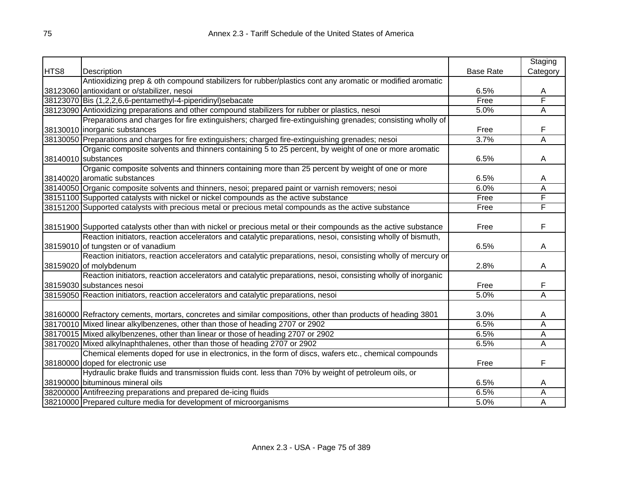|      |                                                                                                                  |                  | Staging                 |
|------|------------------------------------------------------------------------------------------------------------------|------------------|-------------------------|
| HTS8 | Description                                                                                                      | <b>Base Rate</b> | Category                |
|      | Antioxidizing prep & oth compound stabilizers for rubber/plastics cont any aromatic or modified aromatic         |                  |                         |
|      | 38123060 antioxidant or o/stabilizer, nesoi                                                                      | 6.5%             | A                       |
|      | 38123070 Bis (1,2,2,6,6-pentamethyl-4-piperidinyl) sebacate                                                      | Free             | F                       |
|      | 38123090 Antioxidizing preparations and other compound stabilizers for rubber or plastics, nesoi                 | 5.0%             | Α                       |
|      | Preparations and charges for fire extinguishers; charged fire-extinguishing grenades; consisting wholly of       |                  |                         |
|      | 38130010 inorganic substances                                                                                    | Free             | F                       |
|      | 38130050 Preparations and charges for fire extinguishers; charged fire-extinguishing grenades; nesoi             | 3.7%             | $\overline{\mathsf{A}}$ |
|      | Organic composite solvents and thinners containing 5 to 25 percent, by weight of one or more aromatic            |                  |                         |
|      | 38140010 substances                                                                                              | 6.5%             | A                       |
|      | Organic composite solvents and thinners containing more than 25 percent by weight of one or more                 |                  |                         |
|      | 38140020 aromatic substances                                                                                     | 6.5%             | A                       |
|      | 38140050 Organic composite solvents and thinners, nesoi; prepared paint or varnish removers; nesoi               | 6.0%             | A                       |
|      | 38151100 Supported catalysts with nickel or nickel compounds as the active substance                             | Free             | F                       |
|      | 38151200 Supported catalysts with precious metal or precious metal compounds as the active substance             | Free             | F                       |
|      |                                                                                                                  |                  |                         |
|      | 38151900 Supported catalysts other than with nickel or precious metal or their compounds as the active substance | Free             | F                       |
|      | Reaction initiators, reaction accelerators and catalytic preparations, nesoi, consisting wholly of bismuth,      |                  |                         |
|      | 38159010 of tungsten or of vanadium                                                                              | 6.5%             | A                       |
|      | Reaction initiators, reaction accelerators and catalytic preparations, nesoi, consisting wholly of mercury or    |                  |                         |
|      | 38159020 of molybdenum                                                                                           | 2.8%             | A                       |
|      | Reaction initiators, reaction accelerators and catalytic preparations, nesoi, consisting wholly of inorganic     |                  |                         |
|      | 38159030 substances nesoi                                                                                        | Free             | F                       |
|      | 38159050 Reaction initiators, reaction accelerators and catalytic preparations, nesoi                            | 5.0%             | Α                       |
|      |                                                                                                                  |                  |                         |
|      | 38160000 Refractory cements, mortars, concretes and similar compositions, other than products of heading 3801    | 3.0%             | A                       |
|      | 38170010 Mixed linear alkylbenzenes, other than those of heading 2707 or 2902                                    | 6.5%             | Α                       |
|      | 38170015 Mixed alkylbenzenes, other than linear or those of heading 2707 or 2902                                 | 6.5%             | Α                       |
|      | 38170020 Mixed alkylnaphthalenes, other than those of heading 2707 or 2902                                       | 6.5%             | $\overline{\mathsf{A}}$ |
|      | Chemical elements doped for use in electronics, in the form of discs, wafers etc., chemical compounds            |                  |                         |
|      | 38180000 doped for electronic use                                                                                | Free             | F                       |
|      | Hydraulic brake fluids and transmission fluids cont. less than 70% by weight of petroleum oils, or               |                  |                         |
|      | 38190000 bituminous mineral oils                                                                                 | 6.5%             | A                       |
|      | 38200000 Antifreezing preparations and prepared de-icing fluids                                                  | 6.5%             | Α                       |
|      | 38210000 Prepared culture media for development of microorganisms                                                | 5.0%             | Α                       |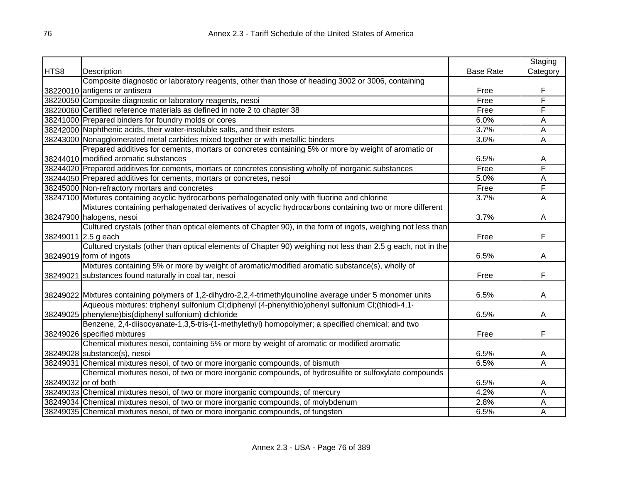|                     |                                                                                                              |                  | Staging        |
|---------------------|--------------------------------------------------------------------------------------------------------------|------------------|----------------|
| HTS8                | Description                                                                                                  | <b>Base Rate</b> | Category       |
|                     | Composite diagnostic or laboratory reagents, other than those of heading 3002 or 3006, containing            |                  |                |
|                     | 38220010 antigens or antisera                                                                                | Free             | F              |
|                     | 38220050 Composite diagnostic or laboratory reagents, nesoi                                                  | Free             | F              |
|                     | 38220060 Certified reference materials as defined in note 2 to chapter 38                                    | Free             | F              |
|                     | 38241000 Prepared binders for foundry molds or cores                                                         | 6.0%             | А              |
|                     | 38242000 Naphthenic acids, their water-insoluble salts, and their esters                                     | 3.7%             | Ā              |
|                     | 38243000 Nonagglomerated metal carbides mixed together or with metallic binders                              | 3.6%             | A              |
|                     | Prepared additives for cements, mortars or concretes containing 5% or more by weight of aromatic or          |                  |                |
|                     | 38244010 modified aromatic substances                                                                        | 6.5%             | A              |
|                     | 38244020 Prepared additives for cements, mortars or concretes consisting wholly of inorganic substances      | Free             | F              |
|                     | 38244050 Prepared additives for cements, mortars or concretes, nesoi                                         | 5.0%             | A              |
|                     | 38245000 Non-refractory mortars and concretes                                                                | Free             | F              |
|                     | 38247100 Mixtures containing acyclic hydrocarbons perhalogenated only with fluorine and chlorine             | 3.7%             | $\overline{A}$ |
|                     | Mixtures containing perhalogenated derivatives of acyclic hydrocarbons containing two or more different      |                  |                |
|                     | 38247900 halogens, nesoi                                                                                     | 3.7%             | A              |
|                     | Cultured crystals (other than optical elements of Chapter 90), in the form of ingots, weighing not less than |                  |                |
|                     | 38249011 2.5 g each                                                                                          | Free             | F              |
|                     | Cultured crystals (other than optical elements of Chapter 90) weighing not less than 2.5 g each, not in the  |                  |                |
|                     | 38249019 form of ingots                                                                                      | 6.5%             | A              |
|                     | Mixtures containing 5% or more by weight of aromatic/modified aromatic substance(s), wholly of               |                  |                |
|                     | 38249021 substances found naturally in coal tar, nesoi                                                       | Free             | F              |
|                     |                                                                                                              |                  |                |
|                     | 38249022 Mixtures containing polymers of 1,2-dihydro-2,2,4-trimethylquinoline average under 5 monomer units  | 6.5%             | A              |
|                     | Aqueous mixtures: triphenyl sulfonium Cl;diphenyl (4-phenylthio)phenyl sulfonium Cl;(thiodi-4,1-             |                  |                |
|                     | 38249025 phenylene) bis(diphenyl sulfonium) dichloride                                                       | 6.5%             | A              |
|                     | Benzene, 2,4-diisocyanate-1,3,5-tris-(1-methylethyl) homopolymer; a specified chemical; and two              |                  |                |
|                     | 38249026 specified mixtures                                                                                  | Free             | F              |
|                     | Chemical mixtures nesoi, containing 5% or more by weight of aromatic or modified aromatic                    |                  |                |
|                     | 38249028 substance(s), nesoi                                                                                 | 6.5%             | A              |
|                     | 38249031 Chemical mixtures nesoi, of two or more inorganic compounds, of bismuth                             | 6.5%             | Ā              |
|                     | Chemical mixtures nesoi, of two or more inorganic compounds, of hydrosulfite or sulfoxylate compounds        |                  |                |
| 38249032 or of both |                                                                                                              | 6.5%             | A              |
|                     | 38249033 Chemical mixtures nesoi, of two or more inorganic compounds, of mercury                             | 4.2%             | Α              |
|                     | 38249034 Chemical mixtures nesoi, of two or more inorganic compounds, of molybdenum                          | 2.8%             | A              |
|                     | 38249035 Chemical mixtures nesoi, of two or more inorganic compounds, of tungsten                            | 6.5%             | A              |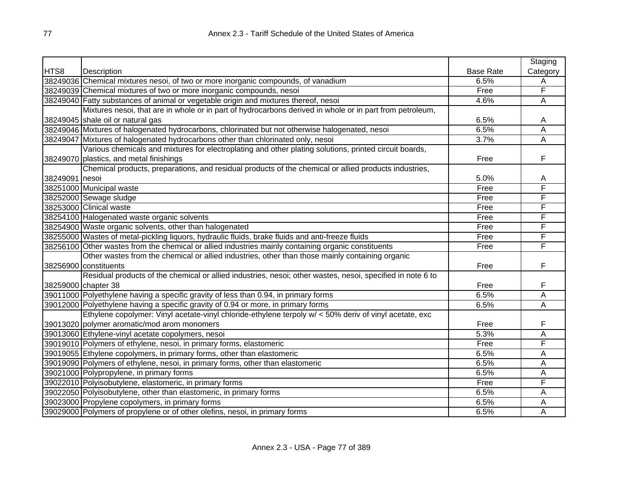|                |                                                                                                            |                  | Staging  |
|----------------|------------------------------------------------------------------------------------------------------------|------------------|----------|
| HTS8           | Description                                                                                                | <b>Base Rate</b> | Category |
|                | 38249036 Chemical mixtures nesoi, of two or more inorganic compounds, of vanadium                          | 6.5%             | Α        |
|                | 38249039 Chemical mixtures of two or more inorganic compounds, nesoi                                       | Free             | F        |
|                | 38249040 Fatty substances of animal or vegetable origin and mixtures thereof, nesoi                        | 4.6%             | Ā        |
|                | Mixtures nesoi, that are in whole or in part of hydrocarbons derived in whole or in part from petroleum,   |                  |          |
|                | 38249045 shale oil or natural gas                                                                          | 6.5%             | A        |
|                | 38249046 Mixtures of halogenated hydrocarbons, chlorinated but not otherwise halogenated, nesoi            | 6.5%             | Α        |
|                | 38249047 Mixtures of halogenated hydrocarbons other than chlorinated only, nesoi                           | 3.7%             | Α        |
|                | Various chemicals and mixtures for electroplating and other plating solutions, printed circuit boards,     |                  |          |
|                | 38249070 plastics, and metal finishings                                                                    | Free             | F        |
|                | Chemical products, preparations, and residual products of the chemical or allied products industries,      |                  |          |
| 38249091 nesoi |                                                                                                            | 5.0%             | Α        |
|                | 38251000 Municipal waste                                                                                   | Free             | F        |
|                | 38252000 Sewage sludge                                                                                     | Free             | F        |
|                | 38253000 Clinical waste                                                                                    | Free             | F        |
|                | 38254100 Halogenated waste organic solvents                                                                | Free             | F        |
|                | 38254900 Waste organic solvents, other than halogenated                                                    | Free             | F        |
|                | 38255000 Wastes of metal-pickling liquors, hydraulic fluids, brake fluids and anti-freeze fluids           | Free             | F        |
|                | 38256100 Other wastes from the chemical or allied industries mainly containing organic constituents        | Free             | F        |
|                | Other wastes from the chemical or allied industries, other than those mainly containing organic            |                  |          |
|                | 38256900 constituents                                                                                      | Free             | F        |
|                | Residual products of the chemical or allied industries, nesoi; other wastes, nesoi, specified in note 6 to |                  |          |
|                | 38259000 chapter 38                                                                                        | Free             | F        |
|                | 39011000 Polyethylene having a specific gravity of less than 0.94, in primary forms                        | 6.5%             | А        |
|                | 39012000 Polyethylene having a specific gravity of 0.94 or more, in primary forms                          | 6.5%             | Ā        |
|                | Ethylene copolymer: Vinyl acetate-vinyl chloride-ethylene terpoly w/ < 50% deriv of vinyl acetate, exc     |                  |          |
|                | 39013020 polymer aromatic/mod arom monomers                                                                | Free             | F        |
|                | 39013060 Ethylene-vinyl acetate copolymers, nesoi                                                          | 5.3%             | Α        |
|                | 39019010 Polymers of ethylene, nesoi, in primary forms, elastomeric                                        | Free             | F        |
|                | 39019055 Ethylene copolymers, in primary forms, other than elastomeric                                     | 6.5%             | A        |
|                | 39019090 Polymers of ethylene, nesoi, in primary forms, other than elastomeric                             | 6.5%             | Α        |
|                | 39021000 Polypropylene, in primary forms                                                                   | 6.5%             | A        |
|                | 39022010 Polyisobutylene, elastomeric, in primary forms                                                    | Free             | F        |
|                | 39022050 Polyisobutylene, other than elastomeric, in primary forms                                         | 6.5%             | Α        |
|                | 39023000 Propylene copolymers, in primary forms                                                            | 6.5%             | A        |
|                | 39029000 Polymers of propylene or of other olefins, nesoi, in primary forms                                | 6.5%             | Α        |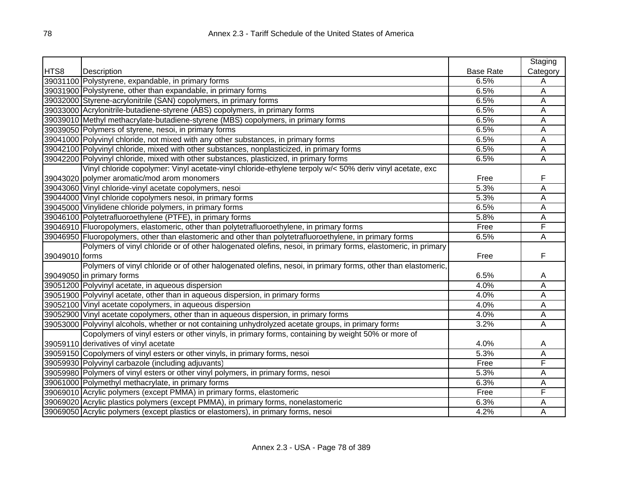|                |                                                                                                              |                  | Staging  |
|----------------|--------------------------------------------------------------------------------------------------------------|------------------|----------|
| HTS8           | Description                                                                                                  | <b>Base Rate</b> | Category |
|                | 39031100 Polystyrene, expandable, in primary forms                                                           | 6.5%             | A        |
|                | 39031900 Polystyrene, other than expandable, in primary forms                                                | 6.5%             | A        |
|                | 39032000 Styrene-acrylonitrile (SAN) copolymers, in primary forms                                            | 6.5%             | A        |
|                | 39033000 Acrylonitrile-butadiene-styrene (ABS) copolymers, in primary forms                                  | 6.5%             | A        |
|                | 39039010 Methyl methacrylate-butadiene-styrene (MBS) copolymers, in primary forms                            | 6.5%             | A        |
|                | 39039050 Polymers of styrene, nesoi, in primary forms                                                        | 6.5%             | A        |
|                | 39041000 Polyvinyl chloride, not mixed with any other substances, in primary forms                           | 6.5%             | Α        |
|                | 39042100 Polyvinyl chloride, mixed with other substances, nonplasticized, in primary forms                   | 6.5%             | A        |
|                | 39042200 Polyvinyl chloride, mixed with other substances, plasticized, in primary forms                      | 6.5%             | Α        |
|                | Vinyl chloride copolymer: Vinyl acetate-vinyl chloride-ethylene terpoly w/< 50% deriv vinyl acetate, exc     |                  |          |
|                | 39043020 polymer aromatic/mod arom monomers                                                                  | Free             | F        |
|                | 39043060 Vinyl chloride-vinyl acetate copolymers, nesoi                                                      | 5.3%             | A        |
|                | 39044000 Vinyl chloride copolymers nesoi, in primary forms                                                   | 5.3%             | Α        |
|                | 39045000 Vinylidene chloride polymers, in primary forms                                                      | 6.5%             | A        |
|                | 39046100 Polytetrafluoroethylene (PTFE), in primary forms                                                    | 5.8%             | A        |
|                | 39046910 Fluoropolymers, elastomeric, other than polytetrafluoroethylene, in primary forms                   | Free             | F        |
|                | 39046950 Fluoropolymers, other than elastomeric and other than polytetrafluoroethylene, in primary forms     | 6.5%             | A        |
|                | Polymers of vinyl chloride or of other halogenated olefins, nesoi, in primary forms, elastomeric, in primary |                  |          |
| 39049010 forms |                                                                                                              | Free             | F        |
|                | Polymers of vinyl chloride or of other halogenated olefins, nesoi, in primary forms, other than elastomeric, |                  |          |
|                | 39049050 in primary forms                                                                                    | 6.5%             | A        |
|                | 39051200 Polyvinyl acetate, in aqueous dispersion                                                            | 4.0%             | A        |
|                | 39051900 Polyvinyl acetate, other than in aqueous dispersion, in primary forms                               | 4.0%             | A        |
|                | 39052100 Vinyl acetate copolymers, in aqueous dispersion                                                     | 4.0%             | A        |
|                | 39052900 Vinyl acetate copolymers, other than in aqueous dispersion, in primary forms                        | 4.0%             | A        |
|                | 39053000 Polyvinyl alcohols, whether or not containing unhydrolyzed acetate groups, in primary forms         | 3.2%             | A        |
|                | Copolymers of vinyl esters or other vinyls, in primary forms, containing by weight 50% or more of            |                  |          |
|                | 39059110 derivatives of vinyl acetate                                                                        | 4.0%             | A        |
|                | 39059150 Copolymers of vinyl esters or other vinyls, in primary forms, nesoi                                 | 5.3%             | A        |
|                | 39059930 Polyvinyl carbazole (including adjuvants)                                                           | Free             | F        |
|                | 39059980 Polymers of vinyl esters or other vinyl polymers, in primary forms, nesoi                           | 5.3%             | A        |
|                | 39061000 Polymethyl methacrylate, in primary forms                                                           | 6.3%             | A        |
|                | 39069010 Acrylic polymers (except PMMA) in primary forms, elastomeric                                        | Free             | F        |
|                | 39069020 Acrylic plastics polymers (except PMMA), in primary forms, nonelastomeric                           | 6.3%             | A        |
|                | 39069050 Acrylic polymers (except plastics or elastomers), in primary forms, nesoi                           | 4.2%             | Α        |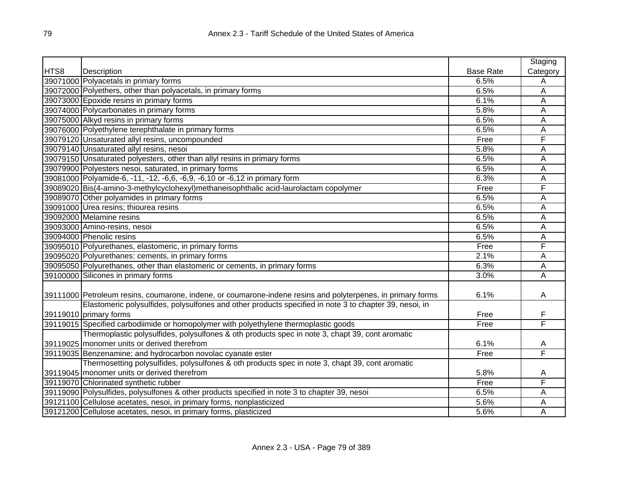|      |                                                                                                             |                  | Staging  |
|------|-------------------------------------------------------------------------------------------------------------|------------------|----------|
| HTS8 | <b>Description</b>                                                                                          | <b>Base Rate</b> | Category |
|      | 39071000 Polyacetals in primary forms                                                                       | 6.5%             | A        |
|      | 39072000 Polyethers, other than polyacetals, in primary forms                                               | 6.5%             | Α        |
|      | 39073000 Epoxide resins in primary forms                                                                    | 6.1%             | A        |
|      | 39074000 Polycarbonates in primary forms                                                                    | 5.8%             | A        |
|      | 39075000 Alkyd resins in primary forms                                                                      | 6.5%             | А        |
|      | 39076000 Polyethylene terephthalate in primary forms                                                        | 6.5%             | А        |
|      | 39079120 Unsaturated allyl resins, uncompounded                                                             | Free             | F        |
|      | 39079140 Unsaturated allyl resins, nesoi                                                                    | 5.8%             | Α        |
|      | 39079150 Unsaturated polyesters, other than allyl resins in primary forms                                   | 6.5%             | Α        |
|      | 39079900 Polyesters nesoi, saturated, in primary forms                                                      | 6.5%             | A        |
|      | 39081000 Polyamide-6, -11, -12, -6,6, -6,9, -6,10 or -6,12 in primary form                                  | 6.3%             | A        |
|      | 39089020 Bis(4-amino-3-methylcyclohexyl)methaneisophthalic acid-laurolactam copolymer                       | Free             | F        |
|      | 39089070 Other polyamides in primary forms                                                                  | 6.5%             | A        |
|      | 39091000 Urea resins; thiourea resins                                                                       | 6.5%             | А        |
|      | 39092000 Melamine resins                                                                                    | 6.5%             | A        |
|      | 39093000 Amino-resins, nesoi                                                                                | 6.5%             | A        |
|      | 39094000 Phenolic resins                                                                                    | 6.5%             | A        |
|      | 39095010 Polyurethanes, elastomeric, in primary forms                                                       | Free             | F        |
|      | 39095020 Polyurethanes: cements, in primary forms                                                           | 2.1%             | Ā        |
|      | 39095050 Polyurethanes, other than elastomeric or cements, in primary forms                                 | 6.3%             | А        |
|      | 39100000 Silicones in primary forms                                                                         | 3.0%             | Ā        |
|      |                                                                                                             |                  |          |
|      | 39111000 Petroleum resins, coumarone, indene, or coumarone-indene resins and polyterpenes, in primary forms | 6.1%             | A        |
|      | Elastomeric polysulfides, polysulfones and other products specified in note 3 to chapter 39, nesoi, in      |                  |          |
|      | 39119010 primary forms                                                                                      | Free             | F        |
|      | 39119015 Specified carbodiimide or homopolymer with polyethylene thermoplastic goods                        | Free             | F        |
|      | Thermoplastic polysulfides, polysulfones & oth products spec in note 3, chapt 39, cont aromatic             |                  |          |
|      | 39119025   monomer units or derived therefrom                                                               | 6.1%             | A        |
|      | 39119035 Benzenamine; and hydrocarbon novolac cyanate ester                                                 | Free             | F        |
|      | Thermosetting polysulfides, polysulfones & oth products spec in note 3, chapt 39, cont aromatic             |                  |          |
|      | 39119045   monomer units or derived therefrom                                                               | 5.8%             | A        |
|      | 39119070 Chlorinated synthetic rubber                                                                       | Free             | F        |
|      | 39119090 Polysulfides, polysulfones & other products specified in note 3 to chapter 39, nesoi               | 6.5%             | Α        |
|      | 39121100 Cellulose acetates, nesoi, in primary forms, nonplasticized                                        | 5.6%             | Α        |
|      | 39121200 Cellulose acetates, nesoi, in primary forms, plasticized                                           | 5.6%             | A        |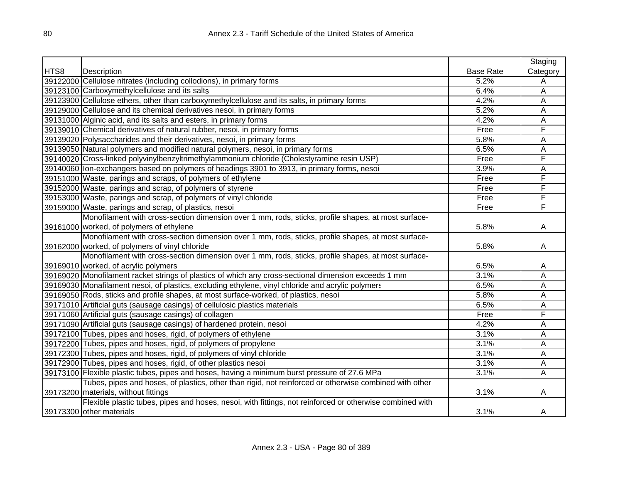|      |                                                                                                          |                  | Staging  |
|------|----------------------------------------------------------------------------------------------------------|------------------|----------|
| HTS8 | Description                                                                                              | <b>Base Rate</b> | Category |
|      | 39122000 Cellulose nitrates (including collodions), in primary forms                                     | 5.2%             | A        |
|      | 39123100 Carboxymethylcellulose and its salts                                                            | 6.4%             | Α        |
|      | 39123900 Cellulose ethers, other than carboxymethylcellulose and its salts, in primary forms             | 4.2%             | A        |
|      | 39129000 Cellulose and its chemical derivatives nesoi, in primary forms                                  | 5.2%             | A        |
|      | 39131000 Alginic acid, and its salts and esters, in primary forms                                        | 4.2%             | A        |
|      | 39139010 Chemical derivatives of natural rubber, nesoi, in primary forms                                 | Free             | F        |
|      | 39139020 Polysaccharides and their derivatives, nesoi, in primary forms                                  | 5.8%             | A        |
|      | 39139050 Natural polymers and modified natural polymers, nesoi, in primary forms                         | 6.5%             | A        |
|      | 39140020 Cross-linked polyvinylbenzyltrimethylammonium chloride (Cholestyramine resin USP)               | Free             | F        |
|      | 39140060 lon-exchangers based on polymers of headings 3901 to 3913, in primary forms, nesoi              | 3.9%             | A        |
|      | 39151000 Waste, parings and scraps, of polymers of ethylene                                              | Free             | F        |
|      | 39152000 Waste, parings and scrap, of polymers of styrene                                                | Free             | F        |
|      | 39153000 Waste, parings and scrap, of polymers of vinyl chloride                                         | Free             | F        |
|      | 39159000 Waste, parings and scrap, of plastics, nesoi                                                    | Free             | F        |
|      | Monofilament with cross-section dimension over 1 mm, rods, sticks, profile shapes, at most surface-      |                  |          |
|      | 39161000 worked, of polymers of ethylene                                                                 | 5.8%             | A        |
|      | Monofilament with cross-section dimension over 1 mm, rods, sticks, profile shapes, at most surface-      |                  |          |
|      | 39162000 worked, of polymers of vinyl chloride                                                           | 5.8%             | A        |
|      | Monofilament with cross-section dimension over 1 mm, rods, sticks, profile shapes, at most surface-      |                  |          |
|      | 39169010 worked, of acrylic polymers                                                                     | 6.5%             | A        |
|      | 39169020 Monofilament racket strings of plastics of which any cross-sectional dimension exceeds 1 mm     | 3.1%             | A        |
|      | 39169030 Monafilament nesoi, of plastics, excluding ethylene, vinyl chloride and acrylic polymers        | 6.5%             | A        |
|      | 39169050 Rods, sticks and profile shapes, at most surface-worked, of plastics, nesoi                     | 5.8%             | A        |
|      | 39171010 Artificial guts (sausage casings) of cellulosic plastics materials                              | 6.5%             | Α        |
|      | 39171060 Artificial guts (sausage casings) of collagen                                                   | Free             | F        |
|      | 39171090 Artificial guts (sausage casings) of hardened protein, nesoi                                    | 4.2%             | A        |
|      | 39172100 Tubes, pipes and hoses, rigid, of polymers of ethylene                                          | 3.1%             | A        |
|      | 39172200 Tubes, pipes and hoses, rigid, of polymers of propylene                                         | 3.1%             | A        |
|      | 39172300 Tubes, pipes and hoses, rigid, of polymers of vinyl chloride                                    | 3.1%             | A        |
|      | 39172900 Tubes, pipes and hoses, rigid, of other plastics nesoi                                          | 3.1%             | A        |
|      | 39173100 Flexible plastic tubes, pipes and hoses, having a minimum burst pressure of 27.6 MPa            | 3.1%             | A        |
|      | Tubes, pipes and hoses, of plastics, other than rigid, not reinforced or otherwise combined with other   |                  |          |
|      | 39173200 materials, without fittings                                                                     | 3.1%             | A        |
|      | Flexible plastic tubes, pipes and hoses, nesoi, with fittings, not reinforced or otherwise combined with |                  |          |
|      | 39173300 other materials                                                                                 | 3.1%             | A        |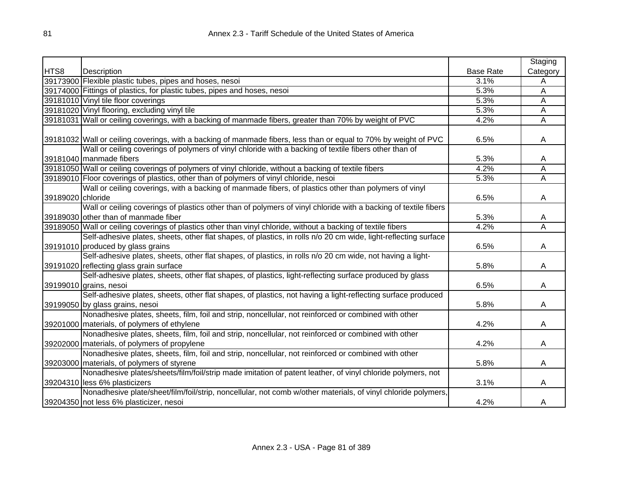|                   |                                                                                                                  |                  | Staging                 |
|-------------------|------------------------------------------------------------------------------------------------------------------|------------------|-------------------------|
| HTS8              | Description                                                                                                      | <b>Base Rate</b> | Category                |
|                   | 39173900 Flexible plastic tubes, pipes and hoses, nesoi                                                          | 3.1%             | Α                       |
|                   | 39174000 Fittings of plastics, for plastic tubes, pipes and hoses, nesoi                                         | 5.3%             | A                       |
|                   | 39181010 Vinyl tile floor coverings                                                                              | 5.3%             | A                       |
|                   | 39181020 Vinyl flooring, excluding vinyl tile                                                                    | 5.3%             | Α                       |
|                   | 39181031 Wall or ceiling coverings, with a backing of manmade fibers, greater than 70% by weight of PVC          | 4.2%             | Α                       |
|                   |                                                                                                                  |                  |                         |
|                   | 39181032 Wall or ceiling coverings, with a backing of manmade fibers, less than or equal to 70% by weight of PVC | 6.5%             | A                       |
|                   | Wall or ceiling coverings of polymers of vinyl chloride with a backing of textile fibers other than of           |                  |                         |
|                   | 39181040 manmade fibers                                                                                          | 5.3%             | A                       |
|                   | 39181050 Wall or ceiling coverings of polymers of vinyl chloride, without a backing of textile fibers            | 4.2%             | $\overline{\mathsf{A}}$ |
|                   | 39189010 Floor coverings of plastics, other than of polymers of vinyl chloride, nesoi                            | 5.3%             | A                       |
|                   | Wall or ceiling coverings, with a backing of manmade fibers, of plastics other than polymers of vinyl            |                  |                         |
| 39189020 chloride |                                                                                                                  | 6.5%             | A                       |
|                   | Wall or ceiling coverings of plastics other than of polymers of vinyl chloride with a backing of textile fibers  |                  |                         |
|                   | 39189030 other than of manmade fiber                                                                             | 5.3%             | A                       |
|                   | 39189050 Wall or ceiling coverings of plastics other than vinyl chloride, without a backing of textile fibers    | 4.2%             | A                       |
|                   | Self-adhesive plates, sheets, other flat shapes, of plastics, in rolls n/o 20 cm wide, light-reflecting surface  |                  |                         |
|                   | 39191010 produced by glass grains                                                                                | 6.5%             | A                       |
|                   | Self-adhesive plates, sheets, other flat shapes, of plastics, in rolls n/o 20 cm wide, not having a light-       |                  |                         |
|                   | 39191020 reflecting glass grain surface                                                                          | 5.8%             | A                       |
|                   | Self-adhesive plates, sheets, other flat shapes, of plastics, light-reflecting surface produced by glass         |                  |                         |
|                   | 39199010 grains, nesoi                                                                                           | 6.5%             | A                       |
|                   | Self-adhesive plates, sheets, other flat shapes, of plastics, not having a light-reflecting surface produced     |                  |                         |
|                   | 39199050 by glass grains, nesoi                                                                                  | 5.8%             | A                       |
|                   | Nonadhesive plates, sheets, film, foil and strip, noncellular, not reinforced or combined with other             |                  |                         |
|                   | 39201000 materials, of polymers of ethylene                                                                      | 4.2%             | A                       |
|                   | Nonadhesive plates, sheets, film, foil and strip, noncellular, not reinforced or combined with other             |                  |                         |
|                   | 39202000 materials, of polymers of propylene                                                                     | 4.2%             | A                       |
|                   | Nonadhesive plates, sheets, film, foil and strip, noncellular, not reinforced or combined with other             |                  |                         |
|                   | 39203000 materials, of polymers of styrene                                                                       | 5.8%             | A                       |
|                   | Nonadhesive plates/sheets/film/foil/strip made imitation of patent leather, of vinyl chloride polymers, not      |                  |                         |
|                   | 39204310 less 6% plasticizers                                                                                    | 3.1%             | A                       |
|                   | Nonadhesive plate/sheet/film/foil/strip, noncellular, not comb w/other materials, of vinyl chloride polymers,    |                  |                         |
|                   | 39204350 not less 6% plasticizer, nesoi                                                                          | 4.2%             | A                       |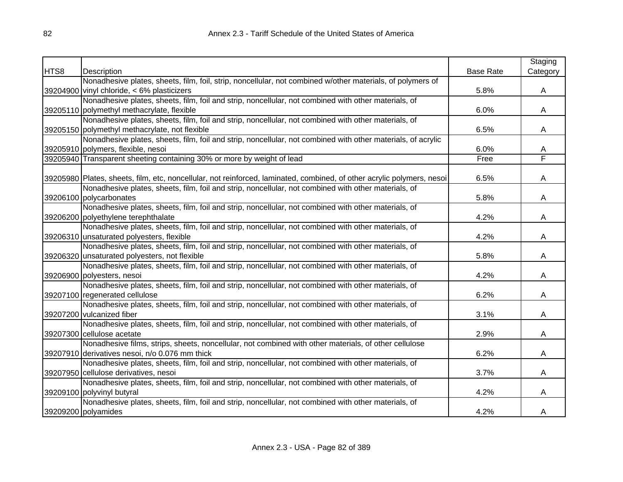|      |                                                                                                                        |                  | Staging      |
|------|------------------------------------------------------------------------------------------------------------------------|------------------|--------------|
| HTS8 | Description                                                                                                            | <b>Base Rate</b> | Category     |
|      | Nonadhesive plates, sheets, film, foil, strip, noncellular, not combined w/other materials, of polymers of             |                  |              |
|      | 39204900 vinyl chloride, < 6% plasticizers                                                                             | 5.8%             | A            |
|      | Nonadhesive plates, sheets, film, foil and strip, noncellular, not combined with other materials, of                   |                  |              |
|      | 39205110 polymethyl methacrylate, flexible                                                                             | 6.0%             | $\mathsf{A}$ |
|      | Nonadhesive plates, sheets, film, foil and strip, noncellular, not combined with other materials, of                   |                  |              |
|      | 39205150 polymethyl methacrylate, not flexible                                                                         | 6.5%             | A            |
|      | Nonadhesive plates, sheets, film, foil and strip, noncellular, not combined with other materials, of acrylic           |                  |              |
|      | 39205910 polymers, flexible, nesoi                                                                                     | 6.0%             | A            |
|      | 39205940 Transparent sheeting containing 30% or more by weight of lead                                                 | Free             | F            |
|      |                                                                                                                        |                  |              |
|      | 39205980 Plates, sheets, film, etc, noncellular, not reinforced, laminated, combined, of other acrylic polymers, nesoi | 6.5%             | A            |
|      | Nonadhesive plates, sheets, film, foil and strip, noncellular, not combined with other materials, of                   |                  |              |
|      | 39206100 polycarbonates                                                                                                | 5.8%             | A            |
|      | Nonadhesive plates, sheets, film, foil and strip, noncellular, not combined with other materials, of                   |                  |              |
|      | 39206200 polyethylene terephthalate                                                                                    | 4.2%             | A            |
|      | Nonadhesive plates, sheets, film, foil and strip, noncellular, not combined with other materials, of                   |                  |              |
|      | 39206310 unsaturated polyesters, flexible                                                                              | 4.2%             | A            |
|      | Nonadhesive plates, sheets, film, foil and strip, noncellular, not combined with other materials, of                   |                  |              |
|      | 39206320 unsaturated polyesters, not flexible                                                                          | 5.8%             | A            |
|      | Nonadhesive plates, sheets, film, foil and strip, noncellular, not combined with other materials, of                   |                  |              |
|      | 39206900 polyesters, nesoi                                                                                             | 4.2%             | A            |
|      | Nonadhesive plates, sheets, film, foil and strip, noncellular, not combined with other materials, of                   |                  |              |
|      | 39207100 regenerated cellulose                                                                                         | 6.2%             | A            |
|      | Nonadhesive plates, sheets, film, foil and strip, noncellular, not combined with other materials, of                   |                  |              |
|      | 39207200 vulcanized fiber                                                                                              | 3.1%             | A            |
|      | Nonadhesive plates, sheets, film, foil and strip, noncellular, not combined with other materials, of                   |                  |              |
|      | 39207300 cellulose acetate                                                                                             | 2.9%             | A            |
|      | Nonadhesive films, strips, sheets, noncellular, not combined with other materials, of other cellulose                  |                  |              |
|      | 39207910 derivatives nesoi, n/o 0.076 mm thick                                                                         | 6.2%             | A            |
|      | Nonadhesive plates, sheets, film, foil and strip, noncellular, not combined with other materials, of                   |                  |              |
|      | 39207950 cellulose derivatives, nesoi                                                                                  | 3.7%             | A            |
|      | Nonadhesive plates, sheets, film, foil and strip, noncellular, not combined with other materials, of                   |                  |              |
|      | 39209100 polyvinyl butyral                                                                                             | 4.2%             | A            |
|      | Nonadhesive plates, sheets, film, foil and strip, noncellular, not combined with other materials, of                   |                  |              |
|      | 39209200 polyamides                                                                                                    | 4.2%             | A            |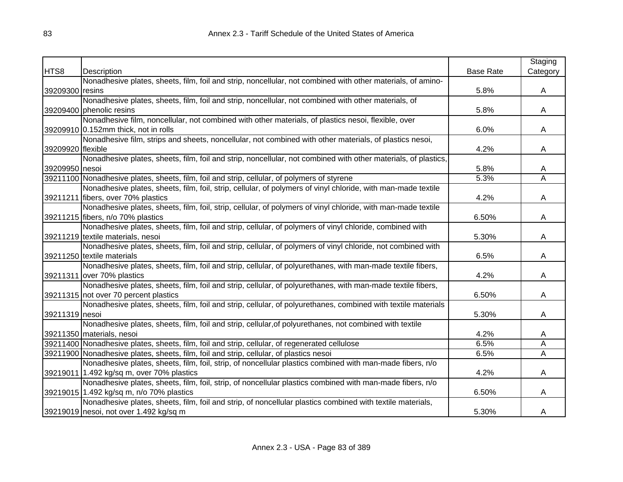|                   |                                                                                                                |                  | Staging  |
|-------------------|----------------------------------------------------------------------------------------------------------------|------------------|----------|
| HTS8              | Description                                                                                                    | <b>Base Rate</b> | Category |
|                   | Nonadhesive plates, sheets, film, foil and strip, noncellular, not combined with other materials, of amino-    |                  |          |
| 39209300 resins   |                                                                                                                | 5.8%             | A        |
|                   | Nonadhesive plates, sheets, film, foil and strip, noncellular, not combined with other materials, of           |                  |          |
|                   | 39209400 phenolic resins                                                                                       | 5.8%             | A        |
|                   | Nonadhesive film, noncellular, not combined with other materials, of plastics nesoi, flexible, over            |                  |          |
|                   | 39209910 0.152mm thick, not in rolls                                                                           | 6.0%             | A        |
|                   | Nonadhesive film, strips and sheets, noncellular, not combined with other materials, of plastics nesoi,        |                  |          |
| 39209920 flexible |                                                                                                                | 4.2%             | A        |
|                   | Nonadhesive plates, sheets, film, foil and strip, noncellular, not combined with other materials, of plastics, |                  |          |
| 39209950 nesoi    |                                                                                                                | 5.8%             | A        |
|                   | 39211100 Nonadhesive plates, sheets, film, foil and strip, cellular, of polymers of styrene                    | 5.3%             | Ā        |
|                   | Nonadhesive plates, sheets, film, foil, strip, cellular, of polymers of vinyl chloride, with man-made textile  |                  |          |
|                   | 39211211 fibers, over 70% plastics                                                                             | 4.2%             | A        |
|                   | Nonadhesive plates, sheets, film, foil, strip, cellular, of polymers of vinyl chloride, with man-made textile  |                  |          |
|                   | 39211215 fibers, n/o 70% plastics                                                                              | 6.50%            | A        |
|                   | Nonadhesive plates, sheets, film, foil and strip, cellular, of polymers of vinyl chloride, combined with       |                  |          |
|                   | 39211219 textile materials, nesoi                                                                              | 5.30%            | A        |
|                   | Nonadhesive plates, sheets, film, foil and strip, cellular, of polymers of vinyl chloride, not combined with   |                  |          |
|                   | 39211250 textile materials                                                                                     | 6.5%             | A        |
|                   | Nonadhesive plates, sheets, film, foil and strip, cellular, of polyurethanes, with man-made textile fibers,    |                  |          |
|                   | 39211311 over 70% plastics                                                                                     | 4.2%             | A        |
|                   | Nonadhesive plates, sheets, film, foil and strip, cellular, of polyurethanes, with man-made textile fibers,    |                  |          |
|                   | 39211315 not over 70 percent plastics                                                                          | 6.50%            | A        |
|                   | Nonadhesive plates, sheets, film, foil and strip, cellular, of polyurethanes, combined with textile materials  |                  |          |
| 39211319 nesoi    |                                                                                                                | 5.30%            | A        |
|                   | Nonadhesive plates, sheets, film, foil and strip, cellular, of polyurethanes, not combined with textile        |                  |          |
|                   | 39211350 materials, nesoi                                                                                      | 4.2%             | A        |
|                   | 39211400 Nonadhesive plates, sheets, film, foil and strip, cellular, of regenerated cellulose                  | 6.5%             | A        |
|                   | 39211900 Nonadhesive plates, sheets, film, foil and strip, cellular, of plastics nesoi                         | 6.5%             | A        |
|                   | Nonadhesive plates, sheets, film, foil, strip, of noncellular plastics combined with man-made fibers, n/o      |                  |          |
|                   | 39219011 1.492 kg/sq m, over 70% plastics                                                                      | 4.2%             | A        |
|                   | Nonadhesive plates, sheets, film, foil, strip, of noncellular plastics combined with man-made fibers, n/o      |                  |          |
|                   | 39219015 1.492 kg/sq m, n/o 70% plastics                                                                       | 6.50%            | A        |
|                   | Nonadhesive plates, sheets, film, foil and strip, of noncellular plastics combined with textile materials,     |                  |          |
|                   | 39219019 nesoi, not over 1.492 kg/sq m                                                                         | 5.30%            | A        |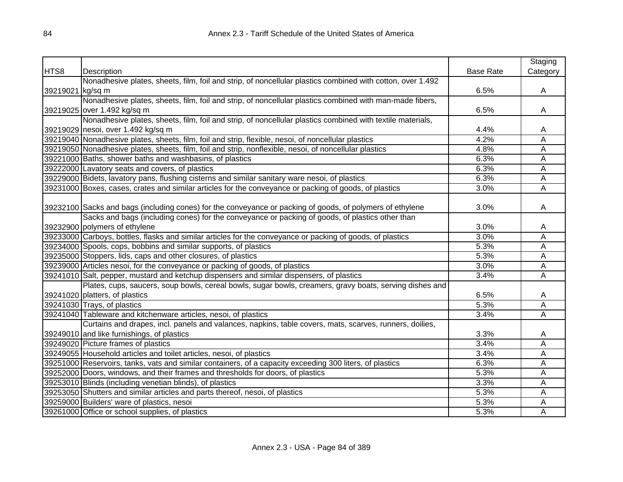|                  |                                                                                                            |                  | Staging  |
|------------------|------------------------------------------------------------------------------------------------------------|------------------|----------|
| HTS8             | Description                                                                                                | <b>Base Rate</b> | Category |
|                  | Nonadhesive plates, sheets, film, foil and strip, of noncellular plastics combined with cotton, over 1.492 |                  |          |
| 39219021 kg/sq m |                                                                                                            | 6.5%             | A        |
|                  | Nonadhesive plates, sheets, film, foil and strip, of noncellular plastics combined with man-made fibers,   |                  |          |
|                  | 39219025 over 1.492 kg/sq m                                                                                | 6.5%             | A        |
|                  | Nonadhesive plates, sheets, film, foil and strip, of noncellular plastics combined with textile materials, |                  |          |
|                  | 39219029 nesoi, over 1.492 kg/sq m                                                                         | 4.4%             | A        |
|                  | 39219040 Nonadhesive plates, sheets, film, foil and strip, flexible, nesoi, of noncellular plastics        | 4.2%             | A        |
|                  | 39219050 Nonadhesive plates, sheets, film, foil and strip, nonflexible, nesoi, of noncellular plastics     | 4.8%             | A        |
|                  | 39221000 Baths, shower baths and washbasins, of plastics                                                   | 6.3%             | A        |
|                  | 39222000 Lavatory seats and covers, of plastics                                                            | 6.3%             | Ā        |
|                  | 39229000 Bidets, lavatory pans, flushing cisterns and similar sanitary ware nesoi, of plastics             | 6.3%             | Ā        |
|                  | 39231000 Boxes, cases, crates and similar articles for the conveyance or packing of goods, of plastics     | 3.0%             | Ā        |
|                  |                                                                                                            |                  |          |
|                  | 39232100 Sacks and bags (including cones) for the conveyance or packing of goods, of polymers of ethylene  | 3.0%             | A        |
|                  | Sacks and bags (including cones) for the conveyance or packing of goods, of plastics other than            |                  |          |
|                  | 39232900 polymers of ethylene                                                                              | 3.0%             | A        |
|                  | 39233000 Carboys, bottles, flasks and similar articles for the conveyance or packing of goods, of plastics | 3.0%             | Α        |
|                  | 39234000 Spools, cops, bobbins and similar supports, of plastics                                           | 5.3%             | A        |
|                  | 39235000 Stoppers, lids, caps and other closures, of plastics                                              | 5.3%             | Α        |
|                  | 39239000 Articles nesoi, for the conveyance or packing of goods, of plastics                               | 3.0%             | A        |
|                  | 39241010 Salt, pepper, mustard and ketchup dispensers and similar dispensers, of plastics                  | 3.4%             | Α        |
|                  | Plates, cups, saucers, soup bowls, cereal bowls, sugar bowls, creamers, gravy boats, serving dishes and    |                  |          |
|                  | 39241020 platters, of plastics                                                                             | 6.5%             | A        |
|                  | 39241030 Trays, of plastics                                                                                | 5.3%             | Α        |
|                  | 39241040 Tableware and kitchenware articles, nesoi, of plastics                                            | 3.4%             | A        |
|                  | Curtains and drapes, incl. panels and valances, napkins, table covers, mats, scarves, runners, doilies,    |                  |          |
|                  | 39249010 and like furnishings, of plastics                                                                 | 3.3%             | A        |
|                  | 39249020 Picture frames of plastics                                                                        | 3.4%             | Α        |
|                  | 39249055 Household articles and toilet articles, nesoi, of plastics                                        | 3.4%             | Α        |
|                  | 39251000 Reservoirs, tanks, vats and similar containers, of a capacity exceeding 300 liters, of plastics   | 6.3%             | Α        |
|                  | 39252000 Doors, windows, and their frames and thresholds for doors, of plastics                            | 5.3%             | Α        |
|                  | 39253010 Blinds (including venetian blinds), of plastics                                                   | 3.3%             | Α        |
|                  | 39253050 Shutters and similar articles and parts thereof, nesoi, of plastics                               | 5.3%             | Α        |
|                  | 39259000 Builders' ware of plastics, nesoi                                                                 | 5.3%             | Α        |
|                  | 39261000 Office or school supplies, of plastics                                                            | 5.3%             | A        |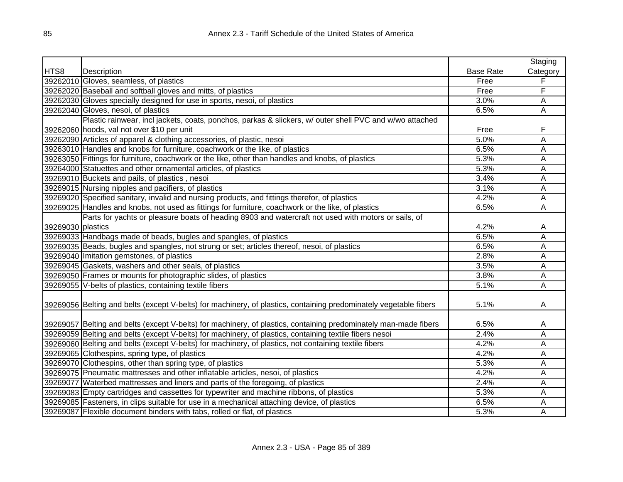|                   |                                                                                                                   |                  | Staging  |
|-------------------|-------------------------------------------------------------------------------------------------------------------|------------------|----------|
| HTS8              | Description                                                                                                       | <b>Base Rate</b> | Category |
|                   | 39262010 Gloves, seamless, of plastics                                                                            | Free             | F        |
|                   | 39262020 Baseball and softball gloves and mitts, of plastics                                                      | Free             | F        |
|                   | 39262030 Gloves specially designed for use in sports, nesoi, of plastics                                          | 3.0%             | A        |
|                   | 39262040 Gloves, nesoi, of plastics                                                                               | 6.5%             | A        |
|                   | Plastic rainwear, incl jackets, coats, ponchos, parkas & slickers, w/ outer shell PVC and w/wo attached           |                  |          |
|                   | 39262060 hoods, val not over \$10 per unit                                                                        | Free             | F        |
|                   | 39262090 Articles of apparel & clothing accessories, of plastic, nesoi                                            | 5.0%             | A        |
|                   | 39263010 Handles and knobs for furniture, coachwork or the like, of plastics                                      | 6.5%             | A        |
|                   | 39263050 Fittings for furniture, coachwork or the like, other than handles and knobs, of plastics                 | 5.3%             | A        |
|                   | 39264000 Statuettes and other ornamental articles, of plastics                                                    | 5.3%             | A        |
|                   | 39269010 Buckets and pails, of plastics, nesoi                                                                    | 3.4%             | A        |
|                   | 39269015 Nursing nipples and pacifiers, of plastics                                                               | 3.1%             | Α        |
|                   | 39269020 Specified sanitary, invalid and nursing products, and fittings therefor, of plastics                     | 4.2%             | Α        |
|                   | 39269025 Handles and knobs, not used as fittings for furniture, coachwork or the like, of plastics                | 6.5%             | A        |
|                   | Parts for yachts or pleasure boats of heading 8903 and watercraft not used with motors or sails, of               |                  |          |
| 39269030 plastics |                                                                                                                   | 4.2%             | Α        |
|                   | 39269033 Handbags made of beads, bugles and spangles, of plastics                                                 | 6.5%             | А        |
|                   | 39269035 Beads, bugles and spangles, not strung or set; articles thereof, nesoi, of plastics                      | 6.5%             | А        |
|                   | 39269040 Imitation gemstones, of plastics                                                                         | 2.8%             | А        |
|                   | 39269045 Gaskets, washers and other seals, of plastics                                                            | 3.5%             | А        |
|                   | 39269050 Frames or mounts for photographic slides, of plastics                                                    | 3.8%             | А        |
|                   | 39269055 V-belts of plastics, containing textile fibers                                                           | 5.1%             | Ā        |
|                   |                                                                                                                   |                  |          |
|                   | 39269056 Belting and belts (except V-belts) for machinery, of plastics, containing predominately vegetable fibers | 5.1%             | A        |
|                   |                                                                                                                   |                  |          |
|                   | 39269057 Belting and belts (except V-belts) for machinery, of plastics, containing predominately man-made fibers  | 6.5%             | A        |
|                   | 39269059 Belting and belts (except V-belts) for machinery, of plastics, containing textile fibers nesoi           | 2.4%             | A        |
|                   | 39269060 Belting and belts (except V-belts) for machinery, of plastics, not containing textile fibers             | 4.2%             | А        |
|                   | 39269065 Clothespins, spring type, of plastics                                                                    | 4.2%             | А        |
|                   | 39269070 Clothespins, other than spring type, of plastics                                                         | 5.3%             | А        |
|                   | 39269075 Pneumatic mattresses and other inflatable articles, nesoi, of plastics                                   | 4.2%             | А        |
|                   | 39269077 Waterbed mattresses and liners and parts of the foregoing, of plastics                                   | 2.4%             | А        |
|                   | 39269083 Empty cartridges and cassettes for typewriter and machine ribbons, of plastics                           | 5.3%             | Α        |
|                   | 39269085 Fasteners, in clips suitable for use in a mechanical attaching device, of plastics                       | 6.5%             | A        |
|                   | 39269087 Flexible document binders with tabs, rolled or flat, of plastics                                         | 5.3%             | Α        |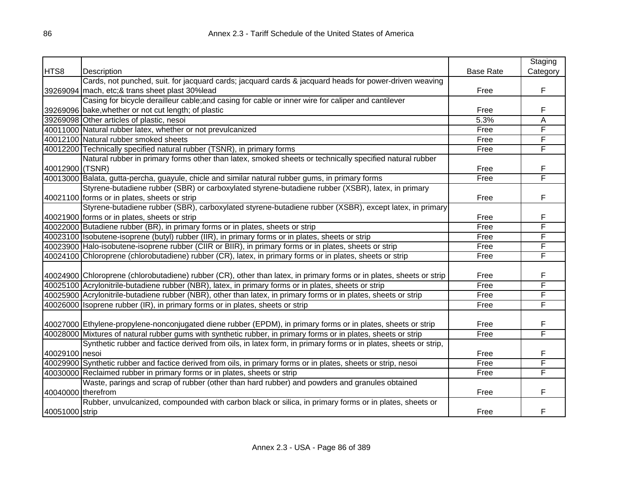|                    |                                                                                                                      |                  | Staging  |
|--------------------|----------------------------------------------------------------------------------------------------------------------|------------------|----------|
| HTS8               | Description                                                                                                          | <b>Base Rate</b> | Category |
|                    | Cards, not punched, suit. for jacquard cards; jacquard cards & jacquard heads for power-driven weaving               |                  |          |
|                    | 39269094 mach, etc;& trans sheet plast 30%lead                                                                       | Free             | F        |
|                    | Casing for bicycle derailleur cable; and casing for cable or inner wire for caliper and cantilever                   |                  |          |
|                    | 39269096 bake, whether or not cut length; of plastic                                                                 | Free             | F        |
|                    | 39269098 Other articles of plastic, nesoi                                                                            | 5.3%             | Α        |
|                    | 40011000 Natural rubber latex, whether or not prevulcanized                                                          | Free             | F        |
|                    | 40012100 Natural rubber smoked sheets                                                                                | Free             | F        |
|                    | 40012200 Technically specified natural rubber (TSNR), in primary forms                                               | Free             | F        |
|                    | Natural rubber in primary forms other than latex, smoked sheets or technically specified natural rubber              |                  |          |
| 40012900 (TSNR)    |                                                                                                                      | Free             | F        |
|                    | 40013000 Balata, gutta-percha, guayule, chicle and similar natural rubber gums, in primary forms                     | Free             | F        |
|                    | Styrene-butadiene rubber (SBR) or carboxylated styrene-butadiene rubber (XSBR), latex, in primary                    |                  |          |
|                    | 40021100 forms or in plates, sheets or strip                                                                         | Free             | F        |
|                    | Styrene-butadiene rubber (SBR), carboxylated styrene-butadiene rubber (XSBR), except latex, in primary               |                  |          |
|                    | 40021900 forms or in plates, sheets or strip                                                                         | Free             | F        |
|                    | 40022000 Butadiene rubber (BR), in primary forms or in plates, sheets or strip                                       | Free             | F        |
|                    | 40023100 Isobutene-isoprene (butyl) rubber (IIR), in primary forms or in plates, sheets or strip                     | Free             | F        |
|                    | 40023900 Halo-isobutene-isoprene rubber (CIIR or BIIR), in primary forms or in plates, sheets or strip               | Free             | F        |
|                    | 40024100 Chloroprene (chlorobutadiene) rubber (CR), latex, in primary forms or in plates, sheets or strip            | Free             | F        |
|                    |                                                                                                                      |                  |          |
|                    | 40024900 Chloroprene (chlorobutadiene) rubber (CR), other than latex, in primary forms or in plates, sheets or strip | Free             | F        |
|                    | 40025100 Acrylonitrile-butadiene rubber (NBR), latex, in primary forms or in plates, sheets or strip                 | Free             | F        |
|                    | 40025900 Acrylonitrile-butadiene rubber (NBR), other than latex, in primary forms or in plates, sheets or strip      | Free             | F        |
|                    | 40026000 Isoprene rubber (IR), in primary forms or in plates, sheets or strip                                        | Free             | F        |
|                    |                                                                                                                      |                  |          |
|                    | 40027000 Ethylene-propylene-nonconjugated diene rubber (EPDM), in primary forms or in plates, sheets or strip        | Free             | F        |
|                    | 40028000 Mixtures of natural rubber gums with synthetic rubber, in primary forms or in plates, sheets or strip       | Free             | F        |
|                    | Synthetic rubber and factice derived from oils, in latex form, in primary forms or in plates, sheets or strip,       |                  |          |
| 40029100 nesoi     |                                                                                                                      | Free             | F        |
|                    | 40029900 Synthetic rubber and factice derived from oils, in primary forms or in plates, sheets or strip, nesoi       | Free             | F        |
|                    | 40030000 Reclaimed rubber in primary forms or in plates, sheets or strip                                             | Free             | F        |
|                    | Waste, parings and scrap of rubber (other than hard rubber) and powders and granules obtained                        |                  |          |
| 40040000 therefrom |                                                                                                                      | Free             | F        |
|                    | Rubber, unvulcanized, compounded with carbon black or silica, in primary forms or in plates, sheets or               |                  |          |
| 40051000 strip     |                                                                                                                      | Free             | F        |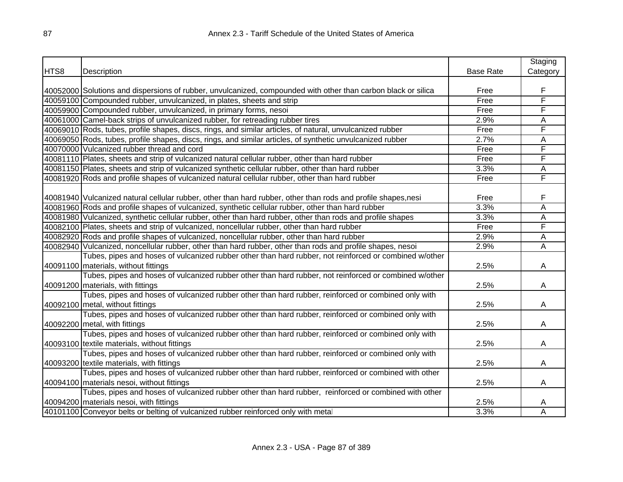|      |                                                                                                               |                  | Staging  |
|------|---------------------------------------------------------------------------------------------------------------|------------------|----------|
| HTS8 | Description                                                                                                   | <b>Base Rate</b> | Category |
|      |                                                                                                               |                  |          |
|      | 40052000 Solutions and dispersions of rubber, unvulcanized, compounded with other than carbon black or silica | Free             | F        |
|      | 40059100 Compounded rubber, unvulcanized, in plates, sheets and strip                                         | Free             | F        |
|      | 40059900 Compounded rubber, unvulcanized, in primary forms, nesoi                                             | Free             | F        |
|      | 40061000 Camel-back strips of unvulcanized rubber, for retreading rubber tires                                | 2.9%             | А        |
|      | 40069010 Rods, tubes, profile shapes, discs, rings, and similar articles, of natural, unvulcanized rubber     | Free             | F        |
|      | 40069050 Rods, tubes, profile shapes, discs, rings, and similar articles, of synthetic unvulcanized rubber    | 2.7%             | A        |
|      | 40070000 Vulcanized rubber thread and cord                                                                    | Free             | F        |
|      | 40081110 Plates, sheets and strip of vulcanized natural cellular rubber, other than hard rubber               | Free             | F        |
|      | 40081150 Plates, sheets and strip of vulcanized synthetic cellular rubber, other than hard rubber             | 3.3%             | Ā        |
|      | 40081920 Rods and profile shapes of vulcanized natural cellular rubber, other than hard rubber                | Free             | F        |
|      |                                                                                                               |                  |          |
|      | 40081940 Vulcanized natural cellular rubber, other than hard rubber, other than rods and profile shapes,nesi  | Free             | F        |
|      | 40081960 Rods and profile shapes of vulcanized, synthetic cellular rubber, other than hard rubber             | 3.3%             | Ā        |
|      | 40081980 Vulcanized, synthetic cellular rubber, other than hard rubber, other than rods and profile shapes    | 3.3%             | Ā        |
|      | 40082100 Plates, sheets and strip of vulcanized, noncellular rubber, other than hard rubber                   | Free             | F        |
|      | 40082920 Rods and profile shapes of vulcanized, noncellular rubber, other than hard rubber                    | 2.9%             | Ā        |
|      | 40082940 Vulcanized, noncellular rubber, other than hard rubber, other than rods and profile shapes, nesoi    | 2.9%             | Ā        |
|      | Tubes, pipes and hoses of vulcanized rubber other than hard rubber, not reinforced or combined w/other        |                  |          |
|      | 40091100 materials, without fittings                                                                          | 2.5%             | A        |
|      | Tubes, pipes and hoses of vulcanized rubber other than hard rubber, not reinforced or combined w/other        |                  |          |
|      | 40091200 materials, with fittings                                                                             | 2.5%             | A        |
|      | Tubes, pipes and hoses of vulcanized rubber other than hard rubber, reinforced or combined only with          |                  |          |
|      | 40092100 metal, without fittings                                                                              | 2.5%             | A        |
|      | Tubes, pipes and hoses of vulcanized rubber other than hard rubber, reinforced or combined only with          |                  |          |
|      | 40092200 metal, with fittings                                                                                 | 2.5%             | A        |
|      | Tubes, pipes and hoses of vulcanized rubber other than hard rubber, reinforced or combined only with          |                  |          |
|      | 40093100 textile materials, without fittings                                                                  | 2.5%             | A        |
|      | Tubes, pipes and hoses of vulcanized rubber other than hard rubber, reinforced or combined only with          |                  |          |
|      | 40093200 textile materials, with fittings                                                                     | 2.5%             | A        |
|      | Tubes, pipes and hoses of vulcanized rubber other than hard rubber, reinforced or combined with other         |                  |          |
|      | 40094100 materials nesoi, without fittings                                                                    | 2.5%             | A        |
|      | Tubes, pipes and hoses of vulcanized rubber other than hard rubber, reinforced or combined with other         |                  |          |
|      | 40094200 materials nesoi, with fittings                                                                       | 2.5%             | A        |
|      | 40101100 Conveyor belts or belting of vulcanized rubber reinforced only with metal                            | 3.3%             | Ā        |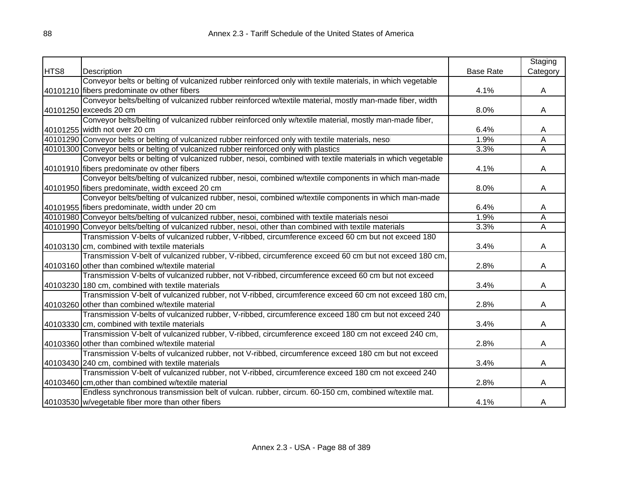|      |                                                                                                           |                  | Staging  |
|------|-----------------------------------------------------------------------------------------------------------|------------------|----------|
| HTS8 | Description                                                                                               | <b>Base Rate</b> | Category |
|      | Conveyor belts or belting of vulcanized rubber reinforced only with textile materials, in which vegetable |                  |          |
|      | 40101210 fibers predominate ov other fibers                                                               | 4.1%             | A        |
|      | Conveyor belts/belting of vulcanized rubber reinforced w/textile material, mostly man-made fiber, width   |                  |          |
|      | 40101250 exceeds 20 cm                                                                                    | 8.0%             | A        |
|      | Conveyor belts/belting of vulcanized rubber reinforced only w/textile material, mostly man-made fiber,    |                  |          |
|      | 40101255 width not over 20 cm                                                                             | 6.4%             | A        |
|      | 40101290 Conveyor belts or belting of vulcanized rubber reinforced only with textile materials, nesoi     | 1.9%             | A        |
|      | 40101300 Conveyor belts or belting of vulcanized rubber reinforced only with plastics                     | 3.3%             | Α        |
|      | Conveyor belts or belting of vulcanized rubber, nesoi, combined with textile materials in which vegetable |                  |          |
|      | 40101910 fibers predominate ov other fibers                                                               | 4.1%             | A        |
|      | Conveyor belts/belting of vulcanized rubber, nesoi, combined w/textile components in which man-made       |                  |          |
|      | 40101950 fibers predominate, width exceed 20 cm                                                           | 8.0%             | A        |
|      | Conveyor belts/belting of vulcanized rubber, nesoi, combined w/textile components in which man-made       |                  |          |
|      | 40101955 fibers predominate, width under 20 cm                                                            | 6.4%             | A        |
|      | 40101980 Conveyor belts/belting of vulcanized rubber, nesoi, combined with textile materials nesoi        | 1.9%             | Α        |
|      | 40101990 Conveyor belts/belting of vulcanized rubber, nesoi, other than combined with textile materials   | 3.3%             | Α        |
|      | Transmission V-belts of vulcanized rubber, V-ribbed, circumference exceed 60 cm but not exceed 180        |                  |          |
|      | 40103130 cm, combined with textile materials                                                              | 3.4%             | A        |
|      | Transmission V-belt of vulcanized rubber, V-ribbed, circumference exceed 60 cm but not exceed 180 cm,     |                  |          |
|      | 40103160 other than combined w/textile material                                                           | 2.8%             | A        |
|      | Transmission V-belts of vulcanized rubber, not V-ribbed, circumference exceed 60 cm but not exceed        |                  |          |
|      | 40103230 180 cm, combined with textile materials                                                          | 3.4%             | A        |
|      | Transmission V-belt of vulcanized rubber, not V-ribbed, circumference exceed 60 cm not exceed 180 cm,     |                  |          |
|      | 40103260 other than combined w/textile material                                                           | 2.8%             | Α        |
|      | Transmission V-belts of vulcanized rubber, V-ribbed, circumference exceed 180 cm but not exceed 240       |                  |          |
|      | 40103330 cm, combined with textile materials                                                              | 3.4%             | A        |
|      | Transmission V-belt of vulcanized rubber, V-ribbed, circumference exceed 180 cm not exceed 240 cm,        |                  |          |
|      | 40103360 other than combined w/textile material                                                           | 2.8%             | A        |
|      | Transmission V-belts of vulcanized rubber, not V-ribbed, circumference exceed 180 cm but not exceed       |                  |          |
|      | 40103430 240 cm, combined with textile materials                                                          | 3.4%             | A        |
|      | Transmission V-belt of vulcanized rubber, not V-ribbed, circumference exceed 180 cm not exceed 240        |                  |          |
|      | 40103460 cm, other than combined w/textile material                                                       | 2.8%             | A        |
|      | Endless synchronous transmission belt of vulcan. rubber, circum. 60-150 cm, combined w/textile mat.       |                  |          |
|      | 40103530 w/vegetable fiber more than other fibers                                                         | 4.1%             | A        |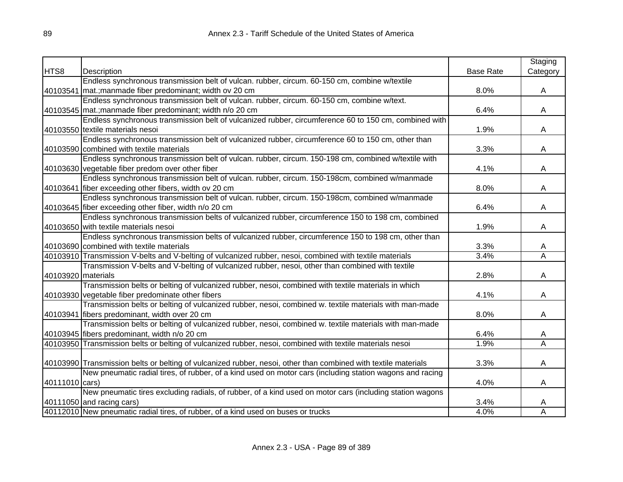|                    |                                                                                                                |                  | Staging                 |
|--------------------|----------------------------------------------------------------------------------------------------------------|------------------|-------------------------|
| HTS8               | Description                                                                                                    | <b>Base Rate</b> | Category                |
|                    | Endless synchronous transmission belt of vulcan. rubber, circum. 60-150 cm, combine w/textile                  |                  |                         |
|                    | 40103541 mat.; manmade fiber predominant; width ov 20 cm                                                       | 8.0%             | A                       |
|                    | Endless synchronous transmission belt of vulcan. rubber, circum. 60-150 cm, combine w/text.                    |                  |                         |
|                    | 40103545 mat.; manmade fiber predominant; width n/o 20 cm                                                      | 6.4%             | A                       |
|                    | Endless synchronous transmission belt of vulcanized rubber, circumference 60 to 150 cm, combined with          |                  |                         |
|                    | 40103550 textile materials nesoi                                                                               | 1.9%             | A                       |
|                    | Endless synchronous transmission belt of vulcanized rubber, circumference 60 to 150 cm, other than             |                  |                         |
|                    | 40103590 combined with textile materials                                                                       | 3.3%             | A                       |
|                    | Endless synchronous transmission belt of vulcan. rubber, circum. 150-198 cm, combined w/textile with           |                  |                         |
|                    | 40103630 vegetable fiber predom over other fiber                                                               | 4.1%             | A                       |
|                    | Endless synchronous transmission belt of vulcan. rubber, circum. 150-198cm, combined w/manmade                 |                  |                         |
|                    | 40103641 fiber exceeding other fibers, width ov 20 cm                                                          | 8.0%             | А                       |
|                    | Endless synchronous transmission belt of vulcan. rubber, circum. 150-198cm, combined w/manmade                 |                  |                         |
|                    | 40103645 fiber exceeding other fiber, width n/o 20 cm                                                          | 6.4%             | А                       |
|                    | Endless synchronous transmission belts of vulcanized rubber, circumference 150 to 198 cm, combined             |                  |                         |
|                    | 40103650 with textile materials nesoi                                                                          | 1.9%             | A                       |
|                    | Endless synchronous transmission belts of vulcanized rubber, circumference 150 to 198 cm, other than           |                  |                         |
|                    | 40103690 combined with textile materials                                                                       | 3.3%             | Α                       |
|                    | 40103910 Transmission V-belts and V-belting of vulcanized rubber, nesoi, combined with textile materials       | 3.4%             | $\overline{\mathsf{A}}$ |
|                    | Transmission V-belts and V-belting of vulcanized rubber, nesoi, other than combined with textile               |                  |                         |
| 40103920 materials |                                                                                                                | 2.8%             | A                       |
|                    | Transmission belts or belting of vulcanized rubber, nesoi, combined with textile materials in which            |                  |                         |
|                    | 40103930 vegetable fiber predominate other fibers                                                              | 4.1%             | A                       |
|                    | Transmission belts or belting of vulcanized rubber, nesoi, combined w. textile materials with man-made         |                  |                         |
|                    | 40103941 fibers predominant, width over 20 cm                                                                  | 8.0%             | A                       |
|                    | Transmission belts or belting of vulcanized rubber, nesoi, combined w. textile materials with man-made         |                  |                         |
|                    | 40103945 fibers predominant, width n/o 20 cm                                                                   | 6.4%             | A                       |
|                    | 40103950 Transmission belts or belting of vulcanized rubber, nesoi, combined with textile materials nesoi      | 1.9%             | $\overline{\mathsf{A}}$ |
|                    |                                                                                                                |                  |                         |
|                    | 40103990 Transmission belts or belting of vulcanized rubber, nesoi, other than combined with textile materials | 3.3%             | A                       |
|                    | New pneumatic radial tires, of rubber, of a kind used on motor cars (including station wagons and racing       |                  |                         |
| 40111010 cars)     |                                                                                                                | 4.0%             | A                       |
|                    | New pneumatic tires excluding radials, of rubber, of a kind used on motor cars (including station wagons       |                  |                         |
|                    | $40111050$ and racing cars)                                                                                    | 3.4%             | A                       |
|                    | 40112010 New pneumatic radial tires, of rubber, of a kind used on buses or trucks                              | 4.0%             | Α                       |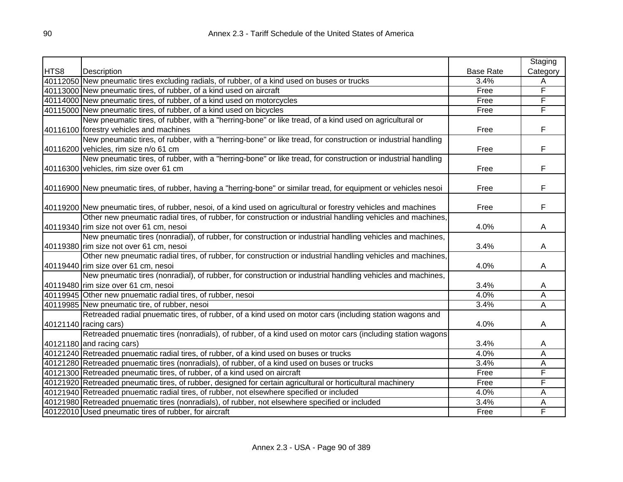|      |                                                                                                                    |                  | Staging  |
|------|--------------------------------------------------------------------------------------------------------------------|------------------|----------|
| HTS8 | Description                                                                                                        | <b>Base Rate</b> | Category |
|      | 40112050 New pneumatic tires excluding radials, of rubber, of a kind used on buses or trucks                       | 3.4%             | A        |
|      | 40113000 New pneumatic tires, of rubber, of a kind used on aircraft                                                | Free             | F        |
|      | 40114000 New pneumatic tires, of rubber, of a kind used on motorcycles                                             | Free             | F        |
|      | 40115000 New pneumatic tires, of rubber, of a kind used on bicycles                                                | Free             | F        |
|      | New pneumatic tires, of rubber, with a "herring-bone" or like tread, of a kind used on agricultural or             |                  |          |
|      | 40116100 forestry vehicles and machines                                                                            | Free             | F        |
|      | New pneumatic tires, of rubber, with a "herring-bone" or like tread, for construction or industrial handling       |                  |          |
|      | 40116200 vehicles, rim size n/o 61 cm                                                                              | Free             | F        |
|      | New pneumatic tires, of rubber, with a "herring-bone" or like tread, for construction or industrial handling       |                  |          |
|      | 40116300 vehicles, rim size over 61 cm                                                                             | Free             | F        |
|      |                                                                                                                    |                  |          |
|      | 40116900 New pneumatic tires, of rubber, having a "herring-bone" or similar tread, for equipment or vehicles nesoi | Free             | F        |
|      |                                                                                                                    |                  |          |
|      | 40119200 New pneumatic tires, of rubber, nesoi, of a kind used on agricultural or forestry vehicles and machines   | Free             | F        |
|      | Other new pneumatic radial tires, of rubber, for construction or industrial handling vehicles and machines,        |                  |          |
|      | 40119340 rim size not over 61 cm, nesoi                                                                            | 4.0%             | A        |
|      | New pneumatic tires (nonradial), of rubber, for construction or industrial handling vehicles and machines,         |                  |          |
|      | 40119380 rim size not over 61 cm, nesoi                                                                            | 3.4%             | A        |
|      | Other new pneumatic radial tires, of rubber, for construction or industrial handling vehicles and machines,        |                  |          |
|      | 40119440 rim size over 61 cm, nesoi                                                                                | 4.0%             | A        |
|      | New pneumatic tires (nonradial), of rubber, for construction or industrial handling vehicles and machines,         |                  |          |
|      | 40119480 rim size over 61 cm, nesoi                                                                                | 3.4%             | A        |
|      | 40119945 Other new pnuematic radial tires, of rubber, nesoi                                                        | 4.0%             | Α        |
|      | 40119985 New pneumatic tire, of rubber, nesoi                                                                      | 3.4%             | Ā        |
|      | Retreaded radial pnuematic tires, of rubber, of a kind used on motor cars (including station wagons and            |                  |          |
|      | 40121140 racing cars)                                                                                              | 4.0%             | A        |
|      | Retreaded pnuematic tires (nonradials), of rubber, of a kind used on motor cars (including station wagons          |                  |          |
|      | 40121180 and racing cars)                                                                                          | 3.4%             | A        |
|      | 40121240 Retreaded pnuematic radial tires, of rubber, of a kind used on buses or trucks                            | 4.0%             | Α        |
|      | 40121280 Retreaded pnuematic tires (nonradials), of rubber, of a kind used on buses or trucks                      | 3.4%             | Α        |
|      | 40121300 Retreaded pneumatic tires, of rubber, of a kind used on aircraft                                          | Free             | F        |
|      | 40121920 Retreaded pneumatic tires, of rubber, designed for certain agricultural or horticultural machinery        | Free             | F        |
|      | 40121940 Retreaded pnuematic radial tires, of rubber, not elsewhere specified or included                          | 4.0%             | Α        |
|      | 40121980 Retreaded pnuematic tires (nonradials), of rubber, not elsewhere specified or included                    | 3.4%             | A        |
|      | 40122010 Used pneumatic tires of rubber, for aircraft                                                              | Free             | F        |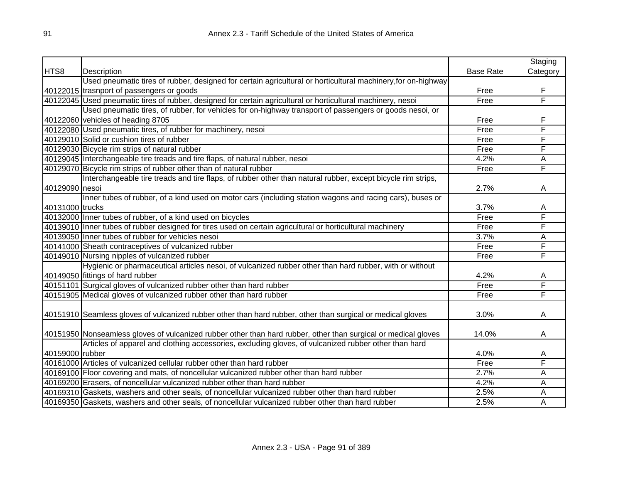|                 |                                                                                                                |                  | Staging  |
|-----------------|----------------------------------------------------------------------------------------------------------------|------------------|----------|
| HTS8            | Description                                                                                                    | <b>Base Rate</b> | Category |
|                 | Used pneumatic tires of rubber, designed for certain agricultural or horticultural machinery, for on-highway   |                  |          |
|                 | 40122015 trasnport of passengers or goods                                                                      | Free             | F        |
|                 | 40122045 Used pneumatic tires of rubber, designed for certain agricultural or horticultural machinery, nesoi   | Free             | F        |
|                 | Used pneumatic tires, of rubber, for vehicles for on-highway transport of passengers or goods nesoi, or        |                  |          |
|                 | 40122060 vehicles of heading 8705                                                                              | Free             | F        |
|                 | 40122080 Used pneumatic tires, of rubber for machinery, nesoi                                                  | Free             | F        |
|                 | 40129010 Solid or cushion tires of rubber                                                                      | Free             | F        |
|                 | 40129030 Bicycle rim strips of natural rubber                                                                  | Free             | F        |
|                 | 40129045 Interchangeable tire treads and tire flaps, of natural rubber, nesoi                                  | 4.2%             | Α        |
|                 | 40129070 Bicycle rim strips of rubber other than of natural rubber                                             | Free             | F        |
|                 | Interchangeable tire treads and tire flaps, of rubber other than natural rubber, except bicycle rim strips,    |                  |          |
| 40129090 nesoi  |                                                                                                                | 2.7%             | Α        |
|                 | Inner tubes of rubber, of a kind used on motor cars (including station wagons and racing cars), buses or       |                  |          |
| 40131000 trucks |                                                                                                                | 3.7%             | A        |
|                 | 40132000 Inner tubes of rubber, of a kind used on bicycles                                                     | Free             | F        |
|                 | 40139010 Inner tubes of rubber designed for tires used on certain agricultural or horticultural machinery      | Free             | F        |
|                 | 40139050 Inner tubes of rubber for vehicles nesoi                                                              | 3.7%             | Α        |
|                 | 40141000 Sheath contraceptives of vulcanized rubber                                                            | Free             | F        |
|                 | 40149010 Nursing nipples of vulcanized rubber                                                                  | Free             | F        |
|                 | Hygienic or pharmaceutical articles nesoi, of vulcanized rubber other than hard rubber, with or without        |                  |          |
|                 | 40149050 fittings of hard rubber                                                                               | 4.2%             | A        |
|                 | 40151101 Surgical gloves of vulcanized rubber other than hard rubber                                           | Free             | F        |
|                 | 40151905 Medical gloves of vulcanized rubber other than hard rubber                                            | Free             | F        |
|                 |                                                                                                                |                  |          |
|                 | 40151910 Seamless gloves of vulcanized rubber other than hard rubber, other than surgical or medical gloves    | 3.0%             | A        |
|                 | 40151950 Nonseamless gloves of vulcanized rubber other than hard rubber, other than surgical or medical gloves | 14.0%            | A        |
|                 | Articles of apparel and clothing accessories, excluding gloves, of vulcanized rubber other than hard           |                  |          |
| 40159000 rubber |                                                                                                                | 4.0%             | A        |
|                 | 40161000 Articles of vulcanized cellular rubber other than hard rubber                                         | Free             | F        |
|                 | 40169100 Floor covering and mats, of noncellular vulcanized rubber other than hard rubber                      | 2.7%             | Α        |
|                 | 40169200 Erasers, of noncellular vulcanized rubber other than hard rubber                                      | 4.2%             | Α        |
|                 | 40169310 Gaskets, washers and other seals, of noncellular vulcanized rubber other than hard rubber             | 2.5%             | Α        |
|                 | 40169350 Gaskets, washers and other seals, of noncellular vulcanized rubber other than hard rubber             | 2.5%             | Α        |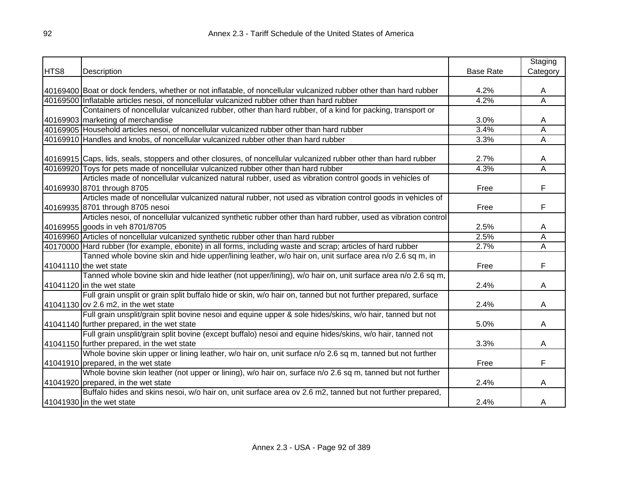|      |                                                                                                                   |                  | Staging                 |
|------|-------------------------------------------------------------------------------------------------------------------|------------------|-------------------------|
| HTS8 | Description                                                                                                       | <b>Base Rate</b> | Category                |
|      |                                                                                                                   |                  |                         |
|      | 40169400 Boat or dock fenders, whether or not inflatable, of noncellular vulcanized rubber other than hard rubber | 4.2%             | A                       |
|      | 40169500 Inflatable articles nesoi, of noncellular vulcanized rubber other than hard rubber                       | 4.2%             | $\overline{\mathsf{A}}$ |
|      | Containers of noncellular vulcanized rubber, other than hard rubber, of a kind for packing, transport or          |                  |                         |
|      | 40169903 marketing of merchandise                                                                                 | 3.0%             | A                       |
|      | 40169905 Household articles nesoi, of noncellular vulcanized rubber other than hard rubber                        | 3.4%             | Α                       |
|      | 40169910 Handles and knobs, of noncellular vulcanized rubber other than hard rubber                               | 3.3%             | A                       |
|      |                                                                                                                   |                  |                         |
|      | 40169915 Caps, lids, seals, stoppers and other closures, of noncellular vulcanized rubber other than hard rubber  | 2.7%             | A                       |
|      | 40169920 Toys for pets made of noncellular vulcanized rubber other than hard rubber                               | 4.3%             | $\overline{\mathsf{A}}$ |
|      | Articles made of noncellular vulcanized natural rubber, used as vibration control goods in vehicles of            |                  |                         |
|      | 40169930 8701 through 8705                                                                                        | Free             | F                       |
|      | Articles made of noncellular vulcanized natural rubber, not used as vibration control goods in vehicles of        |                  |                         |
|      | 40169935 8701 through 8705 nesoi                                                                                  | Free             | F                       |
|      | Articles nesoi, of noncellular vulcanized synthetic rubber other than hard rubber, used as vibration control      |                  |                         |
|      | 40169955 goods in veh 8701/8705                                                                                   | 2.5%             | A                       |
|      | 40169960 Articles of noncellular vulcanized synthetic rubber other than hard rubber                               | 2.5%             | Α                       |
|      | 40170000 Hard rubber (for example, ebonite) in all forms, including waste and scrap; articles of hard rubber      | 2.7%             | Α                       |
|      | Tanned whole bovine skin and hide upper/lining leather, w/o hair on, unit surface area n/o 2.6 sq m, in           |                  |                         |
|      | 41041110 the wet state                                                                                            | Free             | F                       |
|      | Tanned whole bovine skin and hide leather (not upper/lining), w/o hair on, unit surface area n/o 2.6 sq m,        |                  |                         |
|      | 41041120 in the wet state                                                                                         | 2.4%             | A                       |
|      | Full grain unsplit or grain split buffalo hide or skin, w/o hair on, tanned but not further prepared, surface     |                  |                         |
|      | 41041130 ov 2.6 m2, in the wet state                                                                              | 2.4%             | A                       |
|      | Full grain unsplit/grain split bovine nesoi and equine upper & sole hides/skins, w/o hair, tanned but not         |                  |                         |
|      | 41041140 further prepared, in the wet state                                                                       | 5.0%             | A                       |
|      | Full grain unsplit/grain split bovine (except buffalo) nesoi and equine hides/skins, w/o hair, tanned not         |                  |                         |
|      | 41041150 further prepared, in the wet state                                                                       | 3.3%             | A                       |
|      | Whole bovine skin upper or lining leather, w/o hair on, unit surface n/o 2.6 sq m, tanned but not further         |                  |                         |
|      | 41041910 prepared, in the wet state                                                                               | Free             | F                       |
|      | Whole bovine skin leather (not upper or lining), w/o hair on, surface n/o 2.6 sq m, tanned but not further        |                  |                         |
|      | 41041920 prepared, in the wet state                                                                               | 2.4%             | A                       |
|      | Buffalo hides and skins nesoi, w/o hair on, unit surface area ov 2.6 m2, tanned but not further prepared,         |                  |                         |
|      | $41041930$ in the wet state                                                                                       | 2.4%             | A                       |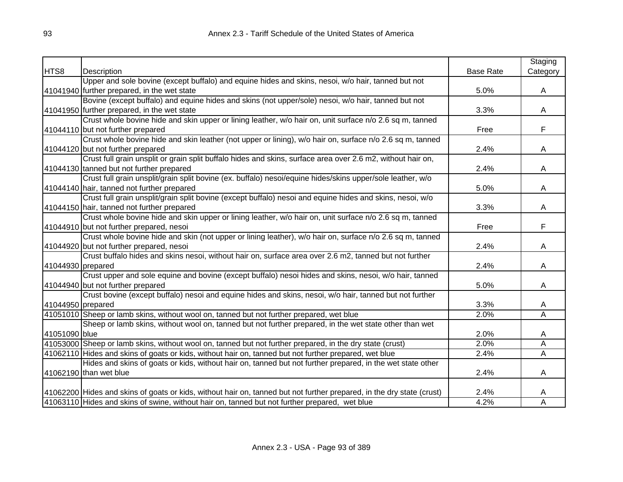|                   |                                                                                                                       |                  | Staging  |
|-------------------|-----------------------------------------------------------------------------------------------------------------------|------------------|----------|
| HTS8              | Description                                                                                                           | <b>Base Rate</b> | Category |
|                   | Upper and sole bovine (except buffalo) and equine hides and skins, nesoi, w/o hair, tanned but not                    |                  |          |
|                   | 41041940 further prepared, in the wet state                                                                           | 5.0%             | A        |
|                   | Bovine (except buffalo) and equine hides and skins (not upper/sole) nesoi, w/o hair, tanned but not                   |                  |          |
|                   | 41041950 further prepared, in the wet state                                                                           | 3.3%             | A        |
|                   | Crust whole bovine hide and skin upper or lining leather, w/o hair on, unit surface n/o 2.6 sq m, tanned              |                  |          |
|                   | 41044110 but not further prepared                                                                                     | Free             | F.       |
|                   | Crust whole bovine hide and skin leather (not upper or lining), w/o hair on, surface n/o 2.6 sq m, tanned             |                  |          |
|                   | 41044120 but not further prepared                                                                                     | 2.4%             | A        |
|                   | Crust full grain unsplit or grain split buffalo hides and skins, surface area over 2.6 m2, without hair on,           |                  |          |
|                   | 41044130 tanned but not further prepared                                                                              | 2.4%             | A        |
|                   | Crust full grain unsplit/grain split bovine (ex. buffalo) nesoi/equine hides/skins upper/sole leather, w/o            |                  |          |
|                   | 41044140 hair, tanned not further prepared                                                                            | 5.0%             | A        |
|                   | Crust full grain unsplit/grain split bovine (except buffalo) nesoi and equine hides and skins, nesoi, w/o             |                  |          |
|                   | 41044150 hair, tanned not further prepared                                                                            | 3.3%             | A        |
|                   | Crust whole bovine hide and skin upper or lining leather, w/o hair on, unit surface n/o 2.6 sq m, tanned              |                  |          |
|                   | 41044910 but not further prepared, nesoi                                                                              | Free             | F        |
|                   | Crust whole bovine hide and skin (not upper or lining leather), w/o hair on, surface n/o 2.6 sq m, tanned             |                  |          |
|                   | 41044920 but not further prepared, nesoi                                                                              | 2.4%             | A        |
|                   | Crust buffalo hides and skins nesoi, without hair on, surface area over 2.6 m2, tanned but not further                |                  |          |
| 41044930 prepared |                                                                                                                       | 2.4%             | A        |
|                   | Crust upper and sole equine and bovine (except buffalo) nesoi hides and skins, nesoi, w/o hair, tanned                |                  |          |
|                   | 41044940 but not further prepared                                                                                     | 5.0%             | A        |
|                   | Crust bovine (except buffalo) nesoi and equine hides and skins, nesoi, w/o hair, tanned but not further               |                  |          |
| 41044950 prepared |                                                                                                                       | 3.3%             | A        |
|                   | 41051010 Sheep or lamb skins, without wool on, tanned but not further prepared, wet blue                              | 2.0%             | A        |
|                   | Sheep or lamb skins, without wool on, tanned but not further prepared, in the wet state other than wet                |                  |          |
| 41051090 blue     |                                                                                                                       | 2.0%             | A        |
|                   | 41053000 Sheep or lamb skins, without wool on, tanned but not further prepared, in the dry state (crust)              | 2.0%             | Α        |
|                   | 41062110 Hides and skins of goats or kids, without hair on, tanned but not further prepared, wet blue                 | 2.4%             | Α        |
|                   | Hides and skins of goats or kids, without hair on, tanned but not further prepared, in the wet state other            |                  |          |
|                   | 41062190 than wet blue                                                                                                | 2.4%             | A        |
|                   |                                                                                                                       |                  |          |
|                   | 41062200 Hides and skins of goats or kids, without hair on, tanned but not further prepared, in the dry state (crust) | 2.4%             | A        |
|                   | 41063110 Hides and skins of swine, without hair on, tanned but not further prepared, wet blue                         | 4.2%             | А        |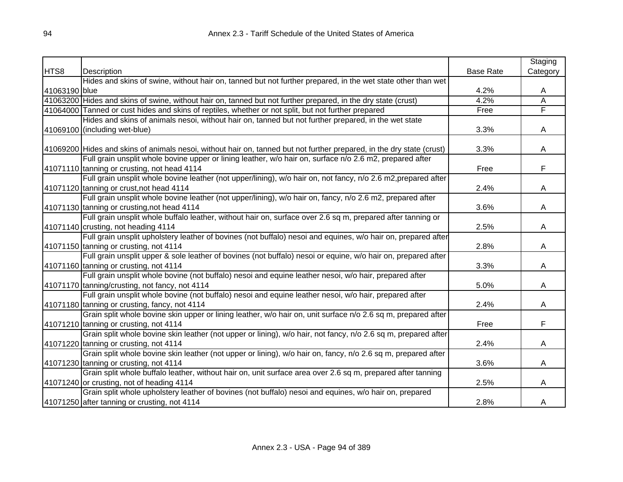|               |                                                                                                                       |                  | Staging  |
|---------------|-----------------------------------------------------------------------------------------------------------------------|------------------|----------|
| HTS8          | Description                                                                                                           | <b>Base Rate</b> | Category |
|               | Hides and skins of swine, without hair on, tanned but not further prepared, in the wet state other than wet           |                  |          |
| 41063190 blue |                                                                                                                       | 4.2%             | A        |
|               | 41063200 Hides and skins of swine, without hair on, tanned but not further prepared, in the dry state (crust)         | 4.2%             | Α        |
|               | 41064000 Tanned or cust hides and skins of reptiles, whether or not split, but not further prepared                   | Free             | F        |
|               | Hides and skins of animals nesoi, without hair on, tanned but not further prepared, in the wet state                  |                  |          |
|               | 41069100 (including wet-blue)                                                                                         | 3.3%             | A        |
|               |                                                                                                                       |                  |          |
|               | 41069200 Hides and skins of animals nesoi, without hair on, tanned but not further prepared, in the dry state (crust) | 3.3%             | A        |
|               | Full grain unsplit whole bovine upper or lining leather, w/o hair on, surface n/o 2.6 m2, prepared after              |                  |          |
|               | 41071110 tanning or crusting, not head 4114                                                                           | Free             | F        |
|               | Full grain unsplit whole bovine leather (not upper/lining), w/o hair on, not fancy, n/o 2.6 m2, prepared after        |                  |          |
|               | 41071120 tanning or crust, not head 4114                                                                              | 2.4%             | A        |
|               | Full grain unsplit whole bovine leather (not upper/lining), w/o hair on, fancy, n/o 2.6 m2, prepared after            |                  |          |
|               | 41071130 tanning or crusting, not head 4114                                                                           | 3.6%             | A        |
|               | Full grain unsplit whole buffalo leather, without hair on, surface over 2.6 sq m, prepared after tanning or           |                  |          |
|               | 41071140 crusting, not heading 4114                                                                                   | 2.5%             | A        |
|               | Full grain unsplit upholstery leather of bovines (not buffalo) nesoi and equines, w/o hair on, prepared after         |                  |          |
|               | 41071150 tanning or crusting, not 4114                                                                                | 2.8%             | A        |
|               | Full grain unsplit upper & sole leather of bovines (not buffalo) nesoi or equine, w/o hair on, prepared after         |                  |          |
|               | 41071160 tanning or crusting, not 4114                                                                                | 3.3%             | A        |
|               | Full grain unsplit whole bovine (not buffalo) nesoi and equine leather nesoi, w/o hair, prepared after                |                  |          |
|               | 41071170 tanning/crusting, not fancy, not 4114                                                                        | 5.0%             | Α        |
|               | Full grain unsplit whole bovine (not buffalo) nesoi and equine leather nesoi, w/o hair, prepared after                |                  |          |
|               | 41071180 tanning or crusting, fancy, not 4114                                                                         | 2.4%             | A        |
|               | Grain split whole bovine skin upper or lining leather, w/o hair on, unit surface n/o 2.6 sq m, prepared after         |                  |          |
|               | 41071210 tanning or crusting, not 4114                                                                                | Free             | F        |
|               | Grain split whole bovine skin leather (not upper or lining), w/o hair, not fancy, n/o 2.6 sq m, prepared after        |                  |          |
|               | 41071220 tanning or crusting, not 4114                                                                                | 2.4%             | A        |
|               | Grain split whole bovine skin leather (not upper or lining), w/o hair on, fancy, n/o 2.6 sq m, prepared after         |                  |          |
|               | 41071230 tanning or crusting, not 4114                                                                                | 3.6%             | A        |
|               | Grain split whole buffalo leather, without hair on, unit surface area over 2.6 sq m, prepared after tanning           |                  |          |
|               | 41071240 or crusting, not of heading 4114                                                                             | 2.5%             | A        |
|               | Grain split whole upholstery leather of bovines (not buffalo) nesoi and equines, w/o hair on, prepared                |                  |          |
|               | 41071250 after tanning or crusting, not 4114                                                                          | 2.8%             | A        |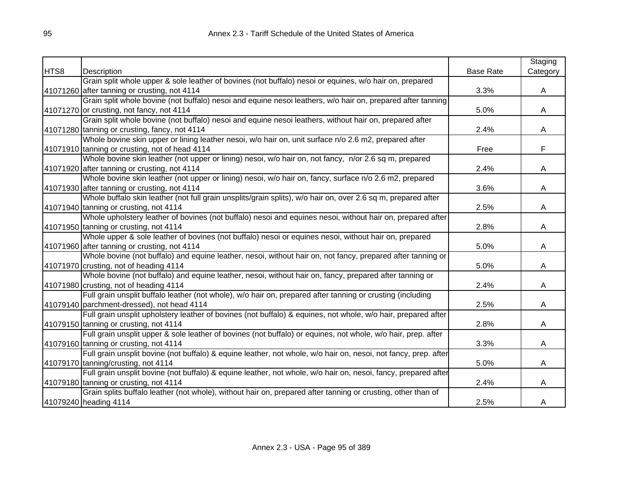|      |                                                                                                                 |                  | Staging  |
|------|-----------------------------------------------------------------------------------------------------------------|------------------|----------|
| HTS8 | Description                                                                                                     | <b>Base Rate</b> | Category |
|      | Grain split whole upper & sole leather of bovines (not buffalo) nesoi or equines, w/o hair on, prepared         |                  |          |
|      | 41071260 after tanning or crusting, not 4114                                                                    | 3.3%             | A        |
|      | Grain split whole bovine (not buffalo) nesoi and equine nesoi leathers, w/o hair on, prepared after tanning     |                  |          |
|      | 41071270 or crusting, not fancy, not 4114                                                                       | 5.0%             | A        |
|      | Grain split whole bovine (not buffalo) nesoi and equine nesoi leathers, without hair on, prepared after         |                  |          |
|      | 41071280 tanning or crusting, fancy, not 4114                                                                   | 2.4%             | A        |
|      | Whole bovine skin upper or lining leather nesoi, w/o hair on, unit surface n/o 2.6 m2, prepared after           |                  |          |
|      | 41071910 tanning or crusting, not of head 4114                                                                  | Free             | F        |
|      | Whole bovine skin leather (not upper or lining) nesoi, w/o hair on, not fancy, n/or 2.6 sq m, prepared          |                  |          |
|      | 41071920 after tanning or crusting, not 4114                                                                    | 2.4%             | A        |
|      | Whole bovine skin leather (not upper or lining) nesoi, w/o hair on, fancy, surface n/o 2.6 m2, prepared         |                  |          |
|      | 41071930 after tanning or crusting, not 4114                                                                    | 3.6%             | A        |
|      | Whole buffalo skin leather (not full grain unsplits/grain splits), w/o hair on, over 2.6 sq m, prepared after   |                  |          |
|      | 41071940 tanning or crusting, not 4114                                                                          | 2.5%             | A        |
|      | Whole upholstery leather of bovines (not buffalo) nesoi and equines nesoi, without hair on, prepared after      |                  |          |
|      | 41071950 tanning or crusting, not 4114                                                                          | 2.8%             | A        |
|      | Whole upper & sole leather of bovines (not buffalo) nesoi or equines nesoi, without hair on, prepared           |                  |          |
|      | 41071960 after tanning or crusting, not 4114                                                                    | 5.0%             | A        |
|      | Whole bovine (not buffalo) and equine leather, nesoi, without hair on, not fancy, prepared after tanning or     |                  |          |
|      | 41071970 crusting, not of heading 4114                                                                          | 5.0%             | A        |
|      | Whole bovine (not buffalo) and equine leather, nesoi, without hair on, fancy, prepared after tanning or         |                  |          |
|      | 41071980 crusting, not of heading 4114                                                                          | 2.4%             | A        |
|      | Full grain unsplit buffalo leather (not whole), w/o hair on, prepared after tanning or crusting (including      |                  |          |
|      | 41079140 parchment-dressed), not head 4114                                                                      | 2.5%             | A        |
|      | Full grain unsplit upholstery leather of bovines (not buffalo) & equines, not whole, w/o hair, prepared after   |                  |          |
|      | 41079150 tanning or crusting, not 4114                                                                          | 2.8%             | A        |
|      | Full grain unsplit upper & sole leather of bovines (not buffalo) or equines, not whole, w/o hair, prep. after   |                  |          |
|      | 41079160 tanning or crusting, not 4114                                                                          | 3.3%             | A        |
|      | Full grain unsplit bovine (not buffalo) & equine leather, not whole, w/o hair on, nesoi, not fancy, prep. after |                  |          |
|      | 41079170 tanning/crusting, not 4114                                                                             | 5.0%             | A        |
|      | Full grain unsplit bovine (not buffalo) & equine leather, not whole, w/o hair on, nesoi, fancy, prepared after  |                  |          |
|      | 41079180 tanning or crusting, not 4114                                                                          | 2.4%             | A        |
|      | Grain splits buffalo leather (not whole), without hair on, prepared after tanning or crusting, other than of    |                  |          |
|      | 41079240 heading 4114                                                                                           | 2.5%             | A        |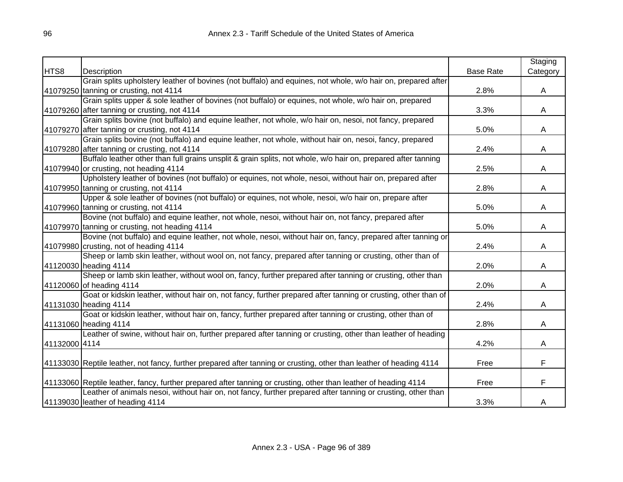|               |                                                                                                                     |                  | Staging  |
|---------------|---------------------------------------------------------------------------------------------------------------------|------------------|----------|
| HTS8          | Description                                                                                                         | <b>Base Rate</b> | Category |
|               | Grain splits upholstery leather of bovines (not buffalo) and equines, not whole, w/o hair on, prepared after        |                  |          |
|               | 41079250 tanning or crusting, not 4114                                                                              | 2.8%             | A        |
|               | Grain splits upper & sole leather of bovines (not buffalo) or equines, not whole, w/o hair on, prepared             |                  |          |
|               | 41079260 after tanning or crusting, not 4114                                                                        | 3.3%             | A        |
|               | Grain splits bovine (not buffalo) and equine leather, not whole, w/o hair on, nesoi, not fancy, prepared            |                  |          |
|               | 41079270 after tanning or crusting, not 4114                                                                        | 5.0%             | A        |
|               | Grain splits bovine (not buffalo) and equine leather, not whole, without hair on, nesoi, fancy, prepared            |                  |          |
|               | 41079280 after tanning or crusting, not 4114                                                                        | 2.4%             | A        |
|               | Buffalo leather other than full grains unsplit & grain splits, not whole, w/o hair on, prepared after tanning       |                  |          |
|               | 41079940 or crusting, not heading 4114                                                                              | 2.5%             | A        |
|               | Upholstery leather of bovines (not buffalo) or equines, not whole, nesoi, without hair on, prepared after           |                  |          |
|               | 41079950 tanning or crusting, not 4114                                                                              | 2.8%             | A        |
|               | Upper & sole leather of bovines (not buffalo) or equines, not whole, nesoi, w/o hair on, prepare after              |                  |          |
|               | 41079960 tanning or crusting, not 4114                                                                              | 5.0%             | A        |
|               | Bovine (not buffalo) and equine leather, not whole, nesoi, without hair on, not fancy, prepared after               |                  |          |
|               | 41079970 tanning or crusting, not heading 4114                                                                      | 5.0%             | A        |
|               | Bovine (not buffalo) and equine leather, not whole, nesoi, without hair on, fancy, prepared after tanning or        |                  |          |
|               | 41079980 crusting, not of heading 4114                                                                              | 2.4%             | A        |
|               | Sheep or lamb skin leather, without wool on, not fancy, prepared after tanning or crusting, other than of           |                  |          |
|               | 41120030 heading 4114                                                                                               | 2.0%             | A        |
|               | Sheep or lamb skin leather, without wool on, fancy, further prepared after tanning or crusting, other than          |                  |          |
|               | 41120060 of heading 4114                                                                                            | 2.0%             | A        |
|               | Goat or kidskin leather, without hair on, not fancy, further prepared after tanning or crusting, other than of      |                  |          |
|               | 41131030 heading 4114                                                                                               | 2.4%             | A        |
|               | Goat or kidskin leather, without hair on, fancy, further prepared after tanning or crusting, other than of          |                  |          |
|               | 41131060 heading 4114                                                                                               | 2.8%             | A        |
|               | Leather of swine, without hair on, further prepared after tanning or crusting, other than leather of heading        |                  |          |
| 41132000 4114 |                                                                                                                     | 4.2%             | A        |
|               |                                                                                                                     |                  |          |
|               | 41133030 Reptile leather, not fancy, further prepared after tanning or crusting, other than leather of heading 4114 | Free             | F        |
|               |                                                                                                                     |                  |          |
|               | 41133060 Reptile leather, fancy, further prepared after tanning or crusting, other than leather of heading 4114     | Free             | F        |
|               | Leather of animals nesoi, without hair on, not fancy, further prepared after tanning or crusting, other than        |                  |          |
|               | 41139030 leather of heading 4114                                                                                    | 3.3%             | A        |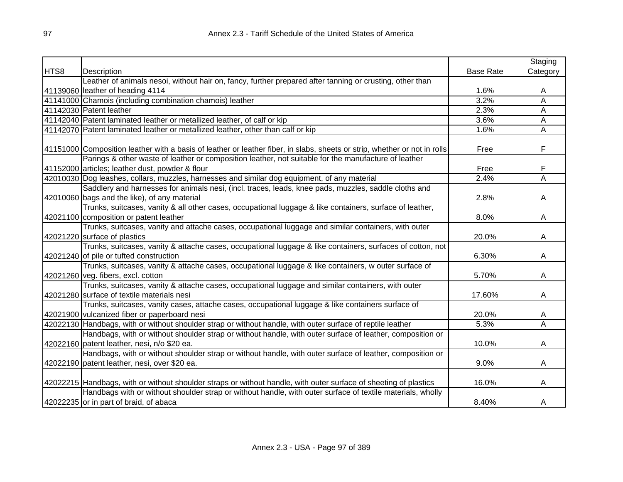|      |                                                                                                                           |                  | Staging  |
|------|---------------------------------------------------------------------------------------------------------------------------|------------------|----------|
| HTS8 | Description                                                                                                               | <b>Base Rate</b> | Category |
|      | Leather of animals nesoi, without hair on, fancy, further prepared after tanning or crusting, other than                  |                  |          |
|      | 41139060 leather of heading 4114                                                                                          | 1.6%             | A        |
|      | 41141000 Chamois (including combination chamois) leather                                                                  | 3.2%             | Α        |
|      | 41142030 Patent leather                                                                                                   | 2.3%             | Α        |
|      | 41142040 Patent laminated leather or metallized leather, of calf or kip                                                   | 3.6%             | Α        |
|      | 41142070 Patent laminated leather or metallized leather, other than calf or kip                                           | 1.6%             | A        |
|      |                                                                                                                           |                  |          |
|      | 41151000 Composition leather with a basis of leather or leather fiber, in slabs, sheets or strip, whether or not in rolls | Free             | F        |
|      | Parings & other waste of leather or composition leather, not suitable for the manufacture of leather                      |                  |          |
|      | 41152000 articles; leather dust, powder & flour                                                                           | Free             | F        |
|      | 42010030 Dog leashes, collars, muzzles, harnesses and similar dog equipment, of any material                              | 2.4%             | Α        |
|      | Saddlery and harnesses for animals nesi, (incl. traces, leads, knee pads, muzzles, saddle cloths and                      |                  |          |
|      | 42010060 bags and the like), of any material                                                                              | 2.8%             | A        |
|      | Trunks, suitcases, vanity & all other cases, occupational luggage & like containers, surface of leather,                  |                  |          |
|      | 42021100 composition or patent leather                                                                                    | 8.0%             | A        |
|      | Trunks, suitcases, vanity and attache cases, occupational luggage and similar containers, with outer                      |                  |          |
|      | 42021220 surface of plastics                                                                                              | 20.0%            | A        |
|      | Trunks, suitcases, vanity & attache cases, occupational luggage & like containers, surfaces of cotton, not                |                  |          |
|      | 42021240 of pile or tufted construction                                                                                   | 6.30%            | A        |
|      | Trunks, suitcases, vanity & attache cases, occupational luggage & like containers, w outer surface of                     |                  |          |
|      | 42021260 veg. fibers, excl. cotton                                                                                        | 5.70%            | A        |
|      | Trunks, suitcases, vanity & attache cases, occupational luggage and similar containers, with outer                        |                  |          |
|      | 42021280 surface of textile materials nesi                                                                                | 17.60%           | A        |
|      | Trunks, suitcases, vanity cases, attache cases, occupational luggage & like containers surface of                         |                  |          |
|      | 42021900 vulcanized fiber or paperboard nesi                                                                              | 20.0%            | A        |
|      | 42022130 Handbags, with or without shoulder strap or without handle, with outer surface of reptile leather                | 5.3%             | Ā        |
|      | Handbags, with or without shoulder strap or without handle, with outer surface of leather, composition or                 |                  |          |
|      | 42022160 patent leather, nesi, n/o \$20 ea.                                                                               | 10.0%            | A        |
|      | Handbags, with or without shoulder strap or without handle, with outer surface of leather, composition or                 |                  |          |
|      | 42022190 patent leather, nesi, over \$20 ea.                                                                              | 9.0%             | A        |
|      |                                                                                                                           |                  |          |
|      | 42022215 Handbags, with or without shoulder straps or without handle, with outer surface of sheeting of plastics          | 16.0%            | A        |
|      | Handbags with or without shoulder strap or without handle, with outer surface of textile materials, wholly                |                  |          |
|      | 42022235 or in part of braid, of abaca                                                                                    | 8.40%            | Α        |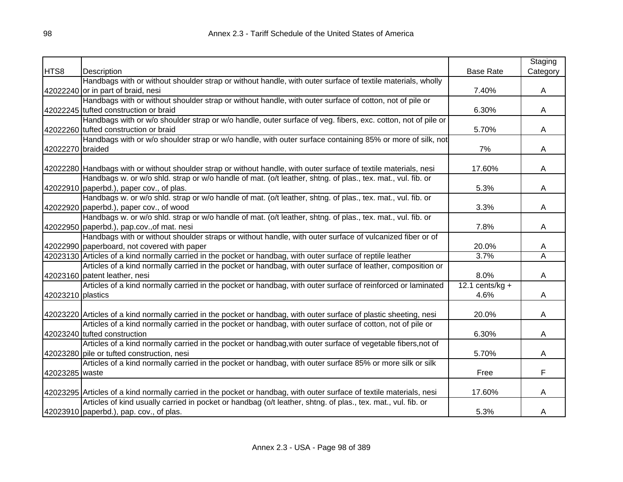|                   |                                                                                                                                                         |                  | Staging  |
|-------------------|---------------------------------------------------------------------------------------------------------------------------------------------------------|------------------|----------|
| HTS8              | Description                                                                                                                                             | <b>Base Rate</b> | Category |
|                   | Handbags with or without shoulder strap or without handle, with outer surface of textile materials, wholly                                              |                  |          |
|                   | 42022240 or in part of braid, nesi                                                                                                                      | 7.40%            | A        |
|                   | Handbags with or without shoulder strap or without handle, with outer surface of cotton, not of pile or                                                 |                  |          |
|                   | 42022245 tufted construction or braid                                                                                                                   | 6.30%            | A        |
|                   | Handbags with or w/o shoulder strap or w/o handle, outer surface of veg. fibers, exc. cotton, not of pile or                                            |                  |          |
|                   | 42022260 tufted construction or braid                                                                                                                   | 5.70%            | A        |
|                   | Handbags with or w/o shoulder strap or w/o handle, with outer surface containing 85% or more of silk, not                                               |                  |          |
| 42022270 braided  |                                                                                                                                                         | 7%               | A        |
|                   |                                                                                                                                                         |                  |          |
|                   | 42022280 Handbags with or without shoulder strap or without handle, with outer surface of textile materials, nesi                                       | 17.60%           | A        |
|                   | Handbags w. or w/o shld. strap or w/o handle of mat. (o/t leather, shtng. of plas., tex. mat., vul. fib. or                                             |                  |          |
|                   | 42022910 paperbd.), paper cov., of plas.<br>Handbags w. or w/o shld. strap or w/o handle of mat. (o/t leather, shtng. of plas., tex. mat., vul. fib. or | 5.3%             | A        |
|                   |                                                                                                                                                         |                  |          |
|                   | 42022920 paperbd.), paper cov., of wood<br>Handbags w. or w/o shld. strap or w/o handle of mat. (o/t leather, shtng. of plas., tex. mat., vul. fib. or  | 3.3%             | A        |
|                   |                                                                                                                                                         | 7.8%             |          |
|                   | 42022950 paperbd.), pap.cov., of mat. nesi<br>Handbags with or without shoulder straps or without handle, with outer surface of vulcanized fiber or of  |                  | A        |
|                   | 42022990 paperboard, not covered with paper                                                                                                             | 20.0%            |          |
|                   | 42023130 Articles of a kind normally carried in the pocket or handbag, with outer surface of reptile leather                                            | 3.7%             | A<br>Ā   |
|                   | Articles of a kind normally carried in the pocket or handbag, with outer surface of leather, composition or                                             |                  |          |
|                   | 42023160 patent leather, nesi                                                                                                                           | 8.0%             | A        |
|                   | Articles of a kind normally carried in the pocket or handbag, with outer surface of reinforced or laminated                                             | 12.1 cents/kg +  |          |
|                   |                                                                                                                                                         | 4.6%             |          |
| 42023210 plastics |                                                                                                                                                         |                  | A        |
|                   | 42023220 Articles of a kind normally carried in the pocket or handbag, with outer surface of plastic sheeting, nesi                                     | 20.0%            | A        |
|                   | Articles of a kind normally carried in the pocket or handbag, with outer surface of cotton, not of pile or                                              |                  |          |
|                   | 42023240 tufted construction                                                                                                                            | 6.30%            | A        |
|                   | Articles of a kind normally carried in the pocket or handbag, with outer surface of vegetable fibers, not of                                            |                  |          |
|                   | 42023280 pile or tufted construction, nesi                                                                                                              | 5.70%            | A        |
|                   | Articles of a kind normally carried in the pocket or handbag, with outer surface 85% or more silk or silk                                               |                  |          |
| 42023285 waste    |                                                                                                                                                         | Free             | F        |
|                   |                                                                                                                                                         |                  |          |
|                   | 42023295 Articles of a kind normally carried in the pocket or handbag, with outer surface of textile materials, nesi                                    | 17.60%           | A        |
|                   | Articles of kind usually carried in pocket or handbag (o/t leather, shtng. of plas., tex. mat., vul. fib. or                                            |                  |          |
|                   | 42023910 paperbd.), pap. cov., of plas.                                                                                                                 | 5.3%             | A        |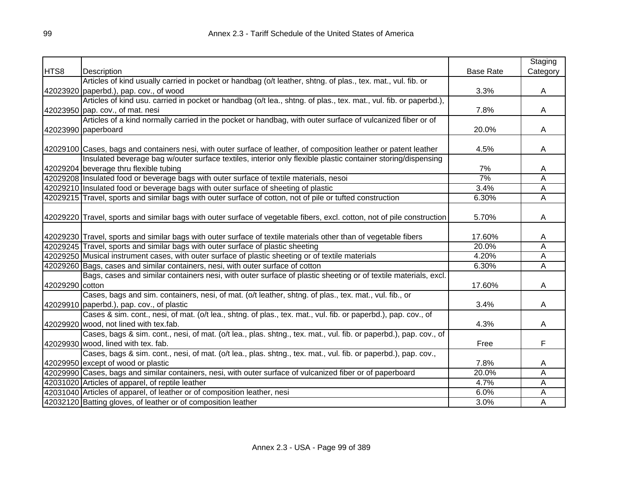|                 |                                                                                                                         |                  | Staging  |
|-----------------|-------------------------------------------------------------------------------------------------------------------------|------------------|----------|
| HTS8            | Description                                                                                                             | <b>Base Rate</b> | Category |
|                 | Articles of kind usually carried in pocket or handbag (o/t leather, shtng. of plas., tex. mat., vul. fib. or            |                  |          |
|                 | 42023920 paperbd.), pap. cov., of wood                                                                                  | 3.3%             | A        |
|                 | Articles of kind usu. carried in pocket or handbag (o/t lea., shtng. of plas., tex. mat., vul. fib. or paperbd.),       |                  |          |
|                 | 42023950 pap. cov., of mat. nesi                                                                                        | 7.8%             | A        |
|                 | Articles of a kind normally carried in the pocket or handbag, with outer surface of vulcanized fiber or of              |                  |          |
|                 | 42023990 paperboard                                                                                                     | 20.0%            | A        |
|                 |                                                                                                                         |                  |          |
|                 | 42029100 Cases, bags and containers nesi, with outer surface of leather, of composition leather or patent leather       | 4.5%             | A        |
|                 | Insulated beverage bag w/outer surface textiles, interior only flexible plastic container storing/dispensing            |                  |          |
|                 | 42029204 beverage thru flexible tubing                                                                                  | 7%               | A        |
|                 | 42029208 Insulated food or beverage bags with outer surface of textile materials, nesoi                                 | 7%               | Α        |
|                 | 42029210 Insulated food or beverage bags with outer surface of sheeting of plastic                                      | 3.4%             | A        |
|                 | 42029215 Travel, sports and similar bags with outer surface of cotton, not of pile or tufted construction               | 6.30%            | Ā        |
|                 |                                                                                                                         |                  |          |
|                 | 42029220 Travel, sports and similar bags with outer surface of vegetable fibers, excl. cotton, not of pile construction | 5.70%            | A        |
|                 |                                                                                                                         |                  |          |
|                 | 42029230 Travel, sports and similar bags with outer surface of textile materials other than of vegetable fibers         | 17.60%           | A        |
|                 | 42029245 Travel, sports and similar bags with outer surface of plastic sheeting                                         | 20.0%            | Α        |
|                 | 42029250 Musical instrument cases, with outer surface of plastic sheeting or of textile materials                       | 4.20%            | Α        |
|                 | 42029260 Bags, cases and similar containers, nesi, with outer surface of cotton                                         | 6.30%            | A        |
|                 | Bags, cases and similar containers nesi, with outer surface of plastic sheeting or of textile materials, excl.          |                  |          |
| 42029290 cotton |                                                                                                                         | 17.60%           | A        |
|                 | Cases, bags and sim. containers, nesi, of mat. (o/t leather, shtng. of plas., tex. mat., vul. fib., or                  |                  |          |
|                 | 42029910 paperbd.), pap. cov., of plastic                                                                               | 3.4%             | A        |
|                 | Cases & sim. cont., nesi, of mat. (o/t lea., shtng. of plas., tex. mat., vul. fib. or paperbd.), pap. cov., of          |                  |          |
|                 | 42029920 wood, not lined with tex.fab.                                                                                  | 4.3%             | A        |
|                 | Cases, bags & sim. cont., nesi, of mat. (o/t lea., plas. shtng., tex. mat., vul. fib. or paperbd.), pap. cov., of       |                  |          |
|                 | 42029930 wood, lined with tex. fab.                                                                                     | Free             | F        |
|                 | Cases, bags & sim. cont., nesi, of mat. (o/t lea., plas. shtng., tex. mat., vul. fib. or paperbd.), pap. cov.,          |                  |          |
|                 | 42029950 except of wood or plastic                                                                                      | 7.8%             | A        |
|                 | 42029990 Cases, bags and similar containers, nesi, with outer surface of vulcanized fiber or of paperboard              | 20.0%            | A        |
|                 | 42031020 Articles of apparel, of reptile leather                                                                        | 4.7%             | A        |
|                 | 42031040 Articles of apparel, of leather or of composition leather, nesi                                                | 6.0%             | Α        |
|                 | 42032120 Batting gloves, of leather or of composition leather                                                           | 3.0%             | Α        |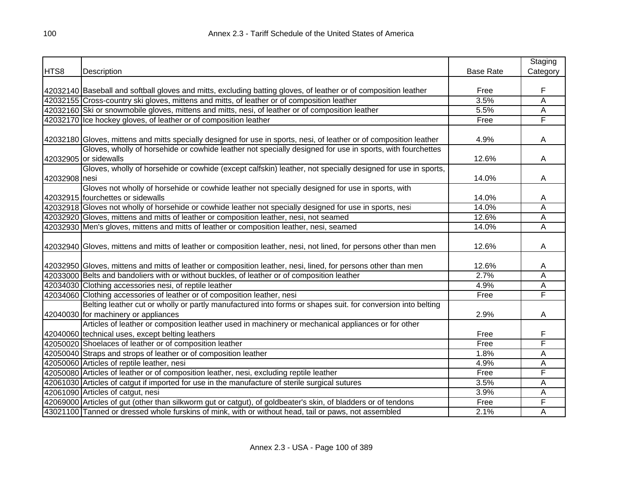|               |                                                                                                                     |                  | Staging  |
|---------------|---------------------------------------------------------------------------------------------------------------------|------------------|----------|
| HTS8          | Description                                                                                                         | <b>Base Rate</b> | Category |
|               |                                                                                                                     |                  |          |
|               | 42032140 Baseball and softball gloves and mitts, excluding batting gloves, of leather or of composition leather     | Free             | F        |
|               | 42032155 Cross-country ski gloves, mittens and mitts, of leather or of composition leather                          | 3.5%             | Ā        |
|               | 42032160 Ski or snowmobile gloves, mittens and mitts, nesi, of leather or of composition leather                    | 5.5%             | Ā        |
|               | 42032170 Ice hockey gloves, of leather or of composition leather                                                    | Free             | F        |
|               | 42032180 Gloves, mittens and mitts specially designed for use in sports, nesi, of leather or of composition leather | 4.9%             | A        |
|               | Gloves, wholly of horsehide or cowhide leather not specially designed for use in sports, with fourchettes           |                  |          |
|               | 42032905 or sidewalls                                                                                               | 12.6%            | A        |
|               | Gloves, wholly of horsehide or cowhide (except calfskin) leather, not specially designed for use in sports,         |                  |          |
| 42032908 nesi |                                                                                                                     | 14.0%            | A        |
|               | Gloves not wholly of horsehide or cowhide leather not specially designed for use in sports, with                    |                  |          |
|               | 42032915 fourchettes or sidewalls                                                                                   | 14.0%            | A        |
|               | 42032918 Gloves not wholly of horsehide or cowhide leather not specially designed for use in sports, nesi           | 14.0%            | Ā        |
|               | 42032920 Gloves, mittens and mitts of leather or composition leather, nesi, not seamed                              | 12.6%            | Ā        |
|               | 42032930 Men's gloves, mittens and mitts of leather or composition leather, nesi, seamed                            | 14.0%            | Ā        |
|               | 42032940 Gloves, mittens and mitts of leather or composition leather, nesi, not lined, for persons other than men   | 12.6%            | A        |
|               | 42032950 Gloves, mittens and mitts of leather or composition leather, nesi, lined, for persons other than men       | 12.6%            | A        |
|               | 42033000 Belts and bandoliers with or without buckles, of leather or of composition leather                         | 2.7%             | Α        |
|               | 42034030 Clothing accessories nesi, of reptile leather                                                              | 4.9%             | A        |
|               | 42034060 Clothing accessories of leather or of composition leather, nesi                                            | Free             | F        |
|               | Belting leather cut or wholly or partly manufactured into forms or shapes suit. for conversion into belting         |                  |          |
|               | 42040030 for machinery or appliances                                                                                | 2.9%             | A        |
|               | Articles of leather or composition leather used in machinery or mechanical appliances or for other                  |                  |          |
|               | 42040060 technical uses, except belting leathers                                                                    | Free             | F        |
|               | 42050020 Shoelaces of leather or of composition leather                                                             | Free             | F        |
|               | 42050040 Straps and strops of leather or of composition leather                                                     | 1.8%             | А        |
|               | 42050060 Articles of reptile leather, nesi                                                                          | 4.9%             | А        |
|               | 42050080 Articles of leather or of composition leather, nesi, excluding reptile leather                             | Free             | F        |
|               | 42061030 Articles of catgut if imported for use in the manufacture of sterile surgical sutures                      | 3.5%             | A        |
|               | 42061090 Articles of catgut, nesi                                                                                   | 3.9%             | Α        |
|               | 42069000 Articles of gut (other than silkworm gut or catgut), of goldbeater's skin, of bladders or of tendons       | Free             | F        |
|               | 43021100 Tanned or dressed whole furskins of mink, with or without head, tail or paws, not assembled                | 2.1%             | A        |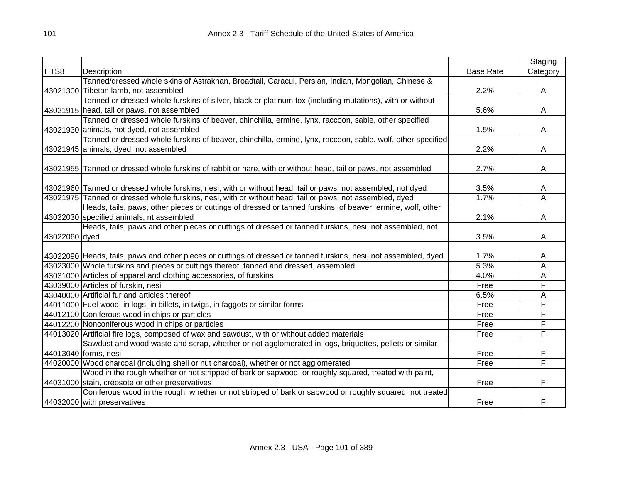|               |                                                                                                                   |                  | Staging                 |
|---------------|-------------------------------------------------------------------------------------------------------------------|------------------|-------------------------|
| HTS8          | Description                                                                                                       | <b>Base Rate</b> | Category                |
|               | Tanned/dressed whole skins of Astrakhan, Broadtail, Caracul, Persian, Indian, Mongolian, Chinese &                |                  |                         |
|               | 43021300 Tibetan lamb, not assembled                                                                              | 2.2%             | A                       |
|               | Tanned or dressed whole furskins of silver, black or platinum fox (including mutations), with or without          |                  |                         |
|               | 43021915 head, tail or paws, not assembled                                                                        | 5.6%             | A                       |
|               | Tanned or dressed whole furskins of beaver, chinchilla, ermine, lynx, raccoon, sable, other specified             |                  |                         |
|               | 43021930 animals, not dyed, not assembled                                                                         | 1.5%             | A                       |
|               | Tanned or dressed whole furskins of beaver, chinchilla, ermine, lynx, raccoon, sable, wolf, other specified       |                  |                         |
|               | 43021945 animals, dyed, not assembled                                                                             | 2.2%             | A                       |
|               |                                                                                                                   |                  |                         |
|               | 43021955 Tanned or dressed whole furskins of rabbit or hare, with or without head, tail or paws, not assembled    | 2.7%             | A                       |
|               | 43021960 Tanned or dressed whole furskins, nesi, with or without head, tail or paws, not assembled, not dyed      | 3.5%             | A                       |
|               | 43021975 Tanned or dressed whole furskins, nesi, with or without head, tail or paws, not assembled, dyed          | 1.7%             | $\overline{\mathsf{A}}$ |
|               | Heads, tails, paws, other pieces or cuttings of dressed or tanned furskins, of beaver, ermine, wolf, other        |                  |                         |
|               | 43022030 specified animals, nt assembled                                                                          | 2.1%             | A                       |
|               | Heads, tails, paws and other pieces or cuttings of dressed or tanned furskins, nesi, not assembled, not           |                  |                         |
| 43022060 dyed |                                                                                                                   | 3.5%             | A                       |
|               |                                                                                                                   |                  |                         |
|               | 43022090 Heads, tails, paws and other pieces or cuttings of dressed or tanned furskins, nesi, not assembled, dyed | 1.7%             | A                       |
|               | 43023000 Whole furskins and pieces or cuttings thereof, tanned and dressed, assembled                             | 5.3%             | Α                       |
|               | 43031000 Articles of apparel and clothing accessories, of furskins                                                | 4.0%             | Α                       |
|               | 43039000 Articles of furskin, nesi                                                                                | Free             | F                       |
|               | 43040000 Artificial fur and articles thereof                                                                      | 6.5%             | Α                       |
|               | 44011000 Fuel wood, in logs, in billets, in twigs, in faggots or similar forms                                    | Free             | F                       |
|               | 44012100 Coniferous wood in chips or particles                                                                    | Free             | F                       |
|               | 44012200 Nonconiferous wood in chips or particles                                                                 | Free             | F                       |
|               | 44013020 Artificial fire logs, composed of wax and sawdust, with or without added materials                       | Free             | F                       |
|               | Sawdust and wood waste and scrap, whether or not agglomerated in logs, briquettes, pellets or similar             |                  |                         |
|               | 44013040 forms, nesi                                                                                              | Free             | F                       |
|               | 44020000 Wood charcoal (including shell or nut charcoal), whether or not agglomerated                             | Free             | F                       |
|               | Wood in the rough whether or not stripped of bark or sapwood, or roughly squared, treated with paint,             |                  |                         |
|               | 44031000 stain, creosote or other preservatives                                                                   | Free             | F                       |
|               | Coniferous wood in the rough, whether or not stripped of bark or sapwood or roughly squared, not treated          |                  |                         |
|               | 44032000 with preservatives                                                                                       | Free             | F                       |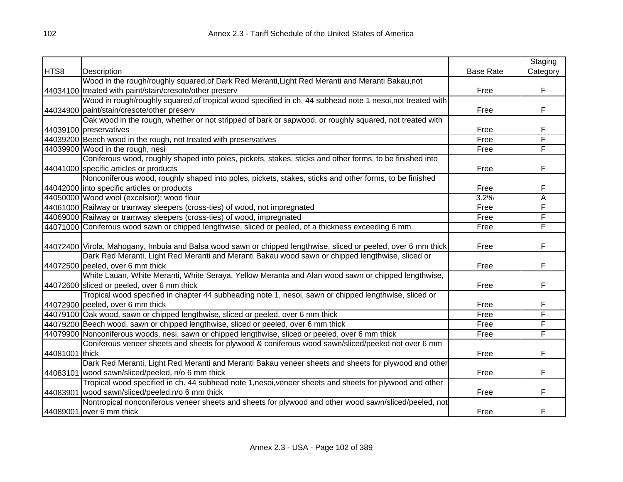|                |                                                                                                                |                  | Staging  |
|----------------|----------------------------------------------------------------------------------------------------------------|------------------|----------|
| HTS8           | Description                                                                                                    | <b>Base Rate</b> | Category |
|                | Wood in the rough/roughly squared, of Dark Red Meranti, Light Red Meranti and Meranti Bakau, not               |                  |          |
|                | 44034100 treated with paint/stain/cresote/other preserv                                                        | Free             | F        |
|                | Wood in rough/roughly squared, of tropical wood specified in ch. 44 subhead note 1 nesoi, not treated with     |                  |          |
|                | 44034900 paint/stain/cresote/other preserv                                                                     | Free             | F        |
|                | Oak wood in the rough, whether or not stripped of bark or sapwood, or roughly squared, not treated with        |                  |          |
|                | 44039100 preservatives                                                                                         | Free             | F        |
|                | 44039200 Beech wood in the rough, not treated with preservatives                                               | Free             | F        |
|                | 44039900 Wood in the rough, nesi                                                                               | Free             | F        |
|                | Coniferous wood, roughly shaped into poles, pickets, stakes, sticks and other forms, to be finished into       |                  |          |
|                | 44041000 specific articles or products                                                                         | Free             | F        |
|                | Nonconiferous wood, roughly shaped into poles, pickets, stakes, sticks and other forms, to be finished         |                  |          |
|                | 44042000 into specific articles or products                                                                    | Free             | F        |
|                | 44050000 Wood wool (excelsior); wood flour                                                                     | 3.2%             | A        |
|                | 44061000 Railway or tramway sleepers (cross-ties) of wood, not impregnated                                     | Free             | F        |
|                | 44069000 Railway or tramway sleepers (cross-ties) of wood, impregnated                                         | Free             | F        |
|                | 44071000 Coniferous wood sawn or chipped lengthwise, sliced or peeled, of a thickness exceeding 6 mm           | Free             | F        |
|                |                                                                                                                |                  |          |
|                | 44072400 Virola, Mahogany, Imbuia and Balsa wood sawn or chipped lengthwise, sliced or peeled, over 6 mm thick | Free             | F        |
|                | Dark Red Meranti, Light Red Meranti and Meranti Bakau wood sawn or chipped lengthwise, sliced or               |                  |          |
|                | 44072500 peeled, over 6 mm thick                                                                               | Free             | F        |
|                | White Lauan, White Meranti, White Seraya, Yellow Meranta and Alan wood sawn or chipped lengthwise,             |                  |          |
|                | 44072600 sliced or peeled, over 6 mm thick                                                                     | Free             | F        |
|                | Tropical wood specified in chapter 44 subheading note 1, nesoi, sawn or chipped lengthwise, sliced or          |                  |          |
|                | 44072900 peeled, over 6 mm thick                                                                               | Free             | F        |
|                | 44079100 Oak wood, sawn or chipped lengthwise, sliced or peeled, over 6 mm thick                               | Free             | F        |
|                | 44079200 Beech wood, sawn or chipped lengthwise, sliced or peeled, over 6 mm thick                             | Free             | F        |
|                | 44079900 Nonconiferous woods, nesi, sawn or chipped lengthwise, sliced or peeled, over 6 mm thick              | Free             | F        |
|                | Coniferous veneer sheets and sheets for plywood & coniferous wood sawn/sliced/peeled not over 6 mm             |                  |          |
| 44081001 thick |                                                                                                                | Free             | F        |
|                | Dark Red Meranti, Light Red Meranti and Meranti Bakau veneer sheets and sheets for plywood and other           |                  |          |
|                | 44083101 wood sawn/sliced/peeled, n/o 6 mm thick                                                               | Free             | F        |
|                | Tropical wood specified in ch. 44 subhead note 1, nesoi, veneer sheets and sheets for plywood and other        |                  |          |
|                | 44083901 wood sawn/sliced/peeled, n/o 6 mm thick                                                               | Free             | F        |
|                | Nontropical nonconiferous veneer sheets and sheets for plywood and other wood sawn/sliced/peeled, not          |                  |          |
|                | 44089001 over 6 mm thick                                                                                       | Free             | F        |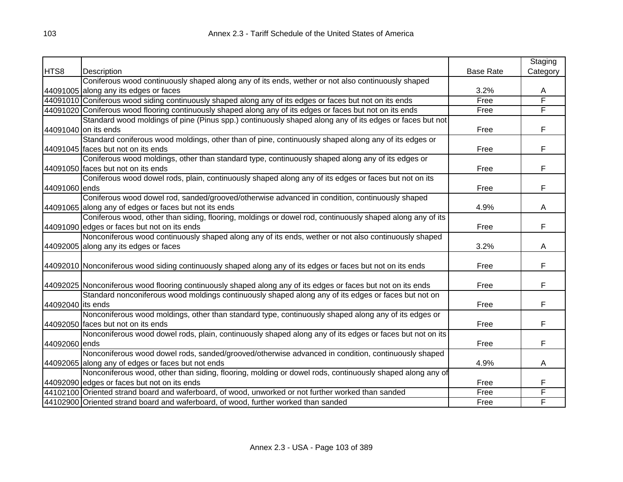|                   |                                                                                                              |                  | Staging  |
|-------------------|--------------------------------------------------------------------------------------------------------------|------------------|----------|
| HTS8              | Description                                                                                                  | <b>Base Rate</b> | Category |
|                   | Coniferous wood continuously shaped along any of its ends, wether or not also continuously shaped            |                  |          |
|                   | 44091005 along any its edges or faces                                                                        | 3.2%             | A        |
|                   | 44091010 Coniferous wood siding continuously shaped along any of its edges or faces but not on its ends      | Free             | F        |
|                   | 44091020 Coniferous wood flooring continuously shaped along any of its edges or faces but not on its ends    | Free             | F        |
|                   | Standard wood moldings of pine (Pinus spp.) continuously shaped along any of its edges or faces but not      |                  |          |
|                   | 44091040 on its ends                                                                                         | Free             | F        |
|                   | Standard coniferous wood moldings, other than of pine, continuously shaped along any of its edges or         |                  |          |
|                   | 44091045 faces but not on its ends                                                                           | Free             | F        |
|                   | Coniferous wood moldings, other than standard type, continuously shaped along any of its edges or            |                  |          |
|                   | 44091050 faces but not on its ends                                                                           | Free             | F        |
|                   | Coniferous wood dowel rods, plain, continuously shaped along any of its edges or faces but not on its        |                  |          |
| 44091060 ends     |                                                                                                              | Free             | F        |
|                   | Coniferous wood dowel rod, sanded/grooved/otherwise advanced in condition, continuously shaped               |                  |          |
|                   | 44091065 along any of edges or faces but not its ends                                                        | 4.9%             | A        |
|                   | Coniferous wood, other than siding, flooring, moldings or dowel rod, continuously shaped along any of its    |                  |          |
|                   | 44091090 edges or faces but not on its ends                                                                  | Free             | F        |
|                   | Nonconiferous wood continuously shaped along any of its ends, wether or not also continuously shaped         |                  |          |
|                   | 44092005 along any its edges or faces                                                                        | 3.2%             | A        |
|                   |                                                                                                              |                  |          |
|                   | 44092010 Nonconiferous wood siding continuously shaped along any of its edges or faces but not on its ends   | Free             | F        |
|                   |                                                                                                              |                  |          |
|                   | 44092025 Nonconiferous wood flooring continuously shaped along any of its edges or faces but not on its ends | Free             | F        |
|                   | Standard nonconiferous wood moldings continuously shaped along any of its edges or faces but not on          |                  |          |
| 44092040 its ends |                                                                                                              | Free             | F        |
|                   | Nonconiferous wood moldings, other than standard type, continuously shaped along any of its edges or         |                  |          |
|                   | 44092050 faces but not on its ends                                                                           | Free             | F        |
|                   | Nonconiferous wood dowel rods, plain, continuously shaped along any of its edges or faces but not on its     |                  |          |
| 44092060 ends     |                                                                                                              | Free             | F        |
|                   | Nonconiferous wood dowel rods, sanded/grooved/otherwise advanced in condition, continuously shaped           |                  |          |
|                   | 44092065 along any of edges or faces but not ends                                                            | 4.9%             | A        |
|                   | Nonconiferous wood, other than siding, flooring, molding or dowel rods, continuously shaped along any of     |                  |          |
|                   | 44092090 edges or faces but not on its ends                                                                  | Free             | F        |
|                   | 44102100 Oriented strand board and waferboard, of wood, unworked or not further worked than sanded           | Free             | F        |
|                   | 44102900 Oriented strand board and waferboard, of wood, further worked than sanded                           | Free             | F        |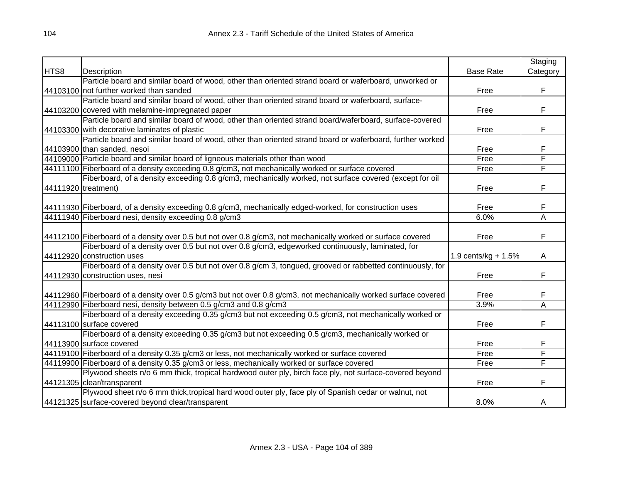|                     |                                                                                                                 |                     | Staging  |
|---------------------|-----------------------------------------------------------------------------------------------------------------|---------------------|----------|
| HTS8                | Description                                                                                                     | <b>Base Rate</b>    | Category |
|                     | Particle board and similar board of wood, other than oriented strand board or waferboard, unworked or           |                     |          |
|                     | 44103100 not further worked than sanded                                                                         | Free                | F        |
|                     | Particle board and similar board of wood, other than oriented strand board or waferboard, surface-              |                     |          |
|                     | 44103200 covered with melamine-impregnated paper                                                                | Free                | F        |
|                     | Particle board and similar board of wood, other than oriented strand board/waferboard, surface-covered          |                     |          |
|                     | 44103300 with decorative laminates of plastic                                                                   | Free                | F        |
|                     | Particle board and similar board of wood, other than oriented strand board or waferboard, further worked        |                     |          |
|                     | 44103900 than sanded, nesoi                                                                                     | Free                | F        |
|                     | 44109000 Particle board and similar board of ligneous materials other than wood                                 | Free                | F        |
|                     | 44111100 Fiberboard of a density exceeding 0.8 g/cm3, not mechanically worked or surface covered                | Free                | F        |
|                     | Fiberboard, of a density exceeding 0.8 g/cm3, mechanically worked, not surface covered (except for oil          |                     |          |
| 44111920 treatment) |                                                                                                                 | Free                | F        |
|                     |                                                                                                                 |                     |          |
|                     | 44111930 Fiberboard, of a density exceeding 0.8 g/cm3, mechanically edged-worked, for construction uses         | Free                | F        |
|                     | 44111940 Fiberboard nesi, density exceeding 0.8 g/cm3                                                           | 6.0%                | Α        |
|                     |                                                                                                                 |                     |          |
|                     | 44112100 Fiberboard of a density over 0.5 but not over 0.8 g/cm3, not mechanically worked or surface covered    | Free                | F        |
|                     | Fiberboard of a density over 0.5 but not over 0.8 g/cm3, edgeworked continuously, laminated, for                |                     |          |
|                     | 44112920 construction uses                                                                                      | 1.9 cents/kg + 1.5% | A        |
|                     | Fiberboard of a density over 0.5 but not over 0.8 g/cm 3, tongued, grooved or rabbetted continuously, for       |                     |          |
|                     | 44112930 construction uses, nesi                                                                                | Free                | F        |
|                     |                                                                                                                 |                     |          |
|                     | 44112960 Fiberboard of a density over 0.5 g/cm3 but not over 0.8 g/cm3, not mechanically worked surface covered | Free                | F        |
|                     | 44112990 Fiberboard nesi, density between 0.5 g/cm3 and 0.8 g/cm3                                               | 3.9%                | Α        |
|                     | Fiberboard of a density exceeding 0.35 g/cm3 but not exceeding 0.5 g/cm3, not mechanically worked or            |                     |          |
|                     | 44113100 surface covered                                                                                        | Free                | F        |
|                     | Fiberboard of a density exceeding 0.35 g/cm3 but not exceeding 0.5 g/cm3, mechanically worked or                |                     |          |
|                     | 44113900 surface covered                                                                                        | Free                | F        |
|                     | 44119100 Fiberboard of a density 0.35 g/cm3 or less, not mechanically worked or surface covered                 | Free                | F        |
|                     | 44119900 Fiberboard of a density 0.35 g/cm3 or less, mechanically worked or surface covered                     | Free                | F        |
|                     | Plywood sheets n/o 6 mm thick, tropical hardwood outer ply, birch face ply, not surface-covered beyond          |                     |          |
|                     | 44121305 clear/transparent                                                                                      | Free                | F        |
|                     | Plywood sheet n/o 6 mm thick, tropical hard wood outer ply, face ply of Spanish cedar or walnut, not            |                     |          |
|                     | 44121325 surface-covered beyond clear/transparent                                                               | 8.0%                | A        |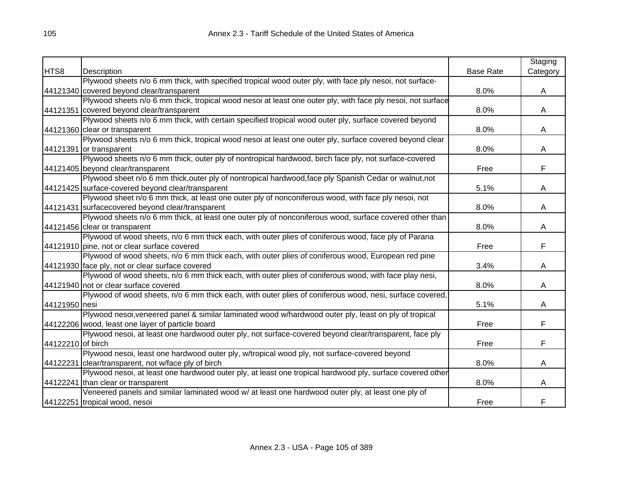|                   |                                                                                                             |                  | Staging  |
|-------------------|-------------------------------------------------------------------------------------------------------------|------------------|----------|
| HTS8              | Description                                                                                                 | <b>Base Rate</b> | Category |
|                   | Plywood sheets n/o 6 mm thick, with specified tropical wood outer ply, with face ply nesoi, not surface-    |                  |          |
|                   | 44121340 covered beyond clear/transparent                                                                   | 8.0%             | A        |
|                   | Plywood sheets n/o 6 mm thick, tropical wood nesoi at least one outer ply, with face ply nesoi, not surface |                  |          |
|                   | 44121351 covered beyond clear/transparent                                                                   | 8.0%             | A        |
|                   | Plywood sheets n/o 6 mm thick, with certain specified tropical wood outer ply, surface covered beyond       |                  |          |
|                   | 44121360 clear or transparent                                                                               | 8.0%             | A        |
|                   | Plywood sheets n/o 6 mm thick, tropical wood nesoi at least one outer ply, surface covered beyond clear     |                  |          |
|                   | 44121391 or transparent                                                                                     | 8.0%             | A        |
|                   | Plywood sheets n/o 6 mm thick, outer ply of nontropical hardwood, birch face ply, not surface-covered       |                  |          |
|                   | 44121405 beyond clear/transparent                                                                           | Free             | F        |
|                   | Plywood sheet n/o 6 mm thick, outer ply of nontropical hardwood, face ply Spanish Cedar or walnut, not      |                  |          |
|                   | 44121425 surface-covered beyond clear/transparent                                                           | 5.1%             | Α        |
|                   | Plywood sheet n/o 6 mm thick, at least one outer ply of nonconiferous wood, with face ply nesoi, not        |                  |          |
|                   | 44121431 surfacecovered beyond clear/transparent                                                            | 8.0%             | A        |
|                   | Plywood sheets n/o 6 mm thick, at least one outer ply of nonconiferous wood, surface covered other than     |                  |          |
|                   | 44121456 clear or transparent                                                                               | 8.0%             | A        |
|                   | Plywood of wood sheets, n/o 6 mm thick each, with outer plies of coniferous wood, face ply of Parana        |                  |          |
|                   | 44121910 pine, not or clear surface covered                                                                 | Free             | F        |
|                   | Plywood of wood sheets, n/o 6 mm thick each, with outer plies of coniferous wood, European red pine         |                  |          |
|                   | 44121930 face ply, not or clear surface covered                                                             | 3.4%             | A        |
|                   | Plywood of wood sheets, n/o 6 mm thick each, with outer plies of coniferous wood, with face play nesi,      |                  |          |
|                   | 44121940 not or clear surface covered                                                                       | 8.0%             | A        |
|                   | Plywood of wood sheets, n/o 6 mm thick each, with outer plies of coniferous wood, nesi, surface covered,    |                  |          |
| 44121950 nesi     |                                                                                                             | 5.1%             | A        |
|                   | Plywood nesoi, veneered panel & similar laminated wood w/hardwood outer ply, least on ply of tropical       |                  |          |
|                   | 44122206 wood, least one layer of particle board                                                            | Free             | F        |
|                   | Plywood nesoi, at least one hardwood outer ply, not surface-covered beyond clear/transparent, face ply      |                  |          |
| 44122210 of birch |                                                                                                             | Free             | F        |
|                   | Plywood nesoi, least one hardwood outer ply, w/tropical wood ply, not surface-covered beyond                |                  |          |
|                   | 44122231 clear/transparent, not w/face ply of birch                                                         | 8.0%             | A        |
|                   | Plywood nesoi, at least one hardwood outer ply, at least one tropical hardwood ply, surface covered other   |                  |          |
|                   | 44122241 than clear or transparent                                                                          | 8.0%             | A        |
|                   | Veneered panels and similar laminated wood w/ at least one hardwood outer ply, at least one ply of          |                  |          |
|                   | 44122251 tropical wood, nesoi                                                                               | Free             | F        |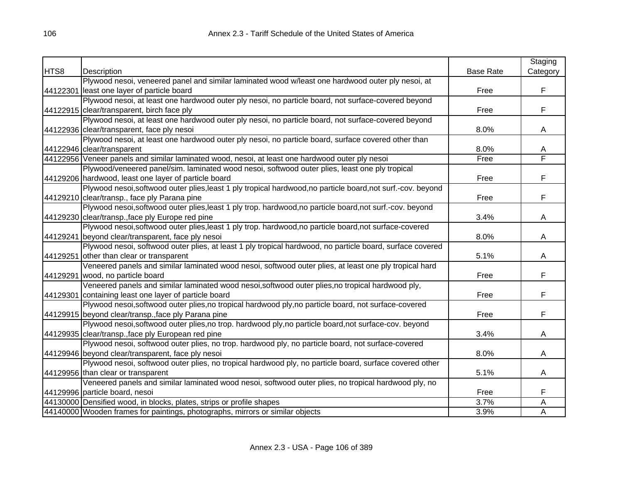|      |                                                                                                              |                  | Staging  |
|------|--------------------------------------------------------------------------------------------------------------|------------------|----------|
| HTS8 | Description                                                                                                  | <b>Base Rate</b> | Category |
|      | Plywood nesoi, veneered panel and similar laminated wood w/least one hardwood outer ply nesoi, at            |                  |          |
|      | 44122301 least one layer of particle board                                                                   | Free             | F        |
|      | Plywood nesoi, at least one hardwood outer ply nesoi, no particle board, not surface-covered beyond          |                  |          |
|      | 44122915 clear/transparent, birch face ply                                                                   | Free             | F        |
|      | Plywood nesoi, at least one hardwood outer ply nesoi, no particle board, not surface-covered beyond          |                  |          |
|      | 44122936 clear/transparent, face ply nesoi                                                                   | 8.0%             | A        |
|      | Plywood nesoi, at least one hardwood outer ply nesoi, no particle board, surface covered other than          |                  |          |
|      | 44122946 clear/transparent                                                                                   | 8.0%             | A        |
|      | 44122956 Veneer panels and similar laminated wood, nesoi, at least one hardwood outer ply nesoi              | Free             | F        |
|      | Plywood/veneered panel/sim. laminated wood nesoi, softwood outer plies, least one ply tropical               |                  |          |
|      | 44129206 hardwood, least one layer of particle board                                                         | Free             | F        |
|      | Plywood nesoi, softwood outer plies, least 1 ply tropical hardwood, no particle board, not surf.-cov. beyond |                  |          |
|      | 44129210 clear/transp., face ply Parana pine                                                                 | Free             | F        |
|      | Plywood nesoi, softwood outer plies, least 1 ply trop. hardwood, no particle board, not surf.-cov. beyond    |                  |          |
|      | 44129230 clear/transp., face ply Europe red pine                                                             | 3.4%             | A        |
|      | Plywood nesoi, softwood outer plies, least 1 ply trop. hardwood, no particle board, not surface-covered      |                  |          |
|      | 44129241 beyond clear/transparent, face ply nesoi                                                            | 8.0%             | A        |
|      | Plywood nesoi, softwood outer plies, at least 1 ply tropical hardwood, no particle board, surface covered    |                  |          |
|      | 44129251 other than clear or transparent                                                                     | 5.1%             | A        |
|      | Veneered panels and similar laminated wood nesoi, softwood outer plies, at least one ply tropical hard       |                  |          |
|      | 44129291 wood, no particle board                                                                             | Free             | F        |
|      | Veneered panels and similar laminated wood nesoi, softwood outer plies, no tropical hardwood ply,            |                  |          |
|      | 44129301 containing least one layer of particle board                                                        | Free             | F        |
|      | Plywood nesoi, softwood outer plies, no tropical hardwood ply, no particle board, not surface-covered        |                  |          |
|      | 44129915 beyond clear/transp., face ply Parana pine                                                          | Free             | F        |
|      | Plywood nesoi, softwood outer plies, no trop. hardwood ply, no particle board, not surface-cov. beyond       |                  |          |
|      | 44129935 clear/transp., face ply European red pine                                                           | 3.4%             | A        |
|      | Plywood nesoi, softwood outer plies, no trop. hardwood ply, no particle board, not surface-covered           |                  |          |
|      | 44129946 beyond clear/transparent, face ply nesoi                                                            | 8.0%             | A        |
|      | Plywood nesoi, softwood outer plies, no tropical hardwood ply, no particle board, surface covered other      |                  |          |
|      | 44129956 than clear or transparent                                                                           | 5.1%             | A        |
|      | Veneered panels and similar laminated wood nesoi, softwood outer plies, no tropical hardwood ply, no         |                  |          |
|      | 44129996 particle board, nesoi                                                                               | Free             | F        |
|      | 44130000 Densified wood, in blocks, plates, strips or profile shapes                                         | 3.7%             | Α        |
|      | 44140000 Wooden frames for paintings, photographs, mirrors or similar objects                                | 3.9%             | A        |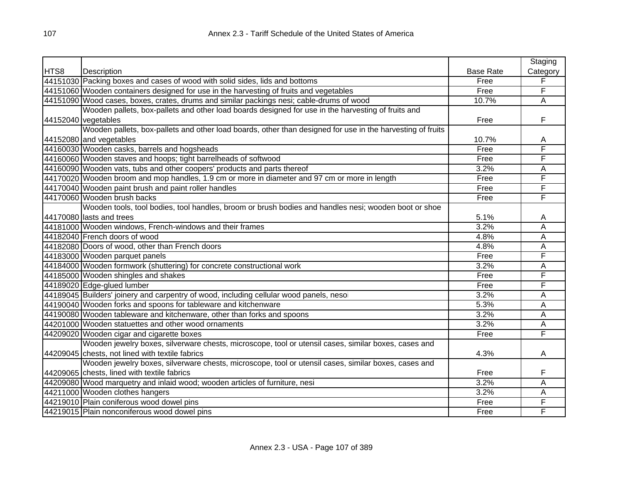|      |                                                                                                            |                  | Staging  |
|------|------------------------------------------------------------------------------------------------------------|------------------|----------|
| HTS8 | Description                                                                                                | <b>Base Rate</b> | Category |
|      | 44151030 Packing boxes and cases of wood with solid sides, lids and bottoms                                | Free             | F        |
|      | 44151060 Wooden containers designed for use in the harvesting of fruits and vegetables                     | Free             | F        |
|      | 44151090 Wood cases, boxes, crates, drums and similar packings nesi; cable-drums of wood                   | 10.7%            | A        |
|      | Wooden pallets, box-pallets and other load boards designed for use in the harvesting of fruits and         |                  |          |
|      | 44152040 vegetables                                                                                        | Free             | F        |
|      | Wooden pallets, box-pallets and other load boards, other than designed for use in the harvesting of fruits |                  |          |
|      | 44152080 and vegetables                                                                                    | 10.7%            | Α        |
|      | 44160030 Wooden casks, barrels and hogsheads                                                               | Free             | F        |
|      | 44160060 Wooden staves and hoops; tight barrelheads of softwood                                            | Free             | F        |
|      | 44160090 Wooden vats, tubs and other coopers' products and parts thereof                                   | 3.2%             | А        |
|      | 44170020 Wooden broom and mop handles, 1.9 cm or more in diameter and 97 cm or more in length              | Free             | F        |
|      | 44170040 Wooden paint brush and paint roller handles                                                       | Free             | F        |
|      | 44170060 Wooden brush backs                                                                                | Free             | F        |
|      | Wooden tools, tool bodies, tool handles, broom or brush bodies and handles nesi; wooden boot or shoe       |                  |          |
|      | 44170080 lasts and trees                                                                                   | 5.1%             | A        |
|      | 44181000 Wooden windows, French-windows and their frames                                                   | 3.2%             | Α        |
|      | 44182040 French doors of wood                                                                              | 4.8%             | Α        |
|      | 44182080 Doors of wood, other than French doors                                                            | 4.8%             | Α        |
|      | 44183000 Wooden parquet panels                                                                             | Free             | F        |
|      | 44184000 Wooden formwork (shuttering) for concrete constructional work                                     | 3.2%             | Α        |
|      | 44185000 Wooden shingles and shakes                                                                        | Free             | F        |
|      | 44189020 Edge-glued lumber                                                                                 | Free             | F        |
|      | 44189045 Builders' joinery and carpentry of wood, including cellular wood panels, nesoi                    | 3.2%             | A        |
|      | 44190040 Wooden forks and spoons for tableware and kitchenware                                             | 5.3%             | Α        |
|      | 44190080 Wooden tableware and kitchenware, other than forks and spoons                                     | 3.2%             | Α        |
|      | 44201000 Wooden statuettes and other wood ornaments                                                        | 3.2%             | Α        |
|      | 44209020 Wooden cigar and cigarette boxes                                                                  | Free             | F        |
|      | Wooden jewelry boxes, silverware chests, microscope, tool or utensil cases, similar boxes, cases and       |                  |          |
|      | 44209045 chests, not lined with textile fabrics                                                            | 4.3%             | A        |
|      | Wooden jewelry boxes, silverware chests, microscope, tool or utensil cases, similar boxes, cases and       |                  |          |
|      | 44209065 chests, lined with textile fabrics                                                                | Free             | F        |
|      | 44209080 Wood marquetry and inlaid wood; wooden articles of furniture, nesi                                | 3.2%             | A        |
|      | 44211000 Wooden clothes hangers                                                                            | 3.2%             | Α        |
|      | 44219010 Plain coniferous wood dowel pins                                                                  | Free             | F        |
|      | 44219015 Plain nonconiferous wood dowel pins                                                               | Free             | F        |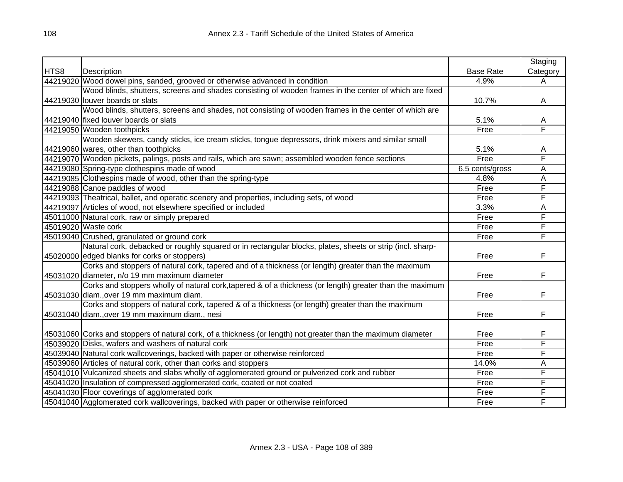|      |                                                                                                               |                  | Staging  |
|------|---------------------------------------------------------------------------------------------------------------|------------------|----------|
| HTS8 | Description                                                                                                   | <b>Base Rate</b> | Category |
|      | 44219020 Wood dowel pins, sanded, grooved or otherwise advanced in condition                                  | 4.9%             | Α        |
|      | Wood blinds, shutters, screens and shades consisting of wooden frames in the center of which are fixed        |                  |          |
|      | 44219030 louver boards or slats                                                                               | 10.7%            | A        |
|      | Wood blinds, shutters, screens and shades, not consisting of wooden frames in the center of which are         |                  |          |
|      | 44219040 fixed louver boards or slats                                                                         | 5.1%             | A        |
|      | 44219050 Wooden toothpicks                                                                                    | Free             | F        |
|      | Wooden skewers, candy sticks, ice cream sticks, tongue depressors, drink mixers and similar small             |                  |          |
|      | 44219060 wares, other than toothpicks                                                                         | 5.1%             | Α        |
|      | 44219070 Wooden pickets, palings, posts and rails, which are sawn; assembled wooden fence sections            | Free             | F        |
|      | 44219080 Spring-type clothespins made of wood                                                                 | 6.5 cents/gross  | Α        |
|      | 44219085 Clothespins made of wood, other than the spring-type                                                 | 4.8%             | А        |
|      | 44219088 Canoe paddles of wood                                                                                | Free             | F        |
|      | 44219093 Theatrical, ballet, and operatic scenery and properties, including sets, of wood                     | Free             | F        |
|      | 44219097 Articles of wood, not elsewhere specified or included                                                | 3.3%             | А        |
|      | 45011000 Natural cork, raw or simply prepared                                                                 | Free             | F        |
|      | 45019020 Waste cork                                                                                           | Free             | F        |
|      | 45019040 Crushed, granulated or ground cork                                                                   | Free             | F        |
|      | Natural cork, debacked or roughly squared or in rectangular blocks, plates, sheets or strip (incl. sharp-     |                  |          |
|      | 45020000 edged blanks for corks or stoppers)                                                                  | Free             | F        |
|      | Corks and stoppers of natural cork, tapered and of a thickness (or length) greater than the maximum           |                  |          |
|      | 45031020 diameter, n/o 19 mm maximum diameter                                                                 | Free             | F        |
|      | Corks and stoppers wholly of natural cork, tapered & of a thickness (or length) greater than the maximum      |                  |          |
|      | 45031030 diam., over 19 mm maximum diam.                                                                      | Free             | F        |
|      | Corks and stoppers of natural cork, tapered & of a thickness (or length) greater than the maximum             |                  |          |
|      | 45031040 diam., over 19 mm maximum diam., nesi                                                                | Free             | F        |
|      |                                                                                                               |                  |          |
|      | 45031060 Corks and stoppers of natural cork, of a thickness (or length) not greater than the maximum diameter | Free             | F        |
|      | 45039020 Disks, wafers and washers of natural cork                                                            | Free             | F        |
|      | 45039040 Natural cork wallcoverings, backed with paper or otherwise reinforced                                | Free             | F        |
|      | 45039060 Articles of natural cork, other than corks and stoppers                                              | 14.0%            | Α        |
|      | 45041010 Vulcanized sheets and slabs wholly of agglomerated ground or pulverized cork and rubber              | Free             | F        |
|      | 45041020 Insulation of compressed agglomerated cork, coated or not coated                                     | Free             | F        |
|      | 45041030 Floor coverings of agglomerated cork                                                                 | Free             | F        |
|      | 45041040 Agglomerated cork wallcoverings, backed with paper or otherwise reinforced                           | Free             | F        |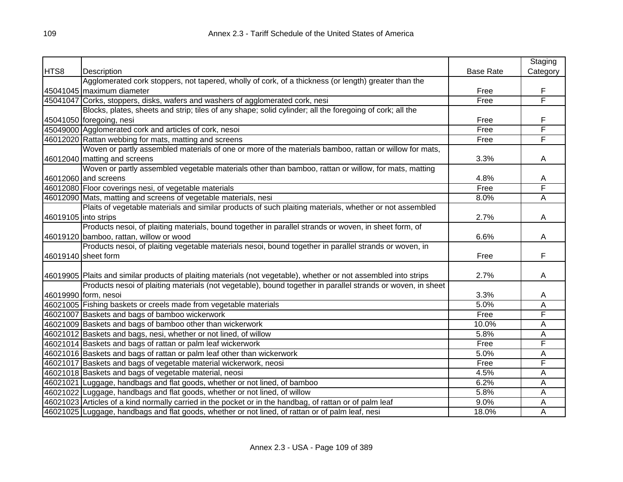|      |                                                                                                                  |                  | Staging        |
|------|------------------------------------------------------------------------------------------------------------------|------------------|----------------|
| HTS8 | Description                                                                                                      | <b>Base Rate</b> | Category       |
|      | Agglomerated cork stoppers, not tapered, wholly of cork, of a thickness (or length) greater than the             |                  |                |
|      | 45041045 maximum diameter                                                                                        | Free             | F              |
|      | 45041047 Corks, stoppers, disks, wafers and washers of agglomerated cork, nesi                                   | Free             | F              |
|      | Blocks, plates, sheets and strip; tiles of any shape; solid cylinder; all the foregoing of cork; all the         |                  |                |
|      | 45041050 foregoing, nesi                                                                                         | Free             | F              |
|      | 45049000 Agglomerated cork and articles of cork, nesoi                                                           | Free             | F              |
|      | 46012020 Rattan webbing for mats, matting and screens                                                            | Free             | F              |
|      | Woven or partly assembled materials of one or more of the materials bamboo, rattan or willow for mats,           |                  |                |
|      | 46012040 matting and screens                                                                                     | 3.3%             | A              |
|      | Woven or partly assembled vegetable materials other than bamboo, rattan or willow, for mats, matting             |                  |                |
|      | 46012060 and screens                                                                                             | 4.8%             | A              |
|      | 46012080 Floor coverings nesi, of vegetable materials                                                            | Free             | F              |
|      | 46012090 Mats, matting and screens of vegetable materials, nesi                                                  | 8.0%             | А              |
|      | Plaits of vegetable materials and similar products of such plaiting materials, whether or not assembled          |                  |                |
|      | 46019105 into strips                                                                                             | 2.7%             | A              |
|      | Products nesoi, of plaiting materials, bound together in parallel strands or woven, in sheet form, of            |                  |                |
|      | 46019120 bamboo, rattan, willow or wood                                                                          | 6.6%             | A              |
|      | Products nesoi, of plaiting vegetable materials nesoi, bound together in parallel strands or woven, in           |                  |                |
|      | 46019140 sheet form                                                                                              | Free             | F              |
|      |                                                                                                                  |                  |                |
|      | 46019905 Plaits and similar products of plaiting materials (not vegetable), whether or not assembled into strips | 2.7%             | A              |
|      | Products nesoi of plaiting materials (not vegetable), bound together in parallel strands or woven, in sheet      |                  |                |
|      | 46019990 form, nesoi                                                                                             | 3.3%             | A              |
|      | 46021005 Fishing baskets or creels made from vegetable materials                                                 | 5.0%             | A              |
|      | 46021007 Baskets and bags of bamboo wickerwork                                                                   | Free             | F              |
|      | 46021009 Baskets and bags of bamboo other than wickerwork                                                        | 10.0%            | Α              |
|      | 46021012 Baskets and bags, nesi, whether or not lined, of willow                                                 | 5.8%             | Α              |
|      | 46021014 Baskets and bags of rattan or palm leaf wickerwork                                                      | Free             | F              |
|      | 46021016 Baskets and bags of rattan or palm leaf other than wickerwork                                           | 5.0%             | Α              |
|      | 46021017 Baskets and bags of vegetable material wickerwork, neosi                                                | Free             | F              |
|      | 46021018 Baskets and bags of vegetable material, neosi                                                           | 4.5%             | Α              |
|      | 46021021 Luggage, handbags and flat goods, whether or not lined, of bamboo                                       | 6.2%             | Α              |
|      | 46021022 Luggage, handbags and flat goods, whether or not lined, of willow                                       | 5.8%             | Α              |
|      | 46021023 Articles of a kind normally carried in the pocket or in the handbag, of rattan or of palm leaf          | 9.0%             | Α              |
|      | 46021025 Luggage, handbags and flat goods, whether or not lined, of rattan or of palm leaf, nesi                 | 18.0%            | $\overline{A}$ |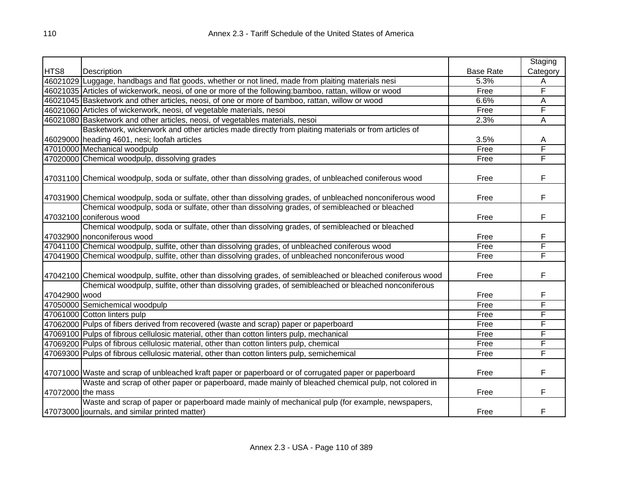|                   |                                                                                                                |                  | Staging  |
|-------------------|----------------------------------------------------------------------------------------------------------------|------------------|----------|
| HTS8              | Description                                                                                                    | <b>Base Rate</b> | Category |
|                   | 46021029 Luggage, handbags and flat goods, whether or not lined, made from plaiting materials nesi             | 5.3%             | A        |
|                   | 46021035 Articles of wickerwork, neosi, of one or more of the following:bamboo, rattan, willow or wood         | Free             | F        |
|                   | 46021045 Basketwork and other articles, neosi, of one or more of bamboo, rattan, willow or wood                | 6.6%             | A        |
|                   | 46021060 Articles of wickerwork, neosi, of vegetable materials, nesoi                                          | Free             | F        |
|                   | 46021080 Basketwork and other articles, neosi, of vegetables materials, nesoi                                  | 2.3%             | A        |
|                   | Basketwork, wickerwork and other articles made directly from plaiting materials or from articles of            |                  |          |
|                   | 46029000 heading 4601, nesi; loofah articles                                                                   | 3.5%             | A        |
|                   | 47010000 Mechanical woodpulp                                                                                   | Free             | F        |
|                   | 47020000 Chemical woodpulp, dissolving grades                                                                  | Free             | F        |
|                   |                                                                                                                |                  |          |
|                   | 47031100 Chemical woodpulp, soda or sulfate, other than dissolving grades, of unbleached coniferous wood       | Free             | F        |
|                   | 47031900 Chemical woodpulp, soda or sulfate, other than dissolving grades, of unbleached nonconiferous wood    | Free             | F        |
|                   | Chemical woodpulp, soda or sulfate, other than dissolving grades, of semibleached or bleached                  |                  |          |
|                   | 47032100 coniferous wood                                                                                       | Free             | F        |
|                   | Chemical woodpulp, soda or sulfate, other than dissolving grades, of semibleached or bleached                  |                  |          |
|                   | 47032900 nonconiferous wood                                                                                    | Free             | F        |
|                   | 47041100 Chemical woodpulp, sulfite, other than dissolving grades, of unbleached coniferous wood               | Free             | F        |
|                   | 47041900 Chemical woodpulp, sulfite, other than dissolving grades, of unbleached nonconiferous wood            | Free             | F        |
|                   |                                                                                                                |                  |          |
|                   | 47042100 Chemical woodpulp, sulfite, other than dissolving grades, of semibleached or bleached coniferous wood | Free             | F        |
|                   | Chemical woodpulp, sulfite, other than dissolving grades, of semibleached or bleached nonconiferous            |                  |          |
| 47042900 wood     |                                                                                                                | Free             | F        |
|                   | 47050000 Semichemical woodpulp                                                                                 | Free             | F        |
|                   | 47061000 Cotton linters pulp                                                                                   | Free             | F        |
|                   | 47062000 Pulps of fibers derived from recovered (waste and scrap) paper or paperboard                          | Free             | F        |
|                   | 47069100 Pulps of fibrous cellulosic material, other than cotton linters pulp, mechanical                      | Free             | F        |
|                   | 47069200 Pulps of fibrous cellulosic material, other than cotton linters pulp, chemical                        | Free             | F        |
|                   | 47069300 Pulps of fibrous cellulosic material, other than cotton linters pulp, semichemical                    | Free             | F        |
|                   | 47071000 Waste and scrap of unbleached kraft paper or paperboard or of corrugated paper or paperboard          | Free             | F        |
|                   | Waste and scrap of other paper or paperboard, made mainly of bleached chemical pulp, not colored in            |                  |          |
| 47072000 the mass |                                                                                                                | Free             | F        |
|                   | Waste and scrap of paper or paperboard made mainly of mechanical pulp (for example, newspapers,                |                  |          |
|                   | 47073000 journals, and similar printed matter)                                                                 | Free             | F        |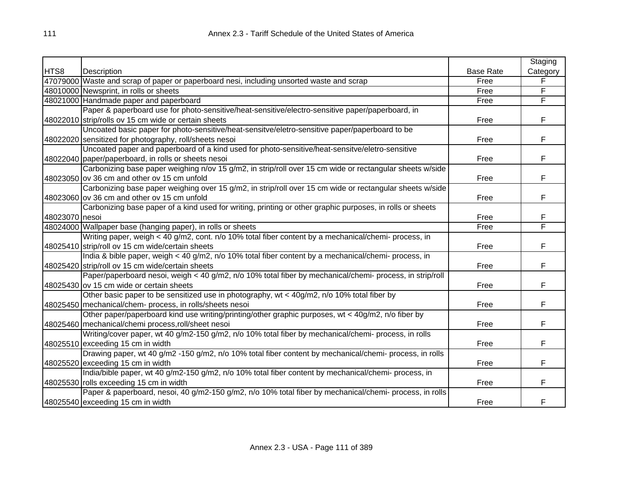|                |                                                                                                           |                  | Staging  |
|----------------|-----------------------------------------------------------------------------------------------------------|------------------|----------|
| HTS8           | Description                                                                                               | <b>Base Rate</b> | Category |
|                | 47079000 Waste and scrap of paper or paperboard nesi, including unsorted waste and scrap                  | Free             | F        |
|                | 48010000 Newsprint, in rolls or sheets                                                                    | Free             | F        |
|                | 48021000 Handmade paper and paperboard                                                                    | Free             | F        |
|                | Paper & paperboard use for photo-sensitive/heat-sensitive/electro-sensitive paper/paperboard, in          |                  |          |
|                | 48022010 strip/rolls ov 15 cm wide or certain sheets                                                      | Free             | F        |
|                | Uncoated basic paper for photo-sensitive/heat-sensitve/eletro-sensitive paper/paperboard to be            |                  |          |
|                | 48022020 sensitized for photography, roll/sheets nesoi                                                    | Free             | F        |
|                | Uncoated paper and paperboard of a kind used for photo-sensitive/heat-sensitve/eletro-sensitive           |                  |          |
|                | 48022040 paper/paperboard, in rolls or sheets nesoi                                                       | Free             | F        |
|                | Carbonizing base paper weighing n/ov 15 g/m2, in strip/roll over 15 cm wide or rectangular sheets w/side  |                  |          |
|                | 48023050 ov 36 cm and other ov 15 cm unfold                                                               | Free             | F        |
|                | Carbonizing base paper weighing over 15 g/m2, in strip/roll over 15 cm wide or rectangular sheets w/side  |                  |          |
|                | 48023060 ov 36 cm and other ov 15 cm unfold                                                               | Free             | F        |
|                | Carbonizing base paper of a kind used for writing, printing or other graphic purposes, in rolls or sheets |                  |          |
| 48023070 nesoi |                                                                                                           | Free             | F        |
|                | 48024000 Wallpaper base (hanging paper), in rolls or sheets                                               | Free             | F        |
|                | Writing paper, weigh < 40 g/m2, cont. n/o 10% total fiber content by a mechanical/chemi- process, in      |                  |          |
|                | 48025410 strip/roll ov 15 cm wide/certain sheets                                                          | Free             | F        |
|                | India & bible paper, weigh < 40 g/m2, n/o 10% total fiber content by a mechanical/chemi- process, in      |                  |          |
|                | 48025420 strip/roll ov 15 cm wide/certain sheets                                                          | Free             | F        |
|                | Paper/paperboard nesoi, weigh < 40 g/m2, n/o 10% total fiber by mechanical/chemi- process, in strip/roll  |                  |          |
|                | 48025430 ov 15 cm wide or certain sheets                                                                  | Free             | F        |
|                | Other basic paper to be sensitized use in photography, wt < 40g/m2, n/o 10% total fiber by                |                  |          |
|                | 48025450 mechanical/chem- process, in rolls/sheets nesoi                                                  | Free             | F        |
|                | Other paper/paperboard kind use writing/printing/other graphic purposes, wt < 40g/m2, n/o fiber by        |                  |          |
|                | 48025460 mechanical/chemi process, roll/sheet nesoi                                                       | Free             | F        |
|                | Writing/cover paper, wt 40 g/m2-150 g/m2, n/o 10% total fiber by mechanical/chemi- process, in rolls      |                  |          |
|                | 48025510 exceeding 15 cm in width                                                                         | Free             | F        |
|                | Drawing paper, wt 40 g/m2 -150 g/m2, n/o 10% total fiber content by mechanical/chemi- process, in rolls   |                  |          |
|                | 48025520 exceeding 15 cm in width                                                                         | Free             | F        |
|                | India/bible paper, wt 40 g/m2-150 g/m2, n/o 10% total fiber content by mechanical/chemi- process, in      |                  |          |
|                | 48025530 rolls exceeding 15 cm in width                                                                   | Free             | F        |
|                | Paper & paperboard, nesoi, 40 g/m2-150 g/m2, n/o 10% total fiber by mechanical/chemi- process, in rolls   |                  |          |
|                | 48025540 exceeding 15 cm in width                                                                         | Free             | F        |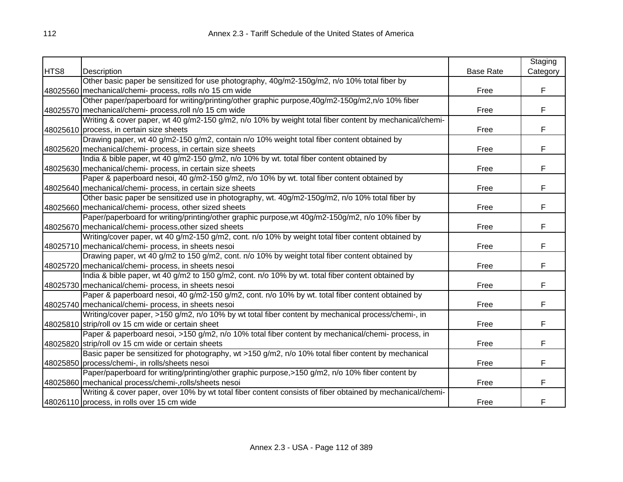|      |                                                                                                           |                  | Staging  |
|------|-----------------------------------------------------------------------------------------------------------|------------------|----------|
| HTS8 | Description                                                                                               | <b>Base Rate</b> | Category |
|      | Other basic paper be sensitized for use photography, 40g/m2-150g/m2, n/o 10% total fiber by               |                  |          |
|      | 48025560 mechanical/chemi- process, rolls n/o 15 cm wide                                                  | Free             | F        |
|      | Other paper/paperboard for writing/printing/other graphic purpose, 40g/m2-150g/m2, n/o 10% fiber          |                  |          |
|      | 48025570 mechanical/chemi- process, roll n/o 15 cm wide                                                   | Free             | F        |
|      | Writing & cover paper, wt 40 g/m2-150 g/m2, n/o 10% by weight total fiber content by mechanical/chemi-    |                  |          |
|      | 48025610 process, in certain size sheets                                                                  | Free             | F        |
|      | Drawing paper, wt 40 g/m2-150 g/m2, contain n/o 10% weight total fiber content obtained by                |                  |          |
|      | 48025620 mechanical/chemi- process, in certain size sheets                                                | Free             | F        |
|      | India & bible paper, wt 40 g/m2-150 g/m2, n/o 10% by wt. total fiber content obtained by                  |                  |          |
|      | 48025630 mechanical/chemi- process, in certain size sheets                                                | Free             | F        |
|      | Paper & paperboard nesoi, 40 g/m2-150 g/m2, n/o 10% by wt. total fiber content obtained by                |                  |          |
|      | 48025640 mechanical/chemi- process, in certain size sheets                                                | Free             | F        |
|      | Other basic paper be sensitized use in photography, wt. 40g/m2-150g/m2, n/o 10% total fiber by            |                  |          |
|      | 48025660 mechanical/chemi- process, other sized sheets                                                    | Free             | F        |
|      | Paper/paperboard for writing/printing/other graphic purpose, wt 40g/m2-150g/m2, n/o 10% fiber by          |                  |          |
|      | 48025670 mechanical/chemi- process, other sized sheets                                                    | Free             | F        |
|      | Writing/cover paper, wt 40 g/m2-150 g/m2, cont. n/o 10% by weight total fiber content obtained by         |                  |          |
|      | 48025710 mechanical/chemi- process, in sheets nesoi                                                       | Free             | F        |
|      | Drawing paper, wt 40 g/m2 to 150 g/m2, cont. n/o 10% by weight total fiber content obtained by            |                  |          |
|      | 48025720 mechanical/chemi- process, in sheets nesoi                                                       | Free             | F        |
|      | India & bible paper, wt 40 g/m2 to 150 g/m2, cont. n/o 10% by wt. total fiber content obtained by         |                  |          |
|      | 48025730 mechanical/chemi- process, in sheets nesoi                                                       | Free             | F        |
|      | Paper & paperboard nesoi, 40 g/m2-150 g/m2, cont. n/o 10% by wt. total fiber content obtained by          |                  |          |
|      | 48025740 mechanical/chemi- process, in sheets nesoi                                                       | Free             | F        |
|      | Writing/cover paper, >150 g/m2, n/o 10% by wt total fiber content by mechanical process/chemi-, in        |                  |          |
|      | 48025810 strip/roll ov 15 cm wide or certain sheet                                                        | Free             | F        |
|      | Paper & paperboard nesoi, >150 g/m2, n/o 10% total fiber content by mechanical/chemi- process, in         |                  |          |
|      | 48025820 strip/roll ov 15 cm wide or certain sheets                                                       | Free             | F        |
|      | Basic paper be sensitized for photography, wt >150 g/m2, n/o 10% total fiber content by mechanical        |                  |          |
|      | 48025850 process/chemi-, in rolls/sheets nesoi                                                            | Free             | F        |
|      | Paper/paperboard for writing/printing/other graphic purpose,>150 g/m2, n/o 10% fiber content by           |                  |          |
|      | 48025860 mechanical process/chemi-, rolls/sheets nesoi                                                    | Free             | F        |
|      | Writing & cover paper, over 10% by wt total fiber content consists of fiber obtained by mechanical/chemi- |                  |          |
|      | 48026110 process, in rolls over 15 cm wide                                                                | Free             | F        |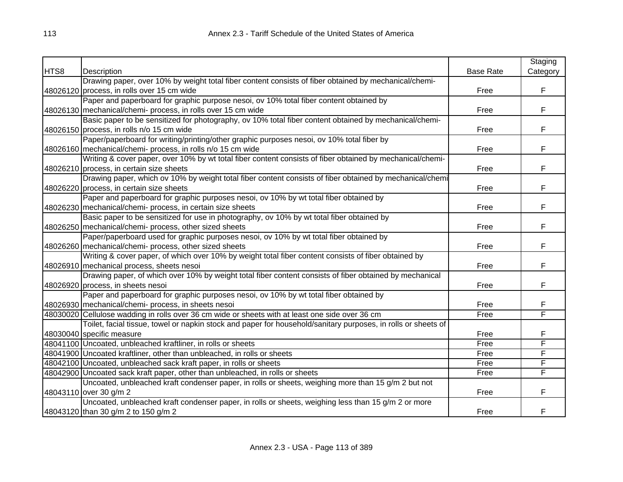|      |                                                                                                               |                  | Staging  |
|------|---------------------------------------------------------------------------------------------------------------|------------------|----------|
| HTS8 | Description                                                                                                   | <b>Base Rate</b> | Category |
|      | Drawing paper, over 10% by weight total fiber content consists of fiber obtained by mechanical/chemi-         |                  |          |
|      | 48026120 process, in rolls over 15 cm wide                                                                    | Free             | F        |
|      | Paper and paperboard for graphic purpose nesoi, ov 10% total fiber content obtained by                        |                  |          |
|      | 48026130 mechanical/chemi- process, in rolls over 15 cm wide                                                  | Free             | F        |
|      | Basic paper to be sensitized for photography, ov 10% total fiber content obtained by mechanical/chemi-        |                  |          |
|      | 48026150 process, in rolls n/o 15 cm wide                                                                     | Free             | F        |
|      | Paper/paperboard for writing/printing/other graphic purposes nesoi, ov 10% total fiber by                     |                  |          |
|      | 48026160 mechanical/chemi- process, in rolls n/o 15 cm wide                                                   | Free             | F        |
|      | Writing & cover paper, over 10% by wt total fiber content consists of fiber obtained by mechanical/chemi-     |                  |          |
|      | 48026210 process, in certain size sheets                                                                      | Free             | F        |
|      | Drawing paper, which ov 10% by weight total fiber content consists of fiber obtained by mechanical/chemi      |                  |          |
|      | 48026220 process, in certain size sheets                                                                      | Free             | F        |
|      | Paper and paperboard for graphic purposes nesoi, ov 10% by wt total fiber obtained by                         |                  |          |
|      | 48026230 mechanical/chemi- process, in certain size sheets                                                    | Free             | F        |
|      | Basic paper to be sensitized for use in photography, ov 10% by wt total fiber obtained by                     |                  |          |
|      | 48026250 mechanical/chemi- process, other sized sheets                                                        | Free             | F        |
|      | Paper/paperboard used for graphic purposes nesoi, ov 10% by wt total fiber obtained by                        |                  |          |
|      | 48026260 mechanical/chemi- process, other sized sheets                                                        | Free             | F        |
|      | Writing & cover paper, of which over 10% by weight total fiber content consists of fiber obtained by          |                  |          |
|      | 48026910 mechanical process, sheets nesoi                                                                     | Free             | F        |
|      | Drawing paper, of which over 10% by weight total fiber content consists of fiber obtained by mechanical       |                  |          |
|      | 48026920 process, in sheets nesoi                                                                             | Free             | F        |
|      | Paper and paperboard for graphic purposes nesoi, ov 10% by wt total fiber obtained by                         |                  |          |
|      | 48026930 mechanical/chemi- process, in sheets nesoi                                                           | Free             | F        |
|      | 48030020 Cellulose wadding in rolls over 36 cm wide or sheets with at least one side over 36 cm               | Free             | F        |
|      | Toilet, facial tissue, towel or napkin stock and paper for household/sanitary purposes, in rolls or sheets of |                  |          |
|      | 48030040 specific measure                                                                                     | Free             | F        |
|      | 48041100 Uncoated, unbleached kraftliner, in rolls or sheets                                                  | Free             | F        |
|      | 48041900 Uncoated kraftliner, other than unbleached, in rolls or sheets                                       | Free             | F        |
|      | 48042100 Uncoated, unbleached sack kraft paper, in rolls or sheets                                            | Free             | F        |
|      | 48042900 Uncoated sack kraft paper, other than unbleached, in rolls or sheets                                 | Free             | F        |
|      | Uncoated, unbleached kraft condenser paper, in rolls or sheets, weighing more than 15 g/m 2 but not           |                  |          |
|      | 48043110 over 30 g/m 2                                                                                        | Free             | F        |
|      | Uncoated, unbleached kraft condenser paper, in rolls or sheets, weighing less than 15 g/m 2 or more           |                  |          |
|      | 48043120 than 30 g/m 2 to 150 g/m 2                                                                           | Free             | F        |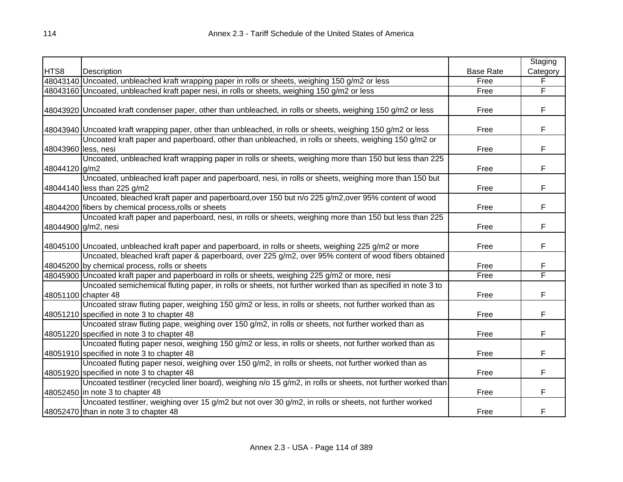|                     |                                                                                                                                                            |                  | Staging  |
|---------------------|------------------------------------------------------------------------------------------------------------------------------------------------------------|------------------|----------|
| HTS8                | Description                                                                                                                                                | <b>Base Rate</b> | Category |
|                     | 48043140 Uncoated, unbleached kraft wrapping paper in rolls or sheets, weighing 150 g/m2 or less                                                           | Free             | F        |
|                     | 48043160 Uncoated, unbleached kraft paper nesi, in rolls or sheets, weighing 150 g/m2 or less                                                              | Free             | F        |
|                     | 48043920 Uncoated kraft condenser paper, other than unbleached, in rolls or sheets, weighing 150 g/m2 or less                                              | Free             | F        |
|                     | 48043940 Uncoated kraft wrapping paper, other than unbleached, in rolls or sheets, weighing 150 g/m2 or less                                               | Free             | F        |
| 48043960 less, nesi | Uncoated kraft paper and paperboard, other than unbleached, in rolls or sheets, weighing 150 g/m2 or                                                       | Free             | F        |
| 48044120 g/m2       | Uncoated, unbleached kraft wrapping paper in rolls or sheets, weighing more than 150 but less than 225                                                     | Free             | F        |
|                     | Uncoated, unbleached kraft paper and paperboard, nesi, in rolls or sheets, weighing more than 150 but<br>48044140 less than 225 g/m2                       | Free             | F        |
|                     | Uncoated, bleached kraft paper and paperboard, over 150 but n/o 225 g/m2, over 95% content of wood<br>48044200 fibers by chemical process, rolls or sheets | Free             | F        |
|                     | Uncoated kraft paper and paperboard, nesi, in rolls or sheets, weighing more than 150 but less than 225<br>48044900 g/m2, nesi                             | Free             | F        |
|                     | 48045100 Uncoated, unbleached kraft paper and paperboard, in rolls or sheets, weighing 225 g/m2 or more                                                    | Free             | F        |
|                     | Uncoated, bleached kraft paper & paperboard, over 225 g/m2, over 95% content of wood fibers obtained<br>48045200 by chemical process, rolls or sheets      | Free             | F        |
|                     | 48045900 Uncoated kraft paper and paperboard in rolls or sheets, weighing 225 g/m2 or more, nesi                                                           | Free             | F        |
|                     | Uncoated semichemical fluting paper, in rolls or sheets, not further worked than as specified in note 3 to<br>48051100 chapter 48                          | Free             | F        |
|                     | Uncoated straw fluting paper, weighing 150 g/m2 or less, in rolls or sheets, not further worked than as<br>48051210 specified in note 3 to chapter 48      | Free             | F.       |
|                     | Uncoated straw fluting pape, weighing over 150 g/m2, in rolls or sheets, not further worked than as<br>48051220 specified in note 3 to chapter 48          | Free             | F        |
|                     | Uncoated fluting paper nesoi, weighing 150 g/m2 or less, in rolls or sheets, not further worked than as<br>48051910 specified in note 3 to chapter 48      | Free             | F        |
|                     | Uncoated fluting paper nesoi, weighing over 150 g/m2, in rolls or sheets, not further worked than as<br>48051920 specified in note 3 to chapter 48         | Free             | F        |
|                     | Uncoated testliner (recycled liner board), weighing n/o 15 g/m2, in rolls or sheets, not further worked than<br>48052450 in note 3 to chapter 48           | Free             | F        |
|                     | Uncoated testliner, weighing over 15 g/m2 but not over 30 g/m2, in rolls or sheets, not further worked<br>48052470 than in note 3 to chapter 48            | Free             | F        |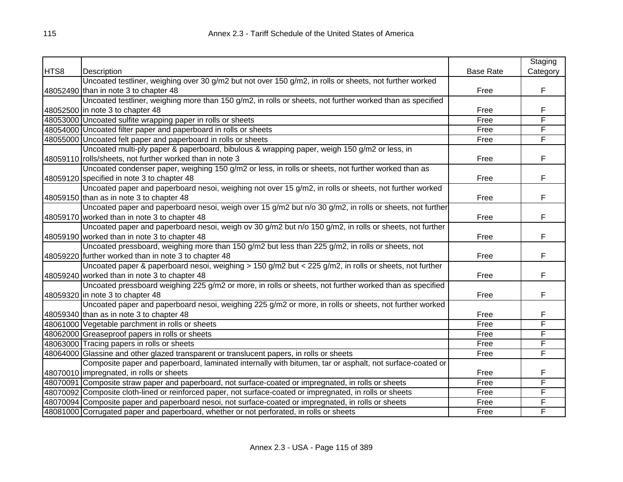|      |                                                                                                           |                  | Staging  |
|------|-----------------------------------------------------------------------------------------------------------|------------------|----------|
| HTS8 | Description                                                                                               | <b>Base Rate</b> | Category |
|      | Uncoated testliner, weighing over 30 g/m2 but not over 150 g/m2, in rolls or sheets, not further worked   |                  |          |
|      | 48052490 than in note 3 to chapter 48                                                                     | Free             | F.       |
|      | Uncoated testliner, weighing more than 150 g/m2, in rolls or sheets, not further worked than as specified |                  |          |
|      | 48052500 in note 3 to chapter 48                                                                          | Free             | F        |
|      | 48053000 Uncoated sulfite wrapping paper in rolls or sheets                                               | Free             | F        |
|      | 48054000 Uncoated filter paper and paperboard in rolls or sheets                                          | Free             | F        |
|      | 48055000 Uncoated felt paper and paperboard in rolls or sheets                                            | Free             | F        |
|      | Uncoated multi-ply paper & paperboard, bibulous & wrapping paper, weigh 150 g/m2 or less, in              |                  |          |
|      | 48059110 rolls/sheets, not further worked than in note 3                                                  | Free             | F        |
|      | Uncoated condenser paper, weighing 150 g/m2 or less, in rolls or sheets, not further worked than as       |                  |          |
|      | 48059120 specified in note 3 to chapter 48                                                                | Free             | F        |
|      | Uncoated paper and paperboard nesoi, weighing not over 15 g/m2, in rolls or sheets, not further worked    |                  |          |
|      | 48059150 than as in note 3 to chapter 48                                                                  | Free             | F        |
|      | Uncoated paper and paperboard nesoi, weigh over 15 g/m2 but n/o 30 g/m2, in rolls or sheets, not further  |                  |          |
|      | 48059170 worked than in note 3 to chapter 48                                                              | Free             | F        |
|      | Uncoated paper and paperboard nesoi, weigh ov 30 g/m2 but n/o 150 g/m2, in rolls or sheets, not further   |                  |          |
|      | 48059190 worked than in note 3 to chapter 48                                                              | Free             | F        |
|      | Uncoated pressboard, weighing more than 150 g/m2 but less than 225 g/m2, in rolls or sheets, not          |                  |          |
|      | 48059220 further worked than in note 3 to chapter 48                                                      | Free             | F        |
|      | Uncoated paper & paperboard nesoi, weighing > 150 g/m2 but < 225 g/m2, in rolls or sheets, not further    |                  |          |
|      | 48059240 worked than in note 3 to chapter 48                                                              | Free             | F        |
|      | Uncoated pressboard weighing 225 g/m2 or more, in rolls or sheets, not further worked than as specified   |                  |          |
|      | 48059320 in note 3 to chapter 48                                                                          | Free             | F        |
|      | Uncoated paper and paperboard nesoi, weighing 225 g/m2 or more, in rolls or sheets, not further worked    |                  |          |
|      | 48059340 than as in note 3 to chapter 48                                                                  | Free             | F        |
|      | 48061000 Vegetable parchment in rolls or sheets                                                           | Free             | F        |
|      | 48062000 Greaseproof papers in rolls or sheets                                                            | Free             | F        |
|      | 48063000 Tracing papers in rolls or sheets                                                                | Free             | F        |
|      | 48064000 Glassine and other glazed transparent or translucent papers, in rolls or sheets                  | Free             | F        |
|      | Composite paper and paperboard, laminated internally with bitumen, tar or asphalt, not surface-coated or  |                  |          |
|      | 48070010 impregnated, in rolls or sheets                                                                  | Free             | F        |
|      | 48070091 Composite straw paper and paperboard, not surface-coated or impregnated, in rolls or sheets      | Free             | F        |
|      | 48070092 Composite cloth-lined or reinforced paper, not surface-coated or impregnated, in rolls or sheets | Free             | F        |
|      | 48070094 Composite paper and paperboard nesoi, not surface-coated or impregnated, in rolls or sheets      | Free             | F        |
|      | 48081000 Corrugated paper and paperboard, whether or not perforated, in rolls or sheets                   | Free             | F        |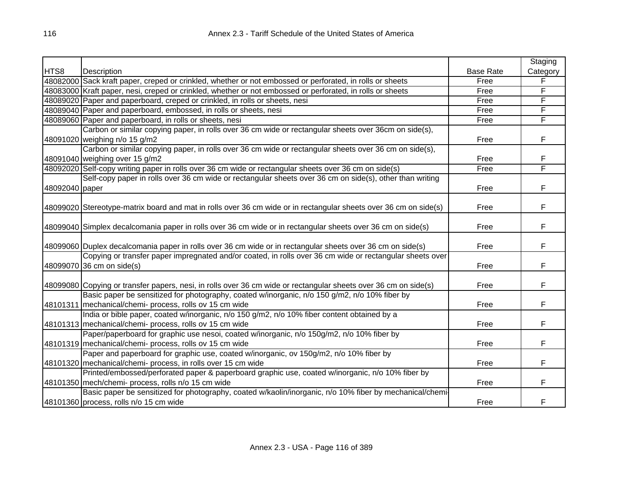|                |                                                                                                                  |                  | Staging  |
|----------------|------------------------------------------------------------------------------------------------------------------|------------------|----------|
| HTS8           | Description                                                                                                      | <b>Base Rate</b> | Category |
|                | 48082000 Sack kraft paper, creped or crinkled, whether or not embossed or perforated, in rolls or sheets         | Free             | F        |
|                | 48083000 Kraft paper, nesi, creped or crinkled, whether or not embossed or perforated, in rolls or sheets        | Free             | F        |
|                | 48089020 Paper and paperboard, creped or crinkled, in rolls or sheets, nesi                                      | Free             | F        |
|                | 48089040 Paper and paperboard, embossed, in rolls or sheets, nesi                                                | Free             | F        |
|                | 48089060 Paper and paperboard, in rolls or sheets, nesi                                                          | Free             | F        |
|                | Carbon or similar copying paper, in rolls over 36 cm wide or rectangular sheets over 36cm on side(s),            |                  |          |
|                | 48091020 weighing n/o 15 g/m2                                                                                    | Free             | F        |
|                | Carbon or similar copying paper, in rolls over 36 cm wide or rectangular sheets over 36 cm on side(s),           |                  |          |
|                | 48091040 weighing over 15 g/m2                                                                                   | Free             | F        |
|                | 48092020 Self-copy writing paper in rolls over 36 cm wide or rectangular sheets over 36 cm on side(s)            | Free             | F        |
|                | Self-copy paper in rolls over 36 cm wide or rectangular sheets over 36 cm on side(s), other than writing         |                  |          |
| 48092040 paper |                                                                                                                  | Free             | F        |
|                |                                                                                                                  |                  |          |
|                | 48099020 Stereotype-matrix board and mat in rolls over 36 cm wide or in rectangular sheets over 36 cm on side(s) | Free             | F        |
|                |                                                                                                                  |                  |          |
|                | 48099040 Simplex decalcomania paper in rolls over 36 cm wide or in rectangular sheets over 36 cm on side(s)      | Free             | F        |
|                |                                                                                                                  |                  |          |
|                | 48099060 Duplex decalcomania paper in rolls over 36 cm wide or in rectangular sheets over 36 cm on side(s)       | Free             | F        |
|                | Copying or transfer paper impregnated and/or coated, in rolls over 36 cm wide or rectangular sheets over         |                  |          |
|                | 48099070 36 cm on side(s)                                                                                        | Free             | F        |
|                |                                                                                                                  |                  |          |
|                | 48099080 Copying or transfer papers, nesi, in rolls over 36 cm wide or rectangular sheets over 36 cm on side(s)  | Free             | F        |
|                | Basic paper be sensitized for photography, coated w/inorganic, n/o 150 g/m2, n/o 10% fiber by                    |                  |          |
|                | 48101311   mechanical/chemi- process, rolls ov 15 cm wide                                                        | Free             | F        |
|                | India or bible paper, coated w/inorganic, n/o 150 g/m2, n/o 10% fiber content obtained by a                      |                  |          |
|                | 48101313 mechanical/chemi- process, rolls ov 15 cm wide                                                          | Free             | F        |
|                | Paper/paperboard for graphic use nesoi, coated w/inorganic, n/o 150g/m2, n/o 10% fiber by                        |                  |          |
|                | 48101319 mechanical/chemi- process, rolls ov 15 cm wide                                                          | Free             | F        |
|                | Paper and paperboard for graphic use, coated w/inorganic, ov 150g/m2, n/o 10% fiber by                           |                  |          |
|                | 48101320 mechanical/chemi- process, in rolls over 15 cm wide                                                     | Free             | F        |
|                | Printed/embossed/perforated paper & paperboard graphic use, coated w/inorganic, n/o 10% fiber by                 |                  |          |
|                | 48101350 mech/chemi- process, rolls n/o 15 cm wide                                                               | Free             | F        |
|                | Basic paper be sensitized for photography, coated w/kaolin/inorganic, n/o 10% fiber by mechanical/chemi          |                  |          |
|                | 48101360 process, rolls n/o 15 cm wide                                                                           | Free             | F        |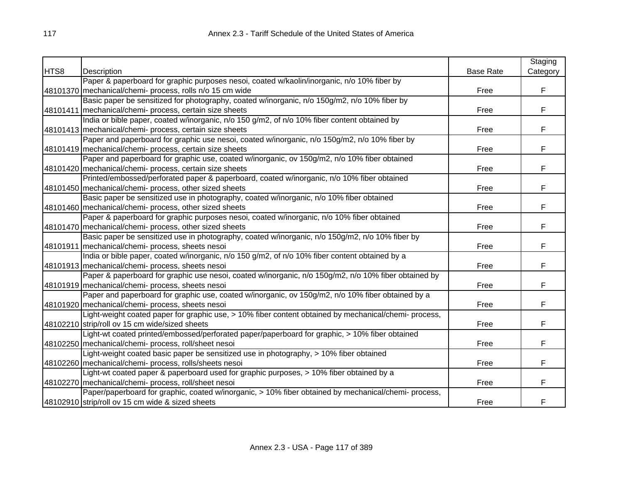|      |                                                                                                       |                  | Staging  |
|------|-------------------------------------------------------------------------------------------------------|------------------|----------|
| HTS8 | Description                                                                                           | <b>Base Rate</b> | Category |
|      | Paper & paperboard for graphic purposes nesoi, coated w/kaolin/inorganic, n/o 10% fiber by            |                  |          |
|      | 48101370 mechanical/chemi- process, rolls n/o 15 cm wide                                              | Free             | F        |
|      | Basic paper be sensitized for photography, coated w/inorganic, n/o 150g/m2, n/o 10% fiber by          |                  |          |
|      | 48101411   mechanical/chemi- process, certain size sheets                                             | Free             | F.       |
|      | India or bible paper, coated w/inorganic, n/o 150 g/m2, of n/o 10% fiber content obtained by          |                  |          |
|      | 48101413 mechanical/chemi- process, certain size sheets                                               | Free             | F        |
|      | Paper and paperboard for graphic use nesoi, coated w/inorganic, n/o 150g/m2, n/o 10% fiber by         |                  |          |
|      | 48101419 mechanical/chemi- process, certain size sheets                                               | Free             | F        |
|      | Paper and paperboard for graphic use, coated w/inorganic, ov 150g/m2, n/o 10% fiber obtained          |                  |          |
|      | 48101420   mechanical/chemi- process, certain size sheets                                             | Free             | F        |
|      | Printed/embossed/perforated paper & paperboard, coated w/inorganic, n/o 10% fiber obtained            |                  |          |
|      | 48101450 mechanical/chemi- process, other sized sheets                                                | Free             | F        |
|      | Basic paper be sensitized use in photography, coated w/inorganic, n/o 10% fiber obtained              |                  |          |
|      | 48101460 mechanical/chemi- process, other sized sheets                                                | Free             | F        |
|      | Paper & paperboard for graphic purposes nesoi, coated w/inorganic, n/o 10% fiber obtained             |                  |          |
|      | 48101470 mechanical/chemi- process, other sized sheets                                                | Free             | F.       |
|      | Basic paper be sensitized use in photography, coated w/inorganic, n/o 150g/m2, n/o 10% fiber by       |                  |          |
|      | 48101911 mechanical/chemi- process, sheets nesoi                                                      | Free             | F        |
|      | India or bible paper, coated w/inorganic, n/o 150 g/m2, of n/o 10% fiber content obtained by a        |                  |          |
|      | 48101913 mechanical/chemi- process, sheets nesoi                                                      | Free             | F        |
|      | Paper & paperboard for graphic use nesoi, coated w/inorganic, n/o 150g/m2, n/o 10% fiber obtained by  |                  |          |
|      | 48101919 mechanical/chemi- process, sheets nesoi                                                      | Free             | F        |
|      | Paper and paperboard for graphic use, coated w/inorganic, ov 150g/m2, n/o 10% fiber obtained by a     |                  |          |
|      | 48101920 mechanical/chemi- process, sheets nesoi                                                      | Free             | F        |
|      | Light-weight coated paper for graphic use, > 10% fiber content obtained by mechanical/chemi- process, |                  |          |
|      | 48102210 strip/roll ov 15 cm wide/sized sheets                                                        | Free             | F        |
|      | Light-wt coated printed/embossed/perforated paper/paperboard for graphic, > 10% fiber obtained        |                  |          |
|      | 48102250 mechanical/chemi- process, roll/sheet nesoi                                                  | Free             | F        |
|      | Light-weight coated basic paper be sensitized use in photography, > 10% fiber obtained                |                  |          |
|      | 48102260 mechanical/chemi- process, rolls/sheets nesoi                                                | Free             | F.       |
|      | Light-wt coated paper & paperboard used for graphic purposes, > 10% fiber obtained by a               |                  |          |
|      | 48102270 mechanical/chemi- process, roll/sheet nesoi                                                  | Free             | F        |
|      | Paper/paperboard for graphic, coated w/inorganic, > 10% fiber obtained by mechanical/chemi- process,  |                  |          |
|      | 48102910 strip/roll ov 15 cm wide & sized sheets                                                      | Free             | F        |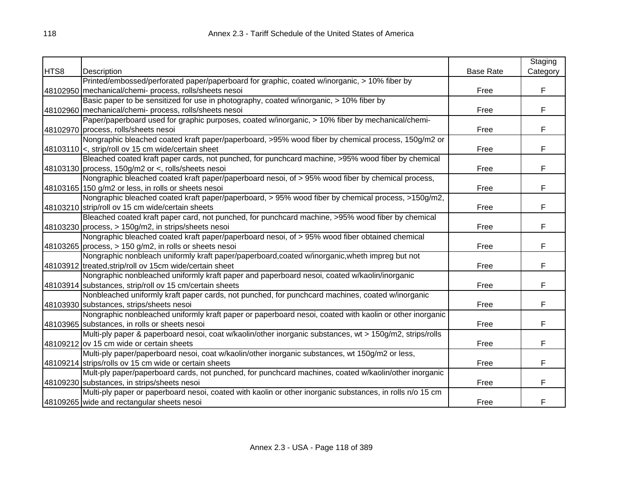|      |                                                                                                           |                  | Staging  |
|------|-----------------------------------------------------------------------------------------------------------|------------------|----------|
| HTS8 | Description                                                                                               | <b>Base Rate</b> | Category |
|      | Printed/embossed/perforated paper/paperboard for graphic, coated w/inorganic, > 10% fiber by              |                  |          |
|      | 48102950 mechanical/chemi- process, rolls/sheets nesoi                                                    | Free             | F        |
|      | Basic paper to be sensitized for use in photography, coated w/inorganic, > 10% fiber by                   |                  |          |
|      | 48102960 mechanical/chemi- process, rolls/sheets nesoi                                                    | Free             | F        |
|      | Paper/paperboard used for graphic purposes, coated w/inorganic, > 10% fiber by mechanical/chemi-          |                  |          |
|      | 48102970 process, rolls/sheets nesoi                                                                      | Free             | F        |
|      | Nongraphic bleached coated kraft paper/paperboard, >95% wood fiber by chemical process, 150g/m2 or        |                  |          |
|      | 48103110 <, strip/roll ov 15 cm wide/certain sheet                                                        | Free             | F        |
|      | Bleached coated kraft paper cards, not punched, for punchcard machine, >95% wood fiber by chemical        |                  |          |
|      | 48103130 process, 150g/m2 or <, rolls/sheets nesoi                                                        | Free             | F        |
|      | Nongraphic bleached coated kraft paper/paperboard nesoi, of > 95% wood fiber by chemical process,         |                  |          |
|      | 48103165 150 g/m2 or less, in rolls or sheets nesoi                                                       | Free             | F        |
|      | Nongraphic bleached coated kraft paper/paperboard, > 95% wood fiber by chemical process, >150g/m2,        |                  |          |
|      | 48103210 strip/roll ov 15 cm wide/certain sheets                                                          | Free             | F        |
|      | Bleached coated kraft paper card, not punched, for punchcard machine, >95% wood fiber by chemical         |                  |          |
|      | 48103230 process, > 150g/m2, in strips/sheets nesoi                                                       | Free             | F        |
|      | Nongraphic bleached coated kraft paper/paperboard nesoi, of > 95% wood fiber obtained chemical            |                  |          |
|      | 48103265 process, $> 150$ g/m2, in rolls or sheets nesoi                                                  | Free             | F        |
|      | Nongraphic nonbleach uniformly kraft paper/paperboard,coated w/inorganic, wheth impreg but not            |                  |          |
|      | 48103912 treated, strip/roll ov 15cm wide/certain sheet                                                   | Free             | F        |
|      | Nongraphic nonbleached uniformly kraft paper and paperboard nesoi, coated w/kaolin/inorganic              |                  |          |
|      | 48103914 substances, strip/roll ov 15 cm/certain sheets                                                   | Free             | F        |
|      | Nonbleached uniformly kraft paper cards, not punched, for punchcard machines, coated w/inorganic          |                  |          |
|      | 48103930 substances, strips/sheets nesoi                                                                  | Free             | F        |
|      | Nongraphic nonbleached uniformly kraft paper or paperboard nesoi, coated with kaolin or other inorganic   |                  |          |
|      | 48103965 substances, in rolls or sheets nesoi                                                             | Free             | F        |
|      | Multi-ply paper & paperboard nesoi, coat w/kaolin/other inorganic substances, wt > 150g/m2, strips/rolls  |                  |          |
|      | 48109212 ov 15 cm wide or certain sheets                                                                  | Free             | F        |
|      | Multi-ply paper/paperboard nesoi, coat w/kaolin/other inorganic substances, wt 150g/m2 or less,           |                  |          |
|      | 48109214 strips/rolls ov 15 cm wide or certain sheets                                                     | Free             | F        |
|      | Mult-ply paper/paperboard cards, not punched, for punchcard machines, coated w/kaolin/other inorganic     |                  |          |
|      | 48109230 substances, in strips/sheets nesoi                                                               | Free             | F        |
|      | Multi-ply paper or paperboard nesoi, coated with kaolin or other inorganic substances, in rolls n/o 15 cm |                  |          |
|      | 48109265 wide and rectangular sheets nesoi                                                                | Free             | F        |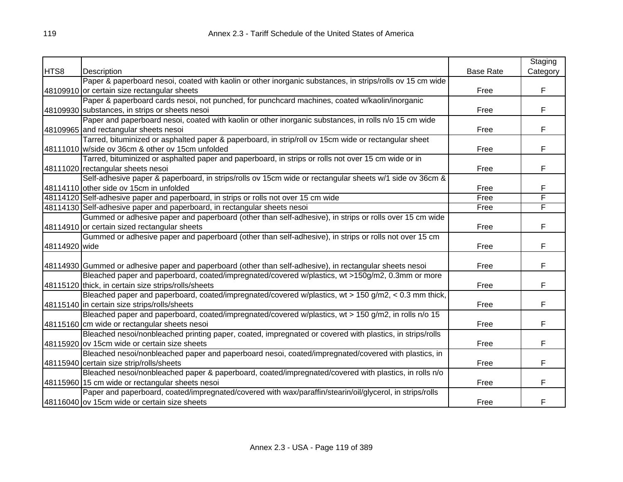|               |                                                                                                           |                  | Staging  |
|---------------|-----------------------------------------------------------------------------------------------------------|------------------|----------|
| HTS8          | Description                                                                                               | <b>Base Rate</b> | Category |
|               | Paper & paperboard nesoi, coated with kaolin or other inorganic substances, in strips/rolls ov 15 cm wide |                  |          |
|               | 48109910 or certain size rectangular sheets                                                               | Free             | F        |
|               | Paper & paperboard cards nesoi, not punched, for punchcard machines, coated w/kaolin/inorganic            |                  |          |
|               | 48109930 substances, in strips or sheets nesoi                                                            | Free             | F        |
|               | Paper and paperboard nesoi, coated with kaolin or other inorganic substances, in rolls n/o 15 cm wide     |                  |          |
|               | 48109965 and rectangular sheets nesoi                                                                     | Free             | F        |
|               | Tarred, bituminized or asphalted paper & paperboard, in strip/roll ov 15cm wide or rectangular sheet      |                  |          |
|               | 48111010 w/side ov 36cm & other ov 15cm unfolded                                                          | Free             | F        |
|               | Tarred, bituminized or asphalted paper and paperboard, in strips or rolls not over 15 cm wide or in       |                  |          |
|               | 48111020 rectangular sheets nesoi                                                                         | Free             | F        |
|               | Self-adhesive paper & paperboard, in strips/rolls ov 15cm wide or rectangular sheets w/1 side ov 36cm &   |                  |          |
|               | 48114110 other side ov 15cm in unfolded                                                                   | Free             | F        |
|               | 48114120 Self-adhesive paper and paperboard, in strips or rolls not over 15 cm wide                       | Free             | F        |
|               | 48114130 Self-adhesive paper and paperboard, in rectangular sheets nesoi                                  | Free             | F        |
|               | Gummed or adhesive paper and paperboard (other than self-adhesive), in strips or rolls over 15 cm wide    |                  |          |
|               | 48114910 or certain sized rectangular sheets                                                              | Free             | F        |
|               | Gummed or adhesive paper and paperboard (other than self-adhesive), in strips or rolls not over 15 cm     |                  |          |
| 48114920 wide |                                                                                                           | Free             | F        |
|               |                                                                                                           |                  |          |
|               | 48114930 Gummed or adhesive paper and paperboard (other than self-adhesive), in rectangular sheets nesoi  | Free             | F        |
|               | Bleached paper and paperboard, coated/impregnated/covered w/plastics, wt >150g/m2, 0.3mm or more          |                  |          |
|               | 48115120 thick, in certain size strips/rolls/sheets                                                       | Free             | F        |
|               | Bleached paper and paperboard, coated/impregnated/covered w/plastics, wt > 150 g/m2, < 0.3 mm thick,      |                  |          |
|               | 48115140 in certain size strips/rolls/sheets                                                              | Free             | F        |
|               | Bleached paper and paperboard, coated/impregnated/covered w/plastics, wt > 150 g/m2, in rolls n/o 15      |                  |          |
|               | 48115160 cm wide or rectangular sheets nesoi                                                              | Free             | F        |
|               | Bleached nesoi/nonbleached printing paper, coated, impregnated or covered with plastics, in strips/rolls  |                  |          |
|               | 48115920 ov 15cm wide or certain size sheets                                                              | Free             | F        |
|               | Bleached nesoi/nonbleached paper and paperboard nesoi, coated/impregnated/covered with plastics, in       |                  |          |
|               | 48115940 certain size strip/rolls/sheets                                                                  | Free             | F        |
|               | Bleached nesoi/nonbleached paper & paperboard, coated/impregnated/covered with plastics, in rolls n/o     |                  |          |
|               | 48115960 15 cm wide or rectangular sheets nesoi                                                           | Free             | F        |
|               | Paper and paperboard, coated/impregnated/covered with wax/paraffin/stearin/oil/glycerol, in strips/rolls  |                  |          |
|               | 48116040 ov 15cm wide or certain size sheets                                                              | Free             | F        |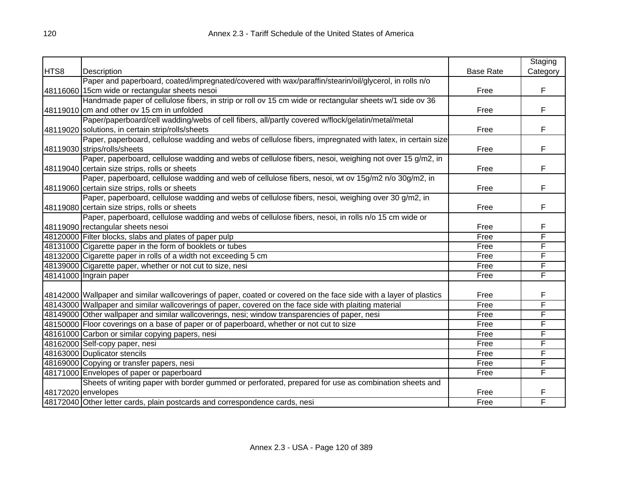|      |                                                                                                                    |                  | Staging  |
|------|--------------------------------------------------------------------------------------------------------------------|------------------|----------|
| HTS8 | Description                                                                                                        | <b>Base Rate</b> | Category |
|      | Paper and paperboard, coated/impregnated/covered with wax/paraffin/stearin/oil/glycerol, in rolls n/o              |                  |          |
|      | 48116060 15cm wide or rectangular sheets nesoi                                                                     | Free             | F        |
|      | Handmade paper of cellulose fibers, in strip or roll ov 15 cm wide or rectangular sheets w/1 side ov 36            |                  |          |
|      | 48119010 cm and other ov 15 cm in unfolded                                                                         | Free             | F        |
|      | Paper/paperboard/cell wadding/webs of cell fibers, all/partly covered w/flock/gelatin/metal/metal                  |                  |          |
|      | 48119020 solutions, in certain strip/rolls/sheets                                                                  | Free             | F        |
|      | Paper, paperboard, cellulose wadding and webs of cellulose fibers, impregnated with latex, in certain size         |                  |          |
|      | 48119030 strips/rolls/sheets                                                                                       | Free             | F        |
|      | Paper, paperboard, cellulose wadding and webs of cellulose fibers, nesoi, weighing not over 15 g/m2, in            |                  |          |
|      | 48119040 certain size strips, rolls or sheets                                                                      | Free             | F        |
|      | Paper, paperboard, cellulose wadding and web of cellulose fibers, nesoi, wt ov 15g/m2 n/o 30g/m2, in               |                  |          |
|      | 48119060 certain size strips, rolls or sheets                                                                      | Free             | F        |
|      | Paper, paperboard, cellulose wadding and webs of cellulose fibers, nesoi, weighing over 30 g/m2, in                |                  |          |
|      | 48119080 certain size strips, rolls or sheets                                                                      | Free             | F        |
|      | Paper, paperboard, cellulose wadding and webs of cellulose fibers, nesoi, in rolls n/o 15 cm wide or               |                  |          |
|      | 48119090 rectangular sheets nesoi                                                                                  | Free             | F        |
|      | 48120000 Filter blocks, slabs and plates of paper pulp                                                             | Free             | F        |
|      | 48131000 Cigarette paper in the form of booklets or tubes                                                          | Free             | F        |
|      | 48132000 Cigarette paper in rolls of a width not exceeding 5 cm                                                    | Free             | F        |
|      | 48139000 Cigarette paper, whether or not cut to size, nesi                                                         | Free             | F        |
|      | 48141000 Ingrain paper                                                                                             | Free             | F        |
|      |                                                                                                                    |                  |          |
|      | 48142000 Wallpaper and similar wallcoverings of paper, coated or covered on the face side with a layer of plastics | Free             | F        |
|      | 48143000 Wallpaper and similar wallcoverings of paper, covered on the face side with plaiting material             | Free             | F        |
|      | 48149000 Other wallpaper and similar wallcoverings, nesi; window transparencies of paper, nesi                     | Free             | F        |
|      | 48150000 Floor coverings on a base of paper or of paperboard, whether or not cut to size                           | Free             | F        |
|      | 48161000 Carbon or similar copying papers, nesi                                                                    | Free             | F        |
|      | 48162000 Self-copy paper, nesi                                                                                     | Free             | F        |
|      | 48163000 Duplicator stencils                                                                                       | Free             | F        |
|      | 48169000 Copying or transfer papers, nesi                                                                          | Free             | F        |
|      | 48171000 Envelopes of paper or paperboard                                                                          | Free             | F        |
|      | Sheets of writing paper with border gummed or perforated, prepared for use as combination sheets and               |                  |          |
|      | 48172020 envelopes                                                                                                 | Free             | F        |
|      | 48172040 Other letter cards, plain postcards and correspondence cards, nesi                                        | Free             | F        |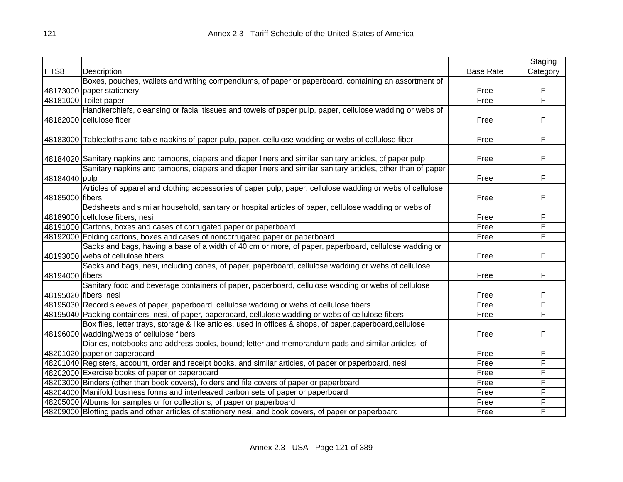|                 |                                                                                                               |                  | Staging  |
|-----------------|---------------------------------------------------------------------------------------------------------------|------------------|----------|
| HTS8            | Description                                                                                                   | <b>Base Rate</b> | Category |
|                 | Boxes, pouches, wallets and writing compendiums, of paper or paperboard, containing an assortment of          |                  |          |
|                 | 48173000 paper stationery                                                                                     | Free             | F        |
|                 | 48181000 Toilet paper                                                                                         | Free             | F        |
|                 | Handkerchiefs, cleansing or facial tissues and towels of paper pulp, paper, cellulose wadding or webs of      |                  |          |
|                 | 48182000 cellulose fiber                                                                                      | Free             | F        |
|                 | 48183000 Tablecloths and table napkins of paper pulp, paper, cellulose wadding or webs of cellulose fiber     | Free             | F        |
|                 |                                                                                                               |                  |          |
|                 | 48184020 Sanitary napkins and tampons, diapers and diaper liners and similar sanitary articles, of paper pulp | Free             | F        |
|                 | Sanitary napkins and tampons, diapers and diaper liners and similar sanitary articles, other than of paper    |                  |          |
| 48184040 pulp   |                                                                                                               | Free             | F        |
|                 | Articles of apparel and clothing accessories of paper pulp, paper, cellulose wadding or webs of cellulose     |                  |          |
| 48185000 fibers |                                                                                                               | Free             | F        |
|                 | Bedsheets and similar household, sanitary or hospital articles of paper, cellulose wadding or webs of         |                  |          |
|                 | 48189000 cellulose fibers, nesi                                                                               | Free             | F        |
|                 | 48191000 Cartons, boxes and cases of corrugated paper or paperboard                                           | Free             | F        |
|                 | 48192000 Folding cartons, boxes and cases of noncorrugated paper or paperboard                                | Free             | F        |
|                 | Sacks and bags, having a base of a width of 40 cm or more, of paper, paperboard, cellulose wadding or         |                  |          |
|                 | 48193000 webs of cellulose fibers                                                                             | Free             | F        |
|                 | Sacks and bags, nesi, including cones, of paper, paperboard, cellulose wadding or webs of cellulose           |                  |          |
| 48194000 fibers |                                                                                                               | Free             | F        |
|                 | Sanitary food and beverage containers of paper, paperboard, cellulose wadding or webs of cellulose            |                  |          |
|                 | 48195020 fibers, nesi                                                                                         | Free             | F        |
|                 | 48195030 Record sleeves of paper, paperboard, cellulose wadding or webs of cellulose fibers                   | Free             | F        |
|                 | 48195040 Packing containers, nesi, of paper, paperboard, cellulose wadding or webs of cellulose fibers        | Free             | F        |
|                 | Box files, letter trays, storage & like articles, used in offices & shops, of paper, paperboard, cellulose    |                  |          |
|                 | 48196000 wadding/webs of cellulose fibers                                                                     | Free             | F        |
|                 | Diaries, notebooks and address books, bound; letter and memorandum pads and similar articles, of              |                  |          |
|                 | 48201020 paper or paperboard                                                                                  | Free             | F        |
|                 | 48201040 Registers, account, order and receipt books, and similar articles, of paper or paperboard, nesi      | Free             | F        |
|                 | 48202000 Exercise books of paper or paperboard                                                                | Free             | F        |
|                 | 48203000 Binders (other than book covers), folders and file covers of paper or paperboard                     | Free             | F        |
|                 | 48204000 Manifold business forms and interleaved carbon sets of paper or paperboard                           | Free             | F        |
|                 | 48205000 Albums for samples or for collections, of paper or paperboard                                        | Free             | F        |
|                 | 48209000 Blotting pads and other articles of stationery nesi, and book covers, of paper or paperboard         | Free             | F        |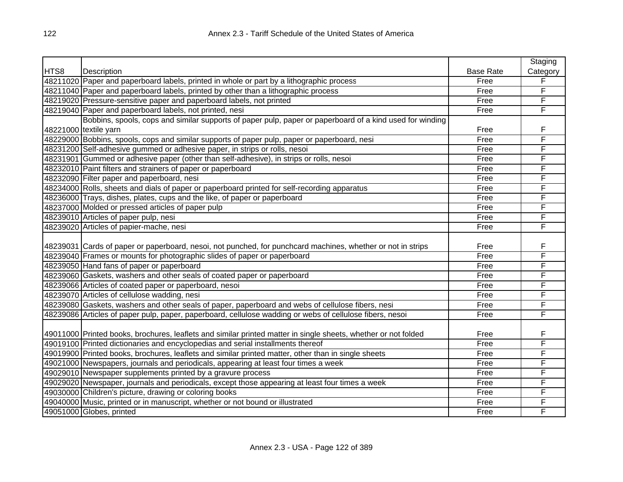|      |                                                                                                                |                  | Staging  |
|------|----------------------------------------------------------------------------------------------------------------|------------------|----------|
| HTS8 | Description                                                                                                    | <b>Base Rate</b> | Category |
|      | 48211020 Paper and paperboard labels, printed in whole or part by a lithographic process                       | Free             | F        |
|      | 48211040 Paper and paperboard labels, printed by other than a lithographic process                             | Free             | F        |
|      | 48219020 Pressure-sensitive paper and paperboard labels, not printed                                           | Free             | F        |
|      | 48219040 Paper and paperboard labels, not printed, nesi                                                        | Free             | F        |
|      | Bobbins, spools, cops and similar supports of paper pulp, paper or paperboard of a kind used for winding       |                  |          |
|      | 48221000 textile yarn                                                                                          | Free             | F        |
|      | 48229000 Bobbins, spools, cops and similar supports of paper pulp, paper or paperboard, nesi                   | Free             | F        |
|      | 48231200 Self-adhesive gummed or adhesive paper, in strips or rolls, nesoi                                     | Free             | F        |
|      | 48231901 Gummed or adhesive paper (other than self-adhesive), in strips or rolls, nesoi                        | Free             | F        |
|      | 48232010 Paint filters and strainers of paper or paperboard                                                    | Free             | F        |
|      | 48232090 Filter paper and paperboard, nesi                                                                     | Free             | F        |
|      | 48234000 Rolls, sheets and dials of paper or paperboard printed for self-recording apparatus                   | Free             | F        |
|      | 48236000 Trays, dishes, plates, cups and the like, of paper or paperboard                                      | Free             | F        |
|      | 48237000 Molded or pressed articles of paper pulp                                                              | Free             | F        |
|      | 48239010 Articles of paper pulp, nesi                                                                          | Free             | F        |
|      | 48239020 Articles of papier-mache, nesi                                                                        | Free             | F        |
|      |                                                                                                                |                  |          |
|      | 48239031 Cards of paper or paperboard, nesoi, not punched, for punchcard machines, whether or not in strips    | Free             | F        |
|      | 48239040 Frames or mounts for photographic slides of paper or paperboard                                       | Free             | F        |
|      | 48239050 Hand fans of paper or paperboard                                                                      | Free             | F        |
|      | 48239060 Gaskets, washers and other seals of coated paper or paperboard                                        | Free             | F        |
|      | 48239066 Articles of coated paper or paperboard, nesoi                                                         | Free             | F        |
|      | 48239070 Articles of cellulose wadding, nesi                                                                   | Free             | F        |
|      | 48239080 Gaskets, washers and other seals of paper, paperboard and webs of cellulose fibers, nesi              | Free             | F        |
|      | 48239086 Articles of paper pulp, paper, paperboard, cellulose wadding or webs of cellulose fibers, nesoi       | Free             | F        |
|      |                                                                                                                |                  |          |
|      | 49011000 Printed books, brochures, leaflets and similar printed matter in single sheets, whether or not folded | Free             | F        |
|      | 49019100 Printed dictionaries and encyclopedias and serial installments thereof                                | Free             | F        |
|      | 49019900 Printed books, brochures, leaflets and similar printed matter, other than in single sheets            | Free             | F        |
|      | 49021000 Newspapers, journals and periodicals, appearing at least four times a week                            | Free             | F        |
|      | 49029010 Newspaper supplements printed by a gravure process                                                    | Free             | F        |
|      | 49029020 Newspaper, journals and periodicals, except those appearing at least four times a week                | Free             | F        |
|      | 49030000 Children's picture, drawing or coloring books                                                         | Free             | F        |
|      | 49040000 Music, printed or in manuscript, whether or not bound or illustrated                                  | Free             | F        |
|      | 49051000 Globes, printed                                                                                       | Free             | F        |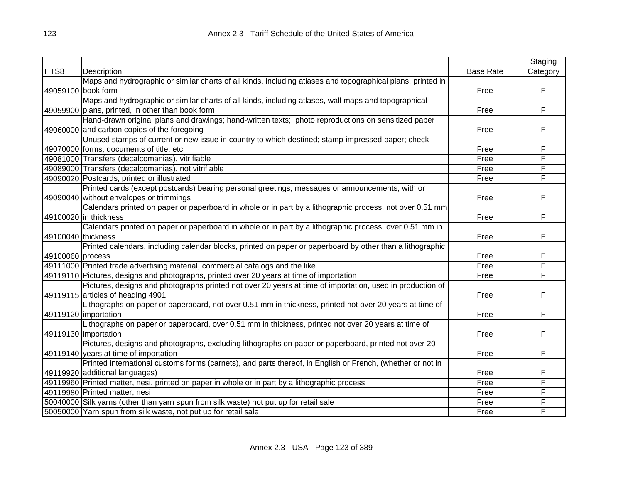|                    |                                                                                                             |                  | Staging                 |
|--------------------|-------------------------------------------------------------------------------------------------------------|------------------|-------------------------|
| HTS8               | Description                                                                                                 | <b>Base Rate</b> | Category                |
|                    | Maps and hydrographic or similar charts of all kinds, including atlases and topographical plans, printed in |                  |                         |
|                    | 49059100 book form                                                                                          | Free             | F                       |
|                    | Maps and hydrographic or similar charts of all kinds, including atlases, wall maps and topographical        |                  |                         |
|                    | 49059900 plans, printed, in other than book form                                                            | Free             | F                       |
|                    | Hand-drawn original plans and drawings; hand-written texts; photo reproductions on sensitized paper         |                  |                         |
|                    | 49060000 and carbon copies of the foregoing                                                                 | Free             | F                       |
|                    | Unused stamps of current or new issue in country to which destined; stamp-impressed paper; check            |                  |                         |
|                    | 49070000 forms; documents of title, etc                                                                     | Free             | F                       |
|                    | 49081000 Transfers (decalcomanias), vitrifiable                                                             | Free             | $\overline{\mathsf{F}}$ |
|                    | 49089000 Transfers (decalcomanias), not vitrifiable                                                         | Free             | F                       |
|                    | 49090020 Postcards, printed or illustrated                                                                  | Free             | F                       |
|                    | Printed cards (except postcards) bearing personal greetings, messages or announcements, with or             |                  |                         |
|                    | 49090040 without envelopes or trimmings                                                                     | Free             | F                       |
|                    | Calendars printed on paper or paperboard in whole or in part by a lithographic process, not over 0.51 mm    |                  |                         |
|                    | 49100020 in thickness                                                                                       | Free             | F                       |
|                    | Calendars printed on paper or paperboard in whole or in part by a lithographic process, over 0.51 mm in     |                  |                         |
| 49100040 thickness |                                                                                                             | Free             | F                       |
|                    | Printed calendars, including calendar blocks, printed on paper or paperboard by other than a lithographic   |                  |                         |
| 49100060 process   |                                                                                                             | Free             | F                       |
|                    | 49111000 Printed trade advertising material, commercial catalogs and the like                               | Free             | F                       |
|                    | 49119110 Pictures, designs and photographs, printed over 20 years at time of importation                    | Free             | F                       |
|                    | Pictures, designs and photographs printed not over 20 years at time of importation, used in production of   |                  |                         |
|                    | 49119115 articles of heading 4901                                                                           | Free             | F                       |
|                    | Lithographs on paper or paperboard, not over 0.51 mm in thickness, printed not over 20 years at time of     |                  |                         |
|                    | 49119120   importation                                                                                      | Free             | F                       |
|                    | Lithographs on paper or paperboard, over 0.51 mm in thickness, printed not over 20 years at time of         |                  |                         |
|                    | 49119130 importation                                                                                        | Free             | F                       |
|                    | Pictures, designs and photographs, excluding lithographs on paper or paperboard, printed not over 20        |                  |                         |
|                    | 49119140 years at time of importation                                                                       | Free             | F                       |
|                    | Printed international customs forms (carnets), and parts thereof, in English or French, (whether or not in  |                  |                         |
|                    | 49119920 additional languages)                                                                              | Free             | F                       |
|                    | 49119960 Printed matter, nesi, printed on paper in whole or in part by a lithographic process               | Free             | F                       |
|                    | 49119980 Printed matter, nesi                                                                               | Free             | F                       |
|                    | 50040000 Silk yarns (other than yarn spun from silk waste) not put up for retail sale                       | Free             | F                       |
|                    | 50050000 Yarn spun from silk waste, not put up for retail sale                                              | Free             | F                       |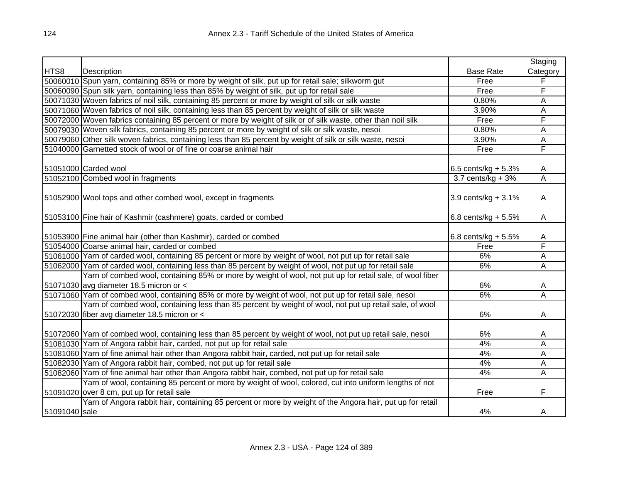|               |                                                                                                                |                        | Staging  |
|---------------|----------------------------------------------------------------------------------------------------------------|------------------------|----------|
| HTS8          | Description                                                                                                    | <b>Base Rate</b>       | Category |
|               | 50060010 Spun yarn, containing 85% or more by weight of silk, put up for retail sale; silkworm gut             | Free                   | F        |
|               | 50060090 Spun silk yarn, containing less than 85% by weight of silk, put up for retail sale                    | Free                   | F        |
|               | 50071030 Woven fabrics of noil silk, containing 85 percent or more by weight of silk or silk waste             | 0.80%                  | A        |
|               | 50071060 Woven fabrics of noil silk, containing less than 85 percent by weight of silk or silk waste           | 3.90%                  | A        |
|               | 50072000 Woven fabrics containing 85 percent or more by weight of silk or of silk waste, other than noil silk  | Free                   | F        |
|               | 50079030 Woven silk fabrics, containing 85 percent or more by weight of silk or silk waste, nesoi              | 0.80%                  | Α        |
|               | 50079060 Other silk woven fabrics, containing less than 85 percent by weight of silk or silk waste, nesoi      | 3.90%                  | A        |
|               | 51040000 Garnetted stock of wool or of fine or coarse animal hair                                              | Free                   | F        |
|               |                                                                                                                |                        |          |
|               | 51051000 Carded wool                                                                                           | 6.5 cents/kg + $5.3\%$ | A        |
|               | 51052100 Combed wool in fragments                                                                              | $3.7$ cents/kg + $3%$  | A        |
|               |                                                                                                                |                        |          |
|               | 51052900 Wool tops and other combed wool, except in fragments                                                  | 3.9 cents/kg + $3.1\%$ | A        |
|               |                                                                                                                |                        |          |
|               | 51053100 Fine hair of Kashmir (cashmere) goats, carded or combed                                               | 6.8 cents/kg + $5.5\%$ | Α        |
|               |                                                                                                                |                        |          |
|               | 51053900 Fine animal hair (other than Kashmir), carded or combed                                               | 6.8 cents/kg + $5.5\%$ | A        |
|               | 51054000 Coarse animal hair, carded or combed                                                                  | Free                   | F        |
|               | 51061000 Yarn of carded wool, containing 85 percent or more by weight of wool, not put up for retail sale      | 6%                     | A        |
|               | 51062000 Yarn of carded wool, containing less than 85 percent by weight of wool, not put up for retail sale    | 6%                     | Α        |
|               | Yarn of combed wool, containing 85% or more by weight of wool, not put up for retail sale, of wool fiber       |                        |          |
|               | 51071030 avg diameter 18.5 micron or <                                                                         | 6%                     | A        |
|               | 51071060 Yarn of combed wool, containing 85% or more by weight of wool, not put up for retail sale, nesoi      | 6%                     | A        |
|               | Yarn of combed wool, containing less than 85 percent by weight of wool, not put up retail sale, of wool        |                        |          |
|               | 51072030 fiber avg diameter 18.5 micron or <                                                                   | 6%                     | A        |
|               |                                                                                                                |                        |          |
|               | 51072060 Yarn of combed wool, containing less than 85 percent by weight of wool, not put up retail sale, nesoi | 6%                     | A        |
|               | 51081030 Yarn of Angora rabbit hair, carded, not put up for retail sale                                        | 4%                     | A        |
|               | 51081060 Yarn of fine animal hair other than Angora rabbit hair, carded, not put up for retail sale            | 4%                     | Α        |
|               | 51082030 Yarn of Angora rabbit hair, combed, not put up for retail sale                                        | 4%                     | A        |
|               | 51082060 Yarn of fine animal hair other than Angora rabbit hair, combed, not put up for retail sale            | 4%                     | A        |
|               | Yarn of wool, containing 85 percent or more by weight of wool, colored, cut into uniform lengths of not        |                        |          |
|               | 51091020 over 8 cm, put up for retail sale                                                                     | Free                   | F        |
|               | Yarn of Angora rabbit hair, containing 85 percent or more by weight of the Angora hair, put up for retail      |                        |          |
| 51091040 sale |                                                                                                                | 4%                     | A        |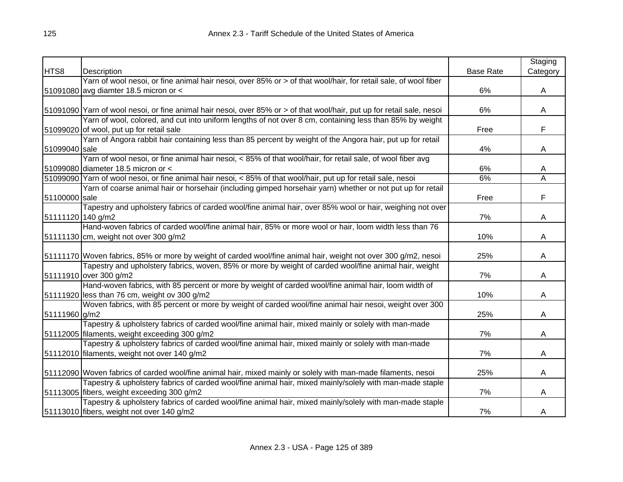|                   |                                                                                                                        |                  | Staging  |
|-------------------|------------------------------------------------------------------------------------------------------------------------|------------------|----------|
| HTS8              | Description                                                                                                            | <b>Base Rate</b> | Category |
|                   | Yarn of wool nesoi, or fine animal hair nesoi, over 85% or > of that wool/hair, for retail sale, of wool fiber         |                  |          |
|                   | 51091080 avg diamter 18.5 micron or <                                                                                  | 6%               | A        |
|                   |                                                                                                                        |                  |          |
|                   | 51091090 Yarn of wool nesoi, or fine animal hair nesoi, over 85% or > of that wool/hair, put up for retail sale, nesoi | 6%               | A        |
|                   | Yarn of wool, colored, and cut into uniform lengths of not over 8 cm, containing less than 85% by weight               |                  |          |
|                   | 51099020 of wool, put up for retail sale                                                                               | Free             | F        |
|                   | Yarn of Angora rabbit hair containing less than 85 percent by weight of the Angora hair, put up for retail             |                  |          |
| 51099040 sale     |                                                                                                                        | 4%               | A        |
|                   | Yarn of wool nesoi, or fine animal hair nesoi, < 85% of that wool/hair, for retail sale, of wool fiber avg             |                  |          |
|                   | 51099080 diameter 18.5 micron or <                                                                                     | 6%               | A        |
|                   | 51099090 Yarn of wool nesoi, or fine animal hair nesoi, < 85% of that wool/hair, put up for retail sale, nesoi         | 6%               | A        |
|                   | Yarn of coarse animal hair or horsehair (including gimped horsehair yarn) whether or not put up for retail             |                  |          |
| 51100000 sale     |                                                                                                                        | Free             | F        |
|                   | Tapestry and upholstery fabrics of carded wool/fine animal hair, over 85% wool or hair, weighing not over              |                  |          |
| 51111120 140 g/m2 |                                                                                                                        | 7%               | A        |
|                   | Hand-woven fabrics of carded wool/fine animal hair, 85% or more wool or hair, loom width less than 76                  |                  |          |
|                   | 51111130 cm, weight not over 300 g/m2                                                                                  | 10%              | A        |
|                   |                                                                                                                        |                  |          |
|                   | 51111170 Woven fabrics, 85% or more by weight of carded wool/fine animal hair, weight not over 300 g/m2, nesoi         | 25%              | A        |
|                   | Tapestry and upholstery fabrics, woven, 85% or more by weight of carded wool/fine animal hair, weight                  |                  |          |
|                   | 51111910 over 300 g/m2                                                                                                 | 7%               | A        |
|                   | Hand-woven fabrics, with 85 percent or more by weight of carded wool/fine animal hair, loom width of                   |                  |          |
|                   | 51111920 less than 76 cm, weight ov 300 g/m2                                                                           | 10%              | A        |
|                   | Woven fabrics, with 85 percent or more by weight of carded wool/fine animal hair nesoi, weight over 300                |                  |          |
| 51111960 g/m2     |                                                                                                                        | 25%              | A        |
|                   | Tapestry & upholstery fabrics of carded wool/fine animal hair, mixed mainly or solely with man-made                    |                  |          |
|                   | 51112005 filaments, weight exceeding 300 g/m2                                                                          | 7%               | Α        |
|                   | Tapestry & upholstery fabrics of carded wool/fine animal hair, mixed mainly or solely with man-made                    |                  |          |
|                   | 51112010 filaments, weight not over 140 g/m2                                                                           | 7%               | A        |
|                   |                                                                                                                        |                  |          |
|                   | 51112090 Woven fabrics of carded wool/fine animal hair, mixed mainly or solely with man-made filaments, nesoi          | 25%              | A        |
|                   | Tapestry & upholstery fabrics of carded wool/fine animal hair, mixed mainly/solely with man-made staple                |                  |          |
|                   | 51113005 fibers, weight exceeding 300 g/m2                                                                             | 7%               | A        |
|                   | Tapestry & upholstery fabrics of carded wool/fine animal hair, mixed mainly/solely with man-made staple                |                  |          |
|                   | 51113010 fibers, weight not over 140 g/m2                                                                              | 7%               | A        |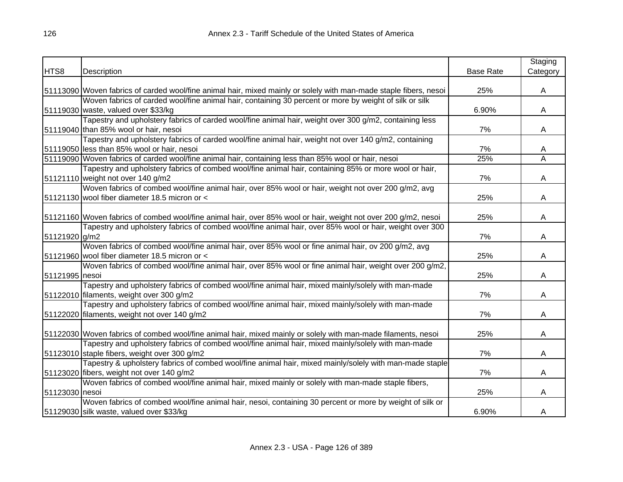| <b>Base Rate</b><br>Description<br>25%<br>51113090 Woven fabrics of carded wool/fine animal hair, mixed mainly or solely with man-made staple fibers, nesoi<br>A<br>Woven fabrics of carded wool/fine animal hair, containing 30 percent or more by weight of silk or silk<br>51119030 waste, valued over \$33/kg<br>6.90%<br>A<br>Tapestry and upholstery fabrics of carded wool/fine animal hair, weight over 300 g/m2, containing less<br>51119040 than 85% wool or hair, nesoi<br>7%<br>A<br>Tapestry and upholstery fabrics of carded wool/fine animal hair, weight not over 140 g/m2, containing<br>51119050 less than 85% wool or hair, nesoi<br>7%<br>A<br>51119090 Woven fabrics of carded wool/fine animal hair, containing less than 85% wool or hair, nesoi<br>25%<br>A<br>Tapestry and upholstery fabrics of combed wool/fine animal hair, containing 85% or more wool or hair,<br>51121110 weight not over 140 g/m2<br>7%<br>A<br>Woven fabrics of combed wool/fine animal hair, over 85% wool or hair, weight not over 200 g/m2, avg<br>51121130 wool fiber diameter 18.5 micron or <<br>25%<br>A<br>51121160 Woven fabrics of combed wool/fine animal hair, over 85% wool or hair, weight not over 200 g/m2, nesoi<br>25%<br>A<br>Tapestry and upholstery fabrics of combed wool/fine animal hair, over 85% wool or hair, weight over 300<br>7%<br>51121920 g/m2<br>A<br>Woven fabrics of combed wool/fine animal hair, over 85% wool or fine animal hair, ov 200 g/m2, avg<br>51121960 wool fiber diameter 18.5 micron or <<br>25%<br>A<br>Woven fabrics of combed wool/fine animal hair, over 85% wool or fine animal hair, weight over 200 g/m2,<br>25%<br>51121995 nesoi<br>A<br>Tapestry and upholstery fabrics of combed wool/fine animal hair, mixed mainly/solely with man-made<br>51122010 filaments, weight over 300 g/m2<br>7%<br>A<br>Tapestry and upholstery fabrics of combed wool/fine animal hair, mixed mainly/solely with man-made<br>51122020 filaments, weight not over 140 g/m2<br>7%<br>A<br>51122030 Woven fabrics of combed wool/fine animal hair, mixed mainly or solely with man-made filaments, nesoi<br>25%<br>A<br>Tapestry and upholstery fabrics of combed wool/fine animal hair, mixed mainly/solely with man-made<br>51123010 staple fibers, weight over 300 g/m2<br>7%<br>A<br>Tapestry & upholstery fabrics of combed wool/fine animal hair, mixed mainly/solely with man-made staple<br>51123020 fibers, weight not over 140 g/m2<br>7%<br>A<br>Woven fabrics of combed wool/fine animal hair, mixed mainly or solely with man-made staple fibers,<br>51123030 nesoi<br>25%<br>A<br>Woven fabrics of combed wool/fine animal hair, nesoi, containing 30 percent or more by weight of silk or<br>6.90%<br>51129030 silk waste, valued over \$33/kg<br>A |      |  | Staging  |
|------------------------------------------------------------------------------------------------------------------------------------------------------------------------------------------------------------------------------------------------------------------------------------------------------------------------------------------------------------------------------------------------------------------------------------------------------------------------------------------------------------------------------------------------------------------------------------------------------------------------------------------------------------------------------------------------------------------------------------------------------------------------------------------------------------------------------------------------------------------------------------------------------------------------------------------------------------------------------------------------------------------------------------------------------------------------------------------------------------------------------------------------------------------------------------------------------------------------------------------------------------------------------------------------------------------------------------------------------------------------------------------------------------------------------------------------------------------------------------------------------------------------------------------------------------------------------------------------------------------------------------------------------------------------------------------------------------------------------------------------------------------------------------------------------------------------------------------------------------------------------------------------------------------------------------------------------------------------------------------------------------------------------------------------------------------------------------------------------------------------------------------------------------------------------------------------------------------------------------------------------------------------------------------------------------------------------------------------------------------------------------------------------------------------------------------------------------------------------------------------------------------------------------------------------------------------------------------------------------------------------------------------------------------------------------------------------------------------------------------------------------------------------------------------------------|------|--|----------|
|                                                                                                                                                                                                                                                                                                                                                                                                                                                                                                                                                                                                                                                                                                                                                                                                                                                                                                                                                                                                                                                                                                                                                                                                                                                                                                                                                                                                                                                                                                                                                                                                                                                                                                                                                                                                                                                                                                                                                                                                                                                                                                                                                                                                                                                                                                                                                                                                                                                                                                                                                                                                                                                                                                                                                                                                            | HTS8 |  | Category |
|                                                                                                                                                                                                                                                                                                                                                                                                                                                                                                                                                                                                                                                                                                                                                                                                                                                                                                                                                                                                                                                                                                                                                                                                                                                                                                                                                                                                                                                                                                                                                                                                                                                                                                                                                                                                                                                                                                                                                                                                                                                                                                                                                                                                                                                                                                                                                                                                                                                                                                                                                                                                                                                                                                                                                                                                            |      |  |          |
|                                                                                                                                                                                                                                                                                                                                                                                                                                                                                                                                                                                                                                                                                                                                                                                                                                                                                                                                                                                                                                                                                                                                                                                                                                                                                                                                                                                                                                                                                                                                                                                                                                                                                                                                                                                                                                                                                                                                                                                                                                                                                                                                                                                                                                                                                                                                                                                                                                                                                                                                                                                                                                                                                                                                                                                                            |      |  |          |
|                                                                                                                                                                                                                                                                                                                                                                                                                                                                                                                                                                                                                                                                                                                                                                                                                                                                                                                                                                                                                                                                                                                                                                                                                                                                                                                                                                                                                                                                                                                                                                                                                                                                                                                                                                                                                                                                                                                                                                                                                                                                                                                                                                                                                                                                                                                                                                                                                                                                                                                                                                                                                                                                                                                                                                                                            |      |  |          |
|                                                                                                                                                                                                                                                                                                                                                                                                                                                                                                                                                                                                                                                                                                                                                                                                                                                                                                                                                                                                                                                                                                                                                                                                                                                                                                                                                                                                                                                                                                                                                                                                                                                                                                                                                                                                                                                                                                                                                                                                                                                                                                                                                                                                                                                                                                                                                                                                                                                                                                                                                                                                                                                                                                                                                                                                            |      |  |          |
|                                                                                                                                                                                                                                                                                                                                                                                                                                                                                                                                                                                                                                                                                                                                                                                                                                                                                                                                                                                                                                                                                                                                                                                                                                                                                                                                                                                                                                                                                                                                                                                                                                                                                                                                                                                                                                                                                                                                                                                                                                                                                                                                                                                                                                                                                                                                                                                                                                                                                                                                                                                                                                                                                                                                                                                                            |      |  |          |
|                                                                                                                                                                                                                                                                                                                                                                                                                                                                                                                                                                                                                                                                                                                                                                                                                                                                                                                                                                                                                                                                                                                                                                                                                                                                                                                                                                                                                                                                                                                                                                                                                                                                                                                                                                                                                                                                                                                                                                                                                                                                                                                                                                                                                                                                                                                                                                                                                                                                                                                                                                                                                                                                                                                                                                                                            |      |  |          |
|                                                                                                                                                                                                                                                                                                                                                                                                                                                                                                                                                                                                                                                                                                                                                                                                                                                                                                                                                                                                                                                                                                                                                                                                                                                                                                                                                                                                                                                                                                                                                                                                                                                                                                                                                                                                                                                                                                                                                                                                                                                                                                                                                                                                                                                                                                                                                                                                                                                                                                                                                                                                                                                                                                                                                                                                            |      |  |          |
|                                                                                                                                                                                                                                                                                                                                                                                                                                                                                                                                                                                                                                                                                                                                                                                                                                                                                                                                                                                                                                                                                                                                                                                                                                                                                                                                                                                                                                                                                                                                                                                                                                                                                                                                                                                                                                                                                                                                                                                                                                                                                                                                                                                                                                                                                                                                                                                                                                                                                                                                                                                                                                                                                                                                                                                                            |      |  |          |
|                                                                                                                                                                                                                                                                                                                                                                                                                                                                                                                                                                                                                                                                                                                                                                                                                                                                                                                                                                                                                                                                                                                                                                                                                                                                                                                                                                                                                                                                                                                                                                                                                                                                                                                                                                                                                                                                                                                                                                                                                                                                                                                                                                                                                                                                                                                                                                                                                                                                                                                                                                                                                                                                                                                                                                                                            |      |  |          |
|                                                                                                                                                                                                                                                                                                                                                                                                                                                                                                                                                                                                                                                                                                                                                                                                                                                                                                                                                                                                                                                                                                                                                                                                                                                                                                                                                                                                                                                                                                                                                                                                                                                                                                                                                                                                                                                                                                                                                                                                                                                                                                                                                                                                                                                                                                                                                                                                                                                                                                                                                                                                                                                                                                                                                                                                            |      |  |          |
|                                                                                                                                                                                                                                                                                                                                                                                                                                                                                                                                                                                                                                                                                                                                                                                                                                                                                                                                                                                                                                                                                                                                                                                                                                                                                                                                                                                                                                                                                                                                                                                                                                                                                                                                                                                                                                                                                                                                                                                                                                                                                                                                                                                                                                                                                                                                                                                                                                                                                                                                                                                                                                                                                                                                                                                                            |      |  |          |
|                                                                                                                                                                                                                                                                                                                                                                                                                                                                                                                                                                                                                                                                                                                                                                                                                                                                                                                                                                                                                                                                                                                                                                                                                                                                                                                                                                                                                                                                                                                                                                                                                                                                                                                                                                                                                                                                                                                                                                                                                                                                                                                                                                                                                                                                                                                                                                                                                                                                                                                                                                                                                                                                                                                                                                                                            |      |  |          |
|                                                                                                                                                                                                                                                                                                                                                                                                                                                                                                                                                                                                                                                                                                                                                                                                                                                                                                                                                                                                                                                                                                                                                                                                                                                                                                                                                                                                                                                                                                                                                                                                                                                                                                                                                                                                                                                                                                                                                                                                                                                                                                                                                                                                                                                                                                                                                                                                                                                                                                                                                                                                                                                                                                                                                                                                            |      |  |          |
|                                                                                                                                                                                                                                                                                                                                                                                                                                                                                                                                                                                                                                                                                                                                                                                                                                                                                                                                                                                                                                                                                                                                                                                                                                                                                                                                                                                                                                                                                                                                                                                                                                                                                                                                                                                                                                                                                                                                                                                                                                                                                                                                                                                                                                                                                                                                                                                                                                                                                                                                                                                                                                                                                                                                                                                                            |      |  |          |
|                                                                                                                                                                                                                                                                                                                                                                                                                                                                                                                                                                                                                                                                                                                                                                                                                                                                                                                                                                                                                                                                                                                                                                                                                                                                                                                                                                                                                                                                                                                                                                                                                                                                                                                                                                                                                                                                                                                                                                                                                                                                                                                                                                                                                                                                                                                                                                                                                                                                                                                                                                                                                                                                                                                                                                                                            |      |  |          |
|                                                                                                                                                                                                                                                                                                                                                                                                                                                                                                                                                                                                                                                                                                                                                                                                                                                                                                                                                                                                                                                                                                                                                                                                                                                                                                                                                                                                                                                                                                                                                                                                                                                                                                                                                                                                                                                                                                                                                                                                                                                                                                                                                                                                                                                                                                                                                                                                                                                                                                                                                                                                                                                                                                                                                                                                            |      |  |          |
|                                                                                                                                                                                                                                                                                                                                                                                                                                                                                                                                                                                                                                                                                                                                                                                                                                                                                                                                                                                                                                                                                                                                                                                                                                                                                                                                                                                                                                                                                                                                                                                                                                                                                                                                                                                                                                                                                                                                                                                                                                                                                                                                                                                                                                                                                                                                                                                                                                                                                                                                                                                                                                                                                                                                                                                                            |      |  |          |
|                                                                                                                                                                                                                                                                                                                                                                                                                                                                                                                                                                                                                                                                                                                                                                                                                                                                                                                                                                                                                                                                                                                                                                                                                                                                                                                                                                                                                                                                                                                                                                                                                                                                                                                                                                                                                                                                                                                                                                                                                                                                                                                                                                                                                                                                                                                                                                                                                                                                                                                                                                                                                                                                                                                                                                                                            |      |  |          |
|                                                                                                                                                                                                                                                                                                                                                                                                                                                                                                                                                                                                                                                                                                                                                                                                                                                                                                                                                                                                                                                                                                                                                                                                                                                                                                                                                                                                                                                                                                                                                                                                                                                                                                                                                                                                                                                                                                                                                                                                                                                                                                                                                                                                                                                                                                                                                                                                                                                                                                                                                                                                                                                                                                                                                                                                            |      |  |          |
|                                                                                                                                                                                                                                                                                                                                                                                                                                                                                                                                                                                                                                                                                                                                                                                                                                                                                                                                                                                                                                                                                                                                                                                                                                                                                                                                                                                                                                                                                                                                                                                                                                                                                                                                                                                                                                                                                                                                                                                                                                                                                                                                                                                                                                                                                                                                                                                                                                                                                                                                                                                                                                                                                                                                                                                                            |      |  |          |
|                                                                                                                                                                                                                                                                                                                                                                                                                                                                                                                                                                                                                                                                                                                                                                                                                                                                                                                                                                                                                                                                                                                                                                                                                                                                                                                                                                                                                                                                                                                                                                                                                                                                                                                                                                                                                                                                                                                                                                                                                                                                                                                                                                                                                                                                                                                                                                                                                                                                                                                                                                                                                                                                                                                                                                                                            |      |  |          |
|                                                                                                                                                                                                                                                                                                                                                                                                                                                                                                                                                                                                                                                                                                                                                                                                                                                                                                                                                                                                                                                                                                                                                                                                                                                                                                                                                                                                                                                                                                                                                                                                                                                                                                                                                                                                                                                                                                                                                                                                                                                                                                                                                                                                                                                                                                                                                                                                                                                                                                                                                                                                                                                                                                                                                                                                            |      |  |          |
|                                                                                                                                                                                                                                                                                                                                                                                                                                                                                                                                                                                                                                                                                                                                                                                                                                                                                                                                                                                                                                                                                                                                                                                                                                                                                                                                                                                                                                                                                                                                                                                                                                                                                                                                                                                                                                                                                                                                                                                                                                                                                                                                                                                                                                                                                                                                                                                                                                                                                                                                                                                                                                                                                                                                                                                                            |      |  |          |
|                                                                                                                                                                                                                                                                                                                                                                                                                                                                                                                                                                                                                                                                                                                                                                                                                                                                                                                                                                                                                                                                                                                                                                                                                                                                                                                                                                                                                                                                                                                                                                                                                                                                                                                                                                                                                                                                                                                                                                                                                                                                                                                                                                                                                                                                                                                                                                                                                                                                                                                                                                                                                                                                                                                                                                                                            |      |  |          |
|                                                                                                                                                                                                                                                                                                                                                                                                                                                                                                                                                                                                                                                                                                                                                                                                                                                                                                                                                                                                                                                                                                                                                                                                                                                                                                                                                                                                                                                                                                                                                                                                                                                                                                                                                                                                                                                                                                                                                                                                                                                                                                                                                                                                                                                                                                                                                                                                                                                                                                                                                                                                                                                                                                                                                                                                            |      |  |          |
|                                                                                                                                                                                                                                                                                                                                                                                                                                                                                                                                                                                                                                                                                                                                                                                                                                                                                                                                                                                                                                                                                                                                                                                                                                                                                                                                                                                                                                                                                                                                                                                                                                                                                                                                                                                                                                                                                                                                                                                                                                                                                                                                                                                                                                                                                                                                                                                                                                                                                                                                                                                                                                                                                                                                                                                                            |      |  |          |
|                                                                                                                                                                                                                                                                                                                                                                                                                                                                                                                                                                                                                                                                                                                                                                                                                                                                                                                                                                                                                                                                                                                                                                                                                                                                                                                                                                                                                                                                                                                                                                                                                                                                                                                                                                                                                                                                                                                                                                                                                                                                                                                                                                                                                                                                                                                                                                                                                                                                                                                                                                                                                                                                                                                                                                                                            |      |  |          |
|                                                                                                                                                                                                                                                                                                                                                                                                                                                                                                                                                                                                                                                                                                                                                                                                                                                                                                                                                                                                                                                                                                                                                                                                                                                                                                                                                                                                                                                                                                                                                                                                                                                                                                                                                                                                                                                                                                                                                                                                                                                                                                                                                                                                                                                                                                                                                                                                                                                                                                                                                                                                                                                                                                                                                                                                            |      |  |          |
|                                                                                                                                                                                                                                                                                                                                                                                                                                                                                                                                                                                                                                                                                                                                                                                                                                                                                                                                                                                                                                                                                                                                                                                                                                                                                                                                                                                                                                                                                                                                                                                                                                                                                                                                                                                                                                                                                                                                                                                                                                                                                                                                                                                                                                                                                                                                                                                                                                                                                                                                                                                                                                                                                                                                                                                                            |      |  |          |
|                                                                                                                                                                                                                                                                                                                                                                                                                                                                                                                                                                                                                                                                                                                                                                                                                                                                                                                                                                                                                                                                                                                                                                                                                                                                                                                                                                                                                                                                                                                                                                                                                                                                                                                                                                                                                                                                                                                                                                                                                                                                                                                                                                                                                                                                                                                                                                                                                                                                                                                                                                                                                                                                                                                                                                                                            |      |  |          |
|                                                                                                                                                                                                                                                                                                                                                                                                                                                                                                                                                                                                                                                                                                                                                                                                                                                                                                                                                                                                                                                                                                                                                                                                                                                                                                                                                                                                                                                                                                                                                                                                                                                                                                                                                                                                                                                                                                                                                                                                                                                                                                                                                                                                                                                                                                                                                                                                                                                                                                                                                                                                                                                                                                                                                                                                            |      |  |          |
|                                                                                                                                                                                                                                                                                                                                                                                                                                                                                                                                                                                                                                                                                                                                                                                                                                                                                                                                                                                                                                                                                                                                                                                                                                                                                                                                                                                                                                                                                                                                                                                                                                                                                                                                                                                                                                                                                                                                                                                                                                                                                                                                                                                                                                                                                                                                                                                                                                                                                                                                                                                                                                                                                                                                                                                                            |      |  |          |
|                                                                                                                                                                                                                                                                                                                                                                                                                                                                                                                                                                                                                                                                                                                                                                                                                                                                                                                                                                                                                                                                                                                                                                                                                                                                                                                                                                                                                                                                                                                                                                                                                                                                                                                                                                                                                                                                                                                                                                                                                                                                                                                                                                                                                                                                                                                                                                                                                                                                                                                                                                                                                                                                                                                                                                                                            |      |  |          |
|                                                                                                                                                                                                                                                                                                                                                                                                                                                                                                                                                                                                                                                                                                                                                                                                                                                                                                                                                                                                                                                                                                                                                                                                                                                                                                                                                                                                                                                                                                                                                                                                                                                                                                                                                                                                                                                                                                                                                                                                                                                                                                                                                                                                                                                                                                                                                                                                                                                                                                                                                                                                                                                                                                                                                                                                            |      |  |          |
|                                                                                                                                                                                                                                                                                                                                                                                                                                                                                                                                                                                                                                                                                                                                                                                                                                                                                                                                                                                                                                                                                                                                                                                                                                                                                                                                                                                                                                                                                                                                                                                                                                                                                                                                                                                                                                                                                                                                                                                                                                                                                                                                                                                                                                                                                                                                                                                                                                                                                                                                                                                                                                                                                                                                                                                                            |      |  |          |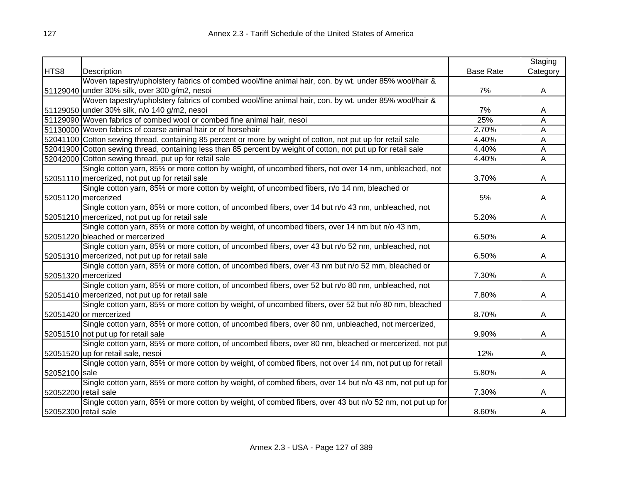|                      |                                                                                                                |                  | Staging        |
|----------------------|----------------------------------------------------------------------------------------------------------------|------------------|----------------|
| HTS8                 | Description                                                                                                    | <b>Base Rate</b> | Category       |
|                      | Woven tapestry/upholstery fabrics of combed wool/fine animal hair, con. by wt. under 85% wool/hair &           |                  |                |
|                      | 51129040 under 30% silk, over 300 g/m2, nesoi                                                                  | 7%               | A              |
|                      | Woven tapestry/upholstery fabrics of combed wool/fine animal hair, con. by wt. under 85% wool/hair &           |                  |                |
|                      | 51129050 under 30% silk, n/o 140 g/m2, nesoi                                                                   | 7%               | A              |
|                      | 51129090 Woven fabrics of combed wool or combed fine animal hair, nesoi                                        | 25%              | A              |
|                      | 51130000 Woven fabrics of coarse animal hair or of horsehair                                                   | 2.70%            | A              |
|                      | 52041100 Cotton sewing thread, containing 85 percent or more by weight of cotton, not put up for retail sale   | 4.40%            | A              |
|                      | 52041900 Cotton sewing thread, containing less than 85 percent by weight of cotton, not put up for retail sale | 4.40%            | $\overline{A}$ |
|                      | 52042000 Cotton sewing thread, put up for retail sale                                                          | 4.40%            | A              |
|                      | Single cotton yarn, 85% or more cotton by weight, of uncombed fibers, not over 14 nm, unbleached, not          |                  |                |
|                      | 52051110 mercerized, not put up for retail sale                                                                | 3.70%            | A              |
|                      | Single cotton yarn, 85% or more cotton by weight, of uncombed fibers, n/o 14 nm, bleached or                   |                  |                |
|                      | 52051120 mercerized                                                                                            | 5%               | A              |
|                      | Single cotton yarn, 85% or more cotton, of uncombed fibers, over 14 but n/o 43 nm, unbleached, not             |                  |                |
|                      | 52051210 mercerized, not put up for retail sale                                                                | 5.20%            | A              |
|                      | Single cotton yarn, 85% or more cotton by weight, of uncombed fibers, over 14 nm but n/o 43 nm,                |                  |                |
|                      | 52051220 bleached or mercerized                                                                                | 6.50%            | A              |
|                      | Single cotton yarn, 85% or more cotton, of uncombed fibers, over 43 but n/o 52 nm, unbleached, not             |                  |                |
|                      | 52051310 mercerized, not put up for retail sale                                                                | 6.50%            | A              |
|                      | Single cotton yarn, 85% or more cotton, of uncombed fibers, over 43 nm but n/o 52 mm, bleached or              |                  |                |
|                      | 52051320 mercerized                                                                                            | 7.30%            | A              |
|                      | Single cotton yarn, 85% or more cotton, of uncombed fibers, over 52 but n/o 80 nm, unbleached, not             |                  |                |
|                      | 52051410 mercerized, not put up for retail sale                                                                | 7.80%            | A              |
|                      | Single cotton yarn, 85% or more cotton by weight, of uncombed fibers, over 52 but n/o 80 nm, bleached          |                  |                |
|                      | 52051420 or mercerized                                                                                         | 8.70%            | A              |
|                      | Single cotton yarn, 85% or more cotton, of uncombed fibers, over 80 nm, unbleached, not mercerized,            |                  |                |
|                      | 52051510 not put up for retail sale                                                                            | 9.90%            | A              |
|                      | Single cotton yarn, 85% or more cotton, of uncombed fibers, over 80 nm, bleached or mercerized, not put        |                  |                |
|                      | 52051520 up for retail sale, nesoi                                                                             | 12%              | A              |
|                      | Single cotton yarn, 85% or more cotton by weight, of combed fibers, not over 14 nm, not put up for retail      |                  |                |
| 52052100 sale        |                                                                                                                | 5.80%            | A              |
|                      | Single cotton yarn, 85% or more cotton by weight, of combed fibers, over 14 but n/o 43 nm, not put up for      |                  |                |
| 52052200 retail sale |                                                                                                                | 7.30%            | A              |
|                      | Single cotton yarn, 85% or more cotton by weight, of combed fibers, over 43 but n/o 52 nm, not put up for      |                  |                |
| 52052300 retail sale |                                                                                                                | 8.60%            | A              |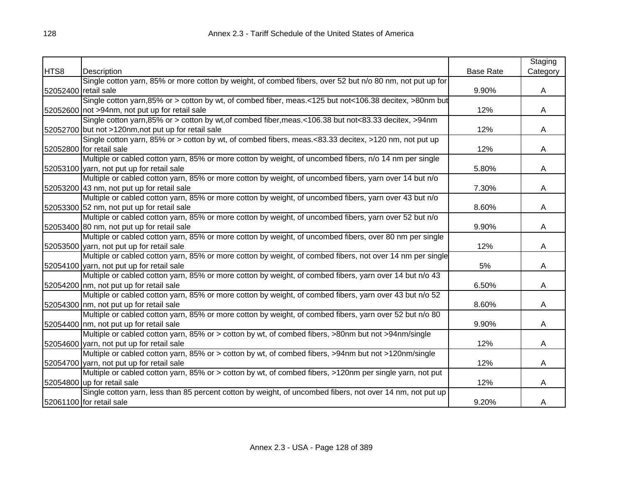|                      |                                                                                                           |                  | Staging  |
|----------------------|-----------------------------------------------------------------------------------------------------------|------------------|----------|
| HTS8                 | Description                                                                                               | <b>Base Rate</b> | Category |
|                      | Single cotton yarn, 85% or more cotton by weight, of combed fibers, over 52 but n/o 80 nm, not put up for |                  |          |
| 52052400 retail sale |                                                                                                           | 9.90%            | A        |
|                      | Single cotton yarn,85% or > cotton by wt, of combed fiber, meas.<125 but not<106.38 decitex, >80nm but    |                  |          |
|                      | 52052600 not >94nm, not put up for retail sale                                                            | 12%              | A        |
|                      | Single cotton yarn, 85% or > cotton by wt, of combed fiber, meas.<106.38 but not<83.33 decitex, >94nm     |                  |          |
|                      | 52052700 but not >120nm, not put up for retail sale                                                       | 12%              | A        |
|                      | Single cotton yarn, 85% or > cotton by wt, of combed fibers, meas.<83.33 decitex, >120 nm, not put up     |                  |          |
|                      | 52052800 for retail sale                                                                                  | 12%              | A        |
|                      | Multiple or cabled cotton yarn, 85% or more cotton by weight, of uncombed fibers, n/o 14 nm per single    |                  |          |
|                      | 52053100 yarn, not put up for retail sale                                                                 | 5.80%            | A        |
|                      | Multiple or cabled cotton yarn, 85% or more cotton by weight, of uncombed fibers, yarn over 14 but n/o    |                  |          |
|                      | 52053200 43 nm, not put up for retail sale                                                                | 7.30%            | A        |
|                      | Multiple or cabled cotton yarn, 85% or more cotton by weight, of uncombed fibers, yarn over 43 but n/o    |                  |          |
|                      | 52053300 52 nm, not put up for retail sale                                                                | 8.60%            | A        |
|                      | Multiple or cabled cotton yarn, 85% or more cotton by weight, of uncombed fibers, yarn over 52 but n/o    |                  |          |
|                      | 52053400 80 nm, not put up for retail sale                                                                | 9.90%            | A        |
|                      | Multiple or cabled cotton yarn, 85% or more cotton by weight, of uncombed fibers, over 80 nm per single   |                  |          |
|                      | 52053500 yarn, not put up for retail sale                                                                 | 12%              | A        |
|                      | Multiple or cabled cotton yarn, 85% or more cotton by weight, of combed fibers, not over 14 nm per single |                  |          |
|                      | 52054100 yarn, not put up for retail sale                                                                 | 5%               | A        |
|                      | Multiple or cabled cotton yarn, 85% or more cotton by weight, of combed fibers, yarn over 14 but n/o 43   |                  |          |
|                      | 52054200 nm, not put up for retail sale                                                                   | 6.50%            | A        |
|                      | Multiple or cabled cotton yarn, 85% or more cotton by weight, of combed fibers, yarn over 43 but n/o 52   |                  |          |
|                      | 52054300 nm, not put up for retail sale                                                                   | 8.60%            | A        |
|                      | Multiple or cabled cotton yarn, 85% or more cotton by weight, of combed fibers, yarn over 52 but n/o 80   |                  |          |
|                      | 52054400 nm, not put up for retail sale                                                                   | 9.90%            | A        |
|                      | Multiple or cabled cotton yarn, 85% or > cotton by wt, of combed fibers, >80nm but not >94nm/single       |                  |          |
|                      | 52054600 yarn, not put up for retail sale                                                                 | 12%              | A        |
|                      | Multiple or cabled cotton yarn, 85% or > cotton by wt, of combed fibers, >94nm but not >120nm/single      |                  |          |
|                      | 52054700 yarn, not put up for retail sale                                                                 | 12%              | A        |
|                      | Multiple or cabled cotton yarn, 85% or > cotton by wt, of combed fibers, >120nm per single yarn, not put  |                  |          |
|                      | 52054800 up for retail sale                                                                               | 12%              | A        |
|                      | Single cotton yarn, less than 85 percent cotton by weight, of uncombed fibers, not over 14 nm, not put up |                  |          |
|                      | 52061100 for retail sale                                                                                  | 9.20%            | A        |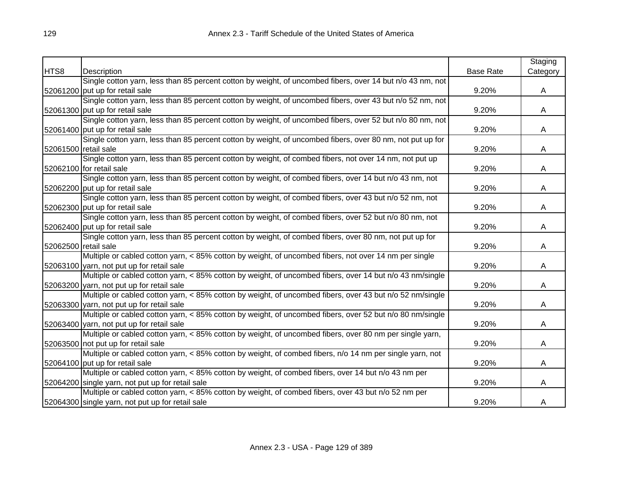|                      |                                                                                                           |                  | Staging  |
|----------------------|-----------------------------------------------------------------------------------------------------------|------------------|----------|
| HTS8                 | Description                                                                                               | <b>Base Rate</b> | Category |
|                      | Single cotton yarn, less than 85 percent cotton by weight, of uncombed fibers, over 14 but n/o 43 nm, not |                  |          |
|                      | 52061200 put up for retail sale                                                                           | 9.20%            | A        |
|                      | Single cotton yarn, less than 85 percent cotton by weight, of uncombed fibers, over 43 but n/o 52 nm, not |                  |          |
|                      | 52061300 put up for retail sale                                                                           | 9.20%            | A        |
|                      | Single cotton yarn, less than 85 percent cotton by weight, of uncombed fibers, over 52 but n/o 80 nm, not |                  |          |
|                      | 52061400 put up for retail sale                                                                           | 9.20%            | A        |
|                      | Single cotton yarn, less than 85 percent cotton by weight, of uncombed fibers, over 80 nm, not put up for |                  |          |
| 52061500 retail sale |                                                                                                           | 9.20%            | A        |
|                      | Single cotton yarn, less than 85 percent cotton by weight, of combed fibers, not over 14 nm, not put up   |                  |          |
|                      | 52062100 for retail sale                                                                                  | 9.20%            | A        |
|                      | Single cotton yarn, less than 85 percent cotton by weight, of combed fibers, over 14 but n/o 43 nm, not   |                  |          |
|                      | 52062200 put up for retail sale                                                                           | 9.20%            | A        |
|                      | Single cotton yarn, less than 85 percent cotton by weight, of combed fibers, over 43 but n/o 52 nm, not   |                  |          |
|                      | 52062300 put up for retail sale                                                                           | 9.20%            | A        |
|                      | Single cotton yarn, less than 85 percent cotton by weight, of combed fibers, over 52 but n/o 80 nm, not   |                  |          |
|                      | 52062400 put up for retail sale                                                                           | 9.20%            | A        |
|                      | Single cotton yarn, less than 85 percent cotton by weight, of combed fibers, over 80 nm, not put up for   |                  |          |
| 52062500 retail sale |                                                                                                           | 9.20%            | A        |
|                      | Multiple or cabled cotton yarn, < 85% cotton by weight, of uncombed fibers, not over 14 nm per single     |                  |          |
|                      | 52063100 yarn, not put up for retail sale                                                                 | 9.20%            | A        |
|                      | Multiple or cabled cotton yarn, < 85% cotton by weight, of uncombed fibers, over 14 but n/o 43 nm/single  |                  |          |
|                      | 52063200 yarn, not put up for retail sale                                                                 | 9.20%            | A        |
|                      | Multiple or cabled cotton yarn, < 85% cotton by weight, of uncombed fibers, over 43 but n/o 52 nm/single  |                  |          |
|                      | 52063300 yarn, not put up for retail sale                                                                 | 9.20%            | A        |
|                      | Multiple or cabled cotton yarn, < 85% cotton by weight, of uncombed fibers, over 52 but n/o 80 nm/single  |                  |          |
|                      | 52063400 yarn, not put up for retail sale                                                                 | 9.20%            | A        |
|                      | Multiple or cabled cotton yarn, < 85% cotton by weight, of uncombed fibers, over 80 nm per single yarn,   |                  |          |
|                      | 52063500 not put up for retail sale                                                                       | 9.20%            | A        |
|                      | Multiple or cabled cotton yarn, < 85% cotton by weight, of combed fibers, n/o 14 nm per single yarn, not  |                  |          |
|                      | 52064100 put up for retail sale                                                                           | 9.20%            | A        |
|                      | Multiple or cabled cotton yarn, < 85% cotton by weight, of combed fibers, over 14 but n/o 43 nm per       |                  |          |
|                      | 52064200 single yarn, not put up for retail sale                                                          | 9.20%            | A        |
|                      | Multiple or cabled cotton yarn, < 85% cotton by weight, of combed fibers, over 43 but n/o 52 nm per       |                  |          |
|                      | 52064300 single yarn, not put up for retail sale                                                          | 9.20%            | A        |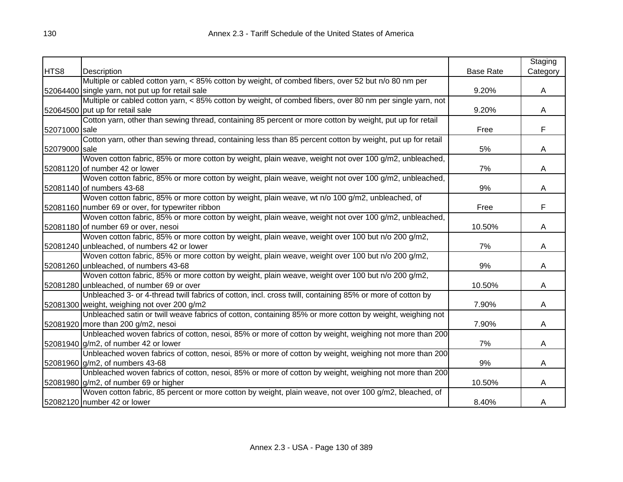|               |                                                                                                            |                  | Staging  |
|---------------|------------------------------------------------------------------------------------------------------------|------------------|----------|
| HTS8          | Description                                                                                                | <b>Base Rate</b> | Category |
|               | Multiple or cabled cotton yarn, < 85% cotton by weight, of combed fibers, over 52 but n/o 80 nm per        |                  |          |
|               | 52064400 single yarn, not put up for retail sale                                                           | 9.20%            | A        |
|               | Multiple or cabled cotton yarn, < 85% cotton by weight, of combed fibers, over 80 nm per single yarn, not  |                  |          |
|               | 52064500 put up for retail sale                                                                            | 9.20%            | A        |
|               | Cotton yarn, other than sewing thread, containing 85 percent or more cotton by weight, put up for retail   |                  |          |
| 52071000 sale |                                                                                                            | Free             | F        |
|               | Cotton yarn, other than sewing thread, containing less than 85 percent cotton by weight, put up for retail |                  |          |
| 52079000 sale |                                                                                                            | 5%               | A        |
|               | Woven cotton fabric, 85% or more cotton by weight, plain weave, weight not over 100 g/m2, unbleached,      |                  |          |
|               | 52081120 of number 42 or lower                                                                             | 7%               | A        |
|               | Woven cotton fabric, 85% or more cotton by weight, plain weave, weight not over 100 g/m2, unbleached,      |                  |          |
|               | 52081140 of numbers 43-68                                                                                  | 9%               | A        |
|               | Woven cotton fabric, 85% or more cotton by weight, plain weave, wt n/o 100 g/m2, unbleached, of            |                  |          |
|               | 52081160 number 69 or over, for typewriter ribbon                                                          | Free             | F        |
|               | Woven cotton fabric, 85% or more cotton by weight, plain weave, weight not over 100 g/m2, unbleached,      |                  |          |
|               | 52081180 of number 69 or over, nesoi                                                                       | 10.50%           | A        |
|               | Woven cotton fabric, 85% or more cotton by weight, plain weave, weight over 100 but n/o 200 g/m2,          |                  |          |
|               | 52081240 unbleached, of numbers 42 or lower                                                                | 7%               | A        |
|               | Woven cotton fabric, 85% or more cotton by weight, plain weave, weight over 100 but n/o 200 g/m2,          |                  |          |
|               | 52081260 unbleached, of numbers 43-68                                                                      | 9%               | A        |
|               | Woven cotton fabric, 85% or more cotton by weight, plain weave, weight over 100 but n/o 200 g/m2,          |                  |          |
|               | 52081280 unbleached, of number 69 or over                                                                  | 10.50%           | A        |
|               | Unbleached 3- or 4-thread twill fabrics of cotton, incl. cross twill, containing 85% or more of cotton by  |                  |          |
|               | 52081300 weight, weighing not over 200 g/m2                                                                | 7.90%            | A        |
|               | Unbleached satin or twill weave fabrics of cotton, containing 85% or more cotton by weight, weighing not   |                  |          |
|               | 52081920 more than 200 g/m2, nesoi                                                                         | 7.90%            | A        |
|               | Unbleached woven fabrics of cotton, nesoi, 85% or more of cotton by weight, weighing not more than 200     |                  |          |
|               | $52081940$ g/m2, of number 42 or lower                                                                     | 7%               | A        |
|               | Unbleached woven fabrics of cotton, nesoi, 85% or more of cotton by weight, weighing not more than 200     |                  |          |
|               | 52081960 g/m2, of numbers 43-68                                                                            | 9%               | A        |
|               | Unbleached woven fabrics of cotton, nesoi, 85% or more of cotton by weight, weighing not more than 200     |                  |          |
|               | 52081980 g/m2, of number 69 or higher                                                                      | 10.50%           | A        |
|               | Woven cotton fabric, 85 percent or more cotton by weight, plain weave, not over 100 g/m2, bleached, of     |                  |          |
|               | 52082120 number 42 or lower                                                                                | 8.40%            | A        |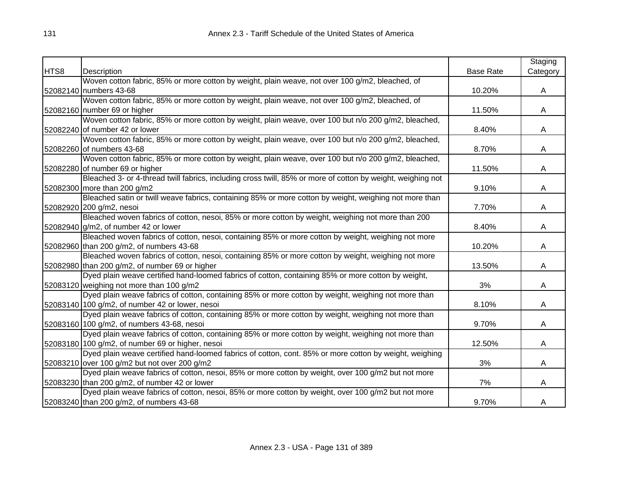|      |                                                                                                             |                  | Staging  |
|------|-------------------------------------------------------------------------------------------------------------|------------------|----------|
| HTS8 | Description                                                                                                 | <b>Base Rate</b> | Category |
|      | Woven cotton fabric, 85% or more cotton by weight, plain weave, not over 100 g/m2, bleached, of             |                  |          |
|      | 52082140 numbers 43-68                                                                                      | 10.20%           | A        |
|      | Woven cotton fabric, 85% or more cotton by weight, plain weave, not over 100 g/m2, bleached, of             |                  |          |
|      | 52082160 number 69 or higher                                                                                | 11.50%           | A        |
|      | Woven cotton fabric, 85% or more cotton by weight, plain weave, over 100 but n/o 200 g/m2, bleached,        |                  |          |
|      | 52082240 of number 42 or lower                                                                              | 8.40%            | A        |
|      | Woven cotton fabric, 85% or more cotton by weight, plain weave, over 100 but n/o 200 g/m2, bleached,        |                  |          |
|      | 52082260 of numbers 43-68                                                                                   | 8.70%            | A        |
|      | Woven cotton fabric, 85% or more cotton by weight, plain weave, over 100 but n/o 200 g/m2, bleached,        |                  |          |
|      | 52082280 of number 69 or higher                                                                             | 11.50%           | A        |
|      | Bleached 3- or 4-thread twill fabrics, including cross twill, 85% or more of cotton by weight, weighing not |                  |          |
|      | 52082300 more than 200 g/m2                                                                                 | 9.10%            | A        |
|      | Bleached satin or twill weave fabrics, containing 85% or more cotton by weight, weighing not more than      |                  |          |
|      | 52082920 200 g/m2, nesoi                                                                                    | 7.70%            | A        |
|      | Bleached woven fabrics of cotton, nesoi, 85% or more cotton by weight, weighing not more than 200           |                  |          |
|      | 52082940 g/m2, of number 42 or lower                                                                        | 8.40%            | A        |
|      | Bleached woven fabrics of cotton, nesoi, containing 85% or more cotton by weight, weighing not more         |                  |          |
|      | 52082960 than 200 g/m2, of numbers 43-68                                                                    | 10.20%           | A        |
|      | Bleached woven fabrics of cotton, nesoi, containing 85% or more cotton by weight, weighing not more         |                  |          |
|      | 52082980 than 200 g/m2, of number 69 or higher                                                              | 13.50%           | A        |
|      | Dyed plain weave certified hand-loomed fabrics of cotton, containing 85% or more cotton by weight,          |                  |          |
|      | 52083120 weighing not more than 100 g/m2                                                                    | 3%               | A        |
|      | Dyed plain weave fabrics of cotton, containing 85% or more cotton by weight, weighing not more than         |                  |          |
|      | 52083140 100 g/m2, of number 42 or lower, nesoi                                                             | 8.10%            | A        |
|      | Dyed plain weave fabrics of cotton, containing 85% or more cotton by weight, weighing not more than         |                  |          |
|      | 52083160 100 g/m2, of numbers 43-68, nesoi                                                                  | 9.70%            | A        |
|      | Dyed plain weave fabrics of cotton, containing 85% or more cotton by weight, weighing not more than         |                  |          |
|      | 52083180 100 g/m2, of number 69 or higher, nesoi                                                            | 12.50%           | A        |
|      | Dyed plain weave certified hand-loomed fabrics of cotton, cont. 85% or more cotton by weight, weighing      |                  |          |
|      | 52083210 over 100 g/m2 but not over 200 g/m2                                                                | 3%               | A        |
|      | Dyed plain weave fabrics of cotton, nesoi, 85% or more cotton by weight, over 100 g/m2 but not more         |                  |          |
|      | 52083230 than 200 g/m2, of number 42 or lower                                                               | 7%               | A        |
|      | Dyed plain weave fabrics of cotton, nesoi, 85% or more cotton by weight, over 100 g/m2 but not more         |                  |          |
|      | 52083240 than 200 g/m2, of numbers 43-68                                                                    | 9.70%            | A        |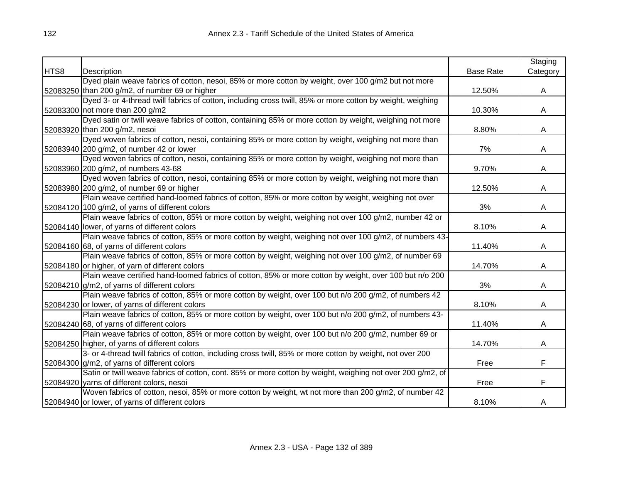|      |                                                                                                            |                  | Staging  |
|------|------------------------------------------------------------------------------------------------------------|------------------|----------|
| HTS8 | Description                                                                                                | <b>Base Rate</b> | Category |
|      | Dyed plain weave fabrics of cotton, nesoi, 85% or more cotton by weight, over 100 g/m2 but not more        |                  |          |
|      | 52083250 than 200 g/m2, of number 69 or higher                                                             | 12.50%           | A        |
|      | Dyed 3- or 4-thread twill fabrics of cotton, including cross twill, 85% or more cotton by weight, weighing |                  |          |
|      | 52083300 not more than 200 g/m2                                                                            | 10.30%           | A        |
|      | Dyed satin or twill weave fabrics of cotton, containing 85% or more cotton by weight, weighing not more    |                  |          |
|      | 52083920 than 200 g/m2, nesoi                                                                              | 8.80%            | A        |
|      | Dyed woven fabrics of cotton, nesoi, containing 85% or more cotton by weight, weighing not more than       |                  |          |
|      | 52083940 200 g/m2, of number 42 or lower                                                                   | 7%               | A        |
|      | Dyed woven fabrics of cotton, nesoi, containing 85% or more cotton by weight, weighing not more than       |                  |          |
|      | 52083960 200 g/m2, of numbers 43-68                                                                        | 9.70%            | A        |
|      | Dyed woven fabrics of cotton, nesoi, containing 85% or more cotton by weight, weighing not more than       |                  |          |
|      | 52083980 200 g/m2, of number 69 or higher                                                                  | 12.50%           | Α        |
|      | Plain weave certified hand-loomed fabrics of cotton, 85% or more cotton by weight, weighing not over       |                  |          |
|      | 52084120 100 g/m2, of yarns of different colors                                                            | 3%               | A        |
|      | Plain weave fabrics of cotton, 85% or more cotton by weight, weighing not over 100 g/m2, number 42 or      |                  |          |
|      | 52084140 lower, of yarns of different colors                                                               | 8.10%            | A        |
|      | Plain weave fabrics of cotton, 85% or more cotton by weight, weighing not over 100 g/m2, of numbers 43-    |                  |          |
|      | 52084160 68, of yarns of different colors                                                                  | 11.40%           | A        |
|      | Plain weave fabrics of cotton, 85% or more cotton by weight, weighing not over 100 g/m2, of number 69      |                  |          |
|      | 52084180 or higher, of yarn of different colors                                                            | 14.70%           | A        |
|      | Plain weave certified hand-loomed fabrics of cotton, 85% or more cotton by weight, over 100 but n/o 200    |                  |          |
|      | 52084210 g/m2, of yarns of different colors                                                                | 3%               | A        |
|      | Plain weave fabrics of cotton, 85% or more cotton by weight, over 100 but n/o 200 g/m2, of numbers 42      |                  |          |
|      | 52084230 or lower, of yarns of different colors                                                            | 8.10%            | A        |
|      | Plain weave fabrics of cotton, 85% or more cotton by weight, over 100 but n/o 200 g/m2, of numbers 43-     |                  |          |
|      | 52084240 68, of yarns of different colors                                                                  | 11.40%           | Α        |
|      | Plain weave fabrics of cotton, 85% or more cotton by weight, over 100 but n/o 200 g/m2, number 69 or       |                  |          |
|      | 52084250 higher, of yarns of different colors                                                              | 14.70%           | A        |
|      | 3- or 4-thread twill fabrics of cotton, including cross twill, 85% or more cotton by weight, not over 200  |                  |          |
|      | 52084300 g/m2, of yarns of different colors                                                                | Free             | F        |
|      | Satin or twill weave fabrics of cotton, cont. 85% or more cotton by weight, weighing not over 200 g/m2, of |                  |          |
|      | 52084920 yarns of different colors, nesoi                                                                  | Free             | F        |
|      | Woven fabrics of cotton, nesoi, 85% or more cotton by weight, wt not more than 200 g/m2, of number 42      |                  |          |
|      | 52084940 or lower, of yarns of different colors                                                            | 8.10%            | A        |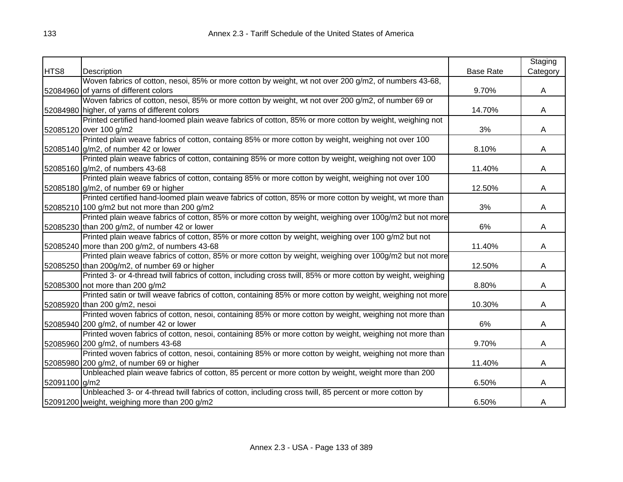|               |                                                                                                               |                  | Staging  |
|---------------|---------------------------------------------------------------------------------------------------------------|------------------|----------|
| HTS8          | Description                                                                                                   | <b>Base Rate</b> | Category |
|               | Woven fabrics of cotton, nesoi, 85% or more cotton by weight, wt not over 200 g/m2, of numbers 43-68,         |                  |          |
|               | 52084960 of yarns of different colors                                                                         | 9.70%            | A        |
|               | Woven fabrics of cotton, nesoi, 85% or more cotton by weight, wt not over 200 g/m2, of number 69 or           |                  |          |
|               | 52084980 higher, of yarns of different colors                                                                 | 14.70%           | A        |
|               | Printed certified hand-loomed plain weave fabrics of cotton, 85% or more cotton by weight, weighing not       |                  |          |
|               | 52085120 over 100 g/m2                                                                                        | 3%               | A        |
|               | Printed plain weave fabrics of cotton, containg 85% or more cotton by weight, weighing not over 100           |                  |          |
|               | 52085140 g/m2, of number 42 or lower                                                                          | 8.10%            | A        |
|               | Printed plain weave fabrics of cotton, containing 85% or more cotton by weight, weighing not over 100         |                  |          |
|               | 52085160 g/m2, of numbers 43-68                                                                               | 11.40%           | A        |
|               | Printed plain weave fabrics of cotton, containg 85% or more cotton by weight, weighing not over 100           |                  |          |
|               | 52085180 g/m2, of number 69 or higher                                                                         | 12.50%           | A        |
|               | Printed certified hand-loomed plain weave fabrics of cotton, 85% or more cotton by weight, wt more than       |                  |          |
|               | 52085210 100 g/m2 but not more than 200 g/m2                                                                  | 3%               | A        |
|               | Printed plain weave fabrics of cotton, 85% or more cotton by weight, weighing over 100g/m2 but not more       |                  |          |
|               | 52085230 than 200 g/m2, of number 42 or lower                                                                 | 6%               | Α        |
|               | Printed plain weave fabrics of cotton, 85% or more cotton by weight, weighing over 100 g/m2 but not           |                  |          |
|               | 52085240 more than 200 g/m2, of numbers 43-68                                                                 | 11.40%           | A        |
|               | Printed plain weave fabrics of cotton, 85% or more cotton by weight, weighing over 100g/m2 but not more       |                  |          |
|               | 52085250 than 200g/m2, of number 69 or higher                                                                 | 12.50%           | A        |
|               | Printed 3- or 4-thread twill fabrics of cotton, including cross twill, 85% or more cotton by weight, weighing |                  |          |
|               | 52085300 not more than 200 g/m2                                                                               | 8.80%            | A        |
|               | Printed satin or twill weave fabrics of cotton, containing 85% or more cotton by weight, weighing not more    |                  |          |
|               | 52085920 than 200 g/m2, nesoi                                                                                 | 10.30%           | A        |
|               | Printed woven fabrics of cotton, nesoi, containing 85% or more cotton by weight, weighing not more than       |                  |          |
|               | 52085940 200 g/m2, of number 42 or lower                                                                      | 6%               | A        |
|               | Printed woven fabrics of cotton, nesoi, containing 85% or more cotton by weight, weighing not more than       |                  |          |
|               | 52085960 200 g/m2, of numbers 43-68                                                                           | 9.70%            | A        |
|               | Printed woven fabrics of cotton, nesoi, containing 85% or more cotton by weight, weighing not more than       |                  |          |
|               | 52085980 200 g/m2, of number 69 or higher                                                                     | 11.40%           | A        |
|               | Unbleached plain weave fabrics of cotton, 85 percent or more cotton by weight, weight more than 200           |                  |          |
| 52091100 g/m2 |                                                                                                               | 6.50%            | A        |
|               | Unbleached 3- or 4-thread twill fabrics of cotton, including cross twill, 85 percent or more cotton by        |                  |          |
|               | 52091200 weight, weighing more than 200 g/m2                                                                  | 6.50%            | A        |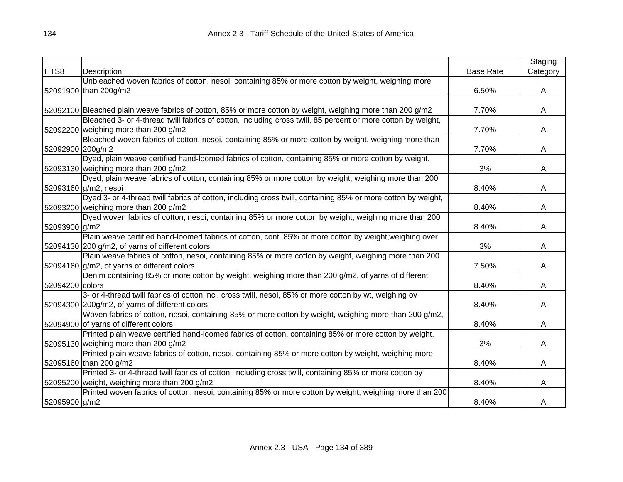|                  |                                                                                                              |                  | Staging  |
|------------------|--------------------------------------------------------------------------------------------------------------|------------------|----------|
| HTS8             | Description                                                                                                  | <b>Base Rate</b> | Category |
|                  | Unbleached woven fabrics of cotton, nesoi, containing 85% or more cotton by weight, weighing more            |                  |          |
|                  | 52091900 than 200g/m2                                                                                        | 6.50%            | A        |
|                  |                                                                                                              |                  |          |
|                  | 52092100 Bleached plain weave fabrics of cotton, 85% or more cotton by weight, weighing more than 200 g/m2   | 7.70%            | A        |
|                  | Bleached 3- or 4-thread twill fabrics of cotton, including cross twill, 85 percent or more cotton by weight, |                  |          |
|                  | 52092200 weighing more than 200 g/m2                                                                         | 7.70%            | A        |
|                  | Bleached woven fabrics of cotton, nesoi, containing 85% or more cotton by weight, weighing more than         |                  |          |
| 52092900 200g/m2 |                                                                                                              | 7.70%            | A        |
|                  | Dyed, plain weave certified hand-loomed fabrics of cotton, containing 85% or more cotton by weight,          |                  |          |
|                  | 52093130 weighing more than 200 g/m2                                                                         | 3%               | A        |
|                  | Dyed, plain weave fabrics of cotton, containing 85% or more cotton by weight, weighing more than 200         |                  |          |
|                  | 52093160 g/m2, nesoi                                                                                         | 8.40%            | A        |
|                  | Dyed 3- or 4-thread twill fabrics of cotton, including cross twill, containing 85% or more cotton by weight, |                  |          |
|                  | 52093200 weighing more than 200 g/m2                                                                         | 8.40%            | A        |
|                  | Dyed woven fabrics of cotton, nesoi, containing 85% or more cotton by weight, weighing more than 200         |                  |          |
| 52093900 g/m2    |                                                                                                              | 8.40%            | A        |
|                  | Plain weave certified hand-loomed fabrics of cotton, cont. 85% or more cotton by weight, weighing over       |                  |          |
|                  | 52094130 200 g/m2, of yarns of different colors                                                              | 3%               | A        |
|                  | Plain weave fabrics of cotton, nesoi, containing 85% or more cotton by weight, weighing more than 200        |                  |          |
|                  | 52094160 g/m2, of yarns of different colors                                                                  | 7.50%            | A        |
|                  | Denim containing 85% or more cotton by weight, weighing more than 200 g/m2, of yarns of different            |                  |          |
| 52094200 colors  |                                                                                                              | 8.40%            | A        |
|                  | 3- or 4-thread twill fabrics of cotton, incl. cross twill, nesoi, 85% or more cotton by wt, weighing ov      |                  |          |
|                  | 52094300 200g/m2, of yarns of different colors                                                               | 8.40%            | A        |
|                  | Woven fabrics of cotton, nesoi, containing 85% or more cotton by weight, weighing more than 200 g/m2,        |                  |          |
|                  | 52094900 of yarns of different colors                                                                        | 8.40%            | A        |
|                  | Printed plain weave certified hand-loomed fabrics of cotton, containing 85% or more cotton by weight,        |                  |          |
|                  | 52095130 weighing more than 200 g/m2                                                                         | 3%               | A        |
|                  | Printed plain weave fabrics of cotton, nesoi, containing 85% or more cotton by weight, weighing more         |                  |          |
|                  | 52095160 than 200 g/m2                                                                                       | 8.40%            | A        |
|                  | Printed 3- or 4-thread twill fabrics of cotton, including cross twill, containing 85% or more cotton by      |                  |          |
|                  | 52095200 weight, weighing more than 200 g/m2                                                                 | 8.40%            | A        |
|                  | Printed woven fabrics of cotton, nesoi, containing 85% or more cotton by weight, weighing more than 200      |                  |          |
| 52095900 g/m2    |                                                                                                              | 8.40%            | A        |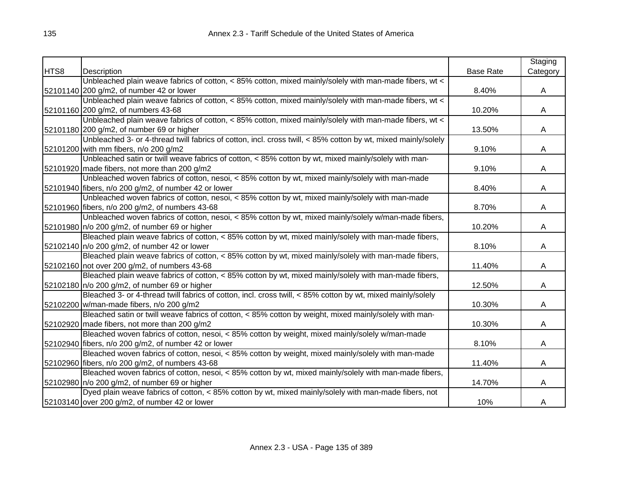|      |                                                                                                                 |                  | Staging  |
|------|-----------------------------------------------------------------------------------------------------------------|------------------|----------|
| HTS8 | Description                                                                                                     | <b>Base Rate</b> | Category |
|      | Unbleached plain weave fabrics of cotton, < 85% cotton, mixed mainly/solely with man-made fibers, wt <          |                  |          |
|      | 52101140 200 g/m2, of number 42 or lower                                                                        | 8.40%            | A        |
|      | Unbleached plain weave fabrics of cotton, < 85% cotton, mixed mainly/solely with man-made fibers, wt <          |                  |          |
|      | 52101160 200 g/m2, of numbers 43-68                                                                             | 10.20%           | A        |
|      | Unbleached plain weave fabrics of cotton, < 85% cotton, mixed mainly/solely with man-made fibers, wt <          |                  |          |
|      | 52101180 200 g/m2, of number 69 or higher                                                                       | 13.50%           | A        |
|      | Unbleached 3- or 4-thread twill fabrics of cotton, incl. cross twill, $<$ 85% cotton by wt, mixed mainly/solely |                  |          |
|      | 52101200 with mm fibers, n/o 200 g/m2                                                                           | 9.10%            | A        |
|      | Unbleached satin or twill weave fabrics of cotton, < 85% cotton by wt, mixed mainly/solely with man-            |                  |          |
|      | 52101920 made fibers, not more than 200 g/m2                                                                    | 9.10%            | A        |
|      | Unbleached woven fabrics of cotton, nesoi, < 85% cotton by wt, mixed mainly/solely with man-made                |                  |          |
|      | 52101940 fibers, n/o 200 g/m2, of number 42 or lower                                                            | 8.40%            | Α        |
|      | Unbleached woven fabrics of cotton, nesoi, < 85% cotton by wt, mixed mainly/solely with man-made                |                  |          |
|      | 52101960 fibers, n/o 200 g/m2, of numbers 43-68                                                                 | 8.70%            | A        |
|      | Unbleached woven fabrics of cotton, nesoi, < 85% cotton by wt, mixed mainly/solely w/man-made fibers,           |                  |          |
|      | 52101980 n/o 200 g/m2, of number 69 or higher                                                                   | 10.20%           | A        |
|      | Bleached plain weave fabrics of cotton, < 85% cotton by wt, mixed mainly/solely with man-made fibers,           |                  |          |
|      | 52102140 n/o 200 g/m2, of number 42 or lower                                                                    | 8.10%            | A        |
|      | Bleached plain weave fabrics of cotton, < 85% cotton by wt, mixed mainly/solely with man-made fibers,           |                  |          |
|      | 52102160 not over 200 g/m2, of numbers 43-68                                                                    | 11.40%           | A        |
|      | Bleached plain weave fabrics of cotton, < 85% cotton by wt, mixed mainly/solely with man-made fibers,           |                  |          |
|      | 52102180 n/o 200 g/m2, of number 69 or higher                                                                   | 12.50%           | A        |
|      | Bleached 3- or 4-thread twill fabrics of cotton, incl. cross twill, < 85% cotton by wt, mixed mainly/solely     |                  |          |
|      | 52102200 w/man-made fibers, n/o 200 g/m2                                                                        | 10.30%           | A        |
|      | Bleached satin or twill weave fabrics of cotton, < 85% cotton by weight, mixed mainly/solely with man-          |                  |          |
|      | 52102920 made fibers, not more than 200 g/m2                                                                    | 10.30%           | A        |
|      | Bleached woven fabrics of cotton, nesoi, < 85% cotton by weight, mixed mainly/solely w/man-made                 |                  |          |
|      | 52102940 fibers, n/o 200 g/m2, of number 42 or lower                                                            | 8.10%            | A        |
|      | Bleached woven fabrics of cotton, nesoi, < 85% cotton by weight, mixed mainly/solely with man-made              |                  |          |
|      | 52102960 fibers, n/o 200 g/m2, of numbers 43-68                                                                 | 11.40%           | A        |
|      | Bleached woven fabrics of cotton, nesoi, < 85% cotton by wt, mixed mainly/solely with man-made fibers,          |                  |          |
|      | 52102980 n/o 200 g/m2, of number 69 or higher                                                                   | 14.70%           | A        |
|      | Dyed plain weave fabrics of cotton, < 85% cotton by wt, mixed mainly/solely with man-made fibers, not           |                  |          |
|      | 52103140 over 200 g/m2, of number 42 or lower                                                                   | 10%              | A        |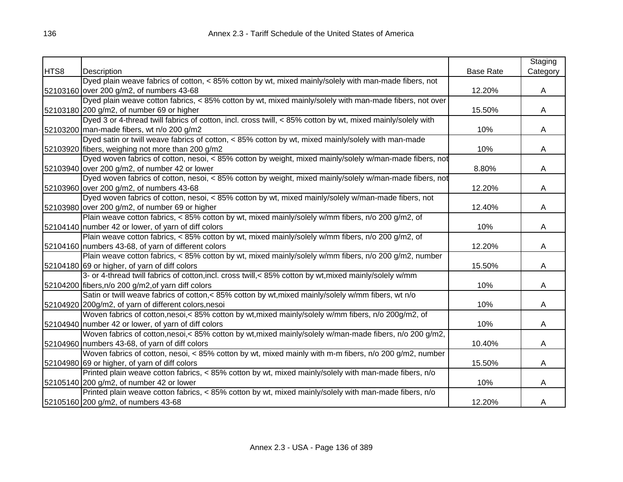|      |                                                                                                             |                  | Staging  |
|------|-------------------------------------------------------------------------------------------------------------|------------------|----------|
| HTS8 | Description                                                                                                 | <b>Base Rate</b> | Category |
|      | Dyed plain weave fabrics of cotton, < 85% cotton by wt, mixed mainly/solely with man-made fibers, not       |                  |          |
|      | 52103160 over 200 g/m2, of numbers 43-68                                                                    | 12.20%           | A        |
|      | Dyed plain weave cotton fabrics, < 85% cotton by wt, mixed mainly/solely with man-made fibers, not over     |                  |          |
|      | 52103180 200 g/m2, of number 69 or higher                                                                   | 15.50%           | A        |
|      | Dyed 3 or 4-thread twill fabrics of cotton, incl. cross twill, < 85% cotton by wt, mixed mainly/solely with |                  |          |
|      | 52103200 man-made fibers, wt n/o 200 g/m2                                                                   | 10%              | A        |
|      | Dyed satin or twill weave fabrics of cotton, < 85% cotton by wt, mixed mainly/solely with man-made          |                  |          |
|      | 52103920 fibers, weighing not more than 200 g/m2                                                            | 10%              | A        |
|      | Dyed woven fabrics of cotton, nesoi, < 85% cotton by weight, mixed mainly/solely w/man-made fibers, not     |                  |          |
|      | 52103940 over 200 g/m2, of number 42 or lower                                                               | 8.80%            | A        |
|      | Dyed woven fabrics of cotton, nesoi, < 85% cotton by weight, mixed mainly/solely w/man-made fibers, not     |                  |          |
|      | 52103960 over 200 g/m2, of numbers 43-68                                                                    | 12.20%           | A        |
|      | Dyed woven fabrics of cotton, nesoi, < 85% cotton by wt, mixed mainly/solely w/man-made fibers, not         |                  |          |
|      | 52103980 over 200 g/m2, of number 69 or higher                                                              | 12.40%           | A        |
|      | Plain weave cotton fabrics, $<$ 85% cotton by wt, mixed mainly/solely w/mm fibers, n/o 200 g/m2, of         |                  |          |
|      | 52104140 number 42 or lower, of yarn of diff colors                                                         | 10%              | A        |
|      | Plain weave cotton fabrics, $\lt$ 85% cotton by wt, mixed mainly/solely w/mm fibers, n/o 200 g/m2, of       |                  |          |
|      | 52104160 numbers 43-68, of yarn of different colors                                                         | 12.20%           | A        |
|      | Plain weave cotton fabrics, $\lt 85\%$ cotton by wt, mixed mainly/solely w/mm fibers, n/o 200 g/m2, number  |                  |          |
|      | 52104180 69 or higher, of yarn of diff colors                                                               | 15.50%           | A        |
|      | 3- or 4-thread twill fabrics of cotton, incl. cross twill, < 85% cotton by wt, mixed mainly/solely w/mm     |                  |          |
|      | 52104200 fibers, n/o 200 g/m2, of yarn diff colors                                                          | 10%              | A        |
|      | Satin or twill weave fabrics of cotton,< 85% cotton by wt, mixed mainly/solely w/mm fibers, wt n/o          |                  |          |
|      | 52104920 200g/m2, of yarn of different colors, nesoi                                                        | 10%              | A        |
|      | Woven fabrics of cotton,nesoi,<85% cotton by wt, mixed mainly/solely w/mm fibers, n/o 200g/m2, of           |                  |          |
|      | 52104940 number 42 or lower, of yarn of diff colors                                                         | 10%              | A        |
|      | Woven fabrics of cotton, nesoi, < 85% cotton by wt, mixed mainly/solely w/man-made fibers, n/o 200 g/m2,    |                  |          |
|      | 52104960 numbers 43-68, of yarn of diff colors                                                              | 10.40%           | A        |
|      | Woven fabrics of cotton, nesoi, < 85% cotton by wt, mixed mainly with m-m fibers, n/o 200 g/m2, number      |                  |          |
|      | 52104980 69 or higher, of yarn of diff colors                                                               | 15.50%           | A        |
|      | Printed plain weave cotton fabrics, < 85% cotton by wt, mixed mainly/solely with man-made fibers, n/o       |                  |          |
|      | 52105140 200 g/m2, of number 42 or lower                                                                    | 10%              | A        |
|      | Printed plain weave cotton fabrics, < 85% cotton by wt, mixed mainly/solely with man-made fibers, n/o       |                  |          |
|      | 52105160 200 g/m2, of numbers 43-68                                                                         | 12.20%           | A        |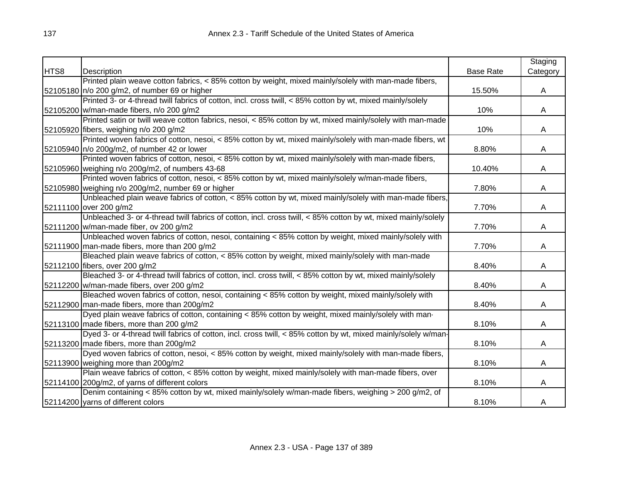|      |                                                                                                                |                  | Staging  |
|------|----------------------------------------------------------------------------------------------------------------|------------------|----------|
| HTS8 | Description                                                                                                    | <b>Base Rate</b> | Category |
|      | Printed plain weave cotton fabrics, < 85% cotton by weight, mixed mainly/solely with man-made fibers,          |                  |          |
|      | 52105180 n/o 200 g/m2, of number 69 or higher                                                                  | 15.50%           | A        |
|      | Printed 3- or 4-thread twill fabrics of cotton, incl. cross twill, < 85% cotton by wt, mixed mainly/solely     |                  |          |
|      | 52105200 w/man-made fibers, n/o 200 g/m2                                                                       | 10%              | A        |
|      | Printed satin or twill weave cotton fabrics, nesoi, < 85% cotton by wt, mixed mainly/solely with man-made      |                  |          |
|      | 52105920 fibers, weighing n/o 200 g/m2                                                                         | 10%              | A        |
|      | Printed woven fabrics of cotton, nesoi, < 85% cotton by wt, mixed mainly/solely with man-made fibers, wt       |                  |          |
|      | 52105940 n/o 200g/m2, of number 42 or lower                                                                    | 8.80%            | A        |
|      | Printed woven fabrics of cotton, nesoi, < 85% cotton by wt, mixed mainly/solely with man-made fibers,          |                  |          |
|      | 52105960 weighing n/o 200g/m2, of numbers 43-68                                                                | 10.40%           | A        |
|      | Printed woven fabrics of cotton, nesoi, < 85% cotton by wt, mixed mainly/solely w/man-made fibers,             |                  |          |
|      | 52105980 weighing n/o 200g/m2, number 69 or higher                                                             | 7.80%            | Α        |
|      | Unbleached plain weave fabrics of cotton, < 85% cotton by wt, mixed mainly/solely with man-made fibers,        |                  |          |
|      | 52111100 over 200 g/m2                                                                                         | 7.70%            | A        |
|      | Unbleached 3- or 4-thread twill fabrics of cotton, incl. cross twill, < 85% cotton by wt, mixed mainly/solely  |                  |          |
|      | 52111200 w/man-made fiber, ov 200 g/m2                                                                         | 7.70%            | A        |
|      | Unbleached woven fabrics of cotton, nesoi, containing < 85% cotton by weight, mixed mainly/solely with         |                  |          |
|      | 52111900 man-made fibers, more than 200 g/m2                                                                   | 7.70%            | A        |
|      | Bleached plain weave fabrics of cotton, < 85% cotton by weight, mixed mainly/solely with man-made              |                  |          |
|      | 52112100 fibers, over 200 g/m2                                                                                 | 8.40%            | A        |
|      | Bleached 3- or 4-thread twill fabrics of cotton, incl. cross twill, < 85% cotton by wt, mixed mainly/solely    |                  |          |
|      | 52112200 w/man-made fibers, over 200 g/m2                                                                      | 8.40%            | A        |
|      | Bleached woven fabrics of cotton, nesoi, containing < 85% cotton by weight, mixed mainly/solely with           |                  |          |
|      | 52112900 man-made fibers, more than 200g/m2                                                                    | 8.40%            | A        |
|      | Dyed plain weave fabrics of cotton, containing < 85% cotton by weight, mixed mainly/solely with man-           |                  |          |
|      | 52113100 made fibers, more than 200 g/m2                                                                       | 8.10%            | Α        |
|      | Dyed 3- or 4-thread twill fabrics of cotton, incl. cross twill, < 85% cotton by wt, mixed mainly/solely w/man- |                  |          |
|      | 52113200 made fibers, more than 200g/m2                                                                        | 8.10%            | A        |
|      | Dyed woven fabrics of cotton, nesoi, < 85% cotton by weight, mixed mainly/solely with man-made fibers,         |                  |          |
|      | 52113900 weighing more than 200g/m2                                                                            | 8.10%            | A        |
|      | Plain weave fabrics of cotton, < 85% cotton by weight, mixed mainly/solely with man-made fibers, over          |                  |          |
|      | 52114100 200g/m2, of yarns of different colors                                                                 | 8.10%            | A        |
|      | Denim containing < 85% cotton by wt, mixed mainly/solely w/man-made fibers, weighing > 200 g/m2, of            |                  |          |
|      | 52114200 yarns of different colors                                                                             | 8.10%            | A        |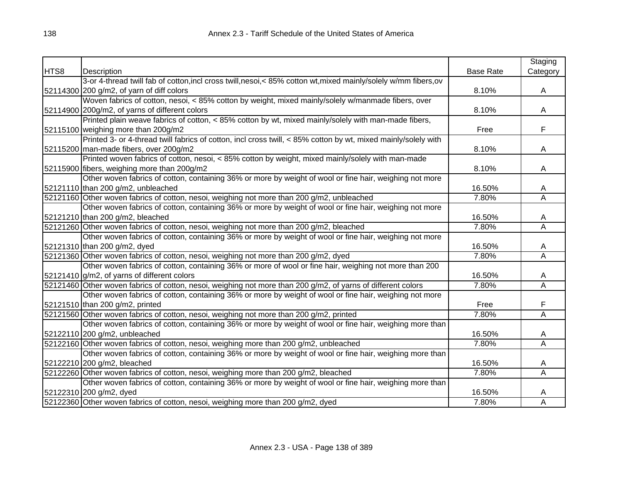|      |                                                                                                                  |                  | Staging                 |
|------|------------------------------------------------------------------------------------------------------------------|------------------|-------------------------|
| HTS8 | Description                                                                                                      | <b>Base Rate</b> | Category                |
|      | 3-or 4-thread twill fab of cotton, incl cross twill, nesoi, < 85% cotton wt, mixed mainly/solely w/mm fibers, ov |                  |                         |
|      | 52114300 200 g/m2, of yarn of diff colors                                                                        | 8.10%            | A                       |
|      | Woven fabrics of cotton, nesoi, < 85% cotton by weight, mixed mainly/solely w/manmade fibers, over               |                  |                         |
|      | 52114900 200g/m2, of yarns of different colors                                                                   | 8.10%            | A                       |
|      | Printed plain weave fabrics of cotton, < 85% cotton by wt, mixed mainly/solely with man-made fibers,             |                  |                         |
|      | 52115100 weighing more than 200g/m2                                                                              | Free             | F                       |
|      | Printed 3- or 4-thread twill fabrics of cotton, incl cross twill, < 85% cotton by wt, mixed mainly/solely with   |                  |                         |
|      | 52115200 man-made fibers, over 200g/m2                                                                           | 8.10%            | A                       |
|      | Printed woven fabrics of cotton, nesoi, < 85% cotton by weight, mixed mainly/solely with man-made                |                  |                         |
|      | 52115900 fibers, weighing more than 200g/m2                                                                      | 8.10%            | A                       |
|      | Other woven fabrics of cotton, containing 36% or more by weight of wool or fine hair, weighing not more          |                  |                         |
|      | 52121110 than 200 g/m2, unbleached                                                                               | 16.50%           | A                       |
|      | 52121160 Other woven fabrics of cotton, nesoi, weighing not more than 200 g/m2, unbleached                       | 7.80%            | A                       |
|      | Other woven fabrics of cotton, containing 36% or more by weight of wool or fine hair, weighing not more          |                  |                         |
|      | 52121210 than 200 g/m2, bleached                                                                                 | 16.50%           | A                       |
|      | 52121260 Other woven fabrics of cotton, nesoi, weighing not more than 200 g/m2, bleached                         | 7.80%            | Α                       |
|      | Other woven fabrics of cotton, containing 36% or more by weight of wool or fine hair, weighing not more          |                  |                         |
|      | 52121310 than 200 g/m2, dyed                                                                                     | 16.50%           | A                       |
|      | 52121360 Other woven fabrics of cotton, nesoi, weighing not more than 200 g/m2, dyed                             | 7.80%            | A                       |
|      | Other woven fabrics of cotton, containing 36% or more of wool or fine hair, weighing not more than 200           |                  |                         |
|      | 52121410 g/m2, of yarns of different colors                                                                      | 16.50%           | A                       |
|      | 52121460 Other woven fabrics of cotton, nesoi, weighing not more than 200 g/m2, of yarns of different colors     | 7.80%            | $\overline{\mathsf{A}}$ |
|      | Other woven fabrics of cotton, containing 36% or more by weight of wool or fine hair, weighing not more          |                  |                         |
|      | 52121510 than 200 g/m2, printed                                                                                  | Free             | F                       |
|      | 52121560 Other woven fabrics of cotton, nesoi, weighing not more than 200 g/m2, printed                          | 7.80%            | $\overline{\mathsf{A}}$ |
|      | Other woven fabrics of cotton, containing 36% or more by weight of wool or fine hair, weighing more than         |                  |                         |
|      | 52122110 200 g/m2, unbleached                                                                                    | 16.50%           | A                       |
|      | 52122160 Other woven fabrics of cotton, nesoi, weighing more than 200 g/m2, unbleached                           | 7.80%            | Ā                       |
|      | Other woven fabrics of cotton, containing 36% or more by weight of wool or fine hair, weighing more than         |                  |                         |
|      | 52122210 200 g/m2, bleached                                                                                      | 16.50%           | A                       |
|      | 52122260 Other woven fabrics of cotton, nesoi, weighing more than 200 g/m2, bleached                             | 7.80%            | A                       |
|      | Other woven fabrics of cotton, containing 36% or more by weight of wool or fine hair, weighing more than         |                  |                         |
|      | 52122310 200 g/m2, dyed                                                                                          | 16.50%           | A                       |
|      | 52122360 Other woven fabrics of cotton, nesoi, weighing more than 200 g/m2, dyed                                 | 7.80%            | A                       |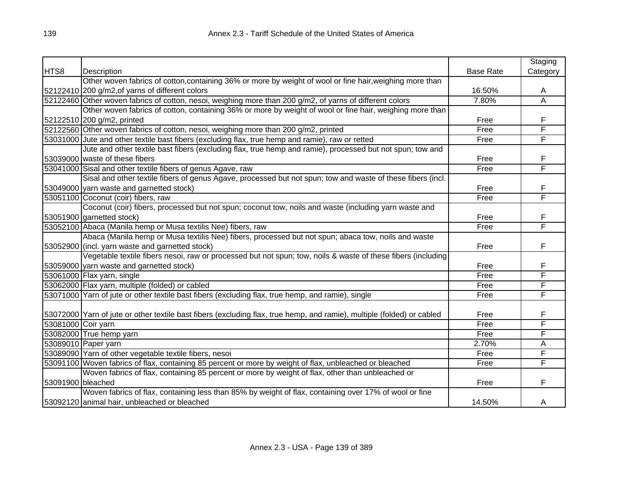|                    |                                                                                                                        |                  | Staging                 |
|--------------------|------------------------------------------------------------------------------------------------------------------------|------------------|-------------------------|
| HTS8               | Description                                                                                                            | <b>Base Rate</b> | Category                |
|                    | Other woven fabrics of cotton, containing 36% or more by weight of wool or fine hair, weighing more than               |                  |                         |
|                    | 52122410 200 g/m2, of yarns of different colors                                                                        | 16.50%           | A                       |
|                    | 52122460 Other woven fabrics of cotton, nesoi, weighing more than 200 g/m2, of yarns of different colors               | 7.80%            | $\overline{\mathsf{A}}$ |
|                    | Other woven fabrics of cotton, containing 36% or more by weight of wool or fine hair, weighing more than               |                  |                         |
|                    | 52122510 200 g/m2, printed                                                                                             | Free             | F                       |
|                    | 52122560 Other woven fabrics of cotton, nesoi, weighing more than 200 g/m2, printed                                    | Free             | F                       |
|                    | 53031000 Jute and other textile bast fibers (excluding flax, true hemp and ramie), raw or retted                       | Free             | F                       |
|                    | Jute and other textile bast fibers (excluding flax, true hemp and ramie), processed but not spun; tow and              |                  |                         |
|                    | 53039000 waste of these fibers                                                                                         | Free             | F                       |
|                    | 53041000 Sisal and other textile fibers of genus Agave, raw                                                            | Free             | F                       |
|                    | Sisal and other textile fibers of genus Agave, processed but not spun; tow and waste of these fibers (incl.            |                  |                         |
|                    | 53049000 yarn waste and garnetted stock)                                                                               | Free             | F                       |
|                    | 53051100 Coconut (coir) fibers, raw                                                                                    | Free             | F                       |
|                    | Coconut (coir) fibers, processed but not spun; coconut tow, noils and waste (including yarn waste and                  |                  |                         |
|                    | 53051900 garnetted stock)                                                                                              | Free             | F                       |
|                    | 53052100 Abaca (Manila hemp or Musa textilis Nee) fibers, raw                                                          | Free             | F                       |
|                    | Abaca (Manila hemp or Musa textilis Nee) fibers, processed but not spun; abaca tow, noils and waste                    |                  |                         |
|                    | 53052900 (incl. yarn waste and garnetted stock)                                                                        | Free             | F                       |
|                    | Vegetable textile fibers nesoi, raw or processed but not spun; tow, noils & waste of these fibers (including           |                  |                         |
|                    | 53059000 yarn waste and garnetted stock)                                                                               | Free             | F                       |
|                    | 53061000 Flax yarn, single                                                                                             | Free             | F                       |
|                    | 53062000 Flax yarn, multiple (folded) or cabled                                                                        | Free             | F                       |
|                    | 53071000 Yarn of jute or other textile bast fibers (excluding flax, true hemp, and ramie), single                      | Free             | F                       |
|                    |                                                                                                                        |                  |                         |
|                    | 53072000 Yarn of jute or other textile bast fibers (excluding flax, true hemp, and ramie), multiple (folded) or cabled | Free             | F                       |
| 53081000 Coir yarn |                                                                                                                        | Free             | F                       |
|                    | 53082000 True hemp yarn                                                                                                | Free             | F                       |
|                    | 53089010 Paper yarn                                                                                                    | 2.70%            | А                       |
|                    | 53089090 Yarn of other vegetable textile fibers, nesoi                                                                 | Free             | F                       |
|                    | 53091100 Woven fabrics of flax, containing 85 percent or more by weight of flax, unbleached or bleached                | Free             | F                       |
|                    | Woven fabrics of flax, containing 85 percent or more by weight of flax, other than unbleached or                       |                  |                         |
| 53091900 bleached  |                                                                                                                        | Free             | F                       |
|                    | Woven fabrics of flax, containing less than 85% by weight of flax, containing over 17% of wool or fine                 |                  |                         |
|                    | 53092120 animal hair, unbleached or bleached                                                                           | 14.50%           | A                       |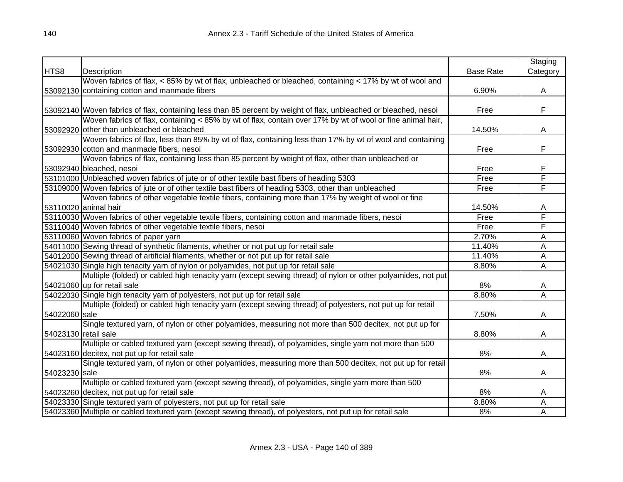|                      |                                                                                                                  |                  | Staging                 |
|----------------------|------------------------------------------------------------------------------------------------------------------|------------------|-------------------------|
| HTS8                 | Description                                                                                                      | <b>Base Rate</b> | Category                |
|                      | Woven fabrics of flax, < 85% by wt of flax, unbleached or bleached, containing < 17% by wt of wool and           |                  |                         |
|                      | 53092130 containing cotton and manmade fibers                                                                    | 6.90%            | A                       |
|                      |                                                                                                                  |                  |                         |
|                      | 53092140 Woven fabrics of flax, containing less than 85 percent by weight of flax, unbleached or bleached, nesoi | Free             | F                       |
|                      | Woven fabrics of flax, containing < 85% by wt of flax, contain over 17% by wt of wool or fine animal hair,       |                  |                         |
|                      | 53092920 other than unbleached or bleached                                                                       | 14.50%           | A                       |
|                      | Woven fabrics of flax, less than 85% by wt of flax, containing less than 17% by wt of wool and containing        |                  |                         |
|                      | 53092930 cotton and manmade fibers, nesoi                                                                        | Free             | F                       |
|                      | Woven fabrics of flax, containing less than 85 percent by weight of flax, other than unbleached or               |                  |                         |
|                      | 53092940 bleached, nesoi                                                                                         | Free             | F                       |
|                      | 53101000 Unbleached woven fabrics of jute or of other textile bast fibers of heading 5303                        | Free             | F                       |
|                      | 53109000 Woven fabrics of jute or of other textile bast fibers of heading 5303, other than unbleached            | Free             | F                       |
|                      | Woven fabrics of other vegetable textile fibers, containing more than 17% by weight of wool or fine              |                  |                         |
|                      | 53110020 animal hair                                                                                             | 14.50%           | A                       |
|                      | 53110030 Woven fabrics of other vegetable textile fibers, containing cotton and manmade fibers, nesoi            | Free             | F                       |
|                      | 53110040 Woven fabrics of other vegetable textile fibers, nesoi                                                  | Free             | F                       |
|                      | 53110060 Woven fabrics of paper yarn                                                                             | 2.70%            | Α                       |
|                      | 54011000 Sewing thread of synthetic filaments, whether or not put up for retail sale                             | 11.40%           | A                       |
|                      | 54012000 Sewing thread of artificial filaments, whether or not put up for retail sale                            | 11.40%           | A                       |
|                      | 54021030 Single high tenacity yarn of nylon or polyamides, not put up for retail sale                            | 8.80%            | Α                       |
|                      | Multiple (folded) or cabled high tenacity yarn (except sewing thread) of nylon or other polyamides, not put      |                  |                         |
|                      | 54021060 up for retail sale                                                                                      | 8%               | A                       |
|                      | 54022030 Single high tenacity yarn of polyesters, not put up for retail sale                                     | 8.80%            | $\overline{\mathsf{A}}$ |
|                      | Multiple (folded) or cabled high tenacity yarn (except sewing thread) of polyesters, not put up for retail       |                  |                         |
| 54022060 sale        |                                                                                                                  | 7.50%            | A                       |
|                      | Single textured yarn, of nylon or other polyamides, measuring not more than 500 decitex, not put up for          |                  |                         |
| 54023130 retail sale |                                                                                                                  | 8.80%            | A                       |
|                      | Multiple or cabled textured yarn (except sewing thread), of polyamides, single yarn not more than 500            |                  |                         |
|                      | 54023160 decitex, not put up for retail sale                                                                     | 8%               | A                       |
|                      | Single textured yarn, of nylon or other polyamides, measuring more than 500 decitex, not put up for retail       |                  |                         |
| 54023230 sale        |                                                                                                                  | 8%               | A                       |
|                      | Multiple or cabled textured yarn (except sewing thread), of polyamides, single yarn more than 500                |                  |                         |
|                      | 54023260 decitex, not put up for retail sale                                                                     | 8%               | A                       |
|                      | 54023330 Single textured yarn of polyesters, not put up for retail sale                                          | 8.80%            | Α                       |
|                      | 54023360 Multiple or cabled textured yarn (except sewing thread), of polyesters, not put up for retail sale      | 8%               | Α                       |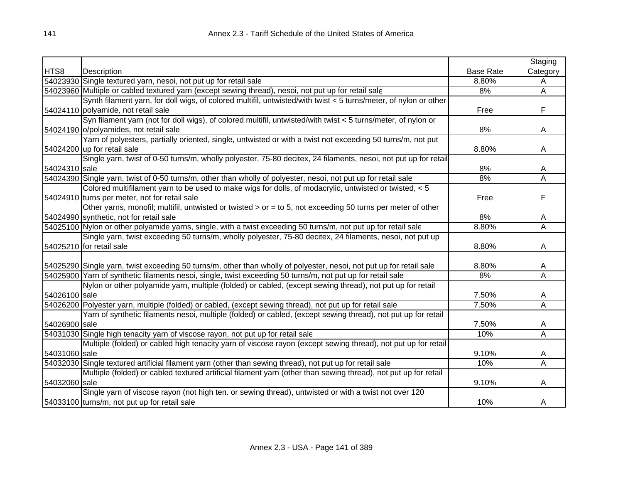|               |                                                                                                                     |                  | Staging  |
|---------------|---------------------------------------------------------------------------------------------------------------------|------------------|----------|
| HTS8          | Description                                                                                                         | <b>Base Rate</b> | Category |
|               | 54023930 Single textured yarn, nesoi, not put up for retail sale                                                    | 8.80%            | A        |
|               | 54023960 Multiple or cabled textured yarn (except sewing thread), nesoi, not put up for retail sale                 | 8%               | Ā        |
|               | Synth filament yarn, for doll wigs, of colored multifil, untwisted/with twist < 5 turns/meter, of nylon or other    |                  |          |
|               | 54024110 polyamide, not retail sale                                                                                 | Free             | F        |
|               | Syn filament yarn (not for doll wigs), of colored multifil, untwisted/with twist < 5 turns/meter, of nylon or       |                  |          |
|               | 54024190 o/polyamides, not retail sale                                                                              | 8%               | A        |
|               | Yarn of polyesters, partially oriented, single, untwisted or with a twist not exceeding 50 turns/m, not put         |                  |          |
|               | 54024200 up for retail sale                                                                                         | 8.80%            | A        |
|               | Single yarn, twist of 0-50 turns/m, wholly polyester, 75-80 decitex, 24 filaments, nesoi, not put up for retail     |                  |          |
| 54024310 sale |                                                                                                                     | 8%               | A        |
|               | 54024390 Single yarn, twist of 0-50 turns/m, other than wholly of polyester, nesoi, not put up for retail sale      | 8%               | A        |
|               | Colored multifilament yarn to be used to make wigs for dolls, of modacrylic, untwisted or twisted, < 5              |                  |          |
|               | 54024910 turns per meter, not for retail sale                                                                       | Free             | F        |
|               | Other yarns, monofil; multifil, untwisted or twisted > or = to 5, not exceeding 50 turns per meter of other         |                  |          |
|               | 54024990 synthetic, not for retail sale                                                                             | 8%               | A        |
|               | 54025100 Nylon or other polyamide yarns, single, with a twist exceeding 50 turns/m, not put up for retail sale      | 8.80%            | Ā        |
|               | Single yarn, twist exceeding 50 turns/m, wholly polyester, 75-80 decitex, 24 filaments, nesoi, not put up           |                  |          |
|               | 54025210 for retail sale                                                                                            | 8.80%            | Α        |
|               |                                                                                                                     |                  |          |
|               | 54025290 Single yarn, twist exceeding 50 turns/m, other than wholly of polyester, nesoi, not put up for retail sale | 8.80%            | A        |
|               | 54025900 Yarn of synthetic filaments nesoi, single, twist exceeding 50 turns/m, not put up for retail sale          | 8%               | A        |
|               | Nylon or other polyamide yarn, multiple (folded) or cabled, (except sewing thread), not put up for retail           |                  |          |
| 54026100 sale |                                                                                                                     | 7.50%            | A        |
|               | 54026200 Polyester yarn, multiple (folded) or cabled, (except sewing thread), not put up for retail sale            | 7.50%            | A        |
|               | Yarn of synthetic filaments nesoi, multiple (folded) or cabled, (except sewing thread), not put up for retail       |                  |          |
| 54026900 sale |                                                                                                                     | 7.50%            | A        |
|               | 54031030 Single high tenacity yarn of viscose rayon, not put up for retail sale                                     | 10%              | Α        |
|               | Multiple (folded) or cabled high tenacity yarn of viscose rayon (except sewing thread), not put up for retail       |                  |          |
| 54031060 sale |                                                                                                                     | 9.10%            | A        |
|               | 54032030 Single textured artificial filament yarn (other than sewing thread), not put up for retail sale            | 10%              | Α        |
|               | Multiple (folded) or cabled textured artificial filament yarn (other than sewing thread), not put up for retail     |                  |          |
| 54032060 sale |                                                                                                                     | 9.10%            | A        |
|               | Single yarn of viscose rayon (not high ten. or sewing thread), untwisted or with a twist not over 120               |                  |          |
|               | 54033100 turns/m, not put up for retail sale                                                                        | 10%              | Α        |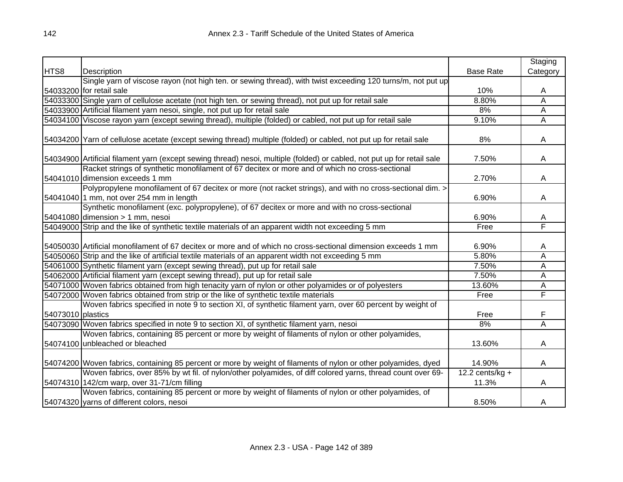|                   |                                                                                                                         |                   | Staging  |
|-------------------|-------------------------------------------------------------------------------------------------------------------------|-------------------|----------|
| HTS8              | Description                                                                                                             | <b>Base Rate</b>  | Category |
|                   | Single yarn of viscose rayon (not high ten. or sewing thread), with twist exceeding 120 turns/m, not put up             |                   |          |
|                   | 54033200 for retail sale                                                                                                | 10%               | A        |
|                   | 54033300 Single yarn of cellulose acetate (not high ten. or sewing thread), not put up for retail sale                  | 8.80%             | A        |
|                   | 54033900 Artificial filament yarn nesoi, single, not put up for retail sale                                             | 8%                | Α        |
|                   | 54034100 Viscose rayon yarn (except sewing thread), multiple (folded) or cabled, not put up for retail sale             | 9.10%             | A        |
|                   |                                                                                                                         |                   |          |
|                   | 54034200 Yarn of cellulose acetate (except sewing thread) multiple (folded) or cabled, not put up for retail sale       | 8%                | A        |
|                   | 54034900 Artificial filament yarn (except sewing thread) nesoi, multiple (folded) or cabled, not put up for retail sale | 7.50%             | A        |
|                   | Racket strings of synthetic monofilament of 67 decitex or more and of which no cross-sectional                          |                   |          |
|                   | 54041010 dimension exceeds 1 mm                                                                                         | 2.70%             | A        |
|                   | Polypropylene monofilament of 67 decitex or more (not racket strings), and with no cross-sectional dim. >               |                   |          |
|                   | 54041040 1 mm, not over 254 mm in length                                                                                | 6.90%             | Α        |
|                   | Synthetic monofilament (exc. polypropylene), of 67 decitex or more and with no cross-sectional                          |                   |          |
|                   | 54041080 dimension $> 1$ mm, nesoi                                                                                      | 6.90%             | Α        |
|                   | 54049000 Strip and the like of synthetic textile materials of an apparent width not exceeding 5 mm                      | Free              | F        |
|                   |                                                                                                                         |                   |          |
|                   | 54050030 Artificial monofilament of 67 decitex or more and of which no cross-sectional dimension exceeds 1 mm           | 6.90%             | A        |
|                   | 54050060 Strip and the like of artificial textile materials of an apparent width not exceeding 5 mm                     | 5.80%             | Α        |
|                   | 54061000 Synthetic filament yarn (except sewing thread), put up for retail sale                                         | 7.50%             | Α        |
|                   | 54062000 Artificial filament yarn (except sewing thread), put up for retail sale                                        | 7.50%             | A        |
|                   | 54071000 Woven fabrics obtained from high tenacity yarn of nylon or other polyamides or of polyesters                   | 13.60%            | Α        |
|                   | 54072000 Woven fabrics obtained from strip or the like of synthetic textile materials                                   | Free              | F        |
|                   | Woven fabrics specified in note 9 to section XI, of synthetic filament yarn, over 60 percent by weight of               |                   |          |
| 54073010 plastics |                                                                                                                         | Free              | F        |
|                   | 54073090 Woven fabrics specified in note 9 to section XI, of synthetic filament yarn, nesoi                             | 8%                | Ā        |
|                   | Woven fabrics, containing 85 percent or more by weight of filaments of nylon or other polyamides,                       |                   |          |
|                   | 54074100 unbleached or bleached                                                                                         | 13.60%            | A        |
|                   |                                                                                                                         |                   |          |
|                   | 54074200 Woven fabrics, containing 85 percent or more by weight of filaments of nylon or other polyamides, dyed         | 14.90%            | A        |
|                   | Woven fabrics, over 85% by wt fil. of nylon/other polyamides, of diff colored yarns, thread count over 69-              | 12.2 cents/kg $+$ |          |
|                   | 54074310 142/cm warp, over 31-71/cm filling                                                                             | 11.3%             | A        |
|                   | Woven fabrics, containing 85 percent or more by weight of filaments of nylon or other polyamides, of                    |                   |          |
|                   | 54074320 yarns of different colors, nesoi                                                                               | 8.50%             | A        |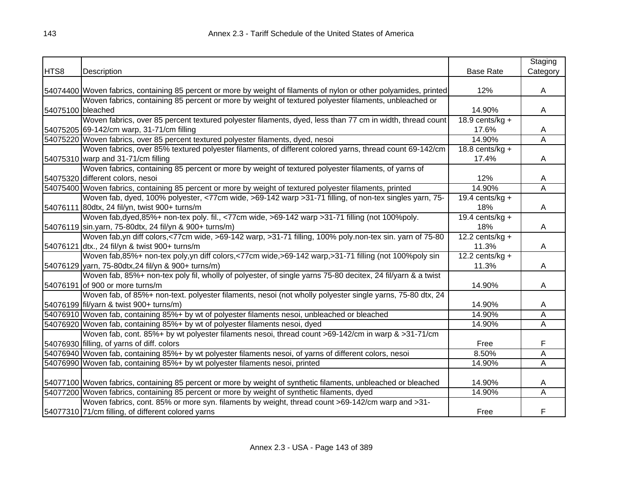|                   |                                                                                                                      |                   | Staging                 |
|-------------------|----------------------------------------------------------------------------------------------------------------------|-------------------|-------------------------|
| HTS8              | Description                                                                                                          | <b>Base Rate</b>  | Category                |
|                   |                                                                                                                      |                   |                         |
|                   | [54074400] Woven fabrics, containing 85 percent or more by weight of filaments of nylon or other polyamides, printed | 12%               | A                       |
|                   | Woven fabrics, containing 85 percent or more by weight of textured polyester filaments, unbleached or                |                   |                         |
| 54075100 bleached |                                                                                                                      | 14.90%            | A                       |
|                   | Woven fabrics, over 85 percent textured polyester filaments, dyed, less than 77 cm in width, thread count            | 18.9 cents/kg $+$ |                         |
|                   | 54075205 69-142/cm warp, 31-71/cm filling                                                                            | 17.6%             | A                       |
|                   | 54075220 Woven fabrics, over 85 percent textured polyester filaments, dyed, nesoi                                    | 14.90%            | $\overline{\mathsf{A}}$ |
|                   | Woven fabrics, over 85% textured polyester filaments, of different colored yarns, thread count 69-142/cm             | 18.8 cents/kg $+$ |                         |
|                   | 54075310 warp and 31-71/cm filling                                                                                   | 17.4%             | A                       |
|                   | Woven fabrics, containing 85 percent or more by weight of textured polyester filaments, of yarns of                  |                   |                         |
|                   | 54075320 different colors, nesoi                                                                                     | 12%               | A                       |
|                   | 54075400 Woven fabrics, containing 85 percent or more by weight of textured polyester filaments, printed             | 14.90%            | $\overline{\mathsf{A}}$ |
|                   | Woven fab, dyed, 100% polyester, <77cm wide, >69-142 warp >31-71 filling, of non-tex singles yarn, 75-               | 19.4 cents/kg $+$ |                         |
|                   | 54076111 80dtx, 24 fil/yn, twist 900+ turns/m                                                                        | 18%               | A                       |
|                   | Woven fab, dyed, 85%+ non-tex poly. fil., <77cm wide, >69-142 warp > 31-71 filling (not 100%poly.                    | 19.4 cents/kg $+$ |                         |
|                   | 54076119 sin.yarn, 75-80dtx, 24 fil/yn & 900+ turns/m)                                                               | 18%               | A                       |
|                   | Woven fab, yn diff colors, <77cm wide, >69-142 warp, >31-71 filling, 100% poly.non-tex sin. yarn of 75-80            | 12.2 cents/kg $+$ |                         |
|                   | 54076121 dtx., 24 fil/yn & twist 900+ turns/m                                                                        | 11.3%             | A                       |
|                   | Woven fab, 85%+ non-tex poly, yn diff colors, <77cm wide, >69-142 warp, >31-71 filling (not 100%poly sin             | 12.2 cents/kg $+$ |                         |
|                   | 54076129 yarn, 75-80dtx, 24 fil/yn & 900+ turns/m)                                                                   | 11.3%             | A                       |
|                   | Woven fab, 85%+ non-tex poly fil, wholly of polyester, of single yarns 75-80 decitex, 24 fil/yarn & a twist          |                   |                         |
|                   | 54076191 of 900 or more turns/m                                                                                      | 14.90%            | A                       |
|                   | Woven fab, of 85%+ non-text. polyester filaments, nesoi (not wholly polyester single yarns, 75-80 dtx, 24            |                   |                         |
|                   | 54076199 fil/yarn & twist 900+ turns/m)                                                                              | 14.90%            | A                       |
|                   | 54076910 Woven fab, containing 85%+ by wt of polyester filaments nesoi, unbleached or bleached                       | 14.90%            | A                       |
|                   | 54076920 Woven fab, containing 85%+ by wt of polyester filaments nesoi, dyed                                         | 14.90%            | Α                       |
|                   | Woven fab, cont. 85%+ by wt polyester filaments nesoi, thread count >69-142/cm in warp & >31-71/cm                   |                   |                         |
|                   | 54076930 filling, of yarns of diff. colors                                                                           | Free              | F                       |
|                   | 54076940 Woven fab, containing 85%+ by wt polyester filaments nesoi, of yarns of different colors, nesoi             | 8.50%             | А                       |
|                   | 54076990 Woven fab, containing 85%+ by wt polyester filaments nesoi, printed                                         | 14.90%            | A                       |
|                   |                                                                                                                      |                   |                         |
|                   | 54077100 Woven fabrics, containing 85 percent or more by weight of synthetic filaments, unbleached or bleached       | 14.90%            | A                       |
|                   | 54077200 Woven fabrics, containing 85 percent or more by weight of synthetic filaments, dyed                         | 14.90%            | Α                       |
|                   | Woven fabrics, cont. 85% or more syn. filaments by weight, thread count >69-142/cm warp and >31-                     |                   |                         |
|                   | 54077310 71/cm filling, of different colored yarns                                                                   | Free              | F                       |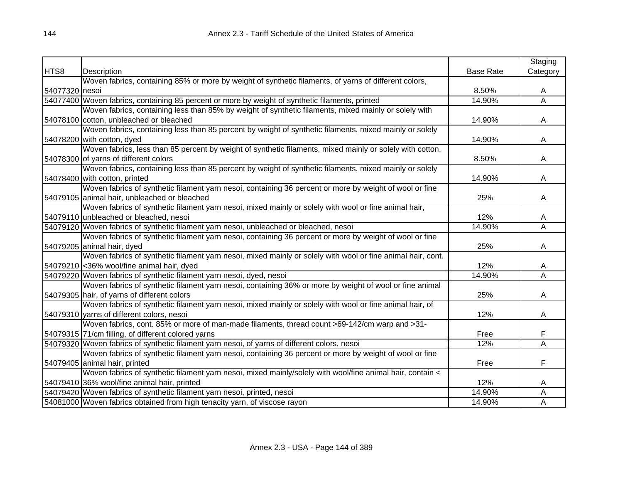|                |                                                                                                             |                  | Staging        |
|----------------|-------------------------------------------------------------------------------------------------------------|------------------|----------------|
| HTS8           | Description                                                                                                 | <b>Base Rate</b> | Category       |
|                | Woven fabrics, containing 85% or more by weight of synthetic filaments, of yarns of different colors,       |                  |                |
| 54077320 nesoi |                                                                                                             | 8.50%            | A              |
|                | 54077400 Woven fabrics, containing 85 percent or more by weight of synthetic filaments, printed             | 14.90%           | Ā              |
|                | Woven fabrics, containing less than 85% by weight of synthetic filaments, mixed mainly or solely with       |                  |                |
|                | 54078100 cotton, unbleached or bleached                                                                     | 14.90%           | A              |
|                | Woven fabrics, containing less than 85 percent by weight of synthetic filaments, mixed mainly or solely     |                  |                |
|                | 54078200 with cotton, dyed                                                                                  | 14.90%           | A              |
|                | Woven fabrics, less than 85 percent by weight of synthetic filaments, mixed mainly or solely with cotton,   |                  |                |
|                | 54078300 of yarns of different colors                                                                       | 8.50%            | A              |
|                | Woven fabrics, containing less than 85 percent by weight of synthetic filaments, mixed mainly or solely     |                  |                |
|                | 54078400 with cotton, printed                                                                               | 14.90%           | A              |
|                | Woven fabrics of synthetic filament yarn nesoi, containing 36 percent or more by weight of wool or fine     |                  |                |
|                | 54079105 animal hair, unbleached or bleached                                                                | 25%              | Α              |
|                | Woven fabrics of synthetic filament yarn nesoi, mixed mainly or solely with wool or fine animal hair,       |                  |                |
|                | 54079110 unbleached or bleached, nesoi                                                                      | 12%              | A              |
|                | 54079120 Woven fabrics of synthetic filament yarn nesoi, unbleached or bleached, nesoi                      | 14.90%           | Α              |
|                | Woven fabrics of synthetic filament yarn nesoi, containing 36 percent or more by weight of wool or fine     |                  |                |
|                | 54079205 animal hair, dyed                                                                                  | 25%              | A              |
|                | Woven fabrics of synthetic filament yarn nesoi, mixed mainly or solely with wool or fine animal hair, cont. |                  |                |
|                | 54079210 < 36% wool/fine animal hair, dyed                                                                  | 12%              | A              |
|                | 54079220 Woven fabrics of synthetic filament yarn nesoi, dyed, nesoi                                        | 14.90%           | $\overline{A}$ |
|                | Woven fabrics of synthetic filament yarn nesoi, containing 36% or more by weight of wool or fine animal     |                  |                |
|                | 54079305 hair, of yarns of different colors                                                                 | 25%              | A              |
|                | Woven fabrics of synthetic filament yarn nesoi, mixed mainly or solely with wool or fine animal hair, of    |                  |                |
|                | 54079310 yarns of different colors, nesoi                                                                   | 12%              | A              |
|                | Woven fabrics, cont. 85% or more of man-made filaments, thread count >69-142/cm warp and >31-               |                  |                |
|                | 54079315 71/cm filling, of different colored yarns                                                          | Free             | F              |
|                | 54079320 Woven fabrics of synthetic filament yarn nesoi, of yarns of different colors, nesoi                | 12%              | Ā              |
|                | Woven fabrics of synthetic filament yarn nesoi, containing 36 percent or more by weight of wool or fine     |                  |                |
|                | 54079405 animal hair, printed                                                                               | Free             | F              |
|                | Woven fabrics of synthetic filament yarn nesoi, mixed mainly/solely with wool/fine animal hair, contain <   |                  |                |
|                | 54079410 36% wool/fine animal hair, printed                                                                 | 12%              | A              |
|                | 54079420 Woven fabrics of synthetic filament yarn nesoi, printed, nesoi                                     | 14.90%           | Α              |
|                | 54081000 Woven fabrics obtained from high tenacity yarn, of viscose rayon                                   | 14.90%           | Α              |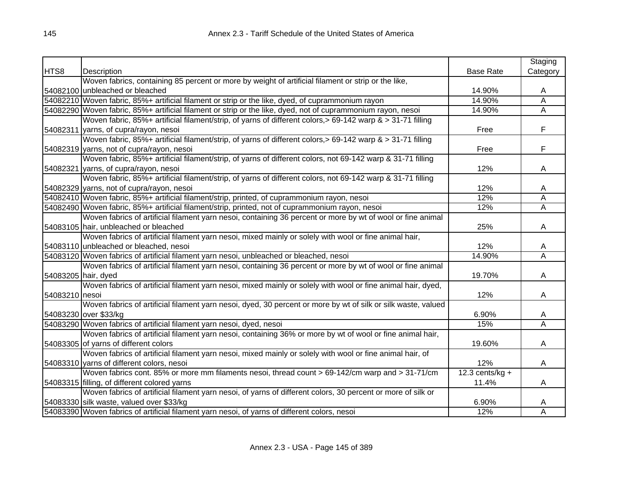|                     |                                                                                                               |                  | Staging                 |
|---------------------|---------------------------------------------------------------------------------------------------------------|------------------|-------------------------|
| HTS8                | Description                                                                                                   | <b>Base Rate</b> | Category                |
|                     | Woven fabrics, containing 85 percent or more by weight of artificial filament or strip or the like,           |                  |                         |
|                     | 54082100 unbleached or bleached                                                                               | 14.90%           | A                       |
|                     | 54082210 Woven fabric, 85%+ artificial filament or strip or the like, dyed, of cuprammonium rayon             | 14.90%           | Ā                       |
|                     | 54082290 Woven fabric, 85%+ artificial filament or strip or the like, dyed, not of cuprammonium rayon, nesoi  | 14.90%           | Ā                       |
|                     | Woven fabric, 85%+ artificial filament/strip, of yarns of different colors,> 69-142 warp & > 31-71 filling    |                  |                         |
|                     | 54082311 yarns, of cupra/rayon, nesoi                                                                         | Free             | F                       |
|                     | Woven fabric, 85%+ artificial filament/strip, of yarns of different colors,> 69-142 warp & > 31-71 filling    |                  |                         |
|                     | 54082319 yarns, not of cupra/rayon, nesoi                                                                     | Free             | F                       |
|                     | Woven fabric, 85%+ artificial filament/strip, of yarns of different colors, not 69-142 warp & 31-71 filling   |                  |                         |
|                     | 54082321 yarns, of cupra/rayon, nesoi                                                                         | 12%              | A                       |
|                     | Woven fabric, 85%+ artificial filament/strip, of yarns of different colors, not 69-142 warp & 31-71 filling   |                  |                         |
|                     | 54082329 yarns, not of cupra/rayon, nesoi                                                                     | 12%              | A                       |
|                     | 54082410 Woven fabric, 85%+ artificial filament/strip, printed, of cuprammonium rayon, nesoi                  | 12%              | Α                       |
|                     | 54082490 Woven fabric, 85%+ artificial filament/strip, printed, not of cuprammonium rayon, nesoi              | 12%              | Α                       |
|                     | Woven fabrics of artificial filament yarn nesoi, containing 36 percent or more by wt of wool or fine animal   |                  |                         |
|                     | 54083105 hair, unbleached or bleached                                                                         | 25%              | A                       |
|                     | Woven fabrics of artificial filament yarn nesoi, mixed mainly or solely with wool or fine animal hair,        |                  |                         |
|                     | 54083110 unbleached or bleached, nesoi                                                                        | 12%              | A                       |
|                     | 54083120 Woven fabrics of artificial filament yarn nesoi, unbleached or bleached, nesoi                       | 14.90%           | $\overline{\mathsf{A}}$ |
|                     | Woven fabrics of artificial filament yarn nesoi, containing 36 percent or more by wt of wool or fine animal   |                  |                         |
| 54083205 hair, dyed |                                                                                                               | 19.70%           | A                       |
|                     | Woven fabrics of artificial filament yarn nesoi, mixed mainly or solely with wool or fine animal hair, dyed,  |                  |                         |
| 54083210 nesoi      |                                                                                                               | 12%              | A                       |
|                     | Woven fabrics of artificial filament yarn nesoi, dyed, 30 percent or more by wt of silk or silk waste, valued |                  |                         |
|                     | 54083230 over \$33/kg                                                                                         | 6.90%            | A                       |
|                     | 54083290 Woven fabrics of artificial filament yarn nesoi, dyed, nesoi                                         | 15%              | $\overline{\mathsf{A}}$ |
|                     | Woven fabrics of artificial filament yarn nesoi, containing 36% or more by wt of wool or fine animal hair,    |                  |                         |
|                     | 54083305 of yarns of different colors                                                                         | 19.60%           | A                       |
|                     | Woven fabrics of artificial filament yarn nesoi, mixed mainly or solely with wool or fine animal hair, of     |                  |                         |
|                     | 54083310 yarns of different colors, nesoi                                                                     | 12%              | A                       |
|                     | Woven fabrics cont. 85% or more mm filaments nesoi, thread count > 69-142/cm warp and > 31-71/cm              | 12.3 cents/kg +  |                         |
|                     | 54083315 filling, of different colored yarns                                                                  | 11.4%            | A                       |
|                     | Woven fabrics of artificial filament yarn nesoi, of yarns of different colors, 30 percent or more of silk or  |                  |                         |
|                     | 54083330 silk waste, valued over \$33/kg                                                                      | 6.90%            | A                       |
|                     | 54083390 Woven fabrics of artificial filament yarn nesoi, of yarns of different colors, nesoi                 | 12%              | Α                       |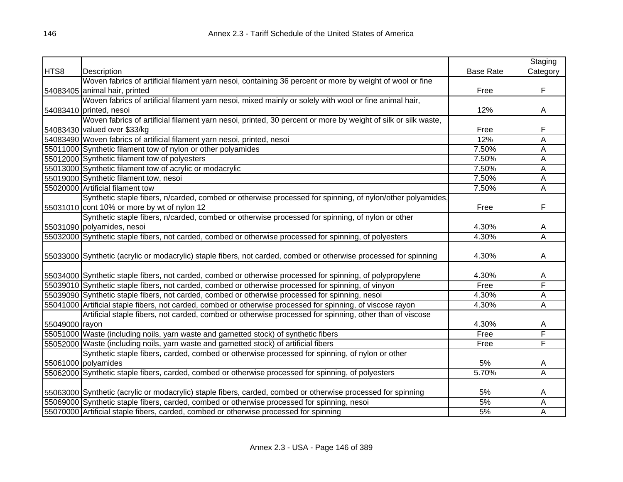|                |                                                                                                                  |                  | Staging  |
|----------------|------------------------------------------------------------------------------------------------------------------|------------------|----------|
| HTS8           | Description                                                                                                      | <b>Base Rate</b> | Category |
|                | Woven fabrics of artificial filament yarn nesoi, containing 36 percent or more by weight of wool or fine         |                  |          |
|                | 54083405 animal hair, printed                                                                                    | Free             | F        |
|                | Woven fabrics of artificial filament yarn nesoi, mixed mainly or solely with wool or fine animal hair,           |                  |          |
|                | 54083410 printed, nesoi                                                                                          | 12%              | A        |
|                | Woven fabrics of artificial filament yarn nesoi, printed, 30 percent or more by weight of silk or silk waste,    |                  |          |
|                | 54083430 valued over \$33/kg                                                                                     | Free             | F        |
|                | 54083490 Woven fabrics of artificial filament yarn nesoi, printed, nesoi                                         | 12%              | Α        |
|                | 55011000 Synthetic filament tow of nylon or other polyamides                                                     | 7.50%            | A        |
|                | 55012000 Synthetic filament tow of polyesters                                                                    | 7.50%            | A        |
|                | 55013000 Synthetic filament tow of acrylic or modacrylic                                                         | 7.50%            | Ā        |
|                | 55019000 Synthetic filament tow, nesoi                                                                           | 7.50%            | A        |
|                | 55020000 Artificial filament tow                                                                                 | 7.50%            | A        |
|                | Synthetic staple fibers, n/carded, combed or otherwise processed for spinning, of nylon/other polyamides,        |                  |          |
|                | 55031010 cont 10% or more by wt of nylon 12                                                                      | Free             | F        |
|                | Synthetic staple fibers, n/carded, combed or otherwise processed for spinning, of nylon or other                 |                  |          |
|                | 55031090 polyamides, nesoi                                                                                       | 4.30%            | Α        |
|                | 55032000 Synthetic staple fibers, not carded, combed or otherwise processed for spinning, of polyesters          | 4.30%            | Ā        |
|                |                                                                                                                  |                  |          |
|                | 55033000 Synthetic (acrylic or modacrylic) staple fibers, not carded, combed or otherwise processed for spinning | 4.30%            | A        |
|                |                                                                                                                  |                  |          |
|                | 55034000 Synthetic staple fibers, not carded, combed or otherwise processed for spinning, of polypropylene       | 4.30%            | A        |
|                | 55039010 Synthetic staple fibers, not carded, combed or otherwise processed for spinning, of vinyon              | Free             | F        |
|                | 55039090 Synthetic staple fibers, not carded, combed or otherwise processed for spinning, nesoi                  | 4.30%            | Ā        |
|                | 55041000 Artificial staple fibers, not carded, combed or otherwise processed for spinning, of viscose rayon      | 4.30%            | Ā        |
|                | Artificial staple fibers, not carded, combed or otherwise processed for spinning, other than of viscose          |                  |          |
| 55049000 rayon |                                                                                                                  | 4.30%            | A        |
|                | 55051000 Waste (including noils, yarn waste and garnetted stock) of synthetic fibers                             | Free             | F        |
|                | 55052000 Waste (including noils, yarn waste and garnetted stock) of artificial fibers                            | Free             | F        |
|                | Synthetic staple fibers, carded, combed or otherwise processed for spinning, of nylon or other                   |                  |          |
|                | 55061000 polyamides                                                                                              | 5%               | A        |
|                | 55062000 Synthetic staple fibers, carded, combed or otherwise processed for spinning, of polyesters              | 5.70%            | A        |
|                |                                                                                                                  |                  |          |
|                | 55063000 Synthetic (acrylic or modacrylic) staple fibers, carded, combed or otherwise processed for spinning     | 5%               | A        |
|                | 55069000 Synthetic staple fibers, carded, combed or otherwise processed for spinning, nesoi                      | 5%               | А        |
|                | 55070000 Artificial staple fibers, carded, combed or otherwise processed for spinning                            | 5%               | Α        |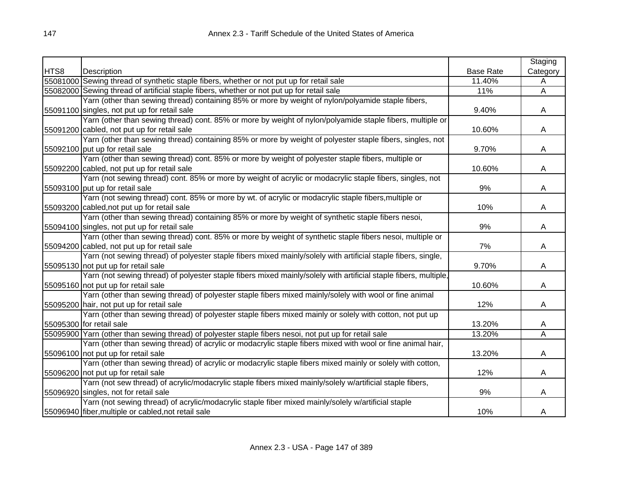|      |                                                                                                                  |                  | Staging        |
|------|------------------------------------------------------------------------------------------------------------------|------------------|----------------|
| HTS8 | Description                                                                                                      | <b>Base Rate</b> | Category       |
|      | 55081000 Sewing thread of synthetic staple fibers, whether or not put up for retail sale                         | 11.40%           | A              |
|      | 55082000 Sewing thread of artificial staple fibers, whether or not put up for retail sale                        | 11%              | $\overline{A}$ |
|      | Yarn (other than sewing thread) containing 85% or more by weight of nylon/polyamide staple fibers,               |                  |                |
|      | 55091100 singles, not put up for retail sale                                                                     | 9.40%            | A              |
|      | Yarn (other than sewing thread) cont. 85% or more by weight of nylon/polyamide staple fibers, multiple or        |                  |                |
|      | 55091200 cabled, not put up for retail sale                                                                      | 10.60%           | A              |
|      | Yarn (other than sewing thread) containing 85% or more by weight of polyester staple fibers, singles, not        |                  |                |
|      | 55092100 put up for retail sale                                                                                  | 9.70%            | A              |
|      | Yarn (other than sewing thread) cont. 85% or more by weight of polyester staple fibers, multiple or              |                  |                |
|      | 55092200 cabled, not put up for retail sale                                                                      | 10.60%           | A              |
|      | Yarn (not sewing thread) cont. 85% or more by weight of acrylic or modacrylic staple fibers, singles, not        |                  |                |
|      | 55093100 put up for retail sale                                                                                  | 9%               | A              |
|      | Yarn (not sewing thread) cont. 85% or more by wt. of acrylic or modacrylic staple fibers, multiple or            |                  |                |
|      | 55093200 cabled, not put up for retail sale                                                                      | 10%              | A              |
|      | Yarn (other than sewing thread) containing 85% or more by weight of synthetic staple fibers nesoi,               |                  |                |
|      | 55094100 singles, not put up for retail sale                                                                     | 9%               | A              |
|      | Yarn (other than sewing thread) cont. 85% or more by weight of synthetic staple fibers nesoi, multiple or        |                  |                |
|      | 55094200 cabled, not put up for retail sale                                                                      | 7%               | A              |
|      | Yarn (not sewing thread) of polyester staple fibers mixed mainly/solely with artificial staple fibers, single,   |                  |                |
|      | 55095130 not put up for retail sale                                                                              | 9.70%            | A              |
|      | Yarn (not sewing thread) of polyester staple fibers mixed mainly/solely with artificial staple fibers, multiple, |                  |                |
|      | 55095160 not put up for retail sale                                                                              | 10.60%           | A              |
|      | Yarn (other than sewing thread) of polyester staple fibers mixed mainly/solely with wool or fine animal          |                  |                |
|      | 55095200 hair, not put up for retail sale                                                                        | 12%              | A              |
|      | Yarn (other than sewing thread) of polyester staple fibers mixed mainly or solely with cotton, not put up        |                  |                |
|      | 55095300 for retail sale                                                                                         | 13.20%           | A              |
|      | 55095900 Yarn (other than sewing thread) of polyester staple fibers nesoi, not put up for retail sale            | 13.20%           | Ā              |
|      | Yarn (other than sewing thread) of acrylic or modacrylic staple fibers mixed with wool or fine animal hair,      |                  |                |
|      | 55096100 not put up for retail sale                                                                              | 13.20%           | A              |
|      | Yarn (other than sewing thread) of acrylic or modacrylic staple fibers mixed mainly or solely with cotton,       |                  |                |
|      | 55096200 not put up for retail sale                                                                              | 12%              | A              |
|      | Yarn (not sew thread) of acrylic/modacrylic staple fibers mixed mainly/solely w/artificial staple fibers,        |                  |                |
|      | 55096920 singles, not for retail sale                                                                            | 9%               | A              |
|      | Yarn (not sewing thread) of acrylic/modacrylic staple fiber mixed mainly/solely w/artificial staple              |                  |                |
|      | 55096940 fiber, multiple or cabled, not retail sale                                                              | 10%              | A              |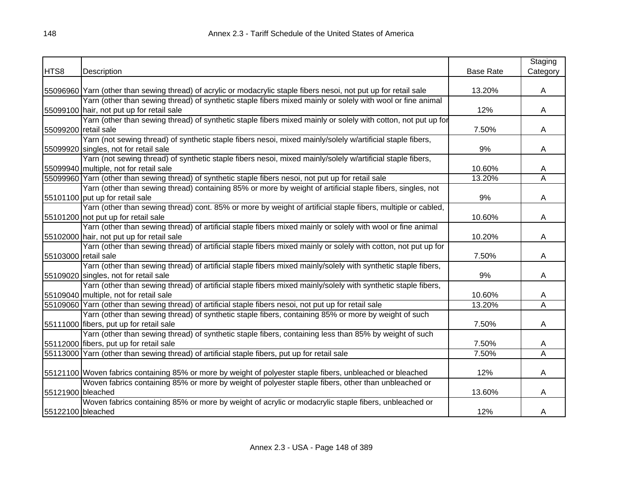|                      |                                                                                                                   |                  | Staging  |
|----------------------|-------------------------------------------------------------------------------------------------------------------|------------------|----------|
| HTS8                 | Description                                                                                                       | <b>Base Rate</b> | Category |
|                      |                                                                                                                   |                  |          |
|                      | 55096960 Yarn (other than sewing thread) of acrylic or modacrylic staple fibers nesoi, not put up for retail sale | 13.20%           | A        |
|                      | Yarn (other than sewing thread) of synthetic staple fibers mixed mainly or solely with wool or fine animal        |                  |          |
|                      | 55099100 hair, not put up for retail sale                                                                         | 12%              | A        |
|                      | Yarn (other than sewing thread) of synthetic staple fibers mixed mainly or solely with cotton, not put up for     |                  |          |
| 55099200 retail sale |                                                                                                                   | 7.50%            | A        |
|                      | Yarn (not sewing thread) of synthetic staple fibers nesoi, mixed mainly/solely w/artificial staple fibers,        |                  |          |
|                      | 55099920 singles, not for retail sale                                                                             | 9%               | A        |
|                      | Yarn (not sewing thread) of synthetic staple fibers nesoi, mixed mainly/solely w/artificial staple fibers,        |                  |          |
|                      | 55099940 multiple, not for retail sale                                                                            | 10.60%           | A        |
|                      | 55099960 Yarn (other than sewing thread) of synthetic staple fibers nesoi, not put up for retail sale             | 13.20%           | Α        |
|                      | Yarn (other than sewing thread) containing 85% or more by weight of artificial staple fibers, singles, not        |                  |          |
|                      | 55101100 put up for retail sale                                                                                   | 9%               | A        |
|                      | Yarn (other than sewing thread) cont. 85% or more by weight of artificial staple fibers, multiple or cabled,      |                  |          |
|                      | 55101200 not put up for retail sale                                                                               | 10.60%           | A        |
|                      | Yarn (other than sewing thread) of artificial staple fibers mixed mainly or solely with wool or fine animal       |                  |          |
|                      | 55102000 hair, not put up for retail sale                                                                         | 10.20%           | A        |
|                      | Yarn (other than sewing thread) of artificial staple fibers mixed mainly or solely with cotton, not put up for    |                  |          |
| 55103000 retail sale |                                                                                                                   | 7.50%            | A        |
|                      | Yarn (other than sewing thread) of artificial staple fibers mixed mainly/solely with synthetic staple fibers,     |                  |          |
|                      | 55109020 singles, not for retail sale                                                                             | 9%               | A        |
|                      | Yarn (other than sewing thread) of artificial staple fibers mixed mainly/solely with synthetic staple fibers,     |                  |          |
|                      | 55109040 multiple, not for retail sale                                                                            | 10.60%           | A        |
|                      | 55109060 Yarn (other than sewing thread) of artificial staple fibers nesoi, not put up for retail sale            | 13.20%           | Ā        |
|                      | Yarn (other than sewing thread) of synthetic staple fibers, containing 85% or more by weight of such              |                  |          |
|                      | 55111000 fibers, put up for retail sale                                                                           | 7.50%            | A        |
|                      | Yarn (other than sewing thread) of synthetic staple fibers, containing less than 85% by weight of such            |                  |          |
|                      | 55112000 fibers, put up for retail sale                                                                           | 7.50%            | A        |
|                      | 55113000 Yarn (other than sewing thread) of artificial staple fibers, put up for retail sale                      | 7.50%            | Ā        |
|                      |                                                                                                                   |                  |          |
|                      | 55121100 Woven fabrics containing 85% or more by weight of polyester staple fibers, unbleached or bleached        | 12%              | A        |
|                      | Woven fabrics containing 85% or more by weight of polyester staple fibers, other than unbleached or               |                  |          |
| 55121900 bleached    |                                                                                                                   | 13.60%           | A        |
|                      | Woven fabrics containing 85% or more by weight of acrylic or modacrylic staple fibers, unbleached or              |                  |          |
| 55122100 bleached    |                                                                                                                   | 12%              | A        |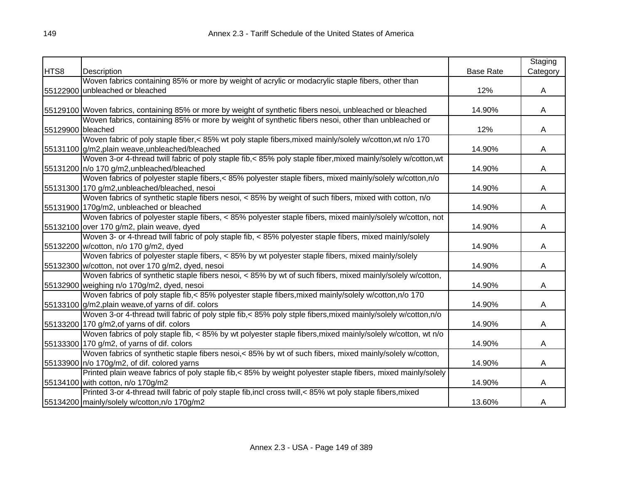|                   |                                                                                                               |                  | Staging  |
|-------------------|---------------------------------------------------------------------------------------------------------------|------------------|----------|
| HTS8              | Description                                                                                                   | <b>Base Rate</b> | Category |
|                   | Woven fabrics containing 85% or more by weight of acrylic or modacrylic staple fibers, other than             |                  |          |
|                   | 55122900 unbleached or bleached                                                                               | 12%              | A        |
|                   |                                                                                                               |                  |          |
|                   | 55129100 Woven fabrics, containing 85% or more by weight of synthetic fibers nesoi, unbleached or bleached    | 14.90%           | A        |
|                   | Woven fabrics, containing 85% or more by weight of synthetic fibers nesoi, other than unbleached or           |                  |          |
| 55129900 bleached |                                                                                                               | 12%              | A        |
|                   | Woven fabric of poly staple fiber,< 85% wt poly staple fibers, mixed mainly/solely w/cotton, wt n/o 170       |                  |          |
|                   | 55131100 g/m2, plain weave, unbleached/bleached                                                               | 14.90%           | A        |
|                   | Woven 3-or 4-thread twill fabric of poly staple fib,< 85% poly staple fiber, mixed mainly/solely w/cotton, wt |                  |          |
|                   | 55131200 n/o 170 g/m2, unbleached/bleached                                                                    | 14.90%           | A        |
|                   | Woven fabrics of polyester staple fibers,< 85% polyester staple fibers, mixed mainly/solely w/cotton,n/o      |                  |          |
|                   | 55131300 170 g/m2, unbleached/bleached, nesoi                                                                 | 14.90%           | A        |
|                   | Woven fabrics of synthetic staple fibers nesoi, < 85% by weight of such fibers, mixed with cotton, n/o        |                  |          |
|                   | 55131900 170g/m2, unbleached or bleached                                                                      | 14.90%           | A        |
|                   | Woven fabrics of polyester staple fibers, < 85% polyester staple fibers, mixed mainly/solely w/cotton, not    |                  |          |
|                   | 55132100 over 170 g/m2, plain weave, dyed                                                                     | 14.90%           | A        |
|                   | Woven 3- or 4-thread twill fabric of poly staple fib, < 85% polyester staple fibers, mixed mainly/solely      |                  |          |
|                   | 55132200 w/cotton, n/o 170 g/m2, dyed                                                                         | 14.90%           | A        |
|                   | Woven fabrics of polyester staple fibers, < 85% by wt polyester staple fibers, mixed mainly/solely            |                  |          |
|                   | 55132300 w/cotton, not over 170 g/m2, dyed, nesoi                                                             | 14.90%           | A        |
|                   | Woven fabrics of synthetic staple fibers nesoi, < 85% by wt of such fibers, mixed mainly/solely w/cotton,     |                  |          |
|                   | 55132900 weighing n/o 170g/m2, dyed, nesoi                                                                    | 14.90%           | A        |
|                   | Woven fabrics of poly staple fib,< 85% polyester staple fibers, mixed mainly/solely w/cotton, n/o 170         |                  |          |
|                   | 55133100 g/m2, plain weave, of yarns of dif. colors                                                           | 14.90%           | A        |
|                   | Woven 3-or 4-thread twill fabric of poly stple fib,< 85% poly stple fibers, mixed mainly/solely w/cotton, n/o |                  |          |
|                   | 55133200 170 g/m2, of yarns of dif. colors                                                                    | 14.90%           | A        |
|                   | Woven fabrics of poly staple fib, < 85% by wt polyester staple fibers, mixed mainly/solely w/cotton, wt n/o   |                  |          |
|                   | 55133300 170 g/m2, of yarns of dif. colors                                                                    | 14.90%           | A        |
|                   | Woven fabrics of synthetic staple fibers nesoi, < 85% by wt of such fibers, mixed mainly/solely w/cotton,     |                  |          |
|                   | 55133900   n/o 170g/m2, of dif. colored yarns                                                                 | 14.90%           | A        |
|                   | Printed plain weave fabrics of poly staple fib,< 85% by weight polyester staple fibers, mixed mainly/solely   |                  |          |
|                   | 55134100 with cotton, n/o 170g/m2                                                                             | 14.90%           | A        |
|                   | Printed 3-or 4-thread twill fabric of poly staple fib, incl cross twill, < 85% wt poly staple fibers, mixed   |                  |          |
|                   | 55134200 mainly/solely w/cotton, n/o 170g/m2                                                                  | 13.60%           | A        |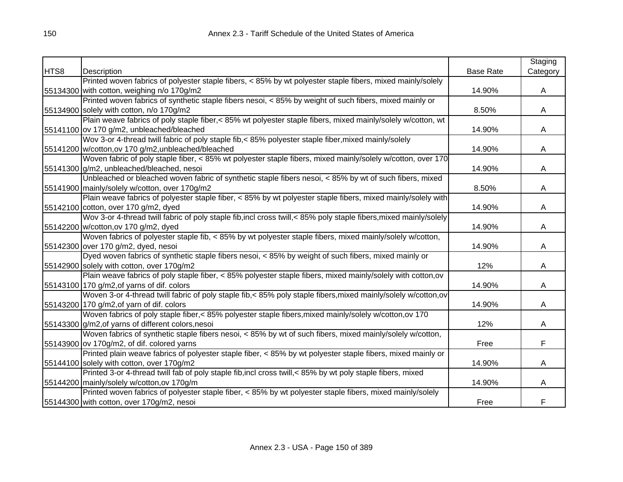|      |                                                                                                                    |                  | Staging  |
|------|--------------------------------------------------------------------------------------------------------------------|------------------|----------|
| HTS8 | Description                                                                                                        | <b>Base Rate</b> | Category |
|      | Printed woven fabrics of polyester staple fibers, < 85% by wt polyester staple fibers, mixed mainly/solely         |                  |          |
|      | 55134300 with cotton, weighing n/o 170g/m2                                                                         | 14.90%           | A        |
|      | Printed woven fabrics of synthetic staple fibers nesoi, $<$ 85% by weight of such fibers, mixed mainly or          |                  |          |
|      | 55134900 solely with cotton, n/o 170g/m2                                                                           | 8.50%            | A        |
|      | Plain weave fabrics of poly staple fiber,< 85% wt polyester staple fibers, mixed mainly/solely w/cotton, wt        |                  |          |
|      | 55141100 ov 170 g/m2, unbleached/bleached                                                                          | 14.90%           | A        |
|      | Wov 3-or 4-thread twill fabric of poly staple fib,< 85% polyester staple fiber, mixed mainly/solely                |                  |          |
|      | 55141200 w/cotton, ov 170 g/m2, unbleached/bleached                                                                | 14.90%           | A        |
|      | Woven fabric of poly staple fiber, < 85% wt polyester staple fibers, mixed mainly/solely w/cotton, over 170        |                  |          |
|      | 55141300 g/m2, unbleached/bleached, nesoi                                                                          | 14.90%           | A        |
|      | Unbleached or bleached woven fabric of synthetic staple fibers nesoi, < 85% by wt of such fibers, mixed            |                  |          |
|      | 55141900 mainly/solely w/cotton, over 170g/m2                                                                      | 8.50%            | A        |
|      | Plain weave fabrics of polyester staple fiber, < 85% by wt polyester staple fibers, mixed mainly/solely with       |                  |          |
|      | 55142100 cotton, over 170 g/m2, dyed                                                                               | 14.90%           | A        |
|      | Wov 3-or 4-thread twill fabric of poly staple fib, incl cross twill, < 85% poly staple fibers, mixed mainly/solely |                  |          |
|      | 55142200 w/cotton, ov 170 g/m2, dyed                                                                               | 14.90%           | A        |
|      | Woven fabrics of polyester staple fib, < 85% by wt polyester staple fibers, mixed mainly/solely w/cotton,          |                  |          |
|      | 55142300 over 170 g/m2, dyed, nesoi                                                                                | 14.90%           | A        |
|      | Dyed woven fabrics of synthetic staple fibers nesoi, < 85% by weight of such fibers, mixed mainly or               |                  |          |
|      | 55142900 solely with cotton, over 170g/m2                                                                          | 12%              | A        |
|      | Plain weave fabrics of poly staple fiber, $<$ 85% polyester staple fibers, mixed mainly/solely with cotton, ov     |                  |          |
|      | 55143100 170 g/m2, of yarns of dif. colors                                                                         | 14.90%           | A        |
|      | Woven 3-or 4-thread twill fabric of poly staple fib,< 85% poly staple fibers, mixed mainly/solely w/cotton, ov     |                  |          |
|      | 55143200 170 g/m2, of yarn of dif. colors                                                                          | 14.90%           | A        |
|      | Woven fabrics of poly staple fiber,< 85% polyester staple fibers, mixed mainly/solely w/cotton, ov 170             |                  |          |
|      | 55143300 g/m2, of yarns of different colors, nesoi                                                                 | 12%              | A        |
|      | Woven fabrics of synthetic staple fibers nesoi, < 85% by wt of such fibers, mixed mainly/solely w/cotton,          |                  |          |
|      | 55143900 ov 170g/m2, of dif. colored yarns                                                                         | Free             | F        |
|      | Printed plain weave fabrics of polyester staple fiber, < 85% by wt polyester staple fibers, mixed mainly or        |                  |          |
|      | 55144100 solely with cotton, over 170g/m2                                                                          | 14.90%           | A        |
|      | Printed 3-or 4-thread twill fab of poly staple fib, incl cross twill, < 85% by wt poly staple fibers, mixed        |                  |          |
|      | 55144200 mainly/solely w/cotton, ov 170g/m                                                                         | 14.90%           | A        |
|      | Printed woven fabrics of polyester staple fiber, < 85% by wt polyester staple fibers, mixed mainly/solely          |                  |          |
|      | 55144300 with cotton, over 170g/m2, nesoi                                                                          | Free             | F        |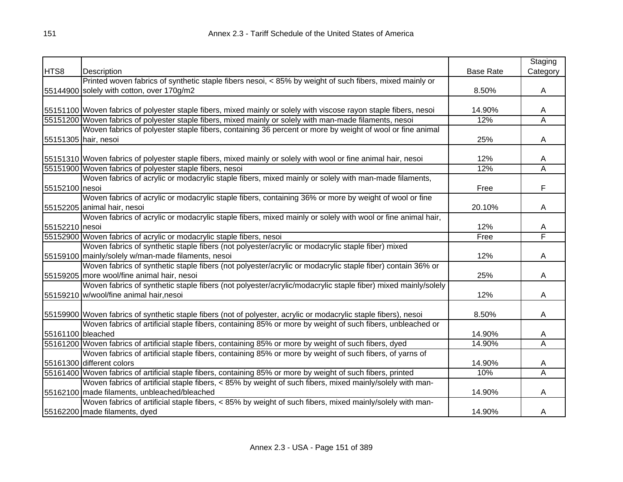|                   |                                                                                                                   |                  | Staging                 |
|-------------------|-------------------------------------------------------------------------------------------------------------------|------------------|-------------------------|
| HTS8              | Description                                                                                                       | <b>Base Rate</b> | Category                |
|                   | Printed woven fabrics of synthetic staple fibers nesoi, < 85% by weight of such fibers, mixed mainly or           |                  |                         |
|                   | 55144900 solely with cotton, over 170g/m2                                                                         | 8.50%            | A                       |
|                   |                                                                                                                   |                  |                         |
|                   | 55151100 Woven fabrics of polyester staple fibers, mixed mainly or solely with viscose rayon staple fibers, nesoi | 14.90%           | A                       |
|                   | 55151200 Woven fabrics of polyester staple fibers, mixed mainly or solely with man-made filaments, nesoi          | 12%              | $\overline{\mathsf{A}}$ |
|                   | Woven fabrics of polyester staple fibers, containing 36 percent or more by weight of wool or fine animal          |                  |                         |
|                   | 55151305 hair, nesoi                                                                                              | 25%              | A                       |
|                   |                                                                                                                   |                  |                         |
|                   | 55151310 Woven fabrics of polyester staple fibers, mixed mainly or solely with wool or fine animal hair, nesoi    | 12%              | A                       |
|                   | 55151900 Woven fabrics of polyester staple fibers, nesoi                                                          | 12%              | $\overline{\mathsf{A}}$ |
|                   | Woven fabrics of acrylic or modacrylic staple fibers, mixed mainly or solely with man-made filaments,             |                  |                         |
| 55152100 nesoi    |                                                                                                                   | Free             | F                       |
|                   | Woven fabrics of acrylic or modacrylic staple fibers, containing 36% or more by weight of wool or fine            |                  |                         |
|                   | 55152205 animal hair, nesoi                                                                                       | 20.10%           | A                       |
|                   | Woven fabrics of acrylic or modacrylic staple fibers, mixed mainly or solely with wool or fine animal hair,       |                  |                         |
| 55152210 nesoi    |                                                                                                                   | 12%              | A                       |
|                   | 55152900 Woven fabrics of acrylic or modacrylic staple fibers, nesoi                                              | Free             | F                       |
|                   | Woven fabrics of synthetic staple fibers (not polyester/acrylic or modacrylic staple fiber) mixed                 |                  |                         |
|                   | 55159100 mainly/solely w/man-made filaments, nesoi                                                                | 12%              | A                       |
|                   | Woven fabrics of synthetic staple fibers (not polyester/acrylic or modacrylic staple fiber) contain 36% or        |                  |                         |
|                   | 55159205 more wool/fine animal hair, nesoi                                                                        | 25%              | A                       |
|                   | Woven fabrics of synthetic staple fibers (not polyester/acrylic/modacrylic staple fiber) mixed mainly/solely      |                  |                         |
|                   | 55159210 w/wool/fine animal hair, nesoi                                                                           | 12%              | A                       |
|                   |                                                                                                                   |                  |                         |
|                   | 55159900 Woven fabrics of synthetic staple fibers (not of polyester, acrylic or modacrylic staple fibers), nesoi  | 8.50%            | A                       |
|                   | Woven fabrics of artificial staple fibers, containing 85% or more by weight of such fibers, unbleached or         |                  |                         |
| 55161100 bleached |                                                                                                                   | 14.90%           | A                       |
|                   | 55161200 Woven fabrics of artificial staple fibers, containing 85% or more by weight of such fibers, dyed         | 14.90%           | $\overline{\mathsf{A}}$ |
|                   | Woven fabrics of artificial staple fibers, containing 85% or more by weight of such fibers, of yarns of           |                  |                         |
|                   | 55161300 different colors                                                                                         | 14.90%           | A                       |
|                   | 55161400 Woven fabrics of artificial staple fibers, containing 85% or more by weight of such fibers, printed      | 10%              | A                       |
|                   | Woven fabrics of artificial staple fibers, < 85% by weight of such fibers, mixed mainly/solely with man-          |                  |                         |
|                   | 55162100 made filaments, unbleached/bleached                                                                      | 14.90%           | A                       |
|                   | Woven fabrics of artificial staple fibers, < 85% by weight of such fibers, mixed mainly/solely with man-          |                  |                         |
|                   | 55162200 made filaments, dyed                                                                                     | 14.90%           | A                       |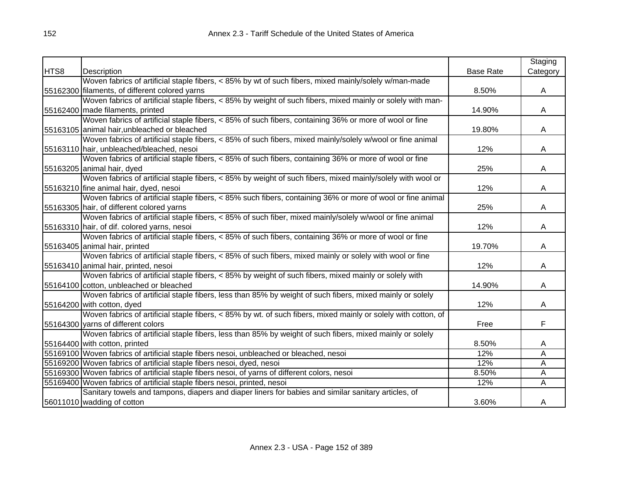|      |                                                                                                                |                  | Staging  |
|------|----------------------------------------------------------------------------------------------------------------|------------------|----------|
| HTS8 | Description                                                                                                    | <b>Base Rate</b> | Category |
|      | Woven fabrics of artificial staple fibers, < 85% by wt of such fibers, mixed mainly/solely w/man-made          |                  |          |
|      | 55162300 filaments, of different colored yarns                                                                 | 8.50%            | A        |
|      | Woven fabrics of artificial staple fibers, < 85% by weight of such fibers, mixed mainly or solely with man-    |                  |          |
|      | 55162400 made filaments, printed                                                                               | 14.90%           | A        |
|      | Woven fabrics of artificial staple fibers, < 85% of such fibers, containing 36% or more of wool or fine        |                  |          |
|      | 55163105 animal hair, unbleached or bleached                                                                   | 19.80%           | A        |
|      | Woven fabrics of artificial staple fibers, < 85% of such fibers, mixed mainly/solely w/wool or fine animal     |                  |          |
|      | 55163110 hair, unbleached/bleached, nesoi                                                                      | 12%              | A        |
|      | Woven fabrics of artificial staple fibers, < 85% of such fibers, containing 36% or more of wool or fine        |                  |          |
|      | 55163205 animal hair, dyed                                                                                     | 25%              | A        |
|      | Woven fabrics of artificial staple fibers, < 85% by weight of such fibers, mixed mainly/solely with wool or    |                  |          |
|      | 55163210 fine animal hair, dyed, nesoi                                                                         | 12%              | A        |
|      | Woven fabrics of artificial staple fibers, < 85% such fibers, containing 36% or more of wool or fine animal    |                  |          |
|      | 55163305 hair, of different colored yarns                                                                      | 25%              | A        |
|      | Woven fabrics of artificial staple fibers, < 85% of such fiber, mixed mainly/solely w/wool or fine animal      |                  |          |
|      | 55163310 hair, of dif. colored yarns, nesoi                                                                    | 12%              | A        |
|      | Woven fabrics of artificial staple fibers, < 85% of such fibers, containing 36% or more of wool or fine        |                  |          |
|      | 55163405 animal hair, printed                                                                                  | 19.70%           | A        |
|      | Woven fabrics of artificial staple fibers, < 85% of such fibers, mixed mainly or solely with wool or fine      |                  |          |
|      | 55163410 animal hair, printed, nesoi                                                                           | 12%              | A        |
|      | Woven fabrics of artificial staple fibers, < 85% by weight of such fibers, mixed mainly or solely with         |                  |          |
|      | 55164100 cotton, unbleached or bleached                                                                        | 14.90%           | A        |
|      | Woven fabrics of artificial staple fibers, less than 85% by weight of such fibers, mixed mainly or solely      |                  |          |
|      | 55164200 with cotton, dyed                                                                                     | 12%              | A        |
|      | Woven fabrics of artificial staple fibers, < 85% by wt. of such fibers, mixed mainly or solely with cotton, of |                  |          |
|      | 55164300 varns of different colors                                                                             | Free             | F        |
|      | Woven fabrics of artificial staple fibers, less than 85% by weight of such fibers, mixed mainly or solely      |                  |          |
|      | 55164400 with cotton, printed                                                                                  | 8.50%            | A        |
|      | 55169100 Woven fabrics of artificial staple fibers nesoi, unbleached or bleached, nesoi                        | 12%              | Ā        |
|      | 55169200 Woven fabrics of artificial staple fibers nesoi, dyed, nesoi                                          | 12%              | A        |
|      | 55169300 Woven fabrics of artificial staple fibers nesoi, of yarns of different colors, nesoi                  | 8.50%            | A        |
|      | 55169400 Woven fabrics of artificial staple fibers nesoi, printed, nesoi                                       | 12%              | Α        |
|      | Sanitary towels and tampons, diapers and diaper liners for babies and similar sanitary articles, of            |                  |          |
|      | 56011010 wadding of cotton                                                                                     | 3.60%            | A        |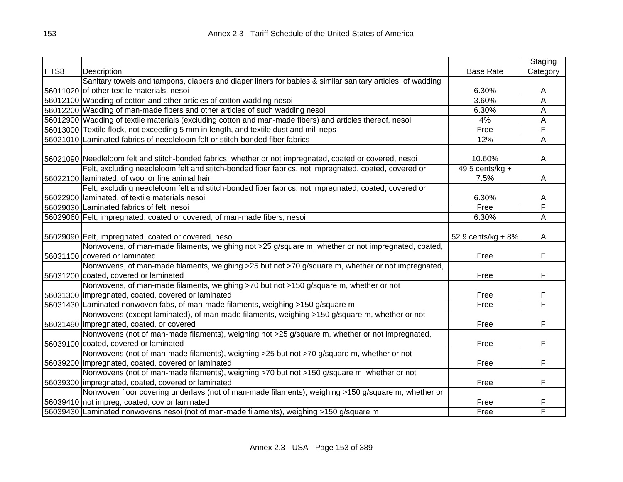|      |                                                                                                           |                    | Staging  |
|------|-----------------------------------------------------------------------------------------------------------|--------------------|----------|
| HTS8 | Description                                                                                               | <b>Base Rate</b>   | Category |
|      | Sanitary towels and tampons, diapers and diaper liners for babies & similar sanitary articles, of wadding |                    |          |
|      | 56011020 of other textile materials, nesoi                                                                | 6.30%              | A        |
|      | 56012100 Wadding of cotton and other articles of cotton wadding nesoi                                     | 3.60%              | Α        |
|      | 56012200 Wadding of man-made fibers and other articles of such wadding nesoi                              | 6.30%              | A        |
|      | 56012900 Wadding of textile materials (excluding cotton and man-made fibers) and articles thereof, nesoi  | 4%                 | A        |
|      | 56013000 Textile flock, not exceeding 5 mm in length, and textile dust and mill neps                      | Free               | F        |
|      | 56021010 Laminated fabrics of needleloom felt or stitch-bonded fiber fabrics                              | 12%                | A        |
|      |                                                                                                           |                    |          |
|      | 56021090 Needleloom felt and stitch-bonded fabrics, whether or not impregnated, coated or covered, nesoi  | 10.60%             | A        |
|      | Felt, excluding needleloom felt and stitch-bonded fiber fabrics, not impregnated, coated, covered or      | 49.5 cents/kg $+$  |          |
|      | 56022100 laminated, of wool or fine animal hair                                                           | 7.5%               | A        |
|      | Felt, excluding needleloom felt and stitch-bonded fiber fabrics, not impregnated, coated, covered or      |                    |          |
|      | 56022900 laminated, of textile materials nesoi                                                            | 6.30%              | A        |
|      | 56029030 Laminated fabrics of felt, nesoi                                                                 | Free               | F        |
|      | 56029060 Felt, impregnated, coated or covered, of man-made fibers, nesoi                                  | 6.30%              | Ā        |
|      |                                                                                                           |                    |          |
|      | 56029090 Felt, impregnated, coated or covered, nesoi                                                      | 52.9 cents/kg + 8% | A        |
|      | Nonwovens, of man-made filaments, weighing not >25 g/square m, whether or not impregnated, coated,        |                    |          |
|      | 56031100 covered or laminated                                                                             | Free               | F        |
|      | Nonwovens, of man-made filaments, weighing >25 but not >70 g/square m, whether or not impregnated,        |                    |          |
|      | 56031200 coated, covered or laminated                                                                     | Free               | F        |
|      | Nonwovens, of man-made filaments, weighing >70 but not >150 g/square m, whether or not                    |                    |          |
|      | 56031300 impregnated, coated, covered or laminated                                                        | Free               | F        |
|      | 56031430 Laminated nonwoven fabs, of man-made filaments, weighing >150 g/square m                         | Free               | F        |
|      | Nonwovens (except laminated), of man-made filaments, weighing >150 g/square m, whether or not             |                    |          |
|      | 56031490 impregnated, coated, or covered                                                                  | Free               | F        |
|      | Nonwovens (not of man-made filaments), weighing not >25 g/square m, whether or not impregnated,           |                    |          |
|      | 56039100 coated, covered or laminated                                                                     | Free               | F        |
|      | Nonwovens (not of man-made filaments), weighing >25 but not >70 g/square m, whether or not                |                    |          |
|      | 56039200 impregnated, coated, covered or laminated                                                        | Free               | F        |
|      | Nonwovens (not of man-made filaments), weighing >70 but not >150 g/square m, whether or not               |                    |          |
|      | 56039300 impregnated, coated, covered or laminated                                                        | Free               | F        |
|      | Nonwoven floor covering underlays (not of man-made filaments), weighing >150 g/square m, whether or       |                    |          |
|      | 56039410 not impreg, coated, cov or laminated                                                             | Free               | F        |
|      | 56039430 Laminated nonwovens nesoi (not of man-made filaments), weighing >150 g/square m                  | Free               | F        |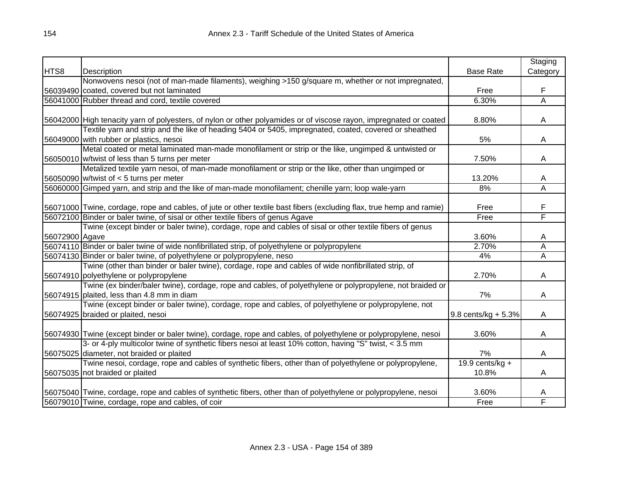|                |                                                                                                                      |                       | Staging  |
|----------------|----------------------------------------------------------------------------------------------------------------------|-----------------------|----------|
| HTS8           | Description                                                                                                          | <b>Base Rate</b>      | Category |
|                | Nonwovens nesoi (not of man-made filaments), weighing >150 g/square m, whether or not impregnated,                   |                       |          |
|                | 56039490 coated, covered but not laminated                                                                           | Free                  | F        |
|                | 56041000 Rubber thread and cord, textile covered                                                                     | 6.30%                 | Ā        |
|                |                                                                                                                      |                       |          |
|                | 56042000 High tenacity yarn of polyesters, of nylon or other polyamides or of viscose rayon, impregnated or coated   | 8.80%                 | A        |
|                | Textile yarn and strip and the like of heading 5404 or 5405, impregnated, coated, covered or sheathed                |                       |          |
|                | 56049000 with rubber or plastics, nesoi                                                                              | 5%                    | A        |
|                | Metal coated or metal laminated man-made monofilament or strip or the like, ungimped & untwisted or                  |                       |          |
|                | 56050010 w/twist of less than 5 turns per meter                                                                      | 7.50%                 | A        |
|                | Metalized textile yarn nesoi, of man-made monofilament or strip or the like, other than ungimped or                  |                       |          |
|                | 56050090 w/twist of $<$ 5 turns per meter                                                                            | 13.20%                | A        |
|                | 56060000 Gimped yarn, and strip and the like of man-made monofilament; chenille yarn; loop wale-yarn                 | 8%                    | Α        |
|                |                                                                                                                      |                       |          |
|                | 56071000 Twine, cordage, rope and cables, of jute or other textile bast fibers (excluding flax, true hemp and ramie) | Free                  | F        |
|                | 56072100 Binder or baler twine, of sisal or other textile fibers of genus Agave                                      | Free                  | F        |
|                | Twine (except binder or baler twine), cordage, rope and cables of sisal or other textile fibers of genus             |                       |          |
| 56072900 Agave |                                                                                                                      | 3.60%                 | A        |
|                | 56074110 Binder or baler twine of wide nonfibrillated strip, of polyethylene or polypropylene                        | 2.70%                 | A        |
|                | 56074130 Binder or baler twine, of polyethylene or polypropylene, neso                                               | 4%                    | Α        |
|                | Twine (other than binder or baler twine), cordage, rope and cables of wide nonfibrillated strip, of                  |                       |          |
|                | 56074910 polyethylene or polypropylene                                                                               | 2.70%                 | A        |
|                | Twine (ex binder/baler twine), cordage, rope and cables, of polyethylene or polypropylene, not braided or            |                       |          |
|                | 56074915 plaited, less than 4.8 mm in diam                                                                           | 7%                    | A        |
|                | Twine (except binder or baler twine), cordage, rope and cables, of polyethylene or polypropylene, not                |                       |          |
|                | 56074925 braided or plaited, nesoi                                                                                   | $9.8$ cents/kg + 5.3% | A        |
|                |                                                                                                                      |                       |          |
|                | 56074930 Twine (except binder or baler twine), cordage, rope and cables, of polyethylene or polypropylene, nesoi     | 3.60%                 | A        |
|                | 3- or 4-ply multicolor twine of synthetic fibers nesoi at least 10% cotton, having "S" twist, < 3.5 mm               |                       |          |
|                | 56075025 diameter, not braided or plaited                                                                            | 7%                    | A        |
|                | Twine nesoi, cordage, rope and cables of synthetic fibers, other than of polyethylene or polypropylene,              | 19.9 cents/kg +       |          |
|                | 56075035 not braided or plaited                                                                                      | 10.8%                 | A        |
|                |                                                                                                                      |                       |          |
|                | 56075040 Twine, cordage, rope and cables of synthetic fibers, other than of polyethylene or polypropylene, nesoi     | 3.60%                 | A        |
|                | 56079010 Twine, cordage, rope and cables, of coir                                                                    | Free                  | F        |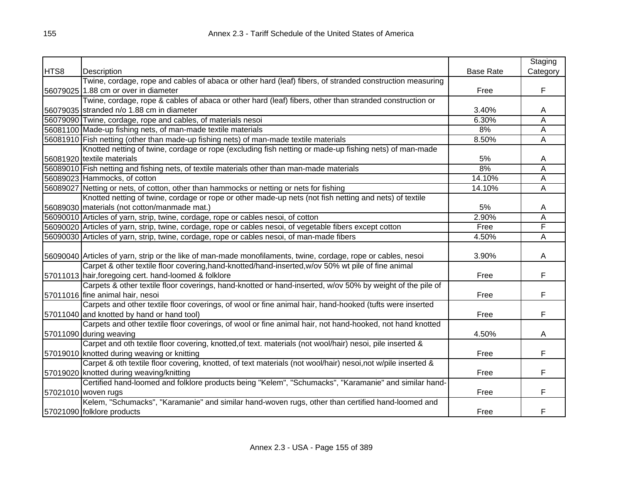|      |                                                                                                               |                  | Staging  |
|------|---------------------------------------------------------------------------------------------------------------|------------------|----------|
| HTS8 | Description                                                                                                   | <b>Base Rate</b> | Category |
|      | Twine, cordage, rope and cables of abaca or other hard (leaf) fibers, of stranded construction measuring      |                  |          |
|      | 56079025 1.88 cm or over in diameter                                                                          | Free             | F        |
|      | Twine, cordage, rope & cables of abaca or other hard (leaf) fibers, other than stranded construction or       |                  |          |
|      | 56079035 stranded n/o 1.88 cm in diameter                                                                     | 3.40%            | Α        |
|      | 56079090 Twine, cordage, rope and cables, of materials nesoi                                                  | 6.30%            | Ā        |
|      | 56081100 Made-up fishing nets, of man-made textile materials                                                  | 8%               | Ā        |
|      | 56081910 Fish netting (other than made-up fishing nets) of man-made textile materials                         | 8.50%            | А        |
|      | Knotted netting of twine, cordage or rope (excluding fish netting or made-up fishing nets) of man-made        |                  |          |
|      | 56081920 textile materials                                                                                    | 5%               | A        |
|      | 56089010 Fish netting and fishing nets, of textile materials other than man-made materials                    | 8%               | Ā        |
|      | 56089023 Hammocks, of cotton                                                                                  | 14.10%           | Ā        |
|      | 56089027 Netting or nets, of cotton, other than hammocks or netting or nets for fishing                       | 14.10%           | A        |
|      | Knotted netting of twine, cordage or rope or other made-up nets (not fish netting and nets) of textile        |                  |          |
|      | 56089030 materials (not cotton/manmade mat.)                                                                  | 5%               | A        |
|      | 56090010 Articles of yarn, strip, twine, cordage, rope or cables nesoi, of cotton                             | 2.90%            | A        |
|      | 56090020 Articles of yarn, strip, twine, cordage, rope or cables nesoi, of vegetable fibers except cotton     | Free             | F        |
|      | 56090030 Articles of yarn, strip, twine, cordage, rope or cables nesoi, of man-made fibers                    | 4.50%            | Α        |
|      |                                                                                                               |                  |          |
|      | 56090040 Articles of yarn, strip or the like of man-made monofilaments, twine, cordage, rope or cables, nesoi | 3.90%            | A        |
|      | Carpet & other textile floor covering, hand-knotted/hand-inserted, w/ov 50% wt pile of fine animal            |                  |          |
|      | 57011013 hair, foregoing cert. hand-loomed & folklore                                                         | Free             | F        |
|      | Carpets & other textile floor coverings, hand-knotted or hand-inserted, w/ov 50% by weight of the pile of     |                  |          |
|      | 57011016 fine animal hair, nesoi                                                                              | Free             | F        |
|      | Carpets and other textile floor coverings, of wool or fine animal hair, hand-hooked (tufts were inserted      |                  |          |
|      | 57011040 and knotted by hand or hand tool)                                                                    | Free             | F        |
|      | Carpets and other textile floor coverings, of wool or fine animal hair, not hand-hooked, not hand knotted     |                  |          |
|      | 57011090 during weaving                                                                                       | 4.50%            | A        |
|      | Carpet and oth textile floor covering, knotted, of text. materials (not wool/hair) nesoi, pile inserted &     |                  |          |
|      | 57019010 knotted during weaving or knitting                                                                   | Free             | F        |
|      | Carpet & oth textile floor covering, knotted, of text materials (not wool/hair) nesoi,not w/pile inserted &   |                  |          |
|      | 57019020 knotted during weaving/knitting                                                                      | Free             | F        |
|      | Certified hand-loomed and folklore products being "Kelem", "Schumacks", "Karamanie" and similar hand-         |                  |          |
|      | 57021010 woven rugs                                                                                           | Free             | F        |
|      | Kelem, "Schumacks", "Karamanie" and similar hand-woven rugs, other than certified hand-loomed and             |                  |          |
|      | 57021090 folklore products                                                                                    | Free             | F        |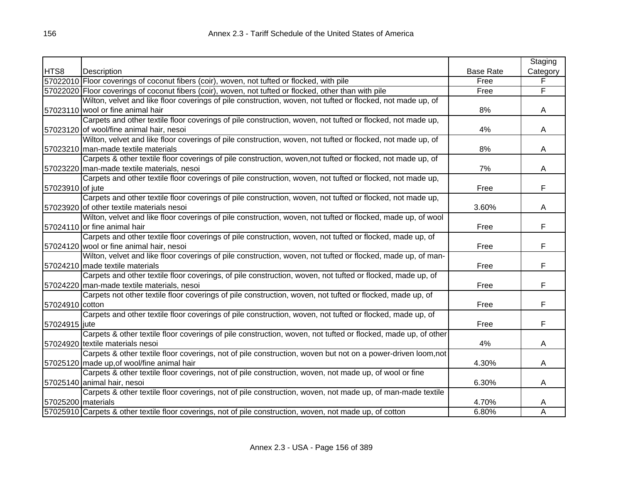|                      |                                                                                                               |                  | Staging        |
|----------------------|---------------------------------------------------------------------------------------------------------------|------------------|----------------|
| HTS8                 | Description                                                                                                   | <b>Base Rate</b> | Category       |
|                      | 57022010 Floor coverings of coconut fibers (coir), woven, not tufted or flocked, with pile                    | Free             | F              |
|                      | 57022020 Floor coverings of coconut fibers (coir), woven, not tufted or flocked, other than with pile         | Free             | $\overline{F}$ |
|                      | Wilton, velvet and like floor coverings of pile construction, woven, not tufted or flocked, not made up, of   |                  |                |
|                      | 57023110 wool or fine animal hair                                                                             | 8%               | A              |
|                      | Carpets and other textile floor coverings of pile construction, woven, not tufted or flocked, not made up,    |                  |                |
|                      | 57023120 of wool/fine animal hair, nesoi                                                                      | 4%               | A              |
|                      | Wilton, velvet and like floor coverings of pile construction, woven, not tufted or flocked, not made up, of   |                  |                |
|                      | 57023210 man-made textile materials                                                                           | 8%               | A              |
|                      | Carpets & other textile floor coverings of pile construction, woven, not tufted or flocked, not made up, of   |                  |                |
|                      | 57023220 man-made textile materials, nesoi                                                                    | 7%               | A              |
|                      | Carpets and other textile floor coverings of pile construction, woven, not tufted or flocked, not made up,    |                  |                |
| 57023910 of jute     |                                                                                                               | Free             | F              |
|                      | Carpets and other textile floor coverings of pile construction, woven, not tufted or flocked, not made up,    |                  |                |
|                      | 57023920 of other textile materials nesoi                                                                     | 3.60%            | A              |
|                      | Wilton, velvet and like floor coverings of pile construction, woven, not tufted or flocked, made up, of wool  |                  |                |
|                      | 57024110 or fine animal hair                                                                                  | Free             | F              |
|                      | Carpets and other textile floor coverings of pile construction, woven, not tufted or flocked, made up, of     |                  |                |
|                      | 57024120 wool or fine animal hair, nesoi                                                                      | Free             | F.             |
|                      | Wilton, velvet and like floor coverings of pile construction, woven, not tufted or flocked, made up, of man-  |                  |                |
|                      | 57024210 made textile materials                                                                               | Free             | F              |
|                      | Carpets and other textile floor coverings, of pile construction, woven, not tufted or flocked, made up, of    |                  |                |
|                      | 57024220 man-made textile materials, nesoi                                                                    | Free             | F              |
|                      | Carpets not other textile floor coverings of pile construction, woven, not tufted or flocked, made up, of     |                  |                |
| 57024910 cotton      |                                                                                                               | Free             | F              |
|                      | Carpets and other textile floor coverings of pile construction, woven, not tufted or flocked, made up, of     |                  |                |
| 57024915 jute        |                                                                                                               | Free             | F              |
|                      | Carpets & other textile floor coverings of pile construction, woven, not tufted or flocked, made up, of other |                  |                |
|                      | 57024920 textile materials nesoi                                                                              | 4%               | A              |
|                      | Carpets & other textile floor coverings, not of pile construction, woven but not on a power-driven loom, not  |                  |                |
|                      | 57025120 made up, of wool/fine animal hair                                                                    | 4.30%            | A              |
|                      | Carpets & other textile floor coverings, not of pile construction, woven, not made up, of wool or fine        |                  |                |
|                      | 57025140 animal hair, nesoi                                                                                   | 6.30%            | A              |
|                      | Carpets & other textile floor coverings, not of pile construction, woven, not made up, of man-made textile    |                  |                |
| 57025200   materials |                                                                                                               | 4.70%            | A              |
|                      | 57025910 Carpets & other textile floor coverings, not of pile construction, woven, not made up, of cotton     | 6.80%            | A              |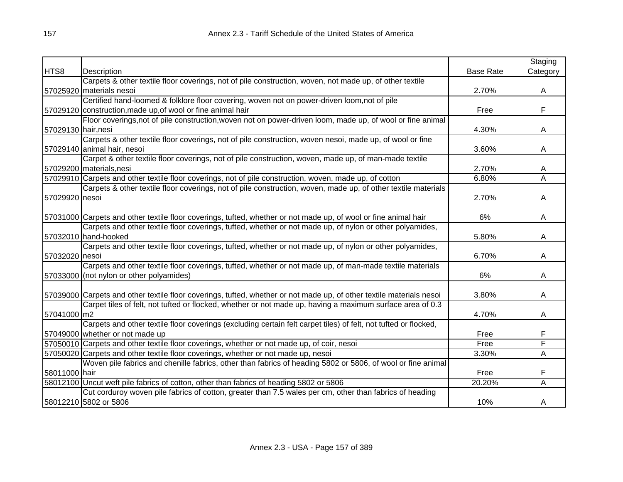|                     |                                                                                                                      |                  | Staging                 |
|---------------------|----------------------------------------------------------------------------------------------------------------------|------------------|-------------------------|
| HTS8                | Description                                                                                                          | <b>Base Rate</b> | Category                |
|                     | Carpets & other textile floor coverings, not of pile construction, woven, not made up, of other textile              |                  |                         |
|                     | 57025920 materials nesoi                                                                                             | 2.70%            | A                       |
|                     | Certified hand-loomed & folklore floor covering, woven not on power-driven loom, not of pile                         |                  |                         |
|                     | 57029120 construction, made up, of wool or fine animal hair                                                          | Free             | F                       |
|                     | Floor coverings, not of pile construction, woven not on power-driven loom, made up, of wool or fine animal           |                  |                         |
| 57029130 hair, nesi |                                                                                                                      | 4.30%            | A                       |
|                     | Carpets & other textile floor coverings, not of pile construction, woven nesoi, made up, of wool or fine             |                  |                         |
|                     | 57029140 animal hair, nesoi                                                                                          | 3.60%            | A                       |
|                     | Carpet & other textile floor coverings, not of pile construction, woven, made up, of man-made textile                |                  |                         |
|                     | 57029200 materials, nesi                                                                                             | 2.70%            | A                       |
|                     | 57029910 Carpets and other textile floor coverings, not of pile construction, woven, made up, of cotton              | 6.80%            | Α                       |
|                     | Carpets & other textile floor coverings, not of pile construction, woven, made up, of other textile materials        |                  |                         |
| 57029920 nesoi      |                                                                                                                      | 2.70%            | A                       |
|                     |                                                                                                                      |                  |                         |
|                     | 57031000 Carpets and other textile floor coverings, tufted, whether or not made up, of wool or fine animal hair      | 6%               | A                       |
|                     | Carpets and other textile floor coverings, tufted, whether or not made up, of nylon or other polyamides,             |                  |                         |
|                     | 57032010 hand-hooked                                                                                                 | 5.80%            | A                       |
|                     | Carpets and other textile floor coverings, tufted, whether or not made up, of nylon or other polyamides,             |                  |                         |
| 57032020 nesoi      |                                                                                                                      | 6.70%            | A                       |
|                     | Carpets and other textile floor coverings, tufted, whether or not made up, of man-made textile materials             |                  |                         |
|                     | 57033000 (not nylon or other polyamides)                                                                             | 6%               | A                       |
|                     |                                                                                                                      |                  |                         |
|                     | 57039000 Carpets and other textile floor coverings, tufted, whether or not made up, of other textile materials nesoi | 3.80%            | A                       |
|                     | Carpet tiles of felt, not tufted or flocked, whether or not made up, having a maximum surface area of 0.3            |                  |                         |
| 57041000 m2         |                                                                                                                      | 4.70%            | A                       |
|                     | Carpets and other textile floor coverings (excluding certain felt carpet tiles) of felt, not tufted or flocked,      |                  |                         |
|                     | 57049000 whether or not made up                                                                                      | Free             | F                       |
|                     | 57050010 Carpets and other textile floor coverings, whether or not made up, of coir, nesoi                           | Free             | F                       |
|                     | 57050020 Carpets and other textile floor coverings, whether or not made up, nesoi                                    | 3.30%            | Α                       |
|                     | Woven pile fabrics and chenille fabrics, other than fabrics of heading 5802 or 5806, of wool or fine animal          |                  |                         |
| 58011000 hair       |                                                                                                                      | Free             | F                       |
|                     | 58012100 Uncut weft pile fabrics of cotton, other than fabrics of heading 5802 or 5806                               | 20.20%           | $\overline{\mathsf{A}}$ |
|                     | Cut corduroy woven pile fabrics of cotton, greater than 7.5 wales per cm, other than fabrics of heading              |                  |                         |
|                     | 58012210 5802 or 5806                                                                                                | 10%              | A                       |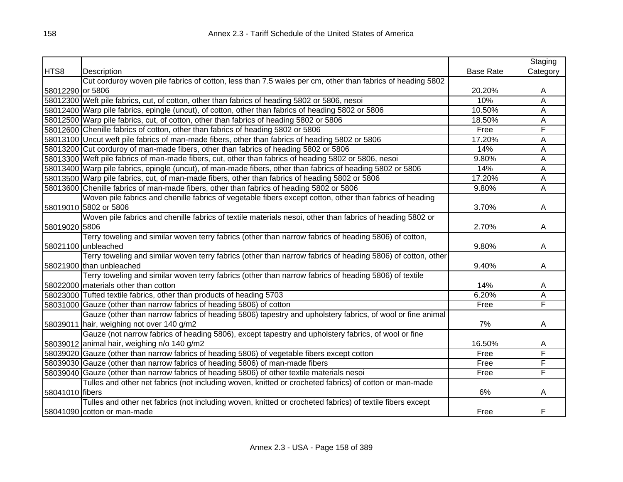|                  |                                                                                                             |                  | Staging  |
|------------------|-------------------------------------------------------------------------------------------------------------|------------------|----------|
| HTS8             | Description                                                                                                 | <b>Base Rate</b> | Category |
|                  | Cut corduroy woven pile fabrics of cotton, less than 7.5 wales per cm, other than fabrics of heading 5802   |                  |          |
| 58012290 or 5806 |                                                                                                             | 20.20%           | A        |
|                  | 58012300 Weft pile fabrics, cut, of cotton, other than fabrics of heading 5802 or 5806, nesoi               | 10%              | Ā        |
|                  | 58012400 Warp pile fabrics, epingle (uncut), of cotton, other than fabrics of heading 5802 or 5806          | 10.50%           | Ā        |
|                  | 58012500 Warp pile fabrics, cut, of cotton, other than fabrics of heading 5802 or 5806                      | 18.50%           | А        |
|                  | 58012600 Chenille fabrics of cotton, other than fabrics of heading 5802 or 5806                             | Free             | F        |
|                  | 58013100 Uncut weft pile fabrics of man-made fibers, other than fabrics of heading 5802 or 5806             | 17.20%           | А        |
|                  | 58013200 Cut corduroy of man-made fibers, other than fabrics of heading 5802 or 5806                        | 14%              | A        |
|                  | 58013300 Weft pile fabrics of man-made fibers, cut, other than fabrics of heading 5802 or 5806, nesoi       | 9.80%            | A        |
|                  | 58013400 Warp pile fabrics, epingle (uncut), of man-made fibers, other than fabrics of heading 5802 or 5806 | 14%              | A        |
|                  | 58013500 Warp pile fabrics, cut, of man-made fibers, other than fabrics of heading 5802 or 5806             | 17.20%           | Α        |
|                  | 58013600 Chenille fabrics of man-made fibers, other than fabrics of heading 5802 or 5806                    | 9.80%            | A        |
|                  | Woven pile fabrics and chenille fabrics of vegetable fibers except cotton, other than fabrics of heading    |                  |          |
|                  | 58019010 5802 or 5806                                                                                       | 3.70%            | A        |
|                  | Woven pile fabrics and chenille fabrics of textile materials nesoi, other than fabrics of heading 5802 or   |                  |          |
| 58019020 5806    |                                                                                                             | 2.70%            | A        |
|                  | Terry toweling and similar woven terry fabrics (other than narrow fabrics of heading 5806) of cotton,       |                  |          |
|                  | 58021100 unbleached                                                                                         | 9.80%            | A        |
|                  | Terry toweling and similar woven terry fabrics (other than narrow fabrics of heading 5806) of cotton, other |                  |          |
|                  | 58021900 than unbleached                                                                                    | 9.40%            | A        |
|                  | Terry toweling and similar woven terry fabrics (other than narrow fabrics of heading 5806) of textile       |                  |          |
|                  | 58022000 materials other than cotton                                                                        | 14%              | A        |
|                  | 58023000 Tufted textile fabrics, other than products of heading 5703                                        | 6.20%            | Α        |
|                  | 58031000 Gauze (other than narrow fabrics of heading 5806) of cotton                                        | Free             | F        |
|                  | Gauze (other than narrow fabrics of heading 5806) tapestry and upholstery fabrics, of wool or fine animal   |                  |          |
|                  | 58039011 hair, weighing not over 140 g/m2                                                                   | 7%               | A        |
|                  | Gauze (not narrow fabrics of heading 5806), except tapestry and upholstery fabrics, of wool or fine         |                  |          |
|                  | 58039012 animal hair, weighing n/o 140 g/m2                                                                 | 16.50%           | A        |
|                  | 58039020 Gauze (other than narrow fabrics of heading 5806) of vegetable fibers except cotton                | Free             | F        |
|                  | 58039030 Gauze (other than narrow fabrics of heading 5806) of man-made fibers                               | Free             | F        |
|                  | 58039040 Gauze (other than narrow fabrics of heading 5806) of other textile materials nesoi                 | Free             | F        |
|                  | Tulles and other net fabrics (not including woven, knitted or crocheted fabrics) of cotton or man-made      |                  |          |
| 58041010 fibers  |                                                                                                             | 6%               | A        |
|                  | Tulles and other net fabrics (not including woven, knitted or crocheted fabrics) of textile fibers except   |                  |          |
|                  | 58041090 cotton or man-made                                                                                 | Free             | F        |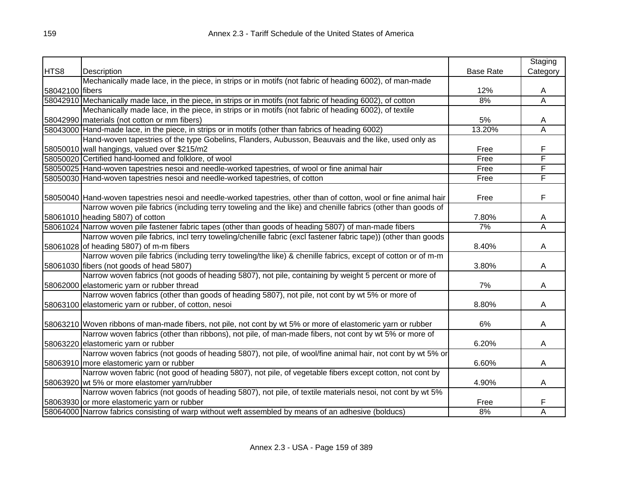|                 |                                                                                                                   |                  | Staging                 |
|-----------------|-------------------------------------------------------------------------------------------------------------------|------------------|-------------------------|
| HTS8            | Description                                                                                                       | <b>Base Rate</b> | Category                |
|                 | Mechanically made lace, in the piece, in strips or in motifs (not fabric of heading 6002), of man-made            |                  |                         |
| 58042100 fibers |                                                                                                                   | 12%              | A                       |
|                 | 58042910 Mechanically made lace, in the piece, in strips or in motifs (not fabric of heading 6002), of cotton     | 8%               | $\overline{\mathsf{A}}$ |
|                 | Mechanically made lace, in the piece, in strips or in motifs (not fabric of heading 6002), of textile             |                  |                         |
|                 | 58042990 materials (not cotton or mm fibers)                                                                      | 5%               | A                       |
|                 | 58043000 Hand-made lace, in the piece, in strips or in motifs (other than fabrics of heading 6002)                | 13.20%           | A                       |
|                 | Hand-woven tapestries of the type Gobelins, Flanders, Aubusson, Beauvais and the like, used only as               |                  |                         |
|                 | 58050010 wall hangings, valued over \$215/m2                                                                      | Free             | F                       |
|                 | 58050020 Certified hand-loomed and folklore, of wool                                                              | Free             | F                       |
|                 | 58050025 Hand-woven tapestries nesoi and needle-worked tapestries, of wool or fine animal hair                    | Free             | F                       |
|                 | 58050030 Hand-woven tapestries nesoi and needle-worked tapestries, of cotton                                      | Free             | F                       |
|                 |                                                                                                                   |                  |                         |
|                 | 58050040 Hand-woven tapestries nesoi and needle-worked tapestries, other than of cotton, wool or fine animal hair | Free             | F                       |
|                 | Narrow woven pile fabrics (including terry toweling and the like) and chenille fabrics (other than goods of       |                  |                         |
|                 | 58061010 heading 5807) of cotton                                                                                  | 7.80%            | A                       |
|                 | 58061024 Narrow woven pile fastener fabric tapes (other than goods of heading 5807) of man-made fibers            | 7%               | $\overline{\mathsf{A}}$ |
|                 | Narrow woven pile fabrics, incl terry toweling/chenille fabric (excl fastener fabric tape)) (other than goods     |                  |                         |
|                 | 58061028 of heading 5807) of m-m fibers                                                                           | 8.40%            | A                       |
|                 | Narrow woven pile fabrics (including terry toweling/the like) & chenille fabrics, except of cotton or of m-m      |                  |                         |
|                 | 58061030 fibers (not goods of head 5807)                                                                          | 3.80%            | A                       |
|                 | Narrow woven fabrics (not goods of heading 5807), not pile, containing by weight 5 percent or more of             |                  |                         |
|                 | 58062000 elastomeric yarn or rubber thread                                                                        | 7%               | A                       |
|                 | Narrow woven fabrics (other than goods of heading 5807), not pile, not cont by wt 5% or more of                   |                  |                         |
|                 | 58063100 elastomeric yarn or rubber, of cotton, nesoi                                                             | 8.80%            | A                       |
|                 |                                                                                                                   |                  |                         |
|                 | 58063210 Woven ribbons of man-made fibers, not pile, not cont by wt 5% or more of elastomeric yarn or rubber      | 6%               | A                       |
|                 | Narrow woven fabrics (other than ribbons), not pile, of man-made fibers, not cont by wt 5% or more of             |                  |                         |
|                 | 58063220 elastomeric yarn or rubber                                                                               | 6.20%            | A                       |
|                 | Narrow woven fabrics (not goods of heading 5807), not pile, of wool/fine animal hair, not cont by wt 5% or        |                  |                         |
|                 | 58063910 more elastomeric yarn or rubber                                                                          | 6.60%            | A                       |
|                 | Narrow woven fabric (not good of heading 5807), not pile, of vegetable fibers except cotton, not cont by          |                  |                         |
|                 | 58063920 wt 5% or more elastomer yarn/rubber                                                                      | 4.90%            | A                       |
|                 | Narrow woven fabrics (not goods of heading 5807), not pile, of textile materials nesoi, not cont by wt 5%         |                  |                         |
|                 | 58063930 or more elastomeric yarn or rubber                                                                       | Free             | F                       |
|                 | 58064000 Narrow fabrics consisting of warp without weft assembled by means of an adhesive (bolducs)               | 8%               | Α                       |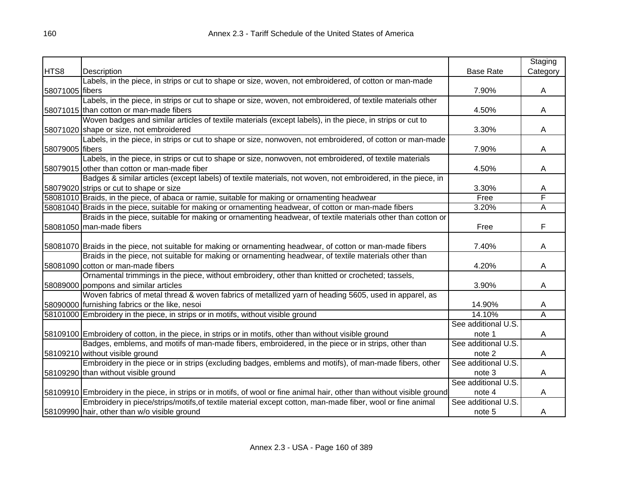|                 |                                                                                                                          |                     | Staging                 |
|-----------------|--------------------------------------------------------------------------------------------------------------------------|---------------------|-------------------------|
| HTS8            | Description                                                                                                              | <b>Base Rate</b>    | Category                |
|                 | Labels, in the piece, in strips or cut to shape or size, woven, not embroidered, of cotton or man-made                   |                     |                         |
| 58071005 fibers |                                                                                                                          | 7.90%               | A                       |
|                 | Labels, in the piece, in strips or cut to shape or size, woven, not embroidered, of textile materials other              |                     |                         |
|                 | 58071015 than cotton or man-made fibers                                                                                  | 4.50%               | A                       |
|                 | Woven badges and similar articles of textile materials (except labels), in the piece, in strips or cut to                |                     |                         |
|                 | 58071020 shape or size, not embroidered                                                                                  | 3.30%               | A                       |
|                 | Labels, in the piece, in strips or cut to shape or size, nonwoven, not embroidered, of cotton or man-made                |                     |                         |
| 58079005 fibers |                                                                                                                          | 7.90%               | A                       |
|                 | Labels, in the piece, in strips or cut to shape or size, nonwoven, not embroidered, of textile materials                 |                     |                         |
|                 | 58079015 other than cotton or man-made fiber                                                                             | 4.50%               | A                       |
|                 | Badges & similar articles (except labels) of textile materials, not woven, not embroidered, in the piece, in             |                     |                         |
|                 | 58079020 strips or cut to shape or size                                                                                  | 3.30%               | Α                       |
|                 | 58081010 Braids, in the piece, of abaca or ramie, suitable for making or ornamenting headwear                            | Free                | F                       |
|                 | 58081040 Braids in the piece, suitable for making or ornamenting headwear, of cotton or man-made fibers                  | 3.20%               | $\overline{\mathsf{A}}$ |
|                 | Braids in the piece, suitable for making or ornamenting headwear, of textile materials other than cotton or              |                     |                         |
|                 | 58081050 man-made fibers                                                                                                 | Free                | F                       |
|                 |                                                                                                                          |                     |                         |
|                 | 58081070 Braids in the piece, not suitable for making or ornamenting headwear, of cotton or man-made fibers              | 7.40%               | A                       |
|                 | Braids in the piece, not suitable for making or ornamenting headwear, of textile materials other than                    |                     |                         |
|                 | 58081090 cotton or man-made fibers                                                                                       | 4.20%               | А                       |
|                 | Ornamental trimmings in the piece, without embroidery, other than knitted or crocheted; tassels,                         |                     |                         |
|                 | 58089000 pompons and similar articles                                                                                    | 3.90%               | A                       |
|                 | Woven fabrics of metal thread & woven fabrics of metallized yarn of heading 5605, used in apparel, as                    |                     |                         |
|                 | 58090000 furnishing fabrics or the like, nesoi                                                                           | 14.90%              | A                       |
|                 | 58101000 Embroidery in the piece, in strips or in motifs, without visible ground                                         | 14.10%              | $\overline{\mathsf{A}}$ |
|                 |                                                                                                                          | See additional U.S. |                         |
|                 | 58109100 Embroidery of cotton, in the piece, in strips or in motifs, other than without visible ground                   | note 1              | A                       |
|                 | Badges, emblems, and motifs of man-made fibers, embroidered, in the piece or in strips, other than                       | See additional U.S. |                         |
|                 | 58109210 without visible ground                                                                                          | note 2              | A                       |
|                 | Embroidery in the piece or in strips (excluding badges, emblems and motifs), of man-made fibers, other                   | See additional U.S. |                         |
|                 | 58109290 than without visible ground                                                                                     | note 3              | A                       |
|                 |                                                                                                                          | See additional U.S. |                         |
|                 | 58109910 Embroidery in the piece, in strips or in motifs, of wool or fine animal hair, other than without visible ground | note 4              | A                       |
|                 | Embroidery in piece/strips/motifs, of textile material except cotton, man-made fiber, wool or fine animal                | See additional U.S. |                         |
|                 | 58109990 hair, other than w/o visible ground                                                                             | note 5              | A                       |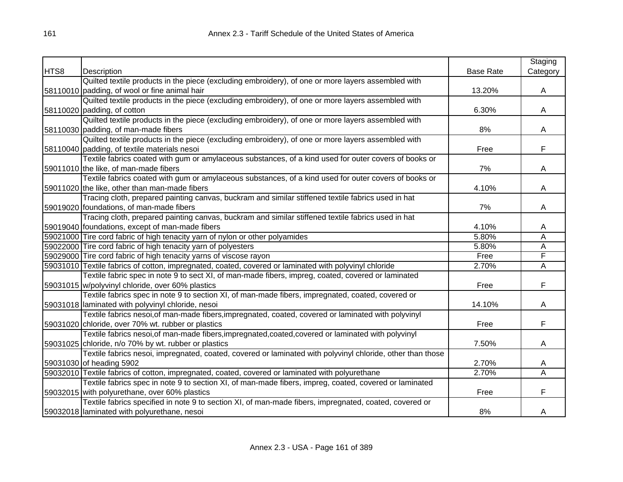|      |                                                                                                            |                  | Staging                 |
|------|------------------------------------------------------------------------------------------------------------|------------------|-------------------------|
| HTS8 | Description                                                                                                | <b>Base Rate</b> | Category                |
|      | Quilted textile products in the piece (excluding embroidery), of one or more layers assembled with         |                  |                         |
|      | 58110010 padding, of wool or fine animal hair                                                              | 13.20%           | A                       |
|      | Quilted textile products in the piece (excluding embroidery), of one or more layers assembled with         |                  |                         |
|      | 58110020 padding, of cotton                                                                                | 6.30%            | A                       |
|      | Quilted textile products in the piece (excluding embroidery), of one or more layers assembled with         |                  |                         |
|      | 58110030 padding, of man-made fibers                                                                       | 8%               | A                       |
|      | Quilted textile products in the piece (excluding embroidery), of one or more layers assembled with         |                  |                         |
|      | 58110040 padding, of textile materials nesoi                                                               | Free             | F                       |
|      | Textile fabrics coated with gum or amylaceous substances, of a kind used for outer covers of books or      |                  |                         |
|      | 59011010 the like, of man-made fibers                                                                      | 7%               | A                       |
|      | Textile fabrics coated with gum or amylaceous substances, of a kind used for outer covers of books or      |                  |                         |
|      | 59011020 the like, other than man-made fibers                                                              | 4.10%            | A                       |
|      | Tracing cloth, prepared painting canvas, buckram and similar stiffened textile fabrics used in hat         |                  |                         |
|      | 59019020 foundations, of man-made fibers                                                                   | 7%               | A                       |
|      | Tracing cloth, prepared painting canvas, buckram and similar stiffened textile fabrics used in hat         |                  |                         |
|      | 59019040 foundations, except of man-made fibers                                                            | 4.10%            | A                       |
|      | 59021000 Tire cord fabric of high tenacity yarn of nylon or other polyamides                               | 5.80%            | Ā                       |
|      | 59022000 Tire cord fabric of high tenacity yarn of polyesters                                              | 5.80%            | $\overline{\mathsf{A}}$ |
|      | 59029000 Tire cord fabric of high tenacity yarns of viscose rayon                                          | Free             | F                       |
|      | 59031010 Textile fabrics of cotton, impregnated, coated, covered or laminated with polyvinyl chloride      | 2.70%            | $\overline{\mathsf{A}}$ |
|      | Textile fabric spec in note 9 to sect XI, of man-made fibers, impreg, coated, covered or laminated         |                  |                         |
|      | 59031015 w/polyvinyl chloride, over 60% plastics                                                           | Free             | F                       |
|      | Textile fabrics spec in note 9 to section XI, of man-made fibers, impregnated, coated, covered or          |                  |                         |
|      | 59031018 laminated with polyvinyl chloride, nesoi                                                          | 14.10%           | A                       |
|      | Textile fabrics nesoi, of man-made fibers, impregnated, coated, covered or laminated with polyvinyl        |                  |                         |
|      | 59031020 chloride, over 70% wt. rubber or plastics                                                         | Free             | F                       |
|      | Textile fabrics nesoi, of man-made fibers, impregnated, coated, covered or laminated with polyvinyl        |                  |                         |
|      | 59031025 chloride, n/o 70% by wt. rubber or plastics                                                       | 7.50%            | A                       |
|      | Textile fabrics nesoi, impregnated, coated, covered or laminated with polyvinyl chloride, other than those |                  |                         |
|      | 59031030 of heading 5902                                                                                   | 2.70%            | A                       |
|      | 59032010 Textile fabrics of cotton, impregnated, coated, covered or laminated with polyurethane            | 2.70%            | $\overline{\mathsf{A}}$ |
|      | Textile fabrics spec in note 9 to section XI, of man-made fibers, impreg, coated, covered or laminated     |                  |                         |
|      | 59032015 with polyurethane, over 60% plastics                                                              | Free             | F                       |
|      | Textile fabrics specified in note 9 to section XI, of man-made fibers, impregnated, coated, covered or     |                  |                         |
|      | 59032018 laminated with polyurethane, nesoi                                                                | 8%               | A                       |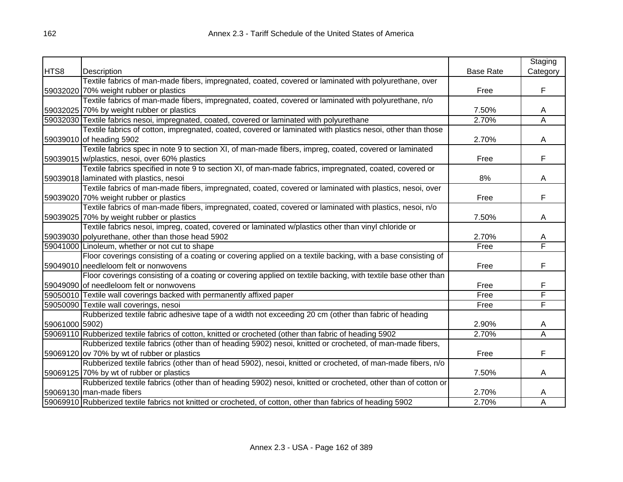|                |                                                                                                              |                  | Staging      |
|----------------|--------------------------------------------------------------------------------------------------------------|------------------|--------------|
| HTS8           | Description                                                                                                  | <b>Base Rate</b> | Category     |
|                | Textile fabrics of man-made fibers, impregnated, coated, covered or laminated with polyurethane, over        |                  |              |
|                | 59032020 70% weight rubber or plastics                                                                       | Free             | F            |
|                | Textile fabrics of man-made fibers, impregnated, coated, covered or laminated with polyurethane, n/o         |                  |              |
|                | 59032025 70% by weight rubber or plastics                                                                    | 7.50%            | $\mathsf{A}$ |
|                | 59032030 Textile fabrics nesoi, impregnated, coated, covered or laminated with polyurethane                  | 2.70%            | A            |
|                | Textile fabrics of cotton, impregnated, coated, covered or laminated with plastics nesoi, other than those   |                  |              |
|                | 59039010 of heading 5902                                                                                     | 2.70%            | A            |
|                | Textile fabrics spec in note 9 to section XI, of man-made fibers, impreg, coated, covered or laminated       |                  |              |
|                | 59039015 w/plastics, nesoi, over 60% plastics                                                                | Free             | F            |
|                | Textile fabrics specified in note 9 to section XI, of man-made fabrics, impregnated, coated, covered or      |                  |              |
|                | 59039018 laminated with plastics, nesoi                                                                      | 8%               | A            |
|                | Textile fabrics of man-made fibers, impregnated, coated, covered or laminated with plastics, nesoi, over     |                  |              |
|                | 59039020 70% weight rubber or plastics                                                                       | Free             | F            |
|                | Textile fabrics of man-made fibers, impregnated, coated, covered or laminated with plastics, nesoi, n/o      |                  |              |
|                | 59039025 70% by weight rubber or plastics                                                                    | 7.50%            | A            |
|                | Textile fabrics nesoi, impreg, coated, covered or laminated w/plastics other than vinyl chloride or          |                  |              |
|                | 59039030 polyurethane, other than those head 5902                                                            | 2.70%            | A            |
|                | 59041000 Linoleum, whether or not cut to shape                                                               | Free             | F            |
|                | Floor coverings consisting of a coating or covering applied on a textile backing, with a base consisting of  |                  |              |
|                | 59049010 needleloom felt or nonwovens                                                                        | Free             | F            |
|                | Floor coverings consisting of a coating or covering applied on textile backing, with textile base other than |                  |              |
|                | 59049090 of needleloom felt or nonwovens                                                                     | Free             | F            |
|                | 59050010 Textile wall coverings backed with permanently affixed paper                                        | Free             | F            |
|                | 59050090 Textile wall coverings, nesoi                                                                       | Free             | F            |
|                | Rubberized textile fabric adhesive tape of a width not exceeding 20 cm (other than fabric of heading         |                  |              |
| 59061000 5902) |                                                                                                              | 2.90%            | A            |
|                | 59069110 Rubberized textile fabrics of cotton, knitted or crocheted (other than fabric of heading 5902       | 2.70%            | Ā            |
|                | Rubberized textile fabrics (other than of heading 5902) nesoi, knitted or crocheted, of man-made fibers,     |                  |              |
|                | 59069120 ov 70% by wt of rubber or plastics                                                                  | Free             | F            |
|                | Rubberized textile fabrics (other than of head 5902), nesoi, knitted or crocheted, of man-made fibers, n/o   |                  |              |
|                | 59069125 70% by wt of rubber or plastics                                                                     | 7.50%            | A            |
|                | Rubberized textile fabrics (other than of heading 5902) nesoi, knitted or crocheted, other than of cotton or |                  |              |
|                | 59069130 man-made fibers                                                                                     | 2.70%            | A            |
|                | 59069910 Rubberized textile fabrics not knitted or crocheted, of cotton, other than fabrics of heading 5902  | 2.70%            | A            |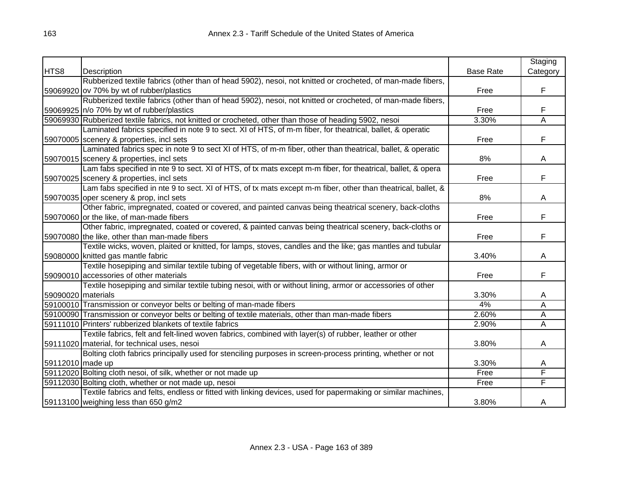|                    |                                                                                                               |                  | Staging  |
|--------------------|---------------------------------------------------------------------------------------------------------------|------------------|----------|
| HTS8               | Description                                                                                                   | <b>Base Rate</b> | Category |
|                    | Rubberized textile fabrics (other than of head 5902), nesoi, not knitted or crocheted, of man-made fibers,    |                  |          |
|                    | 59069920 ov 70% by wt of rubber/plastics                                                                      | Free             | F        |
|                    | Rubberized textile fabrics (other than of head 5902), nesoi, not knitted or crocheted, of man-made fibers,    |                  |          |
|                    | 59069925 n/o 70% by wt of rubber/plastics                                                                     | Free             | F        |
|                    | 59069930 Rubberized textile fabrics, not knitted or crocheted, other than those of heading 5902, nesoi        | 3.30%            | A        |
|                    | Laminated fabrics specified in note 9 to sect. XI of HTS, of m-m fiber, for theatrical, ballet, & operatic    |                  |          |
|                    | 59070005 scenery & properties, incl sets                                                                      | Free             | F        |
|                    | Laminated fabrics spec in note 9 to sect XI of HTS, of m-m fiber, other than theatrical, ballet, & operatic   |                  |          |
|                    | 59070015 scenery & properties, incl sets                                                                      | 8%               | A        |
|                    | Lam fabs specified in nte 9 to sect. XI of HTS, of tx mats except m-m fiber, for theatrical, ballet, & opera  |                  |          |
|                    | 59070025 Scenery & properties, incl sets                                                                      | Free             | F        |
|                    | Lam fabs specified in nte 9 to sect. XI of HTS, of tx mats except m-m fiber, other than theatrical, ballet, & |                  |          |
|                    | 59070035 oper scenery & prop, incl sets                                                                       | 8%               | A        |
|                    | Other fabric, impregnated, coated or covered, and painted canvas being theatrical scenery, back-cloths        |                  |          |
|                    | 59070060 or the like, of man-made fibers                                                                      | Free             | F        |
|                    | Other fabric, impregnated, coated or covered, & painted canvas being theatrical scenery, back-cloths or       |                  |          |
|                    | 59070080 the like, other than man-made fibers                                                                 | Free             | F        |
|                    | Textile wicks, woven, plaited or knitted, for lamps, stoves, candles and the like; gas mantles and tubular    |                  |          |
|                    | 59080000 knitted gas mantle fabric                                                                            | 3.40%            | A        |
|                    | Textile hosepiping and similar textile tubing of vegetable fibers, with or without lining, armor or           |                  |          |
|                    | 59090010 accessories of other materials                                                                       | Free             | F        |
|                    | Textile hosepiping and similar textile tubing nesoi, with or without lining, armor or accessories of other    |                  |          |
| 59090020 materials |                                                                                                               | 3.30%            | A        |
|                    | 59100010 Transmission or conveyor belts or belting of man-made fibers                                         | 4%               | Α        |
|                    | 59100090 Transmission or conveyor belts or belting of textile materials, other than man-made fibers           | 2.60%            | Α        |
|                    | 59111010 Printers' rubberized blankets of textile fabrics                                                     | 2.90%            | A        |
|                    | Textile fabrics, felt and felt-lined woven fabrics, combined with layer(s) of rubber, leather or other        |                  |          |
|                    | 59111020 material, for technical uses, nesoi                                                                  | 3.80%            | A        |
|                    | Bolting cloth fabrics principally used for stenciling purposes in screen-process printing, whether or not     |                  |          |
| 59112010 made up   |                                                                                                               | 3.30%            | A        |
|                    | 59112020 Bolting cloth nesoi, of silk, whether or not made up                                                 | Free             | F        |
|                    | 59112030 Bolting cloth, whether or not made up, nesoi                                                         | Free             | F        |
|                    | Textile fabrics and felts, endless or fitted with linking devices, used for papermaking or similar machines,  |                  |          |
|                    | 59113100 weighing less than 650 g/m2                                                                          | 3.80%            | A        |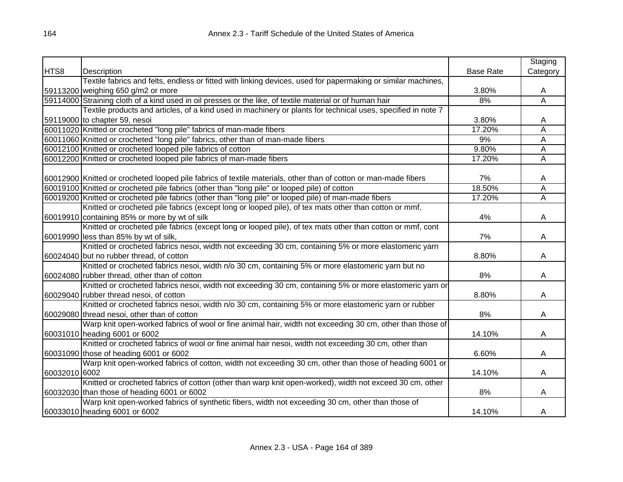|               |                                                                                                                 |                  | Staging        |
|---------------|-----------------------------------------------------------------------------------------------------------------|------------------|----------------|
| HTS8          | Description                                                                                                     | <b>Base Rate</b> | Category       |
|               | Textile fabrics and felts, endless or fitted with linking devices, used for papermaking or similar machines,    |                  |                |
|               | 59113200 weighing 650 g/m2 or more                                                                              | 3.80%            | A              |
|               | 59114000 Straining cloth of a kind used in oil presses or the like, of textile material or of human hair        | 8%               | Ā              |
|               | Textile products and articles, of a kind used in machinery or plants for technical uses, specified in note 7    |                  |                |
|               | 59119000 to chapter 59, nesoi                                                                                   | 3.80%            | A              |
|               | 60011020 Knitted or crocheted "long pile" fabrics of man-made fibers                                            | 17.20%           | Ā              |
|               | 60011060 Knitted or crocheted "long pile" fabrics, other than of man-made fibers                                | 9%               | $\overline{A}$ |
|               | 60012100 Knitted or crocheted looped pile fabrics of cotton                                                     | 9.80%            | A              |
|               | 60012200 Knitted or crocheted looped pile fabrics of man-made fibers                                            | 17.20%           | A              |
|               |                                                                                                                 |                  |                |
|               | 60012900 Knitted or crocheted looped pile fabrics of textile materials, other than of cotton or man-made fibers | 7%               | A              |
|               | 60019100 Knitted or crocheted pile fabrics (other than "long pile" or looped pile) of cotton                    | 18.50%           | A              |
|               | 60019200 Knitted or crocheted pile fabrics (other than "long pile" or looped pile) of man-made fibers           | 17.20%           | A              |
|               | Knitted or crocheted pile fabrics (except long or looped pile), of tex mats other than cotton or mmf,           |                  |                |
|               | 60019910 containing 85% or more by wt of silk                                                                   | 4%               | A              |
|               | Knitted or crocheted pile fabrics (except long or looped pile), of tex mats other than cotton or mmf, cont      |                  |                |
|               | 60019990 less than 85% by wt of silk,                                                                           | 7%               | A              |
|               | Knitted or crocheted fabrics nesoi, width not exceeding 30 cm, containing 5% or more elastomeric yarn           |                  |                |
|               | 60024040 but no rubber thread, of cotton                                                                        | 8.80%            | A              |
|               | Knitted or crocheted fabrics nesoi, width n/o 30 cm, containing 5% or more elastomeric yarn but no              |                  |                |
|               | 60024080 rubber thread, other than of cotton                                                                    | 8%               | A              |
|               | Knitted or crocheted fabrics nesoi, width not exceeding 30 cm, containing 5% or more elastomeric yarn or        |                  |                |
|               | 60029040 rubber thread nesoi, of cotton                                                                         | 8.80%            | A              |
|               | Knitted or crocheted fabrics nesoi, width n/o 30 cm, containing 5% or more elastomeric yarn or rubber           |                  |                |
|               | 60029080 thread nesoi, other than of cotton                                                                     | 8%               | A              |
|               | Warp knit open-worked fabrics of wool or fine animal hair, width not exceeding 30 cm, other than those of       |                  |                |
|               | 60031010 heading 6001 or 6002                                                                                   | 14.10%           | A              |
|               | Knitted or crocheted fabrics of wool or fine animal hair nesoi, width not exceeding 30 cm, other than           |                  |                |
|               | 60031090 those of heading 6001 or 6002                                                                          | 6.60%            | A              |
|               | Warp knit open-worked fabrics of cotton, width not exceeding 30 cm, other than those of heading 6001 or         |                  |                |
| 60032010 6002 |                                                                                                                 | 14.10%           | A              |
|               | Knitted or crocheted fabrics of cotton (other than warp knit open-worked), width not exceed 30 cm, other        |                  |                |
|               | 60032030 than those of heading 6001 or 6002                                                                     | 8%               | A              |
|               | Warp knit open-worked fabrics of synthetic fibers, width not exceeding 30 cm, other than those of               |                  |                |
|               | 60033010 heading 6001 or 6002                                                                                   | 14.10%           | A              |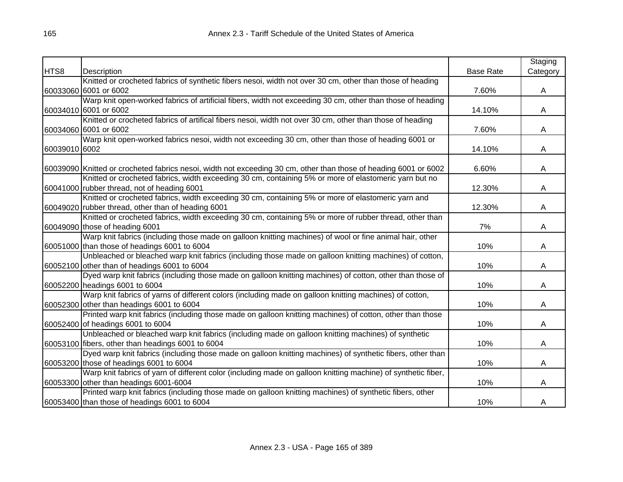|               |                                                                                                                  |                  | Staging  |
|---------------|------------------------------------------------------------------------------------------------------------------|------------------|----------|
| HTS8          | Description                                                                                                      | <b>Base Rate</b> | Category |
|               | Knitted or crocheted fabrics of synthetic fibers nesoi, width not over 30 cm, other than those of heading        |                  |          |
|               | 60033060 6001 or 6002                                                                                            | 7.60%            | A        |
|               | Warp knit open-worked fabrics of artificial fibers, width not exceeding 30 cm, other than those of heading       |                  |          |
|               | 60034010 6001 or 6002                                                                                            | 14.10%           | A        |
|               | Knitted or crocheted fabrics of artifical fibers nesoi, width not over 30 cm, other than those of heading        |                  |          |
|               | 60034060 6001 or 6002                                                                                            | 7.60%            | A        |
|               | Warp knit open-worked fabrics nesoi, width not exceeding 30 cm, other than those of heading 6001 or              |                  |          |
| 60039010 6002 |                                                                                                                  | 14.10%           | A        |
|               |                                                                                                                  |                  |          |
|               | 60039090 Knitted or crocheted fabrics nesoi, width not exceeding 30 cm, other than those of heading 6001 or 6002 | 6.60%            | A        |
|               | Knitted or crocheted fabrics, width exceeding 30 cm, containing 5% or more of elastomeric yarn but no            |                  |          |
|               | 60041000 rubber thread, not of heading 6001                                                                      | 12.30%           | A        |
|               | Knitted or crocheted fabrics, width exceeding 30 cm, containing 5% or more of elastomeric yarn and               |                  |          |
|               | 60049020 rubber thread, other than of heading 6001                                                               | 12.30%           | A        |
|               | Knitted or crocheted fabrics, width exceeding 30 cm, containing 5% or more of rubber thread, other than          |                  |          |
|               | 60049090 those of heading 6001                                                                                   | 7%               | A        |
|               | Warp knit fabrics (including those made on galloon knitting machines) of wool or fine animal hair, other         |                  |          |
|               | 60051000 than those of headings 6001 to 6004                                                                     | 10%              | A        |
|               | Unbleached or bleached warp knit fabrics (including those made on galloon knitting machines) of cotton,          |                  |          |
|               | 60052100 other than of headings 6001 to 6004                                                                     | 10%              | A        |
|               | Dyed warp knit fabrics (including those made on galloon knitting machines) of cotton, other than those of        |                  |          |
|               | 60052200 headings 6001 to 6004                                                                                   | 10%              | A        |
|               | Warp knit fabrics of yarns of different colors (including made on galloon knitting machines) of cotton,          |                  |          |
|               | 60052300 other than headings 6001 to 6004                                                                        | 10%              | A        |
|               | Printed warp knit fabrics (including those made on galloon knitting machines) of cotton, other than those        |                  |          |
|               | 60052400 of headings 6001 to 6004                                                                                | 10%              | A        |
|               | Unbleached or bleached warp knit fabrics (including made on galloon knitting machines) of synthetic              |                  |          |
|               | 60053100 fibers, other than headings 6001 to 6004                                                                | 10%              | A        |
|               | Dyed warp knit fabrics (including those made on galloon knitting machines) of synthetic fibers, other than       |                  |          |
|               | 60053200 those of headings 6001 to 6004                                                                          | 10%              | A        |
|               | Warp knit fabrics of yarn of different color (including made on galloon knitting machine) of synthetic fiber,    |                  |          |
|               | 60053300 other than headings 6001-6004                                                                           | 10%              | A        |
|               | Printed warp knit fabrics (including those made on galloon knitting machines) of synthetic fibers, other         |                  |          |
|               | 60053400 than those of headings 6001 to 6004                                                                     | 10%              | A        |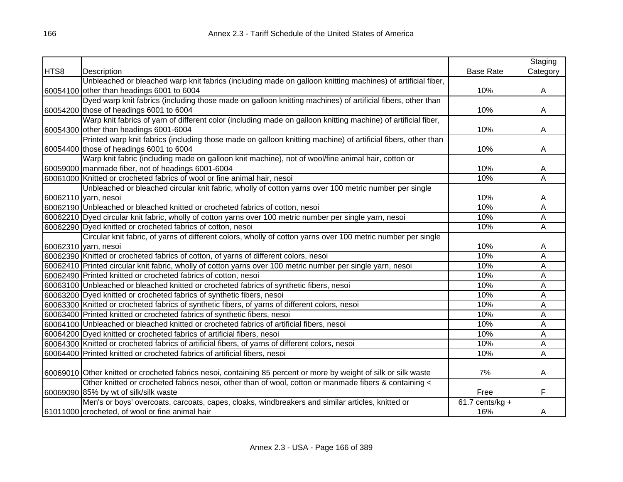|      |                                                                                                                  |                   | Staging  |
|------|------------------------------------------------------------------------------------------------------------------|-------------------|----------|
| HTS8 | Description                                                                                                      | <b>Base Rate</b>  | Category |
|      | Unbleached or bleached warp knit fabrics (including made on galloon knitting machines) of artificial fiber,      |                   |          |
|      | 60054100 other than headings 6001 to 6004                                                                        | 10%               | A        |
|      | Dyed warp knit fabrics (including those made on galloon knitting machines) of artificial fibers, other than      |                   |          |
|      | 60054200 those of headings 6001 to 6004                                                                          | 10%               | A        |
|      | Warp knit fabrics of yarn of different color (including made on galloon knitting machine) of artificial fiber,   |                   |          |
|      | 60054300 other than headings 6001-6004                                                                           | 10%               | A        |
|      | Printed warp knit fabrics (including those made on galloon knitting machine) of artificial fibers, other than    |                   |          |
|      | 60054400 those of headings 6001 to 6004                                                                          | 10%               | A        |
|      | Warp knit fabric (including made on galloon knit machine), not of wool/fine animal hair, cotton or               |                   |          |
|      | 60059000 manmade fiber, not of headings 6001-6004                                                                | 10%               | A        |
|      | 60061000 Knitted or crocheted fabrics of wool or fine animal hair, nesoi                                         | 10%               | A        |
|      | Unbleached or bleached circular knit fabric, wholly of cotton yarns over 100 metric number per single            |                   |          |
|      | 60062110 yarn, nesoi                                                                                             | 10%               | A        |
|      | 60062190 Unbleached or bleached knitted or crocheted fabrics of cotton, nesoi                                    | 10%               | Α        |
|      | 60062210 Dyed circular knit fabric, wholly of cotton yarns over 100 metric number per single yarn, nesoi         | 10%               | Α        |
|      | 60062290 Dyed knitted or crocheted fabrics of cotton, nesoi                                                      | 10%               | Α        |
|      | Circular knit fabric, of yarns of different colors, wholly of cotton yarns over 100 metric number per single     |                   |          |
|      | 60062310 yarn, nesoi                                                                                             | 10%               | A        |
|      | 60062390 Knitted or crocheted fabrics of cotton, of yarns of different colors, nesoi                             | 10%               | Α        |
|      | 60062410 Printed circular knit fabric, wholly of cotton yarns over 100 metric number per single yarn, nesoi      | 10%               | Α        |
|      | 60062490 Printed knitted or crocheted fabrics of cotton, nesoi                                                   | 10%               | Α        |
|      | 60063100 Unbleached or bleached knitted or crocheted fabrics of synthetic fibers, nesoi                          | 10%               | Α        |
|      | 60063200 Dyed knitted or crocheted fabrics of synthetic fibers, nesoi                                            | 10%               | Α        |
|      | 60063300 Knitted or crocheted fabrics of synthetic fibers, of yarns of different colors, nesoi                   | 10%               | Α        |
|      | 60063400 Printed knitted or crocheted fabrics of synthetic fibers, nesoi                                         | 10%               | Α        |
|      | 60064100 Unbleached or bleached knitted or crocheted fabrics of artificial fibers, nesoi                         | 10%               | Α        |
|      | 60064200 Dyed knitted or crocheted fabrics of artificial fibers, nesoi                                           | 10%               | A        |
|      | 60064300 Knitted or crocheted fabrics of artificial fibers, of yarns of different colors, nesoi                  | 10%               | Α        |
|      | 60064400 Printed knitted or crocheted fabrics of artificial fibers, nesoi                                        | 10%               | Α        |
|      |                                                                                                                  |                   |          |
|      | 60069010 Other knitted or crocheted fabrics nesoi, containing 85 percent or more by weight of silk or silk waste | 7%                | A        |
|      | Other knitted or crocheted fabrics nesoi, other than of wool, cotton or manmade fibers & containing <            |                   |          |
|      | 60069090 85% by wt of silk/silk waste                                                                            | Free              | F        |
|      | Men's or boys' overcoats, carcoats, capes, cloaks, windbreakers and similar articles, knitted or                 | $61.7$ cents/kg + |          |
|      | 61011000 crocheted, of wool or fine animal hair                                                                  | 16%               | A        |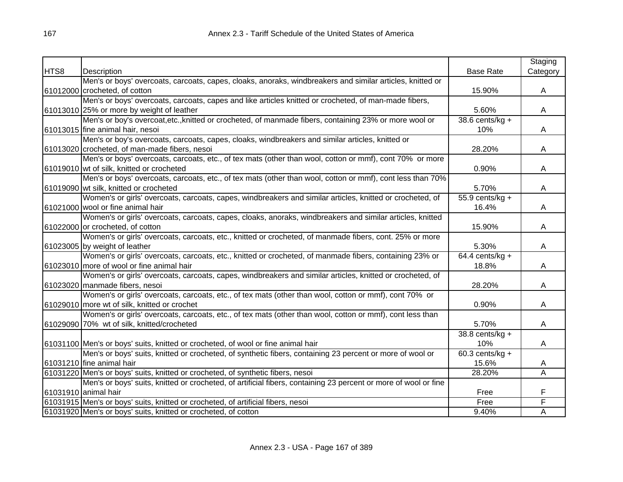|      |                                                                                                                 |                    | Staging  |
|------|-----------------------------------------------------------------------------------------------------------------|--------------------|----------|
| HTS8 | Description                                                                                                     | <b>Base Rate</b>   | Category |
|      | Men's or boys' overcoats, carcoats, capes, cloaks, anoraks, windbreakers and similar articles, knitted or       |                    |          |
|      | 61012000 crocheted, of cotton                                                                                   | 15.90%             | A        |
|      | Men's or boys' overcoats, carcoats, capes and like articles knitted or crocheted, of man-made fibers,           |                    |          |
|      | 61013010 25% or more by weight of leather                                                                       | 5.60%              | A        |
|      | Men's or boy's overcoat, etc., knitted or crocheted, of manmade fibers, containing 23% or more wool or          | 38.6 cents/ $kg +$ |          |
|      | 61013015 fine animal hair, nesoi                                                                                | 10%                | A        |
|      | Men's or boy's overcoats, carcoats, capes, cloaks, windbreakers and similar articles, knitted or                |                    |          |
|      | 61013020 crocheted, of man-made fibers, nesoi                                                                   | 28.20%             | A        |
|      | Men's or boys' overcoats, carcoats, etc., of tex mats (other than wool, cotton or mmf), cont 70% or more        |                    |          |
|      | 61019010 wt of silk, knitted or crocheted                                                                       | 0.90%              | A        |
|      | Men's or boys' overcoats, carcoats, etc., of tex mats (other than wool, cotton or mmf), cont less than 70%      |                    |          |
|      | 61019090 wt silk, knitted or crocheted                                                                          | 5.70%              | A        |
|      | Women's or girls' overcoats, carcoats, capes, windbreakers and similar articles, knitted or crocheted, of       | 55.9 cents/ $kg +$ |          |
|      | 61021000 wool or fine animal hair                                                                               | 16.4%              | A        |
|      | Women's or girls' overcoats, carcoats, capes, cloaks, anoraks, windbreakers and similar articles, knitted       |                    |          |
|      | 61022000 or crocheted, of cotton                                                                                | 15.90%             | A        |
|      | Women's or girls' overcoats, carcoats, etc., knitted or crocheted, of manmade fibers, cont. 25% or more         |                    |          |
|      | 61023005 by weight of leather                                                                                   | 5.30%              | A        |
|      | Women's or girls' overcoats, carcoats, etc., knitted or crocheted, of manmade fibers, containing 23% or         | 64.4 cents/kg $+$  |          |
|      | 61023010 more of wool or fine animal hair                                                                       | 18.8%              | A        |
|      | Women's or girls' overcoats, carcoats, capes, windbreakers and similar articles, knitted or crocheted, of       |                    |          |
|      | 61023020 manmade fibers, nesoi                                                                                  | 28.20%             | A        |
|      | Women's or girls' overcoats, carcoats, etc., of tex mats (other than wool, cotton or mmf), cont 70% or          |                    |          |
|      | 61029010 more wt of silk, knitted or crochet                                                                    | 0.90%              | A        |
|      | Women's or girls' overcoats, carcoats, etc., of tex mats (other than wool, cotton or mmf), cont less than       |                    |          |
|      | 61029090 70% wt of silk, knitted/crocheted                                                                      | 5.70%              | A        |
|      |                                                                                                                 | 38.8 cents/kg +    |          |
|      | 61031100 Men's or boys' suits, knitted or crocheted, of wool or fine animal hair                                | 10%                | A        |
|      | Men's or boys' suits, knitted or crocheted, of synthetic fibers, containing 23 percent or more of wool or       | 60.3 cents/kg $+$  |          |
|      | 61031210 fine animal hair                                                                                       | 15.6%              | A        |
|      | 61031220 Men's or boys' suits, knitted or crocheted, of synthetic fibers, nesoi                                 | 28.20%             | A        |
|      | Men's or boys' suits, knitted or crocheted, of artificial fibers, containing 23 percent or more of wool or fine |                    |          |
|      | 61031910 animal hair                                                                                            | Free               | F        |
|      | 61031915 Men's or boys' suits, knitted or crocheted, of artificial fibers, nesoi                                | Free               | F        |
|      | 61031920 Men's or boys' suits, knitted or crocheted, of cotton                                                  | 9.40%              | Α        |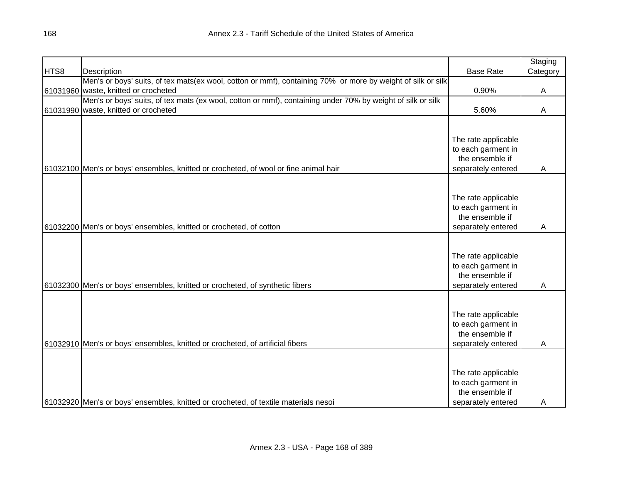|      |                                                                                                             |                     | Staging  |
|------|-------------------------------------------------------------------------------------------------------------|---------------------|----------|
| HTS8 | Description                                                                                                 | <b>Base Rate</b>    | Category |
|      | Men's or boys' suits, of tex mats(ex wool, cotton or mmf), containing 70% or more by weight of silk or silk |                     |          |
|      | 61031960 waste, knitted or crocheted                                                                        | 0.90%               | Α        |
|      | Men's or boys' suits, of tex mats (ex wool, cotton or mmf), containing under 70% by weight of silk or silk  |                     |          |
|      | 61031990 waste, knitted or crocheted                                                                        | 5.60%               | A        |
|      |                                                                                                             |                     |          |
|      |                                                                                                             |                     |          |
|      |                                                                                                             | The rate applicable |          |
|      |                                                                                                             | to each garment in  |          |
|      |                                                                                                             | the ensemble if     |          |
|      | 61032100 Men's or boys' ensembles, knitted or crocheted, of wool or fine animal hair                        | separately entered  | A        |
|      |                                                                                                             |                     |          |
|      |                                                                                                             |                     |          |
|      |                                                                                                             | The rate applicable |          |
|      |                                                                                                             | to each garment in  |          |
|      |                                                                                                             | the ensemble if     |          |
|      | 61032200 Men's or boys' ensembles, knitted or crocheted, of cotton                                          | separately entered  | A        |
|      |                                                                                                             |                     |          |
|      |                                                                                                             |                     |          |
|      |                                                                                                             | The rate applicable |          |
|      |                                                                                                             | to each garment in  |          |
|      |                                                                                                             | the ensemble if     |          |
|      | 61032300 Men's or boys' ensembles, knitted or crocheted, of synthetic fibers                                | separately entered  | Α        |
|      |                                                                                                             |                     |          |
|      |                                                                                                             |                     |          |
|      |                                                                                                             | The rate applicable |          |
|      |                                                                                                             | to each garment in  |          |
|      |                                                                                                             | the ensemble if     |          |
|      | 61032910 Men's or boys' ensembles, knitted or crocheted, of artificial fibers                               | separately entered  | A        |
|      |                                                                                                             |                     |          |
|      |                                                                                                             |                     |          |
|      |                                                                                                             | The rate applicable |          |
|      |                                                                                                             | to each garment in  |          |
|      |                                                                                                             | the ensemble if     |          |
|      | 61032920 Men's or boys' ensembles, knitted or crocheted, of textile materials nesoi                         | separately entered  | A        |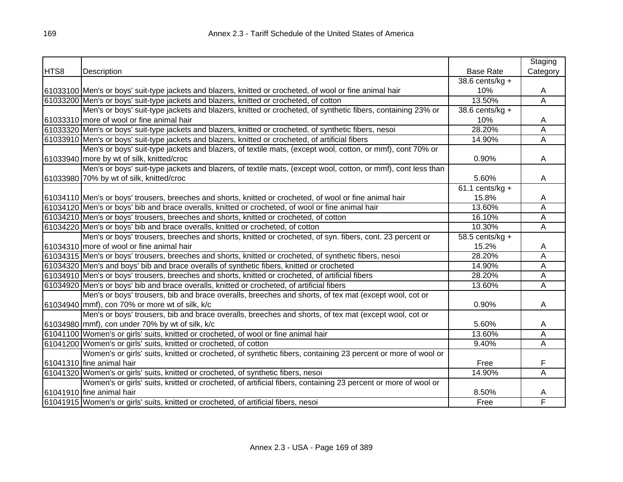|      |                                                                                                               |                    | Staging  |
|------|---------------------------------------------------------------------------------------------------------------|--------------------|----------|
| HTS8 | Description                                                                                                   | <b>Base Rate</b>   | Category |
|      |                                                                                                               | 38.6 cents/kg $+$  |          |
|      | 61033100 Men's or boys' suit-type jackets and blazers, knitted or crocheted, of wool or fine animal hair      | 10%                | A        |
|      | 61033200 Men's or boys' suit-type jackets and blazers, knitted or crocheted, of cotton                        | 13.50%             | Ā        |
|      | Men's or boys' suit-type jackets and blazers, knitted or crocheted, of synthetic fibers, containing 23% or    | 38.6 cents/ $kg +$ |          |
|      | 61033310 more of wool or fine animal hair                                                                     | 10%                | A        |
|      | 61033320 Men's or boys' suit-type jackets and blazers, knitted or crocheted, of synthetic fibers, nesoi       | 28.20%             | Α        |
|      | 61033910 Men's or boys' suit-type jackets and blazers, knitted or crocheted, of artificial fibers             | 14.90%             | Α        |
|      | Men's or boys' suit-type jackets and blazers, of textile mats, (except wool, cotton, or mmf), cont 70% or     |                    |          |
|      | 61033940 more by wt of silk, knitted/croc                                                                     | 0.90%              | A        |
|      | Men's or boys' suit-type jackets and blazers, of textile mats, (except wool, cotton, or mmf), cont less than  |                    |          |
|      | 61033980 70% by wt of silk, knitted/croc                                                                      | 5.60%              | A        |
|      |                                                                                                               | $61.1$ cents/kg +  |          |
|      | 61034110 Men's or boys' trousers, breeches and shorts, knitted or crocheted, of wool or fine animal hair      | 15.8%              | A        |
|      | 61034120 Men's or boys' bib and brace overalls, knitted or crocheted, of wool or fine animal hair             | 13.60%             | A        |
|      | 61034210 Men's or boys' trousers, breeches and shorts, knitted or crocheted, of cotton                        | 16.10%             | Ā        |
|      | 61034220 Men's or boys' bib and brace overalls, knitted or crocheted, of cotton                               | 10.30%             | Α        |
|      | Men's or boys' trousers, breeches and shorts, knitted or crocheted, of syn. fibers, cont. 23 percent or       | $58.5$ cents/kg +  |          |
|      | 61034310 more of wool or fine animal hair                                                                     | 15.2%              | A        |
|      | 61034315 Men's or boys' trousers, breeches and shorts, knitted or crocheted, of synthetic fibers, nesoi       | 28.20%             | Α        |
|      | 61034320 Men's and boys' bib and brace overalls of synthetic fibers, knitted or crocheted                     | 14.90%             | Α        |
|      | 61034910 Men's or boys' trousers, breeches and shorts, knitted or crocheted, of artificial fibers             | 28.20%             | Α        |
|      | 61034920 Men's or boys' bib and brace overalls, knitted or crocheted, of artificial fibers                    | 13.60%             | Ā        |
|      | Men's or boys' trousers, bib and brace overalls, breeches and shorts, of tex mat (except wool, cot or         |                    |          |
|      | 61034940 mmf), con 70% or more wt of silk, k/c                                                                | 0.90%              | A        |
|      | Men's or boys' trousers, bib and brace overalls, breeches and shorts, of tex mat (except wool, cot or         |                    |          |
|      | 61034980 mmf), con under 70% by wt of silk, k/c                                                               | 5.60%              | A        |
|      | 61041100 Women's or girls' suits, knitted or crocheted, of wool or fine animal hair                           | 13.60%             | Α        |
|      | 61041200 Women's or girls' suits, knitted or crocheted, of cotton                                             | 9.40%              | Ā        |
|      | Women's or girls' suits, knitted or crocheted, of synthetic fibers, containing 23 percent or more of wool or  |                    |          |
|      | 61041310 fine animal hair                                                                                     | Free               | F        |
|      | 61041320 Women's or girls' suits, knitted or crocheted, of synthetic fibers, nesoi                            | 14.90%             | A        |
|      | Women's or girls' suits, knitted or crocheted, of artificial fibers, containing 23 percent or more of wool or |                    |          |
|      | 61041910 fine animal hair                                                                                     | 8.50%              | A        |
|      | 61041915 Women's or girls' suits, knitted or crocheted, of artificial fibers, nesoi                           | Free               | F        |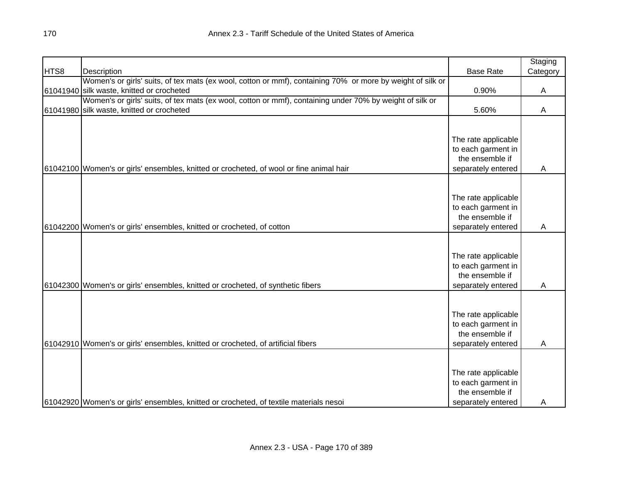|      |                                                                                                            |                                           | Staging  |
|------|------------------------------------------------------------------------------------------------------------|-------------------------------------------|----------|
| HTS8 | Description                                                                                                | <b>Base Rate</b>                          | Category |
|      | Women's or girls' suits, of tex mats (ex wool, cotton or mmf), containing 70% or more by weight of silk or |                                           |          |
|      | 61041940 silk waste, knitted or crocheted                                                                  | 0.90%                                     | A        |
|      | Women's or girls' suits, of tex mats (ex wool, cotton or mmf), containing under 70% by weight of silk or   |                                           |          |
|      | 61041980 silk waste, knitted or crocheted                                                                  | 5.60%                                     | A        |
|      |                                                                                                            |                                           |          |
|      |                                                                                                            |                                           |          |
|      |                                                                                                            | The rate applicable                       |          |
|      |                                                                                                            | to each garment in                        |          |
|      |                                                                                                            | the ensemble if                           |          |
|      | 61042100 Women's or girls' ensembles, knitted or crocheted, of wool or fine animal hair                    | separately entered                        | A        |
|      |                                                                                                            |                                           |          |
|      |                                                                                                            |                                           |          |
|      |                                                                                                            | The rate applicable                       |          |
|      |                                                                                                            | to each garment in                        |          |
|      |                                                                                                            | the ensemble if                           |          |
|      | 61042200 Women's or girls' ensembles, knitted or crocheted, of cotton                                      | separately entered                        | A        |
|      |                                                                                                            |                                           |          |
|      |                                                                                                            |                                           |          |
|      |                                                                                                            | The rate applicable<br>to each garment in |          |
|      |                                                                                                            | the ensemble if                           |          |
|      | 61042300 Women's or girls' ensembles, knitted or crocheted, of synthetic fibers                            | separately entered                        | A        |
|      |                                                                                                            |                                           |          |
|      |                                                                                                            |                                           |          |
|      |                                                                                                            | The rate applicable                       |          |
|      |                                                                                                            | to each garment in                        |          |
|      |                                                                                                            | the ensemble if                           |          |
|      | 61042910 Women's or girls' ensembles, knitted or crocheted, of artificial fibers                           | separately entered                        | A        |
|      |                                                                                                            |                                           |          |
|      |                                                                                                            |                                           |          |
|      |                                                                                                            | The rate applicable                       |          |
|      |                                                                                                            | to each garment in                        |          |
|      |                                                                                                            | the ensemble if                           |          |
|      | 61042920 Women's or girls' ensembles, knitted or crocheted, of textile materials nesoi                     | separately entered                        | A        |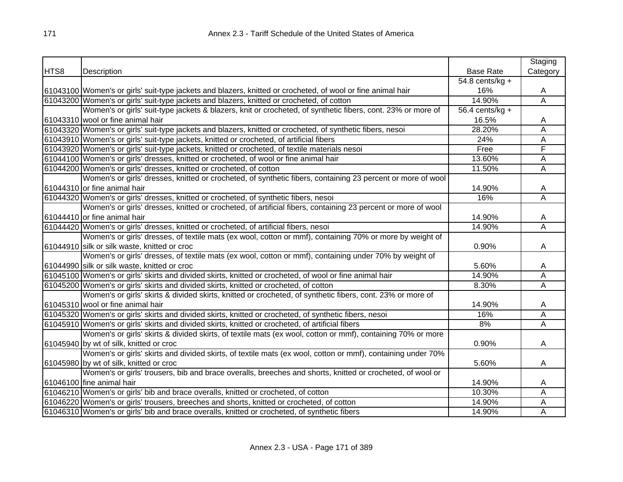|      |                                                                                                              |                   | Staging                 |
|------|--------------------------------------------------------------------------------------------------------------|-------------------|-------------------------|
| HTS8 | Description                                                                                                  | <b>Base Rate</b>  | Category                |
|      |                                                                                                              | 54.8 cents/kg $+$ |                         |
|      | 61043100 Women's or girls' suit-type jackets and blazers, knitted or crocheted, of wool or fine animal hair  | 16%               | A                       |
|      | 61043200 Women's or girls' suit-type jackets and blazers, knitted or crocheted, of cotton                    | 14.90%            | $\overline{\mathsf{A}}$ |
|      | Women's or girls' suit-type jackets & blazers, knit or crocheted, of synthetic fibers, cont. 23% or more of  | 56.4 cents/kg $+$ |                         |
|      | 61043310 wool or fine animal hair                                                                            | 16.5%             | A                       |
|      | 61043320 Women's or girls' suit-type jackets and blazers, knitted or crocheted, of synthetic fibers, nesoi   | 28.20%            | Α                       |
|      | 61043910 Women's or girls' suit-type jackets, knitted or crocheted, of artificial fibers                     | 24%               | Α                       |
|      | 61043920 Women's or girls' suit-type jackets, knitted or crocheted, of textile materials nesoi               | Free              | F                       |
|      | 61044100 Women's or girls' dresses, knitted or crocheted, of wool or fine animal hair                        | 13.60%            | A                       |
|      | 61044200 Women's or girls' dresses, knitted or crocheted, of cotton                                          | 11.50%            | Ā                       |
|      | Women's or girls' dresses, knitted or crocheted, of synthetic fibers, containing 23 percent or more of wool  |                   |                         |
|      | 61044310 or fine animal hair                                                                                 | 14.90%            | A                       |
|      | 61044320 Women's or girls' dresses, knitted or crocheted, of synthetic fibers, nesoi                         | 16%               | Α                       |
|      | Women's or girls' dresses, knitted or crocheted, of artificial fibers, containing 23 percent or more of wool |                   |                         |
|      | 61044410 or fine animal hair                                                                                 | 14.90%            | A                       |
|      | 61044420 Women's or girls' dresses, knitted or crocheted, of artificial fibers, nesoi                        | 14.90%            | Ā                       |
|      | Women's or girls' dresses, of textile mats (ex wool, cotton or mmf), containing 70% or more by weight of     |                   |                         |
|      | 61044910 silk or silk waste, knitted or croc                                                                 | 0.90%             | A                       |
|      | Women's or girls' dresses, of textile mats (ex wool, cotton or mmf), containing under 70% by weight of       |                   |                         |
|      | 61044990 silk or silk waste, knitted or croc                                                                 | 5.60%             | A                       |
|      | 61045100 Women's or girls' skirts and divided skirts, knitted or crocheted, of wool or fine animal hair      | 14.90%            | А                       |
|      | 61045200 Women's or girls' skirts and divided skirts, knitted or crocheted, of cotton                        | 8.30%             | Ā                       |
|      | Women's or girls' skirts & divided skirts, knitted or crocheted, of synthetic fibers, cont. 23% or more of   |                   |                         |
|      | 61045310 wool or fine animal hair                                                                            | 14.90%            | A                       |
|      | 61045320 Women's or girls' skirts and divided skirts, knitted or crocheted, of synthetic fibers, nesoi       | 16%               | $\overline{\mathsf{A}}$ |
|      | 61045910 Women's or girls' skirts and divided skirts, knitted or crocheted, of artificial fibers             | 8%                | Ā                       |
|      | Women's or girls' skirts & divided skirts, of textile mats (ex wool, cotton or mmf), containing 70% or more  |                   |                         |
|      | 61045940 by wt of silk, knitted or croc                                                                      | 0.90%             | A                       |
|      | Women's or girls' skirts and divided skirts, of textile mats (ex wool, cotton or mmf), containing under 70%  |                   |                         |
|      | 61045980 by wt of silk, knitted or croc                                                                      | 5.60%             | A                       |
|      | Women's or girls' trousers, bib and brace overalls, breeches and shorts, knitted or crocheted, of wool or    |                   |                         |
|      | 61046100 fine animal hair                                                                                    | 14.90%            | A                       |
|      | 61046210 Women's or girls' bib and brace overalls, knitted or crocheted, of cotton                           | 10.30%            | Α                       |
|      | 61046220 Women's or girls' trousers, breeches and shorts, knitted or crocheted, of cotton                    | 14.90%            | А                       |
|      | 61046310 Women's or girls' bib and brace overalls, knitted or crocheted, of synthetic fibers                 | 14.90%            | Α                       |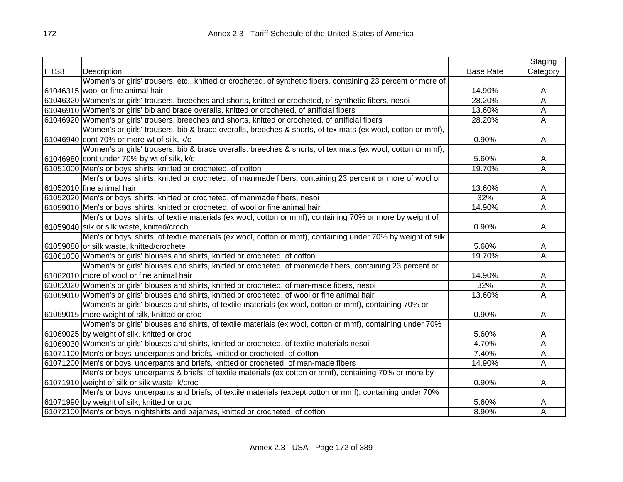|      |                                                                                                               |                  | Staging                 |
|------|---------------------------------------------------------------------------------------------------------------|------------------|-------------------------|
| HTS8 | Description                                                                                                   | <b>Base Rate</b> | Category                |
|      | Women's or girls' trousers, etc., knitted or crocheted, of synthetic fibers, containing 23 percent or more of |                  |                         |
|      | 61046315 wool or fine animal hair                                                                             | 14.90%           | A                       |
|      | 61046320 Women's or girls' trousers, breeches and shorts, knitted or crocheted, of synthetic fibers, nesoi    | 28.20%           | Α                       |
|      | 61046910 Women's or girls' bib and brace overalls, knitted or crocheted, of artificial fibers                 | 13.60%           | A                       |
|      | 61046920 Women's or girls' trousers, breeches and shorts, knitted or crocheted, of artificial fibers          | 28.20%           | A                       |
|      | Women's or girls' trousers, bib & brace overalls, breeches & shorts, of tex mats (ex wool, cotton or mmf),    |                  |                         |
|      | 61046940 cont 70% or more wt of silk, k/c                                                                     | 0.90%            | A                       |
|      | Women's or girls' trousers, bib & brace overalls, breeches & shorts, of tex mats (ex wool, cotton or mmf),    |                  |                         |
|      | 61046980 cont under 70% by wt of silk, k/c                                                                    | 5.60%            | A                       |
|      | 61051000 Men's or boys' shirts, knitted or crocheted, of cotton                                               | 19.70%           | Ā                       |
|      | Men's or boys' shirts, knitted or crocheted, of manmade fibers, containing 23 percent or more of wool or      |                  |                         |
|      | 61052010 fine animal hair                                                                                     | 13.60%           | A                       |
|      | 61052020 Men's or boys' shirts, knitted or crocheted, of manmade fibers, nesoi                                | 32%              | Α                       |
|      | 61059010 Men's or boys' shirts, knitted or crocheted, of wool or fine animal hair                             | 14.90%           | Α                       |
|      | Men's or boys' shirts, of textile materials (ex wool, cotton or mmf), containing 70% or more by weight of     |                  |                         |
|      | 61059040 silk or silk waste, knitted/croch                                                                    | 0.90%            | A                       |
|      | Men's or boys' shirts, of textile materials (ex wool, cotton or mmf), containing under 70% by weight of silk  |                  |                         |
|      | 61059080 or silk waste, knitted/crochete                                                                      | 5.60%            | A                       |
|      | 61061000 Women's or girls' blouses and shirts, knitted or crocheted, of cotton                                | 19.70%           | Ā                       |
|      | Women's or girls' blouses and shirts, knitted or crocheted, of manmade fibers, containing 23 percent or       |                  |                         |
|      | 61062010 more of wool or fine animal hair                                                                     | 14.90%           | A                       |
|      | 61062020 Women's or girls' blouses and shirts, knitted or crocheted, of man-made fibers, nesoi                | 32%              | $\overline{\mathsf{A}}$ |
|      | 61069010 Women's or girls' blouses and shirts, knitted or crocheted, of wool or fine animal hair              | 13.60%           | Ā                       |
|      | Women's or girls' blouses and shirts, of textile materials (ex wool, cotton or mmf), containing 70% or        |                  |                         |
|      | 61069015 more weight of silk, knitted or croc                                                                 | 0.90%            | A                       |
|      | Women's or girls' blouses and shirts, of textile materials (ex wool, cotton or mmf), containing under 70%     |                  |                         |
|      | 61069025 by weight of silk, knitted or croc                                                                   | 5.60%            | A                       |
|      | 61069030 Women's or girls' blouses and shirts, knitted or crocheted, of textile materials nesoi               | 4.70%            | Α                       |
|      | 61071100 Men's or boys' underpants and briefs, knitted or crocheted, of cotton                                | 7.40%            | A                       |
|      | 61071200 Men's or boys' underpants and briefs, knitted or crocheted, of man-made fibers                       | 14.90%           | A                       |
|      | Men's or boys' underpants & briefs, of textile materials (ex cotton or mmf), containing 70% or more by        |                  |                         |
|      | 61071910 weight of silk or silk waste, k/croc                                                                 | 0.90%            | A                       |
|      | Men's or boys' underpants and briefs, of textile materials (except cotton or mmf), containing under 70%       |                  |                         |
|      | 61071990 by weight of silk, knitted or croc                                                                   | 5.60%            | A                       |
|      | 61072100 Men's or boys' nightshirts and pajamas, knitted or crocheted, of cotton                              | 8.90%            | Α                       |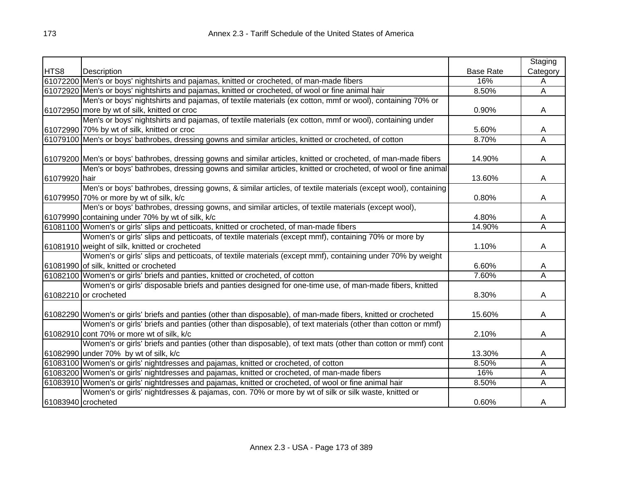|                    |                                                                                                                  |                  | Staging  |
|--------------------|------------------------------------------------------------------------------------------------------------------|------------------|----------|
| HTS8               | <b>Description</b>                                                                                               | <b>Base Rate</b> | Category |
|                    | 61072200 Men's or boys' nightshirts and pajamas, knitted or crocheted, of man-made fibers                        | 16%              | A        |
|                    | 61072920 Men's or boys' nightshirts and pajamas, knitted or crocheted, of wool or fine animal hair               | 8.50%            | A        |
|                    | Men's or boys' nightshirts and pajamas, of textile materials (ex cotton, mmf or wool), containing 70% or         |                  |          |
|                    | 61072950 more by wt of silk, knitted or croc                                                                     | 0.90%            | A        |
|                    | Men's or boys' nightshirts and pajamas, of textile materials (ex cotton, mmf or wool), containing under          |                  |          |
|                    | 61072990 70% by wt of silk, knitted or croc                                                                      | 5.60%            | A        |
|                    | 61079100 Men's or boys' bathrobes, dressing gowns and similar articles, knitted or crocheted, of cotton          | 8.70%            | Α        |
|                    |                                                                                                                  |                  |          |
|                    | 61079200 Men's or boys' bathrobes, dressing gowns and similar articles, knitted or crocheted, of man-made fibers | 14.90%           | A        |
|                    | Men's or boys' bathrobes, dressing gowns and similar articles, knitted or crocheted, of wool or fine animal      |                  |          |
| 61079920 hair      |                                                                                                                  | 13.60%           | A        |
|                    | Men's or boys' bathrobes, dressing gowns, & similar articles, of textile materials (except wool), containing     |                  |          |
|                    | 61079950 70% or more by wt of silk, k/c                                                                          | 0.80%            | A        |
|                    | Men's or boys' bathrobes, dressing gowns, and similar articles, of textile materials (except wool),              |                  |          |
|                    | 61079990 containing under 70% by wt of silk, k/c                                                                 | 4.80%            | A        |
|                    | 61081100 Women's or girls' slips and petticoats, knitted or crocheted, of man-made fibers                        | 14.90%           | Α        |
|                    | Women's or girls' slips and petticoats, of textile materials (except mmf), containing 70% or more by             |                  |          |
|                    | 61081910 weight of silk, knitted or crocheted                                                                    | 1.10%            | A        |
|                    | Women's or girls' slips and petticoats, of textile materials (except mmf), containing under 70% by weight        |                  |          |
|                    | 61081990 of silk, knitted or crocheted                                                                           | 6.60%            | A        |
|                    | 61082100 Women's or girls' briefs and panties, knitted or crocheted, of cotton                                   | 7.60%            | Α        |
|                    | Women's or girls' disposable briefs and panties designed for one-time use, of man-made fibers, knitted           |                  |          |
|                    | 61082210 or crocheted                                                                                            | 8.30%            | A        |
|                    |                                                                                                                  |                  |          |
|                    | 61082290 Women's or girls' briefs and panties (other than disposable), of man-made fibers, knitted or crocheted  | 15.60%           | A        |
|                    | Women's or girls' briefs and panties (other than disposable), of text materials (other than cotton or mmf)       |                  |          |
|                    | 61082910 cont 70% or more wt of silk, k/c                                                                        | 2.10%            | A        |
|                    | Women's or girls' briefs and panties (other than disposable), of text mats (other than cotton or mmf) cont       |                  |          |
|                    | 61082990 under 70% by wt of silk, k/c                                                                            | 13.30%           | A        |
|                    | 61083100 Women's or girls' nightdresses and pajamas, knitted or crocheted, of cotton                             | 8.50%            | A        |
|                    | 61083200 Women's or girls' nightdresses and pajamas, knitted or crocheted, of man-made fibers                    | 16%              | A        |
|                    | 61083910 Women's or girls' nightdresses and pajamas, knitted or crocheted, of wool or fine animal hair           | 8.50%            | Α        |
|                    | Women's or girls' nightdresses & pajamas, con. 70% or more by wt of silk or silk waste, knitted or               |                  |          |
| 61083940 crocheted |                                                                                                                  | 0.60%            | A        |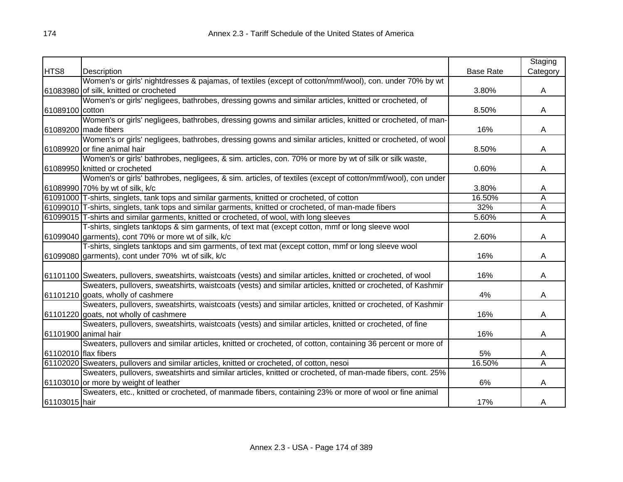|                      |                                                                                                                   |                  | Staging  |
|----------------------|-------------------------------------------------------------------------------------------------------------------|------------------|----------|
| HTS8                 | Description                                                                                                       | <b>Base Rate</b> | Category |
|                      | Women's or girls' nightdresses & pajamas, of textiles (except of cotton/mmf/wool), con. under 70% by wt           |                  |          |
|                      | 61083980 of silk, knitted or crocheted                                                                            | 3.80%            | A        |
|                      | Women's or girls' negligees, bathrobes, dressing gowns and similar articles, knitted or crocheted, of             |                  |          |
| 61089100 cotton      |                                                                                                                   | 8.50%            | A        |
|                      | Women's or girls' negligees, bathrobes, dressing gowns and similar articles, knitted or crocheted, of man-        |                  |          |
|                      | 61089200 made fibers                                                                                              | 16%              | A        |
|                      | Women's or girls' negligees, bathrobes, dressing gowns and similar articles, knitted or crocheted, of wool        |                  |          |
|                      | 61089920 or fine animal hair                                                                                      | 8.50%            | A        |
|                      | Women's or girls' bathrobes, negligees, & sim. articles, con. 70% or more by wt of silk or silk waste,            |                  |          |
|                      | 61089950 knitted or crocheted                                                                                     | 0.60%            | A        |
|                      | Women's or girls' bathrobes, negligees, & sim. articles, of textiles (except of cotton/mmf/wool), con under       |                  |          |
|                      | 61089990 70% by wt of silk, k/c                                                                                   | 3.80%            | A        |
|                      | 61091000 T-shirts, singlets, tank tops and similar garments, knitted or crocheted, of cotton                      | 16.50%           | Α        |
|                      | 61099010 T-shirts, singlets, tank tops and similar garments, knitted or crocheted, of man-made fibers             | 32%              | Ā        |
|                      | 61099015 T-shirts and similar garments, knitted or crocheted, of wool, with long sleeves                          | 5.60%            | Α        |
|                      | T-shirts, singlets tanktops & sim garments, of text mat (except cotton, mmf or long sleeve wool                   |                  |          |
|                      | 61099040 garments), cont 70% or more wt of silk, k/c                                                              | 2.60%            | A        |
|                      | T-shirts, singlets tanktops and sim garments, of text mat (except cotton, mmf or long sleeve wool                 |                  |          |
|                      | 61099080 garments), cont under 70% wt of silk, k/c                                                                | 16%              | A        |
|                      |                                                                                                                   |                  |          |
|                      | 61101100 Sweaters, pullovers, sweatshirts, waistcoats (vests) and similar articles, knitted or crocheted, of wool | 16%              | A        |
|                      | Sweaters, pullovers, sweatshirts, waistcoats (vests) and similar articles, knitted or crocheted, of Kashmir       |                  |          |
|                      | 61101210 goats, wholly of cashmere                                                                                | 4%               | A        |
|                      | Sweaters, pullovers, sweatshirts, waistcoats (vests) and similar articles, knitted or crocheted, of Kashmir       |                  |          |
|                      | 61101220 goats, not wholly of cashmere                                                                            | 16%              | A        |
|                      | Sweaters, pullovers, sweatshirts, waistcoats (vests) and similar articles, knitted or crocheted, of fine          |                  |          |
|                      | 61101900 animal hair                                                                                              | 16%              | A        |
|                      | Sweaters, pullovers and similar articles, knitted or crocheted, of cotton, containing 36 percent or more of       |                  |          |
| 61102010 flax fibers |                                                                                                                   | 5%               | A        |
|                      | 61102020 Sweaters, pullovers and similar articles, knitted or crocheted, of cotton, nesoi                         | 16.50%           | Α        |
|                      | Sweaters, pullovers, sweatshirts and similar articles, knitted or crocheted, of man-made fibers, cont. 25%        |                  |          |
|                      | 61103010 or more by weight of leather                                                                             | 6%               | A        |
|                      | Sweaters, etc., knitted or crocheted, of manmade fibers, containing 23% or more of wool or fine animal            |                  |          |
| 61103015 hair        |                                                                                                                   | 17%              | A        |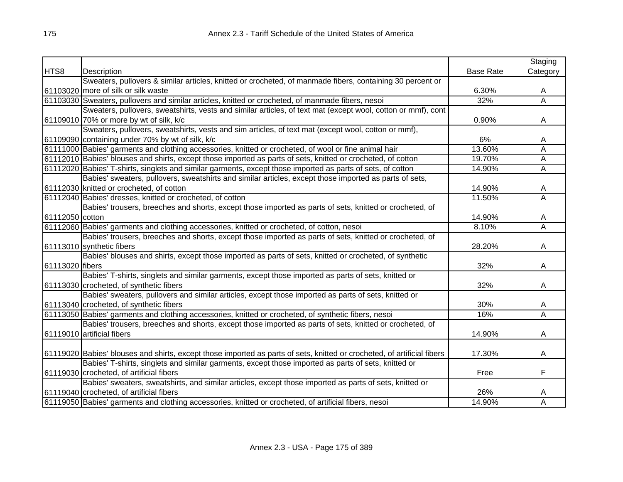|                 |                                                                                                                         |                  | Staging        |
|-----------------|-------------------------------------------------------------------------------------------------------------------------|------------------|----------------|
| HTS8            | Description                                                                                                             | <b>Base Rate</b> | Category       |
|                 | Sweaters, pullovers & similar articles, knitted or crocheted, of manmade fibers, containing 30 percent or               |                  |                |
|                 | 61103020 more of silk or silk waste                                                                                     | 6.30%            | A              |
|                 | 61103030 Sweaters, pullovers and similar articles, knitted or crocheted, of manmade fibers, nesoi                       | 32%              | $\overline{A}$ |
|                 | Sweaters, pullovers, sweatshirts, vests and similar articles, of text mat (except wool, cotton or mmf), cont            |                  |                |
|                 | 61109010 70% or more by wt of silk, k/c                                                                                 | 0.90%            | Α              |
|                 | Sweaters, pullovers, sweatshirts, vests and sim articles, of text mat (except wool, cotton or mmf),                     |                  |                |
|                 | 61109090 containing under 70% by wt of silk, k/c                                                                        | 6%               | A              |
|                 | 61111000 Babies' garments and clothing accessories, knitted or crocheted, of wool or fine animal hair                   | 13.60%           | A              |
|                 | 61112010 Babies' blouses and shirts, except those imported as parts of sets, knitted or crocheted, of cotton            | 19.70%           | Α              |
|                 | 61112020 Babies' T-shirts, singlets and similar garments, except those imported as parts of sets, of cotton             | 14.90%           | Α              |
|                 | Babies' sweaters, pullovers, sweatshirts and similar articles, except those imported as parts of sets,                  |                  |                |
|                 | 61112030 knitted or crocheted, of cotton                                                                                | 14.90%           | Α              |
|                 | 61112040 Babies' dresses, knitted or crocheted, of cotton                                                               | 11.50%           | Ā              |
|                 | Babies' trousers, breeches and shorts, except those imported as parts of sets, knitted or crocheted, of                 |                  |                |
| 61112050 cotton |                                                                                                                         | 14.90%           | A              |
|                 | 61112060 Babies' garments and clothing accessories, knitted or crocheted, of cotton, nesoi                              | 8.10%            | Α              |
|                 | Babies' trousers, breeches and shorts, except those imported as parts of sets, knitted or crocheted, of                 |                  |                |
|                 | 61113010 synthetic fibers                                                                                               | 28.20%           | A              |
|                 | Babies' blouses and shirts, except those imported as parts of sets, knitted or crocheted, of synthetic                  |                  |                |
| 61113020 fibers |                                                                                                                         | 32%              | Α              |
|                 | Babies' T-shirts, singlets and similar garments, except those imported as parts of sets, knitted or                     |                  |                |
|                 | 61113030 crocheted, of synthetic fibers                                                                                 | 32%              | A              |
|                 | Babies' sweaters, pullovers and similar articles, except those imported as parts of sets, knitted or                    |                  |                |
|                 | 61113040 crocheted, of synthetic fibers                                                                                 | 30%              | A              |
|                 | 61113050 Babies' garments and clothing accessories, knitted or crocheted, of synthetic fibers, nesoi                    | 16%              | $\overline{A}$ |
|                 | Babies' trousers, breeches and shorts, except those imported as parts of sets, knitted or crocheted, of                 |                  |                |
|                 | 61119010 artificial fibers                                                                                              | 14.90%           | Α              |
|                 |                                                                                                                         |                  |                |
|                 | 61119020 Babies' blouses and shirts, except those imported as parts of sets, knitted or crocheted, of artificial fibers | 17.30%           | A              |
|                 | Babies' T-shirts, singlets and similar garments, except those imported as parts of sets, knitted or                     |                  |                |
|                 | 61119030 crocheted, of artificial fibers                                                                                | Free             | F              |
|                 | Babies' sweaters, sweatshirts, and similar articles, except those imported as parts of sets, knitted or                 |                  |                |
|                 | 61119040 crocheted, of artificial fibers                                                                                | 26%              | A              |
|                 | 61119050 Babies' garments and clothing accessories, knitted or crocheted, of artificial fibers, nesoi                   | 14.90%           | A              |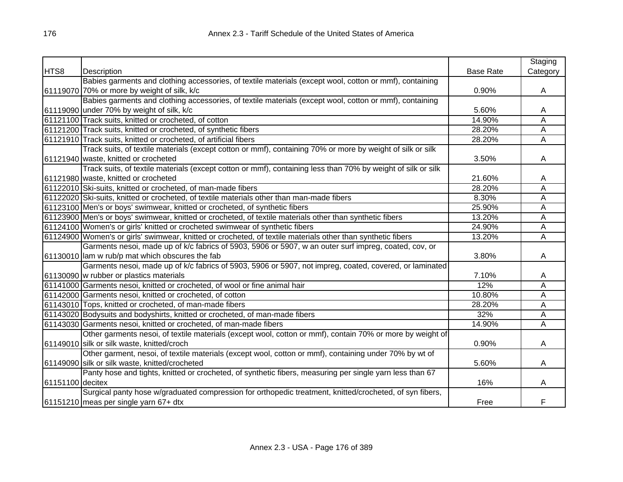|                  |                                                                                                              |                  | Staging  |
|------------------|--------------------------------------------------------------------------------------------------------------|------------------|----------|
| HTS8             | Description                                                                                                  | <b>Base Rate</b> | Category |
|                  | Babies garments and clothing accessories, of textile materials (except wool, cotton or mmf), containing      |                  |          |
|                  | 61119070 70% or more by weight of silk, k/c                                                                  | 0.90%            | A        |
|                  | Babies garments and clothing accessories, of textile materials (except wool, cotton or mmf), containing      |                  |          |
|                  | 61119090 under 70% by weight of silk, k/c                                                                    | 5.60%            | A        |
|                  | 61121100 Track suits, knitted or crocheted, of cotton                                                        | 14.90%           | Α        |
|                  | 61121200 Track suits, knitted or crocheted, of synthetic fibers                                              | 28.20%           | A        |
|                  | 61121910 Track suits, knitted or crocheted, of artificial fibers                                             | 28.20%           | A        |
|                  | Track suits, of textile materials (except cotton or mmf), containing 70% or more by weight of silk or silk   |                  |          |
|                  | 61121940 waste, knitted or crocheted                                                                         | 3.50%            | A        |
|                  | Track suits, of textile materials (except cotton or mmf), containing less than 70% by weight of silk or silk |                  |          |
|                  | 61121980 waste, knitted or crocheted                                                                         | 21.60%           | A        |
|                  | 61122010 Ski-suits, knitted or crocheted, of man-made fibers                                                 | 28.20%           | Α        |
|                  | 61122020 Ski-suits, knitted or crocheted, of textile materials other than man-made fibers                    | 8.30%            | Α        |
|                  | 61123100 Men's or boys' swimwear, knitted or crocheted, of synthetic fibers                                  | 25.90%           | A        |
|                  | 61123900 Men's or boys' swimwear, knitted or crocheted, of textile materials other than synthetic fibers     | 13.20%           | A        |
|                  | 61124100 Women's or girls' knitted or crocheted swimwear of synthetic fibers                                 | 24.90%           | Α        |
|                  | 61124900 Women's or girls' swimwear, knitted or crocheted, of textile materials other than synthetic fibers  | 13.20%           | Α        |
|                  | Garments nesoi, made up of k/c fabrics of 5903, 5906 or 5907, w an outer surf impreg, coated, cov, or        |                  |          |
|                  | 61130010 lam w rub/p mat which obscures the fab                                                              | 3.80%            | A        |
|                  | Garments nesoi, made up of k/c fabrics of 5903, 5906 or 5907, not impreg, coated, covered, or laminated      |                  |          |
|                  | 61130090 w rubber or plastics materials                                                                      | 7.10%            | A        |
|                  | 61141000 Garments nesoi, knitted or crocheted, of wool or fine animal hair                                   | 12%              | Ā        |
|                  | 61142000 Garments nesoi, knitted or crocheted, of cotton                                                     | 10.80%           | Α        |
|                  | 61143010 Tops, knitted or crocheted, of man-made fibers                                                      | 28.20%           | Α        |
|                  | 61143020 Bodysuits and bodyshirts, knitted or crocheted, of man-made fibers                                  | 32%              | A        |
|                  | 61143030 Garments nesoi, knitted or crocheted, of man-made fibers                                            | 14.90%           | Α        |
|                  | Other garments nesoi, of textile materials (except wool, cotton or mmf), contain 70% or more by weight of    |                  |          |
|                  | 61149010 silk or silk waste, knitted/croch                                                                   | 0.90%            | A        |
|                  | Other garment, nesoi, of textile materials (except wool, cotton or mmf), containing under 70% by wt of       |                  |          |
|                  | 61149090 silk or silk waste, knitted/crocheted                                                               | 5.60%            | A        |
|                  | Panty hose and tights, knitted or crocheted, of synthetic fibers, measuring per single yarn less than 67     |                  |          |
| 61151100 decitex |                                                                                                              | 16%              | A        |
|                  | Surgical panty hose w/graduated compression for orthopedic treatment, knitted/crocheted, of syn fibers,      |                  |          |
|                  | 61151210 meas per single yarn 67+ dtx                                                                        | Free             | F        |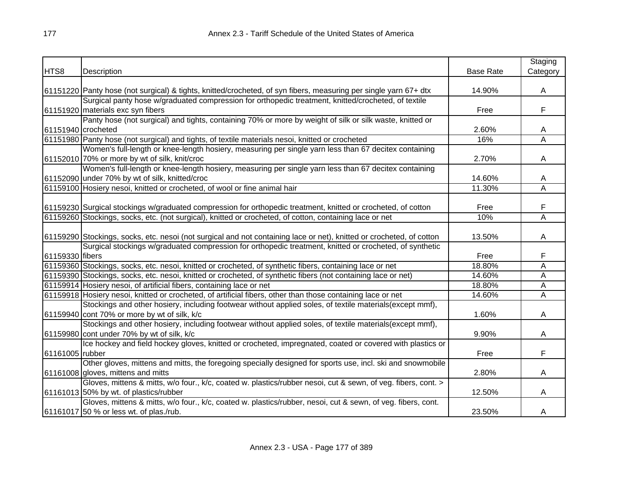|                 |                                                                                                                      |                  | Staging  |
|-----------------|----------------------------------------------------------------------------------------------------------------------|------------------|----------|
| HTS8            | Description                                                                                                          | <b>Base Rate</b> | Category |
|                 |                                                                                                                      |                  |          |
|                 | 61151220 Panty hose (not surgical) & tights, knitted/crocheted, of syn fibers, measuring per single yarn 67+ dtx     | 14.90%           | A        |
|                 | Surgical panty hose w/graduated compression for orthopedic treatment, knitted/crocheted, of textile                  |                  |          |
|                 | 61151920 materials exc syn fibers                                                                                    | Free             | F        |
|                 | Panty hose (not surgical) and tights, containing 70% or more by weight of silk or silk waste, knitted or             |                  |          |
|                 | 61151940 crocheted                                                                                                   | 2.60%            | A        |
|                 | 61151980 Panty hose (not surgical) and tights, of textile materials nesoi, knitted or crocheted                      | 16%              | Α        |
|                 | Women's full-length or knee-length hosiery, measuring per single yarn less than 67 decitex containing                |                  |          |
|                 | 61152010 70% or more by wt of silk, knit/croc                                                                        | 2.70%            | A        |
|                 | Women's full-length or knee-length hosiery, measuring per single yarn less than 67 decitex containing                |                  |          |
|                 | 61152090 under 70% by wt of silk, knitted/croc                                                                       | 14.60%           | A        |
|                 | 61159100 Hosiery nesoi, knitted or crocheted, of wool or fine animal hair                                            | 11.30%           | Α        |
|                 |                                                                                                                      |                  |          |
|                 | 61159230 Surgical stockings w/graduated compression for orthopedic treatment, knitted or crocheted, of cotton        | Free             | F        |
|                 | 61159260 Stockings, socks, etc. (not surgical), knitted or crocheted, of cotton, containing lace or net              | 10%              | Α        |
|                 |                                                                                                                      |                  |          |
|                 | 61159290 Stockings, socks, etc. nesoi (not surgical and not containing lace or net), knitted or crocheted, of cotton | 13.50%           | A        |
|                 | Surgical stockings w/graduated compression for orthopedic treatment, knitted or crocheted, of synthetic              |                  |          |
| 61159330 fibers |                                                                                                                      | Free             | F        |
|                 | 61159360 Stockings, socks, etc. nesoi, knitted or crocheted, of synthetic fibers, containing lace or net             | 18.80%           | Ā        |
|                 | 61159390 Stockings, socks, etc. nesoi, knitted or crocheted, of synthetic fibers (not containing lace or net)        | 14.60%           | A        |
|                 | 61159914 Hosiery nesoi, of artificial fibers, containing lace or net                                                 | 18.80%           | A        |
|                 | 61159918 Hosiery nesoi, knitted or crocheted, of artificial fibers, other than those containing lace or net          | 14.60%           | A        |
|                 | Stockings and other hosiery, including footwear without applied soles, of textile materials(except mmf),             |                  |          |
|                 | 61159940 cont 70% or more by wt of silk, k/c                                                                         | 1.60%            | A        |
|                 | Stockings and other hosiery, including footwear without applied soles, of textile materials(except mmf),             |                  |          |
|                 | 61159980 cont under 70% by wt of silk, k/c                                                                           | 9.90%            | A        |
|                 | Ice hockey and field hockey gloves, knitted or crocheted, impregnated, coated or covered with plastics or            |                  |          |
| 61161005 rubber |                                                                                                                      | Free             | F        |
|                 | Other gloves, mittens and mitts, the foregoing specially designed for sports use, incl. ski and snowmobile           |                  |          |
|                 | 61161008 gloves, mittens and mitts                                                                                   | 2.80%            | A        |
|                 | Gloves, mittens & mitts, w/o four., k/c, coated w. plastics/rubber nesoi, cut & sewn, of veg. fibers, cont. >        |                  |          |
|                 | 61161013 50% by wt. of plastics/rubber                                                                               | 12.50%           | A        |
|                 | Gloves, mittens & mitts, w/o four., k/c, coated w. plastics/rubber, nesoi, cut & sewn, of veg. fibers, cont.         |                  |          |
|                 | 61161017 50 % or less wt. of plas./rub.                                                                              | 23.50%           | A        |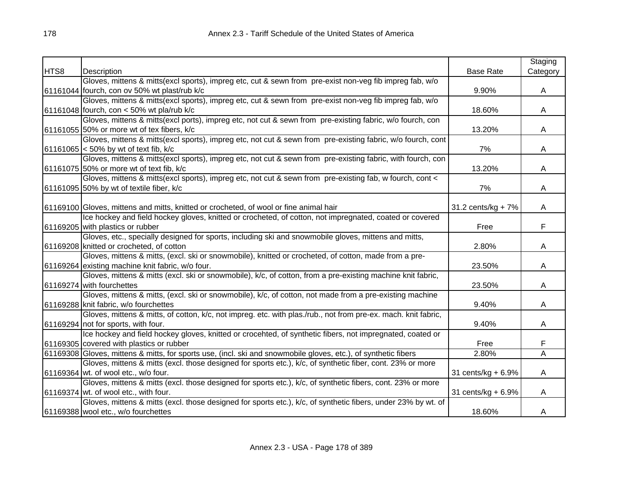|      |                                                                                                                |                    | Staging  |
|------|----------------------------------------------------------------------------------------------------------------|--------------------|----------|
| HTS8 | Description                                                                                                    | <b>Base Rate</b>   | Category |
|      | Gloves, mittens & mitts(excl sports), impreg etc, cut & sewn from pre-exist non-veg fib impreg fab, w/o        |                    |          |
|      | 61161044 fourch, con ov 50% wt plast/rub k/c                                                                   | 9.90%              | A        |
|      | Gloves, mittens & mitts(excl sports), impreg etc, cut & sewn from pre-exist non-veg fib impreg fab, w/o        |                    |          |
|      | 61161048 fourch, con < 50% wt pla/rub k/c                                                                      | 18.60%             | A        |
|      | Gloves, mittens & mitts(excl ports), impreg etc, not cut & sewn from pre-existing fabric, w/o fourch, con      |                    |          |
|      | 61161055 50% or more wt of tex fibers, k/c                                                                     | 13.20%             | A        |
|      | Gloves, mittens & mitts(excl sports), impreg etc, not cut & sewn from pre-existing fabric, w/o fourch, cont    |                    |          |
|      | 61161065 < 50% by wt of text fib, k/c                                                                          | 7%                 | A        |
|      | Gloves, mittens & mitts(excl sports), impreg etc, not cut & sewn from pre-existing fabric, with fourch, con    |                    |          |
|      | 61161075 50% or more wt of text fib, k/c                                                                       | 13.20%             | A        |
|      | Gloves, mittens & mitts(excl sports), impreg etc, not cut & sewn from pre-existing fab, w fourch, cont <       |                    |          |
|      | 61161095 50% by wt of textile fiber, k/c                                                                       | 7%                 | A        |
|      |                                                                                                                |                    |          |
|      | 61169100 Gloves, mittens and mitts, knitted or crocheted, of wool or fine animal hair                          | 31.2 cents/kg + 7% | A        |
|      | Ice hockey and field hockey gloves, knitted or crocheted, of cotton, not impregnated, coated or covered        |                    |          |
|      | 61169205 with plastics or rubber                                                                               | Free               | F        |
|      | Gloves, etc., specially designed for sports, including ski and snowmobile gloves, mittens and mitts,           |                    |          |
|      | 61169208 knitted or crocheted, of cotton                                                                       | 2.80%              | A        |
|      | Gloves, mittens & mitts, (excl. ski or snowmobile), knitted or crocheted, of cotton, made from a pre-          |                    |          |
|      | 61169264 existing machine knit fabric, w/o four.                                                               | 23.50%             | A        |
|      | Gloves, mittens & mitts (excl. ski or snowmobile), k/c, of cotton, from a pre-existing machine knit fabric,    |                    |          |
|      | 61169274 with fourchettes                                                                                      | 23.50%             | A        |
|      | Gloves, mittens & mitts, (excl. ski or snowmobile), k/c, of cotton, not made from a pre-existing machine       |                    |          |
|      | 61169288 knit fabric, w/o fourchettes                                                                          | 9.40%              | A        |
|      | Gloves, mittens & mitts, of cotton, k/c, not impreg. etc. with plas./rub., not from pre-ex. mach. knit fabric, |                    |          |
|      | 61169294 not for sports, with four.                                                                            | 9.40%              | A        |
|      | Ice hockey and field hockey gloves, knitted or crocehted, of synthetic fibers, not impregnated, coated or      |                    |          |
|      | 61169305 covered with plastics or rubber                                                                       | Free               | F        |
|      | 61169308 Gloves, mittens & mitts, for sports use, (incl. ski and snowmobile gloves, etc.), of synthetic fibers | 2.80%              | A        |
|      | Gloves, mittens & mitts (excl. those designed for sports etc.), k/c, of synthetic fiber, cont. 23% or more     |                    |          |
|      | 61169364 wt. of wool etc., w/o four.                                                                           | 31 cents/kg + 6.9% | A        |
|      | Gloves, mittens & mitts (excl. those designed for sports etc.), k/c, of synthetic fibers, cont. 23% or more    |                    |          |
|      | 61169374 wt. of wool etc., with four.                                                                          | 31 cents/kg + 6.9% | A        |
|      | Gloves, mittens & mitts (excl. those designed for sports etc.), k/c, of synthetic fibers, under 23% by wt. of  |                    |          |
|      | 61169388 wool etc., w/o fourchettes                                                                            | 18.60%             | A        |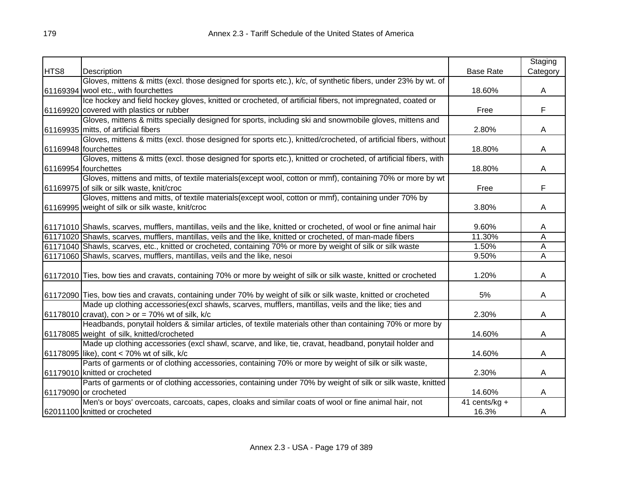|      |                                                                                                                      |                  | Staging  |
|------|----------------------------------------------------------------------------------------------------------------------|------------------|----------|
| HTS8 | Description                                                                                                          | <b>Base Rate</b> | Category |
|      | Gloves, mittens & mitts (excl. those designed for sports etc.), k/c, of synthetic fibers, under 23% by wt. of        |                  |          |
|      | 61169394 wool etc., with fourchettes                                                                                 | 18.60%           | A        |
|      | Ice hockey and field hockey gloves, knitted or crocheted, of artificial fibers, not impregnated, coated or           |                  |          |
|      | 61169920 covered with plastics or rubber                                                                             | Free             | F        |
|      | Gloves, mittens & mitts specially designed for sports, including ski and snowmobile gloves, mittens and              |                  |          |
|      | 61169935 mitts, of artificial fibers                                                                                 | 2.80%            | A        |
|      | Gloves, mittens & mitts (excl. those designed for sports etc.), knitted/crocheted, of artificial fibers, without     |                  |          |
|      | 61169948 fourchettes                                                                                                 | 18.80%           | A        |
|      | Gloves, mittens & mitts (excl. those designed for sports etc.), knitted or crocheted, of artificial fibers, with     |                  |          |
|      | 61169954 fourchettes                                                                                                 | 18.80%           | A        |
|      | Gloves, mittens and mitts, of textile materials(except wool, cotton or mmf), containing 70% or more by wt            |                  |          |
|      | 61169975 of silk or silk waste, knit/croc                                                                            | Free             | F        |
|      | Gloves, mittens and mitts, of textile materials (except wool, cotton or mmf), containing under 70% by                |                  |          |
|      | 61169995 weight of silk or silk waste, knit/croc                                                                     | 3.80%            | A        |
|      |                                                                                                                      |                  |          |
|      | 61171010 Shawls, scarves, mufflers, mantillas, veils and the like, knitted or crocheted, of wool or fine animal hair | 9.60%            | A        |
|      | 61171020 Shawls, scarves, mufflers, mantillas, veils and the like, knitted or crocheted, of man-made fibers          | 11.30%           | Α        |
|      | 61171040 Shawls, scarves, etc., knitted or crocheted, containing 70% or more by weight of silk or silk waste         | 1.50%            | A        |
|      | 61171060 Shawls, scarves, mufflers, mantillas, veils and the like, nesoi                                             | 9.50%            | A        |
|      |                                                                                                                      |                  |          |
|      | 61172010 Ties, bow ties and cravats, containing 70% or more by weight of silk or silk waste, knitted or crocheted    | 1.20%            | A        |
|      | 61172090 Ties, bow ties and cravats, containing under 70% by weight of silk or silk waste, knitted or crocheted      | 5%               | A        |
|      | Made up clothing accessories(excl shawls, scarves, mufflers, mantillas, veils and the like; ties and                 |                  |          |
|      | 61178010 cravat), con > or = 70% wt of silk, $k/c$                                                                   | 2.30%            | A        |
|      | Headbands, ponytail holders & similar articles, of textile materials other than containing 70% or more by            |                  |          |
|      | 61178085 weight of silk, knitted/crocheted                                                                           | 14.60%           | A        |
|      | Made up clothing accessories (excl shawl, scarve, and like, tie, cravat, headband, ponytail holder and               |                  |          |
|      | 61178095 like), cont < 70% wt of silk, k/c                                                                           | 14.60%           | A        |
|      | Parts of garments or of clothing accessories, containing 70% or more by weight of silk or silk waste,                |                  |          |
|      | 61179010 knitted or crocheted                                                                                        | 2.30%            | A        |
|      | Parts of garments or of clothing accessories, containing under 70% by weight of silk or silk waste, knitted          |                  |          |
|      | 61179090 or crocheted                                                                                                | 14.60%           | A        |
|      | Men's or boys' overcoats, carcoats, capes, cloaks and similar coats of wool or fine animal hair, not                 | 41 cents/kg $+$  |          |
|      | 62011100 knitted or crocheted                                                                                        | 16.3%            | A        |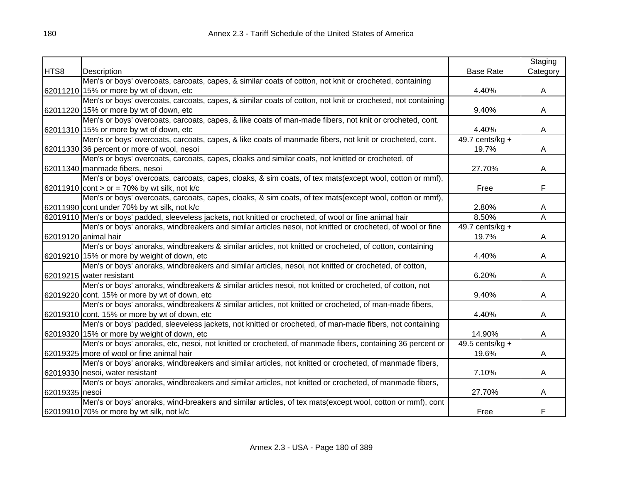|                |                                                                                                             |                   | Staging  |
|----------------|-------------------------------------------------------------------------------------------------------------|-------------------|----------|
| HTS8           | Description                                                                                                 | <b>Base Rate</b>  | Category |
|                | Men's or boys' overcoats, carcoats, capes, & similar coats of cotton, not knit or crocheted, containing     |                   |          |
|                | 62011210 15% or more by wt of down, etc                                                                     | 4.40%             | A        |
|                | Men's or boys' overcoats, carcoats, capes, & similar coats of cotton, not knit or crocheted, not containing |                   |          |
|                | 62011220 15% or more by wt of down, etc                                                                     | 9.40%             | A        |
|                | Men's or boys' overcoats, carcoats, capes, & like coats of man-made fibers, not knit or crocheted, cont.    |                   |          |
|                | 62011310 15% or more by wt of down, etc                                                                     | 4.40%             | A        |
|                | Men's or boys' overcoats, carcoats, capes, & like coats of manmade fibers, not knit or crocheted, cont.     | 49.7 cents/kg $+$ |          |
|                | 62011330 36 percent or more of wool, nesoi                                                                  | 19.7%             | A        |
|                | Men's or boys' overcoats, carcoats, capes, cloaks and similar coats, not knitted or crocheted, of           |                   |          |
|                | 62011340 manmade fibers, nesoi                                                                              | 27.70%            | A        |
|                | Men's or boys' overcoats, carcoats, capes, cloaks, & sim coats, of tex mats(except wool, cotton or mmf),    |                   |          |
|                | 62011910 cont > or = 70% by wt silk, not k/c                                                                | Free              | F        |
|                | Men's or boys' overcoats, carcoats, capes, cloaks, & sim coats, of tex mats(except wool, cotton or mmf),    |                   |          |
|                | 62011990 cont under 70% by wt silk, not k/c                                                                 | 2.80%             | A        |
|                | 62019110 Men's or boys' padded, sleeveless jackets, not knitted or crocheted, of wool or fine animal hair   | 8.50%             | Α        |
|                | Men's or boys' anoraks, windbreakers and similar articles nesoi, not knitted or crocheted, of wool or fine  | 49.7 cents/kg $+$ |          |
|                | 62019120 animal hair                                                                                        | 19.7%             | A        |
|                | Men's or boys' anoraks, windbreakers & similar articles, not knitted or crocheted, of cotton, containing    |                   |          |
|                | 62019210 15% or more by weight of down, etc                                                                 | 4.40%             | A        |
|                | Men's or boys' anoraks, windbreakers and similar articles, nesoi, not knitted or crocheted, of cotton,      |                   |          |
|                | 62019215 water resistant                                                                                    | 6.20%             | A        |
|                | Men's or boys' anoraks, windbreakers & similar articles nesoi, not knitted or crocheted, of cotton, not     |                   |          |
|                | 62019220 cont. 15% or more by wt of down, etc                                                               | 9.40%             | A        |
|                | Men's or boys' anoraks, windbreakers & similar articles, not knitted or crocheted, of man-made fibers,      |                   |          |
|                | 62019310 cont. 15% or more by wt of down, etc                                                               | 4.40%             | A        |
|                | Men's or boys' padded, sleeveless jackets, not knitted or crocheted, of man-made fibers, not containing     |                   |          |
|                | 62019320 15% or more by weight of down, etc                                                                 | 14.90%            | A        |
|                | Men's or boys' anoraks, etc, nesoi, not knitted or crocheted, of manmade fibers, containing 36 percent or   | $49.5$ cents/kg + |          |
|                | 62019325   more of wool or fine animal hair                                                                 | 19.6%             | A        |
|                | Men's or boys' anoraks, windbreakers and similar articles, not knitted or crocheted, of manmade fibers,     |                   |          |
|                | 62019330 nesoi, water resistant                                                                             | 7.10%             | A        |
|                | Men's or boys' anoraks, windbreakers and similar articles, not knitted or crocheted, of manmade fibers,     |                   |          |
| 62019335 nesoi |                                                                                                             | 27.70%            | A        |
|                | Men's or boys' anoraks, wind-breakers and similar articles, of tex mats(except wool, cotton or mmf), cont   |                   |          |
|                | 62019910 70% or more by wt silk, not k/c                                                                    | Free              | F        |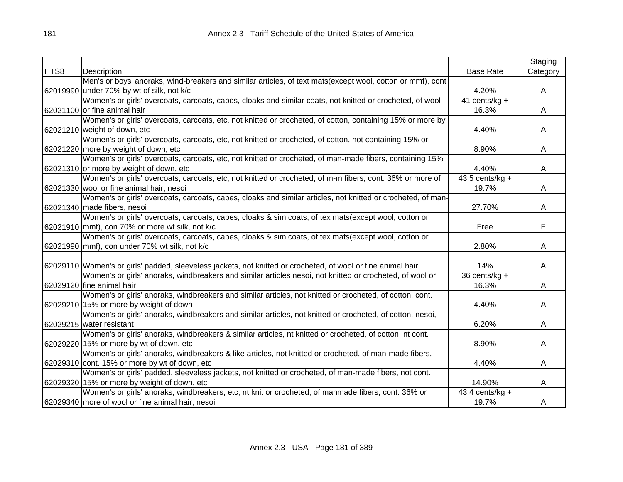|      |                                                                                                              |                   | Staging  |
|------|--------------------------------------------------------------------------------------------------------------|-------------------|----------|
| HTS8 | Description                                                                                                  | <b>Base Rate</b>  | Category |
|      | Men's or boys' anoraks, wind-breakers and similar articles, of text mats(except wool, cotton or mmf), cont   |                   |          |
|      | 62019990 under 70% by wt of silk, not k/c                                                                    | 4.20%             | A        |
|      | Women's or girls' overcoats, carcoats, capes, cloaks and similar coats, not knitted or crocheted, of wool    | 41 cents/kg +     |          |
|      | 62021100 or fine animal hair                                                                                 | 16.3%             | A        |
|      | Women's or girls' overcoats, carcoats, etc, not knitted or crocheted, of cotton, containing 15% or more by   |                   |          |
|      | 62021210 weight of down, etc                                                                                 | 4.40%             | A        |
|      | Women's or girls' overcoats, carcoats, etc, not knitted or crocheted, of cotton, not containing 15% or       |                   |          |
|      | 62021220 more by weight of down, etc                                                                         | 8.90%             | A        |
|      | Women's or girls' overcoats, carcoats, etc, not knitted or crocheted, of man-made fibers, containing 15%     |                   |          |
|      | 62021310 or more by weight of down, etc                                                                      | 4.40%             | A        |
|      | Women's or girls' overcoats, carcoats, etc, not knitted or crocheted, of m-m fibers, cont. 36% or more of    | $43.5$ cents/kg + |          |
|      | 62021330 wool or fine animal hair, nesoi                                                                     | 19.7%             | A        |
|      | Women's or girls' overcoats, carcoats, capes, cloaks and similar articles, not knitted or crocheted, of man- |                   |          |
|      | 62021340 made fibers, nesoi                                                                                  | 27.70%            | A        |
|      | Women's or girls' overcoats, carcoats, capes, cloaks & sim coats, of tex mats(except wool, cotton or         |                   |          |
|      | 62021910 mmf), con 70% or more wt silk, not k/c                                                              | Free              | F        |
|      | Women's or girls' overcoats, carcoats, capes, cloaks & sim coats, of tex mats(except wool, cotton or         |                   |          |
|      | 62021990 mmf), con under 70% wt silk, not k/c                                                                | 2.80%             | A        |
|      |                                                                                                              |                   |          |
|      | 62029110 Women's or girls' padded, sleeveless jackets, not knitted or crocheted, of wool or fine animal hair | 14%               | A        |
|      | Women's or girls' anoraks, windbreakers and similar articles nesoi, not knitted or crocheted, of wool or     | $36$ cents/kg +   |          |
|      | 62029120 fine animal hair                                                                                    | 16.3%             | A        |
|      | Women's or girls' anoraks, windbreakers and similar articles, not knitted or crocheted, of cotton, cont.     |                   |          |
|      | 62029210 15% or more by weight of down                                                                       | 4.40%             | A        |
|      | Women's or girls' anoraks, windbreakers and similar articles, not knitted or crocheted, of cotton, nesoi,    |                   |          |
|      | 62029215 water resistant                                                                                     | 6.20%             | A        |
|      | Women's or girls' anoraks, windbreakers & similar articles, nt knitted or crocheted, of cotton, nt cont.     |                   |          |
|      | 62029220 15% or more by wt of down, etc                                                                      | 8.90%             | A        |
|      | Women's or girls' anoraks, windbreakers & like articles, not knitted or crocheted, of man-made fibers,       |                   |          |
|      | 62029310 cont. 15% or more by wt of down, etc                                                                | 4.40%             | A        |
|      | Women's or girls' padded, sleeveless jackets, not knitted or crocheted, of man-made fibers, not cont.        |                   |          |
|      | 62029320 15% or more by weight of down, etc                                                                  | 14.90%            | A        |
|      | Women's or girls' anoraks, windbreakers, etc, nt knit or crocheted, of manmade fibers, cont. 36% or          | 43.4 cents/kg $+$ |          |
|      | 62029340 more of wool or fine animal hair, nesoi                                                             | 19.7%             | A        |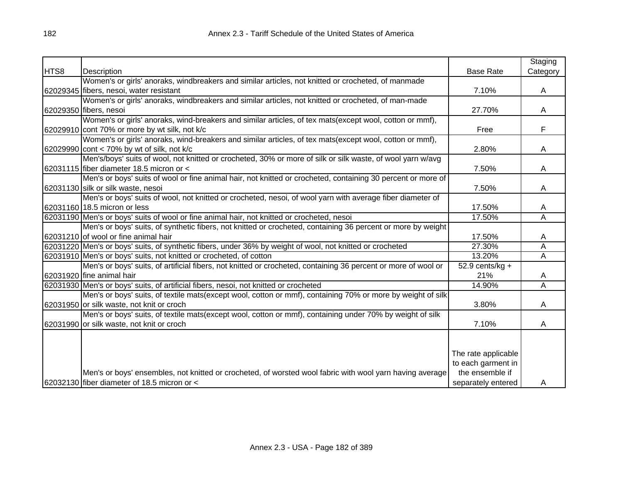|      |                                                                                                                |                     | Staging  |
|------|----------------------------------------------------------------------------------------------------------------|---------------------|----------|
| HTS8 | Description                                                                                                    | <b>Base Rate</b>    | Category |
|      | Women's or girls' anoraks, windbreakers and similar articles, not knitted or crocheted, of manmade             |                     |          |
|      | 62029345 fibers, nesoi, water resistant                                                                        | 7.10%               | A        |
|      | Women's or girls' anoraks, windbreakers and similar articles, not knitted or crocheted, of man-made            |                     |          |
|      | 62029350 fibers, nesoi                                                                                         | 27.70%              | A        |
|      | Women's or girls' anoraks, wind-breakers and similar articles, of tex mats(except wool, cotton or mmf),        |                     |          |
|      | 62029910 cont 70% or more by wt silk, not k/c                                                                  | Free                | F        |
|      | Women's or girls' anoraks, wind-breakers and similar articles, of tex mats(except wool, cotton or mmf),        |                     |          |
|      | 62029990 cont < 70% by wt of silk, not k/c                                                                     | 2.80%               | A        |
|      | Men's/boys' suits of wool, not knitted or crocheted, 30% or more of silk or silk waste, of wool yarn w/avg     |                     |          |
|      | 62031115 fiber diameter 18.5 micron or <                                                                       | 7.50%               | A        |
|      | Men's or boys' suits of wool or fine animal hair, not knitted or crocheted, containing 30 percent or more of   |                     |          |
|      | 62031130 silk or silk waste, nesoi                                                                             | 7.50%               | A        |
|      | Men's or boys' suits of wool, not knitted or crocheted, nesoi, of wool yarn with average fiber diameter of     |                     |          |
|      | 62031160 18.5 micron or less                                                                                   | 17.50%              | A        |
|      | 62031190 Men's or boys' suits of wool or fine animal hair, not knitted or crocheted, nesoi                     | 17.50%              | A        |
|      | Men's or boys' suits, of synthetic fibers, not knitted or crocheted, containing 36 percent or more by weight   |                     |          |
|      | 62031210 of wool or fine animal hair                                                                           | 17.50%              | A        |
|      | 62031220 Men's or boys' suits, of synthetic fibers, under 36% by weight of wool, not knitted or crocheted      | 27.30%              | A        |
|      | 62031910 Men's or boys' suits, not knitted or crocheted, of cotton                                             | 13.20%              | A        |
|      | Men's or boys' suits, of artificial fibers, not knitted or crocheted, containing 36 percent or more of wool or | 52.9 cents/ $kg +$  |          |
|      | 62031920 fine animal hair                                                                                      | 21%                 | A        |
|      | 62031930 Men's or boys' suits, of artificial fibers, nesoi, not knitted or crocheted                           | 14.90%              | A        |
|      | Men's or boys' suits, of textile mats(except wool, cotton or mmf), containing 70% or more by weight of silk    |                     |          |
|      | 62031950 or silk waste, not knit or croch                                                                      | 3.80%               | A        |
|      | Men's or boys' suits, of textile mats(except wool, cotton or mmf), containing under 70% by weight of silk      |                     |          |
|      | 62031990 or silk waste, not knit or croch                                                                      | 7.10%               | A        |
|      |                                                                                                                |                     |          |
|      |                                                                                                                |                     |          |
|      |                                                                                                                | The rate applicable |          |
|      |                                                                                                                | to each garment in  |          |
|      | Men's or boys' ensembles, not knitted or crocheted, of worsted wool fabric with wool yarn having average       | the ensemble if     |          |
|      | 62032130 fiber diameter of 18.5 micron or <                                                                    | separately entered  | A        |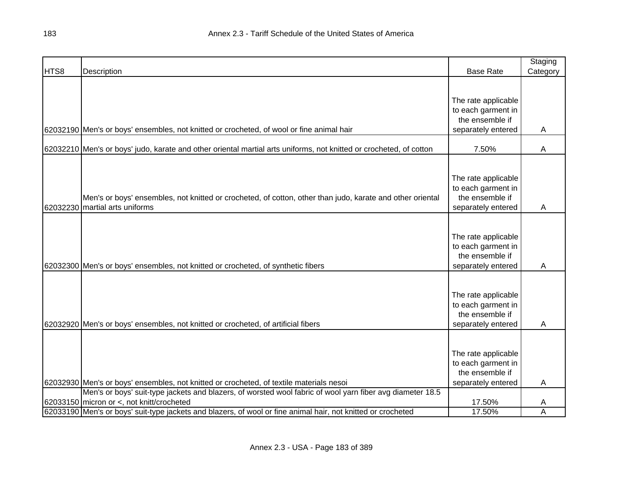|      |                                                                                                                    |                     | Staging  |
|------|--------------------------------------------------------------------------------------------------------------------|---------------------|----------|
| HTS8 | Description                                                                                                        | <b>Base Rate</b>    | Category |
|      |                                                                                                                    |                     |          |
|      |                                                                                                                    |                     |          |
|      |                                                                                                                    | The rate applicable |          |
|      |                                                                                                                    | to each garment in  |          |
|      |                                                                                                                    | the ensemble if     |          |
|      | 62032190 Men's or boys' ensembles, not knitted or crocheted, of wool or fine animal hair                           | separately entered  | A        |
|      |                                                                                                                    |                     |          |
|      | 62032210 Men's or boys' judo, karate and other oriental martial arts uniforms, not knitted or crocheted, of cotton | 7.50%               | A        |
|      |                                                                                                                    |                     |          |
|      |                                                                                                                    | The rate applicable |          |
|      |                                                                                                                    | to each garment in  |          |
|      | Men's or boys' ensembles, not knitted or crocheted, of cotton, other than judo, karate and other oriental          | the ensemble if     |          |
|      | 62032230 martial arts uniforms                                                                                     | separately entered  | A        |
|      |                                                                                                                    |                     |          |
|      |                                                                                                                    |                     |          |
|      |                                                                                                                    | The rate applicable |          |
|      |                                                                                                                    | to each garment in  |          |
|      |                                                                                                                    | the ensemble if     |          |
|      | 62032300 Men's or boys' ensembles, not knitted or crocheted, of synthetic fibers                                   | separately entered  | A        |
|      |                                                                                                                    |                     |          |
|      |                                                                                                                    |                     |          |
|      |                                                                                                                    | The rate applicable |          |
|      |                                                                                                                    | to each garment in  |          |
|      |                                                                                                                    | the ensemble if     |          |
|      | 62032920 Men's or boys' ensembles, not knitted or crocheted, of artificial fibers                                  | separately entered  | A        |
|      |                                                                                                                    |                     |          |
|      |                                                                                                                    |                     |          |
|      |                                                                                                                    | The rate applicable |          |
|      |                                                                                                                    | to each garment in  |          |
|      |                                                                                                                    | the ensemble if     |          |
|      | 62032930 Men's or boys' ensembles, not knitted or crocheted, of textile materials nesoi                            | separately entered  | A        |
|      | Men's or boys' suit-type jackets and blazers, of worsted wool fabric of wool yarn fiber avg diameter 18.5          |                     |          |
|      | 62033150 micron or <, not knitt/crocheted                                                                          | 17.50%              | A        |
|      | 62033190 Men's or boys' suit-type jackets and blazers, of wool or fine animal hair, not knitted or crocheted       | 17.50%              | A        |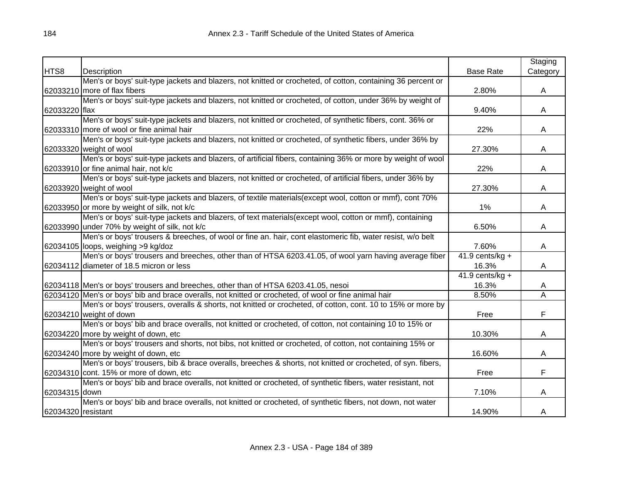|                    |                                                                                                              |                    | Staging  |
|--------------------|--------------------------------------------------------------------------------------------------------------|--------------------|----------|
| HTS8               | Description                                                                                                  | <b>Base Rate</b>   | Category |
|                    | Men's or boys' suit-type jackets and blazers, not knitted or crocheted, of cotton, containing 36 percent or  |                    |          |
|                    | 62033210 more of flax fibers                                                                                 | 2.80%              | A        |
|                    | Men's or boys' suit-type jackets and blazers, not knitted or crocheted, of cotton, under 36% by weight of    |                    |          |
| 62033220 flax      |                                                                                                              | 9.40%              | A        |
|                    | Men's or boys' suit-type jackets and blazers, not knitted or crocheted, of synthetic fibers, cont. 36% or    |                    |          |
|                    | 62033310 more of wool or fine animal hair                                                                    | 22%                | A        |
|                    | Men's or boys' suit-type jackets and blazers, not knitted or crocheted, of synthetic fibers, under 36% by    |                    |          |
|                    | 62033320 weight of wool                                                                                      | 27.30%             | A        |
|                    | Men's or boys' suit-type jackets and blazers, of artificial fibers, containing 36% or more by weight of wool |                    |          |
|                    | 62033910 or fine animal hair, not k/c                                                                        | 22%                | A        |
|                    | Men's or boys' suit-type jackets and blazers, not knitted or crocheted, of artificial fibers, under 36% by   |                    |          |
|                    | 62033920 weight of wool                                                                                      | 27.30%             | A        |
|                    | Men's or boys' suit-type jackets and blazers, of textile materials(except wool, cotton or mmf), cont 70%     |                    |          |
|                    | 62033950 or more by weight of silk, not k/c                                                                  | 1%                 | A        |
|                    | Men's or boys' suit-type jackets and blazers, of text materials(except wool, cotton or mmf), containing      |                    |          |
|                    | 62033990 under 70% by weight of silk, not k/c                                                                | 6.50%              | A        |
|                    | Men's or boys' trousers & breeches, of wool or fine an. hair, cont elastomeric fib, water resist, w/o belt   |                    |          |
|                    | 62034105 loops, weighing >9 kg/doz                                                                           | 7.60%              | A        |
|                    | Men's or boys' trousers and breeches, other than of HTSA 6203.41.05, of wool yarn having average fiber       | 41.9 cents/ $kg +$ |          |
|                    | 62034112 diameter of 18.5 micron or less                                                                     | 16.3%              | A        |
|                    |                                                                                                              | $41.9$ cents/kg +  |          |
|                    | 62034118 Men's or boys' trousers and breeches, other than of HTSA 6203.41.05, nesoi                          | 16.3%              | A        |
|                    | 62034120 Men's or boys' bib and brace overalls, not knitted or crocheted, of wool or fine animal hair        | 8.50%              | Α        |
|                    | Men's or boys' trousers, overalls & shorts, not knitted or crocheted, of cotton, cont. 10 to 15% or more by  |                    |          |
|                    | 62034210 weight of down                                                                                      | Free               | F        |
|                    | Men's or boys' bib and brace overalls, not knitted or crocheted, of cotton, not containing 10 to 15% or      |                    |          |
|                    | 62034220 more by weight of down, etc                                                                         | 10.30%             | A        |
|                    | Men's or boys' trousers and shorts, not bibs, not knitted or crocheted, of cotton, not containing 15% or     |                    |          |
|                    | 62034240 more by weight of down, etc                                                                         | 16.60%             | A        |
|                    | Men's or boys' trousers, bib & brace overalls, breeches & shorts, not knitted or crocheted, of syn. fibers,  |                    |          |
|                    | 62034310 cont. 15% or more of down, etc                                                                      | Free               | F        |
|                    | Men's or boys' bib and brace overalls, not knitted or crocheted, of synthetic fibers, water resistant, not   |                    |          |
| 62034315 down      |                                                                                                              | 7.10%              | A        |
|                    | Men's or boys' bib and brace overalls, not knitted or crocheted, of synthetic fibers, not down, not water    |                    |          |
| 62034320 resistant |                                                                                                              | 14.90%             | A        |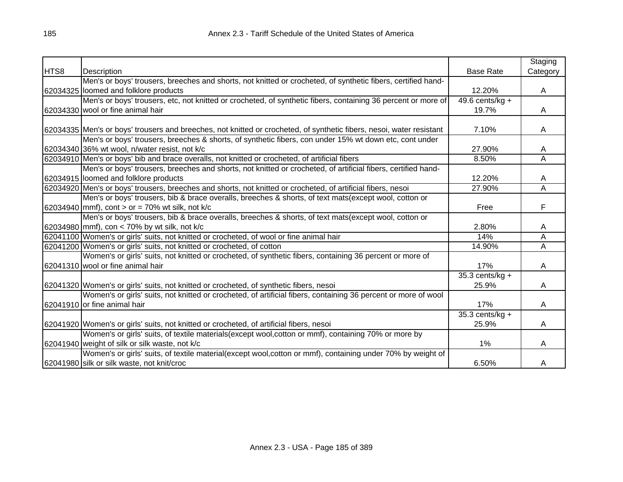|      |                                                                                                                      |                              | Staging  |
|------|----------------------------------------------------------------------------------------------------------------------|------------------------------|----------|
| HTS8 | Description                                                                                                          | <b>Base Rate</b>             | Category |
|      | Men's or boys' trousers, breeches and shorts, not knitted or crocheted, of synthetic fibers, certified hand-         |                              |          |
|      | 62034325 loomed and folklore products                                                                                | 12.20%                       | A        |
|      | Men's or boys' trousers, etc, not knitted or crocheted, of synthetic fibers, containing 36 percent or more of        | $\overline{49.6}$ cents/kg + |          |
|      | 62034330 wool or fine animal hair                                                                                    | 19.7%                        | A        |
|      |                                                                                                                      |                              |          |
|      | 62034335 Men's or boys' trousers and breeches, not knitted or crocheted, of synthetic fibers, nesoi, water resistant | 7.10%                        | A        |
|      | Men's or boys' trousers, breeches & shorts, of synthetic fibers, con under 15% wt down etc, cont under               |                              |          |
|      | 62034340 36% wt wool, n/water resist, not k/c                                                                        | 27.90%                       | A        |
|      | 62034910 Men's or boys' bib and brace overalls, not knitted or crocheted, of artificial fibers                       | 8.50%                        | A        |
|      | Men's or boys' trousers, breeches and shorts, not knitted or crocheted, of artificial fibers, certified hand-        |                              |          |
|      | 62034915 loomed and folklore products                                                                                | 12.20%                       | A        |
|      | 62034920 Men's or boys' trousers, breeches and shorts, not knitted or crocheted, of artificial fibers, nesoi         | 27.90%                       | A        |
|      | Men's or boys' trousers, bib & brace overalls, breeches & shorts, of text mats(except wool, cotton or                |                              |          |
|      | 62034940 mmf), cont > or = 70% wt silk, not k/c                                                                      | Free                         | F        |
|      | Men's or boys' trousers, bib & brace overalls, breeches & shorts, of text mats(except wool, cotton or                |                              |          |
|      | 62034980 mmf), con < 70% by wt silk, not k/c                                                                         | 2.80%                        | Α        |
|      | 62041100 Women's or girls' suits, not knitted or crocheted, of wool or fine animal hair                              | 14%                          | Α        |
|      | 62041200 Women's or girls' suits, not knitted or crocheted, of cotton                                                | 14.90%                       | A        |
|      | Women's or girls' suits, not knitted or crocheted, of synthetic fibers, containing 36 percent or more of             |                              |          |
|      | 62041310 wool or fine animal hair                                                                                    | 17%                          | A        |
|      |                                                                                                                      | 35.3 cents/kg +              |          |
|      | 62041320 Women's or girls' suits, not knitted or crocheted, of synthetic fibers, nesoi                               | 25.9%                        | A        |
|      | Women's or girls' suits, not knitted or crocheted, of artificial fibers, containing 36 percent or more of wool       |                              |          |
|      | 62041910 or fine animal hair                                                                                         | 17%                          | A        |
|      |                                                                                                                      | $35.3$ cents/kg +            |          |
|      | 62041920 Women's or girls' suits, not knitted or crocheted, of artificial fibers, nesoi                              | 25.9%                        | A        |
|      | Women's or girls' suits, of textile materials(except wool, cotton or mmf), containing 70% or more by                 |                              |          |
|      | 62041940 weight of silk or silk waste, not k/c                                                                       | 1%                           | A        |
|      | Women's or girls' suits, of textile material(except wool, cotton or mmf), containing under 70% by weight of          |                              |          |
|      | 62041980 silk or silk waste, not knit/croc                                                                           | 6.50%                        | A        |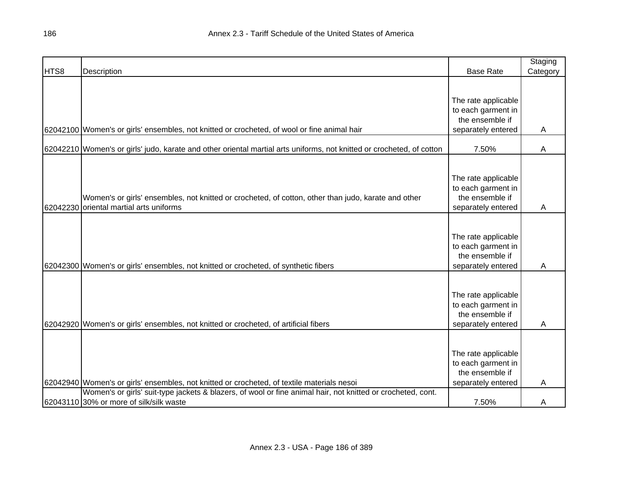|      |                                                                                                                       |                     | Staging  |
|------|-----------------------------------------------------------------------------------------------------------------------|---------------------|----------|
| HTS8 | Description                                                                                                           | <b>Base Rate</b>    | Category |
|      |                                                                                                                       |                     |          |
|      |                                                                                                                       |                     |          |
|      |                                                                                                                       | The rate applicable |          |
|      |                                                                                                                       | to each garment in  |          |
|      |                                                                                                                       | the ensemble if     |          |
|      | 62042100 Women's or girls' ensembles, not knitted or crocheted, of wool or fine animal hair                           | separately entered  | A        |
|      | 62042210 Women's or girls' judo, karate and other oriental martial arts uniforms, not knitted or crocheted, of cotton | 7.50%               | Α        |
|      |                                                                                                                       |                     |          |
|      |                                                                                                                       |                     |          |
|      |                                                                                                                       | The rate applicable |          |
|      |                                                                                                                       | to each garment in  |          |
|      | Women's or girls' ensembles, not knitted or crocheted, of cotton, other than judo, karate and other                   | the ensemble if     |          |
|      | 62042230 oriental martial arts uniforms                                                                               | separately entered  | Α        |
|      |                                                                                                                       |                     |          |
|      |                                                                                                                       |                     |          |
|      |                                                                                                                       | The rate applicable |          |
|      |                                                                                                                       | to each garment in  |          |
|      |                                                                                                                       | the ensemble if     |          |
|      | 62042300 Women's or girls' ensembles, not knitted or crocheted, of synthetic fibers                                   | separately entered  | Α        |
|      |                                                                                                                       |                     |          |
|      |                                                                                                                       |                     |          |
|      |                                                                                                                       | The rate applicable |          |
|      |                                                                                                                       | to each garment in  |          |
|      |                                                                                                                       | the ensemble if     |          |
|      | 62042920 Women's or girls' ensembles, not knitted or crocheted, of artificial fibers                                  | separately entered  | Α        |
|      |                                                                                                                       |                     |          |
|      |                                                                                                                       |                     |          |
|      |                                                                                                                       | The rate applicable |          |
|      |                                                                                                                       | to each garment in  |          |
|      |                                                                                                                       | the ensemble if     |          |
|      | 62042940 Women's or girls' ensembles, not knitted or crocheted, of textile materials nesoi                            | separately entered  | A        |
|      | Women's or girls' suit-type jackets & blazers, of wool or fine animal hair, not knitted or crocheted, cont.           |                     |          |
|      | 62043110 30% or more of silk/silk waste                                                                               | 7.50%               | A        |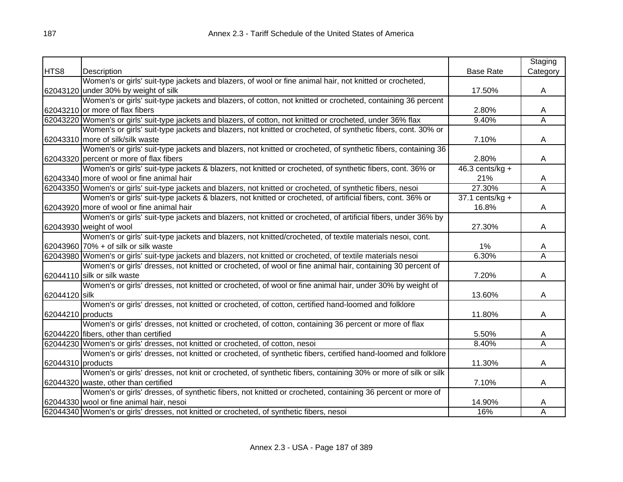|                   |                                                                                                                |                    | Staging                 |
|-------------------|----------------------------------------------------------------------------------------------------------------|--------------------|-------------------------|
| HTS8              | Description                                                                                                    | <b>Base Rate</b>   | Category                |
|                   | Women's or girls' suit-type jackets and blazers, of wool or fine animal hair, not knitted or crocheted,        |                    |                         |
|                   | 62043120 under 30% by weight of silk                                                                           | 17.50%             | A                       |
|                   | Women's or girls' suit-type jackets and blazers, of cotton, not knitted or crocheted, containing 36 percent    |                    |                         |
|                   | 62043210 or more of flax fibers                                                                                | 2.80%              | A                       |
|                   | 62043220 Women's or girls' suit-type jackets and blazers, of cotton, not knitted or crocheted, under 36% flax  | 9.40%              | A                       |
|                   | Women's or girls' suit-type jackets and blazers, not knitted or crocheted, of synthetic fibers, cont. 30% or   |                    |                         |
|                   | 62043310 more of silk/silk waste                                                                               | 7.10%              | A                       |
|                   | Women's or girls' suit-type jackets and blazers, not knitted or crocheted, of synthetic fibers, containing 36  |                    |                         |
|                   | 62043320 percent or more of flax fibers                                                                        | 2.80%              | A                       |
|                   | Women's or girls' suit-type jackets & blazers, not knitted or crocheted, of synthetic fibers, cont. 36% or     | 46.3 cents/ $kg +$ |                         |
|                   | 62043340 more of wool or fine animal hair                                                                      | 21%                | A                       |
|                   | 62043350 Women's or girls' suit-type jackets and blazers, not knitted or crocheted, of synthetic fibers, nesoi | 27.30%             | A                       |
|                   | Women's or girls' suit-type jackets & blazers, not knitted or crocheted, of artificial fibers, cont. 36% or    | $37.1$ cents/kg +  |                         |
|                   | 62043920 more of wool or fine animal hair                                                                      | 16.8%              | A                       |
|                   | Women's or girls' suit-type jackets and blazers, not knitted or crocheted, of artificial fibers, under 36% by  |                    |                         |
|                   | 62043930 weight of wool                                                                                        | 27.30%             | A                       |
|                   | Women's or girls' suit-type jackets and blazers, not knitted/crocheted, of textile materials nesoi, cont.      |                    |                         |
|                   | 62043960 70% + of silk or silk waste                                                                           | 1%                 | A                       |
|                   | 62043980 Women's or girls' suit-type jackets and blazers, not knitted or crocheted, of textile materials nesoi | 6.30%              | Ā                       |
|                   | Women's or girls' dresses, not knitted or crocheted, of wool or fine animal hair, containing 30 percent of     |                    |                         |
|                   | 62044110 silk or silk waste                                                                                    | 7.20%              | A                       |
|                   | Women's or girls' dresses, not knitted or crocheted, of wool or fine animal hair, under 30% by weight of       |                    |                         |
| 62044120 silk     |                                                                                                                | 13.60%             | A                       |
|                   | Women's or girls' dresses, not knitted or crocheted, of cotton, certified hand-loomed and folklore             |                    |                         |
| 62044210 products |                                                                                                                | 11.80%             | A                       |
|                   | Women's or girls' dresses, not knitted or crocheted, of cotton, containing 36 percent or more of flax          |                    |                         |
|                   | 62044220 fibers, other than certified                                                                          | 5.50%              | A                       |
|                   | 62044230 Women's or girls' dresses, not knitted or crocheted, of cotton, nesoi                                 | 8.40%              | $\overline{\mathsf{A}}$ |
|                   | Women's or girls' dresses, not knitted or crocheted, of synthetic fibers, certified hand-loomed and folklore   |                    |                         |
| 62044310 products |                                                                                                                | 11.30%             | A                       |
|                   | Women's or girls' dresses, not knit or crocheted, of synthetic fibers, containing 30% or more of silk or silk  |                    |                         |
|                   | 62044320 waste, other than certified                                                                           | 7.10%              | A                       |
|                   | Women's or girls' dresses, of synthetic fibers, not knitted or crocheted, containing 36 percent or more of     |                    |                         |
|                   | 62044330 wool or fine animal hair, nesoi                                                                       | 14.90%             | A                       |
|                   | 62044340 Women's or girls' dresses, not knitted or crocheted, of synthetic fibers, nesoi                       | 16%                | Α                       |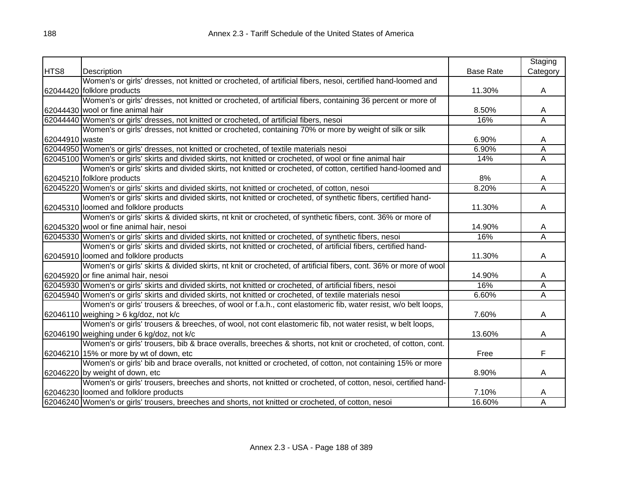|                |                                                                                                                  |                  | Staging                 |
|----------------|------------------------------------------------------------------------------------------------------------------|------------------|-------------------------|
| HTS8           | Description                                                                                                      | <b>Base Rate</b> | Category                |
|                | Women's or girls' dresses, not knitted or crocheted, of artificial fibers, nesoi, certified hand-loomed and      |                  |                         |
|                | 62044420 folklore products                                                                                       | 11.30%           | A                       |
|                | Women's or girls' dresses, not knitted or crocheted, of artificial fibers, containing 36 percent or more of      |                  |                         |
|                | 62044430 wool or fine animal hair                                                                                | 8.50%            | A                       |
|                | 62044440 Women's or girls' dresses, not knitted or crocheted, of artificial fibers, nesoi                        | 16%              | $\overline{\mathsf{A}}$ |
|                | Women's or girls' dresses, not knitted or crocheted, containing 70% or more by weight of silk or silk            |                  |                         |
| 62044910 waste |                                                                                                                  | 6.90%            | A                       |
|                | 62044950 Women's or girls' dresses, not knitted or crocheted, of textile materials nesoi                         | 6.90%            | А                       |
|                | 62045100 Women's or girls' skirts and divided skirts, not knitted or crocheted, of wool or fine animal hair      | 14%              | A                       |
|                | Women's or girls' skirts and divided skirts, not knitted or crocheted, of cotton, certified hand-loomed and      |                  |                         |
|                | 62045210 folklore products                                                                                       | 8%               | A                       |
|                | 62045220 Women's or girls' skirts and divided skirts, not knitted or crocheted, of cotton, nesoi                 | 8.20%            | Ā                       |
|                | Women's or girls' skirts and divided skirts, not knitted or crocheted, of synthetic fibers, certified hand-      |                  |                         |
|                | 62045310 loomed and folklore products                                                                            | 11.30%           | A                       |
|                | Women's or girls' skirts & divided skirts, nt knit or crocheted, of synthetic fibers, cont. 36% or more of       |                  |                         |
|                | 62045320 wool or fine animal hair, nesoi                                                                         | 14.90%           | A                       |
|                | 62045330 Women's or girls' skirts and divided skirts, not knitted or crocheted, of synthetic fibers, nesoi       | 16%              | $\overline{\mathsf{A}}$ |
|                | Women's or girls' skirts and divided skirts, not knitted or crocheted, of artificial fibers, certified hand-     |                  |                         |
|                | 62045910 loomed and folklore products                                                                            | 11.30%           | A                       |
|                | Women's or girls' skirts & divided skirts, nt knit or crocheted, of artificial fibers, cont. 36% or more of wool |                  |                         |
|                | 62045920 or fine animal hair, nesoi                                                                              | 14.90%           | A                       |
|                | 62045930 Women's or girls' skirts and divided skirts, not knitted or crocheted, of artificial fibers, nesoi      | 16%              | Α                       |
|                | 62045940 Women's or girls' skirts and divided skirts, not knitted or crocheted, of textile materials nesoi       | 6.60%            | $\overline{A}$          |
|                | Women's or girls' trousers & breeches, of wool or f.a.h., cont elastomeric fib, water resist, w/o belt loops,    |                  |                         |
|                | 62046110 weighing $> 6$ kg/doz, not k/c                                                                          | 7.60%            | A                       |
|                | Women's or girls' trousers & breeches, of wool, not cont elastomeric fib, not water resist, w belt loops,        |                  |                         |
|                | 62046190 weighing under 6 kg/doz, not k/c                                                                        | 13.60%           | A                       |
|                | Women's or girls' trousers, bib & brace overalls, breeches & shorts, not knit or crocheted, of cotton, cont.     |                  |                         |
|                | 62046210 15% or more by wt of down, etc                                                                          | Free             | F                       |
|                | Women's or girls' bib and brace overalls, not knitted or crocheted, of cotton, not containing 15% or more        |                  |                         |
|                | 62046220 by weight of down, etc                                                                                  | 8.90%            | A                       |
|                | Women's or girls' trousers, breeches and shorts, not knitted or crocheted, of cotton, nesoi, certified hand-     |                  |                         |
|                | 62046230 loomed and folklore products                                                                            | 7.10%            | A                       |
|                | 62046240 Women's or girls' trousers, breeches and shorts, not knitted or crocheted, of cotton, nesoi             | 16.60%           | $\overline{A}$          |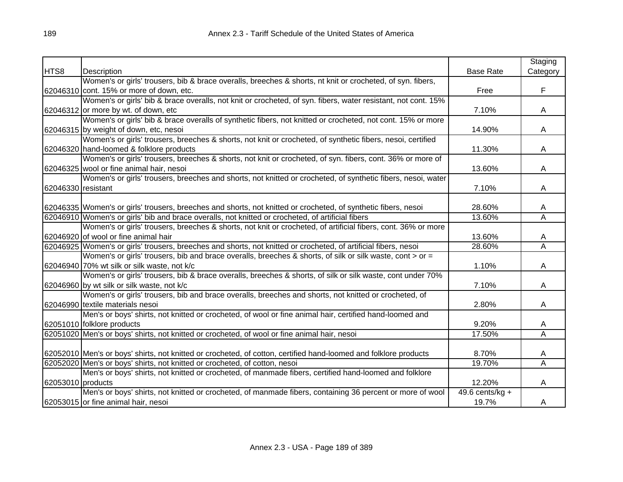|                    |                                                                                                                  |                   | Staging                 |
|--------------------|------------------------------------------------------------------------------------------------------------------|-------------------|-------------------------|
| HTS8               | Description                                                                                                      | <b>Base Rate</b>  | Category                |
|                    | Women's or girls' trousers, bib & brace overalls, breeches & shorts, nt knit or crocheted, of syn. fibers,       |                   |                         |
|                    | 62046310 cont. 15% or more of down, etc.                                                                         | Free              | F                       |
|                    | Women's or girls' bib & brace overalls, not knit or crocheted, of syn. fibers, water resistant, not cont. 15%    |                   |                         |
|                    | $62046312$ or more by wt. of down, etc                                                                           | 7.10%             | A                       |
|                    | Women's or girls' bib & brace overalls of synthetic fibers, not knitted or crocheted, not cont. 15% or more      |                   |                         |
|                    | 62046315 by weight of down, etc, nesoi                                                                           | 14.90%            | A                       |
|                    | Women's or girls' trousers, breeches & shorts, not knit or crocheted, of synthetic fibers, nesoi, certified      |                   |                         |
|                    | 62046320 hand-loomed & folklore products                                                                         | 11.30%            | A                       |
|                    | Women's or girls' trousers, breeches & shorts, not knit or crocheted, of syn. fibers, cont. 36% or more of       |                   |                         |
|                    | 62046325 wool or fine animal hair, nesoi                                                                         | 13.60%            | A                       |
|                    | Women's or girls' trousers, breeches and shorts, not knitted or crocheted, of synthetic fibers, nesoi, water     |                   |                         |
| 62046330 resistant |                                                                                                                  | 7.10%             | A                       |
|                    |                                                                                                                  |                   |                         |
|                    | 62046335 Women's or girls' trousers, breeches and shorts, not knitted or crocheted, of synthetic fibers, nesoi   | 28.60%            | A                       |
|                    | 62046910 Women's or girls' bib and brace overalls, not knitted or crocheted, of artificial fibers                | 13.60%            | A                       |
|                    | Women's or girls' trousers, breeches & shorts, not knit or crocheted, of artificial fibers, cont. 36% or more    |                   |                         |
|                    | 62046920 of wool or fine animal hair                                                                             | 13.60%            | A                       |
|                    | 62046925 Women's or girls' trousers, breeches and shorts, not knitted or crocheted, of artificial fibers, nesoi  | 28.60%            | $\overline{\mathsf{A}}$ |
|                    | Women's or girls' trousers, bib and brace overalls, breeches & shorts, of silk or silk waste, cont > or =        |                   |                         |
|                    | 62046940 70% wt silk or silk waste, not k/c                                                                      | 1.10%             | A                       |
|                    | Women's or girls' trousers, bib & brace overalls, breeches & shorts, of silk or silk waste, cont under 70%       |                   |                         |
|                    | 62046960 by wt silk or silk waste, not k/c                                                                       | 7.10%             | A                       |
|                    | Women's or girls' trousers, bib and brace overalls, breeches and shorts, not knitted or crocheted, of            |                   |                         |
|                    | 62046990 textile materials nesoi                                                                                 | 2.80%             | A                       |
|                    | Men's or boys' shirts, not knitted or crocheted, of wool or fine animal hair, certified hand-loomed and          |                   |                         |
|                    | 62051010 folklore products                                                                                       | 9.20%             | A                       |
|                    | 62051020 Men's or boys' shirts, not knitted or crocheted, of wool or fine animal hair, nesoi                     | 17.50%            | A                       |
|                    |                                                                                                                  |                   |                         |
|                    | 62052010 Men's or boys' shirts, not knitted or crocheted, of cotton, certified hand-loomed and folklore products | 8.70%             | A                       |
|                    | 62052020 Men's or boys' shirts, not knitted or crocheted, of cotton, nesoi                                       | 19.70%            | Α                       |
|                    | Men's or boys' shirts, not knitted or crocheted, of manmade fibers, certified hand-loomed and folklore           |                   |                         |
| 62053010 products  |                                                                                                                  | 12.20%            | A                       |
|                    | Men's or boys' shirts, not knitted or crocheted, of manmade fibers, containing 36 percent or more of wool        | 49.6 cents/kg $+$ |                         |
|                    | 62053015 or fine animal hair, nesoi                                                                              | 19.7%             | A                       |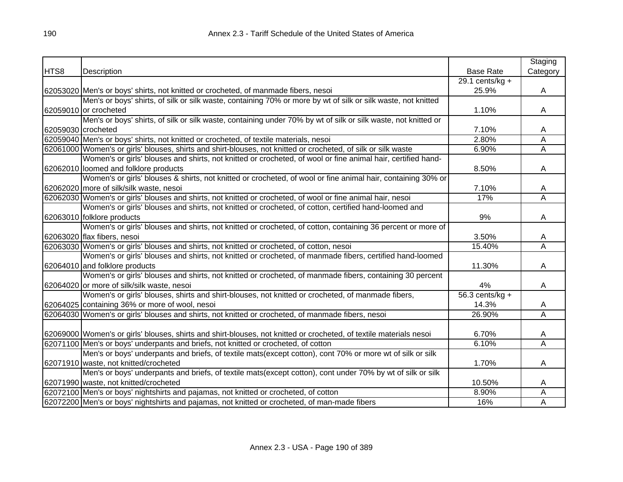|                    |                                                                                                                    |                   | Staging                 |
|--------------------|--------------------------------------------------------------------------------------------------------------------|-------------------|-------------------------|
| HTS8               | Description                                                                                                        | <b>Base Rate</b>  | Category                |
|                    |                                                                                                                    | 29.1 cents/kg $+$ |                         |
|                    | 62053020 Men's or boys' shirts, not knitted or crocheted, of manmade fibers, nesoi                                 | 25.9%             | A                       |
|                    | Men's or boys' shirts, of silk or silk waste, containing 70% or more by wt of silk or silk waste, not knitted      |                   |                         |
|                    | 62059010 or crocheted                                                                                              | 1.10%             | A                       |
|                    | Men's or boys' shirts, of silk or silk waste, containing under 70% by wt of silk or silk waste, not knitted or     |                   |                         |
| 62059030 crocheted |                                                                                                                    | 7.10%             | A                       |
|                    | 62059040 Men's or boys' shirts, not knitted or crocheted, of textile materials, nesoi                              | 2.80%             | А                       |
|                    | 62061000 Women's or girls' blouses, shirts and shirt-blouses, not knitted or crocheted, of silk or silk waste      | 6.90%             | A                       |
|                    | Women's or girls' blouses and shirts, not knitted or crocheted, of wool or fine animal hair, certified hand-       |                   |                         |
|                    | 62062010 loomed and folklore products                                                                              | 8.50%             | A                       |
|                    | Women's or girls' blouses & shirts, not knitted or crocheted, of wool or fine animal hair, containing 30% or       |                   |                         |
|                    | 62062020 more of silk/silk waste, nesoi                                                                            | 7.10%             | A                       |
|                    | 62062030 Women's or girls' blouses and shirts, not knitted or crocheted, of wool or fine animal hair, nesoi        | 17%               | $\overline{\mathsf{A}}$ |
|                    | Women's or girls' blouses and shirts, not knitted or crocheted, of cotton, certified hand-loomed and               |                   |                         |
|                    | 62063010 folklore products                                                                                         | 9%                | A                       |
|                    | Women's or girls' blouses and shirts, not knitted or crocheted, of cotton, containing 36 percent or more of        |                   |                         |
|                    | 62063020 flax fibers, nesoi                                                                                        | 3.50%             | A                       |
|                    | 62063030 Women's or girls' blouses and shirts, not knitted or crocheted, of cotton, nesoi                          | 15.40%            | Α                       |
|                    | Women's or girls' blouses and shirts, not knitted or crocheted, of manmade fibers, certified hand-loomed           |                   |                         |
|                    | 62064010 and folklore products                                                                                     | 11.30%            | A                       |
|                    | Women's or girls' blouses and shirts, not knitted or crocheted, of manmade fibers, containing 30 percent           |                   |                         |
|                    | 62064020 or more of silk/silk waste, nesoi                                                                         | 4%                | A                       |
|                    | Women's or girls' blouses, shirts and shirt-blouses, not knitted or crocheted, of manmade fibers,                  | $56.3$ cents/kg + |                         |
|                    | 62064025 containing 36% or more of wool, nesoi                                                                     | 14.3%             | A                       |
|                    | 62064030 Women's or girls' blouses and shirts, not knitted or crocheted, of manmade fibers, nesoi                  | 26.90%            | Α                       |
|                    |                                                                                                                    |                   |                         |
|                    | 62069000 Women's or girls' blouses, shirts and shirt-blouses, not knitted or crocheted, of textile materials nesoi | 6.70%             | A                       |
|                    | 62071100 Men's or boys' underpants and briefs, not knitted or crocheted, of cotton                                 | 6.10%             | $\overline{\mathsf{A}}$ |
|                    | Men's or boys' underpants and briefs, of textile mats(except cotton), cont 70% or more wt of silk or silk          |                   |                         |
|                    | 62071910 waste, not knitted/crocheted                                                                              | 1.70%             | A                       |
|                    | Men's or boys' underpants and briefs, of textile mats(except cotton), cont under 70% by wt of silk or silk         |                   |                         |
|                    | 62071990 waste, not knitted/crocheted                                                                              | 10.50%            | A                       |
|                    | 62072100 Men's or boys' nightshirts and pajamas, not knitted or crocheted, of cotton                               | 8.90%             | Α                       |
|                    | 62072200 Men's or boys' nightshirts and pajamas, not knitted or crocheted, of man-made fibers                      | 16%               | A                       |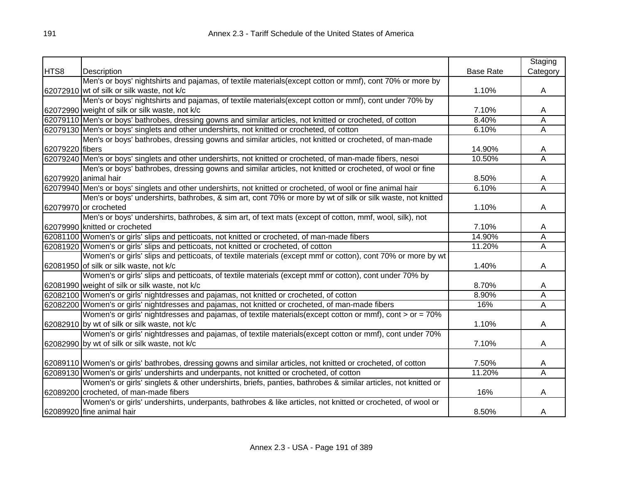|                 |                                                                                                                |                  | Staging                 |
|-----------------|----------------------------------------------------------------------------------------------------------------|------------------|-------------------------|
| HTS8            | Description                                                                                                    | <b>Base Rate</b> | Category                |
|                 | Men's or boys' nightshirts and pajamas, of textile materials (except cotton or mmf), cont 70% or more by       |                  |                         |
|                 | 62072910 wt of silk or silk waste, not k/c                                                                     | 1.10%            | A                       |
|                 | Men's or boys' nightshirts and pajamas, of textile materials(except cotton or mmf), cont under 70% by          |                  |                         |
|                 | 62072990 weight of silk or silk waste, not k/c                                                                 | 7.10%            | A                       |
|                 | 62079110 Men's or boys' bathrobes, dressing gowns and similar articles, not knitted or crocheted, of cotton    | 8.40%            | Ā                       |
|                 | 62079130 Men's or boys' singlets and other undershirts, not knitted or crocheted, of cotton                    | 6.10%            | Ā                       |
|                 | Men's or boys' bathrobes, dressing gowns and similar articles, not knitted or crocheted, of man-made           |                  |                         |
| 62079220 fibers |                                                                                                                | 14.90%           | A                       |
|                 | 62079240 Men's or boys' singlets and other undershirts, not knitted or crocheted, of man-made fibers, nesoi    | 10.50%           | $\overline{\mathsf{A}}$ |
|                 | Men's or boys' bathrobes, dressing gowns and similar articles, not knitted or crocheted, of wool or fine       |                  |                         |
|                 | 62079920 animal hair                                                                                           | 8.50%            | A                       |
|                 | 62079940 Men's or boys' singlets and other undershirts, not knitted or crocheted, of wool or fine animal hair  | 6.10%            | Α                       |
|                 | Men's or boys' undershirts, bathrobes, & sim art, cont 70% or more by wt of silk or silk waste, not knitted    |                  |                         |
|                 | 62079970 or crocheted                                                                                          | 1.10%            | A                       |
|                 | Men's or boys' undershirts, bathrobes, & sim art, of text mats (except of cotton, mmf, wool, silk), not        |                  |                         |
|                 | 62079990 knitted or crocheted                                                                                  | 7.10%            | A                       |
|                 | 62081100 Women's or girls' slips and petticoats, not knitted or crocheted, of man-made fibers                  | 14.90%           | Α                       |
|                 | 62081920 Women's or girls' slips and petticoats, not knitted or crocheted, of cotton                           | 11.20%           | Α                       |
|                 | Women's or girls' slips and petticoats, of textile materials (except mmf or cotton), cont 70% or more by wt    |                  |                         |
|                 | 62081950 of silk or silk waste, not k/c                                                                        | 1.40%            | A                       |
|                 | Women's or girls' slips and petticoats, of textile materials (except mmf or cotton), cont under 70% by         |                  |                         |
|                 | 62081990 weight of silk or silk waste, not k/c                                                                 | 8.70%            | A                       |
|                 | 62082100 Women's or girls' nightdresses and pajamas, not knitted or crocheted, of cotton                       | 8.90%            | Α                       |
|                 | 62082200 Women's or girls' nightdresses and pajamas, not knitted or crocheted, of man-made fibers              | 16%              | A                       |
|                 | Women's or girls' nightdresses and pajamas, of textile materials(except cotton or mmf), cont > or = 70%        |                  |                         |
|                 | 62082910 by wt of silk or silk waste, not k/c                                                                  | 1.10%            | A                       |
|                 | Women's or girls' nightdresses and pajamas, of textile materials(except cotton or mmf), cont under 70%         |                  |                         |
|                 | 62082990 by wt of silk or silk waste, not k/c                                                                  | 7.10%            | A                       |
|                 | 62089110 Women's or girls' bathrobes, dressing gowns and similar articles, not knitted or crocheted, of cotton | 7.50%            | A                       |
|                 | 62089130 Women's or girls' undershirts and underpants, not knitted or crocheted, of cotton                     | 11.20%           | A                       |
|                 | Women's or girls' singlets & other undershirts, briefs, panties, bathrobes & similar articles, not knitted or  |                  |                         |
|                 | 62089200 crocheted, of man-made fibers                                                                         | 16%              | A                       |
|                 | Women's or girls' undershirts, underpants, bathrobes & like articles, not knitted or crocheted, of wool or     |                  |                         |
|                 | 62089920 fine animal hair                                                                                      | 8.50%            | A                       |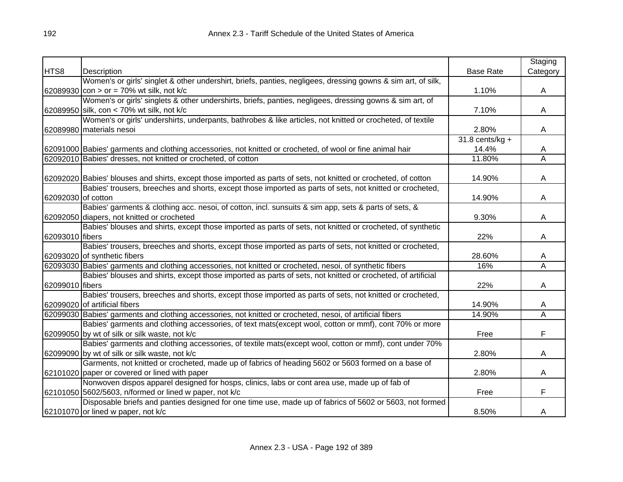|                    |                                                                                                                  |                   | Staging  |
|--------------------|------------------------------------------------------------------------------------------------------------------|-------------------|----------|
| HTS8               | Description                                                                                                      | <b>Base Rate</b>  | Category |
|                    | Women's or girls' singlet & other undershirt, briefs, panties, negligees, dressing gowns & sim art, of silk,     |                   |          |
|                    | 62089930 con > or = 70% wt silk, not k/c                                                                         | 1.10%             | A        |
|                    | Women's or girls' singlets & other undershirts, briefs, panties, negligees, dressing gowns & sim art, of         |                   |          |
|                    | 62089950 silk, con < 70% wt silk, not k/c                                                                        | 7.10%             | A        |
|                    | Women's or girls' undershirts, underpants, bathrobes & like articles, not knitted or crocheted, of textile       |                   |          |
|                    | 62089980 materials nesoi                                                                                         | 2.80%             | A        |
|                    |                                                                                                                  | $31.8$ cents/kg + |          |
|                    | 62091000 Babies' garments and clothing accessories, not knitted or crocheted, of wool or fine animal hair        | 14.4%             | A        |
|                    | 62092010 Babies' dresses, not knitted or crocheted, of cotton                                                    | 11.80%            | A        |
|                    |                                                                                                                  |                   |          |
|                    | 62092020 Babies' blouses and shirts, except those imported as parts of sets, not knitted or crocheted, of cotton | 14.90%            | A        |
|                    | Babies' trousers, breeches and shorts, except those imported as parts of sets, not knitted or crocheted,         |                   |          |
| 62092030 of cotton |                                                                                                                  | 14.90%            | A        |
|                    | Babies' garments & clothing acc. nesoi, of cotton, incl. sunsuits & sim app, sets & parts of sets, &             |                   |          |
|                    | 62092050 diapers, not knitted or crocheted                                                                       | 9.30%             | A        |
|                    | Babies' blouses and shirts, except those imported as parts of sets, not knitted or crocheted, of synthetic       |                   |          |
| 62093010 fibers    |                                                                                                                  | 22%               | A        |
|                    | Babies' trousers, breeches and shorts, except those imported as parts of sets, not knitted or crocheted,         |                   |          |
|                    | 62093020 of synthetic fibers                                                                                     | 28.60%            | A        |
|                    | 62093030 Babies' garments and clothing accessories, not knitted or crocheted, nesoi, of synthetic fibers         | 16%               | Ā        |
|                    | Babies' blouses and shirts, except those imported as parts of sets, not knitted or crocheted, of artificial      |                   |          |
| 62099010 fibers    |                                                                                                                  | 22%               | A        |
|                    | Babies' trousers, breeches and shorts, except those imported as parts of sets, not knitted or crocheted,         |                   |          |
|                    | 62099020 of artificial fibers                                                                                    | 14.90%            | A        |
|                    | 62099030 Babies' garments and clothing accessories, not knitted or crocheted, nesoi, of artificial fibers        | 14.90%            | A        |
|                    | Babies' garments and clothing accessories, of text mats(except wool, cotton or mmf), cont 70% or more            |                   |          |
|                    | 62099050 by wt of silk or silk waste, not k/c                                                                    | Free              | F        |
|                    | Babies' garments and clothing accessories, of textile mats(except wool, cotton or mmf), cont under 70%           |                   |          |
|                    | 62099090 by wt of silk or silk waste, not k/c                                                                    | 2.80%             | A        |
|                    | Garments, not knitted or crocheted, made up of fabrics of heading 5602 or 5603 formed on a base of               |                   |          |
|                    | 62101020 paper or covered or lined with paper                                                                    | 2.80%             | A        |
|                    | Nonwoven dispos apparel designed for hosps, clinics, labs or cont area use, made up of fab of                    |                   |          |
|                    | 62101050 5602/5603, n/formed or lined w paper, not k/c                                                           | Free              | F        |
|                    | Disposable briefs and panties designed for one time use, made up of fabrics of 5602 or 5603, not formed          |                   |          |
|                    | 62101070 or lined w paper, not k/c                                                                               | 8.50%             | A        |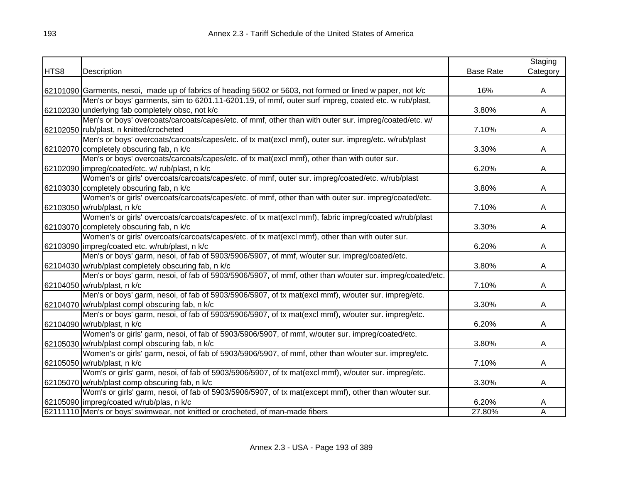| Category<br>HTS8<br><b>Base Rate</b><br>Description<br>62101090 Garments, nesoi, made up of fabrics of heading 5602 or 5603, not formed or lined w paper, not k/c<br>16%<br>$\mathsf{A}$<br>Men's or boys' garments, sim to 6201.11-6201.19, of mmf, outer surf impreg, coated etc. w rub/plast,<br>62102030 underlying fab completely obsc, not k/c<br>3.80%<br>A<br>Men's or boys' overcoats/carcoats/capes/etc. of mmf, other than with outer sur. impreg/coated/etc. w/<br>62102050 rub/plast, n knitted/crocheted<br>7.10%<br>A<br>Men's or boys' overcoats/carcoats/capes/etc. of tx mat(excl mmf), outer sur. impreg/etc. w/rub/plast<br>62102070 completely obscuring fab, n k/c<br>3.30%<br>A<br>Men's or boys' overcoats/carcoats/capes/etc. of tx mat(excl mmf), other than with outer sur.<br>62102090 impreg/coated/etc. w/ rub/plast, n k/c<br>6.20%<br>A<br>Women's or girls' overcoats/carcoats/capes/etc. of mmf, outer sur. impreg/coated/etc. w/rub/plast<br>62103030 completely obscuring fab, n k/c<br>3.80%<br>A<br>Women's or girls' overcoats/carcoats/capes/etc. of mmf, other than with outer sur. impreg/coated/etc.<br>62103050 w/rub/plast, n k/c<br>7.10%<br>A<br>Women's or girls' overcoats/carcoats/capes/etc. of tx mat(excl mmf), fabric impreg/coated w/rub/plast<br>62103070 completely obscuring fab, n k/c<br>3.30%<br>A<br>Women's or girls' overcoats/carcoats/capes/etc. of tx mat(excl mmf), other than with outer sur.<br>62103090 impreg/coated etc. w/rub/plast, n k/c<br>6.20%<br>A<br>Men's or boys' garm, nesoi, of fab of 5903/5906/5907, of mmf, w/outer sur. impreg/coated/etc.<br>62104030 w/rub/plast completely obscuring fab, n k/c<br>3.80%<br>A<br>Men's or boys' garm, nesoi, of fab of 5903/5906/5907, of mmf, other than w/outer sur. impreg/coated/etc.<br>62104050 w/rub/plast, n k/c<br>7.10%<br>A<br>Men's or boys' garm, nesoi, of fab of 5903/5906/5907, of tx mat(excl mmf), w/outer sur. impreg/etc.<br>62104070 w/rub/plast compl obscuring fab, n k/c<br>3.30%<br>A<br>Men's or boys' garm, nesoi, of fab of 5903/5906/5907, of tx mat(excl mmf), w/outer sur. impreg/etc.<br>62104090 w/rub/plast, n k/c<br>6.20%<br>A<br>Women's or girls' garm, nesoi, of fab of 5903/5906/5907, of mmf, w/outer sur. impreg/coated/etc.<br>62105030 w/rub/plast compl obscuring fab, n k/c<br>3.80%<br>A<br>Women's or girls' garm, nesoi, of fab of 5903/5906/5907, of mmf, other than w/outer sur. impreg/etc.<br>7.10%<br>62105050 w/rub/plast, n k/c<br>A<br>Wom's or girls' garm, nesoi, of fab of 5903/5906/5907, of tx mat(excl mmf), w/outer sur. impreg/etc.<br>62105070 w/rub/plast comp obscuring fab, n k/c<br>3.30%<br>A<br>Wom's or girls' garm, nesoi, of fab of 5903/5906/5907, of tx mat(except mmf), other than w/outer sur.<br>62105090 impreg/coated w/rub/plas, n k/c<br>6.20%<br>A<br>$\overline{\mathsf{A}}$<br>62111110 Men's or boys' swimwear, not knitted or crocheted, of man-made fibers<br>27.80% |  | Staging |
|--------------------------------------------------------------------------------------------------------------------------------------------------------------------------------------------------------------------------------------------------------------------------------------------------------------------------------------------------------------------------------------------------------------------------------------------------------------------------------------------------------------------------------------------------------------------------------------------------------------------------------------------------------------------------------------------------------------------------------------------------------------------------------------------------------------------------------------------------------------------------------------------------------------------------------------------------------------------------------------------------------------------------------------------------------------------------------------------------------------------------------------------------------------------------------------------------------------------------------------------------------------------------------------------------------------------------------------------------------------------------------------------------------------------------------------------------------------------------------------------------------------------------------------------------------------------------------------------------------------------------------------------------------------------------------------------------------------------------------------------------------------------------------------------------------------------------------------------------------------------------------------------------------------------------------------------------------------------------------------------------------------------------------------------------------------------------------------------------------------------------------------------------------------------------------------------------------------------------------------------------------------------------------------------------------------------------------------------------------------------------------------------------------------------------------------------------------------------------------------------------------------------------------------------------------------------------------------------------------------------------------------------------------------------------------------------------------------------------------------------------------------------------------------------------------------------------------------------------------------------------------------------------------------------------------------------------------------------------------------------|--|---------|
|                                                                                                                                                                                                                                                                                                                                                                                                                                                                                                                                                                                                                                                                                                                                                                                                                                                                                                                                                                                                                                                                                                                                                                                                                                                                                                                                                                                                                                                                                                                                                                                                                                                                                                                                                                                                                                                                                                                                                                                                                                                                                                                                                                                                                                                                                                                                                                                                                                                                                                                                                                                                                                                                                                                                                                                                                                                                                                                                                                                            |  |         |
|                                                                                                                                                                                                                                                                                                                                                                                                                                                                                                                                                                                                                                                                                                                                                                                                                                                                                                                                                                                                                                                                                                                                                                                                                                                                                                                                                                                                                                                                                                                                                                                                                                                                                                                                                                                                                                                                                                                                                                                                                                                                                                                                                                                                                                                                                                                                                                                                                                                                                                                                                                                                                                                                                                                                                                                                                                                                                                                                                                                            |  |         |
|                                                                                                                                                                                                                                                                                                                                                                                                                                                                                                                                                                                                                                                                                                                                                                                                                                                                                                                                                                                                                                                                                                                                                                                                                                                                                                                                                                                                                                                                                                                                                                                                                                                                                                                                                                                                                                                                                                                                                                                                                                                                                                                                                                                                                                                                                                                                                                                                                                                                                                                                                                                                                                                                                                                                                                                                                                                                                                                                                                                            |  |         |
|                                                                                                                                                                                                                                                                                                                                                                                                                                                                                                                                                                                                                                                                                                                                                                                                                                                                                                                                                                                                                                                                                                                                                                                                                                                                                                                                                                                                                                                                                                                                                                                                                                                                                                                                                                                                                                                                                                                                                                                                                                                                                                                                                                                                                                                                                                                                                                                                                                                                                                                                                                                                                                                                                                                                                                                                                                                                                                                                                                                            |  |         |
|                                                                                                                                                                                                                                                                                                                                                                                                                                                                                                                                                                                                                                                                                                                                                                                                                                                                                                                                                                                                                                                                                                                                                                                                                                                                                                                                                                                                                                                                                                                                                                                                                                                                                                                                                                                                                                                                                                                                                                                                                                                                                                                                                                                                                                                                                                                                                                                                                                                                                                                                                                                                                                                                                                                                                                                                                                                                                                                                                                                            |  |         |
|                                                                                                                                                                                                                                                                                                                                                                                                                                                                                                                                                                                                                                                                                                                                                                                                                                                                                                                                                                                                                                                                                                                                                                                                                                                                                                                                                                                                                                                                                                                                                                                                                                                                                                                                                                                                                                                                                                                                                                                                                                                                                                                                                                                                                                                                                                                                                                                                                                                                                                                                                                                                                                                                                                                                                                                                                                                                                                                                                                                            |  |         |
|                                                                                                                                                                                                                                                                                                                                                                                                                                                                                                                                                                                                                                                                                                                                                                                                                                                                                                                                                                                                                                                                                                                                                                                                                                                                                                                                                                                                                                                                                                                                                                                                                                                                                                                                                                                                                                                                                                                                                                                                                                                                                                                                                                                                                                                                                                                                                                                                                                                                                                                                                                                                                                                                                                                                                                                                                                                                                                                                                                                            |  |         |
|                                                                                                                                                                                                                                                                                                                                                                                                                                                                                                                                                                                                                                                                                                                                                                                                                                                                                                                                                                                                                                                                                                                                                                                                                                                                                                                                                                                                                                                                                                                                                                                                                                                                                                                                                                                                                                                                                                                                                                                                                                                                                                                                                                                                                                                                                                                                                                                                                                                                                                                                                                                                                                                                                                                                                                                                                                                                                                                                                                                            |  |         |
|                                                                                                                                                                                                                                                                                                                                                                                                                                                                                                                                                                                                                                                                                                                                                                                                                                                                                                                                                                                                                                                                                                                                                                                                                                                                                                                                                                                                                                                                                                                                                                                                                                                                                                                                                                                                                                                                                                                                                                                                                                                                                                                                                                                                                                                                                                                                                                                                                                                                                                                                                                                                                                                                                                                                                                                                                                                                                                                                                                                            |  |         |
|                                                                                                                                                                                                                                                                                                                                                                                                                                                                                                                                                                                                                                                                                                                                                                                                                                                                                                                                                                                                                                                                                                                                                                                                                                                                                                                                                                                                                                                                                                                                                                                                                                                                                                                                                                                                                                                                                                                                                                                                                                                                                                                                                                                                                                                                                                                                                                                                                                                                                                                                                                                                                                                                                                                                                                                                                                                                                                                                                                                            |  |         |
|                                                                                                                                                                                                                                                                                                                                                                                                                                                                                                                                                                                                                                                                                                                                                                                                                                                                                                                                                                                                                                                                                                                                                                                                                                                                                                                                                                                                                                                                                                                                                                                                                                                                                                                                                                                                                                                                                                                                                                                                                                                                                                                                                                                                                                                                                                                                                                                                                                                                                                                                                                                                                                                                                                                                                                                                                                                                                                                                                                                            |  |         |
|                                                                                                                                                                                                                                                                                                                                                                                                                                                                                                                                                                                                                                                                                                                                                                                                                                                                                                                                                                                                                                                                                                                                                                                                                                                                                                                                                                                                                                                                                                                                                                                                                                                                                                                                                                                                                                                                                                                                                                                                                                                                                                                                                                                                                                                                                                                                                                                                                                                                                                                                                                                                                                                                                                                                                                                                                                                                                                                                                                                            |  |         |
|                                                                                                                                                                                                                                                                                                                                                                                                                                                                                                                                                                                                                                                                                                                                                                                                                                                                                                                                                                                                                                                                                                                                                                                                                                                                                                                                                                                                                                                                                                                                                                                                                                                                                                                                                                                                                                                                                                                                                                                                                                                                                                                                                                                                                                                                                                                                                                                                                                                                                                                                                                                                                                                                                                                                                                                                                                                                                                                                                                                            |  |         |
|                                                                                                                                                                                                                                                                                                                                                                                                                                                                                                                                                                                                                                                                                                                                                                                                                                                                                                                                                                                                                                                                                                                                                                                                                                                                                                                                                                                                                                                                                                                                                                                                                                                                                                                                                                                                                                                                                                                                                                                                                                                                                                                                                                                                                                                                                                                                                                                                                                                                                                                                                                                                                                                                                                                                                                                                                                                                                                                                                                                            |  |         |
|                                                                                                                                                                                                                                                                                                                                                                                                                                                                                                                                                                                                                                                                                                                                                                                                                                                                                                                                                                                                                                                                                                                                                                                                                                                                                                                                                                                                                                                                                                                                                                                                                                                                                                                                                                                                                                                                                                                                                                                                                                                                                                                                                                                                                                                                                                                                                                                                                                                                                                                                                                                                                                                                                                                                                                                                                                                                                                                                                                                            |  |         |
|                                                                                                                                                                                                                                                                                                                                                                                                                                                                                                                                                                                                                                                                                                                                                                                                                                                                                                                                                                                                                                                                                                                                                                                                                                                                                                                                                                                                                                                                                                                                                                                                                                                                                                                                                                                                                                                                                                                                                                                                                                                                                                                                                                                                                                                                                                                                                                                                                                                                                                                                                                                                                                                                                                                                                                                                                                                                                                                                                                                            |  |         |
|                                                                                                                                                                                                                                                                                                                                                                                                                                                                                                                                                                                                                                                                                                                                                                                                                                                                                                                                                                                                                                                                                                                                                                                                                                                                                                                                                                                                                                                                                                                                                                                                                                                                                                                                                                                                                                                                                                                                                                                                                                                                                                                                                                                                                                                                                                                                                                                                                                                                                                                                                                                                                                                                                                                                                                                                                                                                                                                                                                                            |  |         |
|                                                                                                                                                                                                                                                                                                                                                                                                                                                                                                                                                                                                                                                                                                                                                                                                                                                                                                                                                                                                                                                                                                                                                                                                                                                                                                                                                                                                                                                                                                                                                                                                                                                                                                                                                                                                                                                                                                                                                                                                                                                                                                                                                                                                                                                                                                                                                                                                                                                                                                                                                                                                                                                                                                                                                                                                                                                                                                                                                                                            |  |         |
|                                                                                                                                                                                                                                                                                                                                                                                                                                                                                                                                                                                                                                                                                                                                                                                                                                                                                                                                                                                                                                                                                                                                                                                                                                                                                                                                                                                                                                                                                                                                                                                                                                                                                                                                                                                                                                                                                                                                                                                                                                                                                                                                                                                                                                                                                                                                                                                                                                                                                                                                                                                                                                                                                                                                                                                                                                                                                                                                                                                            |  |         |
|                                                                                                                                                                                                                                                                                                                                                                                                                                                                                                                                                                                                                                                                                                                                                                                                                                                                                                                                                                                                                                                                                                                                                                                                                                                                                                                                                                                                                                                                                                                                                                                                                                                                                                                                                                                                                                                                                                                                                                                                                                                                                                                                                                                                                                                                                                                                                                                                                                                                                                                                                                                                                                                                                                                                                                                                                                                                                                                                                                                            |  |         |
|                                                                                                                                                                                                                                                                                                                                                                                                                                                                                                                                                                                                                                                                                                                                                                                                                                                                                                                                                                                                                                                                                                                                                                                                                                                                                                                                                                                                                                                                                                                                                                                                                                                                                                                                                                                                                                                                                                                                                                                                                                                                                                                                                                                                                                                                                                                                                                                                                                                                                                                                                                                                                                                                                                                                                                                                                                                                                                                                                                                            |  |         |
|                                                                                                                                                                                                                                                                                                                                                                                                                                                                                                                                                                                                                                                                                                                                                                                                                                                                                                                                                                                                                                                                                                                                                                                                                                                                                                                                                                                                                                                                                                                                                                                                                                                                                                                                                                                                                                                                                                                                                                                                                                                                                                                                                                                                                                                                                                                                                                                                                                                                                                                                                                                                                                                                                                                                                                                                                                                                                                                                                                                            |  |         |
|                                                                                                                                                                                                                                                                                                                                                                                                                                                                                                                                                                                                                                                                                                                                                                                                                                                                                                                                                                                                                                                                                                                                                                                                                                                                                                                                                                                                                                                                                                                                                                                                                                                                                                                                                                                                                                                                                                                                                                                                                                                                                                                                                                                                                                                                                                                                                                                                                                                                                                                                                                                                                                                                                                                                                                                                                                                                                                                                                                                            |  |         |
|                                                                                                                                                                                                                                                                                                                                                                                                                                                                                                                                                                                                                                                                                                                                                                                                                                                                                                                                                                                                                                                                                                                                                                                                                                                                                                                                                                                                                                                                                                                                                                                                                                                                                                                                                                                                                                                                                                                                                                                                                                                                                                                                                                                                                                                                                                                                                                                                                                                                                                                                                                                                                                                                                                                                                                                                                                                                                                                                                                                            |  |         |
|                                                                                                                                                                                                                                                                                                                                                                                                                                                                                                                                                                                                                                                                                                                                                                                                                                                                                                                                                                                                                                                                                                                                                                                                                                                                                                                                                                                                                                                                                                                                                                                                                                                                                                                                                                                                                                                                                                                                                                                                                                                                                                                                                                                                                                                                                                                                                                                                                                                                                                                                                                                                                                                                                                                                                                                                                                                                                                                                                                                            |  |         |
|                                                                                                                                                                                                                                                                                                                                                                                                                                                                                                                                                                                                                                                                                                                                                                                                                                                                                                                                                                                                                                                                                                                                                                                                                                                                                                                                                                                                                                                                                                                                                                                                                                                                                                                                                                                                                                                                                                                                                                                                                                                                                                                                                                                                                                                                                                                                                                                                                                                                                                                                                                                                                                                                                                                                                                                                                                                                                                                                                                                            |  |         |
|                                                                                                                                                                                                                                                                                                                                                                                                                                                                                                                                                                                                                                                                                                                                                                                                                                                                                                                                                                                                                                                                                                                                                                                                                                                                                                                                                                                                                                                                                                                                                                                                                                                                                                                                                                                                                                                                                                                                                                                                                                                                                                                                                                                                                                                                                                                                                                                                                                                                                                                                                                                                                                                                                                                                                                                                                                                                                                                                                                                            |  |         |
|                                                                                                                                                                                                                                                                                                                                                                                                                                                                                                                                                                                                                                                                                                                                                                                                                                                                                                                                                                                                                                                                                                                                                                                                                                                                                                                                                                                                                                                                                                                                                                                                                                                                                                                                                                                                                                                                                                                                                                                                                                                                                                                                                                                                                                                                                                                                                                                                                                                                                                                                                                                                                                                                                                                                                                                                                                                                                                                                                                                            |  |         |
|                                                                                                                                                                                                                                                                                                                                                                                                                                                                                                                                                                                                                                                                                                                                                                                                                                                                                                                                                                                                                                                                                                                                                                                                                                                                                                                                                                                                                                                                                                                                                                                                                                                                                                                                                                                                                                                                                                                                                                                                                                                                                                                                                                                                                                                                                                                                                                                                                                                                                                                                                                                                                                                                                                                                                                                                                                                                                                                                                                                            |  |         |
|                                                                                                                                                                                                                                                                                                                                                                                                                                                                                                                                                                                                                                                                                                                                                                                                                                                                                                                                                                                                                                                                                                                                                                                                                                                                                                                                                                                                                                                                                                                                                                                                                                                                                                                                                                                                                                                                                                                                                                                                                                                                                                                                                                                                                                                                                                                                                                                                                                                                                                                                                                                                                                                                                                                                                                                                                                                                                                                                                                                            |  |         |
|                                                                                                                                                                                                                                                                                                                                                                                                                                                                                                                                                                                                                                                                                                                                                                                                                                                                                                                                                                                                                                                                                                                                                                                                                                                                                                                                                                                                                                                                                                                                                                                                                                                                                                                                                                                                                                                                                                                                                                                                                                                                                                                                                                                                                                                                                                                                                                                                                                                                                                                                                                                                                                                                                                                                                                                                                                                                                                                                                                                            |  |         |
|                                                                                                                                                                                                                                                                                                                                                                                                                                                                                                                                                                                                                                                                                                                                                                                                                                                                                                                                                                                                                                                                                                                                                                                                                                                                                                                                                                                                                                                                                                                                                                                                                                                                                                                                                                                                                                                                                                                                                                                                                                                                                                                                                                                                                                                                                                                                                                                                                                                                                                                                                                                                                                                                                                                                                                                                                                                                                                                                                                                            |  |         |
|                                                                                                                                                                                                                                                                                                                                                                                                                                                                                                                                                                                                                                                                                                                                                                                                                                                                                                                                                                                                                                                                                                                                                                                                                                                                                                                                                                                                                                                                                                                                                                                                                                                                                                                                                                                                                                                                                                                                                                                                                                                                                                                                                                                                                                                                                                                                                                                                                                                                                                                                                                                                                                                                                                                                                                                                                                                                                                                                                                                            |  |         |
|                                                                                                                                                                                                                                                                                                                                                                                                                                                                                                                                                                                                                                                                                                                                                                                                                                                                                                                                                                                                                                                                                                                                                                                                                                                                                                                                                                                                                                                                                                                                                                                                                                                                                                                                                                                                                                                                                                                                                                                                                                                                                                                                                                                                                                                                                                                                                                                                                                                                                                                                                                                                                                                                                                                                                                                                                                                                                                                                                                                            |  |         |
|                                                                                                                                                                                                                                                                                                                                                                                                                                                                                                                                                                                                                                                                                                                                                                                                                                                                                                                                                                                                                                                                                                                                                                                                                                                                                                                                                                                                                                                                                                                                                                                                                                                                                                                                                                                                                                                                                                                                                                                                                                                                                                                                                                                                                                                                                                                                                                                                                                                                                                                                                                                                                                                                                                                                                                                                                                                                                                                                                                                            |  |         |
|                                                                                                                                                                                                                                                                                                                                                                                                                                                                                                                                                                                                                                                                                                                                                                                                                                                                                                                                                                                                                                                                                                                                                                                                                                                                                                                                                                                                                                                                                                                                                                                                                                                                                                                                                                                                                                                                                                                                                                                                                                                                                                                                                                                                                                                                                                                                                                                                                                                                                                                                                                                                                                                                                                                                                                                                                                                                                                                                                                                            |  |         |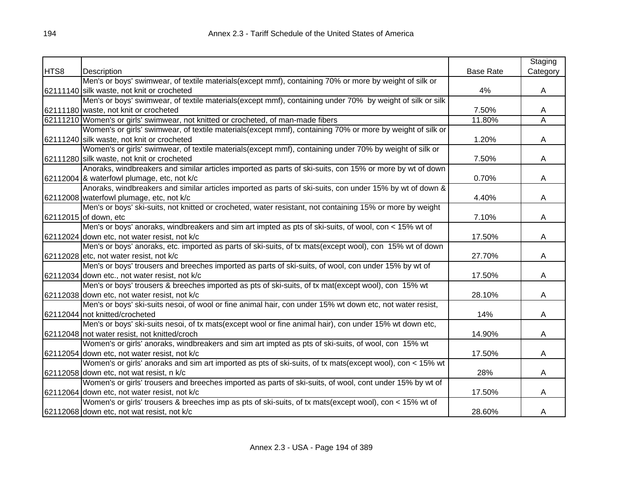|      |                                                                                                           |                  | Staging  |
|------|-----------------------------------------------------------------------------------------------------------|------------------|----------|
| HTS8 | Description                                                                                               | <b>Base Rate</b> | Category |
|      | Men's or boys' swimwear, of textile materials(except mmf), containing 70% or more by weight of silk or    |                  |          |
|      | 62111140 silk waste, not knit or crocheted                                                                | 4%               | A        |
|      | Men's or boys' swimwear, of textile materials(except mmf), containing under 70% by weight of silk or silk |                  |          |
|      | 62111180 waste, not knit or crocheted                                                                     | 7.50%            | A        |
|      | 62111210 Women's or girls' swimwear, not knitted or crocheted, of man-made fibers                         | 11.80%           | Ā        |
|      | Women's or girls' swimwear, of textile materials(except mmf), containing 70% or more by weight of silk or |                  |          |
|      | 62111240 silk waste, not knit or crocheted                                                                | 1.20%            | A        |
|      | Women's or girls' swimwear, of textile materials(except mmf), containing under 70% by weight of silk or   |                  |          |
|      | 62111280 silk waste, not knit or crocheted                                                                | 7.50%            | A        |
|      | Anoraks, windbreakers and similar articles imported as parts of ski-suits, con 15% or more by wt of down  |                  |          |
|      | 62112004 & waterfowl plumage, etc, not k/c                                                                | 0.70%            | A        |
|      | Anoraks, windbreakers and similar articles imported as parts of ski-suits, con under 15% by wt of down &  |                  |          |
|      | 62112008 waterfowl plumage, etc, not k/c                                                                  | 4.40%            | A        |
|      | Men's or boys' ski-suits, not knitted or crocheted, water resistant, not containing 15% or more by weight |                  |          |
|      | 62112015 of down, etc                                                                                     | 7.10%            | A        |
|      | Men's or boys' anoraks, windbreakers and sim art impted as pts of ski-suits, of wool, con < 15% wt of     |                  |          |
|      | 62112024 down etc, not water resist, not k/c                                                              | 17.50%           | A        |
|      | Men's or boys' anoraks, etc. imported as parts of ski-suits, of tx mats(except wool), con 15% wt of down  |                  |          |
|      | 62112028 etc, not water resist, not k/c                                                                   | 27.70%           | A        |
|      | Men's or boys' trousers and breeches imported as parts of ski-suits, of wool, con under 15% by wt of      |                  |          |
|      | 62112034 down etc., not water resist, not k/c                                                             | 17.50%           | A        |
|      | Men's or boys' trousers & breeches imported as pts of ski-suits, of tx mat(except wool), con 15% wt       |                  |          |
|      | 62112038 down etc, not water resist, not k/c                                                              | 28.10%           | A        |
|      | Men's or boys' ski-suits nesoi, of wool or fine animal hair, con under 15% wt down etc, not water resist, |                  |          |
|      | 62112044 not knitted/crocheted                                                                            | 14%              | A        |
|      | Men's or boys' ski-suits nesoi, of tx mats(except wool or fine animal hair), con under 15% wt down etc,   |                  |          |
|      | 62112048 not water resist, not knitted/croch                                                              | 14.90%           | A        |
|      | Women's or girls' anoraks, windbreakers and sim art impted as pts of ski-suits, of wool, con 15% wt       |                  |          |
|      | 62112054 down etc, not water resist, not k/c                                                              | 17.50%           | A        |
|      | Women's or girls' anoraks and sim art imported as pts of ski-suits, of tx mats(except wool), con < 15% wt |                  |          |
|      | 62112058 down etc, not wat resist, n k/c                                                                  | 28%              | A        |
|      | Women's or girls' trousers and breeches imported as parts of ski-suits, of wool, cont under 15% by wt of  |                  |          |
|      | 62112064 down etc, not water resist, not k/c                                                              | 17.50%           | A        |
|      | Women's or girls' trousers & breeches imp as pts of ski-suits, of tx mats(except wool), con < 15% wt of   |                  |          |
|      | 62112068 down etc, not wat resist, not k/c                                                                | 28.60%           | A        |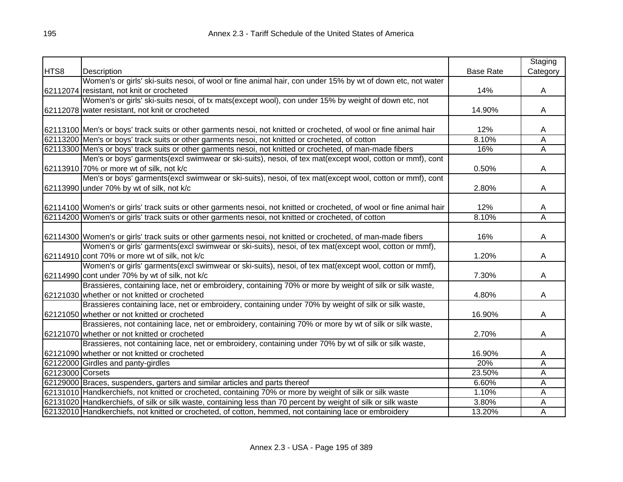|                  |                                                                                                                       |                  | Staging                 |
|------------------|-----------------------------------------------------------------------------------------------------------------------|------------------|-------------------------|
| HTS8             | Description                                                                                                           | <b>Base Rate</b> | Category                |
|                  | Women's or girls' ski-suits nesoi, of wool or fine animal hair, con under 15% by wt of down etc, not water            |                  |                         |
|                  | 62112074 resistant, not knit or crocheted                                                                             | 14%              | A                       |
|                  | Women's or girls' ski-suits nesoi, of tx mats(except wool), con under 15% by weight of down etc, not                  |                  |                         |
|                  | 62112078 water resistant, not knit or crocheted                                                                       | 14.90%           | A                       |
|                  |                                                                                                                       |                  |                         |
|                  | 62113100 Men's or boys' track suits or other garments nesoi, not knitted or crocheted, of wool or fine animal hair    | 12%              | A                       |
|                  | 62113200 Men's or boys' track suits or other garments nesoi, not knitted or crocheted, of cotton                      | 8.10%            | $\overline{A}$          |
|                  | 62113300 Men's or boys' track suits or other garments nesoi, not knitted or crocheted, of man-made fibers             | 16%              | $\overline{A}$          |
|                  | Men's or boys' garments(excl swimwear or ski-suits), nesoi, of tex mat(except wool, cotton or mmf), cont              |                  |                         |
|                  | 62113910 70% or more wt of silk, not k/c                                                                              | 0.50%            | A                       |
|                  | Men's or boys' garments(excl swimwear or ski-suits), nesoi, of tex mat(except wool, cotton or mmf), cont              |                  |                         |
|                  | 62113990 under 70% by wt of silk, not k/c                                                                             | 2.80%            | A                       |
|                  |                                                                                                                       |                  |                         |
|                  | 62114100 Women's or girls' track suits or other garments nesoi, not knitted or crocheted, of wool or fine animal hair | 12%              | A                       |
|                  | 62114200 Women's or girls' track suits or other garments nesoi, not knitted or crocheted, of cotton                   | 8.10%            | $\overline{\mathsf{A}}$ |
|                  |                                                                                                                       |                  |                         |
|                  | 62114300 Women's or girls' track suits or other garments nesoi, not knitted or crocheted, of man-made fibers          | 16%              | A                       |
|                  | Women's or girls' garments(excl swimwear or ski-suits), nesoi, of tex mat(except wool, cotton or mmf),                |                  |                         |
|                  | 62114910 cont 70% or more wt of silk, not k/c                                                                         | 1.20%            | A                       |
|                  | Women's or girls' garments(excl swimwear or ski-suits), nesoi, of tex mat(except wool, cotton or mmf),                |                  |                         |
|                  | 62114990 cont under 70% by wt of silk, not k/c                                                                        | 7.30%            | A                       |
|                  | Brassieres, containing lace, net or embroidery, containing 70% or more by weight of silk or silk waste,               |                  |                         |
|                  | 62121030 whether or not knitted or crocheted                                                                          | 4.80%            | A                       |
|                  | Brassieres containing lace, net or embroidery, containing under 70% by weight of silk or silk waste,                  |                  |                         |
|                  | 62121050 whether or not knitted or crocheted                                                                          | 16.90%           | Α                       |
|                  | Brassieres, not containing lace, net or embroidery, containing 70% or more by wt of silk or silk waste,               |                  |                         |
|                  | 62121070 whether or not knitted or crocheted                                                                          | 2.70%            | A                       |
|                  | Brassieres, not containing lace, net or embroidery, containing under 70% by wt of silk or silk waste,                 |                  |                         |
|                  | 62121090 whether or not knitted or crocheted                                                                          | 16.90%           | A                       |
|                  | 62122000 Girdles and panty-girdles                                                                                    | 20%              | A                       |
| 62123000 Corsets |                                                                                                                       | 23.50%           | A                       |
|                  | 62129000 Braces, suspenders, garters and similar articles and parts thereof                                           | 6.60%            | A                       |
|                  | 62131010 Handkerchiefs, not knitted or crocheted, containing 70% or more by weight of silk or silk waste              | 1.10%            | A                       |
|                  | 62131020 Handkerchiefs, of silk or silk waste, containing less than 70 percent by weight of silk or silk waste        | 3.80%            | A                       |
|                  | 62132010 Handkerchiefs, not knitted or crocheted, of cotton, hemmed, not containing lace or embroidery                | 13.20%           | A                       |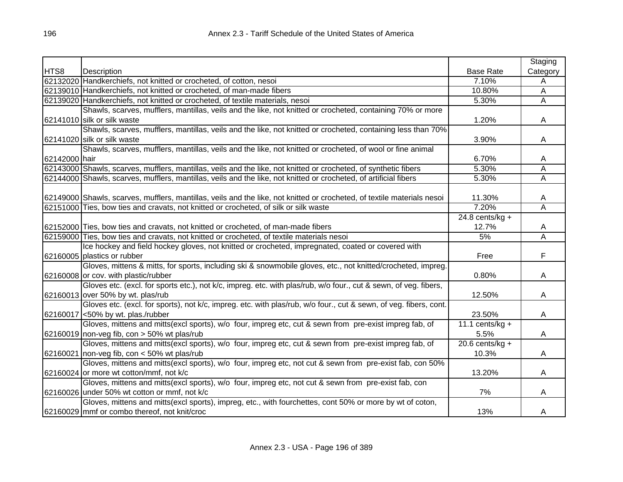|               |                                                                                                                         |                   | Staging  |
|---------------|-------------------------------------------------------------------------------------------------------------------------|-------------------|----------|
| HTS8          | Description                                                                                                             | <b>Base Rate</b>  | Category |
|               | 62132020 Handkerchiefs, not knitted or crocheted, of cotton, nesoi                                                      | 7.10%             | A        |
|               | 62139010 Handkerchiefs, not knitted or crocheted, of man-made fibers                                                    | 10.80%            | A        |
|               | 62139020 Handkerchiefs, not knitted or crocheted, of textile materials, nesoi                                           | 5.30%             | Ā        |
|               | Shawls, scarves, mufflers, mantillas, veils and the like, not knitted or crocheted, containing 70% or more              |                   |          |
|               | 62141010 silk or silk waste                                                                                             | 1.20%             | A        |
|               | Shawls, scarves, mufflers, mantillas, veils and the like, not knitted or crocheted, containing less than 70%            |                   |          |
|               | 62141020 silk or silk waste                                                                                             | 3.90%             | A        |
|               | Shawls, scarves, mufflers, mantillas, veils and the like, not knitted or crocheted, of wool or fine animal              |                   |          |
| 62142000 hair |                                                                                                                         | 6.70%             | A        |
|               | 62143000 Shawls, scarves, mufflers, mantillas, veils and the like, not knitted or crocheted, of synthetic fibers        | 5.30%             | А        |
|               | 62144000 Shawls, scarves, mufflers, mantillas, veils and the like, not knitted or crocheted, of artificial fibers       | 5.30%             | A        |
|               |                                                                                                                         |                   |          |
|               | 62149000 Shawls, scarves, mufflers, mantillas, veils and the like, not knitted or crocheted, of textile materials nesoi | 11.30%            | A        |
|               | 62151000 Ties, bow ties and cravats, not knitted or crocheted, of silk or silk waste                                    | 7.20%             | Α        |
|               |                                                                                                                         | $24.8$ cents/kg + |          |
|               | 62152000 Ties, bow ties and cravats, not knitted or crocheted, of man-made fibers                                       | 12.7%             | A        |
|               | 62159000 Ties, bow ties and cravats, not knitted or crocheted, of textile materials nesoi                               | 5%                | Α        |
|               | Ice hockey and field hockey gloves, not knitted or crocheted, impregnated, coated or covered with                       |                   |          |
|               | 62160005 plastics or rubber                                                                                             | Free              | F        |
|               | Gloves, mittens & mitts, for sports, including ski & snowmobile gloves, etc., not knitted/crocheted, impreg.            |                   |          |
|               | 62160008 or cov. with plastic/rubber                                                                                    | 0.80%             | A        |
|               | Gloves etc. (excl. for sports etc.), not k/c, impreg. etc. with plas/rub, w/o four., cut & sewn, of veg. fibers,        |                   |          |
|               | 62160013 over 50% by wt. plas/rub                                                                                       | 12.50%            | A        |
|               | Gloves etc. (excl. for sports), not k/c, impreg. etc. with plas/rub, w/o four., cut & sewn, of veg. fibers, cont.       |                   |          |
|               | 62160017 <50% by wt. plas./rubber                                                                                       | 23.50%            | A        |
|               | Gloves, mittens and mitts(excl sports), w/o four, impreg etc, cut & sewn from pre-exist impreg fab, of                  | 11.1 cents/kg +   |          |
|               | 62160019 non-veg fib, con $>$ 50% wt plas/rub                                                                           | 5.5%              | A        |
|               | Gloves, mittens and mitts(excl sports), w/o four, impreg etc, cut & sewn from pre-exist impreg fab, of                  | $20.6$ cents/kg + |          |
| 62160021      | non-veg fib, con < 50% wt plas/rub                                                                                      | 10.3%             | A        |
|               | Gloves, mittens and mitts(excl sports), w/o four, impreg etc, not cut & sewn from pre-exist fab, con 50%                |                   |          |
|               | 62160024 or more wt cotton/mmf, not k/c                                                                                 | 13.20%            | A        |
|               | Gloves, mittens and mitts(excl sports), w/o four, impreg etc, not cut & sewn from pre-exist fab, con                    |                   |          |
|               | 62160026 under 50% wt cotton or mmf, not k/c                                                                            | 7%                | A        |
|               | Gloves, mittens and mitts(excl sports), impreg, etc., with fourchettes, cont 50% or more by wt of coton,                |                   |          |
|               | 62160029 mmf or combo thereof, not knit/croc                                                                            | 13%               | A        |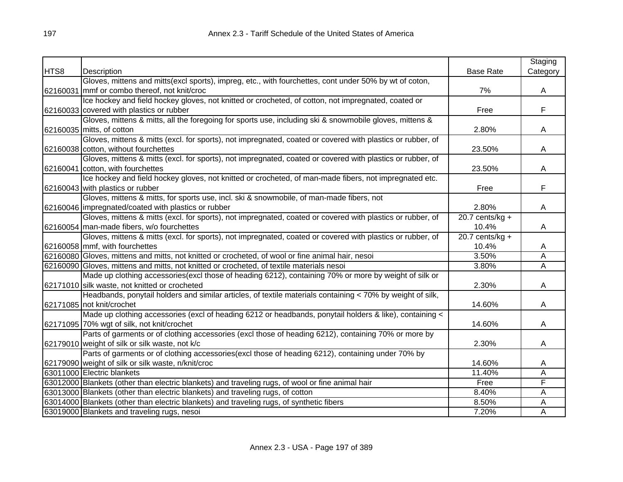|      |                                                                                                            |                   | Staging        |
|------|------------------------------------------------------------------------------------------------------------|-------------------|----------------|
| HTS8 | Description                                                                                                | <b>Base Rate</b>  | Category       |
|      | Gloves, mittens and mitts(excl sports), impreg, etc., with fourchettes, cont under 50% by wt of coton,     |                   |                |
|      | 62160031 mmf or combo thereof, not knit/croc                                                               | 7%                | A              |
|      | Ice hockey and field hockey gloves, not knitted or crocheted, of cotton, not impregnated, coated or        |                   |                |
|      | 62160033 covered with plastics or rubber                                                                   | Free              | F              |
|      | Gloves, mittens & mitts, all the foregoing for sports use, including ski & snowmobile gloves, mittens &    |                   |                |
|      | 62160035 mitts, of cotton                                                                                  | 2.80%             | A              |
|      | Gloves, mittens & mitts (excl. for sports), not impregnated, coated or covered with plastics or rubber, of |                   |                |
|      | 62160038 cotton, without fourchettes                                                                       | 23.50%            | A              |
|      | Gloves, mittens & mitts (excl. for sports), not impregnated, coated or covered with plastics or rubber, of |                   |                |
|      | 62160041 cotton, with fourchettes                                                                          | 23.50%            | A              |
|      | Ice hockey and field hockey gloves, not knitted or crocheted, of man-made fibers, not impregnated etc.     |                   |                |
|      | 62160043 with plastics or rubber                                                                           | Free              | F              |
|      | Gloves, mittens & mitts, for sports use, incl. ski & snowmobile, of man-made fibers, not                   |                   |                |
|      | 62160046 impregnated/coated with plastics or rubber                                                        | 2.80%             | A              |
|      | Gloves, mittens & mitts (excl. for sports), not impregnated, coated or covered with plastics or rubber, of | 20.7 cents/kg $+$ |                |
|      | 62160054 man-made fibers, w/o fourchettes                                                                  | 10.4%             | A              |
|      | Gloves, mittens & mitts (excl. for sports), not impregnated, coated or covered with plastics or rubber, of | 20.7 cents/kg $+$ |                |
|      | 62160058 mmf, with fourchettes                                                                             | 10.4%             | A              |
|      | 62160080 Gloves, mittens and mitts, not knitted or crocheted, of wool or fine animal hair, nesoi           | 3.50%             | $\overline{A}$ |
|      | 62160090 Gloves, mittens and mitts, not knitted or crocheted, of textile materials nesoi                   | 3.80%             | $\overline{A}$ |
|      | Made up clothing accessories(excl those of heading 6212), containing 70% or more by weight of silk or      |                   |                |
|      | 62171010 silk waste, not knitted or crocheted                                                              | 2.30%             | A              |
|      | Headbands, ponytail holders and similar articles, of textile materials containing < 70% by weight of silk, |                   |                |
|      | 62171085 not knit/crochet                                                                                  | 14.60%            | A              |
|      | Made up clothing accessories (excl of heading 6212 or headbands, ponytail holders & like), containing <    |                   |                |
|      | 62171095 70% wgt of silk, not knit/crochet                                                                 | 14.60%            | A              |
|      | Parts of garments or of clothing accessories (excl those of heading 6212), containing 70% or more by       |                   |                |
|      | 62179010 weight of silk or silk waste, not k/c                                                             | 2.30%             | A              |
|      | Parts of garments or of clothing accessories(excl those of heading 6212), containing under 70% by          |                   |                |
|      | 62179090 weight of silk or silk waste, n/knit/croc                                                         | 14.60%            | A              |
|      | 63011000 Electric blankets                                                                                 | 11.40%            | A              |
|      | 63012000 Blankets (other than electric blankets) and traveling rugs, of wool or fine animal hair           | Free              | F              |
|      | 63013000 Blankets (other than electric blankets) and traveling rugs, of cotton                             | 8.40%             | A              |
|      | 63014000 Blankets (other than electric blankets) and traveling rugs, of synthetic fibers                   | 8.50%             | A              |
|      | 63019000 Blankets and traveling rugs, nesoi                                                                | 7.20%             | A              |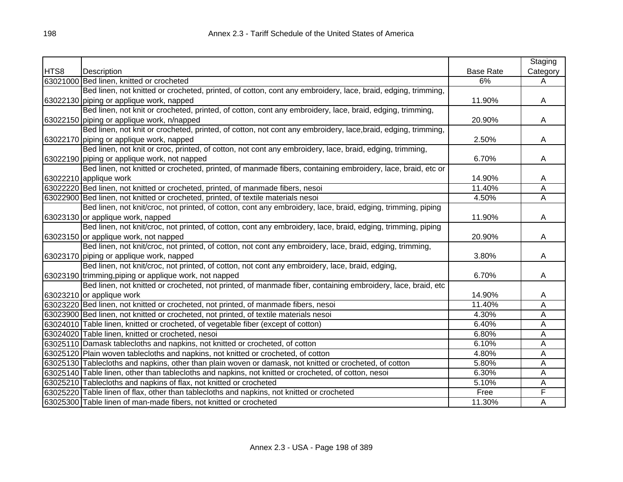|      |                                                                                                               |                  | Staging                 |
|------|---------------------------------------------------------------------------------------------------------------|------------------|-------------------------|
| HTS8 | Description                                                                                                   | <b>Base Rate</b> | Category                |
|      | 63021000 Bed linen, knitted or crocheted                                                                      | 6%               | A                       |
|      | Bed linen, not knitted or crocheted, printed, of cotton, cont any embroidery, lace, braid, edging, trimming,  |                  |                         |
|      | 63022130 piping or applique work, napped                                                                      | 11.90%           | A                       |
|      | Bed linen, not knit or crocheted, printed, of cotton, cont any embroidery, lace, braid, edging, trimming,     |                  |                         |
|      | 63022150 piping or applique work, n/napped                                                                    | 20.90%           | A                       |
|      | Bed linen, not knit or crocheted, printed, of cotton, not cont any embroidery, lace, braid, edging, trimming, |                  |                         |
|      | 63022170 piping or applique work, napped                                                                      | 2.50%            | A                       |
|      | Bed linen, not knit or croc, printed, of cotton, not cont any embroidery, lace, braid, edging, trimming,      |                  |                         |
|      | 63022190 piping or applique work, not napped                                                                  | 6.70%            | A                       |
|      | Bed linen, not knitted or crocheted, printed, of manmade fibers, containing embroidery, lace, braid, etc or   |                  |                         |
|      | 63022210 applique work                                                                                        | 14.90%           | A                       |
|      | 63022220 Bed linen, not knitted or crocheted, printed, of manmade fibers, nesoi                               | 11.40%           | Α                       |
|      | 63022900 Bed linen, not knitted or crocheted, printed, of textile materials nesoi                             | 4.50%            | A                       |
|      | Bed linen, not knit/croc, not printed, of cotton, cont any embroidery, lace, braid, edging, trimming, piping  |                  |                         |
|      | 63023130 or applique work, napped                                                                             | 11.90%           | A                       |
|      | Bed linen, not knit/croc, not printed, of cotton, cont any embroidery, lace, braid, edging, trimming, piping  |                  |                         |
|      | 63023150 or applique work, not napped                                                                         | 20.90%           | A                       |
|      | Bed linen, not knit/croc, not printed, of cotton, not cont any embroidery, lace, braid, edging, trimming,     |                  |                         |
|      | 63023170 piping or applique work, napped                                                                      | 3.80%            | A                       |
|      | Bed linen, not knit/croc, not printed, of cotton, not cont any embroidery, lace, braid, edging,               |                  |                         |
|      | 63023190 trimming, piping or applique work, not napped                                                        | 6.70%            | A                       |
|      | Bed linen, not knitted or crocheted, not printed, of manmade fiber, containing embroidery, lace, braid, etc   |                  |                         |
|      | 63023210 or applique work                                                                                     | 14.90%           | A                       |
|      | 63023220 Bed linen, not knitted or crocheted, not printed, of manmade fibers, nesoi                           | 11.40%           | Α                       |
|      | 63023900 Bed linen, not knitted or crocheted, not printed, of textile materials nesoi                         | 4.30%            | $\overline{\mathsf{A}}$ |
|      | 63024010 Table linen, knitted or crocheted, of vegetable fiber (except of cotton)                             | 6.40%            | Α                       |
|      | 63024020 Table linen, knitted or crocheted, nesoi                                                             | 6.80%            | A                       |
|      | 63025110 Damask tablecloths and napkins, not knitted or crocheted, of cotton                                  | 6.10%            | Ā                       |
|      | 63025120 Plain woven tablecloths and napkins, not knitted or crocheted, of cotton                             | 4.80%            | Α                       |
|      | 63025130 Tablecloths and napkins, other than plain woven or damask, not knitted or crocheted, of cotton       | 5.80%            | A                       |
|      | 63025140 Table linen, other than tablecloths and napkins, not knitted or crocheted, of cotton, nesoi          | 6.30%            | A                       |
|      | 63025210 Tablecloths and napkins of flax, not knitted or crocheted                                            | 5.10%            | Α                       |
|      | 63025220 Table linen of flax, other than tablecloths and napkins, not knitted or crocheted                    | Free             | F                       |
|      | 63025300 Table linen of man-made fibers, not knitted or crocheted                                             | 11.30%           | A                       |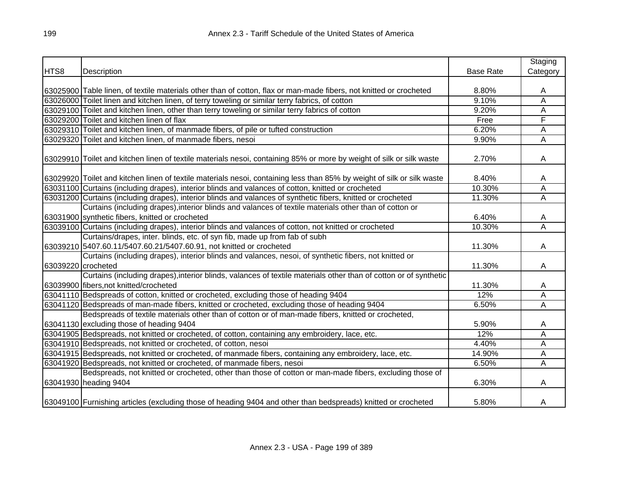|                    |                                                                                                                        |                  | Staging                 |
|--------------------|------------------------------------------------------------------------------------------------------------------------|------------------|-------------------------|
| HTS8               | Description                                                                                                            | <b>Base Rate</b> | Category                |
|                    |                                                                                                                        |                  |                         |
|                    | 63025900 Table linen, of textile materials other than of cotton, flax or man-made fibers, not knitted or crocheted     | 8.80%            | A                       |
|                    | 63026000 Toilet linen and kitchen linen, of terry toweling or similar terry fabrics, of cotton                         | 9.10%            | Α                       |
|                    | 63029100 Toilet and kitchen linen, other than terry toweling or similar terry fabrics of cotton                        | 9.20%            | Α                       |
|                    | 63029200 Toilet and kitchen linen of flax                                                                              | Free             | F                       |
|                    | 63029310 Toilet and kitchen linen, of manmade fibers, of pile or tufted construction                                   | 6.20%            | Ā                       |
|                    | 63029320 Toilet and kitchen linen, of manmade fibers, nesoi                                                            | 9.90%            | A                       |
|                    |                                                                                                                        |                  |                         |
|                    | 63029910 Toilet and kitchen linen of textile materials nesoi, containing 85% or more by weight of silk or silk waste   | 2.70%            | A                       |
|                    |                                                                                                                        |                  |                         |
|                    | 63029920 Toilet and kitchen linen of textile materials nesoi, containing less than 85% by weight of silk or silk waste | 8.40%            | A                       |
|                    | 63031100 Curtains (including drapes), interior blinds and valances of cotton, knitted or crocheted                     | 10.30%           | A                       |
|                    | 63031200 Curtains (including drapes), interior blinds and valances of synthetic fibers, knitted or crocheted           | 11.30%           | A                       |
|                    | Curtains (including drapes), interior blinds and valances of textile materials other than of cotton or                 |                  |                         |
|                    | 63031900 synthetic fibers, knitted or crocheted                                                                        | 6.40%            | A                       |
|                    | 63039100 Curtains (including drapes), interior blinds and valances of cotton, not knitted or crocheted                 | 10.30%           | A                       |
|                    | Curtains/drapes, inter. blinds, etc. of syn fib, made up from fab of subh                                              |                  |                         |
|                    | 63039210 5407.60.11/5407.60.21/5407.60.91, not knitted or crocheted                                                    | 11.30%           | A                       |
|                    | Curtains (including drapes), interior blinds and valances, nesoi, of synthetic fibers, not knitted or                  |                  |                         |
| 63039220 crocheted |                                                                                                                        | 11.30%           | A                       |
|                    | Curtains (including drapes), interior blinds, valances of textile materials other than of cotton or of synthetic       |                  |                         |
|                    | 63039900 fibers, not knitted/crocheted                                                                                 | 11.30%           | A                       |
|                    | 63041110 Bedspreads of cotton, knitted or crocheted, excluding those of heading 9404                                   | 12%              | Α                       |
|                    | 63041120 Bedspreads of man-made fibers, knitted or crocheted, excluding those of heading 9404                          | 6.50%            | $\overline{\mathsf{A}}$ |
|                    | Bedspreads of textile materials other than of cotton or of man-made fibers, knitted or crocheted,                      |                  |                         |
|                    | 63041130 excluding those of heading 9404                                                                               | 5.90%            | Α                       |
|                    | 63041905 Bedspreads, not knitted or crocheted, of cotton, containing any embroidery, lace, etc.                        | 12%              | Α                       |
|                    | 63041910 Bedspreads, not knitted or crocheted, of cotton, nesoi                                                        | 4.40%            | Ā                       |
|                    | 63041915 Bedspreads, not knitted or crocheted, of manmade fibers, containing any embroidery, lace, etc.                | 14.90%           | A                       |
|                    | 63041920 Bedspreads, not knitted or crocheted, of manmade fibers, nesoi                                                | 6.50%            | A                       |
|                    | Bedspreads, not knitted or crocheted, other than those of cotton or man-made fibers, excluding those of                |                  |                         |
|                    | 63041930 heading 9404                                                                                                  | 6.30%            | A                       |
|                    | 63049100 Furnishing articles (excluding those of heading 9404 and other than bedspreads) knitted or crocheted          | 5.80%            | A                       |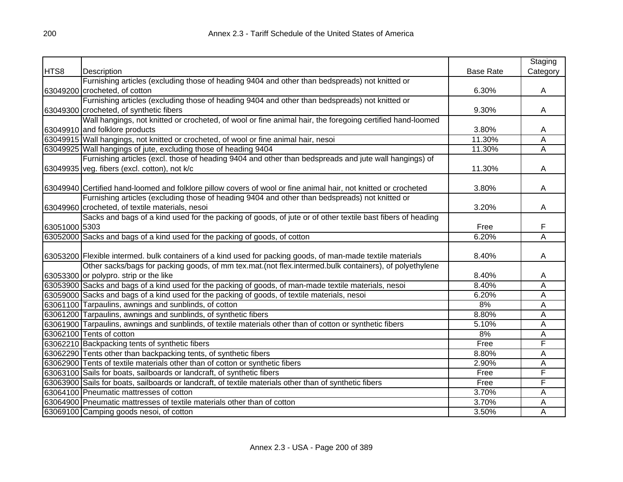|               |                                                                                                                 |                  | Staging                 |
|---------------|-----------------------------------------------------------------------------------------------------------------|------------------|-------------------------|
| HTS8          | Description                                                                                                     | <b>Base Rate</b> | Category                |
|               | Furnishing articles (excluding those of heading 9404 and other than bedspreads) not knitted or                  |                  |                         |
|               | 63049200 crocheted, of cotton                                                                                   | 6.30%            | A                       |
|               | Furnishing articles (excluding those of heading 9404 and other than bedspreads) not knitted or                  |                  |                         |
|               | 63049300 crocheted, of synthetic fibers                                                                         | 9.30%            | A                       |
|               | Wall hangings, not knitted or crocheted, of wool or fine animal hair, the foregoing certified hand-loomed       |                  |                         |
|               | 63049910 and folklore products                                                                                  | 3.80%            | Α                       |
|               | 63049915 Wall hangings, not knitted or crocheted, of wool or fine animal hair, nesoi                            | 11.30%           | $\overline{\mathsf{A}}$ |
|               | 63049925 Wall hangings of jute, excluding those of heading 9404                                                 | 11.30%           | $\overline{\mathsf{A}}$ |
|               | Furnishing articles (excl. those of heading 9404 and other than bedspreads and jute wall hangings) of           |                  |                         |
|               | 63049935 veg. fibers (excl. cotton), not k/c                                                                    | 11.30%           | Α                       |
|               |                                                                                                                 |                  |                         |
|               | 63049940 Certified hand-loomed and folklore pillow covers of wool or fine animal hair, not knitted or crocheted | 3.80%            | A                       |
|               | Furnishing articles (excluding those of heading 9404 and other than bedspreads) not knitted or                  |                  |                         |
|               | 63049960 crocheted, of textile materials, nesoi                                                                 | 3.20%            | A                       |
|               | Sacks and bags of a kind used for the packing of goods, of jute or of other textile bast fibers of heading      |                  |                         |
| 63051000 5303 |                                                                                                                 | Free             | F                       |
|               | 63052000 Sacks and bags of a kind used for the packing of goods, of cotton                                      | 6.20%            | Ā                       |
|               |                                                                                                                 |                  |                         |
|               | 63053200 Flexible intermed. bulk containers of a kind used for packing goods, of man-made textile materials     | 8.40%            | A                       |
|               | Other sacks/bags for packing goods, of mm tex.mat.(not flex.intermed.bulk containers), of polyethylene          |                  |                         |
|               | 63053300 or polypro. strip or the like                                                                          | 8.40%            | A                       |
|               | 63053900 Sacks and bags of a kind used for the packing of goods, of man-made textile materials, nesoi           | 8.40%            | Α                       |
|               | 63059000 Sacks and bags of a kind used for the packing of goods, of textile materials, nesoi                    | 6.20%            | Α                       |
|               | 63061100 Tarpaulins, awnings and sunblinds, of cotton                                                           | 8%               | Α                       |
|               | 63061200 Tarpaulins, awnings and sunblinds, of synthetic fibers                                                 | 8.80%            | A                       |
|               | 63061900 Tarpaulins, awnings and sunblinds, of textile materials other than of cotton or synthetic fibers       | 5.10%            | A                       |
|               | 63062100 Tents of cotton                                                                                        | 8%               | Α                       |
|               | 63062210 Backpacking tents of synthetic fibers                                                                  | Free             | F                       |
|               | 63062290 Tents other than backpacking tents, of synthetic fibers                                                | 8.80%            | A                       |
|               | 63062900 Tents of textile materials other than of cotton or synthetic fibers                                    | 2.90%            | Α                       |
|               | 63063100 Sails for boats, sailboards or landcraft, of synthetic fibers                                          | Free             | F                       |
|               | 63063900 Sails for boats, sailboards or landcraft, of textile materials other than of synthetic fibers          | Free             | F                       |
|               | 63064100 Pneumatic mattresses of cotton                                                                         | 3.70%            | Α                       |
|               | 63064900 Pneumatic mattresses of textile materials other than of cotton                                         | 3.70%            | Α                       |
|               | 63069100 Camping goods nesoi, of cotton                                                                         | 3.50%            | A                       |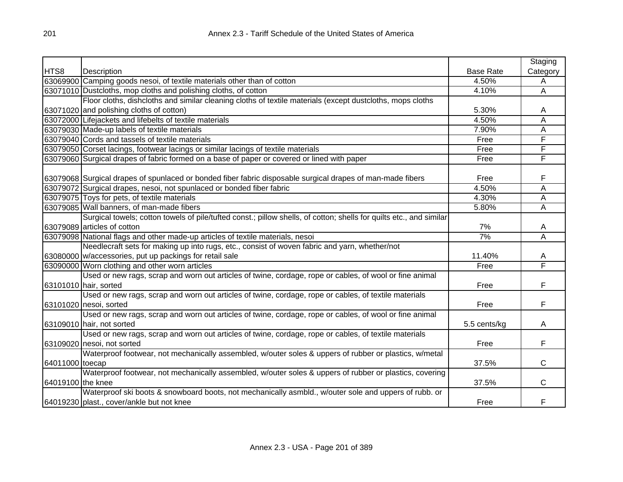|                   |                                                                                                                     |                  | Staging  |
|-------------------|---------------------------------------------------------------------------------------------------------------------|------------------|----------|
| HTS8              | Description                                                                                                         | <b>Base Rate</b> | Category |
|                   | 63069900 Camping goods nesoi, of textile materials other than of cotton                                             | 4.50%            | Α        |
|                   | 63071010 Dustcloths, mop cloths and polishing cloths, of cotton                                                     | 4.10%            | Α        |
|                   | Floor cloths, dishcloths and similar cleaning cloths of textile materials (except dustcloths, mops cloths           |                  |          |
|                   | 63071020 and polishing cloths of cotton)                                                                            | 5.30%            | A        |
|                   | 63072000 Lifejackets and lifebelts of textile materials                                                             | 4.50%            | Α        |
|                   | 63079030 Made-up labels of textile materials                                                                        | 7.90%            | Α        |
|                   | 63079040 Cords and tassels of textile materials                                                                     | Free             | F        |
|                   | 63079050 Corset lacings, footwear lacings or similar lacings of textile materials                                   | Free             | F        |
|                   | 63079060 Surgical drapes of fabric formed on a base of paper or covered or lined with paper                         | Free             | F        |
|                   |                                                                                                                     |                  |          |
|                   | 63079068 Surgical drapes of spunlaced or bonded fiber fabric disposable surgical drapes of man-made fibers          | Free             | F        |
|                   | 63079072 Surgical drapes, nesoi, not spunlaced or bonded fiber fabric                                               | 4.50%            | Α        |
|                   | 63079075 Toys for pets, of textile materials                                                                        | 4.30%            | A        |
|                   | 63079085 Wall banners, of man-made fibers                                                                           | 5.80%            | Α        |
|                   | Surgical towels; cotton towels of pile/tufted const.; pillow shells, of cotton; shells for quilts etc., and similar |                  |          |
|                   | 63079089 articles of cotton                                                                                         | 7%               | A        |
|                   | 63079098 National flags and other made-up articles of textile materials, nesoi                                      | 7%               | Α        |
|                   | Needlecraft sets for making up into rugs, etc., consist of woven fabric and yarn, whether/not                       |                  |          |
|                   | 63080000 w/accessories, put up packings for retail sale                                                             | 11.40%           | A        |
|                   | 63090000 Worn clothing and other worn articles                                                                      | Free             | F        |
|                   | Used or new rags, scrap and worn out articles of twine, cordage, rope or cables, of wool or fine animal             |                  |          |
|                   | 63101010 hair, sorted                                                                                               | Free             | F        |
|                   | Used or new rags, scrap and worn out articles of twine, cordage, rope or cables, of textile materials               |                  |          |
|                   | 63101020 nesoi, sorted                                                                                              | Free             | F        |
|                   | Used or new rags, scrap and worn out articles of twine, cordage, rope or cables, of wool or fine animal             |                  |          |
|                   | 63109010 hair, not sorted                                                                                           | 5.5 cents/kg     | A        |
|                   | Used or new rags, scrap and worn out articles of twine, cordage, rope or cables, of textile materials               |                  |          |
|                   | 63109020 nesoi, not sorted                                                                                          | Free             | F        |
|                   | Waterproof footwear, not mechanically assembled, w/outer soles & uppers of rubber or plastics, w/metal              |                  |          |
| 64011000 toecap   |                                                                                                                     | 37.5%            | C        |
|                   | Waterproof footwear, not mechanically assembled, w/outer soles & uppers of rubber or plastics, covering             |                  |          |
| 64019100 the knee |                                                                                                                     | 37.5%            | С        |
|                   | Waterproof ski boots & snowboard boots, not mechanically asmbld., w/outer sole and uppers of rubb. or               |                  |          |
|                   | 64019230 plast., cover/ankle but not knee                                                                           | Free             | F        |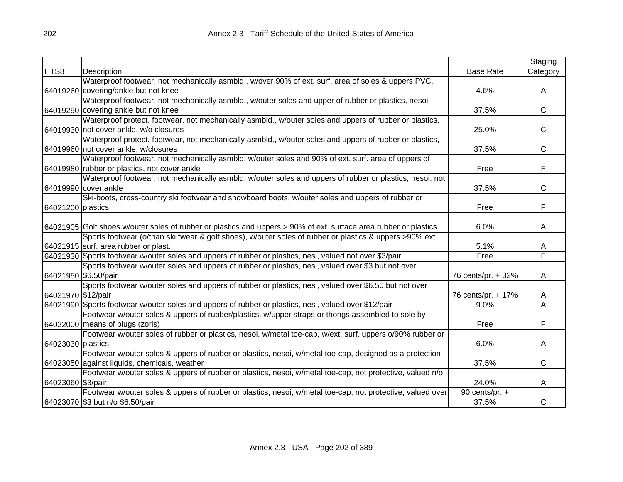|                    |                                                                                                                  |                    | Staging      |
|--------------------|------------------------------------------------------------------------------------------------------------------|--------------------|--------------|
| HTS8               | Description                                                                                                      | <b>Base Rate</b>   | Category     |
|                    | Waterproof footwear, not mechanically asmbld., w/over 90% of ext. surf. area of soles & uppers PVC,              |                    |              |
|                    | 64019260 covering/ankle but not knee                                                                             | 4.6%               | A            |
|                    | Waterproof footwear, not mechanically asmbld., w/outer soles and upper of rubber or plastics, nesoi,             |                    |              |
|                    | 64019290 covering ankle but not knee                                                                             | 37.5%              | $\mathsf{C}$ |
|                    | Waterproof protect. footwear, not mechanically asmbld., w/outer soles and uppers of rubber or plastics,          |                    |              |
|                    | 64019930 not cover ankle, w/o closures                                                                           | 25.0%              | $\mathsf{C}$ |
|                    | Waterproof protect. footwear, not mechanically asmbld., w/outer soles and uppers of rubber or plastics,          |                    |              |
|                    | 64019960 not cover ankle, w/closures                                                                             | 37.5%              | $\mathsf{C}$ |
|                    | Waterproof footwear, not mechanically asmbld, w/outer soles and 90% of ext. surf. area of uppers of              |                    |              |
|                    | 64019980 rubber or plastics, not cover ankle                                                                     | Free               | F            |
|                    | Waterproof footwear, not mechanically asmbld, w/outer soles and uppers of rubber or plastics, nesoi, not         |                    |              |
|                    | 64019990 cover ankle                                                                                             | 37.5%              | $\mathsf{C}$ |
|                    | Ski-boots, cross-country ski footwear and snowboard boots, w/outer soles and uppers of rubber or                 |                    |              |
| 64021200 plastics  |                                                                                                                  | Free               | F            |
|                    |                                                                                                                  |                    |              |
|                    | 64021905 Golf shoes w/outer soles of rubber or plastics and uppers > 90% of ext. surface area rubber or plastics | 6.0%               | A            |
|                    | Sports footwear (o/than ski fwear & golf shoes), w/outer soles of rubber or plastics & uppers >90% ext.          |                    |              |
|                    | 64021915 surf. area rubber or plast.                                                                             | 5.1%               | A            |
|                    | 64021930 Sports footwear w/outer soles and uppers of rubber or plastics, nesi, valued not over \$3/pair          | Free               | F            |
|                    | Sports footwear w/outer soles and uppers of rubber or plastics, nesi, valued over \$3 but not over               |                    |              |
|                    | 64021950 \$6.50/pair                                                                                             | 76 cents/pr. + 32% | A            |
|                    | Sports footwear w/outer soles and uppers of rubber or plastics, nesi, valued over \$6.50 but not over            |                    |              |
| 64021970 \$12/pair |                                                                                                                  | 76 cents/pr. + 17% | A            |
|                    | 64021990 Sports footwear w/outer soles and uppers of rubber or plastics, nesi, valued over \$12/pair             | 9.0%               | Α            |
|                    | Footwear w/outer soles & uppers of rubber/plastics, w/upper straps or thongs assembled to sole by                |                    |              |
|                    | 64022000 means of plugs (zoris)                                                                                  | Free               | F            |
|                    | Footwear w/outer soles of rubber or plastics, nesoi, w/metal toe-cap, w/ext. surf. uppers o/90% rubber or        |                    |              |
| 64023030 plastics  |                                                                                                                  | 6.0%               | A            |
|                    | Footwear w/outer soles & uppers of rubber or plastics, nesoi, w/metal toe-cap, designed as a protection          |                    |              |
|                    | 64023050 against liquids, chemicals, weather                                                                     | 37.5%              | $\mathsf{C}$ |
|                    | Footwear w/outer soles & uppers of rubber or plastics, nesoi, w/metal toe-cap, not protective, valued n/o        |                    |              |
| 64023060 \$3/pair  |                                                                                                                  | 24.0%              | A            |
|                    | Footwear w/outer soles & uppers of rubber or plastics, nesoi, w/metal toe-cap, not protective, valued over       | 90 cents/pr. +     |              |
|                    | 64023070 \$3 but n/o \$6.50/pair                                                                                 | 37.5%              | C            |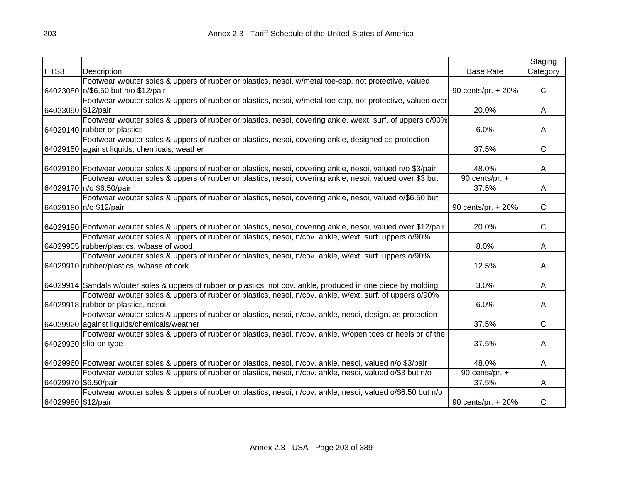| <b>Base Rate</b><br>Category<br>HTS8<br>Description<br>Footwear w/outer soles & uppers of rubber or plastics, nesoi, w/metal toe-cap, not protective, valued<br>$\mathsf{C}$<br>64023080 o/\$6.50 but n/o \$12/pair<br>90 cents/pr. + 20%<br>Footwear w/outer soles & uppers of rubber or plastics, nesoi, w/metal toe-cap, not protective, valued over<br>64023090 \$12/pair<br>20.0%<br>A<br>Footwear w/outer soles & uppers of rubber or plastics, nesoi, covering ankle, w/ext. surf. of uppers o/90%<br>64029140 rubber or plastics<br>6.0%<br>A<br>Footwear w/outer soles & uppers of rubber or plastics, nesoi, covering ankle, designed as protection<br>C<br>37.5%<br>64029150 against liquids, chemicals, weather<br>64029160 Footwear w/outer soles & uppers of rubber or plastics, nesoi, covering ankle, nesoi, valued n/o \$3/pair<br>48.0%<br>A<br>Footwear w/outer soles & uppers of rubber or plastics, nesoi, covering ankle, nesoi, valued over \$3 but<br>90 cents/pr. +<br>64029170 n/o \$6.50/pair<br>37.5%<br>A<br>Footwear w/outer soles & uppers of rubber or plastics, nesoi, covering ankle, nesoi, valued o/\$6.50 but<br>$\mathsf{C}$<br>64029180 n/o \$12/pair<br>90 cents/pr. + 20%<br>C<br>64029190 Footwear w/outer soles & uppers of rubber or plastics, nesoi, covering ankle, nesoi, valued over \$12/pair<br>20.0% |
|---------------------------------------------------------------------------------------------------------------------------------------------------------------------------------------------------------------------------------------------------------------------------------------------------------------------------------------------------------------------------------------------------------------------------------------------------------------------------------------------------------------------------------------------------------------------------------------------------------------------------------------------------------------------------------------------------------------------------------------------------------------------------------------------------------------------------------------------------------------------------------------------------------------------------------------------------------------------------------------------------------------------------------------------------------------------------------------------------------------------------------------------------------------------------------------------------------------------------------------------------------------------------------------------------------------------------------------------------------|
|                                                                                                                                                                                                                                                                                                                                                                                                                                                                                                                                                                                                                                                                                                                                                                                                                                                                                                                                                                                                                                                                                                                                                                                                                                                                                                                                                         |
|                                                                                                                                                                                                                                                                                                                                                                                                                                                                                                                                                                                                                                                                                                                                                                                                                                                                                                                                                                                                                                                                                                                                                                                                                                                                                                                                                         |
|                                                                                                                                                                                                                                                                                                                                                                                                                                                                                                                                                                                                                                                                                                                                                                                                                                                                                                                                                                                                                                                                                                                                                                                                                                                                                                                                                         |
|                                                                                                                                                                                                                                                                                                                                                                                                                                                                                                                                                                                                                                                                                                                                                                                                                                                                                                                                                                                                                                                                                                                                                                                                                                                                                                                                                         |
|                                                                                                                                                                                                                                                                                                                                                                                                                                                                                                                                                                                                                                                                                                                                                                                                                                                                                                                                                                                                                                                                                                                                                                                                                                                                                                                                                         |
|                                                                                                                                                                                                                                                                                                                                                                                                                                                                                                                                                                                                                                                                                                                                                                                                                                                                                                                                                                                                                                                                                                                                                                                                                                                                                                                                                         |
|                                                                                                                                                                                                                                                                                                                                                                                                                                                                                                                                                                                                                                                                                                                                                                                                                                                                                                                                                                                                                                                                                                                                                                                                                                                                                                                                                         |
|                                                                                                                                                                                                                                                                                                                                                                                                                                                                                                                                                                                                                                                                                                                                                                                                                                                                                                                                                                                                                                                                                                                                                                                                                                                                                                                                                         |
|                                                                                                                                                                                                                                                                                                                                                                                                                                                                                                                                                                                                                                                                                                                                                                                                                                                                                                                                                                                                                                                                                                                                                                                                                                                                                                                                                         |
|                                                                                                                                                                                                                                                                                                                                                                                                                                                                                                                                                                                                                                                                                                                                                                                                                                                                                                                                                                                                                                                                                                                                                                                                                                                                                                                                                         |
|                                                                                                                                                                                                                                                                                                                                                                                                                                                                                                                                                                                                                                                                                                                                                                                                                                                                                                                                                                                                                                                                                                                                                                                                                                                                                                                                                         |
|                                                                                                                                                                                                                                                                                                                                                                                                                                                                                                                                                                                                                                                                                                                                                                                                                                                                                                                                                                                                                                                                                                                                                                                                                                                                                                                                                         |
|                                                                                                                                                                                                                                                                                                                                                                                                                                                                                                                                                                                                                                                                                                                                                                                                                                                                                                                                                                                                                                                                                                                                                                                                                                                                                                                                                         |
|                                                                                                                                                                                                                                                                                                                                                                                                                                                                                                                                                                                                                                                                                                                                                                                                                                                                                                                                                                                                                                                                                                                                                                                                                                                                                                                                                         |
|                                                                                                                                                                                                                                                                                                                                                                                                                                                                                                                                                                                                                                                                                                                                                                                                                                                                                                                                                                                                                                                                                                                                                                                                                                                                                                                                                         |
|                                                                                                                                                                                                                                                                                                                                                                                                                                                                                                                                                                                                                                                                                                                                                                                                                                                                                                                                                                                                                                                                                                                                                                                                                                                                                                                                                         |
|                                                                                                                                                                                                                                                                                                                                                                                                                                                                                                                                                                                                                                                                                                                                                                                                                                                                                                                                                                                                                                                                                                                                                                                                                                                                                                                                                         |
| Footwear w/outer soles & uppers of rubber or plastics, nesoi, n/cov. ankle, w/ext. surf. uppers o/90%                                                                                                                                                                                                                                                                                                                                                                                                                                                                                                                                                                                                                                                                                                                                                                                                                                                                                                                                                                                                                                                                                                                                                                                                                                                   |
| 64029905 rubber/plastics, w/base of wood<br>8.0%<br>A                                                                                                                                                                                                                                                                                                                                                                                                                                                                                                                                                                                                                                                                                                                                                                                                                                                                                                                                                                                                                                                                                                                                                                                                                                                                                                   |
| Footwear w/outer soles & uppers of rubber or plastics, nesoi, n/cov. ankle, w/ext. surf. uppers o/90%                                                                                                                                                                                                                                                                                                                                                                                                                                                                                                                                                                                                                                                                                                                                                                                                                                                                                                                                                                                                                                                                                                                                                                                                                                                   |
| 64029910 rubber/plastics, w/base of cork<br>12.5%<br>A                                                                                                                                                                                                                                                                                                                                                                                                                                                                                                                                                                                                                                                                                                                                                                                                                                                                                                                                                                                                                                                                                                                                                                                                                                                                                                  |
|                                                                                                                                                                                                                                                                                                                                                                                                                                                                                                                                                                                                                                                                                                                                                                                                                                                                                                                                                                                                                                                                                                                                                                                                                                                                                                                                                         |
| 3.0%<br>64029914 Sandals w/outer soles & uppers of rubber or plastics, not cov. ankle, produced in one piece by molding<br>A                                                                                                                                                                                                                                                                                                                                                                                                                                                                                                                                                                                                                                                                                                                                                                                                                                                                                                                                                                                                                                                                                                                                                                                                                            |
| Footwear w/outer soles & uppers of rubber or plastics, nesoi, n/cov. ankle, w/ext. surf. of uppers o/90%                                                                                                                                                                                                                                                                                                                                                                                                                                                                                                                                                                                                                                                                                                                                                                                                                                                                                                                                                                                                                                                                                                                                                                                                                                                |
| 64029918 rubber or plastics, nesoi<br>6.0%<br>A                                                                                                                                                                                                                                                                                                                                                                                                                                                                                                                                                                                                                                                                                                                                                                                                                                                                                                                                                                                                                                                                                                                                                                                                                                                                                                         |
| Footwear w/outer soles & uppers of rubber or plastics, nesoi, n/cov. ankle, nesoi, design. as protection                                                                                                                                                                                                                                                                                                                                                                                                                                                                                                                                                                                                                                                                                                                                                                                                                                                                                                                                                                                                                                                                                                                                                                                                                                                |
| C<br>64029920 against liquids/chemicals/weather<br>37.5%                                                                                                                                                                                                                                                                                                                                                                                                                                                                                                                                                                                                                                                                                                                                                                                                                                                                                                                                                                                                                                                                                                                                                                                                                                                                                                |
| Footwear w/outer soles & uppers of rubber or plastics, nesoi, n/cov. ankle, w/open toes or heels or of the                                                                                                                                                                                                                                                                                                                                                                                                                                                                                                                                                                                                                                                                                                                                                                                                                                                                                                                                                                                                                                                                                                                                                                                                                                              |
| 64029930 slip-on type<br>37.5%<br>A                                                                                                                                                                                                                                                                                                                                                                                                                                                                                                                                                                                                                                                                                                                                                                                                                                                                                                                                                                                                                                                                                                                                                                                                                                                                                                                     |
|                                                                                                                                                                                                                                                                                                                                                                                                                                                                                                                                                                                                                                                                                                                                                                                                                                                                                                                                                                                                                                                                                                                                                                                                                                                                                                                                                         |
| 64029960 Footwear w/outer soles & uppers of rubber or plastics, nesoi, n/cov. ankle, nesoi, valued n/o \$3/pair<br>48.0%<br>A                                                                                                                                                                                                                                                                                                                                                                                                                                                                                                                                                                                                                                                                                                                                                                                                                                                                                                                                                                                                                                                                                                                                                                                                                           |
| Footwear w/outer soles & uppers of rubber or plastics, nesoi, n/cov. ankle, nesoi, valued o/\$3 but n/o<br>90 cents/pr. +                                                                                                                                                                                                                                                                                                                                                                                                                                                                                                                                                                                                                                                                                                                                                                                                                                                                                                                                                                                                                                                                                                                                                                                                                               |
| 64029970 \$6.50/pair<br>37.5%<br>A                                                                                                                                                                                                                                                                                                                                                                                                                                                                                                                                                                                                                                                                                                                                                                                                                                                                                                                                                                                                                                                                                                                                                                                                                                                                                                                      |
| Footwear w/outer soles & uppers of rubber or plastics, nesoi, n/cov. ankle, nesoi, valued o/\$6.50 but n/o                                                                                                                                                                                                                                                                                                                                                                                                                                                                                                                                                                                                                                                                                                                                                                                                                                                                                                                                                                                                                                                                                                                                                                                                                                              |
| 64029980 \$12/pair<br>90 cents/pr. + 20%<br>C                                                                                                                                                                                                                                                                                                                                                                                                                                                                                                                                                                                                                                                                                                                                                                                                                                                                                                                                                                                                                                                                                                                                                                                                                                                                                                           |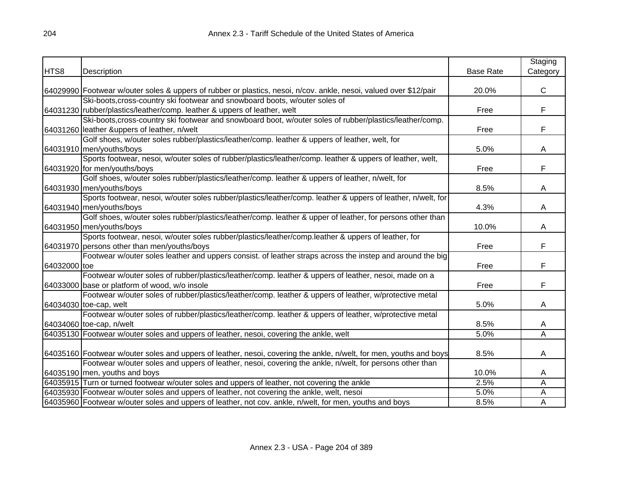|              |                                                                                                                    |                  | Staging        |
|--------------|--------------------------------------------------------------------------------------------------------------------|------------------|----------------|
| HTS8         | Description                                                                                                        | <b>Base Rate</b> | Category       |
|              |                                                                                                                    |                  |                |
|              | 64029990 Footwear w/outer soles & uppers of rubber or plastics, nesoi, n/cov. ankle, nesoi, valued over \$12/pair  | 20.0%            | $\mathsf{C}$   |
|              | Ski-boots, cross-country ski footwear and snowboard boots, w/outer soles of                                        |                  |                |
|              | 64031230 rubber/plastics/leather/comp. leather & uppers of leather, welt                                           | Free             | F              |
|              | Ski-boots, cross-country ski footwear and snowboard boot, w/outer soles of rubber/plastics/leather/comp.           |                  |                |
|              | 64031260 leather &uppers of leather, n/welt                                                                        | Free             | F              |
|              | Golf shoes, w/outer soles rubber/plastics/leather/comp. leather & uppers of leather, welt, for                     |                  |                |
|              | 64031910 men/youths/boys                                                                                           | 5.0%             | A              |
|              | Sports footwear, nesoi, w/outer soles of rubber/plastics/leather/comp. leather & uppers of leather, welt,          |                  |                |
|              | 64031920 for men/youths/boys                                                                                       | Free             | F              |
|              | Golf shoes, w/outer soles rubber/plastics/leather/comp. leather & uppers of leather, n/welt, for                   |                  |                |
|              | 64031930 men/youths/boys                                                                                           | 8.5%             | Α              |
|              | Sports footwear, nesoi, w/outer soles rubber/plastics/leather/comp. leather & uppers of leather, n/welt, for       |                  |                |
|              | 64031940 men/youths/boys                                                                                           | 4.3%             | A              |
|              | Golf shoes, w/outer soles rubber/plastics/leather/comp. leather & upper of leather, for persons other than         |                  |                |
|              | 64031950 men/youths/boys                                                                                           | 10.0%            | A              |
|              | Sports footwear, nesoi, w/outer soles rubber/plastics/leather/comp.leather & uppers of leather, for                |                  |                |
|              | 64031970 persons other than men/youths/boys                                                                        | Free             | F              |
|              | Footwear w/outer soles leather and uppers consist. of leather straps across the instep and around the big          |                  |                |
| 64032000 toe |                                                                                                                    | Free             | F              |
|              | Footwear w/outer soles of rubber/plastics/leather/comp. leather & uppers of leather, nesoi, made on a              |                  |                |
|              | 64033000 base or platform of wood, w/o insole                                                                      | Free             | F              |
|              | Footwear w/outer soles of rubber/plastics/leather/comp. leather & uppers of leather, w/protective metal            |                  |                |
|              | 64034030 toe-cap, welt                                                                                             | 5.0%             | A              |
|              | Footwear w/outer soles of rubber/plastics/leather/comp. leather & uppers of leather, w/protective metal            |                  |                |
|              | 64034060 toe-cap, n/welt                                                                                           | 8.5%             | Α              |
|              | 64035130 Footwear w/outer soles and uppers of leather, nesoi, covering the ankle, welt                             | 5.0%             | $\overline{A}$ |
|              |                                                                                                                    |                  |                |
|              | 64035160 Footwear w/outer soles and uppers of leather, nesoi, covering the ankle, n/welt, for men, youths and boys | 8.5%             | A              |
|              | Footwear w/outer soles and uppers of leather, nesoi, covering the ankle, n/welt, for persons other than            |                  |                |
|              | 64035190 men, youths and boys                                                                                      | 10.0%            | A              |
|              | 64035915 Turn or turned footwear w/outer soles and uppers of leather, not covering the ankle                       | 2.5%             | A              |
|              | 64035930 Footwear w/outer soles and uppers of leather, not covering the ankle, welt, nesoi                         | 5.0%             | А              |
|              | 64035960 Footwear w/outer soles and uppers of leather, not cov. ankle, n/welt, for men, youths and boys            | 8.5%             | A              |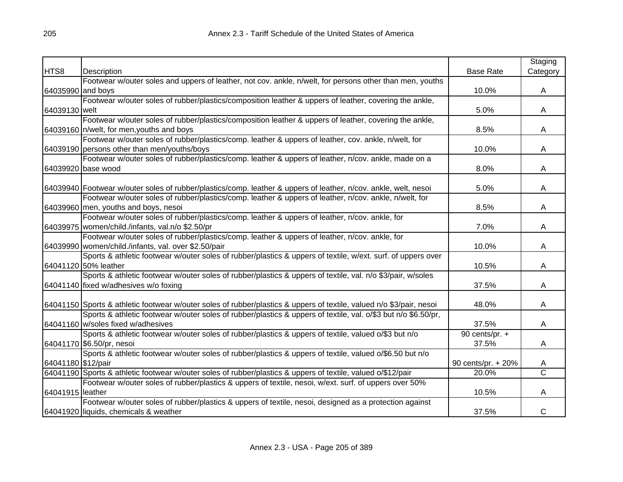|                    |                                                                                                                      |                    | Staging               |
|--------------------|----------------------------------------------------------------------------------------------------------------------|--------------------|-----------------------|
| HTS8               | Description                                                                                                          | <b>Base Rate</b>   | Category              |
|                    | Footwear w/outer soles and uppers of leather, not cov. ankle, n/welt, for persons other than men, youths             |                    |                       |
| 64035990 and boys  |                                                                                                                      | 10.0%              | A                     |
|                    | Footwear w/outer soles of rubber/plastics/composition leather & uppers of leather, covering the ankle,               |                    |                       |
| 64039130 welt      |                                                                                                                      | 5.0%               | A                     |
|                    | Footwear w/outer soles of rubber/plastics/composition leather & uppers of leather, covering the ankle,               |                    |                       |
|                    | 64039160 n/welt, for men, youths and boys                                                                            | 8.5%               | A                     |
|                    | Footwear w/outer soles of rubber/plastics/comp. leather & uppers of leather, cov. ankle, n/welt, for                 |                    |                       |
|                    | 64039190 persons other than men/youths/boys                                                                          | 10.0%              | A                     |
|                    | Footwear w/outer soles of rubber/plastics/comp. leather & uppers of leather, n/cov. ankle, made on a                 |                    |                       |
|                    | 64039920 base wood                                                                                                   | 8.0%               | A                     |
|                    |                                                                                                                      |                    |                       |
|                    | 64039940 Footwear w/outer soles of rubber/plastics/comp. leather & uppers of leather, n/cov. ankle, welt, nesoi      | 5.0%               | A                     |
|                    | Footwear w/outer soles of rubber/plastics/comp. leather & uppers of leather, n/cov. ankle, n/welt, for               |                    |                       |
|                    | 64039960 men, youths and boys, nesoi                                                                                 | 8.5%               | A                     |
|                    | Footwear w/outer soles of rubber/plastics/comp. leather & uppers of leather, n/cov. ankle, for                       |                    |                       |
|                    | 64039975 women/child./infants, val.n/o \$2.50/pr                                                                     | 7.0%               | A                     |
|                    | Footwear w/outer soles of rubber/plastics/comp. leather & uppers of leather, n/cov. ankle, for                       |                    |                       |
|                    | 64039990 women/child./infants, val. over \$2.50/pair                                                                 | 10.0%              | A                     |
|                    | Sports & athletic footwear w/outer soles of rubber/plastics & uppers of textile, w/ext. surf. of uppers over         |                    |                       |
|                    | 64041120 50% leather                                                                                                 | 10.5%              | A                     |
|                    | Sports & athletic footwear w/outer soles of rubber/plastics & uppers of textile, val. n/o \$3/pair, w/soles          |                    |                       |
|                    | 64041140 fixed w/adhesives w/o foxing                                                                                | 37.5%              | A                     |
|                    |                                                                                                                      |                    |                       |
|                    | 64041150 Sports & athletic footwear w/outer soles of rubber/plastics & uppers of textile, valued n/o \$3/pair, nesoi | 48.0%              | A                     |
|                    | Sports & athletic footwear w/outer soles of rubber/plastics & uppers of textile, val. o/\$3 but n/o \$6.50/pr,       |                    |                       |
|                    | 64041160 w/soles fixed w/adhesives                                                                                   | 37.5%              | A                     |
|                    | Sports & athletic footwear w/outer soles of rubber/plastics & uppers of textile, valued o/\$3 but n/o                | 90 cents/pr. +     |                       |
|                    | 64041170 \$6.50/pr, nesoi                                                                                            | 37.5%              | A                     |
|                    | Sports & athletic footwear w/outer soles of rubber/plastics & uppers of textile, valued o/\$6.50 but n/o             |                    |                       |
| 64041180 \$12/pair |                                                                                                                      | 90 cents/pr. + 20% | A                     |
|                    | 64041190 Sports & athletic footwear w/outer soles of rubber/plastics & uppers of textile, valued o/\$12/pair         | 20.0%              | $\overline{\text{c}}$ |
|                    | Footwear w/outer soles of rubber/plastics & uppers of textile, nesoi, w/ext. surf. of uppers over 50%                |                    |                       |
| 64041915 leather   |                                                                                                                      | 10.5%              | A                     |
|                    | Footwear w/outer soles of rubber/plastics & uppers of textile, nesoi, designed as a protection against               |                    |                       |
|                    | 64041920 liquids, chemicals & weather                                                                                | 37.5%              | С                     |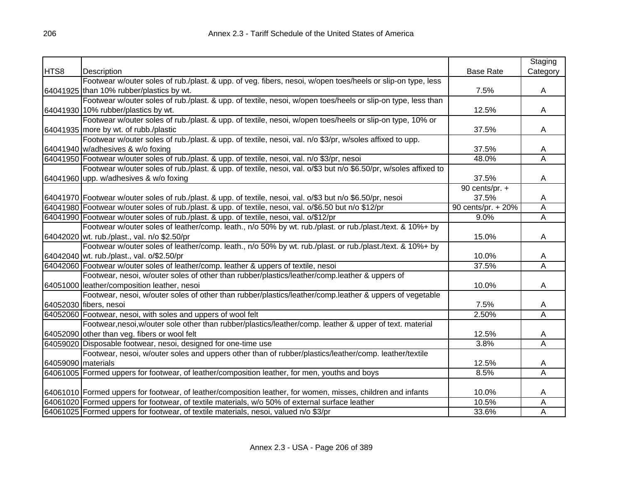|                    |                                                                                                                  |                    | Staging                 |
|--------------------|------------------------------------------------------------------------------------------------------------------|--------------------|-------------------------|
| HTS8               | Description                                                                                                      | <b>Base Rate</b>   | Category                |
|                    | Footwear w/outer soles of rub./plast. & upp. of veg. fibers, nesoi, w/open toes/heels or slip-on type, less      |                    |                         |
|                    | 64041925 than 10% rubber/plastics by wt.                                                                         | 7.5%               | A                       |
|                    | Footwear w/outer soles of rub./plast. & upp. of textile, nesoi, w/open toes/heels or slip-on type, less than     |                    |                         |
|                    | 64041930 10% rubber/plastics by wt.                                                                              | 12.5%              | A                       |
|                    | Footwear w/outer soles of rub./plast. & upp. of textile, nesoi, w/open toes/heels or slip-on type, 10% or        |                    |                         |
|                    | 64041935 more by wt. of rubb./plastic                                                                            | 37.5%              | A                       |
|                    | Footwear w/outer soles of rub./plast. & upp. of textile, nesoi, val. n/o \$3/pr, w/soles affixed to upp.         |                    |                         |
|                    | 64041940 w/adhesives & w/o foxing                                                                                | 37.5%              | A                       |
|                    | 64041950 Footwear w/outer soles of rub./plast. & upp. of textile, nesoi, val. n/o \$3/pr, nesoi                  | 48.0%              | A                       |
|                    | Footwear w/outer soles of rub./plast. & upp. of textile, nesoi, val. o/\$3 but n/o \$6.50/pr, w/soles affixed to |                    |                         |
|                    | 64041960 upp. w/adhesives & w/o foxing                                                                           | 37.5%              | Α                       |
|                    |                                                                                                                  | 90 cents/pr. $+$   |                         |
|                    | 64041970 Footwear w/outer soles of rub./plast. & upp. of textile, nesoi, val. o/\$3 but n/o \$6.50/pr, nesoi     | 37.5%              | A                       |
|                    | 64041980 Footwear w/outer soles of rub./plast. & upp. of textile, nesoi, val. o/\$6.50 but n/o \$12/pr           | 90 cents/pr. + 20% | A                       |
|                    | 64041990 Footwear w/outer soles of rub./plast. & upp. of textile, nesoi, val. o/\$12/pr                          | 9.0%               | $\overline{A}$          |
|                    | Footwear w/outer soles of leather/comp. leath., n/o 50% by wt. rub./plast. or rub./plast./text. & 10%+ by        |                    |                         |
|                    | 64042020 wt. rub./plast., val. n/o \$2.50/pr                                                                     | 15.0%              | Α                       |
|                    | Footwear w/outer soles of leather/comp. leath., n/o 50% by wt. rub./plast. or rub./plast./text. & 10%+ by        |                    |                         |
|                    | 64042040 wt. rub./plast., val. o/\$2.50/pr                                                                       | 10.0%              | A                       |
|                    | 64042060 Footwear w/outer soles of leather/comp. leather & uppers of textile, nesoi                              | 37.5%              | $\overline{\mathsf{A}}$ |
|                    | Footwear, nesoi, w/outer soles of other than rubber/plastics/leather/comp.leather & uppers of                    |                    |                         |
|                    | 64051000 leather/composition leather, nesoi                                                                      | 10.0%              | Α                       |
|                    | Footwear, nesoi, w/outer soles of other than rubber/plastics/leather/comp.leather & uppers of vegetable          |                    |                         |
|                    | 64052030 fibers, nesoi                                                                                           | 7.5%               | A                       |
|                    | 64052060 Footwear, nesoi, with soles and uppers of wool felt                                                     | 2.50%              | $\overline{\mathsf{A}}$ |
|                    | Footwear,nesoi,w/outer sole other than rubber/plastics/leather/comp. leather & upper of text. material           |                    |                         |
|                    | 64052090 other than veg. fibers or wool felt                                                                     | 12.5%              | A                       |
|                    | 64059020 Disposable footwear, nesoi, designed for one-time use                                                   | 3.8%               | A                       |
|                    | Footwear, nesoi, w/outer soles and uppers other than of rubber/plastics/leather/comp. leather/textile            |                    |                         |
| 64059090 materials |                                                                                                                  | 12.5%              | A                       |
|                    | 64061005 Formed uppers for footwear, of leather/composition leather, for men, youths and boys                    | 8.5%               | A                       |
|                    |                                                                                                                  |                    |                         |
|                    | 64061010 Formed uppers for footwear, of leather/composition leather, for women, misses, children and infants     | 10.0%              | A                       |
|                    | 64061020 Formed uppers for footwear, of textile materials, w/o 50% of external surface leather                   | 10.5%              | A                       |
|                    | 64061025 Formed uppers for footwear, of textile materials, nesoi, valued n/o \$3/pr                              | 33.6%              | Α                       |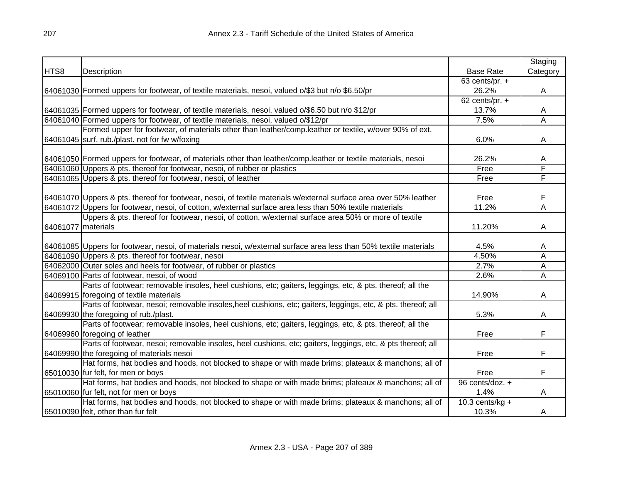|                      |                                                                                                                   |                    | Staging        |
|----------------------|-------------------------------------------------------------------------------------------------------------------|--------------------|----------------|
| HTS8                 | Description                                                                                                       | <b>Base Rate</b>   | Category       |
|                      |                                                                                                                   | 63 cents/pr. $+$   |                |
|                      | 64061030 Formed uppers for footwear, of textile materials, nesoi, valued o/\$3 but n/o \$6.50/pr                  | 26.2%              | A              |
|                      |                                                                                                                   | 62 cents/pr. $+$   |                |
|                      | 64061035 Formed uppers for footwear, of textile materials, nesoi, valued o/\$6.50 but n/o \$12/pr                 | 13.7%              | A              |
|                      | 64061040 Formed uppers for footwear, of textile materials, nesoi, valued o/\$12/pr                                | 7.5%               | $\overline{A}$ |
|                      | Formed upper for footwear, of materials other than leather/comp.leather or textile, w/over 90% of ext.            |                    |                |
|                      | 64061045 surf. rub./plast. not for fw w/foxing                                                                    | 6.0%               | A              |
|                      |                                                                                                                   |                    |                |
|                      | 64061050 Formed uppers for footwear, of materials other than leather/comp.leather or textile materials, nesoi     | 26.2%              | A              |
|                      | 64061060 Uppers & pts. thereof for footwear, nesoi, of rubber or plastics                                         | Free               | F              |
|                      | 64061065 Uppers & pts. thereof for footwear, nesoi, of leather                                                    | Free               | F              |
|                      |                                                                                                                   |                    |                |
|                      | 64061070 Uppers & pts. thereof for footwear, nesoi, of textile materials w/external surface area over 50% leather | Free               | F              |
|                      | 64061072 Uppers for footwear, nesoi, of cotton, w/external surface area less than 50% textile materials           | 11.2%              | A              |
|                      | Uppers & pts. thereof for footwear, nesoi, of cotton, w/external surface area 50% or more of textile              |                    |                |
| 64061077   materials |                                                                                                                   | 11.20%             | A              |
|                      |                                                                                                                   |                    |                |
|                      | 64061085 Uppers for footwear, nesoi, of materials nesoi, w/external surface area less than 50% textile materials  | 4.5%               | A              |
|                      | 64061090 Uppers & pts. thereof for footwear, nesoi                                                                | 4.50%              | Α              |
|                      | 64062000 Outer soles and heels for footwear, of rubber or plastics                                                | 2.7%               | A              |
|                      | 64069100 Parts of footwear, nesoi, of wood                                                                        | 2.6%               | A              |
|                      | Parts of footwear; removable insoles, heel cushions, etc; gaiters, leggings, etc, & pts. thereof; all the         |                    |                |
|                      | 64069915 foregoing of textile materials                                                                           | 14.90%             | A              |
|                      | Parts of footwear, nesoi; removable insoles, heel cushions, etc; gaiters, leggings, etc, & pts. thereof; all      |                    |                |
|                      | 64069930 the foregoing of rub./plast.                                                                             | 5.3%               | A              |
|                      | Parts of footwear; removable insoles, heel cushions, etc; gaiters, leggings, etc, & pts. thereof; all the         |                    |                |
|                      | 64069960 foregoing of leather                                                                                     | Free               | F              |
|                      | Parts of footwear, nesoi; removable insoles, heel cushions, etc; gaiters, leggings, etc, & pts thereof; all       |                    |                |
|                      | 64069990 the foregoing of materials nesoi                                                                         | Free               | F              |
|                      | Hat forms, hat bodies and hoods, not blocked to shape or with made brims; plateaux & manchons; all of             |                    |                |
|                      | 65010030 fur felt, for men or boys                                                                                | Free               | F              |
|                      | Hat forms, hat bodies and hoods, not blocked to shape or with made brims; plateaux & manchons; all of             | 96 cents/doz. +    |                |
|                      | 65010060 fur felt, not for men or boys                                                                            | 1.4%               | A              |
|                      | Hat forms, hat bodies and hoods, not blocked to shape or with made brims; plateaux & manchons; all of             | 10.3 cents/ $kg +$ |                |
|                      | 65010090 felt, other than fur felt                                                                                | 10.3%              | A              |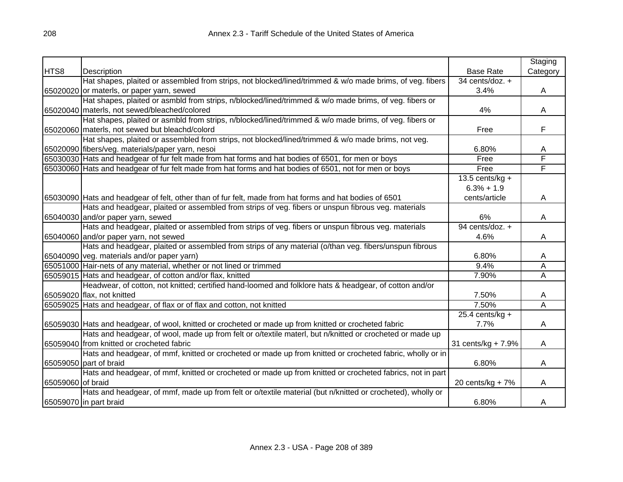|                   |                                                                                                            |                              | Staging                 |
|-------------------|------------------------------------------------------------------------------------------------------------|------------------------------|-------------------------|
| HTS8              | Description                                                                                                | <b>Base Rate</b>             | Category                |
|                   | Hat shapes, plaited or assembled from strips, not blocked/lined/trimmed & w/o made brims, of veg. fibers   | $\overline{34}$ cents/doz. + |                         |
|                   | 65020020 or materls, or paper yarn, sewed                                                                  | 3.4%                         | A                       |
|                   | Hat shapes, plaited or asmbld from strips, n/blocked/lined/trimmed & w/o made brims, of veg. fibers or     |                              |                         |
|                   | 65020040 materls, not sewed/bleached/colored                                                               | 4%                           | A                       |
|                   | Hat shapes, plaited or asmbld from strips, n/blocked/lined/trimmed & w/o made brims, of veg. fibers or     |                              |                         |
|                   | 65020060 materls, not sewed but bleachd/colord                                                             | Free                         | F                       |
|                   | Hat shapes, plaited or assembled from strips, not blocked/lined/trimmed & w/o made brims, not veg.         |                              |                         |
|                   | 65020090 fibers/veg. materials/paper yarn, nesoi                                                           | 6.80%                        | Α                       |
|                   | 65030030 Hats and headgear of fur felt made from hat forms and hat bodies of 6501, for men or boys         | Free                         | F                       |
|                   | 65030060 Hats and headgear of fur felt made from hat forms and hat bodies of 6501, not for men or boys     | Free                         | F                       |
|                   |                                                                                                            | 13.5 cents/kg $+$            |                         |
|                   |                                                                                                            | $6.3% + 1.9$                 |                         |
|                   | 65030090 Hats and headgear of felt, other than of fur felt, made from hat forms and hat bodies of 6501     | cents/article                | A                       |
|                   | Hats and headgear, plaited or assembled from strips of veg. fibers or unspun fibrous veg. materials        |                              |                         |
|                   | 65040030 and/or paper yarn, sewed                                                                          | 6%                           | Α                       |
|                   | Hats and headgear, plaited or assembled from strips of veg. fibers or unspun fibrous veg. materials        | 94 cents/doz. +              |                         |
|                   | 65040060 and/or paper yarn, not sewed                                                                      | 4.6%                         | A                       |
|                   | Hats and headgear, plaited or assembled from strips of any material (o/than veg. fibers/unspun fibrous     |                              |                         |
|                   | 65040090 veg. materials and/or paper yarn)                                                                 | 6.80%                        | A                       |
|                   | 65051000 Hair-nets of any material, whether or not lined or trimmed                                        | 9.4%                         | Α                       |
|                   | 65059015 Hats and headgear, of cotton and/or flax, knitted                                                 | 7.90%                        | $\overline{\mathsf{A}}$ |
|                   | Headwear, of cotton, not knitted; certified hand-loomed and folklore hats & headgear, of cotton and/or     |                              |                         |
|                   | 65059020 flax, not knitted                                                                                 | 7.50%                        | A                       |
|                   | 65059025 Hats and headgear, of flax or of flax and cotton, not knitted                                     | 7.50%                        | $\overline{\mathsf{A}}$ |
|                   |                                                                                                            | $25.4$ cents/kg +            |                         |
|                   | 65059030 Hats and headgear, of wool, knitted or crocheted or made up from knitted or crocheted fabric      | 7.7%                         | A                       |
|                   | Hats and headgear, of wool, made up from felt or o/textile materl, but n/knitted or crocheted or made up   |                              |                         |
|                   | 65059040 from knitted or crocheted fabric                                                                  | 31 cents/kg + 7.9%           | A                       |
|                   | Hats and headgear, of mmf, knitted or crocheted or made up from knitted or crocheted fabric, wholly or in  |                              |                         |
|                   | 65059050 part of braid                                                                                     | 6.80%                        | A                       |
|                   | Hats and headgear, of mmf, knitted or crocheted or made up from knitted or crocheted fabrics, not in part  |                              |                         |
| 65059060 of braid |                                                                                                            | 20 cents/ $kg + 7%$          | A                       |
|                   | Hats and headgear, of mmf, made up from felt or o/textile material (but n/knitted or crocheted), wholly or |                              |                         |
|                   | 65059070 in part braid                                                                                     | 6.80%                        | A                       |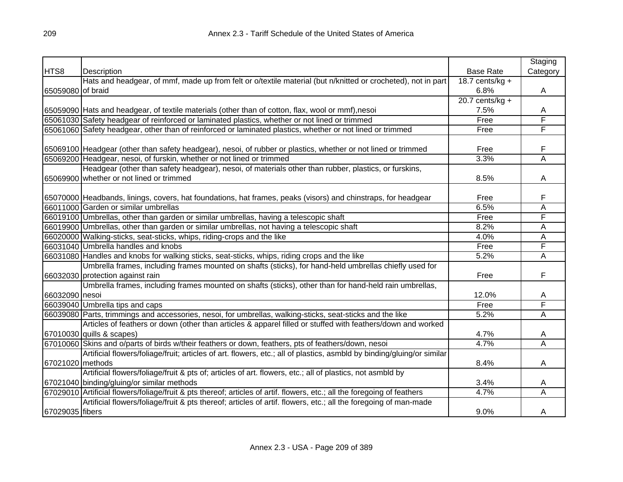|                   |                                                                                                                          |                   | Staging                 |
|-------------------|--------------------------------------------------------------------------------------------------------------------------|-------------------|-------------------------|
| HTS8              | Description                                                                                                              | <b>Base Rate</b>  | Category                |
|                   | Hats and headgear, of mmf, made up from felt or o/textile material (but n/knitted or crocheted), not in part             | 18.7 cents/kg $+$ |                         |
| 65059080 of braid |                                                                                                                          | 6.8%              | A                       |
|                   |                                                                                                                          | $20.7$ cents/kg + |                         |
|                   | 65059090 Hats and headgear, of textile materials (other than of cotton, flax, wool or mmf),nesoi                         | 7.5%              | A                       |
|                   | 65061030 Safety headgear of reinforced or laminated plastics, whether or not lined or trimmed                            | Free              | F                       |
|                   | 65061060 Safety headgear, other than of reinforced or laminated plastics, whether or not lined or trimmed                | Free              | F                       |
|                   |                                                                                                                          |                   |                         |
|                   | 65069100 Headgear (other than safety headgear), nesoi, of rubber or plastics, whether or not lined or trimmed            | Free              | F                       |
|                   | 65069200 Headgear, nesoi, of furskin, whether or not lined or trimmed                                                    | 3.3%              | $\overline{\mathsf{A}}$ |
|                   | Headgear (other than safety headgear), nesoi, of materials other than rubber, plastics, or furskins,                     |                   |                         |
|                   | 65069900 whether or not lined or trimmed                                                                                 | 8.5%              | Α                       |
|                   |                                                                                                                          |                   |                         |
|                   | 65070000 Headbands, linings, covers, hat foundations, hat frames, peaks (visors) and chinstraps, for headgear            | Free              | F                       |
|                   | 66011000 Garden or similar umbrellas                                                                                     | 6.5%              | Α                       |
|                   | 66019100 Umbrellas, other than garden or similar umbrellas, having a telescopic shaft                                    | Free              | F                       |
|                   | 66019900 Umbrellas, other than garden or similar umbrellas, not having a telescopic shaft                                | 8.2%              | Α                       |
|                   | 66020000 Walking-sticks, seat-sticks, whips, riding-crops and the like                                                   | 4.0%              | Α                       |
|                   | 66031040 Umbrella handles and knobs                                                                                      | Free              | F                       |
|                   | 66031080 Handles and knobs for walking sticks, seat-sticks, whips, riding crops and the like                             | 5.2%              | A                       |
|                   | Umbrella frames, including frames mounted on shafts (sticks), for hand-held umbrellas chiefly used for                   |                   |                         |
|                   | 66032030 protection against rain                                                                                         | Free              | F                       |
|                   | Umbrella frames, including frames mounted on shafts (sticks), other than for hand-held rain umbrellas,                   |                   |                         |
| 66032090 nesoi    |                                                                                                                          | 12.0%             | A                       |
|                   | 66039040 Umbrella tips and caps                                                                                          | Free              | F                       |
|                   | 66039080 Parts, trimmings and accessories, nesoi, for umbrellas, walking-sticks, seat-sticks and the like                | 5.2%              | Α                       |
|                   | Articles of feathers or down (other than articles & apparel filled or stuffed with feathers/down and worked              |                   |                         |
|                   | 67010030 quills & scapes)                                                                                                | 4.7%              | A                       |
|                   | 67010060 Skins and o/parts of birds w/their feathers or down, feathers, pts of feathers/down, nesoi                      | 4.7%              | Ā                       |
|                   | Artificial flowers/foliage/fruit; articles of art. flowers, etc.; all of plastics, asmbld by binding/gluing/or similar   |                   |                         |
| 67021020 methods  |                                                                                                                          | 8.4%              | A                       |
|                   | Artificial flowers/foliage/fruit & pts of; articles of art. flowers, etc.; all of plastics, not asmbld by                |                   |                         |
|                   | 67021040 binding/gluing/or similar methods                                                                               | 3.4%              | A                       |
|                   | 67029010 Artificial flowers/foliage/fruit & pts thereof; articles of artif. flowers, etc.; all the foregoing of feathers | 4.7%              | Α                       |
|                   | Artificial flowers/foliage/fruit & pts thereof; articles of artif. flowers, etc.; all the foregoing of man-made          |                   |                         |
| 67029035 fibers   |                                                                                                                          | 9.0%              | A                       |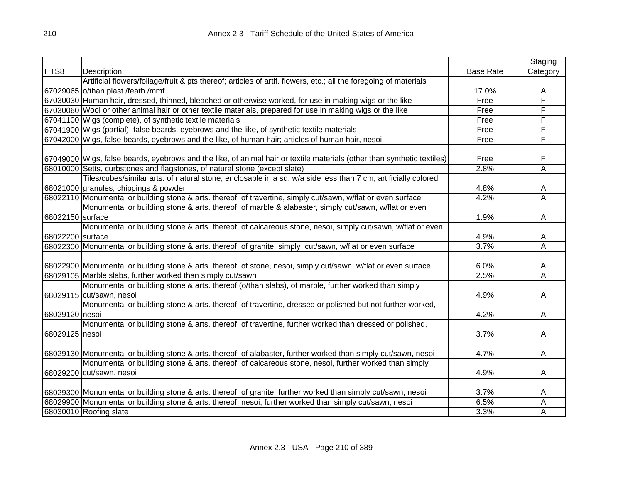|                  |                                                                                                                         |                  | Staging                 |
|------------------|-------------------------------------------------------------------------------------------------------------------------|------------------|-------------------------|
| HTS8             | Description                                                                                                             | <b>Base Rate</b> | Category                |
|                  | Artificial flowers/foliage/fruit & pts thereof; articles of artif. flowers, etc.; all the foregoing of materials        |                  |                         |
|                  | 67029065 o/than plast./feath./mmf                                                                                       | 17.0%            | A                       |
|                  | 67030030 Human hair, dressed, thinned, bleached or otherwise worked, for use in making wigs or the like                 | Free             | F                       |
|                  | 67030060 Wool or other animal hair or other textile materials, prepared for use in making wigs or the like              | Free             | F                       |
|                  | 67041100 Wigs (complete), of synthetic textile materials                                                                | Free             | F                       |
|                  | 67041900 Wigs (partial), false beards, eyebrows and the like, of synthetic textile materials                            | Free             | F                       |
|                  | 67042000 Wigs, false beards, eyebrows and the like, of human hair; articles of human hair, nesoi                        | Free             | F                       |
|                  |                                                                                                                         |                  |                         |
|                  | 67049000 Wigs, false beards, eyebrows and the like, of animal hair or textile materials (other than synthetic textiles) | Free             | F                       |
|                  | 68010000 Setts, curbstones and flagstones, of natural stone (except slate)                                              | 2.8%             | Ā                       |
|                  | Tiles/cubes/similar arts. of natural stone, enclosable in a sq. w/a side less than 7 cm; artificially colored           |                  |                         |
|                  | 68021000 granules, chippings & powder                                                                                   | 4.8%             | A                       |
|                  | 68022110 Monumental or building stone & arts. thereof, of travertine, simply cut/sawn, w/flat or even surface           | 4.2%             | Α                       |
|                  | Monumental or building stone & arts. thereof, of marble & alabaster, simply cut/sawn, w/flat or even                    |                  |                         |
| 68022150 surface |                                                                                                                         | 1.9%             | Α                       |
|                  | Monumental or building stone & arts. thereof, of calcareous stone, nesoi, simply cut/sawn, w/flat or even               |                  |                         |
| 68022200 surface |                                                                                                                         | 4.9%             | A                       |
|                  | 68022300 Monumental or building stone & arts. thereof, of granite, simply cut/sawn, w/flat or even surface              | 3.7%             | Α                       |
|                  |                                                                                                                         |                  |                         |
|                  | 68022900 Monumental or building stone & arts. thereof, of stone, nesoi, simply cut/sawn, w/flat or even surface         | 6.0%             | A                       |
|                  | 68029105 Marble slabs, further worked than simply cut/sawn                                                              | 2.5%             | $\overline{\mathsf{A}}$ |
|                  | Monumental or building stone & arts. thereof (o/than slabs), of marble, further worked than simply                      |                  |                         |
|                  | 68029115 cut/sawn, nesoi                                                                                                | 4.9%             | A                       |
|                  | Monumental or building stone & arts. thereof, of travertine, dressed or polished but not further worked,                |                  |                         |
| 68029120 nesoi   |                                                                                                                         | 4.2%             | A                       |
|                  | Monumental or building stone & arts. thereof, of travertine, further worked than dressed or polished,                   |                  |                         |
| 68029125 nesoi   |                                                                                                                         | 3.7%             | A                       |
|                  |                                                                                                                         |                  |                         |
|                  | 68029130 Monumental or building stone & arts. thereof, of alabaster, further worked than simply cut/sawn, nesoi         | 4.7%             | A                       |
|                  | Monumental or building stone & arts. thereof, of calcareous stone, nesoi, further worked than simply                    |                  |                         |
|                  | 68029200 cut/sawn, nesoi                                                                                                | 4.9%             | A                       |
|                  |                                                                                                                         |                  |                         |
|                  | 68029300 Monumental or building stone & arts. thereof, of granite, further worked than simply cut/sawn, nesoi           | 3.7%             | A                       |
|                  | 68029900 Monumental or building stone & arts. thereof, nesoi, further worked than simply cut/sawn, nesoi                | 6.5%             | Α                       |
|                  | 68030010 Roofing slate                                                                                                  | 3.3%             | Α                       |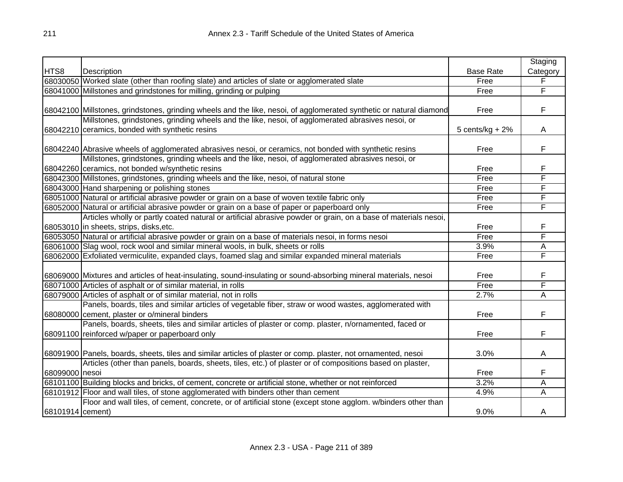|                  |                                                                                                                     |                    | Staging  |
|------------------|---------------------------------------------------------------------------------------------------------------------|--------------------|----------|
| HTS8             | Description                                                                                                         | <b>Base Rate</b>   | Category |
|                  | 68030050 Worked slate (other than roofing slate) and articles of slate or agglomerated slate                        | Free               | F        |
|                  | 68041000 Millstones and grindstones for milling, grinding or pulping                                                | Free               | F        |
|                  |                                                                                                                     |                    |          |
|                  | 68042100 Millstones, grindstones, grinding wheels and the like, nesoi, of agglomerated synthetic or natural diamond | Free               | F        |
|                  | Millstones, grindstones, grinding wheels and the like, nesoi, of agglomerated abrasives nesoi, or                   |                    |          |
|                  | 68042210 ceramics, bonded with synthetic resins                                                                     | 5 cents/ $kg + 2%$ | A        |
|                  |                                                                                                                     |                    |          |
|                  | 68042240 Abrasive wheels of agglomerated abrasives nesoi, or ceramics, not bonded with synthetic resins             | Free               | F        |
|                  | Millstones, grindstones, grinding wheels and the like, nesoi, of agglomerated abrasives nesoi, or                   |                    |          |
|                  | 68042260 ceramics, not bonded w/synthetic resins                                                                    | Free               | F        |
|                  | 68042300 Millstones, grindstones, grinding wheels and the like, nesoi, of natural stone                             | Free               | F        |
|                  | 68043000 Hand sharpening or polishing stones                                                                        | Free               | F        |
|                  | 68051000 Natural or artificial abrasive powder or grain on a base of woven textile fabric only                      | Free               | F        |
|                  | 68052000 Natural or artificial abrasive powder or grain on a base of paper or paperboard only                       | Free               | F        |
|                  | Articles wholly or partly coated natural or artificial abrasive powder or grain, on a base of materials nesoi,      |                    |          |
|                  | 68053010 in sheets, strips, disks, etc.                                                                             | Free               | F        |
|                  | 68053050 Natural or artificial abrasive powder or grain on a base of materials nesoi, in forms nesoi                | Free               | F        |
|                  | 68061000 Slag wool, rock wool and similar mineral wools, in bulk, sheets or rolls                                   | 3.9%               | Α        |
|                  | 68062000 Exfoliated vermiculite, expanded clays, foamed slag and similar expanded mineral materials                 | Free               | F        |
|                  |                                                                                                                     |                    |          |
|                  | 68069000 Mixtures and articles of heat-insulating, sound-insulating or sound-absorbing mineral materials, nesoi     | Free               | F        |
|                  | 68071000 Articles of asphalt or of similar material, in rolls                                                       | Free               | F        |
|                  | 68079000 Articles of asphalt or of similar material, not in rolls                                                   | 2.7%               | A        |
|                  | Panels, boards, tiles and similar articles of vegetable fiber, straw or wood wastes, agglomerated with              |                    |          |
|                  | 68080000 cement, plaster or o/mineral binders                                                                       | Free               | F        |
|                  | Panels, boards, sheets, tiles and similar articles of plaster or comp. plaster, n/ornamented, faced or              |                    |          |
|                  | 68091100 reinforced w/paper or paperboard only                                                                      | Free               | F        |
|                  |                                                                                                                     |                    |          |
|                  | 68091900 Panels, boards, sheets, tiles and similar articles of plaster or comp. plaster, not ornamented, nesoi      | 3.0%               | A        |
|                  | Articles (other than panels, boards, sheets, tiles, etc.) of plaster or of compositions based on plaster,           |                    |          |
| 68099000 nesoi   |                                                                                                                     | Free               | F        |
|                  | 68101100 Building blocks and bricks, of cement, concrete or artificial stone, whether or not reinforced             | 3.2%               | A        |
|                  | 68101912 Floor and wall tiles, of stone agglomerated with binders other than cement                                 | 4.9%               | A        |
|                  | Floor and wall tiles, of cement, concrete, or of artificial stone (except stone agglom. w/binders other than        |                    |          |
| 68101914 cement) |                                                                                                                     | 9.0%               | A        |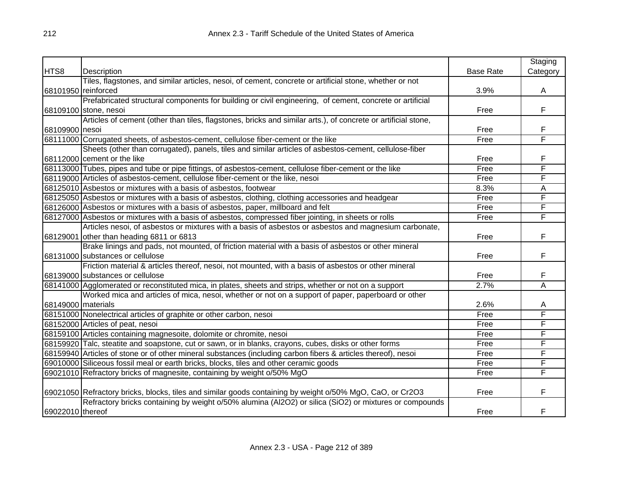|                    |                                                                                                               |                  | Staging  |
|--------------------|---------------------------------------------------------------------------------------------------------------|------------------|----------|
| HTS8               | Description                                                                                                   | <b>Base Rate</b> | Category |
|                    | Tiles, flagstones, and similar articles, nesoi, of cement, concrete or artificial stone, whether or not       |                  |          |
|                    | 68101950 reinforced                                                                                           | 3.9%             | A        |
|                    | Prefabricated structural components for building or civil engineering, of cement, concrete or artificial      |                  |          |
|                    | 68109100 stone, nesoi                                                                                         | Free             | F        |
|                    | Articles of cement (other than tiles, flagstones, bricks and similar arts.), of concrete or artificial stone, |                  |          |
| 68109900 nesoi     |                                                                                                               | Free             | F        |
|                    | 68111000 Corrugated sheets, of asbestos-cement, cellulose fiber-cement or the like                            | Free             | F        |
|                    | Sheets (other than corrugated), panels, tiles and similar articles of asbestos-cement, cellulose-fiber        |                  |          |
|                    | 68112000 cement or the like                                                                                   | Free             | F        |
|                    | 68113000 Tubes, pipes and tube or pipe fittings, of asbestos-cement, cellulose fiber-cement or the like       | Free             | F        |
|                    | 68119000 Articles of asbestos-cement, cellulose fiber-cement or the like, nesoi                               | Free             | F        |
|                    | 68125010 Asbestos or mixtures with a basis of asbestos, footwear                                              | 8.3%             | А        |
|                    | 68125050 Asbestos or mixtures with a basis of asbestos, clothing, clothing accessories and headgear           | Free             | F        |
|                    | 68126000 Asbestos or mixtures with a basis of asbestos, paper, millboard and felt                             | Free             | F        |
|                    | 68127000 Asbestos or mixtures with a basis of asbestos, compressed fiber jointing, in sheets or rolls         | Free             | F        |
|                    | Articles nesoi, of asbestos or mixtures with a basis of asbestos or asbestos and magnesium carbonate,         |                  |          |
|                    | 68129001 other than heading 6811 or 6813                                                                      | Free             | F        |
|                    | Brake linings and pads, not mounted, of friction material with a basis of asbestos or other mineral           |                  |          |
|                    | 68131000 substances or cellulose                                                                              | Free             | F        |
|                    | Friction material & articles thereof, nesoi, not mounted, with a basis of asbestos or other mineral           |                  |          |
|                    | 68139000 substances or cellulose                                                                              | Free             | F        |
|                    | 68141000 Agglomerated or reconstituted mica, in plates, sheets and strips, whether or not on a support        | 2.7%             | A        |
|                    | Worked mica and articles of mica, nesoi, whether or not on a support of paper, paperboard or other            |                  |          |
| 68149000 materials |                                                                                                               | 2.6%             | A        |
|                    | 68151000 Nonelectrical articles of graphite or other carbon, nesoi                                            | Free             | F        |
|                    | 68152000 Articles of peat, nesoi                                                                              | Free             | F        |
|                    | 68159100 Articles containing magnesoite, dolomite or chromite, nesoi                                          | Free             | F        |
|                    | 68159920 Talc, steatite and soapstone, cut or sawn, or in blanks, crayons, cubes, disks or other forms        | Free             | F        |
|                    | 68159940 Articles of stone or of other mineral substances (including carbon fibers & articles thereof), nesoi | Free             | F        |
|                    | 69010000 Siliceous fossil meal or earth bricks, blocks, tiles and other ceramic goods                         | Free             | F        |
|                    | 69021010 Refractory bricks of magnesite, containing by weight o/50% MgO                                       | Free             | F        |
|                    |                                                                                                               |                  |          |
|                    | 69021050 Refractory bricks, blocks, tiles and similar goods containing by weight o/50% MgO, CaO, or Cr2O3     | Free             | F        |
|                    | Refractory bricks containing by weight o/50% alumina (Al2O2) or silica (SiO2) or mixtures or compounds        |                  |          |
| 69022010 thereof   |                                                                                                               | Free             | F        |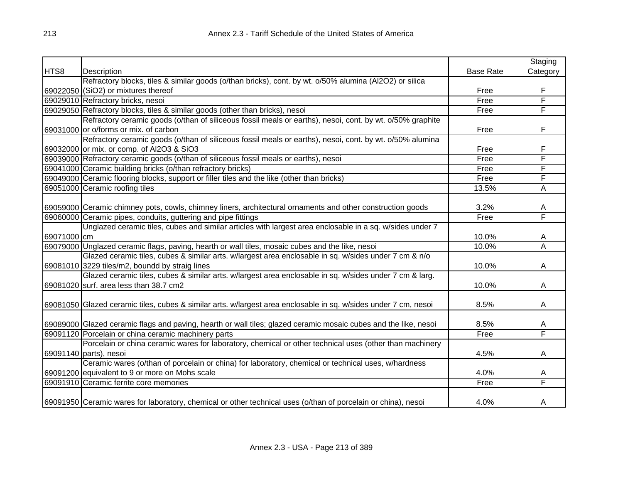|             |                                                                                                                 |                  | Staging                 |
|-------------|-----------------------------------------------------------------------------------------------------------------|------------------|-------------------------|
| HTS8        | Description                                                                                                     | <b>Base Rate</b> | Category                |
|             | Refractory blocks, tiles & similar goods (o/than bricks), cont. by wt. o/50% alumina (Al2O2) or silica          |                  |                         |
|             | 69022050 (SiO2) or mixtures thereof                                                                             | Free             | F                       |
|             | 69029010 Refractory bricks, nesoi                                                                               | Free             | F                       |
|             | 69029050 Refractory blocks, tiles & similar goods (other than bricks), nesoi                                    | Free             | F                       |
|             | Refractory ceramic goods (o/than of siliceous fossil meals or earths), nesoi, cont. by wt. o/50% graphite       |                  |                         |
|             | 69031000 or o/forms or mix. of carbon                                                                           | Free             | F                       |
|             | Refractory ceramic goods (o/than of siliceous fossil meals or earths), nesoi, cont. by wt. o/50% alumina        |                  |                         |
|             | 69032000 or mix. or comp. of AI2O3 & SiO3                                                                       | Free             | F                       |
|             | 69039000 Refractory ceramic goods (o/than of siliceous fossil meals or earths), nesoi                           | Free             | F                       |
|             | 69041000 Ceramic building bricks (o/than refractory bricks)                                                     | Free             | F                       |
|             | 69049000 Ceramic flooring blocks, support or filler tiles and the like (other than bricks)                      | Free             | F                       |
|             | 69051000 Ceramic roofing tiles                                                                                  | 13.5%            | A                       |
|             |                                                                                                                 |                  |                         |
|             | 69059000 Ceramic chimney pots, cowls, chimney liners, architectural ornaments and other construction goods      | 3.2%             | A                       |
|             | 69060000 Ceramic pipes, conduits, guttering and pipe fittings                                                   | Free             | F                       |
|             | Unglazed ceramic tiles, cubes and similar articles with largest area enclosable in a sq. w/sides under 7        |                  |                         |
| 69071000 cm |                                                                                                                 | 10.0%            | A                       |
|             | 69079000 Unglazed ceramic flags, paving, hearth or wall tiles, mosaic cubes and the like, nesoi                 | 10.0%            | $\overline{\mathsf{A}}$ |
|             | Glazed ceramic tiles, cubes & similar arts. w/largest area enclosable in sq. w/sides under 7 cm & n/o           |                  |                         |
|             | 69081010 3229 tiles/m2, boundd by straig lines                                                                  | 10.0%            | A                       |
|             | Glazed ceramic tiles, cubes & similar arts. w/largest area enclosable in sq. w/sides under 7 cm & larg.         |                  |                         |
|             | 69081020 surf. area less than 38.7 cm2                                                                          | 10.0%            | A                       |
|             |                                                                                                                 | 8.5%             |                         |
|             | 69081050 Glazed ceramic tiles, cubes & similar arts. w/largest area enclosable in sq. w/sides under 7 cm, nesoi |                  | A                       |
|             | 69089000 Glazed ceramic flags and paving, hearth or wall tiles; glazed ceramic mosaic cubes and the like, nesoi | 8.5%             | A                       |
|             | 69091120 Porcelain or china ceramic machinery parts                                                             | Free             | F                       |
|             | Porcelain or china ceramic wares for laboratory, chemical or other technical uses (other than machinery         |                  |                         |
|             | 69091140 parts), nesoi                                                                                          | 4.5%             | A                       |
|             | Ceramic wares (o/than of porcelain or china) for laboratory, chemical or technical uses, w/hardness             |                  |                         |
|             | 69091200 equivalent to 9 or more on Mohs scale                                                                  | 4.0%             | A                       |
|             | 69091910 Ceramic ferrite core memories                                                                          | Free             | F                       |
|             |                                                                                                                 |                  |                         |
|             | 69091950 Ceramic wares for laboratory, chemical or other technical uses (o/than of porcelain or china), nesoi   | 4.0%             | A                       |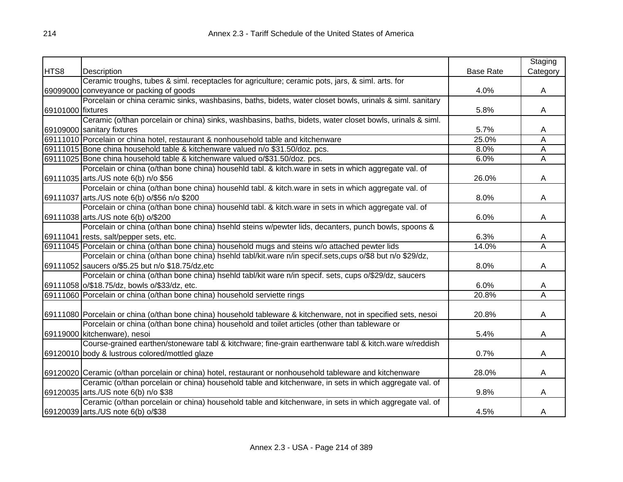|                   |                                                                                                                 |                  | Staging  |
|-------------------|-----------------------------------------------------------------------------------------------------------------|------------------|----------|
| HTS8              | Description                                                                                                     | <b>Base Rate</b> | Category |
|                   | Ceramic troughs, tubes & siml. receptacles for agriculture; ceramic pots, jars, & siml. arts. for               |                  |          |
|                   | 69099000 conveyance or packing of goods                                                                         | 4.0%             | A        |
|                   | Porcelain or china ceramic sinks, washbasins, baths, bidets, water closet bowls, urinals & siml. sanitary       |                  |          |
| 69101000 fixtures |                                                                                                                 | 5.8%             | A        |
|                   | Ceramic (o/than porcelain or china) sinks, washbasins, baths, bidets, water closet bowls, urinals & siml.       |                  |          |
|                   | 69109000 sanitary fixtures                                                                                      | 5.7%             | A        |
|                   | 69111010 Porcelain or china hotel, restaurant & nonhousehold table and kitchenware                              | 25.0%            | А        |
|                   | 69111015 Bone china household table & kitchenware valued n/o \$31.50/doz. pcs.                                  | 8.0%             | A        |
|                   | 69111025 Bone china household table & kitchenware valued o/\$31.50/doz. pcs.                                    | 6.0%             | A        |
|                   | Porcelain or china (o/than bone china) househld tabl. & kitch ware in sets in which aggregate val. of           |                  |          |
|                   | 69111035 arts./US note 6(b) n/o \$56                                                                            | 26.0%            | A        |
|                   | Porcelain or china (o/than bone china) househld tabl. & kitch.ware in sets in which aggregate val. of           |                  |          |
|                   | 69111037 arts./US note 6(b) o/\$56 n/o \$200                                                                    | 8.0%             | A        |
|                   | Porcelain or china (o/than bone china) househld tabl. & kitch.ware in sets in which aggregate val. of           |                  |          |
|                   | 69111038 arts./US note 6(b) o/\$200                                                                             | 6.0%             | A        |
|                   | Porcelain or china (o/than bone china) hsehld steins w/pewter lids, decanters, punch bowls, spoons &            |                  |          |
|                   | 69111041 rests, salt/pepper sets, etc.                                                                          | 6.3%             | A        |
|                   | 69111045 Porcelain or china (o/than bone china) household mugs and steins w/o attached pewter lids              | 14.0%            | Α        |
|                   | Porcelain or china (o/than bone china) hsehld tabl/kit.ware n/in specif.sets,cups o/\$8 but n/o \$29/dz,        |                  |          |
|                   | 69111052 saucers o/\$5.25 but n/o \$18.75/dz, etc                                                               | 8.0%             | A        |
|                   | Porcelain or china (o/than bone china) hsehld tabl/kit ware n/in specif. sets, cups o/\$29/dz, saucers          |                  |          |
|                   | 69111058 o/\$18.75/dz, bowls o/\$33/dz, etc.                                                                    | 6.0%             | A        |
|                   | 69111060 Porcelain or china (o/than bone china) household serviette rings                                       | 20.8%            | Ā        |
|                   |                                                                                                                 |                  |          |
|                   | 69111080 Porcelain or china (o/than bone china) household tableware & kitchenware, not in specified sets, nesoi | 20.8%            | A        |
|                   | Porcelain or china (o/than bone china) household and toilet articles (other than tableware or                   |                  |          |
|                   | 69119000 kitchenware), nesoi                                                                                    | 5.4%             | A        |
|                   | Course-grained earthen/stoneware tabl & kitchware; fine-grain earthenware tabl & kitch.ware w/reddish           |                  |          |
|                   | 69120010 body & lustrous colored/mottled glaze                                                                  | 0.7%             | A        |
|                   |                                                                                                                 |                  |          |
|                   | 69120020 Ceramic (o/than porcelain or china) hotel, restaurant or nonhousehold tableware and kitchenware        | 28.0%            | A        |
|                   | Ceramic (o/than porcelain or china) household table and kitchenware, in sets in which aggregate val. of         |                  |          |
|                   | 69120035 arts./US note 6(b) n/o \$38                                                                            | 9.8%             | A        |
|                   | Ceramic (o/than porcelain or china) household table and kitchenware, in sets in which aggregate val. of         |                  |          |
|                   | 69120039 arts./US note 6(b) o/\$38                                                                              | 4.5%             | A        |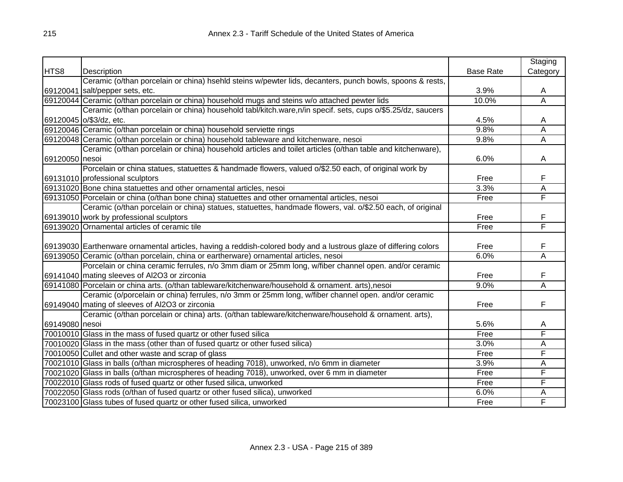|                |                                                                                                                  |                  | Staging                 |
|----------------|------------------------------------------------------------------------------------------------------------------|------------------|-------------------------|
| HTS8           | Description                                                                                                      | <b>Base Rate</b> | Category                |
|                | Ceramic (o/than porcelain or china) hsehld steins w/pewter lids, decanters, punch bowls, spoons & rests,         |                  |                         |
|                | 69120041 salt/pepper sets, etc.                                                                                  | 3.9%             | A                       |
|                | 69120044 Ceramic (o/than porcelain or china) household mugs and steins w/o attached pewter lids                  | 10.0%            | Α                       |
|                | Ceramic (o/than porcelain or china) household tabl/kitch.ware,n/in specif. sets, cups o/\$5.25/dz, saucers       |                  |                         |
|                | 69120045 o/\$3/dz, etc.                                                                                          | 4.5%             | A                       |
|                | 69120046 Ceramic (o/than porcelain or china) household serviette rings                                           | 9.8%             | Α                       |
|                | 69120048 Ceramic (o/than porcelain or china) household tableware and kitchenware, nesoi                          | 9.8%             | A                       |
|                | Ceramic (o/than porcelain or china) household articles and toilet articles (o/than table and kitchenware),       |                  |                         |
| 69120050 nesoi |                                                                                                                  | 6.0%             | A                       |
|                | Porcelain or china statues, statuettes & handmade flowers, valued o/\$2.50 each, of original work by             |                  |                         |
|                | 69131010 professional sculptors                                                                                  | Free             | F                       |
|                | 69131020 Bone china statuettes and other ornamental articles, nesoi                                              | 3.3%             | A                       |
|                | 69131050 Porcelain or china (o/than bone china) statuettes and other ornamental articles, nesoi                  | Free             | F                       |
|                | Ceramic (o/than porcelain or china) statues, statuettes, handmade flowers, val. o/\$2.50 each, of original       |                  |                         |
|                | 69139010 work by professional sculptors                                                                          | Free             | F                       |
|                | 69139020 Ornamental articles of ceramic tile                                                                     | Free             | F                       |
|                |                                                                                                                  |                  |                         |
|                | 69139030 Earthenware ornamental articles, having a reddish-colored body and a lustrous glaze of differing colors | Free             | F                       |
|                | 69139050 Ceramic (o/than porcelain, china or eartherware) ornamental articles, nesoi                             | 6.0%             | $\overline{\mathsf{A}}$ |
|                | Porcelain or china ceramic ferrules, n/o 3mm diam or 25mm long, w/fiber channel open. and/or ceramic             |                  |                         |
|                | 69141040 mating sleeves of Al2O3 or zirconia                                                                     | Free             | F                       |
|                | 69141080 Porcelain or china arts. (o/than tableware/kitchenware/household & ornament. arts),nesoi                | 9.0%             | Α                       |
|                | Ceramic (o/porcelain or china) ferrules, n/o 3mm or 25mm long, w/fiber channel open. and/or ceramic              |                  |                         |
|                | 69149040 mating of sleeves of Al2O3 or zirconia                                                                  | Free             | F                       |
|                | Ceramic (o/than porcelain or china) arts. (o/than tableware/kitchenware/household & ornament. arts),             |                  |                         |
| 69149080 nesoi |                                                                                                                  | 5.6%             | A                       |
|                | 70010010 Glass in the mass of fused quartz or other fused silica                                                 | Free             | F                       |
|                | 70010020 Glass in the mass (other than of fused quartz or other fused silica)                                    | 3.0%             | Α                       |
|                | 70010050 Cullet and other waste and scrap of glass                                                               | Free             | F                       |
|                | 70021010 Glass in balls (o/than microspheres of heading 7018), unworked, n/o 6mm in diameter                     | 3.9%             | Α                       |
|                | 70021020 Glass in balls (o/than microspheres of heading 7018), unworked, over 6 mm in diameter                   | Free             | F                       |
|                | 70022010 Glass rods of fused quartz or other fused silica, unworked                                              | Free             | F                       |
|                | 70022050 Glass rods (o/than of fused quartz or other fused silica), unworked                                     | 6.0%             | Α                       |
|                | 70023100 Glass tubes of fused quartz or other fused silica, unworked                                             | Free             | F                       |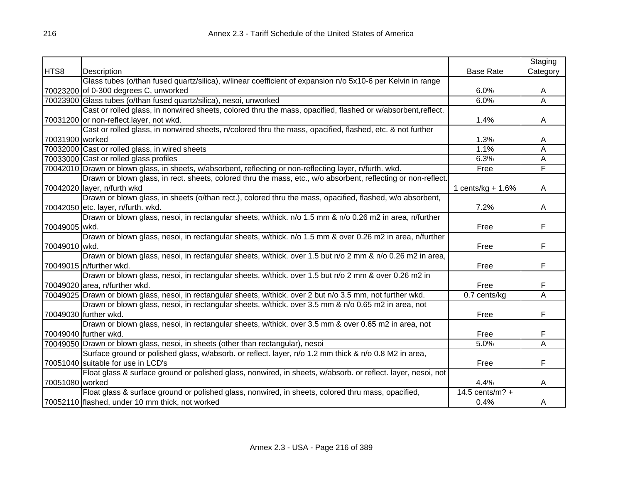|                 |                                                                                                               |                     | Staging  |
|-----------------|---------------------------------------------------------------------------------------------------------------|---------------------|----------|
| HTS8            | Description                                                                                                   | <b>Base Rate</b>    | Category |
|                 | Glass tubes (o/than fused quartz/silica), w/linear coefficient of expansion n/o 5x10-6 per Kelvin in range    |                     |          |
|                 | 70023200 of 0-300 degrees C, unworked                                                                         | 6.0%                | A        |
|                 | 70023900 Glass tubes (o/than fused quartz/silica), nesoi, unworked                                            | 6.0%                | A        |
|                 | Cast or rolled glass, in nonwired sheets, colored thru the mass, opacified, flashed or w/absorbent, reflect.  |                     |          |
|                 | 70031200 or non-reflect.layer, not wkd.                                                                       | 1.4%                | A        |
|                 | Cast or rolled glass, in nonwired sheets, n/colored thru the mass, opacified, flashed, etc. & not further     |                     |          |
| 70031900 worked |                                                                                                               | 1.3%                | A        |
|                 | 70032000 Cast or rolled glass, in wired sheets                                                                | 1.1%                | A        |
|                 | 70033000 Cast or rolled glass profiles                                                                        | 6.3%                | A        |
|                 | 70042010 Drawn or blown glass, in sheets, w/absorbent, reflecting or non-reflecting layer, n/furth. wkd.      | Free                | F        |
|                 | Drawn or blown glass, in rect. sheets, colored thru the mass, etc., w/o absorbent, reflecting or non-reflect. |                     |          |
|                 | 70042020 layer, n/furth wkd                                                                                   | 1 cents/kg $+ 1.6%$ | A        |
|                 | Drawn or blown glass, in sheets (o/than rect.), colored thru the mass, opacified, flashed, w/o absorbent,     |                     |          |
|                 | 70042050 etc. layer, n/furth. wkd.                                                                            | 7.2%                | A        |
|                 | Drawn or blown glass, nesoi, in rectangular sheets, w/thick. n/o 1.5 mm & n/o 0.26 m2 in area, n/further      |                     |          |
| 70049005 wkd.   |                                                                                                               | Free                | F        |
|                 | Drawn or blown glass, nesoi, in rectangular sheets, w/thick. n/o 1.5 mm & over 0.26 m2 in area, n/further     |                     |          |
| 70049010 wkd.   |                                                                                                               | Free                | F        |
|                 | Drawn or blown glass, nesoi, in rectangular sheets, w/thick. over 1.5 but n/o 2 mm & n/o 0.26 m2 in area,     |                     |          |
|                 | 70049015 n/further wkd.                                                                                       | Free                | F        |
|                 | Drawn or blown glass, nesoi, in rectangular sheets, w/thick. over 1.5 but n/o 2 mm & over 0.26 m2 in          |                     |          |
|                 | 70049020 area, n/further wkd.                                                                                 | Free                | F        |
|                 | 70049025 Drawn or blown glass, nesoi, in rectangular sheets, w/thick. over 2 but n/o 3.5 mm, not further wkd. | 0.7 cents/kg        | A        |
|                 | Drawn or blown glass, nesoi, in rectangular sheets, w/thick. over 3.5 mm & n/o 0.65 m2 in area, not           |                     |          |
|                 | 70049030 further wkd.                                                                                         | Free                | F        |
|                 | Drawn or blown glass, nesoi, in rectangular sheets, w/thick. over 3.5 mm & over 0.65 m2 in area, not          |                     |          |
|                 | 70049040 further wkd.                                                                                         | Free                | F        |
|                 | 70049050 Drawn or blown glass, nesoi, in sheets (other than rectangular), nesoi                               | 5.0%                | A        |
|                 | Surface ground or polished glass, w/absorb. or reflect. layer, n/o 1.2 mm thick & n/o 0.8 M2 in area,         |                     |          |
|                 | 70051040 suitable for use in LCD's                                                                            | Free                | F        |
|                 | Float glass & surface ground or polished glass, nonwired, in sheets, w/absorb. or reflect. layer, nesoi, not  |                     |          |
| 70051080 worked |                                                                                                               | 4.4%                | A        |
|                 | Float glass & surface ground or polished glass, nonwired, in sheets, colored thru mass, opacified,            | 14.5 cents/m? $+$   |          |
|                 | 70052110 flashed, under 10 mm thick, not worked                                                               | 0.4%                | A        |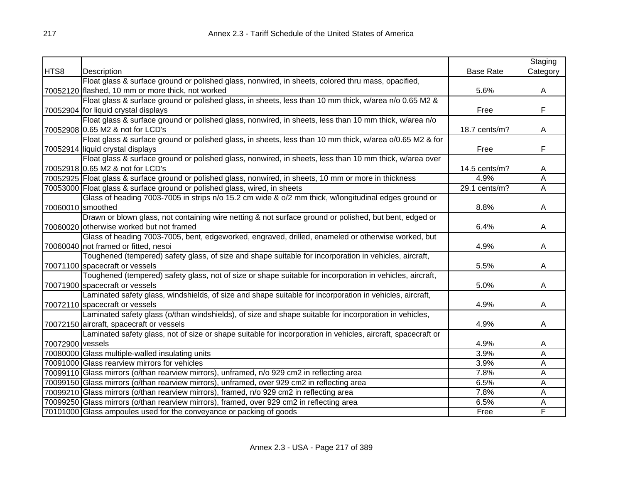|                  |                                                                                                              |                  | Staging                 |
|------------------|--------------------------------------------------------------------------------------------------------------|------------------|-------------------------|
| HTS8             | Description                                                                                                  | <b>Base Rate</b> | Category                |
|                  | Float glass & surface ground or polished glass, nonwired, in sheets, colored thru mass, opacified,           |                  |                         |
|                  | 70052120 flashed, 10 mm or more thick, not worked                                                            | 5.6%             | A                       |
|                  | Float glass & surface ground or polished glass, in sheets, less than 10 mm thick, w/area n/o 0.65 M2 &       |                  |                         |
|                  | 70052904 for liquid crystal displays                                                                         | Free             | F                       |
|                  | Float glass & surface ground or polished glass, nonwired, in sheets, less than 10 mm thick, w/area n/o       |                  |                         |
|                  | 70052908 0.65 M2 & not for LCD's                                                                             | 18.7 cents/m?    | A                       |
|                  | Float glass & surface ground or polished glass, in sheets, less than 10 mm thick, w/area o/0.65 M2 & for     |                  |                         |
|                  | 70052914 liquid crystal displays                                                                             | Free             | F                       |
|                  | Float glass & surface ground or polished glass, nonwired, in sheets, less than 10 mm thick, w/area over      |                  |                         |
|                  | 70052918 0.65 M2 & not for LCD's                                                                             | 14.5 cents/m?    | Α                       |
|                  | 70052925 Float glass & surface ground or polished glass, nonwired, in sheets, 10 mm or more in thickness     | 4.9%             | Α                       |
|                  | 70053000 Float glass & surface ground or polished glass, wired, in sheets                                    | 29.1 cents/m?    | $\overline{\mathsf{A}}$ |
|                  | Glass of heading 7003-7005 in strips n/o 15.2 cm wide & o/2 mm thick, w/longitudinal edges ground or         |                  |                         |
|                  | 70060010 smoothed                                                                                            | 8.8%             | A                       |
|                  | Drawn or blown glass, not containing wire netting & not surface ground or polished, but bent, edged or       |                  |                         |
|                  | 70060020 otherwise worked but not framed                                                                     | 6.4%             | A                       |
|                  | Glass of heading 7003-7005, bent, edgeworked, engraved, drilled, enameled or otherwise worked, but           |                  |                         |
|                  | 70060040 not framed or fitted, nesoi                                                                         | 4.9%             | A                       |
|                  | Toughened (tempered) safety glass, of size and shape suitable for incorporation in vehicles, aircraft,       |                  |                         |
|                  | 70071100 spacecraft or vessels                                                                               | 5.5%             | A                       |
|                  | Toughened (tempered) safety glass, not of size or shape suitable for incorporation in vehicles, aircraft,    |                  |                         |
|                  | 70071900 spacecraft or vessels                                                                               | 5.0%             | A                       |
|                  | Laminated safety glass, windshields, of size and shape suitable for incorporation in vehicles, aircraft,     |                  |                         |
|                  | 70072110 spacecraft or vessels                                                                               | 4.9%             | A                       |
|                  | Laminated safety glass (o/than windshields), of size and shape suitable for incorporation in vehicles,       |                  |                         |
|                  | 70072150 aircraft, spacecraft or vessels                                                                     | 4.9%             | A                       |
|                  | Laminated safety glass, not of size or shape suitable for incorporation in vehicles, aircraft, spacecraft or |                  |                         |
| 70072900 vessels |                                                                                                              | 4.9%             | A                       |
|                  | 70080000 Glass multiple-walled insulating units                                                              | 3.9%             | Α                       |
|                  | 70091000 Glass rearview mirrors for vehicles                                                                 | 3.9%             | A                       |
|                  | 70099110 Glass mirrors (o/than rearview mirrors), unframed, n/o 929 cm2 in reflecting area                   | 7.8%             | A                       |
|                  | 70099150 Glass mirrors (o/than rearview mirrors), unframed, over 929 cm2 in reflecting area                  | 6.5%             | A                       |
|                  | 70099210 Glass mirrors (o/than rearview mirrors), framed, n/o 929 cm2 in reflecting area                     | 7.8%             | A                       |
|                  | 70099250 Glass mirrors (o/than rearview mirrors), framed, over 929 cm2 in reflecting area                    | 6.5%             | Α                       |
|                  | 70101000 Glass ampoules used for the conveyance or packing of goods                                          | Free             | F                       |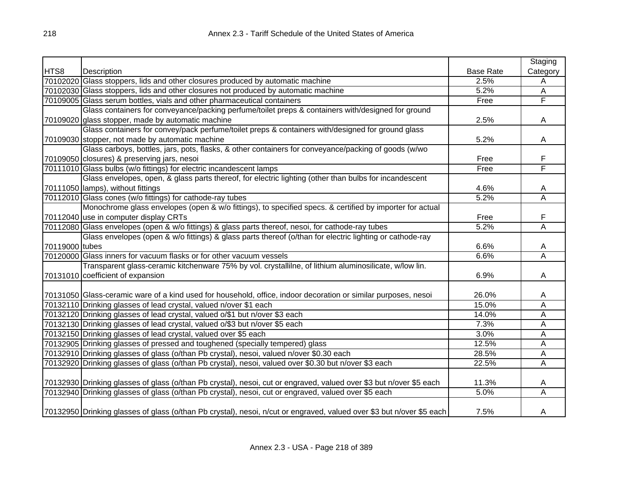|                |                                                                                                                       |                  | Staging                 |
|----------------|-----------------------------------------------------------------------------------------------------------------------|------------------|-------------------------|
| HTS8           | Description                                                                                                           | <b>Base Rate</b> | Category                |
|                | 70102020 Glass stoppers, lids and other closures produced by automatic machine                                        | 2.5%             | A                       |
|                | 70102030 Glass stoppers, lids and other closures not produced by automatic machine                                    | 5.2%             | A                       |
|                | 70109005 Glass serum bottles, vials and other pharmaceutical containers                                               | Free             | F                       |
|                | Glass containers for conveyance/packing perfume/toilet preps & containers with/designed for ground                    |                  |                         |
|                | 70109020 glass stopper, made by automatic machine                                                                     | 2.5%             | A                       |
|                | Glass containers for convey/pack perfume/toilet preps & containers with/designed for ground glass                     |                  |                         |
|                | 70109030 stopper, not made by automatic machine                                                                       | 5.2%             | A                       |
|                | Glass carboys, bottles, jars, pots, flasks, & other containers for conveyance/packing of goods (w/wo                  |                  |                         |
|                | 70109050 closures) & preserving jars, nesoi                                                                           | Free             | F                       |
|                | 70111010 Glass bulbs (w/o fittings) for electric incandescent lamps                                                   | Free             | F                       |
|                | Glass envelopes, open, & glass parts thereof, for electric lighting (other than bulbs for incandescent                |                  |                         |
|                | 70111050 lamps), without fittings                                                                                     | 4.6%             | Α                       |
|                | 70112010 Glass cones (w/o fittings) for cathode-ray tubes                                                             | 5.2%             | Ā                       |
|                | Monochrome glass envelopes (open & w/o fittings), to specified specs. & certified by importer for actual              |                  |                         |
|                | 70112040 use in computer display CRTs                                                                                 | Free             | F                       |
|                | 70112080 Glass envelopes (open & w/o fittings) & glass parts thereof, nesoi, for cathode-ray tubes                    | 5.2%             | $\overline{\mathsf{A}}$ |
|                | Glass envelopes (open & w/o fittings) & glass parts thereof (o/than for electric lighting or cathode-ray              |                  |                         |
| 70119000 tubes |                                                                                                                       | 6.6%             | A                       |
|                | 70120000 Glass inners for vacuum flasks or for other vacuum vessels                                                   | 6.6%             | $\overline{\mathsf{A}}$ |
|                | Transparent glass-ceramic kitchenware 75% by vol. crystallilne, of lithium aluminosilicate, w/low lin.                |                  |                         |
|                | 70131010 coefficient of expansion                                                                                     | 6.9%             | Α                       |
|                |                                                                                                                       |                  |                         |
|                | 70131050 Glass-ceramic ware of a kind used for household, office, indoor decoration or similar purposes, nesoi        | 26.0%            | A                       |
|                | 70132110 Drinking glasses of lead crystal, valued n/over \$1 each                                                     | 15.0%            | Α                       |
|                | 70132120 Drinking glasses of lead crystal, valued o/\$1 but n/over \$3 each                                           | 14.0%            | Α                       |
|                | 70132130 Drinking glasses of lead crystal, valued o/\$3 but n/over \$5 each                                           | 7.3%             | A                       |
|                | 70132150 Drinking glasses of lead crystal, valued over \$5 each                                                       | 3.0%             | Ā                       |
|                | 70132905 Drinking glasses of pressed and toughened (specially tempered) glass                                         | 12.5%            | A                       |
|                | 70132910 Drinking glasses of glass (o/than Pb crystal), nesoi, valued n/over \$0.30 each                              | 28.5%            | A                       |
|                | 70132920 Drinking glasses of glass (o/than Pb crystal), nesoi, valued over \$0.30 but n/over \$3 each                 | 22.5%            | A                       |
|                |                                                                                                                       |                  |                         |
|                | 70132930 Drinking glasses of glass (o/than Pb crystal), nesoi, cut or engraved, valued over \$3 but n/over \$5 each   | 11.3%            | A                       |
|                | 70132940 Drinking glasses of glass (o/than Pb crystal), nesoi, cut or engraved, valued over \$5 each                  | 5.0%             | Α                       |
|                |                                                                                                                       |                  |                         |
|                | 70132950 Drinking glasses of glass (o/than Pb crystal), nesoi, n/cut or engraved, valued over \$3 but n/over \$5 each | 7.5%             | A                       |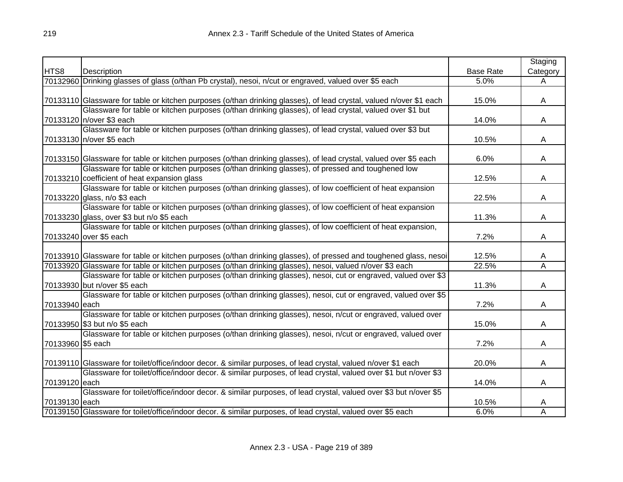|                   |                                                                                                                     |                  | Staging                      |
|-------------------|---------------------------------------------------------------------------------------------------------------------|------------------|------------------------------|
| HTS8              | Description                                                                                                         | <b>Base Rate</b> | Category                     |
|                   | 70132960 Drinking glasses of glass (o/than Pb crystal), nesoi, n/cut or engraved, valued over \$5 each              | 5.0%             | A                            |
|                   |                                                                                                                     |                  |                              |
|                   | 70133110 Glassware for table or kitchen purposes (o/than drinking glasses), of lead crystal, valued n/over \$1 each | 15.0%            | A                            |
|                   | Glassware for table or kitchen purposes (o/than drinking glasses), of lead crystal, valued over \$1 but             |                  |                              |
|                   | 70133120 n/over \$3 each                                                                                            | 14.0%            | A                            |
|                   | Glassware for table or kitchen purposes (o/than drinking glasses), of lead crystal, valued over \$3 but             |                  |                              |
|                   | 70133130 n/over \$5 each                                                                                            | 10.5%            | A                            |
|                   |                                                                                                                     |                  |                              |
|                   | 70133150 Glassware for table or kitchen purposes (o/than drinking glasses), of lead crystal, valued over \$5 each   | 6.0%             | A                            |
|                   | Glassware for table or kitchen purposes (o/than drinking glasses), of pressed and toughened low                     |                  |                              |
|                   | 70133210 coefficient of heat expansion glass                                                                        | 12.5%            | A                            |
|                   | Glassware for table or kitchen purposes (o/than drinking glasses), of low coefficient of heat expansion             |                  |                              |
|                   | 70133220 glass, n/o \$3 each                                                                                        | 22.5%            | A                            |
|                   | Glassware for table or kitchen purposes (o/than drinking glasses), of low coefficient of heat expansion             |                  |                              |
|                   | 70133230 glass, over \$3 but n/o \$5 each                                                                           | 11.3%            | A                            |
|                   | Glassware for table or kitchen purposes (o/than drinking glasses), of low coefficient of heat expansion,            |                  |                              |
|                   | 70133240 over \$5 each                                                                                              | 7.2%             | A                            |
|                   | 70133910 Glassware for table or kitchen purposes (o/than drinking glasses), of pressed and toughened glass, nesoi   | 12.5%            |                              |
|                   | 70133920 Glassware for table or kitchen purposes (o/than drinking glasses), nesoi, valued n/over \$3 each           | 22.5%            | A<br>$\overline{\mathsf{A}}$ |
|                   | Glassware for table or kitchen purposes (o/than drinking glasses), nesoi, cut or engraved, valued over \$3          |                  |                              |
|                   | 70133930 but n/over \$5 each                                                                                        | 11.3%            |                              |
|                   | Glassware for table or kitchen purposes (o/than drinking glasses), nesoi, cut or engraved, valued over \$5          |                  | A                            |
| 70133940 each     |                                                                                                                     | 7.2%             | A                            |
|                   | Glassware for table or kitchen purposes (o/than drinking glasses), nesoi, n/cut or engraved, valued over            |                  |                              |
|                   | 70133950 \$3 but n/o \$5 each                                                                                       | 15.0%            | A                            |
|                   | Glassware for table or kitchen purposes (o/than drinking glasses), nesoi, n/cut or engraved, valued over            |                  |                              |
| 70133960 \$5 each |                                                                                                                     | 7.2%             | A                            |
|                   |                                                                                                                     |                  |                              |
|                   | 70139110 Glassware for toilet/office/indoor decor. & similar purposes, of lead crystal, valued n/over \$1 each      | 20.0%            | A                            |
|                   | Glassware for toilet/office/indoor decor. & similar purposes, of lead crystal, valued over \$1 but n/over \$3       |                  |                              |
| 70139120 each     |                                                                                                                     | 14.0%            | A                            |
|                   | Glassware for toilet/office/indoor decor. & similar purposes, of lead crystal, valued over \$3 but n/over \$5       |                  |                              |
| 70139130 each     |                                                                                                                     | 10.5%            | A                            |
|                   | 70139150 Glassware for toilet/office/indoor decor. & similar purposes, of lead crystal, valued over \$5 each        | 6.0%             | A                            |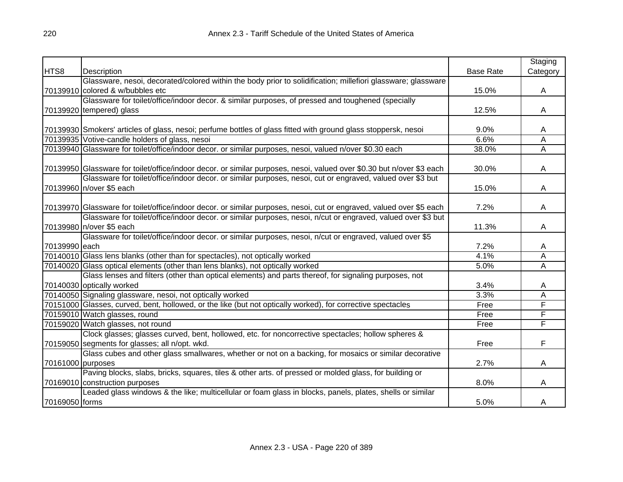|                   |                                                                                                                       |                  | Staging  |
|-------------------|-----------------------------------------------------------------------------------------------------------------------|------------------|----------|
| HTS8              | Description                                                                                                           | <b>Base Rate</b> | Category |
|                   | Glassware, nesoi, decorated/colored within the body prior to solidification; millefiori glassware; glassware          |                  |          |
|                   | 70139910 colored & w/bubbles etc                                                                                      | 15.0%            | A        |
|                   | Glassware for toilet/office/indoor decor. & similar purposes, of pressed and toughened (specially                     |                  |          |
|                   | 70139920 tempered) glass                                                                                              | 12.5%            | A        |
|                   |                                                                                                                       |                  |          |
|                   | 70139930 Smokers' articles of glass, nesoi; perfume bottles of glass fitted with ground glass stoppersk, nesoi        | 9.0%             | A        |
|                   | 70139935 Votive-candle holders of glass, nesoi                                                                        | 6.6%             | A        |
|                   | 70139940 Glassware for toilet/office/indoor decor. or similar purposes, nesoi, valued n/over \$0.30 each              | 38.0%            | Α        |
|                   |                                                                                                                       |                  |          |
|                   | 70139950 Glassware for toilet/office/indoor decor. or similar purposes, nesoi, valued over \$0.30 but n/over \$3 each | 30.0%            | A        |
|                   | Glassware for toilet/office/indoor decor. or similar purposes, nesoi, cut or engraved, valued over \$3 but            |                  |          |
|                   | 70139960 n/over \$5 each                                                                                              | 15.0%            | A        |
|                   |                                                                                                                       |                  |          |
|                   | 70139970 Glassware for toilet/office/indoor decor. or similar purposes, nesoi, cut or engraved, valued over \$5 each  | 7.2%             | A        |
|                   | Glassware for toilet/office/indoor decor. or similar purposes, nesoi, n/cut or engraved, valued over \$3 but          |                  |          |
|                   | 70139980 n/over \$5 each                                                                                              | 11.3%            | A        |
|                   | Glassware for toilet/office/indoor decor. or similar purposes, nesoi, n/cut or engraved, valued over \$5              |                  |          |
| 70139990 each     |                                                                                                                       | 7.2%             | A        |
|                   | 70140010 Glass lens blanks (other than for spectacles), not optically worked                                          | 4.1%             | Α        |
|                   | 70140020 Glass optical elements (other than lens blanks), not optically worked                                        | 5.0%             | A        |
|                   | Glass lenses and filters (other than optical elements) and parts thereof, for signaling purposes, not                 |                  |          |
|                   | 70140030 optically worked                                                                                             | 3.4%             | A        |
|                   | 70140050 Signaling glassware, nesoi, not optically worked                                                             | 3.3%             | Α        |
|                   | 70151000 Glasses, curved, bent, hollowed, or the like (but not optically worked), for corrective spectacles           | Free             | F        |
|                   | 70159010 Watch glasses, round                                                                                         | Free             | F        |
|                   | 70159020 Watch glasses, not round                                                                                     | Free             | F        |
|                   | Clock glasses; glasses curved, bent, hollowed, etc. for noncorrective spectacles; hollow spheres &                    |                  |          |
|                   | 70159050 segments for glasses; all n/opt. wkd.                                                                        | Free             | F        |
|                   | Glass cubes and other glass smallwares, whether or not on a backing, for mosaics or similar decorative                |                  |          |
| 70161000 purposes |                                                                                                                       | 2.7%             | A        |
|                   | Paving blocks, slabs, bricks, squares, tiles & other arts. of pressed or molded glass, for building or                |                  |          |
|                   | 70169010 construction purposes                                                                                        | 8.0%             | A        |
|                   | Leaded glass windows & the like; multicellular or foam glass in blocks, panels, plates, shells or similar             |                  |          |
| 70169050 forms    |                                                                                                                       | 5.0%             | A        |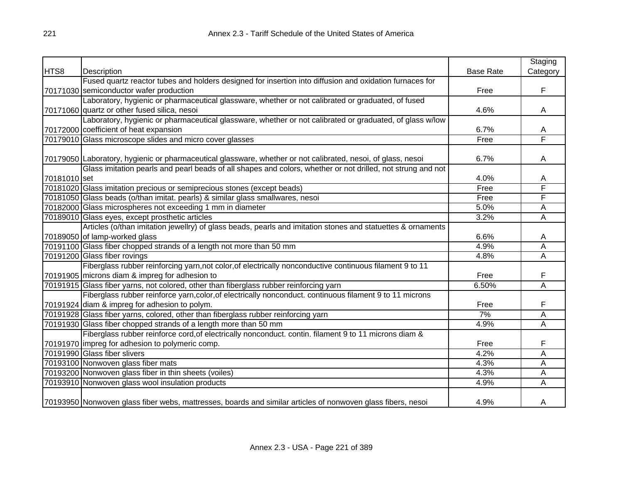|              |                                                                                                              |                  | Staging  |
|--------------|--------------------------------------------------------------------------------------------------------------|------------------|----------|
| HTS8         | Description                                                                                                  | <b>Base Rate</b> | Category |
|              | Fused quartz reactor tubes and holders designed for insertion into diffusion and oxidation furnaces for      |                  |          |
|              | 70171030 semiconductor wafer production                                                                      | Free             | F        |
|              | Laboratory, hygienic or pharmaceutical glassware, whether or not calibrated or graduated, of fused           |                  |          |
|              | 70171060 quartz or other fused silica, nesoi                                                                 | 4.6%             | A        |
|              | Laboratory, hygienic or pharmaceutical glassware, whether or not calibrated or graduated, of glass w/low     |                  |          |
|              | 70172000 coefficient of heat expansion                                                                       | 6.7%             | A        |
|              | 70179010 Glass microscope slides and micro cover glasses                                                     | Free             | F        |
|              |                                                                                                              |                  |          |
|              | 70179050 Laboratory, hygienic or pharmaceutical glassware, whether or not calibrated, nesoi, of glass, nesoi | 6.7%             | Α        |
|              | Glass imitation pearls and pearl beads of all shapes and colors, whether or not drilled, not strung and not  |                  |          |
| 70181010 set |                                                                                                              | 4.0%             | A        |
|              | 70181020 Glass imitation precious or semiprecious stones (except beads)                                      | Free             | F        |
|              | 70181050 Glass beads (o/than imitat. pearls) & similar glass smallwares, nesoi                               | Free             | F        |
|              | 70182000 Glass microspheres not exceeding 1 mm in diameter                                                   | 5.0%             | Α        |
|              | 70189010 Glass eyes, except prosthetic articles                                                              | 3.2%             | Α        |
|              | Articles (o/than imitation jewellry) of glass beads, pearls and imitation stones and statuettes & ornaments  |                  |          |
|              | 70189050 of lamp-worked glass                                                                                | 6.6%             | A        |
|              | 70191100 Glass fiber chopped strands of a length not more than 50 mm                                         | 4.9%             | Α        |
|              | 70191200 Glass fiber rovings                                                                                 | 4.8%             | Α        |
|              | Fiberglass rubber reinforcing yarn, not color, of electrically nonconductive continuous filament 9 to 11     |                  |          |
|              | 70191905 microns diam & impreg for adhesion to                                                               | Free             | F        |
|              | 70191915 Glass fiber yarns, not colored, other than fiberglass rubber reinforcing yarn                       | 6.50%            | Ā        |
|              | Fiberglass rubber reinforce yarn, color, of electrically nonconduct. continuous filament 9 to 11 microns     |                  |          |
|              | 70191924 diam & impreg for adhesion to polym.                                                                | Free             | F        |
|              | 70191928 Glass fiber yarns, colored, other than fiberglass rubber reinforcing yarn                           | 7%               | Α        |
|              | 70191930 Glass fiber chopped strands of a length more than 50 mm                                             | 4.9%             | Α        |
|              | Fiberglass rubber reinforce cord, of electrically nonconduct. contin. filament 9 to 11 microns diam &        |                  |          |
|              | 70191970 impreg for adhesion to polymeric comp.                                                              | Free             | F        |
|              | 70191990 Glass fiber slivers                                                                                 | 4.2%             | Α        |
|              | 70193100 Nonwoven glass fiber mats                                                                           | 4.3%             | A        |
|              | 70193200 Nonwoven glass fiber in thin sheets (voiles)                                                        | 4.3%             | Α        |
|              | 70193910 Nonwoven glass wool insulation products                                                             | 4.9%             | A        |
|              | 70193950 Nonwoven glass fiber webs, mattresses, boards and similar articles of nonwoven glass fibers, nesoi  | 4.9%             | A        |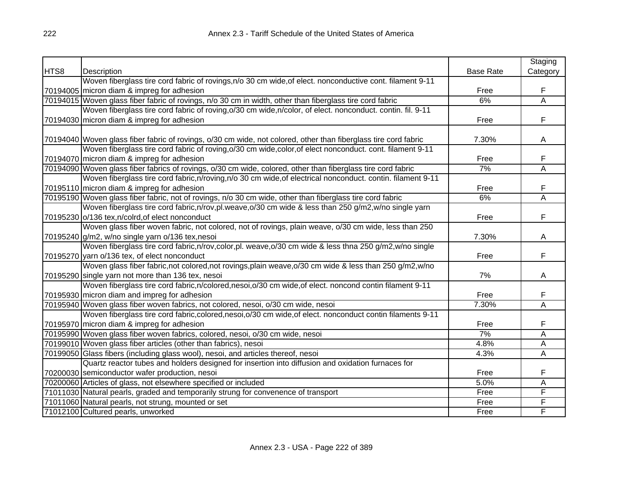|      |                                                                                                                 |                  | Staging  |
|------|-----------------------------------------------------------------------------------------------------------------|------------------|----------|
| HTS8 | Description                                                                                                     | <b>Base Rate</b> | Category |
|      | Woven fiberglass tire cord fabric of rovings, n/o 30 cm wide, of elect. nonconductive cont. filament 9-11       |                  |          |
|      | 70194005 micron diam & impreg for adhesion                                                                      | Free             | F        |
|      | 70194015 Woven glass fiber fabric of rovings, n/o 30 cm in width, other than fiberglass tire cord fabric        | 6%               | Ā        |
|      | Woven fiberglass tire cord fabric of roving, o/30 cm wide, n/color, of elect. nonconduct. contin. fil. 9-11     |                  |          |
|      | 70194030 micron diam & impreg for adhesion                                                                      | Free             | F        |
|      |                                                                                                                 |                  |          |
|      | 70194040 Woven glass fiber fabric of rovings, o/30 cm wide, not colored, other than fiberglass tire cord fabric | 7.30%            | A        |
|      | Woven fiberglass tire cord fabric of roving, o/30 cm wide, color, of elect nonconduct. cont. filament 9-11      |                  |          |
|      | 70194070 micron diam & impreg for adhesion                                                                      | Free             | F        |
|      | 70194090 Woven glass fiber fabrics of rovings, o/30 cm wide, colored, other than fiberglass tire cord fabric    | 7%               | Ā        |
|      | Woven fiberglass tire cord fabric, n/roving, n/o 30 cm wide, of electrical nonconduct. contin. filament 9-11    |                  |          |
|      | 70195110 micron diam & impreg for adhesion                                                                      | Free             | F        |
|      | 70195190 Woven glass fiber fabric, not of rovings, n/o 30 cm wide, other than fiberglass tire cord fabric       | 6%               | Ā        |
|      | Woven fiberglass tire cord fabric, n/rov, pl. weave, o/30 cm wide & less than 250 g/m2, w/no single yarn        |                  |          |
|      | 70195230 o/136 tex, n/colrd, of elect nonconduct                                                                | Free             | F        |
|      | Woven glass fiber woven fabric, not colored, not of rovings, plain weave, o/30 cm wide, less than 250           |                  |          |
|      | 70195240 g/m2, w/no single yarn o/136 tex, nesoi                                                                | 7.30%            | Α        |
|      | Woven fiberglass tire cord fabric, n/rov, color, pl. weave, o/30 cm wide & less thna 250 g/m2, w/no single      |                  |          |
|      | 70195270 yarn o/136 tex, of elect nonconduct                                                                    | Free             | F        |
|      | Woven glass fiber fabric, not colored, not rovings, plain weave, o/30 cm wide & less than 250 g/m2, w/no        |                  |          |
|      | 70195290 single yarn not more than 136 tex, nesoi                                                               | 7%               | A        |
|      | Woven fiberglass tire cord fabric, n/colored, nesoi, o/30 cm wide, of elect. noncond contin filament 9-11       |                  |          |
|      | 70195930 micron diam and impreg for adhesion                                                                    | Free             | F        |
|      | 70195940 Woven glass fiber woven fabrics, not colored, nesoi, o/30 cm wide, nesoi                               | 7.30%            | Ā        |
|      | Woven fiberglass tire cord fabric, colored, nesoi, o/30 cm wide, of elect. nonconduct contin filaments 9-11     |                  |          |
|      | 70195970 micron diam & impreg for adhesion                                                                      | Free             | F        |
|      | 70195990 Woven glass fiber woven fabrics, colored, nesoi, o/30 cm wide, nesoi                                   | 7%               | A        |
|      | 70199010 Woven glass fiber articles (other than fabrics), nesoi                                                 | 4.8%             | А        |
|      | 70199050 Glass fibers (including glass wool), nesoi, and articles thereof, nesoi                                | 4.3%             | А        |
|      | Quartz reactor tubes and holders designed for insertion into diffusion and oxidation furnaces for               |                  |          |
|      | 70200030 semiconductor wafer production, nesoi                                                                  | Free             | F        |
|      | 70200060 Articles of glass, not elsewhere specified or included                                                 | 5.0%             | Α        |
|      | 71011030 Natural pearls, graded and temporarily strung for convenence of transport                              | Free             | F        |
|      | 71011060 Natural pearls, not strung, mounted or set                                                             | Free             | F        |
|      | 71012100 Cultured pearls, unworked                                                                              | Free             | F        |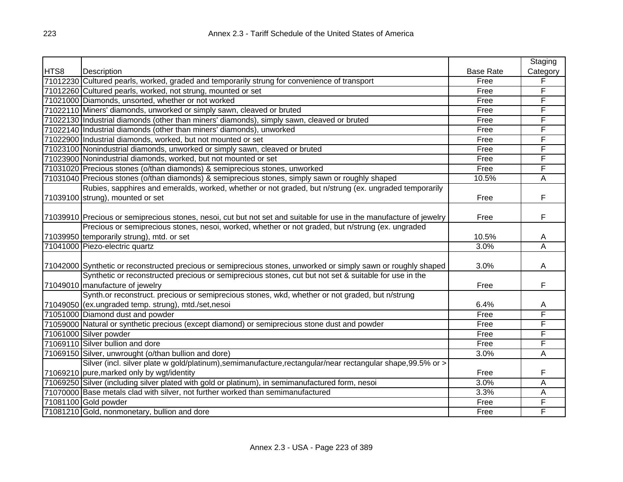|      |                                                                                                                     |                  | Staging        |
|------|---------------------------------------------------------------------------------------------------------------------|------------------|----------------|
| HTS8 | Description                                                                                                         | <b>Base Rate</b> | Category       |
|      | 71012230 Cultured pearls, worked, graded and temporarily strung for convenience of transport                        | Free             | F              |
|      | 71012260 Cultured pearls, worked, not strung, mounted or set                                                        | Free             | F              |
|      | 71021000 Diamonds, unsorted, whether or not worked                                                                  | Free             | F              |
|      | 71022110 Miners' diamonds, unworked or simply sawn, cleaved or bruted                                               | Free             | F              |
|      | 71022130 Industrial diamonds (other than miners' diamonds), simply sawn, cleaved or bruted                          | Free             | F              |
|      | 71022140 Industrial diamonds (other than miners' diamonds), unworked                                                | Free             | F              |
|      | 71022900 Industrial diamonds, worked, but not mounted or set                                                        | Free             | F              |
|      | 71023100 Nonindustrial diamonds, unworked or simply sawn, cleaved or bruted                                         | Free             | F              |
|      | 71023900 Nonindustrial diamonds, worked, but not mounted or set                                                     | Free             | F              |
|      | 71031020 Precious stones (o/than diamonds) & semiprecious stones, unworked                                          | Free             | F              |
|      | 71031040 Precious stones (o/than diamonds) & semiprecious stones, simply sawn or roughly shaped                     | 10.5%            | A              |
|      | Rubies, sapphires and emeralds, worked, whether or not graded, but n/strung (ex. ungraded temporarily               |                  |                |
|      | 71039100 strung), mounted or set                                                                                    | Free             | F              |
|      |                                                                                                                     |                  |                |
|      | 71039910 Precious or semiprecious stones, nesoi, cut but not set and suitable for use in the manufacture of jewelry | Free             | F              |
|      | Precious or semiprecious stones, nesoi, worked, whether or not graded, but n/strung (ex. ungraded                   |                  |                |
|      | 71039950 temporarily strung), mtd. or set                                                                           | 10.5%            | A              |
|      | 71041000 Piezo-electric quartz                                                                                      | 3.0%             | $\overline{A}$ |
|      |                                                                                                                     |                  |                |
|      | 71042000 Synthetic or reconstructed precious or semiprecious stones, unworked or simply sawn or roughly shaped      | 3.0%             | A              |
|      | Synthetic or reconstructed precious or semiprecious stones, cut but not set & suitable for use in the               |                  |                |
|      | 71049010 manufacture of jewelry                                                                                     | Free             | F              |
|      | Synth.or reconstruct. precious or semiprecious stones, wkd, whether or not graded, but n/strung                     |                  |                |
|      | 71049050 (ex.ungraded temp. strung), mtd./set,nesoi                                                                 | 6.4%             | A              |
|      | 71051000 Diamond dust and powder                                                                                    | Free             | F              |
|      | 71059000 Natural or synthetic precious (except diamond) or semiprecious stone dust and powder                       | Free             | F              |
|      | 71061000 Silver powder                                                                                              | Free             | F              |
|      | 71069110 Silver bullion and dore                                                                                    | Free             | F              |
|      | 71069150 Silver, unwrought (o/than bullion and dore)                                                                | 3.0%             | A              |
|      | Silver (incl. silver plate w gold/platinum), semimanufacture, rectangular/near rectangular shape, 99.5% or >        |                  |                |
|      | 71069210 pure, marked only by wgt/identity                                                                          | Free             | F              |
|      | 71069250 Silver (including silver plated with gold or platinum), in semimanufactured form, nesoi                    | 3.0%             | Α              |
|      | 71070000 Base metals clad with silver, not further worked than semimanufactured                                     | 3.3%             | A              |
|      | 71081100 Gold powder                                                                                                | Free             | F              |
|      | 71081210 Gold, nonmonetary, bullion and dore                                                                        | Free             | F              |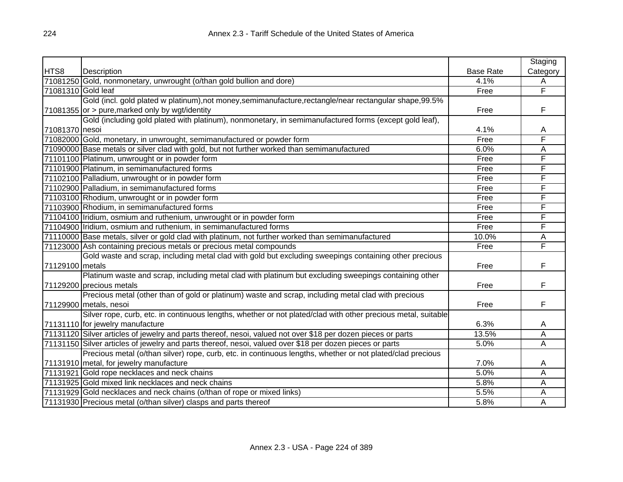|                    |                                                                                                               |                  | Staging  |
|--------------------|---------------------------------------------------------------------------------------------------------------|------------------|----------|
| HTS8               | Description                                                                                                   | <b>Base Rate</b> | Category |
|                    | 71081250 Gold, nonmonetary, unwrought (o/than gold bullion and dore)                                          | 4.1%             | Α        |
| 71081310 Gold leaf |                                                                                                               | Free             | F        |
|                    | Gold (incl. gold plated w platinum),not money,semimanufacture,rectangle/near rectangular shape,99.5%          |                  |          |
|                    | $71081355$ or $>$ pure, marked only by wgt/identity                                                           | Free             | F        |
|                    | Gold (including gold plated with platinum), nonmonetary, in semimanufactured forms (except gold leaf),        |                  |          |
| 71081370 nesoi     |                                                                                                               | 4.1%             | A        |
|                    | 71082000 Gold, monetary, in unwrought, semimanufactured or powder form                                        | Free             | F        |
|                    | 71090000 Base metals or silver clad with gold, but not further worked than semimanufactured                   | 6.0%             | Α        |
|                    | 71101100 Platinum, unwrought or in powder form                                                                | Free             | F        |
|                    | 71101900 Platinum, in semimanufactured forms                                                                  | Free             | F        |
|                    | 71102100 Palladium, unwrought or in powder form                                                               | Free             | F        |
|                    | 71102900 Palladium, in semimanufactured forms                                                                 | Free             | F        |
|                    | 71103100 Rhodium, unwrought or in powder form                                                                 | Free             | F        |
|                    | 71103900 Rhodium, in semimanufactured forms                                                                   | Free             | F        |
|                    | 71104100 Iridium, osmium and ruthenium, unwrought or in powder form                                           | Free             | F        |
|                    | 71104900 Iridium, osmium and ruthenium, in semimanufactured forms                                             | Free             | F        |
|                    | 71110000 Base metals, silver or gold clad with platinum, not further worked than semimanufactured             | 10.0%            | Α        |
|                    | 71123000 Ash containing precious metals or precious metal compounds                                           | Free             | F        |
|                    | Gold waste and scrap, including metal clad with gold but excluding sweepings containing other precious        |                  |          |
| 71129100 metals    |                                                                                                               | Free             | F        |
|                    | Platinum waste and scrap, including metal clad with platinum but excluding sweepings containing other         |                  |          |
|                    | 71129200 precious metals                                                                                      | Free             | F        |
|                    | Precious metal (other than of gold or platinum) waste and scrap, including metal clad with precious           |                  |          |
|                    | 71129900 metals, nesoi                                                                                        | Free             | F        |
|                    | Silver rope, curb, etc. in continuous lengths, whether or not plated/clad with other precious metal, suitable |                  |          |
|                    | 71131110 for jewelry manufacture                                                                              | 6.3%             | A        |
|                    | 71131120 Silver articles of jewelry and parts thereof, nesoi, valued not over \$18 per dozen pieces or parts  | 13.5%            | Α        |
|                    | 71131150 Silver articles of jewelry and parts thereof, nesoi, valued over \$18 per dozen pieces or parts      | 5.0%             | Ā        |
|                    | Precious metal (o/than silver) rope, curb, etc. in continuous lengths, whether or not plated/clad precious    |                  |          |
|                    | 71131910 metal, for jewelry manufacture                                                                       | 7.0%             | A        |
|                    | 71131921 Gold rope necklaces and neck chains                                                                  | 5.0%             | Α        |
|                    | 71131925 Gold mixed link necklaces and neck chains                                                            | 5.8%             | A        |
|                    | 71131929 Gold necklaces and neck chains (o/than of rope or mixed links)                                       | 5.5%             | А        |
|                    | 71131930 Precious metal (o/than silver) clasps and parts thereof                                              | 5.8%             | A        |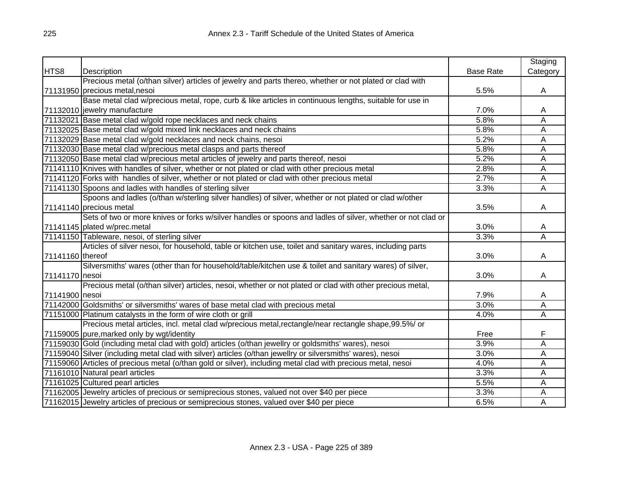|                  |                                                                                                              |                  | Staging                 |
|------------------|--------------------------------------------------------------------------------------------------------------|------------------|-------------------------|
| HTS8             | Description                                                                                                  | <b>Base Rate</b> | Category                |
|                  | Precious metal (o/than silver) articles of jewelry and parts thereo, whether or not plated or clad with      |                  |                         |
|                  | 71131950 precious metal, nesoi                                                                               | 5.5%             | A                       |
|                  | Base metal clad w/precious metal, rope, curb & like articles in continuous lengths, suitable for use in      |                  |                         |
|                  | 71132010 jewelry manufacture                                                                                 | 7.0%             | A                       |
|                  | 71132021 Base metal clad w/gold rope necklaces and neck chains                                               | 5.8%             | Α                       |
|                  | 71132025 Base metal clad w/gold mixed link necklaces and neck chains                                         | 5.8%             | A                       |
|                  | 71132029 Base metal clad w/gold necklaces and neck chains, nesoi                                             | 5.2%             | Α                       |
|                  | 71132030 Base metal clad w/precious metal clasps and parts thereof                                           | 5.8%             | Α                       |
|                  | 71132050 Base metal clad w/precious metal articles of jewelry and parts thereof, nesoi                       | 5.2%             | Α                       |
|                  | 71141110 Knives with handles of silver, whether or not plated or clad with other precious metal              | 2.8%             | Α                       |
|                  | 71141120 Forks with handles of silver, whether or not plated or clad with other precious metal               | 2.7%             | A                       |
|                  | 71141130 Spoons and ladles with handles of sterling silver                                                   | 3.3%             | A                       |
|                  | Spoons and ladles (o/than w/sterling silver handles) of silver, whether or not plated or clad w/other        |                  |                         |
|                  | 71141140 precious metal                                                                                      | 3.5%             | A                       |
|                  | Sets of two or more knives or forks w/silver handles or spoons and ladles of silver, whether or not clad or  |                  |                         |
|                  | 71141145 plated w/prec.metal                                                                                 | 3.0%             | A                       |
|                  | 71141150 Tableware, nesoi, of sterling silver                                                                | 3.3%             | A                       |
|                  | Articles of silver nesoi, for household, table or kitchen use, toilet and sanitary wares, including parts    |                  |                         |
| 71141160 thereof |                                                                                                              | 3.0%             | A                       |
|                  | Silversmiths' wares (other than for household/table/kitchen use & toilet and sanitary wares) of silver,      |                  |                         |
| 71141170 nesoi   |                                                                                                              | 3.0%             | A                       |
|                  | Precious metal (o/than silver) articles, nesoi, whether or not plated or clad with other precious metal,     |                  |                         |
| 71141900 nesoi   |                                                                                                              | 7.9%             | A                       |
|                  | 71142000 Goldsmiths' or silversmiths' wares of base metal clad with precious metal                           | 3.0%             | A                       |
|                  | 71151000 Platinum catalysts in the form of wire cloth or grill                                               | 4.0%             | $\overline{\mathsf{A}}$ |
|                  | Precious metal articles, incl. metal clad w/precious metal, rectangle/near rectangle shape, 99.5%/ or        |                  |                         |
|                  | 71159005 pure, marked only by wgt/identity                                                                   | Free             | F                       |
|                  | 71159030 Gold (including metal clad with gold) articles (o/than jewellry or goldsmiths' wares), nesoi        | 3.9%             | Ā                       |
|                  | 71159040 Silver (including metal clad with silver) articles (o/than jewellry or silversmiths' wares), nesoi  | 3.0%             | Α                       |
|                  | 71159060 Articles of precious metal (o/than gold or silver), including metal clad with precious metal, nesoi | 4.0%             | A                       |
|                  | 71161010 Natural pearl articles                                                                              | 3.3%             | А                       |
|                  | 71161025 Cultured pearl articles                                                                             | 5.5%             | A                       |
|                  | 71162005 Jewelry articles of precious or semiprecious stones, valued not over \$40 per piece                 | 3.3%             | Α                       |
|                  | 71162015 Jewelry articles of precious or semiprecious stones, valued over \$40 per piece                     | 6.5%             | A                       |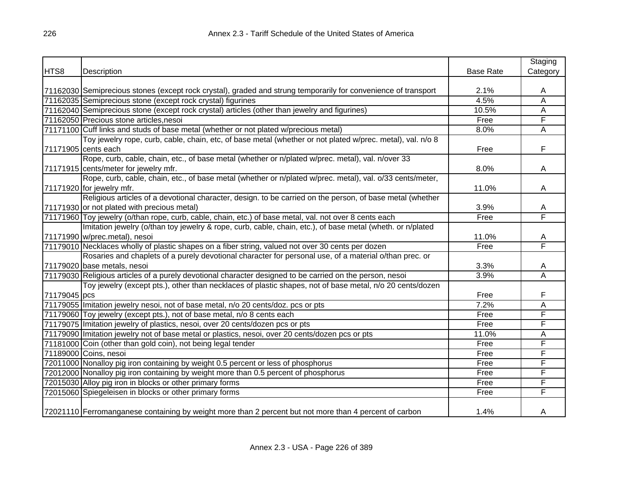|              |                                                                                                                |                  | Staging  |
|--------------|----------------------------------------------------------------------------------------------------------------|------------------|----------|
| HTS8         | Description                                                                                                    | <b>Base Rate</b> | Category |
|              |                                                                                                                |                  |          |
|              | 71162030 Semiprecious stones (except rock crystal), graded and strung temporarily for convenience of transport | 2.1%             | A        |
|              | 71162035 Semiprecious stone (except rock crystal) figurines                                                    | 4.5%             | A        |
|              | 71162040 Semiprecious stone (except rock crystal) articles (other than jewelry and figurines)                  | 10.5%            | A        |
|              | 71162050 Precious stone articles, nesoi                                                                        | Free             | F        |
|              | 71171100 Cuff links and studs of base metal (whether or not plated w/precious metal)                           | 8.0%             | A        |
|              | Toy jewelry rope, curb, cable, chain, etc, of base metal (whether or not plated w/prec. metal), val. n/o 8     |                  |          |
|              | 71171905 cents each                                                                                            | Free             | F.       |
|              | Rope, curb, cable, chain, etc., of base metal (whether or n/plated w/prec. metal), val. n/over 33              |                  |          |
|              | 71171915 cents/meter for jewelry mfr.                                                                          | 8.0%             | A        |
|              | Rope, curb, cable, chain, etc., of base metal (whether or n/plated w/prec. metal), val. o/33 cents/meter,      |                  |          |
|              | 71171920 for jewelry mfr.                                                                                      | 11.0%            | A        |
|              | Religious articles of a devotional character, design. to be carried on the person, of base metal (whether      |                  |          |
|              | 71171930 or not plated with precious metal)                                                                    | 3.9%             | A        |
|              | 71171960 Toy jewelry (o/than rope, curb, cable, chain, etc.) of base metal, val. not over 8 cents each         | Free             | F        |
|              | Imitation jewelry (o/than toy jewelry & rope, curb, cable, chain, etc.), of base metal (wheth. or n/plated     |                  |          |
|              | 71171990 w/prec.metal), nesoi                                                                                  | 11.0%            | A        |
|              | 71179010 Necklaces wholly of plastic shapes on a fiber string, valued not over 30 cents per dozen              | Free             | F        |
|              | Rosaries and chaplets of a purely devotional character for personal use, of a material o/than prec. or         |                  |          |
|              | 71179020 base metals, nesoi                                                                                    | 3.3%             | A        |
|              | 71179030 Religious articles of a purely devotional character designed to be carried on the person, nesoi       | 3.9%             | Ā        |
|              | Toy jewelry (except pts.), other than necklaces of plastic shapes, not of base metal, n/o 20 cents/dozen       |                  |          |
| 71179045 pcs |                                                                                                                | Free             | F        |
|              | 71179055 Imitation jewelry nesoi, not of base metal, n/o 20 cents/doz. pcs or pts                              | 7.2%             | Α        |
|              | 71179060 Toy jewelry (except pts.), not of base metal, n/o 8 cents each                                        | Free             | F        |
|              | 71179075 Imitation jewelry of plastics, nesoi, over 20 cents/dozen pcs or pts                                  | Free             | F        |
|              | 71179090 Imitation jewelry not of base metal or plastics, nesoi, over 20 cents/dozen pcs or pts                | 11.0%            | А        |
|              | 71181000 Coin (other than gold coin), not being legal tender                                                   | Free             | F        |
|              | 71189000 Coins, nesoi                                                                                          | Free             | F        |
|              | 72011000 Nonalloy pig iron containing by weight 0.5 percent or less of phosphorus                              | Free             | F        |
|              | 72012000 Nonalloy pig iron containing by weight more than 0.5 percent of phosphorus                            | Free             | F        |
|              | 72015030 Alloy pig iron in blocks or other primary forms                                                       | Free             | F        |
|              | 72015060 Spiegeleisen in blocks or other primary forms                                                         | Free             | F        |
|              |                                                                                                                |                  |          |
|              | 72021110 Ferromanganese containing by weight more than 2 percent but not more than 4 percent of carbon         | 1.4%             | A        |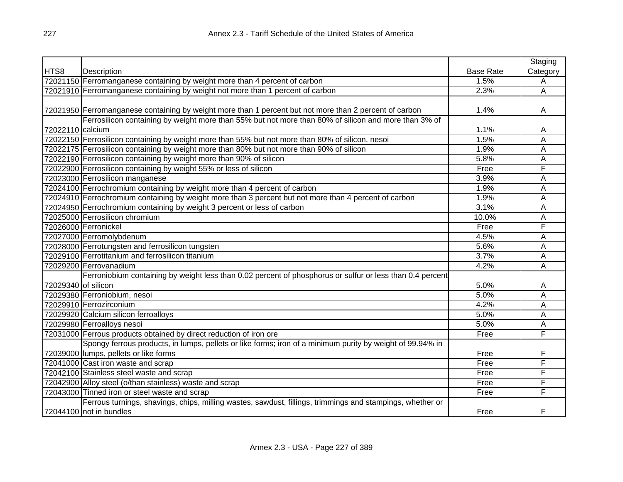|                     |                                                                                                           |                  | Staging  |
|---------------------|-----------------------------------------------------------------------------------------------------------|------------------|----------|
| HTS8                | Description                                                                                               | <b>Base Rate</b> | Category |
|                     | 72021150 Ferromanganese containing by weight more than 4 percent of carbon                                | 1.5%             | Α        |
|                     | 72021910 Ferromanganese containing by weight not more than 1 percent of carbon                            | 2.3%             | Α        |
|                     |                                                                                                           |                  |          |
|                     | 72021950 Ferromanganese containing by weight more than 1 percent but not more than 2 percent of carbon    | 1.4%             | A        |
|                     | Ferrosilicon containing by weight more than 55% but not more than 80% of silicon and more than 3% of      |                  |          |
| 72022110 calcium    |                                                                                                           | 1.1%             | A        |
|                     | 72022150 Ferrosilicon containing by weight more than 55% but not more than 80% of silicon, nesoi          | 1.5%             | Α        |
|                     | 72022175 Ferrosilicon containing by weight more than 80% but not more than 90% of silicon                 | 1.9%             | Α        |
|                     | 72022190 Ferrosilicon containing by weight more than 90% of silicon                                       | 5.8%             | Α        |
|                     | 72022900 Ferrosilicon containing by weight 55% or less of silicon                                         | Free             | F        |
|                     | 72023000 Ferrosilicon manganese                                                                           | 3.9%             | Α        |
|                     | 72024100 Ferrochromium containing by weight more than 4 percent of carbon                                 | 1.9%             | Ā        |
|                     | 72024910 Ferrochromium containing by weight more than 3 percent but not more than 4 percent of carbon     | 1.9%             | A        |
|                     | 72024950 Ferrochromium containing by weight 3 percent or less of carbon                                   | 3.1%             | Α        |
|                     | 72025000 Ferrosilicon chromium                                                                            | 10.0%            | Α        |
|                     | 72026000 Ferronickel                                                                                      | Free             | F        |
|                     | 72027000 Ferromolybdenum                                                                                  | 4.5%             | Α        |
|                     | 72028000 Ferrotungsten and ferrosilicon tungsten                                                          | 5.6%             | Α        |
|                     | 72029100 Ferrotitanium and ferrosilicon titanium                                                          | 3.7%             | Α        |
|                     | 72029200 Ferrovanadium                                                                                    | 4.2%             | Α        |
|                     | Ferroniobium containing by weight less than 0.02 percent of phosphorus or sulfur or less than 0.4 percent |                  |          |
| 72029340 of silicon |                                                                                                           | 5.0%             | A        |
|                     | 72029380 Ferroniobium, nesoi                                                                              | 5.0%             | Α        |
|                     | 72029910 Ferrozirconium                                                                                   | 4.2%             | Α        |
|                     | 72029920 Calcium silicon ferroalloys                                                                      | 5.0%             | Α        |
|                     | 72029980 Ferroalloys nesoi                                                                                | 5.0%             | Α        |
|                     | 72031000 Ferrous products obtained by direct reduction of iron ore                                        | Free             | F        |
|                     | Spongy ferrous products, in lumps, pellets or like forms; iron of a minimum purity by weight of 99.94% in |                  |          |
|                     | 72039000 lumps, pellets or like forms                                                                     | Free             | F        |
|                     | 72041000 Cast iron waste and scrap                                                                        | Free             | F        |
|                     | 72042100 Stainless steel waste and scrap                                                                  | Free             | F        |
|                     | 72042900 Alloy steel (o/than stainless) waste and scrap                                                   | Free             | F        |
|                     | 72043000 Tinned iron or steel waste and scrap                                                             | Free             | F        |
|                     | Ferrous turnings, shavings, chips, milling wastes, sawdust, fillings, trimmings and stampings, whether or |                  |          |
|                     | 72044100 not in bundles                                                                                   | Free             | F        |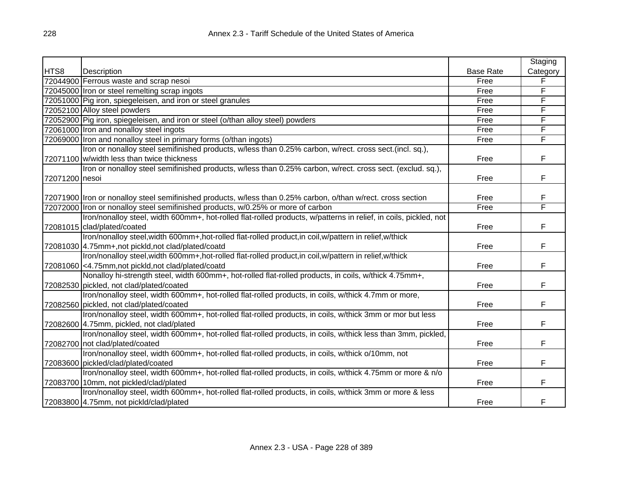|                |                                                                                                                  |                  | Staging  |
|----------------|------------------------------------------------------------------------------------------------------------------|------------------|----------|
| HTS8           | Description                                                                                                      | <b>Base Rate</b> | Category |
|                | 72044900 Ferrous waste and scrap nesoi                                                                           | Free             |          |
|                | 72045000 Iron or steel remelting scrap ingots                                                                    | Free             | F        |
|                | 72051000 Pig iron, spiegeleisen, and iron or steel granules                                                      | Free             | F        |
|                | 72052100 Alloy steel powders                                                                                     | Free             | F        |
|                | 72052900 Pig iron, spiegeleisen, and iron or steel (o/than alloy steel) powders                                  | Free             | F        |
|                | 72061000 Iron and nonalloy steel ingots                                                                          | Free             | F        |
|                | 72069000 Iron and nonalloy steel in primary forms (o/than ingots)                                                | Free             | F        |
|                | Iron or nonalloy steel semifinished products, w/less than 0.25% carbon, w/rect. cross sect. (incl. sq.),         |                  |          |
|                | 72071100 w/width less than twice thickness                                                                       | Free             | F        |
|                | Iron or nonalloy steel semifinished products, w/less than 0.25% carbon, w/rect. cross sect. (exclud. sq.),       |                  |          |
| 72071200 nesoi |                                                                                                                  | Free             | F        |
|                |                                                                                                                  |                  |          |
|                | 72071900 Iron or nonalloy steel semifinished products, w/less than 0.25% carbon, o/than w/rect. cross section    | Free             | F        |
|                | 72072000 Iron or nonalloy steel semifinished products, w/0.25% or more of carbon                                 | Free             | F        |
|                | Iron/nonalloy steel, width 600mm+, hot-rolled flat-rolled products, w/patterns in relief, in coils, pickled, not |                  |          |
|                | 72081015 clad/plated/coated                                                                                      | Free             | F        |
|                | Iron/nonalloy steel, width 600mm+, hot-rolled flat-rolled product, in coil, w/pattern in relief, w/thick         |                  |          |
|                | 72081030 4.75mm+, not pickld, not clad/plated/coatd                                                              | Free             | F        |
|                | Iron/nonalloy steel, width 600mm+, hot-rolled flat-rolled product, in coil, w/pattern in relief, w/thick         |                  |          |
|                | 72081060 <4.75mm, not pickld, not clad/plated/coatd                                                              | Free             | F        |
|                | Nonalloy hi-strength steel, width 600mm+, hot-rolled flat-rolled products, in coils, w/thick 4.75mm+,            |                  |          |
|                | 72082530 pickled, not clad/plated/coated                                                                         | Free             | F        |
|                | Iron/nonalloy steel, width 600mm+, hot-rolled flat-rolled products, in coils, w/thick 4.7mm or more,             |                  |          |
|                | 72082560 pickled, not clad/plated/coated                                                                         | Free             | F        |
|                | Iron/nonalloy steel, width 600mm+, hot-rolled flat-rolled products, in coils, w/thick 3mm or mor but less        |                  |          |
|                | 72082600 4.75mm, pickled, not clad/plated                                                                        | Free             | F        |
|                | Iron/nonalloy steel, width 600mm+, hot-rolled flat-rolled products, in coils, w/thick less than 3mm, pickled,    |                  |          |
|                | 72082700 not clad/plated/coated                                                                                  | Free             | F        |
|                | Iron/nonalloy steel, width 600mm+, hot-rolled flat-rolled products, in coils, w/thick o/10mm, not                |                  |          |
|                | 72083600 pickled/clad/plated/coated                                                                              | Free             | F        |
|                | Iron/nonalloy steel, width 600mm+, hot-rolled flat-rolled products, in coils, w/thick 4.75mm or more & n/o       |                  |          |
|                | 72083700 10mm, not pickled/clad/plated                                                                           | Free             | F        |
|                | Iron/nonalloy steel, width 600mm+, hot-rolled flat-rolled products, in coils, w/thick 3mm or more & less         |                  |          |
|                | 72083800 4.75mm, not pickld/clad/plated                                                                          | Free             | F        |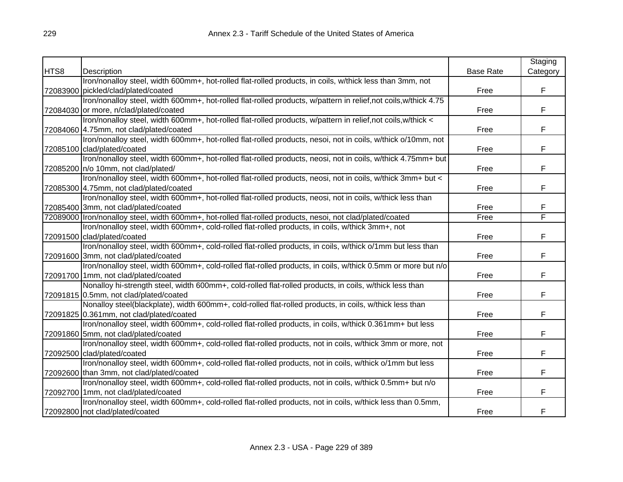|      |                                                                                                                |                  | Staging  |
|------|----------------------------------------------------------------------------------------------------------------|------------------|----------|
| HTS8 | Description                                                                                                    | <b>Base Rate</b> | Category |
|      | Iron/nonalloy steel, width 600mm+, hot-rolled flat-rolled products, in coils, w/thick less than 3mm, not       |                  |          |
|      | 72083900 pickled/clad/plated/coated                                                                            | Free             | F        |
|      | Iron/nonalloy steel, width 600mm+, hot-rolled flat-rolled products, w/pattern in relief,not coils,w/thick 4.75 |                  |          |
|      | 72084030 or more, n/clad/plated/coated                                                                         | Free             | F        |
|      | Iron/nonalloy steel, width 600mm+, hot-rolled flat-rolled products, w/pattern in relief,not coils,w/thick <    |                  |          |
|      | 72084060 4.75mm, not clad/plated/coated                                                                        | Free             | F        |
|      | Iron/nonalloy steel, width 600mm+, hot-rolled flat-rolled products, nesoi, not in coils, w/thick o/10mm, not   |                  |          |
|      | 72085100 clad/plated/coated                                                                                    | Free             | F        |
|      | Iron/nonalloy steel, width 600mm+, hot-rolled flat-rolled products, neosi, not in coils, w/thick 4.75mm+ but   |                  |          |
|      | 72085200 n/o 10mm, not clad/plated/                                                                            | Free             | F        |
|      | Iron/nonalloy steel, width 600mm+, hot-rolled flat-rolled products, neosi, not in coils, w/thick 3mm+ but <    |                  |          |
|      | 72085300 4.75mm, not clad/plated/coated                                                                        | Free             | F        |
|      | Iron/nonalloy steel, width 600mm+, hot-rolled flat-rolled products, neosi, not in coils, w/thick less than     |                  |          |
|      | 72085400 3mm, not clad/plated/coated                                                                           | Free             | F        |
|      | 72089000 Iron/nonalloy steel, width 600mm+, hot-rolled flat-rolled products, nesoi, not clad/plated/coated     | Free             | F        |
|      | Iron/nonalloy steel, width 600mm+, cold-rolled flat-rolled products, in coils, w/thick 3mm+, not               |                  |          |
|      | 72091500 clad/plated/coated                                                                                    | Free             | F        |
|      | Iron/nonalloy steel, width 600mm+, cold-rolled flat-rolled products, in coils, w/thick o/1mm but less than     |                  |          |
|      | 72091600 3mm, not clad/plated/coated                                                                           | Free             | F        |
|      | Iron/nonalloy steel, width 600mm+, cold-rolled flat-rolled products, in coils, w/thick 0.5mm or more but n/o   |                  |          |
|      | 72091700 1mm, not clad/plated/coated                                                                           | Free             | F        |
|      | Nonalloy hi-strength steel, width 600mm+, cold-rolled flat-rolled products, in coils, w/thick less than        |                  |          |
|      | 72091815 0.5mm, not clad/plated/coated                                                                         | Free             | F        |
|      | Nonalloy steel(blackplate), width 600mm+, cold-rolled flat-rolled products, in coils, w/thick less than        |                  |          |
|      | 72091825 0.361mm, not clad/plated/coated                                                                       | Free             | F        |
|      | Iron/nonalloy steel, width 600mm+, cold-rolled flat-rolled products, in coils, w/thick 0.361mm+ but less       |                  |          |
|      | 72091860 5mm, not clad/plated/coated                                                                           | Free             | F        |
|      | Iron/nonalloy steel, width 600mm+, cold-rolled flat-rolled products, not in coils, w/thick 3mm or more, not    |                  |          |
|      | 72092500 clad/plated/coated                                                                                    | Free             | F        |
|      | Iron/nonalloy steel, width 600mm+, cold-rolled flat-rolled products, not in coils, w/thick o/1mm but less      |                  |          |
|      | 72092600 than 3mm, not clad/plated/coated                                                                      | Free             | F        |
|      | Iron/nonalloy steel, width 600mm+, cold-rolled flat-rolled products, not in coils, w/thick 0.5mm+ but n/o      |                  |          |
|      | 72092700 1mm, not clad/plated/coated                                                                           | Free             | F        |
|      | Iron/nonalloy steel, width 600mm+, cold-rolled flat-rolled products, not in coils, w/thick less than 0.5mm,    |                  |          |
|      | 72092800 not clad/plated/coated                                                                                | Free             | F        |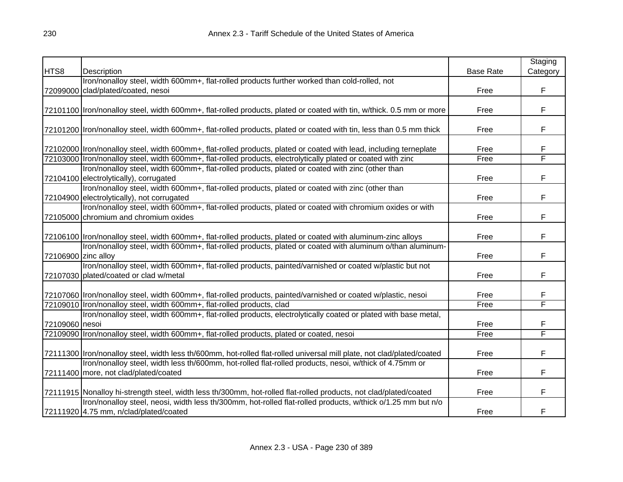|                     |                                                                                                                                                                                                                                  |                  | Staging  |
|---------------------|----------------------------------------------------------------------------------------------------------------------------------------------------------------------------------------------------------------------------------|------------------|----------|
| HTS8                | Description                                                                                                                                                                                                                      | <b>Base Rate</b> | Category |
|                     | Iron/nonalloy steel, width 600mm+, flat-rolled products further worked than cold-rolled, not                                                                                                                                     |                  |          |
|                     | 72099000 clad/plated/coated, nesoi                                                                                                                                                                                               | Free             | F        |
|                     |                                                                                                                                                                                                                                  |                  |          |
|                     | 72101100  Iron/nonalloy steel, width 600mm+, flat-rolled products, plated or coated with tin, w/thick. 0.5 mm or more                                                                                                            | Free             | F        |
|                     |                                                                                                                                                                                                                                  |                  |          |
|                     | 72101200  Iron/nonalloy steel, width 600mm+, flat-rolled products, plated or coated with tin, less than 0.5 mm thick                                                                                                             | Free             | F        |
|                     |                                                                                                                                                                                                                                  |                  |          |
|                     | 72102000  Iron/nonalloy steel, width 600mm+, flat-rolled products, plated or coated with lead, including terneplate                                                                                                              | Free             | F        |
|                     | 72103000  Iron/nonalloy steel, width 600mm+, flat-rolled products, electrolytically plated or coated with zinc                                                                                                                   | Free             | F        |
|                     | Iron/nonalloy steel, width 600mm+, flat-rolled products, plated or coated with zinc (other than                                                                                                                                  |                  |          |
|                     | 72104100 electrolytically), corrugated                                                                                                                                                                                           | Free             | F        |
|                     | Iron/nonalloy steel, width 600mm+, flat-rolled products, plated or coated with zinc (other than                                                                                                                                  |                  |          |
|                     | 72104900 electrolytically), not corrugated                                                                                                                                                                                       | Free             | F        |
|                     | Iron/nonalloy steel, width 600mm+, flat-rolled products, plated or coated with chromium oxides or with                                                                                                                           |                  |          |
|                     | 72105000 chromium and chromium oxides                                                                                                                                                                                            | Free             | F        |
|                     |                                                                                                                                                                                                                                  |                  |          |
|                     | 72106100  Iron/nonalloy steel, width 600mm+, flat-rolled products, plated or coated with aluminum-zinc alloys                                                                                                                    | Free             | F        |
|                     | Iron/nonalloy steel, width 600mm+, flat-rolled products, plated or coated with aluminum o/than aluminum-                                                                                                                         |                  |          |
| 72106900 zinc alloy |                                                                                                                                                                                                                                  | Free             | F        |
|                     | Iron/nonalloy steel, width 600mm+, flat-rolled products, painted/varnished or coated w/plastic but not                                                                                                                           |                  |          |
|                     | 72107030 plated/coated or clad w/metal                                                                                                                                                                                           | Free             | F        |
|                     |                                                                                                                                                                                                                                  |                  |          |
|                     | 72107060 Iron/nonalloy steel, width 600mm+, flat-rolled products, painted/varnished or coated w/plastic, nesoi                                                                                                                   | Free             | F        |
|                     | 72109010 Iron/nonalloy steel, width 600mm+, flat-rolled products, clad                                                                                                                                                           | Free             | F        |
|                     | Iron/nonalloy steel, width 600mm+, flat-rolled products, electrolytically coated or plated with base metal,                                                                                                                      |                  |          |
| 72109060 nesoi      |                                                                                                                                                                                                                                  | Free             | F<br>F   |
|                     | 72109090  Iron/nonalloy steel, width 600mm+, flat-rolled products, plated or coated, nesoi                                                                                                                                       | Free             |          |
|                     |                                                                                                                                                                                                                                  |                  |          |
|                     | 72111300 Iron/nonalloy steel, width less th/600mm, hot-rolled flat-rolled universal mill plate, not clad/plated/coated<br>Iron/nonalloy steel, width less th/600mm, hot-rolled flat-rolled products, nesoi, w/thick of 4.75mm or | Free             | F        |
|                     |                                                                                                                                                                                                                                  |                  | F        |
|                     | 72111400 more, not clad/plated/coated                                                                                                                                                                                            | Free             |          |
|                     | 72111915 Nonalloy hi-strength steel, width less th/300mm, hot-rolled flat-rolled products, not clad/plated/coated                                                                                                                | Free             | F        |
|                     | Iron/nonalloy steel, neosi, width less th/300mm, hot-rolled flat-rolled products, w/thick o/1.25 mm but n/o                                                                                                                      |                  |          |
|                     | 72111920 4.75 mm, n/clad/plated/coated                                                                                                                                                                                           | Free             | F        |
|                     |                                                                                                                                                                                                                                  |                  |          |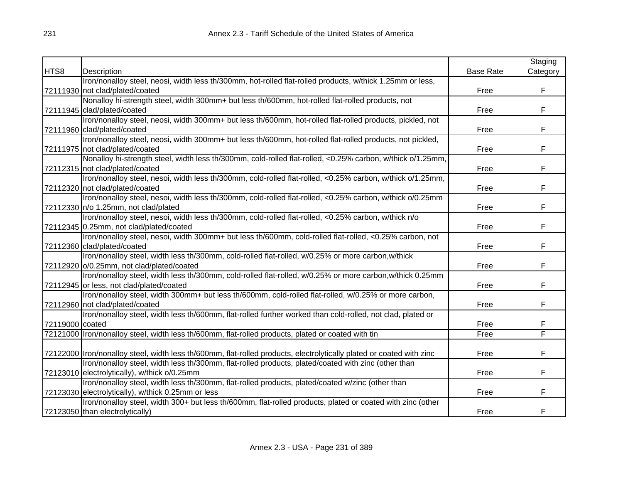|                 |                                                                                                                       |                  | Staging  |
|-----------------|-----------------------------------------------------------------------------------------------------------------------|------------------|----------|
| HTS8            | Description                                                                                                           | <b>Base Rate</b> | Category |
|                 | Iron/nonalloy steel, neosi, width less th/300mm, hot-rolled flat-rolled products, w/thick 1.25mm or less,             |                  |          |
|                 | 72111930 not clad/plated/coated                                                                                       | Free             | F        |
|                 | Nonalloy hi-strength steel, width 300mm+ but less th/600mm, hot-rolled flat-rolled products, not                      |                  |          |
|                 | 72111945 clad/plated/coated                                                                                           | Free             | F        |
|                 | Iron/nonalloy steel, neosi, width 300mm+ but less th/600mm, hot-rolled flat-rolled products, pickled, not             |                  |          |
|                 | 72111960 clad/plated/coated                                                                                           | Free             | F        |
|                 | Iron/nonalloy steel, neosi, width 300mm+ but less th/600mm, hot-rolled flat-rolled products, not pickled,             |                  |          |
|                 | 72111975 not clad/plated/coated                                                                                       | Free             | F        |
|                 | Nonalloy hi-strength steel, width less th/300mm, cold-rolled flat-rolled, <0.25% carbon, w/thick o/1.25mm,            |                  |          |
|                 | 72112315 not clad/plated/coated                                                                                       | Free             | F        |
|                 | Iron/nonalloy steel, nesoi, width less th/300mm, cold-rolled flat-rolled, <0.25% carbon, w/thick o/1.25mm,            |                  |          |
|                 | 72112320 not clad/plated/coated                                                                                       | Free             | F        |
|                 | Iron/nonalloy steel, nesoi, width less th/300mm, cold-rolled flat-rolled, <0.25% carbon, w/thick o/0.25mm             |                  |          |
|                 | 72112330 n/o 1.25mm, not clad/plated                                                                                  | Free             | F        |
|                 | Iron/nonalloy steel, nesoi, width less th/300mm, cold-rolled flat-rolled, <0.25% carbon, w/thick n/o                  |                  |          |
|                 | 72112345 0.25mm, not clad/plated/coated                                                                               | Free             | F        |
|                 | Iron/nonalloy steel, nesoi, width 300mm+ but less th/600mm, cold-rolled flat-rolled, <0.25% carbon, not               |                  |          |
|                 | 72112360 clad/plated/coated                                                                                           | Free             | F        |
|                 | Iron/nonalloy steel, width less th/300mm, cold-rolled flat-rolled, w/0.25% or more carbon, w/thick                    |                  |          |
|                 | 72112920 o/0.25mm, not clad/plated/coated                                                                             | Free             | F        |
|                 | Iron/nonalloy steel, width less th/300mm, cold-rolled flat-rolled, w/0.25% or more carbon, w/thick 0.25mm             |                  |          |
|                 | 72112945 or less, not clad/plated/coated                                                                              | Free             | F        |
|                 | Iron/nonalloy steel, width 300mm+ but less th/600mm, cold-rolled flat-rolled, w/0.25% or more carbon,                 |                  |          |
|                 | 72112960 not clad/plated/coated                                                                                       | Free             | F        |
|                 | Iron/nonalloy steel, width less th/600mm, flat-rolled further worked than cold-rolled, not clad, plated or            |                  |          |
| 72119000 coated |                                                                                                                       | Free             | F        |
|                 | 72121000   Iron/nonalloy steel, width less th/600mm, flat-rolled products, plated or coated with tin                  | Free             | F        |
|                 |                                                                                                                       |                  |          |
|                 | 72122000  Iron/nonalloy steel, width less th/600mm, flat-rolled products, electrolytically plated or coated with zinc | Free             | F        |
|                 | Iron/nonalloy steel, width less th/300mm, flat-rolled products, plated/coated with zinc (other than                   |                  |          |
|                 | 72123010 electrolytically), w/thick o/0.25mm                                                                          | Free             | F        |
|                 | Iron/nonalloy steel, width less th/300mm, flat-rolled products, plated/coated w/zinc (other than                      |                  |          |
|                 | 72123030 electrolytically), w/thick 0.25mm or less                                                                    | Free             | F        |
|                 | Iron/nonalloy steel, width 300+ but less th/600mm, flat-rolled products, plated or coated with zinc (other            |                  |          |
|                 | 72123050 than electrolytically)                                                                                       | Free             | F        |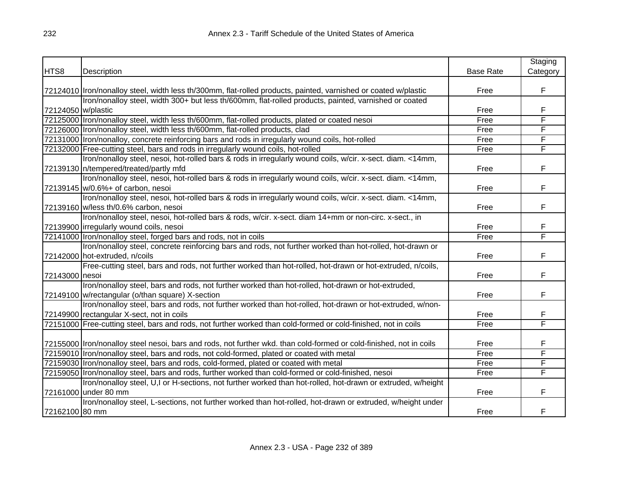|                    |                                                                                                                     |                  | Staging  |
|--------------------|---------------------------------------------------------------------------------------------------------------------|------------------|----------|
| HTS8               | Description                                                                                                         | <b>Base Rate</b> | Category |
|                    |                                                                                                                     |                  |          |
|                    | 72124010   Iron/nonalloy steel, width less th/300mm, flat-rolled products, painted, varnished or coated w/plastic   | Free             | F        |
|                    | Iron/nonalloy steel, width 300+ but less th/600mm, flat-rolled products, painted, varnished or coated               |                  |          |
| 72124050 w/plastic |                                                                                                                     | Free             | F        |
|                    | 72125000  Iron/nonalloy steel, width less th/600mm, flat-rolled products, plated or coated nesoi                    | Free             | F        |
|                    | 72126000 Iron/nonalloy steel, width less th/600mm, flat-rolled products, clad                                       | Free             | F        |
|                    | 72131000 Iron/nonalloy, concrete reinforcing bars and rods in irregularly wound coils, hot-rolled                   | Free             | F        |
|                    | 72132000 Free-cutting steel, bars and rods in irregularly wound coils, hot-rolled                                   | Free             | F        |
|                    | Iron/nonalloy steel, nesoi, hot-rolled bars & rods in irregularly wound coils, w/cir. x-sect. diam. <14mm,          |                  |          |
|                    | 72139130   n/tempered/treated/partly mfd                                                                            | Free             | F        |
|                    | Iron/nonalloy steel, nesoi, hot-rolled bars & rods in irregularly wound coils, w/cir. x-sect. diam. <14mm,          |                  |          |
|                    | 72139145 w/0.6%+ of carbon, nesoi                                                                                   | Free             | F        |
|                    | Iron/nonalloy steel, nesoi, hot-rolled bars & rods in irregularly wound coils, w/cir. x-sect. diam. <14mm,          |                  |          |
|                    | 72139160 w/less th/0.6% carbon, nesoi                                                                               | Free             | F        |
|                    | Iron/nonalloy steel, nesoi, hot-rolled bars & rods, w/cir. x-sect. diam 14+mm or non-circ. x-sect., in              |                  |          |
|                    | 72139900 irregularly wound coils, nesoi                                                                             | Free             | F        |
|                    | 72141000 Iron/nonalloy steel, forged bars and rods, not in coils                                                    | Free             | F        |
|                    | Iron/nonalloy steel, concrete reinforcing bars and rods, not further worked than hot-rolled, hot-drawn or           |                  |          |
|                    | 72142000 hot-extruded, n/coils                                                                                      | Free             | F        |
|                    | Free-cutting steel, bars and rods, not further worked than hot-rolled, hot-drawn or hot-extruded, n/coils,          |                  |          |
| 72143000 nesoi     |                                                                                                                     | Free             | F        |
|                    | Iron/nonalloy steel, bars and rods, not further worked than hot-rolled, hot-drawn or hot-extruded,                  |                  |          |
|                    | 72149100 w/rectangular (o/than square) X-section                                                                    | Free             | F        |
|                    | Iron/nonalloy steel, bars and rods, not further worked than hot-rolled, hot-drawn or hot-extruded, w/non-           |                  |          |
|                    | 72149900 rectangular X-sect, not in coils                                                                           | Free             | F        |
|                    | 72151000 Free-cutting steel, bars and rods, not further worked than cold-formed or cold-finished, not in coils      | Free             | F        |
|                    |                                                                                                                     |                  |          |
|                    | 72155000 Iron/nonalloy steel nesoi, bars and rods, not further wkd. than cold-formed or cold-finished, not in coils | Free             | F        |
|                    | 72159010  Iron/nonalloy steel, bars and rods, not cold-formed, plated or coated with metal                          | Free             | F        |
|                    | 72159030   Iron/nonalloy steel, bars and rods, cold-formed, plated or coated with metal                             | Free             | F        |
|                    | 72159050 Iron/nonalloy steel, bars and rods, further worked than cold-formed or cold-finished, nesoi                | Free             | F        |
|                    | Iron/nonalloy steel, U,I or H-sections, not further worked than hot-rolled, hot-drawn or extruded, w/height         |                  |          |
|                    | 72161000 under 80 mm                                                                                                | Free             | F        |
|                    | Iron/nonalloy steel, L-sections, not further worked than hot-rolled, hot-drawn or extruded, w/height under          |                  |          |
| 72162100 80 mm     |                                                                                                                     | Free             | F        |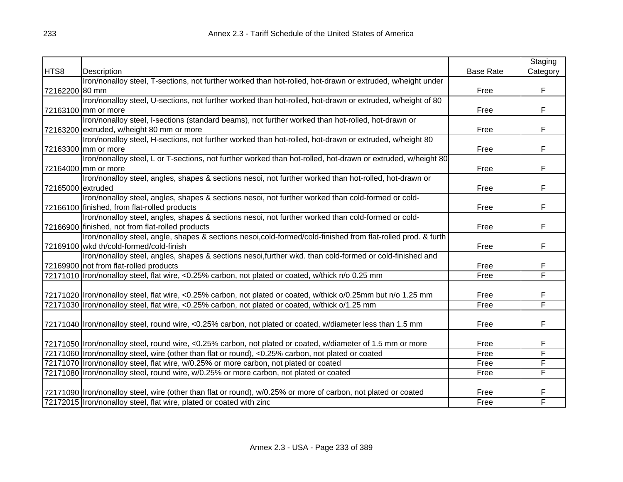|                   |                                                                                                                 |                  | Staging  |
|-------------------|-----------------------------------------------------------------------------------------------------------------|------------------|----------|
| HTS8              | Description                                                                                                     | <b>Base Rate</b> | Category |
|                   | Iron/nonalloy steel, T-sections, not further worked than hot-rolled, hot-drawn or extruded, w/height under      |                  |          |
| 72162200 80 mm    |                                                                                                                 | Free             | F        |
|                   | Iron/nonalloy steel, U-sections, not further worked than hot-rolled, hot-drawn or extruded, w/height of 80      |                  |          |
|                   | 72163100 mm or more                                                                                             | Free             | F        |
|                   | Iron/nonalloy steel, I-sections (standard beams), not further worked than hot-rolled, hot-drawn or              |                  |          |
|                   | 72163200 extruded, w/height 80 mm or more                                                                       | Free             | F        |
|                   | Iron/nonalloy steel, H-sections, not further worked than hot-rolled, hot-drawn or extruded, w/height 80         |                  |          |
|                   | 72163300 mm or more                                                                                             | Free             | F        |
|                   | Iron/nonalloy steel, L or T-sections, not further worked than hot-rolled, hot-drawn or extruded, w/height 80    |                  |          |
|                   | 72164000 mm or more                                                                                             | Free             | F        |
|                   | Iron/nonalloy steel, angles, shapes & sections nesoi, not further worked than hot-rolled, hot-drawn or          |                  |          |
| 72165000 extruded |                                                                                                                 | Free             | F        |
|                   | Iron/nonalloy steel, angles, shapes & sections nesoi, not further worked than cold-formed or cold-              |                  |          |
|                   | 72166100 finished, from flat-rolled products                                                                    | Free             | F        |
|                   | Iron/nonalloy steel, angles, shapes & sections nesoi, not further worked than cold-formed or cold-              |                  |          |
|                   | 72166900 finished, not from flat-rolled products                                                                | Free             | F        |
|                   | Iron/nonalloy steel, angle, shapes & sections nesoi,cold-formed/cold-finished from flat-rolled prod. & furth    |                  |          |
|                   | 72169100 wkd th/cold-formed/cold-finish                                                                         | Free             | F        |
|                   | Iron/nonalloy steel, angles, shapes & sections nesoi, further wkd. than cold-formed or cold-finished and        |                  |          |
|                   | 72169900 not from flat-rolled products                                                                          | Free             | F        |
|                   | 72171010   Iron/nonalloy steel, flat wire, <0.25% carbon, not plated or coated, w/thick n/o 0.25 mm             | Free             | F        |
|                   |                                                                                                                 |                  |          |
|                   | 72171020  Iron/nonalloy steel, flat wire, <0.25% carbon, not plated or coated, w/thick o/0.25mm but n/o 1.25 mm | Free             | F        |
|                   | 72171030 Iron/nonalloy steel, flat wire, <0.25% carbon, not plated or coated, w/thick o/1.25 mm                 | Free             | F        |
|                   |                                                                                                                 |                  |          |
|                   | 72171040   Iron/nonalloy steel, round wire, <0.25% carbon, not plated or coated, w/diameter less than 1.5 mm    | Free             | F        |
|                   |                                                                                                                 |                  |          |
|                   | 72171050 Iron/nonalloy steel, round wire, <0.25% carbon, not plated or coated, w/diameter of 1.5 mm or more     | Free             | F        |
|                   | 72171060 Iron/nonalloy steel, wire (other than flat or round), <0.25% carbon, not plated or coated              | Free             | F        |
|                   | 72171070 Iron/nonalloy steel, flat wire, w/0.25% or more carbon, not plated or coated                           | Free             | F        |
|                   | 72171080 Iron/nonalloy steel, round wire, w/0.25% or more carbon, not plated or coated                          | Free             | F        |
|                   |                                                                                                                 |                  |          |
|                   | 72171090 Iron/nonalloy steel, wire (other than flat or round), w/0.25% or more of carbon, not plated or coated  | Free             | F        |
|                   | 72172015 Iron/nonalloy steel, flat wire, plated or coated with zinc                                             | Free             | F        |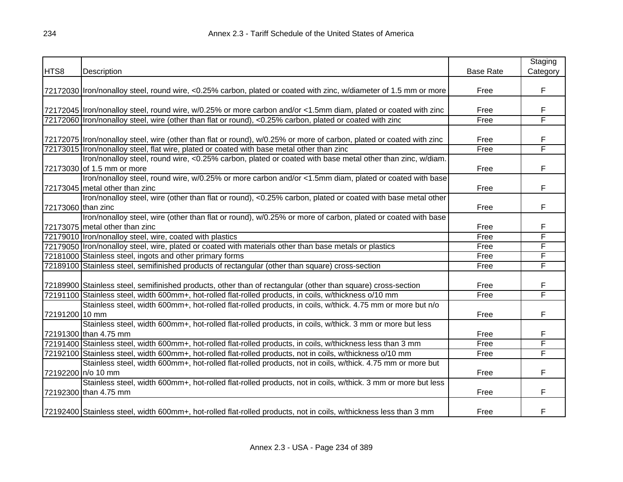|                    |                                                                                                                      |                  | Staging  |
|--------------------|----------------------------------------------------------------------------------------------------------------------|------------------|----------|
| HTS8               | Description                                                                                                          | <b>Base Rate</b> | Category |
|                    |                                                                                                                      |                  |          |
|                    | 72172030  Iron/nonalloy steel, round wire, <0.25% carbon, plated or coated with zinc, w/diameter of 1.5 mm or more   | Free             | F        |
|                    | 72172045 Iron/nonalloy steel, round wire, w/0.25% or more carbon and/or <1.5mm diam, plated or coated with zinc      | Free             | F        |
|                    | 72172060 Iron/nonalloy steel, wire (other than flat or round), <0.25% carbon, plated or coated with zinc             | Free             | F        |
|                    |                                                                                                                      |                  |          |
|                    | 72172075 Iron/nonalloy steel, wire (other than flat or round), w/0.25% or more of carbon, plated or coated with zinc | Free             | F        |
|                    | 72173015 Iron/nonalloy steel, flat wire, plated or coated with base metal other than zinc                            | Free             | F        |
|                    | Iron/nonalloy steel, round wire, <0.25% carbon, plated or coated with base metal other than zinc, w/diam.            |                  |          |
|                    | 72173030 of 1.5 mm or more                                                                                           | Free             | F        |
|                    | Iron/nonalloy steel, round wire, w/0.25% or more carbon and/or <1.5mm diam, plated or coated with base               |                  |          |
|                    | 72173045 metal other than zinc                                                                                       | Free             | F        |
|                    | Iron/nonalloy steel, wire (other than flat or round), <0.25% carbon, plated or coated with base metal other          |                  |          |
| 72173060 than zinc |                                                                                                                      | Free             | F        |
|                    | Iron/nonalloy steel, wire (other than flat or round), w/0.25% or more of carbon, plated or coated with base          |                  |          |
|                    | 72173075 metal other than zinc                                                                                       | Free             | F        |
|                    | 72179010 Iron/nonalloy steel, wire, coated with plastics                                                             | Free             | F        |
|                    | 72179050 Iron/nonalloy steel, wire, plated or coated with materials other than base metals or plastics               | Free             | F        |
|                    | 72181000 Stainless steel, ingots and other primary forms                                                             | Free             | F        |
|                    | 72189100 Stainless steel, semifinished products of rectangular (other than square) cross-section                     | Free             | F        |
|                    |                                                                                                                      |                  |          |
|                    | 72189900 Stainless steel, semifinished products, other than of rectangular (other than square) cross-section         | Free             | F        |
|                    | 72191100 Stainless steel, width 600mm+, hot-rolled flat-rolled products, in coils, w/thickness o/10 mm               | Free             | F        |
|                    | Stainless steel, width 600mm+, hot-rolled flat-rolled products, in coils, w/thick. 4.75 mm or more but n/o           |                  |          |
| 72191200 10 mm     |                                                                                                                      | Free             | F        |
|                    | Stainless steel, width 600mm+, hot-rolled flat-rolled products, in coils, w/thick. 3 mm or more but less             |                  |          |
|                    | 72191300 than 4.75 mm                                                                                                | Free             | F        |
|                    | 72191400 Stainless steel, width 600mm+, hot-rolled flat-rolled products, in coils, w/thickness less than 3 mm        | Free             | F        |
|                    | 72192100 Stainless steel, width 600mm+, hot-rolled flat-rolled products, not in coils, w/thickness o/10 mm           | Free             | F        |
|                    | Stainless steel, width 600mm+, hot-rolled flat-rolled products, not in coils, w/thick. 4.75 mm or more but           |                  |          |
|                    | 72192200 n/o 10 mm                                                                                                   | Free             | F        |
|                    | Stainless steel, width 600mm+, hot-rolled flat-rolled products, not in coils, w/thick. 3 mm or more but less         |                  |          |
|                    | 72192300 than 4.75 mm                                                                                                | Free             | F        |
|                    | 72192400 Stainless steel, width 600mm+, hot-rolled flat-rolled products, not in coils, w/thickness less than 3 mm    | Free             | F        |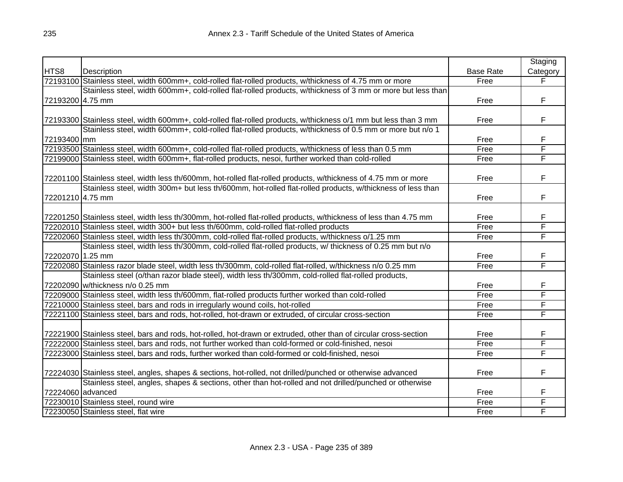|                  |                                                                                                                  |                  | Staging                 |
|------------------|------------------------------------------------------------------------------------------------------------------|------------------|-------------------------|
| HTS8             | Description                                                                                                      | <b>Base Rate</b> | Category                |
|                  | 72193100 Stainless steel, width 600mm+, cold-rolled flat-rolled products, w/thickness of 4.75 mm or more         | Free             | F                       |
|                  | Stainless steel, width 600mm+, cold-rolled flat-rolled products, w/thickness of 3 mm or more but less than       |                  |                         |
| 72193200 4.75 mm |                                                                                                                  | Free             | F                       |
|                  |                                                                                                                  |                  |                         |
|                  | 72193300 Stainless steel, width 600mm+, cold-rolled flat-rolled products, w/thickness o/1 mm but less than 3 mm  | Free             | F                       |
|                  | Stainless steel, width 600mm+, cold-rolled flat-rolled products, w/thickness of 0.5 mm or more but n/o 1         |                  |                         |
| 72193400 mm      |                                                                                                                  | Free             | F                       |
|                  | 72193500 Stainless steel, width 600mm+, cold-rolled flat-rolled products, w/thickness of less than 0.5 mm        | Free             | $\overline{\mathsf{F}}$ |
|                  | 72199000 Stainless steel, width 600mm+, flat-rolled products, nesoi, further worked than cold-rolled             | Free             | F                       |
|                  |                                                                                                                  |                  |                         |
|                  | 72201100 Stainless steel, width less th/600mm, hot-rolled flat-rolled products, w/thickness of 4.75 mm or more   | Free             | F                       |
|                  | Stainless steel, width 300m+ but less th/600mm, hot-rolled flat-rolled products, w/thickness of less than        |                  |                         |
| 72201210 4.75 mm |                                                                                                                  | Free             | F                       |
|                  |                                                                                                                  |                  |                         |
|                  | 72201250 Stainless steel, width less th/300mm, hot-rolled flat-rolled products, w/thickness of less than 4.75 mm | Free             | F                       |
|                  | 72202010 Stainless steel, width 300+ but less th/600mm, cold-rolled flat-rolled products                         | Free             | F                       |
|                  | 72202060 Stainless steel, width less th/300mm, cold-rolled flat-rolled products, w/thickness o/1.25 mm           | Free             | F                       |
|                  | Stainless steel, width less th/300mm, cold-rolled flat-rolled products, w/ thickness of 0.25 mm but n/o          |                  |                         |
| 72202070 1.25 mm |                                                                                                                  | Free             | F                       |
|                  | 72202080 Stainless razor blade steel, width less th/300mm, cold-rolled flat-rolled, w/thickness n/o 0.25 mm      | Free             | F                       |
|                  | Stainless steel (o/than razor blade steel), width less th/300mm, cold-rolled flat-rolled products,               |                  |                         |
|                  | 72202090 w/thickness n/o 0.25 mm                                                                                 | Free             | F                       |
|                  | 72209000 Stainless steel, width less th/600mm, flat-rolled products further worked than cold-rolled              | Free             | F                       |
|                  | 72210000 Stainless steel, bars and rods in irregularly wound coils, hot-rolled                                   | Free             | F                       |
|                  | 72221100 Stainless steel, bars and rods, hot-rolled, hot-drawn or extruded, of circular cross-section            | Free             | F                       |
|                  |                                                                                                                  |                  |                         |
|                  | 72221900 Stainless steel, bars and rods, hot-rolled, hot-drawn or extruded, other than of circular cross-section | Free             | F                       |
|                  | 72222000 Stainless steel, bars and rods, not further worked than cold-formed or cold-finished, nesoi             | Free             | F                       |
|                  | 72223000 Stainless steel, bars and rods, further worked than cold-formed or cold-finished, nesoi                 | Free             | F                       |
|                  | 72224030 Stainless steel, angles, shapes & sections, hot-rolled, not drilled/punched or otherwise advanced       | Free             | F                       |
|                  | Stainless steel, angles, shapes & sections, other than hot-rolled and not drilled/punched or otherwise           |                  |                         |
|                  | 72224060 advanced                                                                                                | Free             | F                       |
|                  | 72230010 Stainless steel, round wire                                                                             | Free             | F                       |
|                  | 72230050 Stainless steel, flat wire                                                                              | Free             | F                       |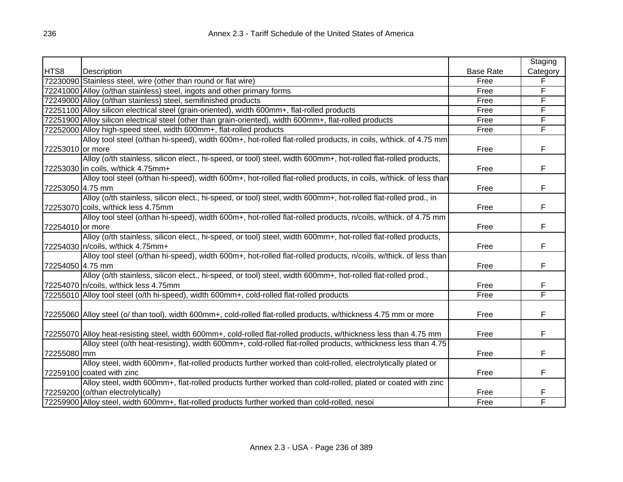|                  |                                                                                                                    |                  | Staging  |
|------------------|--------------------------------------------------------------------------------------------------------------------|------------------|----------|
| HTS8             | Description                                                                                                        | <b>Base Rate</b> | Category |
|                  | 72230090 Stainless steel, wire (other than round or flat wire)                                                     | Free             |          |
|                  | 72241000 Alloy (o/than stainless) steel, ingots and other primary forms                                            | Free             | F        |
|                  | 72249000 Alloy (o/than stainless) steel, semifinished products                                                     | Free             | F        |
|                  | 72251100 Alloy silicon electrical steel (grain-oriented), width 600mm+, flat-rolled products                       | Free             | F        |
|                  | 72251900 Alloy silicon electrical steel (other than grain-oriented), width 600mm+, flat-rolled products            | Free             | F        |
|                  | 72252000 Alloy high-speed steel, width 600mm+, flat-rolled products                                                | Free             | F        |
|                  | Alloy tool steel (o/than hi-speed), width 600m+, hot-rolled flat-rolled products, in coils, w/thick. of 4.75 mm    |                  |          |
| 72253010 or more |                                                                                                                    | Free             | F        |
|                  | Alloy (o/th stainless, silicon elect., hi-speed, or tool) steel, width 600mm+, hot-rolled flat-rolled products,    |                  |          |
|                  | 72253030 in coils, w/thick 4.75mm+                                                                                 | Free             | F        |
|                  | Alloy tool steel (o/than hi-speed), width 600m+, hot-rolled flat-rolled products, in coils, w/thick. of less than  |                  |          |
| 72253050 4.75 mm |                                                                                                                    | Free             | F        |
|                  | Alloy (o/th stainless, silicon elect., hi-speed, or tool) steel, width 600mm+, hot-rolled flat-rolled prod., in    |                  |          |
|                  | 72253070 coils, w/thick less 4.75mm                                                                                | Free             | F        |
|                  | Alloy tool steel (o/than hi-speed), width 600m+, hot-rolled flat-rolled products, n/coils, w/thick. of 4.75 mm     |                  |          |
| 72254010 or more |                                                                                                                    | Free             | F        |
|                  | Alloy (o/th stainless, silicon elect., hi-speed, or tool) steel, width 600mm+, hot-rolled flat-rolled products,    |                  |          |
|                  | 72254030 n/coils, w/thick 4.75mm+                                                                                  | Free             | F        |
|                  | Alloy tool steel (o/than hi-speed), width 600m+, hot-rolled flat-rolled products, n/coils, w/thick. of less than   |                  |          |
| 72254050 4.75 mm |                                                                                                                    | Free             | F        |
|                  | Alloy (o/th stainless, silicon elect., hi-speed, or tool) steel, width 600mm+, hot-rolled flat-rolled prod.,       |                  |          |
|                  | 72254070 n/coils, w/thick less 4.75mm                                                                              | Free             | F        |
|                  | 72255010 Alloy tool steel (o/th hi-speed), width 600mm+, cold-rolled flat-rolled products                          | Free             | F        |
|                  |                                                                                                                    |                  |          |
|                  | 72255060 Alloy steel (o/ than tool), width 600mm+, cold-rolled flat-rolled products, w/thickness 4.75 mm or more   | Free             | F        |
|                  |                                                                                                                    |                  |          |
|                  | 72255070 Alloy heat-resisting steel, width 600mm+, cold-rolled flat-rolled products, w/thickness less than 4.75 mm | Free             | F        |
|                  | Alloy steel (o/th heat-resisting), width 600mm+, cold-rolled flat-rolled products, w/thickness less than 4.75      |                  |          |
| 72255080 mm      |                                                                                                                    | Free             | F        |
|                  | Alloy steel, width 600mm+, flat-rolled products further worked than cold-rolled, electrolytically plated or        |                  |          |
|                  | 72259100 coated with zinc                                                                                          | Free             | F        |
|                  | Alloy steel, width 600mm+, flat-rolled products further worked than cold-rolled, plated or coated with zinc        |                  |          |
|                  | 72259200 (o/than electrolytically)                                                                                 | Free             | F        |
|                  | 72259900 Alloy steel, width 600mm+, flat-rolled products further worked than cold-rolled, nesoi                    | Free             | F        |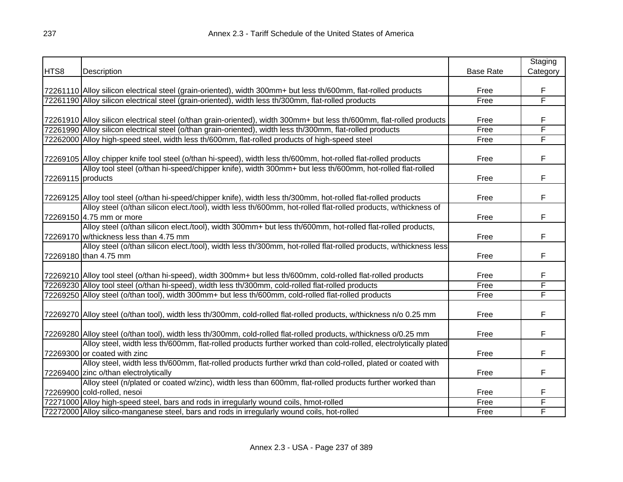|                   |                                                                                                                       |                  | Staging  |
|-------------------|-----------------------------------------------------------------------------------------------------------------------|------------------|----------|
| HTS8              | Description                                                                                                           | <b>Base Rate</b> | Category |
|                   |                                                                                                                       |                  |          |
|                   | 72261110 Alloy silicon electrical steel (grain-oriented), width 300mm+ but less th/600mm, flat-rolled products        | Free             | F        |
|                   | 72261190 Alloy silicon electrical steel (grain-oriented), width less th/300mm, flat-rolled products                   | Free             | F        |
|                   |                                                                                                                       |                  |          |
|                   | 72261910 Alloy silicon electrical steel (o/than grain-oriented), width 300mm+ but less th/600mm, flat-rolled products | Free             | F        |
|                   | 72261990 Alloy silicon electrical steel (o/than grain-oriented), width less th/300mm, flat-rolled products            | Free             | F        |
|                   | 72262000 Alloy high-speed steel, width less th/600mm, flat-rolled products of high-speed steel                        | Free             | F        |
|                   |                                                                                                                       |                  |          |
|                   | 72269105 Alloy chipper knife tool steel (o/than hi-speed), width less th/600mm, hot-rolled flat-rolled products       | Free             | F        |
|                   | Alloy tool steel (o/than hi-speed/chipper knife), width 300mm+ but less th/600mm, hot-rolled flat-rolled              |                  |          |
| 72269115 products |                                                                                                                       | Free             | F        |
|                   |                                                                                                                       |                  |          |
|                   | 72269125 Alloy tool steel (o/than hi-speed/chipper knife), width less th/300mm, hot-rolled flat-rolled products       | Free             | F        |
|                   | Alloy steel (o/than silicon elect./tool), width less th/600mm, hot-rolled flat-rolled products, w/thickness of        |                  |          |
|                   | 72269150 4.75 mm or more                                                                                              | Free             | F        |
|                   | Alloy steel (o/than silicon elect./tool), width 300mm+ but less th/600mm, hot-rolled flat-rolled products,            |                  |          |
|                   | 72269170 w/thickness less than 4.75 mm                                                                                | Free             | F        |
|                   | Alloy steel (o/than silicon elect./tool), width less th/300mm, hot-rolled flat-rolled products, w/thickness less      |                  |          |
|                   | 72269180 than 4.75 mm                                                                                                 | Free             | F        |
|                   |                                                                                                                       |                  |          |
|                   | 72269210 Alloy tool steel (o/than hi-speed), width 300mm+ but less th/600mm, cold-rolled flat-rolled products         | Free             | F        |
|                   | 72269230 Alloy tool steel (o/than hi-speed), width less th/300mm, cold-rolled flat-rolled products                    | Free             | F        |
|                   | 72269250 Alloy steel (o/than tool), width 300mm+ but less th/600mm, cold-rolled flat-rolled products                  | Free             | F        |
|                   |                                                                                                                       |                  |          |
|                   | 72269270 Alloy steel (o/than tool), width less th/300mm, cold-rolled flat-rolled products, w/thickness n/o 0.25 mm    | Free             | F        |
|                   |                                                                                                                       |                  |          |
|                   | 72269280 Alloy steel (o/than tool), width less th/300mm, cold-rolled flat-rolled products, w/thickness o/0.25 mm      | Free             | F        |
|                   | Alloy steel, width less th/600mm, flat-rolled products further worked than cold-rolled, electrolytically plated       |                  |          |
|                   | 72269300 or coated with zinc                                                                                          | Free             | F        |
|                   | Alloy steel, width less th/600mm, flat-rolled products further wrkd than cold-rolled, plated or coated with           |                  |          |
|                   | 72269400 zinc o/than electrolytically                                                                                 | Free             | F        |
|                   | Alloy steel (n/plated or coated w/zinc), width less than 600mm, flat-rolled products further worked than              |                  |          |
|                   | 72269900 cold-rolled, nesoi                                                                                           | Free             | F        |
|                   | 72271000 Alloy high-speed steel, bars and rods in irregularly wound coils, hmot-rolled                                | Free             | F        |
|                   | 72272000 Alloy silico-manganese steel, bars and rods in irregularly wound coils, hot-rolled                           | Free             | F        |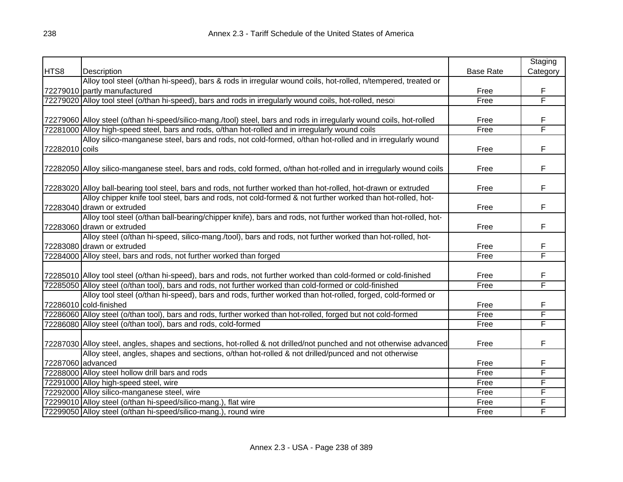|                   |                                                                                                                      |                  | Staging  |
|-------------------|----------------------------------------------------------------------------------------------------------------------|------------------|----------|
| HTS8              | Description                                                                                                          | <b>Base Rate</b> | Category |
|                   | Alloy tool steel (o/than hi-speed), bars & rods in irregular wound coils, hot-rolled, n/tempered, treated or         |                  |          |
|                   | 72279010 partly manufactured                                                                                         | Free             | F        |
|                   | 72279020 Alloy tool steel (o/than hi-speed), bars and rods in irregularly wound coils, hot-rolled, nesoi             | Free             | F        |
|                   |                                                                                                                      |                  |          |
|                   | 72279060 Alloy steel (o/than hi-speed/silico-mang./tool) steel, bars and rods in irregularly wound coils, hot-rolled | Free             | F        |
|                   | 72281000 Alloy high-speed steel, bars and rods, o/than hot-rolled and in irregularly wound coils                     | Free             | F        |
|                   | Alloy silico-manganese steel, bars and rods, not cold-formed, o/than hot-rolled and in irregularly wound             |                  |          |
| 72282010 coils    |                                                                                                                      | Free             | F        |
|                   |                                                                                                                      |                  |          |
|                   | 72282050 Alloy silico-manganese steel, bars and rods, cold formed, o/than hot-rolled and in irregularly wound coils  | Free             | F        |
|                   | 72283020 Alloy ball-bearing tool steel, bars and rods, not further worked than hot-rolled, hot-drawn or extruded     | Free             | F        |
|                   | Alloy chipper knife tool steel, bars and rods, not cold-formed & not further worked than hot-rolled, hot-            |                  |          |
|                   | 72283040 drawn or extruded                                                                                           | Free             | F        |
|                   | Alloy tool steel (o/than ball-bearing/chipper knife), bars and rods, not further worked than hot-rolled, hot-        |                  |          |
|                   | 72283060 drawn or extruded                                                                                           | Free             | F        |
|                   | Alloy steel (o/than hi-speed, silico-mang./tool), bars and rods, not further worked than hot-rolled, hot-            |                  |          |
|                   | 72283080 drawn or extruded                                                                                           | Free             | F        |
|                   | 72284000 Alloy steel, bars and rods, not further worked than forged                                                  | Free             | F        |
|                   |                                                                                                                      |                  |          |
|                   | 72285010 Alloy tool steel (o/than hi-speed), bars and rods, not further worked than cold-formed or cold-finished     | Free             | F        |
|                   | 72285050 Alloy steel (o/than tool), bars and rods, not further worked than cold-formed or cold-finished              | Free             | F        |
|                   | Alloy tool steel (o/than hi-speed), bars and rods, further worked than hot-rolled, forged, cold-formed or            |                  |          |
|                   | 72286010 cold-finished                                                                                               | Free             | F        |
|                   | 72286060 Alloy steel (o/than tool), bars and rods, further worked than hot-rolled, forged but not cold-formed        | Free             | F        |
|                   | 72286080 Alloy steel (o/than tool), bars and rods, cold-formed                                                       | Free             | F        |
|                   |                                                                                                                      |                  |          |
|                   | 72287030 Alloy steel, angles, shapes and sections, hot-rolled & not drilled/not punched and not otherwise advanced   | Free             | F        |
|                   | Alloy steel, angles, shapes and sections, o/than hot-rolled & not drilled/punced and not otherwise                   |                  |          |
| 72287060 advanced |                                                                                                                      | Free             | F        |
|                   | 72288000 Alloy steel hollow drill bars and rods                                                                      | Free             | F        |
|                   | 72291000 Alloy high-speed steel, wire                                                                                | Free             | F        |
|                   | 72292000 Alloy silico-manganese steel, wire                                                                          | Free             | F        |
|                   | 72299010 Alloy steel (o/than hi-speed/silico-mang.), flat wire                                                       | Free             | F        |
|                   | 72299050 Alloy steel (o/than hi-speed/silico-mang.), round wire                                                      | Free             | F        |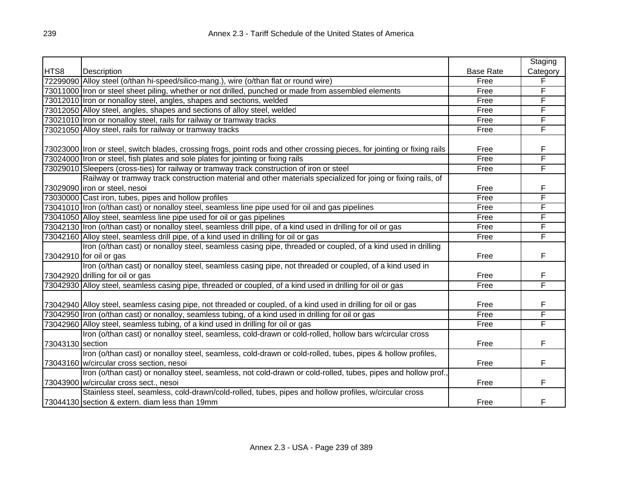|                  |                                                                                                                           |                  | Staging  |
|------------------|---------------------------------------------------------------------------------------------------------------------------|------------------|----------|
| HTS8             | Description                                                                                                               | <b>Base Rate</b> | Category |
|                  | 72299090 Alloy steel (o/than hi-speed/silico-mang.), wire (o/than flat or round wire)                                     | Free             | F        |
|                  | 73011000 Iron or steel sheet piling, whether or not drilled, punched or made from assembled elements                      | Free             | F        |
|                  | 73012010 Iron or nonalloy steel, angles, shapes and sections, welded                                                      | Free             | F        |
|                  | 73012050 Alloy steel, angles, shapes and sections of alloy steel, welded                                                  | Free             | F        |
|                  | 73021010 Iron or nonalloy steel, rails for railway or tramway tracks                                                      | Free             | F        |
|                  | 73021050 Alloy steel, rails for railway or tramway tracks                                                                 | Free             | F        |
|                  |                                                                                                                           |                  |          |
|                  | 73023000 Iron or steel, switch blades, crossing frogs, point rods and other crossing pieces, for jointing or fixing rails | Free             | F        |
|                  | 73024000 Iron or steel, fish plates and sole plates for jointing or fixing rails                                          | Free             | F        |
|                  | 73029010 Sleepers (cross-ties) for railway or tramway track construction of iron or steel                                 | Free             | F        |
|                  | Railway or tramway track construction material and other materials specialized for joing or fixing rails, of              |                  |          |
|                  | 73029090 iron or steel, nesoi                                                                                             | Free             | F        |
|                  | 73030000 Cast iron, tubes, pipes and hollow profiles                                                                      | Free             | F        |
|                  | 73041010 Iron (o/than cast) or nonalloy steel, seamless line pipe used for oil and gas pipelines                          | Free             | F        |
|                  | 73041050 Alloy steel, seamless line pipe used for oil or gas pipelines                                                    | Free             | F        |
|                  | 73042130 Iron (o/than cast) or nonalloy steel, seamless drill pipe, of a kind used in drilling for oil or gas             | Free             | F        |
|                  | 73042160 Alloy steel, seamless drill pipe, of a kind used in drilling for oil or gas                                      | Free             | F        |
|                  | Iron (o/than cast) or nonalloy steel, seamless casing pipe, threaded or coupled, of a kind used in drilling               |                  |          |
|                  | 73042910 for oil or gas                                                                                                   | Free             | F        |
|                  | Iron (o/than cast) or nonalloy steel, seamless casing pipe, not threaded or coupled, of a kind used in                    |                  |          |
|                  | 73042920 drilling for oil or gas                                                                                          | Free             | F        |
|                  | 73042930 Alloy steel, seamless casing pipe, threaded or coupled, of a kind used in drilling for oil or gas                | Free             | F        |
|                  |                                                                                                                           |                  |          |
|                  | 73042940 Alloy steel, seamless casing pipe, not threaded or coupled, of a kind used in drilling for oil or gas            | Free             | F        |
|                  | 73042950 Iron (o/than cast) or nonalloy, seamless tubing, of a kind used in drilling for oil or gas                       | Free             | F        |
|                  | 73042960 Alloy steel, seamless tubing, of a kind used in drilling for oil or gas                                          | Free             | F        |
|                  | Iron (o/than cast) or nonalloy steel, seamless, cold-drawn or cold-rolled, hollow bars w/circular cross                   |                  |          |
| 73043130 section |                                                                                                                           | Free             | F        |
|                  | Iron (o/than cast) or nonalloy steel, seamless, cold-drawn or cold-rolled, tubes, pipes & hollow profiles,                |                  |          |
|                  | 73043160 w/circular cross section, nesoi                                                                                  | Free             | F        |
|                  | Iron (o/than cast) or nonalloy steel, seamless, not cold-drawn or cold-rolled, tubes, pipes and hollow prof.,             |                  |          |
|                  | 73043900 w/circular cross sect., nesoi                                                                                    | Free             | F        |
|                  | Stainless steel, seamless, cold-drawn/cold-rolled, tubes, pipes and hollow profiles, w/circular cross                     |                  |          |
|                  | 73044130 section & extern. diam less than 19mm                                                                            | Free             | F        |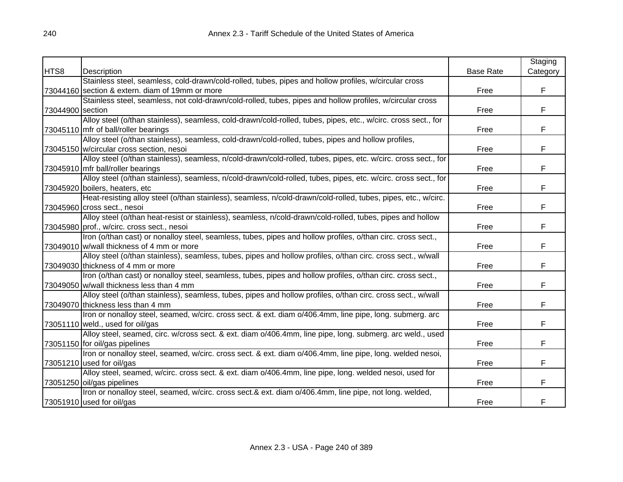|                  |                                                                                                                 |                  | Staging  |
|------------------|-----------------------------------------------------------------------------------------------------------------|------------------|----------|
| HTS8             | Description                                                                                                     | <b>Base Rate</b> | Category |
|                  | Stainless steel, seamless, cold-drawn/cold-rolled, tubes, pipes and hollow profiles, w/circular cross           |                  |          |
|                  | 73044160 section & extern. diam of 19mm or more                                                                 | Free             | F.       |
|                  | Stainless steel, seamless, not cold-drawn/cold-rolled, tubes, pipes and hollow profiles, w/circular cross       |                  |          |
| 73044900 section |                                                                                                                 | Free             | F        |
|                  | Alloy steel (o/than stainless), seamless, cold-drawn/cold-rolled, tubes, pipes, etc., w/circ. cross sect., for  |                  |          |
|                  | 73045110 mfr of ball/roller bearings                                                                            | Free             | F        |
|                  | Alloy steel (o/than stainless), seamless, cold-drawn/cold-rolled, tubes, pipes and hollow profiles,             |                  |          |
|                  | 73045150 w/circular cross section, nesoi                                                                        | Free             | F        |
|                  | Alloy steel (o/than stainless), seamless, n/cold-drawn/cold-rolled, tubes, pipes, etc. w/circ. cross sect., for |                  |          |
|                  | 73045910 mfr ball/roller bearings                                                                               | Free             | F        |
|                  | Alloy steel (o/than stainless), seamless, n/cold-drawn/cold-rolled, tubes, pipes, etc. w/circ. cross sect., for |                  |          |
|                  | 73045920 boilers, heaters, etc                                                                                  | Free             | F        |
|                  | Heat-resisting alloy steel (o/than stainless), seamless, n/cold-drawn/cold-rolled, tubes, pipes, etc., w/circ.  |                  |          |
|                  | 73045960 cross sect., nesoi                                                                                     | Free             | F        |
|                  | Alloy steel (o/than heat-resist or stainless), seamless, n/cold-drawn/cold-rolled, tubes, pipes and hollow      |                  |          |
|                  | 73045980 prof., w/circ. cross sect., nesoi                                                                      | Free             | F        |
|                  | Iron (o/than cast) or nonalloy steel, seamless, tubes, pipes and hollow profiles, o/than circ. cross sect.,     |                  |          |
|                  | 73049010 w/wall thickness of 4 mm or more                                                                       | Free             | F        |
|                  | Alloy steel (o/than stainless), seamless, tubes, pipes and hollow profiles, o/than circ. cross sect., w/wall    |                  |          |
|                  | 73049030 thickness of 4 mm or more                                                                              | Free             | F.       |
|                  | Iron (o/than cast) or nonalloy steel, seamless, tubes, pipes and hollow profiles, o/than circ. cross sect.,     |                  |          |
|                  | 73049050 w/wall thickness less than 4 mm                                                                        | Free             | F        |
|                  | Alloy steel (o/than stainless), seamless, tubes, pipes and hollow profiles, o/than circ. cross sect., w/wall    |                  |          |
|                  | 73049070 thickness less than 4 mm                                                                               | Free             | F        |
|                  | Iron or nonalloy steel, seamed, w/circ. cross sect. & ext. diam o/406.4mm, line pipe, long. submerg. arc        |                  |          |
|                  | 73051110 weld., used for oil/gas                                                                                | Free             | F        |
|                  | Alloy steel, seamed, circ. w/cross sect. & ext. diam o/406.4mm, line pipe, long. submerg. arc weld., used       |                  |          |
|                  | 73051150 for oil/gas pipelines                                                                                  | Free             | F        |
|                  | Iron or nonalloy steel, seamed, w/circ. cross sect. & ext. diam o/406.4mm, line pipe, long. welded nesoi,       |                  |          |
|                  | 73051210 used for oil/gas                                                                                       | Free             | F        |
|                  | Alloy steel, seamed, w/circ. cross sect. & ext. diam o/406.4mm, line pipe, long. welded nesoi, used for         |                  |          |
|                  | 73051250 oil/gas pipelines                                                                                      | Free             | F        |
|                  | Iron or nonalloy steel, seamed, w/circ. cross sect.& ext. diam o/406.4mm, line pipe, not long. welded,          |                  |          |
|                  | 73051910 used for oil/gas                                                                                       | Free             | F        |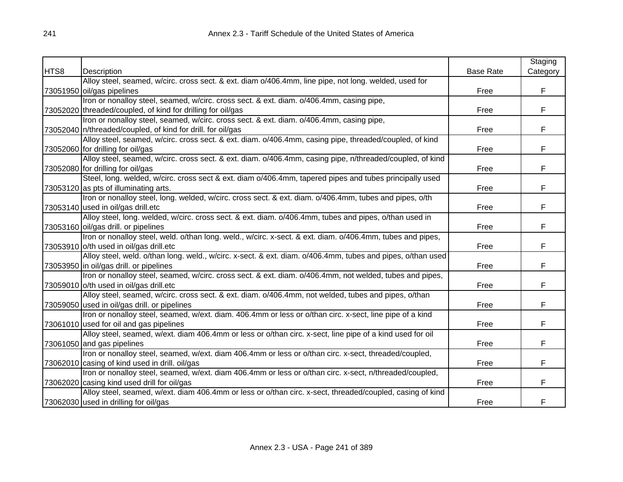|      |                                                                                                             |                  | Staging  |
|------|-------------------------------------------------------------------------------------------------------------|------------------|----------|
| HTS8 | Description                                                                                                 | <b>Base Rate</b> | Category |
|      | Alloy steel, seamed, w/circ. cross sect. & ext. diam o/406.4mm, line pipe, not long. welded, used for       |                  |          |
|      | 73051950 oil/gas pipelines                                                                                  | Free             | F        |
|      | Iron or nonalloy steel, seamed, w/circ. cross sect. & ext. diam. o/406.4mm, casing pipe,                    |                  |          |
|      | 73052020 threaded/coupled, of kind for drilling for oil/gas                                                 | Free             | F.       |
|      | Iron or nonalloy steel, seamed, w/circ. cross sect. & ext. diam. o/406.4mm, casing pipe,                    |                  |          |
|      | 73052040 n/threaded/coupled, of kind for drill. for oil/gas                                                 | Free             | F        |
|      | Alloy steel, seamed, w/circ. cross sect. & ext. diam. o/406.4mm, casing pipe, threaded/coupled, of kind     |                  |          |
|      | 73052060 for drilling for oil/gas                                                                           | Free             | F        |
|      | Alloy steel, seamed, w/circ. cross sect. & ext. diam. o/406.4mm, casing pipe, n/threaded/coupled, of kind   |                  |          |
|      | 73052080 for drilling for oil/gas                                                                           | Free             | F        |
|      | Steel, long. welded, w/circ. cross sect & ext. diam o/406.4mm, tapered pipes and tubes principally used     |                  |          |
|      | 73053120 as pts of illuminating arts.                                                                       | Free             | F        |
|      | Iron or nonalloy steel, long. welded, w/circ. cross sect. & ext. diam. o/406.4mm, tubes and pipes, o/th     |                  |          |
|      | 73053140 used in oil/gas drill.etc                                                                          | Free             | F        |
|      | Alloy steel, long. welded, w/circ. cross sect. & ext. diam. o/406.4mm, tubes and pipes, o/than used in      |                  |          |
|      | 73053160 oil/gas drill. or pipelines                                                                        | Free             | F        |
|      | Iron or nonalloy steel, weld. o/than long. weld., w/circ. x-sect. & ext. diam. o/406.4mm, tubes and pipes,  |                  |          |
|      | 73053910 o/th used in oil/gas drill.etc                                                                     | Free             | F        |
|      | Alloy steel, weld. o/than long. weld., w/circ. x-sect. & ext. diam. o/406.4mm, tubes and pipes, o/than used |                  |          |
|      | 73053950 in oil/gas drill. or pipelines                                                                     | Free             | F        |
|      | Iron or nonalloy steel, seamed, w/circ. cross sect. & ext. diam. o/406.4mm, not welded, tubes and pipes,    |                  |          |
|      | 73059010 o/th used in oil/gas drill.etc                                                                     | Free             | F        |
|      | Alloy steel, seamed, w/circ. cross sect. & ext. diam. o/406.4mm, not welded, tubes and pipes, o/than        |                  |          |
|      | 73059050 used in oil/gas drill. or pipelines                                                                | Free             | F        |
|      | Iron or nonalloy steel, seamed, w/ext. diam. 406.4mm or less or o/than circ. x-sect, line pipe of a kind    |                  |          |
|      | 73061010 used for oil and gas pipelines                                                                     | Free             | F        |
|      | Alloy steel, seamed, w/ext. diam 406.4mm or less or o/than circ. x-sect, line pipe of a kind used for oil   |                  |          |
|      | 73061050 and gas pipelines                                                                                  | Free             | F        |
|      | Iron or nonalloy steel, seamed, w/ext. diam 406.4mm or less or o/than circ. x-sect, threaded/coupled,       |                  |          |
|      | 73062010 casing of kind used in drill. oil/gas                                                              | Free             | F        |
|      | Iron or nonalloy steel, seamed, w/ext. diam 406.4mm or less or o/than circ. x-sect, n/threaded/coupled,     |                  |          |
|      | 73062020 casing kind used drill for oil/gas                                                                 | Free             | F        |
|      | Alloy steel, seamed, w/ext. diam 406.4mm or less or o/than circ. x-sect, threaded/coupled, casing of kind   |                  |          |
|      | 73062030 used in drilling for oil/gas                                                                       | Free             | F        |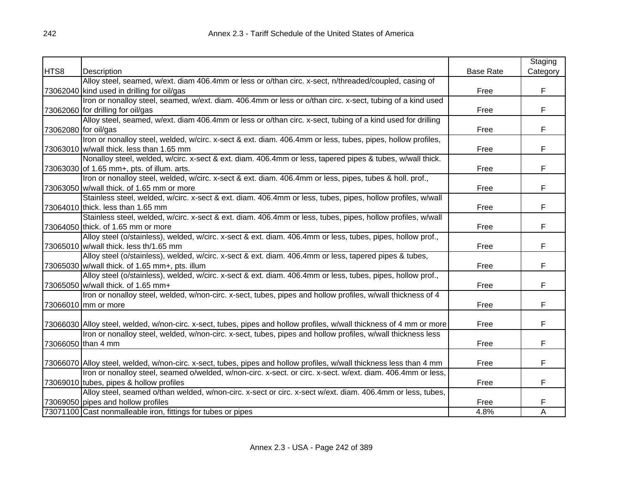|      |                                                                                                                      |                  | Staging  |
|------|----------------------------------------------------------------------------------------------------------------------|------------------|----------|
| HTS8 | Description                                                                                                          | <b>Base Rate</b> | Category |
|      | Alloy steel, seamed, w/ext. diam 406.4mm or less or o/than circ. x-sect, n/threaded/coupled, casing of               |                  |          |
|      | 73062040 kind used in drilling for oil/gas                                                                           | Free             | F        |
|      | Iron or nonalloy steel, seamed, w/ext. diam. 406.4mm or less or o/than circ. x-sect, tubing of a kind used           |                  |          |
|      | 73062060 for drilling for oil/gas                                                                                    | Free             | F        |
|      | Alloy steel, seamed, w/ext. diam 406.4mm or less or o/than circ. x-sect, tubing of a kind used for drilling          |                  |          |
|      | 73062080 for oil/gas                                                                                                 | Free             | F        |
|      | Iron or nonalloy steel, welded, w/circ. x-sect & ext. diam. 406.4mm or less, tubes, pipes, hollow profiles,          |                  |          |
|      | 73063010 w/wall thick. less than 1.65 mm                                                                             | Free             | F        |
|      | Nonalloy steel, welded, w/circ. x-sect & ext. diam. 406.4mm or less, tapered pipes & tubes, w/wall thick.            |                  |          |
|      | 73063030 of 1.65 mm+, pts. of illum. arts.                                                                           | Free             | F        |
|      | Iron or nonalloy steel, welded, w/circ. x-sect & ext. diam. 406.4mm or less, pipes, tubes & holl. prof.,             |                  |          |
|      | 73063050 w/wall thick. of 1.65 mm or more                                                                            | Free             | F        |
|      | Stainless steel, welded, w/circ. x-sect & ext. diam. 406.4mm or less, tubes, pipes, hollow profiles, w/wall          |                  |          |
|      | 73064010 thick. less than 1.65 mm                                                                                    | Free             | F        |
|      | Stainless steel, welded, w/circ. x-sect & ext. diam. 406.4mm or less, tubes, pipes, hollow profiles, w/wall          |                  |          |
|      | 73064050 thick. of 1.65 mm or more                                                                                   | Free             | F        |
|      | Alloy steel (o/stainless), welded, w/circ. x-sect & ext. diam. 406.4mm or less, tubes, pipes, hollow prof.,          |                  |          |
|      | 73065010 w/wall thick. less th/1.65 mm                                                                               | Free             | F        |
|      | Alloy steel (o/stainless), welded, w/circ. x-sect & ext. diam. 406.4mm or less, tapered pipes & tubes,               |                  |          |
|      | 73065030 w/wall thick. of 1.65 mm+, pts. illum                                                                       | Free             | F        |
|      | Alloy steel (o/stainless), welded, w/circ. x-sect & ext. diam. 406.4mm or less, tubes, pipes, hollow prof.,          |                  |          |
|      | 73065050 w/wall thick. of 1.65 mm+                                                                                   | Free             | F        |
|      | Iron or nonalloy steel, welded, w/non-circ. x-sect, tubes, pipes and hollow profiles, w/wall thickness of 4          |                  |          |
|      | 73066010 mm or more                                                                                                  | Free             | F        |
|      |                                                                                                                      |                  |          |
|      | 73066030 Alloy steel, welded, w/non-circ. x-sect, tubes, pipes and hollow profiles, w/wall thickness of 4 mm or more | Free             | F        |
|      | Iron or nonalloy steel, welded, w/non-circ. x-sect, tubes, pipes and hollow profiles, w/wall thickness less          |                  |          |
|      | 73066050 than 4 mm                                                                                                   | Free             | F        |
|      |                                                                                                                      |                  |          |
|      | 73066070 Alloy steel, welded, w/non-circ. x-sect, tubes, pipes and hollow profiles, w/wall thickness less than 4 mm  | Free             | F.       |
|      | Iron or nonalloy steel, seamed o/welded, w/non-circ. x-sect. or circ. x-sect. w/ext. diam. 406.4mm or less,          |                  |          |
|      | 73069010 tubes, pipes & hollow profiles                                                                              | Free             | F        |
|      | Alloy steel, seamed o/than welded, w/non-circ. x-sect or circ. x-sect w/ext. diam. 406.4mm or less, tubes,           |                  |          |
|      | 73069050 pipes and hollow profiles                                                                                   | Free             | F        |
|      | 73071100 Cast nonmalleable iron, fittings for tubes or pipes                                                         | 4.8%             | A        |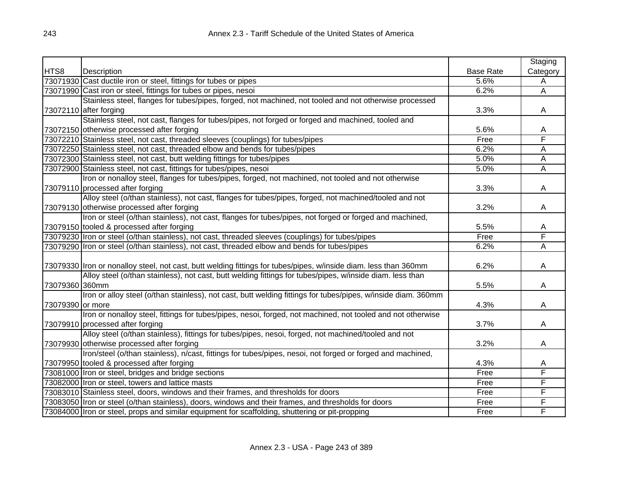|                  |                                                                                                                  |                  | Staging        |
|------------------|------------------------------------------------------------------------------------------------------------------|------------------|----------------|
| HTS8             | Description                                                                                                      | <b>Base Rate</b> | Category       |
|                  | 73071930 Cast ductile iron or steel, fittings for tubes or pipes                                                 | 5.6%             | A              |
|                  | 73071990 Cast iron or steel, fittings for tubes or pipes, nesoi                                                  | 6.2%             | $\overline{A}$ |
|                  | Stainless steel, flanges for tubes/pipes, forged, not machined, not tooled and not otherwise processed           |                  |                |
|                  | 73072110 after forging                                                                                           | 3.3%             | A              |
|                  | Stainless steel, not cast, flanges for tubes/pipes, not forged or forged and machined, tooled and                |                  |                |
|                  | 73072150 otherwise processed after forging                                                                       | 5.6%             | A              |
|                  | 73072210 Stainless steel, not cast, threaded sleeves (couplings) for tubes/pipes                                 | Free             | F              |
|                  | 73072250 Stainless steel, not cast, threaded elbow and bends for tubes/pipes                                     | 6.2%             | A              |
|                  | 73072300 Stainless steel, not cast, butt welding fittings for tubes/pipes                                        | 5.0%             | А              |
|                  | 73072900 Stainless steel, not cast, fittings for tubes/pipes, nesoi                                              | 5.0%             | Α              |
|                  | Iron or nonalloy steel, flanges for tubes/pipes, forged, not machined, not tooled and not otherwise              |                  |                |
|                  | 73079110 processed after forging                                                                                 | 3.3%             | A              |
|                  | Alloy steel (o/than stainless), not cast, flanges for tubes/pipes, forged, not machined/tooled and not           |                  |                |
|                  | 73079130 otherwise processed after forging                                                                       | 3.2%             | A              |
|                  | Iron or steel (o/than stainless), not cast, flanges for tubes/pipes, not forged or forged and machined,          |                  |                |
|                  | 73079150 tooled & processed after forging                                                                        | 5.5%             | Α              |
|                  | 73079230 Iron or steel (o/than stainless), not cast, threaded sleeves (couplings) for tubes/pipes                | Free             | F              |
|                  | 73079290 Iron or steel (o/than stainless), not cast, threaded elbow and bends for tubes/pipes                    | 6.2%             | A              |
|                  |                                                                                                                  |                  |                |
|                  | 73079330 Iron or nonalloy steel, not cast, butt welding fittings for tubes/pipes, w/inside diam. less than 360mm | 6.2%             | A              |
|                  | Alloy steel (o/than stainless), not cast, butt welding fittings for tubes/pipes, w/inside diam. less than        |                  |                |
| 73079360 360mm   |                                                                                                                  | 5.5%             | A              |
|                  | Iron or alloy steel (o/than stainless), not cast, butt welding fittings for tubes/pipes, w/inside diam. 360mm    |                  |                |
| 73079390 or more |                                                                                                                  | 4.3%             | Α              |
|                  | Iron or nonalloy steel, fittings for tubes/pipes, nesoi, forged, not machined, not tooled and not otherwise      |                  |                |
|                  | 73079910 processed after forging                                                                                 | 3.7%             | A              |
|                  | Alloy steel (o/than stainless), fittings for tubes/pipes, nesoi, forged, not machined/tooled and not             |                  |                |
|                  | 73079930 otherwise processed after forging                                                                       | 3.2%             | A              |
|                  | Iron/steel (o/than stainless), n/cast, fittings for tubes/pipes, nesoi, not forged or forged and machined,       |                  |                |
|                  | 73079950 tooled & processed after forging                                                                        | 4.3%             | Α              |
|                  | 73081000 Iron or steel, bridges and bridge sections                                                              | Free             | F              |
|                  | 73082000 Iron or steel, towers and lattice masts                                                                 | Free             | F              |
|                  | 73083010 Stainless steel, doors, windows and their frames, and thresholds for doors                              | Free             | F              |
|                  | 73083050 Iron or steel (o/than stainless), doors, windows and their frames, and thresholds for doors             | Free             | F              |
|                  | 73084000 Iron or steel, props and similar equipment for scaffolding, shuttering or pit-propping                  | Free             | F              |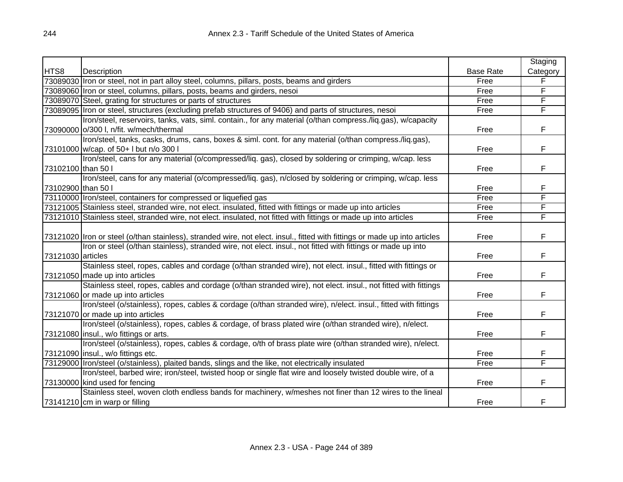|                    |                                                                                                                            |                  | Staging  |
|--------------------|----------------------------------------------------------------------------------------------------------------------------|------------------|----------|
| HTS8               | Description                                                                                                                | <b>Base Rate</b> | Category |
|                    | 73089030 Iron or steel, not in part alloy steel, columns, pillars, posts, beams and girders                                | Free             | F        |
|                    | 73089060 Iron or steel, columns, pillars, posts, beams and girders, nesoi                                                  | Free             | F        |
|                    | 73089070 Steel, grating for structures or parts of structures                                                              | Free             | F        |
|                    | 73089095 Iron or steel, structures (excluding prefab structures of 9406) and parts of structures, nesoi                    | Free             | F        |
|                    | Iron/steel, reservoirs, tanks, vats, siml. contain., for any material (o/than compress./liq.gas), w/capacity               |                  |          |
|                    | 73090000 o/300 I, n/fit. w/mech/thermal                                                                                    | Free             | F        |
|                    | Iron/steel, tanks, casks, drums, cans, boxes & siml. cont. for any material (o/than compress./liq.gas),                    |                  |          |
|                    | 73101000 w/cap. of 50+ I but n/o 300 I                                                                                     | Free             | F        |
|                    | Iron/steel, cans for any material (o/compressed/liq. gas), closed by soldering or crimping, w/cap. less                    |                  |          |
| 73102100 than 50 l |                                                                                                                            | Free             | F        |
|                    | Iron/steel, cans for any material (o/compressed/liq. gas), n/closed by soldering or crimping, w/cap. less                  |                  |          |
| 73102900 than 50 l |                                                                                                                            | Free             | F        |
|                    | 73110000   Iron/steel, containers for compressed or liquefied gas                                                          | Free             | F        |
|                    | 73121005 Stainless steel, stranded wire, not elect. insulated, fitted with fittings or made up into articles               | Free             | F        |
|                    | 73121010 Stainless steel, stranded wire, not elect. insulated, not fitted with fittings or made up into articles           | Free             | F        |
|                    |                                                                                                                            |                  |          |
|                    | 73121020 Iron or steel (o/than stainless), stranded wire, not elect. insul., fitted with fittings or made up into articles | Free             | F        |
|                    | Iron or steel (o/than stainless), stranded wire, not elect. insul., not fitted with fittings or made up into               |                  |          |
| 73121030 articles  |                                                                                                                            | Free             | F        |
|                    | Stainless steel, ropes, cables and cordage (o/than stranded wire), not elect. insul., fitted with fittings or              |                  |          |
|                    | 73121050 made up into articles                                                                                             | Free             | F        |
|                    | Stainless steel, ropes, cables and cordage (o/than stranded wire), not elect. insul., not fitted with fittings             |                  |          |
|                    | 73121060 or made up into articles                                                                                          | Free             | F        |
|                    | Iron/steel (o/stainless), ropes, cables & cordage (o/than stranded wire), n/elect. insul., fitted with fittings            |                  |          |
|                    | 73121070 or made up into articles                                                                                          | Free             | F        |
|                    | Iron/steel (o/stainless), ropes, cables & cordage, of brass plated wire (o/than stranded wire), n/elect.                   |                  |          |
|                    | 73121080 linsul., w/o fittings or arts.                                                                                    | Free             | F        |
|                    | Iron/steel (o/stainless), ropes, cables & cordage, o/th of brass plate wire (o/than stranded wire), n/elect.               |                  |          |
|                    | 73121090 insul., w/o fittings etc.                                                                                         | Free             | F        |
|                    | 73129000   Iron/steel (o/stainless), plaited bands, slings and the like, not electrically insulated                        | Free             | F        |
|                    | Iron/steel, barbed wire; iron/steel, twisted hoop or single flat wire and loosely twisted double wire, of a                |                  |          |
|                    | 73130000 kind used for fencing                                                                                             | Free             | F        |
|                    | Stainless steel, woven cloth endless bands for machinery, w/meshes not finer than 12 wires to the lineal                   |                  |          |
|                    | 73141210 cm in warp or filling                                                                                             | Free             | F        |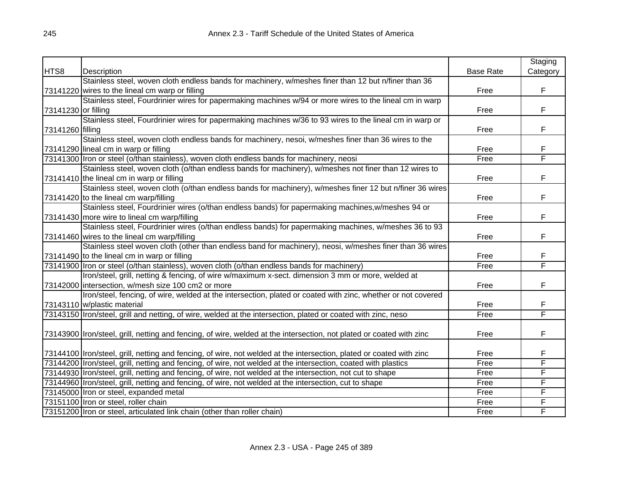|                     |                                                                                                                       |                  | Staging  |
|---------------------|-----------------------------------------------------------------------------------------------------------------------|------------------|----------|
| HTS8                | Description                                                                                                           | <b>Base Rate</b> | Category |
|                     | Stainless steel, woven cloth endless bands for machinery, w/meshes finer than 12 but n/finer than 36                  |                  |          |
|                     | 73141220 wires to the lineal cm warp or filling                                                                       | Free             | F        |
|                     | Stainless steel, Fourdrinier wires for papermaking machines w/94 or more wires to the lineal cm in warp               |                  |          |
| 73141230 or filling |                                                                                                                       | Free             | F.       |
|                     | Stainless steel, Fourdrinier wires for papermaking machines w/36 to 93 wires to the lineal cm in warp or              |                  |          |
| 73141260 filling    |                                                                                                                       | Free             | F        |
|                     | Stainless steel, woven cloth endless bands for machinery, nesoi, w/meshes finer than 36 wires to the                  |                  |          |
|                     | 73141290 lineal cm in warp or filling                                                                                 | Free             | F        |
|                     | 73141300 Iron or steel (o/than stainless), woven cloth endless bands for machinery, neosi                             | Free             | F        |
|                     | Stainless steel, woven cloth (o/than endless bands for machinery), w/meshes not finer than 12 wires to                |                  |          |
|                     | 73141410 the lineal cm in warp or filling                                                                             | Free             | F        |
|                     | Stainless steel, woven cloth (o/than endless bands for machinery), w/meshes finer 12 but n/finer 36 wires             |                  |          |
|                     | 73141420 to the lineal cm warp/filling                                                                                | Free             | F        |
|                     | Stainless steel, Fourdrinier wires (o/than endless bands) for papermaking machines, w/meshes 94 or                    |                  |          |
|                     | 73141430 more wire to lineal cm warp/filling                                                                          | Free             | F        |
|                     | Stainless steel, Fourdrinier wires (o/than endless bands) for papermaking machines, w/meshes 36 to 93                 |                  |          |
|                     | 73141460 wires to the lineal cm warp/filling                                                                          | Free             | F        |
|                     | Stainless steel woven cloth (other than endless band for machinery), neosi, w/meshes finer than 36 wires              |                  |          |
|                     | 73141490 to the lineal cm in warp or filling                                                                          | Free             | F        |
|                     | 73141900 Iron or steel (o/than stainless), woven cloth (o/than endless bands for machinery)                           | Free             | F        |
|                     | Iron/steel, grill, netting & fencing, of wire w/maximum x-sect. dimension 3 mm or more, welded at                     |                  |          |
|                     | 73142000 intersection, w/mesh size 100 cm2 or more                                                                    | Free             | F        |
|                     | Iron/steel, fencing, of wire, welded at the intersection, plated or coated with zinc, whether or not covered          |                  |          |
|                     | 73143110 w/plastic material                                                                                           | Free             | F        |
|                     | 73143150 Iron/steel, grill and netting, of wire, welded at the intersection, plated or coated with zinc, nesoi        | Free             | F        |
|                     |                                                                                                                       |                  |          |
|                     | 73143900  Iron/steel, grill, netting and fencing, of wire, welded at the intersection, not plated or coated with zinc | Free             | F        |
|                     |                                                                                                                       |                  |          |
|                     | 73144100  Iron/steel, grill, netting and fencing, of wire, not welded at the intersection, plated or coated with zinc | Free             | F        |
|                     | 73144200   Iron/steel, grill, netting and fencing, of wire, not welded at the intersection, coated with plastics      | Free             | F        |
|                     | 73144930 Iron/steel, grill, netting and fencing, of wire, not welded at the intersection, not cut to shape            | Free             | F        |
|                     | 73144960 Iron/steel, grill, netting and fencing, of wire, not welded at the intersection, cut to shape                | Free             | F        |
|                     | 73145000 Iron or steel, expanded metal                                                                                | Free             | F        |
|                     | 73151100 Iron or steel, roller chain                                                                                  | Free             | F        |
|                     | 73151200 Iron or steel, articulated link chain (other than roller chain)                                              | Free             | F        |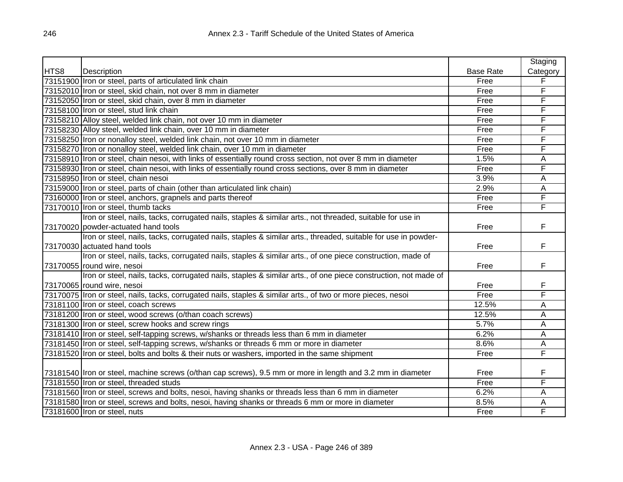|      |                                                                                                                |                  | Staging  |
|------|----------------------------------------------------------------------------------------------------------------|------------------|----------|
| HTS8 | Description                                                                                                    | <b>Base Rate</b> | Category |
|      | 73151900 Iron or steel, parts of articulated link chain                                                        | Free             | F        |
|      | 73152010 Iron or steel, skid chain, not over 8 mm in diameter                                                  | Free             | F        |
|      | 73152050 Iron or steel, skid chain, over 8 mm in diameter                                                      | Free             | F        |
|      | 73158100 Iron or steel, stud link chain                                                                        | Free             | F        |
|      | 73158210 Alloy steel, welded link chain, not over 10 mm in diameter                                            | Free             | F        |
|      | 73158230 Alloy steel, welded link chain, over 10 mm in diameter                                                | Free             | F        |
|      | 73158250 Iron or nonalloy steel, welded link chain, not over 10 mm in diameter                                 | Free             | F        |
|      | 73158270 Iron or nonalloy steel, welded link chain, over 10 mm in diameter                                     | Free             | F        |
|      | 73158910 Iron or steel, chain nesoi, with links of essentially round cross section, not over 8 mm in diameter  | 1.5%             | Α        |
|      | 73158930 Iron or steel, chain nesoi, with links of essentially round cross sections, over 8 mm in diameter     | Free             | F        |
|      | 73158950 Iron or steel, chain nesoi                                                                            | 3.9%             | A        |
|      | 73159000 Iron or steel, parts of chain (other than articulated link chain)                                     | 2.9%             | Α        |
|      | 73160000 Iron or steel, anchors, grapnels and parts thereof                                                    | Free             | F        |
|      | 73170010 Iron or steel, thumb tacks                                                                            | Free             | F        |
|      | Iron or steel, nails, tacks, corrugated nails, staples & similar arts., not threaded, suitable for use in      |                  |          |
|      | 73170020 powder-actuated hand tools                                                                            | Free             | F        |
|      | Iron or steel, nails, tacks, corrugated nails, staples & similar arts., threaded, suitable for use in powder-  |                  |          |
|      | 73170030 actuated hand tools                                                                                   | Free             | F        |
|      | Iron or steel, nails, tacks, corrugated nails, staples & similar arts., of one piece construction, made of     |                  |          |
|      | 73170055 round wire, nesoi                                                                                     | Free             | F        |
|      | Iron or steel, nails, tacks, corrugated nails, staples & similar arts., of one piece construction, not made of |                  |          |
|      | 73170065 round wire, nesoi                                                                                     | Free             | F        |
|      | 73170075 Iron or steel, nails, tacks, corrugated nails, staples & similar arts., of two or more pieces, nesoi  | Free             | F        |
|      | 73181100 Iron or steel, coach screws                                                                           | 12.5%            | A        |
|      | 73181200 Iron or steel, wood screws (o/than coach screws)                                                      | 12.5%            | A        |
|      | 73181300 Iron or steel, screw hooks and screw rings                                                            | 5.7%             | A        |
|      | 73181410 Iron or steel, self-tapping screws, w/shanks or threads less than 6 mm in diameter                    | 6.2%             | A        |
|      | 73181450 Iron or steel, self-tapping screws, w/shanks or threads 6 mm or more in diameter                      | 8.6%             | A        |
|      | 73181520 Iron or steel, bolts and bolts & their nuts or washers, imported in the same shipment                 | Free             | F        |
|      |                                                                                                                |                  |          |
|      | 73181540 Iron or steel, machine screws (o/than cap screws), 9.5 mm or more in length and 3.2 mm in diameter    | Free             | F        |
|      | 73181550 Iron or steel, threaded studs                                                                         | Free             | F        |
|      | 73181560 Iron or steel, screws and bolts, nesoi, having shanks or threads less than 6 mm in diameter           | 6.2%             | A        |
|      | 73181580 Iron or steel, screws and bolts, nesoi, having shanks or threads 6 mm or more in diameter             | 8.5%             | A        |
|      | 73181600 Iron or steel, nuts                                                                                   | Free             | F        |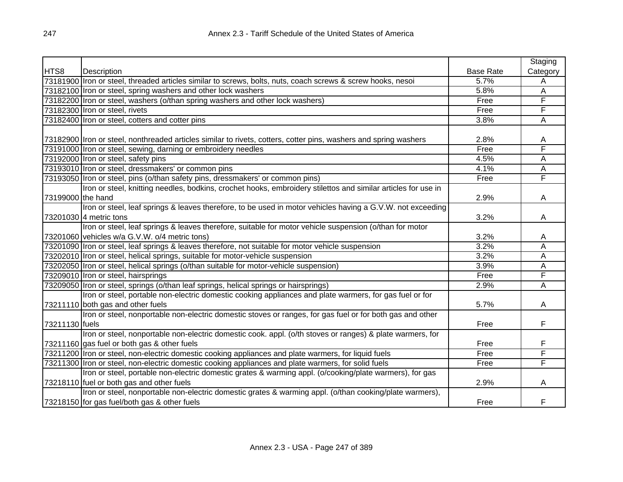|                   |                                                                                                                  |                  | Staging  |
|-------------------|------------------------------------------------------------------------------------------------------------------|------------------|----------|
| HTS8              | Description                                                                                                      | <b>Base Rate</b> | Category |
|                   | 73181900 Iron or steel, threaded articles similar to screws, bolts, nuts, coach screws & screw hooks, nesoi      | 5.7%             | Α        |
|                   | 73182100 Iron or steel, spring washers and other lock washers                                                    | 5.8%             | A        |
|                   | 73182200 Iron or steel, washers (o/than spring washers and other lock washers)                                   | Free             | F        |
|                   | 73182300 Iron or steel, rivets                                                                                   | Free             | F        |
|                   | 73182400 Iron or steel, cotters and cotter pins                                                                  | 3.8%             | Α        |
|                   |                                                                                                                  |                  |          |
|                   | 73182900 Iron or steel, nonthreaded articles similar to rivets, cotters, cotter pins, washers and spring washers | 2.8%             | A        |
|                   | 73191000 Iron or steel, sewing, darning or embroidery needles                                                    | Free             | F        |
|                   | 73192000 Iron or steel, safety pins                                                                              | 4.5%             | Α        |
|                   | 73193010 Iron or steel, dressmakers' or common pins                                                              | 4.1%             | A        |
|                   | 73193050 Iron or steel, pins (o/than safety pins, dressmakers' or common pins)                                   | Free             | F        |
|                   | Iron or steel, knitting needles, bodkins, crochet hooks, embroidery stilettos and similar articles for use in    |                  |          |
| 73199000 the hand |                                                                                                                  | 2.9%             | Α        |
|                   | Iron or steel, leaf springs & leaves therefore, to be used in motor vehicles having a G.V.W. not exceeding       |                  |          |
|                   | 73201030 4 metric tons                                                                                           | 3.2%             | A        |
|                   | Iron or steel, leaf springs & leaves therefore, suitable for motor vehicle suspension (o/than for motor          |                  |          |
|                   | 73201060 vehicles w/a G.V.W. o/4 metric tons)                                                                    | 3.2%             | A        |
|                   | 73201090 Iron or steel, leaf springs & leaves therefore, not suitable for motor vehicle suspension               | 3.2%             | A        |
|                   | 73202010 Iron or steel, helical springs, suitable for motor-vehicle suspension                                   | 3.2%             | A        |
|                   | 73202050 Iron or steel, helical springs (o/than suitable for motor-vehicle suspension)                           | 3.9%             | A        |
|                   | 73209010 Iron or steel, hairsprings                                                                              | Free             | F        |
|                   | 73209050 Iron or steel, springs (o/than leaf springs, helical springs or hairsprings)                            | 2.9%             | A        |
|                   | Iron or steel, portable non-electric domestic cooking appliances and plate warmers, for gas fuel or for          |                  |          |
|                   | 73211110 both gas and other fuels                                                                                | 5.7%             | A        |
|                   | Iron or steel, nonportable non-electric domestic stoves or ranges, for gas fuel or for both gas and other        |                  |          |
| 73211130 fuels    |                                                                                                                  | Free             | F        |
|                   | Iron or steel, nonportable non-electric domestic cook. appl. (o/th stoves or ranges) & plate warmers, for        |                  |          |
|                   | 73211160 gas fuel or both gas & other fuels                                                                      | Free             | F        |
|                   | 73211200 Iron or steel, non-electric domestic cooking appliances and plate warmers, for liquid fuels             | Free             | F        |
|                   | 73211300 Iron or steel, non-electric domestic cooking appliances and plate warmers, for solid fuels              | Free             | F        |
|                   | Iron or steel, portable non-electric domestic grates & warming appl. (o/cooking/plate warmers), for gas          |                  |          |
|                   | 73218110 fuel or both gas and other fuels                                                                        | 2.9%             | A        |
|                   | Iron or steel, nonportable non-electric domestic grates & warming appl. (o/than cooking/plate warmers),          |                  |          |
|                   | 73218150 for gas fuel/both gas & other fuels                                                                     | Free             | F        |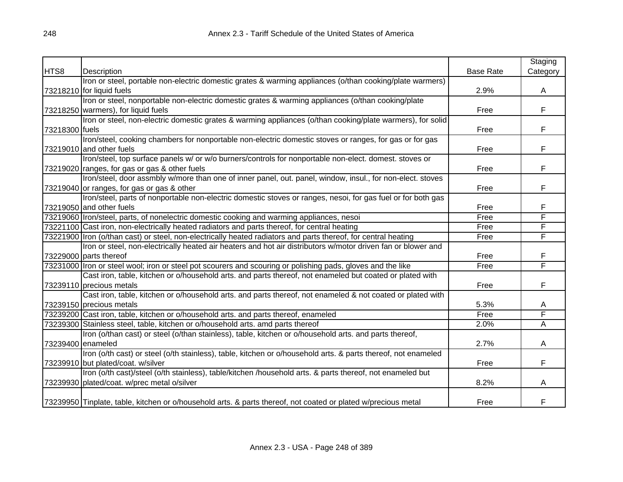|                   |                                                                                                                |                  | Staging                 |
|-------------------|----------------------------------------------------------------------------------------------------------------|------------------|-------------------------|
| HTS8              | Description                                                                                                    | <b>Base Rate</b> | Category                |
|                   | Iron or steel, portable non-electric domestic grates & warming appliances (o/than cooking/plate warmers)       |                  |                         |
|                   | 73218210 for liquid fuels                                                                                      | 2.9%             | A                       |
|                   | Iron or steel, nonportable non-electric domestic grates & warming appliances (o/than cooking/plate             |                  |                         |
|                   | 73218250 warmers), for liquid fuels                                                                            | Free             | F                       |
|                   | Iron or steel, non-electric domestic grates & warming appliances (o/than cooking/plate warmers), for solid     |                  |                         |
| 73218300 fuels    |                                                                                                                | Free             | F                       |
|                   | Iron/steel, cooking chambers for nonportable non-electric domestic stoves or ranges, for gas or for gas        |                  |                         |
|                   | 73219010 and other fuels                                                                                       | Free             | F                       |
|                   | Iron/steel, top surface panels w/ or w/o burners/controls for nonportable non-elect. domest. stoves or         |                  |                         |
|                   | 73219020   ranges, for gas or gas & other fuels                                                                | Free             | F                       |
|                   | Iron/steel, door assmbly w/more than one of inner panel, out. panel, window, insul., for non-elect. stoves     |                  |                         |
|                   | 73219040 or ranges, for gas or gas & other                                                                     | Free             | F                       |
|                   | Iron/steel, parts of nonportable non-electric domestic stoves or ranges, nesoi, for gas fuel or for both gas   |                  |                         |
|                   | 73219050 and other fuels                                                                                       | Free             | F                       |
|                   | 73219060 Iron/steel, parts, of nonelectric domestic cooking and warming appliances, nesoi                      | Free             | F                       |
|                   | 73221100 Cast iron, non-electrically heated radiators and parts thereof, for central heating                   | Free             | F                       |
|                   | 73221900 Iron (o/than cast) or steel, non-electrically heated radiators and parts thereof, for central heating | Free             | F                       |
|                   | Iron or steel, non-electrically heated air heaters and hot air distributors w/motor driven fan or blower and   |                  |                         |
|                   | 73229000 parts thereof                                                                                         | Free             | F                       |
|                   | 73231000 Iron or steel wool; iron or steel pot scourers and scouring or polishing pads, gloves and the like    | Free             | F                       |
|                   | Cast iron, table, kitchen or o/household arts. and parts thereof, not enameled but coated or plated with       |                  |                         |
|                   | 73239110 precious metals                                                                                       | Free             | F                       |
|                   | Cast iron, table, kitchen or o/household arts. and parts thereof, not enameled & not coated or plated with     |                  |                         |
|                   | 73239150 precious metals                                                                                       | 5.3%             | A                       |
|                   | 73239200 Cast iron, table, kitchen or o/household arts. and parts thereof, enameled                            | Free             | F                       |
|                   | 73239300 Stainless steel, table, kitchen or o/household arts. amd parts thereof                                | 2.0%             | $\overline{\mathsf{A}}$ |
|                   | Iron (o/than cast) or steel (o/than stainless), table, kitchen or o/household arts. and parts thereof,         |                  |                         |
| 73239400 enameled |                                                                                                                | 2.7%             | A                       |
|                   | Iron (o/th cast) or steel (o/th stainless), table, kitchen or o/household arts. & parts thereof, not enameled  |                  |                         |
|                   | 73239910 but plated/coat. w/silver                                                                             | Free             | F                       |
|                   | Iron (o/th cast)/steel (o/th stainless), table/kitchen /household arts. & parts thereof, not enameled but      |                  |                         |
|                   | 73239930 plated/coat. w/prec metal o/silver                                                                    | 8.2%             | A                       |
|                   |                                                                                                                |                  |                         |
|                   | 73239950 Tinplate, table, kitchen or o/household arts. & parts thereof, not coated or plated w/precious metal  | Free             | F                       |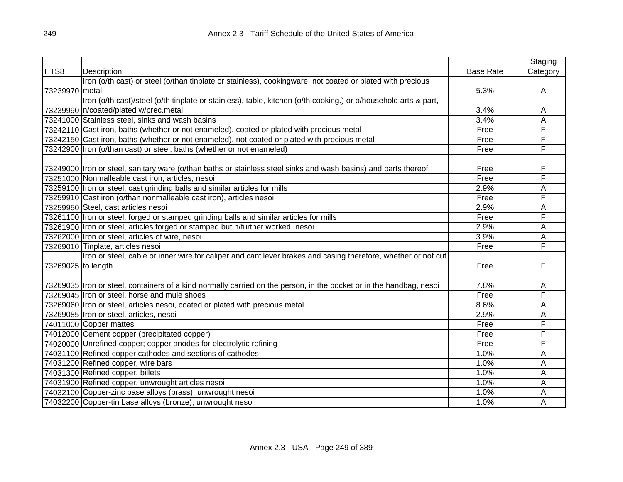|                    |                                                                                                                     |                  | Staging  |
|--------------------|---------------------------------------------------------------------------------------------------------------------|------------------|----------|
| HTS8               | Description                                                                                                         | <b>Base Rate</b> | Category |
|                    | Iron (o/th cast) or steel (o/than tinplate or stainless), cookingware, not coated or plated with precious           |                  |          |
| 73239970 metal     |                                                                                                                     | 5.3%             | A        |
|                    | Iron (o/th cast)/steel (o/th tinplate or stainless), table, kitchen (o/th cooking.) or o/household arts & part,     |                  |          |
|                    | 73239990 n/coated/plated w/prec.metal                                                                               | 3.4%             | A        |
|                    | 73241000 Stainless steel, sinks and wash basins                                                                     | 3.4%             | Α        |
|                    | 73242110 Cast iron, baths (whether or not enameled), coated or plated with precious metal                           | Free             | F        |
|                    | 73242150 Cast iron, baths (whether or not enameled), not coated or plated with precious metal                       | Free             | F        |
|                    | 73242900 Iron (o/than cast) or steel, baths (whether or not enameled)                                               | Free             | F        |
|                    |                                                                                                                     |                  |          |
|                    | 73249000 Iron or steel, sanitary ware (o/than baths or stainless steel sinks and wash basins) and parts thereof     | Free             | F        |
|                    | 73251000 Nonmalleable cast iron, articles, nesoi                                                                    | Free             | F        |
|                    | 73259100 Iron or steel, cast grinding balls and similar articles for mills                                          | 2.9%             | Α        |
|                    | 73259910 Cast iron (o/than nonmalleable cast iron), articles nesoi                                                  | Free             | F        |
|                    | 73259950 Steel, cast articles nesoi                                                                                 | 2.9%             | А        |
|                    | 73261100 Iron or steel, forged or stamped grinding balls and similar articles for mills                             | Free             | F        |
|                    | 73261900 Iron or steel, articles forged or stamped but n/further worked, nesoi                                      | 2.9%             | Α        |
|                    | 73262000 Iron or steel, articles of wire, nesoi                                                                     | 3.9%             | A        |
|                    | 73269010 Tinplate, articles nesoi                                                                                   | Free             | F        |
|                    | Iron or steel, cable or inner wire for caliper and cantilever brakes and casing therefore, whether or not cut       |                  |          |
| 73269025 to length |                                                                                                                     | Free             | F        |
|                    |                                                                                                                     |                  |          |
|                    | 73269035 Iron or steel, containers of a kind normally carried on the person, in the pocket or in the handbag, nesoi | 7.8%             | A        |
|                    | 73269045 Iron or steel, horse and mule shoes                                                                        | Free             | F        |
|                    | 73269060 Iron or steel, articles nesoi, coated or plated with precious metal                                        | 8.6%             | A        |
|                    | 73269085 Iron or steel, articles, nesoi                                                                             | 2.9%             | Α        |
|                    | 74011000 Copper mattes                                                                                              | Free             | F        |
|                    | 74012000 Cement copper (precipitated copper)                                                                        | Free             | F        |
|                    | 74020000 Unrefined copper; copper anodes for electrolytic refining                                                  | Free             | F        |
|                    | 74031100 Refined copper cathodes and sections of cathodes                                                           | 1.0%             | Α        |
|                    | 74031200 Refined copper, wire bars                                                                                  | 1.0%             | Α        |
|                    | 74031300 Refined copper, billets                                                                                    | 1.0%             | Α        |
|                    | 74031900 Refined copper, unwrought articles nesoi                                                                   | 1.0%             | Α        |
|                    | 74032100 Copper-zinc base alloys (brass), unwrought nesoi                                                           | 1.0%             | Α        |
|                    | 74032200 Copper-tin base alloys (bronze), unwrought nesoi                                                           | 1.0%             | А        |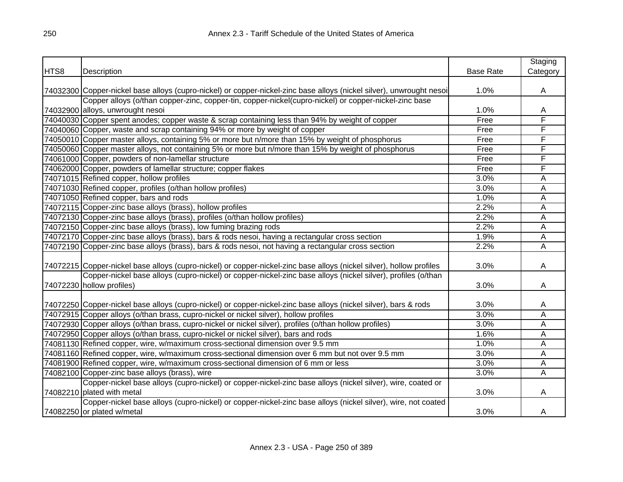|      |                                                                                                                      |                  | Staging  |
|------|----------------------------------------------------------------------------------------------------------------------|------------------|----------|
| HTS8 | Description                                                                                                          | <b>Base Rate</b> | Category |
|      |                                                                                                                      |                  |          |
|      | 74032300 Copper-nickel base alloys (cupro-nickel) or copper-nickel-zinc base alloys (nickel silver), unwrought nesoi | 1.0%             | A        |
|      | Copper alloys (o/than copper-zinc, copper-tin, copper-nickel(cupro-nickel) or copper-nickel-zinc base                |                  |          |
|      | 74032900 alloys, unwrought nesoi                                                                                     | 1.0%             | A        |
|      | 74040030 Copper spent anodes; copper waste & scrap containing less than 94% by weight of copper                      | Free             | F        |
|      | 74040060 Copper, waste and scrap containing 94% or more by weight of copper                                          | Free             | F        |
|      | 74050010 Copper master alloys, containing 5% or more but n/more than 15% by weight of phosphorus                     | Free             | F        |
|      | 74050060 Copper master alloys, not containing 5% or more but n/more than 15% by weight of phosphorus                 | Free             | F        |
|      | 74061000 Copper, powders of non-lamellar structure                                                                   | Free             | F        |
|      | 74062000 Copper, powders of lamellar structure; copper flakes                                                        | Free             | F        |
|      | 74071015 Refined copper, hollow profiles                                                                             | 3.0%             | Α        |
|      | 74071030 Refined copper, profiles (o/than hollow profiles)                                                           | 3.0%             | Α        |
|      | 74071050 Refined copper, bars and rods                                                                               | 1.0%             | Α        |
|      | 74072115 Copper-zinc base alloys (brass), hollow profiles                                                            | 2.2%             | A        |
|      | 74072130 Copper-zinc base alloys (brass), profiles (o/than hollow profiles)                                          | 2.2%             | Α        |
|      | 74072150 Copper-zinc base alloys (brass), low fuming brazing rods                                                    | 2.2%             | Α        |
|      | 74072170 Copper-zinc base alloys (brass), bars & rods nesoi, having a rectangular cross section                      | 1.9%             | A        |
|      | 74072190 Copper-zinc base alloys (brass), bars & rods nesoi, not having a rectangular cross section                  | 2.2%             | A        |
|      |                                                                                                                      |                  |          |
|      | 74072215 Copper-nickel base alloys (cupro-nickel) or copper-nickel-zinc base alloys (nickel silver), hollow profiles | 3.0%             | A        |
|      | Copper-nickel base alloys (cupro-nickel) or copper-nickel-zinc base alloys (nickel silver), profiles (o/than         |                  |          |
|      | 74072230 hollow profiles)                                                                                            | 3.0%             | A        |
|      |                                                                                                                      |                  |          |
|      | 74072250 Copper-nickel base alloys (cupro-nickel) or copper-nickel-zinc base alloys (nickel silver), bars & rods     | 3.0%             | A        |
|      | 74072915 Copper alloys (o/than brass, cupro-nickel or nickel silver), hollow profiles                                | 3.0%             | Α        |
|      | 74072930 Copper alloys (o/than brass, cupro-nickel or nickel silver), profiles (o/than hollow profiles)              | 3.0%             | Α        |
|      | 74072950 Copper alloys (o/than brass, cupro-nickel or nickel silver), bars and rods                                  | 1.6%             | A        |
|      | 74081130 Refined copper, wire, w/maximum cross-sectional dimension over 9.5 mm                                       | 1.0%             | Α        |
|      | 74081160 Refined copper, wire, w/maximum cross-sectional dimension over 6 mm but not over 9.5 mm                     | 3.0%             | Α        |
|      | 74081900 Refined copper, wire, w/maximum cross-sectional dimension of 6 mm or less                                   | 3.0%             | A        |
|      | 74082100 Copper-zinc base alloys (brass), wire                                                                       | 3.0%             | A        |
|      | Copper-nickel base alloys (cupro-nickel) or copper-nickel-zinc base alloys (nickel silver), wire, coated or          |                  |          |
|      | 74082210 plated with metal                                                                                           | 3.0%             | A        |
|      | Copper-nickel base alloys (cupro-nickel) or copper-nickel-zinc base alloys (nickel silver), wire, not coated         |                  |          |
|      | 74082250 or plated w/metal                                                                                           | 3.0%             | A        |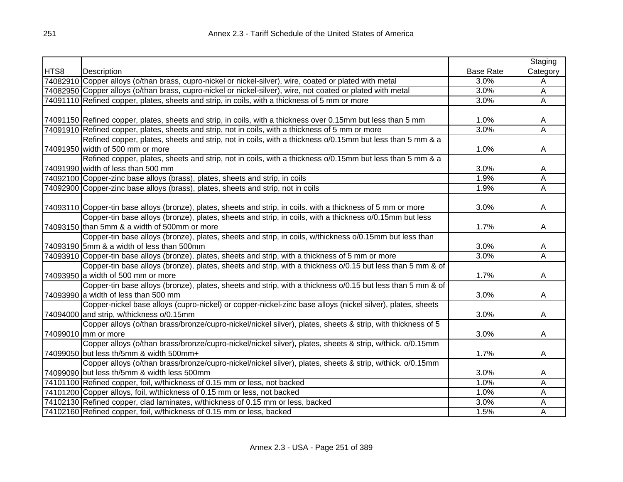|      |                                                                                                                |                  | Staging                 |
|------|----------------------------------------------------------------------------------------------------------------|------------------|-------------------------|
| HTS8 | Description                                                                                                    | <b>Base Rate</b> | Category                |
|      | 74082910 Copper alloys (o/than brass, cupro-nickel or nickel-silver), wire, coated or plated with metal        | 3.0%             | A                       |
|      | 74082950 Copper alloys (o/than brass, cupro-nickel or nickel-silver), wire, not coated or plated with metal    | 3.0%             | $\overline{A}$          |
|      | 74091110 Refined copper, plates, sheets and strip, in coils, with a thickness of 5 mm or more                  | 3.0%             | $\overline{A}$          |
|      |                                                                                                                |                  |                         |
|      | 74091150 Refined copper, plates, sheets and strip, in coils, with a thickness over 0.15mm but less than 5 mm   | 1.0%             | A                       |
|      | 74091910 Refined copper, plates, sheets and strip, not in coils, with a thickness of 5 mm or more              | 3.0%             | Ā                       |
|      | Refined copper, plates, sheets and strip, not in coils, with a thickness o/0.15mm but less than 5 mm & a       |                  |                         |
|      | 74091950 width of 500 mm or more                                                                               | 1.0%             | A                       |
|      | Refined copper, plates, sheets and strip, not in coils, with a thickness o/0.15mm but less than 5 mm & a       |                  |                         |
|      | 74091990 width of less than 500 mm                                                                             | 3.0%             | A                       |
|      | 74092100 Copper-zinc base alloys (brass), plates, sheets and strip, in coils                                   | 1.9%             | $\overline{\mathsf{A}}$ |
|      | 74092900 Copper-zinc base alloys (brass), plates, sheets and strip, not in coils                               | 1.9%             | $\overline{\mathsf{A}}$ |
|      |                                                                                                                |                  |                         |
|      | 74093110 Copper-tin base alloys (bronze), plates, sheets and strip, in coils. with a thickness of 5 mm or more | 3.0%             | A                       |
|      | Copper-tin base alloys (bronze), plates, sheets and strip, in coils, with a thickness o/0.15mm but less        |                  |                         |
|      | 74093150 than 5mm & a width of 500mm or more                                                                   | 1.7%             | A                       |
|      | Copper-tin base alloys (bronze), plates, sheets and strip, in coils, w/thickness o/0.15mm but less than        |                  |                         |
|      | 74093190 5mm & a width of less than 500mm                                                                      | 3.0%             | A                       |
|      | 74093910 Copper-tin base alloys (bronze), plates, sheets and strip, with a thickness of 5 mm or more           | 3.0%             | Ā                       |
|      | Copper-tin base alloys (bronze), plates, sheets and strip, with a thickness o/0.15 but less than 5 mm & of     |                  |                         |
|      | 74093950 a width of 500 mm or more                                                                             | 1.7%             | A                       |
|      | Copper-tin base alloys (bronze), plates, sheets and strip, with a thickness o/0.15 but less than 5 mm & of     |                  |                         |
|      | 74093990 a width of less than 500 mm                                                                           | 3.0%             | A                       |
|      | Copper-nickel base alloys (cupro-nickel) or copper-nickel-zinc base alloys (nickel silver), plates, sheets     |                  |                         |
|      | 74094000 and strip, w/thickness o/0.15mm                                                                       | 3.0%             | A                       |
|      | Copper alloys (o/than brass/bronze/cupro-nickel/nickel silver), plates, sheets & strip, with thickness of 5    |                  |                         |
|      | 74099010 mm or more                                                                                            | 3.0%             | A                       |
|      | Copper alloys (o/than brass/bronze/cupro-nickel/nickel silver), plates, sheets & strip, w/thick. o/0.15mm      |                  |                         |
|      | 74099050 but less th/5mm & width 500mm+                                                                        | 1.7%             | A                       |
|      | Copper alloys (o/than brass/bronze/cupro-nickel/nickel silver), plates, sheets & strip, w/thick. o/0.15mm      |                  |                         |
|      | 74099090 but less th/5mm & width less 500mm                                                                    | 3.0%             | A                       |
|      | 74101100 Refined copper, foil, w/thickness of 0.15 mm or less, not backed                                      | 1.0%             | A                       |
|      | 74101200 Copper alloys, foil, w/thickness of 0.15 mm or less, not backed                                       | 1.0%             | A                       |
|      | 74102130 Refined copper, clad laminates, w/thickness of 0.15 mm or less, backed                                | 3.0%             | A                       |
|      | 74102160 Refined copper, foil, w/thickness of 0.15 mm or less, backed                                          | 1.5%             | A                       |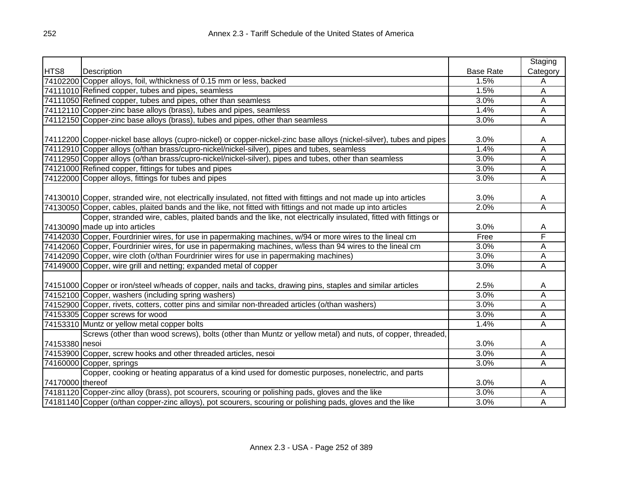|                  |                                                                                                                      |                  | Staging  |
|------------------|----------------------------------------------------------------------------------------------------------------------|------------------|----------|
| HTS8             | Description                                                                                                          | <b>Base Rate</b> | Category |
|                  | 74102200 Copper alloys, foil, w/thickness of 0.15 mm or less, backed                                                 | 1.5%             | A        |
|                  | 74111010 Refined copper, tubes and pipes, seamless                                                                   | 1.5%             | A        |
|                  | 74111050 Refined copper, tubes and pipes, other than seamless                                                        | 3.0%             | A        |
|                  | 74112110 Copper-zinc base alloys (brass), tubes and pipes, seamless                                                  | 1.4%             | Α        |
|                  | 74112150 Copper-zinc base alloys (brass), tubes and pipes, other than seamless                                       | 3.0%             | A        |
|                  |                                                                                                                      |                  |          |
|                  | 74112200 Copper-nickel base alloys (cupro-nickel) or copper-nickel-zinc base alloys (nickel-silver), tubes and pipes | 3.0%             | A        |
|                  | 74112910 Copper alloys (o/than brass/cupro-nickel/nickel-silver), pipes and tubes, seamless                          | 1.4%             | Α        |
|                  | 74112950 Copper alloys (o/than brass/cupro-nickel/nickel-silver), pipes and tubes, other than seamless               | 3.0%             | А        |
|                  | 74121000 Refined copper, fittings for tubes and pipes                                                                | 3.0%             | Ā        |
|                  | 74122000 Copper alloys, fittings for tubes and pipes                                                                 | 3.0%             | A        |
|                  |                                                                                                                      |                  |          |
|                  | 74130010 Copper, stranded wire, not electrically insulated, not fitted with fittings and not made up into articles   | 3.0%             | A        |
|                  | 74130050 Copper, cables, plaited bands and the like, not fitted with fittings and not made up into articles          | 2.0%             | Ā        |
|                  | Copper, stranded wire, cables, plaited bands and the like, not electrically insulated, fitted with fittings or       |                  |          |
|                  | 74130090 made up into articles                                                                                       | 3.0%             | A        |
|                  | 74142030 Copper, Fourdrinier wires, for use in papermaking machines, w/94 or more wires to the lineal cm             | Free             | F        |
|                  | 74142060 Copper, Fourdrinier wires, for use in papermaking machines, w/less than 94 wires to the lineal cm           | 3.0%             | Α        |
|                  | 74142090 Copper, wire cloth (o/than Fourdrinier wires for use in papermaking machines)                               | 3.0%             | Α        |
|                  | 74149000 Copper, wire grill and netting; expanded metal of copper                                                    | 3.0%             | Ā        |
|                  |                                                                                                                      |                  |          |
|                  | 74151000 Copper or iron/steel w/heads of copper, nails and tacks, drawing pins, staples and similar articles         | 2.5%             | A        |
|                  | 74152100 Copper, washers (including spring washers)                                                                  | 3.0%             | Α        |
|                  | 74152900 Copper, rivets, cotters, cotter pins and similar non-threaded articles (o/than washers)                     | 3.0%             | A        |
|                  | 74153305 Copper screws for wood                                                                                      | 3.0%             | A        |
|                  | 74153310 Muntz or yellow metal copper bolts                                                                          | 1.4%             | А        |
|                  | Screws (other than wood screws), bolts (other than Muntz or yellow metal) and nuts, of copper, threaded,             |                  |          |
| 74153380 nesoi   |                                                                                                                      | 3.0%             | A        |
|                  | 74153900 Copper, screw hooks and other threaded articles, nesoi                                                      | 3.0%             | Α        |
|                  | 74160000 Copper, springs                                                                                             | 3.0%             | A        |
|                  | Copper, cooking or heating apparatus of a kind used for domestic purposes, nonelectric, and parts                    |                  |          |
| 74170000 thereof |                                                                                                                      | 3.0%             | A        |
|                  | 74181120 Copper-zinc alloy (brass), pot scourers, scouring or polishing pads, gloves and the like                    | 3.0%             | Α        |
|                  | 74181140 Copper (o/than copper-zinc alloys), pot scourers, scouring or polishing pads, gloves and the like           | 3.0%             | А        |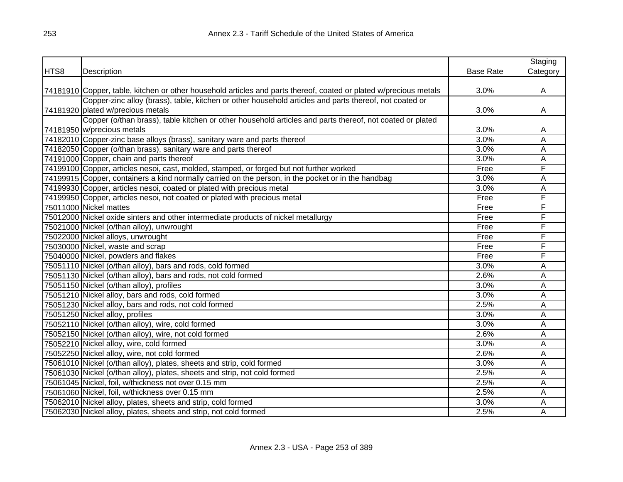|      |                                                                                                                   |                  | Staging  |
|------|-------------------------------------------------------------------------------------------------------------------|------------------|----------|
| HTS8 | Description                                                                                                       | <b>Base Rate</b> | Category |
|      |                                                                                                                   |                  |          |
|      | 74181910 Copper, table, kitchen or other household articles and parts thereof, coated or plated w/precious metals | 3.0%             | A        |
|      | Copper-zinc alloy (brass), table, kitchen or other household articles and parts thereof, not coated or            |                  |          |
|      | 74181920 plated w/precious metals                                                                                 | 3.0%             | A        |
|      | Copper (o/than brass), table kitchen or other household articles and parts thereof, not coated or plated          |                  |          |
|      | 74181950 w/precious metals                                                                                        | 3.0%             | A        |
|      | 74182010 Copper-zinc base alloys (brass), sanitary ware and parts thereof                                         | 3.0%             | Α        |
|      | 74182050 Copper (o/than brass), sanitary ware and parts thereof                                                   | 3.0%             | Α        |
|      | 74191000 Copper, chain and parts thereof                                                                          | 3.0%             | Α        |
|      | 74199100 Copper, articles nesoi, cast, molded, stamped, or forged but not further worked                          | Free             | F        |
|      | 74199915 Copper, containers a kind normally carried on the person, in the pocket or in the handbag                | 3.0%             | A        |
|      | 74199930 Copper, articles nesoi, coated or plated with precious metal                                             | 3.0%             | Α        |
|      | 74199950 Copper, articles nesoi, not coated or plated with precious metal                                         | Free             | F        |
|      | 75011000 Nickel mattes                                                                                            | Free             | F        |
|      | 75012000 Nickel oxide sinters and other intermediate products of nickel metallurgy                                | Free             | F        |
|      | 75021000 Nickel (o/than alloy), unwrought                                                                         | Free             | F        |
|      | 75022000 Nickel alloys, unwrought                                                                                 | Free             | F        |
|      | 75030000 Nickel, waste and scrap                                                                                  | Free             | F        |
|      | 75040000 Nickel, powders and flakes                                                                               | Free             | F        |
|      | 75051110 Nickel (o/than alloy), bars and rods, cold formed                                                        | 3.0%             | Α        |
|      | 75051130 Nickel (o/than alloy), bars and rods, not cold formed                                                    | 2.6%             | Α        |
|      | 75051150 Nickel (o/than alloy), profiles                                                                          | 3.0%             | Α        |
|      | 75051210 Nickel alloy, bars and rods, cold formed                                                                 | 3.0%             | Α        |
|      | 75051230 Nickel alloy, bars and rods, not cold formed                                                             | 2.5%             | Α        |
|      | 75051250 Nickel alloy, profiles                                                                                   | 3.0%             | Α        |
|      | 75052110 Nickel (o/than alloy), wire, cold formed                                                                 | 3.0%             | Α        |
|      | 75052150 Nickel (o/than alloy), wire, not cold formed                                                             | 2.6%             | Α        |
|      | 75052210 Nickel alloy, wire, cold formed                                                                          | 3.0%             | Α        |
|      | 75052250 Nickel alloy, wire, not cold formed                                                                      | 2.6%             | Α        |
|      | 75061010 Nickel (o/than alloy), plates, sheets and strip, cold formed                                             | 3.0%             | Α        |
|      | 75061030 Nickel (o/than alloy), plates, sheets and strip, not cold formed                                         | 2.5%             | Α        |
|      | 75061045 Nickel, foil, w/thickness not over 0.15 mm                                                               | 2.5%             | Α        |
|      | 75061060 Nickel, foil, w/thickness over 0.15 mm                                                                   | 2.5%             | Α        |
|      | 75062010 Nickel alloy, plates, sheets and strip, cold formed                                                      | 3.0%             | Α        |
|      | 75062030 Nickel alloy, plates, sheets and strip, not cold formed                                                  | 2.5%             | Ā        |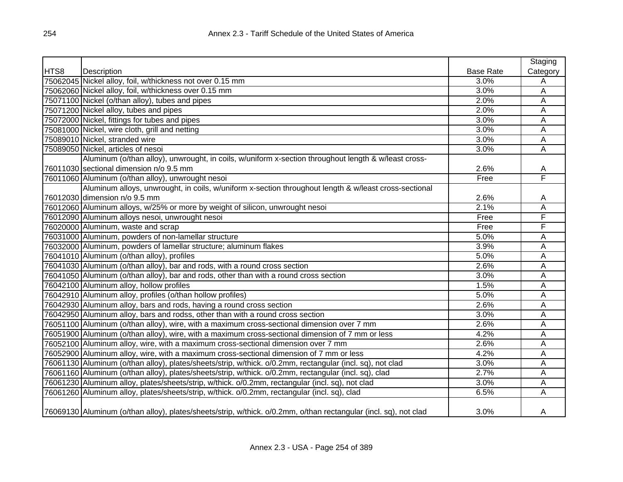|      |                                                                                                                  |                  | Staging                 |
|------|------------------------------------------------------------------------------------------------------------------|------------------|-------------------------|
| HTS8 | Description                                                                                                      | <b>Base Rate</b> | Category                |
|      | 75062045 Nickel alloy, foil, w/thickness not over 0.15 mm                                                        | 3.0%             | Α                       |
|      | 75062060 Nickel alloy, foil, w/thickness over 0.15 mm                                                            | 3.0%             | A                       |
|      | 75071100 Nickel (o/than alloy), tubes and pipes                                                                  | 2.0%             | A                       |
|      | 75071200 Nickel alloy, tubes and pipes                                                                           | 2.0%             | A                       |
|      | 75072000 Nickel, fittings for tubes and pipes                                                                    | 3.0%             | Α                       |
|      | 75081000 Nickel, wire cloth, grill and netting                                                                   | 3.0%             | Α                       |
|      | 75089010 Nickel, stranded wire                                                                                   | 3.0%             | A                       |
|      | 75089050 Nickel, articles of nesoi                                                                               | 3.0%             | A                       |
|      | Aluminum (o/than alloy), unwrought, in coils, w/uniform x-section throughout length & w/least cross-             |                  |                         |
|      | 76011030 sectional dimension n/o 9.5 mm                                                                          | 2.6%             | A                       |
|      | 76011060 Aluminum (o/than alloy), unwrought nesoi                                                                | Free             | F                       |
|      | Aluminum alloys, unwrought, in coils, w/uniform x-section throughout length & w/least cross-sectional            |                  |                         |
|      | 76012030 dimension n/o 9.5 mm                                                                                    | 2.6%             | Α                       |
|      | 76012060 Aluminum alloys, w/25% or more by weight of silicon, unwrought nesoi                                    | 2.1%             | Α                       |
|      | 76012090 Aluminum alloys nesoi, unwrought nesoi                                                                  | Free             | F                       |
|      | 76020000 Aluminum, waste and scrap                                                                               | Free             | F                       |
|      | 76031000 Aluminum, powders of non-lamellar structure                                                             | 5.0%             | Α                       |
|      | 76032000 Aluminum, powders of lamellar structure; aluminum flakes                                                | 3.9%             | Α                       |
|      | 76041010 Aluminum (o/than alloy), profiles                                                                       | 5.0%             | A                       |
|      | 76041030 Aluminum (o/than alloy), bar and rods, with a round cross section                                       | 2.6%             | Α                       |
|      | 76041050 Aluminum (o/than alloy), bar and rods, other than with a round cross section                            | 3.0%             | Α                       |
|      | 76042100 Aluminum alloy, hollow profiles                                                                         | 1.5%             | $\overline{\mathsf{A}}$ |
|      | 76042910 Aluminum alloy, profiles (o/than hollow profiles)                                                       | 5.0%             | $\overline{\mathsf{A}}$ |
|      | 76042930 Aluminum alloy, bars and rods, having a round cross section                                             | 2.6%             | Α                       |
|      | 76042950 Aluminum alloy, bars and rodss, other than with a round cross section                                   | 3.0%             | Α                       |
|      | 76051100 Aluminum (o/than alloy), wire, with a maximum cross-sectional dimension over 7 mm                       | 2.6%             | A                       |
|      | 76051900 Aluminum (o/than alloy), wire, with a maximum cross-sectional dimension of 7 mm or less                 | 4.2%             | A                       |
|      | 76052100 Aluminum alloy, wire, with a maximum cross-sectional dimension over 7 mm                                | 2.6%             | Α                       |
|      | 76052900 Aluminum alloy, wire, with a maximum cross-sectional dimension of 7 mm or less                          | 4.2%             | Α                       |
|      | 76061130 Aluminum (o/than alloy), plates/sheets/strip, w/thick. o/0.2mm, rectangular (incl. sq), not clad        | 3.0%             | А                       |
|      | 76061160 Aluminum (o/than alloy), plates/sheets/strip, w/thick. o/0.2mm, rectangular (incl. sq), clad            | 2.7%             | А                       |
|      | 76061230 Aluminum alloy, plates/sheets/strip, w/thick. o/0.2mm, rectangular (incl. sq), not clad                 | 3.0%             | А                       |
|      | 76061260 Aluminum alloy, plates/sheets/strip, w/thick. o/0.2mm, rectangular (incl. sq), clad                     | 6.5%             | Α                       |
|      | 76069130 Aluminum (o/than alloy), plates/sheets/strip, w/thick. o/0.2mm, o/than rectangular (incl. sq), not clad | 3.0%             | A                       |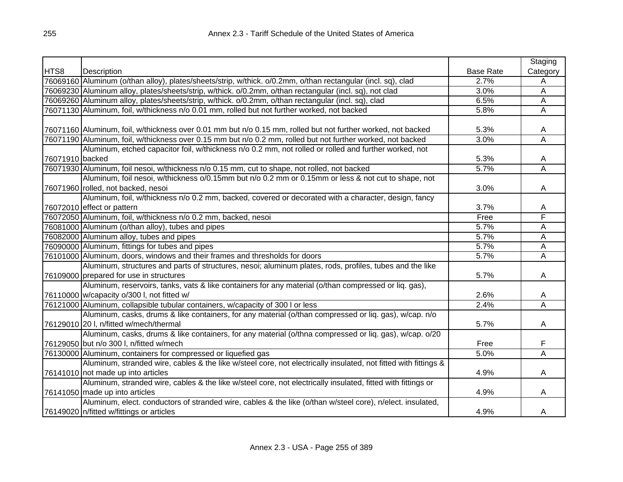|                 |                                                                                                                 |                  | Staging  |
|-----------------|-----------------------------------------------------------------------------------------------------------------|------------------|----------|
| HTS8            | Description                                                                                                     | <b>Base Rate</b> | Category |
|                 | 76069160 Aluminum (o/than alloy), plates/sheets/strip, w/thick. o/0.2mm, o/than rectangular (incl. sq), clad    | 2.7%             | Α        |
|                 | 76069230 Aluminum alloy, plates/sheets/strip, w/thick. o/0.2mm, o/than rectangular (incl. sq), not clad         | 3.0%             | A        |
|                 | 76069260 Aluminum alloy, plates/sheets/strip, w/thick. o/0.2mm, o/than rectangular (incl. sq), clad             | 6.5%             | Α        |
|                 | 76071130 Aluminum, foil, w/thickness n/o 0.01 mm, rolled but not further worked, not backed                     | 5.8%             | Α        |
|                 |                                                                                                                 |                  |          |
|                 | 76071160 Aluminum, foil, w/thickness over 0.01 mm but n/o 0.15 mm, rolled but not further worked, not backed    | 5.3%             | A        |
|                 | 76071190 Aluminum, foil, w/thickness over 0.15 mm but n/o 0.2 mm, rolled but not further worked, not backed     | 3.0%             | Α        |
|                 | Aluminum, etched capacitor foil, w/thickness n/o 0.2 mm, not rolled or rolled and further worked, not           |                  |          |
| 76071910 backed |                                                                                                                 | 5.3%             | A        |
|                 | 76071930 Aluminum, foil nesoi, w/thickness n/o 0.15 mm, cut to shape, not rolled, not backed                    | 5.7%             | Α        |
|                 | Aluminum, foil nesoi, w/thickness o/0.15mm but n/o 0.2 mm or 0.15mm or less & not cut to shape, not             |                  |          |
|                 | 76071960 rolled, not backed, nesoi                                                                              | 3.0%             | A        |
|                 | Aluminum, foil, w/thickness n/o 0.2 mm, backed, covered or decorated with a character, design, fancy            |                  |          |
|                 | 76072010 effect or pattern                                                                                      | 3.7%             | A        |
|                 | 76072050 Aluminum, foil, w/thickness n/o 0.2 mm, backed, nesoi                                                  | Free             | F        |
|                 | 76081000 Aluminum (o/than alloy), tubes and pipes                                                               | 5.7%             | Α        |
|                 | 76082000 Aluminum alloy, tubes and pipes                                                                        | 5.7%             | A        |
|                 | 76090000 Aluminum, fittings for tubes and pipes                                                                 | 5.7%             | Α        |
|                 | 76101000 Aluminum, doors, windows and their frames and thresholds for doors                                     | 5.7%             | A        |
|                 | Aluminum, structures and parts of structures, nesoi; aluminum plates, rods, profiles, tubes and the like        |                  |          |
|                 | 76109000 prepared for use in structures                                                                         | 5.7%             | A        |
|                 | Aluminum, reservoirs, tanks, vats & like containers for any material (o/than compressed or liq. gas),           |                  |          |
|                 | 76110000 w/capacity o/300 l, not fitted w/                                                                      | 2.6%             | A        |
|                 | 76121000 Aluminum, collapsible tubular containers, w/capacity of 300 I or less                                  | 2.4%             | A        |
|                 | Aluminum, casks, drums & like containers, for any material (o/than compressed or liq. gas), w/cap. n/o          |                  |          |
|                 | 76129010 20 I, n/fitted w/mech/thermal                                                                          | 5.7%             | A        |
|                 | Aluminum, casks, drums & like containers, for any material (o/thna compressed or liq. gas), w/cap. o/20         |                  |          |
|                 | 76129050 but n/o 300 l, n/fitted w/mech                                                                         | Free             | F        |
|                 | 76130000 Aluminum, containers for compressed or liquefied gas                                                   | 5.0%             | Ā        |
|                 | Aluminum, stranded wire, cables & the like w/steel core, not electrically insulated, not fitted with fittings & |                  |          |
|                 | 76141010 not made up into articles                                                                              | 4.9%             | A        |
|                 | Aluminum, stranded wire, cables & the like w/steel core, not electrically insulated, fitted with fittings or    |                  |          |
|                 | 76141050 made up into articles                                                                                  | 4.9%             | A        |
|                 | Aluminum, elect. conductors of stranded wire, cables & the like (o/than w/steel core), n/elect. insulated,      |                  |          |
|                 | 76149020 n/fitted w/fittings or articles                                                                        | 4.9%             | A        |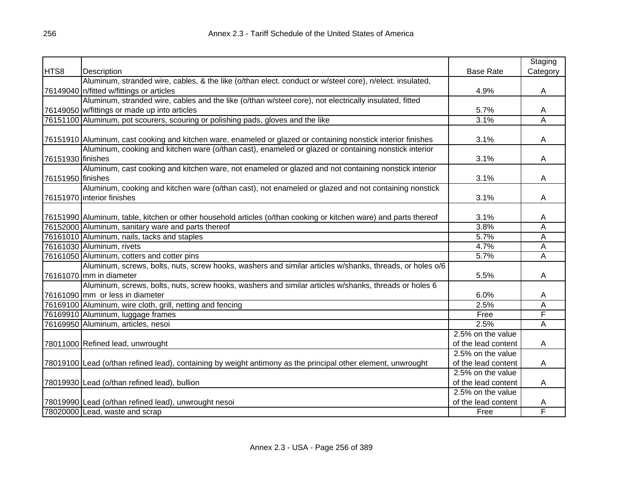|                   |                                                                                                                  |                     | Staging                 |
|-------------------|------------------------------------------------------------------------------------------------------------------|---------------------|-------------------------|
| HTS8              | Description                                                                                                      | <b>Base Rate</b>    | Category                |
|                   | Aluminum, stranded wire, cables, & the like (o/than elect. conduct or w/steel core), n/elect. insulated,         |                     |                         |
|                   | 76149040 n/fitted w/fittings or articles                                                                         | 4.9%                | A                       |
|                   | Aluminum, stranded wire, cables and the like (o/than w/steel core), not electrically insulated, fitted           |                     |                         |
|                   | 76149050 w/fittings or made up into articles                                                                     | 5.7%                | Α                       |
|                   | 76151100 Aluminum, pot scourers, scouring or polishing pads, gloves and the like                                 | 3.1%                | Ā                       |
|                   |                                                                                                                  |                     |                         |
|                   | 76151910 Aluminum, cast cooking and kitchen ware, enameled or glazed or containing nonstick interior finishes    | 3.1%                | Α                       |
|                   | Aluminum, cooking and kitchen ware (o/than cast), enameled or glazed or containing nonstick interior             |                     |                         |
| 76151930 finishes |                                                                                                                  | 3.1%                | Α                       |
|                   | Aluminum, cast cooking and kitchen ware, not enameled or glazed and not containing nonstick interior             |                     |                         |
| 76151950 finishes |                                                                                                                  | 3.1%                | Α                       |
|                   | Aluminum, cooking and kitchen ware (o/than cast), not enameled or glazed and not containing nonstick             |                     |                         |
|                   | 76151970 interior finishes                                                                                       | 3.1%                | A                       |
|                   |                                                                                                                  |                     |                         |
|                   | 76151990 Aluminum, table, kitchen or other household articles (o/than cooking or kitchen ware) and parts thereof | 3.1%                | A                       |
|                   | 76152000 Aluminum, sanitary ware and parts thereof                                                               | 3.8%                | Ā                       |
|                   | 76161010 Aluminum, nails, tacks and staples                                                                      | 5.7%                | $\overline{\mathsf{A}}$ |
|                   | 76161030 Aluminum, rivets                                                                                        | 4.7%                | $\overline{\mathsf{A}}$ |
|                   | 76161050 Aluminum, cotters and cotter pins                                                                       | 5.7%                | Ā                       |
|                   | Aluminum, screws, bolts, nuts, screw hooks, washers and similar articles w/shanks, threads, or holes o/6         |                     |                         |
|                   | 76161070 mm in diameter                                                                                          | 5.5%                | Α                       |
|                   | Aluminum, screws, bolts, nuts, screw hooks, washers and similar articles w/shanks, threads or holes 6            |                     |                         |
|                   | 76161090 mm or less in diameter                                                                                  | 6.0%                | A                       |
|                   | 76169100 Aluminum, wire cloth, grill, netting and fencing                                                        | 2.5%                | Α                       |
|                   | 76169910 Aluminum, luggage frames                                                                                | Free                | F                       |
|                   | 76169950 Aluminum, articles, nesoi                                                                               | 2.5%                | Ā                       |
|                   |                                                                                                                  | 2.5% on the value   |                         |
|                   | 78011000 Refined lead, unwrought                                                                                 | of the lead content | A                       |
|                   |                                                                                                                  | 2.5% on the value   |                         |
|                   | 78019100 Lead (o/than refined lead), containing by weight antimony as the principal other element, unwrought     | of the lead content | A                       |
|                   |                                                                                                                  | 2.5% on the value   |                         |
|                   | 78019930 Lead (o/than refined lead), bullion                                                                     | of the lead content | A                       |
|                   |                                                                                                                  | 2.5% on the value   |                         |
|                   | 78019990 Lead (o/than refined lead), unwrought nesoi                                                             | of the lead content | A                       |
|                   | 78020000 Lead, waste and scrap                                                                                   | Free                | F                       |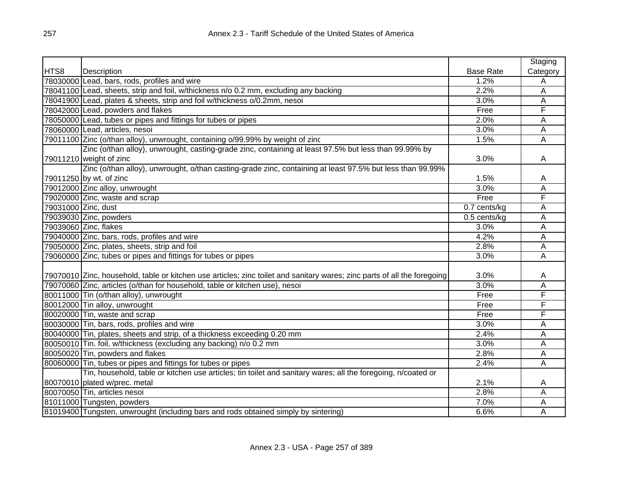|                     |                                                                                                                          |                  | Staging  |
|---------------------|--------------------------------------------------------------------------------------------------------------------------|------------------|----------|
| HTS8                | <b>Description</b>                                                                                                       | <b>Base Rate</b> | Category |
|                     | 78030000 Lead, bars, rods, profiles and wire                                                                             | 1.2%             | Α        |
|                     | 78041100 Lead, sheets, strip and foil, w/thickness n/o 0.2 mm, excluding any backing                                     | 2.2%             | Α        |
|                     | 78041900 Lead, plates & sheets, strip and foil w/thickness o/0.2mm, nesoi                                                | 3.0%             | A        |
|                     | 78042000 Lead, powders and flakes                                                                                        | Free             | F        |
|                     | 78050000 Lead, tubes or pipes and fittings for tubes or pipes                                                            | 2.0%             | Α        |
|                     | 78060000 Lead, articles, nesoi                                                                                           | 3.0%             | Α        |
|                     | 79011100 Zinc (o/than alloy), unwrought, containing o/99.99% by weight of zinc                                           | 1.5%             | Α        |
|                     | Zinc (o/than alloy), unwrought, casting-grade zinc, containing at least 97.5% but less than 99.99% by                    |                  |          |
|                     | 79011210 weight of zinc                                                                                                  | 3.0%             | Α        |
|                     | Zinc (o/than alloy), unwrought, o/than casting-grade zinc, containing at least 97.5% but less than 99.99%                |                  |          |
|                     | 79011250 by wt. of zinc                                                                                                  | 1.5%             | Α        |
|                     | 79012000 Zinc alloy, unwrought                                                                                           | 3.0%             | Α        |
|                     | 79020000 Zinc, waste and scrap                                                                                           | Free             | F        |
| 79031000 Zinc, dust |                                                                                                                          | 0.7 cents/kg     | Α        |
|                     | 79039030 Zinc, powders                                                                                                   | 0.5 cents/kg     | A        |
|                     | 79039060 Zinc, flakes                                                                                                    | 3.0%             | A        |
|                     | 79040000 Zinc, bars, rods, profiles and wire                                                                             | 4.2%             | A        |
|                     | 79050000 Zinc, plates, sheets, strip and foil                                                                            | 2.8%             | А        |
|                     | 79060000 Zinc, tubes or pipes and fittings for tubes or pipes                                                            | 3.0%             | Ā        |
|                     |                                                                                                                          |                  |          |
|                     | 79070010 Zinc, household, table or kitchen use articles; zinc toilet and sanitary wares; zinc parts of all the foregoing | 3.0%             | A        |
|                     | 79070060 Zinc, articles (o/than for household, table or kitchen use), nesoi                                              | 3.0%             | Ā        |
|                     | 80011000 Tin (o/than alloy), unwrought                                                                                   | Free             | F        |
|                     | 80012000 Tin alloy, unwrought                                                                                            | Free             | F        |
|                     | 80020000 Tin, waste and scrap                                                                                            | Free             | F        |
|                     | 80030000 Tin, bars, rods, profiles and wire                                                                              | 3.0%             | А        |
|                     | 80040000 Tin, plates, sheets and strip, of a thickness exceeding 0.20 mm                                                 | 2.4%             | А        |
|                     | 80050010 Tin. foil, w/thickness (excluding any backing) n/o 0.2 mm                                                       | 3.0%             | Α        |
|                     | 80050020 Tin, powders and flakes                                                                                         | 2.8%             | А        |
|                     | 80060000 Tin, tubes or pipes and fittings for tubes or pipes                                                             | 2.4%             | Α        |
|                     | Tin, household, table or kitchen use articles; tin toilet and sanitary wares; all the foregoing, n/coated or             |                  |          |
|                     | 80070010 plated w/prec. metal                                                                                            | 2.1%             | A        |
|                     | 80070050 Tin, articles nesoi                                                                                             | 2.8%             | Α        |
|                     | 81011000 Tungsten, powders                                                                                               | 7.0%             | Α        |
|                     | 81019400 Tungsten, unwrought (including bars and rods obtained simply by sintering)                                      | 6.6%             | Α        |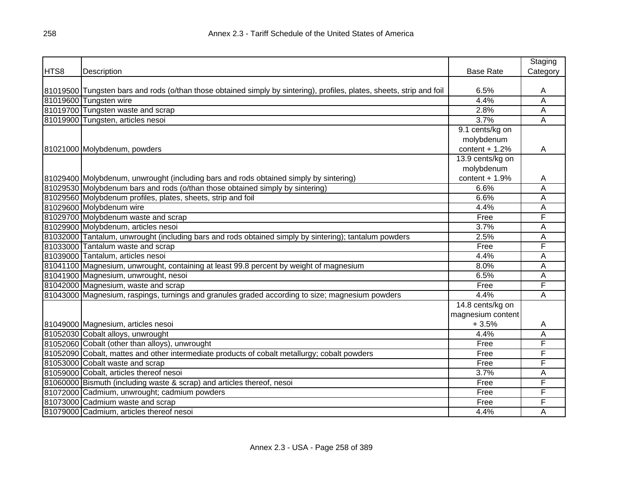|      |                                                                                                                       |                   | Staging        |
|------|-----------------------------------------------------------------------------------------------------------------------|-------------------|----------------|
| HTS8 | Description                                                                                                           | <b>Base Rate</b>  | Category       |
|      |                                                                                                                       |                   |                |
|      | 81019500 Tungsten bars and rods (o/than those obtained simply by sintering), profiles, plates, sheets, strip and foil | 6.5%              | Α              |
|      | 81019600 Tungsten wire                                                                                                | 4.4%              | A              |
|      | 81019700 Tungsten waste and scrap                                                                                     | 2.8%              | A              |
|      | 81019900 Tungsten, articles nesoi                                                                                     | 3.7%              | $\overline{A}$ |
|      |                                                                                                                       | 9.1 cents/kg on   |                |
|      |                                                                                                                       | molybdenum        |                |
|      | 81021000 Molybdenum, powders                                                                                          | content $+1.2%$   | A              |
|      |                                                                                                                       | 13.9 cents/kg on  |                |
|      |                                                                                                                       | molybdenum        |                |
|      | 81029400 Molybdenum, unwrought (including bars and rods obtained simply by sintering)                                 | content $+1.9%$   | A              |
|      | 81029530 Molybdenum bars and rods (o/than those obtained simply by sintering)                                         | 6.6%              | A              |
|      | 81029560 Molybdenum profiles, plates, sheets, strip and foil                                                          | 6.6%              | А              |
|      | 81029600 Molybdenum wire                                                                                              | 4.4%              | Α              |
|      | 81029700 Molybdenum waste and scrap                                                                                   | Free              | F              |
|      | 81029900 Molybdenum, articles nesoi                                                                                   | 3.7%              | A              |
|      | 81032000 Tantalum, unwrought (including bars and rods obtained simply by sintering); tantalum powders                 | 2.5%              | Α              |
|      | 81033000 Tantalum waste and scrap                                                                                     | Free              | F              |
|      | 81039000 Tantalum, articles nesoi                                                                                     | 4.4%              | A              |
|      | 81041100 Magnesium, unwrought, containing at least 99.8 percent by weight of magnesium                                | 8.0%              | Α              |
|      | 81041900 Magnesium, unwrought, nesoi                                                                                  | 6.5%              | A              |
|      | 81042000 Magnesium, waste and scrap                                                                                   | Free              | F              |
|      | 81043000 Magnesium, raspings, turnings and granules graded according to size; magnesium powders                       | 4.4%              | A              |
|      |                                                                                                                       | 14.8 cents/kg on  |                |
|      |                                                                                                                       | magnesium content |                |
|      | 81049000 Magnesium, articles nesoi                                                                                    | $+3.5%$           | A              |
|      | 81052030 Cobalt alloys, unwrought                                                                                     | 4.4%              | A              |
|      | 81052060 Cobalt (other than alloys), unwrought                                                                        | Free              | F              |
|      | 81052090 Cobalt, mattes and other intermediate products of cobalt metallurgy; cobalt powders                          | Free              | F              |
|      | 81053000 Cobalt waste and scrap                                                                                       | Free              | F              |
|      | 81059000 Cobalt, articles thereof nesoi                                                                               | 3.7%              | A              |
|      | 81060000 Bismuth (including waste & scrap) and articles thereof, nesoi                                                | Free              | F              |
|      | 81072000 Cadmium, unwrought; cadmium powders                                                                          | Free              | F              |
|      | 81073000 Cadmium waste and scrap                                                                                      | Free              | F              |
|      | 81079000 Cadmium, articles thereof nesoi                                                                              | 4.4%              | A              |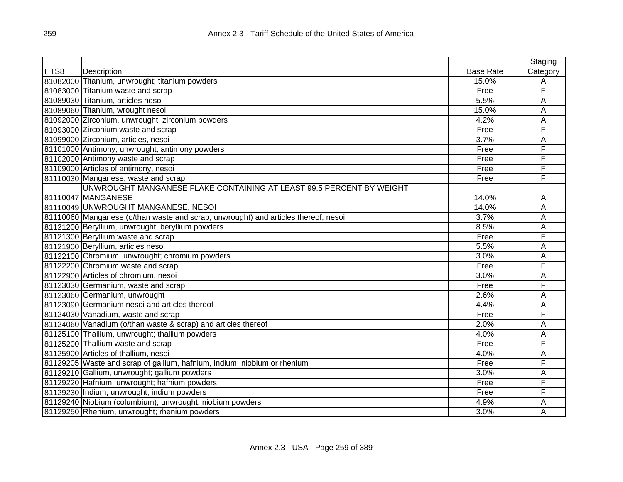|      |                                                                                    |                  | Staging  |
|------|------------------------------------------------------------------------------------|------------------|----------|
| HTS8 | Description                                                                        | <b>Base Rate</b> | Category |
|      | 81082000 Titanium, unwrought; titanium powders                                     | 15.0%            | Α        |
|      | 81083000 Titanium waste and scrap                                                  | Free             | F        |
|      | 81089030 Titanium, articles nesoi                                                  | 5.5%             | A        |
|      | 81089060 Titanium, wrought nesoi                                                   | 15.0%            | Α        |
|      | 81092000 Zirconium, unwrought; zirconium powders                                   | 4.2%             | Α        |
|      | 81093000 Zirconium waste and scrap                                                 | Free             | F        |
|      | 81099000 Zirconium, articles, nesoi                                                | 3.7%             | A        |
|      | 81101000 Antimony, unwrought; antimony powders                                     | Free             | F        |
|      | 81102000 Antimony waste and scrap                                                  | Free             | F        |
|      | 81109000 Articles of antimony, nesoi                                               | Free             | F        |
|      | 81110030 Manganese, waste and scrap                                                | Free             | F        |
|      | UNWROUGHT MANGANESE FLAKE CONTAINING AT LEAST 99.5 PERCENT BY WEIGHT               |                  |          |
|      | 81110047 MANGANESE                                                                 | 14.0%            | A        |
|      | 81110049 UNWROUGHT MANGANESE, NESOI                                                | 14.0%            | Α        |
|      | 81110060 Manganese (o/than waste and scrap, unwrought) and articles thereof, nesoi | 3.7%             | A        |
|      | 81121200 Beryllium, unwrought; beryllium powders                                   | 8.5%             | A        |
|      | 81121300 Beryllium waste and scrap                                                 | Free             | F        |
|      | 81121900 Beryllium, articles nesoi                                                 | 5.5%             | A        |
|      | 81122100 Chromium, unwrought; chromium powders                                     | 3.0%             | Α        |
|      | 81122200 Chromium waste and scrap                                                  | Free             | F        |
|      | 81122900 Articles of chromium, nesoi                                               | 3.0%             | Α        |
|      | 81123030 Germanium, waste and scrap                                                | Free             | F        |
|      | 81123060 Germanium, unwrought                                                      | 2.6%             | A        |
|      | 81123090 Germanium nesoi and articles thereof                                      | 4.4%             | Α        |
|      | 81124030 Vanadium, waste and scrap                                                 | Free             | F        |
|      | 81124060 Vanadium (o/than waste & scrap) and articles thereof                      | 2.0%             | A        |
|      | 81125100 Thallium, unwrought; thallium powders                                     | 4.0%             | A        |
|      | 81125200 Thallium waste and scrap                                                  | Free             | F        |
|      | 81125900 Articles of thallium, nesoi                                               | 4.0%             | A        |
|      | 81129205 Waste and scrap of gallium, hafnium, indium, niobium or rhenium           | Free             | F        |
|      | 81129210 Gallium, unwrought; gallium powders                                       | 3.0%             | Α        |
|      | 81129220 Hafnium, unwrought; hafnium powders                                       | Free             | F        |
|      | 81129230 Indium, unwrought; indium powders                                         | Free             | F        |
|      | 81129240 Niobium (columbium), unwrought; niobium powders                           | 4.9%             | A        |
|      | 81129250 Rhenium, unwrought; rhenium powders                                       | 3.0%             | A        |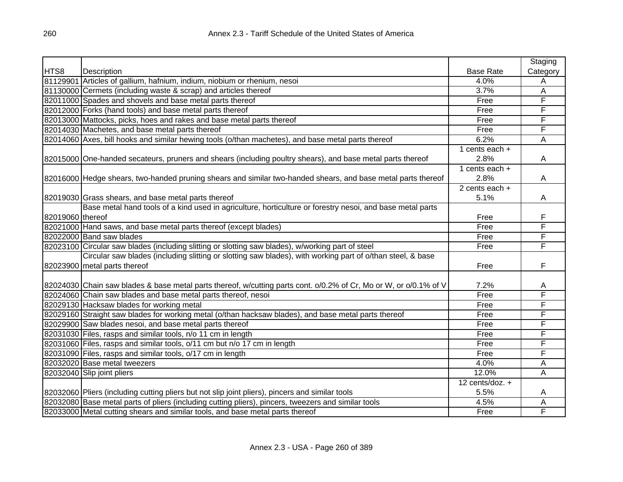|                  |                                                                                                                   |                   | Staging  |
|------------------|-------------------------------------------------------------------------------------------------------------------|-------------------|----------|
| HTS8             | Description                                                                                                       | <b>Base Rate</b>  | Category |
|                  | 81129901 Articles of gallium, hafnium, indium, niobium or rhenium, nesoi                                          | 4.0%              | Α        |
|                  | 81130000 Cermets (including waste & scrap) and articles thereof                                                   | 3.7%              | Α        |
|                  | 82011000 Spades and shovels and base metal parts thereof                                                          | Free              | F        |
|                  | 82012000 Forks (hand tools) and base metal parts thereof                                                          | Free              | F        |
|                  | 82013000 Mattocks, picks, hoes and rakes and base metal parts thereof                                             | Free              | F        |
|                  | 82014030 Machetes, and base metal parts thereof                                                                   | Free              | F        |
|                  | 82014060 Axes, bill hooks and similar hewing tools (o/than machetes), and base metal parts thereof                | 6.2%              | Α        |
|                  |                                                                                                                   | 1 cents each $+$  |          |
|                  | 82015000 One-handed secateurs, pruners and shears (including poultry shears), and base metal parts thereof        | 2.8%              | A        |
|                  |                                                                                                                   | 1 cents each $+$  |          |
|                  | 82016000 Hedge shears, two-handed pruning shears and similar two-handed shears, and base metal parts thereof      | 2.8%              | A        |
|                  |                                                                                                                   | 2 cents each $+$  |          |
|                  | 82019030 Grass shears, and base metal parts thereof                                                               | 5.1%              | A        |
|                  | Base metal hand tools of a kind used in agriculture, horticulture or forestry nesoi, and base metal parts         |                   |          |
| 82019060 thereof |                                                                                                                   | Free              | F        |
|                  | 82021000 Hand saws, and base metal parts thereof (except blades)                                                  | Free              | F        |
|                  | 82022000 Band saw blades                                                                                          | Free              | F        |
|                  | 82023100 Circular saw blades (including slitting or slotting saw blades), w/working part of steel                 | Free              | F        |
|                  | Circular saw blades (including slitting or slotting saw blades), with working part of o/than steel, & base        |                   |          |
|                  | 82023900 metal parts thereof                                                                                      | Free              | F        |
|                  |                                                                                                                   |                   |          |
|                  | 82024030 Chain saw blades & base metal parts thereof, w/cutting parts cont. o/0.2% of Cr, Mo or W, or o/0.1% of V | 7.2%              | A        |
|                  | 82024060 Chain saw blades and base metal parts thereof, nesoi                                                     | Free              | F        |
|                  | 82029130 Hacksaw blades for working metal                                                                         | Free              | F        |
|                  | 82029160 Straight saw blades for working metal (o/than hacksaw blades), and base metal parts thereof              | Free              | F        |
|                  | 82029900 Saw blades nesoi, and base metal parts thereof                                                           | Free              | F        |
|                  | 82031030 Files, rasps and similar tools, n/o 11 cm in length                                                      | Free              | F        |
|                  | 82031060 Files, rasps and similar tools, o/11 cm but n/o 17 cm in length                                          | Free              | F        |
|                  | 82031090 Files, rasps and similar tools, o/17 cm in length                                                        | Free              | F        |
|                  | 82032020 Base metal tweezers                                                                                      | 4.0%              | Α        |
|                  | 82032040 Slip joint pliers                                                                                        | 12.0%             | Α        |
|                  |                                                                                                                   | 12 cents/doz. $+$ |          |
|                  | 82032060 Pliers (including cutting pliers but not slip joint pliers), pincers and similar tools                   | 5.5%              | A        |
|                  | 82032080 Base metal parts of pliers (including cutting pliers), pincers, tweezers and similar tools               | 4.5%              | Α        |
|                  | 82033000 Metal cutting shears and similar tools, and base metal parts thereof                                     | Free              | F        |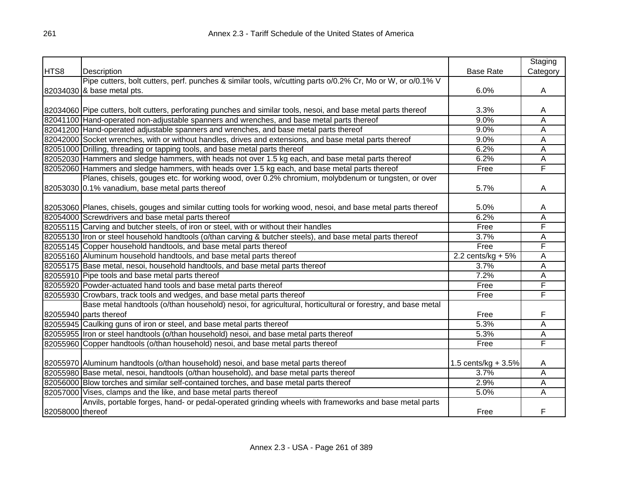|                  |                                                                                                                  |                       | Staging                 |
|------------------|------------------------------------------------------------------------------------------------------------------|-----------------------|-------------------------|
| HTS8             | Description                                                                                                      | <b>Base Rate</b>      | Category                |
|                  | Pipe cutters, bolt cutters, perf. punches & similar tools, w/cutting parts o/0.2% Cr, Mo or W, or o/0.1% V       |                       |                         |
|                  | 82034030 & base metal pts.                                                                                       | 6.0%                  | A                       |
|                  |                                                                                                                  |                       |                         |
|                  | 82034060 Pipe cutters, bolt cutters, perforating punches and similar tools, nesoi, and base metal parts thereof  | 3.3%                  | Α                       |
|                  | 82041100 Hand-operated non-adjustable spanners and wrenches, and base metal parts thereof                        | 9.0%                  | A                       |
|                  | 82041200 Hand-operated adjustable spanners and wrenches, and base metal parts thereof                            | 9.0%                  | A                       |
|                  | 82042000 Socket wrenches, with or without handles, drives and extensions, and base metal parts thereof           | 9.0%                  | $\overline{\mathsf{A}}$ |
|                  | 82051000 Drilling, threading or tapping tools, and base metal parts thereof                                      | 6.2%                  | A                       |
|                  | 82052030 Hammers and sledge hammers, with heads not over 1.5 kg each, and base metal parts thereof               | 6.2%                  | Α                       |
|                  | 82052060 Hammers and sledge hammers, with heads over 1.5 kg each, and base metal parts thereof                   | Free                  | F                       |
|                  | Planes, chisels, gouges etc. for working wood, over 0.2% chromium, molybdenum or tungsten, or over               |                       |                         |
|                  | 82053030 0.1% vanadium, base metal parts thereof                                                                 | 5.7%                  | A                       |
|                  |                                                                                                                  |                       |                         |
|                  | 82053060 Planes, chisels, gouges and similar cutting tools for working wood, nesoi, and base metal parts thereof | 5.0%                  | A                       |
|                  | 82054000 Screwdrivers and base metal parts thereof                                                               | 6.2%                  | Α                       |
|                  | 82055115 Carving and butcher steels, of iron or steel, with or without their handles                             | Free                  | F                       |
|                  | 82055130 Iron or steel household handtools (o/than carving & butcher steels), and base metal parts thereof       | 3.7%                  | Α                       |
|                  | 82055145 Copper household handtools, and base metal parts thereof                                                | Free                  | F                       |
|                  | 82055160 Aluminum household handtools, and base metal parts thereof                                              | 2.2 cents/kg $+5\%$   | Α                       |
|                  | 82055175 Base metal, nesoi, household handtools, and base metal parts thereof                                    | 3.7%                  | Α                       |
|                  | 82055910 Pipe tools and base metal parts thereof                                                                 | 7.2%                  | Α                       |
|                  | 82055920 Powder-actuated hand tools and base metal parts thereof                                                 | Free                  | F                       |
|                  | 82055930 Crowbars, track tools and wedges, and base metal parts thereof                                          | Free                  | F                       |
|                  | Base metal handtools (o/than household) nesoi, for agricultural, horticultural or forestry, and base metal       |                       |                         |
|                  | 82055940 parts thereof                                                                                           | Free                  | F                       |
|                  | 82055945 Caulking guns of iron or steel, and base metal parts thereof                                            | 5.3%                  | A                       |
|                  | 82055955  Iron or steel handtools (o/than household) nesoi, and base metal parts thereof                         | 5.3%                  | Α                       |
|                  | 82055960 Copper handtools (o/than household) nesoi, and base metal parts thereof                                 | Free                  | F                       |
|                  |                                                                                                                  |                       |                         |
|                  | 82055970 Aluminum handtools (o/than household) nesoi, and base metal parts thereof                               | 1.5 cents/kg + $3.5%$ | A                       |
|                  | 82055980 Base metal, nesoi, handtools (o/than household), and base metal parts thereof                           | 3.7%                  | A                       |
|                  | 82056000 Blow torches and similar self-contained torches, and base metal parts thereof                           | 2.9%                  | Α                       |
|                  | 82057000 Vises, clamps and the like, and base metal parts thereof                                                | 5.0%                  | A                       |
|                  | Anvils, portable forges, hand- or pedal-operated grinding wheels with frameworks and base metal parts            |                       |                         |
| 82058000 thereof |                                                                                                                  | Free                  | F                       |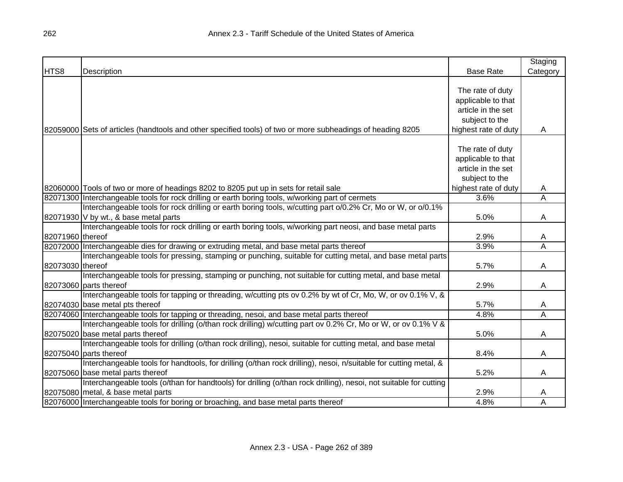|                  |                                                                                                                   |                      | Staging  |
|------------------|-------------------------------------------------------------------------------------------------------------------|----------------------|----------|
| HTS8             | Description                                                                                                       | <b>Base Rate</b>     | Category |
|                  |                                                                                                                   |                      |          |
|                  |                                                                                                                   | The rate of duty     |          |
|                  |                                                                                                                   | applicable to that   |          |
|                  |                                                                                                                   | article in the set   |          |
|                  |                                                                                                                   | subject to the       |          |
|                  | 82059000 Sets of articles (handtools and other specified tools) of two or more subheadings of heading 8205        | highest rate of duty | A        |
|                  |                                                                                                                   |                      |          |
|                  |                                                                                                                   | The rate of duty     |          |
|                  |                                                                                                                   | applicable to that   |          |
|                  |                                                                                                                   | article in the set   |          |
|                  |                                                                                                                   | subject to the       |          |
|                  | 82060000 Tools of two or more of headings 8202 to 8205 put up in sets for retail sale                             | highest rate of duty | A        |
|                  | 82071300 Interchangeable tools for rock drilling or earth boring tools, w/working part of cermets                 | 3.6%                 | Α        |
|                  | Interchangeable tools for rock drilling or earth boring tools, w/cutting part o/0.2% Cr, Mo or W, or o/0.1%       |                      |          |
|                  | 82071930 V by wt., & base metal parts                                                                             | 5.0%                 | A        |
|                  | Interchangeable tools for rock drilling or earth boring tools, w/working part neosi, and base metal parts         |                      |          |
| 82071960 thereof |                                                                                                                   | 2.9%                 | A        |
|                  | 82072000 Interchangeable dies for drawing or extruding metal, and base metal parts thereof                        | 3.9%                 | Α        |
|                  | Interchangeable tools for pressing, stamping or punching, suitable for cutting metal, and base metal parts        |                      |          |
| 82073030 thereof |                                                                                                                   | 5.7%                 | A        |
|                  | Interchangeable tools for pressing, stamping or punching, not suitable for cutting metal, and base metal          |                      |          |
|                  | 82073060 parts thereof                                                                                            | 2.9%                 | Α        |
|                  | Interchangeable tools for tapping or threading, w/cutting pts ov 0.2% by wt of Cr, Mo, W, or ov 0.1% V, &         |                      |          |
|                  | 82074030 base metal pts thereof                                                                                   | 5.7%                 | A        |
|                  | 82074060 Interchangeable tools for tapping or threading, nesoi, and base metal parts thereof                      | 4.8%                 | Α        |
|                  | Interchangeable tools for drilling (o/than rock drilling) w/cutting part ov 0.2% Cr, Mo or W, or ov 0.1% V &      |                      |          |
|                  | 82075020 base metal parts thereof                                                                                 | 5.0%                 | A        |
|                  | Interchangeable tools for drilling (o/than rock drilling), nesoi, suitable for cutting metal, and base metal      |                      |          |
|                  | 82075040 parts thereof                                                                                            | 8.4%                 | A        |
|                  | Interchangeable tools for handtools, for drilling (o/than rock drilling), nesoi, n/suitable for cutting metal, &  |                      |          |
|                  | 82075060 base metal parts thereof                                                                                 | 5.2%                 | A        |
|                  | Interchangeable tools (o/than for handtools) for drilling (o/than rock drilling), nesoi, not suitable for cutting |                      |          |
|                  | 82075080 metal, & base metal parts                                                                                | 2.9%                 | A        |
|                  | 82076000 Interchangeable tools for boring or broaching, and base metal parts thereof                              | 4.8%                 | A        |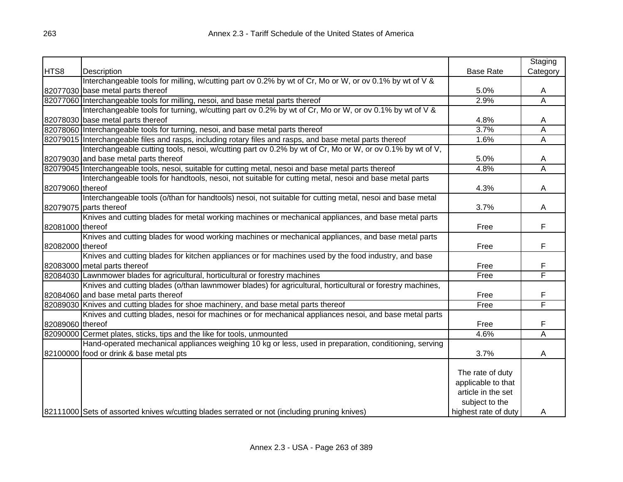|                  |                                                                                                           |                      | Staging  |
|------------------|-----------------------------------------------------------------------------------------------------------|----------------------|----------|
| HTS8             | Description                                                                                               | <b>Base Rate</b>     | Category |
|                  | Interchangeable tools for milling, w/cutting part ov 0.2% by wt of Cr, Mo or W, or ov 0.1% by wt of V &   |                      |          |
|                  | 82077030 base metal parts thereof                                                                         | 5.0%                 | A        |
|                  | 82077060 Interchangeable tools for milling, nesoi, and base metal parts thereof                           | 2.9%                 | Α        |
|                  | Interchangeable tools for turning, w/cutting part ov 0.2% by wt of Cr, Mo or W, or ov 0.1% by wt of V &   |                      |          |
|                  | 82078030 base metal parts thereof                                                                         | 4.8%                 | A        |
|                  | 82078060 Interchangeable tools for turning, nesoi, and base metal parts thereof                           | 3.7%                 | A        |
|                  | 82079015 Interchangeable files and rasps, including rotary files and rasps, and base metal parts thereof  | 1.6%                 | А        |
|                  | Interchangeable cutting tools, nesoi, w/cutting part ov 0.2% by wt of Cr, Mo or W, or ov 0.1% by wt of V, |                      |          |
|                  | 82079030 and base metal parts thereof                                                                     | 5.0%                 | A        |
|                  | 82079045 Interchangeable tools, nesoi, suitable for cutting metal, nesoi and base metal parts thereof     | 4.8%                 | A        |
|                  | Interchangeable tools for handtools, nesoi, not suitable for cutting metal, nesoi and base metal parts    |                      |          |
| 82079060 thereof |                                                                                                           | 4.3%                 | A        |
|                  | Interchangeable tools (o/than for handtools) nesoi, not suitable for cutting metal, nesoi and base metal  |                      |          |
|                  | 82079075 parts thereof                                                                                    | 3.7%                 | A        |
|                  | Knives and cutting blades for metal working machines or mechanical appliances, and base metal parts       |                      |          |
| 82081000 thereof |                                                                                                           | Free                 | F.       |
|                  | Knives and cutting blades for wood working machines or mechanical appliances, and base metal parts        |                      |          |
| 82082000 thereof |                                                                                                           | Free                 | F        |
|                  | Knives and cutting blades for kitchen appliances or for machines used by the food industry, and base      |                      |          |
|                  | 82083000 metal parts thereof                                                                              | Free                 | F        |
|                  | 82084030 Lawnmower blades for agricultural, horticultural or forestry machines                            | Free                 | F        |
|                  | Knives and cutting blades (o/than lawnmower blades) for agricultural, horticultural or forestry machines, |                      |          |
|                  | 82084060 and base metal parts thereof                                                                     | Free                 | F        |
|                  | 82089030 Knives and cutting blades for shoe machinery, and base metal parts thereof                       | Free                 | F        |
|                  | Knives and cutting blades, nesoi for machines or for mechanical appliances nesoi, and base metal parts    |                      |          |
| 82089060 thereof |                                                                                                           | Free                 | F        |
|                  | 82090000 Cermet plates, sticks, tips and the like for tools, unmounted                                    | 4.6%                 | Ā        |
|                  | Hand-operated mechanical appliances weighing 10 kg or less, used in preparation, conditioning, serving    |                      |          |
|                  | 82100000 food or drink & base metal pts                                                                   | 3.7%                 | A        |
|                  |                                                                                                           |                      |          |
|                  |                                                                                                           | The rate of duty     |          |
|                  |                                                                                                           | applicable to that   |          |
|                  |                                                                                                           | article in the set   |          |
|                  |                                                                                                           | subject to the       |          |
|                  | 82111000 Sets of assorted knives w/cutting blades serrated or not (including pruning knives)              | highest rate of duty | Α        |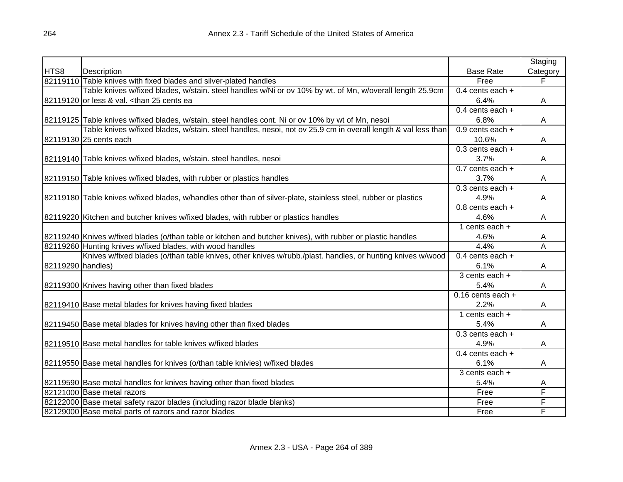|                   |                                                                                                                 |                      | Staging                 |
|-------------------|-----------------------------------------------------------------------------------------------------------------|----------------------|-------------------------|
| HTS8              | Description                                                                                                     | <b>Base Rate</b>     | Category                |
|                   | 82119110 Table knives with fixed blades and silver-plated handles                                               | Free                 | F                       |
|                   | Table knives w/fixed blades, w/stain. steel handles w/Ni or ov 10% by wt. of Mn, w/overall length 25.9cm        | 0.4 cents each $+$   |                         |
|                   | 82119120 or less & val. <than 25="" cents="" ea<="" td=""><td>6.4%</td><td>Α</td></than>                        | 6.4%                 | Α                       |
|                   |                                                                                                                 | 0.4 cents each $+$   |                         |
|                   | 82119125 Table knives w/fixed blades, w/stain. steel handles cont. Ni or ov 10% by wt of Mn, nesoi              | 6.8%                 | Α                       |
|                   | Table knives w/fixed blades, w/stain. steel handles, nesoi, not ov 25.9 cm in overall length & val less than    | 0.9 cents each $+$   |                         |
|                   | 82119130 25 cents each                                                                                          | 10.6%                | Α                       |
|                   |                                                                                                                 | $0.3$ cents each $+$ |                         |
|                   | 82119140 Table knives w/fixed blades, w/stain. steel handles, nesoi                                             | 3.7%                 | A                       |
|                   |                                                                                                                 | 0.7 cents each +     |                         |
|                   | 82119150 Table knives w/fixed blades, with rubber or plastics handles                                           | 3.7%                 | Α                       |
|                   |                                                                                                                 | $0.3$ cents each $+$ |                         |
|                   | 82119180 Table knives w/fixed blades, w/handles other than of silver-plate, stainless steel, rubber or plastics | 4.9%                 | Α                       |
|                   |                                                                                                                 | 0.8 cents each +     |                         |
|                   | 82119220 Kitchen and butcher knives w/fixed blades, with rubber or plastics handles                             | 4.6%                 | Α                       |
|                   |                                                                                                                 | 1 cents each $+$     |                         |
|                   | 82119240 Knives w/fixed blades (o/than table or kitchen and butcher knives), with rubber or plastic handles     | 4.6%                 | A                       |
|                   | 82119260 Hunting knives w/fixed blades, with wood handles                                                       | 4.4%                 | $\overline{\mathsf{A}}$ |
|                   | Knives w/fixed blades (o/than table knives, other knives w/rubb./plast. handles, or hunting knives w/wood       | 0.4 cents each $+$   |                         |
| 82119290 handles) |                                                                                                                 | 6.1%                 | Α                       |
|                   |                                                                                                                 | 3 cents each +       |                         |
|                   | 82119300 Knives having other than fixed blades                                                                  | 5.4%                 | Α                       |
|                   |                                                                                                                 | $0.16$ cents each +  |                         |
|                   | 82119410 Base metal blades for knives having fixed blades                                                       | 2.2%                 | A                       |
|                   |                                                                                                                 | 1 cents each $+$     |                         |
|                   | 82119450 Base metal blades for knives having other than fixed blades                                            | 5.4%                 | A                       |
|                   |                                                                                                                 | $0.3$ cents each $+$ |                         |
|                   | 82119510 Base metal handles for table knives w/fixed blades                                                     | 4.9%                 | Α                       |
|                   |                                                                                                                 | 0.4 cents each $+$   |                         |
|                   | 82119550 Base metal handles for knives (o/than table knivies) w/fixed blades                                    | 6.1%                 | Α                       |
|                   |                                                                                                                 | 3 cents each +       |                         |
|                   | 82119590 Base metal handles for knives having other than fixed blades                                           | 5.4%                 | A                       |
|                   | 82121000 Base metal razors                                                                                      | Free                 | F                       |
|                   | 82122000 Base metal safety razor blades (including razor blade blanks)                                          | Free                 | F                       |
|                   | 82129000 Base metal parts of razors and razor blades                                                            | Free                 | F                       |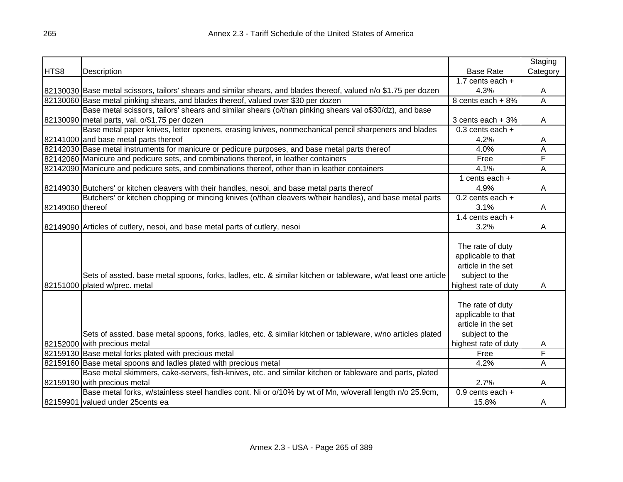|                  |                                                                                                                   |                      | Staging  |
|------------------|-------------------------------------------------------------------------------------------------------------------|----------------------|----------|
| HTS8             | Description                                                                                                       | <b>Base Rate</b>     | Category |
|                  |                                                                                                                   | 1.7 cents each $+$   |          |
|                  | 82130030 Base metal scissors, tailors' shears and similar shears, and blades thereof, valued n/o \$1.75 per dozen | 4.3%                 | A        |
|                  | 82130060 Base metal pinking shears, and blades thereof, valued over \$30 per dozen                                | 8 cents each + 8%    | Α        |
|                  | Base metal scissors, tailors' shears and similar shears (o/than pinking shears val o\$30/dz), and base            |                      |          |
|                  | 82130090 metal parts, val. o/\$1.75 per dozen                                                                     | 3 cents each + 3%    | A        |
|                  | Base metal paper knives, letter openers, erasing knives, nonmechanical pencil sharpeners and blades               | $0.3$ cents each +   |          |
|                  | 82141000 and base metal parts thereof                                                                             | 4.2%                 | A        |
|                  | 82142030 Base metal instruments for manicure or pedicure purposes, and base metal parts thereof                   | 4.0%                 | A        |
|                  | 82142060 Manicure and pedicure sets, and combinations thereof, in leather containers                              | Free                 | F        |
|                  | 82142090 Manicure and pedicure sets, and combinations thereof, other than in leather containers                   | 4.1%                 | Ā        |
|                  |                                                                                                                   | 1 cents each $+$     |          |
|                  | 82149030 Butchers' or kitchen cleavers with their handles, nesoi, and base metal parts thereof                    | 4.9%                 | A        |
|                  | Butchers' or kitchen chopping or mincing knives (o/than cleavers w/their handles), and base metal parts           | $0.2$ cents each $+$ |          |
| 82149060 thereof |                                                                                                                   | 3.1%                 | A        |
|                  |                                                                                                                   | 1.4 cents each $+$   |          |
|                  | 82149090 Articles of cutlery, nesoi, and base metal parts of cutlery, nesoi                                       | 3.2%                 | A        |
|                  |                                                                                                                   |                      |          |
|                  |                                                                                                                   | The rate of duty     |          |
|                  |                                                                                                                   | applicable to that   |          |
|                  |                                                                                                                   | article in the set   |          |
|                  | Sets of assted. base metal spoons, forks, ladles, etc. & similar kitchen or tableware, w/at least one article     | subject to the       |          |
|                  | 82151000 plated w/prec. metal                                                                                     | highest rate of duty | A        |
|                  |                                                                                                                   |                      |          |
|                  |                                                                                                                   | The rate of duty     |          |
|                  |                                                                                                                   | applicable to that   |          |
|                  |                                                                                                                   | article in the set   |          |
|                  | Sets of assted. base metal spoons, forks, ladles, etc. & similar kitchen or tableware, w/no articles plated       | subject to the       |          |
|                  | 82152000 with precious metal                                                                                      | highest rate of duty | A        |
|                  | 82159130 Base metal forks plated with precious metal                                                              | Free                 | F        |
|                  | 82159160 Base metal spoons and ladles plated with precious metal                                                  | 4.2%                 | A        |
|                  | Base metal skimmers, cake-servers, fish-knives, etc. and similar kitchen or tableware and parts, plated           |                      |          |
|                  | 82159190 with precious metal                                                                                      | 2.7%                 | A        |
|                  | Base metal forks, w/stainless steel handles cont. Ni or o/10% by wt of Mn, w/overall length n/o 25.9cm,           | $0.9$ cents each $+$ |          |
|                  | 82159901 valued under 25 cents ea                                                                                 | 15.8%                | A        |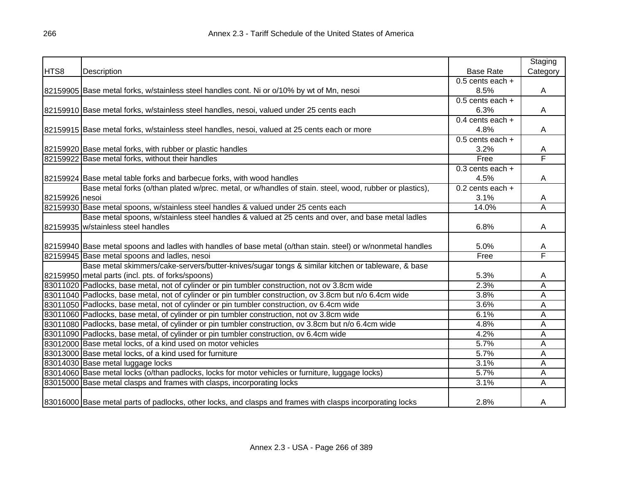|                |                                                                                                              |                      | Staging  |
|----------------|--------------------------------------------------------------------------------------------------------------|----------------------|----------|
| HTS8           | Description                                                                                                  | <b>Base Rate</b>     | Category |
|                |                                                                                                              | $0.5$ cents each $+$ |          |
|                | 82159905 Base metal forks, w/stainless steel handles cont. Ni or o/10% by wt of Mn, nesoi                    | 8.5%                 | A        |
|                |                                                                                                              | $0.5$ cents each +   |          |
|                | 82159910 Base metal forks, w/stainless steel handles, nesoi, valued under 25 cents each                      | 6.3%                 | A        |
|                |                                                                                                              | 0.4 cents each $+$   |          |
|                | 82159915 Base metal forks, w/stainless steel handles, nesoi, valued at 25 cents each or more                 | 4.8%                 | A        |
|                |                                                                                                              | $0.5$ cents each $+$ |          |
|                | 82159920 Base metal forks, with rubber or plastic handles                                                    | 3.2%                 | A        |
|                | 82159922 Base metal forks, without their handles                                                             | Free                 | F        |
|                |                                                                                                              | $0.3$ cents each $+$ |          |
|                | 82159924 Base metal table forks and barbecue forks, with wood handles                                        | 4.5%                 | A        |
|                | Base metal forks (o/than plated w/prec. metal, or w/handles of stain. steel, wood, rubber or plastics),      | 0.2 cents each $+$   |          |
| 82159926 nesoi |                                                                                                              | 3.1%                 | A        |
|                | 82159930 Base metal spoons, w/stainless steel handles & valued under 25 cents each                           | 14.0%                | Ā        |
|                | Base metal spoons, w/stainless steel handles & valued at 25 cents and over, and base metal ladles            |                      |          |
|                | 82159935 w/stainless steel handles                                                                           | 6.8%                 | Α        |
|                |                                                                                                              |                      |          |
|                | 82159940 Base metal spoons and ladles with handles of base metal (o/than stain. steel) or w/nonmetal handles | 5.0%                 | A        |
|                | 82159945 Base metal spoons and ladles, nesoi                                                                 | Free                 | F        |
|                | Base metal skimmers/cake-servers/butter-knives/sugar tongs & similar kitchen or tableware, & base            |                      |          |
|                | 82159950 metal parts (incl. pts. of forks/spoons)                                                            | 5.3%                 | A        |
|                | 83011020 Padlocks, base metal, not of cylinder or pin tumbler construction, not ov 3.8cm wide                | 2.3%                 | Α        |
|                | 83011040 Padlocks, base metal, not of cylinder or pin tumbler construction, ov 3.8cm but n/o 6.4cm wide      | 3.8%                 | Α        |
|                | 83011050 Padlocks, base metal, not of cylinder or pin tumbler construction, ov 6.4cm wide                    | 3.6%                 | A        |
|                | 83011060 Padlocks, base metal, of cylinder or pin tumbler construction, not ov 3.8cm wide                    | 6.1%                 | Α        |
|                | 83011080 Padlocks, base metal, of cylinder or pin tumbler construction, ov 3.8cm but n/o 6.4cm wide          | 4.8%                 | Α        |
|                | 83011090 Padlocks, base metal, of cylinder or pin tumbler construction, ov 6.4cm wide                        | 4.2%                 | A        |
|                | 83012000 Base metal locks, of a kind used on motor vehicles                                                  | 5.7%                 | A        |
|                | 83013000 Base metal locks, of a kind used for furniture                                                      | 5.7%                 | A        |
|                | 83014030 Base metal luggage locks                                                                            | 3.1%                 | A        |
|                | 83014060 Base metal locks (o/than padlocks, locks for motor vehicles or furniture, luggage locks)            | 5.7%                 | А        |
|                | 83015000 Base metal clasps and frames with clasps, incorporating locks                                       | 3.1%                 | A        |
|                |                                                                                                              |                      |          |
|                | 83016000 Base metal parts of padlocks, other locks, and clasps and frames with clasps incorporating locks    | 2.8%                 | A        |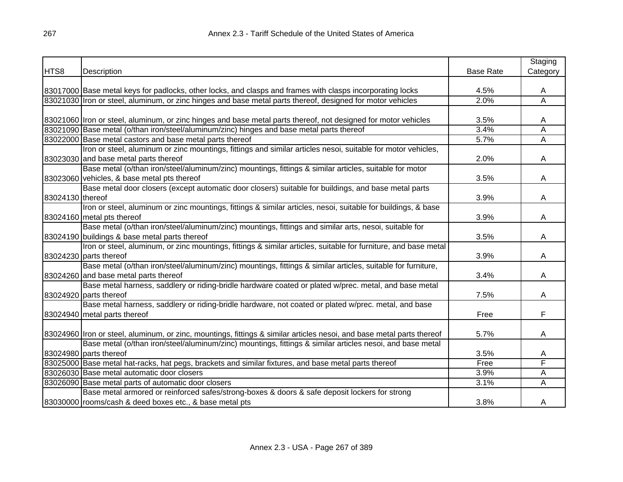|                  |                                                                                                                       |                  | Staging  |
|------------------|-----------------------------------------------------------------------------------------------------------------------|------------------|----------|
| HTS8             | Description                                                                                                           | <b>Base Rate</b> | Category |
|                  |                                                                                                                       |                  |          |
|                  | 83017000 Base metal keys for padlocks, other locks, and clasps and frames with clasps incorporating locks             | 4.5%             | A        |
|                  | 83021030 Iron or steel, aluminum, or zinc hinges and base metal parts thereof, designed for motor vehicles            | 2.0%             | Ā        |
|                  |                                                                                                                       |                  |          |
|                  | 83021060 Iron or steel, aluminum, or zinc hinges and base metal parts thereof, not designed for motor vehicles        | 3.5%             | A        |
|                  | 83021090 Base metal (o/than iron/steel/aluminum/zinc) hinges and base metal parts thereof                             | 3.4%             | Α        |
|                  | 83022000 Base metal castors and base metal parts thereof                                                              | 5.7%             | A        |
|                  | Iron or steel, aluminum or zinc mountings, fittings and similar articles nesoi, suitable for motor vehicles,          |                  |          |
|                  | 83023030 and base metal parts thereof                                                                                 | 2.0%             | A        |
|                  | Base metal (o/than iron/steel/aluminum/zinc) mountings, fittings & similar articles, suitable for motor               |                  |          |
|                  | 83023060 vehicles, & base metal pts thereof                                                                           | 3.5%             | A        |
|                  | Base metal door closers (except automatic door closers) suitable for buildings, and base metal parts                  |                  |          |
| 83024130 thereof |                                                                                                                       | 3.9%             | A        |
|                  | Iron or steel, aluminum or zinc mountings, fittings & similar articles, nesoi, suitable for buildings, & base         |                  |          |
|                  | 83024160 metal pts thereof                                                                                            | 3.9%             | A        |
|                  | Base metal (o/than iron/steel/aluminum/zinc) mountings, fittings and similar arts, nesoi, suitable for                |                  |          |
|                  | 83024190 buildings & base metal parts thereof                                                                         | 3.5%             | A        |
|                  | Iron or steel, aluminum, or zinc mountings, fittings & similar articles, suitable for furniture, and base metal       |                  |          |
|                  | 83024230 parts thereof                                                                                                | 3.9%             | A        |
|                  | Base metal (o/than iron/steel/aluminum/zinc) mountings, fittings & similar articles, suitable for furniture,          |                  |          |
|                  | 83024260 and base metal parts thereof                                                                                 | 3.4%             | A        |
|                  | Base metal harness, saddlery or riding-bridle hardware coated or plated w/prec. metal, and base metal                 |                  |          |
|                  | 83024920 parts thereof                                                                                                | 7.5%             | A        |
|                  | Base metal harness, saddlery or riding-bridle hardware, not coated or plated w/prec. metal, and base                  |                  |          |
|                  | 83024940 metal parts thereof                                                                                          | Free             | F        |
|                  |                                                                                                                       |                  |          |
|                  | 83024960 Iron or steel, aluminum, or zinc, mountings, fittings & similar articles nesoi, and base metal parts thereof | 5.7%             | A        |
|                  | Base metal (o/than iron/steel/aluminum/zinc) mountings, fittings & similar articles nesoi, and base metal             |                  |          |
|                  | 83024980 parts thereof                                                                                                | 3.5%             | A        |
|                  | 83025000 Base metal hat-racks, hat pegs, brackets and similar fixtures, and base metal parts thereof                  | Free             | F        |
|                  | 83026030 Base metal automatic door closers                                                                            | 3.9%             | Α        |
|                  | 83026090 Base metal parts of automatic door closers                                                                   | 3.1%             | A        |
|                  | Base metal armored or reinforced safes/strong-boxes & doors & safe deposit lockers for strong                         |                  |          |
|                  | 83030000 rooms/cash & deed boxes etc., & base metal pts                                                               | 3.8%             | A        |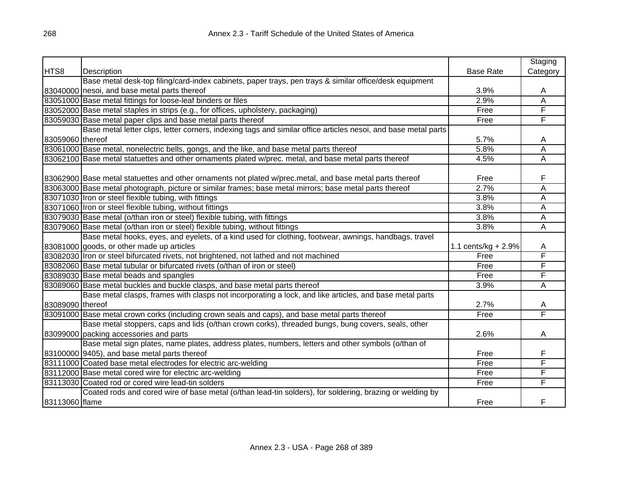|                  |                                                                                                                |                        | Staging  |
|------------------|----------------------------------------------------------------------------------------------------------------|------------------------|----------|
| HTS8             | Description                                                                                                    | <b>Base Rate</b>       | Category |
|                  | Base metal desk-top filing/card-index cabinets, paper trays, pen trays & similar office/desk equipment         |                        |          |
|                  | 83040000 nesoi, and base metal parts thereof                                                                   | 3.9%                   | A        |
|                  | 83051000 Base metal fittings for loose-leaf binders or files                                                   | 2.9%                   | Α        |
|                  | 83052000 Base metal staples in strips (e.g., for offices, upholstery, packaging)                               | Free                   | F        |
|                  | 83059030 Base metal paper clips and base metal parts thereof                                                   | Free                   | F        |
|                  | Base metal letter clips, letter corners, indexing tags and similar office articles nesoi, and base metal parts |                        |          |
| 83059060 thereof |                                                                                                                | 5.7%                   | A        |
|                  | 83061000 Base metal, nonelectric bells, gongs, and the like, and base metal parts thereof                      | 5.8%                   | Α        |
|                  | 83062100 Base metal statuettes and other ornaments plated w/prec. metal, and base metal parts thereof          | 4.5%                   | Α        |
|                  |                                                                                                                |                        |          |
|                  | 83062900 Base metal statuettes and other ornaments not plated w/prec.metal, and base metal parts thereof       | Free                   | F        |
|                  | 83063000 Base metal photograph, picture or similar frames; base metal mirrors; base metal parts thereof        | 2.7%                   | Α        |
|                  | 83071030 Iron or steel flexible tubing, with fittings                                                          | 3.8%                   | Α        |
|                  | 83071060 Iron or steel flexible tubing, without fittings                                                       | 3.8%                   | A        |
|                  | 83079030 Base metal (o/than iron or steel) flexible tubing, with fittings                                      | 3.8%                   | Α        |
|                  | 83079060 Base metal (o/than iron or steel) flexible tubing, without fittings                                   | 3.8%                   | Α        |
|                  | Base metal hooks, eyes, and eyelets, of a kind used for clothing, footwear, awnings, handbags, travel          |                        |          |
|                  | 83081000 goods, or other made up articles                                                                      | 1.1 cents/kg + $2.9\%$ | A        |
|                  | 83082030 Iron or steel bifurcated rivets, not brightened, not lathed and not machined                          | Free                   | F        |
|                  | 83082060 Base metal tubular or bifurcated rivets (o/than of iron or steel)                                     | Free                   | F        |
|                  | 83089030 Base metal beads and spangles                                                                         | Free                   | F        |
|                  | 83089060 Base metal buckles and buckle clasps, and base metal parts thereof                                    | 3.9%                   | Α        |
|                  | Base metal clasps, frames with clasps not incorporating a lock, and like articles, and base metal parts        |                        |          |
| 83089090 thereof |                                                                                                                | 2.7%                   | Α        |
|                  | 83091000 Base metal crown corks (including crown seals and caps), and base metal parts thereof                 | Free                   | F        |
|                  | Base metal stoppers, caps and lids (o/than crown corks), threaded bungs, bung covers, seals, other             |                        |          |
|                  | 83099000 packing accessories and parts                                                                         | 2.6%                   | A        |
|                  | Base metal sign plates, name plates, address plates, numbers, letters and other symbols (o/than of             |                        |          |
|                  | 83100000 9405), and base metal parts thereof                                                                   | Free                   | F        |
|                  | 83111000 Coated base metal electrodes for electric arc-welding                                                 | Free                   | F        |
|                  | 83112000 Base metal cored wire for electric arc-welding                                                        | Free                   | F        |
|                  | 83113030 Coated rod or cored wire lead-tin solders                                                             | Free                   | F        |
|                  | Coated rods and cored wire of base metal (o/than lead-tin solders), for soldering, brazing or welding by       |                        |          |
| 83113060 flame   |                                                                                                                | Free                   | F        |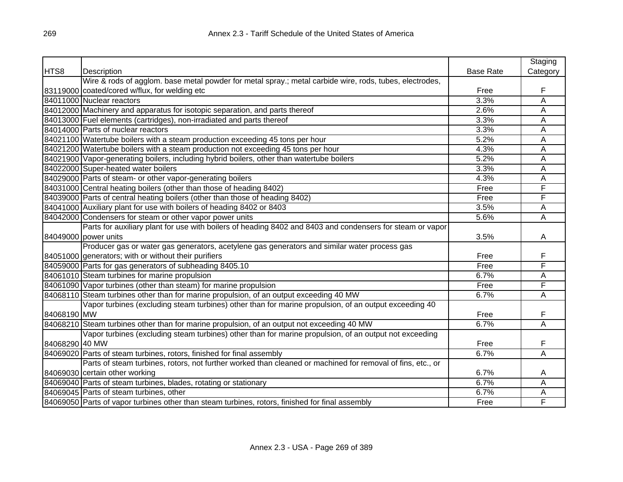|                |                                                                                                            |                  | Staging  |
|----------------|------------------------------------------------------------------------------------------------------------|------------------|----------|
| HTS8           | Description                                                                                                | <b>Base Rate</b> | Category |
|                | Wire & rods of agglom. base metal powder for metal spray.; metal carbide wire, rods, tubes, electrodes,    |                  |          |
|                | 83119000 coated/cored w/flux, for welding etc                                                              | Free             | F        |
|                | 84011000 Nuclear reactors                                                                                  | 3.3%             | A        |
|                | 84012000 Machinery and apparatus for isotopic separation, and parts thereof                                | 2.6%             | Α        |
|                | 84013000 Fuel elements (cartridges), non-irradiated and parts thereof                                      | 3.3%             | Α        |
|                | 84014000 Parts of nuclear reactors                                                                         | 3.3%             | A        |
|                | 84021100 Watertube boilers with a steam production exceeding 45 tons per hour                              | 5.2%             | A        |
|                | 84021200 Watertube boilers with a steam production not exceeding 45 tons per hour                          | 4.3%             | A        |
|                | 84021900 Vapor-generating boilers, including hybrid boilers, other than watertube boilers                  | 5.2%             | A        |
|                | 84022000 Super-heated water boilers                                                                        | 3.3%             | A        |
|                | 84029000 Parts of steam- or other vapor-generating boilers                                                 | 4.3%             | Α        |
|                | 84031000 Central heating boilers (other than those of heading 8402)                                        | Free             | F        |
|                | 84039000 Parts of central heating boilers (other than those of heading 8402)                               | Free             | F        |
|                | 84041000 Auxiliary plant for use with boilers of heading 8402 or 8403                                      | 3.5%             | A        |
|                | 84042000 Condensers for steam or other vapor power units                                                   | 5.6%             | Α        |
|                | Parts for auxiliary plant for use with boilers of heading 8402 and 8403 and condensers for steam or vapor  |                  |          |
|                | 84049000 power units                                                                                       | 3.5%             | A        |
|                | Producer gas or water gas generators, acetylene gas generators and similar water process gas               |                  |          |
|                | 84051000 generators; with or without their purifiers                                                       | Free             | F        |
|                | 84059000 Parts for gas generators of subheading 8405.10                                                    | Free             | F        |
|                | 84061010 Steam turbines for marine propulsion                                                              | 6.7%             | A        |
|                | 84061090 Vapor turbines (other than steam) for marine propulsion                                           | Free             | F        |
|                | 84068110 Steam turbines other than for marine propulsion, of an output exceeding 40 MW                     | 6.7%             | A        |
|                | Vapor turbines (excluding steam turbines) other than for marine propulsion, of an output exceeding 40      |                  |          |
| 84068190 MW    |                                                                                                            | Free             | F        |
|                | 84068210 Steam turbines other than for marine propulsion, of an output not exceeding 40 MW                 | 6.7%             | A        |
|                | Vapor turbines (excluding steam turbines) other than for marine propulsion, of an output not exceeding     |                  |          |
| 84068290 40 MW |                                                                                                            | Free             | F        |
|                | 84069020 Parts of steam turbines, rotors, finished for final assembly                                      | 6.7%             | A        |
|                | Parts of steam turbines, rotors, not further worked than cleaned or machined for removal of fins, etc., or |                  |          |
|                | 84069030 certain other working                                                                             | 6.7%             | A        |
|                | 84069040 Parts of steam turbines, blades, rotating or stationary                                           | 6.7%             | A        |
|                | 84069045 Parts of steam turbines, other                                                                    | 6.7%             | Α        |
|                | 84069050 Parts of vapor turbines other than steam turbines, rotors, finished for final assembly            | Free             | F        |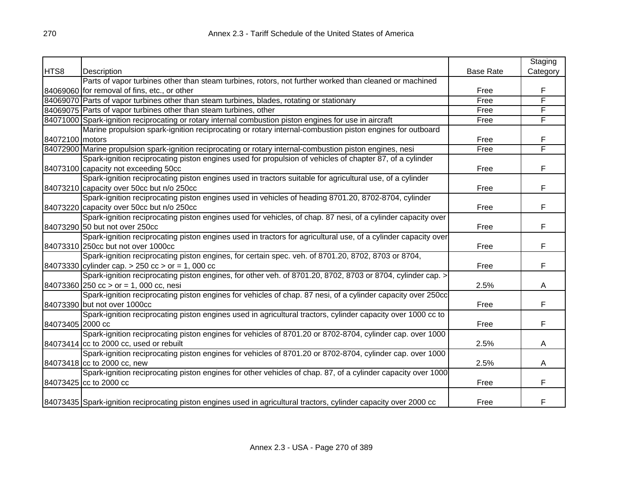|                  |                                                                                                                    |                  | Staging  |
|------------------|--------------------------------------------------------------------------------------------------------------------|------------------|----------|
| HTS8             | Description                                                                                                        | <b>Base Rate</b> | Category |
|                  | Parts of vapor turbines other than steam turbines, rotors, not further worked than cleaned or machined             |                  |          |
|                  | 84069060 for removal of fins, etc., or other                                                                       | Free             | F        |
|                  | 84069070 Parts of vapor turbines other than steam turbines, blades, rotating or stationary                         | Free             | F        |
|                  | 84069075 Parts of vapor turbines other than steam turbines, other                                                  | Free             | F        |
|                  | 84071000 Spark-ignition reciprocating or rotary internal combustion piston engines for use in aircraft             | Free             | F        |
|                  | Marine propulsion spark-ignition reciprocating or rotary internal-combustion piston engines for outboard           |                  |          |
| 84072100 motors  |                                                                                                                    | Free             | F        |
|                  | 84072900 Marine propulsion spark-ignition reciprocating or rotary internal-combustion piston engines, nesi         | Free             | F        |
|                  | Spark-ignition reciprocating piston engines used for propulsion of vehicles of chapter 87, of a cylinder           |                  |          |
|                  | 84073100 capacity not exceeding 50cc                                                                               | Free             | F        |
|                  | Spark-ignition reciprocating piston engines used in tractors suitable for agricultural use, of a cylinder          |                  |          |
|                  | 84073210 capacity over 50cc but n/o 250cc                                                                          | Free             | F        |
|                  | Spark-ignition reciprocating piston engines used in vehicles of heading 8701.20, 8702-8704, cylinder               |                  |          |
|                  | 84073220 capacity over 50cc but n/o 250cc                                                                          | Free             | F        |
|                  | Spark-ignition reciprocating piston engines used for vehicles, of chap. 87 nesi, of a cylinder capacity over       |                  |          |
|                  | 84073290 50 but not over 250cc                                                                                     | Free             | F        |
|                  | Spark-ignition reciprocating piston engines used in tractors for agricultural use, of a cylinder capacity over     |                  |          |
|                  | 84073310 250cc but not over 1000cc                                                                                 | Free             | F        |
|                  | Spark-ignition reciprocating piston engines, for certain spec. veh. of 8701.20, 8702, 8703 or 8704,                |                  |          |
|                  | 84073330 cylinder cap. $> 250$ cc $>$ or = 1, 000 cc                                                               | Free             | F        |
|                  | Spark-ignition reciprocating piston engines, for other veh. of 8701.20, 8702, 8703 or 8704, cylinder cap. >        |                  |          |
|                  | $84073360$ 250 cc > or = 1, 000 cc, nesi                                                                           | 2.5%             | A        |
|                  | Spark-ignition reciprocating piston engines for vehicles of chap. 87 nesi, of a cylinder capacity over 250cc       |                  |          |
|                  | 84073390 but not over 1000cc                                                                                       | Free             | F        |
|                  | Spark-ignition reciprocating piston engines used in agricultural tractors, cylinder capacity over 1000 cc to       |                  |          |
| 84073405 2000 cc |                                                                                                                    | Free             | F        |
|                  | Spark-ignition reciprocating piston engines for vehicles of 8701.20 or 8702-8704, cylinder cap. over 1000          |                  |          |
|                  | 84073414 cc to 2000 cc, used or rebuilt                                                                            | 2.5%             | A        |
|                  | Spark-ignition reciprocating piston engines for vehicles of 8701.20 or 8702-8704, cylinder cap. over 1000          |                  |          |
|                  | 84073418 cc to 2000 cc, new                                                                                        | 2.5%             | A        |
|                  | Spark-ignition reciprocating piston engines for other vehicles of chap. 87, of a cylinder capacity over 1000       |                  |          |
|                  | 84073425 cc to 2000 cc                                                                                             | Free             | F        |
|                  |                                                                                                                    |                  |          |
|                  | 84073435 Spark-ignition reciprocating piston engines used in agricultural tractors, cylinder capacity over 2000 cc | Free             | F        |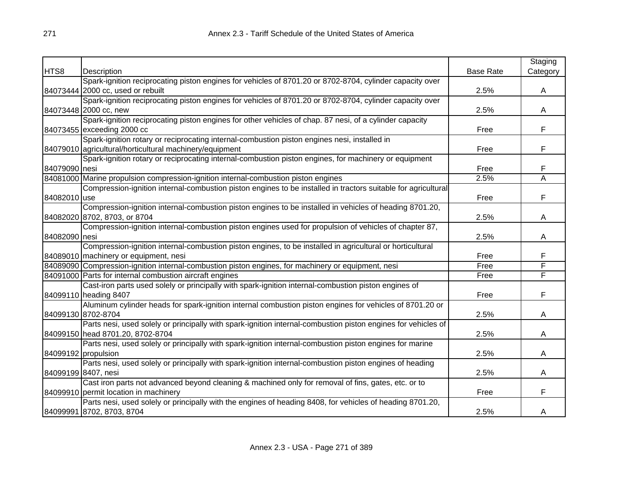|               |                                                                                                               |                  | Staging  |
|---------------|---------------------------------------------------------------------------------------------------------------|------------------|----------|
| HTS8          | Description                                                                                                   | <b>Base Rate</b> | Category |
|               | Spark-ignition reciprocating piston engines for vehicles of 8701.20 or 8702-8704, cylinder capacity over      |                  |          |
|               | 84073444 2000 cc, used or rebuilt                                                                             | 2.5%             | A        |
|               | Spark-ignition reciprocating piston engines for vehicles of 8701.20 or 8702-8704, cylinder capacity over      |                  |          |
|               | 84073448 2000 cc, new                                                                                         | 2.5%             | A        |
|               | Spark-ignition reciprocating piston engines for other vehicles of chap. 87 nesi, of a cylinder capacity       |                  |          |
|               | 84073455 exceeding 2000 cc                                                                                    | Free             | F        |
|               | Spark-ignition rotary or reciprocating internal-combustion piston engines nesi, installed in                  |                  |          |
|               | 84079010 agricultural/horticultural machinery/equipment                                                       | Free             | F        |
|               | Spark-ignition rotary or reciprocating internal-combustion piston engines, for machinery or equipment         |                  |          |
| 84079090 nesi |                                                                                                               | Free             | F        |
|               | 84081000 Marine propulsion compression-ignition internal-combustion piston engines                            | 2.5%             | Ā        |
|               | Compression-ignition internal-combustion piston engines to be installed in tractors suitable for agricultural |                  |          |
| 84082010 use  |                                                                                                               | Free             | F        |
|               | Compression-ignition internal-combustion piston engines to be installed in vehicles of heading 8701.20,       |                  |          |
|               | 84082020 8702, 8703, or 8704                                                                                  | 2.5%             | A        |
|               | Compression-ignition internal-combustion piston engines used for propulsion of vehicles of chapter 87,        |                  |          |
| 84082090 nesi |                                                                                                               | 2.5%             | A        |
|               | Compression-ignition internal-combustion piston engines, to be installed in agricultural or horticultural     |                  |          |
|               | 84089010 machinery or equipment, nesi                                                                         | Free             | F        |
|               | 84089090 Compression-ignition internal-combustion piston engines, for machinery or equipment, nesi            | Free             | F        |
|               | 84091000 Parts for internal combustion aircraft engines                                                       | Free             | F        |
|               | Cast-iron parts used solely or principally with spark-ignition internal-combustion piston engines of          |                  |          |
|               | 84099110 heading 8407                                                                                         | Free             | F        |
|               | Aluminum cylinder heads for spark-ignition internal combustion piston engines for vehicles of 8701.20 or      |                  |          |
|               | 84099130 8702-8704                                                                                            | 2.5%             | A        |
|               | Parts nesi, used solely or principally with spark-ignition internal-combustion piston engines for vehicles of |                  |          |
|               | 84099150 head 8701.20, 8702-8704                                                                              | 2.5%             | A        |
|               | Parts nesi, used solely or principally with spark-ignition internal-combustion piston engines for marine      |                  |          |
|               | 84099192 propulsion                                                                                           | 2.5%             | A        |
|               | Parts nesi, used solely or principally with spark-ignition internal-combustion piston engines of heading      |                  |          |
|               | 84099199 8407, nesi                                                                                           | 2.5%             | A        |
|               | Cast iron parts not advanced beyond cleaning & machined only for removal of fins, gates, etc. or to           |                  |          |
|               | 84099910 permit location in machinery                                                                         | Free             | F        |
|               | Parts nesi, used solely or principally with the engines of heading 8408, for vehicles of heading 8701.20,     |                  |          |
|               | 84099991 8702, 8703, 8704                                                                                     | 2.5%             | A        |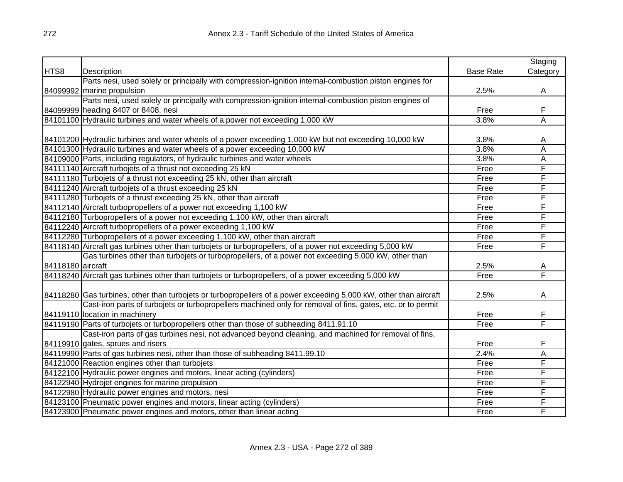|                   |                                                                                                                   |                  | Staging                 |
|-------------------|-------------------------------------------------------------------------------------------------------------------|------------------|-------------------------|
| HTS8              | Description                                                                                                       | <b>Base Rate</b> | Category                |
|                   | Parts nesi, used solely or principally with compression-ignition internal-combustion piston engines for           |                  |                         |
|                   | 84099992 marine propulsion                                                                                        | 2.5%             | Α                       |
|                   | Parts nesi, used solely or principally with compression-ignition internal-combustion piston engines of            |                  |                         |
|                   | 84099999 heading 8407 or 8408, nesi                                                                               | Free             | F                       |
|                   | 84101100 Hydraulic turbines and water wheels of a power not exceeding 1,000 kW                                    | 3.8%             | Ā                       |
|                   |                                                                                                                   |                  |                         |
|                   | 84101200 Hydraulic turbines and water wheels of a power exceeding 1,000 kW but not exceeding 10,000 kW            | 3.8%             | A                       |
|                   | 84101300 Hydraulic turbines and water wheels of a power exceeding 10,000 kW                                       | 3.8%             | $\overline{\mathsf{A}}$ |
|                   | 84109000 Parts, including regulators, of hydraulic turbines and water wheels                                      | 3.8%             | Α                       |
|                   | 84111140 Aircraft turbojets of a thrust not exceeding 25 kN                                                       | Free             | F                       |
|                   | 84111180 Turbojets of a thrust not exceeding 25 kN, other than aircraft                                           | Free             | F                       |
|                   | 84111240 Aircraft turbojets of a thrust exceeding 25 kN                                                           | Free             | F                       |
|                   | 84111280 Turbojets of a thrust exceeding 25 kN, other than aircraft                                               | Free             | F                       |
|                   | 84112140 Aircraft turbopropellers of a power not exceeding 1,100 kW                                               | Free             | F                       |
|                   | 84112180 Turbopropellers of a power not exceeding 1,100 kW, other than aircraft                                   | Free             | F                       |
|                   | 84112240 Aircraft turbopropellers of a power exceeding 1,100 kW                                                   | Free             | F                       |
|                   | 84112280 Turbopropellers of a power exceeding 1,100 kW, other than aircraft                                       | Free             | F                       |
|                   | 84118140 Aircraft gas turbines other than turbojets or turbopropellers, of a power not exceeding 5,000 kW         | Free             | F                       |
|                   | Gas turbines other than turbojets or turbopropellers, of a power not exceeding 5,000 kW, other than               |                  |                         |
| 84118180 aircraft |                                                                                                                   | 2.5%             | A                       |
|                   | 84118240 Aircraft gas turbines other than turbojets or turbopropellers, of a power exceeding 5,000 kW             | Free             | F                       |
|                   |                                                                                                                   |                  |                         |
|                   | 84118280 Gas turbines, other than turbojets or turbopropellers of a power exceeding 5,000 kW, other than aircraft | 2.5%             | A                       |
|                   | Cast-iron parts of turbojets or turbopropellers machined only for removal of fins, gates, etc. or to permit       |                  |                         |
|                   | 84119110 location in machinery                                                                                    | Free             | F                       |
|                   | 84119190 Parts of turbojets or turbopropellers other than those of subheading 8411.91.10                          | Free             | F                       |
|                   | Cast-iron parts of gas turbines nesi, not advanced beyond cleaning, and machined for removal of fins,             |                  |                         |
|                   | 84119910 gates, sprues and risers                                                                                 | Free             | F                       |
|                   | 84119990 Parts of gas turbines nesi, other than those of subheading 8411.99.10                                    | 2.4%             | Ā                       |
|                   | 84121000 Reaction engines other than turbojets                                                                    | Free             | F                       |
|                   | 84122100 Hydraulic power engines and motors, linear acting (cylinders)                                            | Free             | F                       |
|                   | 84122940 Hydrojet engines for marine propulsion                                                                   | Free             | F                       |
|                   | 84122980 Hydraulic power engines and motors, nesi                                                                 | Free             | F                       |
|                   | 84123100 Pneumatic power engines and motors, linear acting (cylinders)                                            | Free             | F                       |
|                   | 84123900 Pneumatic power engines and motors, other than linear acting                                             | Free             | F                       |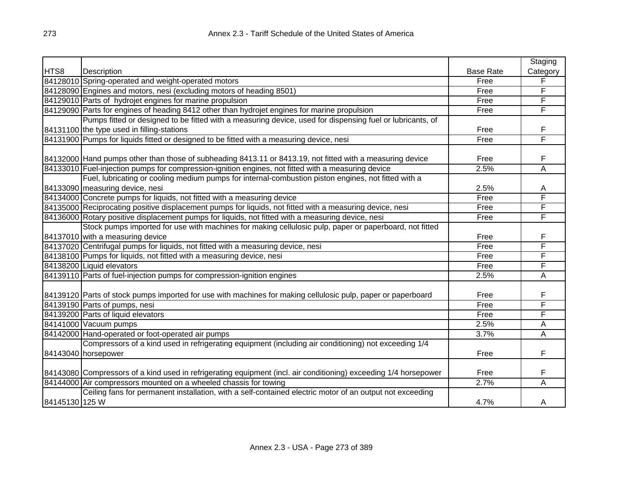|                |                                                                                                                  |                  | Staging        |
|----------------|------------------------------------------------------------------------------------------------------------------|------------------|----------------|
| HTS8           | Description                                                                                                      | <b>Base Rate</b> | Category       |
|                | 84128010 Spring-operated and weight-operated motors                                                              | Free             | F              |
|                | 84128090 Engines and motors, nesi (excluding motors of heading 8501)                                             | Free             | F              |
|                | 84129010 Parts of hydrojet engines for marine propulsion                                                         | Free             | F              |
|                | 84129090 Parts for engines of heading 8412 other than hydrojet engines for marine propulsion                     | Free             | F              |
|                | Pumps fitted or designed to be fitted with a measuring device, used for dispensing fuel or lubricants, of        |                  |                |
|                | 84131100 the type used in filling-stations                                                                       | Free             | F              |
|                | 84131900 Pumps for liquids fitted or designed to be fitted with a measuring device, nesi                         | Free             | F              |
|                |                                                                                                                  |                  |                |
|                | 84132000 Hand pumps other than those of subheading 8413.11 or 8413.19, not fitted with a measuring device        | Free             | F              |
|                | 84133010 Fuel-injection pumps for compression-ignition engines, not fitted with a measuring device               | 2.5%             | $\overline{A}$ |
|                | Fuel, lubricating or cooling medium pumps for internal-combustion piston engines, not fitted with a              |                  |                |
|                | 84133090 measuring device, nesi                                                                                  | 2.5%             | A              |
|                | 84134000 Concrete pumps for liquids, not fitted with a measuring device                                          | Free             | F              |
|                | 84135000 Reciprocating positive displacement pumps for liquids, not fitted with a measuring device, nesi         | Free             | F              |
|                | 84136000 Rotary positive displacement pumps for liquids, not fitted with a measuring device, nesi                | Free             | F              |
|                | Stock pumps imported for use with machines for making cellulosic pulp, paper or paperboard, not fitted           |                  |                |
|                | 84137010 with a measuring device                                                                                 | Free             | F              |
|                | 84137020 Centrifugal pumps for liquids, not fitted with a measuring device, nesi                                 | Free             | F              |
|                | 84138100 Pumps for liquids, not fitted with a measuring device, nesi                                             | Free             | F              |
|                | 84138200 Liquid elevators                                                                                        | Free             | F              |
|                | 84139110 Parts of fuel-injection pumps for compression-ignition engines                                          | 2.5%             | A              |
|                |                                                                                                                  |                  |                |
|                | 84139120 Parts of stock pumps imported for use with machines for making cellulosic pulp, paper or paperboard     | Free             | F              |
|                | 84139190 Parts of pumps, nesi                                                                                    | Free             | F              |
|                | 84139200 Parts of liquid elevators                                                                               | Free             | F              |
|                | 84141000 Vacuum pumps                                                                                            | 2.5%             | Α              |
|                | 84142000 Hand-operated or foot-operated air pumps                                                                | 3.7%             | A              |
|                | Compressors of a kind used in refrigerating equipment (including air conditioning) not exceeding 1/4             |                  |                |
|                | 84143040 horsepower                                                                                              | Free             | F              |
|                |                                                                                                                  |                  |                |
|                | 84143080 Compressors of a kind used in refrigerating equipment (incl. air conditioning) exceeding 1/4 horsepower | Free             | F              |
|                | 84144000 Air compressors mounted on a wheeled chassis for towing                                                 | 2.7%             | A              |
|                | Ceiling fans for permanent installation, with a self-contained electric motor of an output not exceeding         |                  |                |
| 84145130 125 W |                                                                                                                  | 4.7%             | Α              |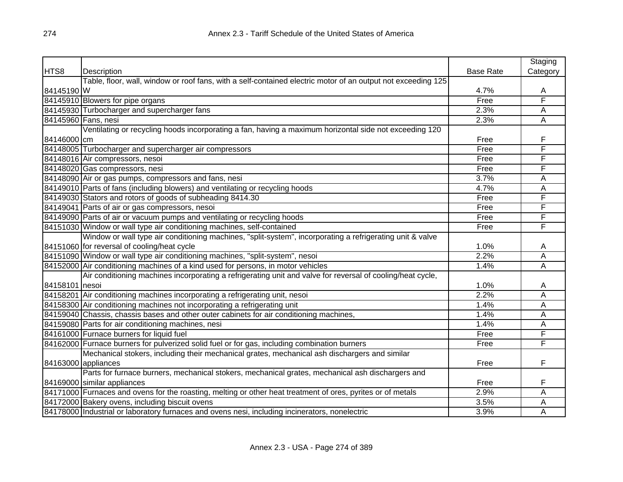|                |                                                                                                              |                  | Staging  |
|----------------|--------------------------------------------------------------------------------------------------------------|------------------|----------|
| HTS8           | Description                                                                                                  | <b>Base Rate</b> | Category |
|                | Table, floor, wall, window or roof fans, with a self-contained electric motor of an output not exceeding 125 |                  |          |
| 84145190 W     |                                                                                                              | 4.7%             | A        |
|                | 84145910 Blowers for pipe organs                                                                             | Free             | F        |
|                | 84145930 Turbocharger and supercharger fans                                                                  | 2.3%             | А        |
|                | 84145960 Fans, nesi                                                                                          | 2.3%             | Α        |
|                | Ventilating or recycling hoods incorporating a fan, having a maximum horizontal side not exceeding 120       |                  |          |
| 84146000 cm    |                                                                                                              | Free             | F        |
|                | 84148005 Turbocharger and supercharger air compressors                                                       | Free             | F        |
|                | 84148016 Air compressors, nesoi                                                                              | Free             | F        |
|                | 84148020 Gas compressors, nesi                                                                               | Free             | Ē        |
|                | 84148090 Air or gas pumps, compressors and fans, nesi                                                        | 3.7%             | A        |
|                | 84149010 Parts of fans (including blowers) and ventilating or recycling hoods                                | 4.7%             | A        |
|                | 84149030 Stators and rotors of goods of subheading 8414.30                                                   | Free             | F        |
|                | 84149041 Parts of air or gas compressors, nesoi                                                              | Free             | F        |
|                | 84149090 Parts of air or vacuum pumps and ventilating or recycling hoods                                     | Free             | F        |
|                | 84151030 Window or wall type air conditioning machines, self-contained                                       | Free             | F        |
|                | Window or wall type air conditioning machines, "split-system", incorporating a refrigerating unit & valve    |                  |          |
|                | 84151060 for reversal of cooling/heat cycle                                                                  | 1.0%             | A        |
|                | 84151090 Window or wall type air conditioning machines, "split-system", nesoi                                | 2.2%             | A        |
|                | 84152000 Air conditioning machines of a kind used for persons, in motor vehicles                             | 1.4%             | A        |
|                | Air conditioning machines incorporating a refrigerating unit and valve for reversal of cooling/heat cycle,   |                  |          |
| 84158101 nesoi |                                                                                                              | 1.0%             | A        |
|                | 84158201 Air conditioning machines incorporating a refrigerating unit, nesoi                                 | 2.2%             | Α        |
|                | 84158300 Air conditioning machines not incorporating a refrigerating unit                                    | 1.4%             | A        |
|                | 84159040 Chassis, chassis bases and other outer cabinets for air conditioning machines,                      | 1.4%             | A        |
|                | 84159080 Parts for air conditioning machines, nesi                                                           | 1.4%             | A        |
|                | 84161000 Furnace burners for liquid fuel                                                                     | Free             | F        |
|                | 84162000 Furnace burners for pulverized solid fuel or for gas, including combination burners                 | Free             | F        |
|                | Mechanical stokers, including their mechanical grates, mechanical ash dischargers and similar                |                  |          |
|                | 84163000 appliances                                                                                          | Free             | F        |
|                | Parts for furnace burners, mechanical stokers, mechanical grates, mechanical ash dischargers and             |                  |          |
|                | 84169000 similar appliances                                                                                  | Free             | F        |
|                | 84171000 Furnaces and ovens for the roasting, melting or other heat treatment of ores, pyrites or of metals  | 2.9%             | A        |
|                | 84172000 Bakery ovens, including biscuit ovens                                                               | 3.5%             | A        |
|                | 84178000 Industrial or laboratory furnaces and ovens nesi, including incinerators, nonelectric               | 3.9%             | A        |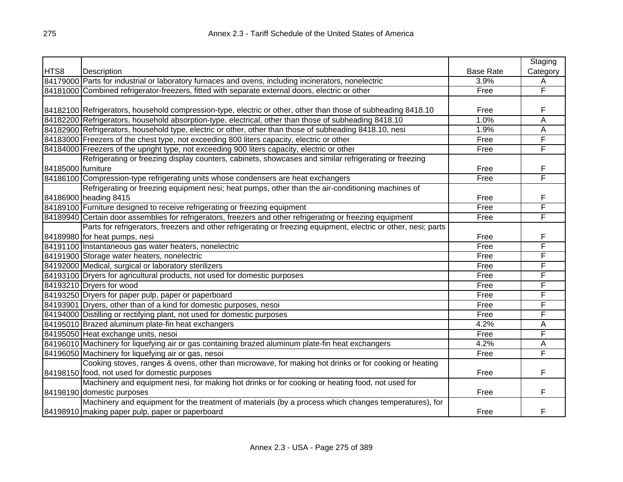|                    |                                                                                                                 |                  | Staging  |
|--------------------|-----------------------------------------------------------------------------------------------------------------|------------------|----------|
| HTS8               | Description                                                                                                     | <b>Base Rate</b> | Category |
|                    | 84179000 Parts for industrial or laboratory furnaces and ovens, including incinerators, nonelectric             | 3.9%             | Α        |
|                    | 84181000 Combined refrigerator-freezers, fitted with separate external doors, electric or other                 | Free             | F        |
|                    |                                                                                                                 |                  |          |
|                    | 84182100 Refrigerators, household compression-type, electric or other, other than those of subheading 8418.10   | Free             | F        |
|                    | 84182200 Refrigerators, household absorption-type, electrical, other than those of subheading 8418.10           | 1.0%             | Ā        |
|                    | 84182900 Refrigerators, household type, electric or other, other than those of subheading 8418.10, nesi         | 1.9%             | Α        |
|                    | 84183000 Freezers of the chest type, not exceeding 800 liters capacity, electric or other                       | Free             | F        |
|                    | 84184000 Freezers of the upright type, not exceeding 900 liters capacity, electric or other                     | Free             | F        |
|                    | Refrigerating or freezing display counters, cabinets, showcases and similar refrigerating or freezing           |                  |          |
| 84185000 furniture |                                                                                                                 | Free             | F        |
|                    | 84186100 Compression-type refrigerating units whose condensers are heat exchangers                              | Free             | F        |
|                    | Refrigerating or freezing equipment nesi; heat pumps, other than the air-conditioning machines of               |                  |          |
|                    | 84186900 heading 8415                                                                                           | Free             | F        |
|                    | 84189100 Furniture designed to receive refrigerating or freezing equipment                                      | Free             | F        |
|                    | 84189940 Certain door assemblies for refrigerators, freezers and other refrigerating or freezing equipment      | Free             | F        |
|                    | Parts for refrigerators, freezers and other refrigerating or freezing equipment, electric or other, nesi; parts |                  |          |
|                    | 84189980 for heat pumps, nesi                                                                                   | Free             | F        |
|                    | 84191100 Instantaneous gas water heaters, nonelectric                                                           | Free             | F        |
|                    | 84191900 Storage water heaters, nonelectric                                                                     | Free             | F        |
|                    | 84192000 Medical, surgical or laboratory sterilizers                                                            | Free             | F        |
|                    | 84193100 Dryers for agricultural products, not used for domestic purposes                                       | Free             | F        |
|                    | 84193210 Dryers for wood                                                                                        | Free             | F        |
|                    | 84193250 Dryers for paper pulp, paper or paperboard                                                             | Free             | F        |
|                    | 84193901 Dryers, other than of a kind for domestic purposes, nesoi                                              | Free             | F        |
|                    | 84194000 Distilling or rectifying plant, not used for domestic purposes                                         | Free             | F        |
|                    | 84195010 Brazed aluminum plate-fin heat exchangers                                                              | 4.2%             | Α        |
|                    | 84195050 Heat exchange units, nesoi                                                                             | Free             | F        |
|                    | 84196010 Machinery for liquefying air or gas containing brazed aluminum plate-fin heat exchangers               | 4.2%             | Α        |
|                    | 84196050 Machinery for liquefying air or gas, nesoi                                                             | Free             | F        |
|                    | Cooking stoves, ranges & ovens, other than microwave, for making hot drinks or for cooking or heating           |                  |          |
|                    | 84198150 food, not used for domestic purposes                                                                   | Free             | F        |
|                    | Machinery and equipment nesi, for making hot drinks or for cooking or heating food, not used for                |                  |          |
|                    | 84198190 domestic purposes                                                                                      | Free             | F        |
|                    | Machinery and equipment for the treatment of materials (by a process which changes temperatures), for           |                  |          |
|                    | 84198910 making paper pulp, paper or paperboard                                                                 | Free             | F        |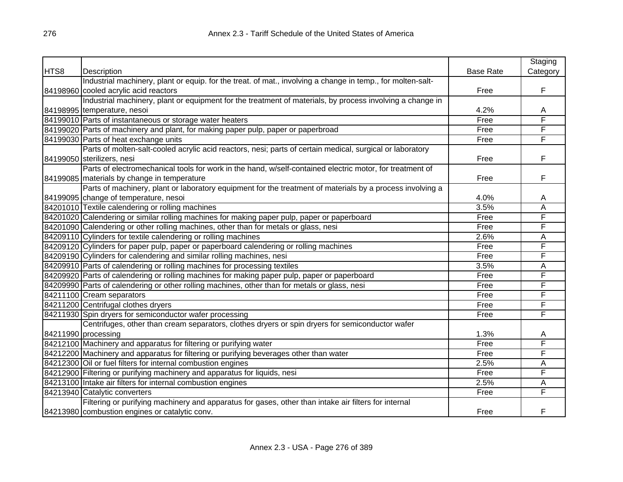|      |                                                                                                             |                  | Staging  |
|------|-------------------------------------------------------------------------------------------------------------|------------------|----------|
| HTS8 | Description                                                                                                 | <b>Base Rate</b> | Category |
|      | Industrial machinery, plant or equip. for the treat. of mat., involving a change in temp., for molten-salt- |                  |          |
|      | 84198960 cooled acrylic acid reactors                                                                       | Free             | F        |
|      | Industrial machinery, plant or equipment for the treatment of materials, by process involving a change in   |                  |          |
|      | 84198995 temperature, nesoi                                                                                 | 4.2%             | A        |
|      | 84199010 Parts of instantaneous or storage water heaters                                                    | Free             | F        |
|      | 84199020 Parts of machinery and plant, for making paper pulp, paper or paperbroad                           | Free             | F        |
|      | 84199030 Parts of heat exchange units                                                                       | Free             | F        |
|      | Parts of molten-salt-cooled acrylic acid reactors, nesi; parts of certain medical, surgical or laboratory   |                  |          |
|      | 84199050 sterilizers, nesi                                                                                  | Free             | F        |
|      | Parts of electromechanical tools for work in the hand, w/self-contained electric motor, for treatment of    |                  |          |
|      | 84199085 materials by change in temperature                                                                 | Free             | F        |
|      | Parts of machinery, plant or laboratory equipment for the treatment of materials by a process involving a   |                  |          |
|      | 84199095 change of temperature, nesoi                                                                       | 4.0%             | A        |
|      | 84201010 Textile calendering or rolling machines                                                            | 3.5%             | A        |
|      | 84201020 Calendering or similar rolling machines for making paper pulp, paper or paperboard                 | Free             | F        |
|      | 84201090 Calendering or other rolling machines, other than for metals or glass, nesi                        | Free             | F        |
|      | 84209110 Cylinders for textile calendering or rolling machines                                              | 2.6%             | A        |
|      | 84209120 Cylinders for paper pulp, paper or paperboard calendering or rolling machines                      | Free             | F        |
|      | 84209190 Cylinders for calendering and similar rolling machines, nesi                                       | Free             | F        |
|      | 84209910 Parts of calendering or rolling machines for processing textiles                                   | 3.5%             | A        |
|      | 84209920 Parts of calendering or rolling machines for making paper pulp, paper or paperboard                | Free             | F        |
|      | 84209990 Parts of calendering or other rolling machines, other than for metals or glass, nesi               | Free             | F        |
|      | 84211100 Cream separators                                                                                   | Free             | F        |
|      | 84211200 Centrifugal clothes dryers                                                                         | Free             | F        |
|      | 84211930 Spin dryers for semiconductor wafer processing                                                     | Free             | F        |
|      | Centrifuges, other than cream separators, clothes dryers or spin dryers for semiconductor wafer             |                  |          |
|      | 84211990 processing                                                                                         | 1.3%             | Α        |
|      | 84212100 Machinery and apparatus for filtering or purifying water                                           | Free             | F        |
|      | 84212200 Machinery and apparatus for filtering or purifying beverages other than water                      | Free             | F        |
|      | 84212300 Oil or fuel filters for internal combustion engines                                                | 2.5%             | A        |
|      | 84212900 Filtering or purifying machinery and apparatus for liquids, nesi                                   | Free             | F        |
|      | 84213100 Intake air filters for internal combustion engines                                                 | 2.5%             | A        |
|      | 84213940 Catalytic converters                                                                               | Free             | F        |
|      | Filtering or purifying machinery and apparatus for gases, other than intake air filters for internal        |                  |          |
|      | 84213980 combustion engines or catalytic conv.                                                              | Free             | F        |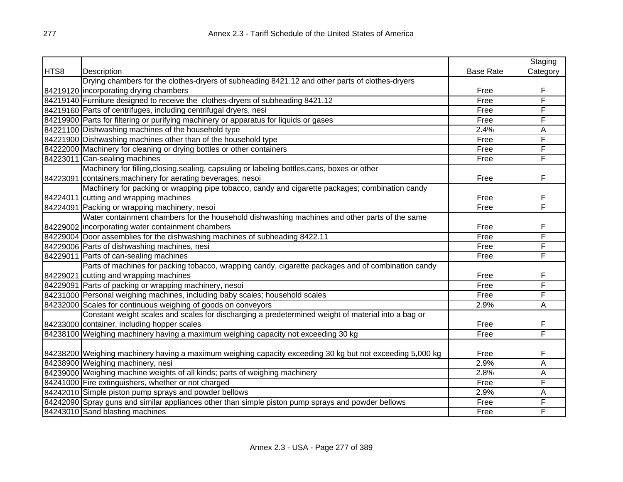|      |                                                                                                           |                  | Staging                 |
|------|-----------------------------------------------------------------------------------------------------------|------------------|-------------------------|
| HTS8 | Description                                                                                               | <b>Base Rate</b> | Category                |
|      | Drying chambers for the clothes-dryers of subheading 8421.12 and other parts of clothes-dryers            |                  |                         |
|      | 84219120 incorporating drying chambers                                                                    | Free             | F                       |
|      | 84219140 Furniture designed to receive the clothes-dryers of subheading 8421.12                           | Free             | F                       |
|      | 84219160 Parts of centrifuges, including centrifugal dryers, nesi                                         | Free             | F                       |
|      | 84219900 Parts for filtering or purifying machinery or apparatus for liquids or gases                     | Free             | F                       |
|      | 84221100 Dishwashing machines of the household type                                                       | 2.4%             | Α                       |
|      | 84221900 Dishwashing machines other than of the household type                                            | Free             | $\overline{\mathsf{F}}$ |
|      | 84222000 Machinery for cleaning or drying bottles or other containers                                     | Free             | F                       |
|      | 84223011 Can-sealing machines                                                                             | Free             | F                       |
|      | Machinery for filling, closing, sealing, capsuling or labeling bottles, cans, boxes or other              |                  |                         |
|      | 84223091 containers; machinery for aerating beverages; nesoi                                              | Free             | F                       |
|      | Machinery for packing or wrapping pipe tobacco, candy and cigarette packages; combination candy           |                  |                         |
|      | 84224011 cutting and wrapping machines                                                                    | Free             | F                       |
|      | 84224091 Packing or wrapping machinery, nesoi                                                             | Free             | F                       |
|      | Water containment chambers for the household dishwashing machines and other parts of the same             |                  |                         |
|      | 84229002  incorporating water containment chambers                                                        | Free             | F                       |
|      | 84229004 Door assemblies for the dishwashing machines of subheading 8422.11                               | Free             | F                       |
|      | 84229006 Parts of dishwashing machines, nesi                                                              | Free             | F                       |
|      | 84229011 Parts of can-sealing machines                                                                    | Free             | F                       |
|      | Parts of machines for packing tobacco, wrapping candy, cigarette packages and of combination candy        |                  |                         |
|      | 84229021 cutting and wrapping machines                                                                    | Free             | F                       |
|      | 84229091 Parts of packing or wrapping machinery, nesoi                                                    | Free             | F                       |
|      | 84231000 Personal weighing machines, including baby scales; household scales                              | Free             | F                       |
|      | 84232000 Scales for continuous weighing of goods on conveyors                                             | 2.9%             | Α                       |
|      | Constant weight scales and scales for discharging a predetermined weight of material into a bag or        |                  |                         |
|      | 84233000 container, including hopper scales                                                               | Free             | F                       |
|      | 84238100 Weighing machinery having a maximum weighing capacity not exceeding 30 kg                        | Free             | F                       |
|      |                                                                                                           |                  |                         |
|      | 84238200 Weighing machinery having a maximum weighing capacity exceeding 30 kg but not exceeding 5,000 kg | Free             | F                       |
|      | 84238900 Weighing machinery, nesi                                                                         | 2.9%             | Ā                       |
|      | 84239000 Weighing machine weights of all kinds; parts of weighing machinery                               | 2.8%             | Α                       |
|      | 84241000 Fire extinguishers, whether or not charged                                                       | Free             | F                       |
|      | 84242010 Simple piston pump sprays and powder bellows                                                     | 2.9%             | Α                       |
|      | 84242090 Spray guns and similar appliances other than simple piston pump sprays and powder bellows        | Free             | F                       |
|      | 84243010 Sand blasting machines                                                                           | Free             | F                       |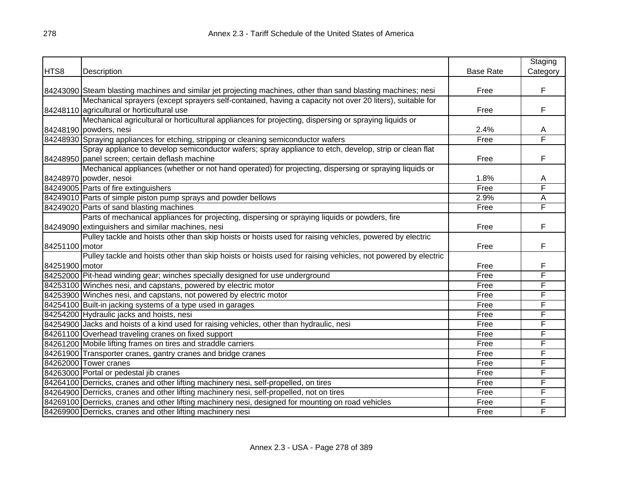|                |                                                                                                               |                  | Staging  |
|----------------|---------------------------------------------------------------------------------------------------------------|------------------|----------|
| HTS8           | Description                                                                                                   | <b>Base Rate</b> | Category |
|                |                                                                                                               |                  |          |
|                | 84243090 Steam blasting machines and similar jet projecting machines, other than sand blasting machines; nesi | Free             | F        |
|                | Mechanical sprayers (except sprayers self-contained, having a capacity not over 20 liters), suitable for      |                  |          |
|                | 84248110 agricultural or horticultural use                                                                    | Free             | F        |
|                | Mechanical agricultural or horticultural appliances for projecting, dispersing or spraying liquids or         |                  |          |
|                | 84248190 powders, nesi                                                                                        | 2.4%             | A        |
|                | 84248930 Spraying appliances for etching, stripping or cleaning semiconductor wafers                          | Free             | F        |
|                | Spray appliance to develop semiconductor wafers; spray appliance to etch, develop, strip or clean flat        |                  |          |
|                | 84248950 panel screen; certain deflash machine                                                                | Free             | F        |
|                | Mechanical appliances (whether or not hand operated) for projecting, dispersing or spraying liquids or        |                  |          |
|                | 84248970 powder, nesoi                                                                                        | 1.8%             | A        |
|                | 84249005 Parts of fire extinguishers                                                                          | Free             | F        |
|                | 84249010 Parts of simple piston pump sprays and powder bellows                                                | 2.9%             | Α        |
|                | 84249020 Parts of sand blasting machines                                                                      | Free             | F        |
|                | Parts of mechanical appliances for projecting, dispersing or spraying liquids or powders, fire                |                  |          |
|                | 84249090 extinguishers and similar machines, nesi                                                             | Free             | F        |
|                | Pulley tackle and hoists other than skip hoists or hoists used for raising vehicles, powered by electric      |                  |          |
| 84251100 motor |                                                                                                               | Free             | F        |
|                | Pulley tackle and hoists other than skip hoists or hoists used for raising vehicles, not powered by electric  |                  |          |
| 84251900 motor |                                                                                                               | Free             | F        |
|                | 84252000 Pit-head winding gear; winches specially designed for use underground                                | Free             | F        |
|                | 84253100 Winches nesi, and capstans, powered by electric motor                                                | Free             | F        |
|                | 84253900 Winches nesi, and capstans, not powered by electric motor                                            | Free             | F        |
|                | 84254100 Built-in jacking systems of a type used in garages                                                   | Free             | F        |
|                | 84254200 Hydraulic jacks and hoists, nesi                                                                     | Free             | F        |
|                | 84254900 Jacks and hoists of a kind used for raising vehicles, other than hydraulic, nesi                     | Free             | F        |
|                | 84261100 Overhead traveling cranes on fixed support                                                           | Free             | F        |
|                | 84261200 Mobile lifting frames on tires and straddle carriers                                                 | Free             | F        |
|                | 84261900 Transporter cranes, gantry cranes and bridge cranes                                                  | Free             | F        |
|                | 84262000 Tower cranes                                                                                         | Free             | F        |
|                | 84263000 Portal or pedestal jib cranes                                                                        | Free             | F        |
|                | 84264100 Derricks, cranes and other lifting machinery nesi, self-propelled, on tires                          | Free             | F        |
|                | 84264900 Derricks, cranes and other lifting machinery nesi, self-propelled, not on tires                      | Free             | F        |
|                | 84269100 Derricks, cranes and other lifting machinery nesi, designed for mounting on road vehicles            | Free             | F        |
|                | 84269900 Derricks, cranes and other lifting machinery nesi                                                    | Free             | F        |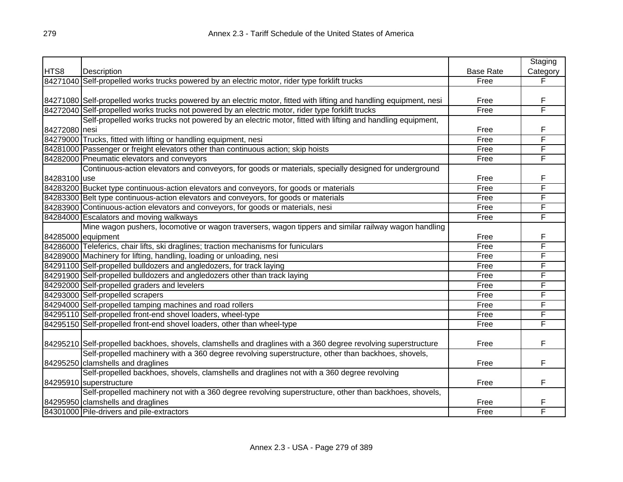|               |                                                                                                                     |                  | Staging  |
|---------------|---------------------------------------------------------------------------------------------------------------------|------------------|----------|
| HTS8          | Description                                                                                                         | <b>Base Rate</b> | Category |
|               | 84271040 Self-propelled works trucks powered by an electric motor, rider type forklift trucks                       | Free             | F        |
|               |                                                                                                                     |                  |          |
|               | 84271080 Self-propelled works trucks powered by an electric motor, fitted with lifting and handling equipment, nesi | Free             | F        |
|               | 84272040 Self-propelled works trucks not powered by an electric motor, rider type forklift trucks                   | Free             | F        |
|               | Self-propelled works trucks not powered by an electric motor, fitted with lifting and handling equipment,           |                  |          |
| 84272080 nesi |                                                                                                                     | Free             | F        |
|               | 84279000 Trucks, fitted with lifting or handling equipment, nesi                                                    | Free             | F        |
|               | 84281000 Passenger or freight elevators other than continuous action; skip hoists                                   | Free             | F        |
|               | 84282000 Pneumatic elevators and conveyors                                                                          | Free             | F        |
|               | Continuous-action elevators and conveyors, for goods or materials, specially designed for underground               |                  |          |
| 84283100 use  |                                                                                                                     | Free             | F        |
|               | 84283200 Bucket type continuous-action elevators and conveyors, for goods or materials                              | Free             | F        |
|               | 84283300 Belt type continuous-action elevators and conveyors, for goods or materials                                | Free             | F        |
|               | 84283900 Continuous-action elevators and conveyors, for goods or materials, nesi                                    | Free             | F        |
|               | 84284000 Escalators and moving walkways                                                                             | Free             | F        |
|               | Mine wagon pushers, locomotive or wagon traversers, wagon tippers and similar railway wagon handling                |                  |          |
|               | 84285000 equipment                                                                                                  | Free             | F        |
|               | 84286000 Teleferics, chair lifts, ski draglines; traction mechanisms for funiculars                                 | Free             | F        |
|               | 84289000 Machinery for lifting, handling, loading or unloading, nesi                                                | Free             | F        |
|               | 84291100 Self-propelled bulldozers and angledozers, for track laying                                                | Free             | F        |
|               | 84291900 Self-propelled bulldozers and angledozers other than track laying                                          | Free             | F        |
|               | 84292000 Self-propelled graders and levelers                                                                        | Free             | F        |
|               | 84293000 Self-propelled scrapers                                                                                    | Free             | F        |
|               | 84294000 Self-propelled tamping machines and road rollers                                                           | Free             | F        |
|               | 84295110 Self-propelled front-end shovel loaders, wheel-type                                                        | Free             | F        |
|               | 84295150 Self-propelled front-end shovel loaders, other than wheel-type                                             | Free             | F        |
|               |                                                                                                                     |                  |          |
|               | 84295210 Self-propelled backhoes, shovels, clamshells and draglines with a 360 degree revolving superstructure      | Free             | F        |
|               | Self-propelled machinery with a 360 degree revolving superstructure, other than backhoes, shovels,                  |                  |          |
|               | 84295250 clamshells and draglines                                                                                   | Free             | F        |
|               | Self-propelled backhoes, shovels, clamshells and draglines not with a 360 degree revolving                          |                  |          |
|               | 84295910 superstructure                                                                                             | Free             | F        |
|               | Self-propelled machinery not with a 360 degree revolving superstructure, other than backhoes, shovels,              |                  |          |
|               | 84295950 clamshells and draglines                                                                                   | Free             | F        |
|               | 84301000 Pile-drivers and pile-extractors                                                                           | Free             | F        |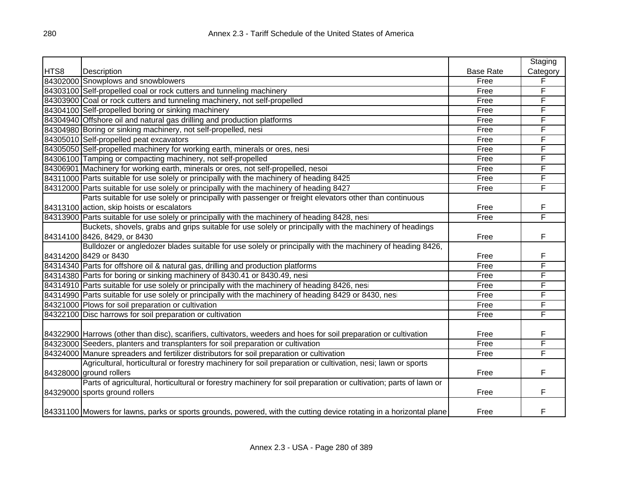|      |                                                                                                                     |                  | Staging  |
|------|---------------------------------------------------------------------------------------------------------------------|------------------|----------|
| HTS8 | Description                                                                                                         | <b>Base Rate</b> | Category |
|      | 84302000 Snowplows and snowblowers                                                                                  | Free             | F        |
|      | 84303100 Self-propelled coal or rock cutters and tunneling machinery                                                | Free             | F        |
|      | 84303900 Coal or rock cutters and tunneling machinery, not self-propelled                                           | Free             | F        |
|      | 84304100 Self-propelled boring or sinking machinery                                                                 | Free             | F        |
|      | 84304940 Offshore oil and natural gas drilling and production platforms                                             | Free             | F        |
|      | 84304980 Boring or sinking machinery, not self-propelled, nesi                                                      | Free             | F        |
|      | 84305010 Self-propelled peat excavators                                                                             | Free             | F        |
|      | 84305050 Self-propelled machinery for working earth, minerals or ores, nesi                                         | Free             | F        |
|      | 84306100 Tamping or compacting machinery, not self-propelled                                                        | Free             | F        |
|      | 84306901 Machinery for working earth, minerals or ores, not self-propelled, nesoi                                   | Free             | F        |
|      | 84311000 Parts suitable for use solely or principally with the machinery of heading 8425                            | Free             | F        |
|      | 84312000 Parts suitable for use solely or principally with the machinery of heading 8427                            | Free             | F        |
|      | Parts suitable for use solely or principally with passenger or freight elevators other than continuous              |                  |          |
|      | 84313100 action, skip hoists or escalators                                                                          | Free             | F        |
|      | 84313900 Parts suitable for use solely or principally with the machinery of heading 8428, nesi                      | Free             | F        |
|      | Buckets, shovels, grabs and grips suitable for use solely or principally with the machinery of headings             |                  |          |
|      | 84314100 8426, 8429, or 8430                                                                                        | Free             | F        |
|      | Bulldozer or angledozer blades suitable for use solely or principally with the machinery of heading 8426,           |                  |          |
|      | 84314200 8429 or 8430                                                                                               | Free             | F        |
|      | 84314340 Parts for offshore oil & natural gas, drilling and production platforms                                    | Free             | F        |
|      | 84314380 Parts for boring or sinking machinery of 8430.41 or 8430.49, nesi                                          | Free             | F        |
|      | 84314910 Parts suitable for use solely or principally with the machinery of heading 8426, nesi                      | Free             | F        |
|      | 84314990 Parts suitable for use solely or principally with the machinery of heading 8429 or 8430, nesi              | Free             | F        |
|      | 84321000 Plows for soil preparation or cultivation                                                                  | Free             | F        |
|      | 84322100 Disc harrows for soil preparation or cultivation                                                           | Free             | F        |
|      |                                                                                                                     |                  |          |
|      | 84322900 Harrows (other than disc), scarifiers, cultivators, weeders and hoes for soil preparation or cultivation   | Free             | F        |
|      | 84323000 Seeders, planters and transplanters for soil preparation or cultivation                                    | Free             | F        |
|      | 84324000 Manure spreaders and fertilizer distributors for soil preparation or cultivation                           | Free             | F        |
|      | Agricultural, horticultural or forestry machinery for soil preparation or cultivation, nesi; lawn or sports         |                  |          |
|      | 84328000 ground rollers                                                                                             | Free             | F        |
|      | Parts of agricultural, horticultural or forestry machinery for soil preparation or cultivation; parts of lawn or    |                  |          |
|      | 84329000 sports ground rollers                                                                                      | Free             | F        |
|      |                                                                                                                     |                  |          |
|      | 84331100 Mowers for lawns, parks or sports grounds, powered, with the cutting device rotating in a horizontal plane | Free             | F        |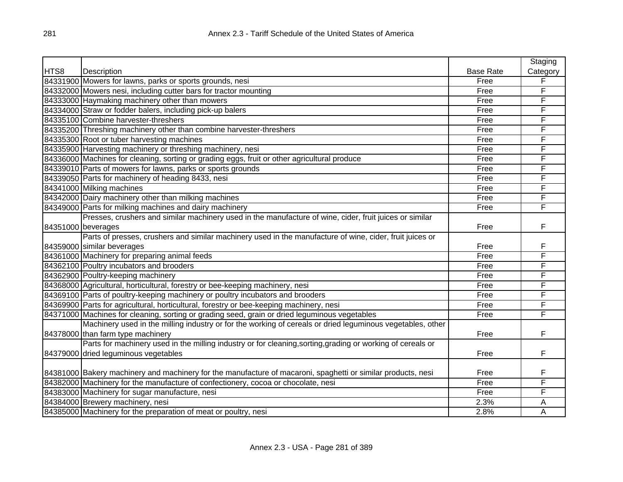|      |                                                                                                              |                  | Staging  |
|------|--------------------------------------------------------------------------------------------------------------|------------------|----------|
| HTS8 | Description                                                                                                  | <b>Base Rate</b> | Category |
|      | 84331900 Mowers for lawns, parks or sports grounds, nesi                                                     | Free             | F        |
|      | 84332000 Mowers nesi, including cutter bars for tractor mounting                                             | Free             | F        |
|      | 84333000 Haymaking machinery other than mowers                                                               | Free             | F        |
|      | 84334000 Straw or fodder balers, including pick-up balers                                                    | Free             | F        |
|      | 84335100 Combine harvester-threshers                                                                         | Free             | F        |
|      | 84335200 Threshing machinery other than combine harvester-threshers                                          | Free             | F        |
|      | 84335300 Root or tuber harvesting machines                                                                   | Free             | F        |
|      | 84335900 Harvesting machinery or threshing machinery, nesi                                                   | Free             | F        |
|      | 84336000 Machines for cleaning, sorting or grading eggs, fruit or other agricultural produce                 | Free             | F        |
|      | 84339010 Parts of mowers for lawns, parks or sports grounds                                                  | Free             | F        |
|      | 84339050 Parts for machinery of heading 8433, nesi                                                           | Free             | F        |
|      | 84341000 Milking machines                                                                                    | Free             | F        |
|      | 84342000 Dairy machinery other than milking machines                                                         | Free             | F        |
|      | 84349000 Parts for milking machines and dairy machinery                                                      | Free             | F        |
|      | Presses, crushers and similar machinery used in the manufacture of wine, cider, fruit juices or similar      |                  |          |
|      | 84351000 beverages                                                                                           | Free             | F        |
|      | Parts of presses, crushers and similar machinery used in the manufacture of wine, cider, fruit juices or     |                  |          |
|      | 84359000 similar beverages                                                                                   | Free             | F        |
|      | 84361000 Machinery for preparing animal feeds                                                                | Free             | F        |
|      | 84362100 Poultry incubators and brooders                                                                     | Free             | F        |
|      | 84362900 Poultry-keeping machinery                                                                           | Free             | F        |
|      | 84368000 Agricultural, horticultural, forestry or bee-keeping machinery, nesi                                | Free             | F        |
|      | 84369100 Parts of poultry-keeping machinery or poultry incubators and brooders                               | Free             | F        |
|      | 84369900 Parts for agricultural, horticultural, forestry or bee-keeping machinery, nesi                      | Free             | F        |
|      | 84371000 Machines for cleaning, sorting or grading seed, grain or dried leguminous vegetables                | Free             | F        |
|      | Machinery used in the milling industry or for the working of cereals or dried leguminous vegetables, other   |                  |          |
|      | 84378000 than farm type machinery                                                                            | Free             | F        |
|      | Parts for machinery used in the milling industry or for cleaning, sorting, grading or working of cereals or  |                  |          |
|      | 84379000 dried leguminous vegetables                                                                         | Free             | F        |
|      |                                                                                                              |                  |          |
|      | 84381000 Bakery machinery and machinery for the manufacture of macaroni, spaghetti or similar products, nesi | Free             | F        |
|      | 84382000 Machinery for the manufacture of confectionery, cocoa or chocolate, nesi                            | Free             | F        |
|      | 84383000 Machinery for sugar manufacture, nesi                                                               | Free             | F        |
|      | 84384000 Brewery machinery, nesi                                                                             | 2.3%             | Α        |
|      | 84385000 Machinery for the preparation of meat or poultry, nesi                                              | 2.8%             | А        |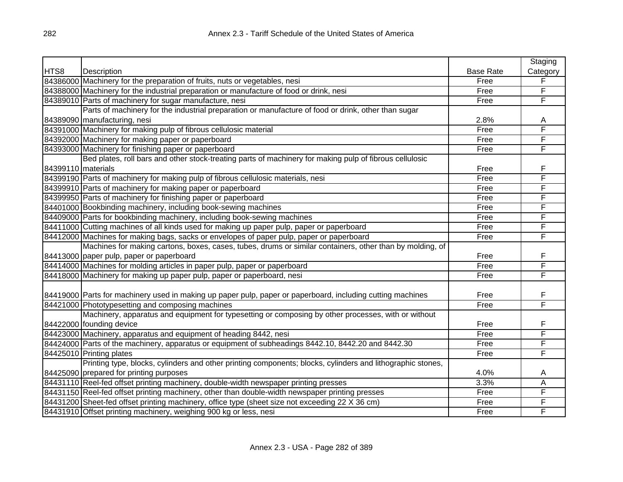|                    |                                                                                                            |                  | Staging                 |
|--------------------|------------------------------------------------------------------------------------------------------------|------------------|-------------------------|
| HTS8               | Description                                                                                                | <b>Base Rate</b> | Category                |
|                    | 84386000 Machinery for the preparation of fruits, nuts or vegetables, nesi                                 | Free             | $\overline{\mathsf{F}}$ |
|                    | 84388000 Machinery for the industrial preparation or manufacture of food or drink, nesi                    | Free             | F                       |
|                    | 84389010 Parts of machinery for sugar manufacture, nesi                                                    | Free             | F                       |
|                    | Parts of machinery for the industrial preparation or manufacture of food or drink, other than sugar        |                  |                         |
|                    | 84389090 manufacturing, nesi                                                                               | 2.8%             | A                       |
|                    | 84391000 Machinery for making pulp of fibrous cellulosic material                                          | Free             | F                       |
|                    | 84392000 Machinery for making paper or paperboard                                                          | Free             | F                       |
|                    | 84393000 Machinery for finishing paper or paperboard                                                       | Free             | F                       |
|                    | Bed plates, roll bars and other stock-treating parts of machinery for making pulp of fibrous cellulosic    |                  |                         |
| 84399110 materials |                                                                                                            | Free             | F                       |
|                    | 84399190 Parts of machinery for making pulp of fibrous cellulosic materials, nesi                          | Free             | F                       |
|                    | 84399910 Parts of machinery for making paper or paperboard                                                 | Free             | F                       |
|                    | 84399950 Parts of machinery for finishing paper or paperboard                                              | Free             | F                       |
|                    | 84401000 Bookbinding machinery, including book-sewing machines                                             | Free             | F                       |
|                    | 84409000 Parts for bookbinding machinery, including book-sewing machines                                   | Free             | F                       |
|                    | 84411000 Cutting machines of all kinds used for making up paper pulp, paper or paperboard                  | Free             | F                       |
|                    | 84412000 Machines for making bags, sacks or envelopes of paper pulp, paper or paperboard                   | Free             | F                       |
|                    | Machines for making cartons, boxes, cases, tubes, drums or similar containers, other than by molding, of   |                  |                         |
|                    | 84413000 paper pulp, paper or paperboard                                                                   | Free             | F                       |
|                    | 84414000 Machines for molding articles in paper pulp, paper or paperboard                                  | Free             | F                       |
|                    | 84418000 Machinery for making up paper pulp, paper or paperboard, nesi                                     | Free             | F                       |
|                    |                                                                                                            |                  |                         |
|                    | 84419000 Parts for machinery used in making up paper pulp, paper or paperboard, including cutting machines | Free             | F                       |
|                    | 84421000 Phototypesetting and composing machines                                                           | Free             | F                       |
|                    | Machinery, apparatus and equipment for typesetting or composing by other processes, with or without        |                  |                         |
|                    | 84422000 founding device                                                                                   | Free             | F                       |
|                    | 84423000 Machinery, apparatus and equipment of heading 8442, nesi                                          | Free             | F                       |
|                    | 84424000 Parts of the machinery, apparatus or equipment of subheadings 8442.10, 8442.20 and 8442.30        | Free             | F                       |
|                    | 84425010 Printing plates                                                                                   | Free             | F                       |
|                    | Printing type, blocks, cylinders and other printing components; blocks, cylinders and lithographic stones, |                  |                         |
|                    | 84425090 prepared for printing purposes                                                                    | 4.0%             | A                       |
|                    | 84431110 Reel-fed offset printing machinery, double-width newspaper printing presses                       | 3.3%             | A                       |
|                    | 84431150 Reel-fed offset printing machinery, other than double-width newspaper printing presses            | Free             | F                       |
|                    | 84431200 Sheet-fed offset printing machinery, office type (sheet size not exceeding 22 X 36 cm)            | Free             | F                       |
|                    | 84431910 Offset printing machinery, weighing 900 kg or less, nesi                                          | Free             | F                       |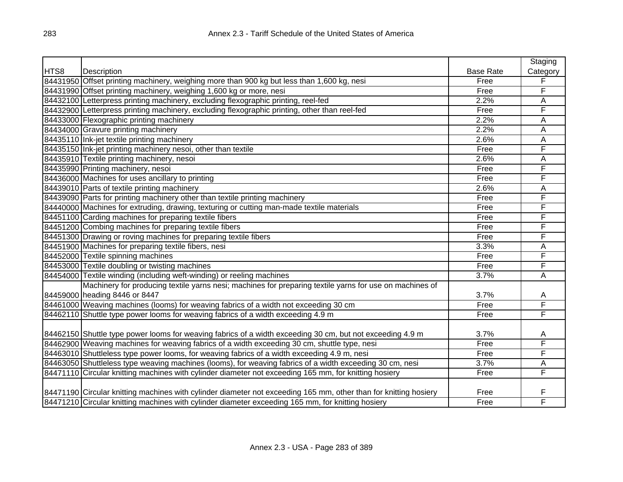|      |                                                                                                                  |                  | Staging  |
|------|------------------------------------------------------------------------------------------------------------------|------------------|----------|
| HTS8 | Description                                                                                                      | <b>Base Rate</b> | Category |
|      | 84431950 Offset printing machinery, weighing more than 900 kg but less than 1,600 kg, nesi                       | Free             | F        |
|      | 84431990 Offset printing machinery, weighing 1,600 kg or more, nesi                                              | Free             | F        |
|      | 84432100 Letterpress printing machinery, excluding flexographic printing, reel-fed                               | 2.2%             | A        |
|      | 84432900 Letterpress printing machinery, excluding flexographic printing, other than reel-fed                    | Free             | F        |
|      | 84433000 Flexographic printing machinery                                                                         | 2.2%             | Α        |
|      | 84434000 Gravure printing machinery                                                                              | 2.2%             | А        |
|      | 84435110 Ink-jet textile printing machinery                                                                      | 2.6%             | A        |
|      | 84435150 Ink-jet printing machinery nesoi, other than textile                                                    | Free             | F        |
|      | 84435910 Textile printing machinery, nesoi                                                                       | 2.6%             | A        |
|      | 84435990 Printing machinery, nesoi                                                                               | Free             | F        |
|      | 84436000 Machines for uses ancillary to printing                                                                 | Free             | F        |
|      | 84439010 Parts of textile printing machinery                                                                     | 2.6%             | A        |
|      | 84439090 Parts for printing machinery other than textile printing machinery                                      | Free             | F        |
|      | 84440000 Machines for extruding, drawing, texturing or cutting man-made textile materials                        | Free             | F        |
|      | 84451100 Carding machines for preparing textile fibers                                                           | Free             | F        |
|      | 84451200 Combing machines for preparing textile fibers                                                           | Free             | F        |
|      | 84451300 Drawing or roving machines for preparing textile fibers                                                 | Free             | F        |
|      | 84451900 Machines for preparing textile fibers, nesi                                                             | 3.3%             | Α        |
|      | 84452000 Textile spinning machines                                                                               | Free             | F        |
|      | 84453000 Textile doubling or twisting machines                                                                   | Free             | F        |
|      | 84454000 Textile winding (including weft-winding) or reeling machines                                            | 3.7%             | A        |
|      | Machinery for producing textile yarns nesi; machines for preparing textile yarns for use on machines of          |                  |          |
|      | 84459000 heading 8446 or 8447                                                                                    | 3.7%             | Α        |
|      | 84461000 Weaving machines (looms) for weaving fabrics of a width not exceeding 30 cm                             | Free             | F        |
|      | 84462110 Shuttle type power looms for weaving fabrics of a width exceeding 4.9 m                                 | Free             | F        |
|      |                                                                                                                  |                  |          |
|      | 84462150 Shuttle type power looms for weaving fabrics of a width exceeding 30 cm, but not exceeding 4.9 m        | 3.7%             | A        |
|      | 84462900 Weaving machines for weaving fabrics of a width exceeding 30 cm, shuttle type, nesi                     | Free             | F        |
|      | 84463010 Shuttleless type power looms, for weaving fabrics of a width exceeding 4.9 m, nesi                      | Free             | F        |
|      | 84463050 Shuttleless type weaving machines (looms), for weaving fabrics of a width exceeding 30 cm, nesi         | 3.7%             | A        |
|      | 84471110 Circular knitting machines with cylinder diameter not exceeding 165 mm, for knitting hosiery            | Free             | F        |
|      |                                                                                                                  |                  |          |
|      | 84471190 Circular knitting machines with cylinder diameter not exceeding 165 mm, other than for knitting hosiery | Free             | F        |
|      | 84471210 Circular knitting machines with cylinder diameter exceeding 165 mm, for knitting hosiery                | Free             | F        |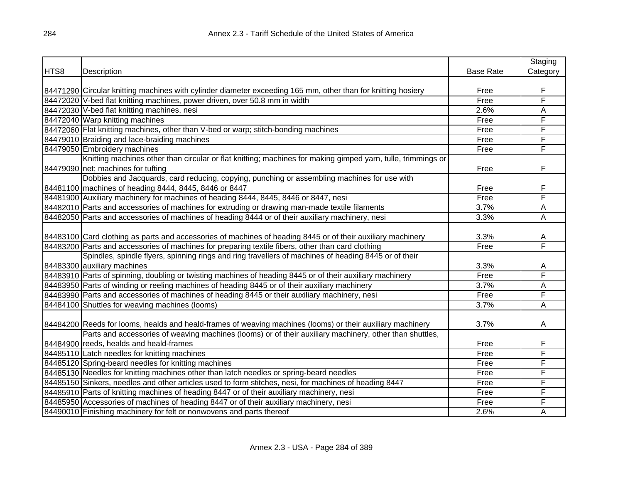|      |                                                                                                              |                  | Staging        |
|------|--------------------------------------------------------------------------------------------------------------|------------------|----------------|
| HTS8 | Description                                                                                                  | <b>Base Rate</b> | Category       |
|      |                                                                                                              |                  |                |
|      | 84471290 Circular knitting machines with cylinder diameter exceeding 165 mm, other than for knitting hosiery | Free             | F              |
|      | 84472020 V-bed flat knitting machines, power driven, over 50.8 mm in width                                   | Free             | F              |
|      | 84472030 V-bed flat knitting machines, nesi                                                                  | 2.6%             | A              |
|      | 84472040 Warp knitting machines                                                                              | Free             | F              |
|      | 84472060 Flat knitting machines, other than V-bed or warp; stitch-bonding machines                           | Free             | F              |
|      | 84479010 Braiding and lace-braiding machines                                                                 | Free             | F              |
|      | 84479050 Embroidery machines                                                                                 | Free             | F              |
|      | Knitting machines other than circular or flat knitting; machines for making gimped yarn, tulle, trimmings or |                  |                |
|      | 84479090 net; machines for tufting                                                                           | Free             | F              |
|      | Dobbies and Jacquards, card reducing, copying, punching or assembling machines for use with                  |                  |                |
|      | 84481100 machines of heading 8444, 8445, 8446 or 8447                                                        | Free             | F              |
|      | 84481900 Auxiliary machinery for machines of heading 8444, 8445, 8446 or 8447, nesi                          | Free             | F              |
|      | 84482010 Parts and accessories of machines for extruding or drawing man-made textile filaments               | 3.7%             | A              |
|      | 84482050 Parts and accessories of machines of heading 8444 or of their auxiliary machinery, nesi             | 3.3%             | $\overline{A}$ |
|      |                                                                                                              |                  |                |
|      | 84483100 Card clothing as parts and accessories of machines of heading 8445 or of their auxiliary machinery  | 3.3%             | A              |
|      | 84483200 Parts and accessories of machines for preparing textile fibers, other than card clothing            | Free             | F              |
|      | Spindles, spindle flyers, spinning rings and ring travellers of machines of heading 8445 or of their         |                  |                |
|      | 84483300 auxiliary machines                                                                                  | 3.3%             | A              |
|      | 84483910 Parts of spinning, doubling or twisting machines of heading 8445 or of their auxiliary machinery    | Free             | F              |
|      | 84483950 Parts of winding or reeling machines of heading 8445 or of their auxiliary machinery                | 3.7%             | A              |
|      | 84483990 Parts and accessories of machines of heading 8445 or their auxiliary machinery, nesi                | Free             | F              |
|      | 84484100 Shuttles for weaving machines (looms)                                                               | 3.7%             | A              |
|      |                                                                                                              |                  |                |
|      | 84484200 Reeds for looms, healds and heald-frames of weaving machines (looms) or their auxiliary machinery   | 3.7%             | A              |
|      | Parts and accessories of weaving machines (looms) or of their auxiliary machinery, other than shuttles,      |                  |                |
|      | 84484900 reeds, healds and heald-frames                                                                      | Free             | F              |
|      | 84485110 Latch needles for knitting machines                                                                 | Free             | F              |
|      | 84485120 Spring-beard needles for knitting machines                                                          | Free             | F              |
|      | 84485130 Needles for knitting machines other than latch needles or spring-beard needles                      | Free             | F              |
|      | 84485150 Sinkers, needles and other articles used to form stitches, nesi, for machines of heading 8447       | Free             | F              |
|      | 84485910 Parts of knitting machines of heading 8447 or of their auxiliary machinery, nesi                    | Free             | F              |
|      | 84485950 Accessories of machines of heading 8447 or of their auxiliary machinery, nesi                       | Free             | F              |
|      | 84490010 Finishing machinery for felt or nonwovens and parts thereof                                         | 2.6%             | A              |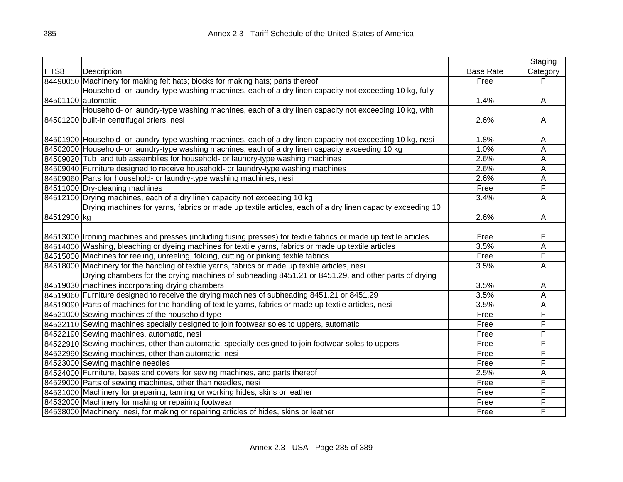|                    |                                                                                                                  |                  | Staging        |
|--------------------|------------------------------------------------------------------------------------------------------------------|------------------|----------------|
| HTS8               | Description                                                                                                      | <b>Base Rate</b> | Category       |
|                    | 84490050 Machinery for making felt hats; blocks for making hats; parts thereof                                   | Free             | F              |
|                    | Household- or laundry-type washing machines, each of a dry linen capacity not exceeding 10 kg, fully             |                  |                |
| 84501100 automatic |                                                                                                                  | 1.4%             | A              |
|                    | Household- or laundry-type washing machines, each of a dry linen capacity not exceeding 10 kg, with              |                  |                |
|                    | 84501200 built-in centrifugal driers, nesi                                                                       | 2.6%             | A              |
|                    |                                                                                                                  |                  |                |
|                    | 84501900 Household- or laundry-type washing machines, each of a dry linen capacity not exceeding 10 kg, nesi     | 1.8%             | A              |
|                    | 84502000 Household- or laundry-type washing machines, each of a dry linen capacity exceeding 10 kg               | 1.0%             | A              |
|                    | 84509020 Tub and tub assemblies for household- or laundry-type washing machines                                  | 2.6%             | A              |
|                    | 84509040 Furniture designed to receive household- or laundry-type washing machines                               | 2.6%             | A              |
|                    | 84509060 Parts for household- or laundry-type washing machines, nesi                                             | 2.6%             | A              |
|                    | 84511000 Dry-cleaning machines                                                                                   | Free             | F              |
|                    | 84512100 Drying machines, each of a dry linen capacity not exceeding 10 kg                                       | 3.4%             | A              |
|                    | Drying machines for yarns, fabrics or made up textile articles, each of a dry linen capacity exceeding 10        |                  |                |
| 84512900 kg        |                                                                                                                  | 2.6%             | A              |
|                    |                                                                                                                  |                  |                |
|                    | 84513000 Ironing machines and presses (including fusing presses) for textile fabrics or made up textile articles | Free             | F              |
|                    | 84514000 Washing, bleaching or dyeing machines for textile yarns, fabrics or made up textile articles            | 3.5%             | A              |
|                    | 84515000 Machines for reeling, unreeling, folding, cutting or pinking textile fabrics                            | Free             | F              |
|                    | 84518000 Machinery for the handling of textile yarns, fabrics or made up textile articles, nesi                  | 3.5%             | A              |
|                    | Drying chambers for the drying machines of subheading 8451.21 or 8451.29, and other parts of drying              |                  |                |
|                    | 84519030 machines incorporating drying chambers                                                                  | 3.5%             | A              |
|                    | 84519060 Furniture designed to receive the drying machines of subheading 8451.21 or 8451.29                      | 3.5%             | $\overline{A}$ |
|                    | 84519090 Parts of machines for the handling of textile yarns, fabrics or made up textile articles, nesi          | 3.5%             | $\overline{A}$ |
|                    | 84521000 Sewing machines of the household type                                                                   | Free             | F              |
|                    | 84522110 Sewing machines specially designed to join footwear soles to uppers, automatic                          | Free             | F              |
|                    | 84522190 Sewing machines, automatic, nesi                                                                        | Free             | F              |
|                    | 84522910 Sewing machines, other than automatic, specially designed to join footwear soles to uppers              | Free             | F              |
|                    | 84522990 Sewing machines, other than automatic, nesi                                                             | Free             | F              |
|                    | 84523000 Sewing machine needles                                                                                  | Free             | F              |
|                    | 84524000 Furniture, bases and covers for sewing machines, and parts thereof                                      | 2.5%             | A              |
|                    | 84529000 Parts of sewing machines, other than needles, nesi                                                      | Free             | F              |
|                    | 84531000 Machinery for preparing, tanning or working hides, skins or leather                                     | Free             | F              |
|                    | 84532000 Machinery for making or repairing footwear                                                              | Free             | F              |
|                    | 84538000 Machinery, nesi, for making or repairing articles of hides, skins or leather                            | Free             | F              |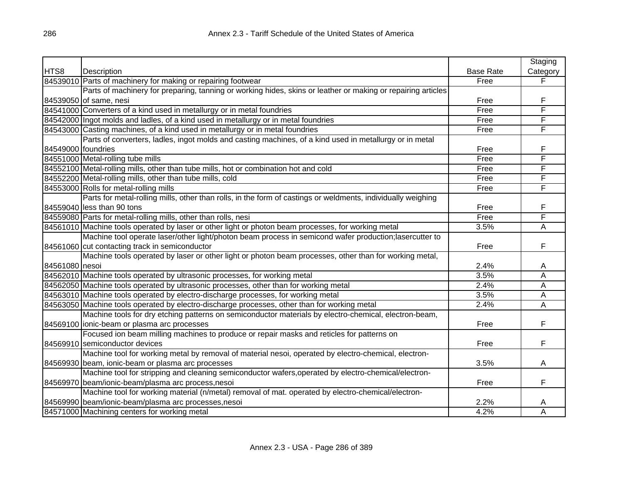|                    |                                                                                                              |                  | Staging  |
|--------------------|--------------------------------------------------------------------------------------------------------------|------------------|----------|
| HTS8               | Description                                                                                                  | <b>Base Rate</b> | Category |
|                    | 84539010 Parts of machinery for making or repairing footwear                                                 | Free             | F        |
|                    | Parts of machinery for preparing, tanning or working hides, skins or leather or making or repairing articles |                  |          |
|                    | 84539050 of same, nesi                                                                                       | Free             | F        |
|                    | 84541000 Converters of a kind used in metallurgy or in metal foundries                                       | Free             | F        |
|                    | 84542000 Ingot molds and ladles, of a kind used in metallurgy or in metal foundries                          | Free             | F        |
|                    | 84543000 Casting machines, of a kind used in metallurgy or in metal foundries                                | Free             | F        |
|                    | Parts of converters, ladles, ingot molds and casting machines, of a kind used in metallurgy or in metal      |                  |          |
| 84549000 foundries |                                                                                                              | Free             | F        |
|                    | 84551000 Metal-rolling tube mills                                                                            | Free             | F        |
|                    | 84552100 Metal-rolling mills, other than tube mills, hot or combination hot and cold                         | Free             | F        |
|                    | 84552200 Metal-rolling mills, other than tube mills, cold                                                    | Free             | F        |
|                    | 84553000 Rolls for metal-rolling mills                                                                       | Free             | F        |
|                    | Parts for metal-rolling mills, other than rolls, in the form of castings or weldments, individually weighing |                  |          |
|                    | 84559040 less than 90 tons                                                                                   | Free             | F        |
|                    | 84559080 Parts for metal-rolling mills, other than rolls, nesi                                               | Free             | F        |
|                    | 84561010 Machine tools operated by laser or other light or photon beam processes, for working metal          | 3.5%             | A        |
|                    | Machine tool operate laser/other light/photon beam process in semicond wafer production; lasercutter to      |                  |          |
|                    | 84561060 cut contacting track in semiconductor                                                               | Free             | F        |
|                    | Machine tools operated by laser or other light or photon beam processes, other than for working metal,       |                  |          |
| 84561080 nesoi     |                                                                                                              | 2.4%             | A        |
|                    | 84562010 Machine tools operated by ultrasonic processes, for working metal                                   | 3.5%             | A        |
|                    | 84562050 Machine tools operated by ultrasonic processes, other than for working metal                        | 2.4%             | A        |
|                    | 84563010 Machine tools operated by electro-discharge processes, for working metal                            | 3.5%             | А        |
|                    | 84563050 Machine tools operated by electro-discharge processes, other than for working metal                 | 2.4%             | Α        |
|                    | Machine tools for dry etching patterns on semiconductor materials by electro-chemical, electron-beam,        |                  |          |
|                    | 84569100 lionic-beam or plasma arc processes                                                                 | Free             | F        |
|                    | Focused ion beam milling machines to produce or repair masks and reticles for patterns on                    |                  |          |
|                    | 84569910 semiconductor devices                                                                               | Free             | F        |
|                    | Machine tool for working metal by removal of material nesoi, operated by electro-chemical, electron-         |                  |          |
|                    | 84569930 beam, ionic-beam or plasma arc processes                                                            | 3.5%             | Α        |
|                    | Machine tool for stripping and cleaning semiconductor wafers, operated by electro-chemical/electron-         |                  |          |
|                    | 84569970 beam/ionic-beam/plasma arc process, nesoi                                                           | Free             | F        |
|                    | Machine tool for working material (n/metal) removal of mat. operated by electro-chemical/electron-           |                  |          |
|                    | 84569990 beam/ionic-beam/plasma arc processes, nesoi                                                         | 2.2%             | A        |
|                    | 84571000 Machining centers for working metal                                                                 | 4.2%             | A        |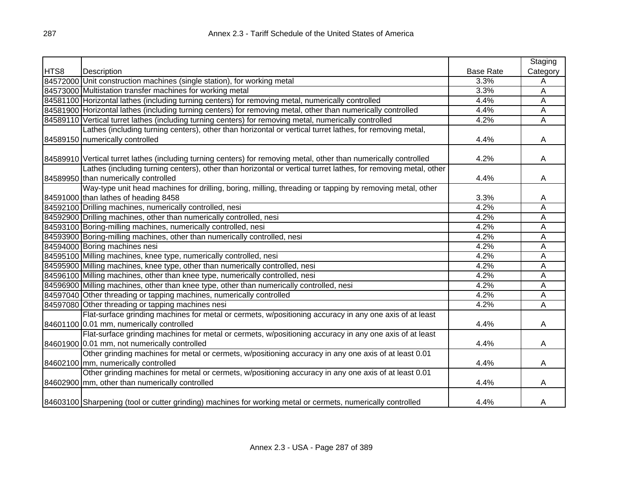|      |                                                                                                                   |                  | Staging        |
|------|-------------------------------------------------------------------------------------------------------------------|------------------|----------------|
| HTS8 | Description                                                                                                       | <b>Base Rate</b> | Category       |
|      | 84572000 Unit construction machines (single station), for working metal                                           | 3.3%             | Α              |
|      | 84573000 Multistation transfer machines for working metal                                                         | 3.3%             | Α              |
|      | 84581100 Horizontal lathes (including turning centers) for removing metal, numerically controlled                 | 4.4%             | Α              |
|      | 84581900 Horizontal lathes (including turning centers) for removing metal, other than numerically controlled      | 4.4%             | A              |
|      | 84589110 Vertical turret lathes (including turning centers) for removing metal, numerically controlled            | 4.2%             | A              |
|      | Lathes (including turning centers), other than horizontal or vertical turret lathes, for removing metal,          |                  |                |
|      | 84589150 numerically controlled                                                                                   | 4.4%             | A              |
|      |                                                                                                                   |                  |                |
|      | 84589910 Vertical turret lathes (including turning centers) for removing metal, other than numerically controlled | 4.2%             | A              |
|      | Lathes (including turning centers), other than horizontal or vertical turret lathes, for removing metal, other    |                  |                |
|      | 84589950 than numerically controlled                                                                              | 4.4%             | A              |
|      | Way-type unit head machines for drilling, boring, milling, threading or tapping by removing metal, other          |                  |                |
|      | 84591000 than lathes of heading 8458                                                                              | 3.3%             | A              |
|      | 84592100 Drilling machines, numerically controlled, nesi                                                          | 4.2%             | A              |
|      | 84592900 Drilling machines, other than numerically controlled, nesi                                               | 4.2%             | $\overline{A}$ |
|      | 84593100 Boring-milling machines, numerically controlled, nesi                                                    | 4.2%             | Α              |
|      | 84593900 Boring-milling machines, other than numerically controlled, nesi                                         | 4.2%             | Α              |
|      | 84594000 Boring machines nesi                                                                                     | 4.2%             | Α              |
|      | 84595100 Milling machines, knee type, numerically controlled, nesi                                                | 4.2%             | Α              |
|      | 84595900 Milling machines, knee type, other than numerically controlled, nesi                                     | 4.2%             | Α              |
|      | 84596100 Milling machines, other than knee type, numerically controlled, nesi                                     | 4.2%             | Α              |
|      | 84596900 Milling machines, other than knee type, other than numerically controlled, nesi                          | 4.2%             | A              |
|      | 84597040 Other threading or tapping machines, numerically controlled                                              | 4.2%             | Α              |
|      | 84597080 Other threading or tapping machines nesi                                                                 | 4.2%             | Α              |
|      | Flat-surface grinding machines for metal or cermets, w/positioning accuracy in any one axis of at least           |                  |                |
|      | 84601100 0.01 mm, numerically controlled                                                                          | 4.4%             | A              |
|      | Flat-surface grinding machines for metal or cermets, w/positioning accuracy in any one axis of at least           |                  |                |
|      | 84601900 0.01 mm, not numerically controlled                                                                      | 4.4%             | A              |
|      | Other grinding machines for metal or cermets, w/positioning accuracy in any one axis of at least 0.01             |                  |                |
|      | 84602100 mm, numerically controlled                                                                               | 4.4%             | A              |
|      | Other grinding machines for metal or cermets, w/positioning accuracy in any one axis of at least 0.01             |                  |                |
|      | 84602900 mm, other than numerically controlled                                                                    | 4.4%             | A              |
|      |                                                                                                                   |                  |                |
|      | 84603100 Sharpening (tool or cutter grinding) machines for working metal or cermets, numerically controlled       | 4.4%             | Α              |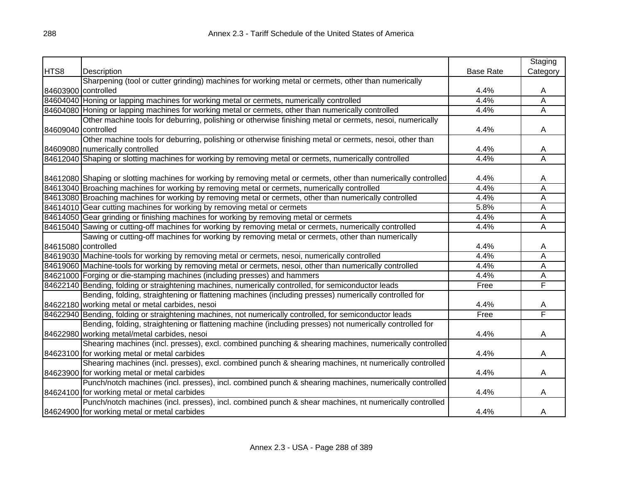|                     |                                                                                                                   |                  | Staging                 |
|---------------------|-------------------------------------------------------------------------------------------------------------------|------------------|-------------------------|
| HTS8                | Description                                                                                                       | <b>Base Rate</b> | Category                |
|                     | Sharpening (tool or cutter grinding) machines for working metal or cermets, other than numerically                |                  |                         |
| 84603900 controlled |                                                                                                                   | 4.4%             | A                       |
|                     | 84604040 Honing or lapping machines for working metal or cermets, numerically controlled                          | 4.4%             | Ā                       |
|                     | 84604080 Honing or lapping machines for working metal or cermets, other than numerically controlled               | 4.4%             | Ā                       |
|                     | Other machine tools for deburring, polishing or otherwise finishing metal or cermets, nesoi, numerically          |                  |                         |
| 84609040 controlled |                                                                                                                   | 4.4%             | A                       |
|                     | Other machine tools for deburring, polishing or otherwise finishing metal or cermets, nesoi, other than           |                  |                         |
|                     | 84609080 numerically controlled                                                                                   | 4.4%             | A                       |
|                     | 84612040 Shaping or slotting machines for working by removing metal or cermets, numerically controlled            | 4.4%             | $\overline{\mathsf{A}}$ |
|                     |                                                                                                                   |                  |                         |
|                     | 84612080 Shaping or slotting machines for working by removing metal or cermets, other than numerically controlled | 4.4%             | Α                       |
|                     | 84613040 Broaching machines for working by removing metal or cermets, numerically controlled                      | 4.4%             | Α                       |
|                     | 84613080 Broaching machines for working by removing metal or cermets, other than numerically controlled           | 4.4%             | A                       |
|                     | 84614010 Gear cutting machines for working by removing metal or cermets                                           | 5.8%             | А                       |
|                     | 84614050 Gear grinding or finishing machines for working by removing metal or cermets                             | 4.4%             | Α                       |
|                     | 84615040 Sawing or cutting-off machines for working by removing metal or cermets, numerically controlled          | 4.4%             | Α                       |
|                     | Sawing or cutting-off machines for working by removing metal or cermets, other than numerically                   |                  |                         |
|                     | 84615080 controlled                                                                                               | 4.4%             | A                       |
|                     | 84619030 Machine-tools for working by removing metal or cermets, nesoi, numerically controlled                    | 4.4%             | Α                       |
|                     | 84619060 Machine-tools for working by removing metal or cermets, nesoi, other than numerically controlled         | 4.4%             | Α                       |
|                     | 84621000 Forging or die-stamping machines (including presses) and hammers                                         | 4.4%             | А                       |
|                     | 84622140 Bending, folding or straightening machines, numerically controlled, for semiconductor leads              | Free             | F                       |
|                     | Bending, folding, straightening or flattening machines (including presses) numerically controlled for             |                  |                         |
|                     | 84622180 working metal or metal carbides, nesoi                                                                   | 4.4%             | A                       |
|                     | 84622940 Bending, folding or straightening machines, not numerically controlled, for semiconductor leads          | Free             | F                       |
|                     | Bending, folding, straightening or flattening machine (including presses) not numerically controlled for          |                  |                         |
|                     | 84622980 working metal/metal carbides, nesoi                                                                      | 4.4%             | A                       |
|                     | Shearing machines (incl. presses), excl. combined punching & shearing machines, numerically controlled            |                  |                         |
|                     | 84623100 for working metal or metal carbides                                                                      | 4.4%             | A                       |
|                     | Shearing machines (incl. presses), excl. combined punch & shearing machines, nt numerically controlled            |                  |                         |
|                     | 84623900 for working metal or metal carbides                                                                      | 4.4%             | A                       |
|                     | Punch/notch machines (incl. presses), incl. combined punch & shearing machines, numerically controlled            |                  |                         |
|                     | 84624100 for working metal or metal carbides                                                                      | 4.4%             | A                       |
|                     | Punch/notch machines (incl. presses), incl. combined punch & shear machines, nt numerically controlled            |                  |                         |
|                     | 84624900 for working metal or metal carbides                                                                      | 4.4%             | A                       |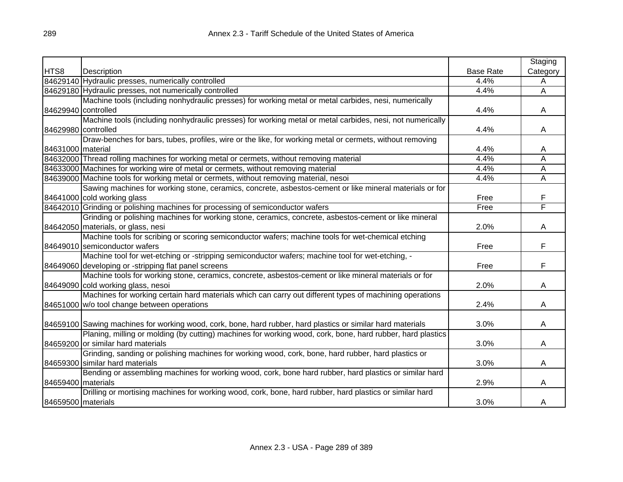|                      |                                                                                                             |                  | Staging  |
|----------------------|-------------------------------------------------------------------------------------------------------------|------------------|----------|
| HTS8                 | Description                                                                                                 | <b>Base Rate</b> | Category |
|                      | 84629140 Hydraulic presses, numerically controlled                                                          | 4.4%             | A        |
|                      | 84629180 Hydraulic presses, not numerically controlled                                                      | 4.4%             | A        |
|                      | Machine tools (including nonhydraulic presses) for working metal or metal carbides, nesi, numerically       |                  |          |
| 84629940 controlled  |                                                                                                             | 4.4%             | A        |
|                      | Machine tools (including nonhydraulic presses) for working metal or metal carbides, nesi, not numerically   |                  |          |
| 84629980 controlled  |                                                                                                             | 4.4%             | A        |
|                      | Draw-benches for bars, tubes, profiles, wire or the like, for working metal or cermets, without removing    |                  |          |
| 84631000   material  |                                                                                                             | 4.4%             | A        |
|                      | 84632000 Thread rolling machines for working metal or cermets, without removing material                    | 4.4%             | Α        |
|                      | 84633000 Machines for working wire of metal or cermets, without removing material                           | 4.4%             | Α        |
|                      | 84639000 Machine tools for working metal or cermets, without removing material, nesoi                       | 4.4%             | Α        |
|                      | Sawing machines for working stone, ceramics, concrete, asbestos-cement or like mineral materials or for     |                  |          |
|                      | 84641000 cold working glass                                                                                 | Free             | F        |
|                      | 84642010 Grinding or polishing machines for processing of semiconductor wafers                              | Free             | F        |
|                      | Grinding or polishing machines for working stone, ceramics, concrete, asbestos-cement or like mineral       |                  |          |
|                      | 84642050 materials, or glass, nesi                                                                          | 2.0%             | A        |
|                      | Machine tools for scribing or scoring semiconductor wafers; machine tools for wet-chemical etching          |                  |          |
|                      | 84649010 semiconductor wafers                                                                               | Free             | F        |
|                      | Machine tool for wet-etching or -stripping semiconductor wafers; machine tool for wet-etching, -            |                  |          |
|                      | 84649060 developing or -stripping flat panel screens                                                        | Free             | F        |
|                      | Machine tools for working stone, ceramics, concrete, asbestos-cement or like mineral materials or for       |                  |          |
|                      | 84649090 cold working glass, nesoi                                                                          | 2.0%             | A        |
|                      | Machines for working certain hard materials which can carry out different types of machining operations     |                  |          |
|                      | 84651000 w/o tool change between operations                                                                 | 2.4%             | A        |
|                      |                                                                                                             |                  |          |
|                      | 84659100 Sawing machines for working wood, cork, bone, hard rubber, hard plastics or similar hard materials | 3.0%             | A        |
|                      | Planing, milling or molding (by cutting) machines for working wood, cork, bone, hard rubber, hard plastics  |                  |          |
|                      | 84659200 or similar hard materials                                                                          | 3.0%             | A        |
|                      | Grinding, sanding or polishing machines for working wood, cork, bone, hard rubber, hard plastics or         |                  |          |
|                      | 84659300 similar hard materials                                                                             | 3.0%             | A        |
|                      | Bending or assembling machines for working wood, cork, bone hard rubber, hard plastics or similar hard      |                  |          |
| 84659400 materials   |                                                                                                             | 2.9%             | A        |
|                      | Drilling or mortising machines for working wood, cork, bone, hard rubber, hard plastics or similar hard     |                  |          |
| 84659500   materials |                                                                                                             | 3.0%             | A        |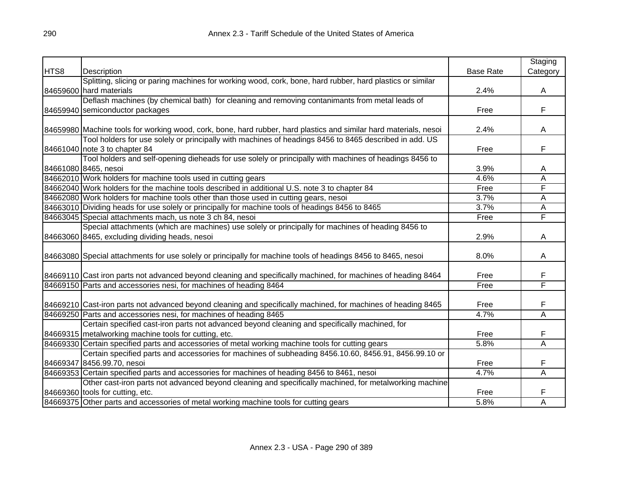|      |                                                                                                                   |                  | Staging                 |
|------|-------------------------------------------------------------------------------------------------------------------|------------------|-------------------------|
| HTS8 | Description                                                                                                       | <b>Base Rate</b> | Category                |
|      | Splitting, slicing or paring machines for working wood, cork, bone, hard rubber, hard plastics or similar         |                  |                         |
|      | 84659600 hard materials                                                                                           | 2.4%             | A                       |
|      | Deflash machines (by chemical bath) for cleaning and removing contanimants from metal leads of                    |                  |                         |
|      | 84659940 semiconductor packages                                                                                   | Free             | F                       |
|      |                                                                                                                   |                  |                         |
|      | 84659980 Machine tools for working wood, cork, bone, hard rubber, hard plastics and similar hard materials, nesoi | 2.4%             | A                       |
|      | Tool holders for use solely or principally with machines of headings 8456 to 8465 described in add. US            |                  |                         |
|      | 84661040 note 3 to chapter 84                                                                                     | Free             | F                       |
|      | Tool holders and self-opening dieheads for use solely or principally with machines of headings 8456 to            |                  |                         |
|      | 84661080 8465, nesoi                                                                                              | 3.9%             | A                       |
|      | 84662010 Work holders for machine tools used in cutting gears                                                     | 4.6%             | $\overline{\mathsf{A}}$ |
|      | 84662040 Work holders for the machine tools described in additional U.S. note 3 to chapter 84                     | Free             | F                       |
|      | 84662080 Work holders for machine tools other than those used in cutting gears, nesoi                             | 3.7%             | A                       |
|      | 84663010 Dividing heads for use solely or principally for machine tools of headings 8456 to 8465                  | 3.7%             | $\overline{\mathsf{A}}$ |
|      | 84663045 Special attachments mach, us note 3 ch 84, nesoi                                                         | Free             | F                       |
|      | Special attachments (which are machines) use solely or principally for machines of heading 8456 to                |                  |                         |
|      | 84663060 8465, excluding dividing heads, nesoi                                                                    | 2.9%             | A                       |
|      |                                                                                                                   |                  |                         |
|      | 84663080 Special attachments for use solely or principally for machine tools of headings 8456 to 8465, nesoi      | 8.0%             | A                       |
|      | 84669110 Cast iron parts not advanced beyond cleaning and specifically machined, for machines of heading 8464     | Free             | F                       |
|      | 84669150 Parts and accessories nesi, for machines of heading 8464                                                 | Free             | F                       |
|      |                                                                                                                   |                  |                         |
|      | 84669210 Cast-iron parts not advanced beyond cleaning and specifically machined, for machines of heading 8465     | Free             | F                       |
|      | 84669250 Parts and accessories nesi, for machines of heading 8465                                                 | 4.7%             | Ā                       |
|      | Certain specified cast-iron parts not advanced beyond cleaning and specifically machined, for                     |                  |                         |
|      | 84669315 metalworking machine tools for cutting, etc.                                                             | Free             | F                       |
|      | 84669330 Certain specified parts and accessories of metal working machine tools for cutting gears                 | 5.8%             | Ā                       |
|      | Certain specified parts and accessories for machines of subheading 8456.10.60, 8456.91, 8456.99.10 or             |                  |                         |
|      | 84669347 8456.99.70, nesoi                                                                                        | Free             | F                       |
|      | 84669353 Certain specified parts and accessories for machines of heading 8456 to 8461, nesoi                      | 4.7%             | A                       |
|      | Other cast-iron parts not advanced beyond cleaning and specifically machined, for metalworking machine            |                  |                         |
|      | 84669360 tools for cutting, etc.                                                                                  | Free             | F                       |
|      | 84669375 Other parts and accessories of metal working machine tools for cutting gears                             | 5.8%             | A                       |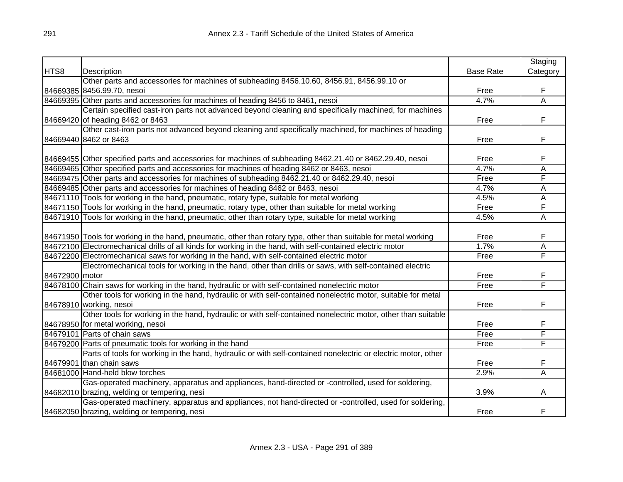|                |                                                                                                                  |                  | Staging                 |
|----------------|------------------------------------------------------------------------------------------------------------------|------------------|-------------------------|
| HTS8           | Description                                                                                                      | <b>Base Rate</b> | Category                |
|                | Other parts and accessories for machines of subheading 8456.10.60, 8456.91, 8456.99.10 or                        |                  |                         |
|                | 84669385 8456.99.70, nesoi                                                                                       | Free             | F                       |
|                | 84669395 Other parts and accessories for machines of heading 8456 to 8461, nesoi                                 | 4.7%             | $\overline{\mathsf{A}}$ |
|                | Certain specified cast-iron parts not advanced beyond cleaning and specifically machined, for machines           |                  |                         |
|                | 84669420 of heading 8462 or 8463                                                                                 | Free             | F                       |
|                | Other cast-iron parts not advanced beyond cleaning and specifically machined, for machines of heading            |                  |                         |
|                | 84669440 8462 or 8463                                                                                            | Free             | F                       |
|                |                                                                                                                  |                  |                         |
|                | 84669455 Other specified parts and accessories for machines of subheading 8462.21.40 or 8462.29.40, nesoi        | Free             | F                       |
|                | 84669465 Other specified parts and accessories for machines of heading 8462 or 8463, nesoi                       | 4.7%             | A                       |
|                | 84669475 Other parts and accessories for machines of subheading 8462.21.40 or 8462.29.40, nesoi                  | Free             | F                       |
|                | 84669485 Other parts and accessories for machines of heading 8462 or 8463, nesoi                                 | 4.7%             | A                       |
|                | 84671110 Tools for working in the hand, pneumatic, rotary type, suitable for metal working                       | 4.5%             | А                       |
|                | 84671150 Tools for working in the hand, pneumatic, rotary type, other than suitable for metal working            | Free             | F                       |
|                | 84671910 Tools for working in the hand, pneumatic, other than rotary type, suitable for metal working            | 4.5%             | Α                       |
|                |                                                                                                                  |                  |                         |
|                | 84671950 Tools for working in the hand, pneumatic, other than rotary type, other than suitable for metal working | Free             | F                       |
|                | 84672100 Electromechanical drills of all kinds for working in the hand, with self-contained electric motor       | 1.7%             | A                       |
|                | 84672200 Electromechanical saws for working in the hand, with self-contained electric motor                      | Free             | F                       |
|                | Electromechanical tools for working in the hand, other than drills or saws, with self-contained electric         |                  |                         |
| 84672900 motor |                                                                                                                  | Free             | F                       |
|                | 84678100 Chain saws for working in the hand, hydraulic or with self-contained nonelectric motor                  | Free             | F                       |
|                | Other tools for working in the hand, hydraulic or with self-contained nonelectric motor, suitable for metal      |                  |                         |
|                | 84678910 working, nesoi                                                                                          | Free             | F                       |
|                | Other tools for working in the hand, hydraulic or with self-contained nonelectric motor, other than suitable     |                  |                         |
|                | 84678950 for metal working, nesoi                                                                                | Free             | F                       |
|                | 84679101 Parts of chain saws                                                                                     | Free             | F                       |
|                | 84679200 Parts of pneumatic tools for working in the hand                                                        | Free             | F                       |
|                | Parts of tools for working in the hand, hydraulic or with self-contained nonelectric or electric motor, other    |                  |                         |
|                | 84679901 than chain saws                                                                                         | Free             | F                       |
|                | 84681000 Hand-held blow torches                                                                                  | 2.9%             | A                       |
|                | Gas-operated machinery, apparatus and appliances, hand-directed or -controlled, used for soldering,              |                  |                         |
|                | 84682010 brazing, welding or tempering, nesi                                                                     | 3.9%             | A                       |
|                | Gas-operated machinery, apparatus and appliances, not hand-directed or -controlled, used for soldering,          |                  |                         |
|                | 84682050 brazing, welding or tempering, nesi                                                                     | Free             | F                       |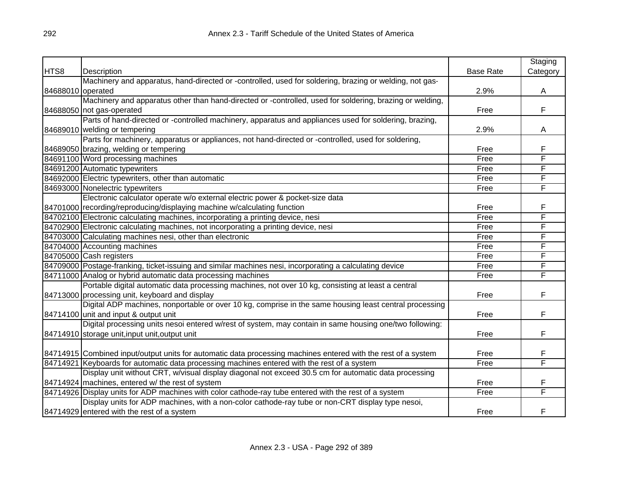|                   |                                                                                                               |                  | Staging  |
|-------------------|---------------------------------------------------------------------------------------------------------------|------------------|----------|
| HTS8              | Description                                                                                                   | <b>Base Rate</b> | Category |
|                   | Machinery and apparatus, hand-directed or -controlled, used for soldering, brazing or welding, not gas-       |                  |          |
| 84688010 operated |                                                                                                               | 2.9%             | A        |
|                   | Machinery and apparatus other than hand-directed or -controlled, used for soldering, brazing or welding,      |                  |          |
|                   | 84688050 not gas-operated                                                                                     | Free             | F        |
|                   | Parts of hand-directed or -controlled machinery, apparatus and appliances used for soldering, brazing,        |                  |          |
|                   | 84689010 welding or tempering                                                                                 | 2.9%             | Α        |
|                   | Parts for machinery, apparatus or appliances, not hand-directed or -controlled, used for soldering,           |                  |          |
|                   | 84689050 brazing, welding or tempering                                                                        | Free             | F        |
|                   | 84691100 Word processing machines                                                                             | Free             | F        |
|                   | 84691200 Automatic typewriters                                                                                | Free             | F        |
|                   | 84692000 Electric typewriters, other than automatic                                                           | Free             | F        |
|                   | 84693000 Nonelectric typewriters                                                                              | Free             | F        |
|                   | Electronic calculator operate w/o external electric power & pocket-size data                                  |                  |          |
|                   | 84701000 recording/reproducing/displaying machine w/calculating function                                      | Free             | F        |
|                   | 84702100 Electronic calculating machines, incorporating a printing device, nesi                               | Free             | F        |
|                   | 84702900 Electronic calculating machines, not incorporating a printing device, nesi                           | Free             | F        |
|                   | 84703000 Calculating machines nesi, other than electronic                                                     | Free             | F        |
|                   | 84704000 Accounting machines                                                                                  | Free             | F        |
|                   | 84705000 Cash registers                                                                                       | Free             | F        |
|                   | 84709000 Postage-franking, ticket-issuing and similar machines nesi, incorporating a calculating device       | Free             | F        |
|                   | 84711000 Analog or hybrid automatic data processing machines                                                  | Free             | F        |
|                   | Portable digital automatic data processing machines, not over 10 kg, consisting at least a central            |                  |          |
|                   | 84713000 processing unit, keyboard and display                                                                | Free             | F        |
|                   | Digital ADP machines, nonportable or over 10 kg, comprise in the same housing least central processing        |                  |          |
|                   | 84714100 unit and input & output unit                                                                         | Free             | F        |
|                   | Digital processing units nesoi entered w/rest of system, may contain in same housing one/two following:       |                  |          |
|                   | 84714910 storage unit, input unit, output unit                                                                | Free             | F        |
|                   |                                                                                                               |                  |          |
|                   | 84714915 Combined input/output units for automatic data processing machines entered with the rest of a system | Free             | F        |
|                   | 84714921 Keyboards for automatic data processing machines entered with the rest of a system                   | Free             | F        |
|                   | Display unit without CRT, w/visual display diagonal not exceed 30.5 cm for automatic data processing          |                  |          |
|                   | 84714924 machines, entered w/ the rest of system                                                              | Free             | F        |
|                   | 84714926 Display units for ADP machines with color cathode-ray tube entered with the rest of a system         | Free             | F        |
|                   | Display units for ADP machines, with a non-color cathode-ray tube or non-CRT display type nesoi,              |                  |          |
|                   | 84714929 entered with the rest of a system                                                                    | Free             | F        |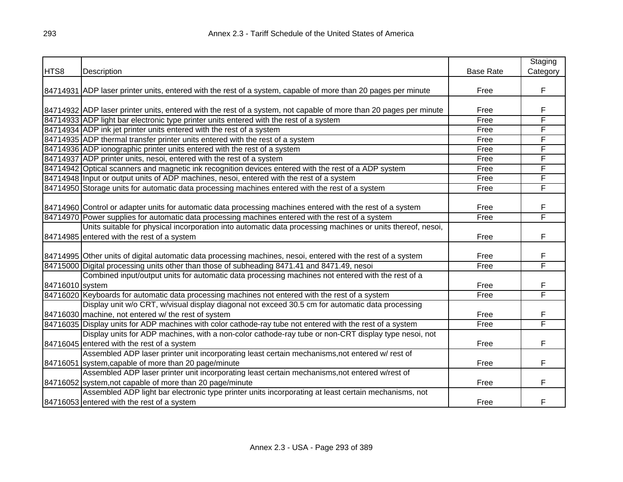|                 |                                                                                                                   |                  | Staging  |
|-----------------|-------------------------------------------------------------------------------------------------------------------|------------------|----------|
| HTS8            | Description                                                                                                       | <b>Base Rate</b> | Category |
|                 |                                                                                                                   |                  |          |
|                 | 84714931 ADP laser printer units, entered with the rest of a system, capable of more than 20 pages per minute     | Free             | F        |
|                 |                                                                                                                   |                  |          |
|                 | 84714932 ADP laser printer units, entered with the rest of a system, not capable of more than 20 pages per minute | Free             | F        |
|                 | 84714933 ADP light bar electronic type printer units entered with the rest of a system                            | Free             | F        |
|                 | 84714934 ADP ink jet printer units entered with the rest of a system                                              | Free             | F        |
|                 | 84714935 ADP thermal transfer printer units entered with the rest of a system                                     | Free             | F        |
|                 | 84714936 ADP ionographic printer units entered with the rest of a system                                          | Free             | F        |
|                 | 84714937 ADP printer units, nesoi, entered with the rest of a system                                              | Free             | F        |
|                 | 84714942 Optical scanners and magnetic ink recognition devices entered with the rest of a ADP system              | Free             | F        |
|                 | 84714948 Input or output units of ADP machines, nesoi, entered with the rest of a system                          | Free             | F        |
|                 | 84714950 Storage units for automatic data processing machines entered with the rest of a system                   | Free             | F        |
|                 |                                                                                                                   |                  |          |
|                 | 84714960 Control or adapter units for automatic data processing machines entered with the rest of a system        | Free             | F        |
|                 | 84714970 Power supplies for automatic data processing machines entered with the rest of a system                  | Free             | F        |
|                 | Units suitable for physical incorporation into automatic data processing machines or units thereof, nesoi,        |                  |          |
|                 | 84714985 entered with the rest of a system                                                                        | Free             | F        |
|                 |                                                                                                                   |                  |          |
|                 | 84714995 Other units of digital automatic data processing machines, nesoi, entered with the rest of a system      | Free             | F        |
|                 | 84715000 Digital processing units other than those of subheading 8471.41 and 8471.49, nesoi                       | Free             | F        |
|                 | Combined input/output units for automatic data processing machines not entered with the rest of a                 |                  |          |
| 84716010 system |                                                                                                                   | Free             | F        |
|                 | 84716020 Keyboards for automatic data processing machines not entered with the rest of a system                   | Free             | F        |
|                 | Display unit w/o CRT, w/visual display diagonal not exceed 30.5 cm for automatic data processing                  |                  |          |
|                 | 84716030 machine, not entered w/ the rest of system                                                               | Free             | F        |
|                 | 84716035 Display units for ADP machines with color cathode-ray tube not entered with the rest of a system         | Free             | F        |
|                 | Display units for ADP machines, with a non-color cathode-ray tube or non-CRT display type nesoi, not              |                  |          |
|                 | 84716045 entered with the rest of a system                                                                        | Free             | F        |
|                 | Assembled ADP laser printer unit incorporating least certain mechanisms, not entered w/rest of                    |                  |          |
|                 | 84716051 system, capable of more than 20 page/minute                                                              | Free             | F        |
|                 | Assembled ADP laser printer unit incorporating least certain mechanisms, not entered w/rest of                    |                  |          |
|                 | 84716052 system, not capable of more than 20 page/minute                                                          | Free             | F        |
|                 | Assembled ADP light bar electronic type printer units incorporating at least certain mechanisms, not              |                  |          |
|                 | 84716053 entered with the rest of a system                                                                        | Free             | F        |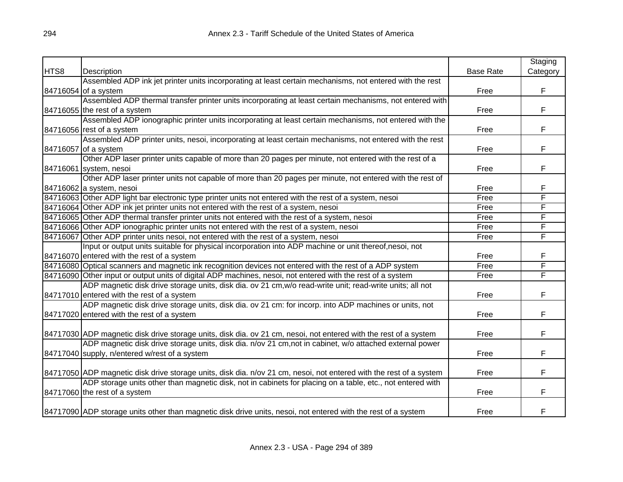|      |                                                                                                                    |                  | Staging  |
|------|--------------------------------------------------------------------------------------------------------------------|------------------|----------|
| HTS8 | Description                                                                                                        | <b>Base Rate</b> | Category |
|      | Assembled ADP ink jet printer units incorporating at least certain mechanisms, not entered with the rest           |                  |          |
|      | 84716054 of a system                                                                                               | Free             | F        |
|      | Assembled ADP thermal transfer printer units incorporating at least certain mechanisms, not entered with           |                  |          |
|      | 84716055 the rest of a system                                                                                      | Free             | F        |
|      | Assembled ADP ionographic printer units incorporating at least certain mechanisms, not entered with the            |                  |          |
|      | 84716056 rest of a system                                                                                          | Free             | F        |
|      | Assembled ADP printer units, nesoi, incorporating at least certain mechanisms, not entered with the rest           |                  |          |
|      | 84716057 of a system                                                                                               | Free             | F.       |
|      | Other ADP laser printer units capable of more than 20 pages per minute, not entered with the rest of a             |                  |          |
|      | 84716061 system, nesoi                                                                                             | Free             | F        |
|      | Other ADP laser printer units not capable of more than 20 pages per minute, not entered with the rest of           |                  |          |
|      | 84716062 a system, nesoi                                                                                           | Free             | F        |
|      | 84716063 Other ADP light bar electronic type printer units not entered with the rest of a system, nesoi            | Free             | F        |
|      | 84716064 Other ADP ink jet printer units not entered with the rest of a system, nesoi                              | Free             | F        |
|      | 84716065 Other ADP thermal transfer printer units not entered with the rest of a system, nesoi                     | Free             | F        |
|      | 84716066 Other ADP ionographic printer units not entered with the rest of a system, nesoi                          | Free             | F        |
|      | 84716067 Other ADP printer units nesoi, not entered with the rest of a system, nesoi                               | Free             | F        |
|      | Input or output units suitable for physical incorporation into ADP machine or unit thereof,nesoi, not              |                  |          |
|      | 84716070 entered with the rest of a system                                                                         | Free             | F        |
|      | 84716080 Optical scanners and magnetic ink recognition devices not entered with the rest of a ADP system           | Free             | F        |
|      | 84716090 Other input or output units of digital ADP machines, nesoi, not entered with the rest of a system         | Free             | F        |
|      | ADP magnetic disk drive storage units, disk dia. ov 21 cm, w/o read-write unit; read-write units; all not          |                  |          |
|      | 84717010 entered with the rest of a system                                                                         | Free             | F        |
|      | ADP magnetic disk drive storage units, disk dia. ov 21 cm: for incorp. into ADP machines or units, not             |                  |          |
|      | 84717020 entered with the rest of a system                                                                         | Free             | F        |
|      |                                                                                                                    |                  |          |
|      | 84717030 ADP magnetic disk drive storage units, disk dia. ov 21 cm, nesoi, not entered with the rest of a system   | Free             | F        |
|      | ADP magnetic disk drive storage units, disk dia. n/ov 21 cm, not in cabinet, w/o attached external power           |                  |          |
|      | 84717040 supply, n/entered w/rest of a system                                                                      | Free             | F        |
|      |                                                                                                                    |                  |          |
|      | 84717050 ADP magnetic disk drive storage units, disk dia. n/ov 21 cm, nesoi, not entered with the rest of a system | Free             | F        |
|      | ADP storage units other than magnetic disk, not in cabinets for placing on a table, etc., not entered with         |                  |          |
|      | 84717060 the rest of a system                                                                                      | Free             | F        |
|      | 84717090 ADP storage units other than magnetic disk drive units, nesoi, not entered with the rest of a system      | Free             | F        |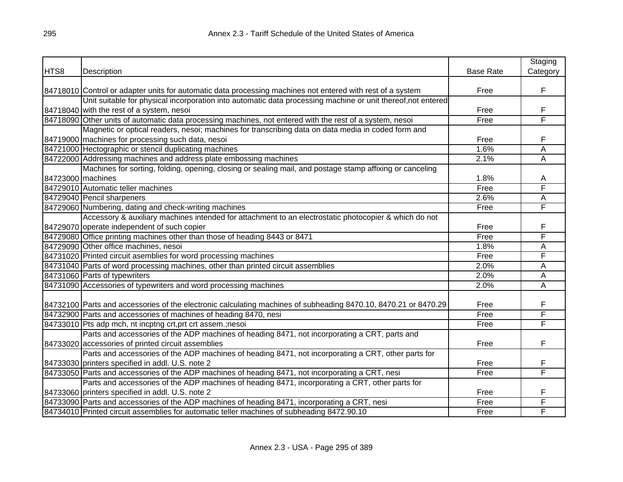|                   |                                                                                                                 |                  | Staging                 |
|-------------------|-----------------------------------------------------------------------------------------------------------------|------------------|-------------------------|
| HTS8              | Description                                                                                                     | <b>Base Rate</b> | Category                |
|                   |                                                                                                                 |                  |                         |
|                   | 84718010 Control or adapter units for automatic data processing machines not entered with rest of a system      | Free             | F                       |
|                   | Unit suitable for physical incorporation into automatic data processing machine or unit thereof, not entered    |                  |                         |
|                   | 84718040 with the rest of a system, nesoi                                                                       | Free             | F                       |
|                   | 84718090 Other units of automatic data processing machines, not entered with the rest of a system, nesoi        | Free             | F                       |
|                   | Magnetic or optical readers, nesoi; machines for transcribing data on data media in coded form and              |                  |                         |
|                   | 84719000 machines for processing such data, nesoi                                                               | Free             | F                       |
|                   | 84721000 Hectographic or stencil duplicating machines                                                           | 1.6%             | A                       |
|                   | 84722000 Addressing machines and address plate embossing machines                                               | 2.1%             | A                       |
|                   | Machines for sorting, folding, opening, closing or sealing mail, and postage stamp affixing or canceling        |                  |                         |
| 84723000 machines |                                                                                                                 | 1.8%             | Α                       |
|                   | 84729010 Automatic teller machines                                                                              | Free             | F                       |
|                   | 84729040 Pencil sharpeners                                                                                      | 2.6%             | А                       |
|                   | 84729060 Numbering, dating and check-writing machines                                                           | Free             | F                       |
|                   | Accessory & auxiliary machines intended for attachment to an electrostatic photocopier & which do not           |                  |                         |
|                   | 84729070 operate independent of such copier                                                                     | Free             | F                       |
|                   | 84729080 Office printing machines other than those of heading 8443 or 8471                                      | Free             | F                       |
|                   | 84729090 Other office machines, nesoi                                                                           | 1.8%             | Ā                       |
|                   | 84731020 Printed circuit asemblies for word processing machines                                                 | Free             | F                       |
|                   | 84731040 Parts of word processing machines, other than printed circuit assemblies                               | 2.0%             | $\overline{\mathsf{A}}$ |
|                   | 84731060 Parts of typewriters                                                                                   | 2.0%             | $\overline{\mathsf{A}}$ |
|                   | 84731090 Accessories of typewriters and word processing machines                                                | 2.0%             | Ā                       |
|                   |                                                                                                                 |                  |                         |
|                   | 84732100 Parts and accessories of the electronic calculating machines of subheading 8470.10, 8470.21 or 8470.29 | Free             | F                       |
|                   | 84732900 Parts and accessories of machines of heading 8470, nesi                                                | Free             | F                       |
|                   | 84733010 Pts adp mch, nt incptng crt, prt crt assem :; nesoi                                                    | Free             | F                       |
|                   | Parts and accessories of the ADP machines of heading 8471, not incorporating a CRT, parts and                   |                  |                         |
|                   | 84733020 accessories of printed circuit assemblies                                                              | Free             | F                       |
|                   | Parts and accessories of the ADP machines of heading 8471, not incorporating a CRT, other parts for             |                  |                         |
|                   | 84733030 printers specified in addl. U.S. note 2                                                                | Free             | F                       |
|                   | 84733050 Parts and accessories of the ADP machines of heading 8471, not incorporating a CRT, nesi               | Free             | F                       |
|                   | Parts and accessories of the ADP machines of heading 8471, incorporating a CRT, other parts for                 |                  |                         |
|                   | 84733060 printers specified in addl. U.S. note 2                                                                | Free             | F                       |
|                   | 84733090 Parts and accessories of the ADP machines of heading 8471, incorporating a CRT, nesi                   | Free             | F                       |
|                   | 84734010 Printed circuit assemblies for automatic teller machines of subheading 8472.90.10                      | Free             | F                       |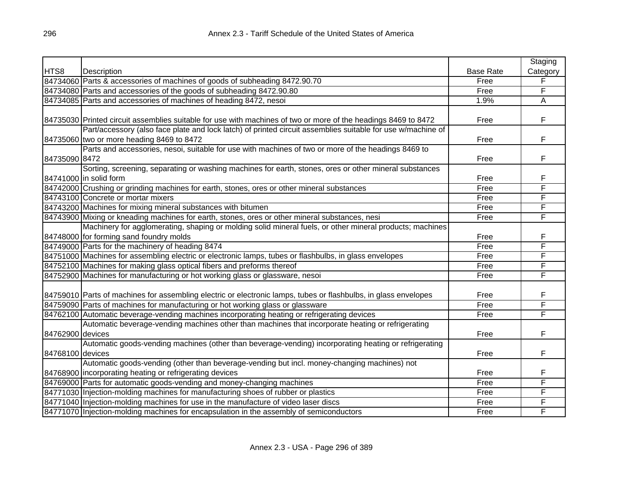|                  |                                                                                                                 |                  | Staging  |
|------------------|-----------------------------------------------------------------------------------------------------------------|------------------|----------|
| HTS8             | Description                                                                                                     | <b>Base Rate</b> | Category |
|                  | 84734060 Parts & accessories of machines of goods of subheading 8472.90.70                                      | Free             | F        |
|                  | 84734080 Parts and accessories of the goods of subheading 8472.90.80                                            | Free             | F        |
|                  | 84734085 Parts and accessories of machines of heading 8472, nesoi                                               | 1.9%             | A        |
|                  |                                                                                                                 |                  |          |
|                  | 84735030 Printed circuit assemblies suitable for use with machines of two or more of the headings 8469 to 8472  | Free             | F        |
|                  | Part/accessory (also face plate and lock latch) of printed circuit assemblies suitable for use w/machine of     |                  |          |
|                  | 84735060 two or more heading 8469 to 8472                                                                       | Free             | F        |
|                  | Parts and accessories, nesoi, suitable for use with machines of two or more of the headings 8469 to             |                  |          |
| 84735090 8472    |                                                                                                                 | Free             | F        |
|                  | Sorting, screening, separating or washing machines for earth, stones, ores or other mineral substances          |                  |          |
|                  | 84741000 in solid form                                                                                          | Free             | F        |
|                  | 84742000 Crushing or grinding machines for earth, stones, ores or other mineral substances                      | Free             | F        |
|                  | 84743100 Concrete or mortar mixers                                                                              | Free             | F        |
|                  | 84743200 Machines for mixing mineral substances with bitumen                                                    | Free             | F        |
|                  | 84743900 Mixing or kneading machines for earth, stones, ores or other mineral substances, nesi                  | Free             | F        |
|                  | Machinery for agglomerating, shaping or molding solid mineral fuels, or other mineral products; machines        |                  |          |
|                  | 84748000 for forming sand foundry molds                                                                         | Free             | F        |
|                  | 84749000 Parts for the machinery of heading 8474                                                                | Free             | F        |
|                  | 84751000 Machines for assembling electric or electronic lamps, tubes or flashbulbs, in glass envelopes          | Free             | F        |
|                  | 84752100 Machines for making glass optical fibers and preforms thereof                                          | Free             | F        |
|                  | 84752900 Machines for manufacturing or hot working glass or glassware, nesoi                                    | Free             | F        |
|                  |                                                                                                                 |                  |          |
|                  | 84759010 Parts of machines for assembling electric or electronic lamps, tubes or flashbulbs, in glass envelopes | Free             | F        |
|                  | 84759090 Parts of machines for manufacturing or hot working glass or glassware                                  | Free             | F        |
|                  | 84762100 Automatic beverage-vending machines incorporating heating or refrigerating devices                     | Free             | F        |
|                  | Automatic beverage-vending machines other than machines that incorporate heating or refrigerating               |                  |          |
| 84762900 devices |                                                                                                                 | Free             | F        |
|                  | Automatic goods-vending machines (other than beverage-vending) incorporating heating or refrigerating           |                  |          |
| 84768100 devices |                                                                                                                 | Free             | F.       |
|                  | Automatic goods-vending (other than beverage-vending but incl. money-changing machines) not                     |                  |          |
|                  | 84768900 incorporating heating or refrigerating devices                                                         | Free             | F        |
|                  | 84769000 Parts for automatic goods-vending and money-changing machines                                          | Free             | F        |
|                  | 84771030 Injection-molding machines for manufacturing shoes of rubber or plastics                               | Free             | F        |
|                  | 84771040 Injection-molding machines for use in the manufacture of video laser discs                             | Free             | F        |
|                  | 84771070 Injection-molding machines for encapsulation in the assembly of semiconductors                         | Free             | F        |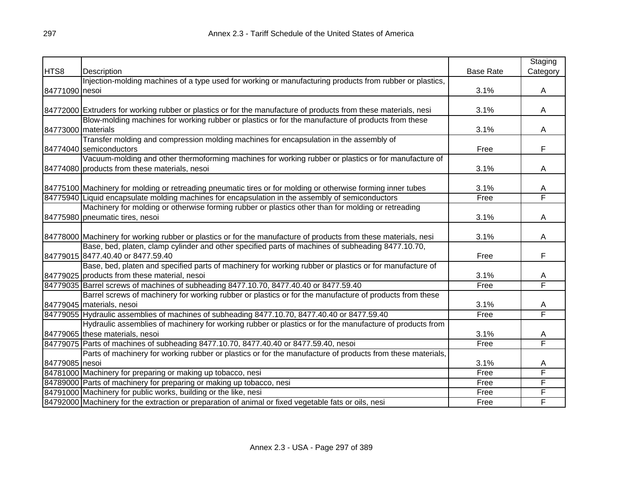|                    |                                                                                                                 |                  | Staging  |
|--------------------|-----------------------------------------------------------------------------------------------------------------|------------------|----------|
| HTS8               | Description                                                                                                     | <b>Base Rate</b> | Category |
|                    | Injection-molding machines of a type used for working or manufacturing products from rubber or plastics,        |                  |          |
| 84771090 nesoi     |                                                                                                                 | 3.1%             | A        |
|                    |                                                                                                                 |                  |          |
|                    | 84772000 Extruders for working rubber or plastics or for the manufacture of products from these materials, nesi | 3.1%             | A        |
|                    | Blow-molding machines for working rubber or plastics or for the manufacture of products from these              |                  |          |
| 84773000 materials |                                                                                                                 | 3.1%             | A        |
|                    | Transfer molding and compression molding machines for encapsulation in the assembly of                          |                  |          |
|                    | 84774040 semiconductors                                                                                         | Free             | F        |
|                    | Vacuum-molding and other thermoforming machines for working rubber or plastics or for manufacture of            |                  |          |
|                    | 84774080 products from these materials, nesoi                                                                   | 3.1%             | A        |
|                    |                                                                                                                 |                  |          |
|                    | 84775100 Machinery for molding or retreading pneumatic tires or for molding or otherwise forming inner tubes    | 3.1%             | A        |
|                    | 84775940 Liquid encapsulate molding machines for encapsulation in the assembly of semiconductors                | Free             | F        |
|                    | Machinery for molding or otherwise forming rubber or plastics other than for molding or retreading              |                  |          |
|                    | 84775980 pneumatic tires, nesoi                                                                                 | 3.1%             | A        |
|                    |                                                                                                                 |                  |          |
|                    | 84778000 Machinery for working rubber or plastics or for the manufacture of products from these materials, nesi | 3.1%             | Α        |
|                    | Base, bed, platen, clamp cylinder and other specified parts of machines of subheading 8477.10.70,               |                  |          |
|                    | 84779015 8477.40.40 or 8477.59.40                                                                               | Free             | F        |
|                    | Base, bed, platen and specified parts of machinery for working rubber or plastics or for manufacture of         |                  |          |
|                    | 84779025 products from these material, nesoi                                                                    | 3.1%             | A        |
|                    | 84779035 Barrel screws of machines of subheading 8477.10.70, 8477.40.40 or 8477.59.40                           | Free             | F        |
|                    | Barrel screws of machinery for working rubber or plastics or for the manufacture of products from these         |                  |          |
|                    | 84779045 materials, nesoi                                                                                       | 3.1%             | A        |
|                    | 84779055 Hydraulic assemblies of machines of subheading 8477.10.70, 8477.40.40 or 8477.59.40                    | Free             | Ē        |
|                    | Hydraulic assemblies of machinery for working rubber or plastics or for the manufacture of products from        |                  |          |
|                    | 84779065 these materials, nesoi                                                                                 | 3.1%             | A        |
|                    | 84779075 Parts of machines of subheading 8477.10.70, 8477.40.40 or 8477.59.40, nesoi                            | Free             | F        |
|                    | Parts of machinery for working rubber or plastics or for the manufacture of products from these materials,      |                  |          |
| 84779085 nesoi     |                                                                                                                 | 3.1%             | A        |
|                    | 84781000 Machinery for preparing or making up tobacco, nesi                                                     | Free             | F        |
|                    | 84789000 Parts of machinery for preparing or making up tobacco, nesi                                            | Free             | F        |
|                    | 84791000 Machinery for public works, building or the like, nesi                                                 | Free             | F        |
|                    | 84792000 Machinery for the extraction or preparation of animal or fixed vegetable fats or oils, nesi            | Free             | F        |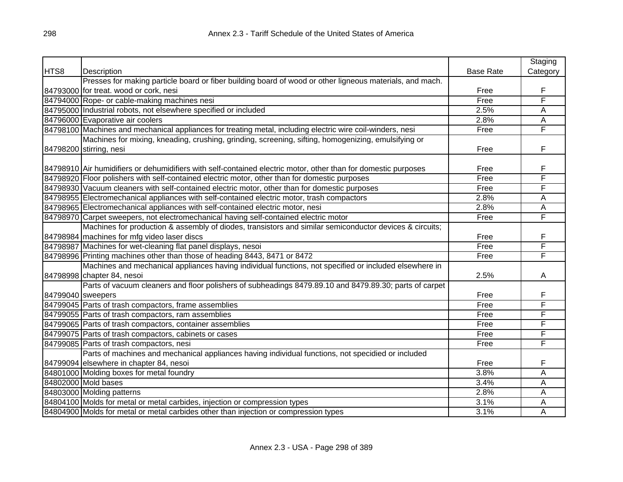|                   |                                                                                                                |                  | Staging        |
|-------------------|----------------------------------------------------------------------------------------------------------------|------------------|----------------|
| HTS8              | Description                                                                                                    | <b>Base Rate</b> | Category       |
|                   | Presses for making particle board or fiber building board of wood or other ligneous materials, and mach.       |                  |                |
|                   | 84793000 for treat. wood or cork, nesi                                                                         | Free             | F              |
|                   | 84794000 Rope- or cable-making machines nesi                                                                   | Free             | F              |
|                   | 84795000 Industrial robots, not elsewhere specified or included                                                | 2.5%             | A              |
|                   | 84796000 Evaporative air coolers                                                                               | 2.8%             | A              |
|                   | 84798100 Machines and mechanical appliances for treating metal, including electric wire coil-winders, nesi     | Free             | F              |
|                   | Machines for mixing, kneading, crushing, grinding, screening, sifting, homogenizing, emulsifying or            |                  |                |
|                   | 84798200 stirring, nesi                                                                                        | Free             | F              |
|                   |                                                                                                                |                  |                |
|                   | 84798910 Air humidifiers or dehumidifiers with self-contained electric motor, other than for domestic purposes | Free             | F              |
|                   | 84798920 Floor polishers with self-contained electric motor, other than for domestic purposes                  | Free             | F              |
|                   | 84798930 Vacuum cleaners with self-contained electric motor, other than for domestic purposes                  | Free             | F              |
|                   | 84798955 Electromechanical appliances with self-contained electric motor, trash compactors                     | 2.8%             | A              |
|                   | 84798965 Electromechanical appliances with self-contained electric motor, nesi                                 | 2.8%             | $\overline{A}$ |
|                   | 84798970 Carpet sweepers, not electromechanical having self-contained electric motor                           | Free             | F              |
|                   | Machines for production & assembly of diodes, transistors and similar semiconductor devices & circuits;        |                  |                |
|                   | 84798984 machines for mfg video laser discs                                                                    | Free             | F              |
|                   | 84798987 Machines for wet-cleaning flat panel displays, nesoi                                                  | Free             | F              |
|                   | 84798996 Printing machines other than those of heading 8443, 8471 or 8472                                      | Free             | F              |
|                   | Machines and mechanical appliances having individual functions, not specified or included elsewhere in         |                  |                |
|                   | 84798998 chapter 84, nesoi                                                                                     | 2.5%             | A              |
|                   | Parts of vacuum cleaners and floor polishers of subheadings 8479.89.10 and 8479.89.30; parts of carpet         |                  |                |
| 84799040 sweepers |                                                                                                                | Free             | F              |
|                   | 84799045 Parts of trash compactors, frame assemblies                                                           | Free             | F              |
|                   | 84799055 Parts of trash compactors, ram assemblies                                                             | Free             | F              |
|                   | 84799065 Parts of trash compactors, container assemblies                                                       | Free             | F              |
|                   | 84799075 Parts of trash compactors, cabinets or cases                                                          | Free             | F              |
|                   | 84799085 Parts of trash compactors, nesi                                                                       | Free             | F              |
|                   | Parts of machines and mechanical appliances having individual functions, not specidied or included             |                  |                |
|                   | 84799094 elsewhere in chapter 84, nesoi                                                                        | Free             | F              |
|                   | 84801000 Molding boxes for metal foundry                                                                       | 3.8%             | A              |
|                   | 84802000 Mold bases                                                                                            | 3.4%             | A              |
|                   | 84803000 Molding patterns                                                                                      | 2.8%             | A              |
|                   | 84804100 Molds for metal or metal carbides, injection or compression types                                     | 3.1%             | A              |
|                   | 84804900 Molds for metal or metal carbides other than injection or compression types                           | 3.1%             | A              |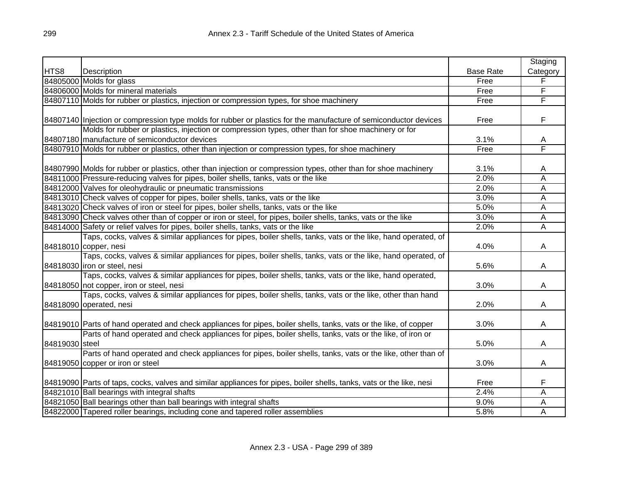|                |                                                                                                                      |                  | Staging  |
|----------------|----------------------------------------------------------------------------------------------------------------------|------------------|----------|
| HTS8           | Description                                                                                                          | <b>Base Rate</b> | Category |
|                | 84805000 Molds for glass                                                                                             | Free             | F        |
|                | 84806000 Molds for mineral materials                                                                                 | Free             | F        |
|                | 84807110 Molds for rubber or plastics, injection or compression types, for shoe machinery                            | Free             | F        |
|                |                                                                                                                      |                  |          |
|                | 84807140 Injection or compression type molds for rubber or plastics for the manufacture of semiconductor devices     | Free             | F        |
|                | Molds for rubber or plastics, injection or compression types, other than for shoe machinery or for                   |                  |          |
|                | 84807180 manufacture of semiconductor devices                                                                        | 3.1%             | А        |
|                | 84807910 Molds for rubber or plastics, other than injection or compression types, for shoe machinery                 | Free             | F        |
|                |                                                                                                                      |                  |          |
|                | 84807990 Molds for rubber or plastics, other than injection or compression types, other than for shoe machinery      | 3.1%             | Α        |
|                | 84811000 Pressure-reducing valves for pipes, boiler shells, tanks, vats or the like                                  | 2.0%             | A        |
|                | 84812000 Valves for oleohydraulic or pneumatic transmissions                                                         | 2.0%             | Α        |
|                | 84813010 Check valves of copper for pipes, boiler shells, tanks, vats or the like                                    | 3.0%             | Α        |
|                | 84813020 Check valves of iron or steel for pipes, boiler shells, tanks, vats or the like                             | 5.0%             | Α        |
|                | 84813090 Check valves other than of copper or iron or steel, for pipes, boiler shells, tanks, vats or the like       | 3.0%             | Α        |
|                | 84814000 Safety or relief valves for pipes, boiler shells, tanks, vats or the like                                   | 2.0%             | Α        |
|                | Taps, cocks, valves & similar appliances for pipes, boiler shells, tanks, vats or the like, hand operated, of        |                  |          |
|                | 84818010 copper, nesi                                                                                                | 4.0%             | Α        |
|                | Taps, cocks, valves & similar appliances for pipes, boiler shells, tanks, vats or the like, hand operated, of        |                  |          |
|                | 84818030 liron or steel, nesi                                                                                        | 5.6%             | A        |
|                | Taps, cocks, valves & similar appliances for pipes, boiler shells, tanks, vats or the like, hand operated,           |                  |          |
|                | 84818050 not copper, iron or steel, nesi                                                                             | 3.0%             | A        |
|                | Taps, cocks, valves & similar appliances for pipes, boiler shells, tanks, vats or the like, other than hand          |                  |          |
|                | 84818090 operated, nesi                                                                                              | 2.0%             | Α        |
|                |                                                                                                                      |                  |          |
|                | 84819010 Parts of hand operated and check appliances for pipes, boiler shells, tanks, vats or the like, of copper    | 3.0%             | Α        |
|                | Parts of hand operated and check appliances for pipes, boiler shells, tanks, vats or the like, of iron or            |                  |          |
| 84819030 steel |                                                                                                                      | 5.0%             | A        |
|                | Parts of hand operated and check appliances for pipes, boiler shells, tanks, vats or the like, other than of         |                  |          |
|                | 84819050 copper or iron or steel                                                                                     | 3.0%             | A        |
|                |                                                                                                                      |                  |          |
|                | 84819090 Parts of taps, cocks, valves and similar appliances for pipes, boiler shells, tanks, vats or the like, nesi | Free             | F        |
|                | 84821010 Ball bearings with integral shafts                                                                          | 2.4%             | Α        |
|                | 84821050 Ball bearings other than ball bearings with integral shafts                                                 | 9.0%             | Α        |
|                | 84822000 Tapered roller bearings, including cone and tapered roller assemblies                                       | 5.8%             | Α        |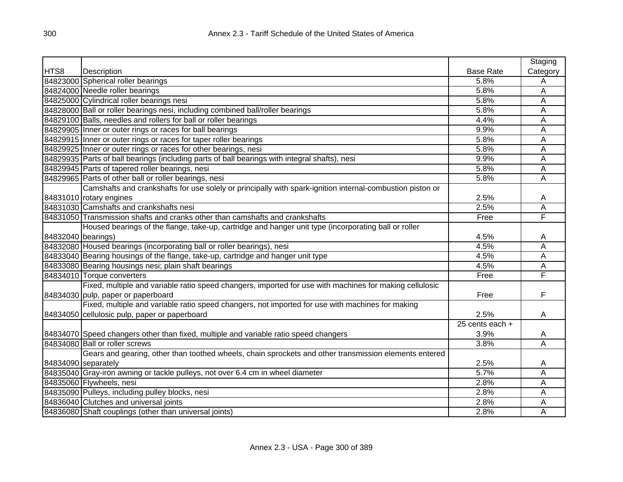|                    |                                                                                                           |                   | Staging  |
|--------------------|-----------------------------------------------------------------------------------------------------------|-------------------|----------|
| HTS8               | Description                                                                                               | <b>Base Rate</b>  | Category |
|                    | 84823000 Spherical roller bearings                                                                        | 5.8%              | Α        |
|                    | 84824000 Needle roller bearings                                                                           | 5.8%              | A        |
|                    | 84825000 Cylindrical roller bearings nesi                                                                 | 5.8%              | A        |
|                    | 84828000 Ball or roller bearings nesi, including combined ball/roller bearings                            | 5.8%              | A        |
|                    | 84829100 Balls, needles and rollers for ball or roller bearings                                           | 4.4%              | A        |
|                    | 84829905 Inner or outer rings or races for ball bearings                                                  | 9.9%              | A        |
|                    | 84829915 Inner or outer rings or races for taper roller bearings                                          | 5.8%              | A        |
|                    | 84829925 Inner or outer rings or races for other bearings, nesi                                           | 5.8%              | A        |
|                    | 84829935   Parts of ball bearings (including parts of ball bearings with integral shafts), nesi           | 9.9%              | A        |
|                    | 84829945 Parts of tapered roller bearings, nesi                                                           | 5.8%              | Α        |
|                    | 84829965 Parts of other ball or roller bearings, nesi                                                     | 5.8%              | Α        |
|                    | Camshafts and crankshafts for use solely or principally with spark-ignition internal-combustion piston or |                   |          |
|                    | 84831010 rotary engines                                                                                   | 2.5%              | Α        |
|                    | 84831030 Camshafts and crankshafts nesi                                                                   | 2.5%              | A        |
|                    | 84831050 Transmission shafts and cranks other than camshafts and crankshafts                              | Free              | F        |
|                    | Housed bearings of the flange, take-up, cartridge and hanger unit type (incorporating ball or roller      |                   |          |
| 84832040 bearings) |                                                                                                           | 4.5%              | A        |
|                    | 84832080 Housed bearings (incorporating ball or roller bearings), nesi                                    | 4.5%              | Α        |
|                    | 84833040 Bearing housings of the flange, take-up, cartridge and hanger unit type                          | 4.5%              | Α        |
|                    | 84833080 Bearing housings nesi; plain shaft bearings                                                      | 4.5%              | Α        |
|                    | 84834010 Torque converters                                                                                | Free              | F        |
|                    | Fixed, multiple and variable ratio speed changers, imported for use with machines for making cellulosic   |                   |          |
|                    | 84834030 pulp, paper or paperboard                                                                        | Free              | F        |
|                    | Fixed, multiple and variable ratio speed changers, not imported for use with machines for making          |                   |          |
|                    | 84834050 cellulosic pulp, paper or paperboard                                                             | 2.5%              | A        |
|                    |                                                                                                           | $25$ cents each + |          |
|                    | 84834070 Speed changers other than fixed, multiple and variable ratio speed changers                      | 3.9%              | A        |
|                    | 84834080 Ball or roller screws                                                                            | 3.8%              | Α        |
|                    | Gears and gearing, other than toothed wheels, chain sprockets and other transmission elements entered     |                   |          |
|                    | 84834090 separately                                                                                       | 2.5%              | A        |
|                    | 84835040 Gray-iron awning or tackle pulleys, not over 6.4 cm in wheel diameter                            | 5.7%              | Α        |
|                    | 84835060 Flywheels, nesi                                                                                  | 2.8%              | A        |
|                    | 84835090 Pulleys, including pulley blocks, nesi                                                           | 2.8%              | A        |
|                    | 84836040 Clutches and universal joints                                                                    | 2.8%              | Α        |
|                    | 84836080 Shaft couplings (other than universal joints)                                                    | 2.8%              | A        |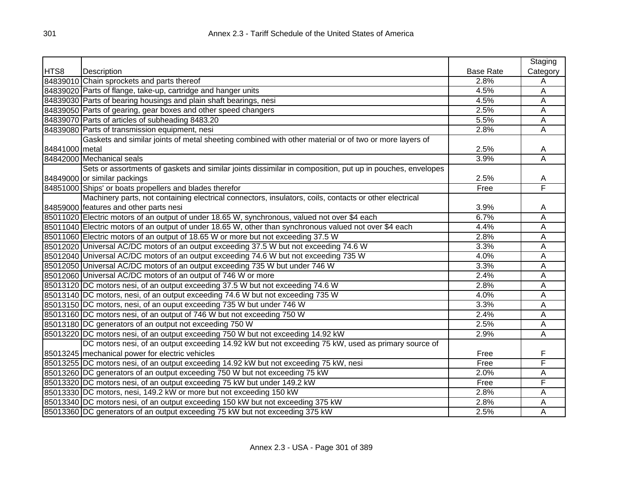|                |                                                                                                           |                  | Staging  |
|----------------|-----------------------------------------------------------------------------------------------------------|------------------|----------|
| HTS8           | Description                                                                                               | <b>Base Rate</b> | Category |
|                | 84839010 Chain sprockets and parts thereof                                                                | 2.8%             | A        |
|                | 84839020 Parts of flange, take-up, cartridge and hanger units                                             | 4.5%             | A        |
|                | 84839030 Parts of bearing housings and plain shaft bearings, nesi                                         | 4.5%             | Α        |
|                | 84839050 Parts of gearing, gear boxes and other speed changers                                            | 2.5%             | Α        |
|                | 84839070 Parts of articles of subheading 8483.20                                                          | 5.5%             | Α        |
|                | 84839080 Parts of transmission equipment, nesi                                                            | 2.8%             | Ā        |
|                | Gaskets and similar joints of metal sheeting combined with other material or of two or more layers of     |                  |          |
| 84841000 metal |                                                                                                           | 2.5%             | A        |
|                | 84842000 Mechanical seals                                                                                 | 3.9%             | A        |
|                | Sets or assortments of gaskets and similar joints dissimilar in composition, put up in pouches, envelopes |                  |          |
|                | 84849000 or similar packings                                                                              | 2.5%             | A        |
|                | 84851000 Ships' or boats propellers and blades therefor                                                   | Free             | F        |
|                | Machinery parts, not containing electrical connectors, insulators, coils, contacts or other electrical    |                  |          |
|                | 84859000 features and other parts nesi                                                                    | 3.9%             | Α        |
|                | 85011020 Electric motors of an output of under 18.65 W, synchronous, valued not over \$4 each             | 6.7%             | Α        |
|                | 85011040 Electric motors of an output of under 18.65 W, other than synchronous valued not over \$4 each   | 4.4%             | Α        |
|                | 85011060 Electric motors of an output of 18.65 W or more but not exceeding 37.5 W                         | 2.8%             | Α        |
|                | 85012020 Universal AC/DC motors of an output exceeding 37.5 W but not exceeding 74.6 W                    | 3.3%             | A        |
|                | 85012040 Universal AC/DC motors of an output exceeding 74.6 W but not exceeding 735 W                     | 4.0%             | A        |
|                | 85012050 Universal AC/DC motors of an output exceeding 735 W but under 746 W                              | 3.3%             | А        |
|                | 85012060 Universal AC/DC motors of an output of 746 W or more                                             | 2.4%             | A        |
|                | 85013120 DC motors nesi, of an output exceeding 37.5 W but not exceeding 74.6 W                           | 2.8%             | A        |
|                | 85013140 DC motors, nesi, of an output exceeding 74.6 W but not exceeding 735 W                           | 4.0%             | A        |
|                | 85013150 DC motors, nesi, of an ouput exceeding 735 W but under 746 W                                     | 3.3%             | Ā        |
|                | 85013160 DC motors nesi, of an output of 746 W but not exceeding 750 W                                    | 2.4%             | Ā        |
|                | 85013180 DC generators of an output not exceeding 750 W                                                   | 2.5%             | А        |
|                | 85013220 DC motors nesi, of an output exceeding 750 W but not exceeding 14.92 kW                          | 2.9%             | Ā        |
|                | DC motors nesi, of an output exceeding 14.92 kW but not exceeding 75 kW, used as primary source of        |                  |          |
|                | 85013245   mechanical power for electric vehicles                                                         | Free             | F        |
|                | 85013255 DC motors nesi, of an output exceeding 14.92 kW but not exceeding 75 kW, nesi                    | Free             | F        |
|                | 85013260 DC generators of an output exceeding 750 W but not exceeding 75 kW                               | 2.0%             | Α        |
|                | 85013320 DC motors nesi, of an output exceeding 75 kW but under 149.2 kW                                  | Free             | F        |
|                | 85013330 DC motors, nesi, 149.2 kW or more but not exceeding 150 kW                                       | 2.8%             | Α        |
|                | 85013340 DC motors nesi, of an output exceeding 150 kW but not exceeding 375 kW                           | 2.8%             | A        |
|                | 85013360 DC generators of an output exceeding 75 kW but not exceeding 375 kW                              | 2.5%             | Α        |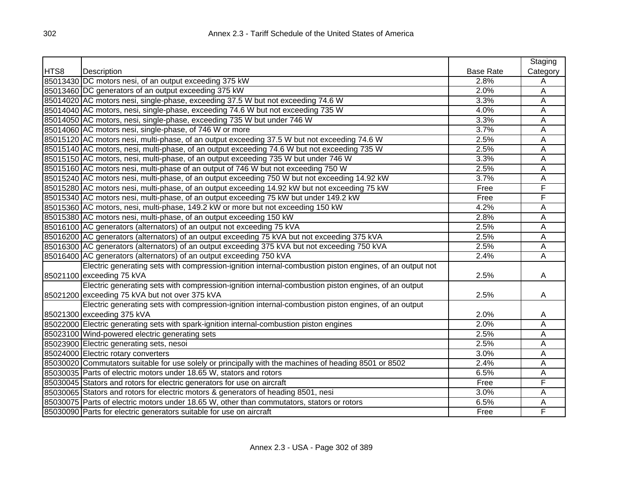|      |                                                                                                         |                  | Staging        |
|------|---------------------------------------------------------------------------------------------------------|------------------|----------------|
| HTS8 | Description                                                                                             | <b>Base Rate</b> | Category       |
|      | 85013430 DC motors nesi, of an output exceeding 375 kW                                                  | 2.8%             | A              |
|      | 85013460 DC generators of an output exceeding 375 kW                                                    | 2.0%             | A              |
|      | 85014020 AC motors nesi, single-phase, exceeding 37.5 W but not exceeding 74.6 W                        | 3.3%             | A              |
|      | 85014040 AC motors, nesi, single-phase, exceeding 74.6 W but not exceeding 735 W                        | 4.0%             | A              |
|      | 85014050 AC motors, nesi, single-phase, exceeding 735 W but under 746 W                                 | 3.3%             | A              |
|      | 85014060 AC motors nesi, single-phase, of 746 W or more                                                 | 3.7%             | A              |
|      | 85015120 AC motors nesi, multi-phase, of an output exceeding 37.5 W but not exceeding 74.6 W            | 2.5%             | A              |
|      | 85015140 AC motors, nesi, multi-phase, of an output exceeding 74.6 W but not exceeding 735 W            | 2.5%             | A              |
|      | 85015150 AC motors, nesi, multi-phase, of an output exceeding 735 W but under 746 W                     | 3.3%             | A              |
|      | 85015160 AC motors nesi, multi-phase of an output of 746 W but not exceeding 750 W                      | 2.5%             | A              |
|      | 85015240 AC motors nesi, multi-phase, of an output exceeding 750 W but not exceeding 14.92 kW           | 3.7%             | A              |
|      | 85015280 AC motors nesi, multi-phase, of an output exceeding 14.92 kW but not exceeding 75 kW           | Free             | F              |
|      | 85015340 AC motors nesi, multi-phase, of an output exceeding 75 kW but under 149.2 kW                   | Free             | F              |
|      | 85015360 AC motors, nesi, multi-phase, 149.2 kW or more but not exceeding 150 kW                        | 4.2%             | A              |
|      | 85015380 AC motors nesi, multi-phase, of an output exceeding 150 kW                                     | 2.8%             | A              |
|      | 85016100 AC generators (alternators) of an output not exceeding 75 kVA                                  | 2.5%             | A              |
|      | 85016200 AC generators (alternators) of an output exceeding 75 kVA but not exceeding 375 kVA            | 2.5%             | A              |
|      | 85016300 AC generators (alternators) of an output exceeding 375 kVA but not exceeding 750 kVA           | 2.5%             | $\overline{A}$ |
|      | 85016400 AC generators (alternators) of an output exceeding 750 kVA                                     | 2.4%             | $\overline{A}$ |
|      | Electric generating sets with compression-ignition internal-combustion piston engines, of an output not |                  |                |
|      | 85021100 exceeding 75 kVA                                                                               | 2.5%             | A              |
|      | Electric generating sets with compression-ignition internal-combustion piston engines, of an output     |                  |                |
|      | 85021200 exceeding 75 kVA but not over 375 kVA                                                          | 2.5%             | A              |
|      | Electric generating sets with compression-ignition internal-combustion piston engines, of an output     |                  |                |
|      | 85021300 exceeding 375 kVA                                                                              | 2.0%             | A              |
|      | 85022000 Electric generating sets with spark-ignition internal-combustion piston engines                | 2.0%             | A              |
|      | 85023100 Wind-powered electric generating sets                                                          | 2.5%             | A              |
|      | 85023900 Electric generating sets, nesoi                                                                | 2.5%             | A              |
|      | 85024000 Electric rotary converters                                                                     | 3.0%             | A              |
|      | 85030020 Commutators suitable for use solely or principally with the machines of heading 8501 or 8502   | 2.4%             | A              |
|      | 85030035 Parts of electric motors under 18.65 W, stators and rotors                                     | 6.5%             | A              |
|      | 85030045 Stators and rotors for electric generators for use on aircraft                                 | Free             | F              |
|      | 85030065 Stators and rotors for electric motors & generators of heading 8501, nesi                      | 3.0%             | A              |
|      | 85030075 Parts of electric motors under 18.65 W, other than commutators, stators or rotors              | 6.5%             | A              |
|      | 85030090 Parts for electric generators suitable for use on aircraft                                     | Free             | F              |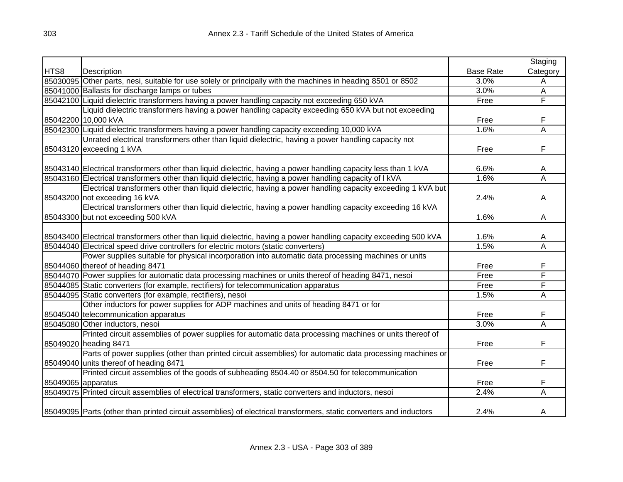|                    |                                                                                                                    |                  | Staging                 |
|--------------------|--------------------------------------------------------------------------------------------------------------------|------------------|-------------------------|
| HTS8               | Description                                                                                                        | <b>Base Rate</b> | Category                |
|                    | 85030095 Other parts, nesi, suitable for use solely or principally with the machines in heading 8501 or 8502       | 3.0%             | A                       |
|                    | 85041000 Ballasts for discharge lamps or tubes                                                                     | 3.0%             | A                       |
|                    | 85042100 Liquid dielectric transformers having a power handling capacity not exceeding 650 kVA                     | Free             | F                       |
|                    | Liquid dielectric transformers having a power handling capacity exceeding 650 kVA but not exceeding                |                  |                         |
|                    | 85042200 10,000 kVA                                                                                                | Free             | F                       |
|                    | 85042300 Liquid dielectric transformers having a power handling capacity exceeding 10,000 kVA                      | 1.6%             | Ā                       |
|                    | Unrated electrical transformers other than liquid dielectric, having a power handling capacity not                 |                  |                         |
|                    | 85043120 exceeding 1 kVA                                                                                           | Free             | F                       |
|                    | 85043140 Electrical transformers other than liquid dielectric, having a power handling capacity less than 1 kVA    | 6.6%             | А                       |
|                    | 85043160 Electrical transformers other than liquid dielectric, having a power handling capacity of I kVA           | 1.6%             | $\overline{\mathsf{A}}$ |
|                    | Electrical transformers other than liquid dielectric, having a power handling capacity exceeding 1 kVA but         |                  |                         |
|                    | 85043200 not exceeding 16 kVA                                                                                      | 2.4%             | Α                       |
|                    | Electrical transformers other than liquid dielectric, having a power handling capacity exceeding 16 kVA            |                  |                         |
|                    | 85043300 but not exceeding 500 kVA                                                                                 | 1.6%             | A                       |
|                    | 85043400 Electrical transformers other than liquid dielectric, having a power handling capacity exceeding 500 kVA  | 1.6%             | A                       |
|                    | 85044040 Electrical speed drive controllers for electric motors (static converters)                                | 1.5%             | $\overline{\mathsf{A}}$ |
|                    | Power supplies suitable for physical incorporation into automatic data processing machines or units                |                  |                         |
|                    | 85044060 thereof of heading 8471                                                                                   | Free             | F                       |
|                    | 85044070 Power supplies for automatic data processing machines or units thereof of heading 8471, nesoi             | Free             | F                       |
|                    | 85044085 Static converters (for example, rectifiers) for telecommunication apparatus                               | Free             | F                       |
|                    | 85044095 Static converters (for example, rectifiers), nesoi                                                        | 1.5%             | Α                       |
|                    | Other inductors for power supplies for ADP machines and units of heading 8471 or for                               |                  |                         |
|                    | 85045040 telecommunication apparatus                                                                               | Free             | F                       |
|                    | 85045080 Other inductors, nesoi                                                                                    | 3.0%             | Ā                       |
|                    | Printed circuit assemblies of power supplies for automatic data processing machines or units thereof of            |                  |                         |
|                    | 85049020 heading 8471                                                                                              | Free             | F                       |
|                    | Parts of power supplies (other than printed circuit assemblies) for automatic data processing machines or          |                  |                         |
|                    | 85049040 units thereof of heading 8471                                                                             | Free             | F                       |
|                    | Printed circuit assemblies of the goods of subheading 8504.40 or 8504.50 for telecommunication                     |                  |                         |
| 85049065 apparatus |                                                                                                                    | Free             | F                       |
|                    | 85049075 Printed circuit assemblies of electrical transformers, static converters and inductors, nesoi             | 2.4%             | Α                       |
|                    | 85049095 Parts (other than printed circuit assemblies) of electrical transformers, static converters and inductors | 2.4%             | A                       |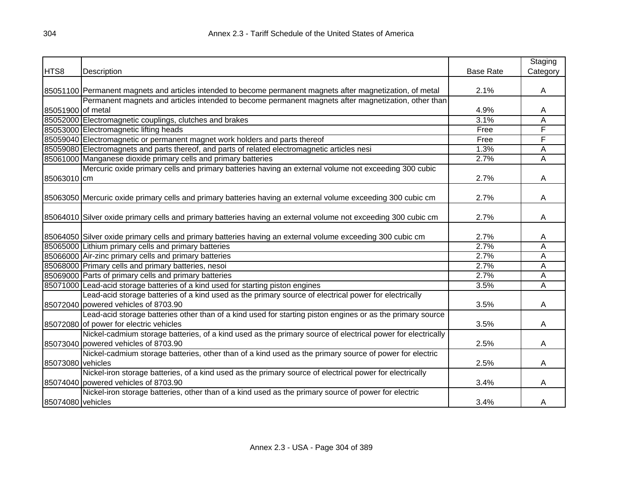|                   |                                                                                                                |                  | Staging  |
|-------------------|----------------------------------------------------------------------------------------------------------------|------------------|----------|
| HTS8              | Description                                                                                                    | <b>Base Rate</b> | Category |
|                   |                                                                                                                |                  |          |
|                   | 85051100 Permanent magnets and articles intended to become permanent magnets after magnetization, of metal     | 2.1%             | A        |
|                   | Permanent magnets and articles intended to become permanent magnets after magnetization, other than            |                  |          |
| 85051900 of metal |                                                                                                                | 4.9%             | Α        |
|                   | 85052000 Electromagnetic couplings, clutches and brakes                                                        | 3.1%             | A        |
|                   | 85053000 Electromagnetic lifting heads                                                                         | Free             | F        |
|                   | 85059040 Electromagnetic or permanent magnet work holders and parts thereof                                    | Free             | F        |
|                   | 85059080 Electromagnets and parts thereof, and parts of related electromagnetic articles nesi                  | 1.3%             | Α        |
|                   | 85061000 Manganese dioxide primary cells and primary batteries                                                 | 2.7%             | A        |
|                   | Mercuric oxide primary cells and primary batteries having an external volume not exceeding 300 cubic           |                  |          |
| 85063010 cm       |                                                                                                                | 2.7%             | A        |
|                   | 85063050 Mercuric oxide primary cells and primary batteries having an external volume exceeding 300 cubic cm   | 2.7%             | A        |
|                   | 85064010 Silver oxide primary cells and primary batteries having an external volume not exceeding 300 cubic cm | 2.7%             | A        |
|                   |                                                                                                                |                  |          |
|                   | 85064050 Silver oxide primary cells and primary batteries having an external volume exceeding 300 cubic cm     | 2.7%             | A        |
|                   | 85065000 Lithium primary cells and primary batteries                                                           | 2.7%             | Α        |
|                   | 85066000 Air-zinc primary cells and primary batteries                                                          | 2.7%             | Α        |
|                   | 85068000 Primary cells and primary batteries, nesoi                                                            | 2.7%             | Α        |
|                   | 85069000 Parts of primary cells and primary batteries                                                          | 2.7%             | Α        |
|                   | 85071000 Lead-acid storage batteries of a kind used for starting piston engines                                | 3.5%             | A        |
|                   | Lead-acid storage batteries of a kind used as the primary source of electrical power for electrically          |                  |          |
|                   | 85072040 powered vehicles of 8703.90                                                                           | 3.5%             | A        |
|                   | Lead-acid storage batteries other than of a kind used for starting piston engines or as the primary source     |                  |          |
|                   | 85072080 of power for electric vehicles                                                                        | 3.5%             | Α        |
|                   | Nickel-cadmium storage batteries, of a kind used as the primary source of electrical power for electrically    |                  |          |
|                   | 85073040 powered vehicles of 8703.90                                                                           | 2.5%             | A        |
|                   | Nickel-cadmium storage batteries, other than of a kind used as the primary source of power for electric        |                  |          |
| 85073080 vehicles |                                                                                                                | 2.5%             | A        |
|                   | Nickel-iron storage batteries, of a kind used as the primary source of electrical power for electrically       |                  |          |
|                   | 85074040 powered vehicles of 8703.90                                                                           | 3.4%             | Α        |
|                   | Nickel-iron storage batteries, other than of a kind used as the primary source of power for electric           |                  |          |
| 85074080 vehicles |                                                                                                                | 3.4%             | A        |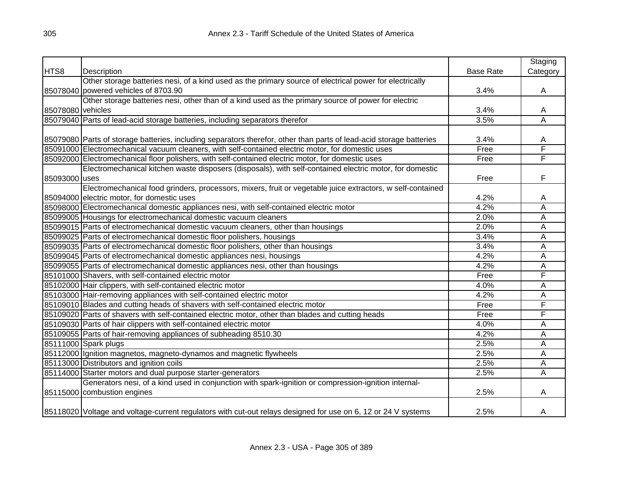|                   |                                                                                                                     |                  | Staging  |
|-------------------|---------------------------------------------------------------------------------------------------------------------|------------------|----------|
| HTS8              | Description                                                                                                         | <b>Base Rate</b> | Category |
|                   | Other storage batteries nesi, of a kind used as the primary source of electrical power for electrically             |                  |          |
|                   | 85078040 powered vehicles of 8703.90                                                                                | 3.4%             | A        |
|                   | Other storage batteries nesi, other than of a kind used as the primary source of power for electric                 |                  |          |
| 85078080 vehicles |                                                                                                                     | 3.4%             | Α        |
|                   | 85079040 Parts of lead-acid storage batteries, including separators therefor                                        | 3.5%             | Ā        |
|                   |                                                                                                                     |                  |          |
|                   | 85079080 Parts of storage batteries, including separators therefor, other than parts of lead-acid storage batteries | 3.4%             | A        |
|                   | 85091000 Electromechanical vacuum cleaners, with self-contained electric motor, for domestic uses                   | Free             | F        |
|                   | 85092000 Electromechanical floor polishers, with self-contained electric motor, for domestic uses                   | Free             | F        |
|                   | Electromechanical kitchen waste disposers (disposals), with self-contained electric motor, for domestic             |                  |          |
| 85093000 uses     |                                                                                                                     | Free             | F        |
|                   | Electromechanical food grinders, processors, mixers, fruit or vegetable juice extractors, w self-contained          |                  |          |
|                   | 85094000 electric motor, for domestic uses                                                                          | 4.2%             | A        |
|                   | 85098000 Electromechanical domestic appliances nesi, with self-contained electric motor                             | 4.2%             | Α        |
|                   | 85099005 Housings for electromechanical domestic vacuum cleaners                                                    | 2.0%             | Ā        |
|                   | 85099015   Parts of electromechanical domestic vacuum cleaners, other than housings                                 | 2.0%             | A        |
|                   | 85099025 Parts of electromechanical domestic floor polishers, housings                                              | 3.4%             | Ā        |
|                   | 85099035 Parts of electromechanical domestic floor polishers, other than housings                                   | 3.4%             | Ā        |
|                   | 85099045 Parts of electromechanical domestic appliances nesi, housings                                              | 4.2%             | Ā        |
|                   | 85099055 Parts of electromechanical domestic appliances nesi, other than housings                                   | 4.2%             | Ā        |
|                   | 85101000 Shavers, with self-contained electric motor                                                                | Free             | F        |
|                   | 85102000 Hair clippers, with self-contained electric motor                                                          | 4.0%             | A        |
|                   | 85103000 Hair-removing appliances with self-contained electric motor                                                | 4.2%             | Α        |
|                   | 85109010 Blades and cutting heads of shavers with self-contained electric motor                                     | Free             | F        |
|                   | 85109020 Parts of shavers with self-contained electric motor, other than blades and cutting heads                   | Free             | F        |
|                   | 85109030 Parts of hair clippers with self-contained electric motor                                                  | 4.0%             | Α        |
|                   | 85109055 Parts of hair-removing appliances of subheading 8510.30                                                    | 4.2%             | A        |
|                   | 85111000 Spark plugs                                                                                                | 2.5%             | A        |
|                   | 85112000 Ignition magnetos, magneto-dynamos and magnetic flywheels                                                  | 2.5%             | Α        |
|                   | 85113000 Distributors and ignition coils                                                                            | 2.5%             | А        |
|                   | 85114000 Starter motors and dual purpose starter-generators                                                         | 2.5%             | A        |
|                   | Generators nesi, of a kind used in conjunction with spark-ignition or compression-ignition internal-                |                  |          |
|                   | 85115000 combustion engines                                                                                         | 2.5%             | A        |
|                   | 85118020 Voltage and voltage-current regulators with cut-out relays designed for use on 6, 12 or 24 V systems       | 2.5%             | A        |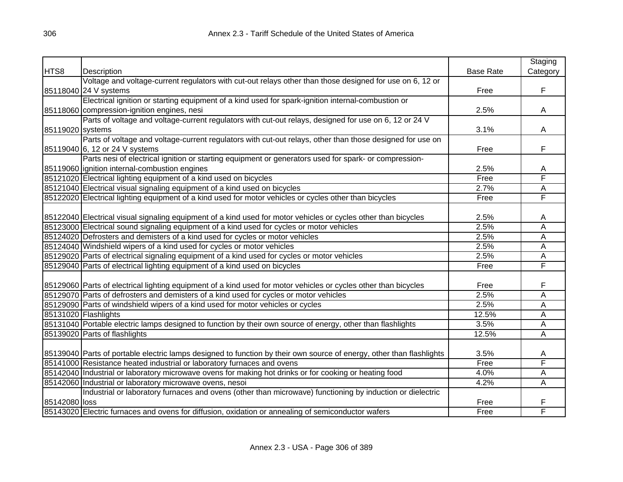|                  |                                                                                                                      |                  | Staging        |
|------------------|----------------------------------------------------------------------------------------------------------------------|------------------|----------------|
| HTS8             | Description                                                                                                          | <b>Base Rate</b> | Category       |
|                  | Voltage and voltage-current regulators with cut-out relays other than those designed for use on 6, 12 or             |                  |                |
|                  | 85118040 24 V systems                                                                                                | Free             | F              |
|                  | Electrical ignition or starting equipment of a kind used for spark-ignition internal-combustion or                   |                  |                |
|                  | 85118060 compression-ignition engines, nesi                                                                          | 2.5%             | А              |
|                  | Parts of voltage and voltage-current regulators with cut-out relays, designed for use on 6, 12 or 24 V               |                  |                |
| 85119020 systems |                                                                                                                      | 3.1%             | Α              |
|                  | Parts of voltage and voltage-current regulators with cut-out relays, other than those designed for use on            |                  |                |
|                  | 85119040 6, 12 or 24 V systems                                                                                       | Free             | F              |
|                  | Parts nesi of electrical ignition or starting equipment or generators used for spark- or compression-                |                  |                |
|                  | 85119060 ignition internal-combustion engines                                                                        | 2.5%             | Α              |
|                  | 85121020 Electrical lighting equipment of a kind used on bicycles                                                    | Free             | F              |
|                  | 85121040 Electrical visual signaling equipment of a kind used on bicycles                                            | 2.7%             | A              |
|                  | 85122020 Electrical lighting equipment of a kind used for motor vehicles or cycles other than bicycles               | Free             | F              |
|                  |                                                                                                                      |                  |                |
|                  | 85122040 Electrical visual signaling equipment of a kind used for motor vehicles or cycles other than bicycles       | 2.5%             | A              |
|                  | 85123000 Electrical sound signaling equipment of a kind used for cycles or motor vehicles                            | 2.5%             | A              |
|                  | 85124020 Defrosters and demisters of a kind used for cycles or motor vehicles                                        | 2.5%             | A              |
|                  | 85124040 Windshield wipers of a kind used for cycles or motor vehicles                                               | 2.5%             | $\overline{A}$ |
|                  | 85129020 Parts of electrical signaling equipment of a kind used for cycles or motor vehicles                         | 2.5%             | $\overline{A}$ |
|                  | 85129040 Parts of electrical lighting equipment of a kind used on bicycles                                           | Free             | F              |
|                  |                                                                                                                      |                  |                |
|                  | 85129060 Parts of electrical lighting equipment of a kind used for motor vehicles or cycles other than bicycles      | Free             | F              |
|                  | 85129070 Parts of defrosters and demisters of a kind used for cycles or motor vehicles                               | 2.5%             | $\overline{A}$ |
|                  | 85129090 Parts of windshield wipers of a kind used for motor vehicles or cycles                                      | 2.5%             | A              |
|                  | 85131020 Flashlights                                                                                                 | 12.5%            | A              |
|                  | 85131040 Portable electric lamps designed to function by their own source of energy, other than flashlights          | 3.5%             | A              |
|                  | 85139020 Parts of flashlights                                                                                        | 12.5%            | A              |
|                  |                                                                                                                      |                  |                |
|                  | 85139040 Parts of portable electric lamps designed to function by their own source of energy, other than flashlights | 3.5%             | A              |
|                  | 85141000 Resistance heated industrial or laboratory furnaces and ovens                                               | Free             | F              |
|                  | 85142040 Industrial or laboratory microwave ovens for making hot drinks or for cooking or heating food               | 4.0%             | A              |
|                  | 85142060 Industrial or laboratory microwave ovens, nesoi                                                             | 4.2%             | A              |
|                  | Industrial or laboratory furnaces and ovens (other than microwave) functioning by induction or dielectric            |                  |                |
| 85142080 loss    |                                                                                                                      | Free             | F              |
|                  | 85143020 Electric furnaces and ovens for diffusion, oxidation or annealing of semiconductor wafers                   | Free             | F              |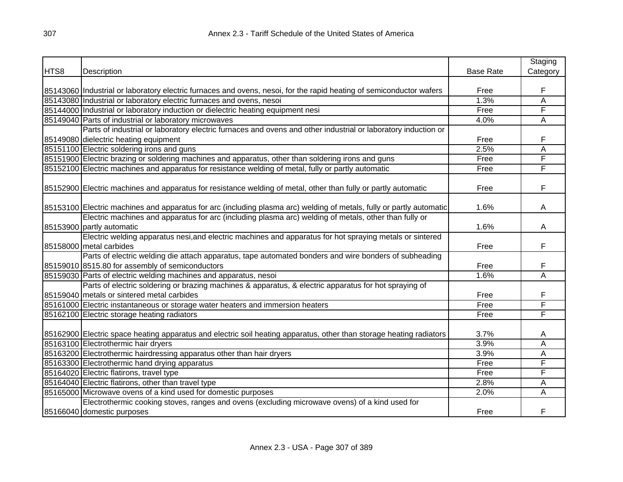|      |                                                                                                                      |                  | Staging  |
|------|----------------------------------------------------------------------------------------------------------------------|------------------|----------|
| HTS8 | Description                                                                                                          | <b>Base Rate</b> | Category |
|      |                                                                                                                      |                  |          |
|      | 85143060 Industrial or laboratory electric furnaces and ovens, nesoi, for the rapid heating of semiconductor wafers  | Free             | F        |
|      | 85143080 Industrial or laboratory electric furnaces and ovens, nesoi                                                 | 1.3%             | Α        |
|      | 85144000 Industrial or laboratory induction or dielectric heating equipment nesi                                     | Free             | F        |
|      | 85149040 Parts of industrial or laboratory microwaves                                                                | 4.0%             | Α        |
|      | Parts of industrial or laboratory electric furnaces and ovens and other industrial or laboratory induction or        |                  |          |
|      | 85149080 dielectric heating equipment                                                                                | Free             | F        |
|      | 85151100 Electric soldering irons and guns                                                                           | 2.5%             | Α        |
|      | 85151900 Electric brazing or soldering machines and apparatus, other than soldering irons and guns                   | Free             | F        |
|      | 85152100 Electric machines and apparatus for resistance welding of metal, fully or partly automatic                  | Free             | F        |
|      | 85152900 Electric machines and apparatus for resistance welding of metal, other than fully or partly automatic       | Free             | F        |
|      |                                                                                                                      |                  |          |
|      | 85153100 Electric machines and apparatus for arc (including plasma arc) welding of metals, fully or partly automatic | 1.6%             | A        |
|      | Electric machines and apparatus for arc (including plasma arc) welding of metals, other than fully or                |                  |          |
|      | 85153900 partly automatic                                                                                            | 1.6%             | A        |
|      | Electric welding apparatus nesi, and electric machines and apparatus for hot spraying metals or sintered             |                  |          |
|      | 85158000 metal carbides                                                                                              | Free             | F        |
|      | Parts of electric welding die attach apparatus, tape automated bonders and wire bonders of subheading                |                  |          |
|      | 85159010 8515.80 for assembly of semiconductors                                                                      | Free             | F        |
|      | 85159030 Parts of electric welding machines and apparatus, nesoi                                                     | 1.6%             | A        |
|      | Parts of electric soldering or brazing machines & apparatus, & electric apparatus for hot spraying of                |                  |          |
|      | 85159040 metals or sintered metal carbides                                                                           | Free             | F        |
|      | 85161000 Electric instantaneous or storage water heaters and immersion heaters                                       | Free             | F        |
|      | 85162100 Electric storage heating radiators                                                                          | Free             | F        |
|      |                                                                                                                      |                  |          |
|      | 85162900 Electric space heating apparatus and electric soil heating apparatus, other than storage heating radiators  | 3.7%             | Α        |
|      | 85163100 Electrothermic hair dryers                                                                                  | 3.9%             | Α        |
|      | 85163200 Electrothermic hairdressing apparatus other than hair dryers                                                | 3.9%             | Α        |
|      | 85163300 Electrothermic hand drying apparatus                                                                        | Free             | F        |
|      | 85164020 Electric flatirons, travel type                                                                             | Free             | F        |
|      | 85164040 Electric flatirons, other than travel type                                                                  | 2.8%             | Α        |
|      | 85165000 Microwave ovens of a kind used for domestic purposes                                                        | 2.0%             | A        |
|      | Electrothermic cooking stoves, ranges and ovens (excluding microwave ovens) of a kind used for                       |                  |          |
|      | 85166040 domestic purposes                                                                                           | Free             | F        |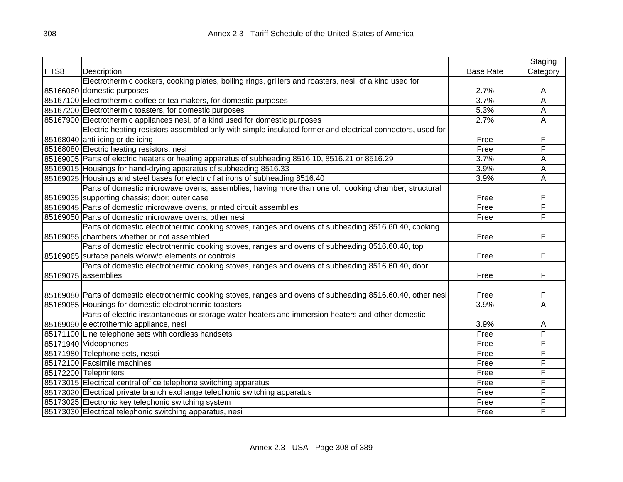|      |                                                                                                                 |                  | Staging        |
|------|-----------------------------------------------------------------------------------------------------------------|------------------|----------------|
| HTS8 | Description                                                                                                     | <b>Base Rate</b> | Category       |
|      | Electrothermic cookers, cooking plates, boiling rings, grillers and roasters, nesi, of a kind used for          |                  |                |
|      | 85166060 domestic purposes                                                                                      | 2.7%             | A              |
|      | 85167100 Electrothermic coffee or tea makers, for domestic purposes                                             | 3.7%             | $\overline{A}$ |
|      | 85167200 Electrothermic toasters, for domestic purposes                                                         | 5.3%             | A              |
|      | 85167900 Electrothermic appliances nesi, of a kind used for domestic purposes                                   | 2.7%             | A              |
|      | Electric heating resistors assembled only with simple insulated former and electrical connectors, used for      |                  |                |
|      | 85168040 anti-icing or de-icing                                                                                 | Free             | F              |
|      | 85168080 Electric heating resistors, nesi                                                                       | Free             | F              |
|      | 85169005 Parts of electric heaters or heating apparatus of subheading 8516.10, 8516.21 or 8516.29               | 3.7%             | A              |
|      | 85169015 Housings for hand-drying apparatus of subheading 8516.33                                               | 3.9%             | A              |
|      | 85169025 Housings and steel bases for electric flat irons of subheading 8516.40                                 | 3.9%             | $\overline{A}$ |
|      | Parts of domestic microwave ovens, assemblies, having more than one of: cooking chamber; structural             |                  |                |
|      | 85169035 supporting chassis; door; outer case                                                                   | Free             | F              |
|      | 85169045 Parts of domestic microwave ovens, printed circuit assemblies                                          | Free             | F              |
|      | 85169050 Parts of domestic microwave ovens, other nesi                                                          | Free             | F              |
|      | Parts of domestic electrothermic cooking stoves, ranges and ovens of subheading 8516.60.40, cooking             |                  |                |
|      | 85169055 chambers whether or not assembled                                                                      | Free             | F              |
|      | Parts of domestic electrothermic cooking stoves, ranges and ovens of subheading 8516.60.40, top                 |                  |                |
|      | 85169065 surface panels w/orw/o elements or controls                                                            | Free             | F              |
|      | Parts of domestic electrothermic cooking stoves, ranges and ovens of subheading 8516.60.40, door                |                  |                |
|      | 85169075 assemblies                                                                                             | Free             | F              |
|      |                                                                                                                 |                  |                |
|      | 85169080 Parts of domestic electrothermic cooking stoves, ranges and ovens of subheading 8516.60.40, other nesi | Free             | F              |
|      | 85169085 Housings for domestic electrothermic toasters                                                          | 3.9%             | A              |
|      | Parts of electric instantaneous or storage water heaters and immersion heaters and other domestic               |                  |                |
|      | 85169090 electrothermic appliance, nesi                                                                         | 3.9%             | A              |
|      | 85171100 Line telephone sets with cordless handsets                                                             | Free             | F              |
|      | 85171940 Videophones                                                                                            | Free             | F              |
|      | 85171980 Telephone sets, nesoi                                                                                  | Free             | F              |
|      | 85172100 Facsimile machines                                                                                     | Free             | F              |
|      | 85172200 Teleprinters                                                                                           | Free             | F              |
|      | 85173015 Electrical central office telephone switching apparatus                                                | Free             | F              |
|      | 85173020 Electrical private branch exchange telephonic switching apparatus                                      | Free             | F              |
|      | 85173025 Electronic key telephonic switching system                                                             | Free             | F              |
|      | 85173030 Electrical telephonic switching apparatus, nesi                                                        | Free             | F              |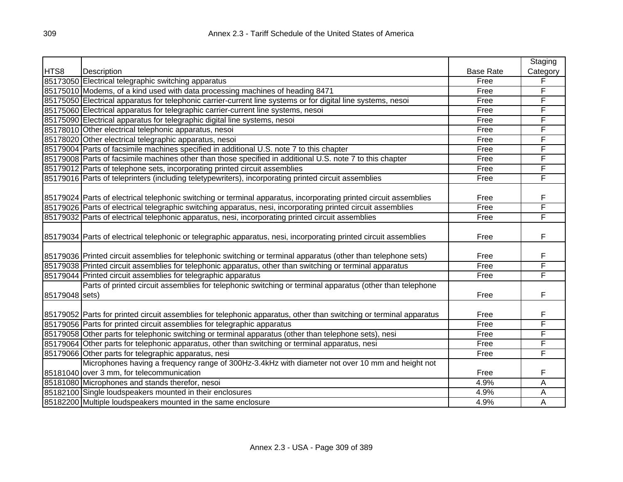|                |                                                                                                                    |                  | Staging  |
|----------------|--------------------------------------------------------------------------------------------------------------------|------------------|----------|
| HTS8           | <b>Description</b>                                                                                                 | <b>Base Rate</b> | Category |
|                | 85173050 Electrical telegraphic switching apparatus                                                                | Free             | F        |
|                | 85175010 Modems, of a kind used with data processing machines of heading 8471                                      | Free             | F        |
|                | 85175050 Electrical apparatus for telephonic carrier-current line systems or for digital line systems, nesoi       | Free             | F        |
|                | 85175060 Electrical apparatus for telegraphic carrier-current line systems, nesoi                                  | Free             | F        |
|                | 85175090 Electrical apparatus for telegraphic digital line systems, nesoi                                          | Free             | F        |
|                | 85178010 Other electrical telephonic apparatus, nesoi                                                              | Free             | F        |
|                | 85178020 Other electrical telegraphic apparatus, nesoi                                                             | Free             | F        |
|                | 85179004 Parts of facsimile machines specified in additional U.S. note 7 to this chapter                           | Free             | F        |
|                | 85179008 Parts of facsimile machines other than those specified in additional U.S. note 7 to this chapter          | Free             | F        |
|                | 85179012 Parts of telephone sets, incorporating printed circuit assemblies                                         | Free             | F        |
|                | 85179016 Parts of teleprinters (including teletypewriters), incorporating printed circuit assemblies               | Free             | F        |
|                |                                                                                                                    |                  |          |
|                | 85179024 Parts of electrical telephonic switching or terminal apparatus, incorporating printed circuit assemblies  | Free             | F        |
|                | 85179026 Parts of electrical telegraphic switching apparatus, nesi, incorporating printed circuit assemblies       | Free             | F        |
|                | 85179032 Parts of electrical telephonic apparatus, nesi, incorporating printed circuit assemblies                  | Free             | F        |
|                |                                                                                                                    |                  |          |
|                | 85179034 Parts of electrical telephonic or telegraphic apparatus, nesi, incorporating printed circuit assemblies   | Free             | F        |
|                |                                                                                                                    |                  |          |
|                | 85179036 Printed circuit assemblies for telephonic switching or terminal apparatus (other than telephone sets)     | Free             | F        |
|                | 85179038 Printed circuit assemblies for telephonic apparatus, other than switching or terminal apparatus           | Free             | F        |
|                | 85179044 Printed circuit assemblies for telegraphic apparatus                                                      | Free             | F        |
|                | Parts of printed circuit assemblies for telephonic switching or terminal apparatus (other than telephone           |                  |          |
| 85179048 sets) |                                                                                                                    | Free             | F        |
|                |                                                                                                                    |                  |          |
|                | 85179052 Parts for printed circuit assemblies for telephonic apparatus, other than switching or terminal apparatus | Free             | F        |
|                | 85179056 Parts for printed circuit assemblies for telegraphic apparatus                                            | Free             | F        |
|                | 85179058 Other parts for telephonic switching or terminal apparatus (other than telephone sets), nesi              | Free             | F        |
|                | 85179064 Other parts for telephonic apparatus, other than switching or terminal apparatus, nesi                    | Free             | F        |
|                | 85179066 Other parts for telegraphic apparatus, nesi                                                               | Free             | F        |
|                | Microphones having a frequency range of 300Hz-3.4kHz with diameter not over 10 mm and height not                   |                  |          |
|                | 85181040 over 3 mm, for telecommunication                                                                          | Free             | F        |
|                | 85181080 Microphones and stands therefor, nesoi                                                                    | 4.9%             | A        |
|                | 85182100 Single loudspeakers mounted in their enclosures                                                           | 4.9%             | A        |
|                | 85182200 Multiple loudspeakers mounted in the same enclosure                                                       | 4.9%             | A        |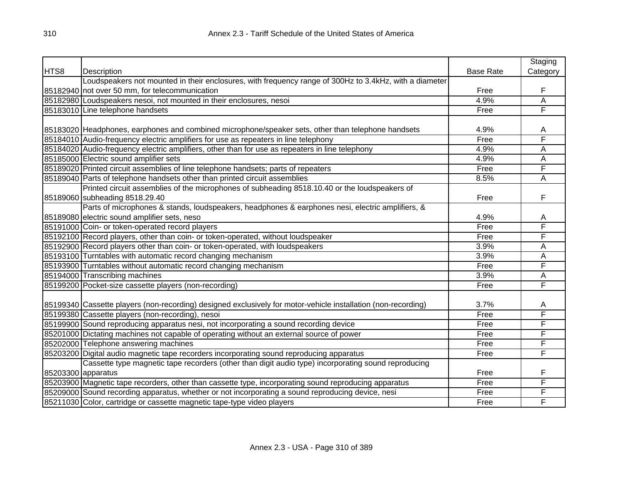|                    |                                                                                                               |                  | Staging  |
|--------------------|---------------------------------------------------------------------------------------------------------------|------------------|----------|
| HTS8               | Description                                                                                                   | <b>Base Rate</b> | Category |
|                    | Loudspeakers not mounted in their enclosures, with frequency range of 300Hz to 3.4kHz, with a diameter        |                  |          |
|                    | 85182940 not over 50 mm, for telecommunication                                                                | Free             | F        |
|                    | 85182980 Loudspeakers nesoi, not mounted in their enclosures, nesoi                                           | 4.9%             | A        |
|                    | 85183010 Line telephone handsets                                                                              | Free             | F        |
|                    |                                                                                                               |                  |          |
|                    | 85183020 Headphones, earphones and combined microphone/speaker sets, other than telephone handsets            | 4.9%             | A        |
|                    | 85184010 Audio-frequency electric amplifiers for use as repeaters in line telephony                           | Free             | F        |
|                    | 85184020 Audio-frequency electric amplifiers, other than for use as repeaters in line telephony               | 4.9%             | A        |
|                    | 85185000 Electric sound amplifier sets                                                                        | 4.9%             | A        |
|                    | 85189020 Printed circuit assemblies of line telephone handsets; parts of repeaters                            | Free             | F        |
|                    | 85189040 Parts of telephone handsets other than printed circuit assemblies                                    | 8.5%             | A        |
|                    | Printed circuit assemblies of the microphones of subheading 8518.10.40 or the loudspeakers of                 |                  |          |
|                    | 85189060 subheading 8518.29.40                                                                                | Free             | F        |
|                    | Parts of microphones & stands, loudspeakers, headphones & earphones nesi, electric amplifiers, &              |                  |          |
|                    | 85189080 electric sound amplifier sets, neso                                                                  | 4.9%             | A        |
|                    | 85191000 Coin- or token-operated record players                                                               | Free             | F        |
|                    | 85192100 Record players, other than coin- or token-operated, without loudspeaker                              | Free             | F        |
|                    | 85192900 Record players other than coin- or token-operated, with loudspeakers                                 | 3.9%             | Α        |
|                    | 85193100 Turntables with automatic record changing mechanism                                                  | 3.9%             | Α        |
|                    | 85193900 Turntables without automatic record changing mechanism                                               | Free             | F        |
|                    | 85194000 Transcribing machines                                                                                | 3.9%             | A        |
|                    | 85199200 Pocket-size cassette players (non-recording)                                                         | Free             | F        |
|                    |                                                                                                               |                  |          |
|                    | 85199340 Cassette players (non-recording) designed exclusively for motor-vehicle installation (non-recording) | 3.7%             | A        |
|                    | 85199380 Cassette players (non-recording), nesoi                                                              | Free             | F        |
|                    | 85199900 Sound reproducing apparatus nesi, not incorporating a sound recording device                         | Free             | F        |
|                    | 85201000 Dictating machines not capable of operating without an external source of power                      | Free             | F        |
|                    | 85202000 Telephone answering machines                                                                         | Free             | F        |
|                    | 85203200 Digital audio magnetic tape recorders incorporating sound reproducing apparatus                      | Free             | F        |
|                    | Cassette type magnetic tape recorders (other than digit audio type) incorporating sound reproducing           |                  |          |
| 85203300 apparatus |                                                                                                               | Free             | F        |
|                    | 85203900 Magnetic tape recorders, other than cassette type, incorporating sound reproducing apparatus         | Free             | F        |
|                    | 85209000 Sound recording apparatus, whether or not incorporating a sound reproducing device, nesi             | Free             | F        |
|                    | 85211030 Color, cartridge or cassette magnetic tape-type video players                                        | Free             | F        |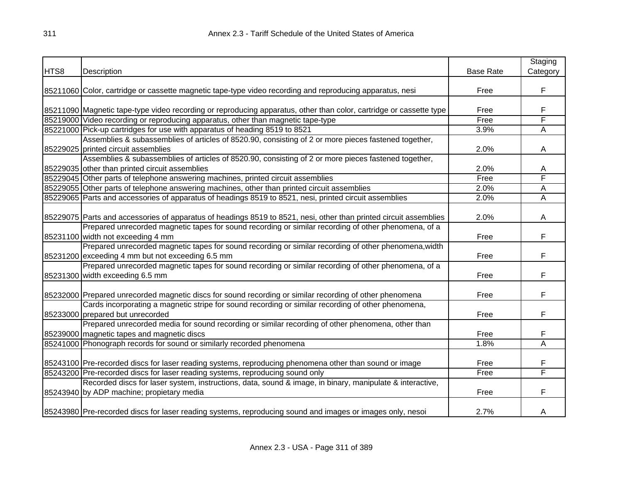|      |                                                                                                                    |                  | Staging  |
|------|--------------------------------------------------------------------------------------------------------------------|------------------|----------|
| HTS8 | Description                                                                                                        | <b>Base Rate</b> | Category |
|      |                                                                                                                    |                  |          |
|      | 85211060 Color, cartridge or cassette magnetic tape-type video recording and reproducing apparatus, nesi           | Free             | F        |
|      |                                                                                                                    |                  |          |
|      | 85211090 Magnetic tape-type video recording or reproducing apparatus, other than color, cartridge or cassette type | Free             | F        |
|      | 85219000 Video recording or reproducing apparatus, other than magnetic tape-type                                   | Free             | F        |
|      | 85221000 Pick-up cartridges for use with apparatus of heading 8519 to 8521                                         | 3.9%             | A        |
|      | Assemblies & subassemblies of articles of 8520.90, consisting of 2 or more pieces fastened together,               |                  |          |
|      | 85229025 printed circuit assemblies                                                                                | 2.0%             | A        |
|      | Assemblies & subassemblies of articles of 8520.90, consisting of 2 or more pieces fastened together,               |                  |          |
|      | 85229035 other than printed circuit assemblies                                                                     | 2.0%             | А        |
|      | 85229045 Other parts of telephone answering machines, printed circuit assemblies                                   | Free             | F        |
|      | 85229055 Other parts of telephone answering machines, other than printed circuit assemblies                        | 2.0%             | A        |
|      | 85229065 Parts and accessories of apparatus of headings 8519 to 8521, nesi, printed circuit assemblies             | 2.0%             | Α        |
|      |                                                                                                                    |                  |          |
|      | 85229075 Parts and accessories of apparatus of headings 8519 to 8521, nesi, other than printed circuit assemblies  | 2.0%             | A        |
|      | Prepared unrecorded magnetic tapes for sound recording or similar recording of other phenomena, of a               |                  |          |
|      | 85231100 width not exceeding 4 mm                                                                                  | Free             | F        |
|      | Prepared unrecorded magnetic tapes for sound recording or similar recording of other phenomena, width              |                  |          |
|      | 85231200 exceeding 4 mm but not exceeding 6.5 mm                                                                   | Free             | F        |
|      | Prepared unrecorded magnetic tapes for sound recording or similar recording of other phenomena, of a               |                  |          |
|      | 85231300 width exceeding 6.5 mm                                                                                    | Free             | F        |
|      |                                                                                                                    |                  |          |
|      | 85232000 Prepared unrecorded magnetic discs for sound recording or similar recording of other phenomena            | Free             | F        |
|      | Cards incorporating a magnetic stripe for sound recording or similar recording of other phenomena,                 |                  |          |
|      | 85233000 prepared but unrecorded                                                                                   | Free             | F        |
|      | Prepared unrecorded media for sound recording or similar recording of other phenomena, other than                  |                  |          |
|      | 85239000 magnetic tapes and magnetic discs                                                                         | Free             | F        |
|      | 85241000 Phonograph records for sound or similarly recorded phenomena                                              | 1.8%             | A        |
|      |                                                                                                                    |                  |          |
|      | 85243100 Pre-recorded discs for laser reading systems, reproducing phenomena other than sound or image             | Free             | F        |
|      | 85243200 Pre-recorded discs for laser reading systems, reproducing sound only                                      | Free             | F        |
|      | Recorded discs for laser system, instructions, data, sound & image, in binary, manipulate & interactive,           |                  |          |
|      | 85243940 by ADP machine; propietary media                                                                          | Free             | F        |
|      |                                                                                                                    |                  |          |
|      | 85243980 Pre-recorded discs for laser reading systems, reproducing sound and images or images only, nesoi          | 2.7%             | A        |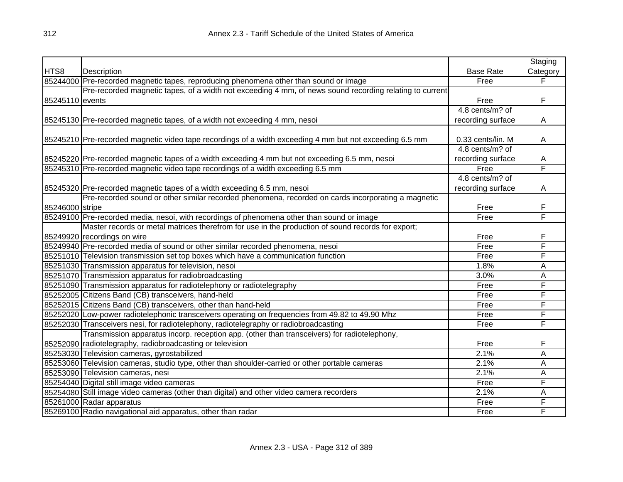|                 |                                                                                                         |                   | Staging  |
|-----------------|---------------------------------------------------------------------------------------------------------|-------------------|----------|
| HTS8            | Description                                                                                             | <b>Base Rate</b>  | Category |
|                 | 85244000 Pre-recorded magnetic tapes, reproducing phenomena other than sound or image                   | Free              | F        |
|                 | Pre-recorded magnetic tapes, of a width not exceeding 4 mm, of news sound recording relating to current |                   |          |
| 85245110 events |                                                                                                         | Free              | F        |
|                 |                                                                                                         | 4.8 cents/m? of   |          |
|                 | 85245130 Pre-recorded magnetic tapes, of a width not exceeding 4 mm, nesoi                              | recording surface | A        |
|                 | 85245210 Pre-recorded magnetic video tape recordings of a width exceeding 4 mm but not exceeding 6.5 mm | 0.33 cents/lin. M | A        |
|                 |                                                                                                         | 4.8 cents/m? of   |          |
|                 | 85245220 Pre-recorded magnetic tapes of a width exceeding 4 mm but not exceeding 6.5 mm, nesoi          | recording surface | Α        |
|                 | 85245310 Pre-recorded magnetic video tape recordings of a width exceeding 6.5 mm                        | Free              | F        |
|                 |                                                                                                         | 4.8 cents/m? of   |          |
|                 | 85245320 Pre-recorded magnetic tapes of a width exceeding 6.5 mm, nesoi                                 | recording surface | A        |
|                 | Pre-recorded sound or other similar recorded phenomena, recorded on cards incorporating a magnetic      |                   |          |
| 85246000 stripe |                                                                                                         | Free              | F        |
|                 | 85249100 Pre-recorded media, nesoi, with recordings of phenomena other than sound or image              | Free              | F        |
|                 | Master records or metal matrices therefrom for use in the production of sound records for export;       |                   |          |
|                 | 85249920 recordings on wire                                                                             | Free              | F        |
|                 | 85249940 Pre-recorded media of sound or other similar recorded phenomena, nesoi                         | Free              | F        |
|                 | 85251010 Television transmission set top boxes which have a communication function                      | Free              | F        |
|                 | 85251030 Transmission apparatus for television, nesoi                                                   | 1.8%              | A        |
|                 | 85251070 Transmission apparatus for radiobroadcasting                                                   | 3.0%              | A        |
|                 | 85251090 Transmission apparatus for radiotelephony or radiotelegraphy                                   | Free              | F        |
|                 | 85252005 Citizens Band (CB) transceivers, hand-held                                                     | Free              | F        |
|                 | 85252015 Citizens Band (CB) transceivers, other than hand-held                                          | Free              | F        |
|                 | 85252020 Low-power radiotelephonic transceivers operating on frequencies from 49.82 to 49.90 Mhz        | Free              | F        |
|                 | 85252030 Transceivers nesi, for radiotelephony, radiotelegraphy or radiobroadcasting                    | Free              | F        |
|                 | Transmission apparatus incorp. reception app. (other than transceivers) for radiotelephony,             |                   |          |
|                 | 85252090 radiotelegraphy, radiobroadcasting or television                                               | Free              | F        |
|                 | 85253030 Television cameras, gyrostabilized                                                             | 2.1%              | Α        |
|                 | 85253060 Television cameras, studio type, other than shoulder-carried or other portable cameras         | 2.1%              | Α        |
|                 | 85253090 Television cameras, nesi                                                                       | 2.1%              | Α        |
|                 | 85254040 Digital still image video cameras                                                              | Free              | F        |
|                 | 85254080 Still image video cameras (other than digital) and other video camera recorders                | 2.1%              | Α        |
|                 | 85261000 Radar apparatus                                                                                | Free              | F        |
|                 | 85269100 Radio navigational aid apparatus, other than radar                                             | Free              | F        |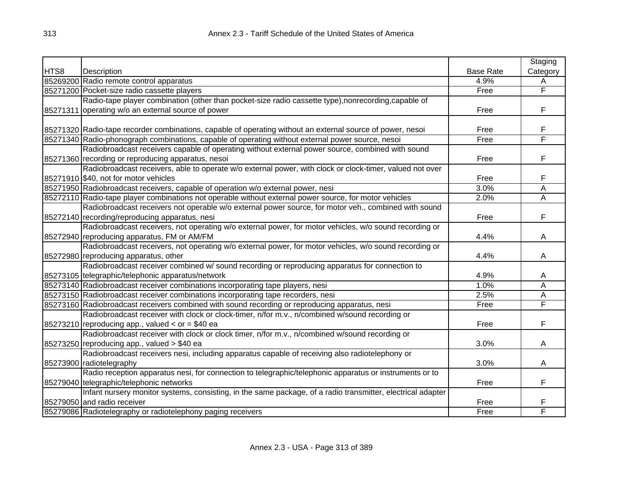|      |                                                                                                             |                  | Staging                 |
|------|-------------------------------------------------------------------------------------------------------------|------------------|-------------------------|
| HTS8 | Description                                                                                                 | <b>Base Rate</b> | Category                |
|      | 85269200 Radio remote control apparatus                                                                     | 4.9%             | A                       |
|      | 85271200 Pocket-size radio cassette players                                                                 | Free             | F                       |
|      | Radio-tape player combination (other than pocket-size radio cassette type), nonrecording, capable of        |                  |                         |
|      | 85271311 operating w/o an external source of power                                                          | Free             | F                       |
|      |                                                                                                             |                  |                         |
|      | 85271320 Radio-tape recorder combinations, capable of operating without an external source of power, nesoi  | Free             | F                       |
|      | 85271340 Radio-phonograph combinations, capable of operating without external power source, nesoi           | Free             | F                       |
|      | Radiobroadcast receivers capable of operating without external power source, combined with sound            |                  |                         |
|      | 85271360 recording or reproducing apparatus, nesoi                                                          | Free             | F                       |
|      | Radiobroadcast receivers, able to operate w/o external power, with clock or clock-timer, valued not over    |                  |                         |
|      | 85271910 \$40, not for motor vehicles                                                                       | Free             | F                       |
|      | 85271950 Radiobroadcast receivers, capable of operation w/o external power, nesi                            | 3.0%             | Α                       |
|      | 85272110 Radio-tape player combinations not operable without external power source, for motor vehicles      | 2.0%             | Α                       |
|      | Radiobroadcast receivers not operable w/o external power source, for motor veh., combined with sound        |                  |                         |
|      | 85272140 recording/reproducing apparatus, nesi                                                              | Free             | F                       |
|      | Radiobroadcast receivers, not operating w/o external power, for motor vehicles, w/o sound recording or      |                  |                         |
|      | 85272940 reproducing apparatus, FM or AM/FM                                                                 | 4.4%             | A                       |
|      | Radiobroadcast receivers, not operating w/o external power, for motor vehicles, w/o sound recording or      |                  |                         |
|      | 85272980 reproducing apparatus, other                                                                       | 4.4%             | A                       |
|      | Radiobroadcast receiver combined w/ sound recording or reproducing apparatus for connection to              |                  |                         |
|      | 85273105 telegraphic/telephonic apparatus/network                                                           | 4.9%             | A                       |
|      | 85273140 Radiobroadcast receiver combinations incorporating tape players, nesi                              | 1.0%             | $\overline{\mathsf{A}}$ |
|      | 85273150 Radiobroadcast receiver combinations incorporating tape recorders, nesi                            | 2.5%             | $\overline{\mathsf{A}}$ |
|      | 85273160 Radiobroadcast receivers combined with sound recording or reproducing apparatus, nesi              | Free             | F                       |
|      | Radiobroadcast receiver with clock or clock-timer, n/for m.v., n/combined w/sound recording or              |                  |                         |
|      | 85273210 reproducing app., valued $<$ or = \$40 ea                                                          | Free             | F                       |
|      | Radiobroadcast receiver with clock or clock timer, n/for m.v., n/combined w/sound recording or              |                  |                         |
|      | $85273250$ reproducing app., valued $> $40$ ea                                                              | 3.0%             | A                       |
|      | Radiobroadcast receivers nesi, including apparatus capable of receiving also radiotelephony or              |                  |                         |
|      | 85273900 radiotelegraphy                                                                                    | 3.0%             | A                       |
|      | Radio reception apparatus nesi, for connection to telegraphic/telephonic apparatus or instruments or to     |                  |                         |
|      | 85279040 telegraphic/telephonic networks                                                                    | Free             | F                       |
|      | Infant nursery monitor systems, consisting, in the same package, of a radio transmitter, electrical adapter |                  |                         |
|      | 85279050 and radio receiver                                                                                 | Free             | F                       |
|      | 85279086 Radiotelegraphy or radiotelephony paging receivers                                                 | Free             | F                       |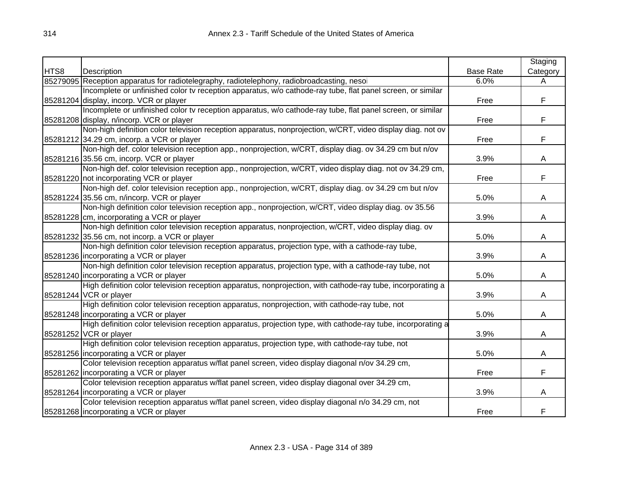|      |                                                                                                               |                  | Staging  |
|------|---------------------------------------------------------------------------------------------------------------|------------------|----------|
| HTS8 | Description                                                                                                   | <b>Base Rate</b> | Category |
|      | 85279095 Reception apparatus for radiotelegraphy, radiotelephony, radiobroadcasting, nesoi                    | 6.0%             | A        |
|      | Incomplete or unfinished color tv reception apparatus, w/o cathode-ray tube, flat panel screen, or similar    |                  |          |
|      | 85281204 display, incorp. VCR or player                                                                       | Free             | F        |
|      | Incomplete or unfinished color tv reception apparatus, w/o cathode-ray tube, flat panel screen, or similar    |                  |          |
|      | 85281208 display, n/incorp. VCR or player                                                                     | Free             | F        |
|      | Non-high definition color television reception apparatus, nonprojection, w/CRT, video display diag. not ov    |                  |          |
|      | 85281212 34.29 cm, incorp. a VCR or player                                                                    | Free             | F        |
|      | Non-high def. color television reception app., nonprojection, w/CRT, display diag. ov 34.29 cm but n/ov       |                  |          |
|      | 85281216 35.56 cm, incorp. VCR or player                                                                      | 3.9%             | A        |
|      | Non-high def. color television reception app., nonprojection, w/CRT, video display diag. not ov 34.29 cm,     |                  |          |
|      | 85281220 not incorporating VCR or player                                                                      | Free             | F        |
|      | Non-high def. color television reception app., nonprojection, w/CRT, display diag. ov 34.29 cm but n/ov       |                  |          |
|      | 85281224 35.56 cm, n/incorp. VCR or player                                                                    | 5.0%             | A        |
|      | Non-high definition color television reception app., nonprojection, w/CRT, video display diag. ov 35.56       |                  |          |
|      | 85281228 cm, incorporating a VCR or player                                                                    | 3.9%             | A        |
|      | Non-high definition color television reception apparatus, nonprojection, w/CRT, video display diag. ov        |                  |          |
|      | 85281232 35.56 cm, not incorp. a VCR or player                                                                | 5.0%             | A        |
|      | Non-high definition color television reception apparatus, projection type, with a cathode-ray tube,           |                  |          |
|      | 85281236 incorporating a VCR or player                                                                        | 3.9%             | A        |
|      | Non-high definition color television reception apparatus, projection type, with a cathode-ray tube, not       |                  |          |
|      | 85281240 incorporating a VCR or player                                                                        | 5.0%             | A        |
|      | High definition color television reception apparatus, nonprojection, with cathode-ray tube, incorporating a   |                  |          |
|      | 85281244 VCR or player                                                                                        | 3.9%             | A        |
|      | High definition color television reception apparatus, nonprojection, with cathode-ray tube, not               |                  |          |
|      | 85281248 incorporating a VCR or player                                                                        | 5.0%             | A        |
|      | High definition color television reception apparatus, projection type, with cathode-ray tube, incorporating a |                  |          |
|      | 85281252 VCR or player                                                                                        | 3.9%             | A        |
|      | High definition color television reception apparatus, projection type, with cathode-ray tube, not             |                  |          |
|      | 85281256 incorporating a VCR or player                                                                        | 5.0%             | A        |
|      | Color television reception apparatus w/flat panel screen, video display diagonal n/ov 34.29 cm,               |                  |          |
|      | 85281262 incorporating a VCR or player                                                                        | Free             | F.       |
|      | Color television reception apparatus w/flat panel screen, video display diagonal over 34.29 cm,               |                  |          |
|      | 85281264 Incorporating a VCR or player                                                                        | 3.9%             | A        |
|      | Color television reception apparatus w/flat panel screen, video display diagonal n/o 34.29 cm, not            |                  |          |
|      | 85281268 incorporating a VCR or player                                                                        | Free             | F        |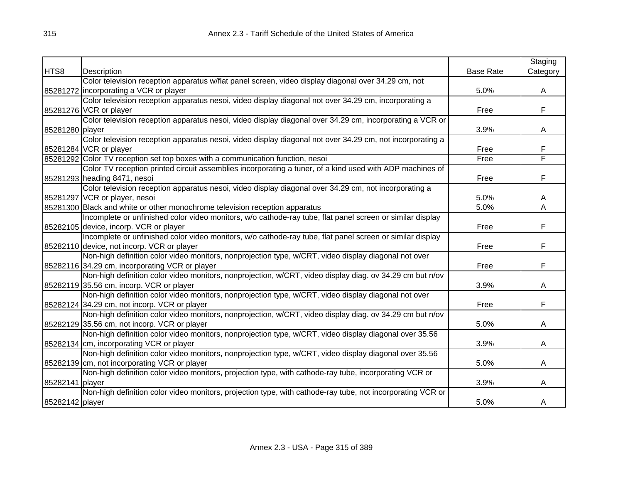|                 |                                                                                                            |                  | Staging                 |
|-----------------|------------------------------------------------------------------------------------------------------------|------------------|-------------------------|
| HTS8            | Description                                                                                                | <b>Base Rate</b> | Category                |
|                 | Color television reception apparatus w/flat panel screen, video display diagonal over 34.29 cm, not        |                  |                         |
|                 | 85281272 incorporating a VCR or player                                                                     | 5.0%             | A                       |
|                 | Color television reception apparatus nesoi, video display diagonal not over 34.29 cm, incorporating a      |                  |                         |
|                 | 85281276 VCR or player                                                                                     | Free             | F                       |
|                 | Color television reception apparatus nesoi, video display diagonal over 34.29 cm, incorporating a VCR or   |                  |                         |
| 85281280 player |                                                                                                            | 3.9%             | A                       |
|                 | Color television reception apparatus nesoi, video display diagonal not over 34.29 cm, not incorporating a  |                  |                         |
|                 | 85281284 VCR or player                                                                                     | Free             | F                       |
|                 | 85281292 Color TV reception set top boxes with a communication function, nesoi                             | Free             | F                       |
|                 | Color TV reception printed circuit assemblies incorporating a tuner, of a kind used with ADP machines of   |                  |                         |
|                 | 85281293 heading 8471, nesoi                                                                               | Free             | F                       |
|                 | Color television reception apparatus nesoi, video display diagonal over 34.29 cm, not incorporating a      |                  |                         |
|                 | 85281297 VCR or player, nesoi                                                                              | 5.0%             | A                       |
|                 | 85281300 Black and white or other monochrome television reception apparatus                                | 5.0%             | $\overline{\mathsf{A}}$ |
|                 | Incomplete or unfinished color video monitors, w/o cathode-ray tube, flat panel screen or similar display  |                  |                         |
|                 | 85282105 device, incorp. VCR or player                                                                     | Free             | F                       |
|                 | Incomplete or unfinished color video monitors, w/o cathode-ray tube, flat panel screen or similar display  |                  |                         |
|                 | 85282110 device, not incorp. VCR or player                                                                 | Free             | F                       |
|                 | Non-high definition color video monitors, nonprojection type, w/CRT, video display diagonal not over       |                  |                         |
|                 | 85282116 34.29 cm, incorporating VCR or player                                                             | Free             | F                       |
|                 | Non-high definition color video monitors, nonprojection, w/CRT, video display diag. ov 34.29 cm but n/ov   |                  |                         |
|                 | 85282119 35.56 cm, incorp. VCR or player                                                                   | 3.9%             | A                       |
|                 | Non-high definition color video monitors, nonprojection type, w/CRT, video display diagonal not over       |                  |                         |
|                 | 85282124 34.29 cm, not incorp. VCR or player                                                               | Free             | F                       |
|                 | Non-high definition color video monitors, nonprojection, w/CRT, video display diag. ov 34.29 cm but n/ov   |                  |                         |
|                 | 85282129 35.56 cm, not incorp. VCR or player                                                               | 5.0%             | A                       |
|                 | Non-high definition color video monitors, nonprojection type, w/CRT, video display diagonal over 35.56     |                  |                         |
|                 | 85282134 cm, incorporating VCR or player                                                                   | 3.9%             | A                       |
|                 | Non-high definition color video monitors, nonprojection type, w/CRT, video display diagonal over 35.56     |                  |                         |
|                 | 85282139 cm, not incorporating VCR or player                                                               | 5.0%             | A                       |
|                 | Non-high definition color video monitors, projection type, with cathode-ray tube, incorporating VCR or     |                  |                         |
| 85282141 player |                                                                                                            | 3.9%             | A                       |
|                 | Non-high definition color video monitors, projection type, with cathode-ray tube, not incorporating VCR or |                  |                         |
| 85282142 player |                                                                                                            | 5.0%             | A                       |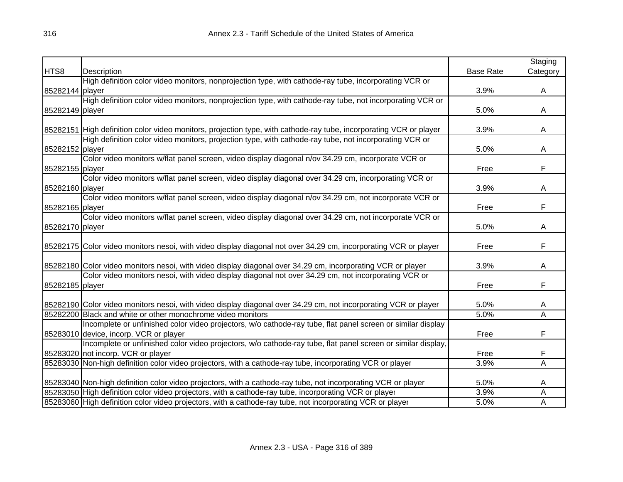|                 |                                                                                                                    |                  | Staging                 |
|-----------------|--------------------------------------------------------------------------------------------------------------------|------------------|-------------------------|
| HTS8            | Description                                                                                                        | <b>Base Rate</b> | Category                |
|                 | High definition color video monitors, nonprojection type, with cathode-ray tube, incorporating VCR or              |                  |                         |
| 85282144 player |                                                                                                                    | 3.9%             | A                       |
|                 | High definition color video monitors, nonprojection type, with cathode-ray tube, not incorporating VCR or          |                  |                         |
| 85282149 player |                                                                                                                    | 5.0%             | A                       |
|                 |                                                                                                                    |                  |                         |
|                 | 85282151 High definition color video monitors, projection type, with cathode-ray tube, incorporating VCR or player | 3.9%             | A                       |
|                 | High definition color video monitors, projection type, with cathode-ray tube, not incorporating VCR or             |                  |                         |
| 85282152 player |                                                                                                                    | 5.0%             | Α                       |
|                 | Color video monitors w/flat panel screen, video display diagonal n/ov 34.29 cm, incorporate VCR or                 |                  |                         |
| 85282155 player |                                                                                                                    | Free             | F                       |
|                 | Color video monitors w/flat panel screen, video display diagonal over 34.29 cm, incorporating VCR or               |                  |                         |
| 85282160 player |                                                                                                                    | 3.9%             | A                       |
|                 | Color video monitors w/flat panel screen, video display diagonal n/ov 34.29 cm, not incorporate VCR or             |                  |                         |
| 85282165 player |                                                                                                                    | Free             | F                       |
|                 | Color video monitors w/flat panel screen, video display diagonal over 34.29 cm, not incorporate VCR or             |                  |                         |
| 85282170 player |                                                                                                                    | 5.0%             | A                       |
|                 |                                                                                                                    |                  |                         |
|                 | 85282175 Color video monitors nesoi, with video display diagonal not over 34.29 cm, incorporating VCR or player    | Free             | F                       |
|                 |                                                                                                                    |                  |                         |
|                 | 85282180 Color video monitors nesoi, with video display diagonal over 34.29 cm, incorporating VCR or player        | 3.9%             | A                       |
|                 | Color video monitors nesoi, with video display diagonal not over 34.29 cm, not incorporating VCR or                |                  |                         |
| 85282185 player |                                                                                                                    | Free             | F                       |
|                 |                                                                                                                    |                  |                         |
|                 | 85282190 Color video monitors nesoi, with video display diagonal over 34.29 cm, not incorporating VCR or player    | 5.0%             | Α                       |
|                 | 85282200 Black and white or other monochrome video monitors                                                        | 5.0%             | $\overline{\mathsf{A}}$ |
|                 | Incomplete or unfinished color video projectors, w/o cathode-ray tube, flat panel screen or similar display        |                  |                         |
|                 | 85283010 device, incorp. VCR or player                                                                             | Free             | F                       |
|                 | Incomplete or unfinished color video projectors, w/o cathode-ray tube, flat panel screen or similar display,       |                  |                         |
|                 | 85283020 not incorp. VCR or player                                                                                 | Free             | F                       |
|                 | 85283030 Non-high definition color video projectors, with a cathode-ray tube, incorporating VCR or player          | 3.9%             | A                       |
|                 |                                                                                                                    |                  |                         |
|                 | 85283040 Non-high definition color video projectors, with a cathode-ray tube, not incorporating VCR or player      | 5.0%             | A                       |
|                 | 85283050 High definition color video projectors, with a cathode-ray tube, incorporating VCR or player              | 3.9%             | A                       |
|                 | 85283060 High definition color video projectors, with a cathode-ray tube, not incorporating VCR or player          | 5.0%             | A                       |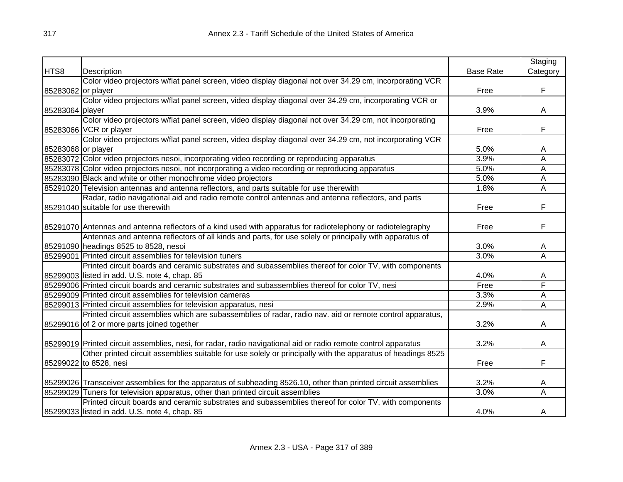|                    |                                                                                                                |                  | Staging                 |
|--------------------|----------------------------------------------------------------------------------------------------------------|------------------|-------------------------|
| HTS8               | Description                                                                                                    | <b>Base Rate</b> | Category                |
|                    | Color video projectors w/flat panel screen, video display diagonal not over 34.29 cm, incorporating VCR        |                  |                         |
| 85283062 or player |                                                                                                                | Free             | F                       |
|                    | Color video projectors w/flat panel screen, video display diagonal over 34.29 cm, incorporating VCR or         |                  |                         |
| 85283064 player    |                                                                                                                | 3.9%             | A                       |
|                    | Color video projectors w/flat panel screen, video display diagonal not over 34.29 cm, not incorporating        |                  |                         |
|                    | 85283066 VCR or player                                                                                         | Free             | F                       |
|                    | Color video projectors w/flat panel screen, video display diagonal over 34.29 cm, not incorporating VCR        |                  |                         |
| 85283068 or player |                                                                                                                | 5.0%             | A                       |
|                    | 85283072 Color video projectors nesoi, incorporating video recording or reproducing apparatus                  | 3.9%             | A                       |
|                    | 85283078 Color video projectors nesoi, not incorporating a video recording or reproducing apparatus            | 5.0%             | Α                       |
|                    | 85283090 Black and white or other monochrome video projectors                                                  | 5.0%             | A                       |
|                    | 85291020 Television antennas and antenna reflectors, and parts suitable for use therewith                      | 1.8%             | A                       |
|                    | Radar, radio navigational aid and radio remote control antennas and antenna reflectors, and parts              |                  |                         |
|                    | 85291040 suitable for use therewith                                                                            | Free             | F                       |
|                    |                                                                                                                |                  |                         |
|                    | 85291070 Antennas and antenna reflectors of a kind used with apparatus for radiotelephony or radiotelegraphy   | Free             | F                       |
|                    | Antennas and antenna reflectors of all kinds and parts, for use solely or principally with apparatus of        |                  |                         |
|                    | 85291090 headings 8525 to 8528, nesoi                                                                          | 3.0%             | A                       |
|                    | 85299001 Printed circuit assemblies for television tuners                                                      | 3.0%             | $\overline{\mathsf{A}}$ |
|                    | Printed circuit boards and ceramic substrates and subassemblies thereof for color TV, with components          |                  |                         |
|                    | 85299003 listed in add. U.S. note 4, chap. 85                                                                  | 4.0%             | A                       |
|                    | 85299006 Printed circuit boards and ceramic substrates and subassemblies thereof for color TV, nesi            | Free             | F                       |
|                    | 85299009 Printed circuit assemblies for television cameras                                                     | 3.3%             | $\overline{\mathsf{A}}$ |
|                    | 85299013 Printed circuit assemblies for television apparatus, nesi                                             | 2.9%             | Ā                       |
|                    | Printed circuit assemblies which are subassemblies of radar, radio nav. aid or remote control apparatus,       |                  |                         |
|                    | 85299016 of 2 or more parts joined together                                                                    | 3.2%             | A                       |
|                    |                                                                                                                |                  |                         |
|                    | 85299019 Printed circuit assemblies, nesi, for radar, radio navigational aid or radio remote control apparatus | 3.2%             | A                       |
|                    | Other printed circuit assemblies suitable for use solely or principally with the apparatus of headings 8525    |                  |                         |
|                    | 85299022 to 8528, nesi                                                                                         | Free             | F                       |
|                    |                                                                                                                |                  |                         |
|                    | 85299026 Transceiver assemblies for the apparatus of subheading 8526.10, other than printed circuit assemblies | 3.2%             | A                       |
|                    | 85299029 Tuners for television apparatus, other than printed circuit assemblies                                | 3.0%             | A                       |
|                    | Printed circuit boards and ceramic substrates and subassemblies thereof for color TV, with components          |                  |                         |
|                    | 85299033 listed in add. U.S. note 4, chap. 85                                                                  | 4.0%             | A                       |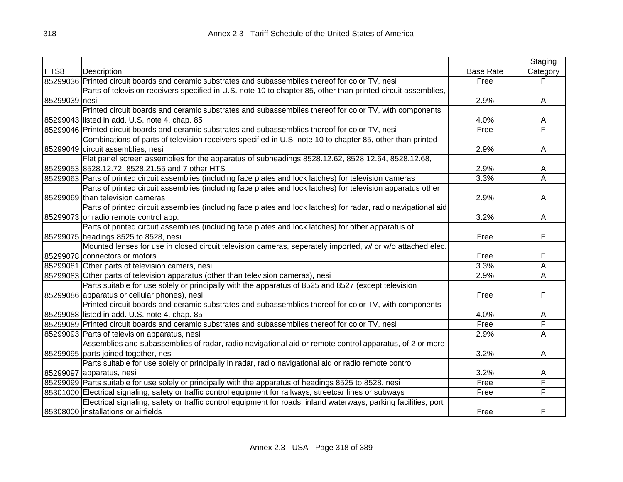|               |                                                                                                                 |                  | Staging  |
|---------------|-----------------------------------------------------------------------------------------------------------------|------------------|----------|
| HTS8          | Description                                                                                                     | <b>Base Rate</b> | Category |
|               | 85299036 Printed circuit boards and ceramic substrates and subassemblies thereof for color TV, nesi             | Free             |          |
|               | Parts of television receivers specified in U.S. note 10 to chapter 85, other than printed circuit assemblies,   |                  |          |
| 85299039 nesi |                                                                                                                 | 2.9%             | A        |
|               | Printed circuit boards and ceramic substrates and subassemblies thereof for color TV, with components           |                  |          |
|               | 85299043 listed in add. U.S. note 4, chap. 85                                                                   | 4.0%             | A        |
|               | 85299046 Printed circuit boards and ceramic substrates and subassemblies thereof for color TV, nesi             | Free             | F        |
|               | Combinations of parts of television receivers specified in U.S. note 10 to chapter 85, other than printed       |                  |          |
|               | 85299049 circuit assemblies, nesi                                                                               | 2.9%             | A        |
|               | Flat panel screen assemblies for the apparatus of subheadings 8528.12.62, 8528.12.64, 8528.12.68,               |                  |          |
|               | 85299053 8528.12.72, 8528.21.55 and 7 other HTS                                                                 | 2.9%             | A        |
|               | 85299063 Parts of printed circuit assemblies (including face plates and lock latches) for television cameras    | 3.3%             | Α        |
|               | Parts of printed circuit assemblies (including face plates and lock latches) for television apparatus other     |                  |          |
|               | 85299069 than television cameras                                                                                | 2.9%             | A        |
|               | Parts of printed circuit assemblies (including face plates and lock latches) for radar, radio navigational aid  |                  |          |
|               | 85299073 or radio remote control app.                                                                           | 3.2%             | A        |
|               | Parts of printed circuit assemblies (including face plates and lock latches) for other apparatus of             |                  |          |
|               | 85299075 headings 8525 to 8528, nesi                                                                            | Free             | F        |
|               | Mounted lenses for use in closed circuit television cameras, seperately imported, w/ or w/o attached elec.      |                  |          |
|               | 85299078 connectors or motors                                                                                   | Free             | F        |
|               | 85299081 Other parts of television camers, nesi                                                                 | 3.3%             | Α        |
|               | 85299083 Other parts of television apparatus (other than television cameras), nesi                              | 2.9%             | A        |
|               | Parts suitable for use solely or principally with the apparatus of 8525 and 8527 (except television             |                  |          |
|               | 85299086 apparatus or cellular phones), nesi                                                                    | Free             | F        |
|               | Printed circuit boards and ceramic substrates and subassemblies thereof for color TV, with components           |                  |          |
|               | 85299088 listed in add. U.S. note 4, chap. 85                                                                   | 4.0%             | A        |
|               | 85299089 Printed circuit boards and ceramic substrates and subassemblies thereof for color TV, nesi             | Free             | F        |
|               | 85299093 Parts of television apparatus, nesi                                                                    | 2.9%             | Ā        |
|               | Assemblies and subassemblies of radar, radio navigational aid or remote control apparatus, of 2 or more         |                  |          |
|               | 85299095 parts joined together, nesi                                                                            | 3.2%             | A        |
|               | Parts suitable for use solely or principally in radar, radio navigational aid or radio remote control           |                  |          |
|               | 85299097 apparatus, nesi                                                                                        | 3.2%             | A        |
|               | 85299099 Parts suitable for use solely or principally with the apparatus of headings 8525 to 8528, nesi         | Free             | F        |
|               | 85301000 Electrical signaling, safety or traffic control equipment for railways, streetcar lines or subways     | Free             | F        |
|               | Electrical signaling, safety or traffic control equipment for roads, inland waterways, parking facilities, port |                  |          |
|               | 85308000 installations or airfields                                                                             | Free             | F        |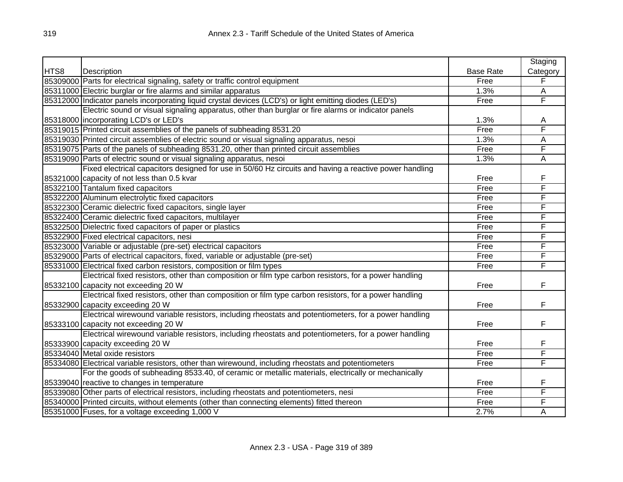|      |                                                                                                         |                  | Staging  |
|------|---------------------------------------------------------------------------------------------------------|------------------|----------|
| HTS8 | Description                                                                                             | <b>Base Rate</b> | Category |
|      | 85309000 Parts for electrical signaling, safety or traffic control equipment                            | Free             | F        |
|      | 85311000 Electric burglar or fire alarms and similar apparatus                                          | 1.3%             | A        |
|      | 85312000 Indicator panels incorporating liquid crystal devices (LCD's) or light emitting diodes (LED's) | Free             | F        |
|      | Electric sound or visual signaling apparatus, other than burglar or fire alarms or indicator panels     |                  |          |
|      | 85318000 incorporating LCD's or LED's                                                                   | 1.3%             | Α        |
|      | 85319015 Printed circuit assemblies of the panels of subheading 8531.20                                 | Free             | F        |
|      | 85319030 Printed circuit assemblies of electric sound or visual signaling apparatus, nesoi              | 1.3%             | A        |
|      | 85319075 Parts of the panels of subheading 8531.20, other than printed circuit assemblies               | Free             | F        |
|      | 85319090 Parts of electric sound or visual signaling apparatus, nesoi                                   | 1.3%             | A        |
|      | Fixed electrical capacitors designed for use in 50/60 Hz circuits and having a reactive power handling  |                  |          |
|      | 85321000 capacity of not less than 0.5 kvar                                                             | Free             | F        |
|      | 85322100 Tantalum fixed capacitors                                                                      | Free             | F        |
|      | 85322200 Aluminum electrolytic fixed capacitors                                                         | Free             | F        |
|      | 85322300 Ceramic dielectric fixed capacitors, single layer                                              | Free             | F        |
|      | 85322400 Ceramic dielectric fixed capacitors, multilayer                                                | Free             | F        |
|      | 85322500 Dielectric fixed capacitors of paper or plastics                                               | Free             | F        |
|      | 85322900 Fixed electrical capacitors, nesi                                                              | Free             | F        |
|      | 85323000 Variable or adjustable (pre-set) electrical capacitors                                         | Free             | F        |
|      | 85329000 Parts of electrical capacitors, fixed, variable or adjustable (pre-set)                        | Free             | F        |
|      | 85331000 Electrical fixed carbon resistors, composition or film types                                   | Free             | F        |
|      | Electrical fixed resistors, other than composition or film type carbon resistors, for a power handling  |                  |          |
|      | 85332100 capacity not exceeding 20 W                                                                    | Free             | F        |
|      | Electrical fixed resistors, other than composition or film type carbon resistors, for a power handling  |                  |          |
|      | 85332900 capacity exceeding 20 W                                                                        | Free             | F        |
|      | Electrical wirewound variable resistors, including rheostats and potentiometers, for a power handling   |                  |          |
|      | 85333100 capacity not exceeding 20 W                                                                    | Free             | F        |
|      | Electrical wirewound variable resistors, including rheostats and potentiometers, for a power handling   |                  |          |
|      | 85333900 capacity exceeding 20 W                                                                        | Free             | F        |
|      | 85334040 Metal oxide resistors                                                                          | Free             | F        |
|      | 85334080 Electrical variable resistors, other than wirewound, including rheostats and potentiometers    | Free             | F        |
|      | For the goods of subheading 8533.40, of ceramic or metallic materials, electrically or mechanically     |                  |          |
|      | 85339040 reactive to changes in temperature                                                             | Free             | F        |
|      | 85339080 Other parts of electrical resistors, including rheostats and potentiometers, nesi              | Free             | F        |
|      | 85340000 Printed circuits, without elements (other than connecting elements) fitted thereon             | Free             | F        |
|      | 85351000 Fuses, for a voltage exceeding 1,000 V                                                         | 2.7%             | Α        |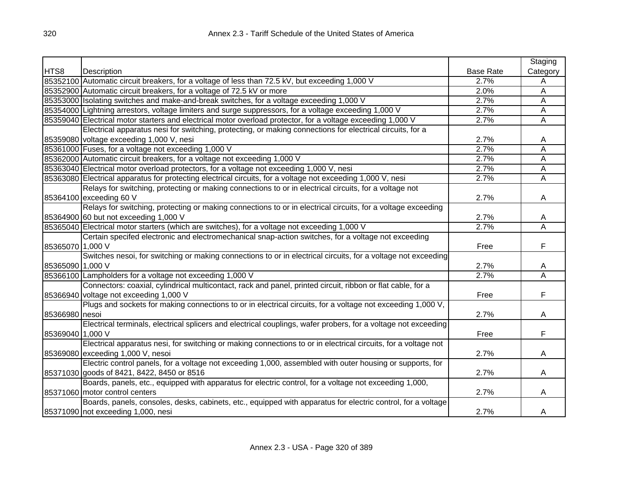|                  |                                                                                                                |                  | Staging                 |
|------------------|----------------------------------------------------------------------------------------------------------------|------------------|-------------------------|
| HTS8             | Description                                                                                                    | <b>Base Rate</b> | Category                |
|                  | 85352100 Automatic circuit breakers, for a voltage of less than 72.5 kV, but exceeding 1,000 V                 | 2.7%             | Α                       |
|                  | 85352900 Automatic circuit breakers, for a voltage of 72.5 kV or more                                          | 2.0%             | $\overline{A}$          |
|                  | 85353000 Isolating switches and make-and-break switches, for a voltage exceeding 1,000 V                       | 2.7%             | A                       |
|                  | 85354000 Lightning arrestors, voltage limiters and surge suppressors, for a voltage exceeding 1,000 V          | 2.7%             | Ā                       |
|                  | 85359040 Electrical motor starters and electrical motor overload protector, for a voltage exceeding 1,000 V    | 2.7%             | $\overline{\mathsf{A}}$ |
|                  | Electrical apparatus nesi for switching, protecting, or making connections for electrical circuits, for a      |                  |                         |
|                  | 85359080 voltage exceeding 1,000 V, nesi                                                                       | 2.7%             | A                       |
|                  | 85361000 Fuses, for a voltage not exceeding 1,000 V                                                            | 2.7%             | $\overline{\mathsf{A}}$ |
|                  | 85362000 Automatic circuit breakers, for a voltage not exceeding 1,000 V                                       | 2.7%             | A                       |
|                  | 85363040 Electrical motor overload protectors, for a voltage not exceeding 1,000 V, nesi                       | 2.7%             | A                       |
|                  | 85363080 Electrical apparatus for protecting electrical circuits, for a voltage not exceeding 1,000 V, nesi    | 2.7%             | A                       |
|                  | Relays for switching, protecting or making connections to or in electrical circuits, for a voltage not         |                  |                         |
|                  | 85364100 exceeding 60 V                                                                                        | 2.7%             | A                       |
|                  | Relays for switching, protecting or making connections to or in electrical circuits, for a voltage exceeding   |                  |                         |
|                  | 85364900 60 but not exceeding 1,000 V                                                                          | 2.7%             | A                       |
|                  | 85365040 Electrical motor starters (which are switches), for a voltage not exceeding 1,000 V                   | 2.7%             | A                       |
|                  | Certain specifed electronic and electromechanical snap-action switches, for a voltage not exceeding            |                  |                         |
| 85365070 1,000 V |                                                                                                                | Free             | F                       |
|                  | Switches nesoi, for switching or making connections to or in electrical circuits, for a voltage not exceeding  |                  |                         |
| 85365090 1,000 V |                                                                                                                | 2.7%             | A                       |
|                  | 85366100 Lampholders for a voltage not exceeding 1,000 V                                                       | 2.7%             | Ā                       |
|                  | Connectors: coaxial, cylindrical multicontact, rack and panel, printed circuit, ribbon or flat cable, for a    |                  |                         |
|                  | 85366940 voltage not exceeding 1,000 V                                                                         | Free             | F                       |
|                  | Plugs and sockets for making connections to or in electrical circuits, for a voltage not exceeding 1,000 V,    |                  |                         |
| 85366980 nesoi   |                                                                                                                | 2.7%             | A                       |
|                  | Electrical terminals, electrical splicers and electrical couplings, wafer probers, for a voltage not exceeding |                  |                         |
| 85369040 1,000 V |                                                                                                                | Free             | F                       |
|                  | Electrical apparatus nesi, for switching or making connections to or in electrical circuits, for a voltage not |                  |                         |
|                  | 85369080 exceeding 1,000 V, nesoi                                                                              | 2.7%             | A                       |
|                  | Electric control panels, for a voltage not exceeding 1,000, assembled with outer housing or supports, for      |                  |                         |
|                  | 85371030 goods of 8421, 8422, 8450 or 8516                                                                     | 2.7%             | A                       |
|                  | Boards, panels, etc., equipped with apparatus for electric control, for a voltage not exceeding 1,000,         |                  |                         |
|                  | 85371060 motor control centers                                                                                 | 2.7%             | A                       |
|                  | Boards, panels, consoles, desks, cabinets, etc., equipped with apparatus for electric control, for a voltage   |                  |                         |
|                  | 85371090 not exceeding 1,000, nesi                                                                             | 2.7%             | A                       |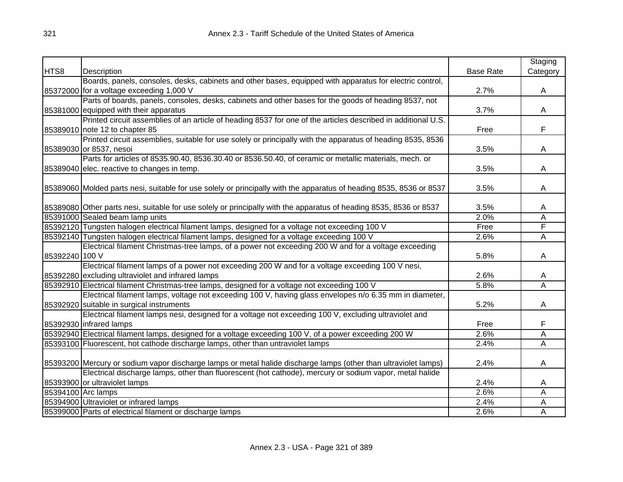|                    |                                                                                                                     |                  | Staging                 |
|--------------------|---------------------------------------------------------------------------------------------------------------------|------------------|-------------------------|
| HTS8               | Description                                                                                                         | <b>Base Rate</b> | Category                |
|                    | Boards, panels, consoles, desks, cabinets and other bases, equipped with apparatus for electric control,            |                  |                         |
|                    | 85372000 for a voltage exceeding 1,000 V                                                                            | 2.7%             | A                       |
|                    | Parts of boards, panels, consoles, desks, cabinets and other bases for the goods of heading 8537, not               |                  |                         |
|                    | 85381000 equipped with their apparatus                                                                              | 3.7%             | A                       |
|                    | Printed circuit assemblies of an article of heading 8537 for one of the articles described in additional U.S.       |                  |                         |
|                    | 85389010 note 12 to chapter 85                                                                                      | Free             | F                       |
|                    | Printed circuit assemblies, suitable for use solely or principally with the apparatus of heading 8535, 8536         |                  |                         |
|                    | 85389030 or 8537, nesoi                                                                                             | 3.5%             | A                       |
|                    | Parts for articles of 8535.90.40, 8536.30.40 or 8536.50.40, of ceramic or metallic materials, mech. or              |                  |                         |
|                    | 85389040 elec. reactive to changes in temp.                                                                         | 3.5%             | A                       |
|                    |                                                                                                                     |                  |                         |
|                    | 85389060 Molded parts nesi, suitable for use solely or principally with the apparatus of heading 8535, 8536 or 8537 | 3.5%             | A                       |
|                    |                                                                                                                     |                  |                         |
|                    | 85389080 Other parts nesi, suitable for use solely or principally with the apparatus of heading 8535, 8536 or 8537  | 3.5%             | Α                       |
|                    | 85391000 Sealed beam lamp units                                                                                     | 2.0%             | Ā                       |
|                    | 85392120 Tungsten halogen electrical filament lamps, designed for a voltage not exceeding 100 V                     | Free             | F                       |
|                    | 85392140 Tungsten halogen electrical filament lamps, designed for a voltage exceeding 100 V                         | 2.6%             | $\overline{\mathsf{A}}$ |
|                    | Electrical filament Christmas-tree lamps, of a power not exceeding 200 W and for a voltage exceeding                |                  |                         |
| 85392240 100 V     |                                                                                                                     | 5.8%             | Α                       |
|                    | Electrical filament lamps of a power not exceeding 200 W and for a voltage exceeding 100 V nesi,                    |                  |                         |
|                    | 85392280 excluding ultraviolet and infrared lamps                                                                   | 2.6%             | A                       |
|                    | 85392910 Electrical filament Christmas-tree lamps, designed for a voltage not exceeding 100 V                       | 5.8%             | Ā                       |
|                    | Electrical filament lamps, voltage not exceeding 100 V, having glass envelopes n/o 6.35 mm in diameter,             |                  |                         |
|                    | 85392920 suitable in surgical instruments                                                                           | 5.2%             | A                       |
|                    | Electrical filament lamps nesi, designed for a voltage not exceeding 100 V, excluding ultraviolet and               |                  |                         |
|                    | 85392930 infrared lamps                                                                                             | Free             | F                       |
|                    | 85392940 Electrical filament lamps, designed for a voltage exceeding 100 V, of a power exceeding 200 W              | 2.6%             | Α                       |
|                    | 85393100 Fluorescent, hot cathode discharge lamps, other than untraviolet lamps                                     | 2.4%             | A                       |
|                    |                                                                                                                     |                  |                         |
|                    | 85393200 Mercury or sodium vapor discharge lamps or metal halide discharge lamps (other than ultraviolet lamps)     | 2.4%             | A                       |
|                    | Electrical discharge lamps, other than fluorescent (hot cathode), mercury or sodium vapor, metal halide             |                  |                         |
|                    | 85393900 or ultraviolet lamps                                                                                       | 2.4%             | Α                       |
| 85394100 Arc lamps |                                                                                                                     | 2.6%             | Α                       |
|                    | 85394900 Ultraviolet or infrared lamps                                                                              | 2.4%             | Α                       |
|                    | 85399000 Parts of electrical filament or discharge lamps                                                            | 2.6%             | Α                       |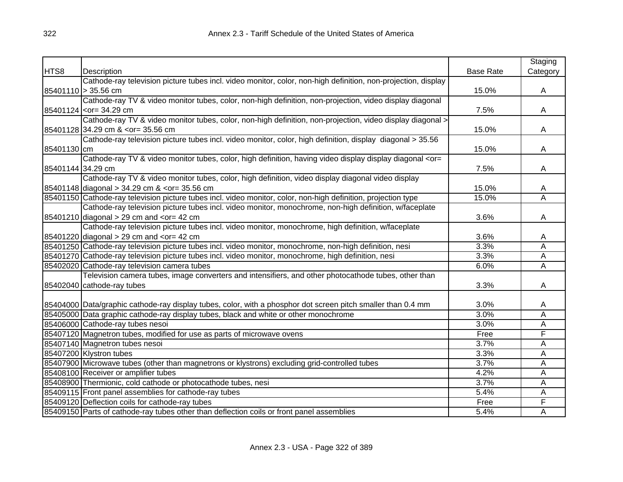|                   |                                                                                                                                           |                  | Staging        |
|-------------------|-------------------------------------------------------------------------------------------------------------------------------------------|------------------|----------------|
| HTS8              | Description                                                                                                                               | <b>Base Rate</b> | Category       |
|                   | Cathode-ray television picture tubes incl. video monitor, color, non-high definition, non-projection, display                             |                  |                |
|                   | 85401110 > 35.56 cm                                                                                                                       | 15.0%            | $\mathsf{A}$   |
|                   | Cathode-ray TV & video monitor tubes, color, non-high definition, non-projection, video display diagonal                                  |                  |                |
|                   | 85401124 <or= 34.29="" cm<="" td=""><td>7.5%</td><td>Α</td></or=>                                                                         | 7.5%             | Α              |
|                   | Cathode-ray TV & video monitor tubes, color, non-high definition, non-projection, video display diagonal >                                |                  |                |
|                   | 85401128 34.29 cm & <or 35.56="" =="" cm<="" td=""><td>15.0%</td><td>A</td></or>                                                          | 15.0%            | A              |
|                   | Cathode-ray television picture tubes incl. video monitor, color, high definition, display diagonal > 35.56                                |                  |                |
| 85401130 cm       |                                                                                                                                           | 15.0%            | $\mathsf{A}$   |
|                   | Cathode-ray TV & video monitor tubes, color, high definition, having video display display diagonal <or=< td=""><td></td><td></td></or=<> |                  |                |
| 85401144 34.29 cm |                                                                                                                                           | 7.5%             | А              |
|                   | Cathode-ray TV & video monitor tubes, color, high definition, video display diagonal video display                                        |                  |                |
|                   | 85401148 diagonal > 34.29 cm & <or= 35.56="" cm<="" td=""><td>15.0%</td><td>A</td></or=>                                                  | 15.0%            | A              |
|                   | 85401150 Cathode-ray television picture tubes incl. video monitor, color, non-high definition, projection type                            | 15.0%            | A              |
|                   | Cathode-ray television picture tubes incl. video monitor, monochrome, non-high definition, w/faceplate                                    |                  |                |
|                   | $85401210$ diagonal > 29 cm and <or 42="" =="" cm<="" td=""><td>3.6%</td><td>Α</td></or>                                                  | 3.6%             | Α              |
|                   | Cathode-ray television picture tubes incl. video monitor, monochrome, high definition, w/faceplate                                        |                  |                |
|                   | $85401220$ diagonal > 29 cm and <or 42="" =="" cm<="" td=""><td>3.6%</td><td>Α</td></or>                                                  | 3.6%             | Α              |
|                   | 85401250 Cathode-ray television picture tubes incl. video monitor, monochrome, non-high definition, nesi                                  | 3.3%             | A              |
|                   | 85401270 Cathode-ray television picture tubes incl. video monitor, monochrome, high definition, nesi                                      | 3.3%             | $\overline{A}$ |
|                   | 85402020 Cathode-ray television camera tubes                                                                                              | 6.0%             | $\overline{A}$ |
|                   | Television camera tubes, image converters and intensifiers, and other photocathode tubes, other than                                      |                  |                |
|                   | 85402040 cathode-ray tubes                                                                                                                | 3.3%             | A              |
|                   |                                                                                                                                           |                  |                |
|                   | 85404000 Data/graphic cathode-ray display tubes, color, with a phosphor dot screen pitch smaller than 0.4 mm                              | 3.0%             | A              |
|                   | 85405000 Data graphic cathode-ray display tubes, black and white or other monochrome                                                      | 3.0%             | A              |
|                   | 85406000 Cathode-ray tubes nesoi                                                                                                          | 3.0%             | A              |
|                   | 85407120 Magnetron tubes, modified for use as parts of microwave ovens                                                                    | Free             | F              |
|                   | 85407140 Magnetron tubes nesoi                                                                                                            | 3.7%             | A              |
|                   | 85407200 Klystron tubes                                                                                                                   | 3.3%             | A              |
|                   | 85407900 Microwave tubes (other than magnetrons or klystrons) excluding grid-controlled tubes                                             | 3.7%             | A              |
|                   | 85408100 Receiver or amplifier tubes                                                                                                      | 4.2%             | A              |
|                   | 85408900 Thermionic, cold cathode or photocathode tubes, nesi                                                                             | 3.7%             | A              |
|                   | 85409115 Front panel assemblies for cathode-ray tubes                                                                                     | 5.4%             | Α              |
|                   | 85409120 Deflection coils for cathode-ray tubes                                                                                           | Free             | F              |
|                   | 85409150 Parts of cathode-ray tubes other than deflection coils or front panel assemblies                                                 | 5.4%             | A              |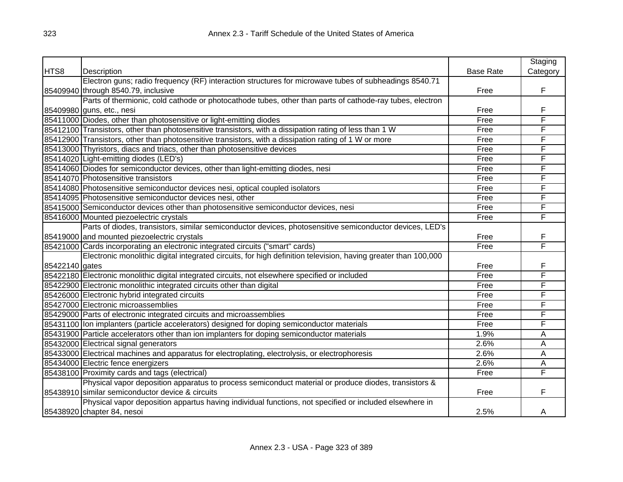|                |                                                                                                                |                  | Staging  |
|----------------|----------------------------------------------------------------------------------------------------------------|------------------|----------|
| HTS8           | Description                                                                                                    | <b>Base Rate</b> | Category |
|                | Electron guns; radio frequency (RF) interaction structures for microwave tubes of subheadings 8540.71          |                  |          |
|                | 85409940 through 8540.79, inclusive                                                                            | Free             | F        |
|                | Parts of thermionic, cold cathode or photocathode tubes, other than parts of cathode-ray tubes, electron       |                  |          |
|                | 85409980 guns, etc., nesi                                                                                      | Free             | F        |
|                | 85411000 Diodes, other than photosensitive or light-emitting diodes                                            | Free             | F        |
|                | 85412100 Transistors, other than photosensitive transistors, with a dissipation rating of less than 1 W        | Free             | F        |
|                | 85412900 Transistors, other than photosensitive transistors, with a dissipation rating of 1 W or more          | Free             | F        |
|                | 85413000 Thyristors, diacs and triacs, other than photosensitive devices                                       | Free             | F        |
|                | 85414020 Light-emitting diodes (LED's)                                                                         | Free             | F        |
|                | 85414060 Diodes for semiconductor devices, other than light-emitting diodes, nesi                              | Free             | F        |
|                | 85414070 Photosensitive transistors                                                                            | Free             | F        |
|                | 85414080 Photosensitive semiconductor devices nesi, optical coupled isolators                                  | Free             | F        |
|                | 85414095 Photosensitive semiconductor devices nesi, other                                                      | Free             | F        |
|                | 85415000 Semiconductor devices other than photosensitive semiconductor devices, nesi                           | Free             | F        |
|                | 85416000 Mounted piezoelectric crystals                                                                        | Free             | F        |
|                | Parts of diodes, transistors, similar semiconductor devices, photosensitive semiconductor devices, LED's       |                  |          |
|                | 85419000 and mounted piezoelectric crystals                                                                    | Free             | F        |
|                | 85421000 Cards incorporating an electronic integrated circuits ("smart" cards)                                 | Free             | F        |
|                | Electronic monolithic digital integrated circuits, for high definition television, having greater than 100,000 |                  |          |
| 85422140 gates |                                                                                                                | Free             | F        |
|                | 85422180 Electronic monolithic digital integrated circuits, not elsewhere specified or included                | Free             | F        |
|                | 85422900 Electronic monolithic integrated circuits other than digital                                          | Free             | F        |
|                | 85426000 Electronic hybrid integrated circuits                                                                 | Free             | F        |
|                | 85427000 Electronic microassemblies                                                                            | Free             | F        |
|                | 85429000 Parts of electronic integrated circuits and microassemblies                                           | Free             | F        |
|                | 85431100 Ion implanters (particle accelerators) designed for doping semiconductor materials                    | Free             | F        |
|                | 85431900 Particle accelerators other than ion implanters for doping semiconductor materials                    | 1.9%             | Α        |
|                | 85432000 Electrical signal generators                                                                          | 2.6%             | A        |
|                | 85433000 Electrical machines and apparatus for electroplating, electrolysis, or electrophoresis                | 2.6%             | A        |
|                | 85434000 Electric fence energizers                                                                             | 2.6%             | A        |
|                | 85438100 Proximity cards and tags (electrical)                                                                 | Free             | F        |
|                | Physical vapor deposition apparatus to process semiconduct material or produce diodes, transistors &           |                  |          |
|                | 85438910 similar semiconductor device & circuits                                                               | Free             | F        |
|                | Physical vapor deposition appartus having individual functions, not specified or included elsewhere in         |                  |          |
|                | 85438920 chapter 84, nesoi                                                                                     | 2.5%             | A        |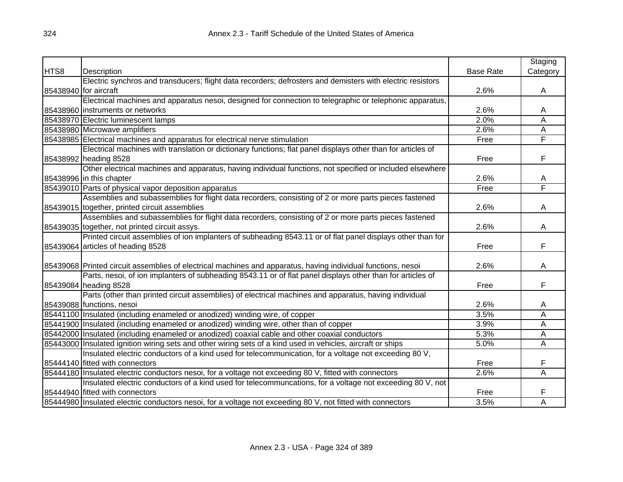|      |                                                                                                              |                  | Staging  |
|------|--------------------------------------------------------------------------------------------------------------|------------------|----------|
| HTS8 | <b>Description</b>                                                                                           | <b>Base Rate</b> | Category |
|      | Electric synchros and transducers; flight data recorders; defrosters and demisters with electric resistors   |                  |          |
|      | 85438940 for aircraft                                                                                        | 2.6%             | A        |
|      | Electrical machines and apparatus nesoi, designed for connection to telegraphic or telephonic apparatus,     |                  |          |
|      | 85438960 instruments or networks                                                                             | 2.6%             | A        |
|      | 85438970 Electric luminescent lamps                                                                          | 2.0%             | Α        |
|      | 85438980 Microwave amplifiers                                                                                | 2.6%             | Α        |
|      | 85438985 Electrical machines and apparatus for electrical nerve stimulation                                  | Free             | F        |
|      | Electrical machines with translation or dictionary functions; flat panel displays other than for articles of |                  |          |
|      | 85438992 heading 8528                                                                                        | Free             | F        |
|      | Other electrical machines and apparatus, having individual functions, not specified or included elsewhere    |                  |          |
|      | 85438996 in this chapter                                                                                     | 2.6%             | Α        |
|      | 85439010 Parts of physical vapor deposition apparatus                                                        | Free             | F        |
|      | Assemblies and subassemblies for flight data recorders, consisting of 2 or more parts pieces fastened        |                  |          |
|      | 85439015 together, printed circuit assemblies                                                                | 2.6%             | A        |
|      | Assemblies and subassemblies for flight data recorders, consisting of 2 or more parts pieces fastened        |                  |          |
|      | 85439035 together, not printed circuit assys.                                                                | 2.6%             | A        |
|      | Printed circuit assemblies of ion implanters of subheading 8543.11 or of flat panel displays other than for  |                  |          |
|      | 85439064 articles of heading 8528                                                                            | Free             | F        |
|      |                                                                                                              |                  |          |
|      | 85439068 Printed circuit assemblies of electrical machines and apparatus, having individual functions, nesoi | 2.6%             | A        |
|      | Parts, nesoi, of ion implanters of subheading 8543.11 or of flat panel displays other than for articles of   |                  |          |
|      | 85439084 heading 8528                                                                                        | Free             | F        |
|      | Parts (other than printed circuit assemblies) of electrical machines and apparatus, having individual        |                  |          |
|      | 85439088 functions, nesoi                                                                                    | 2.6%             | A        |
|      | 85441100 Insulated (including enameled or anodized) winding wire, of copper                                  | 3.5%             | Α        |
|      | 85441900 Insulated (including enameled or anodized) winding wire, other than of copper                       | 3.9%             | Α        |
|      | 85442000 Insulated (including enameled or anodized) coaxial cable and other coaxial conductors               | 5.3%             | А        |
|      | 85443000 Insulated ignition wiring sets and other wiring sets of a kind used in vehicles, aircraft or ships  | 5.0%             | Ā        |
|      | Insulated electric conductors of a kind used for telecommunication, for a voltage not exceeding 80 V,        |                  |          |
|      | 85444140 fitted with connectors                                                                              | Free             | F        |
|      | 85444180 Insulated electric conductors nesoi, for a voltage not exceeding 80 V, fitted with connectors       | 2.6%             | A        |
|      | Insulated electric conductors of a kind used for telecommuncations, for a voltage not exceeding 80 V, not    |                  |          |
|      | 85444940 fitted with connectors                                                                              | Free             | F        |
|      | 85444980 Insulated electric conductors nesoi, for a voltage not exceeding 80 V, not fitted with connectors   | 3.5%             | A        |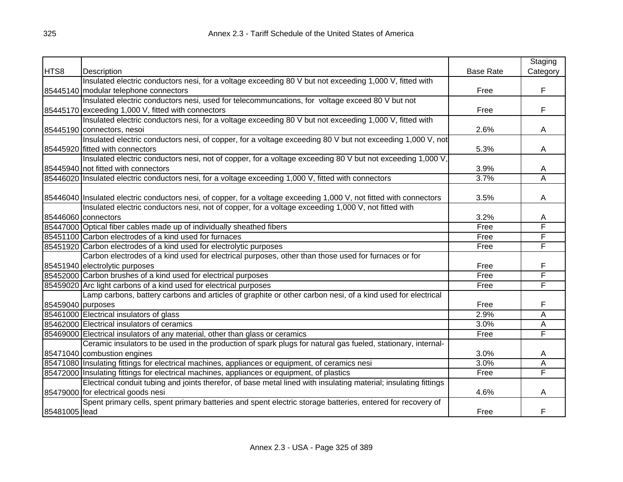|                   |                                                                                                                     |                  | Staging  |
|-------------------|---------------------------------------------------------------------------------------------------------------------|------------------|----------|
| HTS8              | Description                                                                                                         | <b>Base Rate</b> | Category |
|                   | Insulated electric conductors nesi, for a voltage exceeding 80 V but not exceeding 1,000 V, fitted with             |                  |          |
|                   | 85445140 modular telephone connectors                                                                               | Free             | F        |
|                   | Insulated electric conductors nesi, used for telecommuncations, for voltage exceed 80 V but not                     |                  |          |
|                   | 85445170 exceeding 1,000 V, fitted with connectors                                                                  | Free             | F        |
|                   | Insulated electric conductors nesi, for a voltage exceeding 80 V but not exceeding 1,000 V, fitted with             |                  |          |
|                   | 85445190 connectors, nesoi                                                                                          | 2.6%             | A        |
|                   | Insulated electric conductors nesi, of copper, for a voltage exceeding 80 V but not exceeding 1,000 V, not          |                  |          |
|                   | 85445920 fitted with connectors                                                                                     | 5.3%             | A        |
|                   | Insulated electric conductors nesi, not of copper, for a voltage exceeding 80 V but not exceeding 1,000 V,          |                  |          |
|                   | 85445940 not fitted with connectors                                                                                 | 3.9%             | A        |
|                   | 85446020 Insulated electric conductors nesi, for a voltage exceeding 1,000 V, fitted with connectors                | 3.7%             | Α        |
|                   |                                                                                                                     |                  |          |
|                   | 85446040 Insulated electric conductors nesi, of copper, for a voltage exceeding 1,000 V, not fitted with connectors | 3.5%             | A        |
|                   | Insulated electric conductors nesi, not of copper, for a voltage exceeding 1,000 V, not fitted with                 |                  |          |
|                   | 85446060 connectors                                                                                                 | 3.2%             | A        |
|                   | 85447000 Optical fiber cables made up of individually sheathed fibers                                               | Free             | F        |
|                   | 85451100 Carbon electrodes of a kind used for furnaces                                                              | Free             | F        |
|                   | 85451920 Carbon electrodes of a kind used for electrolytic purposes                                                 | Free             | F        |
|                   | Carbon electrodes of a kind used for electrical purposes, other than those used for furnaces or for                 |                  |          |
|                   | 85451940 electrolytic purposes                                                                                      | Free             | F        |
|                   | 85452000 Carbon brushes of a kind used for electrical purposes                                                      | Free             | F        |
|                   | 85459020 Arc light carbons of a kind used for electrical purposes                                                   | Free             | F        |
|                   | Lamp carbons, battery carbons and articles of graphite or other carbon nesi, of a kind used for electrical          |                  |          |
| 85459040 purposes |                                                                                                                     | Free             | F        |
|                   | 85461000 Electrical insulators of glass                                                                             | 2.9%             | Α        |
|                   | 85462000 Electrical insulators of ceramics                                                                          | 3.0%             | A        |
|                   | 85469000 Electrical insulators of any material, other than glass or ceramics                                        | Free             | F        |
|                   | Ceramic insulators to be used in the production of spark plugs for natural gas fueled, stationary, internal-        |                  |          |
|                   | 85471040 combustion engines                                                                                         | 3.0%             | A        |
|                   | 85471080 Insulating fittings for electrical machines, appliances or equipment, of ceramics nesi                     | 3.0%             | A        |
|                   | 85472000 Insulating fittings for electrical machines, appliances or equipment, of plastics                          | Free             | F        |
|                   | Electrical conduit tubing and joints therefor, of base metal lined with insulating material; insulating fittings    |                  |          |
|                   | 85479000 for electrical goods nesi                                                                                  | 4.6%             | A        |
|                   | Spent primary cells, spent primary batteries and spent electric storage batteries, entered for recovery of          |                  |          |
| 85481005 lead     |                                                                                                                     | Free             | F        |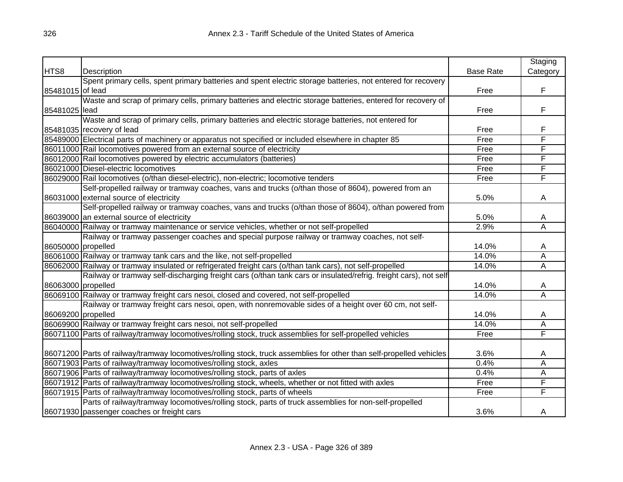|                    |                                                                                                                      |                  | Staging        |
|--------------------|----------------------------------------------------------------------------------------------------------------------|------------------|----------------|
| HTS8               | Description                                                                                                          | <b>Base Rate</b> | Category       |
|                    | Spent primary cells, spent primary batteries and spent electric storage batteries, not entered for recovery          |                  |                |
| 85481015 of lead   |                                                                                                                      | Free             | F              |
|                    | Waste and scrap of primary cells, primary batteries and electric storage batteries, entered for recovery of          |                  |                |
| 85481025 lead      |                                                                                                                      | Free             | F              |
|                    | Waste and scrap of primary cells, primary batteries and electric storage batteries, not entered for                  |                  |                |
|                    | 85481035 recovery of lead                                                                                            | Free             | F              |
|                    | 85489000 Electrical parts of machinery or apparatus not specified or included elsewhere in chapter 85                | Free             | F              |
|                    | 86011000 Rail locomotives powered from an external source of electricity                                             | Free             | F              |
|                    | 86012000 Rail locomotives powered by electric accumulators (batteries)                                               | Free             | F              |
|                    | 86021000 Diesel-electric locomotives                                                                                 | Free             | F              |
|                    | 86029000 Rail locomotives (o/than diesel-electric), non-electric; locomotive tenders                                 | Free             | F              |
|                    | Self-propelled railway or tramway coaches, vans and trucks (o/than those of 8604), powered from an                   |                  |                |
|                    | 86031000 external source of electricity                                                                              | 5.0%             | A              |
|                    | Self-propelled railway or tramway coaches, vans and trucks (o/than those of 8604), o/than powered from               |                  |                |
|                    | 86039000 an external source of electricity                                                                           | 5.0%             | A              |
|                    | 86040000 Railway or tramway maintenance or service vehicles, whether or not self-propelled                           | 2.9%             | $\overline{A}$ |
|                    | Railway or tramway passenger coaches and special purpose railway or tramway coaches, not self-                       |                  |                |
| 86050000 propelled |                                                                                                                      | 14.0%            | A              |
|                    | 86061000 Railway or tramway tank cars and the like, not self-propelled                                               | 14.0%            | A              |
|                    | 86062000 Railway or tramway insulated or refrigerated freight cars (o/than tank cars), not self-propelled            | 14.0%            | $\overline{A}$ |
|                    | Railway or tramway self-discharging freight cars (o/than tank cars or insulated/refrig. freight cars), not self      |                  |                |
| 86063000 propelled |                                                                                                                      | 14.0%            | A              |
|                    | 86069100 Railway or tramway freight cars nesoi, closed and covered, not self-propelled                               | 14.0%            | A              |
|                    | Railway or tramway freight cars nesoi, open, with nonremovable sides of a height over 60 cm, not self-               |                  |                |
| 86069200 propelled |                                                                                                                      | 14.0%            | A              |
|                    | 86069900 Railway or tramway freight cars nesoi, not self-propelled                                                   | 14.0%            | A              |
|                    | 86071100 Parts of railway/tramway locomotives/rolling stock, truck assemblies for self-propelled vehicles            | Free             | F              |
|                    |                                                                                                                      |                  |                |
|                    | 86071200 Parts of railway/tramway locomotives/rolling stock, truck assemblies for other than self-propelled vehicles | 3.6%             | A              |
|                    | 86071903 Parts of railway/tramway locomotives/rolling stock, axles                                                   | 0.4%             | A              |
|                    | 86071906 Parts of railway/tramway locomotives/rolling stock, parts of axles                                          | 0.4%             | A              |
|                    | 86071912 Parts of railway/tramway locomotives/rolling stock, wheels, whether or not fitted with axles                | Free             | F              |
|                    | 86071915 Parts of railway/tramway locomotives/rolling stock, parts of wheels                                         | Free             | F              |
|                    | Parts of railway/tramway locomotives/rolling stock, parts of truck assemblies for non-self-propelled                 |                  |                |
|                    | 86071930 passenger coaches or freight cars                                                                           | 3.6%             | A              |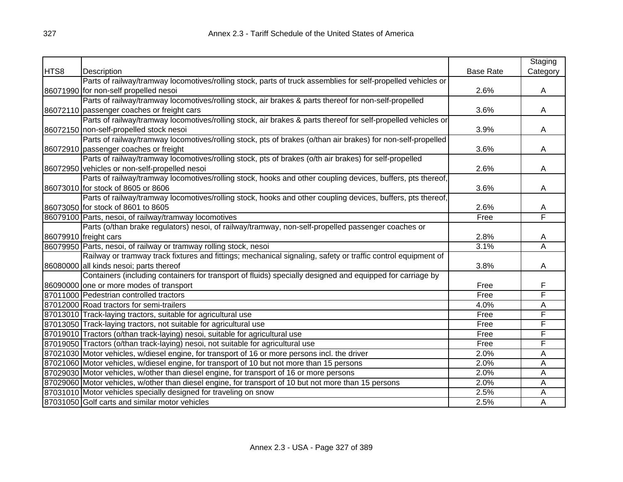|      |                                                                                                               |                  | Staging                 |
|------|---------------------------------------------------------------------------------------------------------------|------------------|-------------------------|
| HTS8 | Description                                                                                                   | <b>Base Rate</b> | Category                |
|      | Parts of railway/tramway locomotives/rolling stock, parts of truck assemblies for self-propelled vehicles or  |                  |                         |
|      | 86071990 for non-self propelled nesoi                                                                         | 2.6%             | A                       |
|      | Parts of railway/tramway locomotives/rolling stock, air brakes & parts thereof for non-self-propelled         |                  |                         |
|      | 86072110 passenger coaches or freight cars                                                                    | 3.6%             | A                       |
|      | Parts of railway/tramway locomotives/rolling stock, air brakes & parts thereof for self-propelled vehicles or |                  |                         |
|      | 86072150 non-self-propelled stock nesoi                                                                       | 3.9%             | A                       |
|      | Parts of railway/tramway locomotives/rolling stock, pts of brakes (o/than air brakes) for non-self-propelled  |                  |                         |
|      | 86072910 passenger coaches or freight                                                                         | 3.6%             | A                       |
|      | Parts of railway/tramway locomotives/rolling stock, pts of brakes (o/th air brakes) for self-propelled        |                  |                         |
|      | 86072950 vehicles or non-self-propelled nesoi                                                                 | 2.6%             | A                       |
|      | Parts of railway/tramway locomotives/rolling stock, hooks and other coupling devices, buffers, pts thereof,   |                  |                         |
|      | 86073010 for stock of 8605 or 8606                                                                            | 3.6%             | Α                       |
|      | Parts of railway/tramway locomotives/rolling stock, hooks and other coupling devices, buffers, pts thereof,   |                  |                         |
|      | 86073050 for stock of 8601 to 8605                                                                            | 2.6%             | A                       |
|      | 86079100 Parts, nesoi, of railway/tramway locomotives                                                         | Free             | F                       |
|      | Parts (o/than brake regulators) nesoi, of railway/tramway, non-self-propelled passenger coaches or            |                  |                         |
|      | 86079910 freight cars                                                                                         | 2.8%             | A                       |
|      | 86079950 Parts, nesoi, of railway or tramway rolling stock, nesoi                                             | 3.1%             | $\overline{\mathsf{A}}$ |
|      | Railway or tramway track fixtures and fittings; mechanical signaling, safety or traffic control equipment of  |                  |                         |
|      | 86080000 all kinds nesoi; parts thereof                                                                       | 3.8%             | A                       |
|      | Containers (including containers for transport of fluids) specially designed and equipped for carriage by     |                  |                         |
|      | 86090000 one or more modes of transport                                                                       | Free             | F                       |
|      | 87011000 Pedestrian controlled tractors                                                                       | Free             | F                       |
|      | 87012000 Road tractors for semi-trailers                                                                      | 4.0%             | Α                       |
|      | 87013010 Track-laying tractors, suitable for agricultural use                                                 | Free             | F                       |
|      | 87013050 Track-laying tractors, not suitable for agricultural use                                             | Free             | F                       |
|      | 87019010 Tractors (o/than track-laying) nesoi, suitable for agricultural use                                  | Free             | F                       |
|      | 87019050 Tractors (o/than track-laying) nesoi, not suitable for agricultural use                              | Free             | F                       |
|      | 87021030 Motor vehicles, w/diesel engine, for transport of 16 or more persons incl. the driver                | 2.0%             | Α                       |
|      | 87021060 Motor vehicles, w/diesel engine, for transport of 10 but not more than 15 persons                    | 2.0%             | Α                       |
|      | 87029030 Motor vehicles, w/other than diesel engine, for transport of 16 or more persons                      | 2.0%             | A                       |
|      | 87029060 Motor vehicles, w/other than diesel engine, for transport of 10 but not more than 15 persons         | 2.0%             | Α                       |
|      | 87031010 Motor vehicles specially designed for traveling on snow                                              | 2.5%             | Α                       |
|      | 87031050 Golf carts and similar motor vehicles                                                                | 2.5%             | A                       |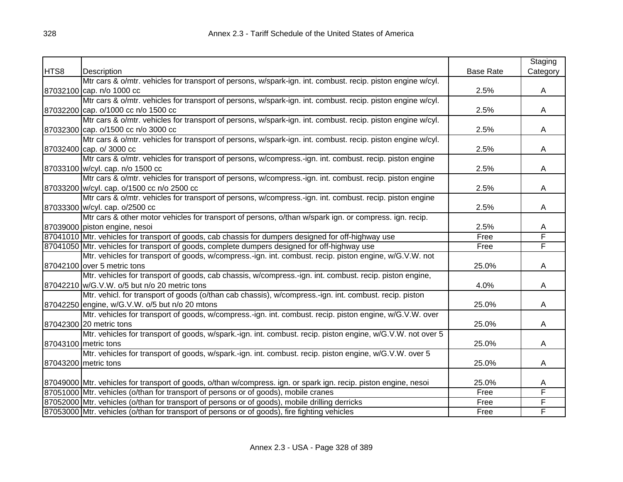|      |                                                                                                                  |                  | Staging  |
|------|------------------------------------------------------------------------------------------------------------------|------------------|----------|
| HTS8 | Description                                                                                                      | <b>Base Rate</b> | Category |
|      | Mtr cars & o/mtr. vehicles for transport of persons, w/spark-ign. int. combust. recip. piston engine w/cyl.      |                  |          |
|      | 87032100 cap. n/o 1000 cc                                                                                        | 2.5%             | A        |
|      | Mtr cars & o/mtr. vehicles for transport of persons, w/spark-ign. int. combust. recip. piston engine w/cyl.      |                  |          |
|      | 87032200 cap. o/1000 cc n/o 1500 cc                                                                              | 2.5%             | A        |
|      | Mtr cars & o/mtr. vehicles for transport of persons, w/spark-ign. int. combust. recip. piston engine w/cyl.      |                  |          |
|      | 87032300 cap. o/1500 cc n/o 3000 cc                                                                              | 2.5%             | A        |
|      | Mtr cars & o/mtr. vehicles for transport of persons, w/spark-ign. int. combust. recip. piston engine w/cyl.      |                  |          |
|      | 87032400 cap. o/ 3000 cc                                                                                         | 2.5%             | A        |
|      | Mtr cars & o/mtr. vehicles for transport of persons, w/compress.-ign. int. combust. recip. piston engine         |                  |          |
|      | 87033100 w/cyl. cap. n/o 1500 cc                                                                                 | 2.5%             | A        |
|      | Mtr cars & o/mtr. vehicles for transport of persons, w/compress.-ign. int. combust. recip. piston engine         |                  |          |
|      | 87033200 w/cyl. cap. o/1500 cc n/o 2500 cc                                                                       | 2.5%             | A        |
|      | Mtr cars & o/mtr. vehicles for transport of persons, w/compress.-ign. int. combust. recip. piston engine         |                  |          |
|      | 87033300 w/cyl. cap. o/2500 cc                                                                                   | 2.5%             | A        |
|      | Mtr cars & other motor vehicles for transport of persons, o/than w/spark ign. or compress. ign. recip.           |                  |          |
|      | 87039000 piston engine, nesoi                                                                                    | 2.5%             | A        |
|      | 87041010 Mtr. vehicles for transport of goods, cab chassis for dumpers designed for off-highway use              | Free             | F        |
|      | 87041050 Mtr. vehicles for transport of goods, complete dumpers designed for off-highway use                     | Free             | F        |
|      | Mtr. vehicles for transport of goods, w/compress.-ign. int. combust. recip. piston engine, w/G.V.W. not          |                  |          |
|      | 87042100 over 5 metric tons                                                                                      | 25.0%            | A        |
|      | Mtr. vehicles for transport of goods, cab chassis, w/compress.-ign. int. combust. recip. piston engine,          |                  |          |
|      | 87042210 w/G.V.W. o/5 but n/o 20 metric tons                                                                     | 4.0%             | A        |
|      | Mtr. vehicl. for transport of goods (o/than cab chassis), w/compress.-ign. int. combust. recip. piston           |                  |          |
|      | 87042250 engine, w/G.V.W. o/5 but n/o 20 mtons                                                                   | 25.0%            | A        |
|      | Mtr. vehicles for transport of goods, w/compress.-ign. int. combust. recip. piston engine, w/G.V.W. over         |                  |          |
|      | 87042300 20 metric tons                                                                                          | 25.0%            | A        |
|      | Mtr. vehicles for transport of goods, w/spark.-ign. int. combust. recip. piston engine, w/G.V.W. not over 5      |                  |          |
|      | 87043100 metric tons                                                                                             | 25.0%            | A        |
|      | Mtr. vehicles for transport of goods, w/spark.-ign. int. combust. recip. piston engine, w/G.V.W. over 5          |                  |          |
|      | 87043200 metric tons                                                                                             | 25.0%            | A        |
|      |                                                                                                                  |                  |          |
|      | 87049000 Mtr. vehicles for transport of goods, o/than w/compress. ign. or spark ign. recip. piston engine, nesoi | 25.0%            | A        |
|      | 87051000 Mtr. vehicles (o/than for transport of persons or of goods), mobile cranes                              | Free             | F        |
|      | 87052000 Mtr. vehicles (o/than for transport of persons or of goods), mobile drilling derricks                   | Free             | F        |
|      | 87053000 Mtr. vehicles (o/than for transport of persons or of goods), fire fighting vehicles                     | Free             | F        |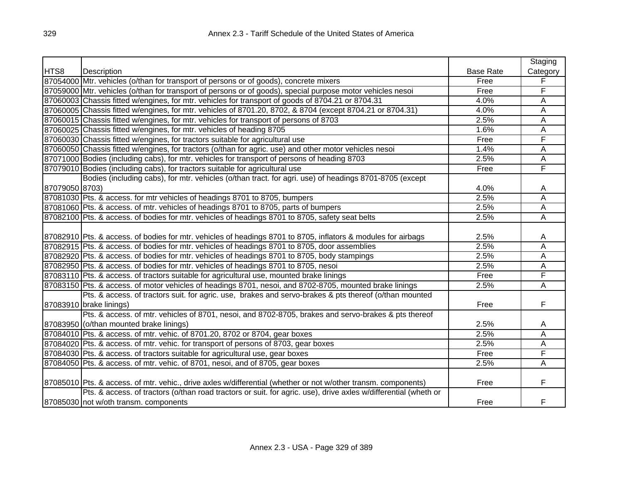|                |                                                                                                                 |                  | Staging        |
|----------------|-----------------------------------------------------------------------------------------------------------------|------------------|----------------|
| HTS8           | Description                                                                                                     | <b>Base Rate</b> | Category       |
|                | 87054000 Mtr. vehicles (o/than for transport of persons or of goods), concrete mixers                           | Free             | F              |
|                | 87059000 Mtr. vehicles (o/than for transport of persons or of goods), special purpose motor vehicles nesoi      | Free             | F              |
|                | 87060003 Chassis fitted w/engines, for mtr. vehicles for transport of goods of 8704.21 or 8704.31               | 4.0%             | A              |
|                | 87060005 Chassis fitted w/engines, for mtr. vehicles of 8701.20, 8702, & 8704 (except 8704.21 or 8704.31)       | 4.0%             | Α              |
|                | 87060015 Chassis fitted w/engines, for mtr. vehicles for transport of persons of 8703                           | 2.5%             | A              |
|                | 87060025 Chassis fitted w/engines, for mtr. vehicles of heading 8705                                            | 1.6%             | Α              |
|                | 87060030 Chassis fitted w/engines, for tractors suitable for agricultural use                                   | Free             | F              |
|                | 87060050 Chassis fitted w/engines, for tractors (o/than for agric. use) and other motor vehicles nesoi          | 1.4%             | A              |
|                | 87071000 Bodies (including cabs), for mtr. vehicles for transport of persons of heading 8703                    | 2.5%             | A              |
|                | 87079010 Bodies (including cabs), for tractors suitable for agricultural use                                    | Free             | F              |
|                | Bodies (including cabs), for mtr. vehicles (o/than tract. for agri. use) of headings 8701-8705 (except          |                  |                |
| 87079050 8703) |                                                                                                                 | 4.0%             | A              |
|                | 87081030 Pts. & access. for mtr vehicles of headings 8701 to 8705, bumpers                                      | 2.5%             | $\overline{A}$ |
|                | 87081060 Pts. & access. of mtr. vehicles of headings 8701 to 8705, parts of bumpers                             | 2.5%             | Α              |
|                | 87082100 Pts. & access. of bodies for mtr. vehicles of headings 8701 to 8705, safety seat belts                 | 2.5%             | Α              |
|                |                                                                                                                 |                  |                |
|                | 87082910 Pts. & access. of bodies for mtr. vehicles of headings 8701 to 8705, inflators & modules for airbags   | 2.5%             | A              |
|                | 87082915 Pts. & access. of bodies for mtr. vehicles of headings 8701 to 8705, door assemblies                   | 2.5%             | A              |
|                | 87082920 Pts. & access. of bodies for mtr. vehicles of headings 8701 to 8705, body stampings                    | 2.5%             | A              |
|                | 87082950 Pts. & access. of bodies for mtr. vehicles of headings 8701 to 8705, nesoi                             | 2.5%             | A              |
|                | 87083110 Pts. & access. of tractors suitable for agricultural use, mounted brake linings                        | Free             | F              |
|                | 87083150 Pts. & access. of motor vehicles of headings 8701, nesoi, and 8702-8705, mounted brake linings         | 2.5%             | A              |
|                | Pts. & access. of tractors suit. for agric. use, brakes and servo-brakes & pts thereof (o/than mounted          |                  |                |
|                | 87083910 brake linings)                                                                                         | Free             | F              |
|                | Pts. & access. of mtr. vehicles of 8701, nesoi, and 8702-8705, brakes and servo-brakes & pts thereof            |                  |                |
|                | 87083950 (o/than mounted brake linings)                                                                         | 2.5%             | Α              |
|                | 87084010 Pts. & access. of mtr. vehic. of 8701.20, 8702 or 8704, gear boxes                                     | 2.5%             | A              |
|                | 87084020 Pts. & access. of mtr. vehic. for transport of persons of 8703, gear boxes                             | 2.5%             | A              |
|                | 87084030 Pts. & access. of tractors suitable for agricultural use, gear boxes                                   | Free             | F              |
|                | 87084050 Pts. & access. of mtr. vehic. of 8701, nesoi, and of 8705, gear boxes                                  | 2.5%             | A              |
|                |                                                                                                                 |                  |                |
|                | 87085010 Pts. & access. of mtr. vehic., drive axles w/differential (whether or not w/other transm. components)  | Free             | F              |
|                | Pts. & access. of tractors (o/than road tractors or suit. for agric. use), drive axles w/differential (wheth or |                  |                |
|                | 87085030 not w/oth transm. components                                                                           | Free             | F              |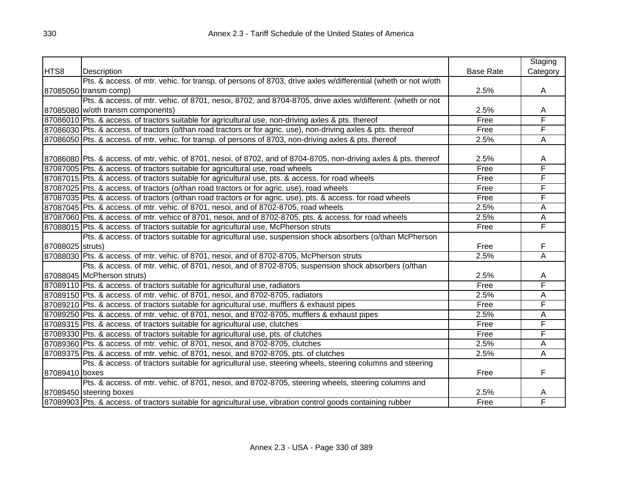|                  |                                                                                                                    |                  | Staging  |
|------------------|--------------------------------------------------------------------------------------------------------------------|------------------|----------|
| HTS8             | Description                                                                                                        | <b>Base Rate</b> | Category |
|                  | Pts. & access. of mtr. vehic. for transp. of persons of 8703, drive axles w/differential (wheth or not w/oth       |                  |          |
|                  | 87085050 transm comp)                                                                                              | 2.5%             | A        |
|                  | Pts. & access. of mtr. vehic. of 8701, nesoi, 8702, and 8704-8705, drive axles w/different. (wheth or not          |                  |          |
|                  | 87085080 w/oth transm components)                                                                                  | 2.5%             | A        |
|                  | 87086010 Pts. & access. of tractors suitable for agricultural use, non-driving axles & pts. thereof                | Free             | F        |
|                  | 87086030 Pts. & access. of tractors (o/than road tractors or for agric. use), non-driving axles & pts. thereof     | Free             | F        |
|                  | 87086050 Pts. & access. of mtr. vehic. for transp. of persons of 8703, non-driving axles & pts. thereof            | 2.5%             | Α        |
|                  |                                                                                                                    |                  |          |
|                  | 87086080 Pts. & access. of mtr. vehic. of 8701, nesoi, of 8702, and of 8704-8705, non-driving axles & pts. thereof | 2.5%             | Α        |
|                  | 87087005 Pts. & access. of tractors suitable for agricultural use, road wheels                                     | Free             | F        |
|                  | 87087015 Pts. & access. of tractors suitable for agricultural use, pts. & access. for road wheels                  | Free             | F        |
|                  | 87087025 Pts. & access. of tractors (o/than road tractors or for agric. use), road wheels                          | Free             | F        |
|                  | 87087035 Pts. & access. of tractors (o/than road tractors or for agric. use), pts. & access. for road wheels       | Free             | F        |
|                  | 87087045 Pts. & access. of mtr. vehic. of 8701, nesoi, and of 8702-8705, road wheels                               | 2.5%             | A        |
|                  | 87087060 Pts. & access. of mtr. vehicc of 8701, nesoi, and of 8702-8705, pts. & access. for road wheels            | 2.5%             | А        |
|                  | 87088015 Pts. & access. of tractors suitable for agricultural use, McPherson struts                                | Free             | F        |
|                  | Pts. & access. of tractors suitable for agricultural use, suspension shock absorbers (o/than McPherson             |                  |          |
| 87088025 struts) |                                                                                                                    | Free             | F        |
|                  | 87088030 Pts. & access. of mtr. vehic. of 8701, nesoi, and of 8702-8705, McPherson struts                          | 2.5%             | Α        |
|                  | Pts. & access. of mtr. vehic. of 8701, nesoi, and of 8702-8705, suspension shock absorbers (o/than                 |                  |          |
|                  | 87088045 McPherson struts)                                                                                         | 2.5%             | A        |
|                  | 87089110 Pts. & access. of tractors suitable for agricultural use, radiators                                       | Free             | F        |
|                  | 87089150 Pts. & access. of mtr. vehic. of 8701, nesoi, and 8702-8705, radiators                                    | 2.5%             | Α        |
|                  | 87089210 Pts. & access. of tractors suitable for agricultural use, mufflers & exhaust pipes                        | Free             | F        |
|                  | 87089250 Pts. & access. of mtr. vehic. of 8701, nesoi, and 8702-8705, mufflers & exhaust pipes                     | 2.5%             | A        |
|                  | 87089315 Pts. & access. of tractors suitable for agricultural use, clutches                                        | Free             | F        |
|                  | 87089330 Pts. & access. of tractors suitable for agricultural use, pts. of clutches                                | Free             | F        |
|                  | 87089360 Pts. & access. of mtr. vehic. of 8701, nesoi, and 8702-8705, clutches                                     | 2.5%             | А        |
|                  | 87089375 Pts. & access. of mtr. vehic. of 8701, nesoi, and 8702-8705, pts. of clutches                             | 2.5%             | Α        |
|                  | Pts. & access. of tractors suitable for agricultural use, steering wheels, steering columns and steering           |                  |          |
| 87089410 boxes   |                                                                                                                    | Free             | F        |
|                  | Pts. & access. of mtr. vehic. of 8701, nesoi, and 8702-8705, steering wheels, steering columns and                 |                  |          |
|                  | 87089450 steering boxes                                                                                            | 2.5%             | A        |
|                  | 87089903 Pts. & access. of tractors suitable for agricultural use, vibration control goods containing rubber       | Free             | F        |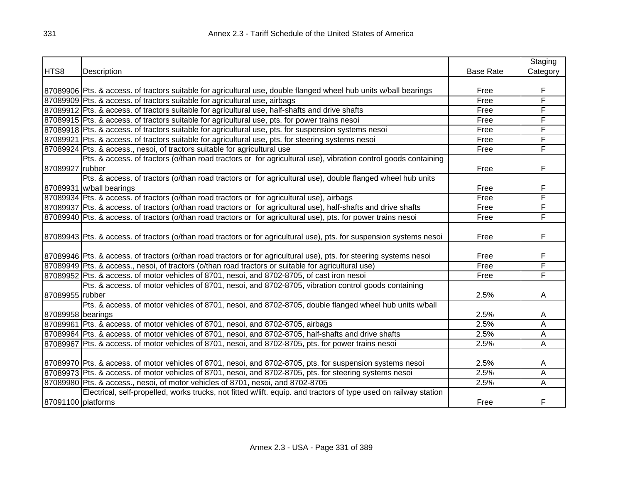|                    |                                                                                                                       |                  | Staging  |
|--------------------|-----------------------------------------------------------------------------------------------------------------------|------------------|----------|
| HTS8               | Description                                                                                                           | <b>Base Rate</b> | Category |
|                    |                                                                                                                       |                  |          |
|                    | 87089906 Pts. & access. of tractors suitable for agricultural use, double flanged wheel hub units w/ball bearings     | Free             | F        |
|                    | 87089909 Pts. & access. of tractors suitable for agricultural use, airbags                                            | Free             | F        |
|                    | 87089912 Pts. & access. of tractors suitable for agricultural use, half-shafts and drive shafts                       | Free             | F        |
|                    | 87089915 Pts. & access. of tractors suitable for agricultural use, pts. for power trains nesoi                        | Free             | F        |
|                    | 87089918 Pts. & access. of tractors suitable for agricultural use, pts. for suspension systems nesoi                  | Free             | F        |
|                    | 87089921 Pts. & access. of tractors suitable for agricultural use, pts. for steering systems nesoi                    | Free             | F        |
|                    | 87089924 Pts. & access., nesoi, of tractors suitable for agricultural use                                             | Free             | F        |
|                    | Pts. & access. of tractors (o/than road tractors or for agricultural use), vibration control goods containing         |                  |          |
| 87089927 rubber    |                                                                                                                       | Free             | F        |
|                    | Pts. & access. of tractors (o/than road tractors or for agricultural use), double flanged wheel hub units             |                  |          |
|                    | 87089931 w/ball bearings                                                                                              | Free             | F        |
|                    | 87089934 Pts. & access. of tractors (o/than road tractors or for agricultural use), airbags                           | Free             | F        |
|                    | 87089937 Pts. & access. of tractors (o/than road tractors or for agricultural use), half-shafts and drive shafts      | Free             | F        |
|                    | 87089940 Pts. & access. of tractors (o/than road tractors or for agricultural use), pts. for power trains nesoi       | Free             | F        |
|                    |                                                                                                                       |                  |          |
|                    | 87089943 Pts. & access. of tractors (o/than road tractors or for agricultural use), pts. for suspension systems nesoi | Free             | F        |
|                    |                                                                                                                       |                  |          |
|                    | 87089946 Pts. & access. of tractors (o/than road tractors or for agricultural use), pts. for steering systems nesoi   | Free             | F        |
|                    | 87089949 Pts. & access., nesoi, of tractors (o/than road tractors or suitable for agricultural use)                   | Free             | F        |
|                    | 87089952 Pts. & access. of motor vehicles of 8701, nesoi, and 8702-8705, of cast iron nesoi                           | Free             | F        |
|                    | Pts. & access. of motor vehicles of 8701, nesoi, and 8702-8705, vibration control goods containing                    |                  |          |
| 87089955 rubber    |                                                                                                                       | 2.5%             | A        |
|                    | Pts. & access. of motor vehicles of 8701, nesoi, and 8702-8705, double flanged wheel hub units w/ball                 |                  |          |
| 87089958 bearings  |                                                                                                                       | 2.5%             | A        |
|                    | 87089961 Pts. & access. of motor vehicles of 8701, nesoi, and 8702-8705, airbags                                      | 2.5%             | A        |
|                    | 87089964 Pts. & access. of motor vehicles of 8701, nesoi, and 8702-8705, half-shafts and drive shafts                 | 2.5%             | Α        |
|                    | 87089967 Pts. & access. of motor vehicles of 8701, nesoi, and 8702-8705, pts. for power trains nesoi                  | 2.5%             | Α        |
|                    |                                                                                                                       |                  |          |
|                    | 87089970 Pts. & access. of motor vehicles of 8701, nesoi, and 8702-8705, pts. for suspension systems nesoi            | 2.5%             | A        |
|                    | 87089973 Pts. & access. of motor vehicles of 8701, nesoi, and 8702-8705, pts. for steering systems nesoi              | 2.5%             | A        |
|                    | 87089980 Pts. & access., nesoi, of motor vehicles of 8701, nesoi, and 8702-8705                                       | 2.5%             | Α        |
|                    | Electrical, self-propelled, works trucks, not fitted w/lift. equip. and tractors of type used on railway station      |                  |          |
| 87091100 platforms |                                                                                                                       | Free             | F        |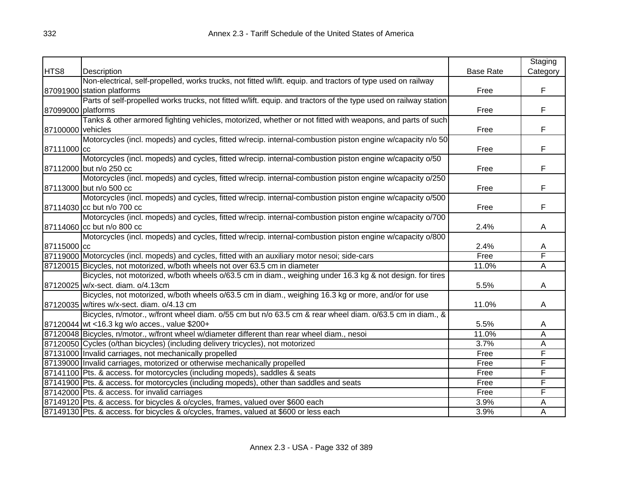|                    |                                                                                                                  |                  | Staging                 |
|--------------------|------------------------------------------------------------------------------------------------------------------|------------------|-------------------------|
| HTS8               | Description                                                                                                      | <b>Base Rate</b> | Category                |
|                    | Non-electrical, self-propelled, works trucks, not fitted w/lift. equip. and tractors of type used on railway     |                  |                         |
|                    | 87091900 station platforms                                                                                       | Free             | F.                      |
|                    | Parts of self-propelled works trucks, not fitted w/lift. equip. and tractors of the type used on railway station |                  |                         |
| 87099000 platforms |                                                                                                                  | Free             | F                       |
|                    | Tanks & other armored fighting vehicles, motorized, whether or not fitted with weapons, and parts of such        |                  |                         |
| 87100000 vehicles  |                                                                                                                  | Free             | F                       |
|                    | Motorcycles (incl. mopeds) and cycles, fitted w/recip. internal-combustion piston engine w/capacity n/o 50       |                  |                         |
| 87111000 cc        |                                                                                                                  | Free             | F                       |
|                    | Motorcycles (incl. mopeds) and cycles, fitted w/recip. internal-combustion piston engine w/capacity o/50         |                  |                         |
|                    | 87112000 but n/o 250 cc                                                                                          | Free             | F                       |
|                    | Motorcycles (incl. mopeds) and cycles, fitted w/recip. internal-combustion piston engine w/capacity o/250        |                  |                         |
|                    | 87113000 but n/o 500 cc                                                                                          | Free             | F                       |
|                    | Motorcycles (incl. mopeds) and cycles, fitted w/recip. internal-combustion piston engine w/capacity o/500        |                  |                         |
|                    | 87114030 cc but n/o 700 cc                                                                                       | Free             | F                       |
|                    | Motorcycles (incl. mopeds) and cycles, fitted w/recip. internal-combustion piston engine w/capacity o/700        |                  |                         |
|                    | 87114060 cc but n/o 800 cc                                                                                       | 2.4%             | A                       |
|                    | Motorcycles (incl. mopeds) and cycles, fitted w/recip. internal-combustion piston engine w/capacity o/800        |                  |                         |
| 87115000 cc        |                                                                                                                  | 2.4%             | A                       |
|                    | 87119000 Motorcycles (incl. mopeds) and cycles, fitted with an auxiliary motor nesoi; side-cars                  | Free             | F                       |
|                    | 87120015 Bicycles, not motorized, w/both wheels not over 63.5 cm in diameter                                     | 11.0%            | $\overline{A}$          |
|                    | Bicycles, not motorized, w/both wheels o/63.5 cm in diam., weighing under 16.3 kg & not design. for tires        |                  |                         |
|                    | 87120025 w/x-sect. diam. o/4.13cm                                                                                | 5.5%             | $\mathsf{A}$            |
|                    | Bicycles, not motorized, w/both wheels o/63.5 cm in diam., weighing 16.3 kg or more, and/or for use              |                  |                         |
|                    | 87120035 w/tires w/x-sect. diam. o/4.13 cm                                                                       | 11.0%            | A                       |
|                    | Bicycles, n/motor., w/front wheel diam. o/55 cm but n/o 63.5 cm & rear wheel diam. o/63.5 cm in diam., &         |                  |                         |
|                    | 87120044 wt <16.3 kg w/o acces., value \$200+                                                                    | 5.5%             | A                       |
|                    | 87120048 Bicycles, n/motor., w/front wheel w/diameter different than rear wheel diam., nesoi                     | 11.0%            | A                       |
|                    | 87120050 Cycles (o/than bicycles) (including delivery tricycles), not motorized                                  | 3.7%             | Α                       |
|                    | 87131000 Invalid carriages, not mechanically propelled                                                           | Free             | F                       |
|                    | 87139000 Invalid carriages, motorized or otherwise mechanically propelled                                        | Free             | F                       |
|                    | 87141100 Pts. & access. for motorcycles (including mopeds), saddles & seats                                      | Free             | F                       |
|                    | 87141900 Pts. & access. for motorcycles (including mopeds), other than saddles and seats                         | Free             | $\overline{\mathsf{F}}$ |
|                    | 87142000 Pts. & access. for invalid carriages                                                                    | Free             | F                       |
|                    | 87149120 Pts. & access. for bicycles & o/cycles, frames, valued over \$600 each                                  | 3.9%             | A                       |
|                    | 87149130 Pts. & access. for bicycles & o/cycles, frames, valued at \$600 or less each                            | 3.9%             | Α                       |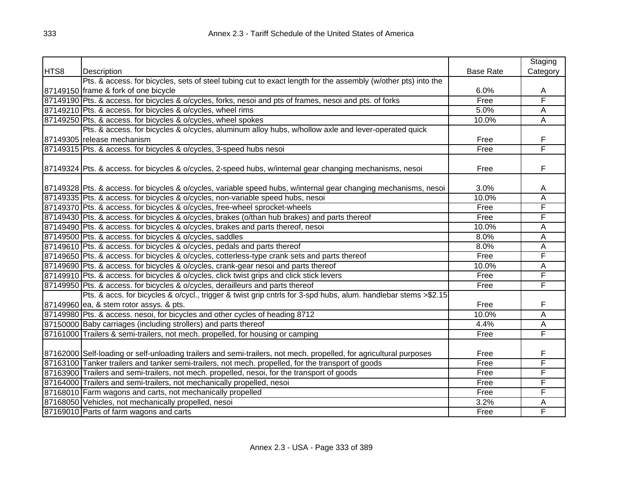|      |                                                                                                                    |                  | Staging                 |
|------|--------------------------------------------------------------------------------------------------------------------|------------------|-------------------------|
| HTS8 | Description                                                                                                        | <b>Base Rate</b> | Category                |
|      | Pts. & access. for bicycles, sets of steel tubing cut to exact length for the assembly (w/other pts) into the      |                  |                         |
|      | 87149150 frame & fork of one bicycle                                                                               | 6.0%             | A                       |
|      | 87149190 Pts. & access. for bicycles & o/cycles, forks, nesoi and pts of frames, nesoi and pts. of forks           | Free             | F                       |
|      | 87149210 Pts. & access. for bicycles & o/cycles, wheel rims                                                        | 5.0%             | Ā                       |
|      | 87149250 Pts. & access. for bicycles & o/cycles, wheel spokes                                                      | 10.0%            | Ā                       |
|      | Pts. & access. for bicycles & o/cycles, aluminum alloy hubs, w/hollow axle and lever-operated quick                |                  |                         |
|      | 87149305 release mechanism                                                                                         | Free             | F                       |
|      | 87149315 Pts. & access. for bicycles & o/cycles, 3-speed hubs nesoi                                                | Free             | F                       |
|      | 87149324 Pts. & access. for bicycles & o/cycles, 2-speed hubs, w/internal gear changing mechanisms, nesoi          | Free             | F                       |
|      | 87149328 Pts. & access. for bicycles & o/cycles, variable speed hubs, w/internal gear changing mechanisms, nesoi   | 3.0%             | A                       |
|      | 87149335 Pts. & access. for bicycles & o/cycles, non-variable speed hubs, nesoi                                    | 10.0%            | Ā                       |
|      | 87149370 Pts. & access. for bicycles & o/cycles, free-wheel sprocket-wheels                                        | Free             | F                       |
|      | 87149430 Pts. & access. for bicycles & o/cycles, brakes (o/than hub brakes) and parts thereof                      | Free             | F                       |
|      | 87149490 Pts. & access. for bicycles & o/cycles, brakes and parts thereof, nesoi                                   | 10.0%            | А                       |
|      | 87149500 Pts. & access. for bicycles & o/cycles, saddles                                                           | 8.0%             | $\overline{\mathsf{A}}$ |
|      | 87149610 Pts. & access. for bicycles & o/cycles, pedals and parts thereof                                          | 8.0%             | $\overline{\mathsf{A}}$ |
|      | 87149650 Pts. & access. for bicycles & o/cycles, cotterless-type crank sets and parts thereof                      | Free             | F                       |
|      | 87149690 Pts. & access. for bicycles & o/cycles, crank-gear nesoi and parts thereof                                | 10.0%            | A                       |
|      | 87149910 Pts. & access. for bicycles & o/cycles, click twist grips and click stick levers                          | Free             | F                       |
|      | 87149950 Pts. & access. for bicycles & o/cycles, derailleurs and parts thereof                                     | Free             | F                       |
|      | Pts. & accs. for bicycles & o/cycl., trigger & twist grip cntrls for 3-spd hubs, alum. handlebar stems >\$2.15     |                  |                         |
|      | 87149960 ea, & stem rotor assys. & pts.                                                                            | Free             | F                       |
|      | 87149980 Pts. & access. nesoi, for bicycles and other cycles of heading 8712                                       | 10.0%            | A                       |
|      | 87150000 Baby carriages (including strollers) and parts thereof                                                    | 4.4%             | Α                       |
|      | 87161000 Trailers & semi-trailers, not mech. propelled, for housing or camping                                     | Free             | F                       |
|      | 87162000 Self-loading or self-unloading trailers and semi-trailers, not mech. propelled, for agricultural purposes | Free             | F                       |
|      | 87163100 Tanker trailers and tanker semi-trailers, not mech. propelled, for the transport of goods                 | Free             | F                       |
|      | 87163900 Trailers and semi-trailers, not mech. propelled, nesoi, for the transport of goods                        | Free             | F                       |
|      | 87164000 Trailers and semi-trailers, not mechanically propelled, nesoi                                             | Free             | F                       |
|      | 87168010 Farm wagons and carts, not mechanically propelled                                                         | Free             | F                       |
|      | 87168050 Vehicles, not mechanically propelled, nesoi                                                               | 3.2%             | Α                       |
|      | 87169010 Parts of farm wagons and carts                                                                            | Free             | F                       |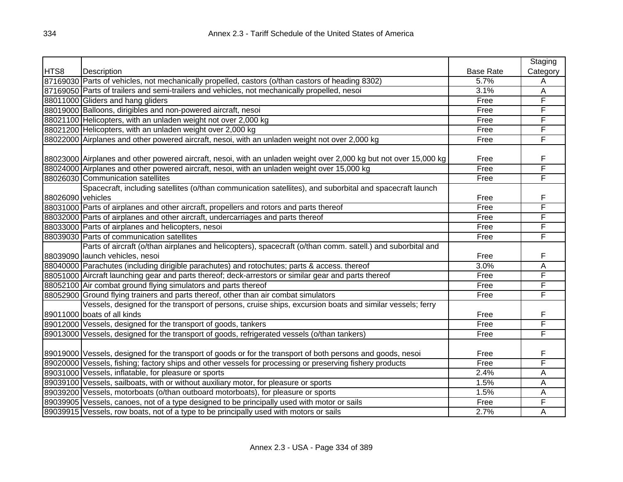|                   |                                                                                                                   |                  | Staging        |
|-------------------|-------------------------------------------------------------------------------------------------------------------|------------------|----------------|
| HTS8              | Description                                                                                                       | <b>Base Rate</b> | Category       |
|                   | 87169030 Parts of vehicles, not mechanically propelled, castors (o/than castors of heading 8302)                  | 5.7%             | A              |
|                   | 87169050 Parts of trailers and semi-trailers and vehicles, not mechanically propelled, nesoi                      | 3.1%             | $\overline{A}$ |
|                   | 88011000 Gliders and hang gliders                                                                                 | Free             | F              |
|                   | 88019000 Balloons, dirigibles and non-powered aircraft, nesoi                                                     | Free             | F              |
|                   | 88021100 Helicopters, with an unladen weight not over 2,000 kg                                                    | Free             | F              |
|                   | 88021200 Helicopters, with an unladen weight over 2,000 kg                                                        | Free             | F              |
|                   | 88022000 Airplanes and other powered aircraft, nesoi, with an unladen weight not over 2,000 kg                    | Free             | F              |
|                   |                                                                                                                   |                  |                |
|                   | 88023000 Airplanes and other powered aircraft, nesoi, with an unladen weight over 2,000 kg but not over 15,000 kg | Free             | F              |
|                   | 88024000 Airplanes and other powered aircraft, nesoi, with an unladen weight over 15,000 kg                       | Free             | F              |
|                   | 88026030 Communication satellites                                                                                 | Free             | F              |
|                   | Spacecraft, including satellites (o/than communication satellites), and suborbital and spacecraft launch          |                  |                |
| 88026090 vehicles |                                                                                                                   | Free             | F              |
|                   | 88031000 Parts of airplanes and other aircraft, propellers and rotors and parts thereof                           | Free             | F              |
|                   | 88032000 Parts of airplanes and other aircraft, undercarriages and parts thereof                                  | Free             | F              |
|                   | 88033000 Parts of airplanes and helicopters, nesoi                                                                | Free             | F              |
|                   | 88039030 Parts of communication satellites                                                                        | Free             | F              |
|                   | Parts of aircraft (o/than airplanes and helicopters), spacecraft (o/than comm. satell.) and suborbital and        |                  |                |
|                   | 88039090 launch vehicles, nesoi                                                                                   | Free             | F              |
|                   | 88040000 Parachutes (including dirigible parachutes) and rotochutes; parts & access. thereof                      | 3.0%             | Α              |
|                   | 88051000 Aircraft launching gear and parts thereof; deck-arrestors or similar gear and parts thereof              | Free             | F              |
|                   | 88052100 Air combat ground flying simulators and parts thereof                                                    | Free             | F              |
|                   | 88052900 Ground flying trainers and parts thereof, other than air combat simulators                               | Free             | F              |
|                   | Vessels, designed for the transport of persons, cruise ships, excursion boats and similar vessels; ferry          |                  |                |
|                   | 89011000 boats of all kinds                                                                                       | Free             | F              |
|                   | 89012000 Vessels, designed for the transport of goods, tankers                                                    | Free             | F              |
|                   | 89013000 Vessels, designed for the transport of goods, refrigerated vessels (o/than tankers)                      | Free             | F              |
|                   |                                                                                                                   |                  |                |
|                   | 89019000 Vessels, designed for the transport of goods or for the transport of both persons and goods, nesoi       | Free             | F              |
|                   | 89020000 Vessels, fishing; factory ships and other vessels for processing or preserving fishery products          | Free             | F              |
|                   | 89031000 Vessels, inflatable, for pleasure or sports                                                              | 2.4%             | A              |
|                   | 89039100 Vessels, sailboats, with or without auxiliary motor, for pleasure or sports                              | 1.5%             | $\overline{A}$ |
|                   | 89039200 Vessels, motorboats (o/than outboard motorboats), for pleasure or sports                                 | 1.5%             | A              |
|                   | 89039905 Vessels, canoes, not of a type designed to be principally used with motor or sails                       | Free             | F              |
|                   | 89039915 Vessels, row boats, not of a type to be principally used with motors or sails                            | 2.7%             | A              |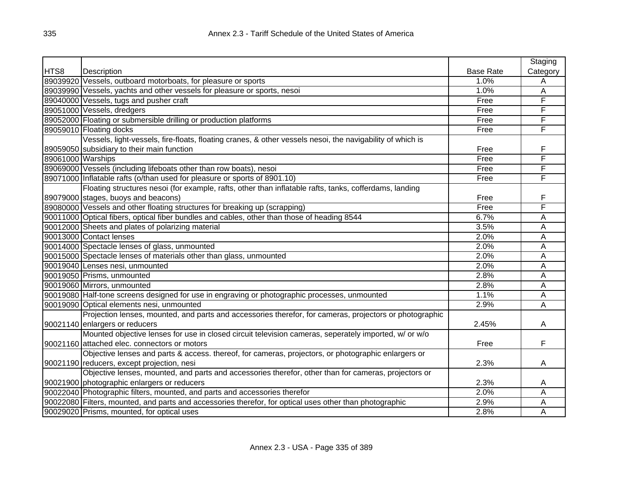|                   |                                                                                                           |                  | Staging  |
|-------------------|-----------------------------------------------------------------------------------------------------------|------------------|----------|
| HTS8              | Description                                                                                               | <b>Base Rate</b> | Category |
|                   | 89039920 Vessels, outboard motorboats, for pleasure or sports                                             | 1.0%             | A        |
|                   | 89039990 Vessels, yachts and other vessels for pleasure or sports, nesoi                                  | 1.0%             | Α        |
|                   | 89040000 Vessels, tugs and pusher craft                                                                   | Free             | F        |
|                   | 89051000 Vessels, dredgers                                                                                | Free             | F        |
|                   | 89052000 Floating or submersible drilling or production platforms                                         | Free             | F        |
|                   | 89059010 Floating docks                                                                                   | Free             | F        |
|                   | Vessels, light-vessels, fire-floats, floating cranes, & other vessels nesoi, the navigability of which is |                  |          |
|                   | 89059050 subsidiary to their main function                                                                | Free             | F        |
| 89061000 Warships |                                                                                                           | Free             | F        |
|                   | 89069000 Vessels (including lifeboats other than row boats), nesoi                                        | Free             | F        |
|                   | 89071000 Inflatable rafts (o/than used for pleasure or sports of 8901.10)                                 | Free             | F        |
|                   | Floating structures nesoi (for example, rafts, other than inflatable rafts, tanks, cofferdams, landing    |                  |          |
|                   | 89079000 stages, buoys and beacons)                                                                       | Free             | F        |
|                   | 89080000 Vessels and other floating structures for breaking up (scrapping)                                | Free             | F        |
|                   | 90011000 Optical fibers, optical fiber bundles and cables, other than those of heading 8544               | 6.7%             | A        |
|                   | 90012000 Sheets and plates of polarizing material                                                         | 3.5%             | A        |
|                   | 90013000 Contact lenses                                                                                   | 2.0%             | A        |
|                   | 90014000 Spectacle lenses of glass, unmounted                                                             | 2.0%             | Α        |
|                   | 90015000 Spectacle lenses of materials other than glass, unmounted                                        | 2.0%             | Α        |
|                   | 90019040 Lenses nesi, unmounted                                                                           | 2.0%             | A        |
|                   | 90019050 Prisms, unmounted                                                                                | 2.8%             | A        |
|                   | 90019060 Mirrors, unmounted                                                                               | 2.8%             | Α        |
|                   | 90019080 Half-tone screens designed for use in engraving or photographic processes, unmounted             | 1.1%             | A        |
|                   | 90019090 Optical elements nesi, unmounted                                                                 | 2.9%             | Α        |
|                   | Projection lenses, mounted, and parts and accessories therefor, for cameras, projectors or photographic   |                  |          |
|                   | 90021140 enlargers or reducers                                                                            | 2.45%            | Α        |
|                   | Mounted objective lenses for use in closed circuit television cameras, seperately imported, w/ or w/o     |                  |          |
|                   | 90021160 attached elec. connectors or motors                                                              | Free             | F        |
|                   | Objective lenses and parts & access. thereof, for cameras, projectors, or photographic enlargers or       |                  |          |
|                   | 90021190 reducers, except projection, nesi                                                                | 2.3%             | A        |
|                   | Objective lenses, mounted, and parts and accessories therefor, other than for cameras, projectors or      |                  |          |
|                   | 90021900 photographic enlargers or reducers                                                               | 2.3%             | A        |
|                   | 90022040 Photographic filters, mounted, and parts and accessories therefor                                | 2.0%             | A        |
|                   | 90022080 Filters, mounted, and parts and accessories therefor, for optical uses other than photographic   | 2.9%             | Α        |
|                   | 90029020 Prisms, mounted, for optical uses                                                                | 2.8%             | A        |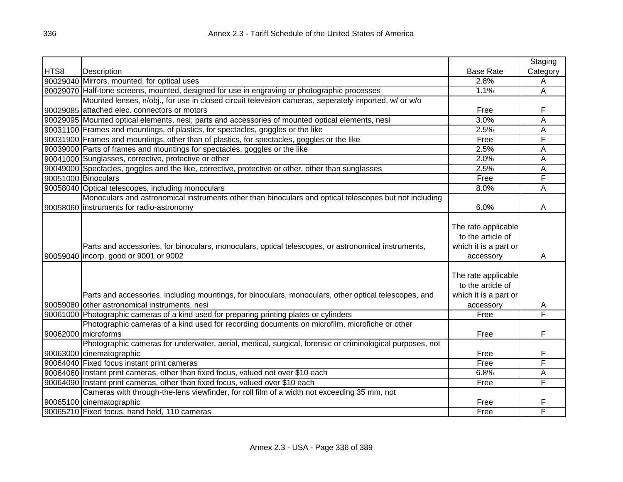|      |                                                                                                                      |                                                                   | Staging  |
|------|----------------------------------------------------------------------------------------------------------------------|-------------------------------------------------------------------|----------|
| HTS8 | Description                                                                                                          | <b>Base Rate</b>                                                  | Category |
|      | 90029040 Mirrors, mounted, for optical uses                                                                          | 2.8%                                                              | A        |
|      | 90029070 Half-tone screens, mounted, designed for use in engraving or photographic processes                         | 1.1%                                                              | A        |
|      | Mounted lenses, n/obj., for use in closed circuit television cameras, seperately imported, w/ or w/o                 |                                                                   |          |
|      | 90029085 attached elec. connectors or motors                                                                         | Free                                                              | F        |
|      | 90029095 Mounted optical elements, nesi; parts and accessories of mounted optical elements, nesi                     | 3.0%                                                              | A        |
|      | 90031100 Frames and mountings, of plastics, for spectacles, goggles or the like                                      | 2.5%                                                              | A        |
|      | 90031900 Frames and mountings, other than of plastics, for spectacles, goggles or the like                           | Free                                                              | F        |
|      | 90039000 Parts of frames and mountings for spectacles, goggles or the like                                           | 2.5%                                                              | A        |
|      | 90041000 Sunglasses, corrective, protective or other                                                                 | 2.0%                                                              | A        |
|      | 90049000 Spectacles, goggles and the like, corrective, protective or other, other than sunglasses                    | 2.5%                                                              | A        |
|      | 90051000 Binoculars                                                                                                  | Free                                                              | F        |
|      | 90058040 Optical telescopes, including monoculars                                                                    | 8.0%                                                              | A        |
|      | Monoculars and astronomical instruments other than binoculars and optical telescopes but not including               |                                                                   |          |
|      | 90058060 instruments for radio-astronomy                                                                             | 6.0%                                                              | A        |
|      | Parts and accessories, for binoculars, monoculars, optical telescopes, or astronomical instruments,                  | The rate applicable<br>to the article of<br>which it is a part or |          |
|      | 90059040 incorp. good or 9001 or 9002                                                                                | accessory                                                         | A        |
|      | Parts and accessories, including mountings, for binoculars, monoculars, other optical telescopes, and                | The rate applicable<br>to the article of<br>which it is a part or |          |
|      | 90059080 other astronomical instruments, nesi                                                                        | accessory                                                         | A<br>F   |
|      | 90061000 Photographic cameras of a kind used for preparing printing plates or cylinders                              | Free                                                              |          |
|      | Photographic cameras of a kind used for recording documents on microfilm, microfiche or other<br>90062000 microforms | Free                                                              | F        |
|      | Photographic cameras for underwater, aerial, medical, surgical, forensic or criminological purposes, not             |                                                                   |          |
|      | 90063000 cinematographic                                                                                             | Free                                                              | F        |
|      | 90064040 Fixed focus instant print cameras                                                                           | Free                                                              | F        |
|      | 90064060 Instant print cameras, other than fixed focus, valued not over \$10 each                                    | 6.8%                                                              | A        |
|      | 90064090 Instant print cameras, other than fixed focus, valued over \$10 each                                        | Free                                                              | F        |
|      | Cameras with through-the-lens viewfinder, for roll film of a width not exceeding 35 mm, not                          |                                                                   |          |
|      | 90065100 cinematographic                                                                                             | Free                                                              | F        |
|      | 90065210 Fixed focus, hand held, 110 cameras                                                                         | Free                                                              | F        |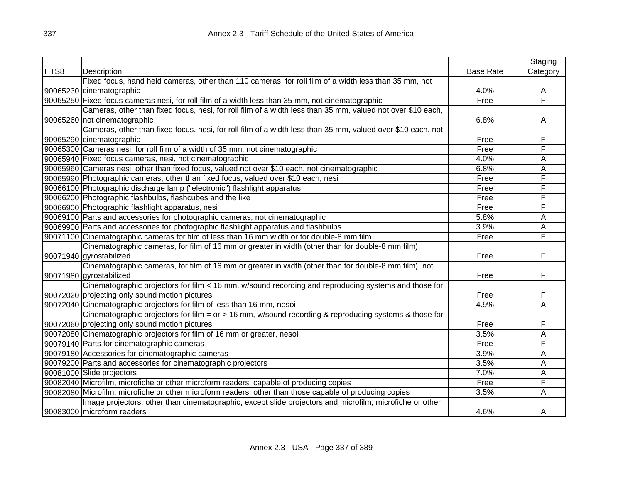|      |                                                                                                             |                  | Staging  |
|------|-------------------------------------------------------------------------------------------------------------|------------------|----------|
| HTS8 | Description                                                                                                 | <b>Base Rate</b> | Category |
|      | Fixed focus, hand held cameras, other than 110 cameras, for roll film of a width less than 35 mm, not       |                  |          |
|      | 90065230 cinematographic                                                                                    | 4.0%             | A        |
|      | 90065250 Fixed focus cameras nesi, for roll film of a width less than 35 mm, not cinematographic            | Free             | F        |
|      | Cameras, other than fixed focus, nesi, for roll film of a width less than 35 mm, valued not over \$10 each, |                  |          |
|      | 90065260 not cinematographic                                                                                | 6.8%             | A        |
|      | Cameras, other than fixed focus, nesi, for roll film of a width less than 35 mm, valued over \$10 each, not |                  |          |
|      | 90065290 cinematographic                                                                                    | Free             | F        |
|      | 90065300 Cameras nesi, for roll film of a width of 35 mm, not cinematographic                               | Free             | F        |
|      | 90065940 Fixed focus cameras, nesi, not cinematographic                                                     | 4.0%             | A        |
|      | 90065960 Cameras nesi, other than fixed focus, valued not over \$10 each, not cinematographic               | 6.8%             | A        |
|      | 90065990 Photographic cameras, other than fixed focus, valued over \$10 each, nesi                          | Free             | F        |
|      | 90066100 Photographic discharge lamp ("electronic") flashlight apparatus                                    | Free             | F        |
|      | 90066200 Photographic flashbulbs, flashcubes and the like                                                   | Free             | F        |
|      | 90066900 Photographic flashlight apparatus, nesi                                                            | Free             | F        |
|      | 90069100 Parts and accessories for photographic cameras, not cinematographic                                | 5.8%             | A        |
|      | 90069900 Parts and accessories for photographic flashlight apparatus and flashbulbs                         | 3.9%             | Α        |
|      | 90071100 Cinematographic cameras for film of less than 16 mm width or for double-8 mm film                  | Free             | F        |
|      | Cinematographic cameras, for film of 16 mm or greater in width (other than for double-8 mm film),           |                  |          |
|      | 90071940 gyrostabilized                                                                                     | Free             | F        |
|      | Cinematographic cameras, for film of 16 mm or greater in width (other than for double-8 mm film), not       |                  |          |
|      | 90071980 gyrostabilized                                                                                     | Free             | F        |
|      | Cinematographic projectors for film < 16 mm, w/sound recording and reproducing systems and those for        |                  |          |
|      | 90072020 projecting only sound motion pictures                                                              | Free             | F        |
|      | 90072040 Cinematographic projectors for film of less than 16 mm, nesoi                                      | 4.9%             | A        |
|      | Cinematographic projectors for film = or > 16 mm, w/sound recording & reproducing systems & those for       |                  |          |
|      | 90072060 projecting only sound motion pictures                                                              | Free             | F        |
|      | 90072080 Cinematographic projectors for film of 16 mm or greater, nesoi                                     | 3.5%             | A        |
|      | 90079140 Parts for cinematographic cameras                                                                  | Free             | F        |
|      | 90079180 Accessories for cinematographic cameras                                                            | 3.9%             | A        |
|      | 90079200 Parts and accessories for cinematographic projectors                                               | 3.5%             | Α        |
|      | 90081000 Slide projectors                                                                                   | 7.0%             | A        |
|      | 90082040 Microfilm, microfiche or other microform readers, capable of producing copies                      | Free             | F        |
|      | 90082080 Microfilm, microfiche or other microform readers, other than those capable of producing copies     | 3.5%             | A        |
|      | Image projectors, other than cinematographic, except slide projectors and microfilm, microfiche or other    |                  |          |
|      | 90083000 microform readers                                                                                  | 4.6%             | A        |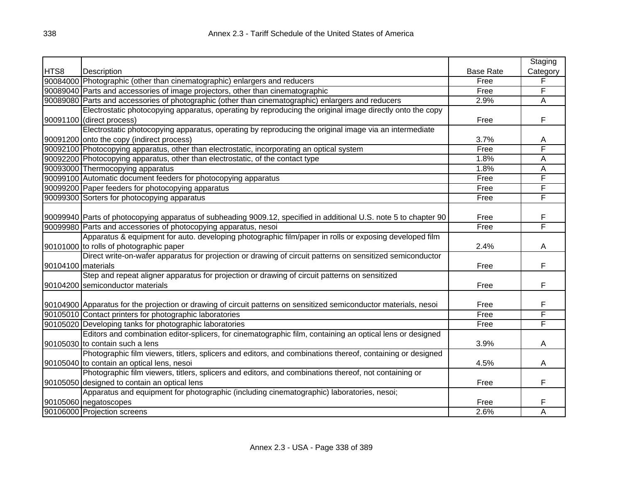|                    |                                                                                                                   |                  | Staging                 |
|--------------------|-------------------------------------------------------------------------------------------------------------------|------------------|-------------------------|
| HTS8               | Description                                                                                                       | <b>Base Rate</b> | Category                |
|                    | 90084000 Photographic (other than cinematographic) enlargers and reducers                                         | Free             | F                       |
|                    | 90089040 Parts and accessories of image projectors, other than cinematographic                                    | Free             | F                       |
|                    | 90089080 Parts and accessories of photographic (other than cinematographic) enlargers and reducers                | 2.9%             | $\overline{\mathsf{A}}$ |
|                    | Electrostatic photocopying apparatus, operating by reproducing the original image directly onto the copy          |                  |                         |
|                    | 90091100 (direct process)                                                                                         | Free             | F                       |
|                    | Electrostatic photocopying apparatus, operating by reproducing the original image via an intermediate             |                  |                         |
|                    | 90091200 onto the copy (indirect process)                                                                         | 3.7%             | A                       |
|                    | 90092100 Photocopying apparatus, other than electrostatic, incorporating an optical system                        | Free             | F                       |
|                    | 90092200 Photocopying apparatus, other than electrostatic, of the contact type                                    | 1.8%             | A                       |
|                    | 90093000 Thermocopying apparatus                                                                                  | 1.8%             | А                       |
|                    | 90099100 Automatic document feeders for photocopying apparatus                                                    | Free             | F                       |
|                    | 90099200 Paper feeders for photocopying apparatus                                                                 | Free             | F                       |
|                    | 90099300 Sorters for photocopying apparatus                                                                       | Free             | F                       |
|                    |                                                                                                                   |                  |                         |
|                    | 90099940 Parts of photocopying apparatus of subheading 9009.12, specified in additional U.S. note 5 to chapter 90 | Free             | F                       |
|                    | 90099980 Parts and accessories of photocopying apparatus, nesoi                                                   | Free             | F                       |
|                    | Apparatus & equipment for auto. developing photographic film/paper in rolls or exposing developed film            |                  |                         |
|                    | 90101000 to rolls of photographic paper                                                                           | 2.4%             | A                       |
|                    | Direct write-on-wafer apparatus for projection or drawing of circuit patterns on sensitized semiconductor         |                  |                         |
| 90104100 materials |                                                                                                                   | Free             | F                       |
|                    | Step and repeat aligner apparatus for projection or drawing of circuit patterns on sensitized                     |                  |                         |
|                    | 90104200 semiconductor materials                                                                                  | Free             | F                       |
|                    |                                                                                                                   |                  |                         |
|                    | 90104900 Apparatus for the projection or drawing of circuit patterns on sensitized semiconductor materials, nesoi | Free             | F                       |
|                    | 90105010 Contact printers for photographic laboratories                                                           | Free             | F                       |
|                    | 90105020 Developing tanks for photographic laboratories                                                           | Free             | F                       |
|                    | Editors and combination editor-splicers, for cinematographic film, containing an optical lens or designed         |                  |                         |
|                    | 90105030 to contain such a lens                                                                                   | 3.9%             | Α                       |
|                    | Photographic film viewers, titlers, splicers and editors, and combinations thereof, containing or designed        |                  |                         |
|                    | 90105040 to contain an optical lens, nesoi                                                                        | 4.5%             | A                       |
|                    | Photographic film viewers, titlers, splicers and editors, and combinations thereof, not containing or             |                  |                         |
|                    | 90105050 designed to contain an optical lens                                                                      | Free             | F                       |
|                    | Apparatus and equipment for photographic (including cinematographic) laboratories, nesoi;                         |                  |                         |
|                    | 90105060 negatoscopes                                                                                             | Free             | F                       |
|                    | 90106000 Projection screens                                                                                       | 2.6%             | A                       |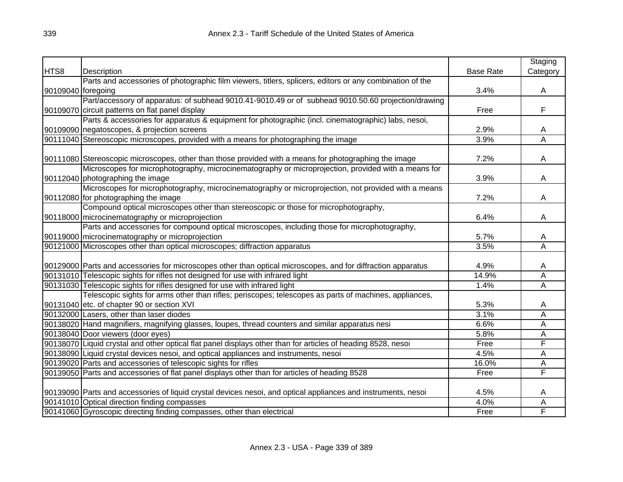|                    |                                                                                                               |                  | Staging                 |
|--------------------|---------------------------------------------------------------------------------------------------------------|------------------|-------------------------|
| HTS8               | Description                                                                                                   | <b>Base Rate</b> | Category                |
|                    | Parts and accessories of photographic film viewers, titlers, splicers, editors or any combination of the      |                  |                         |
| 90109040 foregoing |                                                                                                               | 3.4%             | A                       |
|                    | Part/accessory of apparatus: of subhead 9010.41-9010.49 or of subhead 9010.50.60 projection/drawing           |                  |                         |
|                    | 90109070 circuit patterns on flat panel display                                                               | Free             | F                       |
|                    | Parts & accessories for apparatus & equipment for photographic (incl. cinematographic) labs, nesoi,           |                  |                         |
|                    | 90109090 negatoscopes, & projection screens                                                                   | 2.9%             | A                       |
|                    | 90111040 Stereoscopic microscopes, provided with a means for photographing the image                          | 3.9%             | A                       |
|                    |                                                                                                               |                  |                         |
|                    | 90111080 Stereoscopic microscopes, other than those provided with a means for photographing the image         | 7.2%             | Α                       |
|                    | Microscopes for microphotography, microcinematography or microprojection, provided with a means for           |                  |                         |
|                    | 90112040 photographing the image                                                                              | 3.9%             | Α                       |
|                    | Microscopes for microphotography, microcinematography or microprojection, not provided with a means           |                  |                         |
|                    | 90112080 for photographing the image                                                                          | 7.2%             | A                       |
|                    | Compound optical microscopes other than stereoscopic or those for microphotography,                           |                  |                         |
|                    | 90118000 microcinematography or microprojection                                                               | 6.4%             | A                       |
|                    | Parts and accessories for compound optical microscopes, including those for microphotography,                 |                  |                         |
|                    | 90119000 microcinematography or microprojection                                                               | 5.7%             | A                       |
|                    | 90121000 Microscopes other than optical microscopes; diffraction apparatus                                    | 3.5%             | $\overline{A}$          |
|                    |                                                                                                               |                  |                         |
|                    | 90129000 Parts and accessories for microscopes other than optical microscopes, and for diffraction apparatus  | 4.9%             | A                       |
|                    | 90131010 Telescopic sights for rifles not designed for use with infrared light                                | 14.9%            | A                       |
|                    | 90131030 Telescopic sights for rifles designed for use with infrared light                                    | 1.4%             | $\overline{\mathsf{A}}$ |
|                    | Telescopic sights for arms other than rifles; periscopes; telescopes as parts of machines, appliances,        |                  |                         |
|                    | 90131040 etc. of chapter 90 or section XVI                                                                    | 5.3%             | A                       |
|                    | 90132000 Lasers, other than laser diodes                                                                      | 3.1%             | A                       |
|                    | 90138020 Hand magnifiers, magnifying glasses, loupes, thread counters and similar apparatus nesi              | 6.6%             | A                       |
|                    | 90138040 Door viewers (door eyes)                                                                             | 5.8%             | A                       |
|                    | 90138070 Liquid crystal and other optical flat panel displays other than for articles of heading 8528, nesoi  | Free             | F                       |
|                    | 90138090 Liquid crystal devices nesoi, and optical appliances and instruments, nesoi                          | 4.5%             | $\overline{A}$          |
|                    | 90139020 Parts and accessories of telescopic sights for rifles                                                | 16.0%            | Α                       |
|                    | 90139050 Parts and accessories of flat panel displays other than for articles of heading 8528                 | Free             | F                       |
|                    |                                                                                                               |                  |                         |
|                    | 90139090 Parts and accessories of liquid crystal devices nesoi, and optical appliances and instruments, nesoi | 4.5%             | A                       |
|                    | 90141010 Optical direction finding compasses                                                                  | 4.0%             | A                       |
|                    | 90141060 Gyroscopic directing finding compasses, other than electrical                                        | Free             | F                       |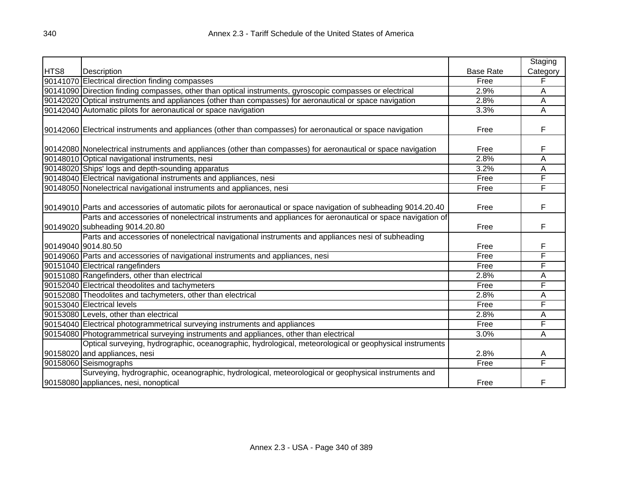|      |                                                                                                                                              |                  | Staging  |
|------|----------------------------------------------------------------------------------------------------------------------------------------------|------------------|----------|
| HTS8 | Description                                                                                                                                  | <b>Base Rate</b> | Category |
|      | 90141070 Electrical direction finding compasses                                                                                              | Free             | F        |
|      | 90141090 Direction finding compasses, other than optical instruments, gyroscopic compasses or electrical                                     | 2.9%             | A        |
|      | 90142020 Optical instruments and appliances (other than compasses) for aeronautical or space navigation                                      | 2.8%             | A        |
|      | 90142040 Automatic pilots for aeronautical or space navigation                                                                               | 3.3%             | A        |
|      | 90142060 Electrical instruments and appliances (other than compasses) for aeronautical or space navigation                                   | Free             | F        |
|      | 90142080 Nonelectrical instruments and appliances (other than compasses) for aeronautical or space navigation                                | Free             | F        |
|      | 90148010 Optical navigational instruments, nesi                                                                                              | 2.8%             | A        |
|      | 90148020 Ships' logs and depth-sounding apparatus                                                                                            | 3.2%             | A        |
|      | 90148040 Electrical navigational instruments and appliances, nesi                                                                            | Free             | F        |
|      | 90148050 Nonelectrical navigational instruments and appliances, nesi                                                                         | Free             | F        |
|      | 90149010 Parts and accessories of automatic pilots for aeronautical or space navigation of subheading 9014.20.40                             | Free             | F        |
|      | Parts and accessories of nonelectrical instruments and appliances for aeronautical or space navigation of<br>90149020 subheading 9014.20.80  | Free             | F        |
|      | Parts and accessories of nonelectrical navigational instruments and appliances nesi of subheading<br>90149040 9014.80.50                     | Free             | F        |
|      | 90149060 Parts and accessories of navigational instruments and appliances, nesi                                                              | Free             | F        |
|      | 90151040 Electrical rangefinders                                                                                                             | Free             | F        |
|      | 90151080 Rangefinders, other than electrical                                                                                                 | 2.8%             | A        |
|      | 90152040 Electrical theodolites and tachymeters                                                                                              | Free             | F        |
|      | 90152080 Theodolites and tachymeters, other than electrical                                                                                  | 2.8%             | A        |
|      | 90153040 Electrical levels                                                                                                                   | Free             | F        |
|      | 90153080 Levels, other than electrical                                                                                                       | 2.8%             | Α        |
|      | 90154040 Electrical photogrammetrical surveying instruments and appliances                                                                   | Free             | F        |
|      | 90154080 Photogrammetrical surveying instruments and appliances, other than electrical                                                       | 3.0%             | A        |
|      | Optical surveying, hydrographic, oceanographic, hydrological, meteorological or geophysical instruments                                      |                  |          |
|      | 90158020 and appliances, nesi                                                                                                                | 2.8%             | Α        |
|      | 90158060 Seismographs                                                                                                                        | Free             | F        |
|      | Surveying, hydrographic, oceanographic, hydrological, meteorological or geophysical instruments and<br>90158080 appliances, nesi, nonoptical | Free             | F        |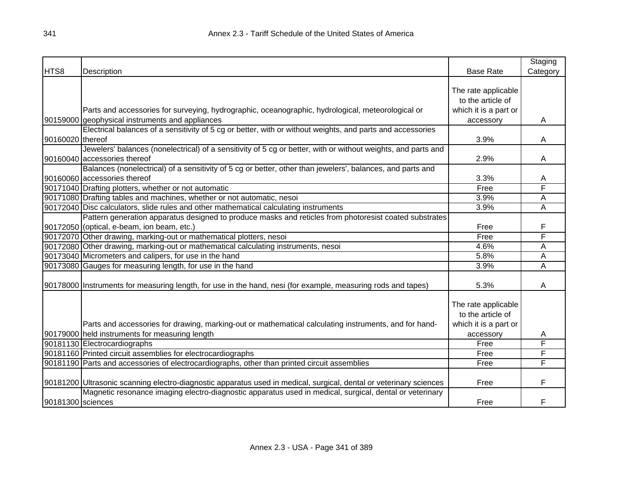|                   |                                                                                                                    |                       | Staging        |
|-------------------|--------------------------------------------------------------------------------------------------------------------|-----------------------|----------------|
| HTS8              | Description                                                                                                        | <b>Base Rate</b>      | Category       |
|                   |                                                                                                                    |                       |                |
|                   |                                                                                                                    | The rate applicable   |                |
|                   |                                                                                                                    | to the article of     |                |
|                   | Parts and accessories for surveying, hydrographic, oceanographic, hydrological, meteorological or                  | which it is a part or |                |
|                   | 90159000 geophysical instruments and appliances                                                                    | accessory             | A              |
|                   | Electrical balances of a sensitivity of 5 cg or better, with or without weights, and parts and accessories         |                       |                |
| 90160020 thereof  |                                                                                                                    | 3.9%                  | A              |
|                   | Jewelers' balances (nonelectrical) of a sensitivity of 5 cg or better, with or without weights, and parts and      |                       |                |
|                   | 90160040 accessories thereof                                                                                       | 2.9%                  | Α              |
|                   | Balances (nonelectrical) of a sensitivity of 5 cg or better, other than jewelers', balances, and parts and         |                       |                |
|                   | 90160060 accessories thereof                                                                                       | 3.3%                  | Α              |
|                   | 90171040 Drafting plotters, whether or not automatic                                                               | Free                  | F              |
|                   | 90171080 Drafting tables and machines, whether or not automatic, nesoi                                             | 3.9%                  | A              |
|                   | 90172040 Disc calculators, slide rules and other mathematical calculating instruments                              | 3.9%                  | $\overline{A}$ |
|                   | Pattern generation apparatus designed to produce masks and reticles from photoresist coated substrates             |                       |                |
|                   | 90172050 (optical, e-beam, ion beam, etc.)                                                                         | Free                  | F              |
|                   | 90172070 Other drawing, marking-out or mathematical plotters, nesoi                                                | Free                  | F              |
|                   | 90172080 Other drawing, marking-out or mathematical calculating instruments, nesoi                                 | 4.6%                  | Α              |
|                   | 90173040 Micrometers and calipers, for use in the hand                                                             | 5.8%                  | A              |
|                   | 90173080 Gauges for measuring length, for use in the hand                                                          | 3.9%                  | A              |
|                   |                                                                                                                    |                       |                |
|                   | [90178000] Instruments for measuring length, for use in the hand, nesi (for example, measuring rods and tapes)     | 5.3%                  | A              |
|                   |                                                                                                                    | The rate applicable   |                |
|                   |                                                                                                                    | to the article of     |                |
|                   |                                                                                                                    |                       |                |
|                   | Parts and accessories for drawing, marking-out or mathematical calculating instruments, and for hand-              | which it is a part or |                |
|                   | 90179000 held instruments for measuring length                                                                     | accessory             | A<br>F         |
|                   | 90181130 Electrocardiographs                                                                                       | Free                  | F              |
|                   | 90181160 Printed circuit assemblies for electrocardiographs                                                        | Free                  | F              |
|                   | 90181190 Parts and accessories of electrocardiographs, other than printed circuit assemblies                       | Free                  |                |
|                   | 90181200 Ultrasonic scanning electro-diagnostic apparatus used in medical, surgical, dental or veterinary sciences | Free                  | F              |
|                   | Magnetic resonance imaging electro-diagnostic apparatus used in medical, surgical, dental or veterinary            |                       |                |
| 90181300 sciences |                                                                                                                    | Free                  | F              |
|                   |                                                                                                                    |                       |                |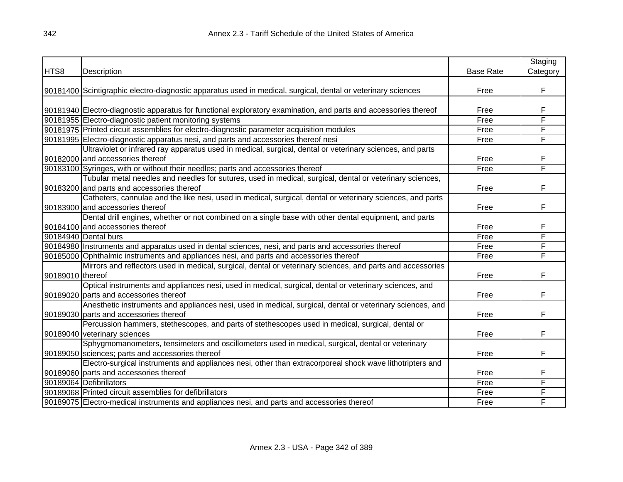|                  |                                                                                                                 |                  | Staging  |
|------------------|-----------------------------------------------------------------------------------------------------------------|------------------|----------|
| HTS8             | Description                                                                                                     | <b>Base Rate</b> | Category |
|                  |                                                                                                                 |                  |          |
|                  | 90181400 Scintigraphic electro-diagnostic apparatus used in medical, surgical, dental or veterinary sciences    | Free             | F        |
|                  |                                                                                                                 |                  |          |
|                  | 90181940 Electro-diagnostic apparatus for functional exploratory examination, and parts and accessories thereof | Free             | F        |
|                  | 90181955 Electro-diagnostic patient monitoring systems                                                          | Free             | F        |
|                  | 90181975 Printed circuit assemblies for electro-diagnostic parameter acquisition modules                        | Free             | F        |
|                  | 90181995 Electro-diagnostic apparatus nesi, and parts and accessories thereof nesi                              | Free             | F        |
|                  | Ultraviolet or infrared ray apparatus used in medical, surgical, dental or veterinary sciences, and parts       |                  |          |
|                  | 90182000 and accessories thereof                                                                                | Free             | F        |
|                  | 90183100 Syringes, with or without their needles; parts and accessories thereof                                 | Free             | F        |
|                  | Tubular metal needles and needles for sutures, used in medical, surgical, dental or veterinary sciences,        |                  |          |
|                  | 90183200 and parts and accessories thereof                                                                      | Free             | F        |
|                  | Catheters, cannulae and the like nesi, used in medical, surgical, dental or veterinary sciences, and parts      |                  |          |
|                  | 90183900 and accessories thereof                                                                                | Free             | F        |
|                  | Dental drill engines, whether or not combined on a single base with other dental equipment, and parts           |                  |          |
|                  | 90184100 and accessories thereof                                                                                | Free             | F        |
|                  | 90184940 Dental burs                                                                                            | Free             | F        |
|                  | 90184980 Instruments and apparatus used in dental sciences, nesi, and parts and accessories thereof             | Free             | F        |
|                  | 90185000 Ophthalmic instruments and appliances nesi, and parts and accessories thereof                          | Free             | F        |
|                  | Mirrors and reflectors used in medical, surgical, dental or veterinary sciences, and parts and accessories      |                  |          |
| 90189010 thereof |                                                                                                                 | Free             | F        |
|                  | Optical instruments and appliances nesi, used in medical, surgical, dental or veterinary sciences, and          |                  |          |
|                  | 90189020 parts and accessories thereof                                                                          | Free             | F        |
|                  | Anesthetic instruments and appliances nesi, used in medical, surgical, dental or veterinary sciences, and       |                  |          |
|                  | 90189030 parts and accessories thereof                                                                          | Free             | F        |
|                  | Percussion hammers, stethescopes, and parts of stethescopes used in medical, surgical, dental or                |                  |          |
|                  | 90189040 veterinary sciences                                                                                    | Free             | F        |
|                  | Sphygmomanometers, tensimeters and oscillometers used in medical, surgical, dental or veterinary                |                  |          |
|                  | 90189050 sciences; parts and accessories thereof                                                                | Free             | F        |
|                  | Electro-surgical instruments and appliances nesi, other than extracorporeal shock wave lithotripters and        |                  |          |
|                  | 90189060 parts and accessories thereof                                                                          | Free             | F        |
|                  | 90189064 Defibrillators                                                                                         | Free             | F        |
|                  | 90189068 Printed circuit assemblies for defibrillators                                                          | Free             | F        |
|                  | 90189075 Electro-medical instruments and appliances nesi, and parts and accessories thereof                     | Free             | F        |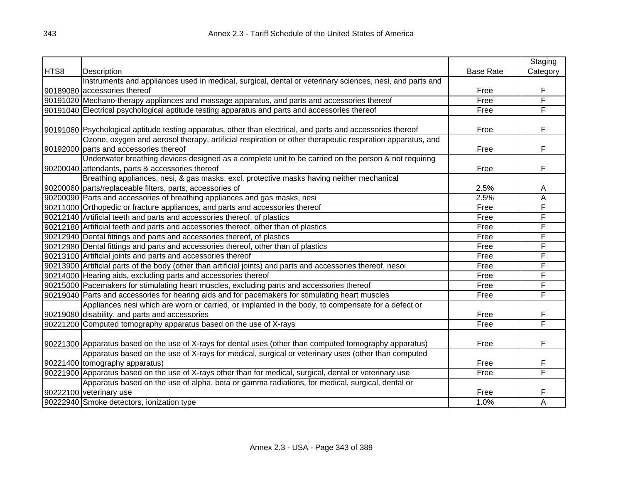|      |                                                                                                               |                  | Staging  |
|------|---------------------------------------------------------------------------------------------------------------|------------------|----------|
| HTS8 | Description                                                                                                   | <b>Base Rate</b> | Category |
|      | Instruments and appliances used in medical, surgical, dental or veterinary sciences, nesi, and parts and      |                  |          |
|      | 90189080 accessories thereof                                                                                  | Free             | F        |
|      | 90191020 Mechano-therapy appliances and massage apparatus, and parts and accessories thereof                  | Free             | F        |
|      | 90191040 Electrical psychological aptitude testing apparatus and parts and accessories thereof                | Free             | F        |
|      |                                                                                                               |                  |          |
|      | 90191060 Psychological aptitude testing apparatus, other than electrical, and parts and accessories thereof   | Free             | F        |
|      | Ozone, oxygen and aerosol therapy, artificial respiration or other therapeutic respiration apparatus, and     |                  |          |
|      | 90192000 parts and accessories thereof                                                                        | Free             | F        |
|      | Underwater breathing devices designed as a complete unit to be carried on the person & not requiring          |                  |          |
|      | 90200040 attendants, parts & accessories thereof                                                              | Free             | F        |
|      | Breathing appliances, nesi, & gas masks, excl. protective masks having neither mechanical                     |                  |          |
|      | 90200060 parts/replaceable filters, parts, accessories of                                                     | 2.5%             | Α        |
|      | 90200090 Parts and accessories of breathing appliances and gas masks, nesi                                    | 2.5%             | A        |
|      | 90211000 Orthopedic or fracture appliances, and parts and accessories thereof                                 | Free             | F        |
|      | 90212140 Artificial teeth and parts and accessories thereof, of plastics                                      | Free             | F        |
|      | 90212180 Artificial teeth and parts and accessories thereof, other than of plastics                           | Free             | F        |
|      | 90212940 Dental fittings and parts and accessories thereof, of plastics                                       | Free             | F        |
|      | 90212980 Dental fittings and parts and accessories thereof, other than of plastics                            | Free             | F        |
|      | 90213100 Artificial joints and parts and accessories thereof                                                  | Free             | F        |
|      | 90213900 Artificial parts of the body (other than artificial joints) and parts and accessories thereof, nesoi | Free             | F        |
|      | 90214000 Hearing aids, excluding parts and accessories thereof                                                | Free             | F        |
|      | 90215000 Pacemakers for stimulating heart muscles, excluding parts and accessories thereof                    | Free             | F        |
|      | 90219040 Parts and accessories for hearing aids and for pacemakers for stimulating heart muscles              | Free             | F        |
|      | Appliances nesi which are worn or carried, or implanted in the body, to compensate for a defect or            |                  |          |
|      | 90219080 disability, and parts and accessories                                                                | Free             | F        |
|      | 90221200 Computed tomography apparatus based on the use of X-rays                                             | Free             | F        |
|      |                                                                                                               |                  |          |
|      | 90221300 Apparatus based on the use of X-rays for dental uses (other than computed tomography apparatus)      | Free             | F        |
|      | Apparatus based on the use of X-rays for medical, surgical or veterinary uses (other than computed            |                  |          |
|      | 90221400 tomography apparatus)                                                                                | Free             | F        |
|      | 90221900 Apparatus based on the use of X-rays other than for medical, surgical, dental or veterinary use      | Free             | F        |
|      | Apparatus based on the use of alpha, beta or gamma radiations, for medical, surgical, dental or               |                  |          |
|      | 90222100 veterinary use                                                                                       | Free             | F        |
|      | 90222940 Smoke detectors, ionization type                                                                     | 1.0%             | A        |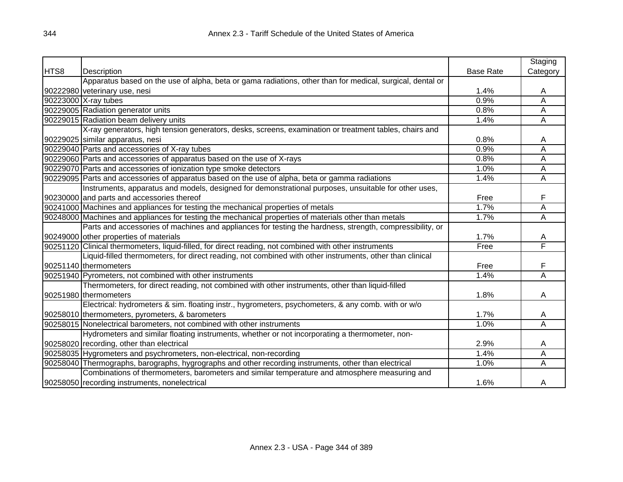|      |                                                                                                           |                  | Staging                 |
|------|-----------------------------------------------------------------------------------------------------------|------------------|-------------------------|
| HTS8 | Description                                                                                               | <b>Base Rate</b> | Category                |
|      | Apparatus based on the use of alpha, beta or gama radiations, other than for medical, surgical, dental or |                  |                         |
|      | 90222980 veterinary use, nesi                                                                             | 1.4%             | A                       |
|      | 90223000 X-ray tubes                                                                                      | 0.9%             | Α                       |
|      | 90229005 Radiation generator units                                                                        | 0.8%             | Α                       |
|      | 90229015 Radiation beam delivery units                                                                    | 1.4%             | Α                       |
|      | X-ray generators, high tension generators, desks, screens, examination or treatment tables, chairs and    |                  |                         |
|      | 90229025 similar apparatus, nesi                                                                          | 0.8%             | A                       |
|      | 90229040 Parts and accessories of X-ray tubes                                                             | 0.9%             | A                       |
|      | 90229060 Parts and accessories of apparatus based on the use of X-rays                                    | 0.8%             | Α                       |
|      | 90229070 Parts and accessories of ionization type smoke detectors                                         | 1.0%             | Α                       |
|      | 90229095 Parts and accessories of apparatus based on the use of alpha, beta or gamma radiations           | 1.4%             | Α                       |
|      | Instruments, apparatus and models, designed for demonstrational purposes, unsuitable for other uses,      |                  |                         |
|      | 90230000 and parts and accessories thereof                                                                | Free             | F                       |
|      | 90241000 Machines and appliances for testing the mechanical properties of metals                          | 1.7%             | Ā                       |
|      | 90248000 Machines and appliances for testing the mechanical properties of materials other than metals     | 1.7%             | Α                       |
|      | Parts and accessories of machines and appliances for testing the hardness, strength, compressibility, or  |                  |                         |
|      | 90249000 other properties of materials                                                                    | 1.7%             | A                       |
|      | 90251120 Clinical thermometers, liquid-filled, for direct reading, not combined with other instruments    | Free             | F                       |
|      | Liquid-filled thermometers, for direct reading, not combined with other instruments, other than clinical  |                  |                         |
|      | 90251140 thermometers                                                                                     | Free             | F                       |
|      | 90251940 Pyrometers, not combined with other instruments                                                  | 1.4%             | $\overline{\mathsf{A}}$ |
|      | Thermometers, for direct reading, not combined with other instruments, other than liquid-filled           |                  |                         |
|      | 90251980 thermometers                                                                                     | 1.8%             | Α                       |
|      | Electrical: hydrometers & sim. floating instr., hygrometers, psychometers, & any comb. with or w/o        |                  |                         |
|      | 90258010 thermometers, pyrometers, & barometers                                                           | 1.7%             | A                       |
|      | 90258015 Nonelectrical barometers, not combined with other instruments                                    | 1.0%             | Α                       |
|      | Hydrometers and similar floating instruments, whether or not incorporating a thermometer, non-            |                  |                         |
|      | 90258020 recording, other than electrical                                                                 | 2.9%             | A                       |
|      | 90258035 Hygrometers and psychrometers, non-electrical, non-recording                                     | 1.4%             | Α                       |
|      | 90258040 Thermographs, barographs, hygrographs and other recording instruments, other than electrical     | 1.0%             | Α                       |
|      | Combinations of thermometers, barometers and similar temperature and atmosphere measuring and             |                  |                         |
|      | 90258050 recording instruments, nonelectrical                                                             | 1.6%             | A                       |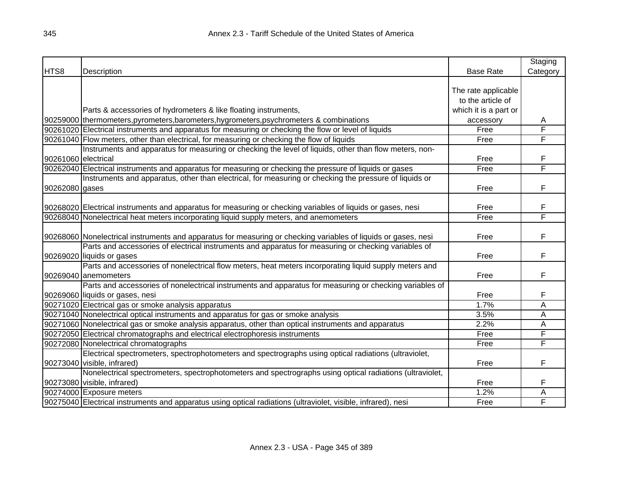|                     |                                                                                                                |                       | Staging  |
|---------------------|----------------------------------------------------------------------------------------------------------------|-----------------------|----------|
| HTS8                | Description                                                                                                    | <b>Base Rate</b>      | Category |
|                     |                                                                                                                |                       |          |
|                     |                                                                                                                | The rate applicable   |          |
|                     |                                                                                                                | to the article of     |          |
|                     | Parts & accessories of hydrometers & like floating instruments,                                                | which it is a part or |          |
|                     | 90259000 thermometers, pyrometers, barometers, hygrometers, psychrometers & combinations                       | accessory             | A        |
|                     | 90261020 Electrical instruments and apparatus for measuring or checking the flow or level of liquids           | Free                  | F        |
|                     | 90261040 Flow meters, other than electrical, for measuring or checking the flow of liquids                     | Free                  | F        |
|                     | Instruments and apparatus for measuring or checking the level of liquids, other than flow meters, non-         |                       |          |
| 90261060 electrical |                                                                                                                | Free                  | F        |
|                     | 90262040 Electrical instruments and apparatus for measuring or checking the pressure of liquids or gases       | Free                  | F        |
|                     | Instruments and apparatus, other than electrical, for measuring or checking the pressure of liquids or         |                       |          |
| 90262080 gases      |                                                                                                                | Free                  | F        |
|                     |                                                                                                                |                       |          |
|                     | 90268020 Electrical instruments and apparatus for measuring or checking variables of liquids or gases, nesi    | Free                  | F        |
|                     | 90268040 Nonelectrical heat meters incorporating liquid supply meters, and anemometers                         | Free                  | F        |
|                     |                                                                                                                |                       |          |
|                     | 90268060 Nonelectrical instruments and apparatus for measuring or checking variables of liquids or gases, nesi | Free                  | F        |
|                     | Parts and accessories of electrical instruments and apparatus for measuring or checking variables of           |                       |          |
|                     | 90269020 liquids or gases                                                                                      | Free                  | F        |
|                     | Parts and accessories of nonelectrical flow meters, heat meters incorporating liquid supply meters and         |                       |          |
|                     | 90269040 anemometers                                                                                           | Free                  | F        |
|                     | Parts and accessories of nonelectrical instruments and apparatus for measuring or checking variables of        |                       |          |
|                     | 90269060 liquids or gases, nesi                                                                                | Free                  | F        |
|                     | 90271020 Electrical gas or smoke analysis apparatus                                                            | 1.7%                  | Α        |
|                     | 90271040 Nonelectrical optical instruments and apparatus for gas or smoke analysis                             | 3.5%                  | A        |
|                     | 90271060 Nonelectrical gas or smoke analysis apparatus, other than optical instruments and apparatus           | 2.2%                  | Α        |
|                     | 90272050 Electrical chromatographs and electrical electrophoresis instruments                                  | Free                  | F        |
|                     | 90272080 Nonelectrical chromatographs                                                                          | Free                  | F        |
|                     | Electrical spectrometers, spectrophotometers and spectrographs using optical radiations (ultraviolet,          |                       |          |
|                     | 90273040 visible, infrared)                                                                                    | Free                  | F        |
|                     | Nonelectrical spectrometers, spectrophotometers and spectrographs using optical radiations (ultraviolet,       |                       |          |
|                     | 90273080 visible, infrared)                                                                                    | Free                  | F        |
|                     | 90274000 Exposure meters                                                                                       | 1.2%                  | Α        |
|                     | 90275040 Electrical instruments and apparatus using optical radiations (ultraviolet, visible, infrared), nesi  | Free                  | F        |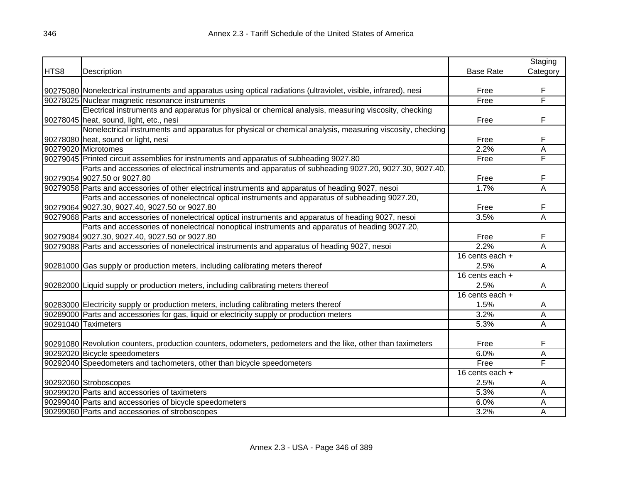|      |                                                                                                                  |                   | Staging        |
|------|------------------------------------------------------------------------------------------------------------------|-------------------|----------------|
| HTS8 | Description                                                                                                      | <b>Base Rate</b>  | Category       |
|      |                                                                                                                  |                   |                |
|      | 90275080 Nonelectrical instruments and apparatus using optical radiations (ultraviolet, visible, infrared), nesi | Free              | F              |
|      | 90278025 Nuclear magnetic resonance instruments                                                                  | Free              | F              |
|      | Electrical instruments and apparatus for physical or chemical analysis, measuring viscosity, checking            |                   |                |
|      | 90278045 heat, sound, light, etc., nesi                                                                          | Free              | F              |
|      | Nonelectrical instruments and apparatus for physical or chemical analysis, measuring viscosity, checking         |                   |                |
|      | 90278080 heat, sound or light, nesi                                                                              | Free              | F              |
|      | 90279020 Microtomes                                                                                              | 2.2%              | A              |
|      | 90279045 Printed circuit assemblies for instruments and apparatus of subheading 9027.80                          | Free              | F              |
|      | Parts and accessories of electrical instruments and apparatus of subheading 9027.20, 9027.30, 9027.40,           |                   |                |
|      | 90279054 9027.50 or 9027.80                                                                                      | Free              | F              |
|      | 90279058 Parts and accessories of other electrical instruments and apparatus of heading 9027, nesoi              | 1.7%              | A              |
|      | Parts and accessories of nonelectrical optical instruments and apparatus of subheading 9027.20,                  |                   |                |
|      | 90279064 9027.30, 9027.40, 9027.50 or 9027.80                                                                    | Free              | F              |
|      | 90279068 Parts and accessories of nonelectrical optical instruments and apparatus of heading 9027, nesoi         | 3.5%              | $\overline{A}$ |
|      | Parts and accessories of nonelectrical nonoptical instruments and apparatus of heading 9027.20,                  |                   |                |
|      | 90279084 9027.30, 9027.40, 9027.50 or 9027.80                                                                    | Free              | F              |
|      | 90279088 Parts and accessories of nonelectrical instruments and apparatus of heading 9027, nesoi                 | 2.2%              | $\overline{A}$ |
|      |                                                                                                                  | 16 cents each $+$ |                |
|      | 90281000 Gas supply or production meters, including calibrating meters thereof                                   | 2.5%              | A              |
|      |                                                                                                                  | 16 cents each +   |                |
|      | 90282000 Liquid supply or production meters, including calibrating meters thereof                                | 2.5%              | A              |
|      |                                                                                                                  | 16 cents each +   |                |
|      | 90283000 Electricity supply or production meters, including calibrating meters thereof                           | 1.5%              | A              |
|      | 90289000 Parts and accessories for gas, liquid or electricity supply or production meters                        | 3.2%              | A              |
|      | 90291040 Taximeters                                                                                              | 5.3%              | A              |
|      |                                                                                                                  |                   |                |
|      | 90291080 Revolution counters, production counters, odometers, pedometers and the like, other than taximeters     | Free              | F              |
|      | 90292020 Bicycle speedometers                                                                                    | 6.0%              | A              |
|      | 90292040 Speedometers and tachometers, other than bicycle speedometers                                           | Free              | F              |
|      |                                                                                                                  | 16 cents each +   |                |
|      | 90292060 Stroboscopes                                                                                            | 2.5%              | A              |
|      | 90299020 Parts and accessories of taximeters                                                                     | 5.3%              | A              |
|      | 90299040 Parts and accessories of bicycle speedometers                                                           | 6.0%              | A              |
|      | 90299060 Parts and accessories of stroboscopes                                                                   | 3.2%              | Α              |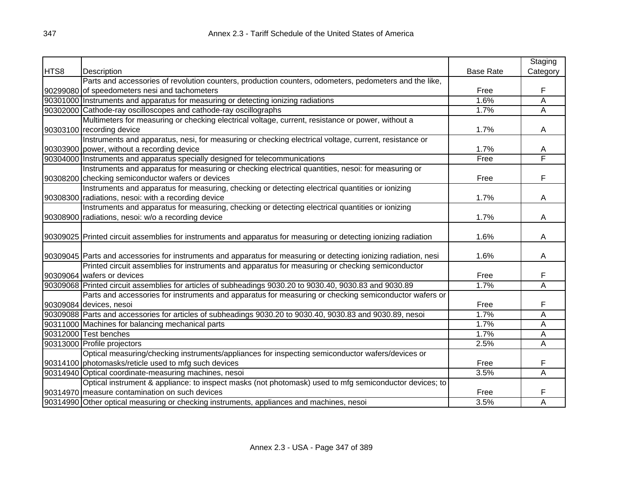|      |                                                                                                                  |                  | Staging                 |
|------|------------------------------------------------------------------------------------------------------------------|------------------|-------------------------|
| HTS8 | Description                                                                                                      | <b>Base Rate</b> | Category                |
|      | Parts and accessories of revolution counters, production counters, odometers, pedometers and the like,           |                  |                         |
|      | 90299080 of speedometers nesi and tachometers                                                                    | Free             | F                       |
|      | 90301000 Instruments and apparatus for measuring or detecting ionizing radiations                                | 1.6%             | A                       |
|      | 90302000 Cathode-ray oscilloscopes and cathode-ray oscillographs                                                 | 1.7%             | Α                       |
|      | Multimeters for measuring or checking electrical voltage, current, resistance or power, without a                |                  |                         |
|      | 90303100 recording device                                                                                        | 1.7%             | A                       |
|      | Instruments and apparatus, nesi, for measuring or checking electrical voltage, current, resistance or            |                  |                         |
|      | 90303900 power, without a recording device                                                                       | 1.7%             | A                       |
|      | 90304000 Instruments and apparatus specially designed for telecommunications                                     | Free             | F                       |
|      | Instruments and apparatus for measuring or checking electrical quantities, nesoi: for measuring or               |                  |                         |
|      | 90308200 checking semiconductor wafers or devices                                                                | Free             | F                       |
|      | Instruments and apparatus for measuring, checking or detecting electrical quantities or ionizing                 |                  |                         |
|      | 90308300 radiations, nesoi: with a recording device                                                              | 1.7%             | A                       |
|      | Instruments and apparatus for measuring, checking or detecting electrical quantities or ionizing                 |                  |                         |
|      | 90308900 radiations, nesoi: w/o a recording device                                                               | 1.7%             | A                       |
|      |                                                                                                                  |                  |                         |
|      | 90309025 Printed circuit assemblies for instruments and apparatus for measuring or detecting ionizing radiation  | 1.6%             | A                       |
|      |                                                                                                                  |                  |                         |
|      | 90309045 Parts and accessories for instruments and apparatus for measuring or detecting ionizing radiation, nesi | 1.6%             | A                       |
|      | Printed circuit assemblies for instruments and apparatus for measuring or checking semiconductor                 |                  |                         |
|      | 90309064 wafers or devices                                                                                       | Free             | F                       |
|      | 90309068 Printed circuit assemblies for articles of subheadings 9030.20 to 9030.40, 9030.83 and 9030.89          | 1.7%             | Α                       |
|      | Parts and accessories for instruments and apparatus for measuring or checking semiconductor wafers or            |                  |                         |
|      | 90309084 devices, nesoi                                                                                          | Free             | F                       |
|      | 90309088 Parts and accessories for articles of subheadings 9030.20 to 9030.40, 9030.83 and 9030.89, nesoi        | 1.7%             | $\overline{\mathsf{A}}$ |
|      | 90311000 Machines for balancing mechanical parts                                                                 | 1.7%             | A                       |
|      | 90312000 Test benches                                                                                            | 1.7%             | Ā                       |
|      | 90313000 Profile projectors                                                                                      | 2.5%             | Α                       |
|      | Optical measuring/checking instruments/appliances for inspecting semiconductor wafers/devices or                 |                  |                         |
|      | 90314100 photomasks/reticle used to mfg such devices                                                             | Free             | F                       |
|      | 90314940 Optical coordinate-measuring machines, nesoi                                                            | 3.5%             | A                       |
|      | Optical instrument & appliance: to inspect masks (not photomask) used to mfg semiconductor devices; to           |                  |                         |
|      | 90314970 measure contamination on such devices                                                                   | Free             | F                       |
|      | 90314990 Other optical measuring or checking instruments, appliances and machines, nesoi                         | 3.5%             | A                       |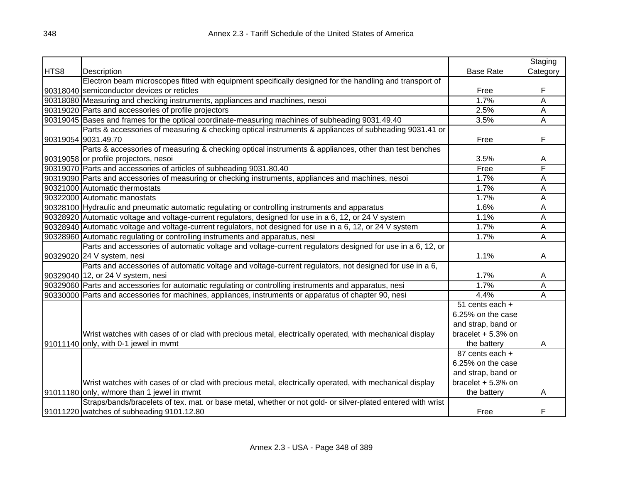|      |                                                                                                             |                     | Staging        |
|------|-------------------------------------------------------------------------------------------------------------|---------------------|----------------|
| HTS8 | Description                                                                                                 | <b>Base Rate</b>    | Category       |
|      | Electron beam microscopes fitted with equipment specifically designed for the handling and transport of     |                     |                |
|      | 90318040 semiconductor devices or reticles                                                                  | Free                | F              |
|      | 90318080 Measuring and checking instruments, appliances and machines, nesoi                                 | 1.7%                | A              |
|      | 90319020 Parts and accessories of profile projectors                                                        | 2.5%                | A              |
|      | 90319045 Bases and frames for the optical coordinate-measuring machines of subheading 9031.49.40            | 3.5%                | $\overline{A}$ |
|      | Parts & accessories of measuring & checking optical instruments & appliances of subheading 9031.41 or       |                     |                |
|      | 90319054 9031.49.70                                                                                         | Free                | F              |
|      | Parts & accessories of measuring & checking optical instruments & appliances, other than test benches       |                     |                |
|      | 90319058 or profile projectors, nesoi                                                                       | 3.5%                | A              |
|      | 90319070 Parts and accessories of articles of subheading 9031.80.40                                         | Free                | F              |
|      | 90319090 Parts and accessories of measuring or checking instruments, appliances and machines, nesoi         | 1.7%                | Α              |
|      | 90321000 Automatic thermostats                                                                              | 1.7%                | A              |
|      | 90322000 Automatic manostats                                                                                | 1.7%                | A              |
|      | 90328100 Hydraulic and pneumatic automatic regulating or controlling instruments and apparatus              | 1.6%                | A              |
|      | 90328920 Automatic voltage and voltage-current regulators, designed for use in a 6, 12, or 24 V system      | 1.1%                | A              |
|      | 90328940 Automatic voltage and voltage-current regulators, not designed for use in a 6, 12, or 24 V system  | 1.7%                | A              |
|      | 90328960 Automatic regulating or controlling instruments and apparatus, nesi                                | 1.7%                | $\overline{A}$ |
|      | Parts and accessories of automatic voltage and voltage-current regulators designed for use in a 6, 12, or   |                     |                |
|      | 90329020 24 V system, nesi                                                                                  | 1.1%                | A              |
|      | Parts and accessories of automatic voltage and voltage-current regulators, not designed for use in a 6,     |                     |                |
|      | 90329040 12, or 24 V system, nesi                                                                           | 1.7%                | A              |
|      | 90329060 Parts and accessories for automatic regulating or controlling instruments and apparatus, nesi      | 1.7%                | A              |
|      | 90330000 Parts and accessories for machines, appliances, instruments or apparatus of chapter 90, nesi       | 4.4%                | A              |
|      |                                                                                                             | 51 cents each +     |                |
|      |                                                                                                             | 6.25% on the case   |                |
|      |                                                                                                             | and strap, band or  |                |
|      | Wrist watches with cases of or clad with precious metal, electrically operated, with mechanical display     | bracelet $+5.3%$ on |                |
|      | 91011140 only, with 0-1 jewel in mymt                                                                       | the battery         | A              |
|      |                                                                                                             | 87 cents each +     |                |
|      |                                                                                                             | 6.25% on the case   |                |
|      |                                                                                                             | and strap, band or  |                |
|      | Wrist watches with cases of or clad with precious metal, electrically operated, with mechanical display     | bracelet $+5.3%$ on |                |
|      | 91011180 only, w/more than 1 jewel in mymt                                                                  | the battery         | A              |
|      | Straps/bands/bracelets of tex. mat. or base metal, whether or not gold- or silver-plated entered with wrist |                     |                |
|      | 91011220 watches of subheading 9101.12.80                                                                   | Free                | F              |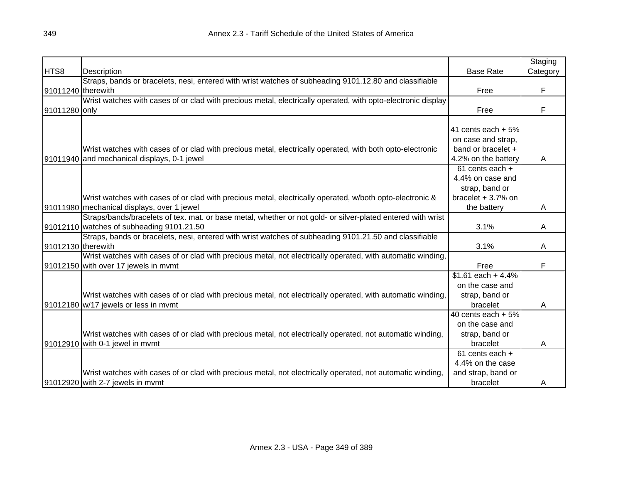|                    |                                                                                                              |                      | Staging  |
|--------------------|--------------------------------------------------------------------------------------------------------------|----------------------|----------|
| HTS8               | Description                                                                                                  | <b>Base Rate</b>     | Category |
|                    | Straps, bands or bracelets, nesi, entered with wrist watches of subheading 9101.12.80 and classifiable       |                      |          |
| 91011240 therewith |                                                                                                              | Free                 | F        |
|                    | Wrist watches with cases of or clad with precious metal, electrically operated, with opto-electronic display |                      |          |
| 91011280 only      |                                                                                                              | Free                 | F        |
|                    |                                                                                                              |                      |          |
|                    |                                                                                                              | 41 cents each $+5%$  |          |
|                    |                                                                                                              | on case and strap,   |          |
|                    | Wrist watches with cases of or clad with precious metal, electrically operated, with both opto-electronic    | band or bracelet +   |          |
|                    | 91011940 and mechanical displays, 0-1 jewel                                                                  | 4.2% on the battery  | A        |
|                    |                                                                                                              | 61 cents each +      |          |
|                    |                                                                                                              | 4.4% on case and     |          |
|                    |                                                                                                              | strap, band or       |          |
|                    | Wrist watches with cases of or clad with precious metal, electrically operated, w/both opto-electronic &     | bracelet $+3.7%$ on  |          |
|                    | 91011980 mechanical displays, over 1 jewel                                                                   | the battery          | A        |
|                    | Straps/bands/bracelets of tex. mat. or base metal, whether or not gold- or silver-plated entered with wrist  |                      |          |
|                    | 91012110 watches of subheading 9101.21.50                                                                    | 3.1%                 | A        |
|                    | Straps, bands or bracelets, nesi, entered with wrist watches of subheading 9101.21.50 and classifiable       |                      |          |
| 91012130 therewith |                                                                                                              | 3.1%                 | A        |
|                    | Wrist watches with cases of or clad with precious metal, not electrically operated, with automatic winding,  |                      |          |
|                    | 91012150 with over 17 jewels in mymt                                                                         | Free                 | F        |
|                    |                                                                                                              | $$1.61$ each + 4.4%  |          |
|                    |                                                                                                              | on the case and      |          |
|                    | Wrist watches with cases of or clad with precious metal, not electrically operated, with automatic winding,  | strap, band or       |          |
|                    | 91012180 w/17 jewels or less in mymt                                                                         | bracelet             | A        |
|                    |                                                                                                              | 40 cents each $+5\%$ |          |
|                    |                                                                                                              | on the case and      |          |
|                    | Wrist watches with cases of or clad with precious metal, not electrically operated, not automatic winding,   | strap, band or       |          |
|                    | 91012910 with 0-1 jewel in mymt                                                                              | bracelet             | A        |
|                    |                                                                                                              | $61$ cents each $+$  |          |
|                    |                                                                                                              | 4.4% on the case     |          |
|                    | Wrist watches with cases of or clad with precious metal, not electrically operated, not automatic winding,   | and strap, band or   |          |
|                    | 91012920 with 2-7 jewels in mymt                                                                             | bracelet             | A        |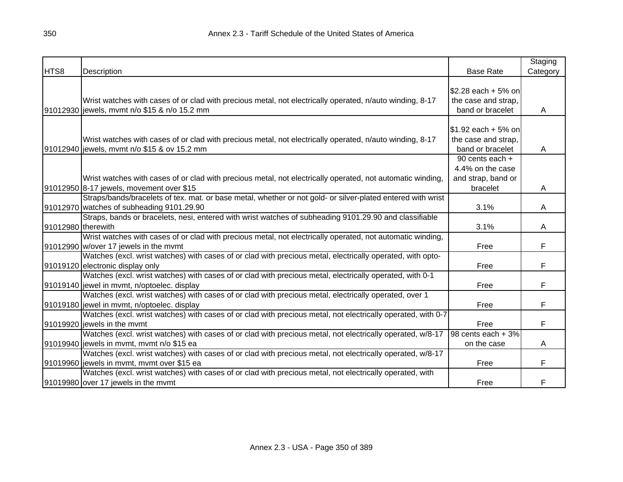|                    |                                                                                                                                                          |                                                                       | Staging  |
|--------------------|----------------------------------------------------------------------------------------------------------------------------------------------------------|-----------------------------------------------------------------------|----------|
| HTS8               | Description                                                                                                                                              | <b>Base Rate</b>                                                      | Category |
|                    | Wrist watches with cases of or clad with precious metal, not electrically operated, n/auto winding, 8-17<br>91012930 jewels, mvmt n/o \$15 & n/o 15.2 mm | $$2.28$ each + 5% on<br>the case and strap,<br>band or bracelet       | A        |
|                    | Wrist watches with cases of or clad with precious metal, not electrically operated, n/auto winding, 8-17<br>91012940 jewels, mvmt n/o \$15 & ov 15.2 mm  | \$1.92 each + 5% on<br>the case and strap,<br>band or bracelet        | A        |
|                    | Wrist watches with cases of or clad with precious metal, not electrically operated, not automatic winding,<br>91012950 8-17 jewels, movement over \$15   | 90 cents each +<br>4.4% on the case<br>and strap, band or<br>bracelet | A        |
|                    | Straps/bands/bracelets of tex. mat. or base metal, whether or not gold- or silver-plated entered with wrist<br>91012970 watches of subheading 9101.29.90 | 3.1%                                                                  | A        |
| 91012980 therewith | Straps, bands or bracelets, nesi, entered with wrist watches of subheading 9101.29.90 and classifiable                                                   | 3.1%                                                                  | A        |
|                    | Wrist watches with cases of or clad with precious metal, not electrically operated, not automatic winding,<br>91012990 w/over 17 jewels in the mymt      | Free                                                                  | F        |
|                    | Watches (excl. wrist watches) with cases of or clad with precious metal, electrically operated, with opto-<br>91019120 electronic display only           | Free                                                                  | F        |
|                    | Watches (excl. wrist watches) with cases of or clad with precious metal, electrically operated, with 0-1<br>91019140 jewel in mymt, n/optoelec. display  | Free                                                                  | F        |
|                    | Watches (excl. wrist watches) with cases of or clad with precious metal, electrically operated, over 1<br>91019180 jewel in mvmt, n/optoelec. display    | Free                                                                  | F        |
|                    | Watches (excl. wrist watches) with cases of or clad with precious metal, not electrically operated, with 0-7<br>91019920 jewels in the mymt              | Free                                                                  | F        |
|                    | Watches (excl. wrist watches) with cases of or clad with precious metal, not electrically operated, w/8-17<br>91019940 jewels in mymt, mymt n/o \$15 ea  | 98 cents each $+3%$<br>on the case                                    | A        |
|                    | Watches (excl. wrist watches) with cases of or clad with precious metal, not electrically operated, w/8-17<br>91019960 jewels in mvmt, mvmt over \$15 ea | Free                                                                  | F        |
|                    | Watches (excl. wrist watches) with cases of or clad with precious metal, not electrically operated, with<br>91019980 over 17 jewels in the mymt          | Free                                                                  | F        |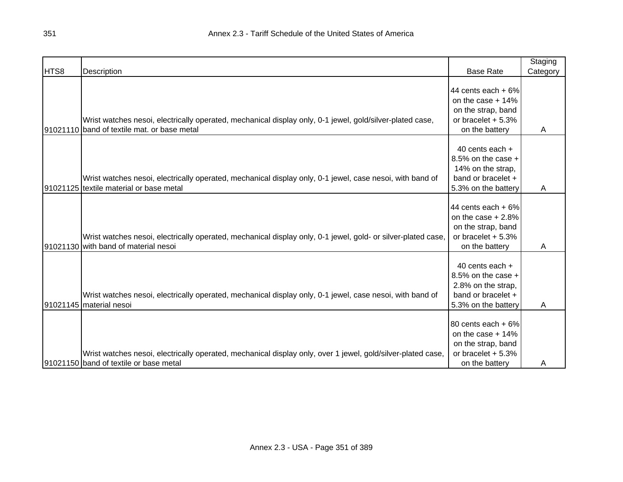|      |                                                                                                              |                     | Staging  |
|------|--------------------------------------------------------------------------------------------------------------|---------------------|----------|
| HTS8 | Description                                                                                                  | <b>Base Rate</b>    | Category |
|      |                                                                                                              |                     |          |
|      |                                                                                                              | 44 cents each $+6%$ |          |
|      |                                                                                                              | on the case $+14%$  |          |
|      |                                                                                                              | on the strap, band  |          |
|      | Wrist watches nesoi, electrically operated, mechanical display only, 0-1 jewel, gold/silver-plated case,     | or bracelet $+5.3%$ |          |
|      | 91021110 band of textile mat. or base metal                                                                  | on the battery      | Α        |
|      |                                                                                                              |                     |          |
|      |                                                                                                              | 40 cents each +     |          |
|      |                                                                                                              | 8.5% on the case +  |          |
|      |                                                                                                              | 14% on the strap,   |          |
|      | Wrist watches nesoi, electrically operated, mechanical display only, 0-1 jewel, case nesoi, with band of     | band or bracelet +  |          |
|      | 91021125 textile material or base metal                                                                      | 5.3% on the battery | A        |
|      |                                                                                                              |                     |          |
|      |                                                                                                              | 44 cents each $+6%$ |          |
|      |                                                                                                              | on the case $+2.8%$ |          |
|      |                                                                                                              | on the strap, band  |          |
|      | Wrist watches nesoi, electrically operated, mechanical display only, 0-1 jewel, gold- or silver-plated case, | or bracelet $+5.3%$ |          |
|      | 91021130 with band of material nesoi                                                                         | on the battery      | Α        |
|      |                                                                                                              |                     |          |
|      |                                                                                                              | 40 cents each +     |          |
|      |                                                                                                              | 8.5% on the case +  |          |
|      |                                                                                                              | 2.8% on the strap,  |          |
|      | Wrist watches nesoi, electrically operated, mechanical display only, 0-1 jewel, case nesoi, with band of     | band or bracelet +  |          |
|      | 91021145 material nesoi                                                                                      | 5.3% on the battery | A        |
|      |                                                                                                              |                     |          |
|      |                                                                                                              | 80 cents each + 6%  |          |
|      |                                                                                                              | on the case $+14%$  |          |
|      |                                                                                                              | on the strap, band  |          |
|      | Wrist watches nesoi, electrically operated, mechanical display only, over 1 jewel, gold/silver-plated case,  | or bracelet $+5.3%$ |          |
|      | 91021150 band of textile or base metal                                                                       | on the battery      | A        |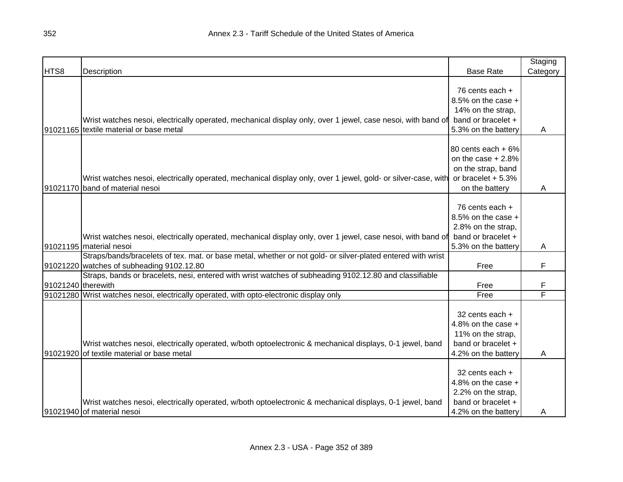|                    |                                                                                                               |                      | Staging  |
|--------------------|---------------------------------------------------------------------------------------------------------------|----------------------|----------|
| HTS8               | Description                                                                                                   | <b>Base Rate</b>     | Category |
|                    |                                                                                                               |                      |          |
|                    |                                                                                                               | 76 cents each +      |          |
|                    |                                                                                                               | 8.5% on the case +   |          |
|                    |                                                                                                               | 14% on the strap,    |          |
|                    | Wrist watches nesoi, electrically operated, mechanical display only, over 1 jewel, case nesoi, with band of   | band or bracelet +   |          |
|                    | 91021165 textile material or base metal                                                                       | 5.3% on the battery  | A        |
|                    |                                                                                                               |                      |          |
|                    |                                                                                                               | 80 cents each + 6%   |          |
|                    |                                                                                                               | on the case $+2.8%$  |          |
|                    |                                                                                                               | on the strap, band   |          |
|                    | Wrist watches nesoi, electrically operated, mechanical display only, over 1 jewel, gold- or silver-case, with | or bracelet $+5.3%$  |          |
|                    | 91021170 band of material nesoi                                                                               | on the battery       | A        |
|                    |                                                                                                               |                      |          |
|                    |                                                                                                               | 76 cents each +      |          |
|                    |                                                                                                               | 8.5% on the case +   |          |
|                    |                                                                                                               | 2.8% on the strap,   |          |
|                    | Wrist watches nesoi, electrically operated, mechanical display only, over 1 jewel, case nesoi, with band of   | band or bracelet +   |          |
|                    | 91021195 material nesoi                                                                                       | 5.3% on the battery  | A        |
|                    | Straps/bands/bracelets of tex. mat. or base metal, whether or not gold- or silver-plated entered with wrist   |                      |          |
|                    | 91021220 watches of subheading 9102.12.80                                                                     | Free                 | F        |
|                    | Straps, bands or bracelets, nesi, entered with wrist watches of subheading 9102.12.80 and classifiable        |                      |          |
| 91021240 therewith |                                                                                                               | Free                 | F        |
|                    | 91021280 Wrist watches nesoi, electrically operated, with opto-electronic display only                        | Free                 | F        |
|                    |                                                                                                               |                      |          |
|                    |                                                                                                               | 32 cents each +      |          |
|                    |                                                                                                               | 4.8% on the case $+$ |          |
|                    |                                                                                                               | 11% on the strap,    |          |
|                    | Wrist watches nesoi, electrically operated, w/both optoelectronic & mechanical displays, 0-1 jewel, band      | band or bracelet +   |          |
|                    | 91021920 of textile material or base metal                                                                    | 4.2% on the battery  | A        |
|                    |                                                                                                               |                      |          |
|                    |                                                                                                               | 32 cents each +      |          |
|                    |                                                                                                               | 4.8% on the case +   |          |
|                    |                                                                                                               | 2.2% on the strap,   |          |
|                    | Wrist watches nesoi, electrically operated, w/both optoelectronic & mechanical displays, 0-1 jewel, band      | band or bracelet +   |          |
|                    | 91021940 of material nesoi                                                                                    | 4.2% on the battery  | A        |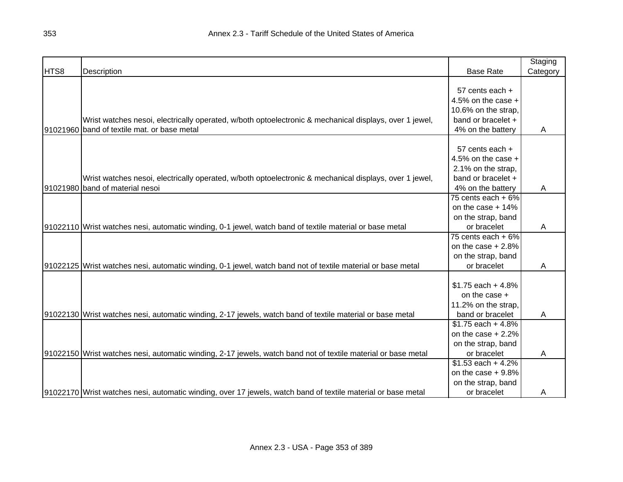|      |                                                                                                                |                      | Staging  |
|------|----------------------------------------------------------------------------------------------------------------|----------------------|----------|
| HTS8 | Description                                                                                                    | <b>Base Rate</b>     | Category |
|      |                                                                                                                |                      |          |
|      |                                                                                                                | 57 cents each +      |          |
|      |                                                                                                                | 4.5% on the case $+$ |          |
|      |                                                                                                                | 10.6% on the strap.  |          |
|      | Wrist watches nesoi, electrically operated, w/both optoelectronic & mechanical displays, over 1 jewel,         | band or bracelet +   |          |
|      | 91021960 band of textile mat. or base metal                                                                    | 4% on the battery    | Α        |
|      |                                                                                                                |                      |          |
|      |                                                                                                                | 57 cents each +      |          |
|      |                                                                                                                | 4.5% on the case $+$ |          |
|      |                                                                                                                | 2.1% on the strap,   |          |
|      | Wrist watches nesoi, electrically operated, w/both optoelectronic & mechanical displays, over 1 jewel,         | band or bracelet +   |          |
|      | 91021980 band of material nesoi                                                                                | 4% on the battery    | A        |
|      |                                                                                                                | 75 cents each $+6\%$ |          |
|      |                                                                                                                | on the case $+14%$   |          |
|      |                                                                                                                | on the strap, band   |          |
|      | 91022110 Wrist watches nesi, automatic winding, 0-1 jewel, watch band of textile material or base metal        | or bracelet          | A        |
|      |                                                                                                                | 75 cents each $+6\%$ |          |
|      |                                                                                                                | on the case $+2.8%$  |          |
|      |                                                                                                                | on the strap, band   |          |
|      | 91022125 Wrist watches nesi, automatic winding, 0-1 jewel, watch band not of textile material or base metal    | or bracelet          | Α        |
|      |                                                                                                                |                      |          |
|      |                                                                                                                | $$1.75$ each + 4.8%  |          |
|      |                                                                                                                | on the case +        |          |
|      |                                                                                                                | 11.2% on the strap,  |          |
|      | 91022130 Wrist watches nesi, automatic winding, 2-17 jewels, watch band of textile material or base metal      | band or bracelet     | A        |
|      |                                                                                                                | $$1.75$ each + 4.8%  |          |
|      |                                                                                                                | on the case $+2.2%$  |          |
|      |                                                                                                                | on the strap, band   |          |
|      | 91022150 Wrist watches nesi, automatic winding, 2-17 jewels, watch band not of textile material or base metal  | or bracelet          | A        |
|      |                                                                                                                | $$1.53$ each + 4.2%  |          |
|      |                                                                                                                | on the case $+9.8%$  |          |
|      |                                                                                                                | on the strap, band   |          |
|      | [91022170] Wrist watches nesi, automatic winding, over 17 jewels, watch band of textile material or base metal | or bracelet          | A        |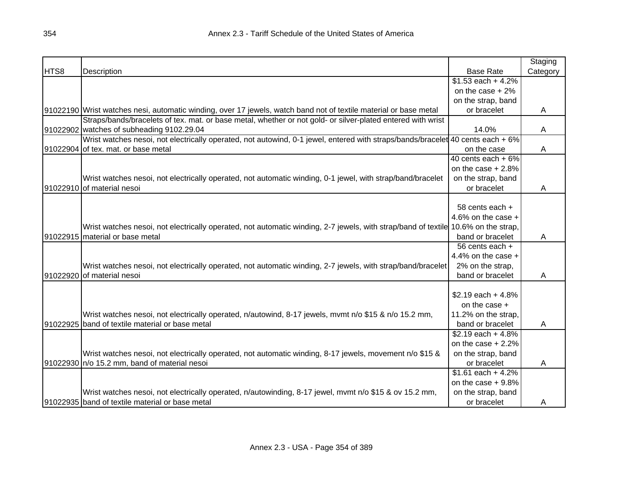|      |                                                                                                                                   |                      | Staging  |
|------|-----------------------------------------------------------------------------------------------------------------------------------|----------------------|----------|
| HTS8 | Description                                                                                                                       | <b>Base Rate</b>     | Category |
|      |                                                                                                                                   | $$1.53$ each + 4.2%  |          |
|      |                                                                                                                                   | on the case $+2\%$   |          |
|      |                                                                                                                                   | on the strap, band   |          |
|      | [91022190]Wrist watches nesi, automatic winding, over 17 jewels, watch band not of textile material or base metal                 | or bracelet          | A        |
|      | Straps/bands/bracelets of tex. mat. or base metal, whether or not gold- or silver-plated entered with wrist                       |                      |          |
|      | 91022902 watches of subheading 9102.29.04                                                                                         | 14.0%                | A        |
|      | Wrist watches nesoi, not electrically operated, not autowind, 0-1 jewel, entered with straps/bands/bracelet 40 cents each + 6%    |                      |          |
|      | 91022904 of tex. mat. or base metal                                                                                               | on the case          | A        |
|      |                                                                                                                                   | 40 cents each $+6\%$ |          |
|      |                                                                                                                                   | on the case $+2.8%$  |          |
|      | Wrist watches nesoi, not electrically operated, not automatic winding, 0-1 jewel, with strap/band/bracelet                        | on the strap, band   |          |
|      | 91022910 of material nesoi                                                                                                        | or bracelet          | Α        |
|      |                                                                                                                                   |                      |          |
|      |                                                                                                                                   | 58 cents each +      |          |
|      |                                                                                                                                   | 4.6% on the case $+$ |          |
|      | Wrist watches nesoi, not electrically operated, not automatic winding, 2-7 jewels, with strap/band of textile 10.6% on the strap, |                      |          |
|      | 91022915 material or base metal                                                                                                   | band or bracelet     | A        |
|      |                                                                                                                                   | 56 cents each +      |          |
|      |                                                                                                                                   | 4.4% on the case +   |          |
|      | Wrist watches nesoi, not electrically operated, not automatic winding, 2-7 jewels, with strap/band/bracelet                       | 2% on the strap,     |          |
|      | 91022920 of material nesoi                                                                                                        | band or bracelet     | Α        |
|      |                                                                                                                                   |                      |          |
|      |                                                                                                                                   | $$2.19$ each + 4.8%  |          |
|      |                                                                                                                                   | on the case $+$      |          |
|      | Wrist watches nesoi, not electrically operated, n/autowind, 8-17 jewels, mvmt n/o \$15 & n/o 15.2 mm,                             | 11.2% on the strap,  |          |
|      | 91022925 band of textile material or base metal                                                                                   | band or bracelet     | A        |
|      |                                                                                                                                   | \$2.19 each $+4.8%$  |          |
|      |                                                                                                                                   | on the case $+2.2%$  |          |
|      | Wrist watches nesol, not electrically operated, not automatic winding, 8-17 jewels, movement n/o \$15 &                           | on the strap, band   |          |
|      | 91022930 n/o 15.2 mm, band of material nesoi                                                                                      | or bracelet          | A        |
|      |                                                                                                                                   | $$1.61$ each + 4.2%  |          |
|      |                                                                                                                                   | on the case $+9.8%$  |          |
|      | Wrist watches nesoi, not electrically operated, n/autowinding, 8-17 jewel, mvmt n/o \$15 & ov 15.2 mm,                            | on the strap, band   |          |
|      | 91022935 band of textile material or base metal                                                                                   | or bracelet          | A        |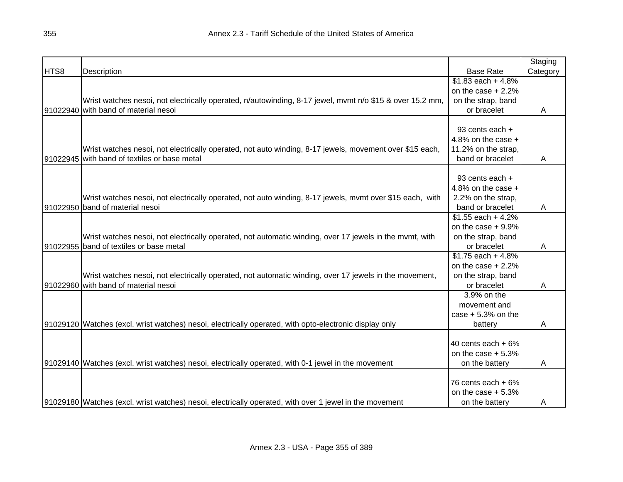|      |                                                                                                          |                      | Staging  |
|------|----------------------------------------------------------------------------------------------------------|----------------------|----------|
| HTS8 | Description                                                                                              | <b>Base Rate</b>     | Category |
|      |                                                                                                          | $$1.83$ each + 4.8%  |          |
|      |                                                                                                          | on the case $+2.2%$  |          |
|      | Wrist watches nesoi, not electrically operated, n/autowinding, 8-17 jewel, mymt n/o \$15 & over 15.2 mm, | on the strap, band   |          |
|      | 91022940 with band of material nesoi                                                                     | or bracelet          | A        |
|      |                                                                                                          |                      |          |
|      |                                                                                                          | 93 cents each +      |          |
|      |                                                                                                          | 4.8% on the case $+$ |          |
|      | Wrist watches nesoi, not electrically operated, not auto winding, 8-17 jewels, movement over \$15 each,  | 11.2% on the strap,  |          |
|      | 91022945 with band of textiles or base metal                                                             | band or bracelet     | Α        |
|      |                                                                                                          |                      |          |
|      |                                                                                                          | 93 cents each +      |          |
|      |                                                                                                          | 4.8% on the case $+$ |          |
|      | Wrist watches nesoi, not electrically operated, not auto winding, 8-17 jewels, mymt over \$15 each, with | 2.2% on the strap,   |          |
|      | 91022950 band of material nesoi                                                                          | band or bracelet     | Α        |
|      |                                                                                                          | $$1.55$ each + 4.2%  |          |
|      |                                                                                                          | on the case $+9.9\%$ |          |
|      | Wrist watches nesoi, not electrically operated, not automatic winding, over 17 jewels in the mvmt, with  | on the strap, band   |          |
|      | 91022955 band of textiles or base metal                                                                  | or bracelet          | Α        |
|      |                                                                                                          | $$1.75$ each + 4.8%  |          |
|      |                                                                                                          | on the case $+2.2%$  |          |
|      | Wrist watches nesoi, not electrically operated, not automatic winding, over 17 jewels in the movement,   | on the strap, band   |          |
|      | 91022960 with band of material nesoi                                                                     | or bracelet          | Α        |
|      |                                                                                                          | 3.9% on the          |          |
|      |                                                                                                          | movement and         |          |
|      |                                                                                                          | case $+5.3%$ on the  |          |
|      | 91029120 Watches (excl. wrist watches) nesoi, electrically operated, with opto-electronic display only   | battery              | A        |
|      |                                                                                                          |                      |          |
|      |                                                                                                          | 40 cents each $+6\%$ |          |
|      |                                                                                                          | on the case $+5.3%$  |          |
|      | 91029140 Watches (excl. wrist watches) nesoi, electrically operated, with 0-1 jewel in the movement      | on the battery       | A        |
|      |                                                                                                          |                      |          |
|      |                                                                                                          | 76 cents each $+6\%$ |          |
|      |                                                                                                          | on the case $+5.3%$  |          |
|      | 91029180 Watches (excl. wrist watches) nesoi, electrically operated, with over 1 jewel in the movement   | on the battery       | A        |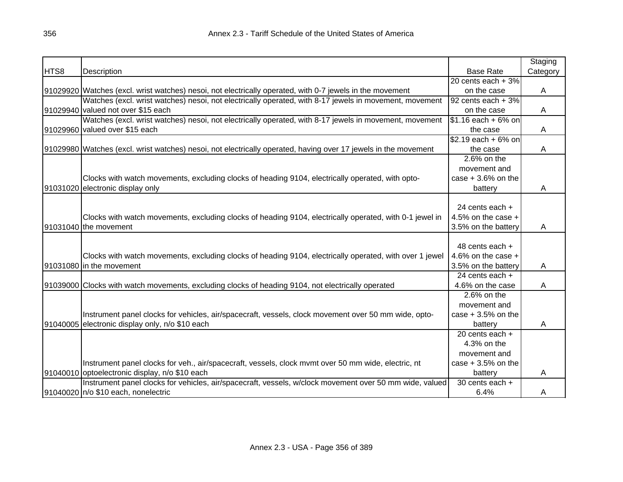|      |                                                                                                                  |                              | Staging  |
|------|------------------------------------------------------------------------------------------------------------------|------------------------------|----------|
| HTS8 | Description                                                                                                      | <b>Base Rate</b>             | Category |
|      |                                                                                                                  | 20 cents each $+3%$          |          |
|      | 91029920 Watches (excl. wrist watches) nesoi, not electrically operated, with 0-7 jewels in the movement         | on the case                  | A        |
|      | Watches (excl. wrist watches) nesoi, not electrically operated, with 8-17 jewels in movement, movement           | 92 cents each + 3%           |          |
|      | 91029940 valued not over \$15 each                                                                               | on the case                  | Α        |
|      | Watches (excl. wrist watches) nesoi, not electrically operated, with 8-17 jewels in movement, movement           | $$1.16$ each + 6% on         |          |
|      | 91029960 valued over \$15 each                                                                                   | the case                     | A        |
|      |                                                                                                                  | \$2.19 each + 6% on          |          |
|      | [91029980] Watches (excl. wrist watches) nesoi, not electrically operated, having over 17 jewels in the movement | the case                     | A        |
|      |                                                                                                                  | 2.6% on the                  |          |
|      |                                                                                                                  | movement and                 |          |
|      | Clocks with watch movements, excluding clocks of heading 9104, electrically operated, with opto-                 | case $+3.6%$ on the          |          |
|      | 91031020 electronic display only                                                                                 | battery                      | A        |
|      |                                                                                                                  |                              |          |
|      |                                                                                                                  | 24 cents each +              |          |
|      | Clocks with watch movements, excluding clocks of heading 9104, electrically operated, with 0-1 jewel in          | 4.5% on the case $+$         |          |
|      | 91031040 the movement                                                                                            | 3.5% on the battery          | A        |
|      |                                                                                                                  |                              |          |
|      |                                                                                                                  | 48 cents each +              |          |
|      | Clocks with watch movements, excluding clocks of heading 9104, electrically operated, with over 1 jewel          | 4.6% on the case $+$         |          |
|      | 91031080 in the movement                                                                                         | 3.5% on the battery          | A        |
|      |                                                                                                                  | 24 cents each +              |          |
|      | 91039000 Clocks with watch movements, excluding clocks of heading 9104, not electrically operated                | 4.6% on the case             | A        |
|      |                                                                                                                  | $2.6\%$ on the               |          |
|      |                                                                                                                  | movement and                 |          |
|      | Instrument panel clocks for vehicles, air/spacecraft, vessels, clock movement over 50 mm wide, opto-             | case $+3.5%$ on the          |          |
|      | 91040005 electronic display only, n/o \$10 each                                                                  | battery                      | A        |
|      |                                                                                                                  | $\overline{20}$ cents each + |          |
|      |                                                                                                                  | 4.3% on the                  |          |
|      |                                                                                                                  | movement and                 |          |
|      | Instrument panel clocks for veh., air/spacecraft, vessels, clock mvmt over 50 mm wide, electric, nt              | case $+3.5%$ on the          |          |
|      | 91040010 optoelectronic display, n/o \$10 each                                                                   | battery                      | A        |
|      | Instrument panel clocks for vehicles, air/spacecraft, vessels, w/clock movement over 50 mm wide, valued          | 30 cents each +              |          |
|      | 91040020 n/o \$10 each, nonelectric                                                                              | 6.4%                         | A        |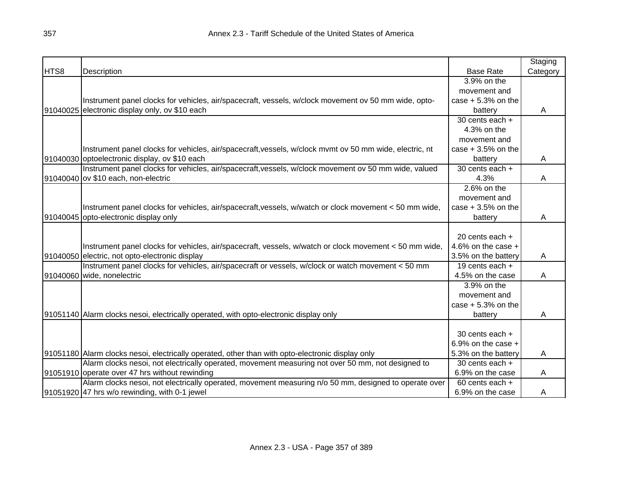|      |                                                                                                         |                      | Staging  |
|------|---------------------------------------------------------------------------------------------------------|----------------------|----------|
| HTS8 | Description                                                                                             | <b>Base Rate</b>     | Category |
|      |                                                                                                         | 3.9% on the          |          |
|      |                                                                                                         | movement and         |          |
|      | Instrument panel clocks for vehicles, air/spacecraft, vessels, w/clock movement ov 50 mm wide, opto-    | case $+5.3%$ on the  |          |
|      | 91040025 electronic display only, ov \$10 each                                                          | battery              | A        |
|      |                                                                                                         | 30 cents each +      |          |
|      |                                                                                                         | 4.3% on the          |          |
|      |                                                                                                         | movement and         |          |
|      | Instrument panel clocks for vehicles, air/spacecraft, vessels, w/clock mvmt ov 50 mm wide, electric, nt | case $+3.5%$ on the  |          |
|      | 91040030 optoelectronic display, ov \$10 each                                                           | battery              | A        |
|      | Instrument panel clocks for vehicles, air/spacecraft, vessels, w/clock movement ov 50 mm wide, valued   | 30 cents each +      |          |
|      | 91040040 ov \$10 each, non-electric                                                                     | 4.3%                 | Α        |
|      |                                                                                                         | $2.6%$ on the        |          |
|      |                                                                                                         | movement and         |          |
|      | Instrument panel clocks for vehicles, air/spacecraft, vessels, w/watch or clock movement < 50 mm wide,  | case $+3.5%$ on the  |          |
|      | 91040045 opto-electronic display only                                                                   | battery              | A        |
|      |                                                                                                         |                      |          |
|      |                                                                                                         | 20 cents each +      |          |
|      | Instrument panel clocks for vehicles, air/spacecraft, vessels, w/watch or clock movement < 50 mm wide,  | 4.6% on the case $+$ |          |
|      | 91040050 electric, not opto-electronic display                                                          | 3.5% on the battery  | A        |
|      | Instrument panel clocks for vehicles, air/spacecraft or vessels, w/clock or watch movement < 50 mm      | 19 cents each $+$    |          |
|      | 91040060 wide, nonelectric                                                                              | 4.5% on the case     | Α        |
|      |                                                                                                         | 3.9% on the          |          |
|      |                                                                                                         | movement and         |          |
|      |                                                                                                         | case $+5.3%$ on the  |          |
|      | 91051140 Alarm clocks nesoi, electrically operated, with opto-electronic display only                   | battery              | A        |
|      |                                                                                                         |                      |          |
|      |                                                                                                         | 30 cents each +      |          |
|      |                                                                                                         | 6.9% on the case $+$ |          |
|      | 91051180 Allarm clocks nesoi, electrically operated, other than with opto-electronic display only       | 5.3% on the battery  | Α        |
|      | Alarm clocks nesoi, not electrically operated, movement measuring not over 50 mm, not designed to       | 30 cents each +      |          |
|      | 91051910 operate over 47 hrs without rewinding                                                          | 6.9% on the case     | A        |
|      | Alarm clocks nesoi, not electrically operated, movement measuring n/o 50 mm, designed to operate over   | 60 cents each +      |          |
|      | 91051920 47 hrs w/o rewinding, with 0-1 jewel                                                           | 6.9% on the case     | A        |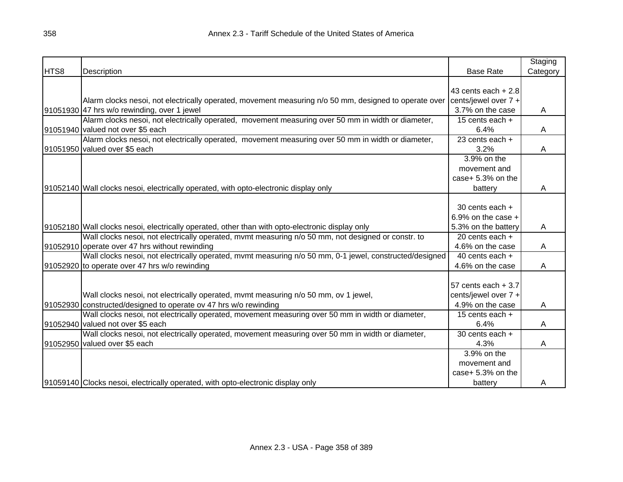|      |                                                                                                         |                              | Staging  |
|------|---------------------------------------------------------------------------------------------------------|------------------------------|----------|
| HTS8 | Description                                                                                             | <b>Base Rate</b>             | Category |
|      |                                                                                                         |                              |          |
|      |                                                                                                         | 43 cents each $+2.8$         |          |
|      | Alarm clocks nesoi, not electrically operated, movement measuring n/o 50 mm, designed to operate over   | cents/jewel over 7 +         |          |
|      | 91051930 47 hrs w/o rewinding, over 1 jewel                                                             | 3.7% on the case             | A        |
|      | Alarm clocks nesoi, not electrically operated, movement measuring over 50 mm in width or diameter,      | 15 cents each $+$            |          |
|      | 91051940 valued not over \$5 each                                                                       | 6.4%                         | A        |
|      | Alarm clocks nesoi, not electrically operated, movement measuring over 50 mm in width or diameter,      | $\overline{23}$ cents each + |          |
|      | 91051950 valued over \$5 each                                                                           | 3.2%                         | A        |
|      |                                                                                                         | 3.9% on the                  |          |
|      |                                                                                                         | movement and                 |          |
|      |                                                                                                         | case+ 5.3% on the            |          |
|      | 91052140 Wall clocks nesoi, electrically operated, with opto-electronic display only                    | battery                      | Α        |
|      |                                                                                                         |                              |          |
|      |                                                                                                         | 30 cents each +              |          |
|      |                                                                                                         | 6.9% on the case $+$         |          |
|      | 91052180 Wall clocks nesoi, electrically operated, other than with opto-electronic display only         | 5.3% on the battery          | A        |
|      | Wall clocks nesoi, not electrically operated, mvmt measuring n/o 50 mm, not designed or constr. to      | 20 cents each $+$            |          |
|      | 91052910 operate over 47 hrs without rewinding                                                          | 4.6% on the case             | Α        |
|      | Wall clocks nesoi, not electrically operated, mvmt measuring n/o 50 mm, 0-1 jewel, constructed/designed | 40 cents each $+$            |          |
|      | 91052920 to operate over 47 hrs w/o rewinding                                                           | 4.6% on the case             | A        |
|      |                                                                                                         |                              |          |
|      |                                                                                                         | 57 cents each $+3.7$         |          |
|      | Wall clocks nesoi, not electrically operated, mvmt measuring n/o 50 mm, ov 1 jewel,                     | cents/jewel over 7 +         |          |
|      | 91052930 constructed/designed to operate ov 47 hrs w/o rewinding                                        | 4.9% on the case             | A        |
|      | Wall clocks nesoi, not electrically operated, movement measuring over 50 mm in width or diameter,       | 15 cents each +              |          |
|      | 91052940 valued not over \$5 each                                                                       | 6.4%                         | Α        |
|      | Wall clocks nesoi, not electrically operated, movement measuring over 50 mm in width or diameter,       | 30 cents each $+$            |          |
|      | 91052950 valued over \$5 each                                                                           | 4.3%                         | A        |
|      |                                                                                                         | 3.9% on the                  |          |
|      |                                                                                                         |                              |          |
|      |                                                                                                         | movement and                 |          |
|      |                                                                                                         | case+ 5.3% on the            |          |
|      | 91059140 Clocks nesoi, electrically operated, with opto-electronic display only                         | battery                      | A        |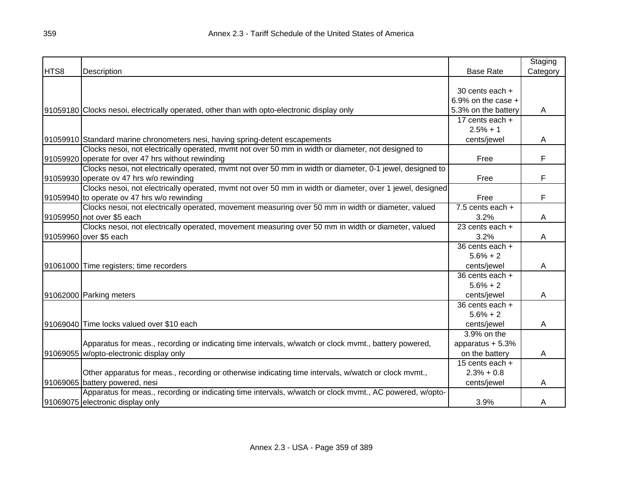|      |                                                                                                           |                              | Staging  |
|------|-----------------------------------------------------------------------------------------------------------|------------------------------|----------|
| HTS8 | Description                                                                                               | <b>Base Rate</b>             | Category |
|      |                                                                                                           |                              |          |
|      |                                                                                                           | 30 cents each +              |          |
|      |                                                                                                           | 6.9% on the case $+$         |          |
|      | 91059180 Clocks nesoi, electrically operated, other than with opto-electronic display only                | 5.3% on the battery          | A        |
|      |                                                                                                           | $17$ cents each +            |          |
|      |                                                                                                           | $2.5% + 1$                   |          |
|      | 91059910 Standard marine chronometers nesi, having spring-detent escapements                              | cents/jewel                  | A        |
|      | Clocks nesoi, not electrically operated, mvmt not over 50 mm in width or diameter, not designed to        |                              |          |
|      | 91059920 operate for over 47 hrs without rewinding                                                        | Free                         | F        |
|      | Clocks nesoi, not electrically operated, mvmt not over 50 mm in width or diameter, 0-1 jewel, designed to |                              |          |
|      | 91059930 operate ov 47 hrs w/o rewinding                                                                  | Free                         | F        |
|      | Clocks nesoi, not electrically operated, mvmt not over 50 mm in width or diameter, over 1 jewel, designed |                              |          |
|      | 91059940 to operate ov 47 hrs w/o rewinding                                                               | Free                         | F        |
|      | Clocks nesoi, not electrically operated, movement measuring over 50 mm in width or diameter, valued       | 7.5 cents each $+$           |          |
|      | 91059950 not over \$5 each                                                                                | 3.2%                         | Α        |
|      | Clocks nesoi, not electrically operated, movement measuring over 50 mm in width or diameter, valued       | $\overline{23}$ cents each + |          |
|      | 91059960 over \$5 each                                                                                    | 3.2%                         | Α        |
|      |                                                                                                           | 36 cents each +              |          |
|      |                                                                                                           | $5.6% + 2$                   |          |
|      | 91061000 Time registers; time recorders                                                                   | cents/jewel                  | A        |
|      |                                                                                                           | $\overline{36}$ cents each + |          |
|      |                                                                                                           | $5.6% + 2$                   |          |
|      | 91062000 Parking meters                                                                                   | cents/jewel                  | A        |
|      |                                                                                                           | 36 cents each +              |          |
|      |                                                                                                           | $5.6% + 2$                   |          |
|      | 91069040 Time locks valued over \$10 each                                                                 | cents/jewel                  | Α        |
|      |                                                                                                           | 3.9% on the                  |          |
|      | Apparatus for meas., recording or indicating time intervals, w/watch or clock mvmt., battery powered,     | apparatus + 5.3%             |          |
|      | 91069055 w/opto-electronic display only                                                                   | on the battery               | Α        |
|      |                                                                                                           | 15 cents each $+$            |          |
|      | Other apparatus for meas., recording or otherwise indicating time intervals, w/watch or clock mvmt.,      | $2.3% + 0.8$                 |          |
|      | 91069065 battery powered, nesi                                                                            | cents/jewel                  | A        |
|      | Apparatus for meas., recording or indicating time intervals, w/watch or clock mvmt., AC powered, w/opto-  |                              |          |
|      | 91069075 electronic display only                                                                          | 3.9%                         | A        |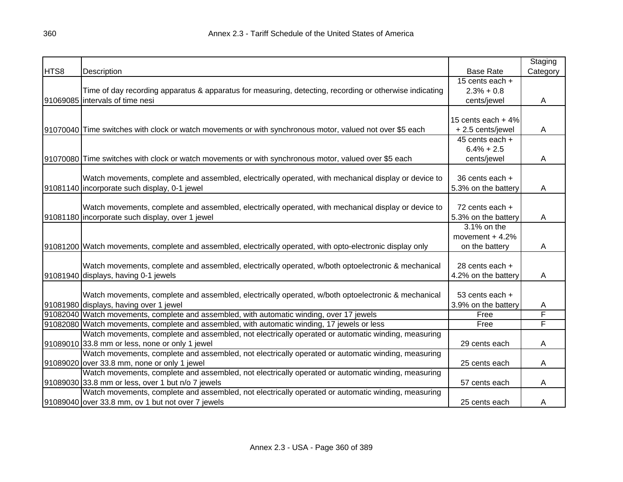|      |                                                                                                            |                      | Staging  |
|------|------------------------------------------------------------------------------------------------------------|----------------------|----------|
| HTS8 | Description                                                                                                | <b>Base Rate</b>     | Category |
|      |                                                                                                            | 15 cents each +      |          |
|      | Time of day recording apparatus & apparatus for measuring, detecting, recording or otherwise indicating    | $2.3% + 0.8$         |          |
|      | 91069085 intervals of time nesi                                                                            | cents/jewel          | A        |
|      |                                                                                                            |                      |          |
|      |                                                                                                            | 15 cents each $+4\%$ |          |
|      | 91070040 Time switches with clock or watch movements or with synchronous motor, valued not over \$5 each   | + 2.5 cents/jewel    | A        |
|      |                                                                                                            | 45 cents each +      |          |
|      |                                                                                                            | $6.4\% + 2.5$        |          |
|      | 91070080 Time switches with clock or watch movements or with synchronous motor, valued over \$5 each       | cents/jewel          | A        |
|      |                                                                                                            |                      |          |
|      | Watch movements, complete and assembled, electrically operated, with mechanical display or device to       | 36 cents each +      |          |
|      | 91081140 incorporate such display, 0-1 jewel                                                               | 5.3% on the battery  | Α        |
|      |                                                                                                            |                      |          |
|      | Watch movements, complete and assembled, electrically operated, with mechanical display or device to       | 72 cents each +      |          |
|      | 91081180 incorporate such display, over 1 jewel                                                            | 5.3% on the battery  | A        |
|      |                                                                                                            | 3.1% on the          |          |
|      |                                                                                                            | movement $+4.2%$     |          |
|      | 91081200 Watch movements, complete and assembled, electrically operated, with opto-electronic display only | on the battery       | A        |
|      |                                                                                                            |                      |          |
|      | Watch movements, complete and assembled, electrically operated, w/both optoelectronic & mechanical         | 28 cents each +      |          |
|      | 91081940 displays, having 0-1 jewels                                                                       | 4.2% on the battery  | Α        |
|      |                                                                                                            |                      |          |
|      | Watch movements, complete and assembled, electrically operated, w/both optoelectronic & mechanical         | 53 cents each +      |          |
|      | 91081980 displays, having over 1 jewel                                                                     | 3.9% on the battery  | Α        |
|      | 91082040 Watch movements, complete and assembled, with automatic winding, over 17 jewels                   | Free                 | F        |
|      | 91082080 Watch movements, complete and assembled, with automatic winding, 17 jewels or less                | Free                 | F        |
|      | Watch movements, complete and assembled, not electrically operated or automatic winding, measuring         |                      |          |
|      | 91089010 33.8 mm or less, none or only 1 jewel                                                             | 29 cents each        | A        |
|      | Watch movements, complete and assembled, not electrically operated or automatic winding, measuring         |                      |          |
|      | 91089020 over 33.8 mm, none or only 1 jewel                                                                | 25 cents each        | A        |
|      | Watch movements, complete and assembled, not electrically operated or automatic winding, measuring         |                      |          |
|      | 91089030 33.8 mm or less, over 1 but n/o 7 jewels                                                          | 57 cents each        | A        |
|      | Watch movements, complete and assembled, not electrically operated or automatic winding, measuring         |                      |          |
|      | 91089040 over 33.8 mm, ov 1 but not over 7 jewels                                                          | 25 cents each        | A        |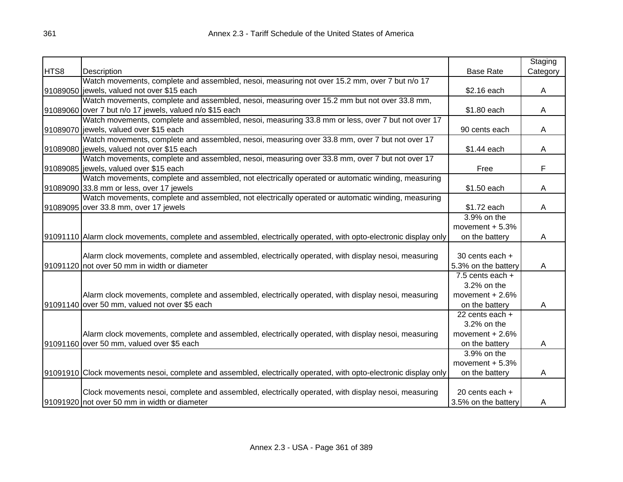|      |                                                                                                                  |                     | Staging  |
|------|------------------------------------------------------------------------------------------------------------------|---------------------|----------|
| HTS8 | Description                                                                                                      | <b>Base Rate</b>    | Category |
|      | Watch movements, complete and assembled, nesoi, measuring not over 15.2 mm, over 7 but n/o 17                    |                     |          |
|      | 91089050 jewels, valued not over \$15 each                                                                       | \$2.16 each         | A        |
|      | Watch movements, complete and assembled, nesoi, measuring over 15.2 mm but not over 33.8 mm,                     |                     |          |
|      | 91089060 over 7 but n/o 17 jewels, valued n/o \$15 each                                                          | \$1.80 each         | A        |
|      | Watch movements, complete and assembled, nesoi, measuring 33.8 mm or less, over 7 but not over 17                |                     |          |
|      | 91089070 jewels, valued over \$15 each                                                                           | 90 cents each       | Α        |
|      | Watch movements, complete and assembled, nesoi, measuring over 33.8 mm, over 7 but not over 17                   |                     |          |
|      | 91089080 jewels, valued not over \$15 each                                                                       | \$1.44 each         | Α        |
|      | Watch movements, complete and assembled, nesoi, measuring over 33.8 mm, over 7 but not over 17                   |                     |          |
|      | 91089085 jewels, valued over \$15 each                                                                           | Free                | F        |
|      | Watch movements, complete and assembled, not electrically operated or automatic winding, measuring               |                     |          |
|      | 91089090 33.8 mm or less, over 17 jewels                                                                         | \$1.50 each         | A        |
|      | Watch movements, complete and assembled, not electrically operated or automatic winding, measuring               |                     |          |
|      | 91089095 over 33.8 mm, over 17 jewels                                                                            | \$1.72 each         | A        |
|      |                                                                                                                  | $3.9\%$ on the      |          |
|      |                                                                                                                  | movement $+5.3%$    |          |
|      | 91091110 Alarm clock movements, complete and assembled, electrically operated, with opto-electronic display only | on the battery      | A        |
|      |                                                                                                                  |                     |          |
|      | Alarm clock movements, complete and assembled, electrically operated, with display nesoi, measuring              | 30 cents each +     |          |
|      | 91091120 not over 50 mm in width or diameter                                                                     | 5.3% on the battery | A        |
|      |                                                                                                                  | $7.5$ cents each +  |          |
|      |                                                                                                                  | 3.2% on the         |          |
|      | Alarm clock movements, complete and assembled, electrically operated, with display nesoi, measuring              | movement $+2.6%$    |          |
|      | 91091140 over 50 mm, valued not over \$5 each                                                                    | on the battery      | A        |
|      |                                                                                                                  | 22 cents each +     |          |
|      |                                                                                                                  | 3.2% on the         |          |
|      | Alarm clock movements, complete and assembled, electrically operated, with display nesoi, measuring              | movement $+2.6%$    |          |
|      | 91091160 over 50 mm, valued over \$5 each                                                                        | on the battery      | A        |
|      |                                                                                                                  | 3.9% on the         |          |
|      |                                                                                                                  | movement $+5.3%$    |          |
|      | 91091910 Clock movements nesoi, complete and assembled, electrically operated, with opto-electronic display only | on the battery      | A        |
|      |                                                                                                                  |                     |          |
|      | Clock movements nesoi, complete and assembled, electrically operated, with display nesoi, measuring              | 20 cents each +     |          |
|      | 91091920 not over 50 mm in width or diameter                                                                     | 3.5% on the battery | A        |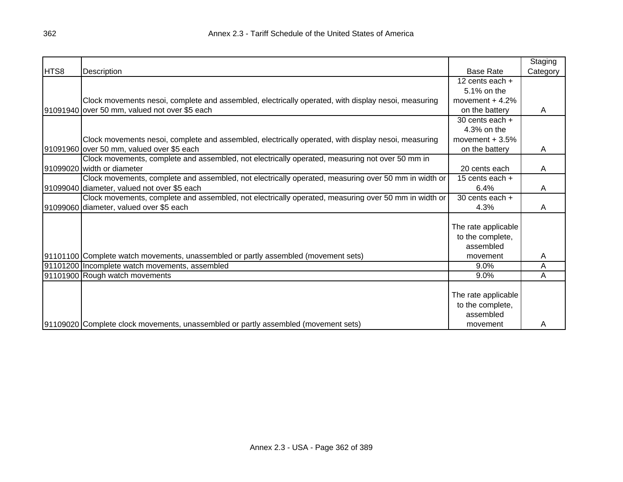|      |                                                                                                      |                     | Staging  |
|------|------------------------------------------------------------------------------------------------------|---------------------|----------|
| HTS8 | Description                                                                                          | <b>Base Rate</b>    | Category |
|      |                                                                                                      | 12 cents each $+$   |          |
|      |                                                                                                      | 5.1% on the         |          |
|      | Clock movements nesoi, complete and assembled, electrically operated, with display nesoi, measuring  | movement $+4.2%$    |          |
|      | 91091940 over 50 mm, valued not over \$5 each                                                        | on the battery      | A        |
|      |                                                                                                      | 30 cents each +     |          |
|      |                                                                                                      | 4.3% on the         |          |
|      | Clock movements nesoi, complete and assembled, electrically operated, with display nesoi, measuring  | movement $+3.5%$    |          |
|      | 91091960 over 50 mm, valued over \$5 each                                                            | on the battery      | A        |
|      | Clock movements, complete and assembled, not electrically operated, measuring not over 50 mm in      |                     |          |
|      | 91099020 width or diameter                                                                           | 20 cents each       | A        |
|      | Clock movements, complete and assembled, not electrically operated, measuring over 50 mm in width or | 15 cents each +     |          |
|      | 91099040 diameter, valued not over \$5 each                                                          | 6.4%                | A        |
|      | Clock movements, complete and assembled, not electrically operated, measuring over 50 mm in width or | 30 cents each +     |          |
|      | 91099060 diameter, valued over \$5 each                                                              | 4.3%                | A        |
|      |                                                                                                      |                     |          |
|      |                                                                                                      | The rate applicable |          |
|      |                                                                                                      | to the complete,    |          |
|      |                                                                                                      | assembled           |          |
|      | [91101100] Complete watch movements, unassembled or partly assembled (movement sets)                 | movement            | Α        |
|      | 91101200 Incomplete watch movements, assembled                                                       | 9.0%                | Α        |
|      | 91101900 Rough watch movements                                                                       | 9.0%                | Α        |
|      |                                                                                                      |                     |          |
|      |                                                                                                      | The rate applicable |          |
|      |                                                                                                      | to the complete,    |          |
|      |                                                                                                      | assembled           |          |
|      | [91109020] Complete clock movements, unassembled or partly assembled (movement sets)                 | movement            | A        |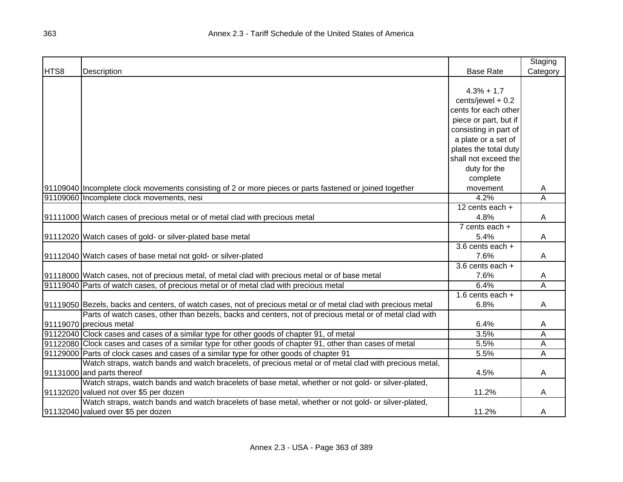|      |                                                                                                                |                       | Staging        |
|------|----------------------------------------------------------------------------------------------------------------|-----------------------|----------------|
| HTS8 | Description                                                                                                    | <b>Base Rate</b>      | Category       |
|      |                                                                                                                |                       |                |
|      |                                                                                                                | $4.3% + 1.7$          |                |
|      |                                                                                                                | cents/jewel + 0.2     |                |
|      |                                                                                                                | cents for each other  |                |
|      |                                                                                                                | piece or part, but if |                |
|      |                                                                                                                | consisting in part of |                |
|      |                                                                                                                | a plate or a set of   |                |
|      |                                                                                                                | plates the total duty |                |
|      |                                                                                                                | shall not exceed the  |                |
|      |                                                                                                                | duty for the          |                |
|      |                                                                                                                | complete              |                |
|      | 91109040 Incomplete clock movements consisting of 2 or more pieces or parts fastened or joined together        | movement              | A              |
|      | 91109060 Incomplete clock movements, nesi                                                                      | 4.2%                  | A              |
|      |                                                                                                                | 12 cents each +       |                |
|      | 91111000 Watch cases of precious metal or of metal clad with precious metal                                    | 4.8%                  | Α              |
|      |                                                                                                                | 7 cents each +        |                |
|      | 91112020 Watch cases of gold- or silver-plated base metal                                                      | 5.4%                  | A              |
|      |                                                                                                                | $3.6$ cents each +    |                |
|      | 91112040 Watch cases of base metal not gold- or silver-plated                                                  | 7.6%                  | Α              |
|      |                                                                                                                | $3.6$ cents each +    |                |
|      | 91118000 Watch cases, not of precious metal, of metal clad with precious metal or of base metal                | 7.6%                  | A              |
|      | 91119040 Parts of watch cases, of precious metal or of metal clad with precious metal                          | 6.4%                  | $\overline{A}$ |
|      |                                                                                                                | 1.6 cents each $+$    |                |
|      | 91119050 Bezels, backs and centers, of watch cases, not of precious metal or of metal clad with precious metal | 6.8%                  | A              |
|      | Parts of watch cases, other than bezels, backs and centers, not of precious metal or of metal clad with        |                       |                |
|      | 91119070 precious metal                                                                                        | 6.4%                  | A              |
|      | 91122040 Clock cases and cases of a similar type for other goods of chapter 91, of metal                       | 3.5%                  | Α              |
|      | 91122080 Clock cases and cases of a similar type for other goods of chapter 91, other than cases of metal      | 5.5%                  | A              |
|      | 91129000 Parts of clock cases and cases of a similar type for other goods of chapter 91                        | 5.5%                  | A              |
|      | Watch straps, watch bands and watch bracelets, of precious metal or of metal clad with precious metal,         |                       |                |
|      | 91131000 and parts thereof                                                                                     | 4.5%                  | A              |
|      | Watch straps, watch bands and watch bracelets of base metal, whether or not gold- or silver-plated,            |                       |                |
|      | 91132020 valued not over \$5 per dozen                                                                         | 11.2%                 | A              |
|      | Watch straps, watch bands and watch bracelets of base metal, whether or not gold- or silver-plated,            |                       |                |
|      | 91132040 valued over \$5 per dozen                                                                             | 11.2%                 | A              |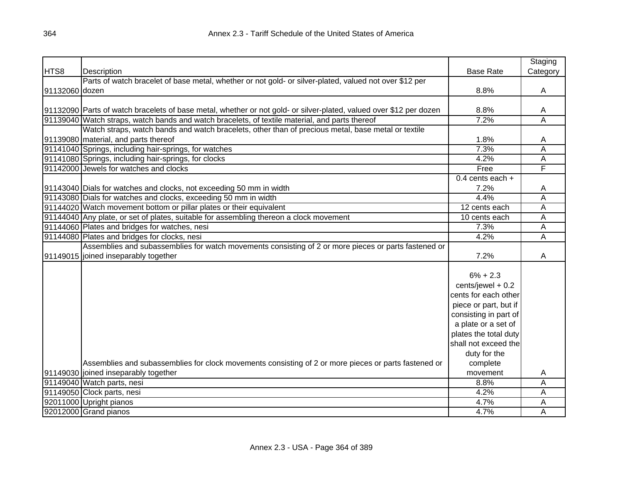|                |                                                                                                                    |                       | Staging        |
|----------------|--------------------------------------------------------------------------------------------------------------------|-----------------------|----------------|
| HTS8           | Description                                                                                                        | <b>Base Rate</b>      | Category       |
|                | Parts of watch bracelet of base metal, whether or not gold- or silver-plated, valued not over \$12 per             |                       |                |
| 91132060 dozen |                                                                                                                    | 8.8%                  | A              |
|                |                                                                                                                    |                       |                |
|                | 91132090 Parts of watch bracelets of base metal, whether or not gold- or silver-plated, valued over \$12 per dozen | 8.8%                  | Α              |
|                | 91139040 Watch straps, watch bands and watch bracelets, of textile material, and parts thereof                     | 7.2%                  | $\overline{A}$ |
|                | Watch straps, watch bands and watch bracelets, other than of precious metal, base metal or textile                 |                       |                |
|                | 91139080 material, and parts thereof                                                                               | 1.8%                  | A              |
|                | 91141040 Springs, including hair-springs, for watches                                                              | 7.3%                  | A              |
|                | 91141080 Springs, including hair-springs, for clocks                                                               | 4.2%                  | A              |
|                | 91142000 Jewels for watches and clocks                                                                             | Free                  | F              |
|                |                                                                                                                    | $0.4$ cents each +    |                |
|                | 91143040 Dials for watches and clocks, not exceeding 50 mm in width                                                | 7.2%                  | A              |
|                | 91143080 Dials for watches and clocks, exceeding 50 mm in width                                                    | 4.4%                  | A              |
|                | 91144020 Watch movement bottom or pillar plates or their equivalent                                                | 12 cents each         | A              |
|                | 91144040 Any plate, or set of plates, suitable for assembling thereon a clock movement                             | 10 cents each         | A              |
|                | 91144060 Plates and bridges for watches, nesi                                                                      | 7.3%                  | A              |
|                | 91144080 Plates and bridges for clocks, nesi                                                                       | 4.2%                  | $\overline{A}$ |
|                | Assemblies and subassemblies for watch movements consisting of 2 or more pieces or parts fastened or               |                       |                |
|                | 91149015 joined inseparably together                                                                               | 7.2%                  | A              |
|                |                                                                                                                    |                       |                |
|                |                                                                                                                    | $6\% + 2.3$           |                |
|                |                                                                                                                    | cents/jewel + 0.2     |                |
|                |                                                                                                                    | cents for each other  |                |
|                |                                                                                                                    | piece or part, but if |                |
|                |                                                                                                                    | consisting in part of |                |
|                |                                                                                                                    | a plate or a set of   |                |
|                |                                                                                                                    | plates the total duty |                |
|                |                                                                                                                    | shall not exceed the  |                |
|                |                                                                                                                    | duty for the          |                |
|                | Assemblies and subassemblies for clock movements consisting of 2 or more pieces or parts fastened or               | complete              |                |
|                | 91149030 joined inseparably together                                                                               | movement              | A              |
|                | 91149040 Watch parts, nesi                                                                                         | 8.8%                  | A              |
|                | 91149050 Clock parts, nesi                                                                                         | 4.2%                  | A              |
|                | 92011000 Upright pianos                                                                                            | 4.7%                  | A              |
|                | 92012000 Grand pianos                                                                                              | 4.7%                  | A              |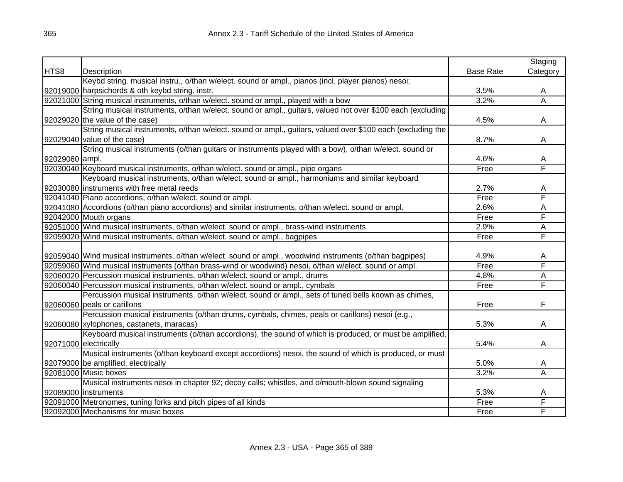|                |                                                                                                            |                  | Staging                 |
|----------------|------------------------------------------------------------------------------------------------------------|------------------|-------------------------|
| HTS8           | Description                                                                                                | <b>Base Rate</b> | Category                |
|                | Keybd string. musical instru., o/than w/elect. sound or ampl., pianos (incl. player pianos) nesoi;         |                  |                         |
|                | 92019000 harpsichords & oth keybd string. instr.                                                           | 3.5%             | A                       |
|                | 92021000 String musical instruments, o/than w/elect. sound or ampl., played with a bow                     | 3.2%             | $\overline{\mathsf{A}}$ |
|                | String musical instruments, o/than w/elect. sound or ampl., guitars, valued not over \$100 each (excluding |                  |                         |
|                | 92029020 the value of the case)                                                                            | 4.5%             | A                       |
|                | String musical instruments, o/than w/elect. sound or ampl., guitars, valued over \$100 each (excluding the |                  |                         |
|                | 92029040 value of the case)                                                                                | 8.7%             | A                       |
|                | String musical instruments (o/than guitars or instruments played with a bow), o/than w/elect. sound or     |                  |                         |
| 92029060 ampl. |                                                                                                            | 4.6%             | A                       |
|                | 92030040 Keyboard musical instruments, o/than w/elect. sound or ampl., pipe organs                         | Free             | F                       |
|                | Keyboard musical instruments, o/than w/elect. sound or ampl., harmoniums and similar keyboard              |                  |                         |
|                | 92030080 instruments with free metal reeds                                                                 | 2.7%             | A                       |
|                | 92041040 Piano accordions, o/than w/elect. sound or ampl.                                                  | Free             | F                       |
|                | 92041080 Accordions (o/than piano accordions) and similar instruments, o/than w/elect. sound or ampl.      | 2.6%             | Α                       |
|                | 92042000 Mouth organs                                                                                      | Free             | F                       |
|                | 92051000 Wind musical instruments, o/than w/elect. sound or ampl., brass-wind instruments                  | 2.9%             | A                       |
|                | 92059020 Wind musical instruments, o/than w/elect. sound or ampl., bagpipes                                | Free             | F                       |
|                |                                                                                                            |                  |                         |
|                | 92059040 Wind musical instruments, o/than w/elect. sound or ampl., woodwind instruments (o/than bagpipes)  | 4.9%             | A                       |
|                | 92059060 Wind musical instruments (o/than brass-wind or woodwind) nesoi, o/than w/elect. sound or ampl.    | Free             | F                       |
|                | 92060020 Percussion musical instruments, o/than w/elect. sound or ampl., drums                             | 4.8%             | A                       |
|                | 92060040 Percussion musical instruments, o/than w/elect. sound or ampl., cymbals                           | Free             | F                       |
|                | Percussion musical instruments, o/than w/elect. sound or ampl., sets of tuned bells known as chimes,       |                  |                         |
|                | 92060060 peals or carillons                                                                                | Free             | F                       |
|                | Percussion musical instruments (o/than drums, cymbals, chimes, peals or carillons) nesoi (e.g.,            |                  |                         |
|                | 92060080 xylophones, castanets, maracas)                                                                   | 5.3%             | A                       |
|                | Keyboard musical instruments (o/than accordions), the sound of which is produced, or must be amplified,    |                  |                         |
|                | 92071000 electrically                                                                                      | 5.4%             | A                       |
|                | Musical instruments (o/than keyboard except accordions) nesoi, the sound of which is produced, or must     |                  |                         |
|                | 92079000 be amplified, electrically                                                                        | 5.0%             | A                       |
|                | 92081000 Music boxes                                                                                       | 3.2%             | A                       |
|                | Musical instruments nesoi in chapter 92; decoy calls; whistles, and o/mouth-blown sound signaling          |                  |                         |
|                | 92089000   instruments                                                                                     | 5.3%             | A                       |
|                | 92091000 Metronomes, tuning forks and pitch pipes of all kinds                                             | Free             | F                       |
|                | 92092000 Mechanisms for music boxes                                                                        | Free             | F                       |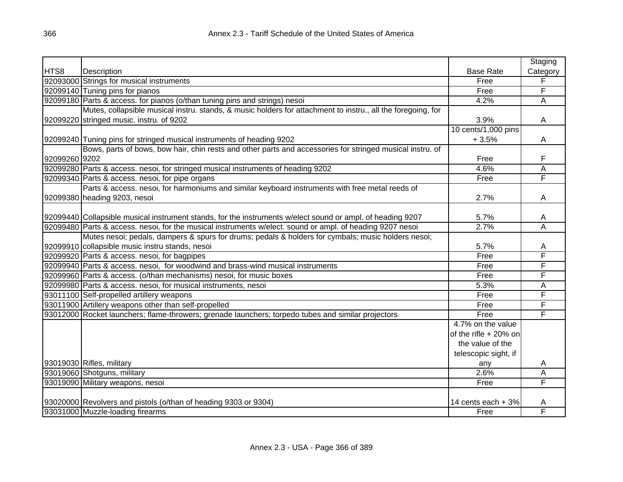|               |                                                                                                              |                       | Staging  |
|---------------|--------------------------------------------------------------------------------------------------------------|-----------------------|----------|
| HTS8          | Description                                                                                                  | <b>Base Rate</b>      | Category |
|               | 92093000 Strings for musical instruments                                                                     | Free                  | F        |
|               | 92099140 Tuning pins for pianos                                                                              | Free                  | F        |
|               | 92099180 Parts & access. for pianos (o/than tuning pins and strings) nesoi                                   | 4.2%                  | A        |
|               | Mutes, collapsible musical instru. stands, & music holders for attachment to instru., all the foregoing, for |                       |          |
|               | 92099220 stringed music. instru. of 9202                                                                     | 3.9%                  | A        |
|               |                                                                                                              | 10 cents/1,000 pins   |          |
|               | 92099240 Tuning pins for stringed musical instruments of heading 9202                                        | $+3.5%$               | Α        |
|               | Bows, parts of bows, bow hair, chin rests and other parts and accessories for stringed musical instru. of    |                       |          |
| 92099260 9202 |                                                                                                              | Free                  | F        |
|               | 92099280 Parts & access. nesoi, for stringed musical instruments of heading 9202                             | 4.6%                  | A        |
|               | 92099340 Parts & access. nesoi, for pipe organs                                                              | Free                  | F        |
|               | Parts & access. nesoi, for harmoniums and similar keyboard instruments with free metal reeds of              |                       |          |
|               | 92099380 heading 9203, nesoi                                                                                 | 2.7%                  | A        |
|               |                                                                                                              |                       |          |
|               | 92099440 Collapsible musical instrument stands, for the instruments w/elect sound or ampl. of heading 9207   | 5.7%                  | A        |
|               | 92099480 Parts & access. nesoi, for the musical instruments w/elect. sound or ampl. of heading 9207 nesoi    | 2.7%                  | Α        |
|               | Mutes nesoi; pedals, dampers & spurs for drums; pedals & holders for cymbals; music holders nesoi;           |                       |          |
|               | 92099910 collapsible music instru stands, nesoi                                                              | 5.7%                  | A        |
|               | 92099920 Parts & access. nesoi, for bagpipes                                                                 | Free                  | F        |
|               | 92099940 Parts & access. nesoi, for woodwind and brass-wind musical instruments                              | Free                  | F        |
|               | 92099960 Parts & access. (o/than mechanisms) nesoi, for music boxes                                          | Free                  | F        |
|               | 92099980 Parts & access. nesoi, for musical instruments, nesoi                                               | 5.3%                  | A        |
|               | 93011100 Self-propelled artillery weapons                                                                    | Free                  | F        |
|               | 93011900 Artillery weapons other than self-propelled                                                         | Free                  | F        |
|               | 93012000 Rocket launchers; flame-throwers; grenade launchers; torpedo tubes and similar projectors           | Free                  | F        |
|               |                                                                                                              | 4.7% on the value     |          |
|               |                                                                                                              | of the rifle + 20% on |          |
|               |                                                                                                              | the value of the      |          |
|               |                                                                                                              | telescopic sight, if  |          |
|               | 93019030 Rifles, military                                                                                    | any                   | A        |
|               | 93019060 Shotguns, military                                                                                  | 2.6%                  | Α        |
|               | 93019090 Military weapons, nesoi                                                                             | Free                  | F        |
|               |                                                                                                              |                       |          |
|               | 93020000 Revolvers and pistols (o/than of heading 9303 or 9304)                                              | 14 cents each + 3%    | A        |
|               | 93031000 Muzzle-loading firearms                                                                             | Free                  | F        |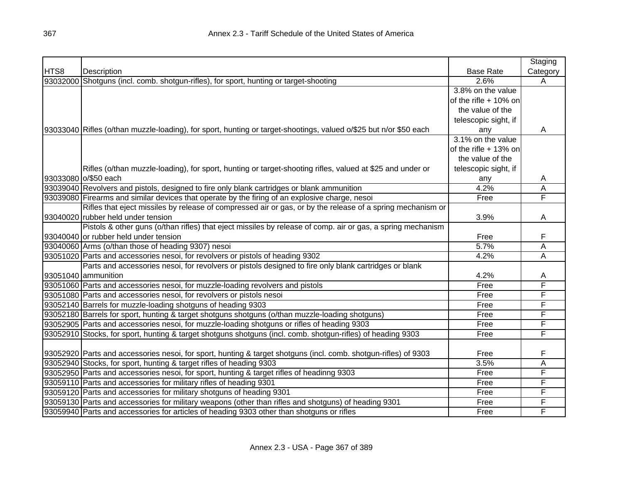|          |                                                                                                                   |                         | Staging  |
|----------|-------------------------------------------------------------------------------------------------------------------|-------------------------|----------|
| HTS8     | Description                                                                                                       | <b>Base Rate</b>        | Category |
| 93032000 | Shotguns (incl. comb. shotgun-rifles), for sport, hunting or target-shooting                                      | 2.6%                    | A        |
|          |                                                                                                                   | 3.8% on the value       |          |
|          |                                                                                                                   | of the rifle $+10\%$ on |          |
|          |                                                                                                                   | the value of the        |          |
|          |                                                                                                                   | telescopic sight, if    |          |
|          | 93033040 Rifles (o/than muzzle-loading), for sport, hunting or target-shootings, valued o/\$25 but n/or \$50 each | any                     | A        |
|          |                                                                                                                   | 3.1% on the value       |          |
|          |                                                                                                                   | of the rifle $+$ 13% on |          |
|          |                                                                                                                   | the value of the        |          |
|          | Rifles (o/than muzzle-loading), for sport, hunting or target-shooting rifles, valued at \$25 and under or         | telescopic sight, if    |          |
|          | 93033080 0/\$50 each                                                                                              | any                     | A        |
|          | 93039040 Revolvers and pistols, designed to fire only blank cartridges or blank ammunition                        | 4.2%                    | A        |
|          | 93039080 Firearms and similar devices that operate by the firing of an explosive charge, nesoi                    | Free                    | F        |
|          | Rifles that eject missiles by release of compressed air or gas, or by the release of a spring mechanism or        |                         |          |
|          | 93040020 rubber held under tension                                                                                | 3.9%                    | A        |
|          | Pistols & other guns (o/than rifles) that eject missiles by release of comp. air or gas, a spring mechanism       |                         |          |
|          | 93040040 or rubber held under tension                                                                             | Free                    | F        |
|          | 93040060 Arms (o/than those of heading 9307) nesoi                                                                | 5.7%                    | A        |
|          | 93051020 Parts and accessories nesoi, for revolvers or pistols of heading 9302                                    | 4.2%                    | A        |
|          | Parts and accessories nesoi, for revolvers or pistols designed to fire only blank cartridges or blank             |                         |          |
|          | 93051040 ammunition                                                                                               | 4.2%                    | A        |
|          | 93051060 Parts and accessories nesoi, for muzzle-loading revolvers and pistols                                    | Free                    | F        |
|          | 93051080 Parts and accessories nesoi, for revolvers or pistols nesoi                                              | Free                    | F        |
|          | 93052140 Barrels for muzzle-loading shotguns of heading 9303                                                      | Free                    | F        |
|          | 93052180 Barrels for sport, hunting & target shotguns shotguns (o/than muzzle-loading shotguns)                   | Free                    | F        |
|          | 93052905 Parts and accessories nesoi, for muzzle-loading shotguns or rifles of heading 9303                       | Free                    | F        |
|          | 93052910 Stocks, for sport, hunting & target shotguns shotguns (incl. comb. shotgun-rifles) of heading 9303       | Free                    | F        |
|          |                                                                                                                   |                         |          |
|          | 93052920 Parts and accessories nesoi, for sport, hunting & target shotguns (incl. comb. shotgun-rifles) of 9303   | Free                    | F        |
|          | 93052940 Stocks, for sport, hunting & target rifles of heading 9303                                               | 3.5%                    | A        |
|          | 93052950 Parts and accessories nesoi, for sport, hunting & target rifles of headinng 9303                         | Free                    | F        |
|          | 93059110 Parts and accessories for military rifles of heading 9301                                                | Free                    | F        |
|          | 93059120 Parts and accessories for military shotguns of heading 9301                                              | Free                    | F        |
|          | 93059130 Parts and accessories for military weapons (other than rifles and shotguns) of heading 9301              | Free                    | F        |
|          | 93059940 Parts and accessories for articles of heading 9303 other than shotguns or rifles                         | Free                    | F        |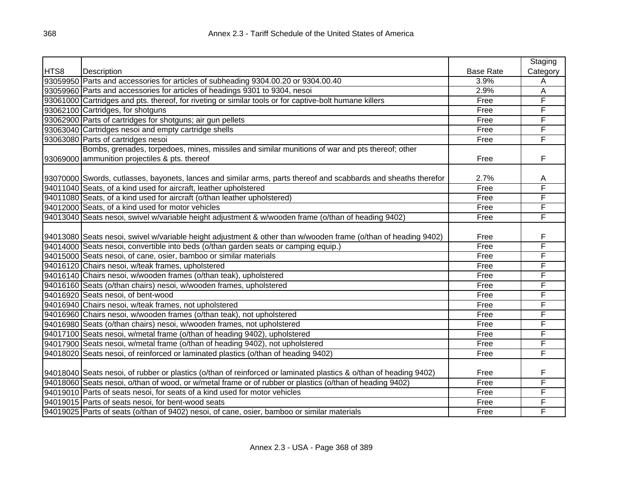|      |                                                                                                                   |                  | Staging        |
|------|-------------------------------------------------------------------------------------------------------------------|------------------|----------------|
| HTS8 | Description                                                                                                       | <b>Base Rate</b> | Category       |
|      | 93059950 Parts and accessories for articles of subheading 9304.00.20 or 9304.00.40                                | 3.9%             | A              |
|      | 93059960 Parts and accessories for articles of headings 9301 to 9304, nesoi                                       | 2.9%             | $\overline{A}$ |
|      | 93061000 Cartridges and pts. thereof, for riveting or similar tools or for captive-bolt humane killers            | Free             | F              |
|      | 93062100 Cartridges, for shotguns                                                                                 | Free             | F              |
|      | 93062900 Parts of cartridges for shotguns; air gun pellets                                                        | Free             | F              |
|      | 93063040 Cartridges nesoi and empty cartridge shells                                                              | Free             | F              |
|      | 93063080 Parts of cartridges nesoi                                                                                | Free             | F              |
|      | Bombs, grenades, torpedoes, mines, missiles and similar munitions of war and pts thereof; other                   |                  |                |
|      | 93069000 ammunition projectiles & pts. thereof                                                                    | Free             | F              |
|      |                                                                                                                   |                  |                |
|      | 93070000 Swords, cutlasses, bayonets, lances and similar arms, parts thereof and scabbards and sheaths therefor   | 2.7%             | A              |
|      | 94011040 Seats, of a kind used for aircraft, leather upholstered                                                  | Free             | F              |
|      | 94011080 Seats, of a kind used for aircraft (o/than leather upholstered)                                          | Free             | F              |
|      | 94012000 Seats, of a kind used for motor vehicles                                                                 | Free             | F              |
|      | 94013040 Seats nesoi, swivel w/variable height adjustment & w/wooden frame (o/than of heading 9402)               | Free             | F              |
|      |                                                                                                                   |                  |                |
|      | [94013080] Seats nesoi, swivel w/variable height adjustment & other than w/wooden frame (o/than of heading 9402)  | Free             | F              |
|      | 94014000 Seats nesoi, convertible into beds (o/than garden seats or camping equip.)                               | Free             | F              |
|      | 94015000 Seats nesoi, of cane, osier, bamboo or similar materials                                                 | Free             | F              |
|      | 94016120 Chairs nesoi, w/teak frames, upholstered                                                                 | Free             | F              |
|      | 94016140 Chairs nesoi, w/wooden frames (o/than teak), upholstered                                                 | Free             | F              |
|      | 94016160 Seats (o/than chairs) nesoi, w/wooden frames, upholstered                                                | Free             | F              |
|      | 94016920 Seats nesoi, of bent-wood                                                                                | Free             | F              |
|      | 94016940 Chairs nesoi, w/teak frames, not upholstered                                                             | Free             | F              |
|      | 94016960 Chairs nesoi, w/wooden frames (o/than teak), not upholstered                                             | Free             | F              |
|      | 94016980 Seats (o/than chairs) nesoi, w/wooden frames, not upholstered                                            | Free             | F              |
|      | 94017100 Seats nesoi, w/metal frame (o/than of heading 9402), upholstered                                         | Free             | F              |
|      | 94017900 Seats nesoi, w/metal frame (o/than of heading 9402), not upholstered                                     | Free             | F              |
|      | 94018020 Seats nesoi, of reinforced or laminated plastics (o/than of heading 9402)                                | Free             | F              |
|      |                                                                                                                   |                  |                |
|      | 94018040 Seats nesoi, of rubber or plastics (o/than of reinforced or laminated plastics & o/than of heading 9402) | Free             | F              |
|      | 94018060 Seats nesoi, o/than of wood, or w/metal frame or of rubber or plastics (o/than of heading 9402)          | Free             | F              |
|      | 94019010 Parts of seats nesoi, for seats of a kind used for motor vehicles                                        | Free             | F              |
|      | 94019015 Parts of seats nesoi, for bent-wood seats                                                                | Free             | F              |
|      | 94019025 Parts of seats (o/than of 9402) nesoi, of cane, osier, bamboo or similar materials                       | Free             | F              |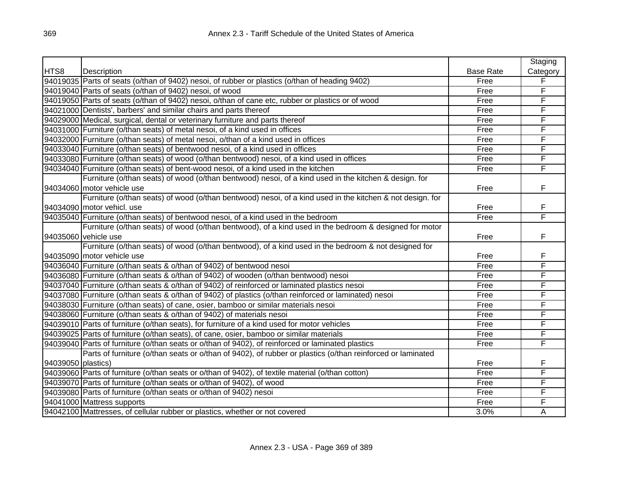|                    |                                                                                                            |                  | Staging  |
|--------------------|------------------------------------------------------------------------------------------------------------|------------------|----------|
| HTS8               | Description                                                                                                | <b>Base Rate</b> | Category |
|                    | 94019035 Parts of seats (o/than of 9402) nesoi, of rubber or plastics (o/than of heading 9402)             | Free             | F        |
|                    | 94019040 Parts of seats (o/than of 9402) nesoi, of wood                                                    | Free             | F        |
|                    | 94019050 Parts of seats (o/than of 9402) nesoi, o/than of cane etc, rubber or plastics or of wood          | Free             | F        |
|                    | 94021000 Dentists', barbers' and similar chairs and parts thereof                                          | Free             | F        |
|                    | 94029000 Medical, surgical, dental or veterinary furniture and parts thereof                               | Free             | F        |
|                    | 94031000 Furniture (o/than seats) of metal nesoi, of a kind used in offices                                | Free             | F        |
|                    | 94032000 Furniture (o/than seats) of metal nesoi, o/than of a kind used in offices                         | Free             | F        |
|                    | 94033040 Furniture (o/than seats) of bentwood nesoi, of a kind used in offices                             | Free             | F        |
|                    | 94033080 Furniture (o/than seats) of wood (o/than bentwood) nesoi, of a kind used in offices               | Free             | F        |
|                    | 94034040 Furniture (o/than seats) of bent-wood nesoi, of a kind used in the kitchen                        | Free             | F        |
|                    | Furniture (o/than seats) of wood (o/than bentwood) nesoi, of a kind used in the kitchen & design. for      |                  |          |
|                    | 94034060 motor vehicle use                                                                                 | Free             | F        |
|                    | Furniture (o/than seats) of wood (o/than bentwood) nesoi, of a kind used in the kitchen & not design. for  |                  |          |
|                    | 94034090 motor vehicl. use                                                                                 | Free             | F        |
|                    | 94035040 Furniture (o/than seats) of bentwood nesoi, of a kind used in the bedroom                         | Free             | F        |
|                    | Furniture (o/than seats) of wood (o/than bentwood), of a kind used in the bedroom & designed for motor     |                  |          |
|                    | 94035060 vehicle use                                                                                       | Free             | F        |
|                    | Furniture (o/than seats) of wood (o/than bentwood), of a kind used in the bedroom & not designed for       |                  |          |
|                    | 94035090 motor vehicle use                                                                                 | Free             | F        |
|                    | 94036040 Furniture (o/than seats & o/than of 9402) of bentwood nesoi                                       | Free             | F        |
|                    | 94036080 Furniture (o/than seats & o/than of 9402) of wooden (o/than bentwood) nesoi                       | Free             | F        |
|                    | 94037040 Furniture (o/than seats & o/than of 9402) of reinforced or laminated plastics nesoi               | Free             | F        |
|                    | 94037080 Furniture (o/than seats & o/than of 9402) of plastics (o/than reinforced or laminated) nesoi      | Free             | F        |
|                    | 94038030 Furniture (o/than seats) of cane, osier, bamboo or similar materials nesoi                        | Free             | F        |
|                    | 94038060 Furniture (o/than seats & o/than of 9402) of materials nesoi                                      | Free             | F        |
|                    | 94039010 Parts of furniture (o/than seats), for furniture of a kind used for motor vehicles                | Free             | F        |
|                    | 94039025   Parts of furniture (o/than seats), of cane, osier, bamboo or similar materials                  | Free             | F        |
|                    | 94039040 Parts of furniture (o/than seats or o/than of 9402), of reinforced or laminated plastics          | Free             | F        |
|                    | Parts of furniture (o/than seats or o/than of 9402), of rubber or plastics (o/than reinforced or laminated |                  |          |
| 94039050 plastics) |                                                                                                            | Free             | F        |
|                    | 94039060 Parts of furniture (o/than seats or o/than of 9402), of textile material (o/than cotton)          | Free             | F        |
|                    | 94039070 Parts of furniture (o/than seats or o/than of 9402), of wood                                      | Free             | F        |
|                    | 94039080 Parts of furniture (o/than seats or o/than of 9402) nesoi                                         | Free             | F        |
|                    | 94041000 Mattress supports                                                                                 | Free             | F        |
|                    | 94042100 Mattresses, of cellular rubber or plastics, whether or not covered                                | 3.0%             | A        |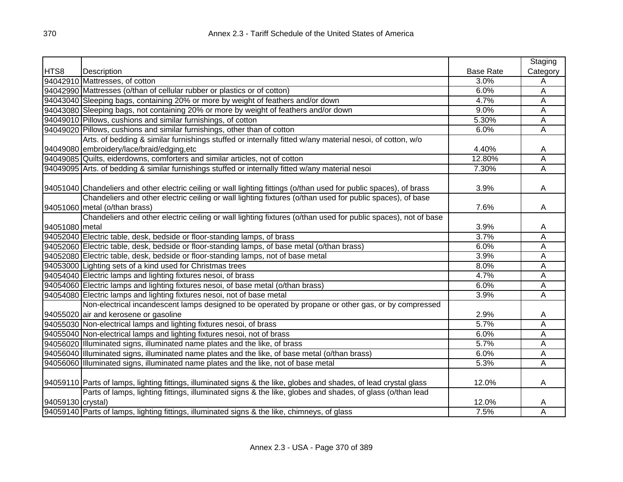|                   |                                                                                                                     |                  | Staging                 |
|-------------------|---------------------------------------------------------------------------------------------------------------------|------------------|-------------------------|
| HTS8              | Description                                                                                                         | <b>Base Rate</b> | Category                |
|                   | 94042910 Mattresses, of cotton                                                                                      | 3.0%             | A                       |
|                   | 94042990 Mattresses (o/than of cellular rubber or plastics or of cotton)                                            | 6.0%             | А                       |
|                   | 94043040 Sleeping bags, containing 20% or more by weight of feathers and/or down                                    | 4.7%             | A                       |
|                   | 94043080 Sleeping bags, not containing 20% or more by weight of feathers and/or down                                | 9.0%             | A                       |
|                   | 94049010 Pillows, cushions and similar furnishings, of cotton                                                       | 5.30%            | А                       |
|                   | 94049020 Pillows, cushions and similar furnishings, other than of cotton                                            | 6.0%             | Ā                       |
|                   | Arts. of bedding & similar furnishings stuffed or internally fitted w/any material nesoi, of cotton, w/o            |                  |                         |
|                   | 94049080 embroidery/lace/braid/edging.etc                                                                           | 4.40%            | A                       |
|                   | 94049085 Quilts, eiderdowns, comforters and similar articles, not of cotton                                         | 12.80%           | А                       |
|                   | 94049095 Arts. of bedding & similar furnishings stuffed or internally fitted w/any material nesoi                   | 7.30%            | Ā                       |
|                   |                                                                                                                     |                  |                         |
|                   | 94051040 Chandeliers and other electric ceiling or wall lighting fittings (o/than used for public spaces), of brass | 3.9%             | Α                       |
|                   | Chandeliers and other electric ceiling or wall lighting fixtures (o/than used for public spaces), of base           |                  |                         |
|                   | 94051060 metal (o/than brass)                                                                                       | 7.6%             | Α                       |
|                   | Chandeliers and other electric ceiling or wall lighting fixtures (o/than used for public spaces), not of base       |                  |                         |
| 94051080 metal    |                                                                                                                     | 3.9%             | A                       |
|                   | 94052040 Electric table, desk, bedside or floor-standing lamps, of brass                                            | 3.7%             | Ā                       |
|                   | 94052060 Electric table, desk, bedside or floor-standing lamps, of base metal (o/than brass)                        | 6.0%             | Ā                       |
|                   | 94052080 Electric table, desk, bedside or floor-standing lamps, not of base metal                                   | 3.9%             | Ā                       |
|                   | 94053000 Lighting sets of a kind used for Christmas trees                                                           | 8.0%             | $\overline{\mathsf{A}}$ |
|                   | 94054040 Electric lamps and lighting fixtures nesoi, of brass                                                       | 4.7%             | Ā                       |
|                   | 94054060 Electric lamps and lighting fixtures nesoi, of base metal (o/than brass)                                   | 6.0%             | А                       |
|                   | 94054080 Electric lamps and lighting fixtures nesoi, not of base metal                                              | 3.9%             | Ā                       |
|                   | Non-electrical incandescent lamps designed to be operated by propane or other gas, or by compressed                 |                  |                         |
|                   | 94055020 air and kerosene or gasoline                                                                               | 2.9%             | A                       |
|                   | 94055030 Non-electrical lamps and lighting fixtures nesoi, of brass                                                 | 5.7%             | A                       |
|                   | 94055040 Non-electrical lamps and lighting fixtures nesoi, not of brass                                             | 6.0%             | Ā                       |
|                   | 94056020 Illuminated signs, illuminated name plates and the like, of brass                                          | 5.7%             | A                       |
|                   | 94056040 Illuminated signs, illuminated name plates and the like, of base metal (o/than brass)                      | 6.0%             | А                       |
|                   | 94056060 Illuminated signs, illuminated name plates and the like, not of base metal                                 | 5.3%             | A                       |
|                   |                                                                                                                     |                  |                         |
|                   | 94059110 Parts of lamps, lighting fittings, illuminated signs & the like, globes and shades, of lead crystal glass  | 12.0%            | A                       |
|                   | Parts of lamps, lighting fittings, illuminated signs & the like, globes and shades, of glass (o/than lead           |                  |                         |
| 94059130 crystal) |                                                                                                                     | 12.0%            | Α                       |
|                   | 94059140 Parts of lamps, lighting fittings, illuminated signs & the like, chimneys, of glass                        | 7.5%             | Α                       |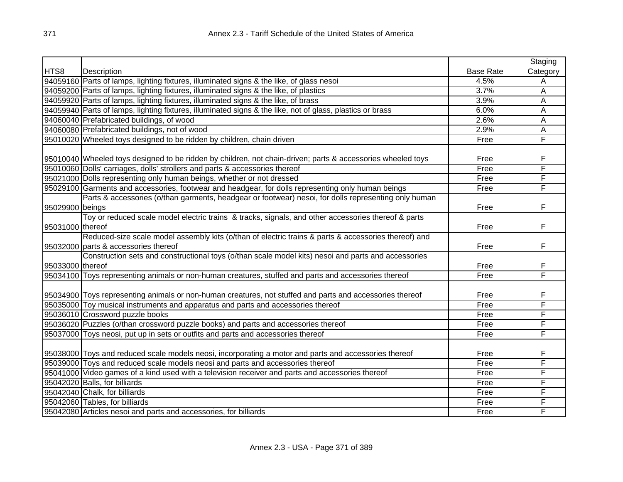|                  |                                                                                                               |                  | Staging                 |
|------------------|---------------------------------------------------------------------------------------------------------------|------------------|-------------------------|
| HTS8             | Description                                                                                                   | <b>Base Rate</b> | Category                |
|                  | 94059160 Parts of lamps, lighting fixtures, illuminated signs & the like, of glass nesoi                      | 4.5%             | A                       |
|                  | 94059200 Parts of lamps, lighting fixtures, illuminated signs & the like, of plastics                         | 3.7%             | A                       |
|                  | 94059920 Parts of lamps, lighting fixtures, illuminated signs & the like, of brass                            | 3.9%             | A                       |
|                  | 94059940 Parts of lamps, lighting fixtures, illuminated signs & the like, not of glass, plastics or brass     | 6.0%             | A                       |
|                  | 94060040 Prefabricated buildings, of wood                                                                     | 2.6%             | A                       |
|                  | 94060080 Prefabricated buildings, not of wood                                                                 | 2.9%             | $\overline{\mathsf{A}}$ |
|                  | 95010020 Wheeled toys designed to be ridden by children, chain driven                                         | Free             | F                       |
|                  |                                                                                                               |                  |                         |
|                  | [95010040] Wheeled toys designed to be ridden by children, not chain-driven; parts & accessories wheeled toys | Free             | F                       |
|                  | 95010060 Dolls' carriages, dolls' strollers and parts & accessories thereof                                   | Free             | F                       |
|                  | 95021000 Dolls representing only human beings, whether or not dressed                                         | Free             | F                       |
|                  | 95029100 Garments and accessories, footwear and headgear, for dolls representing only human beings            | Free             | F                       |
|                  | Parts & accessories (o/than garments, headgear or footwear) nesoi, for dolls representing only human          |                  |                         |
| 95029900 beings  |                                                                                                               | Free             | F                       |
|                  | Toy or reduced scale model electric trains & tracks, signals, and other accessories thereof & parts           |                  |                         |
| 95031000 thereof |                                                                                                               | Free             | F                       |
|                  | Reduced-size scale model assembly kits (o/than of electric trains & parts & accessories thereof) and          |                  |                         |
|                  | 95032000 parts & accessories thereof                                                                          | Free             | F                       |
|                  | Construction sets and constructional toys (o/than scale model kits) nesoi and parts and accessories           |                  |                         |
| 95033000 thereof |                                                                                                               | Free             | F                       |
|                  | 95034100 Toys representing animals or non-human creatures, stuffed and parts and accessories thereof          | Free             | F                       |
|                  |                                                                                                               |                  |                         |
|                  | 95034900 Toys representing animals or non-human creatures, not stuffed and parts and accessories thereof      | Free             | F                       |
|                  | 95035000 Toy musical instruments and apparatus and parts and accessories thereof                              | Free             | F                       |
|                  | 95036010 Crossword puzzle books                                                                               | Free             | F                       |
|                  | 95036020 Puzzles (o/than crossword puzzle books) and parts and accessories thereof                            | Free             | F                       |
|                  | 95037000 Toys neosi, put up in sets or outfits and parts and accessories thereof                              | Free             | F                       |
|                  |                                                                                                               |                  |                         |
|                  | 95038000 Toys and reduced scale models neosi, incorporating a motor and parts and accessories thereof         | Free             | F                       |
|                  | 95039000 Toys and reduced scale models neosi and parts and accessories thereof                                | Free             | F                       |
|                  | 95041000 Video games of a kind used with a television receiver and parts and accessories thereof              | Free             | F                       |
|                  | 95042020 Balls, for billiards                                                                                 | Free             | F                       |
|                  | 95042040 Chalk, for billiards                                                                                 | Free             | F                       |
|                  | 95042060 Tables, for billiards                                                                                | Free             | F                       |
|                  | 95042080 Articles nesoi and parts and accessories, for billiards                                              | Free             | F                       |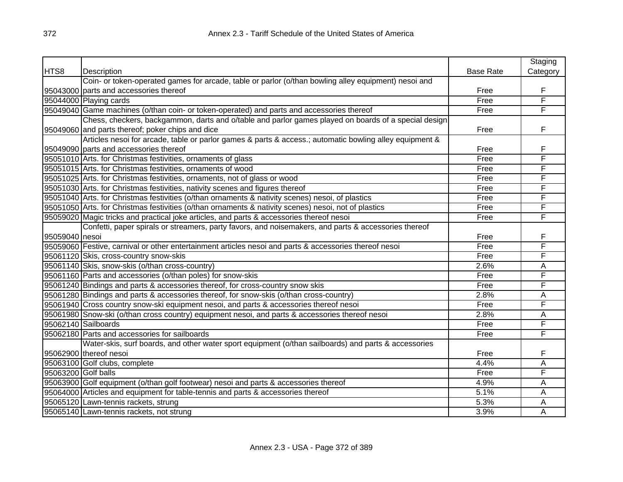|                     |                                                                                                         |                  | Staging  |
|---------------------|---------------------------------------------------------------------------------------------------------|------------------|----------|
| HTS8                | Description                                                                                             | <b>Base Rate</b> | Category |
|                     | Coin- or token-operated games for arcade, table or parlor (o/than bowling alley equipment) nesoi and    |                  |          |
|                     | 95043000 parts and accessories thereof                                                                  | Free             | F        |
|                     | 95044000 Playing cards                                                                                  | Free             | F        |
|                     | 95049040 Game machines (o/than coin- or token-operated) and parts and accessories thereof               | Free             | F        |
|                     | Chess, checkers, backgammon, darts and o/table and parlor games played on boards of a special design    |                  |          |
|                     | 95049060 and parts thereof; poker chips and dice                                                        | Free             | F        |
|                     | Articles nesoi for arcade, table or parlor games & parts & access.; automatic bowling alley equipment & |                  |          |
|                     | 95049090 parts and accessories thereof                                                                  | Free             | F        |
|                     | 95051010 Arts. for Christmas festivities, ornaments of glass                                            | Free             | F        |
|                     | 95051015 Arts. for Christmas festivities, ornaments of wood                                             | Free             | F        |
|                     | 95051025 Arts. for Christmas festivities, ornaments, not of glass or wood                               | Free             | F        |
|                     | 95051030 Arts. for Christmas festivities, nativity scenes and figures thereof                           | Free             | F        |
|                     | 95051040 Arts. for Christmas festivities (o/than ornaments & nativity scenes) nesoi, of plastics        | Free             | F        |
|                     | 95051050 Arts. for Christmas festivities (o/than ornaments & nativity scenes) nesoi, not of plastics    | Free             | F        |
|                     | 95059020 Magic tricks and practical joke articles, and parts & accessories thereof nesoi                | Free             | F        |
|                     | Confetti, paper spirals or streamers, party favors, and noisemakers, and parts & accessories thereof    |                  |          |
| 95059040 nesoi      |                                                                                                         | Free             | F        |
|                     | 95059060 Festive, carnival or other entertainment articles nesoi and parts & accessories thereof nesoi  | Free             | F        |
|                     | 95061120 Skis, cross-country snow-skis                                                                  | Free             | F        |
|                     | 95061140 Skis, snow-skis (o/than cross-country)                                                         | 2.6%             | А        |
|                     | 95061160 Parts and accessories (o/than poles) for snow-skis                                             | Free             | F        |
|                     | 95061240 Bindings and parts & accessories thereof, for cross-country snow skis                          | Free             | F        |
|                     | 95061280 Bindings and parts & accessories thereof, for snow-skis (o/than cross-country)                 | 2.8%             | A        |
|                     | 95061940 Cross country snow-ski equipment nesoi, and parts & accessories thereof nesoi                  | Free             | F        |
|                     | 95061980 Snow-ski (o/than cross country) equipment nesoi, and parts & accessories thereof nesoi         | 2.8%             | А        |
|                     | 95062140 Sailboards                                                                                     | Free             | F        |
|                     | 95062180 Parts and accessories for sailboards                                                           | Free             | F        |
|                     | Water-skis, surf boards, and other water sport equipment (o/than sailboards) and parts & accessories    |                  |          |
|                     | 95062900 thereof nesoi                                                                                  | Free             | F        |
|                     | 95063100 Golf clubs, complete                                                                           | 4.4%             | Α        |
| 95063200 Golf balls |                                                                                                         | Free             | F        |
|                     | 95063900 Golf equipment (o/than golf footwear) nesoi and parts & accessories thereof                    | 4.9%             | А        |
|                     | 95064000 Articles and equipment for table-tennis and parts & accessories thereof                        | 5.1%             | A        |
|                     | 95065120 Lawn-tennis rackets, strung                                                                    | 5.3%             | A        |
|                     | 95065140 Lawn-tennis rackets, not strung                                                                | 3.9%             | A        |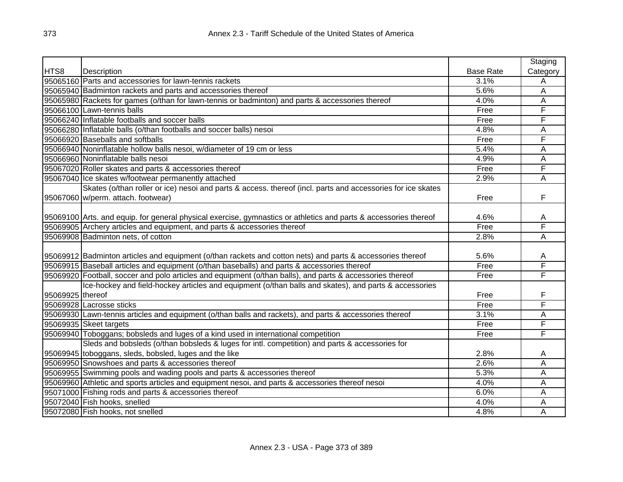|                  |                                                                                                                  |                  | Staging  |
|------------------|------------------------------------------------------------------------------------------------------------------|------------------|----------|
| HTS8             | Description                                                                                                      | <b>Base Rate</b> | Category |
|                  | 95065160 Parts and accessories for lawn-tennis rackets                                                           | 3.1%             | Α        |
|                  | 95065940 Badminton rackets and parts and accessories thereof                                                     | 5.6%             | A        |
|                  | 95065980 Rackets for games (o/than for lawn-tennis or badminton) and parts & accessories thereof                 | 4.0%             | A        |
|                  | 95066100 Lawn-tennis balls                                                                                       | Free             | F        |
|                  | 95066240 Inflatable footballs and soccer balls                                                                   | Free             | F        |
|                  | 95066280 Inflatable balls (o/than footballs and soccer balls) nesoi                                              | 4.8%             | A        |
|                  | 95066920 Baseballs and softballs                                                                                 | Free             | F        |
|                  | 95066940 Noninflatable hollow balls nesoi, w/diameter of 19 cm or less                                           | 5.4%             | A        |
|                  | 95066960 Noninflatable balls nesoi                                                                               | 4.9%             | A        |
|                  | 95067020 Roller skates and parts & accessories thereof                                                           | Free             | F        |
|                  | 95067040 Ice skates w/footwear permanently attached                                                              | 2.9%             | А        |
|                  | Skates (o/than roller or ice) nesoi and parts & access. thereof (incl. parts and accessories for ice skates      |                  |          |
|                  | 95067060 w/perm. attach. footwear)                                                                               | Free             | F        |
|                  |                                                                                                                  |                  |          |
|                  | 95069100 Arts. and equip. for general physical exercise, gymnastics or athletics and parts & accessories thereof | 4.6%             | Α        |
|                  | 95069905 Archery articles and equipment, and parts & accessories thereof                                         | Free             | F        |
|                  | 95069908 Badminton nets, of cotton                                                                               | 2.8%             | Α        |
|                  |                                                                                                                  |                  |          |
|                  | 95069912 Badminton articles and equipment (o/than rackets and cotton nets) and parts & accessories thereof       | 5.6%             | A        |
|                  | 95069915 Baseball articles and equipment (o/than baseballs) and parts & accessories thereof                      | Free             | F        |
|                  | 95069920 Football, soccer and polo articles and equipment (o/than balls), and parts & accessories thereof        | Free             | F        |
|                  | Ice-hockey and field-hockey articles and equipment (o/than balls and skates), and parts & accessories            |                  |          |
| 95069925 thereof |                                                                                                                  | Free             | F        |
|                  | 95069928 Lacrosse sticks                                                                                         | Free             | F        |
|                  | 95069930 Lawn-tennis articles and equipment (o/than balls and rackets), and parts & accessories thereof          | 3.1%             | Α        |
|                  | 95069935 Skeet targets                                                                                           | Free             | F        |
|                  | 95069940 Toboggans; bobsleds and luges of a kind used in international competition                               | Free             | F        |
|                  | Sleds and bobsleds (o/than bobsleds & luges for intl. competition) and parts & accessories for                   |                  |          |
|                  | 95069945 toboggans, sleds, bobsled, luges and the like                                                           | 2.8%             | A        |
|                  | 95069950 Snowshoes and parts & accessories thereof                                                               | 2.6%             | A        |
|                  | 95069955 Swimming pools and wading pools and parts & accessories thereof                                         | 5.3%             | A        |
|                  | 95069960 Athletic and sports articles and equipment nesoi, and parts & accessories thereof nesoi                 | 4.0%             | A        |
|                  | 95071000 Fishing rods and parts & accessories thereof                                                            | 6.0%             | A        |
|                  | 95072040 Fish hooks, snelled                                                                                     | 4.0%             | A        |
|                  | 95072080 Fish hooks, not snelled                                                                                 | 4.8%             | A        |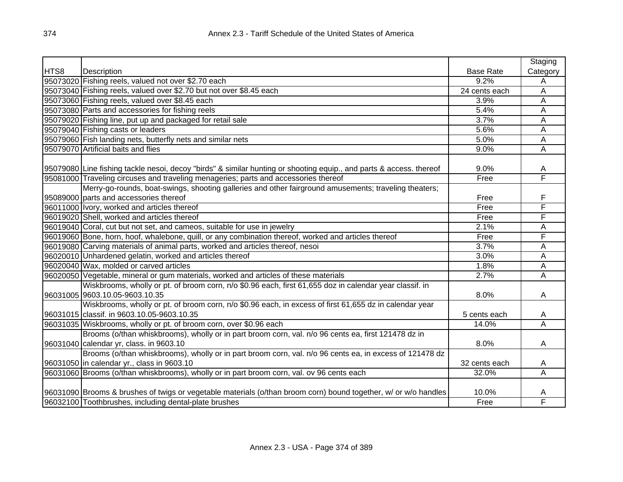|      |                                                                                                                     |                  | Staging  |
|------|---------------------------------------------------------------------------------------------------------------------|------------------|----------|
| HTS8 | Description                                                                                                         | <b>Base Rate</b> | Category |
|      | 95073020 Fishing reels, valued not over \$2.70 each                                                                 | 9.2%             | Α        |
|      | 95073040 Fishing reels, valued over \$2.70 but not over \$8.45 each                                                 | 24 cents each    | Α        |
|      | 95073060 Fishing reels, valued over \$8.45 each                                                                     | 3.9%             | Α        |
|      | 95073080 Parts and accessories for fishing reels                                                                    | 5.4%             | A        |
|      | 95079020 Fishing line, put up and packaged for retail sale                                                          | 3.7%             | Α        |
|      | 95079040 Fishing casts or leaders                                                                                   | 5.6%             | A        |
|      | 95079060 Fish landing nets, butterfly nets and similar nets                                                         | 5.0%             | А        |
|      | 95079070 Artificial baits and flies                                                                                 | 9.0%             | A        |
|      |                                                                                                                     |                  |          |
|      | 95079080 Line fishing tackle nesoi, decoy "birds" & similar hunting or shooting equip., and parts & access. thereof | 9.0%             | A        |
|      | 95081000 Traveling circuses and traveling menageries; parts and accessories thereof                                 | Free             | F        |
|      | Merry-go-rounds, boat-swings, shooting galleries and other fairground amusements; traveling theaters;               |                  |          |
|      | 95089000 parts and accessories thereof                                                                              | Free             | F        |
|      | 96011000 Ivory, worked and articles thereof                                                                         | Free             | F        |
|      | 96019020 Shell, worked and articles thereof                                                                         | Free             | F        |
|      | 96019040 Coral, cut but not set, and cameos, suitable for use in jewelry                                            | 2.1%             | Α        |
|      | 96019060 Bone, horn, hoof, whalebone, quill, or any combination thereof, worked and articles thereof                | Free             | F        |
|      | 96019080 Carving materials of animal parts, worked and articles thereof, nesoi                                      | 3.7%             | Α        |
|      | 96020010 Unhardened gelatin, worked and articles thereof                                                            | 3.0%             | Α        |
|      | 96020040 Wax, molded or carved articles                                                                             | 1.8%             | Α        |
|      | 96020050 Vegetable, mineral or gum materials, worked and articles of these materials                                | 2.7%             | Α        |
|      | Wiskbrooms, wholly or pt. of broom corn, n/o \$0.96 each, first 61,655 doz in calendar year classif. in             |                  |          |
|      | 96031005 9603.10.05-9603.10.35                                                                                      | 8.0%             | A        |
|      | Wiskbrooms, wholly or pt. of broom corn, n/o \$0.96 each, in excess of first 61,655 dz in calendar year             |                  |          |
|      | 96031015 classif. in 9603.10.05-9603.10.35                                                                          | 5 cents each     | A        |
|      | 96031035 Wiskbrooms, wholly or pt. of broom corn, over \$0.96 each                                                  | 14.0%            | A        |
|      | Brooms (o/than whiskbrooms), wholly or in part broom corn, val. n/o 96 cents ea, first 121478 dz in                 |                  |          |
|      | 96031040 calendar yr, class. in 9603.10                                                                             | 8.0%             | A        |
|      | Brooms (o/than whiskbrooms), wholly or in part broom corn, val. n/o 96 cents ea, in excess of 121478 dz             |                  |          |
|      | 96031050 in calendar yr., class in 9603.10                                                                          | 32 cents each    | A        |
|      | 96031060 Brooms (o/than whiskbrooms), wholly or in part broom corn, val. ov 96 cents each                           | 32.0%            | A        |
|      |                                                                                                                     |                  |          |
|      | 96031090 Brooms & brushes of twigs or vegetable materials (o/than broom corn) bound together, w/ or w/o handles     | 10.0%            | A        |
|      | 96032100 Toothbrushes, including dental-plate brushes                                                               | Free             | F        |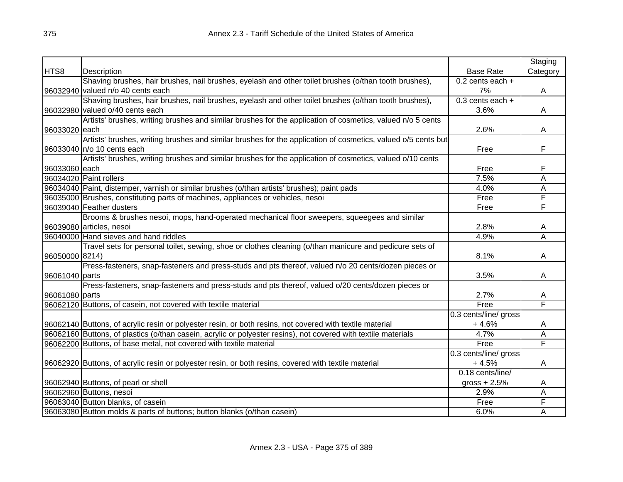|                |                                                                                                                |                       | Staging                 |
|----------------|----------------------------------------------------------------------------------------------------------------|-----------------------|-------------------------|
| HTS8           | Description                                                                                                    | <b>Base Rate</b>      | Category                |
|                | Shaving brushes, hair brushes, nail brushes, eyelash and other toilet brushes (o/than tooth brushes),          | $0.2$ cents each $+$  |                         |
|                | 96032940 valued n/o 40 cents each                                                                              | 7%                    | A                       |
|                | Shaving brushes, hair brushes, nail brushes, eyelash and other toilet brushes (o/than tooth brushes),          | $0.3$ cents each +    |                         |
|                | 96032980 valued o/40 cents each                                                                                | 3.6%                  | A                       |
|                | Artists' brushes, writing brushes and similar brushes for the application of cosmetics, valued n/o 5 cents     |                       |                         |
| 96033020 each  |                                                                                                                | 2.6%                  | A                       |
|                | Artists' brushes, writing brushes and similar brushes for the application of cosmetics, valued o/5 cents but   |                       |                         |
|                | 96033040 n/o 10 cents each                                                                                     | Free                  | F                       |
|                | Artists' brushes, writing brushes and similar brushes for the application of cosmetics, valued o/10 cents      |                       |                         |
| 96033060 each  |                                                                                                                | Free                  | F                       |
|                | 96034020 Paint rollers                                                                                         | 7.5%                  | Ā                       |
|                | 96034040 Paint, distemper, varnish or similar brushes (o/than artists' brushes); paint pads                    | 4.0%                  | Ā                       |
|                | 96035000 Brushes, constituting parts of machines, appliances or vehicles, nesoi                                | Free                  | F                       |
|                | 96039040 Feather dusters                                                                                       | Free                  | F                       |
|                | Brooms & brushes nesoi, mops, hand-operated mechanical floor sweepers, squeegees and similar                   |                       |                         |
|                | 96039080 articles, nesoi                                                                                       | 2.8%                  | A                       |
|                | 96040000 Hand sieves and hand riddles                                                                          | 4.9%                  | $\overline{\mathsf{A}}$ |
|                | Travel sets for personal toilet, sewing, shoe or clothes cleaning (o/than manicure and pedicure sets of        |                       |                         |
| 96050000 8214) |                                                                                                                | 8.1%                  | A                       |
|                | Press-fasteners, snap-fasteners and press-studs and pts thereof, valued n/o 20 cents/dozen pieces or           |                       |                         |
| 96061040 parts |                                                                                                                | 3.5%                  | A                       |
|                | Press-fasteners, snap-fasteners and press-studs and pts thereof, valued o/20 cents/dozen pieces or             |                       |                         |
| 96061080 parts |                                                                                                                | 2.7%                  | A                       |
|                | 96062120 Buttons, of casein, not covered with textile material                                                 | Free                  | F                       |
|                |                                                                                                                | 0.3 cents/line/ gross |                         |
|                | 96062140 Buttons, of acrylic resin or polyester resin, or both resins, not covered with textile material       | $+4.6%$               | A                       |
|                | 96062160 Buttons, of plastics (o/than casein, acrylic or polyester resins), not covered with textile materials | 4.7%                  | Ā                       |
|                | 96062200 Buttons, of base metal, not covered with textile material                                             | Free                  | F                       |
|                |                                                                                                                | 0.3 cents/line/ gross |                         |
|                | 96062920 Buttons, of acrylic resin or polyester resin, or both resins, covered with textile material           | $+4.5%$               | A                       |
|                |                                                                                                                | 0.18 cents/line/      |                         |
|                | 96062940 Buttons, of pearl or shell                                                                            | gross $+2.5%$         | A                       |
|                | 96062960 Buttons, nesoi                                                                                        | 2.9%                  | Α                       |
|                | 96063040 Button blanks, of casein                                                                              | Free                  | F                       |
|                | 96063080 Button molds & parts of buttons; button blanks (o/than casein)                                        | 6.0%                  | Α                       |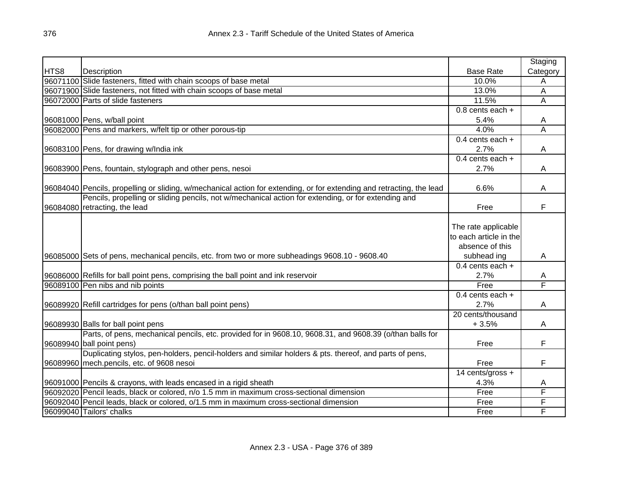|      |                                                                                                                       |                        | Staging        |
|------|-----------------------------------------------------------------------------------------------------------------------|------------------------|----------------|
| HTS8 | Description                                                                                                           | <b>Base Rate</b>       | Category       |
|      | 96071100 Slide fasteners, fitted with chain scoops of base metal                                                      | 10.0%                  | A              |
|      | 96071900 Slide fasteners, not fitted with chain scoops of base metal                                                  | 13.0%                  | Α              |
|      | 96072000 Parts of slide fasteners                                                                                     | 11.5%                  | A              |
|      |                                                                                                                       | $0.8$ cents each +     |                |
|      | 96081000 Pens, w/ball point                                                                                           | 5.4%                   | A              |
|      | 96082000 Pens and markers, w/felt tip or other porous-tip                                                             | 4.0%                   | $\overline{A}$ |
|      |                                                                                                                       | 0.4 cents each $+$     |                |
|      | 96083100 Pens, for drawing w/India ink                                                                                | 2.7%                   | A              |
|      |                                                                                                                       | 0.4 cents each $+$     |                |
|      | 96083900 Pens, fountain, stylograph and other pens, nesoi                                                             | 2.7%                   | A              |
|      |                                                                                                                       |                        |                |
|      | 96084040 Pencils, propelling or sliding, w/mechanical action for extending, or for extending and retracting, the lead | 6.6%                   | A              |
|      | Pencils, propelling or sliding pencils, not w/mechanical action for extending, or for extending and                   |                        |                |
|      | 96084080 retracting, the lead                                                                                         | Free                   | F              |
|      |                                                                                                                       |                        |                |
|      |                                                                                                                       | The rate applicable    |                |
|      |                                                                                                                       | to each article in the |                |
|      |                                                                                                                       | absence of this        |                |
|      | 96085000 Sets of pens, mechanical pencils, etc. from two or more subheadings 9608.10 - 9608.40                        | subhead ing            | A              |
|      |                                                                                                                       | $0.4$ cents each +     |                |
|      | 96086000 Refills for ball point pens, comprising the ball point and ink reservoir                                     | 2.7%                   | A              |
|      | 96089100 Pen nibs and nib points                                                                                      | Free                   | F              |
|      |                                                                                                                       | $0.4$ cents each $+$   |                |
|      | 96089920 Refill cartridges for pens (o/than ball point pens)                                                          | 2.7%                   | A              |
|      |                                                                                                                       | 20 cents/thousand      |                |
|      | 96089930 Balls for ball point pens                                                                                    | $+3.5%$                | A              |
|      | Parts, of pens, mechanical pencils, etc. provided for in 9608.10, 9608.31, and 9608.39 (o/than balls for              |                        |                |
|      | 96089940 ball point pens)                                                                                             | Free                   | F              |
|      | Duplicating stylos, pen-holders, pencil-holders and similar holders & pts. thereof, and parts of pens,                |                        |                |
|      | 96089960 mech.pencils, etc. of 9608 nesoi                                                                             | Free                   | F              |
|      |                                                                                                                       | 14 cents/gross +       |                |
|      | 96091000 Pencils & crayons, with leads encased in a rigid sheath                                                      | 4.3%                   | A              |
|      | 96092020 Pencil leads, black or colored, n/o 1.5 mm in maximum cross-sectional dimension                              | Free                   | F              |
|      | 96092040 Pencil leads, black or colored, o/1.5 mm in maximum cross-sectional dimension                                | Free                   | F              |
|      | 96099040 Tailors' chalks                                                                                              | Free                   | F              |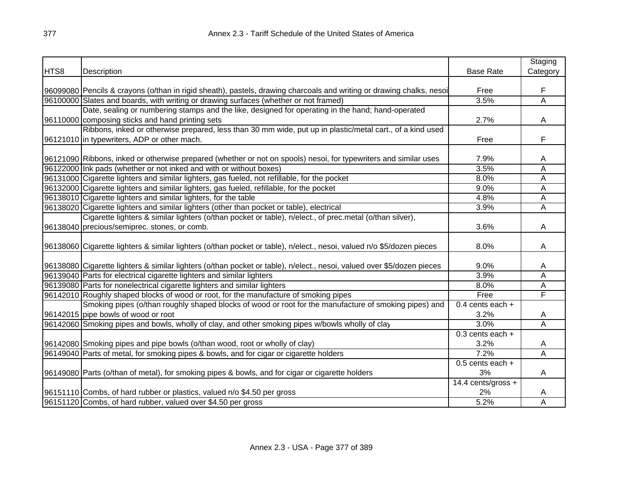|      |                                                                                                                                                                                                 |                      | Staging                 |
|------|-------------------------------------------------------------------------------------------------------------------------------------------------------------------------------------------------|----------------------|-------------------------|
| HTS8 | Description                                                                                                                                                                                     | <b>Base Rate</b>     | Category                |
|      |                                                                                                                                                                                                 |                      |                         |
|      | 96099080 Pencils & crayons (o/than in rigid sheath), pastels, drawing charcoals and writing or drawing chalks, nesoi                                                                            | Free                 | F                       |
|      | 96100000 Slates and boards, with writing or drawing surfaces (whether or not framed)                                                                                                            | 3.5%                 | A                       |
|      | Date, sealing or numbering stamps and the like, designed for operating in the hand; hand-operated                                                                                               |                      |                         |
|      | 96110000 composing sticks and hand printing sets                                                                                                                                                | 2.7%                 | A                       |
|      | Ribbons, inked or otherwise prepared, less than 30 mm wide, put up in plastic/metal cart., of a kind used                                                                                       |                      |                         |
|      | 96121010 in typewriters, ADP or other mach.                                                                                                                                                     | Free                 | F                       |
|      |                                                                                                                                                                                                 |                      |                         |
|      | 96121090 Ribbons, inked or otherwise prepared (whether or not on spools) nesoi, for typewriters and similar uses                                                                                | 7.9%                 | Α                       |
|      | 96122000 Ink pads (whether or not inked and with or without boxes)                                                                                                                              | 3.5%                 | $\overline{\mathsf{A}}$ |
|      | 96131000 Cigarette lighters and similar lighters, gas fueled, not refillable, for the pocket                                                                                                    | 8.0%                 | A                       |
|      | 96132000 Cigarette lighters and similar lighters, gas fueled, refillable, for the pocket                                                                                                        | 9.0%                 | A                       |
|      | 96138010 Cigarette lighters and similar lighters, for the table                                                                                                                                 | 4.8%                 | $\overline{A}$          |
|      | 96138020 Cigarette lighters and similar lighters (other than pocket or table), electrical                                                                                                       | 3.9%                 | Α                       |
|      | Cigarette lighters & similar lighters (o/than pocket or table), n/elect., of prec.metal (o/than silver),                                                                                        |                      |                         |
|      | 96138040 precious/semiprec. stones, or comb.                                                                                                                                                    | 3.6%                 | A                       |
|      |                                                                                                                                                                                                 |                      |                         |
|      | 96138060 Cigarette lighters & similar lighters (o/than pocket or table), n/elect., nesoi, valued n/o \$5/dozen pieces                                                                           | 8.0%                 | A                       |
|      |                                                                                                                                                                                                 | 9.0%                 |                         |
|      | 96138080 Cigarette lighters & similar lighters (o/than pocket or table), n/elect., nesoi, valued over \$5/dozen pieces<br>96139040 Parts for electrical cigarette lighters and similar lighters | 3.9%                 | Α<br>Α                  |
|      |                                                                                                                                                                                                 |                      |                         |
|      | 96139080 Parts for nonelectrical cigarette lighters and similar lighters                                                                                                                        | 8.0%                 | Α<br>F                  |
|      | 96142010 Roughly shaped blocks of wood or root, for the manufacture of smoking pipes                                                                                                            | Free                 |                         |
|      | Smoking pipes (o/than roughly shaped blocks of wood or root for the manufacture of smoking pipes) and                                                                                           | 0.4 cents each $+$   |                         |
|      | 96142015 pipe bowls of wood or root                                                                                                                                                             | 3.2%                 | A                       |
|      | 96142060 Smoking pipes and bowls, wholly of clay, and other smoking pipes w/bowls wholly of clay                                                                                                | 3.0%                 | Ā                       |
|      |                                                                                                                                                                                                 | $0.3$ cents each $+$ |                         |
|      | 96142080 Smoking pipes and pipe bowls (o/than wood, root or wholly of clay)                                                                                                                     | 3.2%                 | A                       |
|      | 96149040 Parts of metal, for smoking pipes & bowls, and for cigar or cigarette holders                                                                                                          | 7.2%                 | А                       |
|      |                                                                                                                                                                                                 | $0.5$ cents each +   |                         |
|      | 96149080 Parts (o/than of metal), for smoking pipes & bowls, and for cigar or cigarette holders                                                                                                 | 3%                   | A                       |
|      |                                                                                                                                                                                                 | 14.4 cents/gross +   |                         |
|      | 96151110 Combs, of hard rubber or plastics, valued n/o \$4.50 per gross                                                                                                                         | 2%                   | A                       |
|      | 96151120 Combs, of hard rubber, valued over \$4.50 per gross                                                                                                                                    | 5.2%                 | $\overline{\mathsf{A}}$ |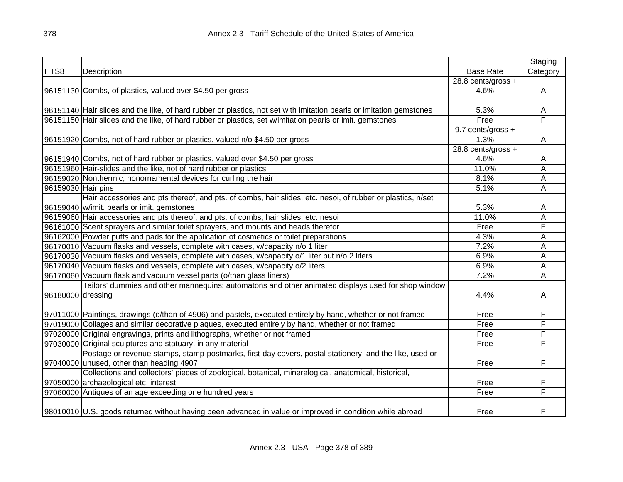|                    |                                                                                                                     |                    | Staging  |
|--------------------|---------------------------------------------------------------------------------------------------------------------|--------------------|----------|
| HTS8               | Description                                                                                                         | <b>Base Rate</b>   | Category |
|                    |                                                                                                                     | 28.8 cents/gross + |          |
|                    | 96151130 Combs, of plastics, valued over \$4.50 per gross                                                           | 4.6%               | Α        |
|                    |                                                                                                                     |                    |          |
|                    | 96151140 Hair slides and the like, of hard rubber or plastics, not set with imitation pearls or imitation gemstones | 5.3%               | Α        |
|                    | 96151150 Hair slides and the like, of hard rubber or plastics, set w/imitation pearls or imit. gemstones            | Free               | F        |
|                    |                                                                                                                     | 9.7 cents/gross +  |          |
|                    | 96151920 Combs, not of hard rubber or plastics, valued n/o \$4.50 per gross                                         | 1.3%               | Α        |
|                    |                                                                                                                     | 28.8 cents/gross + |          |
|                    | 96151940 Combs, not of hard rubber or plastics, valued over \$4.50 per gross                                        | 4.6%               | A        |
|                    | 96151960 Hair-slides and the like, not of hard rubber or plastics                                                   | 11.0%              | A        |
|                    | 96159020 Nonthermic, nonornamental devices for curling the hair                                                     | 8.1%               | Α        |
| 96159030 Hair pins |                                                                                                                     | 5.1%               | A        |
|                    | Hair accessories and pts thereof, and pts. of combs, hair slides, etc. nesoi, of rubber or plastics, n/set          |                    |          |
|                    | 96159040 w/imit. pearls or imit. gemstones                                                                          | 5.3%               | A        |
|                    | 96159060 Hair accessories and pts thereof, and pts. of combs, hair slides, etc. nesoi                               | 11.0%              | A        |
|                    | 96161000 Scent sprayers and similar toilet sprayers, and mounts and heads therefor                                  | Free               | F        |
|                    | 96162000 Powder puffs and pads for the application of cosmetics or toilet preparations                              | 4.3%               | Α        |
|                    | 96170010 Vacuum flasks and vessels, complete with cases, w/capacity n/o 1 liter                                     | 7.2%               | A        |
|                    | 96170030 Vacuum flasks and vessels, complete with cases, w/capacity o/1 liter but n/o 2 liters                      | 6.9%               | A        |
|                    | 96170040 Vacuum flasks and vessels, complete with cases, w/capacity o/2 liters                                      | 6.9%               | Α        |
|                    | 96170060 Vacuum flask and vacuum vessel parts (o/than glass liners)                                                 | 7.2%               | A        |
|                    | Tailors' dummies and other mannequins; automatons and other animated displays used for shop window                  |                    |          |
| 96180000 dressing  |                                                                                                                     | 4.4%               | A        |
|                    |                                                                                                                     |                    |          |
|                    | 97011000 Paintings, drawings (o/than of 4906) and pastels, executed entirely by hand, whether or not framed         | Free               | F        |
|                    | 97019000 Collages and similar decorative plaques, executed entirely by hand, whether or not framed                  | Free               | F        |
|                    | 97020000 Original engravings, prints and lithographs, whether or not framed                                         | Free               | F        |
|                    | 97030000 Original sculptures and statuary, in any material                                                          | Free               | F        |
|                    | Postage or revenue stamps, stamp-postmarks, first-day covers, postal stationery, and the like, used or              |                    |          |
|                    | 97040000 unused, other than heading 4907                                                                            | Free               | F        |
|                    | Collections and collectors' pieces of zoological, botanical, mineralogical, anatomical, historical,                 |                    |          |
|                    | 97050000 archaeological etc. interest                                                                               | Free               | F        |
|                    | 97060000 Antiques of an age exceeding one hundred years                                                             | Free               | F        |
|                    | 98010010 U.S. goods returned without having been advanced in value or improved in condition while abroad            | Free               | F        |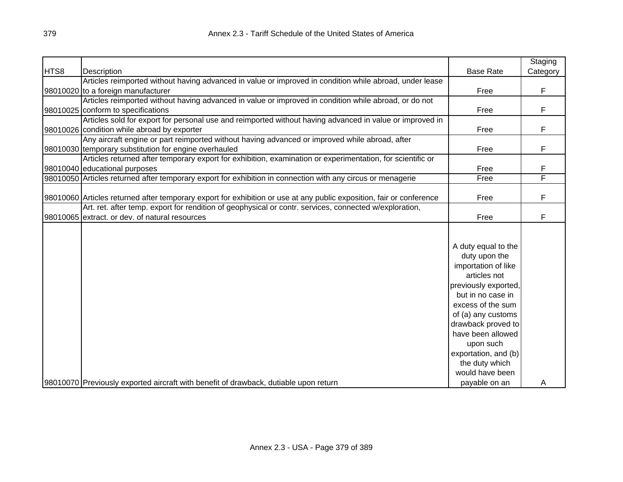|      |                                                                                                                        | <b>Base Rate</b>     | Staging  |
|------|------------------------------------------------------------------------------------------------------------------------|----------------------|----------|
| HTS8 | Description<br>Articles reimported without having advanced in value or improved in condition while abroad, under lease |                      | Category |
|      | 98010020 to a foreign manufacturer                                                                                     | Free                 | F        |
|      | Articles reimported without having advanced in value or improved in condition while abroad, or do not                  |                      |          |
|      | 98010025 conform to specifications                                                                                     | Free                 | F        |
|      | Articles sold for export for personal use and reimported without having advanced in value or improved in               |                      |          |
|      | 98010026 condition while abroad by exporter                                                                            | Free                 | F        |
|      | Any aircraft engine or part reimported without having advanced or improved while abroad, after                         |                      |          |
|      | 98010030 temporary substitution for engine overhauled                                                                  | Free                 | F        |
|      | Articles returned after temporary export for exhibition, examination or experimentation, for scientific or             |                      |          |
|      | 98010040 educational purposes                                                                                          | Free                 | F        |
|      | 98010050 Articles returned after temporary export for exhibition in connection with any circus or menagerie            | Free                 | F        |
|      |                                                                                                                        |                      |          |
|      | 98010060 Articles returned after temporary export for exhibition or use at any public exposition, fair or conference   | Free                 | F        |
|      | Art. ret. after temp. export for rendition of geophysical or contr. services, connected w/exploration,                 |                      |          |
|      | 98010065 extract. or dev. of natural resources                                                                         | Free                 | F        |
|      |                                                                                                                        |                      |          |
|      |                                                                                                                        |                      |          |
|      |                                                                                                                        | A duty equal to the  |          |
|      |                                                                                                                        | duty upon the        |          |
|      |                                                                                                                        | importation of like  |          |
|      |                                                                                                                        | articles not         |          |
|      |                                                                                                                        | previously exported, |          |
|      |                                                                                                                        | but in no case in    |          |
|      |                                                                                                                        | excess of the sum    |          |
|      |                                                                                                                        | of (a) any customs   |          |
|      |                                                                                                                        | drawback proved to   |          |
|      |                                                                                                                        | have been allowed    |          |
|      |                                                                                                                        | upon such            |          |
|      |                                                                                                                        | exportation, and (b) |          |
|      |                                                                                                                        | the duty which       |          |
|      |                                                                                                                        | would have been      |          |
|      | 98010070 Previously exported aircraft with benefit of drawback, dutiable upon return                                   | payable on an        | A        |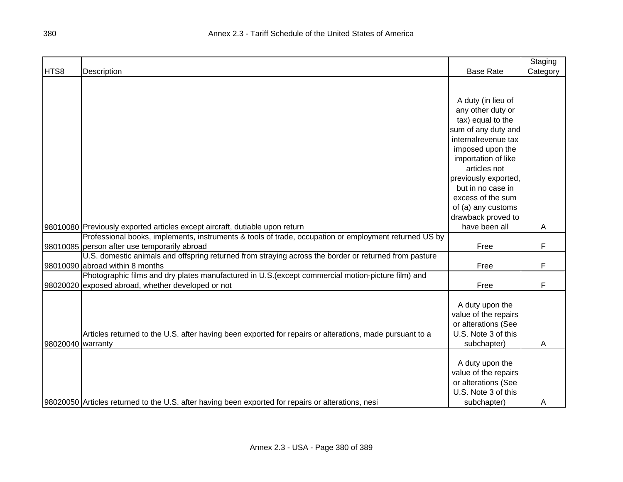|                   |                                                                                                         |                      | Staging  |
|-------------------|---------------------------------------------------------------------------------------------------------|----------------------|----------|
| HTS8              | Description                                                                                             | <b>Base Rate</b>     | Category |
|                   |                                                                                                         |                      |          |
|                   |                                                                                                         |                      |          |
|                   |                                                                                                         | A duty (in lieu of   |          |
|                   |                                                                                                         | any other duty or    |          |
|                   |                                                                                                         | tax) equal to the    |          |
|                   |                                                                                                         | sum of any duty and  |          |
|                   |                                                                                                         | internalrevenue tax  |          |
|                   |                                                                                                         | imposed upon the     |          |
|                   |                                                                                                         | importation of like  |          |
|                   |                                                                                                         | articles not         |          |
|                   |                                                                                                         | previously exported, |          |
|                   |                                                                                                         | but in no case in    |          |
|                   |                                                                                                         | excess of the sum    |          |
|                   |                                                                                                         | of (a) any customs   |          |
|                   |                                                                                                         | drawback proved to   |          |
|                   | 98010080 Previously exported articles except aircraft, dutiable upon return                             | have been all        | A        |
|                   | Professional books, implements, instruments & tools of trade, occupation or employment returned US by   |                      |          |
|                   | 98010085 person after use temporarily abroad                                                            | Free                 | F        |
|                   | U.S. domestic animals and offspring returned from straying across the border or returned from pasture   |                      |          |
|                   | 98010090 abroad within 8 months                                                                         | Free                 | F        |
|                   | Photographic films and dry plates manufactured in U.S.(except commercial motion-picture film) and       |                      |          |
|                   | 98020020 exposed abroad, whether developed or not                                                       | Free                 | F        |
|                   |                                                                                                         |                      |          |
|                   |                                                                                                         | A duty upon the      |          |
|                   |                                                                                                         | value of the repairs |          |
|                   |                                                                                                         | or alterations (See  |          |
|                   | Articles returned to the U.S. after having been exported for repairs or alterations, made pursuant to a | U.S. Note 3 of this  |          |
| 98020040 warranty |                                                                                                         | subchapter)          | Α        |
|                   |                                                                                                         |                      |          |
|                   |                                                                                                         | A duty upon the      |          |
|                   |                                                                                                         | value of the repairs |          |
|                   |                                                                                                         | or alterations (See  |          |
|                   |                                                                                                         | U.S. Note 3 of this  |          |
|                   | 98020050 Articles returned to the U.S. after having been exported for repairs or alterations, nesi      | subchapter)          | A        |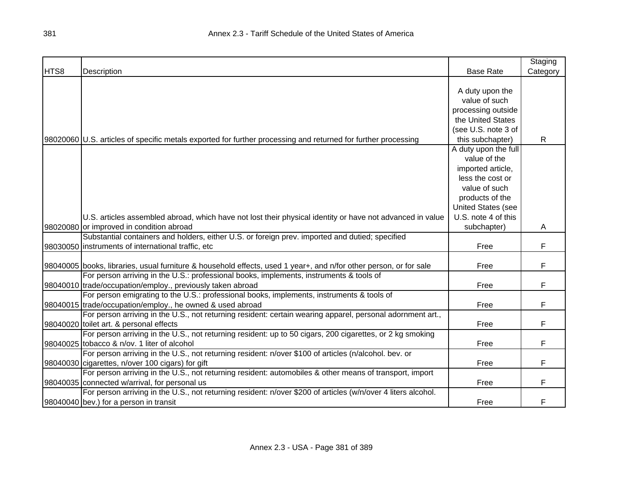|      |                                                                                                                   |                           | Staging      |
|------|-------------------------------------------------------------------------------------------------------------------|---------------------------|--------------|
| HTS8 | Description                                                                                                       | <b>Base Rate</b>          | Category     |
|      |                                                                                                                   |                           |              |
|      |                                                                                                                   | A duty upon the           |              |
|      |                                                                                                                   | value of such             |              |
|      |                                                                                                                   | processing outside        |              |
|      |                                                                                                                   | the United States         |              |
|      |                                                                                                                   | (see U.S. note 3 of       |              |
|      | 98020060 U.S. articles of specific metals exported for further processing and returned for further processing     | this subchapter)          | $\mathsf{R}$ |
|      |                                                                                                                   | A duty upon the full      |              |
|      |                                                                                                                   | value of the              |              |
|      |                                                                                                                   | imported article,         |              |
|      |                                                                                                                   | less the cost or          |              |
|      |                                                                                                                   | value of such             |              |
|      |                                                                                                                   | products of the           |              |
|      |                                                                                                                   | <b>United States (see</b> |              |
|      | U.S. articles assembled abroad, which have not lost their physical identity or have not advanced in value         | U.S. note 4 of this       |              |
|      | 98020080 or improved in condition abroad                                                                          | subchapter)               | A            |
|      | Substantial containers and holders, either U.S. or foreign prev. imported and dutied; specified                   |                           |              |
|      | 98030050 instruments of international traffic, etc                                                                | Free                      | F            |
|      |                                                                                                                   |                           |              |
|      | 98040005 books, libraries, usual furniture & household effects, used 1 year+, and n/for other person, or for sale | Free                      | F            |
|      | For person arriving in the U.S.: professional books, implements, instruments & tools of                           |                           |              |
|      | 98040010 trade/occupation/employ., previously taken abroad                                                        | Free                      | F            |
|      | For person emigrating to the U.S.: professional books, implements, instruments & tools of                         |                           |              |
|      | 98040015 trade/occupation/employ., he owned & used abroad                                                         | Free                      | F            |
|      | For person arriving in the U.S., not returning resident: certain wearing apparel, personal adornment art.,        |                           |              |
|      | 98040020 toilet art. & personal effects                                                                           | Free                      | F            |
|      | For person arriving in the U.S., not returning resident: up to 50 cigars, 200 cigarettes, or 2 kg smoking         |                           |              |
|      | 98040025 tobacco & n/ov. 1 liter of alcohol                                                                       | Free                      | F            |
|      | For person arriving in the U.S., not returning resident: n/over \$100 of articles (n/alcohol. bev. or             |                           |              |
|      | 98040030 cigarettes, n/over 100 cigars) for gift                                                                  | Free                      | F            |
|      | For person arriving in the U.S., not returning resident: automobiles & other means of transport, import           |                           |              |
|      | 98040035 connected w/arrival, for personal us                                                                     | Free                      | F            |
|      | For person arriving in the U.S., not returning resident: n/over \$200 of articles (w/n/over 4 liters alcohol.     |                           |              |
|      | 98040040 bev.) for a person in transit                                                                            | Free                      | F            |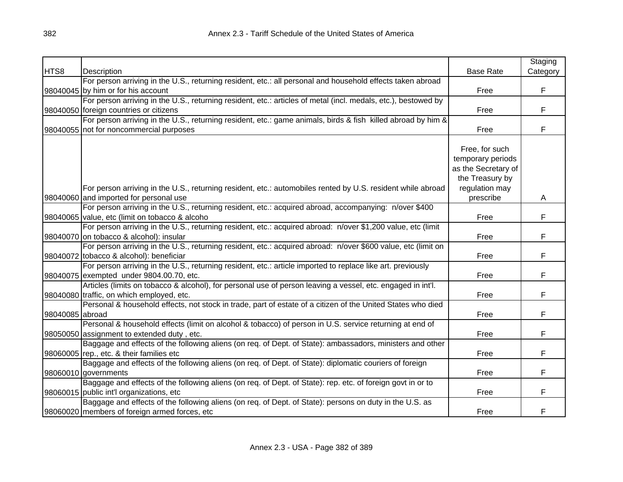|                 |                                                                                                                |                     | Staging  |
|-----------------|----------------------------------------------------------------------------------------------------------------|---------------------|----------|
| HTS8            | Description                                                                                                    | <b>Base Rate</b>    | Category |
|                 | For person arriving in the U.S., returning resident, etc.: all personal and household effects taken abroad     |                     |          |
|                 | 98040045 by him or for his account                                                                             | Free                | F        |
|                 | For person arriving in the U.S., returning resident, etc.: articles of metal (incl. medals, etc.), bestowed by |                     |          |
|                 | 98040050 foreign countries or citizens                                                                         | Free                | F        |
|                 | For person arriving in the U.S., returning resident, etc.: game animals, birds & fish killed abroad by him &   |                     |          |
|                 | 98040055 not for noncommercial purposes                                                                        | Free                | F        |
|                 |                                                                                                                |                     |          |
|                 |                                                                                                                | Free, for such      |          |
|                 |                                                                                                                | temporary periods   |          |
|                 |                                                                                                                | as the Secretary of |          |
|                 |                                                                                                                | the Treasury by     |          |
|                 | For person arriving in the U.S., returning resident, etc.: automobiles rented by U.S. resident while abroad    | regulation may      |          |
|                 | 98040060 and imported for personal use                                                                         | prescribe           | A        |
|                 | For person arriving in the U.S., returning resident, etc.: acquired abroad, accompanying: n/over \$400         |                     |          |
|                 | 98040065 value, etc (limit on tobacco & alcoho                                                                 | Free                | F        |
|                 | For person arriving in the U.S., returning resident, etc.: acquired abroad: n/over \$1,200 value, etc (limit   |                     |          |
|                 | 98040070 on tobacco & alcohol): insular                                                                        | Free                | F        |
|                 | For person arriving in the U.S., returning resident, etc.: acquired abroad: n/over \$600 value, etc (limit on  |                     |          |
|                 | 98040072 tobacco & alcohol): beneficiar                                                                        | Free                | F        |
|                 | For person arriving in the U.S., returning resident, etc.: article imported to replace like art. previously    |                     |          |
|                 | 98040075 exempted under 9804.00.70, etc.                                                                       | Free                | F        |
|                 | Articles (limits on tobacco & alcohol), for personal use of person leaving a vessel, etc. engaged in int'l.    |                     |          |
|                 | 98040080 traffic, on which employed, etc.                                                                      | Free                | F        |
|                 | Personal & household effects, not stock in trade, part of estate of a citizen of the United States who died    |                     |          |
| 98040085 abroad |                                                                                                                | Free                | F        |
|                 | Personal & household effects (limit on alcohol & tobacco) of person in U.S. service returning at end of        |                     |          |
|                 | 98050050 assignment to extended duty, etc.                                                                     | Free                | F        |
|                 | Baggage and effects of the following aliens (on req. of Dept. of State): ambassadors, ministers and other      |                     |          |
|                 | 98060005 rep., etc. & their families etc                                                                       | Free                | F        |
|                 | Baggage and effects of the following aliens (on req. of Dept. of State): diplomatic couriers of foreign        |                     |          |
|                 | 98060010 governments                                                                                           | Free                | F        |
|                 | Baggage and effects of the following aliens (on req. of Dept. of State): rep. etc. of foreign govt in or to    |                     |          |
|                 | 98060015 public int'l organizations, etc                                                                       | Free                | F        |
|                 | Baggage and effects of the following aliens (on req. of Dept. of State): persons on duty in the U.S. as        |                     |          |
|                 | 98060020 members of foreign armed forces, etc                                                                  | Free                | F        |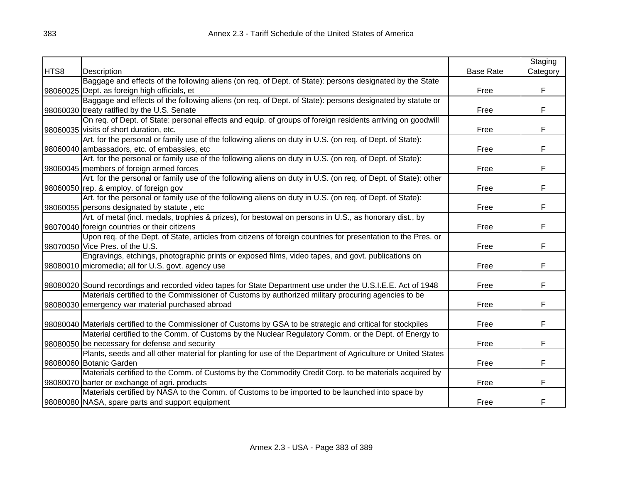|      |                                                                                                                |                  | Staging  |
|------|----------------------------------------------------------------------------------------------------------------|------------------|----------|
| HTS8 | Description                                                                                                    | <b>Base Rate</b> | Category |
|      | Baggage and effects of the following aliens (on req. of Dept. of State): persons designated by the State       |                  |          |
|      | 98060025 Dept. as foreign high officials, et                                                                   | Free             | F        |
|      | Baggage and effects of the following aliens (on req. of Dept. of State): persons designated by statute or      |                  |          |
|      | 98060030 treaty ratified by the U.S. Senate                                                                    | Free             | F        |
|      | On req. of Dept. of State: personal effects and equip. of groups of foreign residents arriving on goodwill     |                  |          |
|      | 98060035 visits of short duration, etc.                                                                        | Free             | F        |
|      | Art. for the personal or family use of the following aliens on duty in U.S. (on req. of Dept. of State):       |                  |          |
|      | 98060040 ambassadors, etc. of embassies, etc                                                                   | Free             | F        |
|      | Art. for the personal or family use of the following aliens on duty in U.S. (on req. of Dept. of State):       |                  |          |
|      | 98060045 members of foreign armed forces                                                                       | Free             | F        |
|      | Art. for the personal or family use of the following aliens on duty in U.S. (on req. of Dept. of State): other |                  |          |
|      | 98060050 rep. & employ. of foreign gov                                                                         | Free             | F        |
|      | Art. for the personal or family use of the following aliens on duty in U.S. (on req. of Dept. of State):       |                  |          |
|      | 98060055 persons designated by statute, etc                                                                    | Free             | F        |
|      | Art. of metal (incl. medals, trophies & prizes), for bestowal on persons in U.S., as honorary dist., by        |                  |          |
|      | 98070040 foreign countries or their citizens                                                                   | Free             | F        |
|      | Upon req. of the Dept. of State, articles from citizens of foreign countries for presentation to the Pres. or  |                  |          |
|      | 98070050 Vice Pres. of the U.S.                                                                                | Free             | F        |
|      | Engravings, etchings, photographic prints or exposed films, video tapes, and govt. publications on             |                  |          |
|      | 98080010 micromedia; all for U.S. govt. agency use                                                             | Free             | F        |
|      |                                                                                                                |                  |          |
|      | 98080020 Sound recordings and recorded video tapes for State Department use under the U.S.I.E.E. Act of 1948   | Free             | F        |
|      | Materials certified to the Commissioner of Customs by authorized military procuring agencies to be             |                  |          |
|      | 98080030 emergency war material purchased abroad                                                               | Free             | F        |
|      |                                                                                                                |                  |          |
|      | 98080040 Materials certified to the Commissioner of Customs by GSA to be strategic and critical for stockpiles | Free             | F        |
|      | Material certified to the Comm. of Customs by the Nuclear Regulatory Comm. or the Dept. of Energy to           |                  |          |
|      | 98080050 be necessary for defense and security                                                                 | Free             | F        |
|      | Plants, seeds and all other material for planting for use of the Department of Agriculture or United States    |                  |          |
|      | 98080060 Botanic Garden                                                                                        | Free             | F        |
|      | Materials certified to the Comm. of Customs by the Commodity Credit Corp. to be materials acquired by          |                  |          |
|      | 98080070 barter or exchange of agri. products                                                                  | Free             | F        |
|      | Materials certified by NASA to the Comm. of Customs to be imported to be launched into space by                |                  |          |
|      | 98080080 NASA, spare parts and support equipment                                                               | Free             | F        |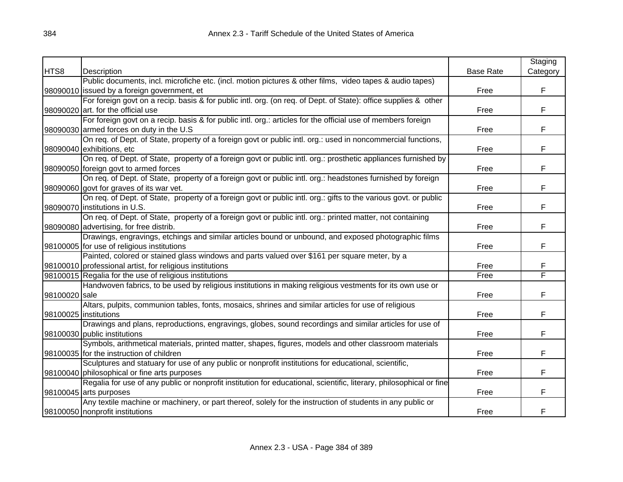|               |                                                                                                                     |                  | Staging  |
|---------------|---------------------------------------------------------------------------------------------------------------------|------------------|----------|
| HTS8          | Description                                                                                                         | <b>Base Rate</b> | Category |
|               | Public documents, incl. microfiche etc. (incl. motion pictures & other films, video tapes & audio tapes)            |                  |          |
|               | 98090010 issued by a foreign government, et                                                                         | Free             | F        |
|               | For foreign govt on a recip. basis & for public intl. org. (on req. of Dept. of State): office supplies & other     |                  |          |
|               | 98090020 art. for the official use                                                                                  | Free             | F        |
|               | For foreign govt on a recip. basis & for public intl. org.: articles for the official use of members foreign        |                  |          |
|               | 98090030 armed forces on duty in the U.S                                                                            | Free             | F        |
|               | On req. of Dept. of State, property of a foreign govt or public intl. org.: used in noncommercial functions,        |                  |          |
|               | 98090040 exhibitions, etc                                                                                           | Free             | F        |
|               | On req. of Dept. of State, property of a foreign govt or public intl. org.: prosthetic appliances furnished by      |                  |          |
|               | 98090050 foreign govt to armed forces                                                                               | Free             | F        |
|               | On req. of Dept. of State, property of a foreign govt or public intl. org.: headstones furnished by foreign         |                  |          |
|               | 98090060 govt for graves of its war vet.                                                                            | Free             | F        |
|               | On req. of Dept. of State, property of a foreign govt or public intl. org.: gifts to the various govt. or public    |                  |          |
|               | 98090070 institutions in U.S.                                                                                       | Free             | F        |
|               | On req. of Dept. of State, property of a foreign govt or public intl. org.: printed matter, not containing          |                  |          |
|               | 98090080 advertising, for free distrib.                                                                             | Free             | F        |
|               | Drawings, engravings, etchings and similar articles bound or unbound, and exposed photographic films                |                  |          |
|               | 98100005 for use of religious institutions                                                                          | Free             | F        |
|               | Painted, colored or stained glass windows and parts valued over \$161 per square meter, by a                        |                  |          |
|               | 98100010 professional artist, for religious institutions                                                            | Free             | F        |
|               | 98100015 Regalia for the use of religious institutions                                                              | Free             | F        |
|               | Handwoven fabrics, to be used by religious institutions in making religious vestments for its own use or            |                  |          |
| 98100020 sale |                                                                                                                     | Free             | F        |
|               | Altars, pulpits, communion tables, fonts, mosaics, shrines and similar articles for use of religious                |                  |          |
|               | 98100025 institutions                                                                                               | Free             | F        |
|               | Drawings and plans, reproductions, engravings, globes, sound recordings and similar articles for use of             |                  |          |
|               | 98100030 public institutions                                                                                        | Free             | F        |
|               | Symbols, arithmetical materials, printed matter, shapes, figures, models and other classroom materials              |                  |          |
|               | 98100035 for the instruction of children                                                                            | Free             | F        |
|               | Sculptures and statuary for use of any public or nonprofit institutions for educational, scientific,                |                  |          |
|               | 98100040 philosophical or fine arts purposes                                                                        | Free             | F        |
|               | Regalia for use of any public or nonprofit institution for educational, scientific, literary, philosophical or fine |                  |          |
|               | 98100045 arts purposes                                                                                              | Free             | F        |
|               | Any textile machine or machinery, or part thereof, solely for the instruction of students in any public or          |                  |          |
|               | 98100050 nonprofit institutions                                                                                     | Free             | F        |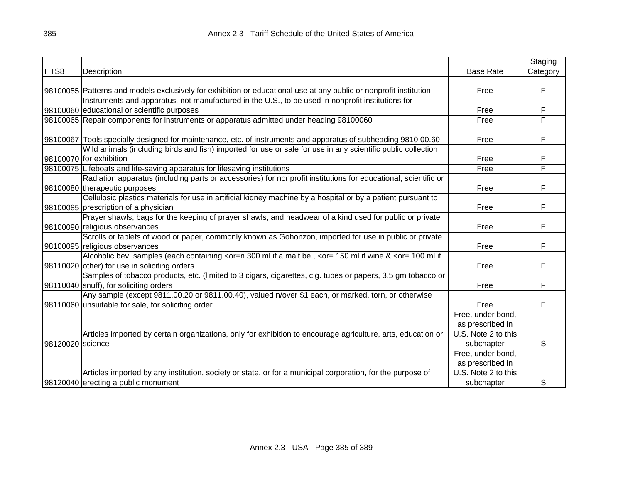|                  |                                                                                                                                                                           |                                                                            | Staging  |
|------------------|---------------------------------------------------------------------------------------------------------------------------------------------------------------------------|----------------------------------------------------------------------------|----------|
| HTS8             | Description                                                                                                                                                               | <b>Base Rate</b>                                                           | Category |
|                  | 98100055 Patterns and models exclusively for exhibition or educational use at any public or nonprofit institution                                                         | Free                                                                       | F        |
|                  | Instruments and apparatus, not manufactured in the U.S., to be used in nonprofit institutions for                                                                         |                                                                            |          |
|                  | 98100060 educational or scientific purposes                                                                                                                               | Free                                                                       | F        |
|                  | 98100065 Repair components for instruments or apparatus admitted under heading 98100060                                                                                   | Free                                                                       | F        |
|                  | 98100067 Tools specially designed for maintenance, etc. of instruments and apparatus of subheading 9810.00.60                                                             | Free                                                                       | F        |
|                  | Wild animals (including birds and fish) imported for use or sale for use in any scientific public collection<br>98100070 for exhibition                                   | Free                                                                       | F        |
|                  | 98100075 Lifeboats and life-saving apparatus for lifesaving institutions                                                                                                  | Free                                                                       | F        |
|                  | Radiation apparatus (including parts or accessories) for nonprofit institutions for educational, scientific or<br>98100080 therapeutic purposes                           | Free                                                                       | F        |
|                  | Cellulosic plastics materials for use in artificial kidney machine by a hospital or by a patient pursuant to<br>98100085 prescription of a physician                      | Free                                                                       | F        |
|                  | Prayer shawls, bags for the keeping of prayer shawls, and headwear of a kind used for public or private<br>98100090 religious observances                                 | Free                                                                       | F        |
|                  | Scrolls or tablets of wood or paper, commonly known as Gohonzon, imported for use in public or private<br>98100095 religious observances                                  | Free                                                                       | F        |
|                  | Alcoholic bev. samples (each containing <or=n &="" 300="" <or="100" a="" be.,="" if="" if<br="" malt="" ml="" wine="">98110020 other) for use in soliciting orders</or=n> | Free                                                                       | F.       |
|                  | Samples of tobacco products, etc. (limited to 3 cigars, cigarettes, cig. tubes or papers, 3.5 gm tobacco or<br>98110040 snuff), for soliciting orders                     | Free                                                                       | F        |
|                  | Any sample (except 9811.00.20 or 9811.00.40), valued n/over \$1 each, or marked, torn, or otherwise<br>98110060 unsuitable for sale, for soliciting order                 | Free                                                                       | F        |
|                  | Articles imported by certain organizations, only for exhibition to encourage agriculture, arts, education or                                                              | Free, under bond,<br>as prescribed in<br>U.S. Note 2 to this               |          |
| 98120020 science | Articles imported by any institution, society or state, or for a municipal corporation, for the purpose of                                                                | subchapter<br>Free, under bond,<br>as prescribed in<br>U.S. Note 2 to this | S        |
|                  | 98120040 erecting a public monument                                                                                                                                       | subchapter                                                                 | S        |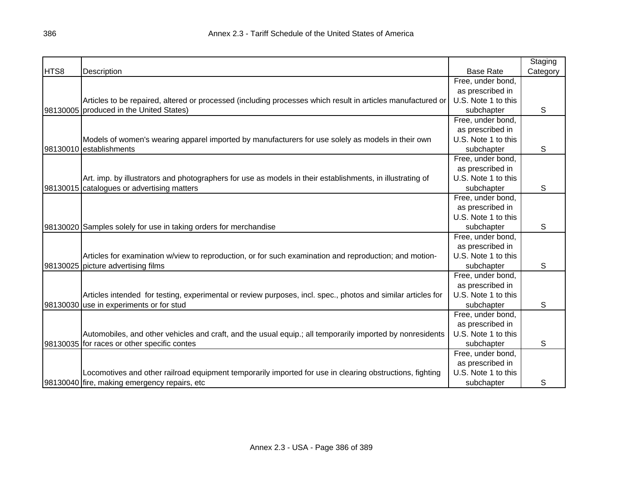|      |                                                                                                              |                     | Staging  |
|------|--------------------------------------------------------------------------------------------------------------|---------------------|----------|
| HTS8 | <b>Description</b>                                                                                           | <b>Base Rate</b>    | Category |
|      |                                                                                                              | Free, under bond,   |          |
|      |                                                                                                              | as prescribed in    |          |
|      | Articles to be repaired, altered or processed (including processes which result in articles manufactured or  | U.S. Note 1 to this |          |
|      | 98130005 produced in the United States)                                                                      | subchapter          | S        |
|      |                                                                                                              | Free, under bond,   |          |
|      |                                                                                                              | as prescribed in    |          |
|      | Models of women's wearing apparel imported by manufacturers for use solely as models in their own            | U.S. Note 1 to this |          |
|      | 98130010 establishments                                                                                      | subchapter          | S        |
|      |                                                                                                              | Free, under bond,   |          |
|      |                                                                                                              | as prescribed in    |          |
|      | Art. imp. by illustrators and photographers for use as models in their establishments, in illustrating of    | U.S. Note 1 to this |          |
|      | 98130015 catalogues or advertising matters                                                                   | subchapter          | S        |
|      |                                                                                                              | Free, under bond,   |          |
|      |                                                                                                              | as prescribed in    |          |
|      |                                                                                                              | U.S. Note 1 to this |          |
|      | 98130020 Samples solely for use in taking orders for merchandise                                             | subchapter          | S        |
|      |                                                                                                              | Free, under bond,   |          |
|      |                                                                                                              | as prescribed in    |          |
|      | Articles for examination w/view to reproduction, or for such examination and reproduction; and motion-       | U.S. Note 1 to this |          |
|      | 98130025 picture advertising films                                                                           | subchapter          | S        |
|      |                                                                                                              | Free, under bond,   |          |
|      |                                                                                                              | as prescribed in    |          |
|      | Articles intended for testing, experimental or review purposes, incl. spec., photos and similar articles for | U.S. Note 1 to this |          |
|      | 98130030 use in experiments or for stud                                                                      | subchapter          | S        |
|      |                                                                                                              | Free, under bond,   |          |
|      |                                                                                                              | as prescribed in    |          |
|      | Automobiles, and other vehicles and craft, and the usual equip.; all temporarily imported by nonresidents    | U.S. Note 1 to this |          |
|      | 98130035 for races or other specific contes                                                                  | subchapter          | S        |
|      |                                                                                                              | Free, under bond,   |          |
|      |                                                                                                              | as prescribed in    |          |
|      | Locomotives and other railroad equipment temporarily imported for use in clearing obstructions, fighting     | U.S. Note 1 to this |          |
|      | 98130040 fire, making emergency repairs, etc                                                                 | subchapter          | S        |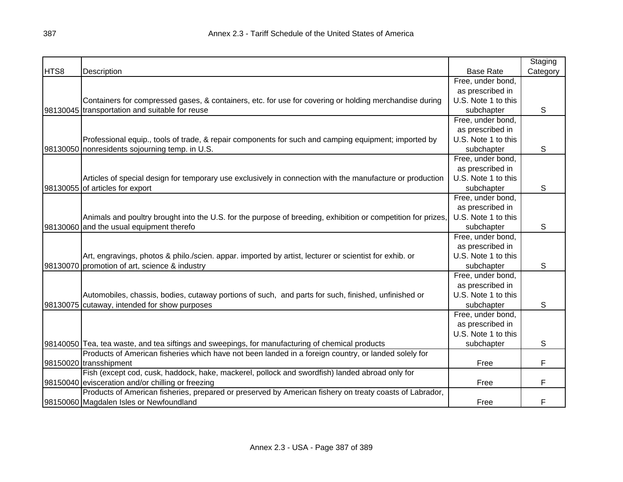|      |                                                                                                              |                     | Staging  |
|------|--------------------------------------------------------------------------------------------------------------|---------------------|----------|
| HTS8 | Description                                                                                                  | <b>Base Rate</b>    | Category |
|      |                                                                                                              | Free, under bond,   |          |
|      |                                                                                                              | as prescribed in    |          |
|      | Containers for compressed gases, & containers, etc. for use for covering or holding merchandise during       | U.S. Note 1 to this |          |
|      | 98130045 transportation and suitable for reuse                                                               | subchapter          | S        |
|      |                                                                                                              | Free, under bond,   |          |
|      |                                                                                                              | as prescribed in    |          |
|      | Professional equip., tools of trade, & repair components for such and camping equipment; imported by         | U.S. Note 1 to this |          |
|      | 98130050 nonresidents sojourning temp. in U.S.                                                               | subchapter          | S        |
|      |                                                                                                              | Free, under bond,   |          |
|      |                                                                                                              | as prescribed in    |          |
|      | Articles of special design for temporary use exclusively in connection with the manufacture or production    | U.S. Note 1 to this |          |
|      | 98130055 of articles for export                                                                              | subchapter          | S        |
|      |                                                                                                              | Free, under bond,   |          |
|      |                                                                                                              | as prescribed in    |          |
|      | Animals and poultry brought into the U.S. for the purpose of breeding, exhibition or competition for prizes, | U.S. Note 1 to this |          |
|      | 98130060 and the usual equipment therefo                                                                     | subchapter          | S        |
|      |                                                                                                              | Free, under bond,   |          |
|      |                                                                                                              | as prescribed in    |          |
|      | Art, engravings, photos & philo./scien. appar. imported by artist, lecturer or scientist for exhib. or       | U.S. Note 1 to this |          |
|      | 98130070 promotion of art, science & industry                                                                | subchapter          | S        |
|      |                                                                                                              | Free, under bond,   |          |
|      |                                                                                                              | as prescribed in    |          |
|      | Automobiles, chassis, bodies, cutaway portions of such, and parts for such, finished, unfinished or          | U.S. Note 1 to this |          |
|      | 98130075 cutaway, intended for show purposes                                                                 | subchapter          | S        |
|      |                                                                                                              | Free, under bond,   |          |
|      |                                                                                                              | as prescribed in    |          |
|      |                                                                                                              | U.S. Note 1 to this |          |
|      | 98140050 Tea, tea waste, and tea siftings and sweepings, for manufacturing of chemical products              | subchapter          | S        |
|      | Products of American fisheries which have not been landed in a foreign country, or landed solely for         |                     |          |
|      | 98150020 transshipment                                                                                       | Free                | F        |
|      | Fish (except cod, cusk, haddock, hake, mackerel, pollock and swordfish) landed abroad only for               |                     |          |
|      | 98150040 evisceration and/or chilling or freezing                                                            | Free                | F        |
|      | Products of American fisheries, prepared or preserved by American fishery on treaty coasts of Labrador,      |                     |          |
|      | 98150060 Magdalen Isles or Newfoundland                                                                      | Free                | F        |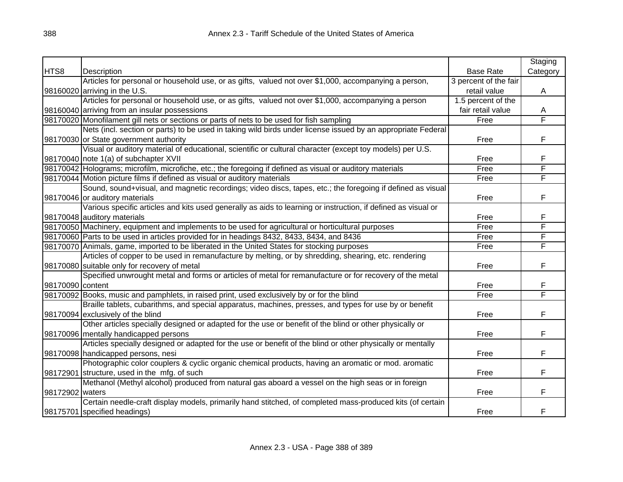|                  |                                                                                                               |                       | Staging  |
|------------------|---------------------------------------------------------------------------------------------------------------|-----------------------|----------|
| HTS8             | Description                                                                                                   | <b>Base Rate</b>      | Category |
|                  | Articles for personal or household use, or as gifts, valued not over \$1,000, accompanying a person,          | 3 percent of the fair |          |
|                  | 98160020 arriving in the U.S.                                                                                 | retail value          | A        |
|                  | Articles for personal or household use, or as gifts, valued not over \$1,000, accompanying a person           | 1.5 percent of the    |          |
|                  | 98160040 arriving from an insular possessions                                                                 | fair retail value     | A        |
|                  | 98170020 Monofilament gill nets or sections or parts of nets to be used for fish sampling                     | Free                  | F        |
|                  | Nets (incl. section or parts) to be used in taking wild birds under license issued by an appropriate Federal  |                       |          |
|                  | 98170030 or State government authority                                                                        | Free                  | F        |
|                  | Visual or auditory material of educational, scientific or cultural character (except toy models) per U.S.     |                       |          |
|                  | 98170040 note 1(a) of subchapter XVII                                                                         | Free                  | F        |
|                  | 98170042 Holograms; microfilm, microfiche, etc.; the foregoing if defined as visual or auditory materials     | Free                  | F        |
|                  | 98170044 Motion picture films if defined as visual or auditory materials                                      | Free                  | F        |
|                  | Sound, sound+visual, and magnetic recordings; video discs, tapes, etc.; the foregoing if defined as visual    |                       |          |
|                  | 98170046 or auditory materials                                                                                | Free                  | F        |
|                  | Various specific articles and kits used generally as aids to learning or instruction, if defined as visual or |                       |          |
|                  | 98170048 auditory materials                                                                                   | Free                  | F        |
|                  | 98170050 Machinery, equipment and implements to be used for agricultural or horticultural purposes            | Free                  | F        |
|                  | 98170060 Parts to be used in articles provided for in headings 8432, 8433, 8434, and 8436                     | Free                  | F        |
|                  | 98170070 Animals, game, imported to be liberated in the United States for stocking purposes                   | Free                  | F        |
|                  | Articles of copper to be used in remanufacture by melting, or by shredding, shearing, etc. rendering          |                       |          |
|                  | 98170080 suitable only for recovery of metal                                                                  | Free                  | F        |
|                  | Specified unwrought metal and forms or articles of metal for remanufacture or for recovery of the metal       |                       |          |
| 98170090 content |                                                                                                               | Free                  | F        |
|                  | 98170092 Books, music and pamphlets, in raised print, used exclusively by or for the blind                    | Free                  | F        |
|                  | Braille tablets, cubarithms, and special apparatus, machines, presses, and types for use by or benefit        |                       |          |
|                  | 98170094 exclusively of the blind                                                                             | Free                  | F        |
|                  | Other articles specially designed or adapted for the use or benefit of the blind or other physically or       |                       |          |
|                  | 98170096 mentally handicapped persons                                                                         | Free                  | F        |
|                  | Articles specially designed or adapted for the use or benefit of the blind or other physically or mentally    |                       |          |
|                  | 98170098 handicapped persons, nesi                                                                            | Free                  | F        |
|                  | Photographic color couplers & cyclic organic chemical products, having an aromatic or mod. aromatic           |                       |          |
|                  | 98172901 structure, used in the mfg. of such                                                                  | Free                  | F        |
|                  | Methanol (Methyl alcohol) produced from natural gas aboard a vessel on the high seas or in foreign            |                       |          |
| 98172902 waters  |                                                                                                               | Free                  | F        |
|                  | Certain needle-craft display models, primarily hand stitched, of completed mass-produced kits (of certain     |                       |          |
|                  | 98175701 specified headings)                                                                                  | Free                  | F        |